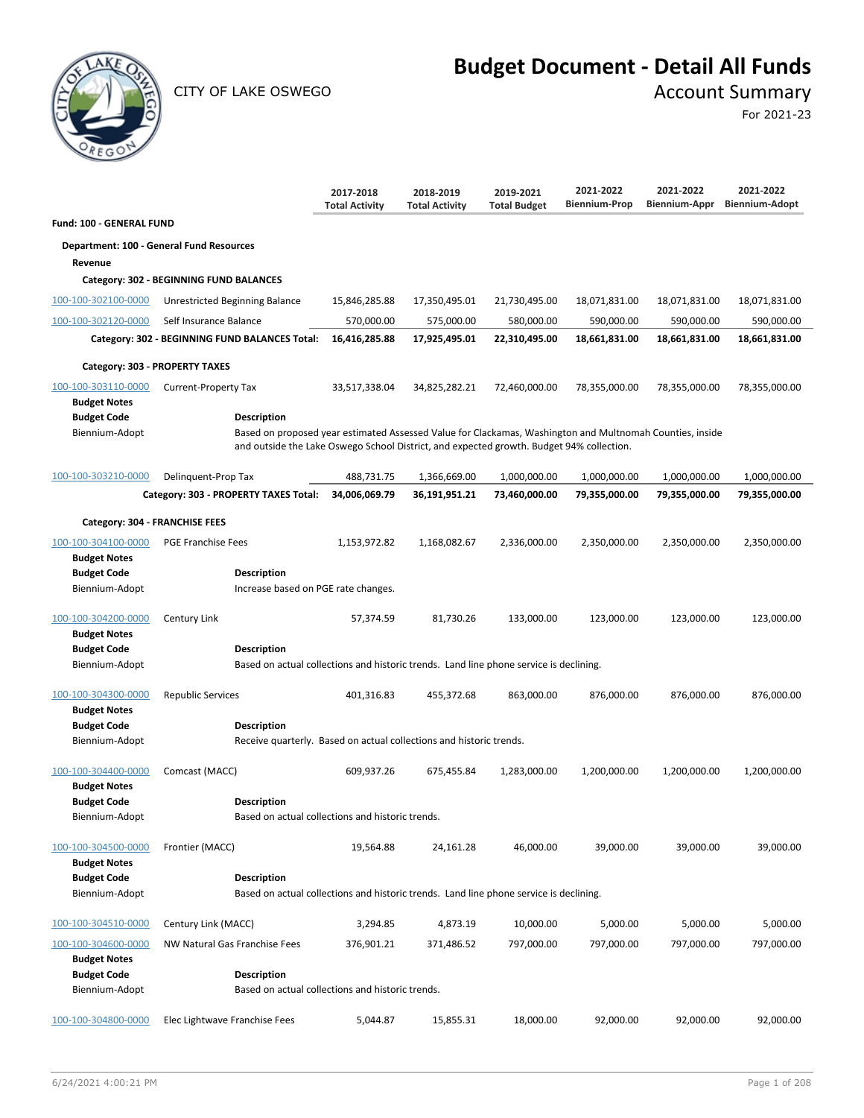

CITY OF LAKE OSWEGO **Account Summary** 

# **Budget Document - Detail All Funds**

For 2021-23

|                                           |                                                                                                              | 2017-2018<br><b>Total Activity</b> | 2018-2019<br><b>Total Activity</b> | 2019-2021<br><b>Total Budget</b> | 2021-2022<br><b>Biennium-Prop</b> | 2021-2022<br>Biennium-Appr | 2021-2022<br><b>Biennium-Adopt</b> |
|-------------------------------------------|--------------------------------------------------------------------------------------------------------------|------------------------------------|------------------------------------|----------------------------------|-----------------------------------|----------------------------|------------------------------------|
| <b>Fund: 100 - GENERAL FUND</b>           |                                                                                                              |                                    |                                    |                                  |                                   |                            |                                    |
|                                           | Department: 100 - General Fund Resources                                                                     |                                    |                                    |                                  |                                   |                            |                                    |
| Revenue                                   |                                                                                                              |                                    |                                    |                                  |                                   |                            |                                    |
|                                           | Category: 302 - BEGINNING FUND BALANCES                                                                      |                                    |                                    |                                  |                                   |                            |                                    |
| 100-100-302100-0000                       | Unrestricted Beginning Balance                                                                               | 15,846,285.88                      | 17,350,495.01                      | 21,730,495.00                    | 18,071,831.00                     | 18,071,831.00              | 18,071,831.00                      |
| 100-100-302120-0000                       | Self Insurance Balance                                                                                       | 570,000.00                         | 575,000.00                         | 580,000.00                       | 590,000.00                        | 590,000.00                 | 590,000.00                         |
|                                           | Category: 302 - BEGINNING FUND BALANCES Total:                                                               | 16,416,285.88                      | 17,925,495.01                      | 22,310,495.00                    | 18,661,831.00                     | 18,661,831.00              | 18,661,831.00                      |
| Category: 303 - PROPERTY TAXES            |                                                                                                              |                                    |                                    |                                  |                                   |                            |                                    |
| 100-100-303110-0000                       | <b>Current-Property Tax</b>                                                                                  | 33,517,338.04                      | 34,825,282.21                      | 72,460,000.00                    | 78,355,000.00                     | 78,355,000.00              | 78,355,000.00                      |
| <b>Budget Notes</b>                       |                                                                                                              |                                    |                                    |                                  |                                   |                            |                                    |
| <b>Budget Code</b>                        | <b>Description</b>                                                                                           |                                    |                                    |                                  |                                   |                            |                                    |
| Biennium-Adopt                            | Based on proposed year estimated Assessed Value for Clackamas, Washington and Multnomah Counties, inside     |                                    |                                    |                                  |                                   |                            |                                    |
|                                           | and outside the Lake Oswego School District, and expected growth. Budget 94% collection.                     |                                    |                                    |                                  |                                   |                            |                                    |
| 100-100-303210-0000                       | Delinquent-Prop Tax                                                                                          | 488,731.75                         | 1,366,669.00                       | 1,000,000.00                     | 1,000,000.00                      | 1,000,000.00               | 1,000,000.00                       |
|                                           | Category: 303 - PROPERTY TAXES Total:                                                                        | 34,006,069.79                      | 36,191,951.21                      | 73,460,000.00                    | 79,355,000.00                     | 79,355,000.00              | 79,355,000.00                      |
| Category: 304 - FRANCHISE FEES            |                                                                                                              |                                    |                                    |                                  |                                   |                            |                                    |
| 100-100-304100-0000                       | <b>PGE Franchise Fees</b>                                                                                    | 1,153,972.82                       | 1,168,082.67                       | 2,336,000.00                     | 2,350,000.00                      | 2,350,000.00               | 2,350,000.00                       |
| <b>Budget Notes</b>                       |                                                                                                              |                                    |                                    |                                  |                                   |                            |                                    |
| <b>Budget Code</b>                        | <b>Description</b>                                                                                           |                                    |                                    |                                  |                                   |                            |                                    |
| Biennium-Adopt                            | Increase based on PGE rate changes.                                                                          |                                    |                                    |                                  |                                   |                            |                                    |
| 100-100-304200-0000                       | Century Link                                                                                                 | 57,374.59                          | 81,730.26                          | 133,000.00                       | 123,000.00                        | 123,000.00                 | 123,000.00                         |
| <b>Budget Notes</b>                       |                                                                                                              |                                    |                                    |                                  |                                   |                            |                                    |
| <b>Budget Code</b><br>Biennium-Adopt      | <b>Description</b><br>Based on actual collections and historic trends. Land line phone service is declining. |                                    |                                    |                                  |                                   |                            |                                    |
|                                           |                                                                                                              |                                    |                                    |                                  |                                   |                            |                                    |
| 100-100-304300-0000                       | <b>Republic Services</b>                                                                                     | 401,316.83                         | 455,372.68                         | 863,000.00                       | 876,000.00                        | 876,000.00                 | 876,000.00                         |
| <b>Budget Notes</b>                       |                                                                                                              |                                    |                                    |                                  |                                   |                            |                                    |
| <b>Budget Code</b><br>Biennium-Adopt      | <b>Description</b><br>Receive quarterly. Based on actual collections and historic trends.                    |                                    |                                    |                                  |                                   |                            |                                    |
|                                           |                                                                                                              |                                    |                                    |                                  |                                   |                            |                                    |
| 100-100-304400-0000                       | Comcast (MACC)                                                                                               | 609,937.26                         | 675,455.84                         | 1,283,000.00                     | 1,200,000.00                      | 1,200,000.00               | 1,200,000.00                       |
| <b>Budget Notes</b><br><b>Budget Code</b> | <b>Description</b>                                                                                           |                                    |                                    |                                  |                                   |                            |                                    |
| Biennium-Adopt                            | Based on actual collections and historic trends.                                                             |                                    |                                    |                                  |                                   |                            |                                    |
|                                           |                                                                                                              |                                    |                                    |                                  |                                   |                            |                                    |
| 100-100-304500-0000                       | Frontier (MACC)                                                                                              | 19,564.88                          | 24,161.28                          | 46,000.00                        | 39,000.00                         | 39,000.00                  | 39,000.00                          |
| <b>Budget Notes</b>                       |                                                                                                              |                                    |                                    |                                  |                                   |                            |                                    |
| <b>Budget Code</b><br>Biennium-Adopt      | <b>Description</b><br>Based on actual collections and historic trends. Land line phone service is declining. |                                    |                                    |                                  |                                   |                            |                                    |
|                                           |                                                                                                              |                                    |                                    |                                  |                                   |                            |                                    |
| 100-100-304510-0000                       | Century Link (MACC)                                                                                          | 3,294.85                           | 4,873.19                           | 10,000.00                        | 5,000.00                          | 5,000.00                   | 5,000.00                           |
| 100-100-304600-0000                       | NW Natural Gas Franchise Fees                                                                                | 376,901.21                         | 371,486.52                         | 797,000.00                       | 797,000.00                        | 797,000.00                 | 797,000.00                         |
| <b>Budget Notes</b>                       |                                                                                                              |                                    |                                    |                                  |                                   |                            |                                    |
| <b>Budget Code</b>                        | <b>Description</b>                                                                                           |                                    |                                    |                                  |                                   |                            |                                    |
| Biennium-Adopt                            | Based on actual collections and historic trends.                                                             |                                    |                                    |                                  |                                   |                            |                                    |
| 100-100-304800-0000                       | Elec Lightwave Franchise Fees                                                                                | 5,044.87                           | 15,855.31                          | 18,000.00                        | 92,000.00                         | 92,000.00                  | 92,000.00                          |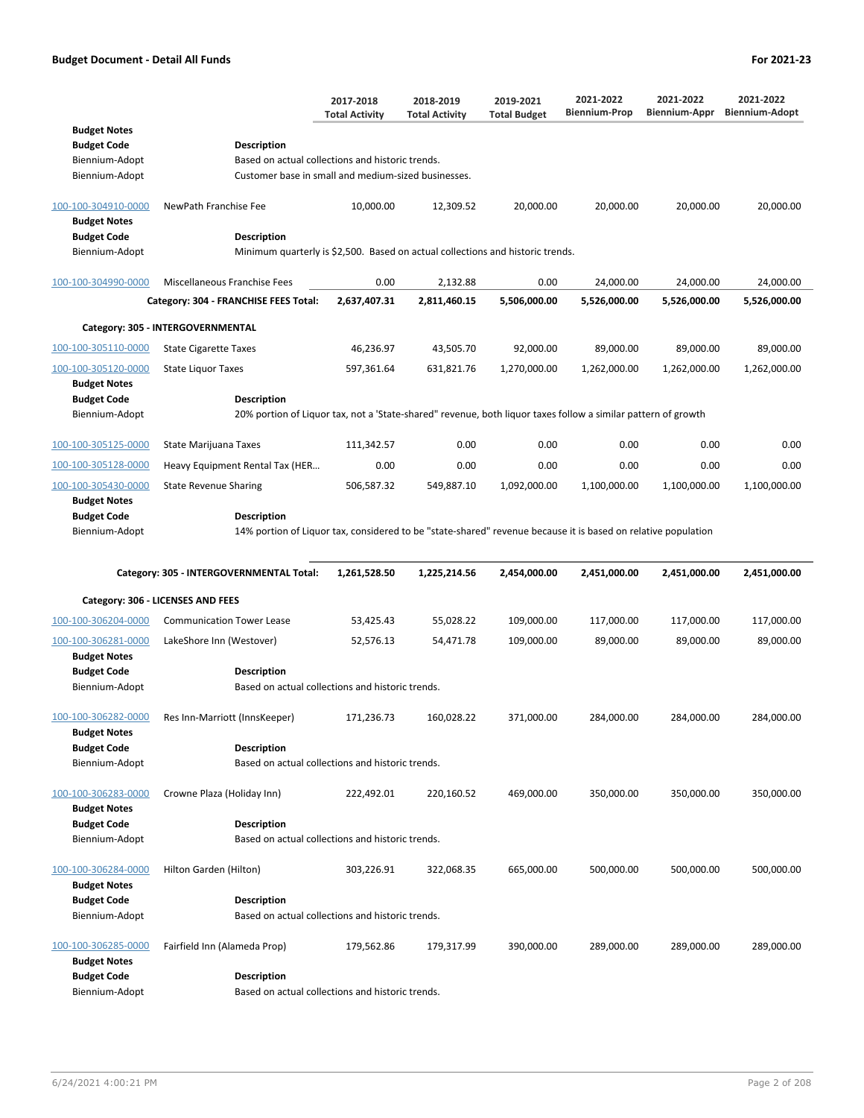|                     |                                                                                                               | 2017-2018<br><b>Total Activity</b> | 2018-2019<br><b>Total Activity</b> | 2019-2021<br><b>Total Budget</b> | 2021-2022<br><b>Biennium-Prop</b> | 2021-2022<br>Biennium-Appr | 2021-2022<br><b>Biennium-Adopt</b> |
|---------------------|---------------------------------------------------------------------------------------------------------------|------------------------------------|------------------------------------|----------------------------------|-----------------------------------|----------------------------|------------------------------------|
| <b>Budget Notes</b> |                                                                                                               |                                    |                                    |                                  |                                   |                            |                                    |
| <b>Budget Code</b>  | <b>Description</b>                                                                                            |                                    |                                    |                                  |                                   |                            |                                    |
| Biennium-Adopt      | Based on actual collections and historic trends.                                                              |                                    |                                    |                                  |                                   |                            |                                    |
| Biennium-Adopt      | Customer base in small and medium-sized businesses.                                                           |                                    |                                    |                                  |                                   |                            |                                    |
| 100-100-304910-0000 | NewPath Franchise Fee                                                                                         | 10,000.00                          | 12,309.52                          | 20,000.00                        | 20,000.00                         | 20,000.00                  | 20,000.00                          |
| <b>Budget Notes</b> |                                                                                                               |                                    |                                    |                                  |                                   |                            |                                    |
| <b>Budget Code</b>  | <b>Description</b>                                                                                            |                                    |                                    |                                  |                                   |                            |                                    |
| Biennium-Adopt      | Minimum quarterly is \$2,500. Based on actual collections and historic trends.                                |                                    |                                    |                                  |                                   |                            |                                    |
| 100-100-304990-0000 | Miscellaneous Franchise Fees                                                                                  | 0.00                               | 2,132.88                           | 0.00                             | 24,000.00                         | 24,000.00                  | 24,000.00                          |
|                     | Category: 304 - FRANCHISE FEES Total:                                                                         | 2,637,407.31                       | 2,811,460.15                       | 5,506,000.00                     | 5,526,000.00                      | 5,526,000.00               | 5,526,000.00                       |
|                     | Category: 305 - INTERGOVERNMENTAL                                                                             |                                    |                                    |                                  |                                   |                            |                                    |
| 100-100-305110-0000 | <b>State Cigarette Taxes</b>                                                                                  | 46,236.97                          | 43,505.70                          | 92,000.00                        | 89,000.00                         | 89,000.00                  | 89,000.00                          |
| 100-100-305120-0000 | <b>State Liquor Taxes</b>                                                                                     | 597,361.64                         | 631,821.76                         | 1,270,000.00                     | 1,262,000.00                      | 1,262,000.00               | 1,262,000.00                       |
| <b>Budget Notes</b> |                                                                                                               |                                    |                                    |                                  |                                   |                            |                                    |
| <b>Budget Code</b>  | <b>Description</b>                                                                                            |                                    |                                    |                                  |                                   |                            |                                    |
| Biennium-Adopt      | 20% portion of Liquor tax, not a 'State-shared" revenue, both liquor taxes follow a similar pattern of growth |                                    |                                    |                                  |                                   |                            |                                    |
| 100-100-305125-0000 | <b>State Marijuana Taxes</b>                                                                                  | 111,342.57                         | 0.00                               | 0.00                             | 0.00                              | 0.00                       | 0.00                               |
| 100-100-305128-0000 | Heavy Equipment Rental Tax (HER                                                                               | 0.00                               | 0.00                               | 0.00                             | 0.00                              | 0.00                       | 0.00                               |
| 100-100-305430-0000 | <b>State Revenue Sharing</b>                                                                                  | 506,587.32                         | 549,887.10                         | 1,092,000.00                     | 1,100,000.00                      | 1,100,000.00               | 1,100,000.00                       |
| <b>Budget Notes</b> |                                                                                                               |                                    |                                    |                                  |                                   |                            |                                    |
| <b>Budget Code</b>  | <b>Description</b>                                                                                            |                                    |                                    |                                  |                                   |                            |                                    |
| Biennium-Adopt      | 14% portion of Liquor tax, considered to be "state-shared" revenue because it is based on relative population |                                    |                                    |                                  |                                   |                            |                                    |
|                     | Category: 305 - INTERGOVERNMENTAL Total:                                                                      | 1,261,528.50                       | 1,225,214.56                       | 2,454,000.00                     | 2,451,000.00                      | 2,451,000.00               | 2,451,000.00                       |
|                     |                                                                                                               |                                    |                                    |                                  |                                   |                            |                                    |
|                     | Category: 306 - LICENSES AND FEES                                                                             |                                    |                                    |                                  |                                   |                            |                                    |
| 100-100-306204-0000 | <b>Communication Tower Lease</b>                                                                              | 53,425.43                          | 55,028.22                          | 109,000.00                       | 117,000.00                        | 117,000.00                 | 117,000.00                         |
| 100-100-306281-0000 | LakeShore Inn (Westover)                                                                                      | 52,576.13                          | 54,471.78                          | 109,000.00                       | 89,000.00                         | 89,000.00                  | 89,000.00                          |
| <b>Budget Notes</b> |                                                                                                               |                                    |                                    |                                  |                                   |                            |                                    |
| <b>Budget Code</b>  | <b>Description</b>                                                                                            |                                    |                                    |                                  |                                   |                            |                                    |
| Biennium-Adopt      | Based on actual collections and historic trends.                                                              |                                    |                                    |                                  |                                   |                            |                                    |

| 100-100-306282-0000<br><b>Budget Notes</b><br><b>Budget Code</b><br>Biennium-Adopt | Res Inn-Marriott (InnsKeeper)<br><b>Description</b><br>Based on actual collections and historic trends. | 171,236.73 | 160,028.22 | 371,000.00 | 284,000.00 | 284,000.00 | 284,000.00 |
|------------------------------------------------------------------------------------|---------------------------------------------------------------------------------------------------------|------------|------------|------------|------------|------------|------------|
| 100-100-306283-0000<br><b>Budget Notes</b><br><b>Budget Code</b><br>Biennium-Adopt | Crowne Plaza (Holiday Inn)<br><b>Description</b><br>Based on actual collections and historic trends.    | 222,492.01 | 220,160.52 | 469,000.00 | 350,000.00 | 350,000.00 | 350,000.00 |
| 100-100-306284-0000<br><b>Budget Notes</b><br><b>Budget Code</b>                   | Hilton Garden (Hilton)<br><b>Description</b>                                                            | 303,226.91 | 322,068.35 | 665,000.00 | 500,000.00 | 500,000.00 | 500,000.00 |
| Biennium-Adopt                                                                     | Based on actual collections and historic trends.                                                        |            |            |            |            |            |            |
| 100-100-306285-0000<br><b>Budget Notes</b><br><b>Budget Code</b>                   | Fairfield Inn (Alameda Prop)<br><b>Description</b>                                                      | 179,562.86 | 179,317.99 | 390,000.00 | 289,000.00 | 289,000.00 | 289,000.00 |

Biennium-Adopt Based on actual collections and historic trends.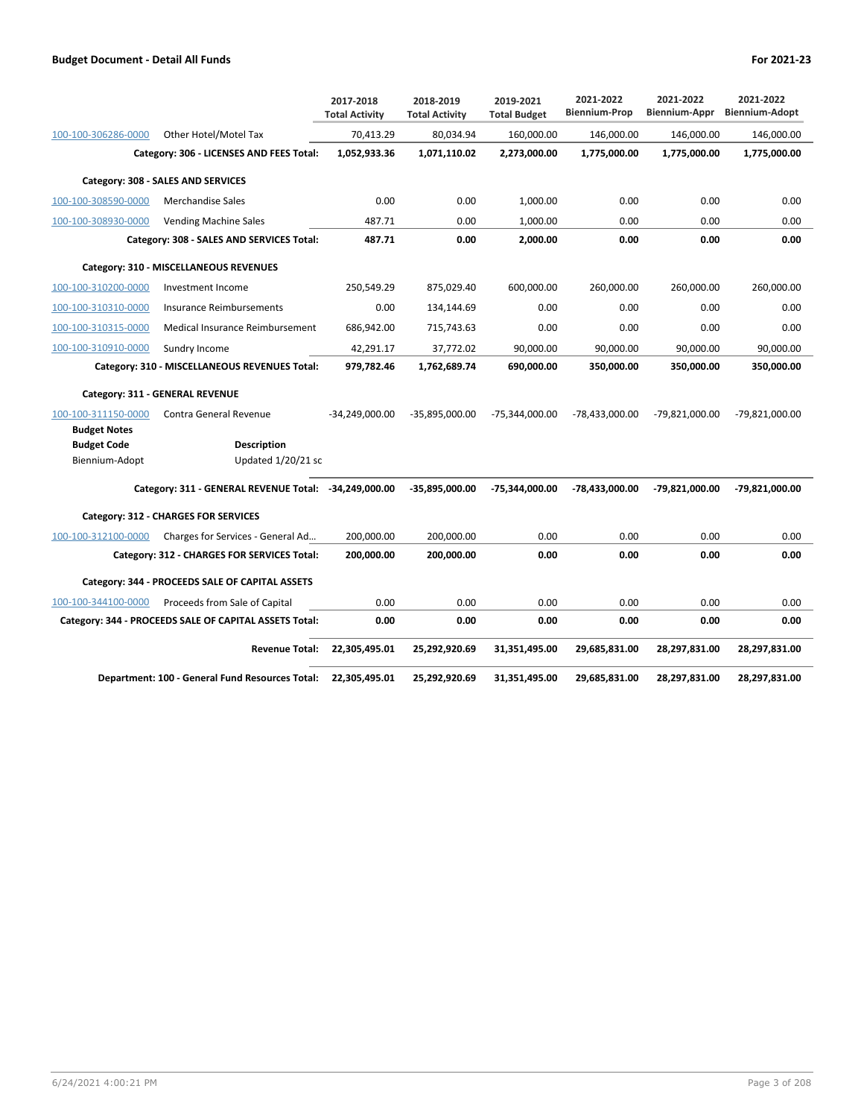|                     |                                                        | 2017-2018<br><b>Total Activity</b> | 2018-2019<br><b>Total Activity</b> | 2019-2021<br><b>Total Budget</b> | 2021-2022<br><b>Biennium-Prop</b> | 2021-2022<br>Biennium-Appr | 2021-2022<br><b>Biennium-Adopt</b> |
|---------------------|--------------------------------------------------------|------------------------------------|------------------------------------|----------------------------------|-----------------------------------|----------------------------|------------------------------------|
| 100-100-306286-0000 | Other Hotel/Motel Tax                                  | 70,413.29                          | 80,034.94                          | 160,000.00                       | 146,000.00                        | 146,000.00                 | 146,000.00                         |
|                     | Category: 306 - LICENSES AND FEES Total:               | 1,052,933.36                       | 1,071,110.02                       | 2,273,000.00                     | 1,775,000.00                      | 1,775,000.00               | 1,775,000.00                       |
|                     | Category: 308 - SALES AND SERVICES                     |                                    |                                    |                                  |                                   |                            |                                    |
| 100-100-308590-0000 | <b>Merchandise Sales</b>                               | 0.00                               | 0.00                               | 1,000.00                         | 0.00                              | 0.00                       | 0.00                               |
| 100-100-308930-0000 | <b>Vending Machine Sales</b>                           | 487.71                             | 0.00                               | 1,000.00                         | 0.00                              | 0.00                       | 0.00                               |
|                     | Category: 308 - SALES AND SERVICES Total:              | 487.71                             | 0.00                               | 2,000.00                         | 0.00                              | 0.00                       | 0.00                               |
|                     | Category: 310 - MISCELLANEOUS REVENUES                 |                                    |                                    |                                  |                                   |                            |                                    |
| 100-100-310200-0000 | Investment Income                                      | 250,549.29                         | 875,029.40                         | 600,000.00                       | 260,000.00                        | 260,000.00                 | 260,000.00                         |
| 100-100-310310-0000 | Insurance Reimbursements                               | 0.00                               | 134,144.69                         | 0.00                             | 0.00                              | 0.00                       | 0.00                               |
| 100-100-310315-0000 | Medical Insurance Reimbursement                        | 686,942.00                         | 715,743.63                         | 0.00                             | 0.00                              | 0.00                       | 0.00                               |
| 100-100-310910-0000 | Sundry Income                                          | 42,291.17                          | 37,772.02                          | 90,000.00                        | 90,000.00                         | 90,000.00                  | 90,000.00                          |
|                     | Category: 310 - MISCELLANEOUS REVENUES Total:          | 979,782.46                         | 1,762,689.74                       | 690,000.00                       | 350,000.00                        | 350,000.00                 | 350,000.00                         |
|                     | Category: 311 - GENERAL REVENUE                        |                                    |                                    |                                  |                                   |                            |                                    |
| 100-100-311150-0000 | Contra General Revenue                                 | $-34,249,000.00$                   | -35,895,000.00                     | -75,344,000.00                   | -78,433,000.00                    | -79,821,000.00             | -79,821,000.00                     |
| <b>Budget Notes</b> |                                                        |                                    |                                    |                                  |                                   |                            |                                    |
| <b>Budget Code</b>  | <b>Description</b>                                     |                                    |                                    |                                  |                                   |                            |                                    |
| Biennium-Adopt      | Updated $1/20/21$ sc                                   |                                    |                                    |                                  |                                   |                            |                                    |
|                     | Category: 311 - GENERAL REVENUE Total: -34,249,000.00  |                                    | -35,895,000.00                     | -75,344,000.00                   | -78,433,000.00                    | -79,821,000.00             | -79,821,000.00                     |
|                     | Category: 312 - CHARGES FOR SERVICES                   |                                    |                                    |                                  |                                   |                            |                                    |
| 100-100-312100-0000 | Charges for Services - General Ad                      | 200,000.00                         | 200,000.00                         | 0.00                             | 0.00                              | 0.00                       | 0.00                               |
|                     | Category: 312 - CHARGES FOR SERVICES Total:            | 200,000.00                         | 200,000.00                         | 0.00                             | 0.00                              | 0.00                       | 0.00                               |
|                     | Category: 344 - PROCEEDS SALE OF CAPITAL ASSETS        |                                    |                                    |                                  |                                   |                            |                                    |
| 100-100-344100-0000 | Proceeds from Sale of Capital                          | 0.00                               | 0.00                               | 0.00                             | 0.00                              | 0.00                       | 0.00                               |
|                     | Category: 344 - PROCEEDS SALE OF CAPITAL ASSETS Total: | 0.00                               | 0.00                               | 0.00                             | 0.00                              | 0.00                       | 0.00                               |
|                     | <b>Revenue Total:</b>                                  | 22,305,495.01                      | 25,292,920.69                      | 31,351,495.00                    | 29,685,831.00                     | 28,297,831.00              | 28,297,831.00                      |
|                     | Department: 100 - General Fund Resources Total:        | 22,305,495.01                      | 25,292,920.69                      | 31,351,495.00                    | 29,685,831.00                     | 28,297,831.00              | 28,297,831.00                      |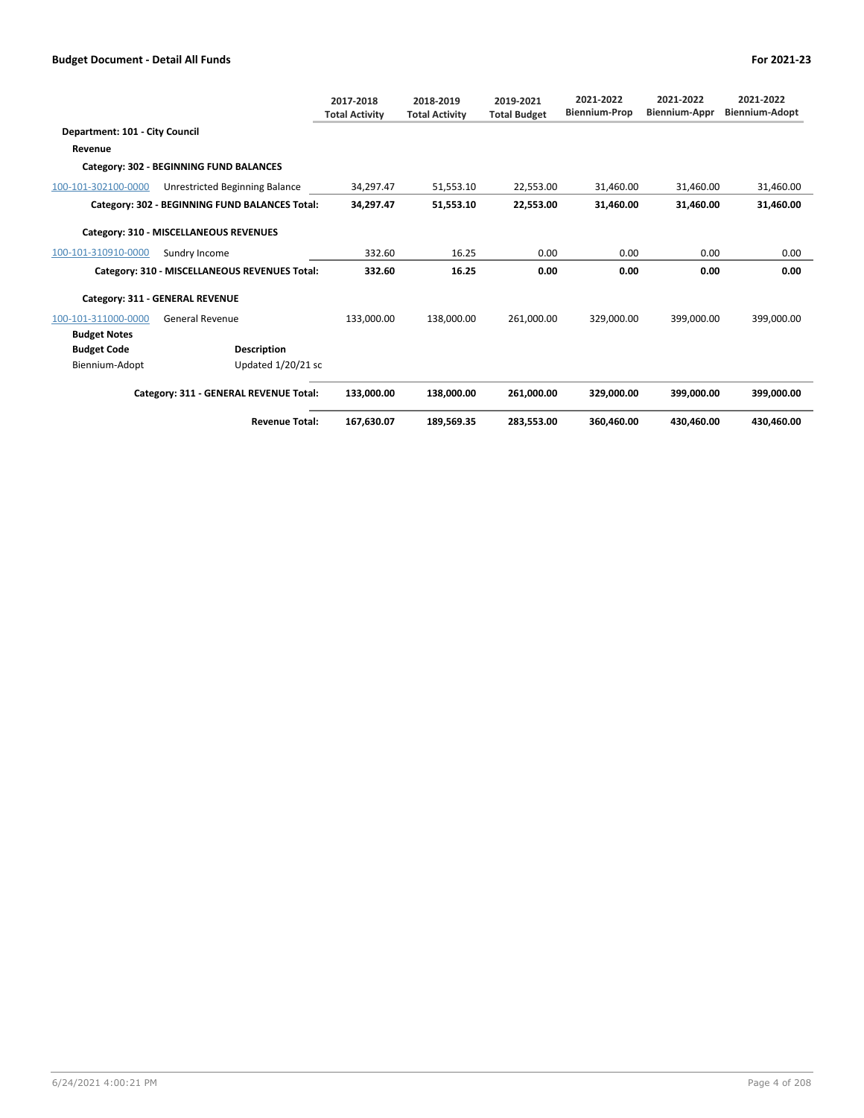|                                |                                                | 2017-2018<br><b>Total Activity</b> | 2018-2019<br><b>Total Activity</b> | 2019-2021<br><b>Total Budget</b> | 2021-2022<br><b>Biennium-Prop</b> | 2021-2022<br><b>Biennium-Appr</b> | 2021-2022<br>Biennium-Adopt |
|--------------------------------|------------------------------------------------|------------------------------------|------------------------------------|----------------------------------|-----------------------------------|-----------------------------------|-----------------------------|
| Department: 101 - City Council |                                                |                                    |                                    |                                  |                                   |                                   |                             |
| Revenue                        |                                                |                                    |                                    |                                  |                                   |                                   |                             |
|                                | Category: 302 - BEGINNING FUND BALANCES        |                                    |                                    |                                  |                                   |                                   |                             |
| 100-101-302100-0000            | Unrestricted Beginning Balance                 | 34,297.47                          | 51,553.10                          | 22,553.00                        | 31,460.00                         | 31,460.00                         | 31,460.00                   |
|                                | Category: 302 - BEGINNING FUND BALANCES Total: | 34,297.47                          | 51,553.10                          | 22,553.00                        | 31,460.00                         | 31,460.00                         | 31,460.00                   |
|                                | Category: 310 - MISCELLANEOUS REVENUES         |                                    |                                    |                                  |                                   |                                   |                             |
| 100-101-310910-0000            | Sundry Income                                  | 332.60                             | 16.25                              | 0.00                             | 0.00                              | 0.00                              | 0.00                        |
|                                | Category: 310 - MISCELLANEOUS REVENUES Total:  | 332.60                             | 16.25                              | 0.00                             | 0.00                              | 0.00                              | 0.00                        |
|                                | Category: 311 - GENERAL REVENUE                |                                    |                                    |                                  |                                   |                                   |                             |
| 100-101-311000-0000            | <b>General Revenue</b>                         | 133,000.00                         | 138,000.00                         | 261,000.00                       | 329.000.00                        | 399.000.00                        | 399,000.00                  |
| <b>Budget Notes</b>            |                                                |                                    |                                    |                                  |                                   |                                   |                             |
| <b>Budget Code</b>             | <b>Description</b>                             |                                    |                                    |                                  |                                   |                                   |                             |
| Biennium-Adopt                 | Updated 1/20/21 sc                             |                                    |                                    |                                  |                                   |                                   |                             |
|                                | Category: 311 - GENERAL REVENUE Total:         | 133.000.00                         | 138.000.00                         | 261.000.00                       | 329.000.00                        | 399.000.00                        | 399.000.00                  |
|                                | <b>Revenue Total:</b>                          | 167,630.07                         | 189.569.35                         | 283.553.00                       | 360.460.00                        | 430.460.00                        | 430.460.00                  |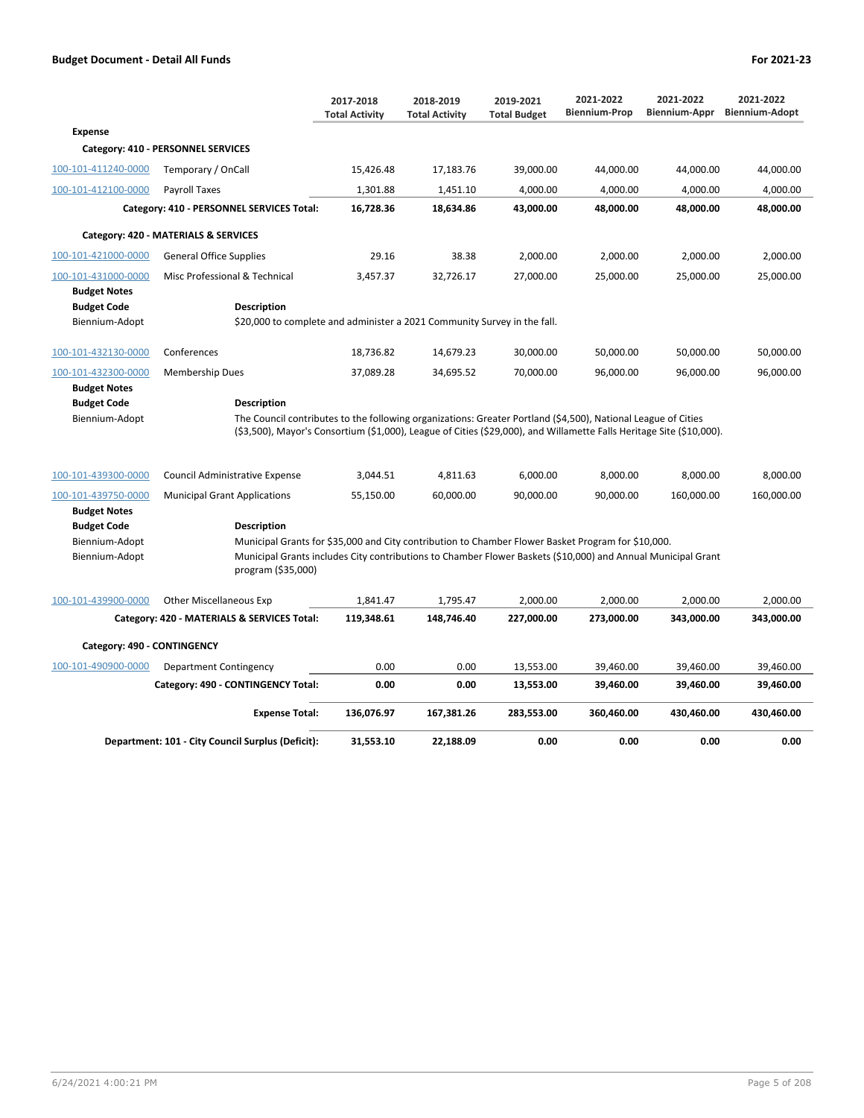|                                                             |                                                                                                                                                                                                                                          | 2017-2018<br><b>Total Activity</b> | 2018-2019<br><b>Total Activity</b> | 2019-2021<br><b>Total Budget</b> | 2021-2022<br><b>Biennium-Prop</b> | 2021-2022<br><b>Biennium-Appr</b> | 2021-2022<br><b>Biennium-Adopt</b> |
|-------------------------------------------------------------|------------------------------------------------------------------------------------------------------------------------------------------------------------------------------------------------------------------------------------------|------------------------------------|------------------------------------|----------------------------------|-----------------------------------|-----------------------------------|------------------------------------|
| <b>Expense</b>                                              |                                                                                                                                                                                                                                          |                                    |                                    |                                  |                                   |                                   |                                    |
|                                                             | Category: 410 - PERSONNEL SERVICES                                                                                                                                                                                                       |                                    |                                    |                                  |                                   |                                   |                                    |
| 100-101-411240-0000                                         | Temporary / OnCall                                                                                                                                                                                                                       | 15,426.48                          | 17,183.76                          | 39,000.00                        | 44,000.00                         | 44,000.00                         | 44,000.00                          |
| 100-101-412100-0000                                         | Payroll Taxes                                                                                                                                                                                                                            | 1,301.88                           | 1,451.10                           | 4,000.00                         | 4,000.00                          | 4,000.00                          | 4,000.00                           |
|                                                             | Category: 410 - PERSONNEL SERVICES Total:                                                                                                                                                                                                | 16,728.36                          | 18,634.86                          | 43,000.00                        | 48,000.00                         | 48,000.00                         | 48,000.00                          |
|                                                             | Category: 420 - MATERIALS & SERVICES                                                                                                                                                                                                     |                                    |                                    |                                  |                                   |                                   |                                    |
| 100-101-421000-0000                                         | <b>General Office Supplies</b>                                                                                                                                                                                                           | 29.16                              | 38.38                              | 2,000.00                         | 2,000.00                          | 2,000.00                          | 2,000.00                           |
| 100-101-431000-0000                                         | Misc Professional & Technical                                                                                                                                                                                                            | 3,457.37                           | 32,726.17                          | 27,000.00                        | 25,000.00                         | 25,000.00                         | 25,000.00                          |
| <b>Budget Notes</b><br><b>Budget Code</b>                   | <b>Description</b>                                                                                                                                                                                                                       |                                    |                                    |                                  |                                   |                                   |                                    |
| Biennium-Adopt                                              | \$20,000 to complete and administer a 2021 Community Survey in the fall.                                                                                                                                                                 |                                    |                                    |                                  |                                   |                                   |                                    |
| 100-101-432130-0000                                         | Conferences                                                                                                                                                                                                                              | 18,736.82                          | 14,679.23                          | 30,000.00                        | 50,000.00                         | 50,000.00                         | 50,000.00                          |
| 100-101-432300-0000                                         | <b>Membership Dues</b>                                                                                                                                                                                                                   | 37,089.28                          | 34,695.52                          | 70,000.00                        | 96,000.00                         | 96,000.00                         | 96,000.00                          |
| <b>Budget Notes</b><br><b>Budget Code</b><br>Biennium-Adopt | Description<br>The Council contributes to the following organizations: Greater Portland (\$4,500), National League of Cities                                                                                                             |                                    |                                    |                                  |                                   |                                   |                                    |
|                                                             | $(53,500)$ , Mayor's Consortium (\$1,000), League of Cities (\$29,000), and Willamette Falls Heritage Site (\$10,000).                                                                                                                   |                                    |                                    |                                  |                                   |                                   |                                    |
| 100-101-439300-0000                                         | Council Administrative Expense                                                                                                                                                                                                           | 3,044.51                           | 4,811.63                           | 6,000.00                         | 8,000.00                          | 8,000.00                          | 8,000.00                           |
| 100-101-439750-0000                                         | <b>Municipal Grant Applications</b>                                                                                                                                                                                                      | 55,150.00                          | 60,000.00                          | 90,000.00                        | 90,000.00                         | 160,000.00                        | 160,000.00                         |
| <b>Budget Notes</b>                                         |                                                                                                                                                                                                                                          |                                    |                                    |                                  |                                   |                                   |                                    |
| <b>Budget Code</b>                                          | <b>Description</b>                                                                                                                                                                                                                       |                                    |                                    |                                  |                                   |                                   |                                    |
| Biennium-Adopt<br>Biennium-Adopt                            | Municipal Grants for \$35,000 and City contribution to Chamber Flower Basket Program for \$10,000.<br>Municipal Grants includes City contributions to Chamber Flower Baskets (\$10,000) and Annual Municipal Grant<br>program (\$35,000) |                                    |                                    |                                  |                                   |                                   |                                    |
| 100-101-439900-0000                                         | <b>Other Miscellaneous Exp</b>                                                                                                                                                                                                           | 1,841.47                           | 1,795.47                           | 2,000.00                         | 2,000.00                          | 2,000.00                          | 2,000.00                           |
|                                                             | Category: 420 - MATERIALS & SERVICES Total:                                                                                                                                                                                              | 119,348.61                         | 148,746.40                         | 227,000.00                       | 273,000.00                        | 343,000.00                        | 343,000.00                         |
| Category: 490 - CONTINGENCY                                 |                                                                                                                                                                                                                                          |                                    |                                    |                                  |                                   |                                   |                                    |
| 100-101-490900-0000                                         | Department Contingency                                                                                                                                                                                                                   | 0.00                               | 0.00                               | 13,553.00                        | 39,460.00                         | 39,460.00                         | 39,460.00                          |
|                                                             | Category: 490 - CONTINGENCY Total:                                                                                                                                                                                                       | 0.00                               | 0.00                               | 13,553.00                        | 39,460.00                         | 39,460.00                         | 39,460.00                          |
|                                                             | <b>Expense Total:</b>                                                                                                                                                                                                                    | 136,076.97                         | 167,381.26                         | 283,553.00                       | 360,460.00                        | 430,460.00                        | 430,460.00                         |
|                                                             | Department: 101 - City Council Surplus (Deficit):                                                                                                                                                                                        | 31,553.10                          | 22,188.09                          | 0.00                             | 0.00                              | 0.00                              | 0.00                               |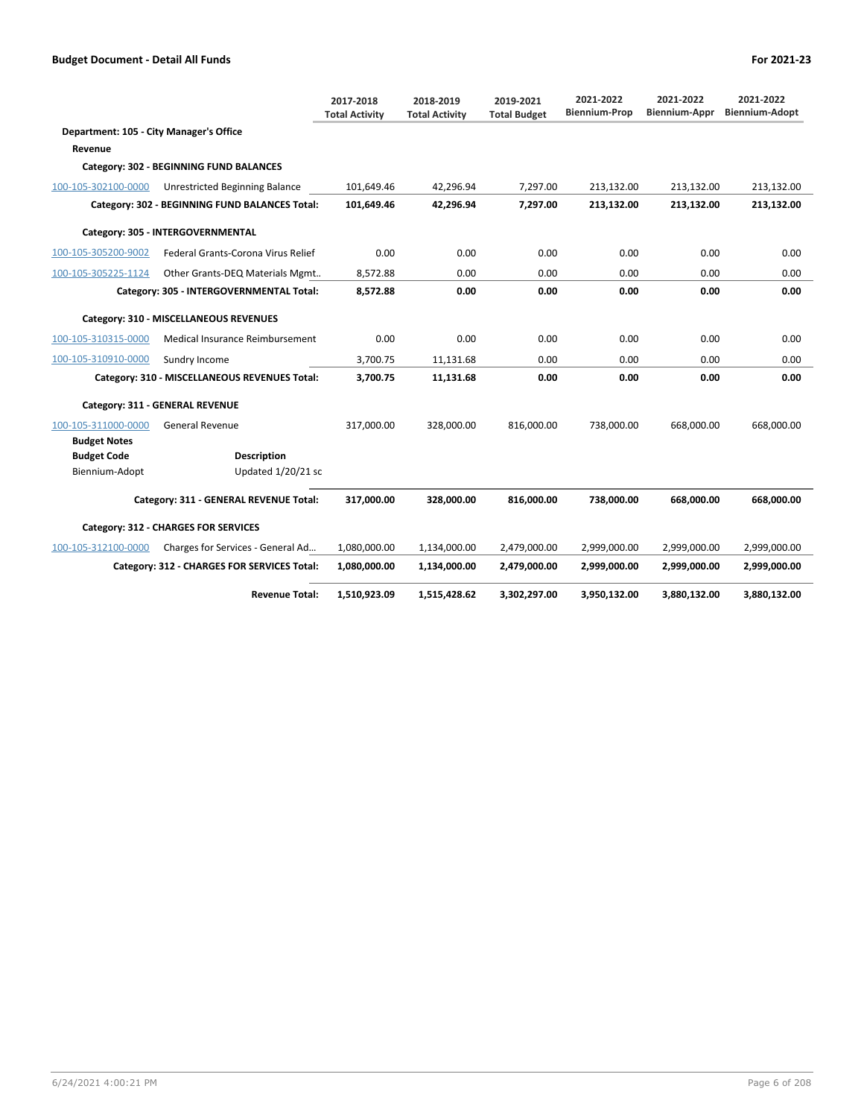|                                         |                                                | 2017-2018<br><b>Total Activity</b> | 2018-2019<br><b>Total Activity</b> | 2019-2021<br><b>Total Budget</b> | 2021-2022<br><b>Biennium-Prop</b> | 2021-2022<br><b>Biennium-Appr</b> | 2021-2022<br><b>Biennium-Adopt</b> |
|-----------------------------------------|------------------------------------------------|------------------------------------|------------------------------------|----------------------------------|-----------------------------------|-----------------------------------|------------------------------------|
| Department: 105 - City Manager's Office |                                                |                                    |                                    |                                  |                                   |                                   |                                    |
| Revenue                                 |                                                |                                    |                                    |                                  |                                   |                                   |                                    |
|                                         | Category: 302 - BEGINNING FUND BALANCES        |                                    |                                    |                                  |                                   |                                   |                                    |
| 100-105-302100-0000                     | Unrestricted Beginning Balance                 | 101.649.46                         | 42.296.94                          | 7.297.00                         | 213.132.00                        | 213.132.00                        | 213.132.00                         |
|                                         | Category: 302 - BEGINNING FUND BALANCES Total: | 101,649.46                         | 42,296.94                          | 7,297.00                         | 213,132.00                        | 213,132.00                        | 213,132.00                         |
|                                         | Category: 305 - INTERGOVERNMENTAL              |                                    |                                    |                                  |                                   |                                   |                                    |
| 100-105-305200-9002                     | Federal Grants-Corona Virus Relief             | 0.00                               | 0.00                               | 0.00                             | 0.00                              | 0.00                              | 0.00                               |
| 100-105-305225-1124                     | Other Grants-DEQ Materials Mgmt                | 8,572.88                           | 0.00                               | 0.00                             | 0.00                              | 0.00                              | 0.00                               |
|                                         | Category: 305 - INTERGOVERNMENTAL Total:       | 8,572.88                           | 0.00                               | 0.00                             | 0.00                              | 0.00                              | 0.00                               |
|                                         | Category: 310 - MISCELLANEOUS REVENUES         |                                    |                                    |                                  |                                   |                                   |                                    |
| 100-105-310315-0000                     | Medical Insurance Reimbursement                | 0.00                               | 0.00                               | 0.00                             | 0.00                              | 0.00                              | 0.00                               |
| 100-105-310910-0000                     | Sundry Income                                  | 3,700.75                           | 11,131.68                          | 0.00                             | 0.00                              | 0.00                              | 0.00                               |
|                                         | Category: 310 - MISCELLANEOUS REVENUES Total:  | 3,700.75                           | 11,131.68                          | 0.00                             | 0.00                              | 0.00                              | 0.00                               |
|                                         | Category: 311 - GENERAL REVENUE                |                                    |                                    |                                  |                                   |                                   |                                    |
| 100-105-311000-0000                     | <b>General Revenue</b>                         | 317,000.00                         | 328,000.00                         | 816.000.00                       | 738,000.00                        | 668.000.00                        | 668,000.00                         |
| <b>Budget Notes</b>                     |                                                |                                    |                                    |                                  |                                   |                                   |                                    |
| <b>Budget Code</b>                      | <b>Description</b>                             |                                    |                                    |                                  |                                   |                                   |                                    |
| Biennium-Adopt                          | Updated 1/20/21 sc                             |                                    |                                    |                                  |                                   |                                   |                                    |
|                                         | Category: 311 - GENERAL REVENUE Total:         | 317,000.00                         | 328,000.00                         | 816,000.00                       | 738,000.00                        | 668,000.00                        | 668.000.00                         |
|                                         | Category: 312 - CHARGES FOR SERVICES           |                                    |                                    |                                  |                                   |                                   |                                    |
| 100-105-312100-0000                     | Charges for Services - General Ad              | 1,080,000.00                       | 1,134,000.00                       | 2,479,000.00                     | 2,999,000.00                      | 2,999,000.00                      | 2,999,000.00                       |
|                                         | Category: 312 - CHARGES FOR SERVICES Total:    | 1,080,000.00                       | 1,134,000.00                       | 2,479,000.00                     | 2,999,000.00                      | 2,999,000.00                      | 2,999,000.00                       |
|                                         | <b>Revenue Total:</b>                          | 1,510,923.09                       | 1,515,428.62                       | 3,302,297.00                     | 3,950,132.00                      | 3,880,132.00                      | 3,880,132.00                       |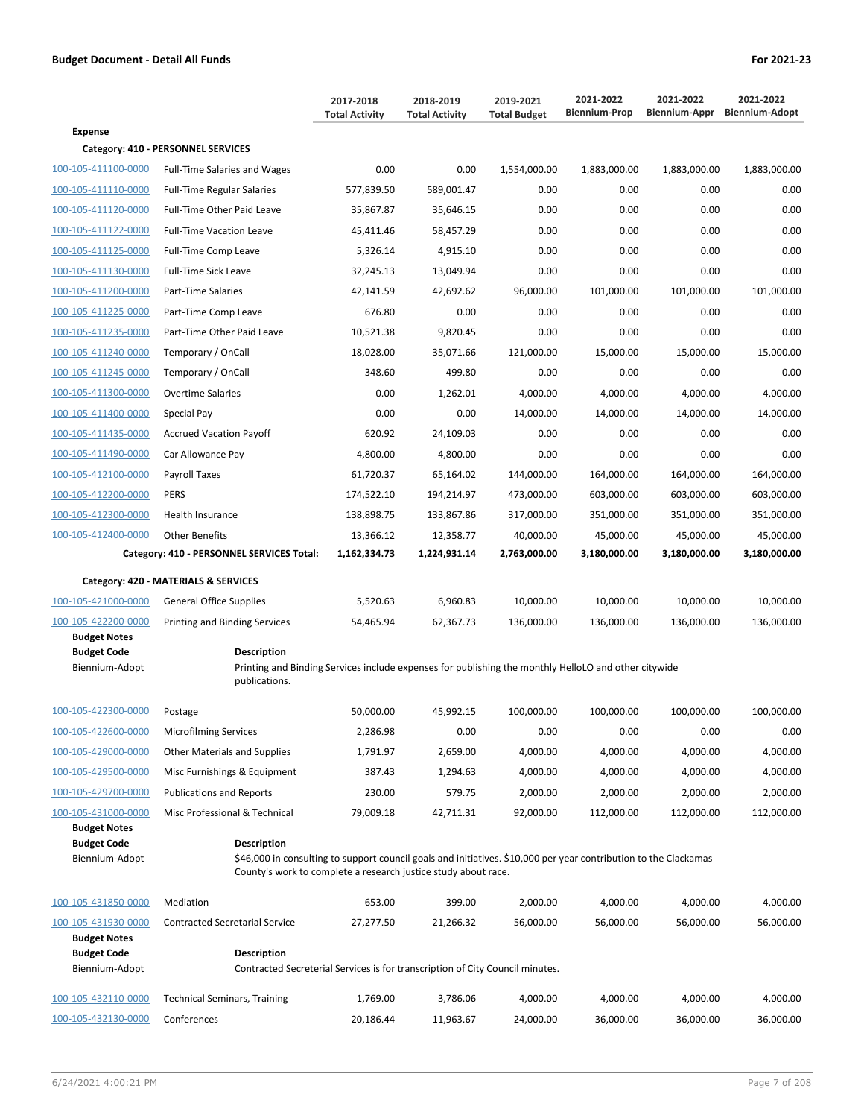|                                      |                                                                                                                                        | 2017-2018<br><b>Total Activity</b> | 2018-2019<br><b>Total Activity</b> | 2019-2021<br><b>Total Budget</b> | 2021-2022<br><b>Biennium-Prop</b> | 2021-2022<br>Biennium-Appr | 2021-2022<br><b>Biennium-Adopt</b> |
|--------------------------------------|----------------------------------------------------------------------------------------------------------------------------------------|------------------------------------|------------------------------------|----------------------------------|-----------------------------------|----------------------------|------------------------------------|
| <b>Expense</b>                       |                                                                                                                                        |                                    |                                    |                                  |                                   |                            |                                    |
|                                      | Category: 410 - PERSONNEL SERVICES                                                                                                     |                                    |                                    |                                  |                                   |                            |                                    |
| 100-105-411100-0000                  | <b>Full-Time Salaries and Wages</b>                                                                                                    | 0.00                               | 0.00                               | 1,554,000.00                     | 1,883,000.00                      | 1,883,000.00               | 1,883,000.00                       |
| 100-105-411110-0000                  | <b>Full-Time Regular Salaries</b>                                                                                                      | 577,839.50                         | 589,001.47                         | 0.00                             | 0.00                              | 0.00                       | 0.00                               |
| 100-105-411120-0000                  | Full-Time Other Paid Leave                                                                                                             | 35,867.87                          | 35,646.15                          | 0.00                             | 0.00                              | 0.00                       | 0.00                               |
| 100-105-411122-0000                  | <b>Full-Time Vacation Leave</b>                                                                                                        | 45,411.46                          | 58,457.29                          | 0.00                             | 0.00                              | 0.00                       | 0.00                               |
| 100-105-411125-0000                  | Full-Time Comp Leave                                                                                                                   | 5,326.14                           | 4,915.10                           | 0.00                             | 0.00                              | 0.00                       | 0.00                               |
| 100-105-411130-0000                  | <b>Full-Time Sick Leave</b>                                                                                                            | 32,245.13                          | 13,049.94                          | 0.00                             | 0.00                              | 0.00                       | 0.00                               |
| 100-105-411200-0000                  | Part-Time Salaries                                                                                                                     | 42,141.59                          | 42,692.62                          | 96,000.00                        | 101,000.00                        | 101,000.00                 | 101,000.00                         |
| 100-105-411225-0000                  | Part-Time Comp Leave                                                                                                                   | 676.80                             | 0.00                               | 0.00                             | 0.00                              | 0.00                       | 0.00                               |
| 100-105-411235-0000                  | Part-Time Other Paid Leave                                                                                                             | 10,521.38                          | 9,820.45                           | 0.00                             | 0.00                              | 0.00                       | 0.00                               |
| 100-105-411240-0000                  | Temporary / OnCall                                                                                                                     | 18,028.00                          | 35,071.66                          | 121,000.00                       | 15,000.00                         | 15,000.00                  | 15,000.00                          |
| 100-105-411245-0000                  | Temporary / OnCall                                                                                                                     | 348.60                             | 499.80                             | 0.00                             | 0.00                              | 0.00                       | 0.00                               |
| 100-105-411300-0000                  | <b>Overtime Salaries</b>                                                                                                               | 0.00                               | 1,262.01                           | 4,000.00                         | 4,000.00                          | 4,000.00                   | 4,000.00                           |
| 100-105-411400-0000                  | Special Pay                                                                                                                            | 0.00                               | 0.00                               | 14,000.00                        | 14,000.00                         | 14,000.00                  | 14,000.00                          |
| 100-105-411435-0000                  | <b>Accrued Vacation Payoff</b>                                                                                                         | 620.92                             | 24,109.03                          | 0.00                             | 0.00                              | 0.00                       | 0.00                               |
| 100-105-411490-0000                  | Car Allowance Pay                                                                                                                      | 4,800.00                           | 4,800.00                           | 0.00                             | 0.00                              | 0.00                       | 0.00                               |
| 100-105-412100-0000                  | <b>Payroll Taxes</b>                                                                                                                   | 61,720.37                          | 65,164.02                          | 144,000.00                       | 164,000.00                        | 164,000.00                 | 164,000.00                         |
| 100-105-412200-0000                  | <b>PERS</b>                                                                                                                            | 174,522.10                         | 194,214.97                         | 473,000.00                       | 603,000.00                        | 603,000.00                 | 603,000.00                         |
| 100-105-412300-0000                  | Health Insurance                                                                                                                       | 138,898.75                         | 133,867.86                         | 317,000.00                       | 351,000.00                        | 351,000.00                 | 351,000.00                         |
| 100-105-412400-0000                  | <b>Other Benefits</b>                                                                                                                  | 13,366.12                          | 12,358.77                          | 40,000.00                        | 45,000.00                         | 45,000.00                  | 45,000.00                          |
|                                      | Category: 410 - PERSONNEL SERVICES Total:                                                                                              | 1,162,334.73                       | 1,224,931.14                       | 2,763,000.00                     | 3,180,000.00                      | 3,180,000.00               | 3,180,000.00                       |
|                                      | Category: 420 - MATERIALS & SERVICES                                                                                                   |                                    |                                    |                                  |                                   |                            |                                    |
| 100-105-421000-0000                  | General Office Supplies                                                                                                                | 5,520.63                           | 6,960.83                           | 10,000.00                        | 10,000.00                         | 10,000.00                  | 10,000.00                          |
| 100-105-422200-0000                  | <b>Printing and Binding Services</b>                                                                                                   | 54,465.94                          | 62,367.73                          | 136,000.00                       | 136,000.00                        | 136,000.00                 | 136,000.00                         |
| <b>Budget Notes</b>                  |                                                                                                                                        |                                    |                                    |                                  |                                   |                            |                                    |
| <b>Budget Code</b><br>Biennium-Adopt | <b>Description</b><br>Printing and Binding Services include expenses for publishing the monthly HelloLO and other citywide             |                                    |                                    |                                  |                                   |                            |                                    |
|                                      | publications.                                                                                                                          |                                    |                                    |                                  |                                   |                            |                                    |
| 100-105-422300-0000                  | Postage                                                                                                                                | 50,000.00                          | 45,992.15                          | 100,000.00                       | 100,000.00                        | 100.000.00                 | 100,000.00                         |
| 100-105-422600-0000                  | <b>Microfilming Services</b>                                                                                                           | 2,286.98                           | 0.00                               | 0.00                             | 0.00                              | 0.00                       | 0.00                               |
| 100-105-429000-0000                  | <b>Other Materials and Supplies</b>                                                                                                    | 1,791.97                           | 2,659.00                           | 4,000.00                         | 4,000.00                          | 4,000.00                   | 4,000.00                           |
| 100-105-429500-0000                  | Misc Furnishings & Equipment                                                                                                           | 387.43                             | 1,294.63                           | 4,000.00                         | 4,000.00                          | 4,000.00                   | 4,000.00                           |
| 100-105-429700-0000                  | <b>Publications and Reports</b>                                                                                                        | 230.00                             | 579.75                             | 2,000.00                         | 2,000.00                          | 2,000.00                   | 2,000.00                           |
| 100-105-431000-0000                  | Misc Professional & Technical                                                                                                          | 79,009.18                          | 42,711.31                          | 92,000.00                        | 112,000.00                        | 112,000.00                 | 112,000.00                         |
| <b>Budget Notes</b>                  |                                                                                                                                        |                                    |                                    |                                  |                                   |                            |                                    |
| <b>Budget Code</b><br>Biennium-Adopt | <b>Description</b><br>\$46,000 in consulting to support council goals and initiatives. \$10,000 per year contribution to the Clackamas |                                    |                                    |                                  |                                   |                            |                                    |
|                                      | County's work to complete a research justice study about race.                                                                         |                                    |                                    |                                  |                                   |                            |                                    |
| 100-105-431850-0000                  | Mediation                                                                                                                              | 653.00                             | 399.00                             | 2,000.00                         | 4,000.00                          | 4,000.00                   | 4,000.00                           |
| 100-105-431930-0000                  | <b>Contracted Secretarial Service</b>                                                                                                  | 27,277.50                          | 21,266.32                          | 56,000.00                        | 56,000.00                         | 56,000.00                  | 56,000.00                          |
| <b>Budget Notes</b>                  |                                                                                                                                        |                                    |                                    |                                  |                                   |                            |                                    |
| <b>Budget Code</b>                   | <b>Description</b>                                                                                                                     |                                    |                                    |                                  |                                   |                            |                                    |
| Biennium-Adopt                       | Contracted Secreterial Services is for transcription of City Council minutes.                                                          |                                    |                                    |                                  |                                   |                            |                                    |
| 100-105-432110-0000                  | <b>Technical Seminars, Training</b>                                                                                                    | 1,769.00                           | 3,786.06                           | 4,000.00                         | 4,000.00                          | 4,000.00                   | 4,000.00                           |
| 100-105-432130-0000                  | Conferences                                                                                                                            | 20,186.44                          | 11,963.67                          | 24,000.00                        | 36,000.00                         | 36,000.00                  | 36,000.00                          |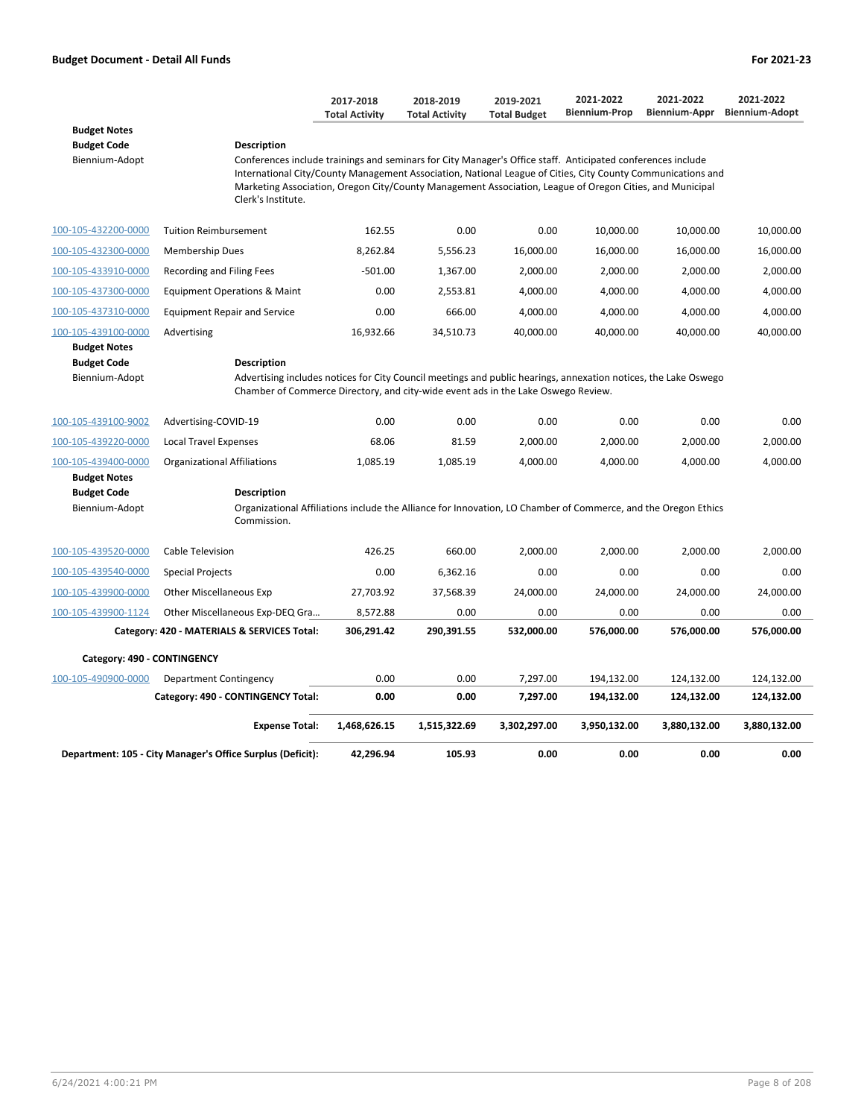|                                      |                                                                                                                                                                                                                                                                                                                                                              | 2017-2018<br><b>Total Activity</b> | 2018-2019<br><b>Total Activity</b> | 2019-2021<br><b>Total Budget</b> | 2021-2022<br><b>Biennium-Prop</b> | 2021-2022<br>Biennium-Appr | 2021-2022<br><b>Biennium-Adopt</b> |
|--------------------------------------|--------------------------------------------------------------------------------------------------------------------------------------------------------------------------------------------------------------------------------------------------------------------------------------------------------------------------------------------------------------|------------------------------------|------------------------------------|----------------------------------|-----------------------------------|----------------------------|------------------------------------|
| <b>Budget Notes</b>                  |                                                                                                                                                                                                                                                                                                                                                              |                                    |                                    |                                  |                                   |                            |                                    |
| <b>Budget Code</b>                   | <b>Description</b>                                                                                                                                                                                                                                                                                                                                           |                                    |                                    |                                  |                                   |                            |                                    |
| Biennium-Adopt                       | Conferences include trainings and seminars for City Manager's Office staff. Anticipated conferences include<br>International City/County Management Association, National League of Cities, City County Communications and<br>Marketing Association, Oregon City/County Management Association, League of Oregon Cities, and Municipal<br>Clerk's Institute. |                                    |                                    |                                  |                                   |                            |                                    |
| 100-105-432200-0000                  | <b>Tuition Reimbursement</b>                                                                                                                                                                                                                                                                                                                                 | 162.55                             | 0.00                               | 0.00                             | 10,000.00                         | 10,000.00                  | 10,000.00                          |
| 100-105-432300-0000                  | <b>Membership Dues</b>                                                                                                                                                                                                                                                                                                                                       | 8,262.84                           | 5,556.23                           | 16,000.00                        | 16,000.00                         | 16,000.00                  | 16,000.00                          |
| 100-105-433910-0000                  | Recording and Filing Fees                                                                                                                                                                                                                                                                                                                                    | $-501.00$                          | 1,367.00                           | 2,000.00                         | 2,000.00                          | 2,000.00                   | 2,000.00                           |
| 100-105-437300-0000                  | <b>Equipment Operations &amp; Maint</b>                                                                                                                                                                                                                                                                                                                      | 0.00                               | 2,553.81                           | 4,000.00                         | 4,000.00                          | 4,000.00                   | 4,000.00                           |
| 100-105-437310-0000                  | <b>Equipment Repair and Service</b>                                                                                                                                                                                                                                                                                                                          | 0.00                               | 666.00                             | 4,000.00                         | 4,000.00                          | 4,000.00                   | 4,000.00                           |
| 100-105-439100-0000                  | Advertising                                                                                                                                                                                                                                                                                                                                                  | 16,932.66                          | 34,510.73                          | 40,000.00                        | 40,000.00                         | 40,000.00                  | 40,000.00                          |
| <b>Budget Notes</b>                  |                                                                                                                                                                                                                                                                                                                                                              |                                    |                                    |                                  |                                   |                            |                                    |
| <b>Budget Code</b><br>Biennium-Adopt | Description<br>Advertising includes notices for City Council meetings and public hearings, annexation notices, the Lake Oswego                                                                                                                                                                                                                               |                                    |                                    |                                  |                                   |                            |                                    |
|                                      | Chamber of Commerce Directory, and city-wide event ads in the Lake Oswego Review.                                                                                                                                                                                                                                                                            |                                    |                                    |                                  |                                   |                            |                                    |
| 100-105-439100-9002                  | Advertising-COVID-19                                                                                                                                                                                                                                                                                                                                         | 0.00                               | 0.00                               | 0.00                             | 0.00                              | 0.00                       | 0.00                               |
| 100-105-439220-0000                  | <b>Local Travel Expenses</b>                                                                                                                                                                                                                                                                                                                                 | 68.06                              | 81.59                              | 2,000.00                         | 2,000.00                          | 2,000.00                   | 2,000.00                           |
| 100-105-439400-0000                  | <b>Organizational Affiliations</b>                                                                                                                                                                                                                                                                                                                           | 1,085.19                           | 1,085.19                           | 4,000.00                         | 4,000.00                          | 4,000.00                   | 4,000.00                           |
| <b>Budget Notes</b>                  |                                                                                                                                                                                                                                                                                                                                                              |                                    |                                    |                                  |                                   |                            |                                    |
| <b>Budget Code</b>                   | <b>Description</b>                                                                                                                                                                                                                                                                                                                                           |                                    |                                    |                                  |                                   |                            |                                    |
| Biennium-Adopt                       | Organizational Affiliations include the Alliance for Innovation, LO Chamber of Commerce, and the Oregon Ethics<br>Commission.                                                                                                                                                                                                                                |                                    |                                    |                                  |                                   |                            |                                    |
| 100-105-439520-0000                  | Cable Television                                                                                                                                                                                                                                                                                                                                             | 426.25                             | 660.00                             | 2,000.00                         | 2,000.00                          | 2,000.00                   | 2,000.00                           |
| 100-105-439540-0000                  | <b>Special Projects</b>                                                                                                                                                                                                                                                                                                                                      | 0.00                               | 6,362.16                           | 0.00                             | 0.00                              | 0.00                       | 0.00                               |
| 100-105-439900-0000                  | <b>Other Miscellaneous Exp</b>                                                                                                                                                                                                                                                                                                                               | 27,703.92                          | 37,568.39                          | 24,000.00                        | 24,000.00                         | 24,000.00                  | 24,000.00                          |
| 100-105-439900-1124                  | Other Miscellaneous Exp-DEQ Gra                                                                                                                                                                                                                                                                                                                              | 8,572.88                           | 0.00                               | 0.00                             | 0.00                              | 0.00                       | 0.00                               |
|                                      | Category: 420 - MATERIALS & SERVICES Total:                                                                                                                                                                                                                                                                                                                  | 306,291.42                         | 290,391.55                         | 532,000.00                       | 576,000.00                        | 576,000.00                 | 576,000.00                         |
| Category: 490 - CONTINGENCY          |                                                                                                                                                                                                                                                                                                                                                              |                                    |                                    |                                  |                                   |                            |                                    |
| 100-105-490900-0000                  | Department Contingency                                                                                                                                                                                                                                                                                                                                       | 0.00                               | 0.00                               | 7,297.00                         | 194,132.00                        | 124,132.00                 | 124,132.00                         |
|                                      | Category: 490 - CONTINGENCY Total:                                                                                                                                                                                                                                                                                                                           | 0.00                               | 0.00                               | 7,297.00                         | 194,132.00                        | 124,132.00                 | 124,132.00                         |
|                                      | <b>Expense Total:</b>                                                                                                                                                                                                                                                                                                                                        | 1,468,626.15                       | 1,515,322.69                       | 3,302,297.00                     | 3,950,132.00                      | 3,880,132.00               | 3,880,132.00                       |
|                                      | Department: 105 - City Manager's Office Surplus (Deficit):                                                                                                                                                                                                                                                                                                   | 42,296.94                          | 105.93                             | 0.00                             | 0.00                              | 0.00                       | 0.00                               |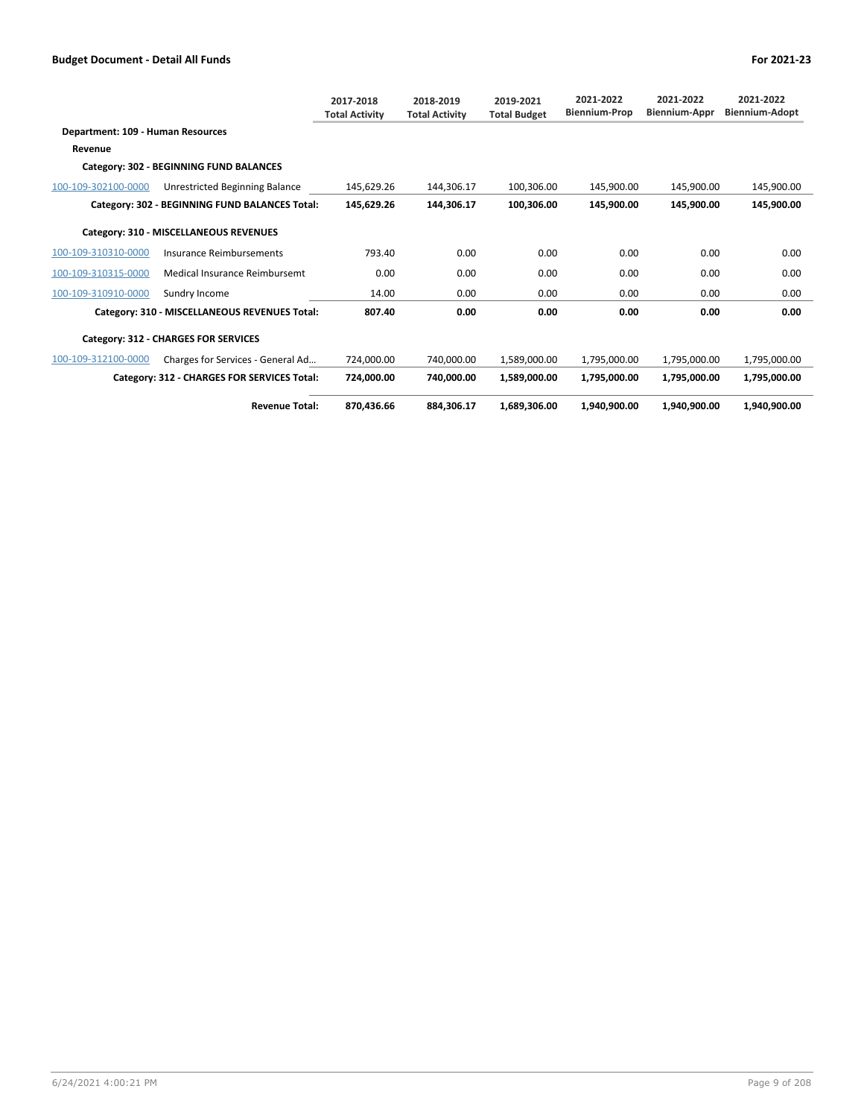|                                   |                                                | 2017-2018<br><b>Total Activity</b> | 2018-2019<br><b>Total Activity</b> | 2019-2021<br><b>Total Budget</b> | 2021-2022<br><b>Biennium-Prop</b> | 2021-2022<br>Biennium-Appr | 2021-2022<br><b>Biennium-Adopt</b> |
|-----------------------------------|------------------------------------------------|------------------------------------|------------------------------------|----------------------------------|-----------------------------------|----------------------------|------------------------------------|
| Department: 109 - Human Resources |                                                |                                    |                                    |                                  |                                   |                            |                                    |
| Revenue                           |                                                |                                    |                                    |                                  |                                   |                            |                                    |
|                                   | Category: 302 - BEGINNING FUND BALANCES        |                                    |                                    |                                  |                                   |                            |                                    |
| 100-109-302100-0000               | <b>Unrestricted Beginning Balance</b>          | 145.629.26                         | 144.306.17                         | 100.306.00                       | 145.900.00                        | 145.900.00                 | 145,900.00                         |
|                                   | Category: 302 - BEGINNING FUND BALANCES Total: | 145,629.26                         | 144,306.17                         | 100.306.00                       | 145.900.00                        | 145.900.00                 | 145.900.00                         |
|                                   | Category: 310 - MISCELLANEOUS REVENUES         |                                    |                                    |                                  |                                   |                            |                                    |
| 100-109-310310-0000               | Insurance Reimbursements                       | 793.40                             | 0.00                               | 0.00                             | 0.00                              | 0.00                       | 0.00                               |
| 100-109-310315-0000               | Medical Insurance Reimbursemt                  | 0.00                               | 0.00                               | 0.00                             | 0.00                              | 0.00                       | 0.00                               |
| 100-109-310910-0000               | Sundry Income                                  | 14.00                              | 0.00                               | 0.00                             | 0.00                              | 0.00                       | 0.00                               |
|                                   | Category: 310 - MISCELLANEOUS REVENUES Total:  | 807.40                             | 0.00                               | 0.00                             | 0.00                              | 0.00                       | 0.00                               |
|                                   | <b>Category: 312 - CHARGES FOR SERVICES</b>    |                                    |                                    |                                  |                                   |                            |                                    |
| 100-109-312100-0000               | Charges for Services - General Ad              | 724.000.00                         | 740.000.00                         | 1.589.000.00                     | 1,795,000.00                      | 1,795,000.00               | 1,795,000.00                       |
|                                   | Category: 312 - CHARGES FOR SERVICES Total:    | 724,000.00                         | 740,000.00                         | 1,589,000.00                     | 1,795,000.00                      | 1,795,000.00               | 1,795,000.00                       |
|                                   | <b>Revenue Total:</b>                          | 870.436.66                         | 884.306.17                         | 1.689.306.00                     | 1.940.900.00                      | 1.940.900.00               | 1.940.900.00                       |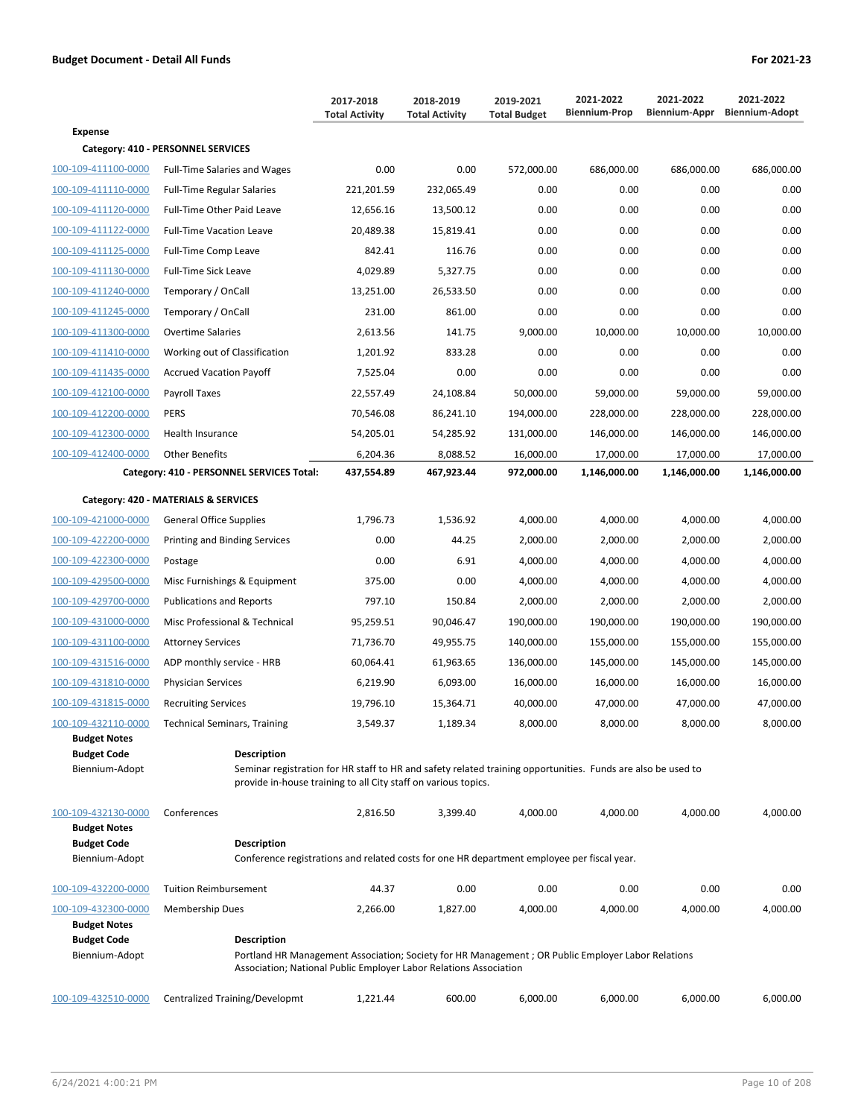|                                      |                                                                                                                                    | 2017-2018<br><b>Total Activity</b> | 2018-2019             | 2019-2021<br><b>Total Budget</b> | 2021-2022<br><b>Biennium-Prop</b> | 2021-2022<br>Biennium-Appr | 2021-2022<br><b>Biennium-Adopt</b> |
|--------------------------------------|------------------------------------------------------------------------------------------------------------------------------------|------------------------------------|-----------------------|----------------------------------|-----------------------------------|----------------------------|------------------------------------|
| <b>Expense</b>                       |                                                                                                                                    |                                    | <b>Total Activity</b> |                                  |                                   |                            |                                    |
|                                      | Category: 410 - PERSONNEL SERVICES                                                                                                 |                                    |                       |                                  |                                   |                            |                                    |
| 100-109-411100-0000                  | <b>Full-Time Salaries and Wages</b>                                                                                                | 0.00                               | 0.00                  | 572,000.00                       | 686,000.00                        | 686,000.00                 | 686,000.00                         |
| 100-109-411110-0000                  | <b>Full-Time Regular Salaries</b>                                                                                                  | 221,201.59                         | 232,065.49            | 0.00                             | 0.00                              | 0.00                       | 0.00                               |
| 100-109-411120-0000                  | Full-Time Other Paid Leave                                                                                                         | 12,656.16                          | 13,500.12             | 0.00                             | 0.00                              | 0.00                       | 0.00                               |
| 100-109-411122-0000                  | <b>Full-Time Vacation Leave</b>                                                                                                    | 20,489.38                          | 15,819.41             | 0.00                             | 0.00                              | 0.00                       | 0.00                               |
| 100-109-411125-0000                  | Full-Time Comp Leave                                                                                                               | 842.41                             | 116.76                | 0.00                             | 0.00                              | 0.00                       | 0.00                               |
| 100-109-411130-0000                  | Full-Time Sick Leave                                                                                                               | 4,029.89                           | 5,327.75              | 0.00                             | 0.00                              | 0.00                       | 0.00                               |
| 100-109-411240-0000                  | Temporary / OnCall                                                                                                                 | 13,251.00                          | 26,533.50             | 0.00                             | 0.00                              | 0.00                       | 0.00                               |
| 100-109-411245-0000                  | Temporary / OnCall                                                                                                                 | 231.00                             | 861.00                | 0.00                             | 0.00                              | 0.00                       | 0.00                               |
| 100-109-411300-0000                  | <b>Overtime Salaries</b>                                                                                                           | 2,613.56                           | 141.75                | 9,000.00                         | 10,000.00                         | 10,000.00                  | 10,000.00                          |
| 100-109-411410-0000                  | Working out of Classification                                                                                                      | 1,201.92                           | 833.28                | 0.00                             | 0.00                              | 0.00                       | 0.00                               |
| 100-109-411435-0000                  | <b>Accrued Vacation Payoff</b>                                                                                                     | 7,525.04                           | 0.00                  | 0.00                             | 0.00                              | 0.00                       | 0.00                               |
| 100-109-412100-0000                  | Payroll Taxes                                                                                                                      | 22,557.49                          | 24,108.84             | 50,000.00                        | 59,000.00                         | 59,000.00                  | 59,000.00                          |
| 100-109-412200-0000                  | <b>PERS</b>                                                                                                                        | 70,546.08                          | 86,241.10             | 194,000.00                       | 228,000.00                        | 228,000.00                 | 228,000.00                         |
| 100-109-412300-0000                  | Health Insurance                                                                                                                   | 54,205.01                          | 54,285.92             | 131,000.00                       | 146,000.00                        | 146,000.00                 | 146,000.00                         |
| 100-109-412400-0000                  | <b>Other Benefits</b>                                                                                                              | 6,204.36                           | 8,088.52              | 16,000.00                        | 17,000.00                         | 17,000.00                  | 17,000.00                          |
|                                      | Category: 410 - PERSONNEL SERVICES Total:                                                                                          | 437,554.89                         | 467,923.44            | 972,000.00                       | 1,146,000.00                      | 1,146,000.00               | 1,146,000.00                       |
|                                      | Category: 420 - MATERIALS & SERVICES                                                                                               |                                    |                       |                                  |                                   |                            |                                    |
| 100-109-421000-0000                  | <b>General Office Supplies</b>                                                                                                     | 1,796.73                           | 1,536.92              | 4,000.00                         | 4,000.00                          | 4,000.00                   | 4,000.00                           |
| 100-109-422200-0000                  | Printing and Binding Services                                                                                                      | 0.00                               | 44.25                 | 2,000.00                         | 2,000.00                          | 2,000.00                   | 2,000.00                           |
| 100-109-422300-0000                  | Postage                                                                                                                            | 0.00                               | 6.91                  | 4,000.00                         | 4,000.00                          | 4,000.00                   | 4,000.00                           |
| 100-109-429500-0000                  | Misc Furnishings & Equipment                                                                                                       | 375.00                             | 0.00                  | 4,000.00                         | 4,000.00                          | 4,000.00                   | 4,000.00                           |
| 100-109-429700-0000                  | <b>Publications and Reports</b>                                                                                                    | 797.10                             | 150.84                | 2,000.00                         | 2,000.00                          | 2,000.00                   | 2,000.00                           |
| 100-109-431000-0000                  | Misc Professional & Technical                                                                                                      | 95,259.51                          | 90,046.47             | 190,000.00                       | 190,000.00                        | 190,000.00                 | 190,000.00                         |
| 100-109-431100-0000                  | <b>Attorney Services</b>                                                                                                           | 71,736.70                          | 49,955.75             | 140,000.00                       | 155,000.00                        | 155,000.00                 | 155,000.00                         |
| 100-109-431516-0000                  | ADP monthly service - HRB                                                                                                          | 60,064.41                          | 61,963.65             | 136,000.00                       | 145,000.00                        | 145,000.00                 | 145,000.00                         |
| 100-109-431810-0000                  | <b>Physician Services</b>                                                                                                          | 6,219.90                           | 6,093.00              | 16,000.00                        | 16,000.00                         | 16,000.00                  | 16,000.00                          |
| 100-109-431815-0000                  | <b>Recruiting Services</b>                                                                                                         | 19,796.10                          | 15,364.71             | 40,000.00                        | 47,000.00                         | 47,000.00                  | 47,000.00                          |
| 100-109-432110-0000                  | <b>Technical Seminars, Training</b>                                                                                                | 3,549.37                           | 1,189.34              | 8,000.00                         | 8,000.00                          | 8,000.00                   | 8,000.00                           |
| <b>Budget Notes</b>                  |                                                                                                                                    |                                    |                       |                                  |                                   |                            |                                    |
| <b>Budget Code</b><br>Biennium-Adopt | <b>Description</b><br>Seminar registration for HR staff to HR and safety related training opportunities. Funds are also be used to |                                    |                       |                                  |                                   |                            |                                    |
|                                      | provide in-house training to all City staff on various topics.                                                                     |                                    |                       |                                  |                                   |                            |                                    |
| 100-109-432130-0000                  | Conferences                                                                                                                        | 2,816.50                           | 3,399.40              | 4,000.00                         | 4,000.00                          | 4,000.00                   | 4,000.00                           |
| <b>Budget Notes</b>                  |                                                                                                                                    |                                    |                       |                                  |                                   |                            |                                    |
| <b>Budget Code</b>                   | <b>Description</b>                                                                                                                 |                                    |                       |                                  |                                   |                            |                                    |
| Biennium-Adopt                       | Conference registrations and related costs for one HR department employee per fiscal year.                                         |                                    |                       |                                  |                                   |                            |                                    |
| 100-109-432200-0000                  | <b>Tuition Reimbursement</b>                                                                                                       | 44.37                              | 0.00                  | 0.00                             | 0.00                              | 0.00                       | 0.00                               |
| 100-109-432300-0000                  | Membership Dues                                                                                                                    | 2,266.00                           | 1,827.00              | 4,000.00                         | 4,000.00                          | 4,000.00                   | 4,000.00                           |
| <b>Budget Notes</b>                  |                                                                                                                                    |                                    |                       |                                  |                                   |                            |                                    |
| <b>Budget Code</b><br>Biennium-Adopt | <b>Description</b><br>Portland HR Management Association; Society for HR Management ; OR Public Employer Labor Relations           |                                    |                       |                                  |                                   |                            |                                    |
|                                      | Association; National Public Employer Labor Relations Association                                                                  |                                    |                       |                                  |                                   |                            |                                    |
| 100-109-432510-0000                  | Centralized Training/Developmt                                                                                                     | 1,221.44                           | 600.00                | 6,000.00                         | 6,000.00                          | 6,000.00                   | 6,000.00                           |
|                                      |                                                                                                                                    |                                    |                       |                                  |                                   |                            |                                    |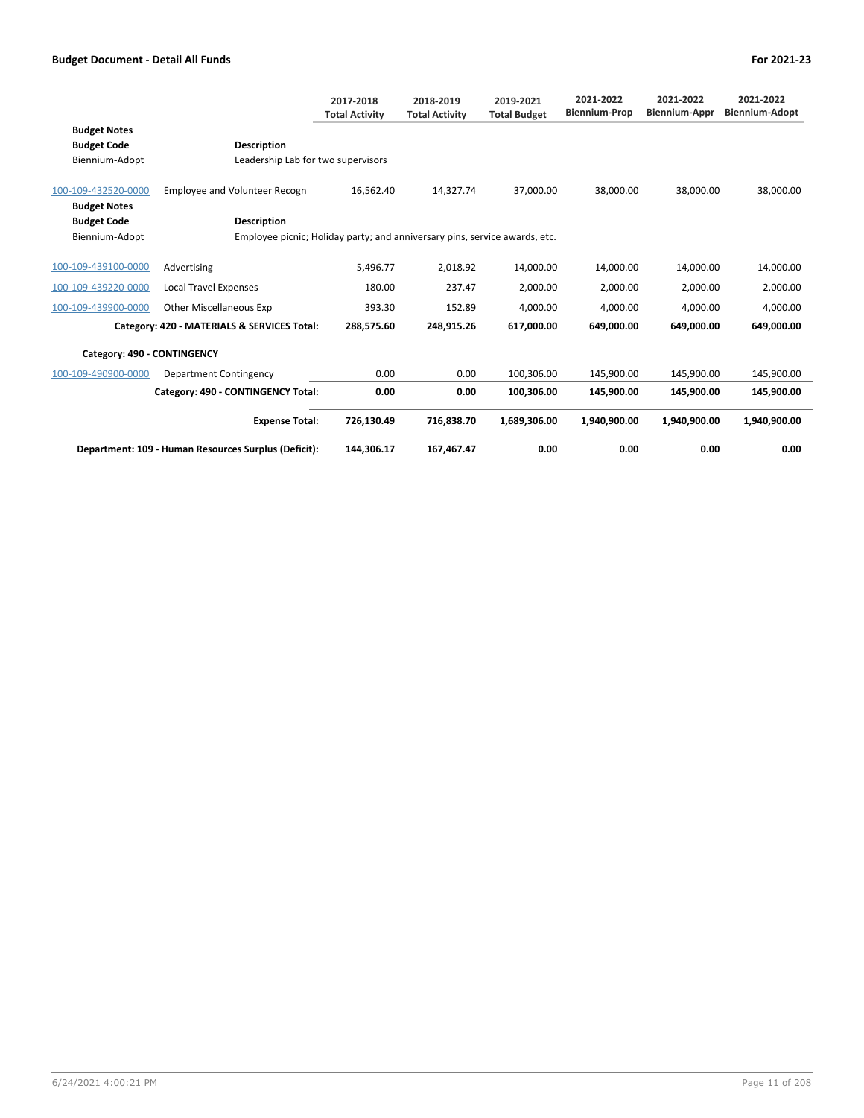|                                            |                                                                            | 2017-2018<br><b>Total Activity</b> | 2018-2019<br><b>Total Activity</b> | 2019-2021<br><b>Total Budget</b> | 2021-2022<br><b>Biennium-Prop</b> | 2021-2022<br>Biennium-Appr | 2021-2022<br><b>Biennium-Adopt</b> |
|--------------------------------------------|----------------------------------------------------------------------------|------------------------------------|------------------------------------|----------------------------------|-----------------------------------|----------------------------|------------------------------------|
| <b>Budget Notes</b><br><b>Budget Code</b>  | <b>Description</b>                                                         |                                    |                                    |                                  |                                   |                            |                                    |
| Biennium-Adopt                             | Leadership Lab for two supervisors                                         |                                    |                                    |                                  |                                   |                            |                                    |
| 100-109-432520-0000<br><b>Budget Notes</b> | <b>Employee and Volunteer Recogn</b>                                       | 16,562.40                          | 14,327.74                          | 37,000.00                        | 38,000.00                         | 38,000.00                  | 38,000.00                          |
| <b>Budget Code</b>                         | <b>Description</b>                                                         |                                    |                                    |                                  |                                   |                            |                                    |
| Biennium-Adopt                             | Employee picnic; Holiday party; and anniversary pins, service awards, etc. |                                    |                                    |                                  |                                   |                            |                                    |
| 100-109-439100-0000                        | Advertising                                                                | 5,496.77                           | 2,018.92                           | 14,000.00                        | 14.000.00                         | 14,000.00                  | 14,000.00                          |
| 100-109-439220-0000                        | <b>Local Travel Expenses</b>                                               | 180.00                             | 237.47                             | 2,000.00                         | 2,000.00                          | 2,000.00                   | 2,000.00                           |
| 100-109-439900-0000                        | <b>Other Miscellaneous Exp</b>                                             | 393.30                             | 152.89                             | 4,000.00                         | 4,000.00                          | 4,000.00                   | 4,000.00                           |
|                                            | Category: 420 - MATERIALS & SERVICES Total:                                | 288,575.60                         | 248,915.26                         | 617,000.00                       | 649,000.00                        | 649,000.00                 | 649,000.00                         |
| Category: 490 - CONTINGENCY                |                                                                            |                                    |                                    |                                  |                                   |                            |                                    |
| 100-109-490900-0000                        | Department Contingency                                                     | 0.00                               | 0.00                               | 100,306.00                       | 145,900.00                        | 145,900.00                 | 145,900.00                         |
|                                            | Category: 490 - CONTINGENCY Total:                                         | 0.00                               | 0.00                               | 100,306.00                       | 145,900.00                        | 145,900.00                 | 145,900.00                         |
|                                            | <b>Expense Total:</b>                                                      | 726,130.49                         | 716,838.70                         | 1,689,306.00                     | 1,940,900.00                      | 1,940,900.00               | 1,940,900.00                       |
|                                            | Department: 109 - Human Resources Surplus (Deficit):                       | 144.306.17                         | 167,467.47                         | 0.00                             | 0.00                              | 0.00                       | 0.00                               |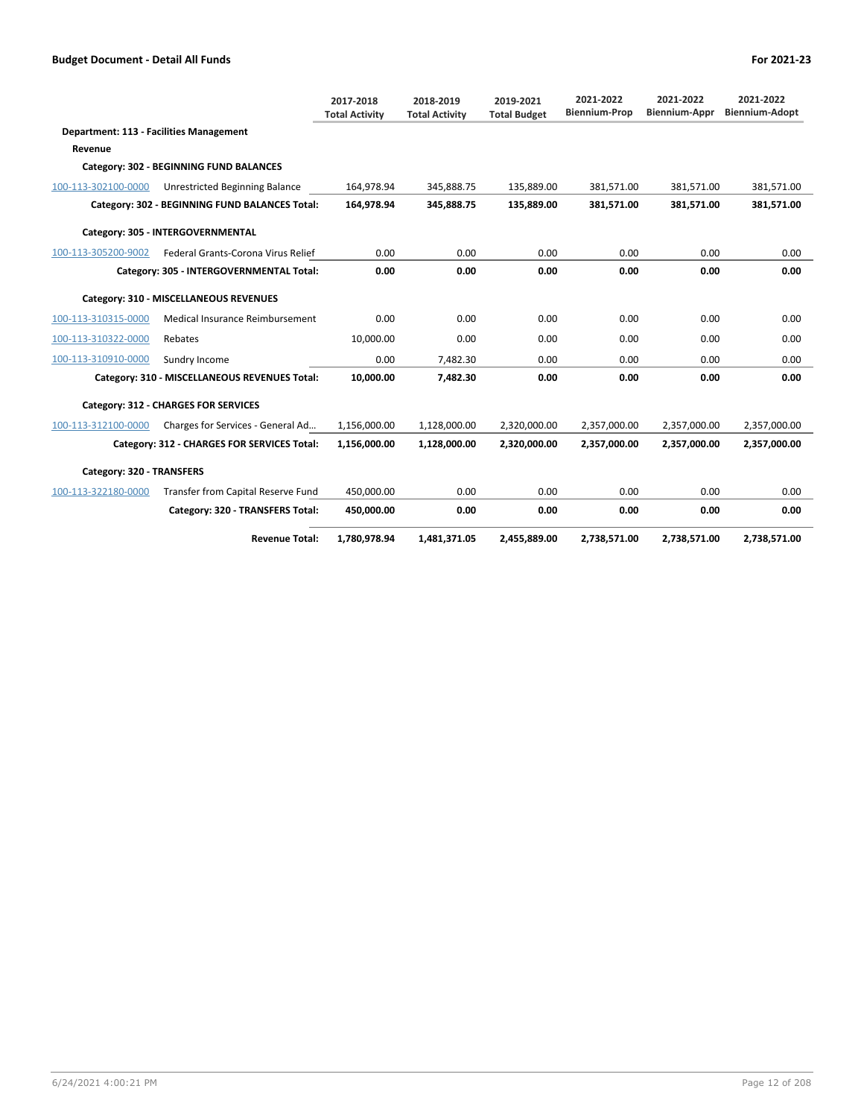|                                                |                                                | 2017-2018<br><b>Total Activity</b> | 2018-2019<br><b>Total Activity</b> | 2019-2021<br><b>Total Budget</b> | 2021-2022<br><b>Biennium-Prop</b> | 2021-2022<br><b>Biennium-Appr</b> | 2021-2022<br><b>Biennium-Adopt</b> |
|------------------------------------------------|------------------------------------------------|------------------------------------|------------------------------------|----------------------------------|-----------------------------------|-----------------------------------|------------------------------------|
| <b>Department: 113 - Facilities Management</b> |                                                |                                    |                                    |                                  |                                   |                                   |                                    |
| Revenue                                        |                                                |                                    |                                    |                                  |                                   |                                   |                                    |
|                                                | Category: 302 - BEGINNING FUND BALANCES        |                                    |                                    |                                  |                                   |                                   |                                    |
| 100-113-302100-0000                            | Unrestricted Beginning Balance                 | 164.978.94                         | 345.888.75                         | 135.889.00                       | 381.571.00                        | 381.571.00                        | 381.571.00                         |
|                                                | Category: 302 - BEGINNING FUND BALANCES Total: | 164,978.94                         | 345,888.75                         | 135,889.00                       | 381,571.00                        | 381,571.00                        | 381,571.00                         |
|                                                | Category: 305 - INTERGOVERNMENTAL              |                                    |                                    |                                  |                                   |                                   |                                    |
| 100-113-305200-9002                            | Federal Grants-Corona Virus Relief             | 0.00                               | 0.00                               | 0.00                             | 0.00                              | 0.00                              | 0.00                               |
|                                                | Category: 305 - INTERGOVERNMENTAL Total:       | 0.00                               | 0.00                               | 0.00                             | 0.00                              | 0.00                              | 0.00                               |
|                                                | Category: 310 - MISCELLANEOUS REVENUES         |                                    |                                    |                                  |                                   |                                   |                                    |
| 100-113-310315-0000                            | Medical Insurance Reimbursement                | 0.00                               | 0.00                               | 0.00                             | 0.00                              | 0.00                              | 0.00                               |
| 100-113-310322-0000                            | Rebates                                        | 10.000.00                          | 0.00                               | 0.00                             | 0.00                              | 0.00                              | 0.00                               |
| 100-113-310910-0000                            | Sundry Income                                  | 0.00                               | 7,482.30                           | 0.00                             | 0.00                              | 0.00                              | 0.00                               |
|                                                | Category: 310 - MISCELLANEOUS REVENUES Total:  | 10,000.00                          | 7,482.30                           | 0.00                             | 0.00                              | 0.00                              | 0.00                               |
|                                                | Category: 312 - CHARGES FOR SERVICES           |                                    |                                    |                                  |                                   |                                   |                                    |
| 100-113-312100-0000                            | Charges for Services - General Ad              | 1.156.000.00                       | 1,128,000.00                       | 2,320,000.00                     | 2,357,000.00                      | 2,357,000.00                      | 2,357,000.00                       |
|                                                | Category: 312 - CHARGES FOR SERVICES Total:    | 1,156,000.00                       | 1,128,000.00                       | 2,320,000.00                     | 2,357,000.00                      | 2,357,000.00                      | 2,357,000.00                       |
| Category: 320 - TRANSFERS                      |                                                |                                    |                                    |                                  |                                   |                                   |                                    |
| 100-113-322180-0000                            | Transfer from Capital Reserve Fund             | 450.000.00                         | 0.00                               | 0.00                             | 0.00                              | 0.00                              | 0.00                               |
|                                                | Category: 320 - TRANSFERS Total:               | 450,000.00                         | 0.00                               | 0.00                             | 0.00                              | 0.00                              | 0.00                               |
|                                                | <b>Revenue Total:</b>                          | 1,780,978.94                       | 1,481,371.05                       | 2,455,889.00                     | 2,738,571.00                      | 2,738,571.00                      | 2,738,571.00                       |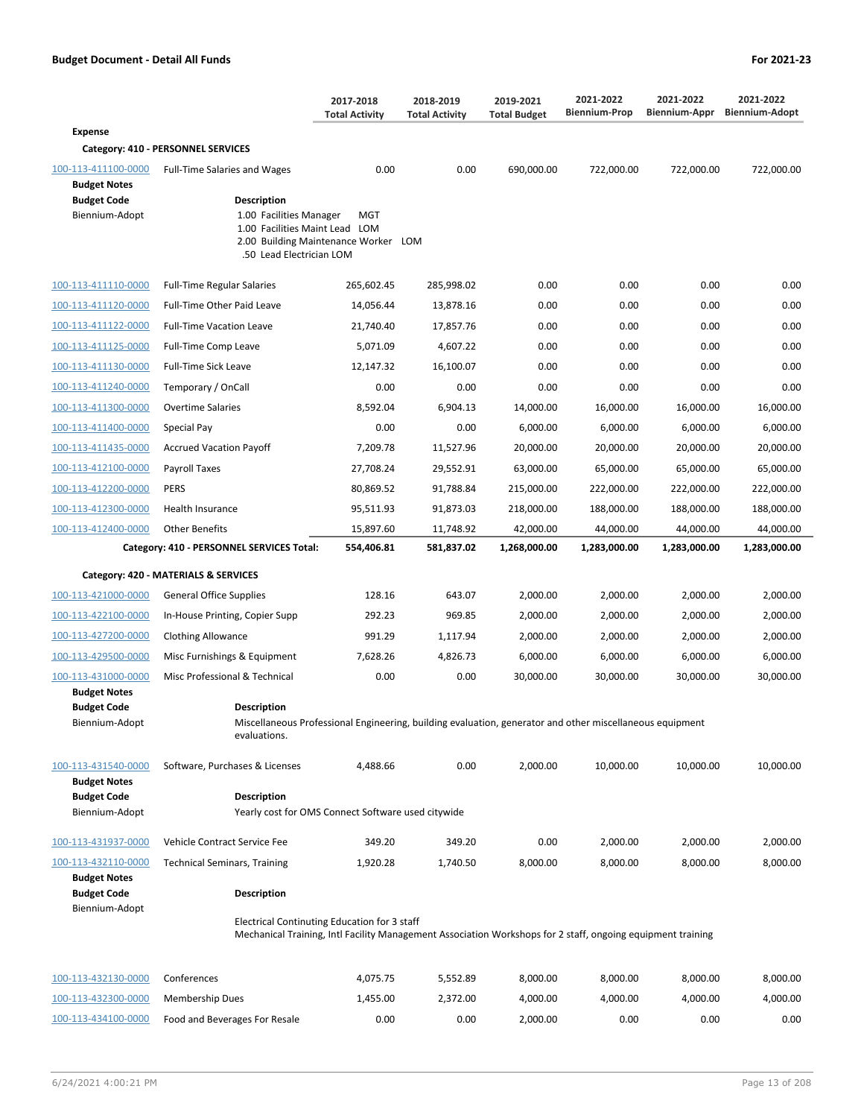|                                                                                    |                                                                                                                                                             | 2017-2018<br><b>Total Activity</b> | 2018-2019<br><b>Total Activity</b> | 2019-2021<br><b>Total Budget</b> | 2021-2022<br><b>Biennium-Prop</b> | 2021-2022<br>Biennium-Appr | 2021-2022<br><b>Biennium-Adopt</b> |
|------------------------------------------------------------------------------------|-------------------------------------------------------------------------------------------------------------------------------------------------------------|------------------------------------|------------------------------------|----------------------------------|-----------------------------------|----------------------------|------------------------------------|
| <b>Expense</b>                                                                     |                                                                                                                                                             |                                    |                                    |                                  |                                   |                            |                                    |
|                                                                                    | Category: 410 - PERSONNEL SERVICES                                                                                                                          |                                    |                                    |                                  |                                   |                            |                                    |
| 100-113-411100-0000<br><b>Budget Notes</b><br><b>Budget Code</b><br>Biennium-Adopt | <b>Full-Time Salaries and Wages</b><br>Description<br>1.00 Facilities Manager                                                                               | 0.00<br>MGT                        | 0.00                               | 690,000.00                       | 722,000.00                        | 722,000.00                 | 722,000.00                         |
|                                                                                    | 1.00 Facilities Maint Lead LOM<br>2.00<br>.50 Lead Electrician LOM                                                                                          | Building Maintenance Worker LOM    |                                    |                                  |                                   |                            |                                    |
| 100-113-411110-0000                                                                | <b>Full-Time Regular Salaries</b>                                                                                                                           | 265,602.45                         | 285,998.02                         | 0.00                             | 0.00                              | 0.00                       | 0.00                               |
| 100-113-411120-0000                                                                | Full-Time Other Paid Leave                                                                                                                                  | 14,056.44                          | 13,878.16                          | 0.00                             | 0.00                              | 0.00                       | 0.00                               |
| 100-113-411122-0000                                                                | <b>Full-Time Vacation Leave</b>                                                                                                                             | 21,740.40                          | 17,857.76                          | 0.00                             | 0.00                              | 0.00                       | 0.00                               |
| 100-113-411125-0000                                                                | Full-Time Comp Leave                                                                                                                                        | 5,071.09                           | 4,607.22                           | 0.00                             | 0.00                              | 0.00                       | 0.00                               |
| 100-113-411130-0000                                                                | <b>Full-Time Sick Leave</b>                                                                                                                                 | 12,147.32                          | 16,100.07                          | 0.00                             | 0.00                              | 0.00                       | 0.00                               |
| 100-113-411240-0000                                                                | Temporary / OnCall                                                                                                                                          | 0.00                               | 0.00                               | 0.00                             | 0.00                              | 0.00                       | 0.00                               |
| 100-113-411300-0000                                                                | <b>Overtime Salaries</b>                                                                                                                                    | 8,592.04                           | 6,904.13                           | 14,000.00                        | 16,000.00                         | 16,000.00                  | 16,000.00                          |
| 100-113-411400-0000                                                                | Special Pay                                                                                                                                                 | 0.00                               | 0.00                               | 6,000.00                         | 6,000.00                          | 6,000.00                   | 6,000.00                           |
| 100-113-411435-0000                                                                | <b>Accrued Vacation Payoff</b>                                                                                                                              | 7,209.78                           | 11,527.96                          | 20,000.00                        | 20,000.00                         | 20,000.00                  | 20,000.00                          |
| 100-113-412100-0000                                                                | Payroll Taxes                                                                                                                                               | 27,708.24                          | 29,552.91                          | 63,000.00                        | 65,000.00                         | 65,000.00                  | 65,000.00                          |
| 100-113-412200-0000                                                                | <b>PERS</b>                                                                                                                                                 | 80,869.52                          | 91,788.84                          | 215,000.00                       | 222,000.00                        | 222,000.00                 | 222,000.00                         |
| 100-113-412300-0000                                                                | Health Insurance                                                                                                                                            | 95,511.93                          | 91,873.03                          | 218,000.00                       | 188,000.00                        | 188,000.00                 | 188,000.00                         |
| 100-113-412400-0000                                                                | <b>Other Benefits</b>                                                                                                                                       | 15,897.60                          | 11,748.92                          | 42,000.00                        | 44,000.00                         | 44,000.00                  | 44,000.00                          |
|                                                                                    | Category: 410 - PERSONNEL SERVICES Total:                                                                                                                   | 554,406.81                         | 581,837.02                         | 1,268,000.00                     | 1,283,000.00                      | 1,283,000.00               | 1,283,000.00                       |
|                                                                                    | Category: 420 - MATERIALS & SERVICES                                                                                                                        |                                    |                                    |                                  |                                   |                            |                                    |
| 100-113-421000-0000                                                                | <b>General Office Supplies</b>                                                                                                                              | 128.16                             | 643.07                             | 2,000.00                         | 2,000.00                          | 2,000.00                   | 2,000.00                           |
| 100-113-422100-0000                                                                | In-House Printing, Copier Supp                                                                                                                              | 292.23                             | 969.85                             | 2,000.00                         | 2,000.00                          | 2,000.00                   | 2,000.00                           |
| 100-113-427200-0000                                                                | <b>Clothing Allowance</b>                                                                                                                                   | 991.29                             | 1,117.94                           | 2,000.00                         | 2,000.00                          | 2,000.00                   | 2,000.00                           |
| 100-113-429500-0000                                                                | Misc Furnishings & Equipment                                                                                                                                | 7,628.26                           | 4,826.73                           | 6,000.00                         | 6,000.00                          | 6,000.00                   | 6,000.00                           |
| 100-113-431000-0000                                                                | Misc Professional & Technical                                                                                                                               | 0.00                               | 0.00                               | 30,000.00                        | 30,000.00                         | 30,000.00                  | 30,000.00                          |
| <b>Budget Notes</b><br><b>Budget Code</b><br>Biennium-Adopt                        | Description<br>Miscellaneous Professional Engineering, building evaluation, generator and other miscellaneous equipment                                     |                                    |                                    |                                  |                                   |                            |                                    |
|                                                                                    | evaluations.                                                                                                                                                |                                    |                                    |                                  |                                   |                            |                                    |
| 100-113-431540-0000<br><b>Budget Notes</b>                                         | Software, Purchases & Licenses                                                                                                                              | 4,488.66                           | 0.00                               | 2,000.00                         | 10,000.00                         | 10,000.00                  | 10,000.00                          |
| <b>Budget Code</b><br>Biennium-Adopt                                               | <b>Description</b><br>Yearly cost for OMS Connect Software used citywide                                                                                    |                                    |                                    |                                  |                                   |                            |                                    |
| 100-113-431937-0000                                                                | Vehicle Contract Service Fee                                                                                                                                | 349.20                             | 349.20                             | 0.00                             | 2,000.00                          | 2,000.00                   | 2,000.00                           |
| 100-113-432110-0000                                                                | <b>Technical Seminars, Training</b>                                                                                                                         | 1,920.28                           | 1,740.50                           | 8,000.00                         | 8,000.00                          | 8,000.00                   | 8,000.00                           |
| <b>Budget Notes</b><br><b>Budget Code</b>                                          | Description                                                                                                                                                 |                                    |                                    |                                  |                                   |                            |                                    |
| Biennium-Adopt                                                                     | Electrical Continuting Education for 3 staff<br>Mechanical Training, Intl Facility Management Association Workshops for 2 staff, ongoing equipment training |                                    |                                    |                                  |                                   |                            |                                    |
| 100-113-432130-0000                                                                | Conferences                                                                                                                                                 | 4,075.75                           | 5,552.89                           | 8,000.00                         | 8,000.00                          | 8,000.00                   | 8,000.00                           |
| 100-113-432300-0000                                                                | <b>Membership Dues</b>                                                                                                                                      | 1,455.00                           | 2,372.00                           | 4,000.00                         | 4,000.00                          | 4,000.00                   | 4,000.00                           |
| 100-113-434100-0000                                                                | Food and Beverages For Resale                                                                                                                               | 0.00                               | 0.00                               | 2,000.00                         | 0.00                              | 0.00                       | 0.00                               |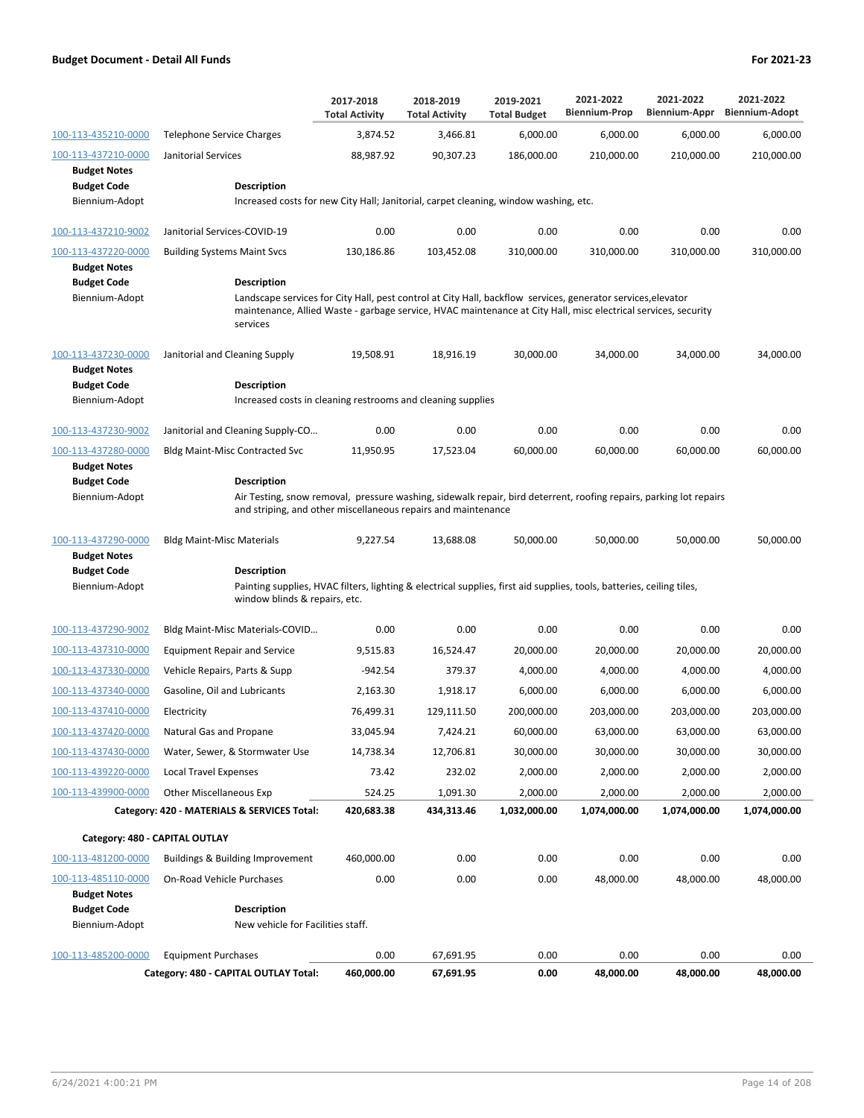|                                                                                    |                                                                                                                                                                                                                                                                  | 2017-2018<br><b>Total Activity</b> | 2018-2019<br><b>Total Activity</b> | 2019-2021<br><b>Total Budget</b> | 2021-2022<br><b>Biennium-Prop</b> | 2021-2022<br>Biennium-Appr | 2021-2022<br><b>Biennium-Adopt</b> |
|------------------------------------------------------------------------------------|------------------------------------------------------------------------------------------------------------------------------------------------------------------------------------------------------------------------------------------------------------------|------------------------------------|------------------------------------|----------------------------------|-----------------------------------|----------------------------|------------------------------------|
| 100-113-435210-0000                                                                | <b>Telephone Service Charges</b>                                                                                                                                                                                                                                 | 3,874.52                           | 3,466.81                           | 6,000.00                         | 6,000.00                          | 6,000.00                   | 6,000.00                           |
| 100-113-437210-0000                                                                | Janitorial Services                                                                                                                                                                                                                                              | 88,987.92                          | 90,307.23                          | 186,000.00                       | 210,000.00                        | 210,000.00                 | 210,000.00                         |
| <b>Budget Notes</b><br><b>Budget Code</b>                                          | Description                                                                                                                                                                                                                                                      |                                    |                                    |                                  |                                   |                            |                                    |
| Biennium-Adopt                                                                     | Increased costs for new City Hall; Janitorial, carpet cleaning, window washing, etc.                                                                                                                                                                             |                                    |                                    |                                  |                                   |                            |                                    |
| 100-113-437210-9002                                                                | Janitorial Services-COVID-19                                                                                                                                                                                                                                     | 0.00                               | 0.00                               | 0.00                             | 0.00                              | 0.00                       | 0.00                               |
| 100-113-437220-0000                                                                | <b>Building Systems Maint Svcs</b>                                                                                                                                                                                                                               | 130,186.86                         | 103,452.08                         | 310,000.00                       | 310,000.00                        | 310,000.00                 | 310,000.00                         |
| <b>Budget Notes</b>                                                                |                                                                                                                                                                                                                                                                  |                                    |                                    |                                  |                                   |                            |                                    |
| <b>Budget Code</b><br>Biennium-Adopt                                               | <b>Description</b><br>Landscape services for City Hall, pest control at City Hall, backflow services, generator services, elevator<br>maintenance, Allied Waste - garbage service, HVAC maintenance at City Hall, misc electrical services, security<br>services |                                    |                                    |                                  |                                   |                            |                                    |
| 100-113-437230-0000<br><b>Budget Notes</b>                                         | Janitorial and Cleaning Supply                                                                                                                                                                                                                                   | 19,508.91                          | 18,916.19                          | 30,000.00                        | 34,000.00                         | 34,000.00                  | 34,000.00                          |
| <b>Budget Code</b><br>Biennium-Adopt                                               | Description<br>Increased costs in cleaning restrooms and cleaning supplies                                                                                                                                                                                       |                                    |                                    |                                  |                                   |                            |                                    |
|                                                                                    |                                                                                                                                                                                                                                                                  |                                    |                                    |                                  |                                   |                            |                                    |
| 100-113-437230-9002                                                                | Janitorial and Cleaning Supply-CO                                                                                                                                                                                                                                | 0.00                               | 0.00                               | 0.00                             | 0.00                              | 0.00                       | 0.00                               |
| 100-113-437280-0000<br><b>Budget Notes</b><br><b>Budget Code</b><br>Biennium-Adopt | <b>Bldg Maint-Misc Contracted Svc</b><br><b>Description</b><br>Air Testing, snow removal, pressure washing, sidewalk repair, bird deterrent, roofing repairs, parking lot repairs<br>and striping, and other miscellaneous repairs and maintenance               | 11,950.95                          | 17,523.04                          | 60,000.00                        | 60,000.00                         | 60,000.00                  | 60,000.00                          |
| 100-113-437290-0000                                                                | <b>Bldg Maint-Misc Materials</b>                                                                                                                                                                                                                                 | 9,227.54                           | 13,688.08                          | 50,000.00                        | 50,000.00                         | 50,000.00                  | 50,000.00                          |
| <b>Budget Notes</b><br><b>Budget Code</b>                                          | Description                                                                                                                                                                                                                                                      |                                    |                                    |                                  |                                   |                            |                                    |
| Biennium-Adopt                                                                     | Painting supplies, HVAC filters, lighting & electrical supplies, first aid supplies, tools, batteries, ceiling tiles,<br>window blinds & repairs, etc.                                                                                                           |                                    |                                    |                                  |                                   |                            |                                    |
| 100-113-437290-9002                                                                | Bldg Maint-Misc Materials-COVID                                                                                                                                                                                                                                  | 0.00                               | 0.00                               | 0.00                             | 0.00                              | 0.00                       | 0.00                               |
| 100-113-437310-0000                                                                | <b>Equipment Repair and Service</b>                                                                                                                                                                                                                              | 9,515.83                           | 16,524.47                          | 20,000.00                        | 20,000.00                         | 20,000.00                  | 20,000.00                          |
| 100-113-437330-0000                                                                | Vehicle Repairs, Parts & Supp                                                                                                                                                                                                                                    | $-942.54$                          | 379.37                             | 4,000.00                         | 4,000.00                          | 4,000.00                   | 4,000.00                           |
| 100-113-437340-0000                                                                | Gasoline, Oil and Lubricants                                                                                                                                                                                                                                     | 2,163.30                           | 1,918.17                           | 6,000.00                         | 6,000.00                          | 6,000.00                   | 6,000.00                           |
| 100-113-437410-0000                                                                | Electricity                                                                                                                                                                                                                                                      | 76,499.31                          | 129,111.50                         | 200,000.00                       | 203.000.00                        | 203.000.00                 | 203,000.00                         |
| 100-113-437420-0000                                                                | Natural Gas and Propane                                                                                                                                                                                                                                          | 33,045.94                          | 7,424.21                           | 60,000.00                        | 63,000.00                         | 63,000.00                  | 63,000.00                          |
| 100-113-437430-0000                                                                | Water, Sewer, & Stormwater Use                                                                                                                                                                                                                                   | 14,738.34                          | 12,706.81                          | 30,000.00                        | 30,000.00                         | 30,000.00                  | 30,000.00                          |
| 100-113-439220-0000                                                                | <b>Local Travel Expenses</b>                                                                                                                                                                                                                                     | 73.42                              | 232.02                             | 2,000.00                         | 2,000.00                          | 2,000.00                   | 2,000.00                           |
| 100-113-439900-0000                                                                | <b>Other Miscellaneous Exp</b>                                                                                                                                                                                                                                   | 524.25                             | 1,091.30                           | 2,000.00                         | 2,000.00                          | 2,000.00                   | 2,000.00                           |
|                                                                                    | Category: 420 - MATERIALS & SERVICES Total:                                                                                                                                                                                                                      | 420,683.38                         | 434,313.46                         | 1,032,000.00                     | 1,074,000.00                      | 1,074,000.00               | 1,074,000.00                       |
| Category: 480 - CAPITAL OUTLAY                                                     |                                                                                                                                                                                                                                                                  |                                    |                                    |                                  |                                   |                            |                                    |
| 100-113-481200-0000                                                                | Buildings & Building Improvement                                                                                                                                                                                                                                 | 460,000.00                         | 0.00                               | 0.00                             | 0.00                              | 0.00                       | 0.00                               |
| 100-113-485110-0000<br><b>Budget Notes</b>                                         | <b>On-Road Vehicle Purchases</b>                                                                                                                                                                                                                                 | 0.00                               | 0.00                               | 0.00                             | 48,000.00                         | 48,000.00                  | 48,000.00                          |
| <b>Budget Code</b>                                                                 | Description                                                                                                                                                                                                                                                      |                                    |                                    |                                  |                                   |                            |                                    |
| Biennium-Adopt                                                                     | New vehicle for Facilities staff.                                                                                                                                                                                                                                |                                    |                                    |                                  |                                   |                            |                                    |
| 100-113-485200-0000                                                                | <b>Equipment Purchases</b>                                                                                                                                                                                                                                       | 0.00                               | 67,691.95                          | 0.00                             | 0.00                              | 0.00                       | 0.00                               |
|                                                                                    | Category: 480 - CAPITAL OUTLAY Total:                                                                                                                                                                                                                            | 460,000.00                         | 67,691.95                          | 0.00                             | 48,000.00                         | 48,000.00                  | 48,000.00                          |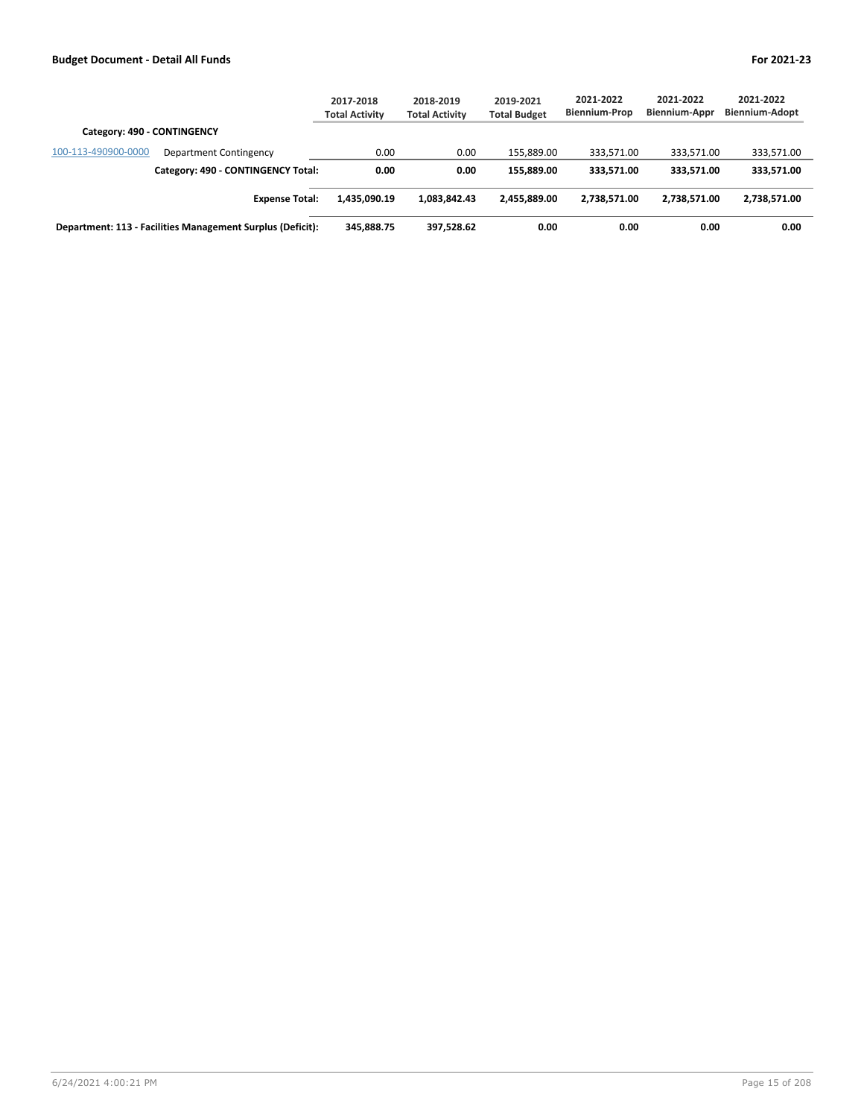|                                                            | 2017-2018<br><b>Total Activity</b> | 2018-2019<br><b>Total Activity</b> | 2019-2021<br><b>Total Budget</b> | 2021-2022<br><b>Biennium-Prop</b> | 2021-2022<br><b>Biennium-Appr</b> | 2021-2022<br>Biennium-Adopt |
|------------------------------------------------------------|------------------------------------|------------------------------------|----------------------------------|-----------------------------------|-----------------------------------|-----------------------------|
| Category: 490 - CONTINGENCY                                |                                    |                                    |                                  |                                   |                                   |                             |
| 100-113-490900-0000<br>Department Contingency              | 0.00                               | 0.00                               | 155.889.00                       | 333.571.00                        | 333.571.00                        | 333,571.00                  |
| Category: 490 - CONTINGENCY Total:                         | 0.00                               | 0.00                               | 155.889.00                       | 333.571.00                        | 333.571.00                        | 333,571.00                  |
| <b>Expense Total:</b>                                      | 1.435.090.19                       | 1.083.842.43                       | 2.455.889.00                     | 2.738.571.00                      | 2,738,571.00                      | 2,738,571.00                |
| Department: 113 - Facilities Management Surplus (Deficit): | 345,888.75                         | 397.528.62                         | 0.00                             | 0.00                              | 0.00                              | 0.00                        |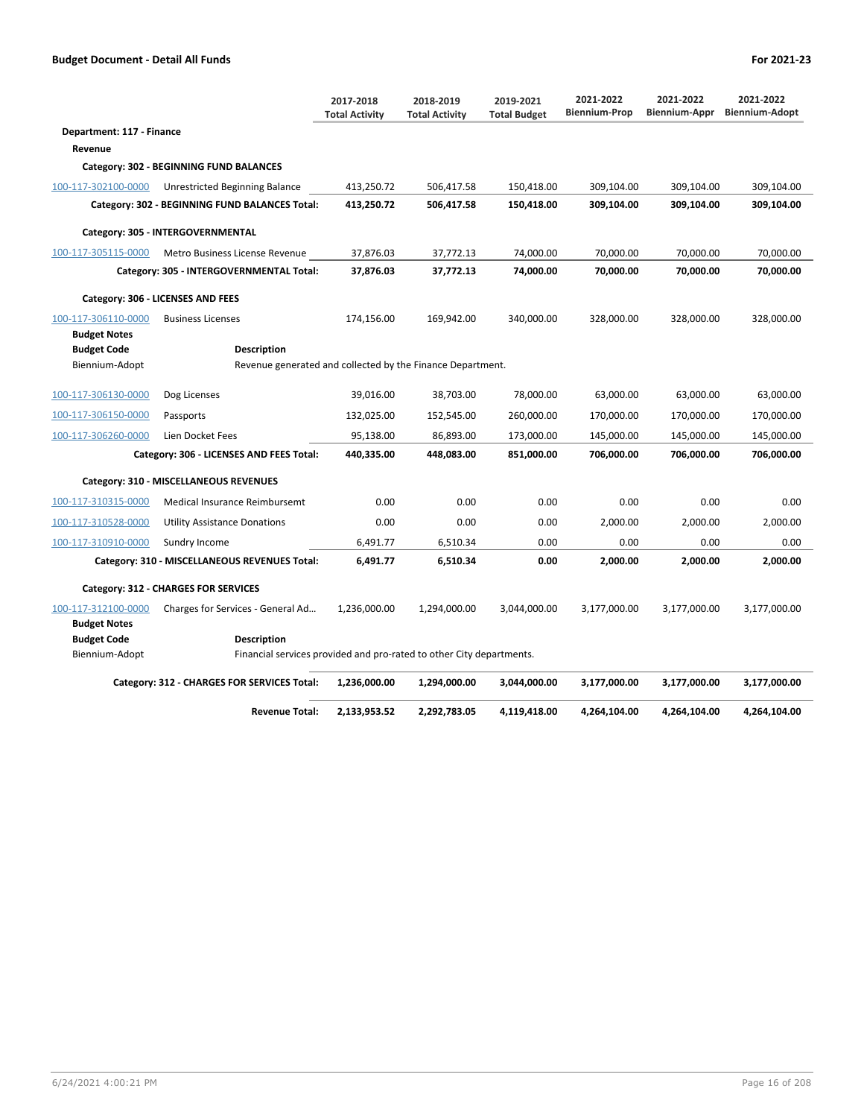|                           |                                                                      | 2017-2018<br><b>Total Activity</b> | 2018-2019<br><b>Total Activity</b> | 2019-2021<br><b>Total Budget</b> | 2021-2022<br><b>Biennium-Prop</b> | 2021-2022<br>Biennium-Appr | 2021-2022<br><b>Biennium-Adopt</b> |
|---------------------------|----------------------------------------------------------------------|------------------------------------|------------------------------------|----------------------------------|-----------------------------------|----------------------------|------------------------------------|
| Department: 117 - Finance |                                                                      |                                    |                                    |                                  |                                   |                            |                                    |
| Revenue                   |                                                                      |                                    |                                    |                                  |                                   |                            |                                    |
|                           | Category: 302 - BEGINNING FUND BALANCES                              |                                    |                                    |                                  |                                   |                            |                                    |
| 100-117-302100-0000       | Unrestricted Beginning Balance                                       | 413,250.72                         | 506,417.58                         | 150,418.00                       | 309,104.00                        | 309,104.00                 | 309,104.00                         |
|                           | Category: 302 - BEGINNING FUND BALANCES Total:                       | 413,250.72                         | 506,417.58                         | 150,418.00                       | 309,104.00                        | 309,104.00                 | 309,104.00                         |
|                           | Category: 305 - INTERGOVERNMENTAL                                    |                                    |                                    |                                  |                                   |                            |                                    |
| 100-117-305115-0000       | Metro Business License Revenue                                       | 37,876.03                          | 37,772.13                          | 74,000.00                        | 70,000.00                         | 70,000.00                  | 70.000.00                          |
|                           | Category: 305 - INTERGOVERNMENTAL Total:                             | 37,876.03                          | 37,772.13                          | 74,000.00                        | 70,000.00                         | 70,000.00                  | 70,000.00                          |
|                           | Category: 306 - LICENSES AND FEES                                    |                                    |                                    |                                  |                                   |                            |                                    |
| 100-117-306110-0000       | <b>Business Licenses</b>                                             | 174,156.00                         | 169,942.00                         | 340,000.00                       | 328,000.00                        | 328,000.00                 | 328,000.00                         |
| <b>Budget Notes</b>       |                                                                      |                                    |                                    |                                  |                                   |                            |                                    |
| <b>Budget Code</b>        | Description                                                          |                                    |                                    |                                  |                                   |                            |                                    |
| Biennium-Adopt            | Revenue generated and collected by the Finance Department.           |                                    |                                    |                                  |                                   |                            |                                    |
| 100-117-306130-0000       | Dog Licenses                                                         | 39,016.00                          | 38,703.00                          | 78,000.00                        | 63,000.00                         | 63,000.00                  | 63,000.00                          |
| 100-117-306150-0000       | Passports                                                            | 132,025.00                         | 152,545.00                         | 260,000.00                       | 170,000.00                        | 170,000.00                 | 170,000.00                         |
| 100-117-306260-0000       | Lien Docket Fees                                                     | 95,138.00                          | 86,893.00                          | 173,000.00                       | 145,000.00                        | 145,000.00                 | 145,000.00                         |
|                           | Category: 306 - LICENSES AND FEES Total:                             | 440,335.00                         | 448,083.00                         | 851,000.00                       | 706,000.00                        | 706,000.00                 | 706,000.00                         |
|                           | Category: 310 - MISCELLANEOUS REVENUES                               |                                    |                                    |                                  |                                   |                            |                                    |
| 100-117-310315-0000       | Medical Insurance Reimbursemt                                        | 0.00                               | 0.00                               | 0.00                             | 0.00                              | 0.00                       | 0.00                               |
| 100-117-310528-0000       | <b>Utility Assistance Donations</b>                                  | 0.00                               | 0.00                               | 0.00                             | 2,000.00                          | 2,000.00                   | 2,000.00                           |
| 100-117-310910-0000       | Sundry Income                                                        | 6,491.77                           | 6,510.34                           | 0.00                             | 0.00                              | 0.00                       | 0.00                               |
|                           | Category: 310 - MISCELLANEOUS REVENUES Total:                        | 6,491.77                           | 6,510.34                           | 0.00                             | 2,000.00                          | 2,000.00                   | 2,000.00                           |
|                           | Category: 312 - CHARGES FOR SERVICES                                 |                                    |                                    |                                  |                                   |                            |                                    |
| 100-117-312100-0000       | Charges for Services - General Ad                                    | 1,236,000.00                       | 1,294,000.00                       | 3,044,000.00                     | 3,177,000.00                      | 3,177,000.00               | 3,177,000.00                       |
| <b>Budget Notes</b>       |                                                                      |                                    |                                    |                                  |                                   |                            |                                    |
| <b>Budget Code</b>        | Description                                                          |                                    |                                    |                                  |                                   |                            |                                    |
| Biennium-Adopt            | Financial services provided and pro-rated to other City departments. |                                    |                                    |                                  |                                   |                            |                                    |
|                           | Category: 312 - CHARGES FOR SERVICES Total:                          | 1,236,000.00                       | 1,294,000.00                       | 3,044,000.00                     | 3,177,000.00                      | 3,177,000.00               | 3,177,000.00                       |
|                           | <b>Revenue Total:</b>                                                | 2,133,953.52                       | 2,292,783.05                       | 4,119,418.00                     | 4,264,104.00                      | 4,264,104.00               | 4,264,104.00                       |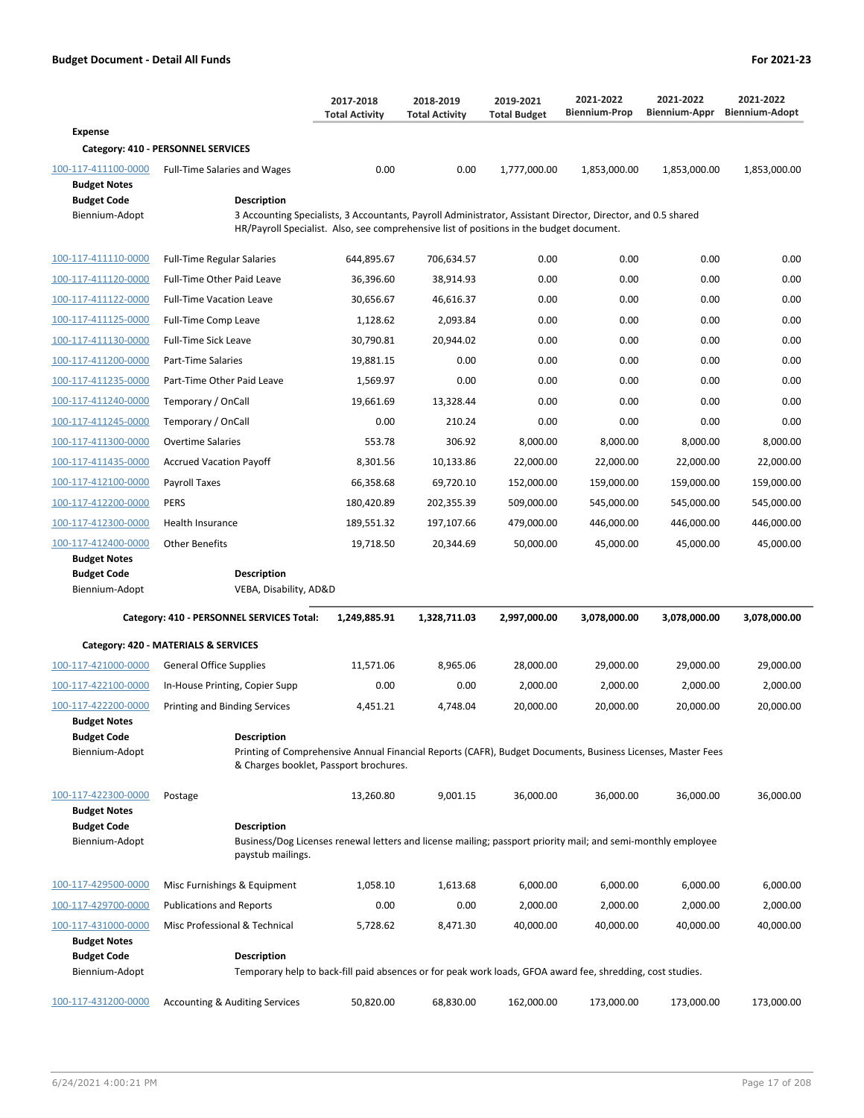|                                                                                    |                                                                                                                                                                                                                                                                       | 2017-2018<br><b>Total Activity</b> | 2018-2019<br><b>Total Activity</b> | 2019-2021<br><b>Total Budget</b> | 2021-2022<br><b>Biennium-Prop</b> | 2021-2022<br>Biennium-Appr | 2021-2022<br><b>Biennium-Adopt</b> |
|------------------------------------------------------------------------------------|-----------------------------------------------------------------------------------------------------------------------------------------------------------------------------------------------------------------------------------------------------------------------|------------------------------------|------------------------------------|----------------------------------|-----------------------------------|----------------------------|------------------------------------|
| <b>Expense</b>                                                                     |                                                                                                                                                                                                                                                                       |                                    |                                    |                                  |                                   |                            |                                    |
|                                                                                    | Category: 410 - PERSONNEL SERVICES                                                                                                                                                                                                                                    |                                    |                                    |                                  |                                   |                            |                                    |
| 100-117-411100-0000<br><b>Budget Notes</b><br><b>Budget Code</b><br>Biennium-Adopt | <b>Full-Time Salaries and Wages</b><br><b>Description</b><br>3 Accounting Specialists, 3 Accountants, Payroll Administrator, Assistant Director, Director, and 0.5 shared<br>HR/Payroll Specialist. Also, see comprehensive list of positions in the budget document. | 0.00                               | 0.00                               | 1,777,000.00                     | 1,853,000.00                      | 1,853,000.00               | 1,853,000.00                       |
|                                                                                    |                                                                                                                                                                                                                                                                       |                                    |                                    |                                  |                                   |                            |                                    |
| 100-117-411110-0000                                                                | <b>Full-Time Regular Salaries</b>                                                                                                                                                                                                                                     | 644,895.67                         | 706,634.57                         | 0.00                             | 0.00                              | 0.00                       | 0.00                               |
| 100-117-411120-0000                                                                | Full-Time Other Paid Leave                                                                                                                                                                                                                                            | 36,396.60                          | 38,914.93                          | 0.00                             | 0.00                              | 0.00                       | 0.00                               |
| 100-117-411122-0000                                                                | <b>Full-Time Vacation Leave</b>                                                                                                                                                                                                                                       | 30,656.67                          | 46,616.37                          | 0.00                             | 0.00                              | 0.00                       | 0.00                               |
| 100-117-411125-0000                                                                | Full-Time Comp Leave                                                                                                                                                                                                                                                  | 1,128.62                           | 2,093.84                           | 0.00                             | 0.00                              | 0.00                       | 0.00                               |
| 100-117-411130-0000                                                                | <b>Full-Time Sick Leave</b>                                                                                                                                                                                                                                           | 30,790.81                          | 20,944.02                          | 0.00                             | 0.00                              | 0.00                       | 0.00                               |
| 100-117-411200-0000                                                                | Part-Time Salaries                                                                                                                                                                                                                                                    | 19,881.15                          | 0.00                               | 0.00                             | 0.00                              | 0.00                       | 0.00                               |
| 100-117-411235-0000                                                                | Part-Time Other Paid Leave                                                                                                                                                                                                                                            | 1,569.97                           | 0.00                               | 0.00                             | 0.00                              | 0.00                       | 0.00                               |
| 100-117-411240-0000                                                                | Temporary / OnCall                                                                                                                                                                                                                                                    | 19,661.69                          | 13,328.44                          | 0.00                             | 0.00                              | 0.00                       | 0.00                               |
| 100-117-411245-0000                                                                | Temporary / OnCall                                                                                                                                                                                                                                                    | 0.00                               | 210.24                             | 0.00                             | 0.00                              | 0.00                       | 0.00                               |
| 100-117-411300-0000                                                                | <b>Overtime Salaries</b>                                                                                                                                                                                                                                              | 553.78                             | 306.92                             | 8,000.00                         | 8,000.00                          | 8,000.00                   | 8,000.00                           |
| 100-117-411435-0000                                                                | <b>Accrued Vacation Payoff</b>                                                                                                                                                                                                                                        | 8,301.56                           | 10,133.86                          | 22,000.00                        | 22,000.00                         | 22,000.00                  | 22,000.00                          |
| 100-117-412100-0000                                                                | Payroll Taxes                                                                                                                                                                                                                                                         | 66,358.68                          | 69.720.10                          | 152,000.00                       | 159,000.00                        | 159,000.00                 | 159,000.00                         |
| 100-117-412200-0000                                                                | <b>PERS</b>                                                                                                                                                                                                                                                           | 180,420.89                         | 202,355.39                         | 509,000.00                       | 545,000.00                        | 545,000.00                 | 545,000.00                         |
| 100-117-412300-0000                                                                | Health Insurance                                                                                                                                                                                                                                                      | 189,551.32                         | 197,107.66                         | 479,000.00                       | 446,000.00                        | 446,000.00                 | 446,000.00                         |
| 100-117-412400-0000                                                                | <b>Other Benefits</b>                                                                                                                                                                                                                                                 | 19,718.50                          | 20,344.69                          | 50,000.00                        | 45,000.00                         | 45,000.00                  | 45,000.00                          |
| <b>Budget Notes</b><br><b>Budget Code</b>                                          | <b>Description</b>                                                                                                                                                                                                                                                    |                                    |                                    |                                  |                                   |                            |                                    |
| Biennium-Adopt                                                                     | VEBA, Disability, AD&D                                                                                                                                                                                                                                                |                                    |                                    |                                  |                                   |                            |                                    |
|                                                                                    | Category: 410 - PERSONNEL SERVICES Total:                                                                                                                                                                                                                             | 1,249,885.91                       | 1,328,711.03                       | 2,997,000.00                     | 3,078,000.00                      | 3,078,000.00               | 3,078,000.00                       |
|                                                                                    |                                                                                                                                                                                                                                                                       |                                    |                                    |                                  |                                   |                            |                                    |
|                                                                                    | Category: 420 - MATERIALS & SERVICES                                                                                                                                                                                                                                  |                                    |                                    |                                  |                                   |                            |                                    |
| 100-117-421000-0000                                                                | <b>General Office Supplies</b>                                                                                                                                                                                                                                        | 11,571.06                          | 8,965.06                           | 28,000.00                        | 29,000.00                         | 29,000.00                  | 29,000.00                          |
| 100-117-422100-0000                                                                | In-House Printing, Copier Supp                                                                                                                                                                                                                                        | 0.00                               | 0.00                               | 2,000.00                         | 2,000.00                          | 2,000.00                   | 2,000.00                           |
| 100-117-422200-0000                                                                | Printing and Binding Services                                                                                                                                                                                                                                         | 4,451.21                           | 4,748.04                           | 20,000.00                        | 20,000.00                         | 20,000.00                  | 20,000.00                          |
| <b>Budget Notes</b><br><b>Budget Code</b><br>Biennium-Adopt                        | <b>Description</b><br>Printing of Comprehensive Annual Financial Reports (CAFR), Budget Documents, Business Licenses, Master Fees<br>& Charges booklet, Passport brochures.                                                                                           |                                    |                                    |                                  |                                   |                            |                                    |
| 100-117-422300-0000<br><b>Budget Notes</b>                                         | Postage                                                                                                                                                                                                                                                               | 13,260.80                          | 9,001.15                           | 36,000.00                        | 36,000.00                         | 36,000.00                  | 36,000.00                          |
| <b>Budget Code</b><br>Biennium-Adopt                                               | <b>Description</b><br>Business/Dog Licenses renewal letters and license mailing; passport priority mail; and semi-monthly employee<br>paystub mailings.                                                                                                               |                                    |                                    |                                  |                                   |                            |                                    |
| 100-117-429500-0000                                                                | Misc Furnishings & Equipment                                                                                                                                                                                                                                          | 1,058.10                           | 1,613.68                           | 6,000.00                         | 6,000.00                          | 6,000.00                   | 6,000.00                           |
| 100-117-429700-0000                                                                | <b>Publications and Reports</b>                                                                                                                                                                                                                                       | 0.00                               | 0.00                               | 2,000.00                         | 2,000.00                          | 2,000.00                   | 2,000.00                           |
| 100-117-431000-0000                                                                | Misc Professional & Technical                                                                                                                                                                                                                                         | 5,728.62                           | 8,471.30                           | 40,000.00                        | 40,000.00                         | 40,000.00                  | 40,000.00                          |
| <b>Budget Notes</b>                                                                |                                                                                                                                                                                                                                                                       |                                    |                                    |                                  |                                   |                            |                                    |
| <b>Budget Code</b>                                                                 | Description                                                                                                                                                                                                                                                           |                                    |                                    |                                  |                                   |                            |                                    |
| Biennium-Adopt                                                                     | Temporary help to back-fill paid absences or for peak work loads, GFOA award fee, shredding, cost studies.                                                                                                                                                            |                                    |                                    |                                  |                                   |                            |                                    |
| 100-117-431200-0000                                                                | <b>Accounting &amp; Auditing Services</b>                                                                                                                                                                                                                             | 50,820.00                          | 68,830.00                          | 162,000.00                       | 173,000.00                        | 173,000.00                 | 173,000.00                         |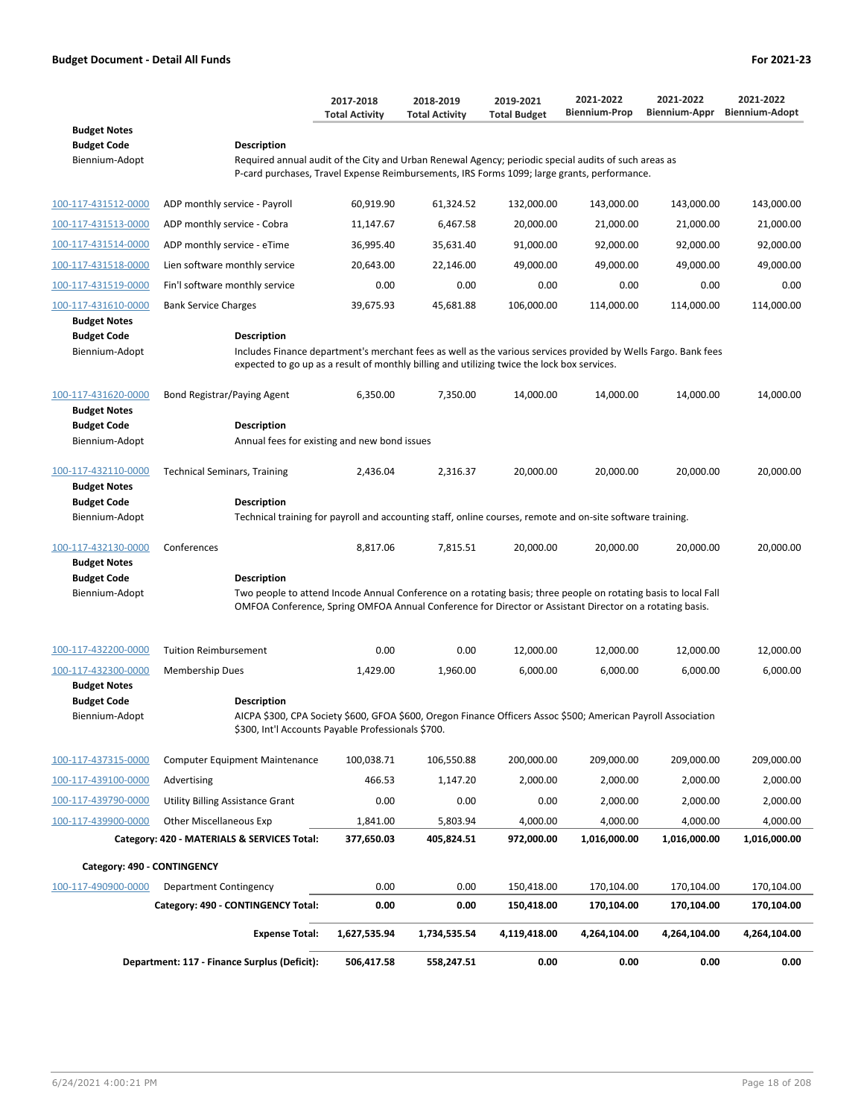|                                                             |                                                                                                                                                                                                                                            | 2017-2018<br><b>Total Activity</b> | 2018-2019<br><b>Total Activity</b> | 2019-2021<br><b>Total Budget</b> | 2021-2022<br><b>Biennium-Prop</b> | 2021-2022<br>Biennium-Appr | 2021-2022<br><b>Biennium-Adopt</b> |
|-------------------------------------------------------------|--------------------------------------------------------------------------------------------------------------------------------------------------------------------------------------------------------------------------------------------|------------------------------------|------------------------------------|----------------------------------|-----------------------------------|----------------------------|------------------------------------|
| <b>Budget Notes</b>                                         |                                                                                                                                                                                                                                            |                                    |                                    |                                  |                                   |                            |                                    |
| <b>Budget Code</b><br>Biennium-Adopt                        | <b>Description</b><br>Required annual audit of the City and Urban Renewal Agency; periodic special audits of such areas as                                                                                                                 |                                    |                                    |                                  |                                   |                            |                                    |
|                                                             | P-card purchases, Travel Expense Reimbursements, IRS Forms 1099; large grants, performance.                                                                                                                                                |                                    |                                    |                                  |                                   |                            |                                    |
| 100-117-431512-0000                                         | ADP monthly service - Payroll                                                                                                                                                                                                              | 60,919.90                          | 61,324.52                          | 132,000.00                       | 143,000.00                        | 143,000.00                 | 143,000.00                         |
| 100-117-431513-0000                                         | ADP monthly service - Cobra                                                                                                                                                                                                                | 11,147.67                          | 6,467.58                           | 20,000.00                        | 21,000.00                         | 21,000.00                  | 21,000.00                          |
| 100-117-431514-0000                                         | ADP monthly service - eTime                                                                                                                                                                                                                | 36,995.40                          | 35,631.40                          | 91,000.00                        | 92,000.00                         | 92,000.00                  | 92,000.00                          |
| 100-117-431518-0000                                         | Lien software monthly service                                                                                                                                                                                                              | 20,643.00                          | 22,146.00                          | 49,000.00                        | 49,000.00                         | 49,000.00                  | 49,000.00                          |
| 100-117-431519-0000                                         | Fin'l software monthly service                                                                                                                                                                                                             | 0.00                               | 0.00                               | 0.00                             | 0.00                              | 0.00                       | 0.00                               |
| 100-117-431610-0000                                         | <b>Bank Service Charges</b>                                                                                                                                                                                                                | 39,675.93                          | 45,681.88                          | 106,000.00                       | 114,000.00                        | 114,000.00                 | 114,000.00                         |
| <b>Budget Notes</b>                                         |                                                                                                                                                                                                                                            |                                    |                                    |                                  |                                   |                            |                                    |
| <b>Budget Code</b><br>Biennium-Adopt                        | Description<br>Includes Finance department's merchant fees as well as the various services provided by Wells Fargo. Bank fees<br>expected to go up as a result of monthly billing and utilizing twice the lock box services.               |                                    |                                    |                                  |                                   |                            |                                    |
| 100-117-431620-0000<br><b>Budget Notes</b>                  | Bond Registrar/Paying Agent                                                                                                                                                                                                                | 6,350.00                           | 7,350.00                           | 14,000.00                        | 14,000.00                         | 14,000.00                  | 14,000.00                          |
| <b>Budget Code</b>                                          | <b>Description</b>                                                                                                                                                                                                                         |                                    |                                    |                                  |                                   |                            |                                    |
| Biennium-Adopt                                              | Annual fees for existing and new bond issues                                                                                                                                                                                               |                                    |                                    |                                  |                                   |                            |                                    |
| 100-117-432110-0000<br><b>Budget Notes</b>                  | <b>Technical Seminars, Training</b>                                                                                                                                                                                                        | 2,436.04                           | 2,316.37                           | 20,000.00                        | 20,000.00                         | 20,000.00                  | 20,000.00                          |
| <b>Budget Code</b>                                          | Description                                                                                                                                                                                                                                |                                    |                                    |                                  |                                   |                            |                                    |
| Biennium-Adopt                                              | Technical training for payroll and accounting staff, online courses, remote and on-site software training.                                                                                                                                 |                                    |                                    |                                  |                                   |                            |                                    |
| 100-117-432130-0000                                         | Conferences                                                                                                                                                                                                                                | 8,817.06                           | 7,815.51                           | 20,000.00                        | 20,000.00                         | 20,000.00                  | 20,000.00                          |
| <b>Budget Notes</b>                                         |                                                                                                                                                                                                                                            |                                    |                                    |                                  |                                   |                            |                                    |
| <b>Budget Code</b><br>Biennium-Adopt                        | Description<br>Two people to attend Incode Annual Conference on a rotating basis; three people on rotating basis to local Fall<br>OMFOA Conference, Spring OMFOA Annual Conference for Director or Assistant Director on a rotating basis. |                                    |                                    |                                  |                                   |                            |                                    |
| 100-117-432200-0000                                         | <b>Tuition Reimbursement</b>                                                                                                                                                                                                               | 0.00                               | 0.00                               | 12,000.00                        | 12,000.00                         | 12,000.00                  | 12,000.00                          |
| 100-117-432300-0000                                         | Membership Dues                                                                                                                                                                                                                            | 1,429.00                           | 1,960.00                           | 6,000.00                         | 6,000.00                          | 6,000.00                   | 6,000.00                           |
| <b>Budget Notes</b><br><b>Budget Code</b><br>Biennium-Adopt | <b>Description</b><br>AICPA \$300, CPA Society \$600, GFOA \$600, Oregon Finance Officers Assoc \$500; American Payroll Association<br>\$300, Int'l Accounts Payable Professionals \$700.                                                  |                                    |                                    |                                  |                                   |                            |                                    |
|                                                             |                                                                                                                                                                                                                                            |                                    |                                    |                                  |                                   |                            |                                    |
| 100-117-437315-0000                                         | <b>Computer Equipment Maintenance</b>                                                                                                                                                                                                      | 100,038.71                         | 106,550.88                         | 200,000.00                       | 209,000.00                        | 209,000.00                 | 209,000.00                         |
| 100-117-439100-0000                                         | Advertising                                                                                                                                                                                                                                | 466.53                             | 1,147.20                           | 2,000.00                         | 2,000.00                          | 2,000.00                   | 2,000.00                           |
| 100-117-439790-0000                                         | <b>Utility Billing Assistance Grant</b>                                                                                                                                                                                                    | 0.00                               | 0.00                               | 0.00                             | 2,000.00                          | 2,000.00                   | 2,000.00                           |
| 100-117-439900-0000                                         | <b>Other Miscellaneous Exp</b>                                                                                                                                                                                                             | 1,841.00                           | 5,803.94                           | 4,000.00                         | 4,000.00                          | 4,000.00                   | 4,000.00                           |
|                                                             | Category: 420 - MATERIALS & SERVICES Total:                                                                                                                                                                                                | 377,650.03                         | 405,824.51                         | 972,000.00                       | 1,016,000.00                      | 1,016,000.00               | 1,016,000.00                       |
| Category: 490 - CONTINGENCY                                 |                                                                                                                                                                                                                                            |                                    |                                    |                                  |                                   |                            |                                    |
| 100-117-490900-0000                                         | Department Contingency                                                                                                                                                                                                                     | 0.00                               | 0.00                               | 150,418.00                       | 170,104.00                        | 170,104.00                 | 170,104.00                         |
|                                                             | Category: 490 - CONTINGENCY Total:                                                                                                                                                                                                         | 0.00                               | 0.00                               | 150,418.00                       | 170,104.00                        | 170,104.00                 | 170,104.00                         |
|                                                             | <b>Expense Total:</b>                                                                                                                                                                                                                      | 1,627,535.94                       | 1,734,535.54                       | 4,119,418.00                     | 4,264,104.00                      | 4,264,104.00               | 4,264,104.00                       |
|                                                             | Department: 117 - Finance Surplus (Deficit):                                                                                                                                                                                               | 506,417.58                         | 558,247.51                         | 0.00                             | 0.00                              | 0.00                       | 0.00                               |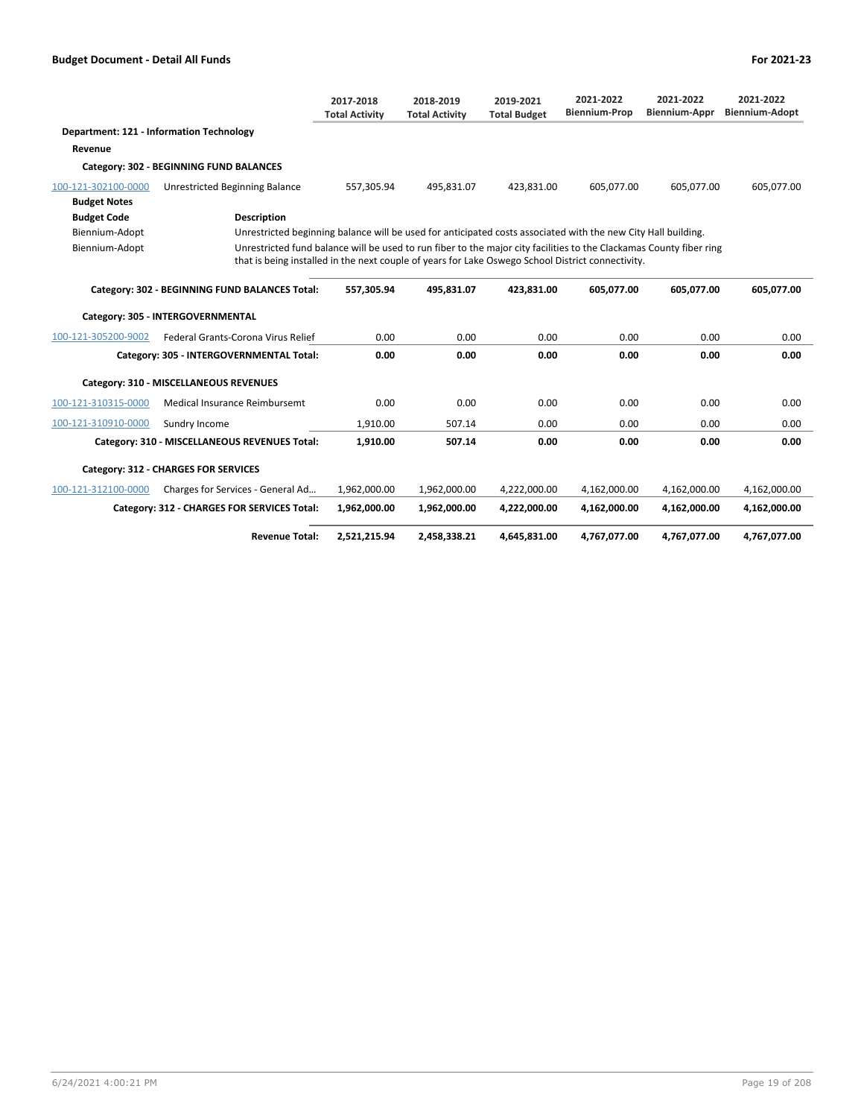|                                            |                                                                                                                                                                                                                          | 2017-2018<br><b>Total Activity</b> | 2018-2019<br><b>Total Activity</b> | 2019-2021<br><b>Total Budget</b> | 2021-2022<br><b>Biennium-Prop</b> | 2021-2022<br><b>Biennium-Appr</b> | 2021-2022<br><b>Biennium-Adopt</b> |
|--------------------------------------------|--------------------------------------------------------------------------------------------------------------------------------------------------------------------------------------------------------------------------|------------------------------------|------------------------------------|----------------------------------|-----------------------------------|-----------------------------------|------------------------------------|
|                                            | Department: 121 - Information Technology                                                                                                                                                                                 |                                    |                                    |                                  |                                   |                                   |                                    |
| Revenue                                    |                                                                                                                                                                                                                          |                                    |                                    |                                  |                                   |                                   |                                    |
|                                            | Category: 302 - BEGINNING FUND BALANCES                                                                                                                                                                                  |                                    |                                    |                                  |                                   |                                   |                                    |
| 100-121-302100-0000<br><b>Budget Notes</b> | <b>Unrestricted Beginning Balance</b>                                                                                                                                                                                    | 557.305.94                         | 495.831.07                         | 423,831.00                       | 605.077.00                        | 605,077.00                        | 605,077.00                         |
| <b>Budget Code</b>                         | <b>Description</b>                                                                                                                                                                                                       |                                    |                                    |                                  |                                   |                                   |                                    |
| Biennium-Adopt                             | Unrestricted beginning balance will be used for anticipated costs associated with the new City Hall building.                                                                                                            |                                    |                                    |                                  |                                   |                                   |                                    |
| Biennium-Adopt                             | Unrestricted fund balance will be used to run fiber to the major city facilities to the Clackamas County fiber ring<br>that is being installed in the next couple of years for Lake Oswego School District connectivity. |                                    |                                    |                                  |                                   |                                   |                                    |
|                                            | Category: 302 - BEGINNING FUND BALANCES Total:                                                                                                                                                                           | 557,305.94                         | 495,831.07                         | 423,831.00                       | 605,077.00                        | 605,077.00                        | 605,077.00                         |
|                                            | Category: 305 - INTERGOVERNMENTAL                                                                                                                                                                                        |                                    |                                    |                                  |                                   |                                   |                                    |
| 100-121-305200-9002                        | Federal Grants-Corona Virus Relief                                                                                                                                                                                       | 0.00                               | 0.00                               | 0.00                             | 0.00                              | 0.00                              | 0.00                               |
|                                            | Category: 305 - INTERGOVERNMENTAL Total:                                                                                                                                                                                 | 0.00                               | 0.00                               | 0.00                             | 0.00                              | 0.00                              | 0.00                               |
|                                            | Category: 310 - MISCELLANEOUS REVENUES                                                                                                                                                                                   |                                    |                                    |                                  |                                   |                                   |                                    |
| 100-121-310315-0000                        | <b>Medical Insurance Reimbursemt</b>                                                                                                                                                                                     | 0.00                               | 0.00                               | 0.00                             | 0.00                              | 0.00                              | 0.00                               |
| 100-121-310910-0000                        | Sundry Income                                                                                                                                                                                                            | 1,910.00                           | 507.14                             | 0.00                             | 0.00                              | 0.00                              | 0.00                               |
|                                            | Category: 310 - MISCELLANEOUS REVENUES Total:                                                                                                                                                                            | 1,910.00                           | 507.14                             | 0.00                             | 0.00                              | 0.00                              | 0.00                               |
|                                            | <b>Category: 312 - CHARGES FOR SERVICES</b>                                                                                                                                                                              |                                    |                                    |                                  |                                   |                                   |                                    |
| 100-121-312100-0000                        | Charges for Services - General Ad                                                                                                                                                                                        | 1,962,000.00                       | 1,962,000.00                       | 4,222,000.00                     | 4,162,000.00                      | 4,162,000.00                      | 4,162,000.00                       |
|                                            | Category: 312 - CHARGES FOR SERVICES Total:                                                                                                                                                                              | 1,962,000.00                       | 1,962,000.00                       | 4,222,000.00                     | 4,162,000.00                      | 4,162,000.00                      | 4,162,000.00                       |
|                                            | <b>Revenue Total:</b>                                                                                                                                                                                                    | 2,521,215.94                       | 2,458,338.21                       | 4,645,831.00                     | 4,767,077.00                      | 4,767,077.00                      | 4,767,077.00                       |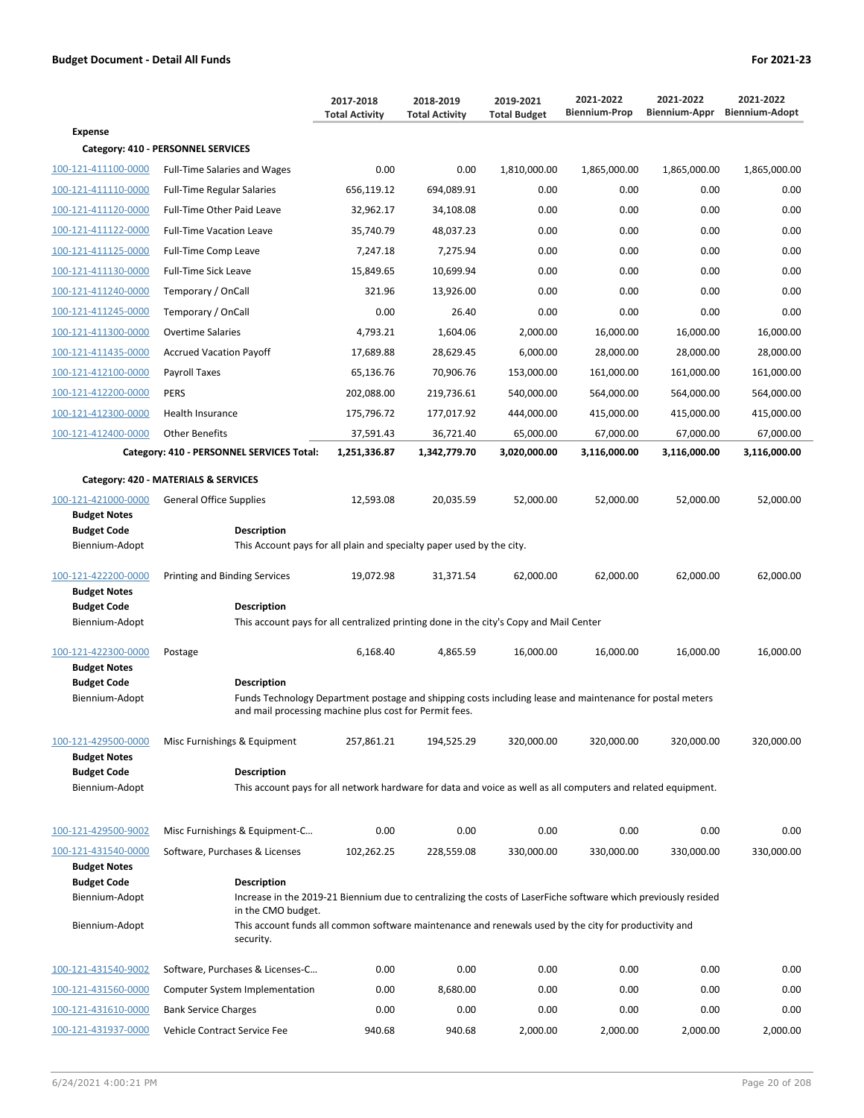|                                            |                                                                                                                                                                                          | 2017-2018<br><b>Total Activity</b> | 2018-2019<br><b>Total Activity</b> | 2019-2021<br><b>Total Budget</b> | 2021-2022<br><b>Biennium-Prop</b> | 2021-2022<br>Biennium-Appr | 2021-2022<br><b>Biennium-Adopt</b> |
|--------------------------------------------|------------------------------------------------------------------------------------------------------------------------------------------------------------------------------------------|------------------------------------|------------------------------------|----------------------------------|-----------------------------------|----------------------------|------------------------------------|
| <b>Expense</b>                             |                                                                                                                                                                                          |                                    |                                    |                                  |                                   |                            |                                    |
|                                            | Category: 410 - PERSONNEL SERVICES                                                                                                                                                       |                                    |                                    |                                  |                                   |                            |                                    |
| 100-121-411100-0000                        | <b>Full-Time Salaries and Wages</b>                                                                                                                                                      | 0.00                               | 0.00                               | 1,810,000.00                     | 1,865,000.00                      | 1,865,000.00               | 1,865,000.00                       |
| 100-121-411110-0000                        | <b>Full-Time Regular Salaries</b>                                                                                                                                                        | 656,119.12                         | 694,089.91                         | 0.00                             | 0.00                              | 0.00                       | 0.00                               |
| 100-121-411120-0000                        | Full-Time Other Paid Leave                                                                                                                                                               | 32,962.17                          | 34,108.08                          | 0.00                             | 0.00                              | 0.00                       | 0.00                               |
| 100-121-411122-0000                        | <b>Full-Time Vacation Leave</b>                                                                                                                                                          | 35,740.79                          | 48,037.23                          | 0.00                             | 0.00                              | 0.00                       | 0.00                               |
| 100-121-411125-0000                        | <b>Full-Time Comp Leave</b>                                                                                                                                                              | 7,247.18                           | 7,275.94                           | 0.00                             | 0.00                              | 0.00                       | 0.00                               |
| 100-121-411130-0000                        | <b>Full-Time Sick Leave</b>                                                                                                                                                              | 15,849.65                          | 10,699.94                          | 0.00                             | 0.00                              | 0.00                       | 0.00                               |
| 100-121-411240-0000                        | Temporary / OnCall                                                                                                                                                                       | 321.96                             | 13,926.00                          | 0.00                             | 0.00                              | 0.00                       | 0.00                               |
| 100-121-411245-0000                        | Temporary / OnCall                                                                                                                                                                       | 0.00                               | 26.40                              | 0.00                             | 0.00                              | 0.00                       | 0.00                               |
| 100-121-411300-0000                        | Overtime Salaries                                                                                                                                                                        | 4,793.21                           | 1,604.06                           | 2,000.00                         | 16,000.00                         | 16,000.00                  | 16,000.00                          |
| 100-121-411435-0000                        | <b>Accrued Vacation Payoff</b>                                                                                                                                                           | 17,689.88                          | 28,629.45                          | 6,000.00                         | 28,000.00                         | 28,000.00                  | 28,000.00                          |
| 100-121-412100-0000                        | Payroll Taxes                                                                                                                                                                            | 65,136.76                          | 70,906.76                          | 153,000.00                       | 161,000.00                        | 161,000.00                 | 161,000.00                         |
| 100-121-412200-0000                        | PERS                                                                                                                                                                                     | 202,088.00                         | 219,736.61                         | 540,000.00                       | 564,000.00                        | 564,000.00                 | 564,000.00                         |
| 100-121-412300-0000                        | Health Insurance                                                                                                                                                                         | 175,796.72                         | 177,017.92                         | 444,000.00                       | 415,000.00                        | 415,000.00                 | 415,000.00                         |
| 100-121-412400-0000                        | <b>Other Benefits</b>                                                                                                                                                                    | 37,591.43                          | 36,721.40                          | 65,000.00                        | 67,000.00                         | 67,000.00                  | 67,000.00                          |
|                                            | Category: 410 - PERSONNEL SERVICES Total:                                                                                                                                                | 1,251,336.87                       | 1,342,779.70                       | 3,020,000.00                     | 3,116,000.00                      | 3,116,000.00               | 3,116,000.00                       |
|                                            | Category: 420 - MATERIALS & SERVICES                                                                                                                                                     |                                    |                                    |                                  |                                   |                            |                                    |
| 100-121-421000-0000<br><b>Budget Notes</b> | <b>General Office Supplies</b>                                                                                                                                                           | 12,593.08                          | 20,035.59                          | 52,000.00                        | 52,000.00                         | 52,000.00                  | 52,000.00                          |
| <b>Budget Code</b><br>Biennium-Adopt       | Description<br>This Account pays for all plain and specialty paper used by the city.                                                                                                     |                                    |                                    |                                  |                                   |                            |                                    |
| 100-121-422200-0000<br><b>Budget Notes</b> | Printing and Binding Services                                                                                                                                                            | 19,072.98                          | 31,371.54                          | 62,000.00                        | 62,000.00                         | 62,000.00                  | 62,000.00                          |
| <b>Budget Code</b><br>Biennium-Adopt       | <b>Description</b><br>This account pays for all centralized printing done in the city's Copy and Mail Center                                                                             |                                    |                                    |                                  |                                   |                            |                                    |
| 100-121-422300-0000<br><b>Budget Notes</b> | Postage                                                                                                                                                                                  | 6,168.40                           | 4,865.59                           | 16,000.00                        | 16,000.00                         | 16,000.00                  | 16,000.00                          |
| <b>Budget Code</b><br>Biennium-Adopt       | <b>Description</b><br>Funds Technology Department postage and shipping costs including lease and maintenance for postal meters<br>and mail processing machine plus cost for Permit fees. |                                    |                                    |                                  |                                   |                            |                                    |
| 100-121-429500-0000<br><b>Budget Notes</b> | Misc Furnishings & Equipment                                                                                                                                                             | 257,861.21                         | 194,525.29                         | 320,000.00                       | 320,000.00                        | 320,000.00                 | 320,000.00                         |
| <b>Budget Code</b>                         | <b>Description</b>                                                                                                                                                                       |                                    |                                    |                                  |                                   |                            |                                    |
| Biennium-Adopt                             | This account pays for all network hardware for data and voice as well as all computers and related equipment.                                                                            |                                    |                                    |                                  |                                   |                            |                                    |
| 100-121-429500-9002                        | Misc Furnishings & Equipment-C                                                                                                                                                           | 0.00                               | 0.00                               | 0.00                             | 0.00                              | 0.00                       | 0.00                               |
| 100-121-431540-0000                        | Software, Purchases & Licenses                                                                                                                                                           | 102,262.25                         | 228,559.08                         | 330,000.00                       | 330,000.00                        | 330,000.00                 | 330,000.00                         |
| <b>Budget Notes</b>                        |                                                                                                                                                                                          |                                    |                                    |                                  |                                   |                            |                                    |
| <b>Budget Code</b><br>Biennium-Adopt       | <b>Description</b><br>Increase in the 2019-21 Biennium due to centralizing the costs of LaserFiche software which previously resided<br>in the CMO budget.                               |                                    |                                    |                                  |                                   |                            |                                    |
| Biennium-Adopt                             | This account funds all common software maintenance and renewals used by the city for productivity and<br>security.                                                                       |                                    |                                    |                                  |                                   |                            |                                    |
| 100-121-431540-9002                        | Software, Purchases & Licenses-C                                                                                                                                                         | 0.00                               | 0.00                               | 0.00                             | 0.00                              | 0.00                       | 0.00                               |
| 100-121-431560-0000                        | Computer System Implementation                                                                                                                                                           | 0.00                               | 8,680.00                           | 0.00                             | 0.00                              | 0.00                       | 0.00                               |
| 100-121-431610-0000                        | <b>Bank Service Charges</b>                                                                                                                                                              | 0.00                               | 0.00                               | 0.00                             | 0.00                              | 0.00                       | 0.00                               |

100-121-431937-0000 Vehicle Contract Service Fee 940.68 940.68 2,000.00 2,000.00 2,000.00 2,000.00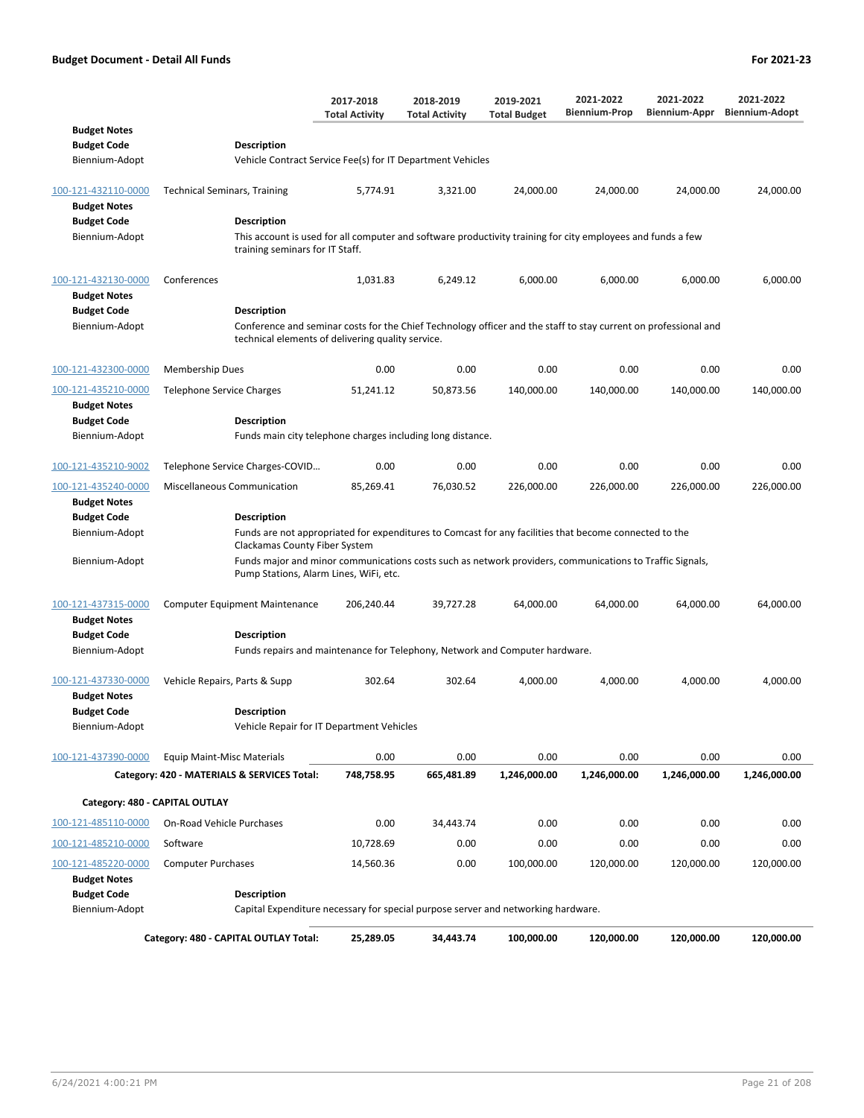|                                                             |                                                                                                                                                                                            | 2017-2018<br><b>Total Activity</b> | 2018-2019<br><b>Total Activity</b> | 2019-2021<br><b>Total Budget</b> | 2021-2022<br><b>Biennium-Prop</b> | 2021-2022<br>Biennium-Appr | 2021-2022<br><b>Biennium-Adopt</b> |
|-------------------------------------------------------------|--------------------------------------------------------------------------------------------------------------------------------------------------------------------------------------------|------------------------------------|------------------------------------|----------------------------------|-----------------------------------|----------------------------|------------------------------------|
| <b>Budget Notes</b><br><b>Budget Code</b><br>Biennium-Adopt | <b>Description</b><br>Vehicle Contract Service Fee(s) for IT Department Vehicles                                                                                                           |                                    |                                    |                                  |                                   |                            |                                    |
| 100-121-432110-0000                                         | <b>Technical Seminars, Training</b>                                                                                                                                                        | 5,774.91                           | 3,321.00                           | 24,000.00                        | 24,000.00                         | 24,000.00                  | 24,000.00                          |
| <b>Budget Notes</b><br><b>Budget Code</b><br>Biennium-Adopt | <b>Description</b><br>This account is used for all computer and software productivity training for city employees and funds a few<br>training seminars for IT Staff.                       |                                    |                                    |                                  |                                   |                            |                                    |
| 100-121-432130-0000<br><b>Budget Notes</b>                  | Conferences                                                                                                                                                                                | 1,031.83                           | 6,249.12                           | 6,000.00                         | 6,000.00                          | 6,000.00                   | 6,000.00                           |
| <b>Budget Code</b><br>Biennium-Adopt                        | <b>Description</b><br>Conference and seminar costs for the Chief Technology officer and the staff to stay current on professional and<br>technical elements of delivering quality service. |                                    |                                    |                                  |                                   |                            |                                    |
| 100-121-432300-0000                                         | <b>Membership Dues</b>                                                                                                                                                                     | 0.00                               | 0.00                               | 0.00                             | 0.00                              | 0.00                       | 0.00                               |
| 100-121-435210-0000<br><b>Budget Notes</b>                  | Telephone Service Charges                                                                                                                                                                  | 51,241.12                          | 50,873.56                          | 140,000.00                       | 140,000.00                        | 140,000.00                 | 140,000.00                         |
| <b>Budget Code</b><br>Biennium-Adopt                        | <b>Description</b><br>Funds main city telephone charges including long distance.                                                                                                           |                                    |                                    |                                  |                                   |                            |                                    |
| 100-121-435210-9002                                         | Telephone Service Charges-COVID                                                                                                                                                            | 0.00                               | 0.00                               | 0.00                             | 0.00                              | 0.00                       | 0.00                               |
| 100-121-435240-0000<br><b>Budget Notes</b>                  | <b>Miscellaneous Communication</b>                                                                                                                                                         | 85,269.41                          | 76,030.52                          | 226,000.00                       | 226,000.00                        | 226,000.00                 | 226,000.00                         |
| <b>Budget Code</b><br>Biennium-Adopt                        | <b>Description</b><br>Funds are not appropriated for expenditures to Comcast for any facilities that become connected to the<br>Clackamas County Fiber System                              |                                    |                                    |                                  |                                   |                            |                                    |
| Biennium-Adopt                                              | Funds major and minor communications costs such as network providers, communications to Traffic Signals,<br>Pump Stations, Alarm Lines, WiFi, etc.                                         |                                    |                                    |                                  |                                   |                            |                                    |
| 100-121-437315-0000<br><b>Budget Notes</b>                  | <b>Computer Equipment Maintenance</b>                                                                                                                                                      | 206,240.44                         | 39,727.28                          | 64,000.00                        | 64,000.00                         | 64,000.00                  | 64,000.00                          |
| <b>Budget Code</b><br>Biennium-Adopt                        | <b>Description</b><br>Funds repairs and maintenance for Telephony, Network and Computer hardware.                                                                                          |                                    |                                    |                                  |                                   |                            |                                    |
| 100-121-437330-0000<br><b>Budget Notes</b>                  | Vehicle Repairs, Parts & Supp                                                                                                                                                              | 302.64                             | 302.64                             | 4,000.00                         | 4,000.00                          | 4,000.00                   | 4,000.00                           |
| <b>Budget Code</b><br>Biennium-Adopt                        | <b>Description</b><br>Vehicle Repair for IT Department Vehicles                                                                                                                            |                                    |                                    |                                  |                                   |                            |                                    |
| 100-121-437390-0000                                         | <b>Equip Maint-Misc Materials</b>                                                                                                                                                          | 0.00                               | 0.00                               | 0.00                             | 0.00                              | 0.00                       | 0.00                               |
|                                                             | Category: 420 - MATERIALS & SERVICES Total:                                                                                                                                                | 748,758.95                         | 665,481.89                         | 1,246,000.00                     | 1,246,000.00                      | 1,246,000.00               | 1,246,000.00                       |
| Category: 480 - CAPITAL OUTLAY                              |                                                                                                                                                                                            |                                    |                                    |                                  |                                   |                            |                                    |
| 100-121-485110-0000                                         | On-Road Vehicle Purchases                                                                                                                                                                  | 0.00                               | 34,443.74                          | 0.00                             | 0.00                              | 0.00                       | 0.00                               |
| 100-121-485210-0000                                         | Software                                                                                                                                                                                   | 10,728.69                          | 0.00                               | 0.00                             | 0.00                              | 0.00                       | 0.00                               |
| 100-121-485220-0000                                         | <b>Computer Purchases</b>                                                                                                                                                                  | 14,560.36                          | 0.00                               | 100,000.00                       | 120,000.00                        | 120,000.00                 | 120,000.00                         |
| <b>Budget Notes</b><br><b>Budget Code</b>                   | <b>Description</b>                                                                                                                                                                         |                                    |                                    |                                  |                                   |                            |                                    |
| Biennium-Adopt                                              | Capital Expenditure necessary for special purpose server and networking hardware.                                                                                                          |                                    |                                    |                                  |                                   |                            |                                    |
|                                                             | Category: 480 - CAPITAL OUTLAY Total:                                                                                                                                                      | 25,289.05                          | 34,443.74                          | 100,000.00                       | 120,000.00                        | 120,000.00                 | 120,000.00                         |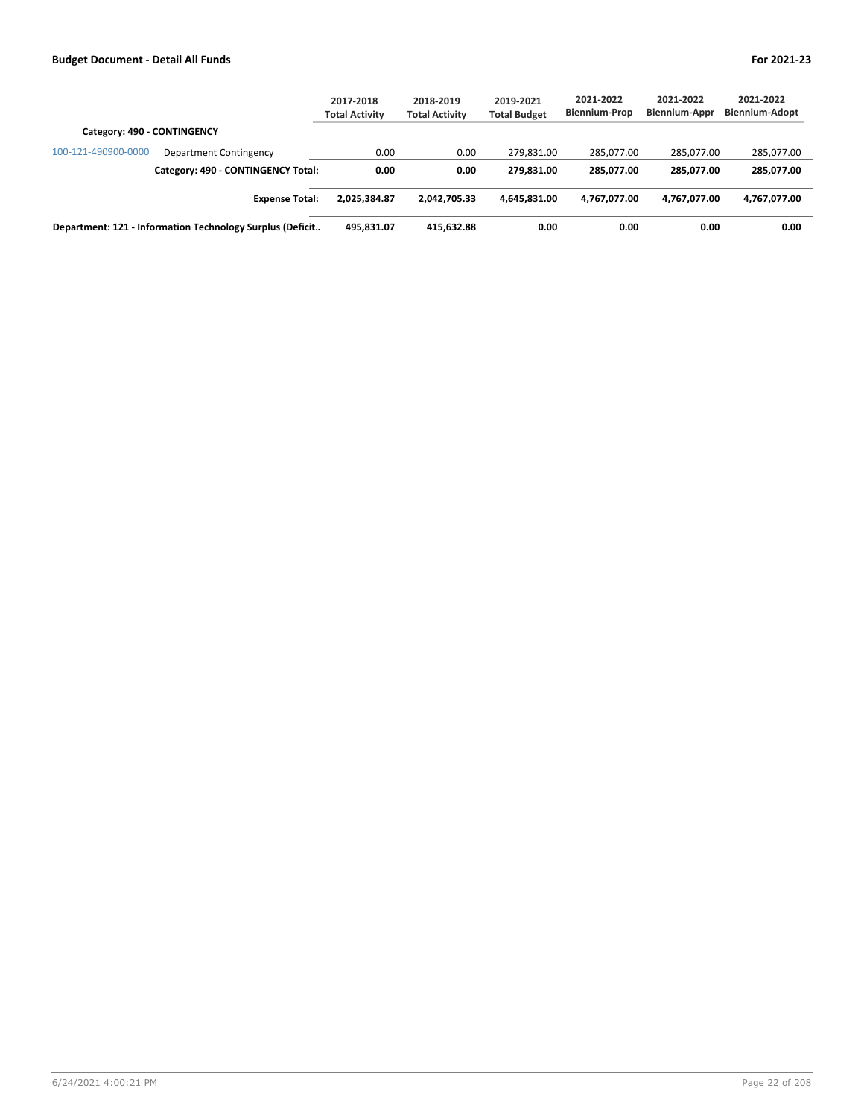|                                                           | 2017-2018<br><b>Total Activity</b> | 2018-2019<br><b>Total Activity</b> | 2019-2021<br><b>Total Budget</b> | 2021-2022<br><b>Biennium-Prop</b> | 2021-2022<br>Biennium-Appr | 2021-2022<br><b>Biennium-Adopt</b> |
|-----------------------------------------------------------|------------------------------------|------------------------------------|----------------------------------|-----------------------------------|----------------------------|------------------------------------|
| Category: 490 - CONTINGENCY                               |                                    |                                    |                                  |                                   |                            |                                    |
| 100-121-490900-0000<br>Department Contingency             | 0.00                               | 0.00                               | 279.831.00                       | 285.077.00                        | 285.077.00                 | 285,077.00                         |
| Category: 490 - CONTINGENCY Total:                        | 0.00                               | 0.00                               | 279.831.00                       | 285.077.00                        | 285.077.00                 | 285,077.00                         |
| <b>Expense Total:</b>                                     | 2.025.384.87                       | 2.042.705.33                       | 4.645.831.00                     | 4,767,077.00                      | 4,767,077.00               | 4,767,077.00                       |
| Department: 121 - Information Technology Surplus (Deficit | 495.831.07                         | 415.632.88                         | 0.00                             | 0.00                              | 0.00                       | 0.00                               |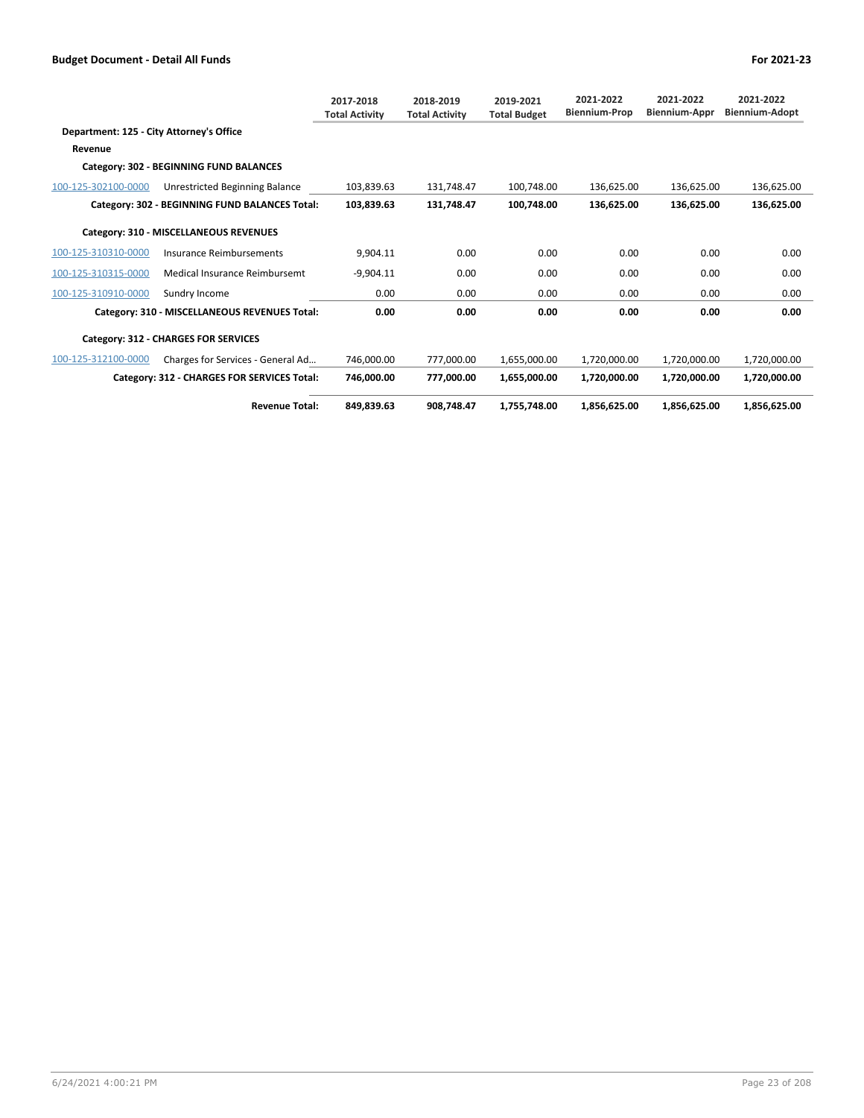|                                          |                                                | 2017-2018<br><b>Total Activity</b> | 2018-2019<br><b>Total Activity</b> | 2019-2021<br><b>Total Budget</b> | 2021-2022<br><b>Biennium-Prop</b> | 2021-2022<br>Biennium-Appr | 2021-2022<br><b>Biennium-Adopt</b> |
|------------------------------------------|------------------------------------------------|------------------------------------|------------------------------------|----------------------------------|-----------------------------------|----------------------------|------------------------------------|
| Department: 125 - City Attorney's Office |                                                |                                    |                                    |                                  |                                   |                            |                                    |
| Revenue                                  |                                                |                                    |                                    |                                  |                                   |                            |                                    |
|                                          | Category: 302 - BEGINNING FUND BALANCES        |                                    |                                    |                                  |                                   |                            |                                    |
| 100-125-302100-0000                      | Unrestricted Beginning Balance                 | 103.839.63                         | 131.748.47                         | 100.748.00                       | 136.625.00                        | 136.625.00                 | 136,625.00                         |
|                                          | Category: 302 - BEGINNING FUND BALANCES Total: | 103,839.63                         | 131,748.47                         | 100,748.00                       | 136,625.00                        | 136.625.00                 | 136,625.00                         |
|                                          | Category: 310 - MISCELLANEOUS REVENUES         |                                    |                                    |                                  |                                   |                            |                                    |
| 100-125-310310-0000                      | Insurance Reimbursements                       | 9,904.11                           | 0.00                               | 0.00                             | 0.00                              | 0.00                       | 0.00                               |
| 100-125-310315-0000                      | Medical Insurance Reimbursemt                  | $-9,904.11$                        | 0.00                               | 0.00                             | 0.00                              | 0.00                       | 0.00                               |
| 100-125-310910-0000                      | Sundry Income                                  | 0.00                               | 0.00                               | 0.00                             | 0.00                              | 0.00                       | 0.00                               |
|                                          | Category: 310 - MISCELLANEOUS REVENUES Total:  | 0.00                               | 0.00                               | 0.00                             | 0.00                              | 0.00                       | 0.00                               |
|                                          | Category: 312 - CHARGES FOR SERVICES           |                                    |                                    |                                  |                                   |                            |                                    |
| 100-125-312100-0000                      | Charges for Services - General Ad              | 746.000.00                         | 777.000.00                         | 1.655.000.00                     | 1,720,000.00                      | 1,720,000.00               | 1,720,000.00                       |
|                                          | Category: 312 - CHARGES FOR SERVICES Total:    | 746,000.00                         | 777,000.00                         | 1,655,000.00                     | 1,720,000.00                      | 1,720,000.00               | 1,720,000.00                       |
|                                          | <b>Revenue Total:</b>                          | 849.839.63                         | 908.748.47                         | 1.755.748.00                     | 1.856.625.00                      | 1.856.625.00               | 1,856,625.00                       |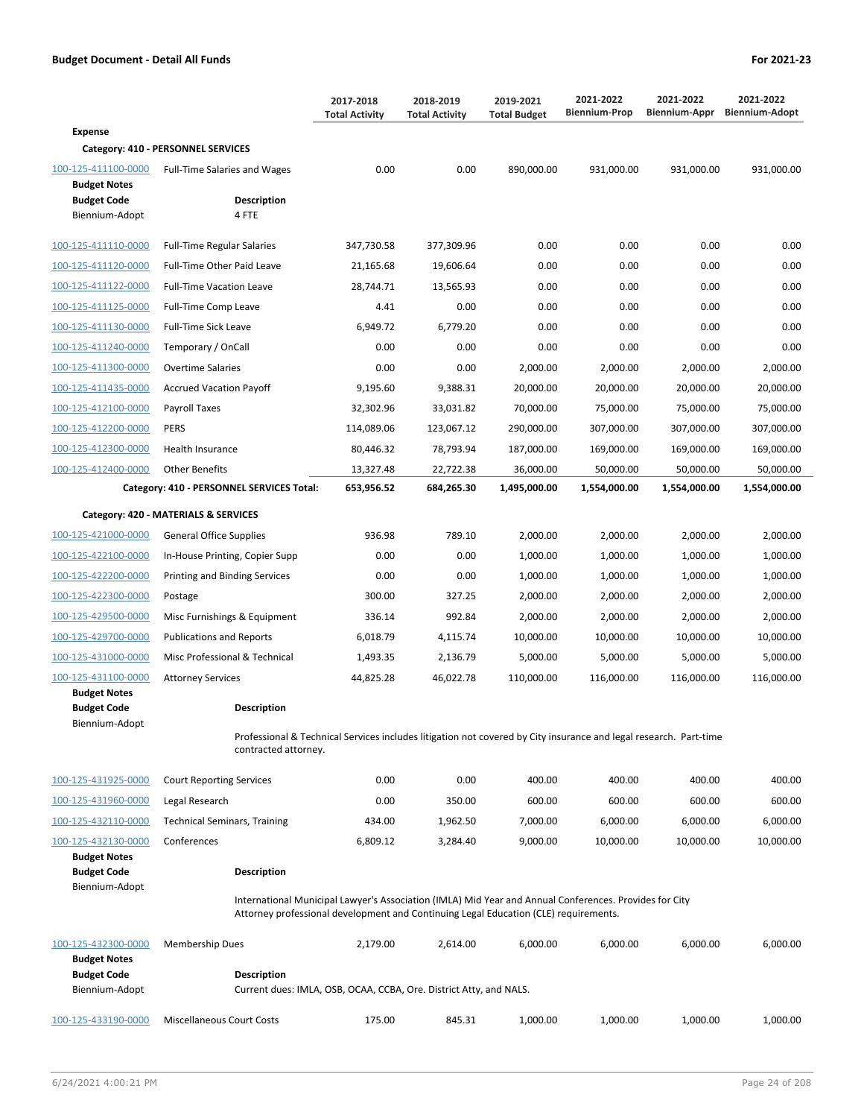**2019-2021**

**2018-2019 Total Activity**

**2017-2018 Total Activity**

| Expense                            |  |
|------------------------------------|--|
| Category: 410 - PERSONNEL SERVICES |  |

|                                            | Category: 410 - PERSONNEL SERVICES                                                                                                                                                             |            |            |              |              |              |              |
|--------------------------------------------|------------------------------------------------------------------------------------------------------------------------------------------------------------------------------------------------|------------|------------|--------------|--------------|--------------|--------------|
| 100-125-411100-0000<br><b>Budget Notes</b> | <b>Full-Time Salaries and Wages</b>                                                                                                                                                            | 0.00       | 0.00       | 890,000.00   | 931,000.00   | 931,000.00   | 931,000.00   |
| <b>Budget Code</b><br>Biennium-Adopt       | <b>Description</b><br>4 FTE                                                                                                                                                                    |            |            |              |              |              |              |
|                                            |                                                                                                                                                                                                |            |            |              |              |              |              |
| 100-125-411110-0000                        | <b>Full-Time Regular Salaries</b>                                                                                                                                                              | 347,730.58 | 377,309.96 | 0.00         | 0.00         | 0.00         | 0.00         |
| 100-125-411120-0000                        | Full-Time Other Paid Leave                                                                                                                                                                     | 21,165.68  | 19,606.64  | 0.00         | 0.00         | 0.00         | 0.00         |
| 100-125-411122-0000                        | <b>Full-Time Vacation Leave</b>                                                                                                                                                                | 28,744.71  | 13,565.93  | 0.00         | 0.00         | 0.00         | 0.00         |
| 100-125-411125-0000                        | Full-Time Comp Leave                                                                                                                                                                           | 4.41       | 0.00       | 0.00         | 0.00         | 0.00         | 0.00         |
| 100-125-411130-0000                        | Full-Time Sick Leave                                                                                                                                                                           | 6,949.72   | 6,779.20   | 0.00         | 0.00         | 0.00         | 0.00         |
| 100-125-411240-0000                        | Temporary / OnCall                                                                                                                                                                             | 0.00       | 0.00       | 0.00         | 0.00         | 0.00         | 0.00         |
| 100-125-411300-0000                        | <b>Overtime Salaries</b>                                                                                                                                                                       | 0.00       | 0.00       | 2,000.00     | 2,000.00     | 2,000.00     | 2,000.00     |
| 100-125-411435-0000                        | <b>Accrued Vacation Payoff</b>                                                                                                                                                                 | 9,195.60   | 9,388.31   | 20,000.00    | 20,000.00    | 20,000.00    | 20,000.00    |
| 100-125-412100-0000                        | Payroll Taxes                                                                                                                                                                                  | 32,302.96  | 33,031.82  | 70,000.00    | 75,000.00    | 75,000.00    | 75,000.00    |
| 100-125-412200-0000                        | <b>PERS</b>                                                                                                                                                                                    | 114,089.06 | 123,067.12 | 290,000.00   | 307,000.00   | 307,000.00   | 307,000.00   |
| 100-125-412300-0000                        | <b>Health Insurance</b>                                                                                                                                                                        | 80,446.32  | 78,793.94  | 187,000.00   | 169,000.00   | 169,000.00   | 169,000.00   |
| 100-125-412400-0000                        | <b>Other Benefits</b>                                                                                                                                                                          | 13,327.48  | 22,722.38  | 36,000.00    | 50,000.00    | 50,000.00    | 50,000.00    |
|                                            | Category: 410 - PERSONNEL SERVICES Total:                                                                                                                                                      | 653,956.52 | 684,265.30 | 1,495,000.00 | 1,554,000.00 | 1,554,000.00 | 1,554,000.00 |
|                                            | Category: 420 - MATERIALS & SERVICES                                                                                                                                                           |            |            |              |              |              |              |
| 100-125-421000-0000                        | <b>General Office Supplies</b>                                                                                                                                                                 | 936.98     | 789.10     | 2,000.00     | 2,000.00     | 2,000.00     | 2,000.00     |
| 100-125-422100-0000                        | In-House Printing, Copier Supp                                                                                                                                                                 | 0.00       | 0.00       | 1,000.00     | 1,000.00     | 1,000.00     | 1,000.00     |
| 100-125-422200-0000                        | Printing and Binding Services                                                                                                                                                                  | 0.00       | 0.00       | 1,000.00     | 1,000.00     | 1,000.00     | 1,000.00     |
| 100-125-422300-0000                        | Postage                                                                                                                                                                                        | 300.00     | 327.25     | 2,000.00     | 2,000.00     | 2,000.00     | 2,000.00     |
| 100-125-429500-0000                        | Misc Furnishings & Equipment                                                                                                                                                                   | 336.14     | 992.84     | 2,000.00     | 2,000.00     | 2,000.00     | 2,000.00     |
| 100-125-429700-0000                        | <b>Publications and Reports</b>                                                                                                                                                                | 6,018.79   | 4,115.74   | 10,000.00    | 10,000.00    | 10,000.00    | 10,000.00    |
| 100-125-431000-0000                        | Misc Professional & Technical                                                                                                                                                                  | 1,493.35   | 2,136.79   | 5,000.00     | 5,000.00     | 5,000.00     | 5,000.00     |
| 100-125-431100-0000                        | <b>Attorney Services</b>                                                                                                                                                                       | 44,825.28  | 46,022.78  | 110,000.00   | 116,000.00   | 116,000.00   | 116,000.00   |
| <b>Budget Notes</b>                        |                                                                                                                                                                                                |            |            |              |              |              |              |
| <b>Budget Code</b><br>Biennium-Adopt       | Description                                                                                                                                                                                    |            |            |              |              |              |              |
|                                            | Professional & Technical Services includes litigation not covered by City insurance and legal research. Part-time<br>contracted attorney.                                                      |            |            |              |              |              |              |
| 100-125-431925-0000                        | <b>Court Reporting Services</b>                                                                                                                                                                | 0.00       | 0.00       | 400.00       | 400.00       | 400.00       | 400.00       |
| 100-125-431960-0000                        | Legal Research                                                                                                                                                                                 | 0.00       | 350.00     | 600.00       | 600.00       | 600.00       | 600.00       |
| 100-125-432110-0000                        | <b>Technical Seminars, Training</b>                                                                                                                                                            | 434.00     | 1,962.50   | 7,000.00     | 6,000.00     | 6,000.00     | 6,000.00     |
| 100-125-432130-0000                        | Conferences                                                                                                                                                                                    | 6,809.12   | 3,284.40   | 9,000.00     | 10,000.00    | 10,000.00    | 10,000.00    |
| <b>Budget Notes</b>                        |                                                                                                                                                                                                |            |            |              |              |              |              |
| <b>Budget Code</b><br>Biennium-Adopt       | <b>Description</b>                                                                                                                                                                             |            |            |              |              |              |              |
|                                            | International Municipal Lawyer's Association (IMLA) Mid Year and Annual Conferences. Provides for City<br>Attorney professional development and Continuing Legal Education (CLE) requirements. |            |            |              |              |              |              |
| 100-125-432300-0000<br><b>Budget Notes</b> | <b>Membership Dues</b>                                                                                                                                                                         | 2,179.00   | 2,614.00   | 6,000.00     | 6,000.00     | 6,000.00     | 6,000.00     |
| <b>Budget Code</b>                         | <b>Description</b>                                                                                                                                                                             |            |            |              |              |              |              |
| Biennium-Adopt                             | Current dues: IMLA, OSB, OCAA, CCBA, Ore. District Atty, and NALS.                                                                                                                             |            |            |              |              |              |              |

100-125-433190-0000 Miscellaneous Court Costs 175.00 845.31 1,000.00 1,000.00 1,000.00 1,000.00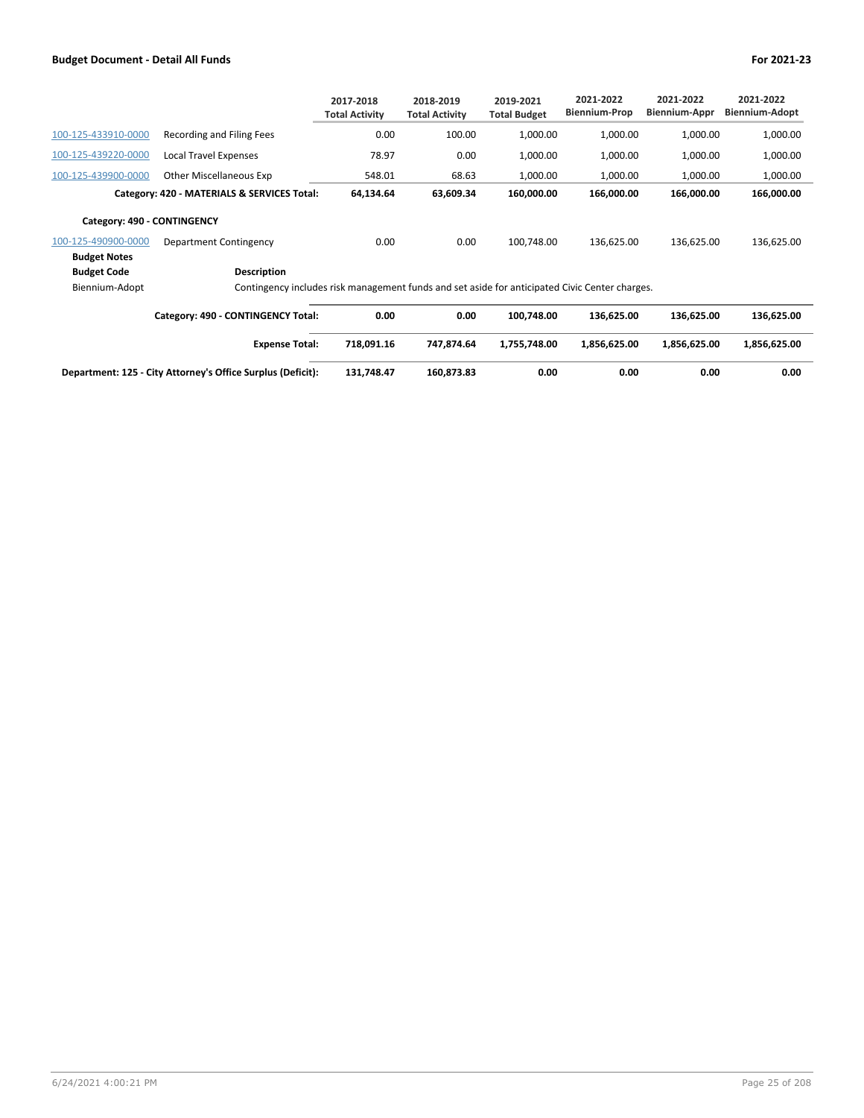|                             |                                                                                                | 2017-2018<br><b>Total Activity</b> | 2018-2019<br><b>Total Activity</b> | 2019-2021<br><b>Total Budget</b> | 2021-2022<br><b>Biennium-Prop</b> | 2021-2022<br><b>Biennium-Appr</b> | 2021-2022<br><b>Biennium-Adopt</b> |
|-----------------------------|------------------------------------------------------------------------------------------------|------------------------------------|------------------------------------|----------------------------------|-----------------------------------|-----------------------------------|------------------------------------|
| 100-125-433910-0000         | Recording and Filing Fees                                                                      | 0.00                               | 100.00                             | 1,000.00                         | 1,000.00                          | 1,000.00                          | 1,000.00                           |
| 100-125-439220-0000         | Local Travel Expenses                                                                          | 78.97                              | 0.00                               | 1,000.00                         | 1,000.00                          | 1,000.00                          | 1,000.00                           |
| 100-125-439900-0000         | Other Miscellaneous Exp                                                                        | 548.01                             | 68.63                              | 1,000.00                         | 1,000.00                          | 1,000.00                          | 1,000.00                           |
|                             | Category: 420 - MATERIALS & SERVICES Total:                                                    | 64,134.64                          | 63,609.34                          | 160,000.00                       | 166,000.00                        | 166,000.00                        | 166,000.00                         |
| Category: 490 - CONTINGENCY |                                                                                                |                                    |                                    |                                  |                                   |                                   |                                    |
| 100-125-490900-0000         | Department Contingency                                                                         | 0.00                               | 0.00                               | 100,748.00                       | 136,625.00                        | 136,625.00                        | 136,625.00                         |
| <b>Budget Notes</b>         |                                                                                                |                                    |                                    |                                  |                                   |                                   |                                    |
| <b>Budget Code</b>          | Description                                                                                    |                                    |                                    |                                  |                                   |                                   |                                    |
| Biennium-Adopt              | Contingency includes risk management funds and set aside for anticipated Civic Center charges. |                                    |                                    |                                  |                                   |                                   |                                    |
|                             | Category: 490 - CONTINGENCY Total:                                                             | 0.00                               | 0.00                               | 100,748.00                       | 136,625.00                        | 136,625.00                        | 136,625.00                         |
|                             | <b>Expense Total:</b>                                                                          | 718,091.16                         | 747,874.64                         | 1,755,748.00                     | 1,856,625.00                      | 1,856,625.00                      | 1,856,625.00                       |

| Department: 125 - City Attorney's Office Surplus (Deficit): | 748.47<br>131.7 | 160.873.83 | 0.00 | 0.00 | 0.00 | 0.00 |
|-------------------------------------------------------------|-----------------|------------|------|------|------|------|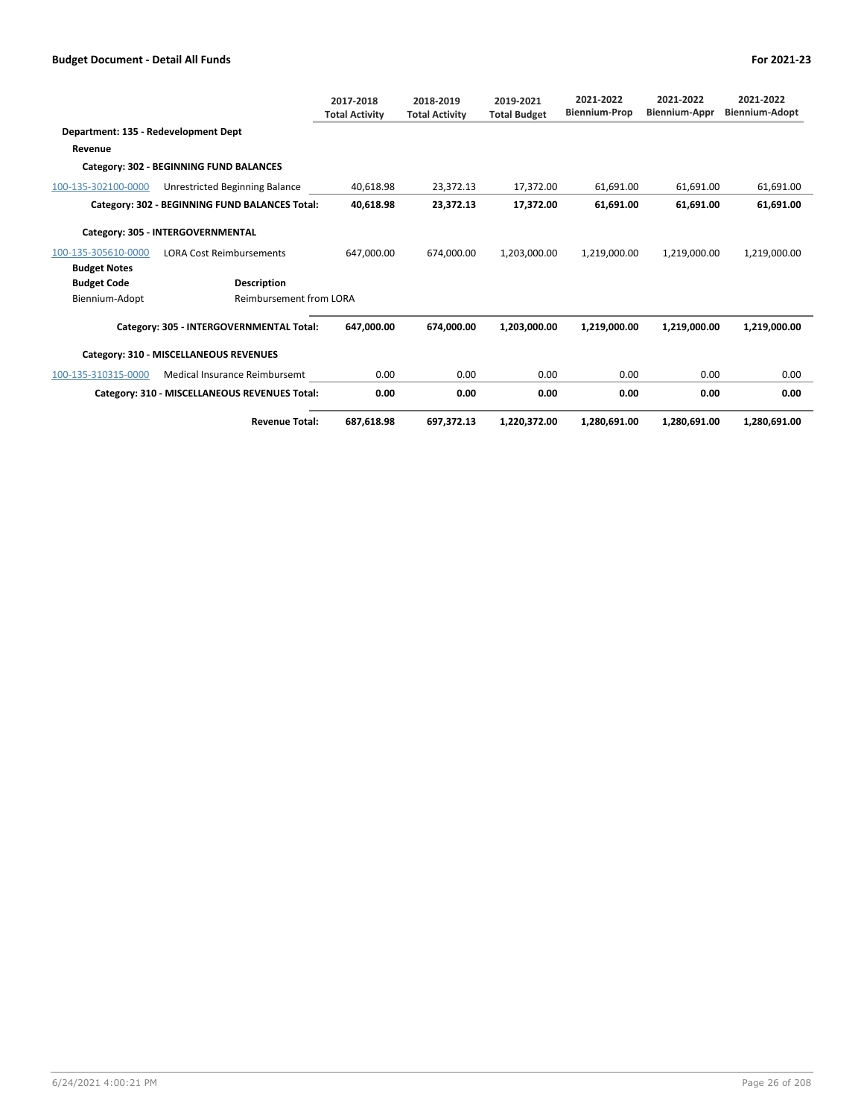|                                      |                                                | 2017-2018<br><b>Total Activity</b> | 2018-2019<br><b>Total Activity</b> | 2019-2021<br><b>Total Budget</b> | 2021-2022<br><b>Biennium-Prop</b> | 2021-2022<br><b>Biennium-Appr</b> | 2021-2022<br><b>Biennium-Adopt</b> |
|--------------------------------------|------------------------------------------------|------------------------------------|------------------------------------|----------------------------------|-----------------------------------|-----------------------------------|------------------------------------|
| Department: 135 - Redevelopment Dept |                                                |                                    |                                    |                                  |                                   |                                   |                                    |
| Revenue                              |                                                |                                    |                                    |                                  |                                   |                                   |                                    |
|                                      | Category: 302 - BEGINNING FUND BALANCES        |                                    |                                    |                                  |                                   |                                   |                                    |
| 100-135-302100-0000                  | Unrestricted Beginning Balance                 | 40,618.98                          | 23,372.13                          | 17.372.00                        | 61,691.00                         | 61,691.00                         | 61,691.00                          |
|                                      | Category: 302 - BEGINNING FUND BALANCES Total: | 40.618.98                          | 23.372.13                          | 17.372.00                        | 61.691.00                         | 61.691.00                         | 61.691.00                          |
|                                      | Category: 305 - INTERGOVERNMENTAL              |                                    |                                    |                                  |                                   |                                   |                                    |
| 100-135-305610-0000                  | <b>LORA Cost Reimbursements</b>                | 647,000.00                         | 674,000.00                         | 1,203,000.00                     | 1,219,000.00                      | 1,219,000.00                      | 1,219,000.00                       |
| <b>Budget Notes</b>                  |                                                |                                    |                                    |                                  |                                   |                                   |                                    |
| <b>Budget Code</b>                   | <b>Description</b>                             |                                    |                                    |                                  |                                   |                                   |                                    |
| Biennium-Adopt                       | Reimbursement from LORA                        |                                    |                                    |                                  |                                   |                                   |                                    |
|                                      | Category: 305 - INTERGOVERNMENTAL Total:       | 647,000.00                         | 674.000.00                         | 1,203,000.00                     | 1,219,000.00                      | 1,219,000.00                      | 1,219,000.00                       |
|                                      | Category: 310 - MISCELLANEOUS REVENUES         |                                    |                                    |                                  |                                   |                                   |                                    |
| 100-135-310315-0000                  | Medical Insurance Reimbursemt                  | 0.00                               | 0.00                               | 0.00                             | 0.00                              | 0.00                              | 0.00                               |
|                                      | Category: 310 - MISCELLANEOUS REVENUES Total:  | 0.00                               | 0.00                               | 0.00                             | 0.00                              | 0.00                              | 0.00                               |
|                                      | <b>Revenue Total:</b>                          | 687,618.98                         | 697,372.13                         | 1,220,372.00                     | 1,280,691.00                      | 1,280,691.00                      | 1,280,691.00                       |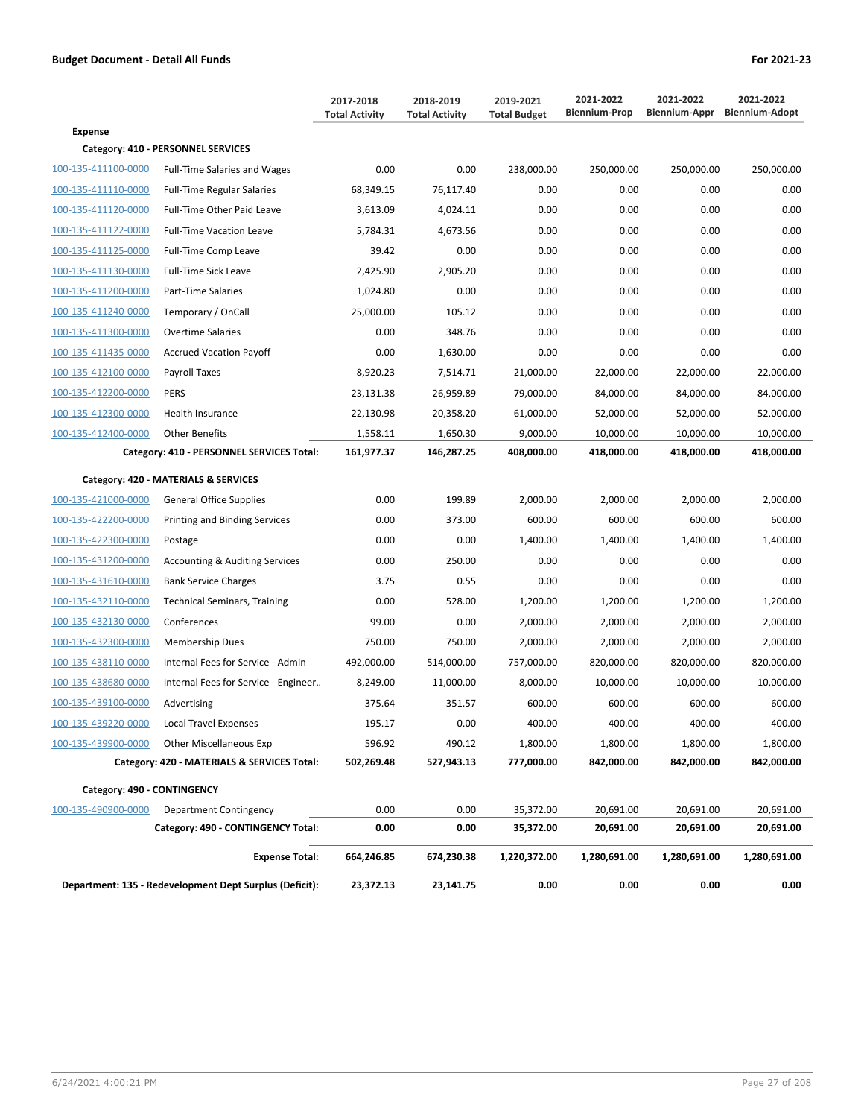|                             |                                                         | 2017-2018<br><b>Total Activity</b> | 2018-2019<br><b>Total Activity</b> | 2019-2021<br><b>Total Budget</b> | 2021-2022<br><b>Biennium-Prop</b> | 2021-2022<br>Biennium-Appr | 2021-2022<br><b>Biennium-Adopt</b> |
|-----------------------------|---------------------------------------------------------|------------------------------------|------------------------------------|----------------------------------|-----------------------------------|----------------------------|------------------------------------|
| <b>Expense</b>              |                                                         |                                    |                                    |                                  |                                   |                            |                                    |
|                             | Category: 410 - PERSONNEL SERVICES                      |                                    |                                    |                                  |                                   |                            |                                    |
| 100-135-411100-0000         | <b>Full-Time Salaries and Wages</b>                     | 0.00                               | 0.00                               | 238,000.00                       | 250,000.00                        | 250,000.00                 | 250,000.00                         |
| 100-135-411110-0000         | <b>Full-Time Regular Salaries</b>                       | 68,349.15                          | 76,117.40                          | 0.00                             | 0.00                              | 0.00                       | 0.00                               |
| 100-135-411120-0000         | <b>Full-Time Other Paid Leave</b>                       | 3,613.09                           | 4,024.11                           | 0.00                             | 0.00                              | 0.00                       | 0.00                               |
| 100-135-411122-0000         | <b>Full-Time Vacation Leave</b>                         | 5,784.31                           | 4,673.56                           | 0.00                             | 0.00                              | 0.00                       | 0.00                               |
| 100-135-411125-0000         | Full-Time Comp Leave                                    | 39.42                              | 0.00                               | 0.00                             | 0.00                              | 0.00                       | 0.00                               |
| 100-135-411130-0000         | <b>Full-Time Sick Leave</b>                             | 2,425.90                           | 2,905.20                           | 0.00                             | 0.00                              | 0.00                       | 0.00                               |
| 100-135-411200-0000         | Part-Time Salaries                                      | 1,024.80                           | 0.00                               | 0.00                             | 0.00                              | 0.00                       | 0.00                               |
| 100-135-411240-0000         | Temporary / OnCall                                      | 25,000.00                          | 105.12                             | 0.00                             | 0.00                              | 0.00                       | 0.00                               |
| 100-135-411300-0000         | <b>Overtime Salaries</b>                                | 0.00                               | 348.76                             | 0.00                             | 0.00                              | 0.00                       | 0.00                               |
| 100-135-411435-0000         | <b>Accrued Vacation Payoff</b>                          | 0.00                               | 1,630.00                           | 0.00                             | 0.00                              | 0.00                       | 0.00                               |
| 100-135-412100-0000         | Payroll Taxes                                           | 8,920.23                           | 7,514.71                           | 21,000.00                        | 22,000.00                         | 22,000.00                  | 22,000.00                          |
| 100-135-412200-0000         | <b>PERS</b>                                             | 23,131.38                          | 26,959.89                          | 79,000.00                        | 84,000.00                         | 84,000.00                  | 84,000.00                          |
| 100-135-412300-0000         | <b>Health Insurance</b>                                 | 22,130.98                          | 20,358.20                          | 61,000.00                        | 52,000.00                         | 52,000.00                  | 52,000.00                          |
| 100-135-412400-0000         | <b>Other Benefits</b>                                   | 1,558.11                           | 1,650.30                           | 9,000.00                         | 10,000.00                         | 10,000.00                  | 10,000.00                          |
|                             | Category: 410 - PERSONNEL SERVICES Total:               | 161,977.37                         | 146,287.25                         | 408,000.00                       | 418,000.00                        | 418,000.00                 | 418,000.00                         |
|                             | Category: 420 - MATERIALS & SERVICES                    |                                    |                                    |                                  |                                   |                            |                                    |
| 100-135-421000-0000         | <b>General Office Supplies</b>                          | 0.00                               | 199.89                             | 2,000.00                         | 2,000.00                          | 2,000.00                   | 2,000.00                           |
| 100-135-422200-0000         | Printing and Binding Services                           | 0.00                               | 373.00                             | 600.00                           | 600.00                            | 600.00                     | 600.00                             |
| 100-135-422300-0000         | Postage                                                 | 0.00                               | 0.00                               | 1,400.00                         | 1,400.00                          | 1,400.00                   | 1,400.00                           |
| 100-135-431200-0000         | <b>Accounting &amp; Auditing Services</b>               | 0.00                               | 250.00                             | 0.00                             | 0.00                              | 0.00                       | 0.00                               |
| 100-135-431610-0000         | <b>Bank Service Charges</b>                             | 3.75                               | 0.55                               | 0.00                             | 0.00                              | 0.00                       | 0.00                               |
| 100-135-432110-0000         | <b>Technical Seminars, Training</b>                     | 0.00                               | 528.00                             | 1,200.00                         | 1,200.00                          | 1,200.00                   | 1,200.00                           |
| 100-135-432130-0000         | Conferences                                             | 99.00                              | 0.00                               | 2,000.00                         | 2,000.00                          | 2,000.00                   | 2,000.00                           |
| 100-135-432300-0000         | Membership Dues                                         | 750.00                             | 750.00                             | 2,000.00                         | 2,000.00                          | 2.000.00                   | 2,000.00                           |
| 100-135-438110-0000         | Internal Fees for Service - Admin                       | 492,000.00                         | 514,000.00                         | 757,000.00                       | 820,000.00                        | 820,000.00                 | 820,000.00                         |
| 100-135-438680-0000         | Internal Fees for Service - Engineer                    | 8,249.00                           | 11,000.00                          | 8,000.00                         | 10,000.00                         | 10,000.00                  | 10,000.00                          |
| 100-135-439100-0000         | Advertising                                             | 375.64                             | 351.57                             | 600.00                           | 600.00                            | 600.00                     | 600.00                             |
| 100-135-439220-0000         | <b>Local Travel Expenses</b>                            | 195.17                             | 0.00                               | 400.00                           | 400.00                            | 400.00                     | 400.00                             |
| 100-135-439900-0000         | <b>Other Miscellaneous Exp</b>                          | 596.92                             | 490.12                             | 1,800.00                         | 1,800.00                          | 1,800.00                   | 1,800.00                           |
|                             | Category: 420 - MATERIALS & SERVICES Total:             | 502,269.48                         | 527,943.13                         | 777,000.00                       | 842,000.00                        | 842,000.00                 | 842,000.00                         |
| Category: 490 - CONTINGENCY |                                                         |                                    |                                    |                                  |                                   |                            |                                    |
| 100-135-490900-0000         | Department Contingency                                  | 0.00                               | 0.00                               | 35,372.00                        | 20,691.00                         | 20,691.00                  | 20,691.00                          |
|                             | Category: 490 - CONTINGENCY Total:                      | 0.00                               | 0.00                               | 35,372.00                        | 20,691.00                         | 20,691.00                  | 20,691.00                          |
|                             | <b>Expense Total:</b>                                   | 664,246.85                         | 674,230.38                         | 1,220,372.00                     | 1,280,691.00                      | 1,280,691.00               | 1,280,691.00                       |
|                             | Department: 135 - Redevelopment Dept Surplus (Deficit): | 23,372.13                          | 23,141.75                          | 0.00                             | 0.00                              | 0.00                       | 0.00                               |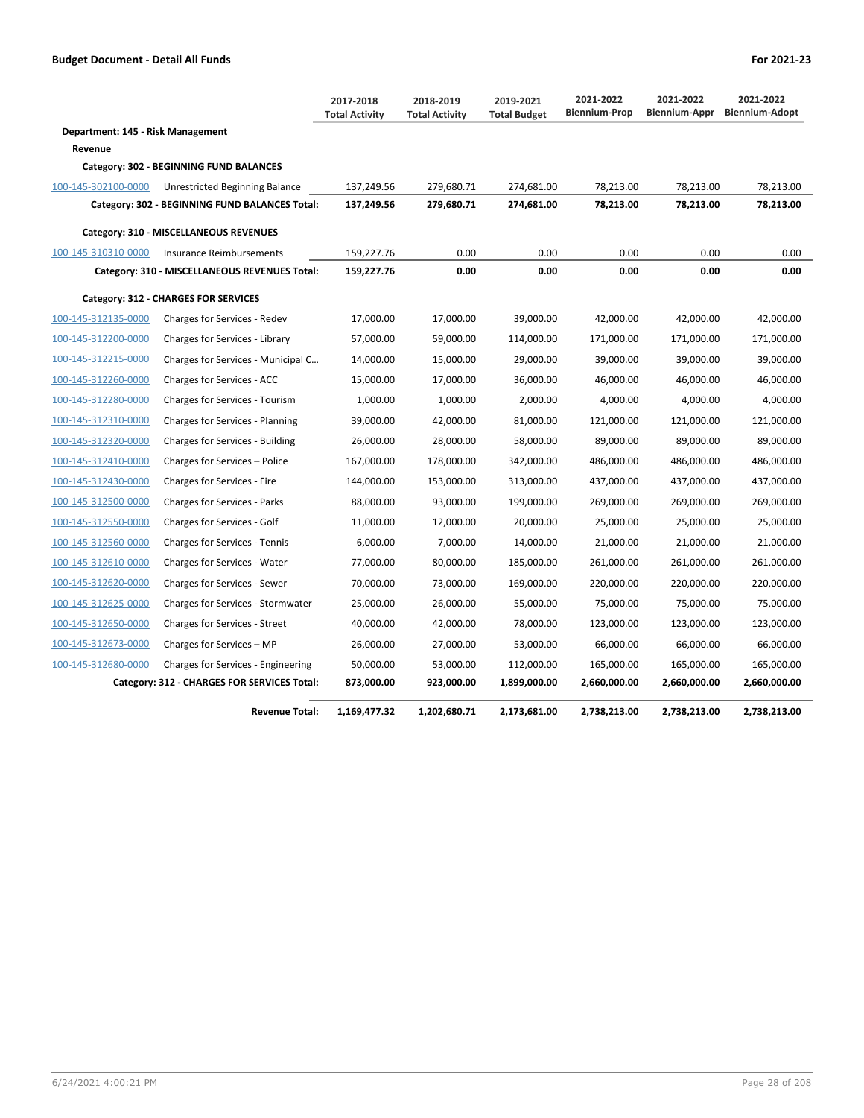|                                      |                                                | 2017-2018<br><b>Total Activity</b> | 2018-2019<br><b>Total Activity</b> | 2019-2021<br><b>Total Budget</b> | 2021-2022<br><b>Biennium-Prop</b> | 2021-2022<br>Biennium-Appr | 2021-2022<br><b>Biennium-Adopt</b> |  |  |  |  |
|--------------------------------------|------------------------------------------------|------------------------------------|------------------------------------|----------------------------------|-----------------------------------|----------------------------|------------------------------------|--|--|--|--|
| Department: 145 - Risk Management    |                                                |                                    |                                    |                                  |                                   |                            |                                    |  |  |  |  |
| Revenue                              |                                                |                                    |                                    |                                  |                                   |                            |                                    |  |  |  |  |
|                                      | Category: 302 - BEGINNING FUND BALANCES        |                                    |                                    |                                  |                                   |                            |                                    |  |  |  |  |
| 100-145-302100-0000                  | Unrestricted Beginning Balance                 | 137,249.56                         | 279,680.71                         | 274,681.00                       | 78,213.00                         | 78,213.00                  | 78,213.00                          |  |  |  |  |
|                                      | Category: 302 - BEGINNING FUND BALANCES Total: | 137,249.56                         | 279,680.71                         | 274,681.00                       | 78,213.00                         | 78,213.00                  | 78,213.00                          |  |  |  |  |
|                                      | Category: 310 - MISCELLANEOUS REVENUES         |                                    |                                    |                                  |                                   |                            |                                    |  |  |  |  |
| 100-145-310310-0000                  | Insurance Reimbursements                       | 159,227.76                         | 0.00                               | 0.00                             | 0.00                              | 0.00                       | 0.00                               |  |  |  |  |
|                                      | Category: 310 - MISCELLANEOUS REVENUES Total:  | 159,227.76                         | 0.00                               | 0.00                             | 0.00                              | 0.00                       | 0.00                               |  |  |  |  |
| Category: 312 - CHARGES FOR SERVICES |                                                |                                    |                                    |                                  |                                   |                            |                                    |  |  |  |  |
| 100-145-312135-0000                  | Charges for Services - Redev                   | 17,000.00                          | 17,000.00                          | 39,000.00                        | 42,000.00                         | 42,000.00                  | 42,000.00                          |  |  |  |  |
| 100-145-312200-0000                  | Charges for Services - Library                 | 57,000.00                          | 59,000.00                          | 114,000.00                       | 171,000.00                        | 171,000.00                 | 171,000.00                         |  |  |  |  |
| 100-145-312215-0000                  | Charges for Services - Municipal C             | 14,000.00                          | 15,000.00                          | 29,000.00                        | 39,000.00                         | 39,000.00                  | 39,000.00                          |  |  |  |  |
| 100-145-312260-0000                  | Charges for Services - ACC                     | 15,000.00                          | 17,000.00                          | 36,000.00                        | 46,000.00                         | 46,000.00                  | 46,000.00                          |  |  |  |  |
| 100-145-312280-0000                  | Charges for Services - Tourism                 | 1,000.00                           | 1,000.00                           | 2,000.00                         | 4,000.00                          | 4,000.00                   | 4,000.00                           |  |  |  |  |
| 100-145-312310-0000                  | Charges for Services - Planning                | 39,000.00                          | 42,000.00                          | 81,000.00                        | 121,000.00                        | 121,000.00                 | 121,000.00                         |  |  |  |  |
| 100-145-312320-0000                  | Charges for Services - Building                | 26,000.00                          | 28,000.00                          | 58,000.00                        | 89,000.00                         | 89,000.00                  | 89,000.00                          |  |  |  |  |
| 100-145-312410-0000                  | Charges for Services - Police                  | 167,000.00                         | 178,000.00                         | 342,000.00                       | 486,000.00                        | 486,000.00                 | 486,000.00                         |  |  |  |  |
| 100-145-312430-0000                  | Charges for Services - Fire                    | 144,000.00                         | 153,000.00                         | 313,000.00                       | 437,000.00                        | 437,000.00                 | 437,000.00                         |  |  |  |  |
| 100-145-312500-0000                  | <b>Charges for Services - Parks</b>            | 88,000.00                          | 93.000.00                          | 199,000.00                       | 269.000.00                        | 269.000.00                 | 269,000.00                         |  |  |  |  |
| 100-145-312550-0000                  | Charges for Services - Golf                    | 11,000.00                          | 12,000.00                          | 20,000.00                        | 25,000.00                         | 25,000.00                  | 25,000.00                          |  |  |  |  |
| 100-145-312560-0000                  | <b>Charges for Services - Tennis</b>           | 6,000.00                           | 7,000.00                           | 14,000.00                        | 21,000.00                         | 21,000.00                  | 21,000.00                          |  |  |  |  |
| 100-145-312610-0000                  | Charges for Services - Water                   | 77,000.00                          | 80,000.00                          | 185,000.00                       | 261,000.00                        | 261,000.00                 | 261,000.00                         |  |  |  |  |
| 100-145-312620-0000                  | Charges for Services - Sewer                   | 70,000.00                          | 73,000.00                          | 169,000.00                       | 220,000.00                        | 220,000.00                 | 220,000.00                         |  |  |  |  |
| 100-145-312625-0000                  | Charges for Services - Stormwater              | 25,000.00                          | 26,000.00                          | 55,000.00                        | 75,000.00                         | 75,000.00                  | 75,000.00                          |  |  |  |  |
| 100-145-312650-0000                  | Charges for Services - Street                  | 40,000.00                          | 42,000.00                          | 78,000.00                        | 123,000.00                        | 123,000.00                 | 123,000.00                         |  |  |  |  |
| 100-145-312673-0000                  | Charges for Services - MP                      | 26,000.00                          | 27,000.00                          | 53,000.00                        | 66,000.00                         | 66,000.00                  | 66,000.00                          |  |  |  |  |
| 100-145-312680-0000                  | Charges for Services - Engineering             | 50,000.00                          | 53,000.00                          | 112,000.00                       | 165,000.00                        | 165,000.00                 | 165,000.00                         |  |  |  |  |
|                                      | Category: 312 - CHARGES FOR SERVICES Total:    | 873,000.00                         | 923,000.00                         | 1,899,000.00                     | 2,660,000.00                      | 2,660,000.00               | 2,660,000.00                       |  |  |  |  |
|                                      | <b>Revenue Total:</b>                          | 1,169,477.32                       | 1,202,680.71                       | 2,173,681.00                     | 2,738,213.00                      | 2,738,213.00               | 2,738,213.00                       |  |  |  |  |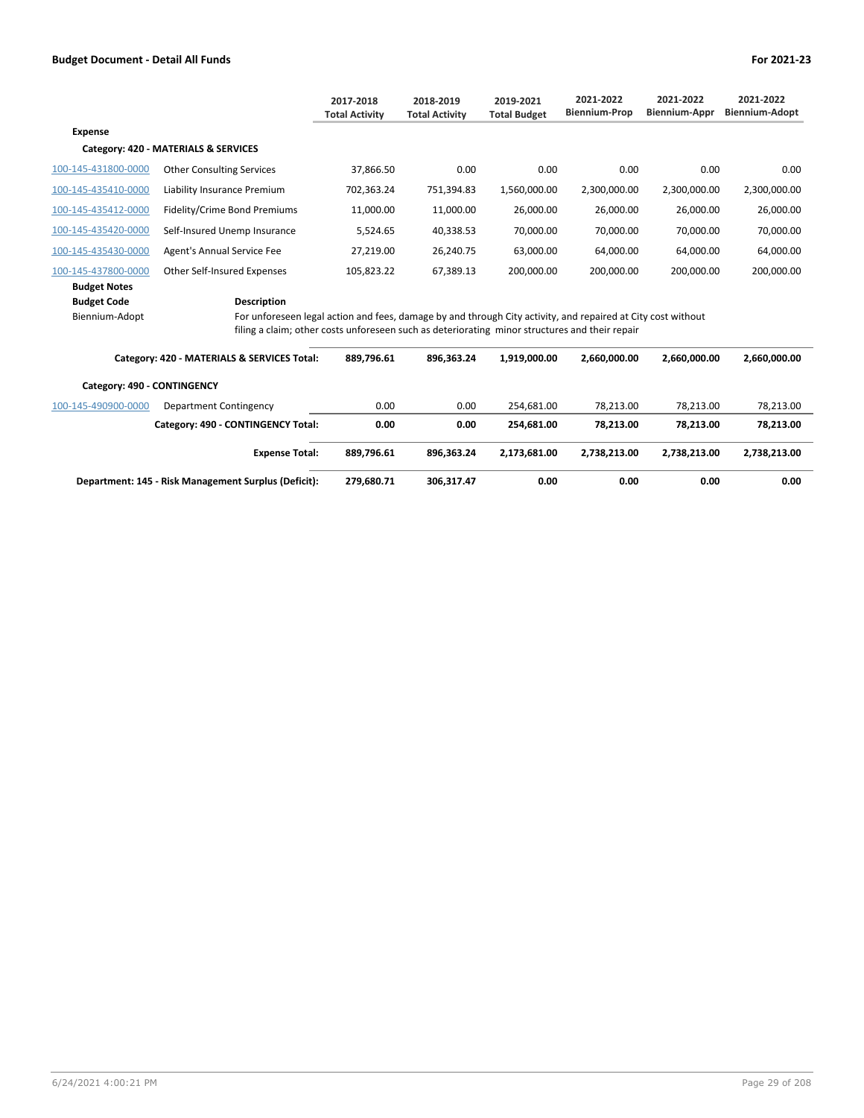|                             |                                                                                                                                                                                                                | 2017-2018<br><b>Total Activity</b> | 2018-2019<br><b>Total Activity</b> | 2019-2021<br><b>Total Budget</b> | 2021-2022<br><b>Biennium-Prop</b> | 2021-2022<br><b>Biennium-Appr</b> | 2021-2022<br><b>Biennium-Adopt</b> |
|-----------------------------|----------------------------------------------------------------------------------------------------------------------------------------------------------------------------------------------------------------|------------------------------------|------------------------------------|----------------------------------|-----------------------------------|-----------------------------------|------------------------------------|
| <b>Expense</b>              |                                                                                                                                                                                                                |                                    |                                    |                                  |                                   |                                   |                                    |
|                             | Category: 420 - MATERIALS & SERVICES                                                                                                                                                                           |                                    |                                    |                                  |                                   |                                   |                                    |
| 100-145-431800-0000         | <b>Other Consulting Services</b>                                                                                                                                                                               | 37,866.50                          | 0.00                               | 0.00                             | 0.00                              | 0.00                              | 0.00                               |
| 100-145-435410-0000         | Liability Insurance Premium                                                                                                                                                                                    | 702,363.24                         | 751,394.83                         | 1,560,000.00                     | 2,300,000.00                      | 2,300,000.00                      | 2,300,000.00                       |
| 100-145-435412-0000         | Fidelity/Crime Bond Premiums                                                                                                                                                                                   | 11,000.00                          | 11,000.00                          | 26,000.00                        | 26,000.00                         | 26,000.00                         | 26,000.00                          |
| 100-145-435420-0000         | Self-Insured Unemp Insurance                                                                                                                                                                                   | 5,524.65                           | 40,338.53                          | 70,000.00                        | 70,000.00                         | 70,000.00                         | 70,000.00                          |
| 100-145-435430-0000         | Agent's Annual Service Fee                                                                                                                                                                                     | 27,219.00                          | 26,240.75                          | 63,000.00                        | 64,000.00                         | 64,000.00                         | 64,000.00                          |
| 100-145-437800-0000         | Other Self-Insured Expenses                                                                                                                                                                                    | 105,823.22                         | 67,389.13                          | 200,000.00                       | 200,000.00                        | 200,000.00                        | 200,000.00                         |
| <b>Budget Notes</b>         |                                                                                                                                                                                                                |                                    |                                    |                                  |                                   |                                   |                                    |
| <b>Budget Code</b>          | <b>Description</b>                                                                                                                                                                                             |                                    |                                    |                                  |                                   |                                   |                                    |
| Biennium-Adopt              | For unforeseen legal action and fees, damage by and through City activity, and repaired at City cost without<br>filing a claim; other costs unforeseen such as deteriorating minor structures and their repair |                                    |                                    |                                  |                                   |                                   |                                    |
|                             | Category: 420 - MATERIALS & SERVICES Total:                                                                                                                                                                    | 889,796.61                         | 896,363.24                         | 1,919,000.00                     | 2,660,000.00                      | 2,660,000.00                      | 2,660,000.00                       |
| Category: 490 - CONTINGENCY |                                                                                                                                                                                                                |                                    |                                    |                                  |                                   |                                   |                                    |
| 100-145-490900-0000         | Department Contingency                                                                                                                                                                                         | 0.00                               | 0.00                               | 254,681.00                       | 78,213.00                         | 78,213.00                         | 78,213.00                          |
|                             | Category: 490 - CONTINGENCY Total:                                                                                                                                                                             | 0.00                               | 0.00                               | 254,681.00                       | 78,213.00                         | 78,213.00                         | 78,213.00                          |

| <b>Expense Total:</b>                                | 889.796.61 | 896.363.24 | 2.173.681.00 | 2.738.213.00 | 2.738.213.00 | 2.738.213.00 |
|------------------------------------------------------|------------|------------|--------------|--------------|--------------|--------------|
| Department: 145 - Risk Management Surplus (Deficit): | 279.680.71 | 306.317.47 | 0.00         | 0.00         | 0.00         | 0.00         |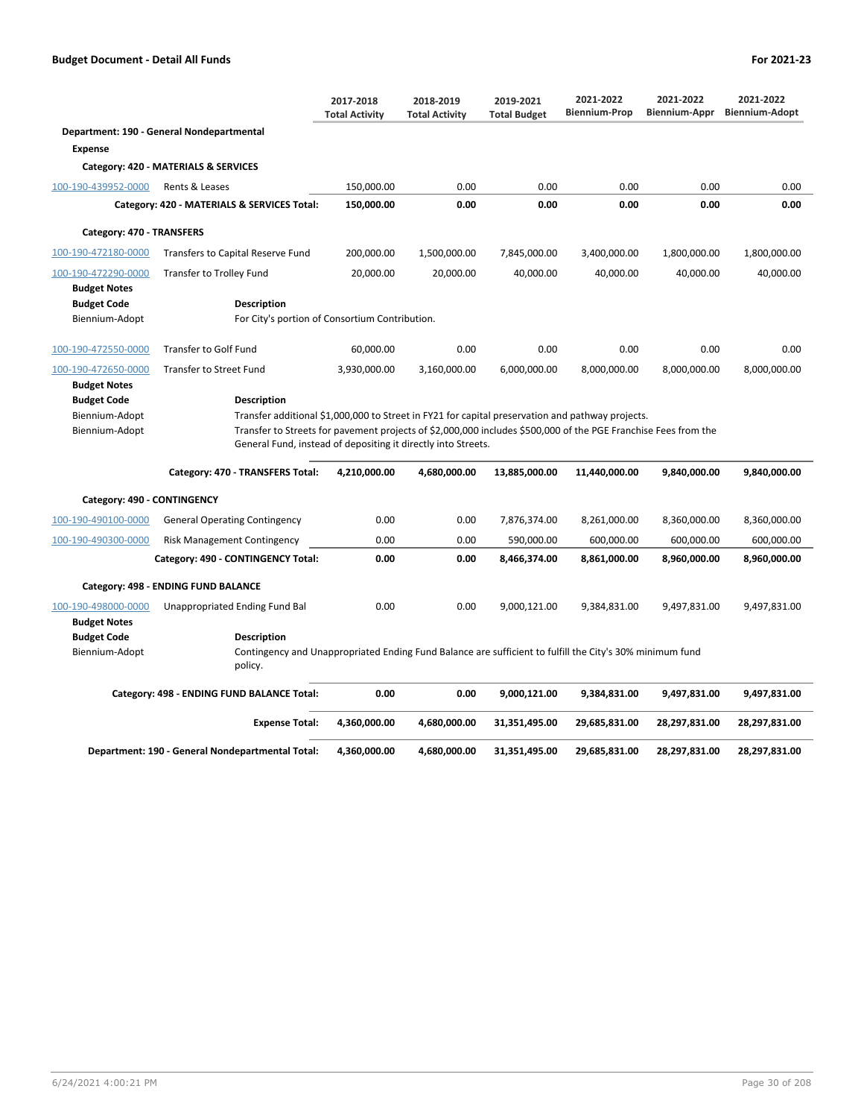|                                            |                                                                                                                     | 2017-2018<br><b>Total Activity</b>                                                                                                                                              | 2018-2019<br><b>Total Activity</b> | 2019-2021<br><b>Total Budget</b> | 2021-2022<br><b>Biennium-Prop</b> | 2021-2022<br><b>Biennium-Appr</b> | 2021-2022<br><b>Biennium-Adopt</b> |  |
|--------------------------------------------|---------------------------------------------------------------------------------------------------------------------|---------------------------------------------------------------------------------------------------------------------------------------------------------------------------------|------------------------------------|----------------------------------|-----------------------------------|-----------------------------------|------------------------------------|--|
|                                            | Department: 190 - General Nondepartmental                                                                           |                                                                                                                                                                                 |                                    |                                  |                                   |                                   |                                    |  |
| <b>Expense</b>                             |                                                                                                                     |                                                                                                                                                                                 |                                    |                                  |                                   |                                   |                                    |  |
|                                            | Category: 420 - MATERIALS & SERVICES                                                                                |                                                                                                                                                                                 |                                    |                                  |                                   |                                   |                                    |  |
| 100-190-439952-0000                        | Rents & Leases                                                                                                      | 150,000.00                                                                                                                                                                      | 0.00                               | 0.00                             | 0.00                              | 0.00                              | 0.00                               |  |
|                                            | Category: 420 - MATERIALS & SERVICES Total:                                                                         | 150,000.00                                                                                                                                                                      | 0.00                               | 0.00                             | 0.00                              | 0.00                              | 0.00                               |  |
| Category: 470 - TRANSFERS                  |                                                                                                                     |                                                                                                                                                                                 |                                    |                                  |                                   |                                   |                                    |  |
| 100-190-472180-0000                        | Transfers to Capital Reserve Fund                                                                                   | 200,000.00                                                                                                                                                                      | 1,500,000.00                       | 7,845,000.00                     | 3,400,000.00                      | 1,800,000.00                      | 1,800,000.00                       |  |
| 100-190-472290-0000                        | <b>Transfer to Trolley Fund</b>                                                                                     | 20,000.00                                                                                                                                                                       | 20,000.00                          | 40,000.00                        | 40,000.00                         | 40,000.00                         | 40,000.00                          |  |
| <b>Budget Notes</b>                        |                                                                                                                     |                                                                                                                                                                                 |                                    |                                  |                                   |                                   |                                    |  |
| <b>Budget Code</b>                         | Description                                                                                                         |                                                                                                                                                                                 |                                    |                                  |                                   |                                   |                                    |  |
| Biennium-Adopt                             | For City's portion of Consortium Contribution.                                                                      |                                                                                                                                                                                 |                                    |                                  |                                   |                                   |                                    |  |
| 100-190-472550-0000                        | Transfer to Golf Fund                                                                                               | 60,000.00                                                                                                                                                                       | 0.00                               | 0.00                             | 0.00                              | 0.00                              | 0.00                               |  |
| 100-190-472650-0000                        | <b>Transfer to Street Fund</b>                                                                                      | 3,930,000.00                                                                                                                                                                    | 3,160,000.00                       | 6,000,000.00                     | 8,000,000.00                      | 8,000,000.00                      | 8,000,000.00                       |  |
| <b>Budget Notes</b>                        |                                                                                                                     |                                                                                                                                                                                 |                                    |                                  |                                   |                                   |                                    |  |
| <b>Budget Code</b>                         | Description                                                                                                         |                                                                                                                                                                                 |                                    |                                  |                                   |                                   |                                    |  |
| Biennium-Adopt                             | Transfer additional \$1,000,000 to Street in FY21 for capital preservation and pathway projects.                    |                                                                                                                                                                                 |                                    |                                  |                                   |                                   |                                    |  |
| Biennium-Adopt                             |                                                                                                                     | Transfer to Streets for pavement projects of \$2,000,000 includes \$500,000 of the PGE Franchise Fees from the<br>General Fund, instead of depositing it directly into Streets. |                                    |                                  |                                   |                                   |                                    |  |
|                                            | Category: 470 - TRANSFERS Total:                                                                                    | 4,210,000.00                                                                                                                                                                    | 4,680,000.00                       | 13,885,000.00                    | 11,440,000.00                     | 9,840,000.00                      | 9,840,000.00                       |  |
| Category: 490 - CONTINGENCY                |                                                                                                                     |                                                                                                                                                                                 |                                    |                                  |                                   |                                   |                                    |  |
| 100-190-490100-0000                        | <b>General Operating Contingency</b>                                                                                | 0.00                                                                                                                                                                            | 0.00                               | 7,876,374.00                     | 8,261,000.00                      | 8,360,000.00                      | 8,360,000.00                       |  |
| 100-190-490300-0000                        | <b>Risk Management Contingency</b>                                                                                  | 0.00                                                                                                                                                                            | 0.00                               | 590,000.00                       | 600,000.00                        | 600,000.00                        | 600,000.00                         |  |
|                                            | Category: 490 - CONTINGENCY Total:                                                                                  | 0.00                                                                                                                                                                            | 0.00                               | 8,466,374.00                     | 8,861,000.00                      | 8,960,000.00                      | 8,960,000.00                       |  |
|                                            | Category: 498 - ENDING FUND BALANCE                                                                                 |                                                                                                                                                                                 |                                    |                                  |                                   |                                   |                                    |  |
| 100-190-498000-0000<br><b>Budget Notes</b> | Unappropriated Ending Fund Bal                                                                                      | 0.00                                                                                                                                                                            | 0.00                               | 9,000,121.00                     | 9,384,831.00                      | 9,497,831.00                      | 9,497,831.00                       |  |
| <b>Budget Code</b>                         | <b>Description</b>                                                                                                  |                                                                                                                                                                                 |                                    |                                  |                                   |                                   |                                    |  |
| Biennium-Adopt                             | Contingency and Unappropriated Ending Fund Balance are sufficient to fulfill the City's 30% minimum fund<br>policy. |                                                                                                                                                                                 |                                    |                                  |                                   |                                   |                                    |  |
|                                            | Category: 498 - ENDING FUND BALANCE Total:                                                                          | 0.00                                                                                                                                                                            | 0.00                               | 9,000,121.00                     | 9,384,831.00                      | 9,497,831.00                      | 9,497,831.00                       |  |
|                                            | <b>Expense Total:</b>                                                                                               | 4,360,000.00                                                                                                                                                                    | 4,680,000.00                       | 31,351,495.00                    | 29,685,831.00                     | 28,297,831.00                     | 28,297,831.00                      |  |
|                                            | Department: 190 - General Nondepartmental Total:                                                                    | 4,360,000.00                                                                                                                                                                    | 4,680,000.00                       | 31,351,495.00                    | 29,685,831.00                     | 28,297,831.00                     | 28,297,831.00                      |  |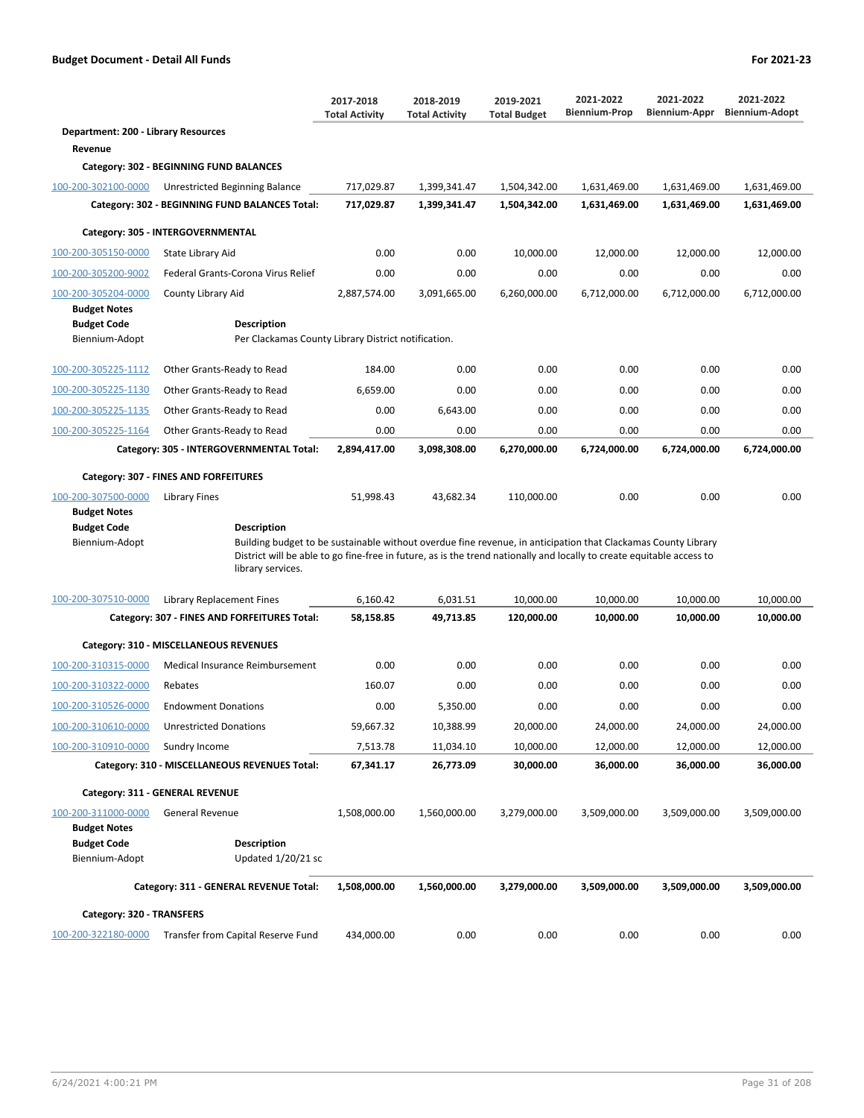|                                            |                                                                                                                                                                                                                                                             | 2017-2018<br><b>Total Activity</b> | 2018-2019<br><b>Total Activity</b> | 2019-2021<br><b>Total Budget</b> | 2021-2022<br><b>Biennium-Prop</b> | 2021-2022<br>Biennium-Appr | 2021-2022<br><b>Biennium-Adopt</b> |  |  |  |
|--------------------------------------------|-------------------------------------------------------------------------------------------------------------------------------------------------------------------------------------------------------------------------------------------------------------|------------------------------------|------------------------------------|----------------------------------|-----------------------------------|----------------------------|------------------------------------|--|--|--|
| Department: 200 - Library Resources        |                                                                                                                                                                                                                                                             |                                    |                                    |                                  |                                   |                            |                                    |  |  |  |
| Revenue                                    |                                                                                                                                                                                                                                                             |                                    |                                    |                                  |                                   |                            |                                    |  |  |  |
|                                            | Category: 302 - BEGINNING FUND BALANCES                                                                                                                                                                                                                     |                                    |                                    |                                  |                                   |                            |                                    |  |  |  |
| 100-200-302100-0000                        | Unrestricted Beginning Balance                                                                                                                                                                                                                              | 717,029.87                         | 1,399,341.47                       | 1,504,342.00                     | 1,631,469.00                      | 1,631,469.00               | 1,631,469.00                       |  |  |  |
|                                            | Category: 302 - BEGINNING FUND BALANCES Total:                                                                                                                                                                                                              | 717,029.87                         | 1,399,341.47                       | 1,504,342.00                     | 1,631,469.00                      | 1,631,469.00               | 1,631,469.00                       |  |  |  |
|                                            | Category: 305 - INTERGOVERNMENTAL                                                                                                                                                                                                                           |                                    |                                    |                                  |                                   |                            |                                    |  |  |  |
| 100-200-305150-0000                        | State Library Aid                                                                                                                                                                                                                                           | 0.00                               | 0.00                               | 10.000.00                        | 12.000.00                         | 12,000.00                  | 12,000.00                          |  |  |  |
| 100-200-305200-9002                        | Federal Grants-Corona Virus Relief                                                                                                                                                                                                                          | 0.00                               | 0.00                               | 0.00                             | 0.00                              | 0.00                       | 0.00                               |  |  |  |
| 100-200-305204-0000                        | County Library Aid                                                                                                                                                                                                                                          | 2,887,574.00                       | 3,091,665.00                       | 6,260,000.00                     | 6,712,000.00                      | 6,712,000.00               | 6,712,000.00                       |  |  |  |
| <b>Budget Notes</b>                        |                                                                                                                                                                                                                                                             |                                    |                                    |                                  |                                   |                            |                                    |  |  |  |
| <b>Budget Code</b>                         | Description                                                                                                                                                                                                                                                 |                                    |                                    |                                  |                                   |                            |                                    |  |  |  |
| Biennium-Adopt                             | Per Clackamas County Library District notification.                                                                                                                                                                                                         |                                    |                                    |                                  |                                   |                            |                                    |  |  |  |
| 100-200-305225-1112                        | Other Grants-Ready to Read                                                                                                                                                                                                                                  | 184.00                             | 0.00                               | 0.00                             | 0.00                              | 0.00                       | 0.00                               |  |  |  |
| 100-200-305225-1130                        | Other Grants-Ready to Read                                                                                                                                                                                                                                  | 6.659.00                           | 0.00                               | 0.00                             | 0.00                              | 0.00                       | 0.00                               |  |  |  |
| 100-200-305225-1135                        | Other Grants-Ready to Read                                                                                                                                                                                                                                  | 0.00                               | 6,643.00                           | 0.00                             | 0.00                              | 0.00                       | 0.00                               |  |  |  |
| 100-200-305225-1164                        | Other Grants-Ready to Read                                                                                                                                                                                                                                  | 0.00                               | 0.00                               | 0.00                             | 0.00                              | 0.00                       | 0.00                               |  |  |  |
|                                            | Category: 305 - INTERGOVERNMENTAL Total:                                                                                                                                                                                                                    | 2,894,417.00                       | 3,098,308.00                       | 6,270,000.00                     | 6,724,000.00                      | 6,724,000.00               | 6,724,000.00                       |  |  |  |
|                                            | Category: 307 - FINES AND FORFEITURES                                                                                                                                                                                                                       |                                    |                                    |                                  |                                   |                            |                                    |  |  |  |
| 100-200-307500-0000<br><b>Budget Notes</b> | Library Fines                                                                                                                                                                                                                                               | 51,998.43                          | 43,682.34                          | 110,000.00                       | 0.00                              | 0.00                       | 0.00                               |  |  |  |
| <b>Budget Code</b>                         | <b>Description</b>                                                                                                                                                                                                                                          |                                    |                                    |                                  |                                   |                            |                                    |  |  |  |
| Biennium-Adopt                             | Building budget to be sustainable without overdue fine revenue, in anticipation that Clackamas County Library<br>District will be able to go fine-free in future, as is the trend nationally and locally to create equitable access to<br>library services. |                                    |                                    |                                  |                                   |                            |                                    |  |  |  |
| 100-200-307510-0000                        | Library Replacement Fines                                                                                                                                                                                                                                   | 6,160.42                           | 6,031.51                           | 10,000.00                        | 10,000.00                         | 10,000.00                  | 10,000.00                          |  |  |  |
|                                            | Category: 307 - FINES AND FORFEITURES Total:                                                                                                                                                                                                                | 58,158.85                          | 49,713.85                          | 120,000.00                       | 10,000.00                         | 10,000.00                  | 10,000.00                          |  |  |  |
|                                            | Category: 310 - MISCELLANEOUS REVENUES                                                                                                                                                                                                                      |                                    |                                    |                                  |                                   |                            |                                    |  |  |  |
| 100-200-310315-0000                        | Medical Insurance Reimbursement                                                                                                                                                                                                                             | 0.00                               | 0.00                               | 0.00                             | 0.00                              | 0.00                       | 0.00                               |  |  |  |
| 100-200-310322-0000                        | Rebates                                                                                                                                                                                                                                                     | 160.07                             | 0.00                               | 0.00                             | 0.00                              | 0.00                       | 0.00                               |  |  |  |
| 100-200-310526-0000                        | <b>Endowment Donations</b>                                                                                                                                                                                                                                  | 0.00                               | 5.350.00                           | 0.00                             | 0.00                              | 0.00                       | 0.00                               |  |  |  |
| 100-200-310610-0000                        | <b>Unrestricted Donations</b>                                                                                                                                                                                                                               | 59,667.32                          | 10,388.99                          | 20,000.00                        | 24,000.00                         | 24,000.00                  | 24,000.00                          |  |  |  |
| 100-200-310910-0000                        | Sundry Income                                                                                                                                                                                                                                               | 7,513.78                           | 11,034.10                          | 10,000.00                        | 12,000.00                         | 12,000.00                  | 12,000.00                          |  |  |  |
|                                            | Category: 310 - MISCELLANEOUS REVENUES Total:                                                                                                                                                                                                               | 67,341.17                          | 26,773.09                          | 30,000.00                        | 36,000.00                         | 36,000.00                  | 36,000.00                          |  |  |  |
|                                            | Category: 311 - GENERAL REVENUE                                                                                                                                                                                                                             |                                    |                                    |                                  |                                   |                            |                                    |  |  |  |
| 100-200-311000-0000                        | <b>General Revenue</b>                                                                                                                                                                                                                                      | 1,508,000.00                       | 1,560,000.00                       | 3,279,000.00                     | 3,509,000.00                      | 3,509,000.00               | 3,509,000.00                       |  |  |  |
| <b>Budget Notes</b>                        |                                                                                                                                                                                                                                                             |                                    |                                    |                                  |                                   |                            |                                    |  |  |  |
| <b>Budget Code</b>                         | <b>Description</b>                                                                                                                                                                                                                                          |                                    |                                    |                                  |                                   |                            |                                    |  |  |  |
| Biennium-Adopt                             | Updated 1/20/21 sc                                                                                                                                                                                                                                          |                                    |                                    |                                  |                                   |                            |                                    |  |  |  |
|                                            | Category: 311 - GENERAL REVENUE Total:                                                                                                                                                                                                                      | 1,508,000.00                       | 1,560,000.00                       | 3,279,000.00                     | 3,509,000.00                      | 3,509,000.00               | 3,509,000.00                       |  |  |  |
| Category: 320 - TRANSFERS                  |                                                                                                                                                                                                                                                             |                                    |                                    |                                  |                                   |                            |                                    |  |  |  |
| 100-200-322180-0000                        | Transfer from Capital Reserve Fund                                                                                                                                                                                                                          | 434,000.00                         | 0.00                               | 0.00                             | 0.00                              | 0.00                       | 0.00                               |  |  |  |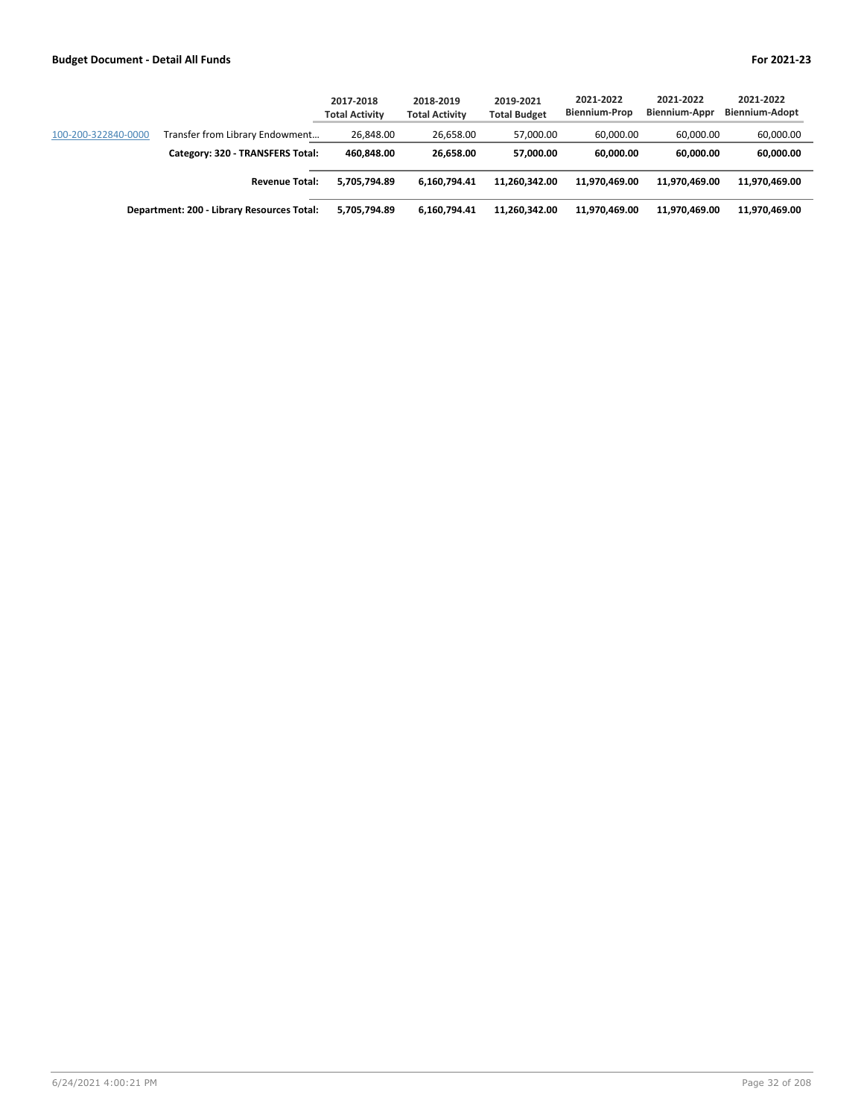|                     |                                            | 2017-2018<br><b>Total Activity</b> | 2018-2019<br><b>Total Activity</b> | 2019-2021<br><b>Total Budget</b> | 2021-2022<br>Biennium-Prop | 2021-2022<br><b>Biennium-Appr</b> | 2021-2022<br><b>Biennium-Adopt</b> |
|---------------------|--------------------------------------------|------------------------------------|------------------------------------|----------------------------------|----------------------------|-----------------------------------|------------------------------------|
| 100-200-322840-0000 | Transfer from Library Endowment            | 26,848.00                          | 26.658.00                          | 57.000.00                        | 60.000.00                  | 60.000.00                         | 60,000.00                          |
|                     | Category: 320 - TRANSFERS Total:           | 460.848.00                         | 26.658.00                          | 57.000.00                        | 60.000.00                  | 60.000.00                         | 60,000.00                          |
|                     | <b>Revenue Total:</b>                      | 5.705.794.89                       | 6.160.794.41                       | 11.260.342.00                    | 11.970.469.00              | 11.970.469.00                     | 11,970,469.00                      |
|                     | Department: 200 - Library Resources Total: | 5.705.794.89                       | 6.160.794.41                       | 11.260.342.00                    | 11.970.469.00              | 11.970.469.00                     | 11,970,469.00                      |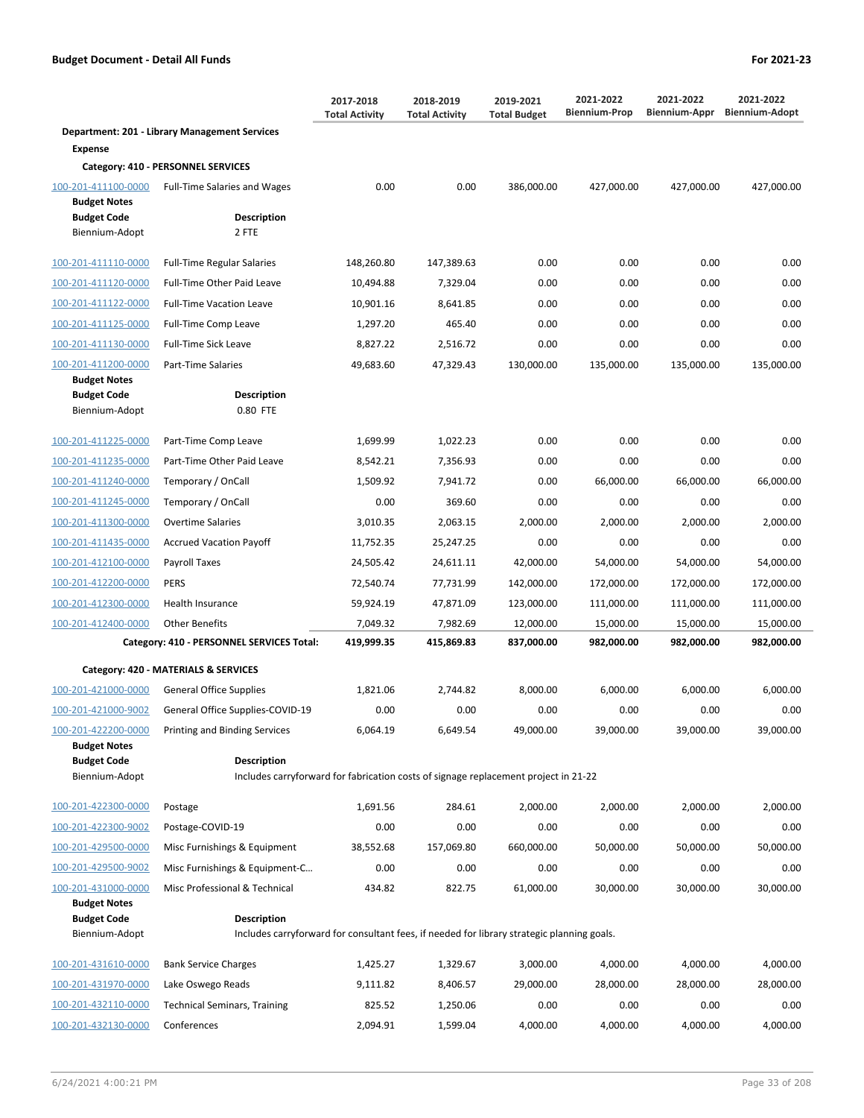|                                            |                                                                                            | 2017-2018<br><b>Total Activity</b> | 2018-2019<br><b>Total Activity</b> | 2019-2021<br><b>Total Budget</b> | 2021-2022<br><b>Biennium-Prop</b> | 2021-2022<br>Biennium-Appr | 2021-2022<br><b>Biennium-Adopt</b> |
|--------------------------------------------|--------------------------------------------------------------------------------------------|------------------------------------|------------------------------------|----------------------------------|-----------------------------------|----------------------------|------------------------------------|
|                                            | Department: 201 - Library Management Services                                              |                                    |                                    |                                  |                                   |                            |                                    |
| <b>Expense</b>                             |                                                                                            |                                    |                                    |                                  |                                   |                            |                                    |
|                                            | Category: 410 - PERSONNEL SERVICES                                                         |                                    |                                    |                                  |                                   |                            |                                    |
| 100-201-411100-0000<br><b>Budget Notes</b> | <b>Full-Time Salaries and Wages</b>                                                        | 0.00                               | 0.00                               | 386,000.00                       | 427,000.00                        | 427,000.00                 | 427,000.00                         |
| <b>Budget Code</b><br>Biennium-Adopt       | <b>Description</b><br>2 FTE                                                                |                                    |                                    |                                  |                                   |                            |                                    |
| 100-201-411110-0000                        | <b>Full-Time Regular Salaries</b>                                                          | 148,260.80                         | 147,389.63                         | 0.00                             | 0.00                              | 0.00                       | 0.00                               |
| 100-201-411120-0000                        | Full-Time Other Paid Leave                                                                 | 10,494.88                          | 7,329.04                           | 0.00                             | 0.00                              | 0.00                       | 0.00                               |
| 100-201-411122-0000                        | <b>Full-Time Vacation Leave</b>                                                            | 10,901.16                          | 8,641.85                           | 0.00                             | 0.00                              | 0.00                       | 0.00                               |
| 100-201-411125-0000                        | Full-Time Comp Leave                                                                       | 1,297.20                           | 465.40                             | 0.00                             | 0.00                              | 0.00                       | 0.00                               |
| 100-201-411130-0000                        | Full-Time Sick Leave                                                                       | 8,827.22                           | 2,516.72                           | 0.00                             | 0.00                              | 0.00                       | 0.00                               |
| 100-201-411200-0000<br><b>Budget Notes</b> | Part-Time Salaries                                                                         | 49,683.60                          | 47,329.43                          | 130,000.00                       | 135,000.00                        | 135,000.00                 | 135,000.00                         |
| <b>Budget Code</b>                         | <b>Description</b>                                                                         |                                    |                                    |                                  |                                   |                            |                                    |
| Biennium-Adopt                             | 0.80 FTE                                                                                   |                                    |                                    |                                  |                                   |                            |                                    |
| 100-201-411225-0000                        | Part-Time Comp Leave                                                                       | 1,699.99                           | 1,022.23                           | 0.00                             | 0.00                              | 0.00                       | 0.00                               |
| 100-201-411235-0000                        | Part-Time Other Paid Leave                                                                 | 8,542.21                           | 7,356.93                           | 0.00                             | 0.00                              | 0.00                       | 0.00                               |
| 100-201-411240-0000                        | Temporary / OnCall                                                                         | 1,509.92                           | 7,941.72                           | 0.00                             | 66,000.00                         | 66,000.00                  | 66,000.00                          |
| 100-201-411245-0000                        | Temporary / OnCall                                                                         | 0.00                               | 369.60                             | 0.00                             | 0.00                              | 0.00                       | 0.00                               |
| 100-201-411300-0000                        | <b>Overtime Salaries</b>                                                                   | 3,010.35                           | 2,063.15                           | 2,000.00                         | 2,000.00                          | 2,000.00                   | 2,000.00                           |
| 100-201-411435-0000                        | <b>Accrued Vacation Payoff</b>                                                             | 11,752.35                          | 25,247.25                          | 0.00                             | 0.00                              | 0.00                       | 0.00                               |
| 100-201-412100-0000                        | Payroll Taxes                                                                              | 24,505.42                          | 24,611.11                          | 42,000.00                        | 54,000.00                         | 54,000.00                  | 54,000.00                          |
| 100-201-412200-0000                        | <b>PERS</b>                                                                                | 72,540.74                          | 77,731.99                          | 142,000.00                       | 172,000.00                        | 172,000.00                 | 172,000.00                         |
| 100-201-412300-0000                        | Health Insurance                                                                           | 59,924.19                          | 47,871.09                          | 123,000.00                       | 111,000.00                        | 111,000.00                 | 111,000.00                         |
| 100-201-412400-0000                        | <b>Other Benefits</b>                                                                      | 7,049.32                           | 7,982.69                           | 12,000.00                        | 15,000.00                         | 15,000.00                  | 15,000.00                          |
|                                            | Category: 410 - PERSONNEL SERVICES Total:                                                  | 419,999.35                         | 415,869.83                         | 837,000.00                       | 982,000.00                        | 982,000.00                 | 982,000.00                         |
|                                            | Category: 420 - MATERIALS & SERVICES                                                       |                                    |                                    |                                  |                                   |                            |                                    |
| 100-201-421000-0000                        | <b>General Office Supplies</b>                                                             | 1,821.06                           | 2,744.82                           | 8,000.00                         | 6,000.00                          | 6,000.00                   | 6.000.00                           |
| 100-201-421000-9002                        | General Office Supplies-COVID-19                                                           | 0.00                               | 0.00                               | 0.00                             | 0.00                              | 0.00                       | 0.00                               |
| 100-201-422200-0000                        | Printing and Binding Services                                                              | 6,064.19                           | 6,649.54                           | 49,000.00                        | 39,000.00                         | 39,000.00                  | 39,000.00                          |
| <b>Budget Notes</b>                        | <b>Description</b>                                                                         |                                    |                                    |                                  |                                   |                            |                                    |
| <b>Budget Code</b><br>Biennium-Adopt       | Includes carryforward for fabrication costs of signage replacement project in 21-22        |                                    |                                    |                                  |                                   |                            |                                    |
|                                            |                                                                                            |                                    |                                    |                                  |                                   |                            |                                    |
| 100-201-422300-0000                        | Postage                                                                                    | 1,691.56                           | 284.61                             | 2,000.00                         | 2.000.00                          | 2,000.00                   | 2,000.00                           |
| 100-201-422300-9002                        | Postage-COVID-19                                                                           | 0.00                               | 0.00                               | 0.00                             | 0.00                              | 0.00                       | 0.00                               |
| 100-201-429500-0000                        | Misc Furnishings & Equipment                                                               | 38,552.68                          | 157,069.80                         | 660,000.00                       | 50,000.00                         | 50,000.00                  | 50,000.00                          |
| 100-201-429500-9002                        | Misc Furnishings & Equipment-C                                                             | 0.00                               | 0.00                               | 0.00                             | 0.00                              | 0.00                       | 0.00                               |
| 100-201-431000-0000<br><b>Budget Notes</b> | Misc Professional & Technical                                                              | 434.82                             | 822.75                             | 61,000.00                        | 30,000.00                         | 30,000.00                  | 30,000.00                          |
| <b>Budget Code</b>                         | <b>Description</b>                                                                         |                                    |                                    |                                  |                                   |                            |                                    |
| Biennium-Adopt                             | Includes carryforward for consultant fees, if needed for library strategic planning goals. |                                    |                                    |                                  |                                   |                            |                                    |
| 100-201-431610-0000                        | <b>Bank Service Charges</b>                                                                | 1,425.27                           | 1,329.67                           | 3,000.00                         | 4,000.00                          | 4,000.00                   | 4,000.00                           |
| 100-201-431970-0000                        | Lake Oswego Reads                                                                          | 9,111.82                           | 8,406.57                           | 29,000.00                        | 28,000.00                         | 28,000.00                  | 28,000.00                          |
| 100-201-432110-0000                        | <b>Technical Seminars, Training</b>                                                        | 825.52                             | 1,250.06                           | 0.00                             | 0.00                              | 0.00                       | 0.00                               |
| 100-201-432130-0000                        | Conferences                                                                                | 2,094.91                           | 1,599.04                           | 4,000.00                         | 4,000.00                          | 4,000.00                   | 4,000.00                           |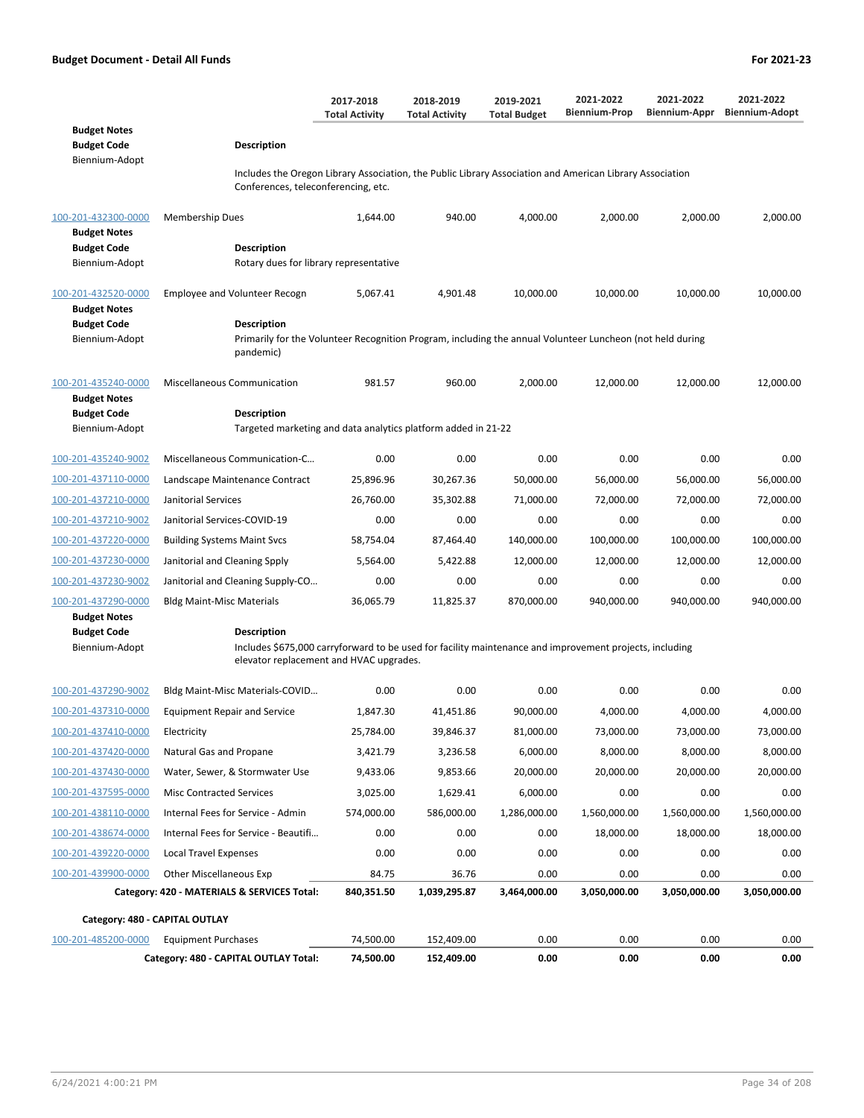**Budget Code Description** 

**Budget Notes**

Biennium-Adopt

| Conferences, teleconferencing, etc.                              |                                                                                                                               |            |              |              |              |              |              |  |
|------------------------------------------------------------------|-------------------------------------------------------------------------------------------------------------------------------|------------|--------------|--------------|--------------|--------------|--------------|--|
| 100-201-432300-0000<br><b>Budget Notes</b><br><b>Budget Code</b> | <b>Membership Dues</b><br>Description                                                                                         | 1,644.00   | 940.00       | 4,000.00     | 2,000.00     | 2,000.00     | 2,000.00     |  |
| Biennium-Adopt                                                   | Rotary dues for library representative                                                                                        |            |              |              |              |              |              |  |
| 100-201-432520-0000<br><b>Budget Notes</b>                       | <b>Employee and Volunteer Recogn</b>                                                                                          | 5,067.41   | 4,901.48     | 10,000.00    | 10,000.00    | 10,000.00    | 10,000.00    |  |
| <b>Budget Code</b>                                               | Description                                                                                                                   |            |              |              |              |              |              |  |
| Biennium-Adopt                                                   | Primarily for the Volunteer Recognition Program, including the annual Volunteer Luncheon (not held during<br>pandemic)        |            |              |              |              |              |              |  |
| 100-201-435240-0000<br><b>Budget Notes</b>                       | Miscellaneous Communication                                                                                                   | 981.57     | 960.00       | 2,000.00     | 12,000.00    | 12,000.00    | 12,000.00    |  |
| <b>Budget Code</b>                                               | Description                                                                                                                   |            |              |              |              |              |              |  |
| Biennium-Adopt                                                   | Targeted marketing and data analytics platform added in 21-22                                                                 |            |              |              |              |              |              |  |
| 100-201-435240-9002                                              | Miscellaneous Communication-C                                                                                                 | 0.00       | 0.00         | 0.00         | 0.00         | 0.00         | 0.00         |  |
| 100-201-437110-0000                                              | Landscape Maintenance Contract                                                                                                | 25,896.96  | 30,267.36    | 50,000.00    | 56,000.00    | 56,000.00    | 56,000.00    |  |
| 100-201-437210-0000                                              | Janitorial Services                                                                                                           | 26,760.00  | 35,302.88    | 71,000.00    | 72,000.00    | 72,000.00    | 72,000.00    |  |
| 100-201-437210-9002                                              | Janitorial Services-COVID-19                                                                                                  | 0.00       | 0.00         | 0.00         | 0.00         | 0.00         | 0.00         |  |
| 100-201-437220-0000                                              | <b>Building Systems Maint Svcs</b>                                                                                            | 58,754.04  | 87,464.40    | 140,000.00   | 100,000.00   | 100,000.00   | 100,000.00   |  |
| 100-201-437230-0000                                              | Janitorial and Cleaning Spply                                                                                                 | 5,564.00   | 5,422.88     | 12,000.00    | 12,000.00    | 12,000.00    | 12,000.00    |  |
| 100-201-437230-9002                                              | Janitorial and Cleaning Supply-CO                                                                                             | 0.00       | 0.00         | 0.00         | 0.00         | 0.00         | 0.00         |  |
| 100-201-437290-0000                                              | <b>Bldg Maint-Misc Materials</b>                                                                                              | 36,065.79  | 11,825.37    | 870,000.00   | 940,000.00   | 940,000.00   | 940,000.00   |  |
| <b>Budget Notes</b>                                              |                                                                                                                               |            |              |              |              |              |              |  |
| <b>Budget Code</b><br>Biennium-Adopt                             | <b>Description</b><br>Includes \$675,000 carryforward to be used for facility maintenance and improvement projects, including |            |              |              |              |              |              |  |
|                                                                  | elevator replacement and HVAC upgrades.                                                                                       |            |              |              |              |              |              |  |
| 100-201-437290-9002                                              | Bldg Maint-Misc Materials-COVID                                                                                               | 0.00       | 0.00         | 0.00         | 0.00         | 0.00         | 0.00         |  |
| 100-201-437310-0000                                              | <b>Equipment Repair and Service</b>                                                                                           | 1,847.30   | 41,451.86    | 90,000.00    | 4,000.00     | 4,000.00     | 4,000.00     |  |
| 100-201-437410-0000                                              | Electricity                                                                                                                   | 25,784.00  | 39,846.37    | 81,000.00    | 73,000.00    | 73,000.00    | 73,000.00    |  |
| 100-201-437420-0000                                              | Natural Gas and Propane                                                                                                       | 3,421.79   | 3,236.58     | 6,000.00     | 8,000.00     | 8,000.00     | 8,000.00     |  |
| 100-201-437430-0000                                              | Water, Sewer, & Stormwater Use                                                                                                | 9,433.06   | 9,853.66     | 20,000.00    | 20,000.00    | 20,000.00    | 20,000.00    |  |
| 100-201-437595-0000                                              | <b>Misc Contracted Services</b>                                                                                               | 3,025.00   | 1,629.41     | 6,000.00     | 0.00         | 0.00         | 0.00         |  |
| 100-201-438110-0000                                              | Internal Fees for Service - Admin                                                                                             | 574,000.00 | 586,000.00   | 1,286,000.00 | 1,560,000.00 | 1,560,000.00 | 1,560,000.00 |  |
| 100-201-438674-0000                                              | Internal Fees for Service - Beautifi                                                                                          | 0.00       | 0.00         | 0.00         | 18,000.00    | 18,000.00    | 18,000.00    |  |
| 100-201-439220-0000                                              | <b>Local Travel Expenses</b>                                                                                                  | 0.00       | 0.00         | 0.00         | 0.00         | 0.00         | 0.00         |  |
| 100-201-439900-0000                                              | <b>Other Miscellaneous Exp</b>                                                                                                | 84.75      | 36.76        | 0.00         | 0.00         | 0.00         | 0.00         |  |
|                                                                  | Category: 420 - MATERIALS & SERVICES Total:                                                                                   | 840,351.50 | 1,039,295.87 | 3,464,000.00 | 3,050,000.00 | 3,050,000.00 | 3,050,000.00 |  |
| Category: 480 - CAPITAL OUTLAY                                   |                                                                                                                               |            |              |              |              |              |              |  |
| 100-201-485200-0000                                              | <b>Equipment Purchases</b>                                                                                                    | 74,500.00  | 152,409.00   | 0.00         | 0.00         | 0.00         | 0.00         |  |
|                                                                  | Category: 480 - CAPITAL OUTLAY Total:                                                                                         | 74,500.00  | 152,409.00   | 0.00         | 0.00         | 0.00         | 0.00         |  |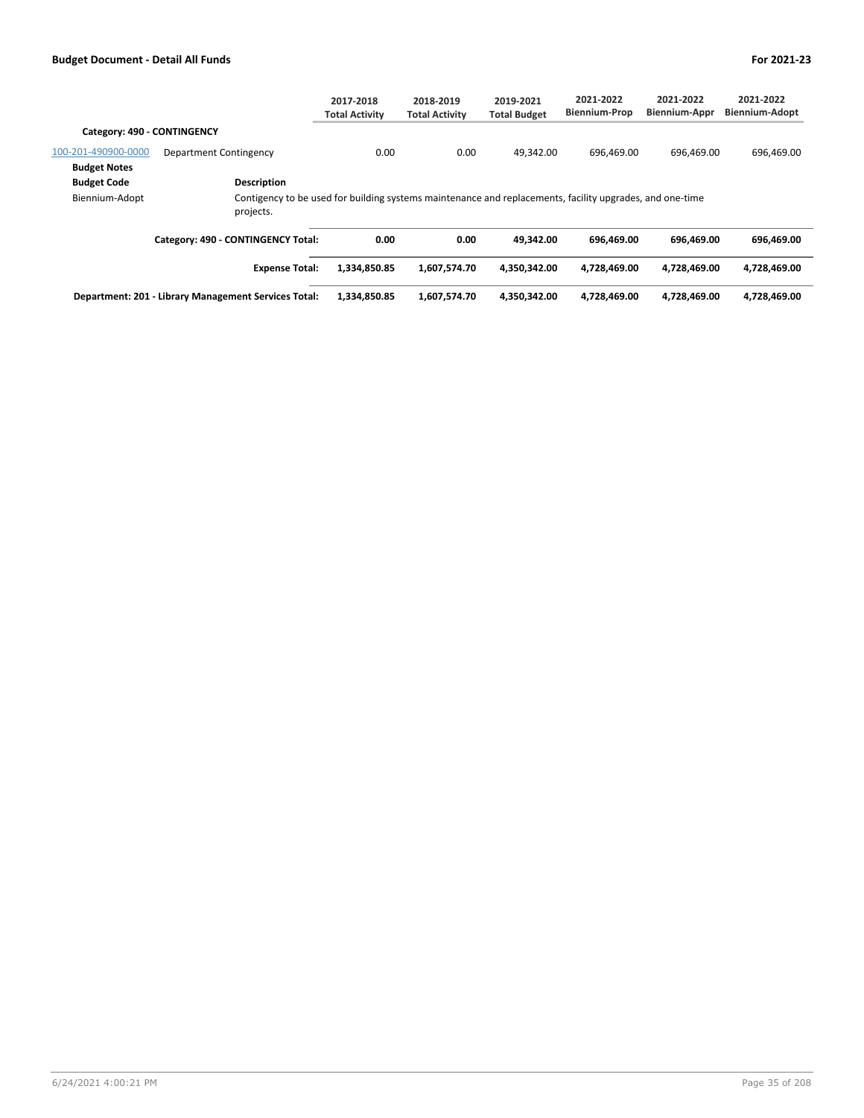|                             |                                                                                                                       | 2017-2018<br><b>Total Activity</b> | 2018-2019<br><b>Total Activity</b> | 2019-2021<br><b>Total Budget</b> | 2021-2022<br><b>Biennium-Prop</b> | 2021-2022<br><b>Biennium-Appr</b> | 2021-2022<br><b>Biennium-Adopt</b> |
|-----------------------------|-----------------------------------------------------------------------------------------------------------------------|------------------------------------|------------------------------------|----------------------------------|-----------------------------------|-----------------------------------|------------------------------------|
| Category: 490 - CONTINGENCY |                                                                                                                       |                                    |                                    |                                  |                                   |                                   |                                    |
| 100-201-490900-0000         | Department Contingency                                                                                                | 0.00                               | 0.00                               | 49.342.00                        | 696.469.00                        | 696.469.00                        | 696,469.00                         |
| <b>Budget Notes</b>         |                                                                                                                       |                                    |                                    |                                  |                                   |                                   |                                    |
| <b>Budget Code</b>          | <b>Description</b>                                                                                                    |                                    |                                    |                                  |                                   |                                   |                                    |
| Biennium-Adopt              | Contigency to be used for building systems maintenance and replacements, facility upgrades, and one-time<br>projects. |                                    |                                    |                                  |                                   |                                   |                                    |
|                             | Category: 490 - CONTINGENCY Total:                                                                                    | 0.00                               | 0.00                               | 49.342.00                        | 696.469.00                        | 696.469.00                        | 696.469.00                         |
|                             | <b>Expense Total:</b>                                                                                                 | 1.334.850.85                       | 1,607,574.70                       | 4.350.342.00                     | 4,728,469.00                      | 4.728.469.00                      | 4,728,469.00                       |
|                             | Department: 201 - Library Management Services Total:                                                                  | 1,334,850.85                       | 1,607,574.70                       | 4,350,342.00                     | 4,728,469.00                      | 4,728,469.00                      | 4,728,469.00                       |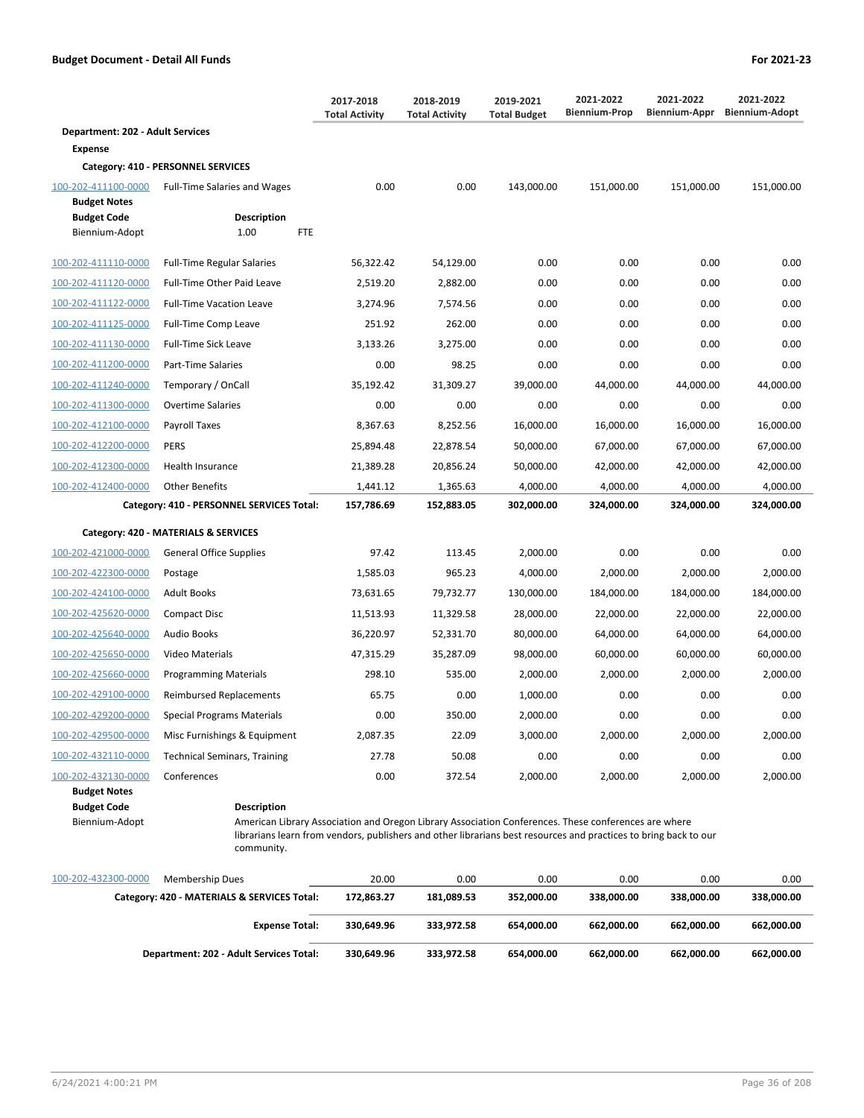|                                            |                                           | 2017-2018<br><b>Total Activity</b> | 2018-2019<br><b>Total Activity</b> | 2019-2021<br><b>Total Budget</b> | 2021-2022<br><b>Biennium-Prop</b> | 2021-2022<br>Biennium-Appr | 2021-2022<br><b>Biennium-Adopt</b> |
|--------------------------------------------|-------------------------------------------|------------------------------------|------------------------------------|----------------------------------|-----------------------------------|----------------------------|------------------------------------|
| <b>Department: 202 - Adult Services</b>    |                                           |                                    |                                    |                                  |                                   |                            |                                    |
| <b>Expense</b>                             |                                           |                                    |                                    |                                  |                                   |                            |                                    |
|                                            | Category: 410 - PERSONNEL SERVICES        |                                    |                                    |                                  |                                   |                            |                                    |
| 100-202-411100-0000<br><b>Budget Notes</b> | <b>Full-Time Salaries and Wages</b>       | 0.00                               | 0.00                               | 143,000.00                       | 151,000.00                        | 151,000.00                 | 151,000.00                         |
| <b>Budget Code</b>                         | <b>Description</b>                        |                                    |                                    |                                  |                                   |                            |                                    |
| Biennium-Adopt                             | 1.00<br><b>FTE</b>                        |                                    |                                    |                                  |                                   |                            |                                    |
| 100-202-411110-0000                        | <b>Full-Time Regular Salaries</b>         | 56,322.42                          | 54,129.00                          | 0.00                             | 0.00                              | 0.00                       | 0.00                               |
| 100-202-411120-0000                        | Full-Time Other Paid Leave                | 2,519.20                           | 2,882.00                           | 0.00                             | 0.00                              | 0.00                       | 0.00                               |
| 100-202-411122-0000                        | <b>Full-Time Vacation Leave</b>           | 3,274.96                           | 7,574.56                           | 0.00                             | 0.00                              | 0.00                       | 0.00                               |
| 100-202-411125-0000                        | Full-Time Comp Leave                      | 251.92                             | 262.00                             | 0.00                             | 0.00                              | 0.00                       | 0.00                               |
| 100-202-411130-0000                        | <b>Full-Time Sick Leave</b>               | 3,133.26                           | 3,275.00                           | 0.00                             | 0.00                              | 0.00                       | 0.00                               |
| 100-202-411200-0000                        | Part-Time Salaries                        | 0.00                               | 98.25                              | 0.00                             | 0.00                              | 0.00                       | 0.00                               |
| 100-202-411240-0000                        | Temporary / OnCall                        | 35.192.42                          | 31.309.27                          | 39,000.00                        | 44,000.00                         | 44,000.00                  | 44,000.00                          |
| 100-202-411300-0000                        | <b>Overtime Salaries</b>                  | 0.00                               | 0.00                               | 0.00                             | 0.00                              | 0.00                       | 0.00                               |
| 100-202-412100-0000                        | Payroll Taxes                             | 8,367.63                           | 8,252.56                           | 16,000.00                        | 16,000.00                         | 16,000.00                  | 16,000.00                          |
| 100-202-412200-0000                        | <b>PERS</b>                               | 25,894.48                          | 22,878.54                          | 50,000.00                        | 67,000.00                         | 67,000.00                  | 67,000.00                          |
| 100-202-412300-0000                        | Health Insurance                          | 21,389.28                          | 20,856.24                          | 50,000.00                        | 42,000.00                         | 42,000.00                  | 42,000.00                          |
| 100-202-412400-0000                        | <b>Other Benefits</b>                     | 1,441.12                           | 1,365.63                           | 4,000.00                         | 4,000.00                          | 4,000.00                   | 4,000.00                           |
|                                            | Category: 410 - PERSONNEL SERVICES Total: | 157,786.69                         | 152,883.05                         | 302,000.00                       | 324,000.00                        | 324,000.00                 | 324,000.00                         |
|                                            | Category: 420 - MATERIALS & SERVICES      |                                    |                                    |                                  |                                   |                            |                                    |
| 100-202-421000-0000                        | <b>General Office Supplies</b>            | 97.42                              | 113.45                             | 2,000.00                         | 0.00                              | 0.00                       | 0.00                               |
| 100-202-422300-0000                        | Postage                                   | 1,585.03                           | 965.23                             | 4,000.00                         | 2,000.00                          | 2,000.00                   | 2,000.00                           |
| 100-202-424100-0000                        | <b>Adult Books</b>                        | 73,631.65                          | 79,732.77                          | 130,000.00                       | 184,000.00                        | 184,000.00                 | 184,000.00                         |
| 100-202-425620-0000                        | <b>Compact Disc</b>                       | 11,513.93                          | 11,329.58                          | 28,000.00                        | 22,000.00                         | 22,000.00                  | 22,000.00                          |
| 100-202-425640-0000                        | <b>Audio Books</b>                        | 36,220.97                          | 52,331.70                          | 80,000.00                        | 64,000.00                         | 64,000.00                  | 64,000.00                          |
| 100-202-425650-0000                        | Video Materials                           | 47,315.29                          | 35,287.09                          | 98,000.00                        | 60,000.00                         | 60,000.00                  | 60,000.00                          |
| 100-202-425660-0000                        | <b>Programming Materials</b>              | 298.10                             | 535.00                             | 2,000.00                         | 2,000.00                          | 2,000.00                   | 2,000.00                           |
| 100-202-429100-0000                        | Reimbursed Replacements                   | 65.75                              | 0.00                               | 1,000.00                         | 0.00                              | 0.00                       | 0.00                               |
| 100-202-429200-0000                        | <b>Special Programs Materials</b>         | 0.00                               | 350.00                             | 2,000.00                         | 0.00                              | 0.00                       | 0.00                               |
| 100-202-429500-0000                        | Misc Furnishings & Equipment              | 2,087.35                           | 22.09                              | 3,000.00                         | 2,000.00                          | 2,000.00                   | 2,000.00                           |
| 100-202-432110-0000                        | <b>Technical Seminars, Training</b>       | 27.78                              | 50.08                              | 0.00                             | 0.00                              | 0.00                       | 0.00                               |

**Budget Notes Budget Code Description** 

Biennium-Adopt American Library Association and Oregon Library Association Conferences. These conferences are where librarians learn from vendors, publishers and other librarians best resources and practices to bring back to our community.

| 100-202-432300-0000<br><b>Membership Dues</b> | 20.00      | 0.00       | 0.00       | 0.00       | 0.00       | 0.00       |
|-----------------------------------------------|------------|------------|------------|------------|------------|------------|
| Category: 420 - MATERIALS & SERVICES Total:   | 172.863.27 | 181.089.53 | 352.000.00 | 338.000.00 | 338.000.00 | 338,000.00 |
| <b>Expense Total:</b>                         | 330.649.96 | 333.972.58 | 654.000.00 | 662.000.00 | 662.000.00 | 662,000.00 |
| Department: 202 - Adult Services Total:       | 330.649.96 | 333.972.58 | 654.000.00 | 662.000.00 | 662.000.00 | 662,000.00 |

100-202-432130-0000 Conferences 0.00 372.54 2,000.00 2,000.00 2,000.00 2,000.00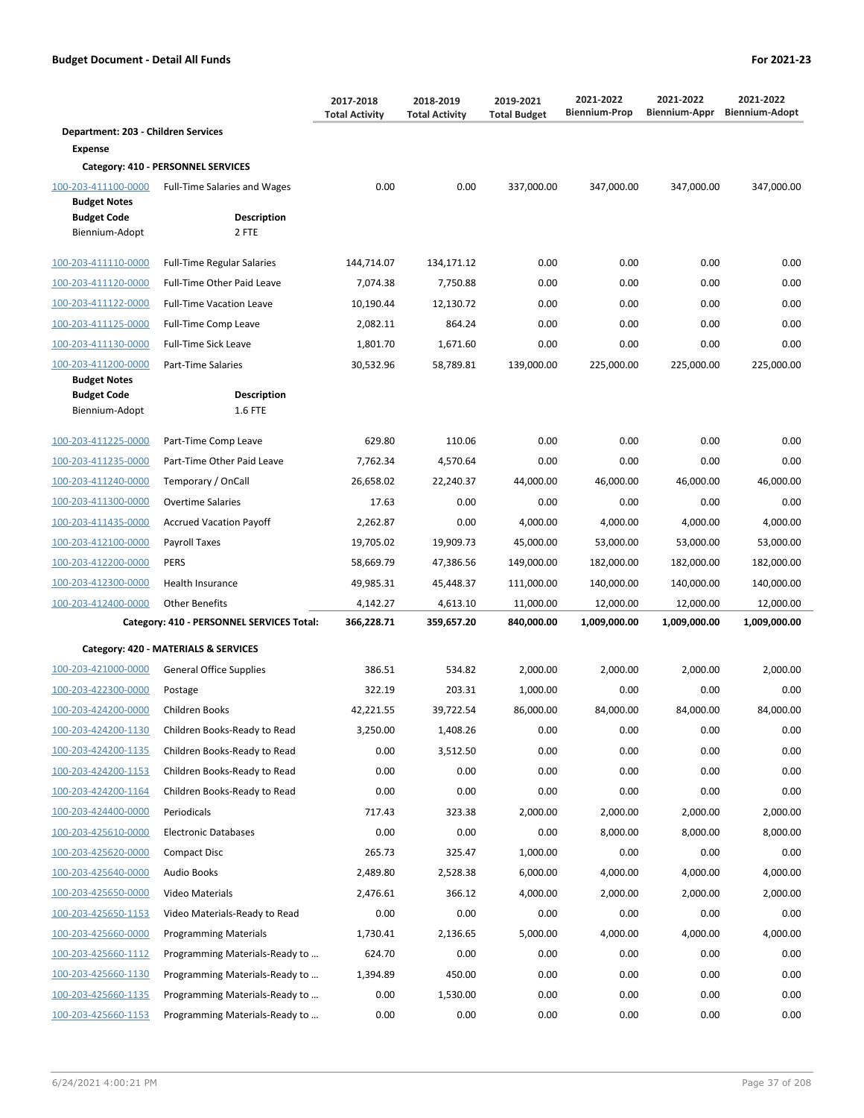|                                            |                                           | 2017-2018<br><b>Total Activity</b> | 2018-2019<br><b>Total Activity</b> | 2019-2021<br><b>Total Budget</b> | 2021-2022<br><b>Biennium-Prop</b> | 2021-2022<br><b>Biennium-Appr</b> | 2021-2022<br><b>Biennium-Adopt</b> |
|--------------------------------------------|-------------------------------------------|------------------------------------|------------------------------------|----------------------------------|-----------------------------------|-----------------------------------|------------------------------------|
| Department: 203 - Children Services        |                                           |                                    |                                    |                                  |                                   |                                   |                                    |
| <b>Expense</b>                             |                                           |                                    |                                    |                                  |                                   |                                   |                                    |
|                                            | Category: 410 - PERSONNEL SERVICES        |                                    |                                    |                                  |                                   |                                   |                                    |
| 100-203-411100-0000<br><b>Budget Notes</b> | <b>Full-Time Salaries and Wages</b>       | 0.00                               | 0.00                               | 337,000.00                       | 347,000.00                        | 347,000.00                        | 347,000.00                         |
| <b>Budget Code</b><br>Biennium-Adopt       | Description<br>2 FTE                      |                                    |                                    |                                  |                                   |                                   |                                    |
| 100-203-411110-0000                        | <b>Full-Time Regular Salaries</b>         | 144,714.07                         | 134,171.12                         | 0.00                             | 0.00                              | 0.00                              | 0.00                               |
| 100-203-411120-0000                        | Full-Time Other Paid Leave                | 7,074.38                           | 7,750.88                           | 0.00                             | 0.00                              | 0.00                              | 0.00                               |
| 100-203-411122-0000                        | <b>Full-Time Vacation Leave</b>           | 10,190.44                          | 12,130.72                          | 0.00                             | 0.00                              | 0.00                              | 0.00                               |
| 100-203-411125-0000                        | Full-Time Comp Leave                      | 2,082.11                           | 864.24                             | 0.00                             | 0.00                              | 0.00                              | 0.00                               |
| 100-203-411130-0000                        | Full-Time Sick Leave                      | 1,801.70                           | 1,671.60                           | 0.00                             | 0.00                              | 0.00                              | 0.00                               |
| 100-203-411200-0000                        | Part-Time Salaries                        | 30,532.96                          | 58,789.81                          | 139,000.00                       | 225,000.00                        | 225,000.00                        | 225,000.00                         |
| <b>Budget Notes</b><br><b>Budget Code</b>  | <b>Description</b>                        |                                    |                                    |                                  |                                   |                                   |                                    |
| Biennium-Adopt                             | 1.6 FTE                                   |                                    |                                    |                                  |                                   |                                   |                                    |
| 100-203-411225-0000                        | Part-Time Comp Leave                      | 629.80                             | 110.06                             | 0.00                             | 0.00                              | 0.00                              | 0.00                               |
| 100-203-411235-0000                        | Part-Time Other Paid Leave                | 7,762.34                           | 4,570.64                           | 0.00                             | 0.00                              | 0.00                              | 0.00                               |
| 100-203-411240-0000                        | Temporary / OnCall                        | 26,658.02                          | 22,240.37                          | 44,000.00                        | 46,000.00                         | 46,000.00                         | 46,000.00                          |
| 100-203-411300-0000                        | <b>Overtime Salaries</b>                  | 17.63                              | 0.00                               | 0.00                             | 0.00                              | 0.00                              | 0.00                               |
| 100-203-411435-0000                        | <b>Accrued Vacation Payoff</b>            | 2,262.87                           | 0.00                               | 4,000.00                         | 4,000.00                          | 4,000.00                          | 4,000.00                           |
| 100-203-412100-0000                        | Payroll Taxes                             | 19,705.02                          | 19,909.73                          | 45,000.00                        | 53,000.00                         | 53,000.00                         | 53,000.00                          |
| 100-203-412200-0000                        | <b>PERS</b>                               | 58,669.79                          | 47,386.56                          | 149,000.00                       | 182,000.00                        | 182,000.00                        | 182,000.00                         |
| 100-203-412300-0000                        | Health Insurance                          | 49,985.31                          | 45,448.37                          | 111,000.00                       | 140,000.00                        | 140,000.00                        | 140,000.00                         |
| 100-203-412400-0000                        | <b>Other Benefits</b>                     | 4,142.27                           | 4,613.10                           | 11,000.00                        | 12,000.00                         | 12,000.00                         | 12,000.00                          |
|                                            | Category: 410 - PERSONNEL SERVICES Total: | 366,228.71                         | 359,657.20                         | 840,000.00                       | 1,009,000.00                      | 1,009,000.00                      | 1,009,000.00                       |
|                                            |                                           |                                    |                                    |                                  |                                   |                                   |                                    |
|                                            | Category: 420 - MATERIALS & SERVICES      |                                    |                                    |                                  |                                   |                                   |                                    |
| 100-203-421000-0000                        | <b>General Office Supplies</b>            | 386.51                             | 534.82                             | 2,000.00                         | 2,000.00                          | 2,000.00                          | 2,000.00                           |
| 100-203-422300-0000                        | Postage                                   | 322.19                             | 203.31                             | 1,000.00                         | 0.00                              | 0.00                              | 0.00                               |
| 100-203-424200-0000                        | Children Books                            | 42,221.55                          | 39,722.54                          | 86,000.00                        | 84,000.00                         | 84,000.00                         | 84,000.00                          |
| 100-203-424200-1130                        | Children Books-Ready to Read              | 3,250.00                           | 1,408.26                           | 0.00                             | 0.00                              | 0.00                              | 0.00                               |
| 100-203-424200-1135                        | Children Books-Ready to Read              | 0.00                               | 3,512.50                           | 0.00                             | 0.00                              | 0.00                              | 0.00                               |
| 100-203-424200-1153                        | Children Books-Ready to Read              | 0.00                               | 0.00                               | 0.00                             | 0.00                              | 0.00                              | 0.00                               |
| 100-203-424200-1164                        | Children Books-Ready to Read              | 0.00                               | 0.00                               | 0.00                             | 0.00                              | 0.00                              | 0.00                               |
| 100-203-424400-0000                        | Periodicals                               | 717.43                             | 323.38                             | 2,000.00                         | 2,000.00                          | 2,000.00                          | 2,000.00                           |
| 100-203-425610-0000                        | <b>Electronic Databases</b>               | 0.00                               | 0.00                               | 0.00                             | 8,000.00                          | 8,000.00                          | 8,000.00                           |
| 100-203-425620-0000                        | <b>Compact Disc</b>                       | 265.73                             | 325.47                             | 1,000.00                         | 0.00                              | 0.00                              | 0.00                               |
| 100-203-425640-0000                        | <b>Audio Books</b>                        | 2,489.80                           | 2,528.38                           | 6,000.00                         | 4,000.00                          | 4,000.00                          | 4,000.00                           |
| 100-203-425650-0000                        | Video Materials                           | 2,476.61                           | 366.12                             | 4,000.00                         | 2,000.00                          | 2,000.00                          | 2,000.00                           |
| 100-203-425650-1153                        | Video Materials-Ready to Read             | 0.00                               | 0.00                               | 0.00                             | 0.00                              | 0.00                              | 0.00                               |
| 100-203-425660-0000                        | <b>Programming Materials</b>              | 1,730.41                           | 2,136.65                           | 5,000.00                         | 4,000.00                          | 4,000.00                          | 4,000.00                           |
| 100-203-425660-1112                        | Programming Materials-Ready to            | 624.70                             | 0.00                               | 0.00                             | 0.00                              | 0.00                              | 0.00                               |
| 100-203-425660-1130                        | Programming Materials-Ready to            | 1,394.89                           | 450.00                             | 0.00                             | 0.00                              | 0.00                              | 0.00                               |
| 100-203-425660-1135                        | Programming Materials-Ready to            | 0.00                               | 1,530.00                           | 0.00                             | 0.00                              | 0.00                              | 0.00                               |
| 100-203-425660-1153                        | Programming Materials-Ready to            | 0.00                               | 0.00                               | 0.00                             | 0.00                              | 0.00                              | 0.00                               |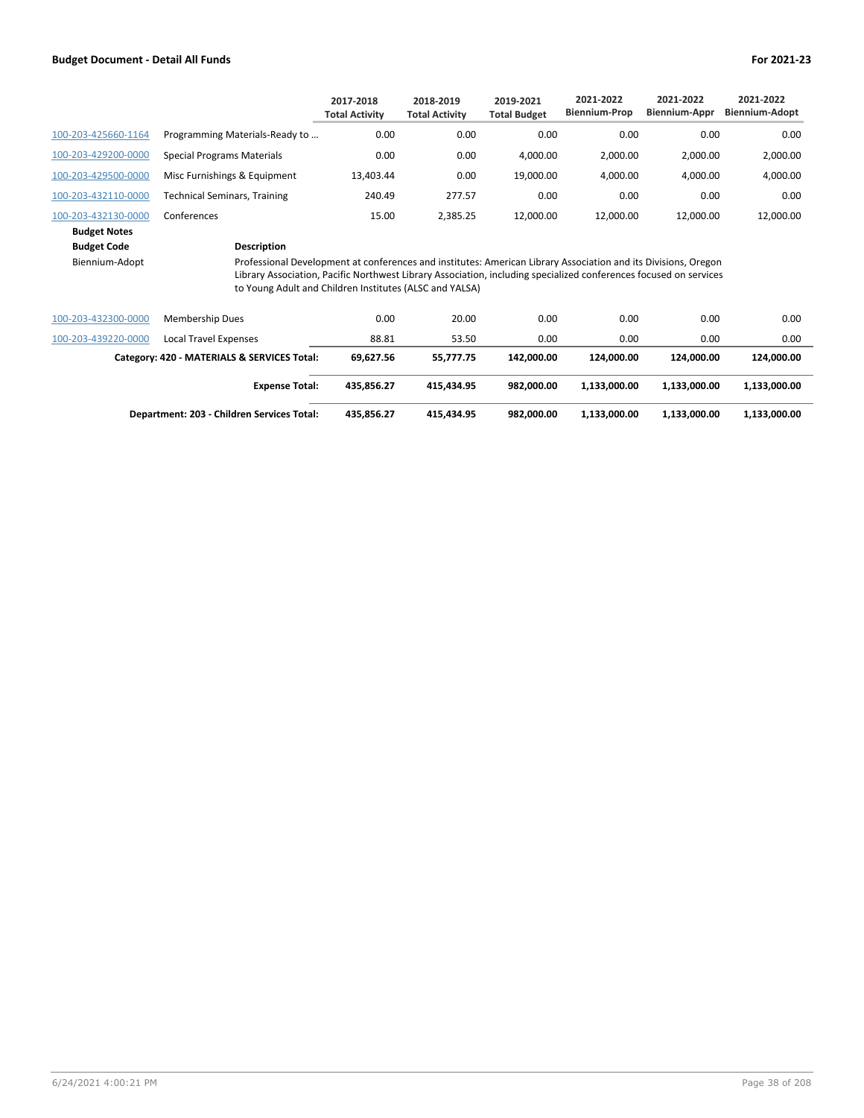|                                      |                                                                                                                                                                                                                                                                                                               | 2017-2018<br><b>Total Activity</b> | 2018-2019<br><b>Total Activity</b> | 2019-2021<br><b>Total Budget</b> | 2021-2022<br><b>Biennium-Prop</b> | 2021-2022<br><b>Biennium-Appr</b> | 2021-2022<br><b>Biennium-Adopt</b> |
|--------------------------------------|---------------------------------------------------------------------------------------------------------------------------------------------------------------------------------------------------------------------------------------------------------------------------------------------------------------|------------------------------------|------------------------------------|----------------------------------|-----------------------------------|-----------------------------------|------------------------------------|
| 100-203-425660-1164                  | Programming Materials-Ready to                                                                                                                                                                                                                                                                                | 0.00                               | 0.00                               | 0.00                             | 0.00                              | 0.00                              | 0.00                               |
| 100-203-429200-0000                  | Special Programs Materials                                                                                                                                                                                                                                                                                    | 0.00                               | 0.00                               | 4,000.00                         | 2,000.00                          | 2,000.00                          | 2,000.00                           |
| 100-203-429500-0000                  | Misc Furnishings & Equipment                                                                                                                                                                                                                                                                                  | 13,403.44                          | 0.00                               | 19,000.00                        | 4,000.00                          | 4,000.00                          | 4,000.00                           |
| 100-203-432110-0000                  | <b>Technical Seminars, Training</b>                                                                                                                                                                                                                                                                           | 240.49                             | 277.57                             | 0.00                             | 0.00                              | 0.00                              | 0.00                               |
| 100-203-432130-0000                  | Conferences                                                                                                                                                                                                                                                                                                   | 15.00                              | 2,385.25                           | 12,000.00                        | 12,000.00                         | 12,000.00                         | 12,000.00                          |
| <b>Budget Notes</b>                  |                                                                                                                                                                                                                                                                                                               |                                    |                                    |                                  |                                   |                                   |                                    |
| <b>Budget Code</b><br>Biennium-Adopt | Description<br>Professional Development at conferences and institutes: American Library Association and its Divisions, Oregon<br>Library Association, Pacific Northwest Library Association, including specialized conferences focused on services<br>to Young Adult and Children Institutes (ALSC and YALSA) |                                    |                                    |                                  |                                   |                                   |                                    |
| 100-203-432300-0000                  | <b>Membership Dues</b>                                                                                                                                                                                                                                                                                        | 0.00                               | 20.00                              | 0.00                             | 0.00                              | 0.00                              | 0.00                               |
| 100-203-439220-0000                  | Local Travel Expenses                                                                                                                                                                                                                                                                                         | 88.81                              | 53.50                              | 0.00                             | 0.00                              | 0.00                              | 0.00                               |
|                                      | Category: 420 - MATERIALS & SERVICES Total:                                                                                                                                                                                                                                                                   | 69,627.56                          | 55,777.75                          | 142,000.00                       | 124,000.00                        | 124,000.00                        | 124,000.00                         |

| <b>Expense Total:</b>                      | 435.856.27 | 415.434.95 | 982.000.00 | 1.133.000.00 | 1.133.000.00 | 1.133.000.00 |
|--------------------------------------------|------------|------------|------------|--------------|--------------|--------------|
| Department: 203 - Children Services Total: | 435.856.27 | 415.434.95 | 982.000.00 | 1.133.000.00 | 1.133.000.00 | 1.133.000.00 |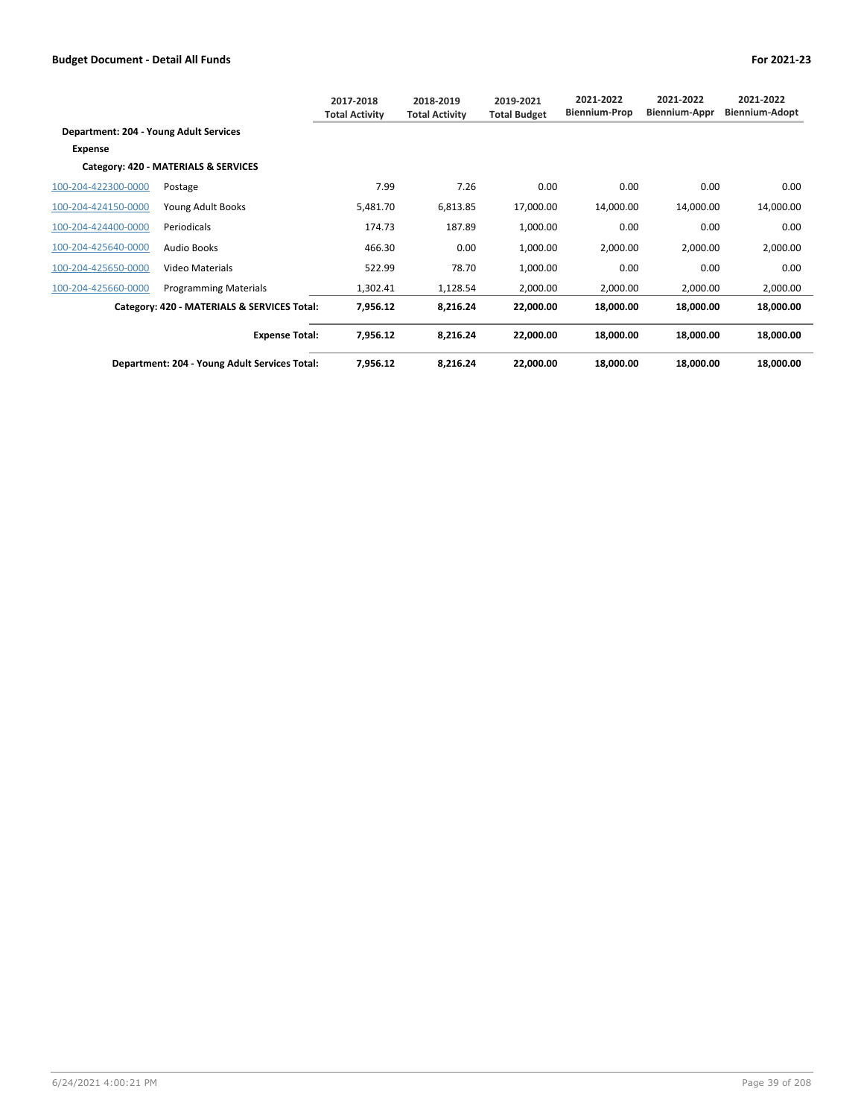|                                        |                                               | 2017-2018<br><b>Total Activity</b> | 2018-2019<br><b>Total Activity</b> | 2019-2021<br><b>Total Budget</b> | 2021-2022<br><b>Biennium-Prop</b> | 2021-2022<br><b>Biennium-Appr</b> | 2021-2022<br><b>Biennium-Adopt</b> |
|----------------------------------------|-----------------------------------------------|------------------------------------|------------------------------------|----------------------------------|-----------------------------------|-----------------------------------|------------------------------------|
| Department: 204 - Young Adult Services |                                               |                                    |                                    |                                  |                                   |                                   |                                    |
| Expense                                |                                               |                                    |                                    |                                  |                                   |                                   |                                    |
|                                        | Category: 420 - MATERIALS & SERVICES          |                                    |                                    |                                  |                                   |                                   |                                    |
| 100-204-422300-0000                    | Postage                                       | 7.99                               | 7.26                               | 0.00                             | 0.00                              | 0.00                              | 0.00                               |
| 100-204-424150-0000                    | Young Adult Books                             | 5,481.70                           | 6,813.85                           | 17,000.00                        | 14,000.00                         | 14,000.00                         | 14,000.00                          |
| 100-204-424400-0000                    | Periodicals                                   | 174.73                             | 187.89                             | 1,000.00                         | 0.00                              | 0.00                              | 0.00                               |
| 100-204-425640-0000                    | <b>Audio Books</b>                            | 466.30                             | 0.00                               | 1,000.00                         | 2,000.00                          | 2,000.00                          | 2,000.00                           |
| 100-204-425650-0000                    | Video Materials                               | 522.99                             | 78.70                              | 1,000.00                         | 0.00                              | 0.00                              | 0.00                               |
| 100-204-425660-0000                    | <b>Programming Materials</b>                  | 1,302.41                           | 1,128.54                           | 2,000.00                         | 2,000.00                          | 2,000.00                          | 2,000.00                           |
|                                        | Category: 420 - MATERIALS & SERVICES Total:   | 7,956.12                           | 8,216.24                           | 22,000.00                        | 18,000.00                         | 18,000.00                         | 18,000.00                          |
|                                        | <b>Expense Total:</b>                         | 7,956.12                           | 8,216.24                           | 22,000.00                        | 18,000.00                         | 18,000.00                         | 18,000.00                          |
|                                        | Department: 204 - Young Adult Services Total: | 7,956.12                           | 8,216.24                           | 22,000.00                        | 18,000.00                         | 18,000.00                         | 18,000.00                          |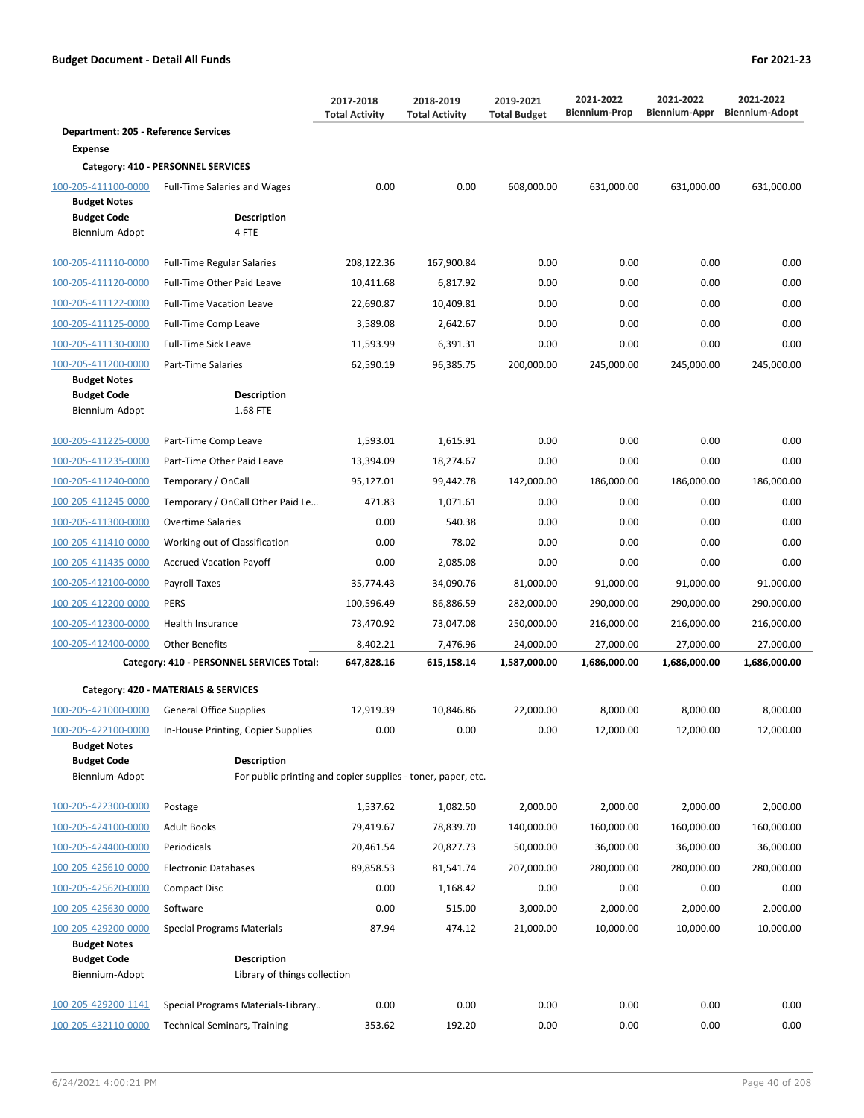|                                             |                                                                                    | 2017-2018<br><b>Total Activity</b> | 2018-2019<br><b>Total Activity</b> | 2019-2021<br><b>Total Budget</b> | 2021-2022<br><b>Biennium-Prop</b> | 2021-2022<br>Biennium-Appr | 2021-2022<br><b>Biennium-Adopt</b> |
|---------------------------------------------|------------------------------------------------------------------------------------|------------------------------------|------------------------------------|----------------------------------|-----------------------------------|----------------------------|------------------------------------|
| <b>Department: 205 - Reference Services</b> |                                                                                    |                                    |                                    |                                  |                                   |                            |                                    |
| <b>Expense</b>                              |                                                                                    |                                    |                                    |                                  |                                   |                            |                                    |
|                                             | Category: 410 - PERSONNEL SERVICES                                                 |                                    |                                    |                                  |                                   |                            |                                    |
| 100-205-411100-0000                         | <b>Full-Time Salaries and Wages</b>                                                | 0.00                               | 0.00                               | 608,000.00                       | 631,000.00                        | 631,000.00                 | 631,000.00                         |
| <b>Budget Notes</b><br><b>Budget Code</b>   | Description                                                                        |                                    |                                    |                                  |                                   |                            |                                    |
| Biennium-Adopt                              | 4 FTE                                                                              |                                    |                                    |                                  |                                   |                            |                                    |
| 100-205-411110-0000                         | <b>Full-Time Regular Salaries</b>                                                  | 208,122.36                         | 167,900.84                         | 0.00                             | 0.00                              | 0.00                       | 0.00                               |
| 100-205-411120-0000                         | Full-Time Other Paid Leave                                                         | 10,411.68                          | 6,817.92                           | 0.00                             | 0.00                              | 0.00                       | 0.00                               |
| 100-205-411122-0000                         | <b>Full-Time Vacation Leave</b>                                                    | 22,690.87                          | 10,409.81                          | 0.00                             | 0.00                              | 0.00                       | 0.00                               |
| 100-205-411125-0000                         | Full-Time Comp Leave                                                               | 3,589.08                           | 2,642.67                           | 0.00                             | 0.00                              | 0.00                       | 0.00                               |
| 100-205-411130-0000                         | <b>Full-Time Sick Leave</b>                                                        | 11,593.99                          | 6,391.31                           | 0.00                             | 0.00                              | 0.00                       | 0.00                               |
| 100-205-411200-0000                         | Part-Time Salaries                                                                 | 62,590.19                          | 96,385.75                          | 200,000.00                       | 245,000.00                        | 245,000.00                 | 245,000.00                         |
| <b>Budget Notes</b>                         |                                                                                    |                                    |                                    |                                  |                                   |                            |                                    |
| <b>Budget Code</b><br>Biennium-Adopt        | <b>Description</b><br>1.68 FTE                                                     |                                    |                                    |                                  |                                   |                            |                                    |
|                                             |                                                                                    |                                    |                                    |                                  |                                   |                            |                                    |
| 100-205-411225-0000                         | Part-Time Comp Leave                                                               | 1,593.01                           | 1,615.91                           | 0.00                             | 0.00                              | 0.00                       | 0.00                               |
| 100-205-411235-0000                         | Part-Time Other Paid Leave                                                         | 13,394.09                          | 18,274.67                          | 0.00                             | 0.00                              | 0.00                       | 0.00                               |
| 100-205-411240-0000                         | Temporary / OnCall                                                                 | 95,127.01                          | 99,442.78                          | 142,000.00                       | 186,000.00                        | 186,000.00                 | 186,000.00                         |
| 100-205-411245-0000                         | Temporary / OnCall Other Paid Le                                                   | 471.83                             | 1,071.61                           | 0.00                             | 0.00                              | 0.00                       | 0.00                               |
| 100-205-411300-0000                         | <b>Overtime Salaries</b>                                                           | 0.00                               | 540.38                             | 0.00                             | 0.00                              | 0.00                       | 0.00                               |
| 100-205-411410-0000                         | Working out of Classification                                                      | 0.00                               | 78.02                              | 0.00                             | 0.00                              | 0.00                       | 0.00                               |
| 100-205-411435-0000                         | <b>Accrued Vacation Payoff</b>                                                     | 0.00                               | 2,085.08                           | 0.00                             | 0.00                              | 0.00                       | 0.00                               |
| 100-205-412100-0000                         | Payroll Taxes                                                                      | 35,774.43                          | 34,090.76                          | 81,000.00                        | 91,000.00                         | 91,000.00                  | 91,000.00                          |
| 100-205-412200-0000                         | <b>PERS</b>                                                                        | 100,596.49                         | 86,886.59                          | 282,000.00                       | 290,000.00                        | 290,000.00                 | 290,000.00                         |
| 100-205-412300-0000                         | Health Insurance                                                                   | 73,470.92                          | 73,047.08                          | 250,000.00                       | 216,000.00                        | 216,000.00                 | 216,000.00                         |
| 100-205-412400-0000                         | <b>Other Benefits</b>                                                              | 8,402.21                           | 7,476.96                           | 24,000.00                        | 27,000.00                         | 27,000.00                  | 27,000.00                          |
|                                             | Category: 410 - PERSONNEL SERVICES Total:                                          | 647,828.16                         | 615,158.14                         | 1,587,000.00                     | 1,686,000.00                      | 1,686,000.00               | 1,686,000.00                       |
|                                             | Category: 420 - MATERIALS & SERVICES                                               |                                    |                                    |                                  |                                   |                            |                                    |
| 100-205-421000-0000                         | <b>General Office Supplies</b>                                                     | 12,919.39                          | 10,846.86                          | 22,000.00                        | 8.000.00                          | 8.000.00                   | 8,000.00                           |
| 100-205-422100-0000                         | In-House Printing, Copier Supplies                                                 | 0.00                               | 0.00                               | 0.00                             | 12,000.00                         | 12,000.00                  | 12,000.00                          |
| <b>Budget Notes</b>                         |                                                                                    |                                    |                                    |                                  |                                   |                            |                                    |
| <b>Budget Code</b><br>Biennium-Adopt        | <b>Description</b><br>For public printing and copier supplies - toner, paper, etc. |                                    |                                    |                                  |                                   |                            |                                    |
|                                             |                                                                                    |                                    |                                    |                                  |                                   |                            |                                    |
| 100-205-422300-0000                         | Postage                                                                            | 1,537.62                           | 1,082.50                           | 2,000.00                         | 2,000.00                          | 2,000.00                   | 2,000.00                           |
| 100-205-424100-0000                         | <b>Adult Books</b>                                                                 | 79,419.67                          | 78,839.70                          | 140,000.00                       | 160,000.00                        | 160,000.00                 | 160,000.00                         |
| 100-205-424400-0000                         | Periodicals                                                                        | 20,461.54                          | 20,827.73                          | 50,000.00                        | 36,000.00                         | 36,000.00                  | 36,000.00                          |
| 100-205-425610-0000                         | <b>Electronic Databases</b>                                                        | 89,858.53                          | 81,541.74                          | 207,000.00                       | 280,000.00                        | 280,000.00                 | 280,000.00                         |
| 100-205-425620-0000                         | <b>Compact Disc</b>                                                                | 0.00                               | 1,168.42                           | 0.00                             | 0.00                              | 0.00                       | 0.00                               |
| 100-205-425630-0000                         | Software                                                                           | 0.00                               | 515.00                             | 3,000.00                         | 2,000.00                          | 2,000.00                   | 2,000.00                           |
| 100-205-429200-0000                         | <b>Special Programs Materials</b>                                                  | 87.94                              | 474.12                             | 21,000.00                        | 10,000.00                         | 10,000.00                  | 10,000.00                          |
| <b>Budget Notes</b>                         |                                                                                    |                                    |                                    |                                  |                                   |                            |                                    |
| <b>Budget Code</b><br>Biennium-Adopt        | <b>Description</b><br>Library of things collection                                 |                                    |                                    |                                  |                                   |                            |                                    |
|                                             |                                                                                    |                                    |                                    |                                  |                                   |                            |                                    |
| 100-205-429200-1141                         | Special Programs Materials-Library                                                 | 0.00                               | 0.00                               | 0.00                             | 0.00                              | 0.00                       | 0.00                               |
| 100-205-432110-0000                         | <b>Technical Seminars, Training</b>                                                | 353.62                             | 192.20                             | 0.00                             | 0.00                              | 0.00                       | 0.00                               |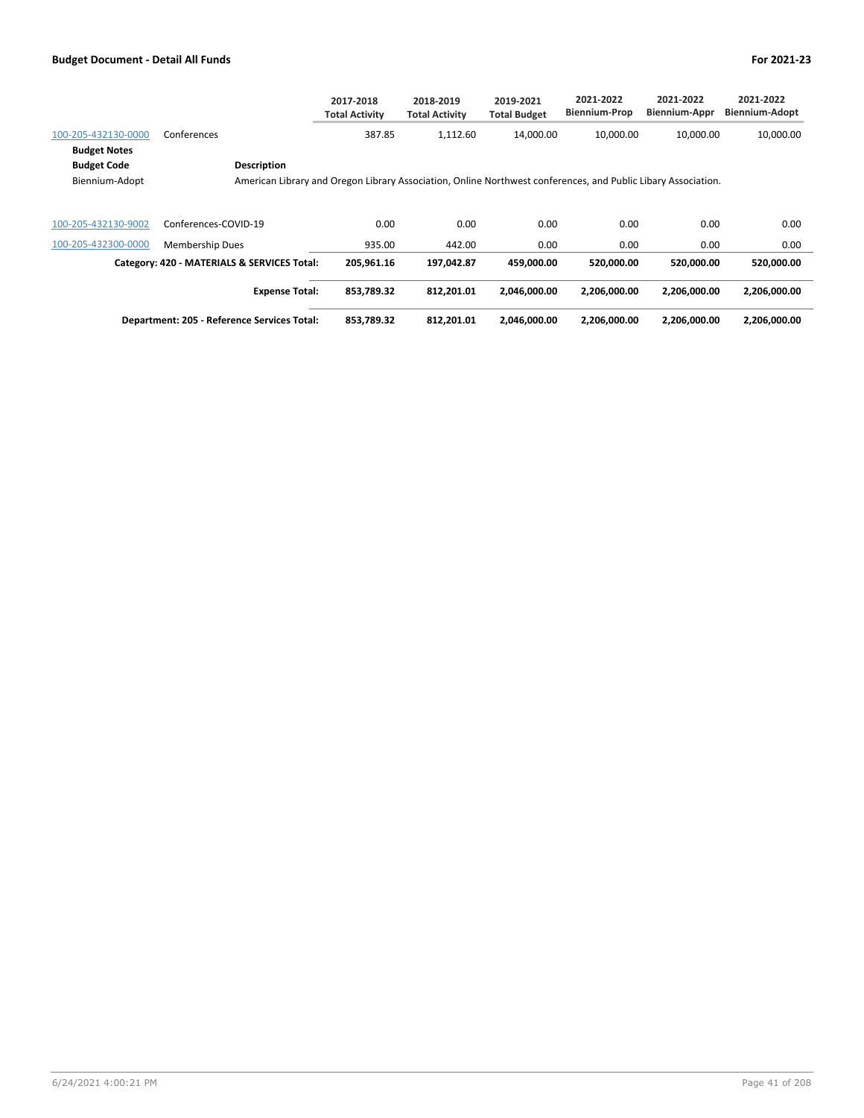|                                                             |                                                                                                                                     | 2017-2018<br><b>Total Activity</b> | 2018-2019<br><b>Total Activity</b> | 2019-2021<br><b>Total Budget</b> | 2021-2022<br><b>Biennium-Prop</b> | 2021-2022<br><b>Biennium-Appr</b> | 2021-2022<br><b>Biennium-Adopt</b> |
|-------------------------------------------------------------|-------------------------------------------------------------------------------------------------------------------------------------|------------------------------------|------------------------------------|----------------------------------|-----------------------------------|-----------------------------------|------------------------------------|
| 100-205-432130-0000                                         | Conferences                                                                                                                         | 387.85                             | 1,112.60                           | 14,000.00                        | 10,000.00                         | 10,000.00                         | 10,000.00                          |
| <b>Budget Notes</b><br><b>Budget Code</b><br>Biennium-Adopt | <b>Description</b><br>American Library and Oregon Library Association, Online Northwest conferences, and Public Libary Association. |                                    |                                    |                                  |                                   |                                   |                                    |
|                                                             |                                                                                                                                     |                                    |                                    |                                  |                                   |                                   |                                    |
| 100-205-432130-9002                                         | Conferences-COVID-19                                                                                                                | 0.00                               | 0.00                               | 0.00                             | 0.00                              | 0.00                              | 0.00                               |
| 100-205-432300-0000                                         | <b>Membership Dues</b>                                                                                                              | 935.00                             | 442.00                             | 0.00                             | 0.00                              | 0.00                              | 0.00                               |
|                                                             | Category: 420 - MATERIALS & SERVICES Total:                                                                                         | 205,961.16                         | 197,042.87                         | 459,000.00                       | 520,000.00                        | 520,000.00                        | 520,000.00                         |
|                                                             | <b>Expense Total:</b>                                                                                                               | 853,789.32                         | 812,201.01                         | 2.046.000.00                     | 2.206.000.00                      | 2,206,000.00                      | 2,206,000.00                       |
|                                                             | Department: 205 - Reference Services Total:                                                                                         | 853,789.32                         | 812,201.01                         | 2,046,000.00                     | 2,206,000.00                      | 2,206,000.00                      | 2,206,000.00                       |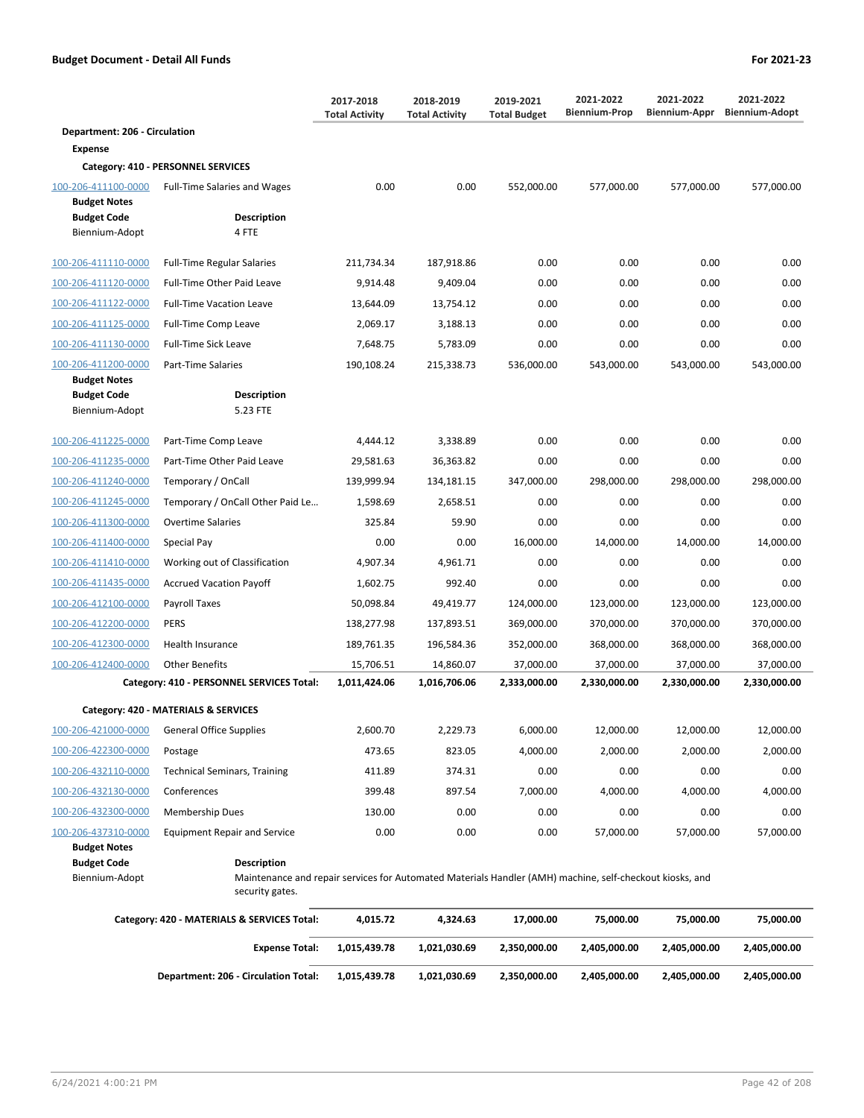# **Department: 206 - Circulation Expense**

|                                                             | Category: 410 - PERSONNEL SERVICES                                                                                             |              |              |              |              |              |              |
|-------------------------------------------------------------|--------------------------------------------------------------------------------------------------------------------------------|--------------|--------------|--------------|--------------|--------------|--------------|
| 100-206-411100-0000<br><b>Budget Notes</b>                  | <b>Full-Time Salaries and Wages</b>                                                                                            | 0.00         | 0.00         | 552,000.00   | 577,000.00   | 577,000.00   | 577,000.00   |
| <b>Budget Code</b>                                          | <b>Description</b>                                                                                                             |              |              |              |              |              |              |
| Biennium-Adopt                                              | 4 FTE                                                                                                                          |              |              |              |              |              |              |
|                                                             |                                                                                                                                |              |              |              |              |              |              |
| 100-206-411110-0000                                         | Full-Time Regular Salaries                                                                                                     | 211,734.34   | 187,918.86   | 0.00         | 0.00         | 0.00         | 0.00         |
| 100-206-411120-0000                                         | Full-Time Other Paid Leave                                                                                                     | 9,914.48     | 9,409.04     | 0.00         | 0.00         | 0.00         | 0.00         |
| 100-206-411122-0000                                         | <b>Full-Time Vacation Leave</b>                                                                                                | 13,644.09    | 13,754.12    | 0.00         | 0.00         | 0.00         | 0.00         |
| 100-206-411125-0000                                         | Full-Time Comp Leave                                                                                                           | 2,069.17     | 3,188.13     | 0.00         | 0.00         | 0.00         | 0.00         |
| 100-206-411130-0000                                         | <b>Full-Time Sick Leave</b>                                                                                                    | 7,648.75     | 5,783.09     | 0.00         | 0.00         | 0.00         | 0.00         |
| 100-206-411200-0000                                         | Part-Time Salaries                                                                                                             | 190,108.24   | 215,338.73   | 536,000.00   | 543,000.00   | 543,000.00   | 543,000.00   |
| <b>Budget Notes</b><br><b>Budget Code</b><br>Biennium-Adopt | <b>Description</b><br>5.23 FTE                                                                                                 |              |              |              |              |              |              |
| 100-206-411225-0000                                         | Part-Time Comp Leave                                                                                                           | 4,444.12     | 3,338.89     | 0.00         | 0.00         | 0.00         | 0.00         |
| 100-206-411235-0000                                         | Part-Time Other Paid Leave                                                                                                     | 29,581.63    | 36,363.82    | 0.00         | 0.00         | 0.00         | 0.00         |
| 100-206-411240-0000                                         | Temporary / OnCall                                                                                                             | 139,999.94   | 134,181.15   | 347,000.00   | 298,000.00   | 298,000.00   | 298,000.00   |
| 100-206-411245-0000                                         | Temporary / OnCall Other Paid Le                                                                                               | 1,598.69     | 2,658.51     | 0.00         | 0.00         | 0.00         | 0.00         |
| 100-206-411300-0000                                         | Overtime Salaries                                                                                                              | 325.84       | 59.90        | 0.00         | 0.00         | 0.00         | 0.00         |
| 100-206-411400-0000                                         | Special Pay                                                                                                                    | 0.00         | 0.00         | 16,000.00    | 14,000.00    | 14,000.00    | 14,000.00    |
| 100-206-411410-0000                                         | Working out of Classification                                                                                                  | 4,907.34     | 4,961.71     | 0.00         | 0.00         | 0.00         | 0.00         |
| 100-206-411435-0000                                         | <b>Accrued Vacation Payoff</b>                                                                                                 | 1,602.75     | 992.40       | 0.00         | 0.00         | 0.00         | 0.00         |
| 100-206-412100-0000                                         | Payroll Taxes                                                                                                                  | 50,098.84    | 49,419.77    | 124,000.00   | 123,000.00   | 123,000.00   | 123,000.00   |
| 100-206-412200-0000                                         | <b>PERS</b>                                                                                                                    | 138,277.98   | 137,893.51   | 369,000.00   | 370,000.00   | 370,000.00   | 370,000.00   |
| 100-206-412300-0000                                         | Health Insurance                                                                                                               | 189,761.35   | 196,584.36   | 352,000.00   | 368,000.00   | 368,000.00   | 368,000.00   |
| 100-206-412400-0000                                         | <b>Other Benefits</b>                                                                                                          | 15,706.51    | 14,860.07    | 37,000.00    | 37,000.00    | 37,000.00    | 37,000.00    |
|                                                             | Category: 410 - PERSONNEL SERVICES Total:                                                                                      | 1,011,424.06 | 1,016,706.06 | 2,333,000.00 | 2,330,000.00 | 2,330,000.00 | 2,330,000.00 |
|                                                             | Category: 420 - MATERIALS & SERVICES                                                                                           |              |              |              |              |              |              |
| 100-206-421000-0000                                         | <b>General Office Supplies</b>                                                                                                 | 2,600.70     | 2,229.73     | 6,000.00     | 12,000.00    | 12,000.00    | 12,000.00    |
| 100-206-422300-0000                                         | Postage                                                                                                                        | 473.65       | 823.05       | 4,000.00     | 2,000.00     | 2,000.00     | 2,000.00     |
| 100-206-432110-0000                                         | <b>Technical Seminars, Training</b>                                                                                            | 411.89       | 374.31       | 0.00         | 0.00         | 0.00         | 0.00         |
| 100-206-432130-0000                                         | Conferences                                                                                                                    | 399.48       | 897.54       | 7,000.00     | 4,000.00     | 4,000.00     | 4,000.00     |
| 100-206-432300-0000                                         | <b>Membership Dues</b>                                                                                                         | 130.00       | 0.00         | 0.00         | 0.00         | 0.00         | 0.00         |
| 100-206-437310-0000                                         | <b>Equipment Repair and Service</b>                                                                                            | 0.00         | 0.00         | 0.00         | 57,000.00    | 57,000.00    | 57,000.00    |
| <b>Budget Notes</b>                                         |                                                                                                                                |              |              |              |              |              |              |
| <b>Budget Code</b><br>Biennium-Adopt                        | <b>Description</b><br>Maintenance and repair services for Automated Materials Handler (AMH) machine, self-checkout kiosks, and |              |              |              |              |              |              |
|                                                             | security gates.                                                                                                                |              |              |              |              |              |              |
|                                                             | Category: 420 - MATERIALS & SERVICES Total:                                                                                    | 4,015.72     | 4,324.63     | 17,000.00    | 75,000.00    | 75,000.00    | 75,000.00    |
|                                                             | <b>Expense Total:</b>                                                                                                          | 1,015,439.78 | 1,021,030.69 | 2,350,000.00 | 2,405,000.00 | 2,405,000.00 | 2,405,000.00 |
|                                                             |                                                                                                                                |              |              |              |              |              |              |

**Department: 206 - Circulation Total: 1,015,439.78 1,021,030.69 2,350,000.00 2,405,000.00 2,405,000.00 2,405,000.00**

**2018-2019 Total Activity**

**2017-2018 Total Activity**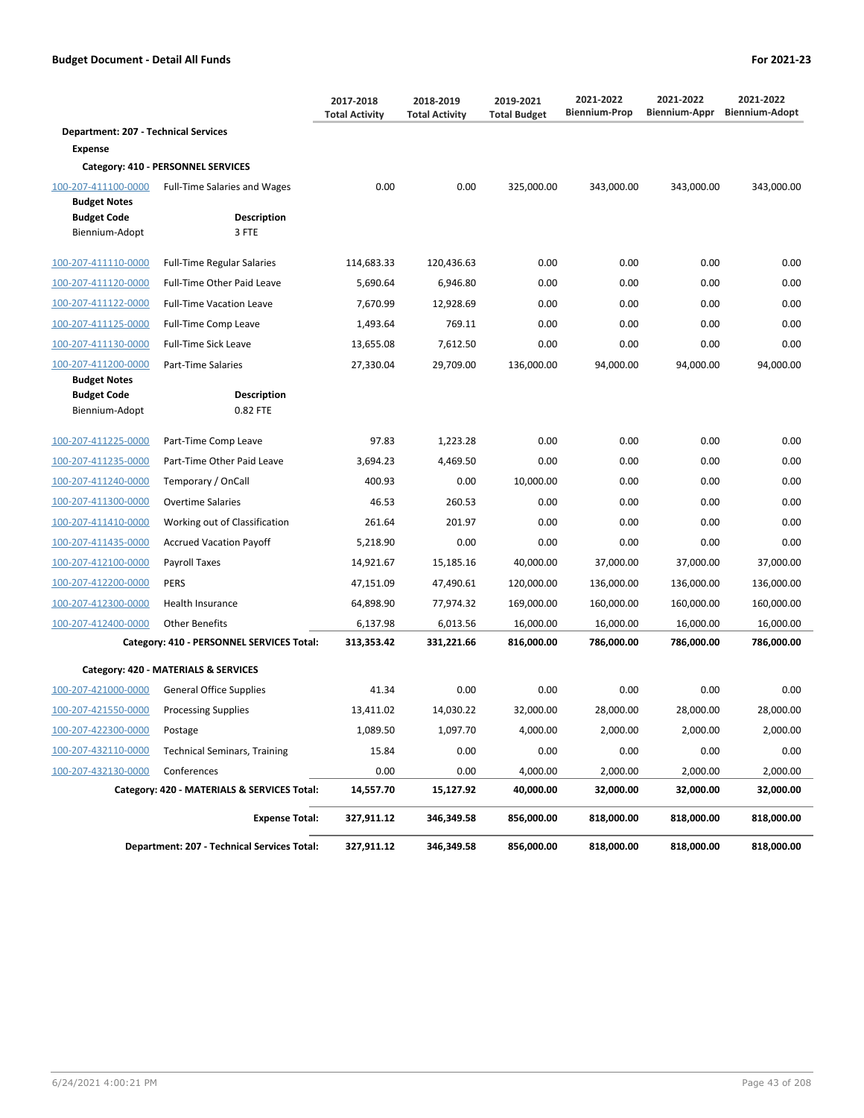|                                             |                                                    | 2017-2018<br><b>Total Activity</b> | 2018-2019<br><b>Total Activity</b> | 2019-2021<br><b>Total Budget</b> | 2021-2022<br><b>Biennium-Prop</b> | 2021-2022<br>Biennium-Appr | 2021-2022<br><b>Biennium-Adopt</b> |
|---------------------------------------------|----------------------------------------------------|------------------------------------|------------------------------------|----------------------------------|-----------------------------------|----------------------------|------------------------------------|
| <b>Department: 207 - Technical Services</b> |                                                    |                                    |                                    |                                  |                                   |                            |                                    |
| <b>Expense</b>                              |                                                    |                                    |                                    |                                  |                                   |                            |                                    |
|                                             | Category: 410 - PERSONNEL SERVICES                 |                                    |                                    |                                  |                                   |                            |                                    |
| 100-207-411100-0000                         | <b>Full-Time Salaries and Wages</b>                | 0.00                               | 0.00                               | 325,000.00                       | 343,000.00                        | 343,000.00                 | 343,000.00                         |
| <b>Budget Notes</b><br><b>Budget Code</b>   | <b>Description</b>                                 |                                    |                                    |                                  |                                   |                            |                                    |
| Biennium-Adopt                              | 3 FTE                                              |                                    |                                    |                                  |                                   |                            |                                    |
| 100-207-411110-0000                         | <b>Full-Time Regular Salaries</b>                  | 114,683.33                         | 120,436.63                         | 0.00                             | 0.00                              | 0.00                       | 0.00                               |
| 100-207-411120-0000                         | Full-Time Other Paid Leave                         | 5,690.64                           | 6.946.80                           | 0.00                             | 0.00                              | 0.00                       | 0.00                               |
| 100-207-411122-0000                         | <b>Full-Time Vacation Leave</b>                    | 7,670.99                           | 12,928.69                          | 0.00                             | 0.00                              | 0.00                       | 0.00                               |
| 100-207-411125-0000                         | Full-Time Comp Leave                               | 1,493.64                           | 769.11                             | 0.00                             | 0.00                              | 0.00                       | 0.00                               |
| 100-207-411130-0000                         | Full-Time Sick Leave                               | 13,655.08                          | 7,612.50                           | 0.00                             | 0.00                              | 0.00                       | 0.00                               |
| 100-207-411200-0000                         | Part-Time Salaries                                 | 27,330.04                          | 29,709.00                          | 136,000.00                       | 94,000.00                         | 94,000.00                  | 94,000.00                          |
| <b>Budget Notes</b>                         |                                                    |                                    |                                    |                                  |                                   |                            |                                    |
| <b>Budget Code</b><br>Biennium-Adopt        | <b>Description</b><br>0.82 FTE                     |                                    |                                    |                                  |                                   |                            |                                    |
|                                             |                                                    |                                    |                                    |                                  |                                   |                            |                                    |
| 100-207-411225-0000                         | Part-Time Comp Leave                               | 97.83                              | 1,223.28                           | 0.00                             | 0.00                              | 0.00                       | 0.00                               |
| 100-207-411235-0000                         | Part-Time Other Paid Leave                         | 3,694.23                           | 4,469.50                           | 0.00                             | 0.00                              | 0.00                       | 0.00                               |
| 100-207-411240-0000                         | Temporary / OnCall                                 | 400.93                             | 0.00                               | 10,000.00                        | 0.00                              | 0.00                       | 0.00                               |
| 100-207-411300-0000                         | <b>Overtime Salaries</b>                           | 46.53                              | 260.53                             | 0.00                             | 0.00                              | 0.00                       | 0.00                               |
| 100-207-411410-0000                         | Working out of Classification                      | 261.64                             | 201.97                             | 0.00                             | 0.00                              | 0.00                       | 0.00                               |
| 100-207-411435-0000                         | <b>Accrued Vacation Payoff</b>                     | 5,218.90                           | 0.00                               | 0.00                             | 0.00                              | 0.00                       | 0.00                               |
| 100-207-412100-0000                         | Payroll Taxes                                      | 14,921.67                          | 15,185.16                          | 40,000.00                        | 37,000.00                         | 37,000.00                  | 37,000.00                          |
| 100-207-412200-0000                         | <b>PERS</b>                                        | 47,151.09                          | 47,490.61                          | 120,000.00                       | 136,000.00                        | 136,000.00                 | 136,000.00                         |
| 100-207-412300-0000                         | Health Insurance                                   | 64,898.90                          | 77,974.32                          | 169,000.00                       | 160,000.00                        | 160,000.00                 | 160,000.00                         |
| 100-207-412400-0000                         | <b>Other Benefits</b>                              | 6,137.98                           | 6,013.56                           | 16,000.00                        | 16,000.00                         | 16,000.00                  | 16,000.00                          |
|                                             | Category: 410 - PERSONNEL SERVICES Total:          | 313,353.42                         | 331,221.66                         | 816,000.00                       | 786,000.00                        | 786,000.00                 | 786,000.00                         |
|                                             | Category: 420 - MATERIALS & SERVICES               |                                    |                                    |                                  |                                   |                            |                                    |
| 100-207-421000-0000                         | <b>General Office Supplies</b>                     | 41.34                              | 0.00                               | 0.00                             | 0.00                              | 0.00                       | 0.00                               |
| 100-207-421550-0000                         | <b>Processing Supplies</b>                         | 13,411.02                          | 14,030.22                          | 32,000.00                        | 28,000.00                         | 28,000.00                  | 28,000.00                          |
| 100-207-422300-0000                         | Postage                                            | 1,089.50                           | 1,097.70                           | 4,000.00                         | 2,000.00                          | 2,000.00                   | 2,000.00                           |
| 100-207-432110-0000                         | <b>Technical Seminars, Training</b>                | 15.84                              | 0.00                               | 0.00                             | 0.00                              | 0.00                       | 0.00                               |
| 100-207-432130-0000                         | Conferences                                        | 0.00                               | 0.00                               | 4,000.00                         | 2,000.00                          | 2,000.00                   | 2,000.00                           |
|                                             | Category: 420 - MATERIALS & SERVICES Total:        | 14,557.70                          | 15,127.92                          | 40,000.00                        | 32,000.00                         | 32,000.00                  | 32,000.00                          |
|                                             | <b>Expense Total:</b>                              | 327,911.12                         | 346,349.58                         | 856,000.00                       | 818,000.00                        | 818,000.00                 | 818,000.00                         |
|                                             | <b>Department: 207 - Technical Services Total:</b> | 327,911.12                         | 346,349.58                         | 856,000.00                       | 818,000.00                        | 818,000.00                 | 818,000.00                         |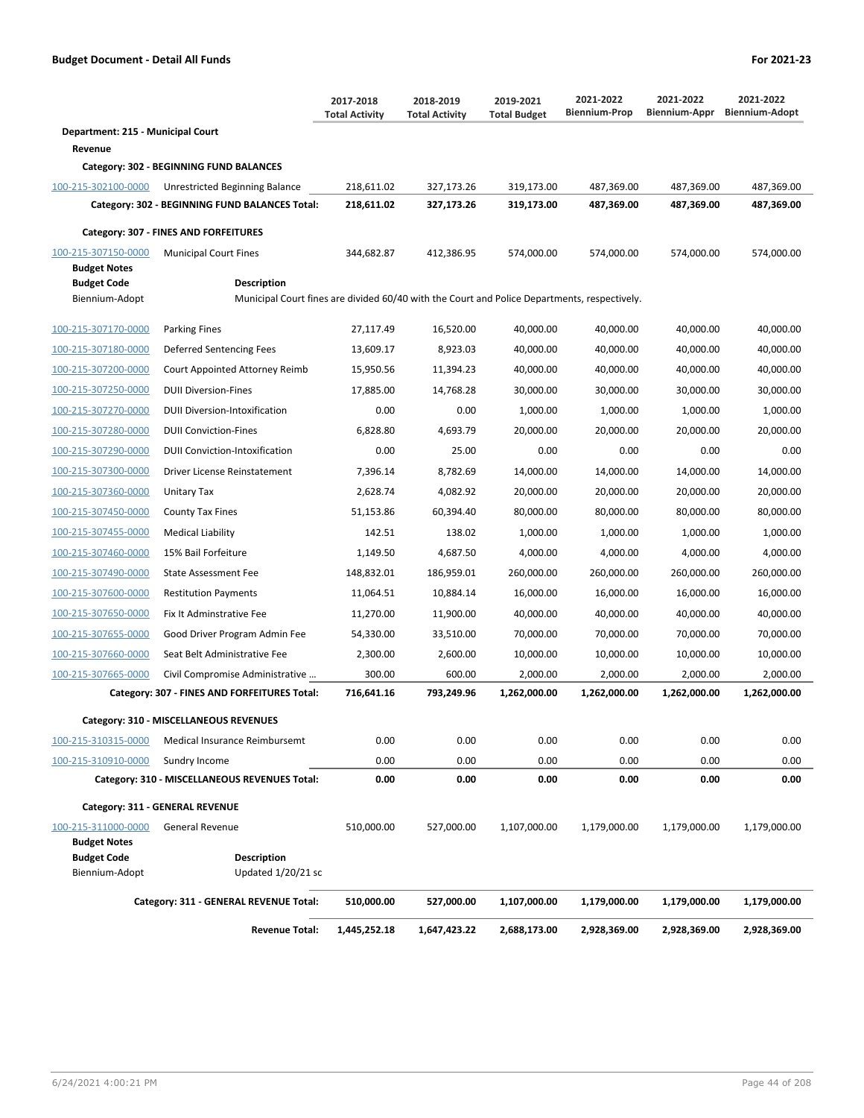|                                            |                                                                                                                    | 2017-2018<br><b>Total Activity</b> | 2018-2019<br><b>Total Activity</b> | 2019-2021<br><b>Total Budget</b> | 2021-2022<br><b>Biennium-Prop</b> | 2021-2022<br><b>Biennium-Appr</b> | 2021-2022<br><b>Biennium-Adopt</b> |
|--------------------------------------------|--------------------------------------------------------------------------------------------------------------------|------------------------------------|------------------------------------|----------------------------------|-----------------------------------|-----------------------------------|------------------------------------|
| Department: 215 - Municipal Court          |                                                                                                                    |                                    |                                    |                                  |                                   |                                   |                                    |
| Revenue                                    |                                                                                                                    |                                    |                                    |                                  |                                   |                                   |                                    |
|                                            | Category: 302 - BEGINNING FUND BALANCES                                                                            |                                    |                                    |                                  |                                   |                                   |                                    |
| 100-215-302100-0000                        | Unrestricted Beginning Balance                                                                                     | 218,611.02                         | 327,173.26                         | 319,173.00                       | 487,369.00                        | 487,369.00                        | 487,369.00                         |
|                                            | Category: 302 - BEGINNING FUND BALANCES Total:                                                                     | 218,611.02                         | 327,173.26                         | 319,173.00                       | 487,369.00                        | 487,369.00                        | 487,369.00                         |
|                                            | Category: 307 - FINES AND FORFEITURES                                                                              |                                    |                                    |                                  |                                   |                                   |                                    |
| 100-215-307150-0000<br><b>Budget Notes</b> | <b>Municipal Court Fines</b>                                                                                       | 344.682.87                         | 412,386.95                         | 574,000.00                       | 574,000.00                        | 574.000.00                        | 574,000.00                         |
| <b>Budget Code</b><br>Biennium-Adopt       | <b>Description</b><br>Municipal Court fines are divided 60/40 with the Court and Police Departments, respectively. |                                    |                                    |                                  |                                   |                                   |                                    |
| 100-215-307170-0000                        | <b>Parking Fines</b>                                                                                               | 27,117.49                          | 16,520.00                          | 40,000.00                        | 40,000.00                         | 40,000.00                         | 40,000.00                          |
| 100-215-307180-0000                        | Deferred Sentencing Fees                                                                                           | 13,609.17                          | 8,923.03                           | 40,000.00                        | 40,000.00                         | 40,000.00                         | 40,000.00                          |
| 100-215-307200-0000                        | Court Appointed Attorney Reimb                                                                                     | 15,950.56                          | 11,394.23                          | 40,000.00                        | 40,000.00                         | 40,000.00                         | 40,000.00                          |
| 100-215-307250-0000                        | <b>DUII Diversion-Fines</b>                                                                                        | 17.885.00                          | 14,768.28                          | 30,000.00                        | 30,000.00                         | 30,000.00                         | 30.000.00                          |
| 100-215-307270-0000                        | <b>DUII Diversion-Intoxification</b>                                                                               | 0.00                               | 0.00                               | 1.000.00                         | 1,000.00                          | 1.000.00                          | 1,000.00                           |
| 100-215-307280-0000                        | <b>DUII Conviction-Fines</b>                                                                                       | 6,828.80                           | 4,693.79                           | 20,000.00                        | 20,000.00                         | 20.000.00                         | 20.000.00                          |
| 100-215-307290-0000                        | <b>DUII Conviction-Intoxification</b>                                                                              | 0.00                               | 25.00                              | 0.00                             | 0.00                              | 0.00                              | 0.00                               |
| 100-215-307300-0000                        | Driver License Reinstatement                                                                                       | 7,396.14                           | 8,782.69                           | 14,000.00                        | 14,000.00                         | 14,000.00                         | 14,000.00                          |
| 100-215-307360-0000                        | Unitary Tax                                                                                                        | 2,628.74                           | 4,082.92                           | 20,000.00                        | 20,000.00                         | 20,000.00                         | 20,000.00                          |
| 100-215-307450-0000                        | <b>County Tax Fines</b>                                                                                            | 51,153.86                          | 60,394.40                          | 80,000.00                        | 80,000.00                         | 80,000.00                         | 80,000.00                          |
| 100-215-307455-0000                        | <b>Medical Liability</b>                                                                                           | 142.51                             | 138.02                             | 1,000.00                         | 1,000.00                          | 1,000.00                          | 1,000.00                           |
| 100-215-307460-0000                        | 15% Bail Forfeiture                                                                                                | 1,149.50                           | 4,687.50                           | 4,000.00                         | 4,000.00                          | 4,000.00                          | 4,000.00                           |
| 100-215-307490-0000                        | State Assessment Fee                                                                                               | 148,832.01                         | 186,959.01                         | 260,000.00                       | 260,000.00                        | 260,000.00                        | 260,000.00                         |
| 100-215-307600-0000                        | <b>Restitution Payments</b>                                                                                        | 11,064.51                          | 10,884.14                          | 16,000.00                        | 16,000.00                         | 16,000.00                         | 16,000.00                          |
| 100-215-307650-0000                        | Fix It Adminstrative Fee                                                                                           | 11,270.00                          | 11,900.00                          | 40,000.00                        | 40,000.00                         | 40,000.00                         | 40,000.00                          |
| 100-215-307655-0000                        | Good Driver Program Admin Fee                                                                                      | 54,330.00                          | 33,510.00                          | 70,000.00                        | 70,000.00                         | 70,000.00                         | 70,000.00                          |
| 100-215-307660-0000                        | Seat Belt Administrative Fee                                                                                       | 2,300.00                           | 2,600.00                           | 10,000.00                        | 10,000.00                         | 10,000.00                         | 10,000.00                          |
| 100-215-307665-0000                        | Civil Compromise Administrative                                                                                    | 300.00                             | 600.00                             | 2,000.00                         | 2,000.00                          | 2,000.00                          | 2,000.00                           |
|                                            | Category: 307 - FINES AND FORFEITURES Total:                                                                       | 716,641.16                         | 793.249.96                         | 1,262,000.00                     | 1,262,000.00                      | 1,262,000.00                      | 1,262,000.00                       |
|                                            | Category: 310 - MISCELLANEOUS REVENUES                                                                             |                                    |                                    |                                  |                                   |                                   |                                    |
| 100-215-310315-0000                        | Medical Insurance Reimbursemt                                                                                      | 0.00                               | 0.00                               | 0.00                             | 0.00                              | 0.00                              | 0.00                               |
| 100-215-310910-0000                        | Sundry Income                                                                                                      | 0.00                               | 0.00                               | 0.00                             | 0.00                              | 0.00                              | 0.00                               |
|                                            | Category: 310 - MISCELLANEOUS REVENUES Total:                                                                      | 0.00                               | 0.00                               | 0.00                             | 0.00                              | 0.00                              | 0.00                               |
|                                            | Category: 311 - GENERAL REVENUE                                                                                    |                                    |                                    |                                  |                                   |                                   |                                    |
| 100-215-311000-0000                        | General Revenue                                                                                                    | 510,000.00                         | 527,000.00                         | 1,107,000.00                     | 1,179,000.00                      | 1,179,000.00                      | 1,179,000.00                       |
| <b>Budget Notes</b>                        |                                                                                                                    |                                    |                                    |                                  |                                   |                                   |                                    |
| <b>Budget Code</b><br>Biennium-Adopt       | <b>Description</b><br>Updated 1/20/21 sc                                                                           |                                    |                                    |                                  |                                   |                                   |                                    |
|                                            | Category: 311 - GENERAL REVENUE Total:                                                                             | 510,000.00                         | 527,000.00                         | 1,107,000.00                     | 1,179,000.00                      | 1,179,000.00                      | 1,179,000.00                       |
|                                            | <b>Revenue Total:</b>                                                                                              | 1,445,252.18                       | 1,647,423.22                       | 2,688,173.00                     | 2,928,369.00                      | 2,928,369.00                      | 2,928,369.00                       |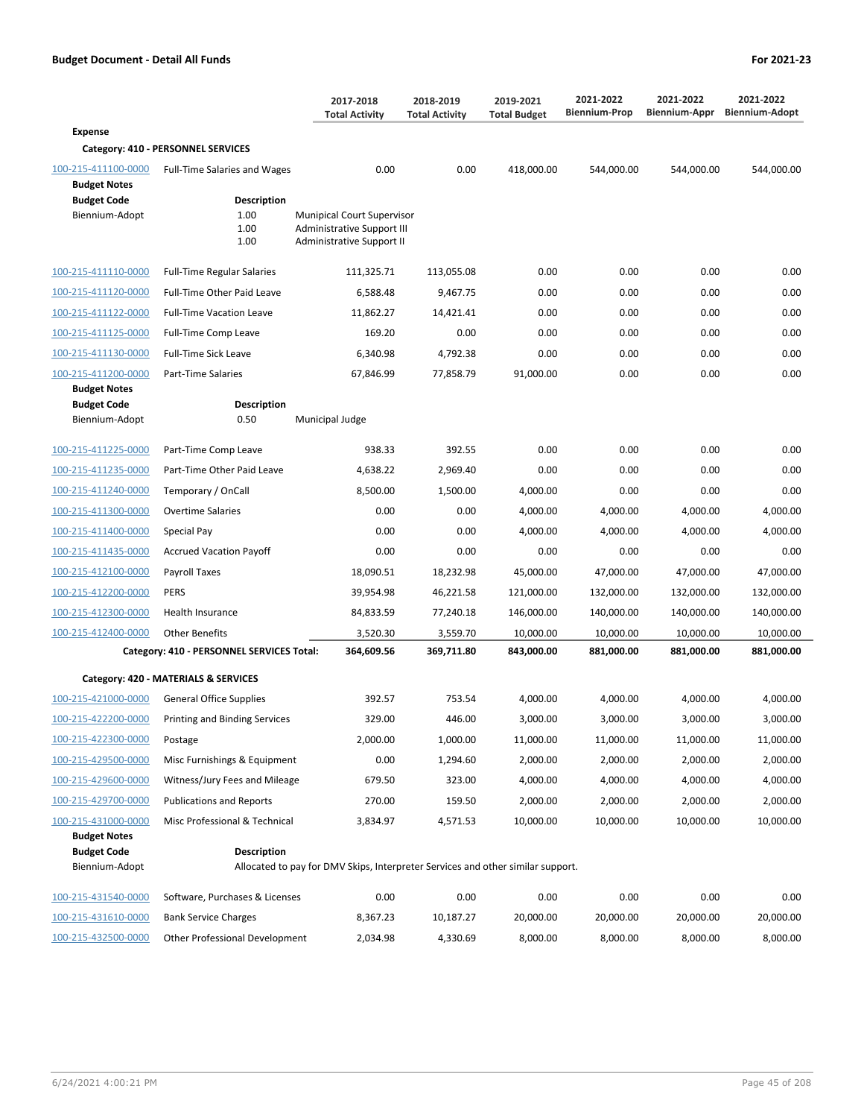|                                            |                                                   | 2017-2018<br><b>Total Activity</b>                                                                         | 2018-2019<br><b>Total Activity</b> | 2019-2021<br><b>Total Budget</b> | 2021-2022<br><b>Biennium-Prop</b> | 2021-2022<br>Biennium-Appr | 2021-2022<br><b>Biennium-Adopt</b> |
|--------------------------------------------|---------------------------------------------------|------------------------------------------------------------------------------------------------------------|------------------------------------|----------------------------------|-----------------------------------|----------------------------|------------------------------------|
| <b>Expense</b>                             |                                                   |                                                                                                            |                                    |                                  |                                   |                            |                                    |
|                                            | Category: 410 - PERSONNEL SERVICES                |                                                                                                            |                                    |                                  |                                   |                            |                                    |
| 100-215-411100-0000<br><b>Budget Notes</b> | <b>Full-Time Salaries and Wages</b>               | 0.00                                                                                                       | 0.00                               | 418.000.00                       | 544,000.00                        | 544,000.00                 | 544,000.00                         |
| <b>Budget Code</b>                         | <b>Description</b>                                |                                                                                                            |                                    |                                  |                                   |                            |                                    |
| Biennium-Adopt                             | 1.00<br>1.00<br>1.00                              | <b>Munipical Court Supervisor</b><br><b>Administrative Support III</b><br><b>Administrative Support II</b> |                                    |                                  |                                   |                            |                                    |
| 100-215-411110-0000                        | <b>Full-Time Regular Salaries</b>                 | 111,325.71                                                                                                 | 113,055.08                         | 0.00                             | 0.00                              | 0.00                       | 0.00                               |
| 100-215-411120-0000                        | Full-Time Other Paid Leave                        | 6,588.48                                                                                                   | 9,467.75                           | 0.00                             | 0.00                              | 0.00                       | 0.00                               |
| 100-215-411122-0000                        | <b>Full-Time Vacation Leave</b>                   | 11,862.27                                                                                                  | 14,421.41                          | 0.00                             | 0.00                              | 0.00                       | 0.00                               |
| 100-215-411125-0000                        | Full-Time Comp Leave                              | 169.20                                                                                                     | 0.00                               | 0.00                             | 0.00                              | 0.00                       | 0.00                               |
| 100-215-411130-0000                        | Full-Time Sick Leave                              | 6,340.98                                                                                                   | 4,792.38                           | 0.00                             | 0.00                              | 0.00                       | 0.00                               |
| 100-215-411200-0000                        | Part-Time Salaries                                | 67,846.99                                                                                                  | 77,858.79                          | 91,000.00                        | 0.00                              | 0.00                       | 0.00                               |
| <b>Budget Notes</b><br><b>Budget Code</b>  | <b>Description</b>                                |                                                                                                            |                                    |                                  |                                   |                            |                                    |
| Biennium-Adopt                             | 0.50                                              | Municipal Judge                                                                                            |                                    |                                  |                                   |                            |                                    |
| 100-215-411225-0000                        | Part-Time Comp Leave                              | 938.33                                                                                                     | 392.55                             | 0.00                             | 0.00                              | 0.00                       | 0.00                               |
| 100-215-411235-0000                        | Part-Time Other Paid Leave                        | 4,638.22                                                                                                   | 2,969.40                           | 0.00                             | 0.00                              | 0.00                       | 0.00                               |
| 100-215-411240-0000                        | Temporary / OnCall                                | 8,500.00                                                                                                   | 1,500.00                           | 4,000.00                         | 0.00                              | 0.00                       | 0.00                               |
| 100-215-411300-0000                        | <b>Overtime Salaries</b>                          | 0.00                                                                                                       | 0.00                               | 4,000.00                         | 4,000.00                          | 4,000.00                   | 4,000.00                           |
| 100-215-411400-0000                        | Special Pay                                       | 0.00                                                                                                       | 0.00                               | 4,000.00                         | 4,000.00                          | 4,000.00                   | 4,000.00                           |
| 100-215-411435-0000                        | <b>Accrued Vacation Payoff</b>                    | 0.00                                                                                                       | 0.00                               | 0.00                             | 0.00                              | 0.00                       | 0.00                               |
| 100-215-412100-0000                        | Payroll Taxes                                     | 18,090.51                                                                                                  | 18,232.98                          | 45,000.00                        | 47,000.00                         | 47,000.00                  | 47,000.00                          |
| 100-215-412200-0000                        | <b>PERS</b>                                       | 39,954.98                                                                                                  | 46,221.58                          | 121,000.00                       | 132,000.00                        | 132,000.00                 | 132,000.00                         |
| 100-215-412300-0000                        | Health Insurance                                  | 84,833.59                                                                                                  | 77,240.18                          | 146,000.00                       | 140,000.00                        | 140,000.00                 | 140,000.00                         |
| 100-215-412400-0000                        | <b>Other Benefits</b>                             | 3,520.30                                                                                                   | 3,559.70                           | 10,000.00                        | 10,000.00                         | 10,000.00                  | 10,000.00                          |
|                                            | Category: 410 - PERSONNEL SERVICES Total:         | 364,609.56                                                                                                 | 369,711.80                         | 843,000.00                       | 881,000.00                        | 881,000.00                 | 881,000.00                         |
|                                            | Category: 420 - MATERIALS & SERVICES              |                                                                                                            |                                    |                                  |                                   |                            |                                    |
| 100-215-421000-0000                        | <b>General Office Supplies</b>                    | 392.57                                                                                                     | 753.54                             | 4,000.00                         | 4.000.00                          | 4,000.00                   | 4,000.00                           |
|                                            | 100-215-422200-0000 Printing and Binding Services | 329.00                                                                                                     | 446.00                             | 3,000.00                         | 3,000.00                          | 3,000.00                   | 3,000.00                           |
| 100-215-422300-0000                        | Postage                                           | 2,000.00                                                                                                   | 1,000.00                           | 11,000.00                        | 11,000.00                         | 11,000.00                  | 11,000.00                          |
| 100-215-429500-0000                        | Misc Furnishings & Equipment                      | 0.00                                                                                                       | 1,294.60                           | 2,000.00                         | 2,000.00                          | 2,000.00                   | 2,000.00                           |
| 100-215-429600-0000                        | Witness/Jury Fees and Mileage                     | 679.50                                                                                                     | 323.00                             | 4,000.00                         | 4,000.00                          | 4,000.00                   | 4,000.00                           |
| 100-215-429700-0000                        | <b>Publications and Reports</b>                   | 270.00                                                                                                     | 159.50                             | 2,000.00                         | 2,000.00                          | 2,000.00                   | 2,000.00                           |
| 100-215-431000-0000                        | Misc Professional & Technical                     | 3,834.97                                                                                                   | 4,571.53                           | 10,000.00                        | 10,000.00                         | 10,000.00                  | 10,000.00                          |
| <b>Budget Notes</b>                        |                                                   |                                                                                                            |                                    |                                  |                                   |                            |                                    |
| <b>Budget Code</b><br>Biennium-Adopt       | <b>Description</b>                                | Allocated to pay for DMV Skips, Interpreter Services and other similar support.                            |                                    |                                  |                                   |                            |                                    |
| 100-215-431540-0000                        | Software, Purchases & Licenses                    | 0.00                                                                                                       | 0.00                               | 0.00                             | 0.00                              | 0.00                       | 0.00                               |
| 100-215-431610-0000                        | <b>Bank Service Charges</b>                       | 8,367.23                                                                                                   | 10,187.27                          | 20,000.00                        | 20,000.00                         | 20,000.00                  | 20,000.00                          |
| 100-215-432500-0000                        | Other Professional Development                    | 2,034.98                                                                                                   | 4,330.69                           | 8,000.00                         | 8,000.00                          | 8,000.00                   | 8,000.00                           |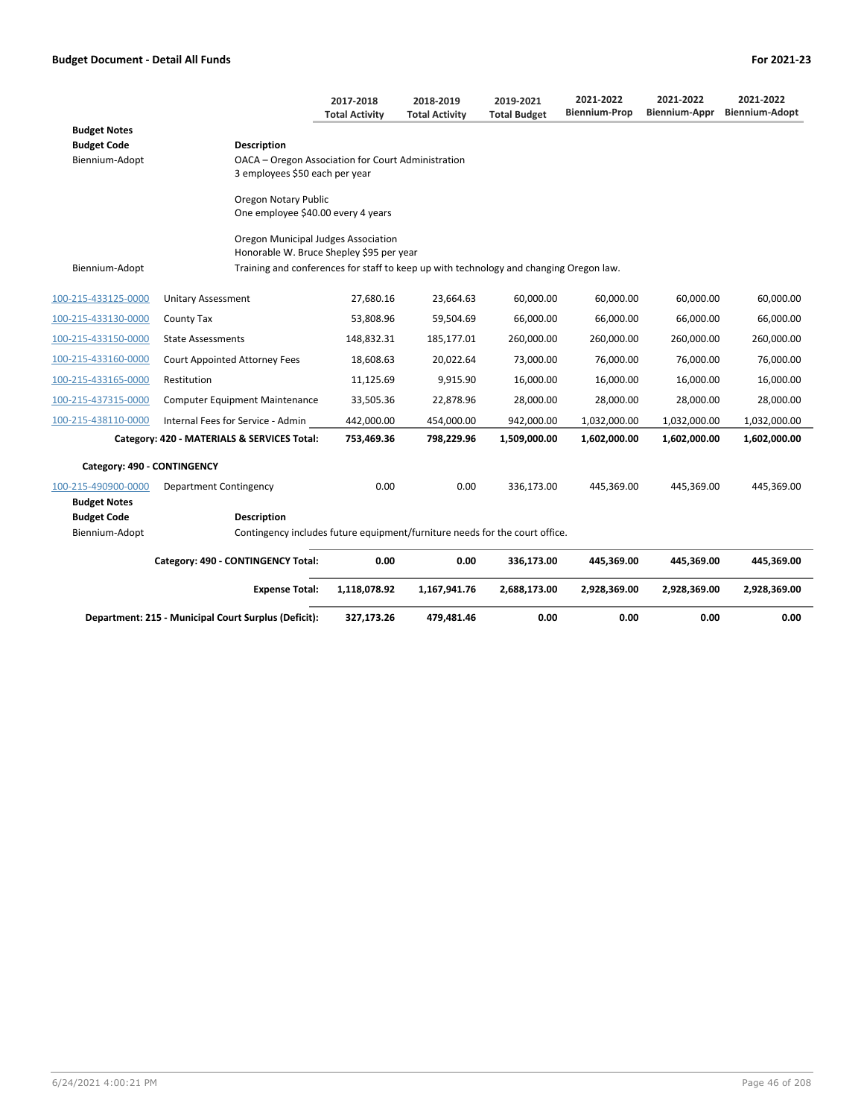|                                      |                                                                                                   | 2017-2018<br><b>Total Activity</b> | 2018-2019<br><b>Total Activity</b> | 2019-2021<br><b>Total Budget</b> | 2021-2022<br><b>Biennium-Prop</b> | 2021-2022<br>Biennium-Appr | 2021-2022<br><b>Biennium-Adopt</b> |
|--------------------------------------|---------------------------------------------------------------------------------------------------|------------------------------------|------------------------------------|----------------------------------|-----------------------------------|----------------------------|------------------------------------|
| <b>Budget Notes</b>                  |                                                                                                   |                                    |                                    |                                  |                                   |                            |                                    |
| <b>Budget Code</b>                   | <b>Description</b>                                                                                |                                    |                                    |                                  |                                   |                            |                                    |
| Biennium-Adopt                       | OACA - Oregon Association for Court Administration<br>3 employees \$50 each per year              |                                    |                                    |                                  |                                   |                            |                                    |
|                                      | Oregon Notary Public<br>One employee \$40.00 every 4 years                                        |                                    |                                    |                                  |                                   |                            |                                    |
|                                      | Oregon Municipal Judges Association<br>Honorable W. Bruce Shepley \$95 per year                   |                                    |                                    |                                  |                                   |                            |                                    |
| Biennium-Adopt                       | Training and conferences for staff to keep up with technology and changing Oregon law.            |                                    |                                    |                                  |                                   |                            |                                    |
| 100-215-433125-0000                  | Unitary Assessment                                                                                | 27,680.16                          | 23,664.63                          | 60,000.00                        | 60,000.00                         | 60,000.00                  | 60,000.00                          |
| 100-215-433130-0000                  | County Tax                                                                                        | 53,808.96                          | 59,504.69                          | 66,000.00                        | 66,000.00                         | 66,000.00                  | 66,000.00                          |
| 100-215-433150-0000                  | <b>State Assessments</b>                                                                          | 148,832.31                         | 185,177.01                         | 260,000.00                       | 260,000.00                        | 260,000.00                 | 260,000.00                         |
| 100-215-433160-0000                  | <b>Court Appointed Attorney Fees</b>                                                              | 18,608.63                          | 20,022.64                          | 73,000.00                        | 76,000.00                         | 76,000.00                  | 76,000.00                          |
| 100-215-433165-0000                  | Restitution                                                                                       | 11,125.69                          | 9,915.90                           | 16,000.00                        | 16,000.00                         | 16,000.00                  | 16,000.00                          |
| 100-215-437315-0000                  | <b>Computer Equipment Maintenance</b>                                                             | 33,505.36                          | 22,878.96                          | 28,000.00                        | 28,000.00                         | 28,000.00                  | 28,000.00                          |
| 100-215-438110-0000                  | Internal Fees for Service - Admin                                                                 | 442,000.00                         | 454,000.00                         | 942,000.00                       | 1,032,000.00                      | 1,032,000.00               | 1,032,000.00                       |
|                                      | Category: 420 - MATERIALS & SERVICES Total:                                                       | 753,469.36                         | 798,229.96                         | 1,509,000.00                     | 1,602,000.00                      | 1,602,000.00               | 1,602,000.00                       |
| Category: 490 - CONTINGENCY          |                                                                                                   |                                    |                                    |                                  |                                   |                            |                                    |
| 100-215-490900-0000                  | <b>Department Contingency</b>                                                                     | 0.00                               | 0.00                               | 336,173.00                       | 445,369.00                        | 445,369.00                 | 445,369.00                         |
| <b>Budget Notes</b>                  |                                                                                                   |                                    |                                    |                                  |                                   |                            |                                    |
| <b>Budget Code</b><br>Biennium-Adopt | <b>Description</b><br>Contingency includes future equipment/furniture needs for the court office. |                                    |                                    |                                  |                                   |                            |                                    |
|                                      | Category: 490 - CONTINGENCY Total:                                                                | 0.00                               | 0.00                               | 336,173.00                       | 445,369.00                        | 445,369.00                 | 445,369.00                         |
|                                      | <b>Expense Total:</b>                                                                             | 1,118,078.92                       | 1,167,941.76                       | 2,688,173.00                     | 2,928,369.00                      | 2,928,369.00               | 2,928,369.00                       |
|                                      | Department: 215 - Municipal Court Surplus (Deficit):                                              | 327,173.26                         | 479.481.46                         | 0.00                             | 0.00                              | 0.00                       | 0.00                               |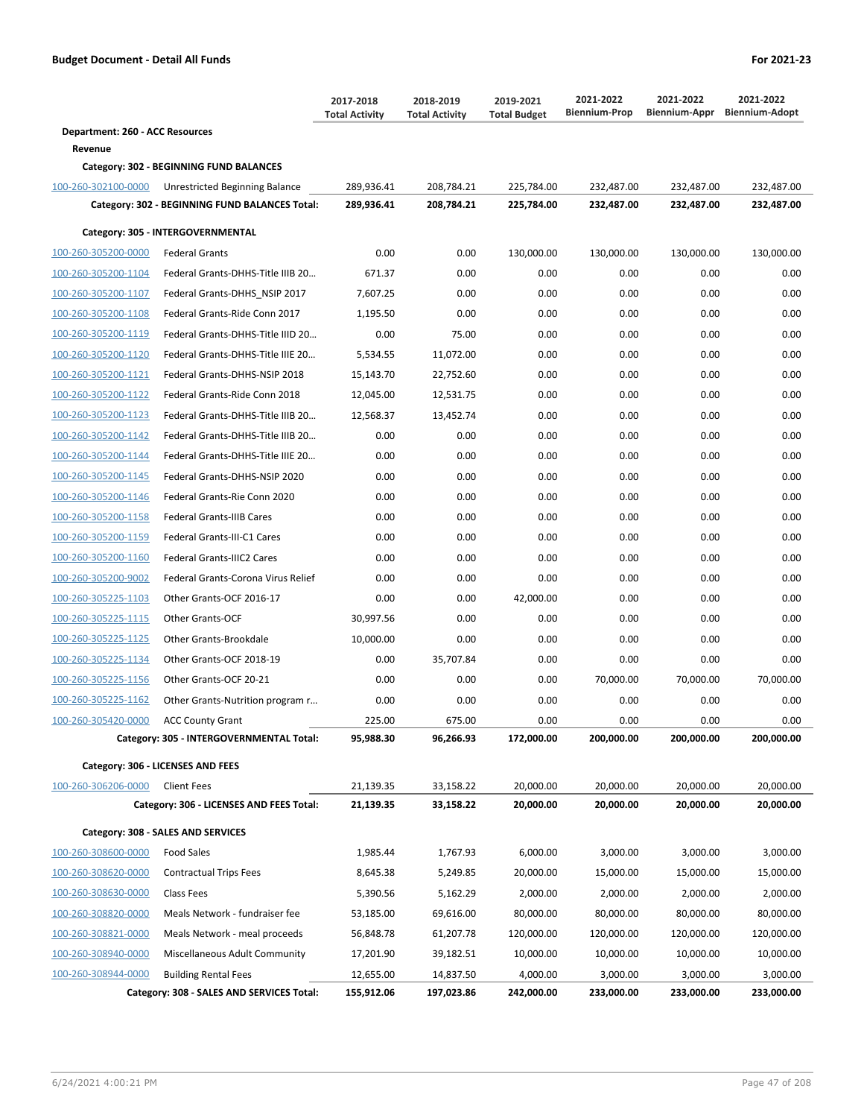|                                 |                                                | 2017-2018<br><b>Total Activity</b> | 2018-2019<br><b>Total Activity</b> | 2019-2021<br><b>Total Budget</b> | 2021-2022<br><b>Biennium-Prop</b> | 2021-2022  | 2021-2022<br>Biennium-Appr Biennium-Adopt |
|---------------------------------|------------------------------------------------|------------------------------------|------------------------------------|----------------------------------|-----------------------------------|------------|-------------------------------------------|
| Department: 260 - ACC Resources |                                                |                                    |                                    |                                  |                                   |            |                                           |
| Revenue                         |                                                |                                    |                                    |                                  |                                   |            |                                           |
|                                 | Category: 302 - BEGINNING FUND BALANCES        |                                    |                                    |                                  |                                   |            |                                           |
| 100-260-302100-0000             | Unrestricted Beginning Balance                 | 289,936.41                         | 208,784.21                         | 225,784.00                       | 232,487.00                        | 232,487.00 | 232,487.00                                |
|                                 | Category: 302 - BEGINNING FUND BALANCES Total: | 289,936.41                         | 208,784.21                         | 225,784.00                       | 232,487.00                        | 232,487.00 | 232,487.00                                |
|                                 | Category: 305 - INTERGOVERNMENTAL              |                                    |                                    |                                  |                                   |            |                                           |
| 100-260-305200-0000             | <b>Federal Grants</b>                          | 0.00                               | 0.00                               | 130,000.00                       | 130,000.00                        | 130,000.00 | 130,000.00                                |
| 100-260-305200-1104             | Federal Grants-DHHS-Title IIIB 20              | 671.37                             | 0.00                               | 0.00                             | 0.00                              | 0.00       | 0.00                                      |
| 100-260-305200-1107             | Federal Grants-DHHS NSIP 2017                  | 7,607.25                           | 0.00                               | 0.00                             | 0.00                              | 0.00       | 0.00                                      |
| 100-260-305200-1108             | Federal Grants-Ride Conn 2017                  | 1,195.50                           | 0.00                               | 0.00                             | 0.00                              | 0.00       | 0.00                                      |
| 100-260-305200-1119             | Federal Grants-DHHS-Title IIID 20              | 0.00                               | 75.00                              | 0.00                             | 0.00                              | 0.00       | 0.00                                      |
| 100-260-305200-1120             | Federal Grants-DHHS-Title IIIE 20              | 5,534.55                           | 11,072.00                          | 0.00                             | 0.00                              | 0.00       | 0.00                                      |
| 100-260-305200-1121             | Federal Grants-DHHS-NSIP 2018                  | 15,143.70                          | 22,752.60                          | 0.00                             | 0.00                              | 0.00       | 0.00                                      |
| 100-260-305200-1122             | Federal Grants-Ride Conn 2018                  | 12,045.00                          | 12,531.75                          | 0.00                             | 0.00                              | 0.00       | 0.00                                      |
| 100-260-305200-1123             | Federal Grants-DHHS-Title IIIB 20              | 12,568.37                          | 13,452.74                          | 0.00                             | 0.00                              | 0.00       | 0.00                                      |
| 100-260-305200-1142             | Federal Grants-DHHS-Title IIIB 20              | 0.00                               | 0.00                               | 0.00                             | 0.00                              | 0.00       | 0.00                                      |
| 100-260-305200-1144             | Federal Grants-DHHS-Title IIIE 20              | 0.00                               | 0.00                               | 0.00                             | 0.00                              | 0.00       | 0.00                                      |
| 100-260-305200-1145             | Federal Grants-DHHS-NSIP 2020                  | 0.00                               | 0.00                               | 0.00                             | 0.00                              | 0.00       | 0.00                                      |
| 100-260-305200-1146             | Federal Grants-Rie Conn 2020                   | 0.00                               | 0.00                               | 0.00                             | 0.00                              | 0.00       | 0.00                                      |
| 100-260-305200-1158             | <b>Federal Grants-IIIB Cares</b>               | 0.00                               | 0.00                               | 0.00                             | 0.00                              | 0.00       | 0.00                                      |
| 100-260-305200-1159             | Federal Grants-III-C1 Cares                    | 0.00                               | 0.00                               | 0.00                             | 0.00                              | 0.00       | 0.00                                      |
| 100-260-305200-1160             | Federal Grants-IIIC2 Cares                     | 0.00                               | 0.00                               | 0.00                             | 0.00                              | 0.00       | 0.00                                      |
| 100-260-305200-9002             | Federal Grants-Corona Virus Relief             | 0.00                               | 0.00                               | 0.00                             | 0.00                              | 0.00       | 0.00                                      |
| 100-260-305225-1103             | Other Grants-OCF 2016-17                       | 0.00                               | 0.00                               | 42,000.00                        | 0.00                              | 0.00       | 0.00                                      |
| 100-260-305225-1115             | Other Grants-OCF                               | 30,997.56                          | 0.00                               | 0.00                             | 0.00                              | 0.00       | 0.00                                      |
| 100-260-305225-1125             | Other Grants-Brookdale                         | 10,000.00                          | 0.00                               | 0.00                             | 0.00                              | 0.00       | 0.00                                      |
| 100-260-305225-1134             | Other Grants-OCF 2018-19                       | 0.00                               | 35,707.84                          | 0.00                             | 0.00                              | 0.00       | 0.00                                      |
| 100-260-305225-1156             | Other Grants-OCF 20-21                         | 0.00                               | 0.00                               | 0.00                             | 70,000.00                         | 70,000.00  | 70,000.00                                 |
| 100-260-305225-1162             | Other Grants-Nutrition program r               | 0.00                               | 0.00                               | 0.00                             | 0.00                              | 0.00       | 0.00                                      |
| 100-260-305420-0000             | <b>ACC County Grant</b>                        | 225.00                             | 675.00                             | 0.00                             | 0.00                              | 0.00       | 0.00                                      |
|                                 | Category: 305 - INTERGOVERNMENTAL Total:       | 95,988.30                          | 96,266.93                          | 172,000.00                       | 200,000.00                        | 200,000.00 | 200,000.00                                |
|                                 | Category: 306 - LICENSES AND FEES              |                                    |                                    |                                  |                                   |            |                                           |
| 100-260-306206-0000             | <b>Client Fees</b>                             | 21,139.35                          | 33,158.22                          | 20,000.00                        | 20,000.00                         | 20,000.00  | 20,000.00                                 |
|                                 | Category: 306 - LICENSES AND FEES Total:       | 21,139.35                          | 33,158.22                          | 20,000.00                        | 20,000.00                         | 20,000.00  | 20,000.00                                 |
|                                 | Category: 308 - SALES AND SERVICES             |                                    |                                    |                                  |                                   |            |                                           |
| 100-260-308600-0000             | Food Sales                                     | 1,985.44                           | 1,767.93                           | 6,000.00                         | 3,000.00                          | 3,000.00   | 3,000.00                                  |
| 100-260-308620-0000             | <b>Contractual Trips Fees</b>                  | 8,645.38                           | 5,249.85                           | 20,000.00                        | 15,000.00                         | 15,000.00  | 15,000.00                                 |
| 100-260-308630-0000             | Class Fees                                     | 5,390.56                           | 5,162.29                           | 2,000.00                         | 2,000.00                          | 2,000.00   | 2,000.00                                  |
| 100-260-308820-0000             | Meals Network - fundraiser fee                 | 53,185.00                          | 69,616.00                          | 80,000.00                        | 80,000.00                         | 80,000.00  | 80,000.00                                 |
| 100-260-308821-0000             | Meals Network - meal proceeds                  | 56,848.78                          | 61,207.78                          | 120,000.00                       | 120,000.00                        | 120,000.00 | 120,000.00                                |
| 100-260-308940-0000             | Miscellaneous Adult Community                  | 17,201.90                          | 39,182.51                          | 10,000.00                        | 10,000.00                         | 10,000.00  | 10,000.00                                 |
| 100-260-308944-0000             | <b>Building Rental Fees</b>                    | 12,655.00                          | 14,837.50                          | 4,000.00                         | 3,000.00                          | 3,000.00   | 3,000.00                                  |
|                                 | Category: 308 - SALES AND SERVICES Total:      | 155,912.06                         | 197,023.86                         | 242,000.00                       | 233,000.00                        | 233,000.00 | 233,000.00                                |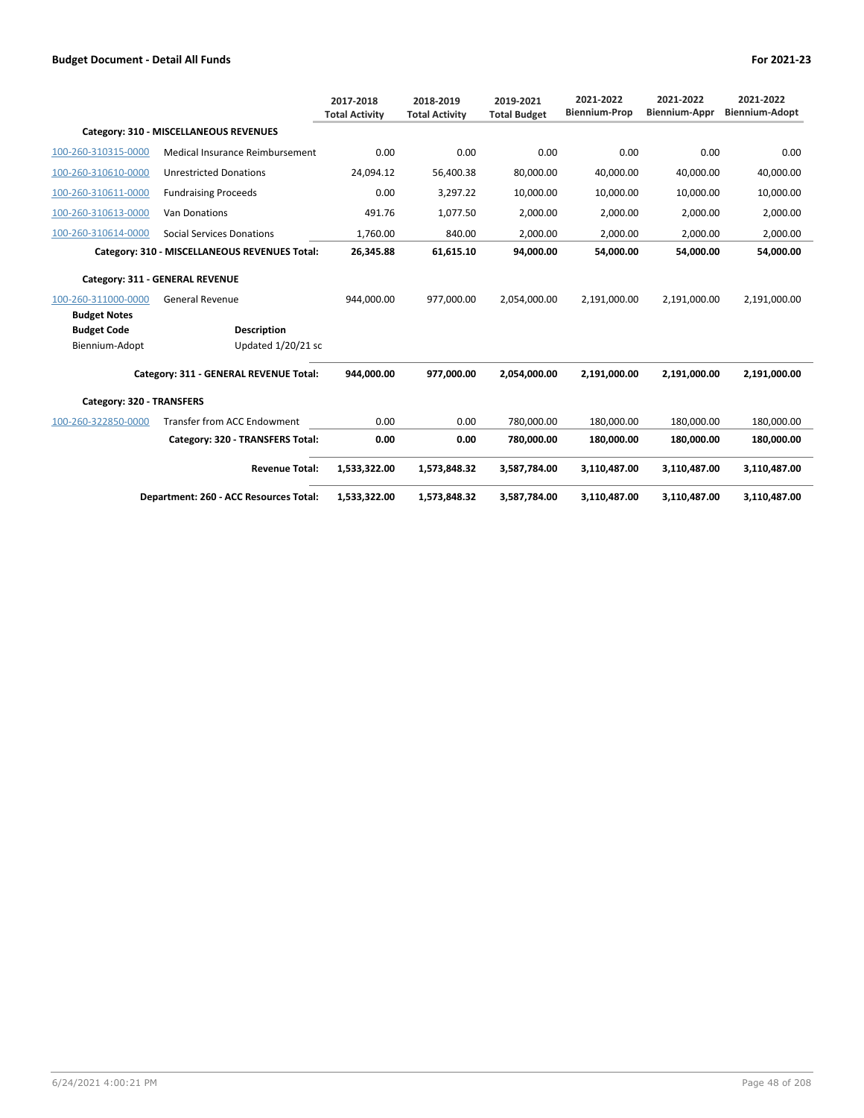|                           |                                               | 2017-2018<br><b>Total Activity</b> | 2018-2019<br><b>Total Activity</b> | 2019-2021<br><b>Total Budget</b> | 2021-2022<br><b>Biennium-Prop</b> | 2021-2022<br><b>Biennium-Appr</b> | 2021-2022<br><b>Biennium-Adopt</b> |
|---------------------------|-----------------------------------------------|------------------------------------|------------------------------------|----------------------------------|-----------------------------------|-----------------------------------|------------------------------------|
|                           | Category: 310 - MISCELLANEOUS REVENUES        |                                    |                                    |                                  |                                   |                                   |                                    |
| 100-260-310315-0000       | Medical Insurance Reimbursement               | 0.00                               | 0.00                               | 0.00                             | 0.00                              | 0.00                              | 0.00                               |
| 100-260-310610-0000       | <b>Unrestricted Donations</b>                 | 24,094.12                          | 56,400.38                          | 80,000.00                        | 40,000.00                         | 40,000.00                         | 40,000.00                          |
| 100-260-310611-0000       | <b>Fundraising Proceeds</b>                   | 0.00                               | 3,297.22                           | 10,000.00                        | 10,000.00                         | 10,000.00                         | 10,000.00                          |
| 100-260-310613-0000       | <b>Van Donations</b>                          | 491.76                             | 1,077.50                           | 2,000.00                         | 2,000.00                          | 2,000.00                          | 2,000.00                           |
| 100-260-310614-0000       | <b>Social Services Donations</b>              | 1,760.00                           | 840.00                             | 2,000.00                         | 2,000.00                          | 2,000.00                          | 2,000.00                           |
|                           | Category: 310 - MISCELLANEOUS REVENUES Total: | 26,345.88                          | 61,615.10                          | 94,000.00                        | 54,000.00                         | 54.000.00                         | 54,000.00                          |
|                           | Category: 311 - GENERAL REVENUE               |                                    |                                    |                                  |                                   |                                   |                                    |
| 100-260-311000-0000       | <b>General Revenue</b>                        | 944.000.00                         | 977.000.00                         | 2,054,000.00                     | 2,191,000.00                      | 2,191,000.00                      | 2,191,000.00                       |
| <b>Budget Notes</b>       |                                               |                                    |                                    |                                  |                                   |                                   |                                    |
| <b>Budget Code</b>        | <b>Description</b>                            |                                    |                                    |                                  |                                   |                                   |                                    |
| Biennium-Adopt            | Updated 1/20/21 sc                            |                                    |                                    |                                  |                                   |                                   |                                    |
|                           | Category: 311 - GENERAL REVENUE Total:        | 944.000.00                         | 977,000.00                         | 2,054,000.00                     | 2,191,000.00                      | 2,191,000.00                      | 2,191,000.00                       |
| Category: 320 - TRANSFERS |                                               |                                    |                                    |                                  |                                   |                                   |                                    |
| 100-260-322850-0000       | <b>Transfer from ACC Endowment</b>            | 0.00                               | 0.00                               | 780,000.00                       | 180,000.00                        | 180,000.00                        | 180,000.00                         |
|                           | Category: 320 - TRANSFERS Total:              | 0.00                               | 0.00                               | 780,000.00                       | 180.000.00                        | 180.000.00                        | 180,000.00                         |
|                           | <b>Revenue Total:</b>                         | 1,533,322.00                       | 1,573,848.32                       | 3,587,784.00                     | 3,110,487.00                      | 3,110,487.00                      | 3,110,487.00                       |
|                           | Department: 260 - ACC Resources Total:        | 1,533,322.00                       | 1,573,848.32                       | 3,587,784.00                     | 3,110,487.00                      | 3,110,487.00                      | 3,110,487.00                       |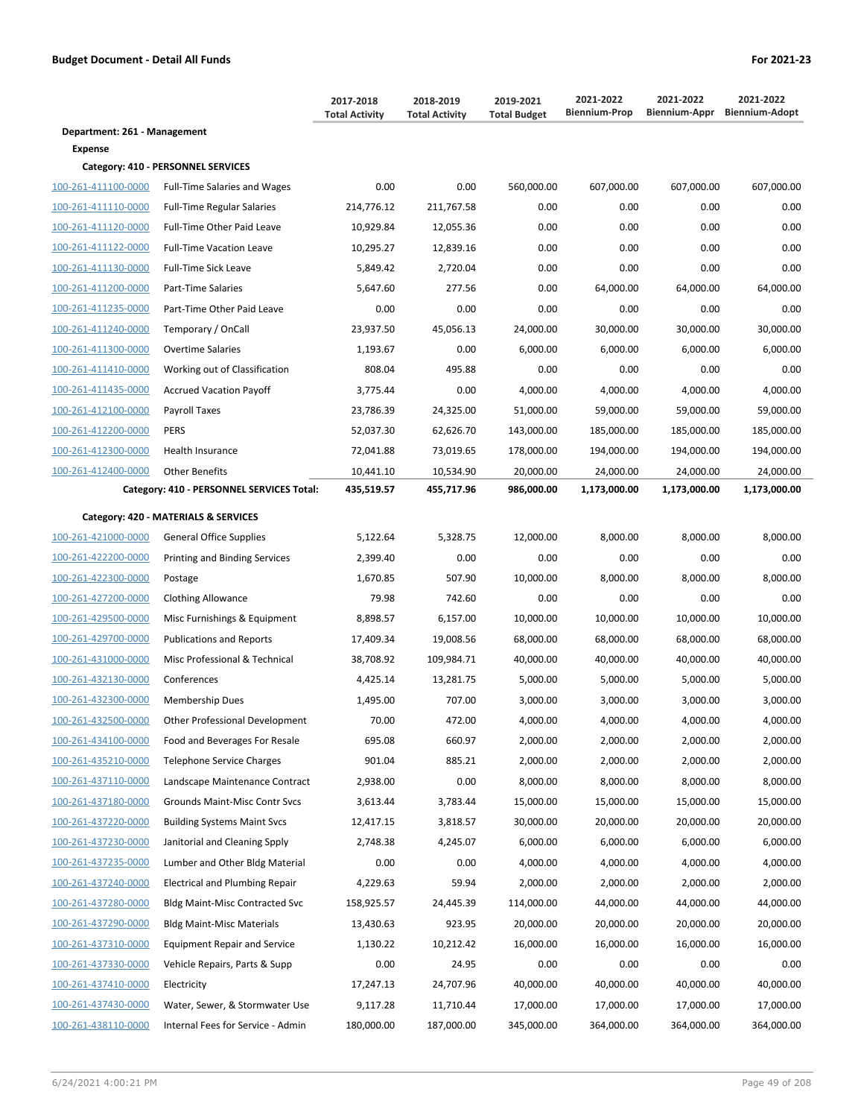|                              |                                           | 2017-2018<br><b>Total Activity</b> | 2018-2019<br><b>Total Activity</b> | 2019-2021<br><b>Total Budget</b> | 2021-2022<br><b>Biennium-Prop</b> | 2021-2022<br>Biennium-Appr | 2021-2022<br><b>Biennium-Adopt</b> |
|------------------------------|-------------------------------------------|------------------------------------|------------------------------------|----------------------------------|-----------------------------------|----------------------------|------------------------------------|
| Department: 261 - Management |                                           |                                    |                                    |                                  |                                   |                            |                                    |
| <b>Expense</b>               |                                           |                                    |                                    |                                  |                                   |                            |                                    |
|                              | Category: 410 - PERSONNEL SERVICES        |                                    |                                    |                                  |                                   |                            |                                    |
| 100-261-411100-0000          | <b>Full-Time Salaries and Wages</b>       | 0.00                               | 0.00                               | 560,000.00                       | 607,000.00                        | 607,000.00                 | 607,000.00                         |
| 100-261-411110-0000          | <b>Full-Time Regular Salaries</b>         | 214,776.12                         | 211,767.58                         | 0.00                             | 0.00                              | 0.00                       | 0.00                               |
| 100-261-411120-0000          | Full-Time Other Paid Leave                | 10,929.84                          | 12,055.36                          | 0.00                             | 0.00                              | 0.00                       | 0.00                               |
| 100-261-411122-0000          | <b>Full-Time Vacation Leave</b>           | 10,295.27                          | 12,839.16                          | 0.00                             | 0.00                              | 0.00                       | 0.00                               |
| 100-261-411130-0000          | Full-Time Sick Leave                      | 5,849.42                           | 2,720.04                           | 0.00                             | 0.00                              | 0.00                       | 0.00                               |
| 100-261-411200-0000          | Part-Time Salaries                        | 5,647.60                           | 277.56                             | 0.00                             | 64,000.00                         | 64,000.00                  | 64,000.00                          |
| 100-261-411235-0000          | Part-Time Other Paid Leave                | 0.00                               | 0.00                               | 0.00                             | 0.00                              | 0.00                       | 0.00                               |
| 100-261-411240-0000          | Temporary / OnCall                        | 23,937.50                          | 45,056.13                          | 24,000.00                        | 30,000.00                         | 30,000.00                  | 30,000.00                          |
| 100-261-411300-0000          | <b>Overtime Salaries</b>                  | 1,193.67                           | 0.00                               | 6,000.00                         | 6,000.00                          | 6,000.00                   | 6,000.00                           |
| 100-261-411410-0000          | Working out of Classification             | 808.04                             | 495.88                             | 0.00                             | 0.00                              | 0.00                       | 0.00                               |
| 100-261-411435-0000          | <b>Accrued Vacation Payoff</b>            | 3,775.44                           | 0.00                               | 4,000.00                         | 4,000.00                          | 4,000.00                   | 4,000.00                           |
| 100-261-412100-0000          | Payroll Taxes                             | 23,786.39                          | 24,325.00                          | 51,000.00                        | 59,000.00                         | 59,000.00                  | 59,000.00                          |
| 100-261-412200-0000          | <b>PERS</b>                               | 52,037.30                          | 62,626.70                          | 143,000.00                       | 185,000.00                        | 185,000.00                 | 185,000.00                         |
| 100-261-412300-0000          | <b>Health Insurance</b>                   | 72,041.88                          | 73,019.65                          | 178,000.00                       | 194,000.00                        | 194,000.00                 | 194,000.00                         |
| 100-261-412400-0000          | <b>Other Benefits</b>                     | 10,441.10                          | 10,534.90                          | 20,000.00                        | 24,000.00                         | 24,000.00                  | 24,000.00                          |
|                              | Category: 410 - PERSONNEL SERVICES Total: | 435,519.57                         | 455,717.96                         | 986,000.00                       | 1,173,000.00                      | 1,173,000.00               | 1,173,000.00                       |
|                              | Category: 420 - MATERIALS & SERVICES      |                                    |                                    |                                  |                                   |                            |                                    |
| 100-261-421000-0000          | <b>General Office Supplies</b>            | 5,122.64                           | 5,328.75                           | 12,000.00                        | 8,000.00                          | 8,000.00                   | 8,000.00                           |
| 100-261-422200-0000          | Printing and Binding Services             | 2,399.40                           | 0.00                               | 0.00                             | 0.00                              | 0.00                       | 0.00                               |
| 100-261-422300-0000          | Postage                                   | 1,670.85                           | 507.90                             | 10,000.00                        | 8,000.00                          | 8,000.00                   | 8,000.00                           |
| 100-261-427200-0000          | <b>Clothing Allowance</b>                 | 79.98                              | 742.60                             | 0.00                             | 0.00                              | 0.00                       | 0.00                               |
| 100-261-429500-0000          | Misc Furnishings & Equipment              | 8,898.57                           | 6,157.00                           | 10,000.00                        | 10,000.00                         | 10,000.00                  | 10,000.00                          |
| 100-261-429700-0000          | <b>Publications and Reports</b>           | 17,409.34                          | 19,008.56                          | 68,000.00                        | 68,000.00                         | 68,000.00                  | 68,000.00                          |
| 100-261-431000-0000          | Misc Professional & Technical             | 38,708.92                          | 109,984.71                         | 40,000.00                        | 40,000.00                         | 40,000.00                  | 40,000.00                          |
| 100-261-432130-0000          | Conferences                               | 4,425.14                           | 13,281.75                          | 5,000.00                         | 5,000.00                          | 5,000.00                   | 5,000.00                           |
| 100-261-432300-0000          | <b>Membership Dues</b>                    | 1,495.00                           | 707.00                             | 3,000.00                         | 3,000.00                          | 3,000.00                   | 3,000.00                           |
| 100-261-432500-0000          | Other Professional Development            | 70.00                              | 472.00                             | 4,000.00                         | 4,000.00                          | 4,000.00                   | 4,000.00                           |
| 100-261-434100-0000          | Food and Beverages For Resale             | 695.08                             | 660.97                             | 2,000.00                         | 2,000.00                          | 2,000.00                   | 2,000.00                           |
| 100-261-435210-0000          | <b>Telephone Service Charges</b>          | 901.04                             | 885.21                             | 2,000.00                         | 2,000.00                          | 2,000.00                   | 2,000.00                           |
| 100-261-437110-0000          | Landscape Maintenance Contract            | 2,938.00                           | 0.00                               | 8,000.00                         | 8,000.00                          | 8,000.00                   | 8,000.00                           |
| 100-261-437180-0000          | Grounds Maint-Misc Contr Svcs             | 3,613.44                           | 3,783.44                           | 15,000.00                        | 15,000.00                         | 15,000.00                  | 15,000.00                          |
| 100-261-437220-0000          | <b>Building Systems Maint Svcs</b>        | 12,417.15                          | 3,818.57                           | 30,000.00                        | 20,000.00                         | 20,000.00                  | 20,000.00                          |
| 100-261-437230-0000          | Janitorial and Cleaning Spply             | 2,748.38                           | 4,245.07                           | 6,000.00                         | 6,000.00                          | 6,000.00                   | 6,000.00                           |
| 100-261-437235-0000          | Lumber and Other Bldg Material            | 0.00                               | 0.00                               | 4,000.00                         | 4,000.00                          | 4,000.00                   | 4,000.00                           |
| 100-261-437240-0000          | <b>Electrical and Plumbing Repair</b>     | 4,229.63                           | 59.94                              | 2,000.00                         | 2,000.00                          | 2,000.00                   | 2,000.00                           |
| 100-261-437280-0000          | <b>Bldg Maint-Misc Contracted Svc</b>     | 158,925.57                         | 24,445.39                          | 114,000.00                       | 44,000.00                         | 44,000.00                  | 44,000.00                          |
| 100-261-437290-0000          | <b>Bldg Maint-Misc Materials</b>          | 13,430.63                          | 923.95                             | 20,000.00                        | 20,000.00                         | 20,000.00                  | 20,000.00                          |
| 100-261-437310-0000          | <b>Equipment Repair and Service</b>       | 1,130.22                           | 10,212.42                          | 16,000.00                        | 16,000.00                         | 16,000.00                  | 16,000.00                          |
| 100-261-437330-0000          | Vehicle Repairs, Parts & Supp             | 0.00                               | 24.95                              | 0.00                             | 0.00                              | 0.00                       | 0.00                               |
| 100-261-437410-0000          | Electricity                               | 17,247.13                          | 24,707.96                          | 40,000.00                        | 40,000.00                         | 40,000.00                  | 40,000.00                          |
| 100-261-437430-0000          | Water, Sewer, & Stormwater Use            | 9,117.28                           | 11,710.44                          | 17,000.00                        | 17,000.00                         | 17,000.00                  | 17,000.00                          |
| 100-261-438110-0000          | Internal Fees for Service - Admin         | 180,000.00                         | 187,000.00                         | 345,000.00                       | 364,000.00                        | 364,000.00                 | 364,000.00                         |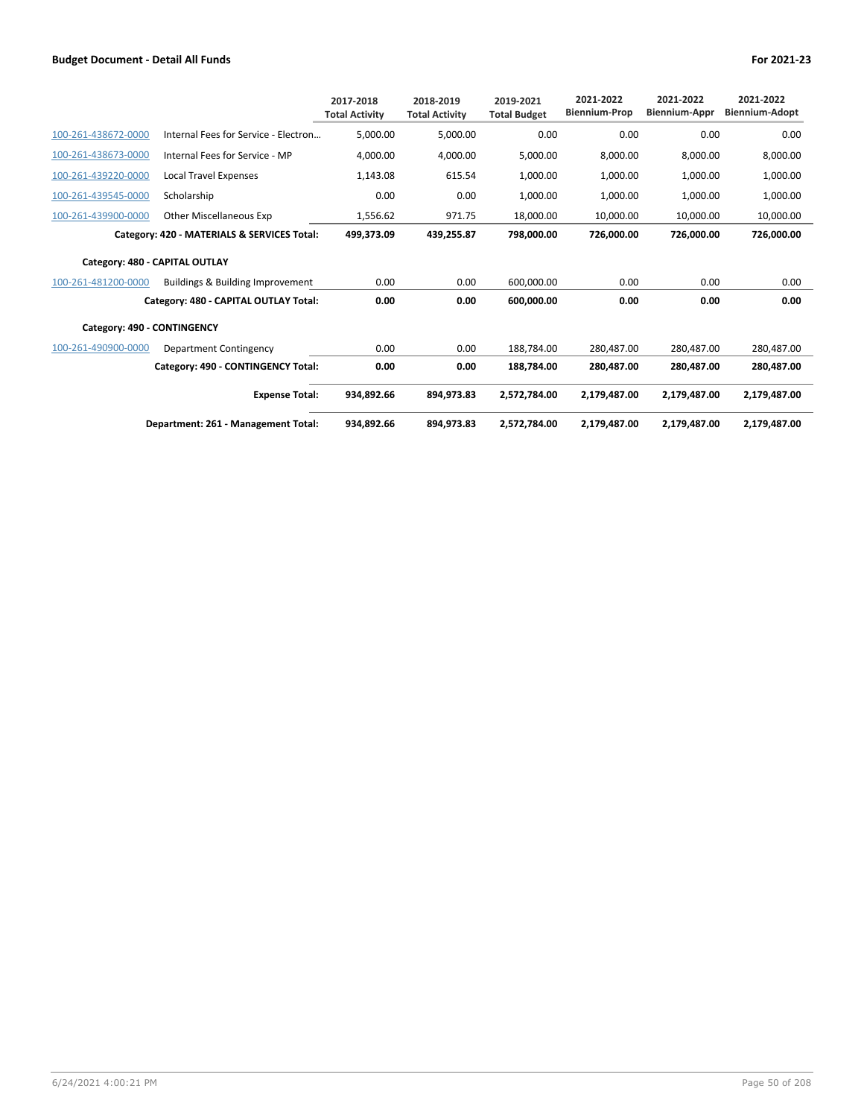|                                |                                             | 2017-2018<br><b>Total Activity</b> | 2018-2019<br><b>Total Activity</b> | 2019-2021<br><b>Total Budget</b> | 2021-2022<br><b>Biennium-Prop</b> | 2021-2022<br><b>Biennium-Appr</b> | 2021-2022<br><b>Biennium-Adopt</b> |
|--------------------------------|---------------------------------------------|------------------------------------|------------------------------------|----------------------------------|-----------------------------------|-----------------------------------|------------------------------------|
| 100-261-438672-0000            | Internal Fees for Service - Electron        | 5,000.00                           | 5,000.00                           | 0.00                             | 0.00                              | 0.00                              | 0.00                               |
| 100-261-438673-0000            | Internal Fees for Service - MP              | 4,000.00                           | 4,000.00                           | 5,000.00                         | 8,000.00                          | 8,000.00                          | 8,000.00                           |
| 100-261-439220-0000            | Local Travel Expenses                       | 1,143.08                           | 615.54                             | 1,000.00                         | 1,000.00                          | 1,000.00                          | 1,000.00                           |
| 100-261-439545-0000            | Scholarship                                 | 0.00                               | 0.00                               | 1,000.00                         | 1,000.00                          | 1,000.00                          | 1,000.00                           |
| 100-261-439900-0000            | Other Miscellaneous Exp                     | 1,556.62                           | 971.75                             | 18,000.00                        | 10,000.00                         | 10,000.00                         | 10,000.00                          |
|                                | Category: 420 - MATERIALS & SERVICES Total: | 499,373.09                         | 439,255.87                         | 798,000.00                       | 726.000.00                        | 726.000.00                        | 726,000.00                         |
| Category: 480 - CAPITAL OUTLAY |                                             |                                    |                                    |                                  |                                   |                                   |                                    |
| 100-261-481200-0000            | Buildings & Building Improvement            | 0.00                               | 0.00                               | 600.000.00                       | 0.00                              | 0.00                              | 0.00                               |
|                                | Category: 480 - CAPITAL OUTLAY Total:       | 0.00                               | 0.00                               | 600,000.00                       | 0.00                              | 0.00                              | 0.00                               |
| Category: 490 - CONTINGENCY    |                                             |                                    |                                    |                                  |                                   |                                   |                                    |
| 100-261-490900-0000            | Department Contingency                      | 0.00                               | 0.00                               | 188.784.00                       | 280.487.00                        | 280.487.00                        | 280.487.00                         |
|                                | Category: 490 - CONTINGENCY Total:          | 0.00                               | 0.00                               | 188,784.00                       | 280,487.00                        | 280,487.00                        | 280,487.00                         |
|                                | <b>Expense Total:</b>                       | 934,892.66                         | 894,973.83                         | 2,572,784.00                     | 2,179,487.00                      | 2,179,487.00                      | 2,179,487.00                       |
|                                | Department: 261 - Management Total:         | 934,892.66                         | 894,973.83                         | 2,572,784.00                     | 2,179,487.00                      | 2,179,487.00                      | 2,179,487.00                       |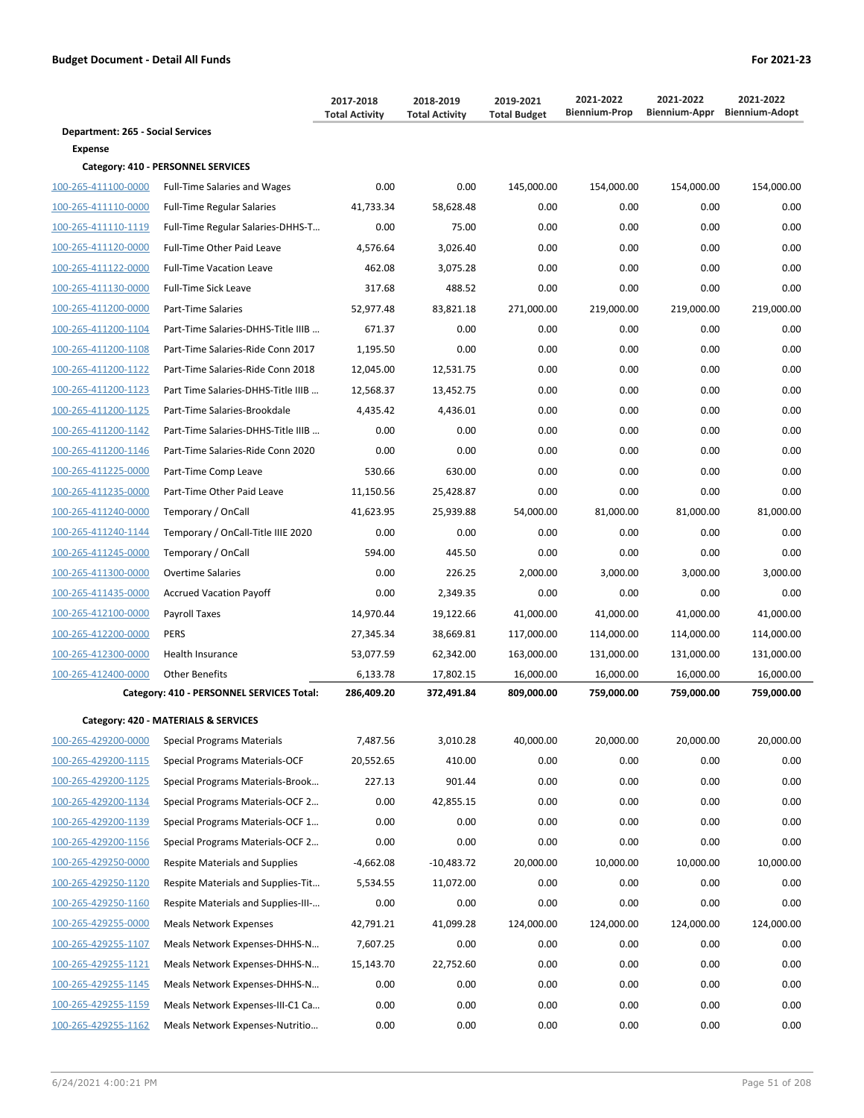|                                   |                                           | 2017-2018<br><b>Total Activity</b> | 2018-2019<br><b>Total Activity</b> | 2019-2021<br><b>Total Budget</b> | 2021-2022<br><b>Biennium-Prop</b> | 2021-2022  | 2021-2022<br>Biennium-Appr Biennium-Adopt |
|-----------------------------------|-------------------------------------------|------------------------------------|------------------------------------|----------------------------------|-----------------------------------|------------|-------------------------------------------|
| Department: 265 - Social Services |                                           |                                    |                                    |                                  |                                   |            |                                           |
| <b>Expense</b>                    |                                           |                                    |                                    |                                  |                                   |            |                                           |
|                                   | Category: 410 - PERSONNEL SERVICES        |                                    |                                    |                                  |                                   |            |                                           |
| 100-265-411100-0000               | <b>Full-Time Salaries and Wages</b>       | 0.00                               | 0.00                               | 145,000.00                       | 154,000.00                        | 154,000.00 | 154,000.00                                |
| 100-265-411110-0000               | <b>Full-Time Regular Salaries</b>         | 41,733.34                          | 58,628.48                          | 0.00                             | 0.00                              | 0.00       | 0.00                                      |
| 100-265-411110-1119               | Full-Time Regular Salaries-DHHS-T         | 0.00                               | 75.00                              | 0.00                             | 0.00                              | 0.00       | 0.00                                      |
| 100-265-411120-0000               | Full-Time Other Paid Leave                | 4,576.64                           | 3,026.40                           | 0.00                             | 0.00                              | 0.00       | 0.00                                      |
| 100-265-411122-0000               | <b>Full-Time Vacation Leave</b>           | 462.08                             | 3,075.28                           | 0.00                             | 0.00                              | 0.00       | 0.00                                      |
| 100-265-411130-0000               | Full-Time Sick Leave                      | 317.68                             | 488.52                             | 0.00                             | 0.00                              | 0.00       | 0.00                                      |
| 100-265-411200-0000               | Part-Time Salaries                        | 52,977.48                          | 83,821.18                          | 271,000.00                       | 219,000.00                        | 219,000.00 | 219,000.00                                |
| 100-265-411200-1104               | Part-Time Salaries-DHHS-Title IIIB        | 671.37                             | 0.00                               | 0.00                             | 0.00                              | 0.00       | 0.00                                      |
| 100-265-411200-1108               | Part-Time Salaries-Ride Conn 2017         | 1,195.50                           | 0.00                               | 0.00                             | 0.00                              | 0.00       | 0.00                                      |
| 100-265-411200-1122               | Part-Time Salaries-Ride Conn 2018         | 12,045.00                          | 12,531.75                          | 0.00                             | 0.00                              | 0.00       | 0.00                                      |
| 100-265-411200-1123               | Part Time Salaries-DHHS-Title IIIB        | 12,568.37                          | 13,452.75                          | 0.00                             | 0.00                              | 0.00       | 0.00                                      |
| 100-265-411200-1125               | Part-Time Salaries-Brookdale              | 4,435.42                           | 4,436.01                           | 0.00                             | 0.00                              | 0.00       | 0.00                                      |
| 100-265-411200-1142               | Part-Time Salaries-DHHS-Title IIIB        | 0.00                               | 0.00                               | 0.00                             | 0.00                              | 0.00       | 0.00                                      |
| 100-265-411200-1146               | Part-Time Salaries-Ride Conn 2020         | 0.00                               | 0.00                               | 0.00                             | 0.00                              | 0.00       | 0.00                                      |
| 100-265-411225-0000               | Part-Time Comp Leave                      | 530.66                             | 630.00                             | 0.00                             | 0.00                              | 0.00       | 0.00                                      |
| 100-265-411235-0000               | Part-Time Other Paid Leave                | 11,150.56                          | 25,428.87                          | 0.00                             | 0.00                              | 0.00       | 0.00                                      |
| 100-265-411240-0000               | Temporary / OnCall                        | 41,623.95                          | 25,939.88                          | 54,000.00                        | 81,000.00                         | 81,000.00  | 81,000.00                                 |
| 100-265-411240-1144               | Temporary / OnCall-Title IIIE 2020        | 0.00                               | 0.00                               | 0.00                             | 0.00                              | 0.00       | 0.00                                      |
| 100-265-411245-0000               | Temporary / OnCall                        | 594.00                             | 445.50                             | 0.00                             | 0.00                              | 0.00       | 0.00                                      |
| 100-265-411300-0000               | <b>Overtime Salaries</b>                  | 0.00                               | 226.25                             | 2,000.00                         | 3,000.00                          | 3,000.00   | 3,000.00                                  |
| 100-265-411435-0000               | <b>Accrued Vacation Payoff</b>            | 0.00                               | 2,349.35                           | 0.00                             | 0.00                              | 0.00       | 0.00                                      |
| 100-265-412100-0000               | Payroll Taxes                             | 14,970.44                          | 19,122.66                          | 41,000.00                        | 41,000.00                         | 41,000.00  | 41,000.00                                 |
| 100-265-412200-0000               | <b>PERS</b>                               | 27,345.34                          | 38,669.81                          | 117,000.00                       | 114,000.00                        | 114,000.00 | 114,000.00                                |
| 100-265-412300-0000               | Health Insurance                          | 53,077.59                          | 62,342.00                          | 163,000.00                       | 131,000.00                        | 131,000.00 | 131,000.00                                |
| 100-265-412400-0000               | <b>Other Benefits</b>                     | 6,133.78                           | 17,802.15                          | 16,000.00                        | 16,000.00                         | 16,000.00  | 16,000.00                                 |
|                                   | Category: 410 - PERSONNEL SERVICES Total: | 286,409.20                         | 372,491.84                         | 809,000.00                       | 759,000.00                        | 759,000.00 | 759,000.00                                |
|                                   | Category: 420 - MATERIALS & SERVICES      |                                    |                                    |                                  |                                   |            |                                           |
| 100-265-429200-0000               | Special Programs Materials                | 7,487.56                           | 3,010.28                           | 40,000.00                        | 20,000.00                         | 20,000.00  | 20,000.00                                 |
| 100-265-429200-1115               | Special Programs Materials-OCF            | 20,552.65                          | 410.00                             | 0.00                             | 0.00                              | 0.00       | 0.00                                      |
| 100-265-429200-1125               | Special Programs Materials-Brook          | 227.13                             | 901.44                             | 0.00                             | 0.00                              | 0.00       | 0.00                                      |
| 100-265-429200-1134               | Special Programs Materials-OCF 2          | 0.00                               | 42,855.15                          | 0.00                             | 0.00                              | 0.00       | 0.00                                      |
| 100-265-429200-1139               | Special Programs Materials-OCF 1          | 0.00                               | 0.00                               | 0.00                             | 0.00                              | 0.00       | 0.00                                      |
| 100-265-429200-1156               | Special Programs Materials-OCF 2          | 0.00                               | 0.00                               | 0.00                             | 0.00                              | 0.00       | 0.00                                      |
| 100-265-429250-0000               | <b>Respite Materials and Supplies</b>     | $-4,662.08$                        | $-10,483.72$                       | 20,000.00                        | 10,000.00                         | 10,000.00  | 10,000.00                                 |
|                                   |                                           |                                    |                                    |                                  |                                   |            |                                           |
| 100-265-429250-1120               | Respite Materials and Supplies-Tit        | 5,534.55                           | 11,072.00                          | 0.00                             | 0.00                              | 0.00       | 0.00                                      |
| 100-265-429250-1160               | Respite Materials and Supplies-III-       | 0.00                               | 0.00                               | 0.00                             | 0.00                              | 0.00       | 0.00                                      |
| 100-265-429255-0000               | <b>Meals Network Expenses</b>             | 42,791.21                          | 41,099.28                          | 124,000.00                       | 124,000.00                        | 124,000.00 | 124,000.00                                |
| 100-265-429255-1107               | Meals Network Expenses-DHHS-N             | 7,607.25                           | 0.00                               | 0.00                             | 0.00                              | 0.00       | 0.00                                      |
| 100-265-429255-1121               | Meals Network Expenses-DHHS-N             | 15,143.70                          | 22,752.60                          | 0.00                             | 0.00                              | 0.00       | 0.00                                      |
| 100-265-429255-1145               | Meals Network Expenses-DHHS-N             | 0.00                               | 0.00                               | 0.00                             | 0.00                              | 0.00       | 0.00                                      |
| 100-265-429255-1159               | Meals Network Expenses-III-C1 Ca          | 0.00                               | 0.00                               | 0.00                             | 0.00                              | 0.00       | 0.00                                      |
| 100-265-429255-1162               | Meals Network Expenses-Nutritio           | 0.00                               | 0.00                               | 0.00                             | 0.00                              | 0.00       | 0.00                                      |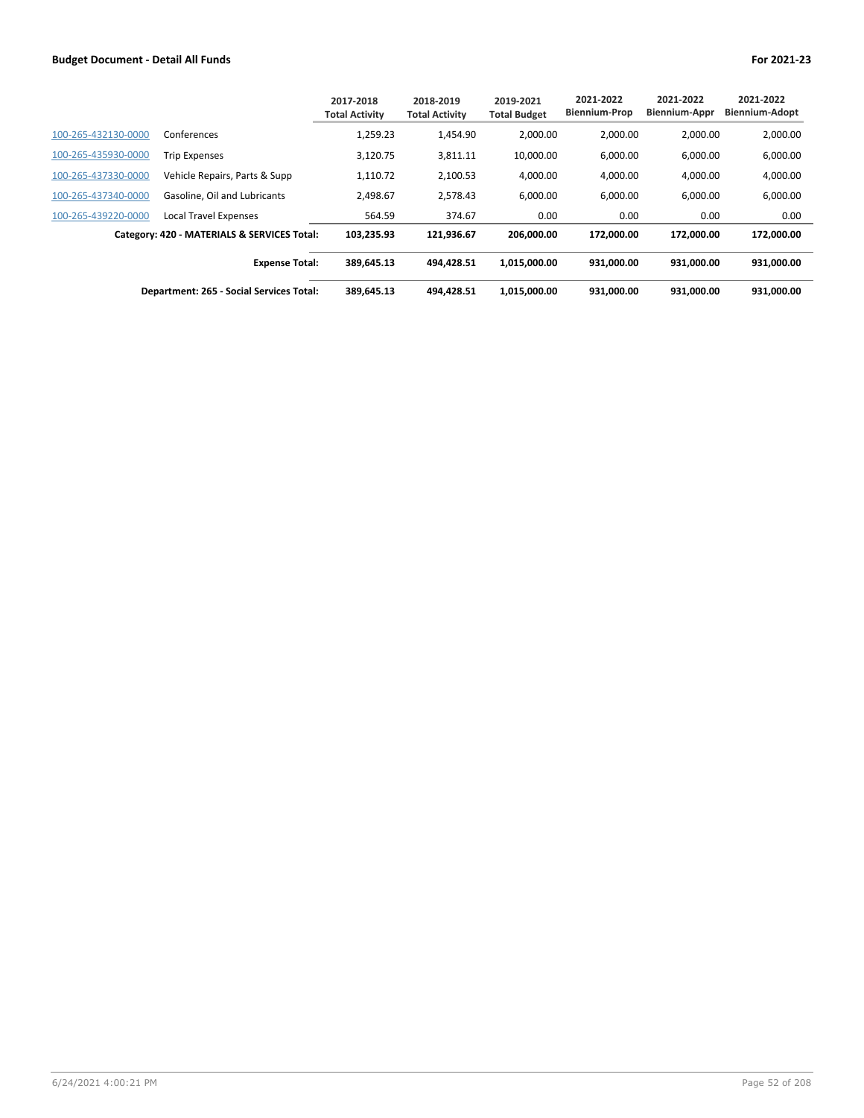|                     |                                             | 2017-2018<br><b>Total Activity</b> | 2018-2019<br><b>Total Activity</b> | 2019-2021<br><b>Total Budget</b> | 2021-2022<br><b>Biennium-Prop</b> | 2021-2022<br><b>Biennium-Appr</b> | 2021-2022<br><b>Biennium-Adopt</b> |
|---------------------|---------------------------------------------|------------------------------------|------------------------------------|----------------------------------|-----------------------------------|-----------------------------------|------------------------------------|
| 100-265-432130-0000 | Conferences                                 | 1,259.23                           | 1,454.90                           | 2.000.00                         | 2.000.00                          | 2.000.00                          | 2,000.00                           |
| 100-265-435930-0000 | <b>Trip Expenses</b>                        | 3,120.75                           | 3,811.11                           | 10,000.00                        | 6,000.00                          | 6,000.00                          | 6,000.00                           |
| 100-265-437330-0000 | Vehicle Repairs, Parts & Supp               | 1.110.72                           | 2,100.53                           | 4,000.00                         | 4,000.00                          | 4,000.00                          | 4,000.00                           |
| 100-265-437340-0000 | Gasoline. Oil and Lubricants                | 2.498.67                           | 2,578.43                           | 6,000.00                         | 6,000.00                          | 6.000.00                          | 6,000.00                           |
| 100-265-439220-0000 | <b>Local Travel Expenses</b>                | 564.59                             | 374.67                             | 0.00                             | 0.00                              | 0.00                              | 0.00                               |
|                     | Category: 420 - MATERIALS & SERVICES Total: | 103,235.93                         | 121.936.67                         | 206.000.00                       | 172.000.00                        | 172.000.00                        | 172.000.00                         |
|                     | <b>Expense Total:</b>                       | 389,645.13                         | 494.428.51                         | 1,015,000.00                     | 931,000.00                        | 931,000.00                        | 931,000.00                         |
|                     | Department: 265 - Social Services Total:    | 389,645.13                         | 494.428.51                         | 1,015,000.00                     | 931,000.00                        | 931,000.00                        | 931,000.00                         |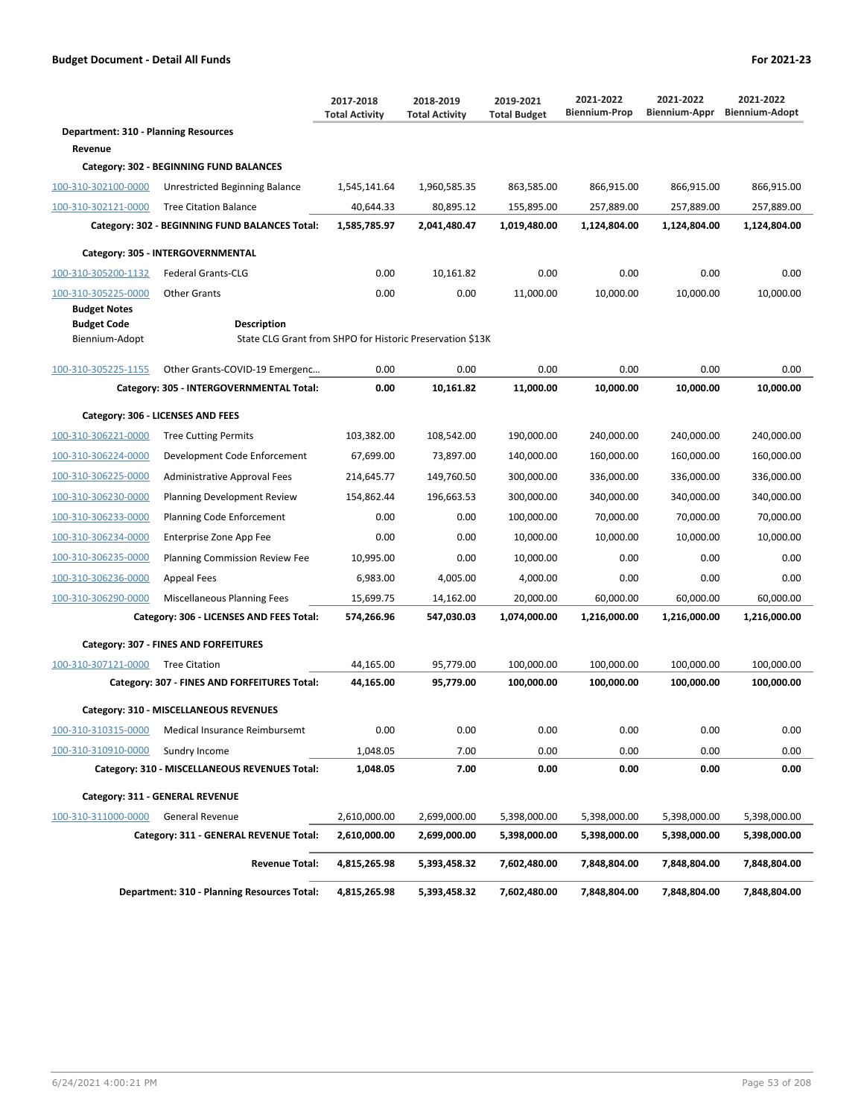|                                             |                                                                                 | 2017-2018<br><b>Total Activity</b> | 2018-2019<br><b>Total Activity</b> | 2019-2021<br><b>Total Budget</b> | 2021-2022<br><b>Biennium-Prop</b> | 2021-2022<br>Biennium-Appr | 2021-2022<br><b>Biennium-Adopt</b> |
|---------------------------------------------|---------------------------------------------------------------------------------|------------------------------------|------------------------------------|----------------------------------|-----------------------------------|----------------------------|------------------------------------|
| <b>Department: 310 - Planning Resources</b> |                                                                                 |                                    |                                    |                                  |                                   |                            |                                    |
| Revenue                                     |                                                                                 |                                    |                                    |                                  |                                   |                            |                                    |
|                                             | Category: 302 - BEGINNING FUND BALANCES                                         |                                    |                                    |                                  |                                   |                            |                                    |
| 100-310-302100-0000                         | Unrestricted Beginning Balance                                                  | 1,545,141.64                       | 1,960,585.35                       | 863,585.00                       | 866,915.00                        | 866,915.00                 | 866,915.00                         |
| 100-310-302121-0000                         | <b>Tree Citation Balance</b>                                                    | 40,644.33                          | 80,895.12                          | 155,895.00                       | 257,889.00                        | 257,889.00                 | 257,889.00                         |
|                                             | Category: 302 - BEGINNING FUND BALANCES Total:                                  | 1,585,785.97                       | 2,041,480.47                       | 1,019,480.00                     | 1,124,804.00                      | 1,124,804.00               | 1,124,804.00                       |
|                                             | Category: 305 - INTERGOVERNMENTAL                                               |                                    |                                    |                                  |                                   |                            |                                    |
| 100-310-305200-1132                         | <b>Federal Grants-CLG</b>                                                       | 0.00                               | 10,161.82                          | 0.00                             | 0.00                              | 0.00                       | 0.00                               |
| 100-310-305225-0000                         | <b>Other Grants</b>                                                             | 0.00                               | 0.00                               | 11,000.00                        | 10,000.00                         | 10,000.00                  | 10,000.00                          |
| <b>Budget Notes</b>                         |                                                                                 |                                    |                                    |                                  |                                   |                            |                                    |
| <b>Budget Code</b><br>Biennium-Adopt        | <b>Description</b><br>State CLG Grant from SHPO for Historic Preservation \$13K |                                    |                                    |                                  |                                   |                            |                                    |
|                                             |                                                                                 |                                    |                                    |                                  |                                   |                            |                                    |
| 100-310-305225-1155                         | Other Grants-COVID-19 Emergenc                                                  | 0.00                               | 0.00                               | 0.00                             | 0.00                              | 0.00                       | 0.00                               |
|                                             | Category: 305 - INTERGOVERNMENTAL Total:                                        | 0.00                               | 10,161.82                          | 11,000.00                        | 10,000.00                         | 10,000.00                  | 10,000.00                          |
|                                             | Category: 306 - LICENSES AND FEES                                               |                                    |                                    |                                  |                                   |                            |                                    |
| 100-310-306221-0000                         | <b>Tree Cutting Permits</b>                                                     | 103,382.00                         | 108,542.00                         | 190,000.00                       | 240,000.00                        | 240,000.00                 | 240,000.00                         |
| 100-310-306224-0000                         | Development Code Enforcement                                                    | 67,699.00                          | 73,897.00                          | 140,000.00                       | 160,000.00                        | 160,000.00                 | 160,000.00                         |
| 100-310-306225-0000                         | <b>Administrative Approval Fees</b>                                             | 214,645.77                         | 149,760.50                         | 300,000.00                       | 336,000.00                        | 336,000.00                 | 336,000.00                         |
| 100-310-306230-0000                         | Planning Development Review                                                     | 154,862.44                         | 196,663.53                         | 300,000.00                       | 340,000.00                        | 340,000.00                 | 340,000.00                         |
| 100-310-306233-0000                         | Planning Code Enforcement                                                       | 0.00                               | 0.00                               | 100,000.00                       | 70,000.00                         | 70,000.00                  | 70,000.00                          |
| 100-310-306234-0000                         | Enterprise Zone App Fee                                                         | 0.00                               | 0.00                               | 10,000.00                        | 10,000.00                         | 10,000.00                  | 10,000.00                          |
| 100-310-306235-0000                         | Planning Commission Review Fee                                                  | 10,995.00                          | 0.00                               | 10,000.00                        | 0.00                              | 0.00                       | 0.00                               |
| 100-310-306236-0000                         | <b>Appeal Fees</b>                                                              | 6,983.00                           | 4,005.00                           | 4,000.00                         | 0.00                              | 0.00                       | 0.00                               |
| 100-310-306290-0000                         | Miscellaneous Planning Fees                                                     | 15,699.75                          | 14,162.00                          | 20,000.00                        | 60,000.00                         | 60,000.00                  | 60,000.00                          |
|                                             | Category: 306 - LICENSES AND FEES Total:                                        | 574,266.96                         | 547,030.03                         | 1,074,000.00                     | 1,216,000.00                      | 1,216,000.00               | 1,216,000.00                       |
|                                             | Category: 307 - FINES AND FORFEITURES                                           |                                    |                                    |                                  |                                   |                            |                                    |
| 100-310-307121-0000                         | <b>Tree Citation</b>                                                            | 44,165.00                          | 95,779.00                          | 100,000.00                       | 100,000.00                        | 100,000.00                 | 100,000.00                         |
|                                             | Category: 307 - FINES AND FORFEITURES Total:                                    | 44,165.00                          | 95,779.00                          | 100,000.00                       | 100,000.00                        | 100,000.00                 | 100,000.00                         |
|                                             |                                                                                 |                                    |                                    |                                  |                                   |                            |                                    |
|                                             | Category: 310 - MISCELLANEOUS REVENUES                                          |                                    |                                    |                                  |                                   |                            |                                    |
| 100-310-310315-0000                         | Medical Insurance Reimbursemt                                                   | 0.00                               | 0.00                               | 0.00                             | 0.00                              | 0.00                       | 0.00                               |
| 100-310-310910-0000                         | Sundry Income                                                                   | 1,048.05                           | 7.00                               | 0.00                             | 0.00                              | 0.00                       | 0.00                               |
|                                             | Category: 310 - MISCELLANEOUS REVENUES Total:                                   | 1,048.05                           | 7.00                               | 0.00                             | 0.00                              | 0.00                       | 0.00                               |
|                                             | Category: 311 - GENERAL REVENUE                                                 |                                    |                                    |                                  |                                   |                            |                                    |
| 100-310-311000-0000                         | <b>General Revenue</b>                                                          | 2,610,000.00                       | 2,699,000.00                       | 5,398,000.00                     | 5,398,000.00                      | 5,398,000.00               | 5,398,000.00                       |
|                                             | Category: 311 - GENERAL REVENUE Total:                                          | 2,610,000.00                       | 2,699,000.00                       | 5,398,000.00                     | 5,398,000.00                      | 5,398,000.00               | 5,398,000.00                       |
|                                             | <b>Revenue Total:</b>                                                           | 4,815,265.98                       | 5,393,458.32                       | 7,602,480.00                     | 7,848,804.00                      | 7,848,804.00               | 7,848,804.00                       |
|                                             | <b>Department: 310 - Planning Resources Total:</b>                              | 4,815,265.98                       | 5,393,458.32                       | 7,602,480.00                     | 7,848,804.00                      | 7,848,804.00               | 7,848,804.00                       |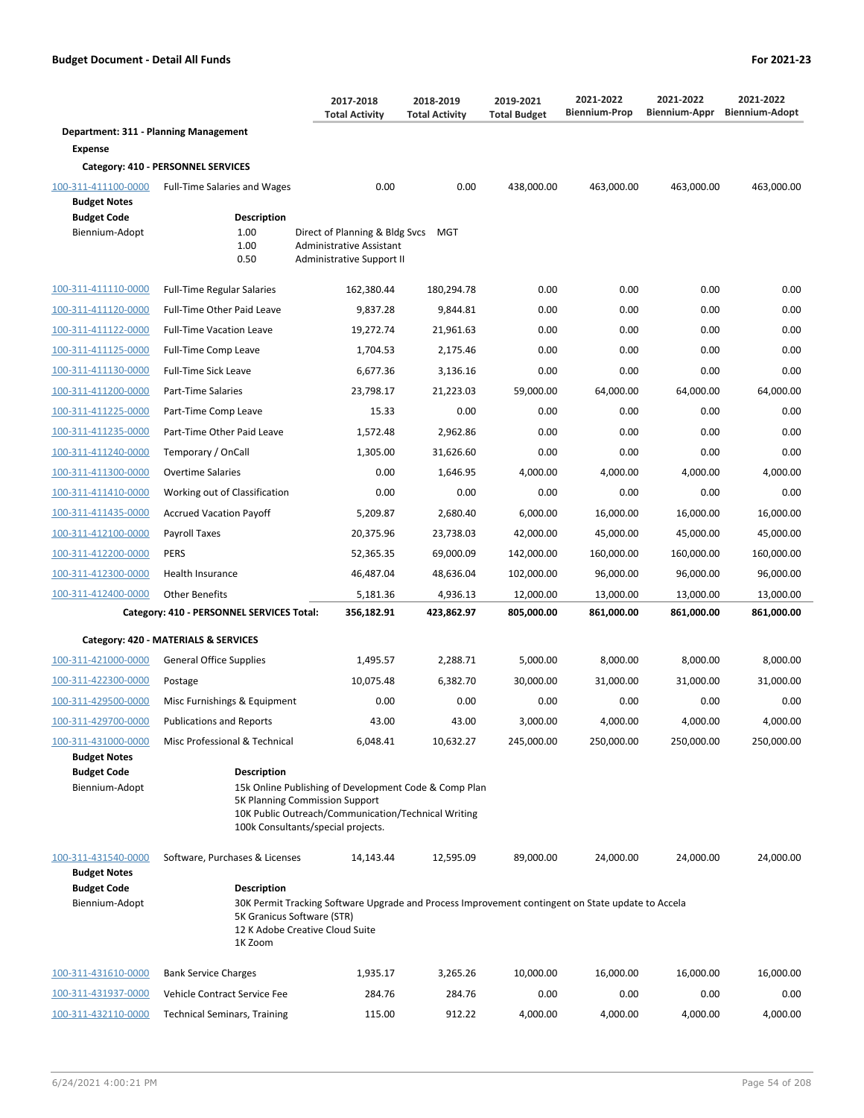|                                       |                                     | 2017-2018<br><b>Total Activity</b>                         | 2018-2019<br><b>Total Activity</b> | 2019-2021<br><b>Total Budget</b> | 2021-2022<br><b>Biennium-Prop</b> | 2021-2022<br><b>Biennium-Appr</b> | 2021-2022<br><b>Biennium-Adopt</b> |
|---------------------------------------|-------------------------------------|------------------------------------------------------------|------------------------------------|----------------------------------|-----------------------------------|-----------------------------------|------------------------------------|
| Department: 311 - Planning Management |                                     |                                                            |                                    |                                  |                                   |                                   |                                    |
| <b>Expense</b>                        |                                     |                                                            |                                    |                                  |                                   |                                   |                                    |
|                                       | Category: 410 - PERSONNEL SERVICES  |                                                            |                                    |                                  |                                   |                                   |                                    |
| 100-311-411100-0000                   | <b>Full-Time Salaries and Wages</b> | 0.00                                                       | 0.00                               | 438,000.00                       | 463,000.00                        | 463,000.00                        | 463,000.00                         |
| <b>Budget Notes</b>                   |                                     |                                                            |                                    |                                  |                                   |                                   |                                    |
| <b>Budget Code</b>                    | <b>Description</b>                  |                                                            |                                    |                                  |                                   |                                   |                                    |
| Biennium-Adopt                        | 1.00<br>1.00                        | Direct of Planning & Bldg Svcs<br>Administrative Assistant | MGT                                |                                  |                                   |                                   |                                    |
|                                       | 0.50                                | Administrative Support II                                  |                                    |                                  |                                   |                                   |                                    |
| 100-311-411110-0000                   | <b>Full-Time Regular Salaries</b>   | 162,380.44                                                 | 180,294.78                         | 0.00                             | 0.00                              | 0.00                              | 0.00                               |
| 100-311-411120-0000                   | <b>Full-Time Other Paid Leave</b>   | 9,837.28                                                   | 9,844.81                           | 0.00                             | 0.00                              | 0.00                              | 0.00                               |
| 100-311-411122-0000                   | <b>Full-Time Vacation Leave</b>     | 19,272.74                                                  | 21,961.63                          | 0.00                             | 0.00                              | 0.00                              | 0.00                               |
| 100-311-411125-0000                   | Full-Time Comp Leave                | 1,704.53                                                   | 2,175.46                           | 0.00                             | 0.00                              | 0.00                              | 0.00                               |
| 100-311-411130-0000                   | <b>Full-Time Sick Leave</b>         | 6,677.36                                                   | 3,136.16                           | 0.00                             | 0.00                              | 0.00                              | 0.00                               |
| 100-311-411200-0000                   | Part-Time Salaries                  | 23,798.17                                                  | 21,223.03                          | 59,000.00                        | 64,000.00                         | 64,000.00                         | 64,000.00                          |
| 100-311-411225-0000                   | Part-Time Comp Leave                | 15.33                                                      | 0.00                               | 0.00                             | 0.00                              | 0.00                              | 0.00                               |
| 100-311-411235-0000                   | Part-Time Other Paid Leave          | 1,572.48                                                   | 2,962.86                           | 0.00                             | 0.00                              | 0.00                              | 0.00                               |
| 100-311-411240-0000                   | Temporary / OnCall                  | 1,305.00                                                   | 31,626.60                          | 0.00                             | 0.00                              | 0.00                              | 0.00                               |

| 100-311-412400-0000 | Other Benefits                            | 5,181.36   | 4.936.13   | 12.000.00  | 13.000.00  | 13.000.00  | 13,000.00  |
|---------------------|-------------------------------------------|------------|------------|------------|------------|------------|------------|
|                     | Category: 410 - PERSONNEL SERVICES Total: | 356,182.91 | 423,862.97 | 805.000.00 | 861,000.00 | 861,000.00 | 861,000.00 |
|                     | Category: 420 - MATERIALS & SERVICES      |            |            |            |            |            |            |
| 100-311-421000-0000 | <b>General Office Supplies</b>            | 1.495.57   | 2.288.71   | 5.000.00   | 8.000.00   | 8.000.00   | 8,000.00   |
| 100-311-422300-0000 | Postage                                   | 10.075.48  | 6.382.70   | 30.000.00  | 31.000.00  | 31.000.00  | 31,000.00  |
| 100-311-429500-0000 | Misc Furnishings & Equipment              | 0.00       | 0.00       | 0.00       | 0.00       | 0.00       | 0.00       |
| 100-311-429700-0000 | <b>Publications and Reports</b>           | 43.00      | 43.00      | 3.000.00   | 4.000.00   | 4.000.00   | 4,000.00   |
| 100-311-431000-0000 | Misc Professional & Technical             | 6.048.41   | 10.632.27  | 245.000.00 | 250,000.00 | 250,000.00 | 250.000.00 |

100-311-411300-0000 Overtime Salaries 0.00 1,646.95 4,000.00 4,000.00 4,000.00 4,000.00 100-311-411410-0000 Working out of Classification 0.00 0.00 0.00 0.00 0.00 0.00 100-311-411435-0000 Accrued Vacation Payoff 5,209.87 2,680.40 6,000.00 16,000.00 16,000.00 16,000.00 100-311-412100-0000 Payroll Taxes 20,375.96 23,738.03 42,000.00 45,000.00 45,000.00 45,000.00 100-311-412200-0000 PERS 52,365.35 69,000.09 142,000.00 160,000.00 160,000.00 160,000.00 100-311-412300-0000 Health Insurance 46,487.04 48,636.04 102,000.00 96,000.00 96,000.00 96,000.00

| <b>Budget Notes</b>                       |                                                                                                                                                                                      |                                                                                                                                                                    |           |           |           |           |           |  |  |  |
|-------------------------------------------|--------------------------------------------------------------------------------------------------------------------------------------------------------------------------------------|--------------------------------------------------------------------------------------------------------------------------------------------------------------------|-----------|-----------|-----------|-----------|-----------|--|--|--|
| <b>Budget Code</b>                        | <b>Description</b>                                                                                                                                                                   |                                                                                                                                                                    |           |           |           |           |           |  |  |  |
| Biennium-Adopt                            | 15k Online Publishing of Development Code & Comp Plan<br>5K Planning Commission Support<br>10K Public Outreach/Communication/Technical Writing<br>100k Consultants/special projects. |                                                                                                                                                                    |           |           |           |           |           |  |  |  |
| 100-311-431540-0000                       | Software, Purchases & Licenses                                                                                                                                                       | 14,143.44                                                                                                                                                          | 12,595.09 | 89,000.00 | 24,000.00 | 24,000.00 | 24,000.00 |  |  |  |
| <b>Budget Notes</b><br><b>Budget Code</b> | <b>Description</b>                                                                                                                                                                   |                                                                                                                                                                    |           |           |           |           |           |  |  |  |
| Biennium-Adopt                            | 1K Zoom                                                                                                                                                                              | 30K Permit Tracking Software Upgrade and Process Improvement contingent on State update to Accela<br>5K Granicus Software (STR)<br>12 K Adobe Creative Cloud Suite |           |           |           |           |           |  |  |  |
| 100-311-431610-0000                       | <b>Bank Service Charges</b>                                                                                                                                                          | 1,935.17                                                                                                                                                           | 3,265.26  | 10,000.00 | 16,000.00 | 16,000.00 | 16,000.00 |  |  |  |
| 100-311-431937-0000                       | Vehicle Contract Service Fee                                                                                                                                                         | 284.76                                                                                                                                                             | 284.76    | 0.00      | 0.00      | 0.00      | 0.00      |  |  |  |
| 100-311-432110-0000                       | <b>Technical Seminars, Training</b>                                                                                                                                                  | 115.00                                                                                                                                                             | 912.22    | 4,000.00  | 4,000.00  | 4,000.00  | 4,000.00  |  |  |  |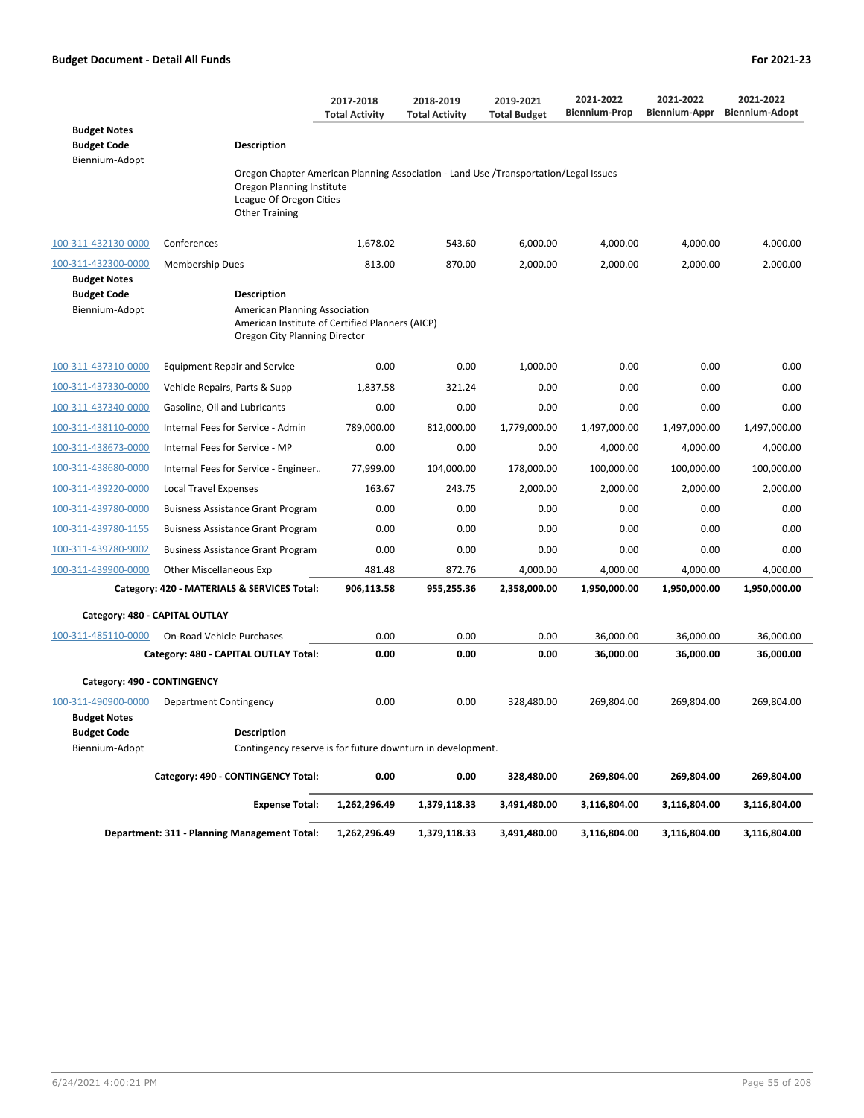|                                                             |                                                                                                                                                                       | 2017-2018<br><b>Total Activity</b> | 2018-2019<br><b>Total Activity</b> | 2019-2021<br><b>Total Budget</b> | 2021-2022<br><b>Biennium-Prop</b> | 2021-2022<br>Biennium-Appr | 2021-2022<br><b>Biennium-Adopt</b> |
|-------------------------------------------------------------|-----------------------------------------------------------------------------------------------------------------------------------------------------------------------|------------------------------------|------------------------------------|----------------------------------|-----------------------------------|----------------------------|------------------------------------|
| <b>Budget Notes</b><br><b>Budget Code</b><br>Biennium-Adopt | Description                                                                                                                                                           |                                    |                                    |                                  |                                   |                            |                                    |
|                                                             | Oregon Chapter American Planning Association - Land Use /Transportation/Legal Issues<br>Oregon Planning Institute<br>League Of Oregon Cities<br><b>Other Training</b> |                                    |                                    |                                  |                                   |                            |                                    |
| 100-311-432130-0000                                         | Conferences                                                                                                                                                           | 1,678.02                           | 543.60                             | 6,000.00                         | 4,000.00                          | 4,000.00                   | 4,000.00                           |
| 100-311-432300-0000                                         | <b>Membership Dues</b>                                                                                                                                                | 813.00                             | 870.00                             | 2,000.00                         | 2,000.00                          | 2,000.00                   | 2,000.00                           |
| <b>Budget Notes</b>                                         |                                                                                                                                                                       |                                    |                                    |                                  |                                   |                            |                                    |
| <b>Budget Code</b><br>Biennium-Adopt                        | Description<br>American Planning Association<br>American Institute of Certified Planners (AICP)<br>Oregon City Planning Director                                      |                                    |                                    |                                  |                                   |                            |                                    |
| 100-311-437310-0000                                         | <b>Equipment Repair and Service</b>                                                                                                                                   | 0.00                               | 0.00                               | 1,000.00                         | 0.00                              | 0.00                       | 0.00                               |
| 100-311-437330-0000                                         | Vehicle Repairs, Parts & Supp                                                                                                                                         | 1,837.58                           | 321.24                             | 0.00                             | 0.00                              | 0.00                       | 0.00                               |
| 100-311-437340-0000                                         | Gasoline, Oil and Lubricants                                                                                                                                          | 0.00                               | 0.00                               | 0.00                             | 0.00                              | 0.00                       | 0.00                               |
| 100-311-438110-0000                                         | Internal Fees for Service - Admin                                                                                                                                     | 789,000.00                         | 812,000.00                         | 1,779,000.00                     | 1,497,000.00                      | 1,497,000.00               | 1,497,000.00                       |
| 100-311-438673-0000                                         | Internal Fees for Service - MP                                                                                                                                        | 0.00                               | 0.00                               | 0.00                             | 4,000.00                          | 4,000.00                   | 4,000.00                           |
| 100-311-438680-0000                                         | Internal Fees for Service - Engineer                                                                                                                                  | 77,999.00                          | 104,000.00                         | 178,000.00                       | 100,000.00                        | 100,000.00                 | 100,000.00                         |
| 100-311-439220-0000                                         | Local Travel Expenses                                                                                                                                                 | 163.67                             | 243.75                             | 2,000.00                         | 2,000.00                          | 2,000.00                   | 2,000.00                           |
| 100-311-439780-0000                                         | <b>Buisness Assistance Grant Program</b>                                                                                                                              | 0.00                               | 0.00                               | 0.00                             | 0.00                              | 0.00                       | 0.00                               |
| 100-311-439780-1155                                         | <b>Buisness Assistance Grant Program</b>                                                                                                                              | 0.00                               | 0.00                               | 0.00                             | 0.00                              | 0.00                       | 0.00                               |
| 100-311-439780-9002                                         | <b>Business Assistance Grant Program</b>                                                                                                                              | 0.00                               | 0.00                               | 0.00                             | 0.00                              | 0.00                       | 0.00                               |
| 100-311-439900-0000                                         | <b>Other Miscellaneous Exp</b>                                                                                                                                        | 481.48                             | 872.76                             | 4,000.00                         | 4,000.00                          | 4,000.00                   | 4,000.00                           |
|                                                             | Category: 420 - MATERIALS & SERVICES Total:                                                                                                                           | 906,113.58                         | 955,255.36                         | 2,358,000.00                     | 1,950,000.00                      | 1,950,000.00               | 1,950,000.00                       |
|                                                             | Category: 480 - CAPITAL OUTLAY                                                                                                                                        |                                    |                                    |                                  |                                   |                            |                                    |
| 100-311-485110-0000                                         | <b>On-Road Vehicle Purchases</b>                                                                                                                                      | 0.00                               | 0.00                               | 0.00                             | 36,000.00                         | 36,000.00                  | 36,000.00                          |
|                                                             | Category: 480 - CAPITAL OUTLAY Total:                                                                                                                                 | 0.00                               | 0.00                               | 0.00                             | 36,000.00                         | 36,000.00                  | 36,000.00                          |
| Category: 490 - CONTINGENCY                                 |                                                                                                                                                                       |                                    |                                    |                                  |                                   |                            |                                    |
| 100-311-490900-0000<br>Budget Notes                         | Department Contingency                                                                                                                                                | 0.00                               | 0.00                               | 328,480.00                       | 269,804.00                        | 269,804.00                 | 269,804.00                         |
| <b>Budget Code</b>                                          | Description                                                                                                                                                           |                                    |                                    |                                  |                                   |                            |                                    |
| Biennium-Adopt                                              | Contingency reserve is for future downturn in development.                                                                                                            |                                    |                                    |                                  |                                   |                            |                                    |
|                                                             | Category: 490 - CONTINGENCY Total:                                                                                                                                    | 0.00                               | 0.00                               | 328,480.00                       | 269,804.00                        | 269,804.00                 | 269,804.00                         |
|                                                             | <b>Expense Total:</b>                                                                                                                                                 | 1,262,296.49                       | 1,379,118.33                       | 3,491,480.00                     | 3,116,804.00                      | 3,116,804.00               | 3,116,804.00                       |
|                                                             | Department: 311 - Planning Management Total:                                                                                                                          | 1,262,296.49                       | 1,379,118.33                       | 3,491,480.00                     | 3,116,804.00                      | 3,116,804.00               | 3,116,804.00                       |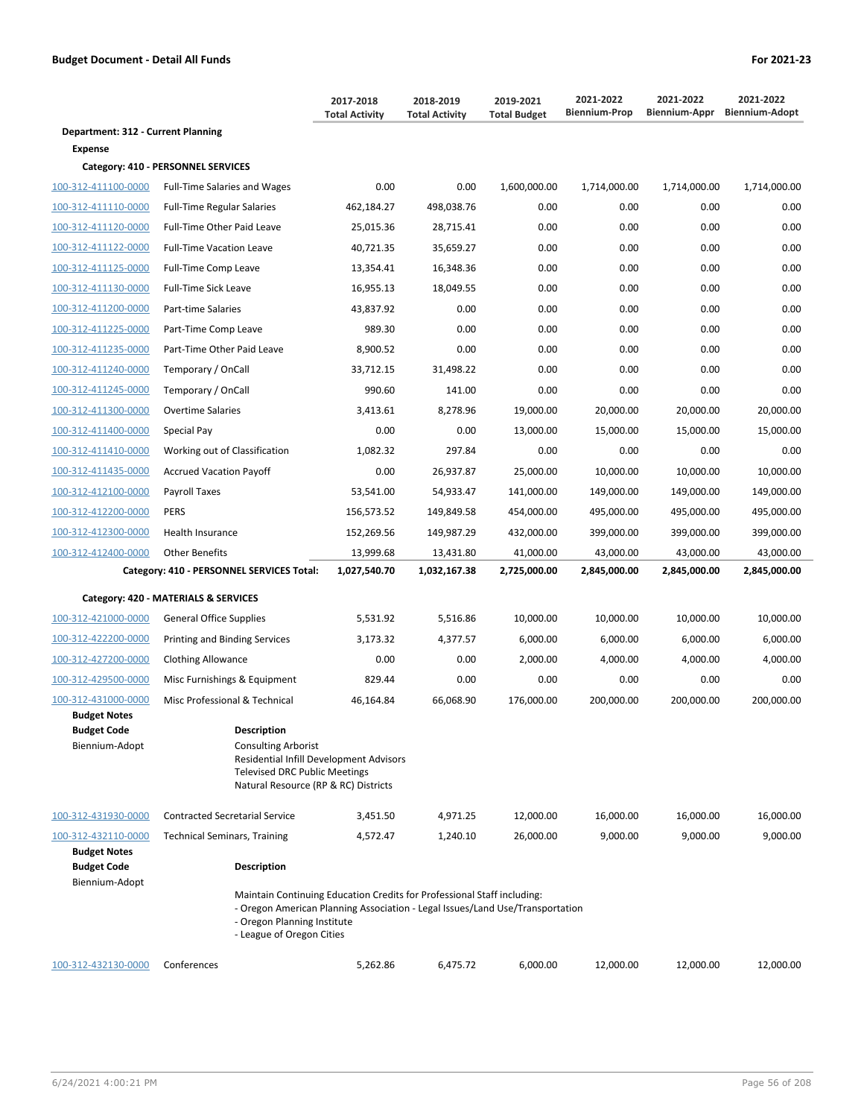|                                                             |                                                                                                                                                                                                                      | 2017-2018<br><b>Total Activity</b> | 2018-2019<br><b>Total Activity</b> | 2019-2021<br><b>Total Budget</b> | 2021-2022<br><b>Biennium-Prop</b> | 2021-2022<br>Biennium-Appr | 2021-2022<br><b>Biennium-Adopt</b> |
|-------------------------------------------------------------|----------------------------------------------------------------------------------------------------------------------------------------------------------------------------------------------------------------------|------------------------------------|------------------------------------|----------------------------------|-----------------------------------|----------------------------|------------------------------------|
| Department: 312 - Current Planning                          |                                                                                                                                                                                                                      |                                    |                                    |                                  |                                   |                            |                                    |
| <b>Expense</b>                                              |                                                                                                                                                                                                                      |                                    |                                    |                                  |                                   |                            |                                    |
|                                                             | Category: 410 - PERSONNEL SERVICES                                                                                                                                                                                   |                                    |                                    |                                  |                                   |                            |                                    |
| 100-312-411100-0000                                         | <b>Full-Time Salaries and Wages</b>                                                                                                                                                                                  | 0.00                               | 0.00                               | 1,600,000.00                     | 1,714,000.00                      | 1,714,000.00               | 1,714,000.00                       |
| 100-312-411110-0000                                         | <b>Full-Time Regular Salaries</b>                                                                                                                                                                                    | 462,184.27                         | 498,038.76                         | 0.00                             | 0.00                              | 0.00                       | 0.00                               |
| 100-312-411120-0000                                         | Full-Time Other Paid Leave                                                                                                                                                                                           | 25,015.36                          | 28,715.41                          | 0.00                             | 0.00                              | 0.00                       | 0.00                               |
| 100-312-411122-0000                                         | <b>Full-Time Vacation Leave</b>                                                                                                                                                                                      | 40,721.35                          | 35,659.27                          | 0.00                             | 0.00                              | 0.00                       | 0.00                               |
| 100-312-411125-0000                                         | Full-Time Comp Leave                                                                                                                                                                                                 | 13,354.41                          | 16,348.36                          | 0.00                             | 0.00                              | 0.00                       | 0.00                               |
| 100-312-411130-0000                                         | <b>Full-Time Sick Leave</b>                                                                                                                                                                                          | 16,955.13                          | 18,049.55                          | 0.00                             | 0.00                              | 0.00                       | 0.00                               |
| 100-312-411200-0000                                         | Part-time Salaries                                                                                                                                                                                                   | 43,837.92                          | 0.00                               | 0.00                             | 0.00                              | 0.00                       | 0.00                               |
| 100-312-411225-0000                                         | Part-Time Comp Leave                                                                                                                                                                                                 | 989.30                             | 0.00                               | 0.00                             | 0.00                              | 0.00                       | 0.00                               |
| 100-312-411235-0000                                         | Part-Time Other Paid Leave                                                                                                                                                                                           | 8,900.52                           | 0.00                               | 0.00                             | 0.00                              | 0.00                       | 0.00                               |
| 100-312-411240-0000                                         | Temporary / OnCall                                                                                                                                                                                                   | 33,712.15                          | 31,498.22                          | 0.00                             | 0.00                              | 0.00                       | 0.00                               |
| 100-312-411245-0000                                         | Temporary / OnCall                                                                                                                                                                                                   | 990.60                             | 141.00                             | 0.00                             | 0.00                              | 0.00                       | 0.00                               |
| 100-312-411300-0000                                         | <b>Overtime Salaries</b>                                                                                                                                                                                             | 3,413.61                           | 8,278.96                           | 19,000.00                        | 20,000.00                         | 20,000.00                  | 20,000.00                          |
| 100-312-411400-0000                                         | Special Pay                                                                                                                                                                                                          | 0.00                               | 0.00                               | 13,000.00                        | 15,000.00                         | 15,000.00                  | 15,000.00                          |
| 100-312-411410-0000                                         | Working out of Classification                                                                                                                                                                                        | 1,082.32                           | 297.84                             | 0.00                             | 0.00                              | 0.00                       | 0.00                               |
| 100-312-411435-0000                                         | <b>Accrued Vacation Payoff</b>                                                                                                                                                                                       | 0.00                               | 26,937.87                          | 25,000.00                        | 10,000.00                         | 10,000.00                  | 10,000.00                          |
| 100-312-412100-0000                                         | Payroll Taxes                                                                                                                                                                                                        | 53,541.00                          | 54,933.47                          | 141,000.00                       | 149,000.00                        | 149,000.00                 | 149,000.00                         |
| 100-312-412200-0000                                         | <b>PERS</b>                                                                                                                                                                                                          | 156,573.52                         | 149,849.58                         | 454,000.00                       | 495,000.00                        | 495,000.00                 | 495,000.00                         |
| 100-312-412300-0000                                         | Health Insurance                                                                                                                                                                                                     | 152,269.56                         | 149,987.29                         | 432,000.00                       | 399,000.00                        | 399,000.00                 | 399,000.00                         |
| 100-312-412400-0000                                         | <b>Other Benefits</b>                                                                                                                                                                                                | 13,999.68                          | 13,431.80                          | 41,000.00                        | 43,000.00                         | 43,000.00                  | 43,000.00                          |
|                                                             | Category: 410 - PERSONNEL SERVICES Total:                                                                                                                                                                            | 1,027,540.70                       | 1,032,167.38                       | 2,725,000.00                     | 2,845,000.00                      | 2,845,000.00               | 2,845,000.00                       |
|                                                             | Category: 420 - MATERIALS & SERVICES                                                                                                                                                                                 |                                    |                                    |                                  |                                   |                            |                                    |
| 100-312-421000-0000                                         | <b>General Office Supplies</b>                                                                                                                                                                                       | 5,531.92                           | 5,516.86                           | 10,000.00                        | 10,000.00                         | 10,000.00                  | 10,000.00                          |
| 100-312-422200-0000                                         | <b>Printing and Binding Services</b>                                                                                                                                                                                 | 3,173.32                           | 4,377.57                           | 6,000.00                         | 6,000.00                          | 6,000.00                   | 6,000.00                           |
| 100-312-427200-0000                                         | <b>Clothing Allowance</b>                                                                                                                                                                                            | 0.00                               | 0.00                               | 2,000.00                         | 4,000.00                          | 4,000.00                   | 4,000.00                           |
| 100-312-429500-0000                                         | Misc Furnishings & Equipment                                                                                                                                                                                         | 829.44                             | 0.00                               | 0.00                             | 0.00                              | 0.00                       | 0.00                               |
| 100-312-431000-0000                                         | Misc Professional & Technical                                                                                                                                                                                        | 46,164.84                          | 66,068.90                          | 176,000.00                       | 200,000.00                        | 200,000.00                 | 200,000.00                         |
| <b>Budget Notes</b><br><b>Budget Code</b><br>Biennium-Adopt | <b>Description</b><br><b>Consulting Arborist</b><br>Residential Infill Development Advisors<br><b>Televised DRC Public Meetings</b><br>Natural Resource (RP & RC) Districts                                          |                                    |                                    |                                  |                                   |                            |                                    |
| 100-312-431930-0000                                         | <b>Contracted Secretarial Service</b>                                                                                                                                                                                | 3,451.50                           | 4,971.25                           | 12,000.00                        | 16,000.00                         | 16,000.00                  | 16,000.00                          |
| 100-312-432110-0000                                         | <b>Technical Seminars, Training</b>                                                                                                                                                                                  | 4,572.47                           | 1,240.10                           | 26,000.00                        | 9,000.00                          | 9,000.00                   | 9,000.00                           |
| <b>Budget Notes</b><br><b>Budget Code</b>                   | <b>Description</b>                                                                                                                                                                                                   |                                    |                                    |                                  |                                   |                            |                                    |
| Biennium-Adopt                                              | Maintain Continuing Education Credits for Professional Staff including:<br>- Oregon American Planning Association - Legal Issues/Land Use/Transportation<br>- Oregon Planning Institute<br>- League of Oregon Cities |                                    |                                    |                                  |                                   |                            |                                    |
| 100-312-432130-0000                                         | Conferences                                                                                                                                                                                                          | 5,262.86                           | 6,475.72                           | 6,000.00                         | 12,000.00                         | 12,000.00                  | 12,000.00                          |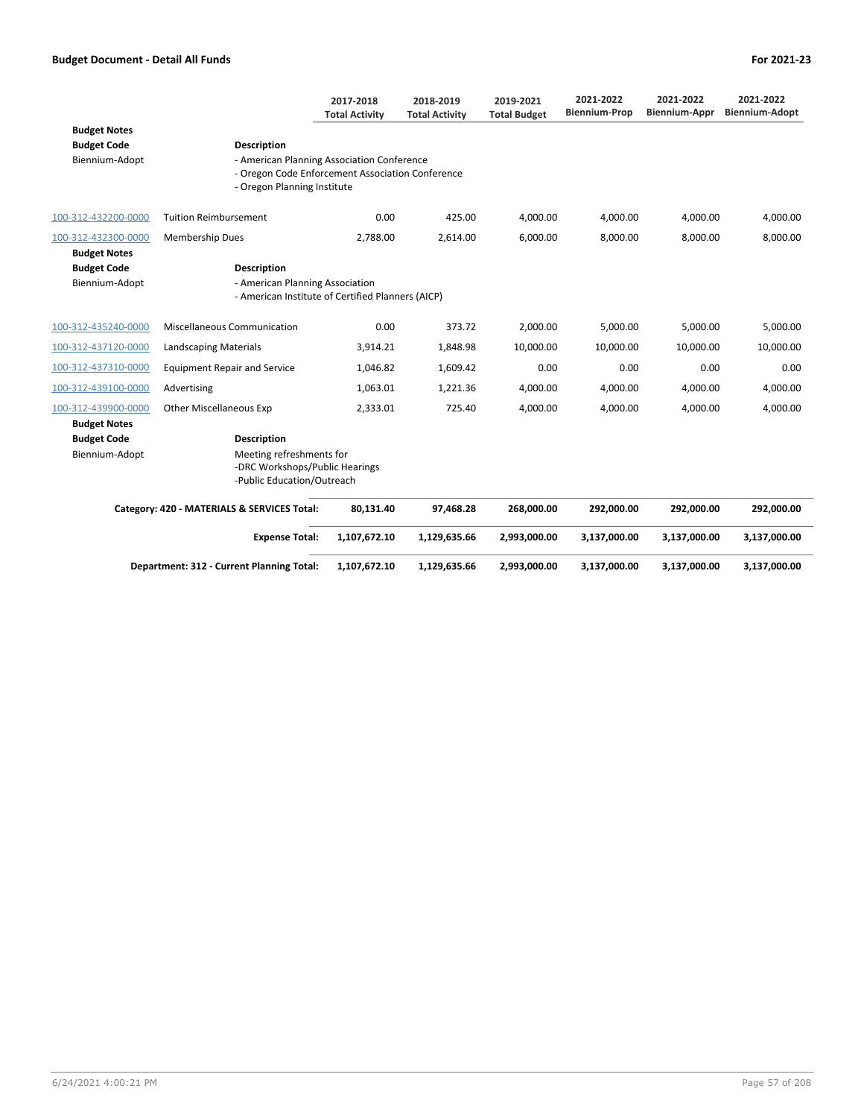|                                           |                                                                                          | 2017-2018<br><b>Total Activity</b> | 2018-2019<br><b>Total Activity</b> | 2019-2021<br><b>Total Budget</b> | 2021-2022<br><b>Biennium-Prop</b> | 2021-2022<br>Biennium-Appr | 2021-2022<br><b>Biennium-Adopt</b> |
|-------------------------------------------|------------------------------------------------------------------------------------------|------------------------------------|------------------------------------|----------------------------------|-----------------------------------|----------------------------|------------------------------------|
| <b>Budget Notes</b><br><b>Budget Code</b> | <b>Description</b>                                                                       |                                    |                                    |                                  |                                   |                            |                                    |
| Biennium-Adopt                            | - American Planning Association Conference                                               |                                    |                                    |                                  |                                   |                            |                                    |
|                                           | - Oregon Code Enforcement Association Conference<br>- Oregon Planning Institute          |                                    |                                    |                                  |                                   |                            |                                    |
| 100-312-432200-0000                       | <b>Tuition Reimbursement</b>                                                             | 0.00                               | 425.00                             | 4,000.00                         | 4,000.00                          | 4,000.00                   | 4,000.00                           |
| 100-312-432300-0000                       | <b>Membership Dues</b>                                                                   | 2.788.00                           | 2.614.00                           | 6.000.00                         | 8.000.00                          | 8.000.00                   | 8.000.00                           |
| <b>Budget Notes</b>                       |                                                                                          |                                    |                                    |                                  |                                   |                            |                                    |
| <b>Budget Code</b>                        | <b>Description</b>                                                                       |                                    |                                    |                                  |                                   |                            |                                    |
| Biennium-Adopt                            | - American Planning Association<br>- American Institute of Certified Planners (AICP)     |                                    |                                    |                                  |                                   |                            |                                    |
| 100-312-435240-0000                       | Miscellaneous Communication                                                              | 0.00                               | 373.72                             | 2,000.00                         | 5,000.00                          | 5,000.00                   | 5,000.00                           |
| 100-312-437120-0000                       | <b>Landscaping Materials</b>                                                             | 3,914.21                           | 1,848.98                           | 10,000.00                        | 10,000.00                         | 10,000.00                  | 10,000.00                          |
| 100-312-437310-0000                       | <b>Equipment Repair and Service</b>                                                      | 1,046.82                           | 1,609.42                           | 0.00                             | 0.00                              | 0.00                       | 0.00                               |
| 100-312-439100-0000                       | Advertising                                                                              | 1,063.01                           | 1,221.36                           | 4,000.00                         | 4,000.00                          | 4,000.00                   | 4,000.00                           |
| 100-312-439900-0000                       | <b>Other Miscellaneous Exp</b>                                                           | 2,333.01                           | 725.40                             | 4,000.00                         | 4,000.00                          | 4.000.00                   | 4.000.00                           |
| <b>Budget Notes</b>                       |                                                                                          |                                    |                                    |                                  |                                   |                            |                                    |
| <b>Budget Code</b>                        | <b>Description</b>                                                                       |                                    |                                    |                                  |                                   |                            |                                    |
| Biennium-Adopt                            | Meeting refreshments for<br>-DRC Workshops/Public Hearings<br>-Public Education/Outreach |                                    |                                    |                                  |                                   |                            |                                    |
|                                           | Category: 420 - MATERIALS & SERVICES Total:                                              | 80,131.40                          | 97.468.28                          | 268,000.00                       | 292,000.00                        | 292,000.00                 | 292,000.00                         |
|                                           | <b>Expense Total:</b>                                                                    | 1,107,672.10                       | 1,129,635.66                       | 2,993,000.00                     | 3,137,000.00                      | 3,137,000.00               | 3,137,000.00                       |
|                                           | Department: 312 - Current Planning Total:                                                | 1,107,672.10                       | 1,129,635.66                       | 2,993,000.00                     | 3,137,000.00                      | 3,137,000.00               | 3,137,000.00                       |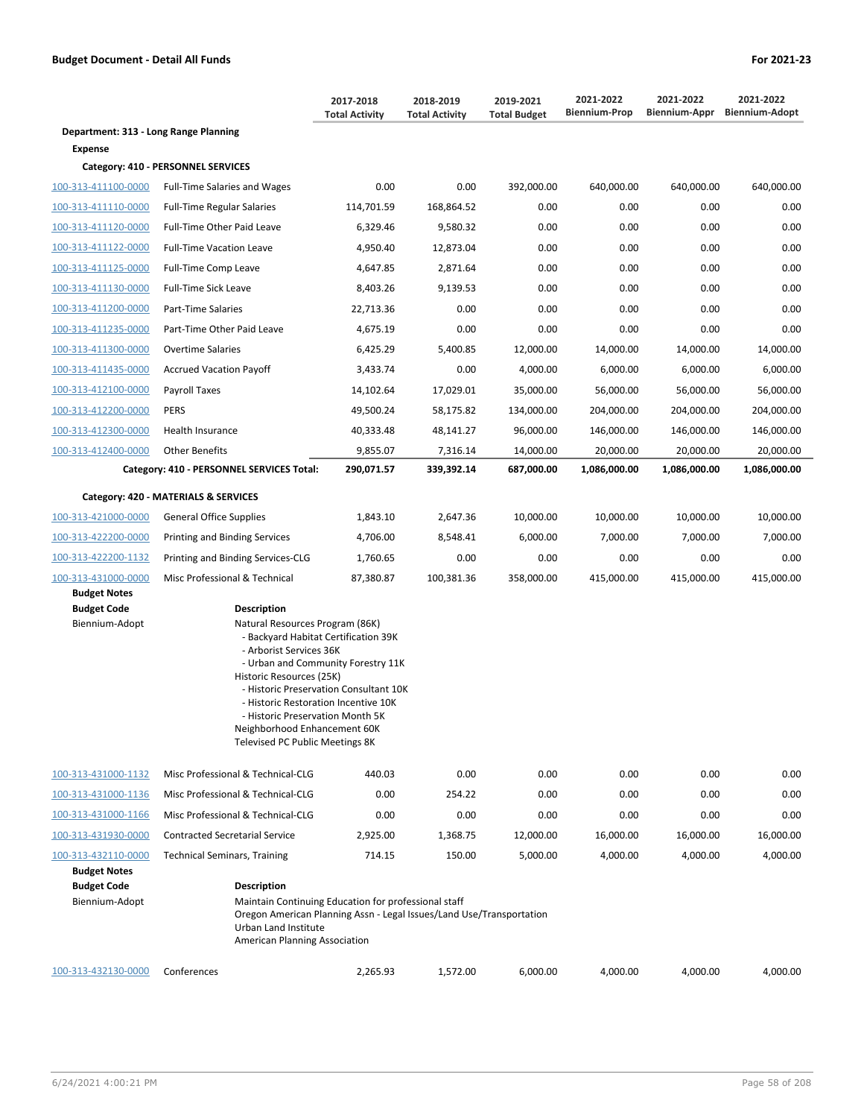|                                                             |                                                                                                                                                                                                                                                                                                                                           | 2017-2018<br><b>Total Activity</b>     | 2018-2019<br><b>Total Activity</b> | 2019-2021<br><b>Total Budget</b> | 2021-2022<br><b>Biennium-Prop</b> | 2021-2022<br><b>Biennium-Appr</b> | 2021-2022<br><b>Biennium-Adopt</b> |
|-------------------------------------------------------------|-------------------------------------------------------------------------------------------------------------------------------------------------------------------------------------------------------------------------------------------------------------------------------------------------------------------------------------------|----------------------------------------|------------------------------------|----------------------------------|-----------------------------------|-----------------------------------|------------------------------------|
| Department: 313 - Long Range Planning                       |                                                                                                                                                                                                                                                                                                                                           |                                        |                                    |                                  |                                   |                                   |                                    |
| <b>Expense</b>                                              |                                                                                                                                                                                                                                                                                                                                           |                                        |                                    |                                  |                                   |                                   |                                    |
|                                                             | Category: 410 - PERSONNEL SERVICES                                                                                                                                                                                                                                                                                                        |                                        |                                    |                                  |                                   |                                   |                                    |
| 100-313-411100-0000                                         | <b>Full-Time Salaries and Wages</b>                                                                                                                                                                                                                                                                                                       | 0.00                                   | 0.00                               | 392,000.00                       | 640,000.00                        | 640,000.00                        | 640,000.00                         |
| 100-313-411110-0000                                         | <b>Full-Time Regular Salaries</b>                                                                                                                                                                                                                                                                                                         | 114,701.59                             | 168,864.52                         | 0.00                             | 0.00                              | 0.00                              | 0.00                               |
| 100-313-411120-0000                                         | Full-Time Other Paid Leave                                                                                                                                                                                                                                                                                                                | 6,329.46                               | 9,580.32                           | 0.00                             | 0.00                              | 0.00                              | 0.00                               |
| 100-313-411122-0000                                         | <b>Full-Time Vacation Leave</b>                                                                                                                                                                                                                                                                                                           | 4,950.40                               | 12,873.04                          | 0.00                             | 0.00                              | 0.00                              | 0.00                               |
| 100-313-411125-0000                                         | Full-Time Comp Leave                                                                                                                                                                                                                                                                                                                      | 4,647.85                               | 2,871.64                           | 0.00                             | 0.00                              | 0.00                              | 0.00                               |
| 100-313-411130-0000                                         | <b>Full-Time Sick Leave</b>                                                                                                                                                                                                                                                                                                               | 8,403.26                               | 9,139.53                           | 0.00                             | 0.00                              | 0.00                              | 0.00                               |
| 100-313-411200-0000                                         | Part-Time Salaries                                                                                                                                                                                                                                                                                                                        | 22,713.36                              | 0.00                               | 0.00                             | 0.00                              | 0.00                              | 0.00                               |
| 100-313-411235-0000                                         | Part-Time Other Paid Leave                                                                                                                                                                                                                                                                                                                | 4,675.19                               | 0.00                               | 0.00                             | 0.00                              | 0.00                              | 0.00                               |
| 100-313-411300-0000                                         | Overtime Salaries                                                                                                                                                                                                                                                                                                                         | 6,425.29                               | 5,400.85                           | 12,000.00                        | 14,000.00                         | 14,000.00                         | 14,000.00                          |
| 100-313-411435-0000                                         | <b>Accrued Vacation Payoff</b>                                                                                                                                                                                                                                                                                                            | 3,433.74                               | 0.00                               | 4,000.00                         | 6,000.00                          | 6,000.00                          | 6,000.00                           |
| 100-313-412100-0000                                         | Payroll Taxes                                                                                                                                                                                                                                                                                                                             | 14,102.64                              | 17,029.01                          | 35,000.00                        | 56,000.00                         | 56,000.00                         | 56,000.00                          |
| 100-313-412200-0000                                         | <b>PERS</b>                                                                                                                                                                                                                                                                                                                               | 49,500.24                              | 58,175.82                          | 134,000.00                       | 204,000.00                        | 204,000.00                        | 204,000.00                         |
| 100-313-412300-0000                                         | Health Insurance                                                                                                                                                                                                                                                                                                                          | 40,333.48                              | 48,141.27                          | 96,000.00                        | 146,000.00                        | 146,000.00                        | 146,000.00                         |
| 100-313-412400-0000                                         | <b>Other Benefits</b>                                                                                                                                                                                                                                                                                                                     | 9,855.07                               | 7,316.14                           | 14,000.00                        | 20,000.00                         | 20,000.00                         | 20,000.00                          |
|                                                             | Category: 410 - PERSONNEL SERVICES Total:                                                                                                                                                                                                                                                                                                 | 290,071.57                             | 339,392.14                         | 687,000.00                       | 1,086,000.00                      | 1,086,000.00                      | 1,086,000.00                       |
|                                                             | Category: 420 - MATERIALS & SERVICES                                                                                                                                                                                                                                                                                                      |                                        |                                    |                                  |                                   |                                   |                                    |
| 100-313-421000-0000                                         | <b>General Office Supplies</b>                                                                                                                                                                                                                                                                                                            | 1,843.10                               | 2,647.36                           | 10,000.00                        | 10,000.00                         | 10,000.00                         | 10,000.00                          |
| 100-313-422200-0000                                         | <b>Printing and Binding Services</b>                                                                                                                                                                                                                                                                                                      | 4,706.00                               | 8,548.41                           | 6,000.00                         | 7,000.00                          | 7,000.00                          | 7,000.00                           |
| 100-313-422200-1132                                         | Printing and Binding Services-CLG                                                                                                                                                                                                                                                                                                         | 1,760.65                               | 0.00                               | 0.00                             | 0.00                              | 0.00                              | 0.00                               |
| 100-313-431000-0000                                         | Misc Professional & Technical                                                                                                                                                                                                                                                                                                             | 87,380.87                              | 100,381.36                         | 358,000.00                       | 415,000.00                        | 415,000.00                        | 415,000.00                         |
| <b>Budget Notes</b>                                         |                                                                                                                                                                                                                                                                                                                                           |                                        |                                    |                                  |                                   |                                   |                                    |
| <b>Budget Code</b><br>Biennium-Adopt                        | <b>Description</b><br>Natural Resources Program (86K)<br>- Backyard Habitat Certification 39K<br>- Arborist Services 36K<br>- Urban and Community Forestry 11K<br>Historic Resources (25K)<br>- Historic Restoration Incentive 10K<br>- Historic Preservation Month 5K<br>Neighborhood Enhancement 60K<br>Televised PC Public Meetings 8K | - Historic Preservation Consultant 10K |                                    |                                  |                                   |                                   |                                    |
| 100-313-431000-1132                                         | Misc Professional & Technical-CLG                                                                                                                                                                                                                                                                                                         | 440.03                                 | 0.00                               | 0.00                             | 0.00                              | 0.00                              | 0.00                               |
| 100-313-431000-1136                                         | Misc Professional & Technical-CLG                                                                                                                                                                                                                                                                                                         | 0.00                                   | 254.22                             | 0.00                             | 0.00                              | 0.00                              | 0.00                               |
| 100-313-431000-1166                                         | Misc Professional & Technical-CLG                                                                                                                                                                                                                                                                                                         | 0.00                                   | 0.00                               | 0.00                             | 0.00                              | 0.00                              | 0.00                               |
| 100-313-431930-0000                                         | <b>Contracted Secretarial Service</b>                                                                                                                                                                                                                                                                                                     | 2,925.00                               | 1,368.75                           | 12,000.00                        | 16,000.00                         | 16,000.00                         | 16,000.00                          |
| 100-313-432110-0000                                         | <b>Technical Seminars, Training</b>                                                                                                                                                                                                                                                                                                       | 714.15                                 | 150.00                             | 5,000.00                         | 4,000.00                          | 4,000.00                          | 4,000.00                           |
| <b>Budget Notes</b><br><b>Budget Code</b><br>Biennium-Adopt | <b>Description</b><br>Maintain Continuing Education for professional staff<br>Oregon American Planning Assn - Legal Issues/Land Use/Transportation<br>Urban Land Institute<br>American Planning Association                                                                                                                               |                                        |                                    |                                  |                                   |                                   |                                    |

100-313-432130-0000 Conferences 2,265.93 1,572.00 6,000.00 4,000.00 4,000.00 4,000.00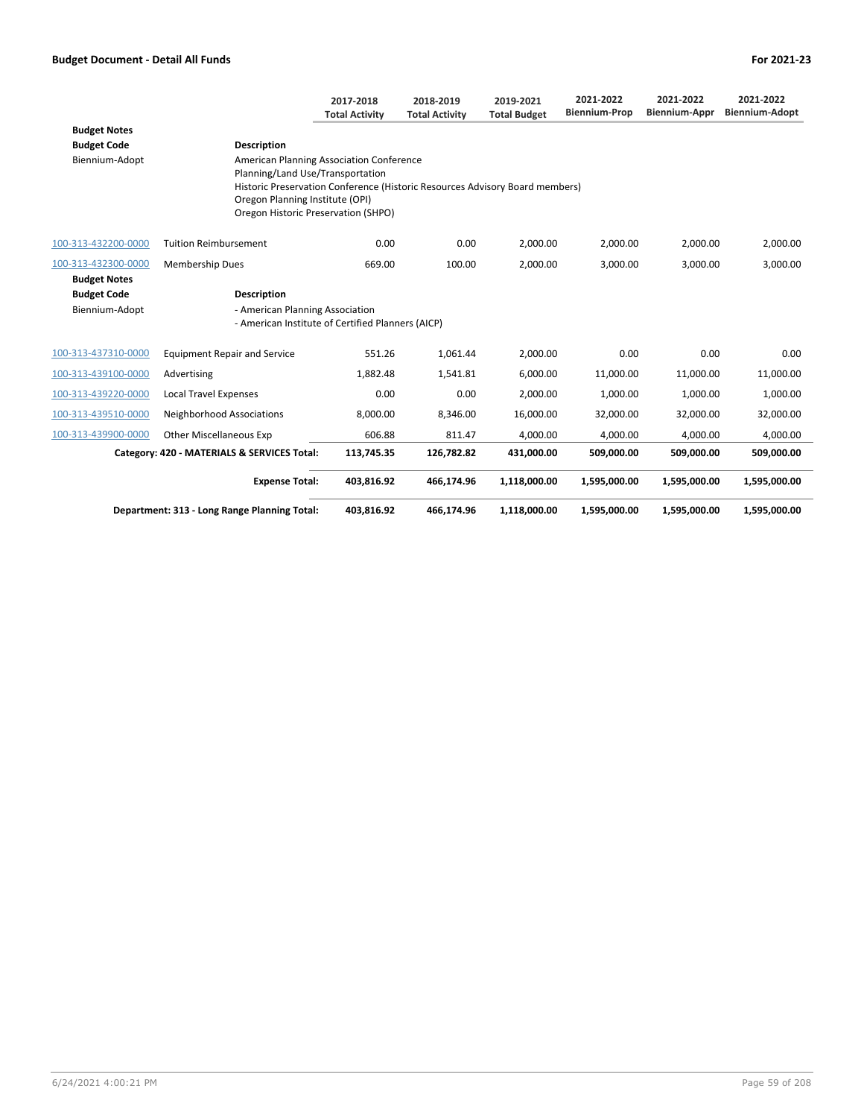|                     |                                                                                      | 2017-2018<br><b>Total Activity</b>                                                                                                                                                         | 2018-2019<br><b>Total Activity</b> | 2019-2021<br><b>Total Budget</b> | 2021-2022<br><b>Biennium-Prop</b> | 2021-2022<br><b>Biennium-Appr</b> | 2021-2022<br><b>Biennium-Adopt</b> |  |  |  |
|---------------------|--------------------------------------------------------------------------------------|--------------------------------------------------------------------------------------------------------------------------------------------------------------------------------------------|------------------------------------|----------------------------------|-----------------------------------|-----------------------------------|------------------------------------|--|--|--|
| <b>Budget Notes</b> |                                                                                      |                                                                                                                                                                                            |                                    |                                  |                                   |                                   |                                    |  |  |  |
| <b>Budget Code</b>  | <b>Description</b>                                                                   |                                                                                                                                                                                            |                                    |                                  |                                   |                                   |                                    |  |  |  |
| Biennium-Adopt      | American Planning Association Conference                                             | Planning/Land Use/Transportation<br>Historic Preservation Conference (Historic Resources Advisory Board members)<br>Oregon Planning Institute (OPI)<br>Oregon Historic Preservation (SHPO) |                                    |                                  |                                   |                                   |                                    |  |  |  |
| 100-313-432200-0000 | <b>Tuition Reimbursement</b>                                                         | 0.00                                                                                                                                                                                       | 0.00                               | 2,000.00                         | 2,000.00                          | 2,000.00                          | 2,000.00                           |  |  |  |
| 100-313-432300-0000 | Membership Dues                                                                      | 669.00                                                                                                                                                                                     | 100.00                             | 2.000.00                         | 3.000.00                          | 3,000.00                          | 3,000.00                           |  |  |  |
| <b>Budget Notes</b> |                                                                                      |                                                                                                                                                                                            |                                    |                                  |                                   |                                   |                                    |  |  |  |
| <b>Budget Code</b>  | <b>Description</b>                                                                   |                                                                                                                                                                                            |                                    |                                  |                                   |                                   |                                    |  |  |  |
| Biennium-Adopt      | - American Planning Association<br>- American Institute of Certified Planners (AICP) |                                                                                                                                                                                            |                                    |                                  |                                   |                                   |                                    |  |  |  |
| 100-313-437310-0000 | <b>Equipment Repair and Service</b>                                                  | 551.26                                                                                                                                                                                     | 1,061.44                           | 2,000.00                         | 0.00                              | 0.00                              | 0.00                               |  |  |  |
| 100-313-439100-0000 | Advertising                                                                          | 1,882.48                                                                                                                                                                                   | 1,541.81                           | 6,000.00                         | 11,000.00                         | 11,000.00                         | 11,000.00                          |  |  |  |
| 100-313-439220-0000 | <b>Local Travel Expenses</b>                                                         | 0.00                                                                                                                                                                                       | 0.00                               | 2,000.00                         | 1,000.00                          | 1,000.00                          | 1,000.00                           |  |  |  |
| 100-313-439510-0000 | Neighborhood Associations                                                            | 8,000.00                                                                                                                                                                                   | 8,346.00                           | 16,000.00                        | 32,000.00                         | 32,000.00                         | 32,000.00                          |  |  |  |
| 100-313-439900-0000 | <b>Other Miscellaneous Exp</b>                                                       | 606.88                                                                                                                                                                                     | 811.47                             | 4.000.00                         | 4,000.00                          | 4,000.00                          | 4,000.00                           |  |  |  |
|                     | Category: 420 - MATERIALS & SERVICES Total:                                          | 113,745.35                                                                                                                                                                                 | 126,782.82                         | 431,000.00                       | 509,000.00                        | 509,000.00                        | 509,000.00                         |  |  |  |
|                     | <b>Expense Total:</b>                                                                | 403,816.92                                                                                                                                                                                 | 466,174.96                         | 1,118,000.00                     | 1,595,000.00                      | 1,595,000.00                      | 1,595,000.00                       |  |  |  |
|                     | Department: 313 - Long Range Planning Total:                                         | 403,816.92                                                                                                                                                                                 | 466,174.96                         | 1,118,000.00                     | 1,595,000.00                      | 1,595,000.00                      | 1,595,000.00                       |  |  |  |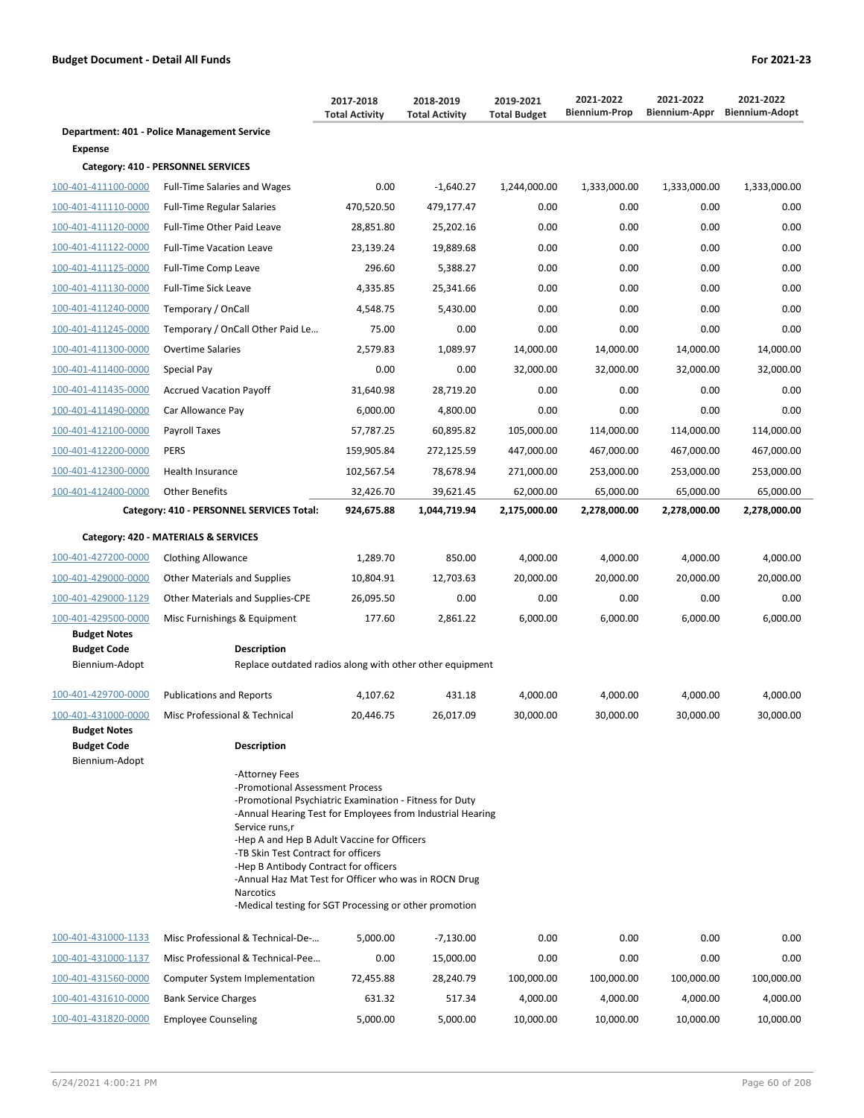|                                                             |                                                                                                                                                                                                                                                                                                                                                                                                                                                                    | 2017-2018<br><b>Total Activity</b> | 2018-2019<br><b>Total Activity</b> | 2019-2021<br><b>Total Budget</b> | 2021-2022<br><b>Biennium-Prop</b> | 2021-2022<br>Biennium-Appr | 2021-2022<br><b>Biennium-Adopt</b> |
|-------------------------------------------------------------|--------------------------------------------------------------------------------------------------------------------------------------------------------------------------------------------------------------------------------------------------------------------------------------------------------------------------------------------------------------------------------------------------------------------------------------------------------------------|------------------------------------|------------------------------------|----------------------------------|-----------------------------------|----------------------------|------------------------------------|
|                                                             | Department: 401 - Police Management Service                                                                                                                                                                                                                                                                                                                                                                                                                        |                                    |                                    |                                  |                                   |                            |                                    |
| Expense                                                     |                                                                                                                                                                                                                                                                                                                                                                                                                                                                    |                                    |                                    |                                  |                                   |                            |                                    |
|                                                             | Category: 410 - PERSONNEL SERVICES                                                                                                                                                                                                                                                                                                                                                                                                                                 |                                    |                                    |                                  |                                   |                            |                                    |
| 100-401-411100-0000                                         | <b>Full-Time Salaries and Wages</b>                                                                                                                                                                                                                                                                                                                                                                                                                                | 0.00                               | $-1,640.27$                        | 1,244,000.00                     | 1,333,000.00                      | 1,333,000.00               | 1,333,000.00                       |
| 100-401-411110-0000                                         | <b>Full-Time Regular Salaries</b>                                                                                                                                                                                                                                                                                                                                                                                                                                  | 470,520.50                         | 479,177.47                         | 0.00                             | 0.00                              | 0.00                       | 0.00                               |
| 100-401-411120-0000                                         | Full-Time Other Paid Leave                                                                                                                                                                                                                                                                                                                                                                                                                                         | 28,851.80                          | 25,202.16                          | 0.00                             | 0.00                              | 0.00                       | 0.00                               |
| 100-401-411122-0000                                         | <b>Full-Time Vacation Leave</b>                                                                                                                                                                                                                                                                                                                                                                                                                                    | 23,139.24                          | 19,889.68                          | 0.00                             | 0.00                              | 0.00                       | 0.00                               |
| 100-401-411125-0000                                         | Full-Time Comp Leave                                                                                                                                                                                                                                                                                                                                                                                                                                               | 296.60                             | 5,388.27                           | 0.00                             | 0.00                              | 0.00                       | 0.00                               |
| 100-401-411130-0000                                         | Full-Time Sick Leave                                                                                                                                                                                                                                                                                                                                                                                                                                               | 4,335.85                           | 25,341.66                          | 0.00                             | 0.00                              | 0.00                       | 0.00                               |
| 100-401-411240-0000                                         | Temporary / OnCall                                                                                                                                                                                                                                                                                                                                                                                                                                                 | 4,548.75                           | 5,430.00                           | 0.00                             | 0.00                              | 0.00                       | 0.00                               |
| 100-401-411245-0000                                         | Temporary / OnCall Other Paid Le                                                                                                                                                                                                                                                                                                                                                                                                                                   | 75.00                              | 0.00                               | 0.00                             | 0.00                              | 0.00                       | 0.00                               |
| 100-401-411300-0000                                         | <b>Overtime Salaries</b>                                                                                                                                                                                                                                                                                                                                                                                                                                           | 2,579.83                           | 1,089.97                           | 14,000.00                        | 14,000.00                         | 14,000.00                  | 14,000.00                          |
| 100-401-411400-0000                                         | Special Pay                                                                                                                                                                                                                                                                                                                                                                                                                                                        | 0.00                               | 0.00                               | 32,000.00                        | 32,000.00                         | 32,000.00                  | 32,000.00                          |
| 100-401-411435-0000                                         | <b>Accrued Vacation Payoff</b>                                                                                                                                                                                                                                                                                                                                                                                                                                     | 31,640.98                          | 28,719.20                          | 0.00                             | 0.00                              | 0.00                       | 0.00                               |
| 100-401-411490-0000                                         | Car Allowance Pay                                                                                                                                                                                                                                                                                                                                                                                                                                                  | 6,000.00                           | 4,800.00                           | 0.00                             | 0.00                              | 0.00                       | 0.00                               |
| 100-401-412100-0000                                         | Payroll Taxes                                                                                                                                                                                                                                                                                                                                                                                                                                                      | 57,787.25                          | 60,895.82                          | 105,000.00                       | 114,000.00                        | 114,000.00                 | 114,000.00                         |
| 100-401-412200-0000                                         | <b>PERS</b>                                                                                                                                                                                                                                                                                                                                                                                                                                                        | 159,905.84                         | 272,125.59                         | 447,000.00                       | 467,000.00                        | 467,000.00                 | 467,000.00                         |
| 100-401-412300-0000                                         | Health Insurance                                                                                                                                                                                                                                                                                                                                                                                                                                                   | 102,567.54                         | 78,678.94                          | 271,000.00                       | 253,000.00                        | 253,000.00                 | 253,000.00                         |
| 100-401-412400-0000                                         | <b>Other Benefits</b>                                                                                                                                                                                                                                                                                                                                                                                                                                              | 32,426.70                          | 39,621.45                          | 62,000.00                        | 65,000.00                         | 65,000.00                  | 65,000.00                          |
|                                                             | Category: 410 - PERSONNEL SERVICES Total:                                                                                                                                                                                                                                                                                                                                                                                                                          | 924,675.88                         | 1,044,719.94                       | 2,175,000.00                     | 2,278,000.00                      | 2,278,000.00               | 2,278,000.00                       |
|                                                             | Category: 420 - MATERIALS & SERVICES                                                                                                                                                                                                                                                                                                                                                                                                                               |                                    |                                    |                                  |                                   |                            |                                    |
| 100-401-427200-0000                                         | <b>Clothing Allowance</b>                                                                                                                                                                                                                                                                                                                                                                                                                                          | 1,289.70                           | 850.00                             | 4,000.00                         | 4,000.00                          | 4,000.00                   | 4,000.00                           |
| 100-401-429000-0000                                         | <b>Other Materials and Supplies</b>                                                                                                                                                                                                                                                                                                                                                                                                                                | 10,804.91                          | 12,703.63                          | 20,000.00                        | 20,000.00                         | 20,000.00                  | 20,000.00                          |
| 100-401-429000-1129                                         | Other Materials and Supplies-CPE                                                                                                                                                                                                                                                                                                                                                                                                                                   | 26,095.50                          | 0.00                               | 0.00                             | 0.00                              | 0.00                       | 0.00                               |
| 100-401-429500-0000                                         | Misc Furnishings & Equipment                                                                                                                                                                                                                                                                                                                                                                                                                                       | 177.60                             | 2,861.22                           | 6,000.00                         | 6,000.00                          | 6,000.00                   | 6,000.00                           |
| <b>Budget Notes</b>                                         |                                                                                                                                                                                                                                                                                                                                                                                                                                                                    |                                    |                                    |                                  |                                   |                            |                                    |
| <b>Budget Code</b><br>Biennium-Adopt                        | <b>Description</b><br>Replace outdated radios along with other other equipment                                                                                                                                                                                                                                                                                                                                                                                     |                                    |                                    |                                  |                                   |                            |                                    |
| 100-401-429700-0000                                         | <b>Publications and Reports</b>                                                                                                                                                                                                                                                                                                                                                                                                                                    | 4,107.62                           | 431.18                             | 4,000.00                         | 4,000.00                          | 4,000.00                   | 4,000.00                           |
| 100-401-431000-0000                                         | Misc Professional & Technical                                                                                                                                                                                                                                                                                                                                                                                                                                      | 20,446.75                          | 26,017.09                          | 30,000.00                        | 30,000.00                         | 30.000.00                  | 30.000.00                          |
| <b>Budget Notes</b><br><b>Budget Code</b><br>Biennium-Adopt | <b>Description</b>                                                                                                                                                                                                                                                                                                                                                                                                                                                 |                                    |                                    |                                  |                                   |                            |                                    |
|                                                             | -Attorney Fees<br>-Promotional Assessment Process<br>-Promotional Psychiatric Examination - Fitness for Duty<br>-Annual Hearing Test for Employees from Industrial Hearing<br>Service runs,r<br>-Hep A and Hep B Adult Vaccine for Officers<br>-TB Skin Test Contract for officers<br>-Hep B Antibody Contract for officers<br>-Annual Haz Mat Test for Officer who was in ROCN Drug<br><b>Narcotics</b><br>-Medical testing for SGT Processing or other promotion |                                    |                                    |                                  |                                   |                            |                                    |
| 100-401-431000-1133                                         | Misc Professional & Technical-De-                                                                                                                                                                                                                                                                                                                                                                                                                                  | 5,000.00                           | $-7,130.00$                        | 0.00                             | 0.00                              | 0.00                       | 0.00                               |
| 100-401-431000-1137                                         | Misc Professional & Technical-Pee                                                                                                                                                                                                                                                                                                                                                                                                                                  | 0.00                               | 15,000.00                          | 0.00                             | 0.00                              | 0.00                       | 0.00                               |
| 100-401-431560-0000                                         | Computer System Implementation                                                                                                                                                                                                                                                                                                                                                                                                                                     | 72,455.88                          | 28,240.79                          | 100,000.00                       | 100,000.00                        | 100,000.00                 | 100,000.00                         |
| 100-401-431610-0000                                         | <b>Bank Service Charges</b>                                                                                                                                                                                                                                                                                                                                                                                                                                        | 631.32                             | 517.34                             | 4,000.00                         | 4,000.00                          | 4,000.00                   | 4,000.00                           |
| 100-401-431820-0000                                         | <b>Employee Counseling</b>                                                                                                                                                                                                                                                                                                                                                                                                                                         | 5,000.00                           | 5,000.00                           | 10,000.00                        | 10,000.00                         | 10,000.00                  | 10,000.00                          |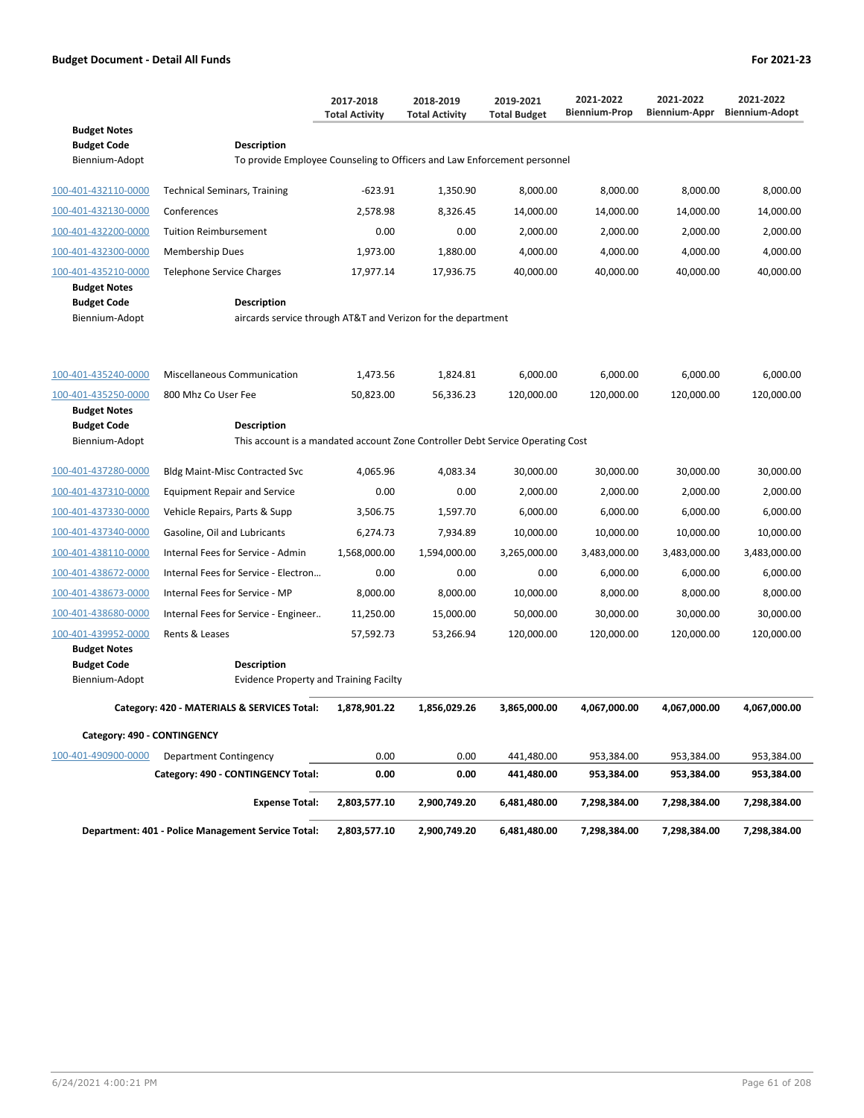|                                                             |                                                                                         | 2017-2018<br><b>Total Activity</b>                                             | 2018-2019<br><b>Total Activity</b> | 2019-2021<br><b>Total Budget</b> | 2021-2022<br><b>Biennium-Prop</b> | 2021-2022<br>Biennium-Appr | 2021-2022<br><b>Biennium-Adopt</b> |  |  |  |  |
|-------------------------------------------------------------|-----------------------------------------------------------------------------------------|--------------------------------------------------------------------------------|------------------------------------|----------------------------------|-----------------------------------|----------------------------|------------------------------------|--|--|--|--|
| <b>Budget Notes</b><br><b>Budget Code</b><br>Biennium-Adopt | Description<br>To provide Employee Counseling to Officers and Law Enforcement personnel |                                                                                |                                    |                                  |                                   |                            |                                    |  |  |  |  |
| 100-401-432110-0000                                         | <b>Technical Seminars, Training</b>                                                     | -623.91                                                                        | 1,350.90                           | 8,000.00                         | 8,000.00                          | 8,000.00                   | 8,000.00                           |  |  |  |  |
| 100-401-432130-0000                                         | Conferences                                                                             | 2,578.98                                                                       | 8,326.45                           | 14,000.00                        | 14,000.00                         | 14,000.00                  | 14,000.00                          |  |  |  |  |
| 100-401-432200-0000                                         | <b>Tuition Reimbursement</b>                                                            | 0.00                                                                           | 0.00                               | 2,000.00                         | 2,000.00                          | 2,000.00                   | 2,000.00                           |  |  |  |  |
| 100-401-432300-0000                                         | <b>Membership Dues</b>                                                                  | 1,973.00                                                                       | 1,880.00                           | 4,000.00                         | 4,000.00                          | 4,000.00                   | 4,000.00                           |  |  |  |  |
| 100-401-435210-0000                                         | <b>Telephone Service Charges</b>                                                        | 17,977.14                                                                      | 17,936.75                          | 40,000.00                        | 40,000.00                         | 40,000.00                  | 40,000.00                          |  |  |  |  |
| <b>Budget Notes</b><br><b>Budget Code</b><br>Biennium-Adopt | <b>Description</b><br>aircards service through AT&T and Verizon for the department      |                                                                                |                                    |                                  |                                   |                            |                                    |  |  |  |  |
| 100-401-435240-0000                                         | <b>Miscellaneous Communication</b>                                                      | 1,473.56                                                                       | 1,824.81                           | 6,000.00                         | 6,000.00                          | 6,000.00                   | 6,000.00                           |  |  |  |  |
| 100-401-435250-0000                                         | 800 Mhz Co User Fee                                                                     | 50,823.00                                                                      | 56,336.23                          | 120,000.00                       | 120,000.00                        | 120,000.00                 | 120,000.00                         |  |  |  |  |
| <b>Budget Notes</b><br><b>Budget Code</b><br>Biennium-Adopt | <b>Description</b>                                                                      | This account is a mandated account Zone Controller Debt Service Operating Cost |                                    |                                  |                                   |                            |                                    |  |  |  |  |
| 100-401-437280-0000                                         | <b>Bldg Maint-Misc Contracted Svc</b>                                                   | 4,065.96                                                                       | 4,083.34                           | 30,000.00                        | 30,000.00                         | 30,000.00                  | 30,000.00                          |  |  |  |  |
| 100-401-437310-0000                                         | <b>Equipment Repair and Service</b>                                                     | 0.00                                                                           | 0.00                               | 2,000.00                         | 2,000.00                          | 2,000.00                   | 2,000.00                           |  |  |  |  |
| 100-401-437330-0000                                         | Vehicle Repairs, Parts & Supp                                                           | 3,506.75                                                                       | 1,597.70                           | 6,000.00                         | 6,000.00                          | 6,000.00                   | 6,000.00                           |  |  |  |  |
| 100-401-437340-0000                                         | Gasoline, Oil and Lubricants                                                            | 6,274.73                                                                       | 7,934.89                           | 10,000.00                        | 10,000.00                         | 10,000.00                  | 10,000.00                          |  |  |  |  |
| 100-401-438110-0000                                         | Internal Fees for Service - Admin                                                       | 1,568,000.00                                                                   | 1,594,000.00                       | 3,265,000.00                     | 3,483,000.00                      | 3,483,000.00               | 3,483,000.00                       |  |  |  |  |
| 100-401-438672-0000                                         | Internal Fees for Service - Electron                                                    | 0.00                                                                           | 0.00                               | 0.00                             | 6,000.00                          | 6,000.00                   | 6,000.00                           |  |  |  |  |
| 100-401-438673-0000                                         | Internal Fees for Service - MP                                                          | 8,000.00                                                                       | 8,000.00                           | 10,000.00                        | 8,000.00                          | 8,000.00                   | 8,000.00                           |  |  |  |  |
| 100-401-438680-0000                                         | Internal Fees for Service - Engineer                                                    | 11,250.00                                                                      | 15,000.00                          | 50,000.00                        | 30,000.00                         | 30,000.00                  | 30,000.00                          |  |  |  |  |
| 100-401-439952-0000                                         | Rents & Leases                                                                          | 57,592.73                                                                      | 53,266.94                          | 120,000.00                       | 120,000.00                        | 120,000.00                 | 120,000.00                         |  |  |  |  |
| <b>Budget Notes</b><br><b>Budget Code</b><br>Biennium-Adopt | <b>Description</b><br><b>Evidence Property and Training Facilty</b>                     |                                                                                |                                    |                                  |                                   |                            |                                    |  |  |  |  |
|                                                             | Category: 420 - MATERIALS & SERVICES Total:                                             | 1,878,901.22                                                                   | 1,856,029.26                       | 3,865,000.00                     | 4,067,000.00                      | 4,067,000.00               | 4,067,000.00                       |  |  |  |  |
| Category: 490 - CONTINGENCY                                 |                                                                                         |                                                                                |                                    |                                  |                                   |                            |                                    |  |  |  |  |
| 100-401-490900-0000                                         | Department Contingency                                                                  | 0.00                                                                           | 0.00                               | 441,480.00                       | 953,384.00                        | 953,384.00                 | 953,384.00                         |  |  |  |  |
|                                                             | Category: 490 - CONTINGENCY Total:                                                      | 0.00                                                                           | 0.00                               | 441,480.00                       | 953,384.00                        | 953,384.00                 | 953,384.00                         |  |  |  |  |
|                                                             | <b>Expense Total:</b>                                                                   | 2,803,577.10                                                                   | 2,900,749.20                       | 6,481,480.00                     | 7,298,384.00                      | 7,298,384.00               | 7,298,384.00                       |  |  |  |  |
|                                                             | Department: 401 - Police Management Service Total:                                      | 2,803,577.10                                                                   | 2,900,749.20                       | 6,481,480.00                     | 7,298,384.00                      | 7,298,384.00               | 7,298,384.00                       |  |  |  |  |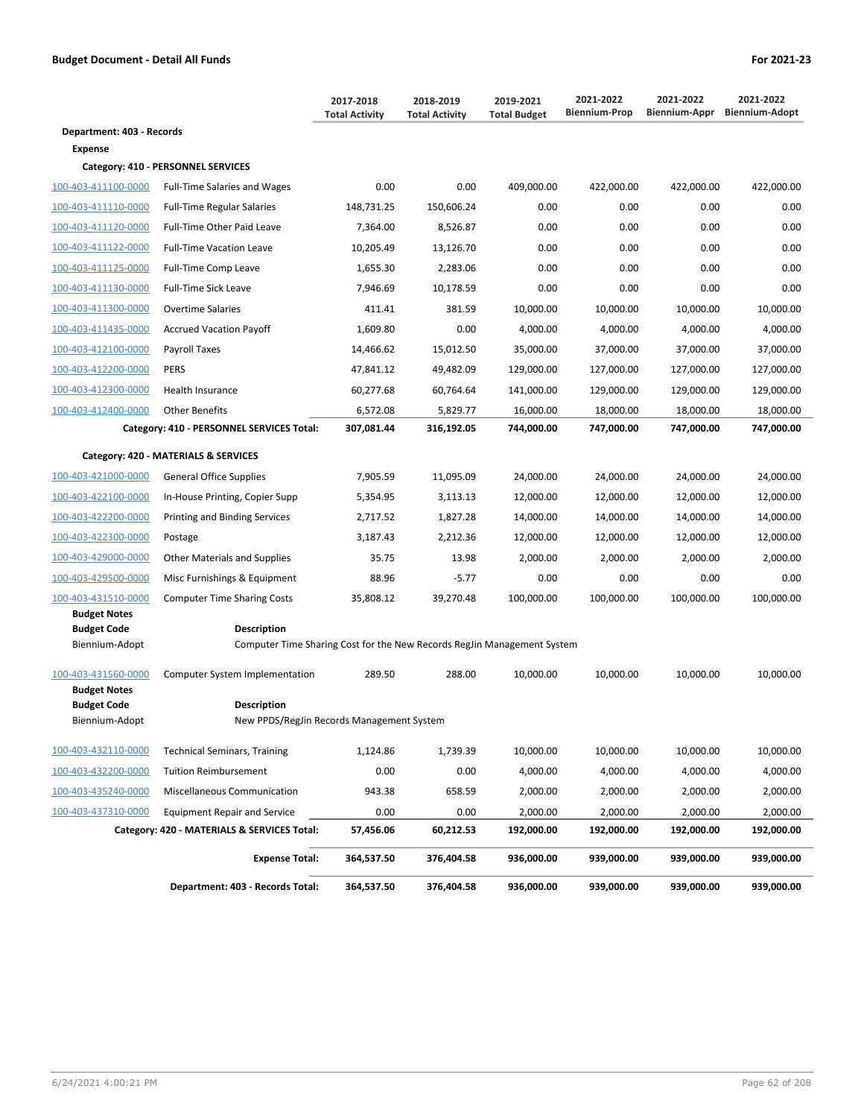|                                                             |                                                                                               | 2017-2018<br><b>Total Activity</b> | 2018-2019<br><b>Total Activity</b> | 2019-2021<br><b>Total Budget</b> | 2021-2022<br><b>Biennium-Prop</b> | 2021-2022<br>Biennium-Appr | 2021-2022<br><b>Biennium-Adopt</b> |
|-------------------------------------------------------------|-----------------------------------------------------------------------------------------------|------------------------------------|------------------------------------|----------------------------------|-----------------------------------|----------------------------|------------------------------------|
| Department: 403 - Records                                   |                                                                                               |                                    |                                    |                                  |                                   |                            |                                    |
| <b>Expense</b>                                              |                                                                                               |                                    |                                    |                                  |                                   |                            |                                    |
|                                                             | Category: 410 - PERSONNEL SERVICES                                                            |                                    |                                    |                                  |                                   |                            |                                    |
| 100-403-411100-0000                                         | <b>Full-Time Salaries and Wages</b>                                                           | 0.00                               | 0.00                               | 409,000.00                       | 422,000.00                        | 422,000.00                 | 422,000.00                         |
| 100-403-411110-0000                                         | <b>Full-Time Regular Salaries</b>                                                             | 148,731.25                         | 150,606.24                         | 0.00                             | 0.00                              | 0.00                       | 0.00                               |
| 100-403-411120-0000                                         | Full-Time Other Paid Leave                                                                    | 7,364.00                           | 8,526.87                           | 0.00                             | 0.00                              | 0.00                       | 0.00                               |
| 100-403-411122-0000                                         | <b>Full-Time Vacation Leave</b>                                                               | 10,205.49                          | 13,126.70                          | 0.00                             | 0.00                              | 0.00                       | 0.00                               |
| 100-403-411125-0000                                         | Full-Time Comp Leave                                                                          | 1,655.30                           | 2,283.06                           | 0.00                             | 0.00                              | 0.00                       | 0.00                               |
| 100-403-411130-0000                                         | Full-Time Sick Leave                                                                          | 7,946.69                           | 10,178.59                          | 0.00                             | 0.00                              | 0.00                       | 0.00                               |
| 100-403-411300-0000                                         | <b>Overtime Salaries</b>                                                                      | 411.41                             | 381.59                             | 10,000.00                        | 10,000.00                         | 10,000.00                  | 10,000.00                          |
| 100-403-411435-0000                                         | <b>Accrued Vacation Payoff</b>                                                                | 1,609.80                           | 0.00                               | 4,000.00                         | 4,000.00                          | 4,000.00                   | 4,000.00                           |
| 100-403-412100-0000                                         | Payroll Taxes                                                                                 | 14,466.62                          | 15,012.50                          | 35,000.00                        | 37,000.00                         | 37,000.00                  | 37,000.00                          |
| 100-403-412200-0000                                         | <b>PERS</b>                                                                                   | 47,841.12                          | 49,482.09                          | 129,000.00                       | 127,000.00                        | 127,000.00                 | 127,000.00                         |
| 100-403-412300-0000                                         | <b>Health Insurance</b>                                                                       | 60,277.68                          | 60,764.64                          | 141,000.00                       | 129,000.00                        | 129,000.00                 | 129,000.00                         |
| 100-403-412400-0000                                         | <b>Other Benefits</b>                                                                         | 6,572.08                           | 5,829.77                           | 16,000.00                        | 18,000.00                         | 18,000.00                  | 18,000.00                          |
|                                                             | Category: 410 - PERSONNEL SERVICES Total:                                                     | 307,081.44                         | 316,192.05                         | 744,000.00                       | 747,000.00                        | 747,000.00                 | 747,000.00                         |
|                                                             | Category: 420 - MATERIALS & SERVICES                                                          |                                    |                                    |                                  |                                   |                            |                                    |
| 100-403-421000-0000                                         | <b>General Office Supplies</b>                                                                | 7,905.59                           | 11,095.09                          | 24,000.00                        | 24,000.00                         | 24,000.00                  | 24,000.00                          |
| 100-403-422100-0000                                         | In-House Printing, Copier Supp                                                                | 5,354.95                           | 3,113.13                           | 12,000.00                        | 12,000.00                         | 12,000.00                  | 12,000.00                          |
| 100-403-422200-0000                                         | Printing and Binding Services                                                                 | 2,717.52                           | 1,827.28                           | 14,000.00                        | 14,000.00                         | 14,000.00                  | 14,000.00                          |
| 100-403-422300-0000                                         | Postage                                                                                       | 3,187.43                           | 2,212.36                           | 12,000.00                        | 12,000.00                         | 12,000.00                  | 12,000.00                          |
| 100-403-429000-0000                                         | Other Materials and Supplies                                                                  | 35.75                              | 13.98                              | 2,000.00                         | 2,000.00                          | 2,000.00                   | 2,000.00                           |
| 100-403-429500-0000                                         | Misc Furnishings & Equipment                                                                  | 88.96                              | $-5.77$                            | 0.00                             | 0.00                              | 0.00                       | 0.00                               |
| 100-403-431510-0000                                         | <b>Computer Time Sharing Costs</b>                                                            | 35,808.12                          | 39,270.48                          | 100,000.00                       | 100,000.00                        | 100,000.00                 | 100,000.00                         |
| <b>Budget Notes</b><br><b>Budget Code</b><br>Biennium-Adopt | <b>Description</b><br>Computer Time Sharing Cost for the New Records RegJin Management System |                                    |                                    |                                  |                                   |                            |                                    |
| 100-403-431560-0000<br><b>Budget Notes</b>                  | Computer System Implementation                                                                | 289.50                             | 288.00                             | 10,000.00                        | 10,000.00                         | 10,000.00                  | 10,000.00                          |
| <b>Budget Code</b><br>Biennium-Adopt                        | <b>Description</b><br>New PPDS/RegJin Records Management System                               |                                    |                                    |                                  |                                   |                            |                                    |
| 100-403-432110-0000                                         | <b>Technical Seminars, Training</b>                                                           | 1,124.86                           | 1,739.39                           | 10,000.00                        | 10,000.00                         | 10,000.00                  | 10,000.00                          |
| 100-403-432200-0000                                         | <b>Tuition Reimbursement</b>                                                                  | 0.00                               | 0.00                               | 4,000.00                         | 4,000.00                          | 4,000.00                   | 4,000.00                           |
| 100-403-435240-0000                                         | Miscellaneous Communication                                                                   | 943.38                             | 658.59                             | 2,000.00                         | 2,000.00                          | 2,000.00                   | 2,000.00                           |
| 100-403-437310-0000                                         | <b>Equipment Repair and Service</b>                                                           | 0.00                               | 0.00                               | 2,000.00                         | 2,000.00                          | 2,000.00                   | 2,000.00                           |
|                                                             | Category: 420 - MATERIALS & SERVICES Total:                                                   | 57,456.06                          | 60,212.53                          | 192,000.00                       | 192,000.00                        | 192,000.00                 | 192,000.00                         |
|                                                             | <b>Expense Total:</b>                                                                         | 364,537.50                         | 376,404.58                         | 936,000.00                       | 939,000.00                        | 939,000.00                 | 939,000.00                         |
|                                                             | Department: 403 - Records Total:                                                              | 364,537.50                         | 376,404.58                         | 936,000.00                       | 939,000.00                        | 939,000.00                 | 939,000.00                         |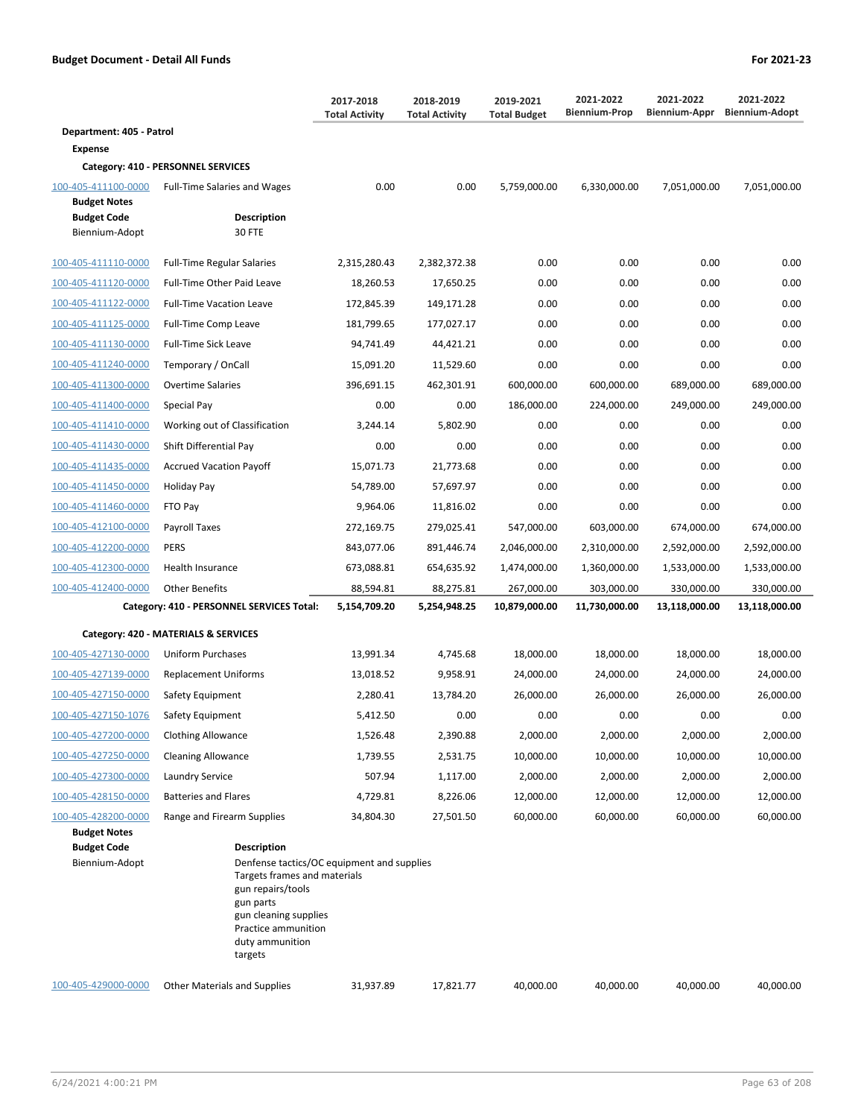|                                            |                                                                                                                                                             | 2017-2018<br><b>Total Activity</b> | 2018-2019<br><b>Total Activity</b> | 2019-2021<br><b>Total Budget</b> | 2021-2022<br><b>Biennium-Prop</b> | 2021-2022<br>Biennium-Appr | 2021-2022<br><b>Biennium-Adopt</b> |
|--------------------------------------------|-------------------------------------------------------------------------------------------------------------------------------------------------------------|------------------------------------|------------------------------------|----------------------------------|-----------------------------------|----------------------------|------------------------------------|
| Department: 405 - Patrol                   |                                                                                                                                                             |                                    |                                    |                                  |                                   |                            |                                    |
| Expense                                    |                                                                                                                                                             |                                    |                                    |                                  |                                   |                            |                                    |
|                                            | Category: 410 - PERSONNEL SERVICES                                                                                                                          |                                    |                                    |                                  |                                   |                            |                                    |
| 100-405-411100-0000<br><b>Budget Notes</b> | <b>Full-Time Salaries and Wages</b>                                                                                                                         | 0.00                               | 0.00                               | 5,759,000.00                     | 6,330,000.00                      | 7,051,000.00               | 7,051,000.00                       |
| <b>Budget Code</b><br>Biennium-Adopt       | <b>Description</b><br>30 FTE                                                                                                                                |                                    |                                    |                                  |                                   |                            |                                    |
| 100-405-411110-0000                        | <b>Full-Time Regular Salaries</b>                                                                                                                           | 2,315,280.43                       | 2,382,372.38                       | 0.00                             | 0.00                              | 0.00                       | 0.00                               |
| 100-405-411120-0000                        | Full-Time Other Paid Leave                                                                                                                                  | 18,260.53                          | 17,650.25                          | 0.00                             | 0.00                              | 0.00                       | 0.00                               |
| 100-405-411122-0000                        | <b>Full-Time Vacation Leave</b>                                                                                                                             | 172,845.39                         | 149,171.28                         | 0.00                             | 0.00                              | 0.00                       | 0.00                               |
| 100-405-411125-0000                        | Full-Time Comp Leave                                                                                                                                        | 181,799.65                         | 177,027.17                         | 0.00                             | 0.00                              | 0.00                       | 0.00                               |
| 100-405-411130-0000                        | <b>Full-Time Sick Leave</b>                                                                                                                                 | 94,741.49                          | 44,421.21                          | 0.00                             | 0.00                              | 0.00                       | 0.00                               |
| 100-405-411240-0000                        | Temporary / OnCall                                                                                                                                          | 15,091.20                          | 11,529.60                          | 0.00                             | 0.00                              | 0.00                       | 0.00                               |
| 100-405-411300-0000                        | Overtime Salaries                                                                                                                                           | 396,691.15                         | 462,301.91                         | 600,000.00                       | 600,000.00                        | 689,000.00                 | 689,000.00                         |
| 100-405-411400-0000                        | Special Pay                                                                                                                                                 | 0.00                               | 0.00                               | 186,000.00                       | 224,000.00                        | 249,000.00                 | 249,000.00                         |
| 100-405-411410-0000                        | Working out of Classification                                                                                                                               | 3,244.14                           | 5,802.90                           | 0.00                             | 0.00                              | 0.00                       | 0.00                               |
| 100-405-411430-0000                        | Shift Differential Pay                                                                                                                                      | 0.00                               | 0.00                               | 0.00                             | 0.00                              | 0.00                       | 0.00                               |
| 100-405-411435-0000                        | <b>Accrued Vacation Payoff</b>                                                                                                                              | 15,071.73                          | 21,773.68                          | 0.00                             | 0.00                              | 0.00                       | 0.00                               |
| 100-405-411450-0000                        | Holiday Pay                                                                                                                                                 | 54,789.00                          | 57,697.97                          | 0.00                             | 0.00                              | 0.00                       | 0.00                               |
| 100-405-411460-0000                        | FTO Pay                                                                                                                                                     | 9,964.06                           | 11,816.02                          | 0.00                             | 0.00                              | 0.00                       | 0.00                               |
| 100-405-412100-0000                        | Payroll Taxes                                                                                                                                               | 272,169.75                         | 279,025.41                         | 547,000.00                       | 603,000.00                        | 674,000.00                 | 674,000.00                         |
| 100-405-412200-0000                        | <b>PERS</b>                                                                                                                                                 | 843,077.06                         | 891,446.74                         | 2,046,000.00                     | 2,310,000.00                      | 2,592,000.00               | 2,592,000.00                       |
| 100-405-412300-0000                        | Health Insurance                                                                                                                                            | 673,088.81                         | 654,635.92                         | 1,474,000.00                     | 1,360,000.00                      | 1,533,000.00               | 1,533,000.00                       |
| 100-405-412400-0000                        | <b>Other Benefits</b>                                                                                                                                       | 88,594.81                          | 88,275.81                          | 267,000.00                       | 303,000.00                        | 330,000.00                 | 330,000.00                         |
|                                            | Category: 410 - PERSONNEL SERVICES Total:                                                                                                                   | 5,154,709.20                       | 5,254,948.25                       | 10,879,000.00                    | 11,730,000.00                     | 13,118,000.00              | 13,118,000.00                      |
|                                            | Category: 420 - MATERIALS & SERVICES                                                                                                                        |                                    |                                    |                                  |                                   |                            |                                    |
| 100-405-427130-0000                        | <b>Uniform Purchases</b>                                                                                                                                    | 13,991.34                          | 4,745.68                           | 18,000.00                        | 18,000.00                         | 18,000.00                  | 18,000.00                          |
| 100-405-427139-0000                        | <b>Replacement Uniforms</b>                                                                                                                                 | 13,018.52                          | 9,958.91                           | 24,000.00                        | 24,000.00                         | 24.000.00                  | 24,000.00                          |
| 100-405-427150-0000                        | Safety Equipment                                                                                                                                            | 2,280.41                           | 13,784.20                          | 26,000.00                        | 26,000.00                         | 26,000.00                  | 26,000.00                          |
| 100-405-427150-1076                        | Safety Equipment                                                                                                                                            | 5,412.50                           | 0.00                               | 0.00                             | 0.00                              | 0.00                       | 0.00                               |
| 100-405-427200-0000                        | <b>Clothing Allowance</b>                                                                                                                                   | 1,526.48                           | 2,390.88                           | 2,000.00                         | 2,000.00                          | 2,000.00                   | 2,000.00                           |
| 100-405-427250-0000                        | <b>Cleaning Allowance</b>                                                                                                                                   | 1,739.55                           | 2,531.75                           | 10,000.00                        | 10,000.00                         | 10,000.00                  | 10,000.00                          |
| 100-405-427300-0000                        | Laundry Service                                                                                                                                             | 507.94                             | 1,117.00                           | 2,000.00                         | 2,000.00                          | 2,000.00                   | 2,000.00                           |
| 100-405-428150-0000                        | <b>Batteries and Flares</b>                                                                                                                                 | 4,729.81                           | 8,226.06                           | 12,000.00                        | 12,000.00                         | 12,000.00                  | 12,000.00                          |
| 100-405-428200-0000                        | Range and Firearm Supplies                                                                                                                                  | 34,804.30                          | 27,501.50                          | 60,000.00                        | 60,000.00                         | 60,000.00                  | 60,000.00                          |
| <b>Budget Notes</b>                        |                                                                                                                                                             |                                    |                                    |                                  |                                   |                            |                                    |
| <b>Budget Code</b><br>Biennium-Adopt       | <b>Description</b><br>Denfense tactics/OC equipment and supplies<br>Targets frames and materials<br>gun repairs/tools<br>gun parts<br>gun cleaning supplies |                                    |                                    |                                  |                                   |                            |                                    |

100-405-429000-0000 Other Materials and Supplies 31,937.89 17,821.77 40,000.00 40,000.00 40,000.00 40,000.00

Practice ammunition duty ammunition targets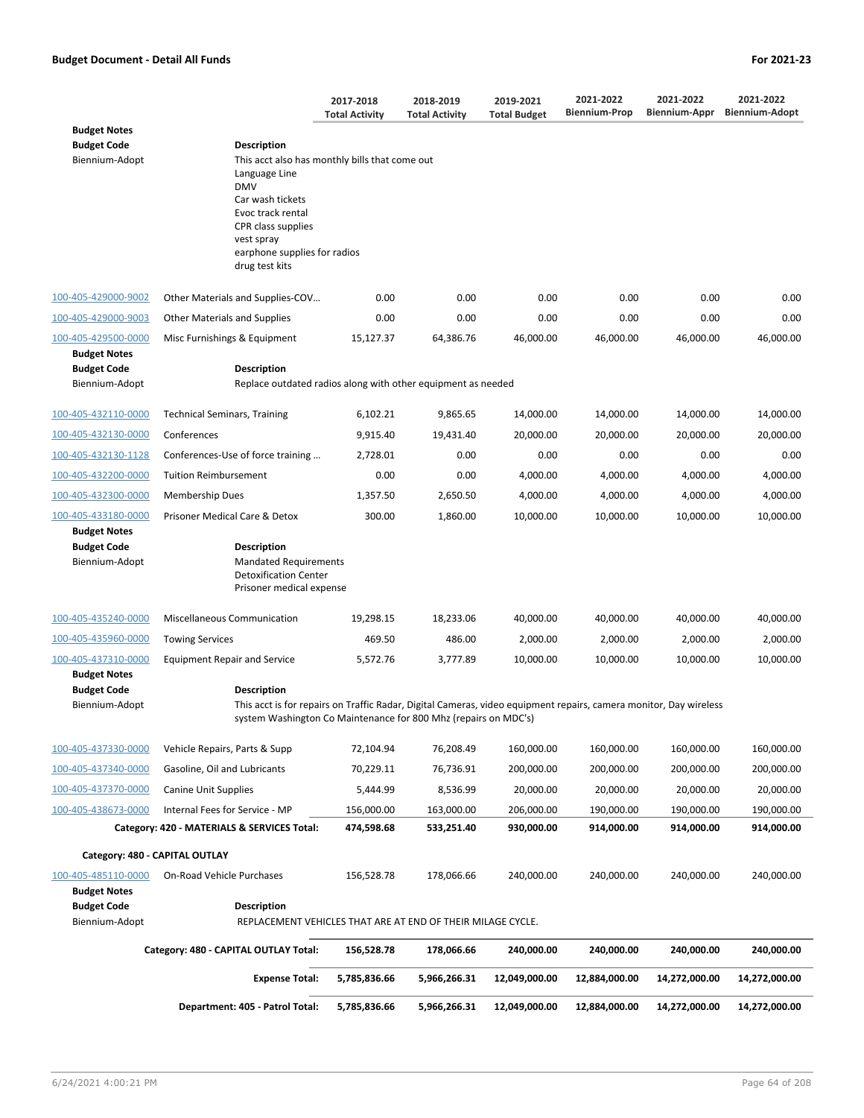|                                                             |                                                                                                                                                                                                              | 2017-2018<br><b>Total Activity</b> | 2018-2019<br><b>Total Activity</b> | 2019-2021<br><b>Total Budget</b> | 2021-2022<br><b>Biennium-Prop</b> | 2021-2022<br>Biennium-Appr | 2021-2022<br><b>Biennium-Adopt</b> |
|-------------------------------------------------------------|--------------------------------------------------------------------------------------------------------------------------------------------------------------------------------------------------------------|------------------------------------|------------------------------------|----------------------------------|-----------------------------------|----------------------------|------------------------------------|
| <b>Budget Notes</b>                                         |                                                                                                                                                                                                              |                                    |                                    |                                  |                                   |                            |                                    |
| <b>Budget Code</b>                                          | Description                                                                                                                                                                                                  |                                    |                                    |                                  |                                   |                            |                                    |
| Biennium-Adopt                                              | This acct also has monthly bills that come out<br>Language Line<br><b>DMV</b><br>Car wash tickets<br>Evoc track rental<br>CPR class supplies<br>vest spray<br>earphone supplies for radios<br>drug test kits |                                    |                                    |                                  |                                   |                            |                                    |
| 100-405-429000-9002                                         | Other Materials and Supplies-COV                                                                                                                                                                             | 0.00                               | 0.00                               | 0.00                             | 0.00                              | 0.00                       | 0.00                               |
| 100-405-429000-9003                                         | <b>Other Materials and Supplies</b>                                                                                                                                                                          | 0.00                               | 0.00                               | 0.00                             | 0.00                              | 0.00                       | 0.00                               |
| 100-405-429500-0000                                         | Misc Furnishings & Equipment                                                                                                                                                                                 | 15,127.37                          | 64,386.76                          | 46,000.00                        | 46,000.00                         | 46,000.00                  | 46,000.00                          |
| <b>Budget Notes</b><br><b>Budget Code</b>                   | Description                                                                                                                                                                                                  |                                    |                                    |                                  |                                   |                            |                                    |
| Biennium-Adopt                                              | Replace outdated radios along with other equipment as needed                                                                                                                                                 |                                    |                                    |                                  |                                   |                            |                                    |
| 100-405-432110-0000                                         | <b>Technical Seminars, Training</b>                                                                                                                                                                          | 6,102.21                           | 9,865.65                           | 14,000.00                        | 14,000.00                         | 14,000.00                  | 14,000.00                          |
| 100-405-432130-0000                                         | Conferences                                                                                                                                                                                                  | 9,915.40                           | 19,431.40                          | 20,000.00                        | 20,000.00                         | 20,000.00                  | 20,000.00                          |
| 100-405-432130-1128                                         | Conferences-Use of force training                                                                                                                                                                            | 2,728.01                           | 0.00                               | 0.00                             | 0.00                              | 0.00                       | 0.00                               |
| 100-405-432200-0000                                         | <b>Tuition Reimbursement</b>                                                                                                                                                                                 | 0.00                               | 0.00                               | 4,000.00                         | 4,000.00                          | 4,000.00                   | 4,000.00                           |
| 100-405-432300-0000                                         | <b>Membership Dues</b>                                                                                                                                                                                       | 1,357.50                           | 2,650.50                           | 4,000.00                         | 4,000.00                          | 4,000.00                   | 4,000.00                           |
| 100-405-433180-0000<br><b>Budget Notes</b>                  | Prisoner Medical Care & Detox                                                                                                                                                                                | 300.00                             | 1,860.00                           | 10,000.00                        | 10,000.00                         | 10,000.00                  | 10,000.00                          |
| <b>Budget Code</b><br>Biennium-Adopt                        | <b>Description</b><br><b>Mandated Requirements</b><br><b>Detoxification Center</b><br>Prisoner medical expense                                                                                               |                                    |                                    |                                  |                                   |                            |                                    |
| 100-405-435240-0000                                         | Miscellaneous Communication                                                                                                                                                                                  | 19,298.15                          | 18,233.06                          | 40,000.00                        | 40,000.00                         | 40,000.00                  | 40,000.00                          |
| 100-405-435960-0000                                         | <b>Towing Services</b>                                                                                                                                                                                       | 469.50                             | 486.00                             | 2,000.00                         | 2,000.00                          | 2,000.00                   | 2,000.00                           |
| 100-405-437310-0000<br><b>Budget Notes</b>                  | <b>Equipment Repair and Service</b>                                                                                                                                                                          | 5,572.76                           | 3,777.89                           | 10,000.00                        | 10,000.00                         | 10,000.00                  | 10,000.00                          |
| <b>Budget Code</b>                                          | <b>Description</b>                                                                                                                                                                                           |                                    |                                    |                                  |                                   |                            |                                    |
| Biennium-Adopt                                              | This acct is for repairs on Traffic Radar, Digital Cameras, video equipment repairs, camera monitor, Day wireless<br>system Washington Co Maintenance for 800 Mhz (repairs on MDC's)                         |                                    |                                    |                                  |                                   |                            |                                    |
| 100-405-437330-0000                                         | Vehicle Repairs, Parts & Supp                                                                                                                                                                                | 72,104.94                          | 76,208.49                          | 160,000.00                       | 160,000.00                        | 160,000.00                 | 160,000.00                         |
| 100-405-437340-0000                                         | Gasoline, Oil and Lubricants                                                                                                                                                                                 | 70,229.11                          | 76,736.91                          | 200,000.00                       | 200,000.00                        | 200,000.00                 | 200,000.00                         |
| 100-405-437370-0000                                         | Canine Unit Supplies                                                                                                                                                                                         | 5,444.99                           | 8,536.99                           | 20,000.00                        | 20,000.00                         | 20,000.00                  | 20,000.00                          |
| 100-405-438673-0000                                         | Internal Fees for Service - MP                                                                                                                                                                               | 156,000.00                         | 163,000.00                         | 206,000.00                       | 190,000.00                        | 190,000.00                 | 190,000.00                         |
|                                                             | Category: 420 - MATERIALS & SERVICES Total:                                                                                                                                                                  | 474,598.68                         | 533,251.40                         | 930,000.00                       | 914,000.00                        | 914,000.00                 | 914,000.00                         |
|                                                             | Category: 480 - CAPITAL OUTLAY                                                                                                                                                                               |                                    |                                    |                                  |                                   |                            |                                    |
| 100-405-485110-0000                                         | On-Road Vehicle Purchases                                                                                                                                                                                    | 156,528.78                         | 178,066.66                         | 240,000.00                       | 240,000.00                        | 240,000.00                 | 240,000.00                         |
| <b>Budget Notes</b><br><b>Budget Code</b><br>Biennium-Adopt | Description<br>REPLACEMENT VEHICLES THAT ARE AT END OF THEIR MILAGE CYCLE.                                                                                                                                   |                                    |                                    |                                  |                                   |                            |                                    |
|                                                             |                                                                                                                                                                                                              |                                    |                                    |                                  |                                   |                            |                                    |
|                                                             | Category: 480 - CAPITAL OUTLAY Total:                                                                                                                                                                        | 156,528.78                         | 178,066.66                         | 240,000.00                       | 240,000.00                        | 240,000.00                 | 240,000.00                         |
|                                                             | <b>Expense Total:</b>                                                                                                                                                                                        | 5,785,836.66                       | 5,966,266.31                       | 12,049,000.00                    | 12,884,000.00                     | 14,272,000.00              | 14,272,000.00                      |
|                                                             | Department: 405 - Patrol Total:                                                                                                                                                                              | 5,785,836.66                       | 5,966,266.31                       | 12,049,000.00                    | 12,884,000.00                     | 14,272,000.00              | 14,272,000.00                      |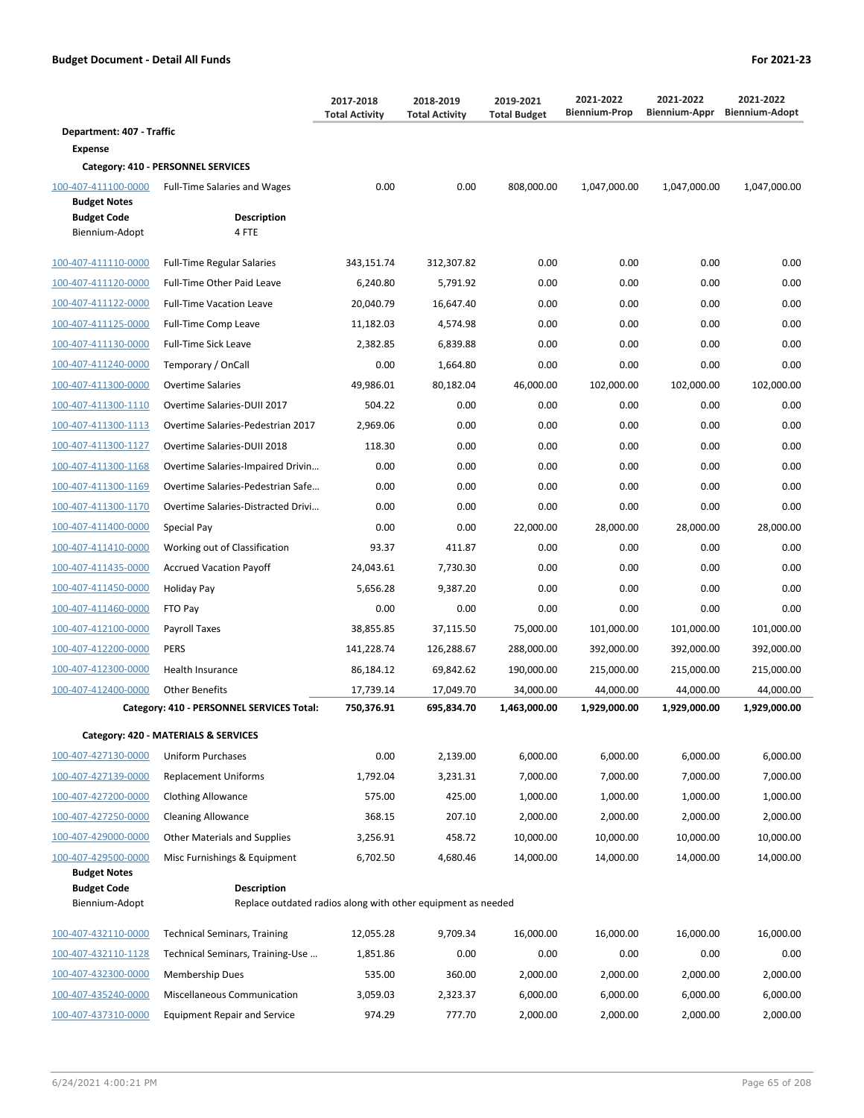|                                           |                                                                                    | 2017-2018<br><b>Total Activity</b> | 2018-2019<br><b>Total Activity</b> | 2019-2021<br><b>Total Budget</b> | 2021-2022<br><b>Biennium-Prop</b> | 2021-2022<br>Biennium-Appr | 2021-2022<br><b>Biennium-Adopt</b> |
|-------------------------------------------|------------------------------------------------------------------------------------|------------------------------------|------------------------------------|----------------------------------|-----------------------------------|----------------------------|------------------------------------|
| Department: 407 - Traffic                 |                                                                                    |                                    |                                    |                                  |                                   |                            |                                    |
| <b>Expense</b>                            |                                                                                    |                                    |                                    |                                  |                                   |                            |                                    |
|                                           | Category: 410 - PERSONNEL SERVICES                                                 |                                    |                                    |                                  |                                   |                            |                                    |
| 100-407-411100-0000                       | <b>Full-Time Salaries and Wages</b>                                                | 0.00                               | 0.00                               | 808,000.00                       | 1,047,000.00                      | 1,047,000.00               | 1,047,000.00                       |
| <b>Budget Notes</b><br><b>Budget Code</b> | <b>Description</b>                                                                 |                                    |                                    |                                  |                                   |                            |                                    |
| Biennium-Adopt                            | 4 FTE                                                                              |                                    |                                    |                                  |                                   |                            |                                    |
| 100-407-411110-0000                       | <b>Full-Time Regular Salaries</b>                                                  | 343,151.74                         | 312,307.82                         | 0.00                             | 0.00                              | 0.00                       | 0.00                               |
| 100-407-411120-0000                       | Full-Time Other Paid Leave                                                         | 6,240.80                           | 5,791.92                           | 0.00                             | 0.00                              | 0.00                       | 0.00                               |
| 100-407-411122-0000                       | <b>Full-Time Vacation Leave</b>                                                    | 20,040.79                          | 16,647.40                          | 0.00                             | 0.00                              | 0.00                       | 0.00                               |
| 100-407-411125-0000                       | Full-Time Comp Leave                                                               | 11,182.03                          | 4,574.98                           | 0.00                             | 0.00                              | 0.00                       | 0.00                               |
| 100-407-411130-0000                       | <b>Full-Time Sick Leave</b>                                                        | 2,382.85                           | 6,839.88                           | 0.00                             | 0.00                              | 0.00                       | 0.00                               |
| 100-407-411240-0000                       | Temporary / OnCall                                                                 | 0.00                               | 1,664.80                           | 0.00                             | 0.00                              | 0.00                       | 0.00                               |
| 100-407-411300-0000                       | Overtime Salaries                                                                  | 49,986.01                          | 80,182.04                          | 46,000.00                        | 102,000.00                        | 102,000.00                 | 102,000.00                         |
| 100-407-411300-1110                       | Overtime Salaries-DUII 2017                                                        | 504.22                             | 0.00                               | 0.00                             | 0.00                              | 0.00                       | 0.00                               |
| 100-407-411300-1113                       | Overtime Salaries-Pedestrian 2017                                                  | 2,969.06                           | 0.00                               | 0.00                             | 0.00                              | 0.00                       | 0.00                               |
| 100-407-411300-1127                       | Overtime Salaries-DUII 2018                                                        | 118.30                             | 0.00                               | 0.00                             | 0.00                              | 0.00                       | 0.00                               |
| 100-407-411300-1168                       | Overtime Salaries-Impaired Drivin                                                  | 0.00                               | 0.00                               | 0.00                             | 0.00                              | 0.00                       | 0.00                               |
| 100-407-411300-1169                       | Overtime Salaries-Pedestrian Safe                                                  | 0.00                               | 0.00                               | 0.00                             | 0.00                              | 0.00                       | 0.00                               |
| 100-407-411300-1170                       | Overtime Salaries-Distracted Drivi                                                 | 0.00                               | 0.00                               | 0.00                             | 0.00                              | 0.00                       | 0.00                               |
| 100-407-411400-0000                       | Special Pay                                                                        | 0.00                               | 0.00                               | 22,000.00                        | 28,000.00                         | 28,000.00                  | 28,000.00                          |
| 100-407-411410-0000                       | Working out of Classification                                                      | 93.37                              | 411.87                             | 0.00                             | 0.00                              | 0.00                       | 0.00                               |
| 100-407-411435-0000                       | <b>Accrued Vacation Payoff</b>                                                     | 24,043.61                          | 7,730.30                           | 0.00                             | 0.00                              | 0.00                       | 0.00                               |
| 100-407-411450-0000                       | Holiday Pay                                                                        | 5,656.28                           | 9,387.20                           | 0.00                             | 0.00                              | 0.00                       | 0.00                               |
| 100-407-411460-0000                       | FTO Pay                                                                            | 0.00                               | 0.00                               | 0.00                             | 0.00                              | 0.00                       | 0.00                               |
| 100-407-412100-0000                       | Payroll Taxes                                                                      | 38,855.85                          | 37,115.50                          | 75,000.00                        | 101,000.00                        | 101,000.00                 | 101,000.00                         |
| 100-407-412200-0000                       | <b>PERS</b>                                                                        | 141,228.74                         | 126,288.67                         | 288,000.00                       | 392,000.00                        | 392,000.00                 | 392,000.00                         |
| 100-407-412300-0000                       | Health Insurance                                                                   | 86,184.12                          | 69,842.62                          | 190,000.00                       | 215,000.00                        | 215,000.00                 | 215,000.00                         |
| 100-407-412400-0000                       | <b>Other Benefits</b>                                                              | 17,739.14                          | 17,049.70                          | 34,000.00                        | 44,000.00                         | 44,000.00                  | 44,000.00                          |
|                                           | Category: 410 - PERSONNEL SERVICES Total:                                          | 750,376.91                         | 695,834.70                         | 1,463,000.00                     | 1,929,000.00                      | 1,929,000.00               | 1,929,000.00                       |
|                                           | Category: 420 - MATERIALS & SERVICES                                               |                                    |                                    |                                  |                                   |                            |                                    |
| 100-407-427130-0000                       | Uniform Purchases                                                                  | 0.00                               | 2,139.00                           | 6,000.00                         | 6,000.00                          | 6,000.00                   | 6,000.00                           |
| 100-407-427139-0000                       | <b>Replacement Uniforms</b>                                                        | 1,792.04                           | 3,231.31                           | 7,000.00                         | 7,000.00                          | 7,000.00                   | 7,000.00                           |
| 100-407-427200-0000                       | <b>Clothing Allowance</b>                                                          | 575.00                             | 425.00                             | 1,000.00                         | 1,000.00                          | 1,000.00                   | 1,000.00                           |
| 100-407-427250-0000                       | <b>Cleaning Allowance</b>                                                          | 368.15                             | 207.10                             | 2,000.00                         | 2,000.00                          | 2,000.00                   | 2,000.00                           |
| 100-407-429000-0000                       | <b>Other Materials and Supplies</b>                                                | 3,256.91                           | 458.72                             | 10,000.00                        | 10,000.00                         | 10,000.00                  | 10,000.00                          |
| 100-407-429500-0000                       | Misc Furnishings & Equipment                                                       | 6,702.50                           | 4,680.46                           | 14,000.00                        | 14,000.00                         | 14,000.00                  | 14,000.00                          |
| <b>Budget Notes</b>                       |                                                                                    |                                    |                                    |                                  |                                   |                            |                                    |
| <b>Budget Code</b><br>Biennium-Adopt      | <b>Description</b><br>Replace outdated radios along with other equipment as needed |                                    |                                    |                                  |                                   |                            |                                    |
| 100-407-432110-0000                       | <b>Technical Seminars, Training</b>                                                | 12,055.28                          | 9,709.34                           | 16,000.00                        | 16,000.00                         | 16,000.00                  | 16,000.00                          |
| 100-407-432110-1128                       | Technical Seminars, Training-Use                                                   | 1,851.86                           | 0.00                               | 0.00                             | 0.00                              | 0.00                       | 0.00                               |
| 100-407-432300-0000                       | <b>Membership Dues</b>                                                             | 535.00                             | 360.00                             | 2,000.00                         | 2,000.00                          | 2,000.00                   | 2,000.00                           |

100-407-435240-0000 Miscellaneous Communication 3,059.03 2,323.37 6,000.00 6,000.00 6,000.00 6,000.00 100-407-437310-0000 Equipment Repair and Service 974.29 777.70 2,000.00 2,000.00 2,000.00 2,000.00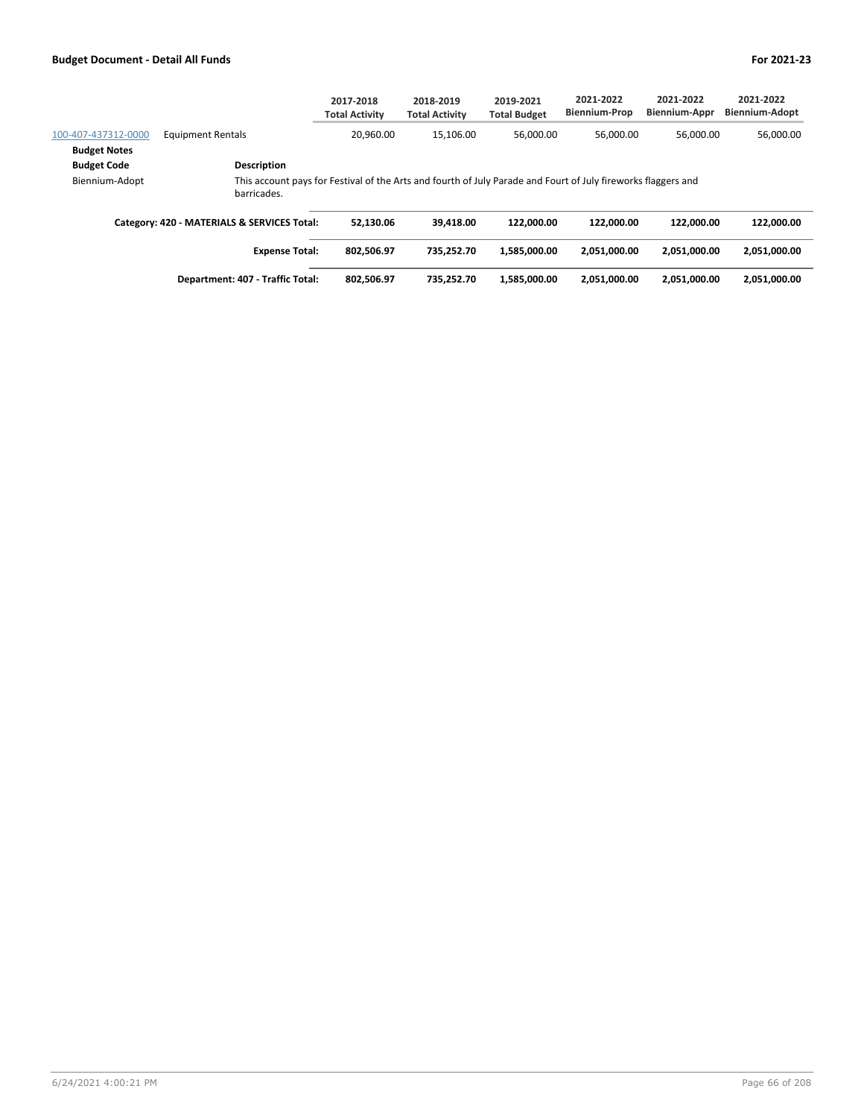|                     |                                                                                                                              | 2017-2018<br><b>Total Activity</b> | 2018-2019<br><b>Total Activity</b> | 2019-2021<br><b>Total Budget</b> | 2021-2022<br><b>Biennium-Prop</b> | 2021-2022<br><b>Biennium-Appr</b> | 2021-2022<br><b>Biennium-Adopt</b> |
|---------------------|------------------------------------------------------------------------------------------------------------------------------|------------------------------------|------------------------------------|----------------------------------|-----------------------------------|-----------------------------------|------------------------------------|
| 100-407-437312-0000 | <b>Equipment Rentals</b>                                                                                                     | 20.960.00                          | 15.106.00                          | 56.000.00                        | 56.000.00                         | 56.000.00                         | 56,000.00                          |
| <b>Budget Notes</b> |                                                                                                                              |                                    |                                    |                                  |                                   |                                   |                                    |
| <b>Budget Code</b>  | <b>Description</b>                                                                                                           |                                    |                                    |                                  |                                   |                                   |                                    |
| Biennium-Adopt      | This account pays for Festival of the Arts and fourth of July Parade and Fourt of July fireworks flaggers and<br>barricades. |                                    |                                    |                                  |                                   |                                   |                                    |
|                     | Category: 420 - MATERIALS & SERVICES Total:                                                                                  | 52.130.06                          | 39.418.00                          | 122.000.00                       | 122.000.00                        | 122.000.00                        | 122.000.00                         |
|                     | <b>Expense Total:</b>                                                                                                        | 802,506.97                         | 735.252.70                         | 1,585,000.00                     | 2,051,000.00                      | 2,051,000.00                      | 2,051,000.00                       |
|                     | Department: 407 - Traffic Total:                                                                                             | 802,506.97                         | 735.252.70                         | 1.585.000.00                     | 2,051,000.00                      | 2,051,000.00                      | 2,051,000.00                       |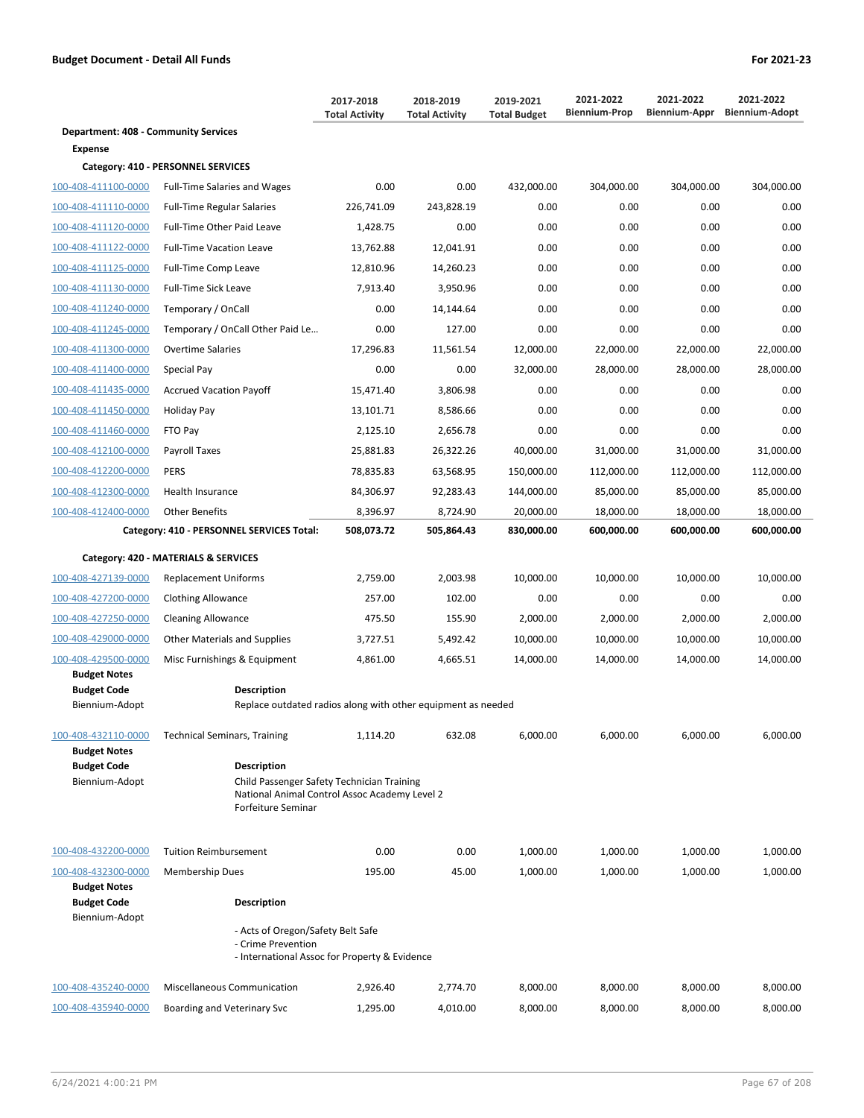**Department: 408 - Community Services**

**Category: 410 - PERSONNEL SERVICES**  $100-408-411100-0000$  Full-Time Salaries and Wages

**Expense**

| 2017-2018<br><b>Total Activity</b> | 2018-2019<br><b>Total Activity</b> | 2019-2021<br><b>Total Budget</b> | 2021-2022<br><b>Biennium-Prop</b> | 2021-2022<br><b>Biennium-Appr</b> | 2021-2022<br><b>Biennium-Adopt</b> |
|------------------------------------|------------------------------------|----------------------------------|-----------------------------------|-----------------------------------|------------------------------------|
| 0.00                               | 0.00                               | 432,000.00                       | 304,000.00                        | 304,000.00                        | 304,000.00                         |
| 226,741.09                         | 243,828.19                         | 0.00                             | 0.00                              | 0.00                              | 0.00                               |
| 1.428.75                           | 0.00                               | 0.00                             | 0.00                              | 0.00                              | 0.00                               |
| 13,762.88                          | 12.041.91                          | 0.00                             | 0.00                              | 0.00                              | 0.00                               |
| 12.01000                           | 1.2003                             | 0.00                             | 0.00                              | 0.00                              | 0.00                               |

| 100-408-411110-0000                        | <b>Full-Time Regular Salaries</b>                                                                                 | 226,741.09 | 243,828.19 | 0.00       | 0.00       | 0.00       | 0.00       |  |  |  |
|--------------------------------------------|-------------------------------------------------------------------------------------------------------------------|------------|------------|------------|------------|------------|------------|--|--|--|
| 100-408-411120-0000                        | Full-Time Other Paid Leave                                                                                        | 1,428.75   | 0.00       | 0.00       | 0.00       | 0.00       | 0.00       |  |  |  |
| 100-408-411122-0000                        | <b>Full-Time Vacation Leave</b>                                                                                   | 13,762.88  | 12,041.91  | 0.00       | 0.00       | 0.00       | 0.00       |  |  |  |
| 100-408-411125-0000                        | Full-Time Comp Leave                                                                                              | 12,810.96  | 14,260.23  | 0.00       | 0.00       | 0.00       | 0.00       |  |  |  |
| 100-408-411130-0000                        | <b>Full-Time Sick Leave</b>                                                                                       | 7,913.40   | 3,950.96   | 0.00       | 0.00       | 0.00       | 0.00       |  |  |  |
| 100-408-411240-0000                        | Temporary / OnCall                                                                                                | 0.00       | 14,144.64  | 0.00       | 0.00       | 0.00       | 0.00       |  |  |  |
| 100-408-411245-0000                        | Temporary / OnCall Other Paid Le                                                                                  | 0.00       | 127.00     | 0.00       | 0.00       | 0.00       | 0.00       |  |  |  |
| 100-408-411300-0000                        | <b>Overtime Salaries</b>                                                                                          | 17,296.83  | 11,561.54  | 12,000.00  | 22,000.00  | 22,000.00  | 22,000.00  |  |  |  |
| 100-408-411400-0000                        | Special Pay                                                                                                       | 0.00       | 0.00       | 32,000.00  | 28,000.00  | 28,000.00  | 28,000.00  |  |  |  |
| 100-408-411435-0000                        | <b>Accrued Vacation Payoff</b>                                                                                    | 15,471.40  | 3.806.98   | 0.00       | 0.00       | 0.00       | 0.00       |  |  |  |
| 100-408-411450-0000                        | Holiday Pay                                                                                                       | 13,101.71  | 8,586.66   | 0.00       | 0.00       | 0.00       | 0.00       |  |  |  |
| 100-408-411460-0000                        | FTO Pay                                                                                                           | 2,125.10   | 2,656.78   | 0.00       | 0.00       | 0.00       | 0.00       |  |  |  |
| 100-408-412100-0000                        | Payroll Taxes                                                                                                     | 25,881.83  | 26,322.26  | 40,000.00  | 31,000.00  | 31,000.00  | 31,000.00  |  |  |  |
| 100-408-412200-0000                        | <b>PERS</b>                                                                                                       | 78,835.83  | 63,568.95  | 150,000.00 | 112,000.00 | 112,000.00 | 112,000.00 |  |  |  |
| 100-408-412300-0000                        | <b>Health Insurance</b>                                                                                           | 84,306.97  | 92,283.43  | 144,000.00 | 85,000.00  | 85,000.00  | 85,000.00  |  |  |  |
| 100-408-412400-0000                        | <b>Other Benefits</b>                                                                                             | 8,396.97   | 8,724.90   | 20,000.00  | 18,000.00  | 18,000.00  | 18,000.00  |  |  |  |
|                                            | Category: 410 - PERSONNEL SERVICES Total:                                                                         | 508,073.72 | 505,864.43 | 830,000.00 | 600,000.00 | 600,000.00 | 600,000.00 |  |  |  |
|                                            | Category: 420 - MATERIALS & SERVICES                                                                              |            |            |            |            |            |            |  |  |  |
| 100-408-427139-0000                        | <b>Replacement Uniforms</b>                                                                                       | 2,759.00   | 2,003.98   | 10,000.00  | 10,000.00  | 10,000.00  | 10,000.00  |  |  |  |
| 100-408-427200-0000                        | <b>Clothing Allowance</b>                                                                                         | 257.00     | 102.00     | 0.00       | 0.00       | 0.00       | 0.00       |  |  |  |
| 100-408-427250-0000                        | <b>Cleaning Allowance</b>                                                                                         | 475.50     | 155.90     | 2,000.00   | 2,000.00   | 2,000.00   | 2,000.00   |  |  |  |
| 100-408-429000-0000                        | <b>Other Materials and Supplies</b>                                                                               | 3,727.51   | 5,492.42   | 10,000.00  | 10,000.00  | 10,000.00  | 10,000.00  |  |  |  |
| 100-408-429500-0000                        | Misc Furnishings & Equipment                                                                                      | 4,861.00   | 4,665.51   | 14,000.00  | 14,000.00  | 14,000.00  | 14,000.00  |  |  |  |
| <b>Budget Notes</b>                        |                                                                                                                   |            |            |            |            |            |            |  |  |  |
| <b>Budget Code</b><br>Biennium-Adopt       | <b>Description</b><br>Replace outdated radios along with other equipment as needed                                |            |            |            |            |            |            |  |  |  |
|                                            |                                                                                                                   |            |            |            |            |            |            |  |  |  |
| 100-408-432110-0000<br><b>Budget Notes</b> | <b>Technical Seminars, Training</b>                                                                               | 1,114.20   | 632.08     | 6,000.00   | 6,000.00   | 6,000.00   | 6,000.00   |  |  |  |
| <b>Budget Code</b>                         | <b>Description</b>                                                                                                |            |            |            |            |            |            |  |  |  |
| Biennium-Adopt                             | Child Passenger Safety Technician Training<br>National Animal Control Assoc Academy Level 2<br>Forfeiture Seminar |            |            |            |            |            |            |  |  |  |
| 100-408-432200-0000                        | <b>Tuition Reimbursement</b>                                                                                      | 0.00       | 0.00       | 1,000.00   | 1,000.00   | 1,000.00   | 1,000.00   |  |  |  |
| 100-408-432300-0000                        | <b>Membership Dues</b>                                                                                            | 195.00     | 45.00      | 1,000.00   | 1,000.00   | 1,000.00   | 1,000.00   |  |  |  |
| <b>Budget Notes</b><br><b>Budget Code</b>  | <b>Description</b>                                                                                                |            |            |            |            |            |            |  |  |  |
| Biennium-Adopt                             | - Acts of Oregon/Safety Belt Safe<br>- Crime Prevention                                                           |            |            |            |            |            |            |  |  |  |

- International Assoc for Property & Evidence

| 100-408-435240-0000 | <b>Miscellaneous Communication</b> | 2.926.40 | 2.774.70 | 8.000.00 | 8.000.00 | 8.000.00 | 8.000.00 |
|---------------------|------------------------------------|----------|----------|----------|----------|----------|----------|
| 100-408-435940-0000 | Boarding and Veterinary Svc        | 1.295.00 | 4.010.00 | 8.000.00 | 8.000.00 | 8.000.00 | 8.000.00 |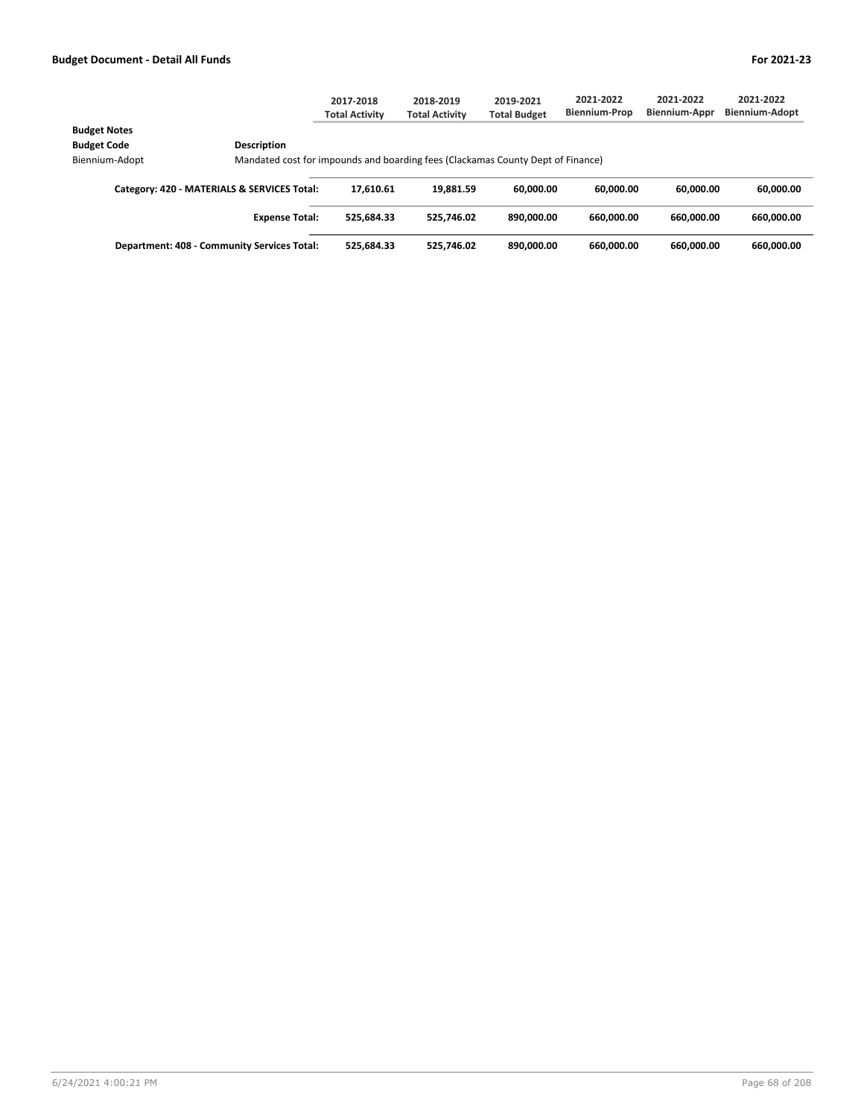|                                                    |                                                                                 | 2017-2018<br><b>Total Activity</b> | 2018-2019<br><b>Total Activity</b> | 2019-2021<br><b>Total Budget</b> | 2021-2022<br><b>Biennium-Prop</b> | 2021-2022<br>Biennium-Appr | 2021-2022<br>Biennium-Adopt |
|----------------------------------------------------|---------------------------------------------------------------------------------|------------------------------------|------------------------------------|----------------------------------|-----------------------------------|----------------------------|-----------------------------|
| <b>Budget Notes</b>                                |                                                                                 |                                    |                                    |                                  |                                   |                            |                             |
| <b>Budget Code</b>                                 | <b>Description</b>                                                              |                                    |                                    |                                  |                                   |                            |                             |
| Biennium-Adopt                                     | Mandated cost for impounds and boarding fees (Clackamas County Dept of Finance) |                                    |                                    |                                  |                                   |                            |                             |
| Category: 420 - MATERIALS & SERVICES Total:        |                                                                                 | 17.610.61                          | 19.881.59                          | 60.000.00                        | 60.000.00                         | 60.000.00                  | 60,000.00                   |
|                                                    | <b>Expense Total:</b>                                                           | 525.684.33                         | 525.746.02                         | 890.000.00                       | 660.000.00                        | 660.000.00                 | 660.000.00                  |
| <b>Department: 408 - Community Services Total:</b> |                                                                                 | 525,684.33                         | 525.746.02                         | 890,000.00                       | 660.000.00                        | 660.000.00                 | 660.000.00                  |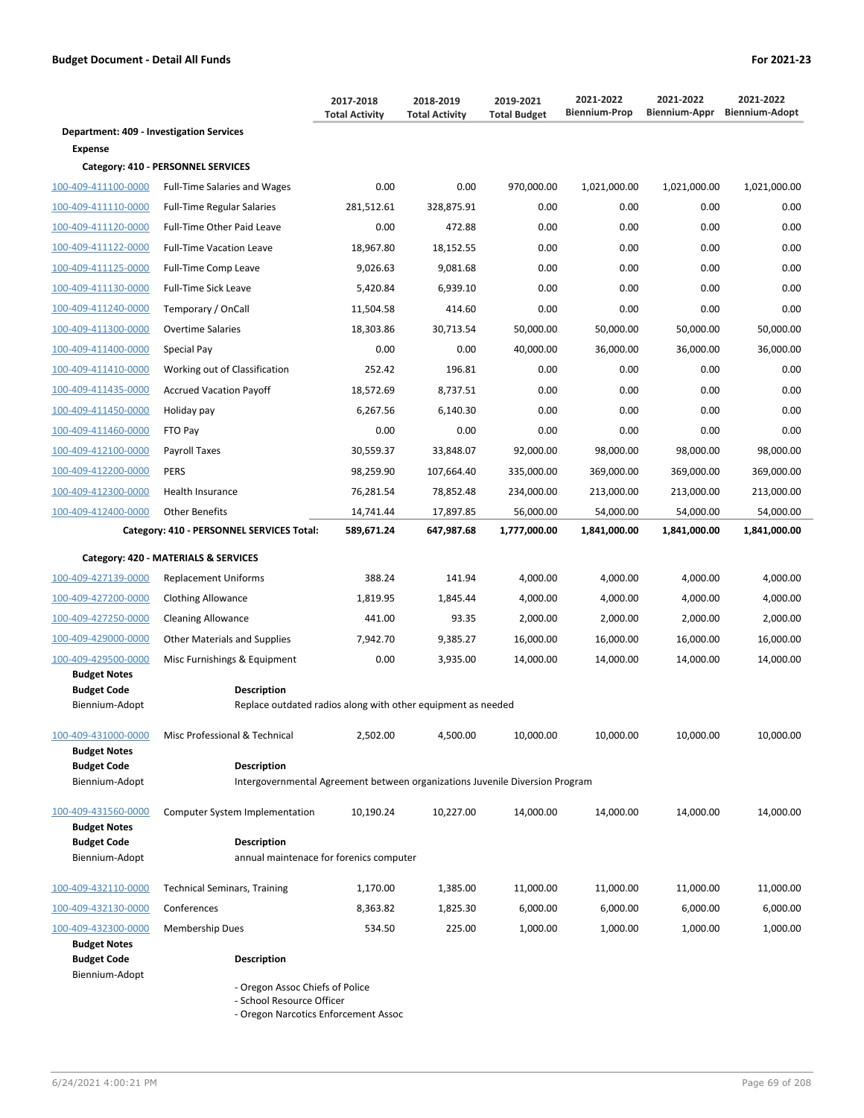|                                                 |                                                                                    | 2017-2018<br><b>Total Activity</b> | 2018-2019<br><b>Total Activity</b> | 2019-2021<br><b>Total Budget</b> | 2021-2022<br><b>Biennium-Prop</b> | 2021-2022<br>Biennium-Appr | 2021-2022<br><b>Biennium-Adopt</b> |  |  |
|-------------------------------------------------|------------------------------------------------------------------------------------|------------------------------------|------------------------------------|----------------------------------|-----------------------------------|----------------------------|------------------------------------|--|--|
| <b>Department: 409 - Investigation Services</b> |                                                                                    |                                    |                                    |                                  |                                   |                            |                                    |  |  |
| <b>Expense</b>                                  |                                                                                    |                                    |                                    |                                  |                                   |                            |                                    |  |  |
|                                                 | Category: 410 - PERSONNEL SERVICES                                                 |                                    |                                    |                                  |                                   |                            |                                    |  |  |
| 100-409-411100-0000                             | <b>Full-Time Salaries and Wages</b>                                                | 0.00                               | 0.00                               | 970,000.00                       | 1,021,000.00                      | 1,021,000.00               | 1,021,000.00                       |  |  |
| 100-409-411110-0000                             | <b>Full-Time Regular Salaries</b>                                                  | 281,512.61                         | 328,875.91                         | 0.00                             | 0.00                              | 0.00                       | 0.00                               |  |  |
| 100-409-411120-0000                             | Full-Time Other Paid Leave                                                         | 0.00                               | 472.88                             | 0.00                             | 0.00                              | 0.00                       | 0.00                               |  |  |
| 100-409-411122-0000                             | <b>Full-Time Vacation Leave</b>                                                    | 18,967.80                          | 18,152.55                          | 0.00                             | 0.00                              | 0.00                       | 0.00                               |  |  |
| 100-409-411125-0000                             | Full-Time Comp Leave                                                               | 9,026.63                           | 9,081.68                           | 0.00                             | 0.00                              | 0.00                       | 0.00                               |  |  |
| 100-409-411130-0000                             | Full-Time Sick Leave                                                               | 5,420.84                           | 6,939.10                           | 0.00                             | 0.00                              | 0.00                       | 0.00                               |  |  |
| 100-409-411240-0000                             | Temporary / OnCall                                                                 | 11,504.58                          | 414.60                             | 0.00                             | 0.00                              | 0.00                       | 0.00                               |  |  |
| 100-409-411300-0000                             | <b>Overtime Salaries</b>                                                           | 18,303.86                          | 30,713.54                          | 50,000.00                        | 50,000.00                         | 50,000.00                  | 50,000.00                          |  |  |
| 100-409-411400-0000                             | Special Pay                                                                        | 0.00                               | 0.00                               | 40,000.00                        | 36,000.00                         | 36,000.00                  | 36,000.00                          |  |  |
| 100-409-411410-0000                             | Working out of Classification                                                      | 252.42                             | 196.81                             | 0.00                             | 0.00                              | 0.00                       | 0.00                               |  |  |
| 100-409-411435-0000                             | <b>Accrued Vacation Payoff</b>                                                     | 18,572.69                          | 8,737.51                           | 0.00                             | 0.00                              | 0.00                       | 0.00                               |  |  |
| 100-409-411450-0000                             | Holiday pay                                                                        | 6,267.56                           | 6,140.30                           | 0.00                             | 0.00                              | 0.00                       | 0.00                               |  |  |
| 100-409-411460-0000                             | FTO Pay                                                                            | 0.00                               | 0.00                               | 0.00                             | 0.00                              | 0.00                       | 0.00                               |  |  |
| 100-409-412100-0000                             | <b>Payroll Taxes</b>                                                               | 30,559.37                          | 33,848.07                          | 92,000.00                        | 98,000.00                         | 98,000.00                  | 98,000.00                          |  |  |
| 100-409-412200-0000                             | <b>PERS</b>                                                                        | 98,259.90                          | 107,664.40                         | 335,000.00                       | 369,000.00                        | 369,000.00                 | 369,000.00                         |  |  |
| 100-409-412300-0000                             | Health Insurance                                                                   | 76,281.54                          | 78,852.48                          | 234,000.00                       | 213,000.00                        | 213,000.00                 | 213,000.00                         |  |  |
| 100-409-412400-0000                             | <b>Other Benefits</b>                                                              | 14,741.44                          | 17,897.85                          | 56,000.00                        | 54,000.00                         | 54,000.00                  | 54,000.00                          |  |  |
|                                                 | Category: 410 - PERSONNEL SERVICES Total:                                          | 589,671.24                         | 647,987.68                         | 1,777,000.00                     | 1,841,000.00                      | 1,841,000.00               | 1,841,000.00                       |  |  |
|                                                 | Category: 420 - MATERIALS & SERVICES                                               |                                    |                                    |                                  |                                   |                            |                                    |  |  |
| 100-409-427139-0000                             | <b>Replacement Uniforms</b>                                                        | 388.24                             | 141.94                             | 4,000.00                         | 4,000.00                          | 4,000.00                   | 4,000.00                           |  |  |
| 100-409-427200-0000                             | <b>Clothing Allowance</b>                                                          | 1,819.95                           | 1,845.44                           | 4,000.00                         | 4,000.00                          | 4,000.00                   | 4,000.00                           |  |  |
| 100-409-427250-0000                             | <b>Cleaning Allowance</b>                                                          | 441.00                             | 93.35                              | 2,000.00                         | 2,000.00                          | 2,000.00                   | 2,000.00                           |  |  |
| 100-409-429000-0000                             | Other Materials and Supplies                                                       | 7,942.70                           | 9,385.27                           | 16,000.00                        | 16,000.00                         | 16,000.00                  | 16,000.00                          |  |  |
| 100-409-429500-0000                             | Misc Furnishings & Equipment                                                       | 0.00                               | 3,935.00                           | 14,000.00                        | 14,000.00                         | 14,000.00                  | 14,000.00                          |  |  |
| <b>Budget Notes</b><br><b>Budget Code</b>       |                                                                                    |                                    |                                    |                                  |                                   |                            |                                    |  |  |
| Biennium-Adopt                                  | <b>Description</b><br>Replace outdated radios along with other equipment as needed |                                    |                                    |                                  |                                   |                            |                                    |  |  |
| 100-409-431000-0000                             | Misc Professional & Technical                                                      | 2,502.00                           | 4,500.00                           | 10,000.00                        | 10,000.00                         | 10,000.00                  | 10,000.00                          |  |  |
| <b>Budget Notes</b>                             |                                                                                    |                                    |                                    |                                  |                                   |                            |                                    |  |  |
| <b>Budget Code</b>                              | <b>Description</b>                                                                 |                                    |                                    |                                  |                                   |                            |                                    |  |  |
| Biennium-Adopt                                  | Intergovernmental Agreement between organizations Juvenile Diversion Program       |                                    |                                    |                                  |                                   |                            |                                    |  |  |
| 100-409-431560-0000                             | <b>Computer System Implementation</b>                                              | 10,190.24                          | 10,227.00                          | 14,000.00                        | 14,000.00                         | 14,000.00                  | 14,000.00                          |  |  |
| <b>Budget Notes</b>                             |                                                                                    |                                    |                                    |                                  |                                   |                            |                                    |  |  |
| <b>Budget Code</b><br>Biennium-Adopt            | <b>Description</b><br>annual maintenace for forenics computer                      |                                    |                                    |                                  |                                   |                            |                                    |  |  |
|                                                 |                                                                                    |                                    |                                    |                                  |                                   |                            |                                    |  |  |
| 100-409-432110-0000                             | <b>Technical Seminars, Training</b>                                                | 1,170.00                           | 1,385.00                           | 11,000.00                        | 11,000.00                         | 11,000.00                  | 11,000.00                          |  |  |
| 100-409-432130-0000                             | Conferences                                                                        | 8,363.82                           | 1,825.30                           | 6,000.00                         | 6,000.00                          | 6,000.00                   | 6,000.00                           |  |  |

100-409-432300-0000 Membership Dues 534.50 225.00 1,000.00 1,000.00 1,000.00 1,000.00 **Budget Notes Budget Code Description** Biennium-Adopt

- Oregon Assoc Chiefs of Police

- School Resource Officer

- Oregon Narcotics Enforcement Assoc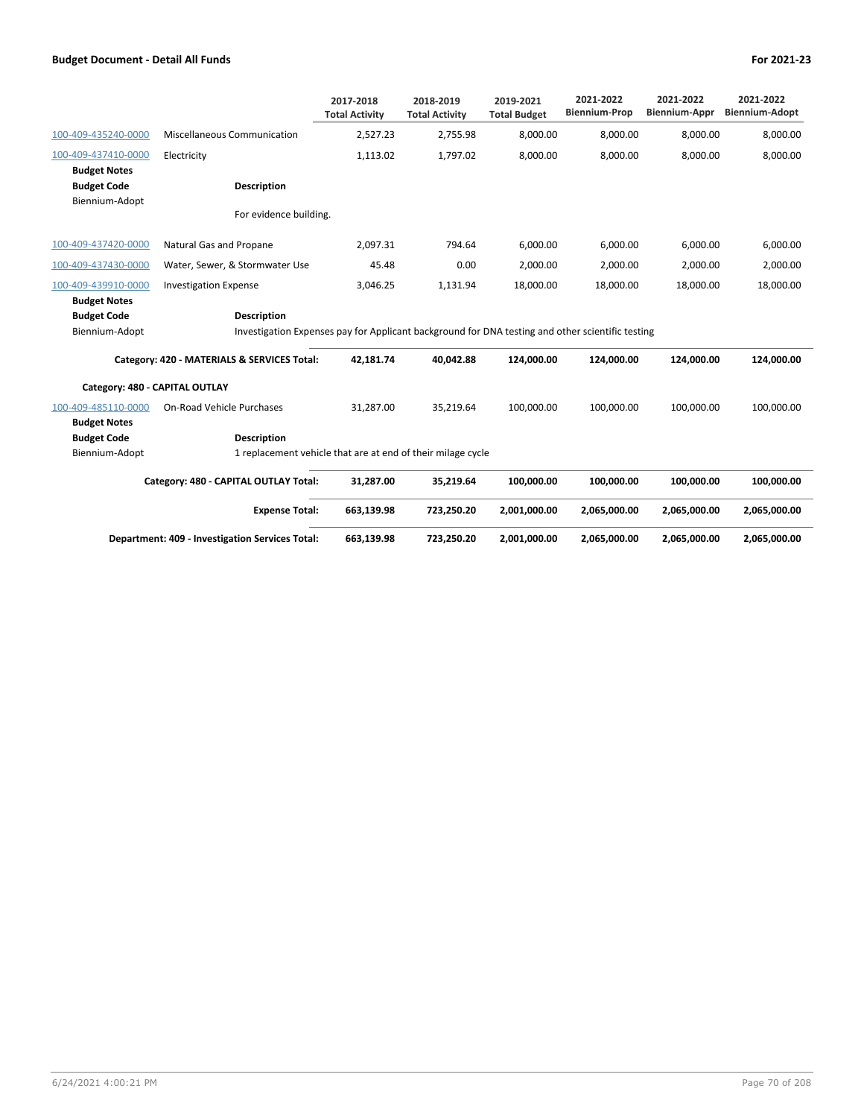|                                                             |                                                                                                                    | 2017-2018<br><b>Total Activity</b>                          | 2018-2019<br><b>Total Activity</b> | 2019-2021<br><b>Total Budget</b> | 2021-2022<br><b>Biennium-Prop</b> | 2021-2022<br><b>Biennium-Appr</b> | 2021-2022<br><b>Biennium-Adopt</b> |  |  |
|-------------------------------------------------------------|--------------------------------------------------------------------------------------------------------------------|-------------------------------------------------------------|------------------------------------|----------------------------------|-----------------------------------|-----------------------------------|------------------------------------|--|--|
| 100-409-435240-0000                                         | Miscellaneous Communication                                                                                        | 2,527.23                                                    | 2,755.98                           | 8,000.00                         | 8,000.00                          | 8,000.00                          | 8,000.00                           |  |  |
| 100-409-437410-0000                                         | Electricity                                                                                                        | 1,113.02                                                    | 1.797.02                           | 8,000.00                         | 8,000.00                          | 8,000.00                          | 8,000.00                           |  |  |
| <b>Budget Notes</b><br><b>Budget Code</b><br>Biennium-Adopt | Description                                                                                                        |                                                             |                                    |                                  |                                   |                                   |                                    |  |  |
|                                                             | For evidence building.                                                                                             |                                                             |                                    |                                  |                                   |                                   |                                    |  |  |
| 100-409-437420-0000                                         | Natural Gas and Propane                                                                                            | 2.097.31                                                    | 794.64                             | 6,000.00                         | 6,000.00                          | 6,000.00                          | 6,000.00                           |  |  |
| 100-409-437430-0000                                         | Water, Sewer, & Stormwater Use                                                                                     | 45.48                                                       | 0.00                               | 2,000.00                         | 2,000.00                          | 2,000.00                          | 2,000.00                           |  |  |
| 100-409-439910-0000                                         | <b>Investigation Expense</b>                                                                                       | 3,046.25                                                    | 1,131.94                           | 18,000.00                        | 18,000.00                         | 18,000.00                         | 18,000.00                          |  |  |
| <b>Budget Notes</b>                                         |                                                                                                                    |                                                             |                                    |                                  |                                   |                                   |                                    |  |  |
| <b>Budget Code</b>                                          | <b>Description</b>                                                                                                 |                                                             |                                    |                                  |                                   |                                   |                                    |  |  |
|                                                             | Investigation Expenses pay for Applicant background for DNA testing and other scientific testing<br>Biennium-Adopt |                                                             |                                    |                                  |                                   |                                   |                                    |  |  |
| Category: 420 - MATERIALS & SERVICES Total:                 |                                                                                                                    | 42,181.74                                                   | 40.042.88                          | 124,000.00                       | 124.000.00                        | 124.000.00                        | 124,000.00                         |  |  |
| Category: 480 - CAPITAL OUTLAY                              |                                                                                                                    |                                                             |                                    |                                  |                                   |                                   |                                    |  |  |
| 100-409-485110-0000                                         | On-Road Vehicle Purchases                                                                                          | 31,287.00                                                   | 35.219.64                          | 100.000.00                       | 100,000.00                        | 100,000.00                        | 100,000.00                         |  |  |
| <b>Budget Notes</b>                                         |                                                                                                                    |                                                             |                                    |                                  |                                   |                                   |                                    |  |  |
| <b>Budget Code</b>                                          | <b>Description</b>                                                                                                 |                                                             |                                    |                                  |                                   |                                   |                                    |  |  |
| Biennium-Adopt                                              |                                                                                                                    | 1 replacement vehicle that are at end of their milage cycle |                                    |                                  |                                   |                                   |                                    |  |  |
| Category: 480 - CAPITAL OUTLAY Total:                       |                                                                                                                    | 31,287.00                                                   | 35,219.64                          | 100,000.00                       | 100,000.00                        | 100,000.00                        | 100,000.00                         |  |  |
|                                                             | <b>Expense Total:</b>                                                                                              | 663,139.98                                                  | 723,250.20                         | 2,001,000.00                     | 2,065,000.00                      | 2,065,000.00                      | 2,065,000.00                       |  |  |
| Department: 409 - Investigation Services Total:             |                                                                                                                    | 663,139.98                                                  | 723,250.20                         | 2,001,000.00                     | 2,065,000.00                      | 2,065,000.00                      | 2,065,000.00                       |  |  |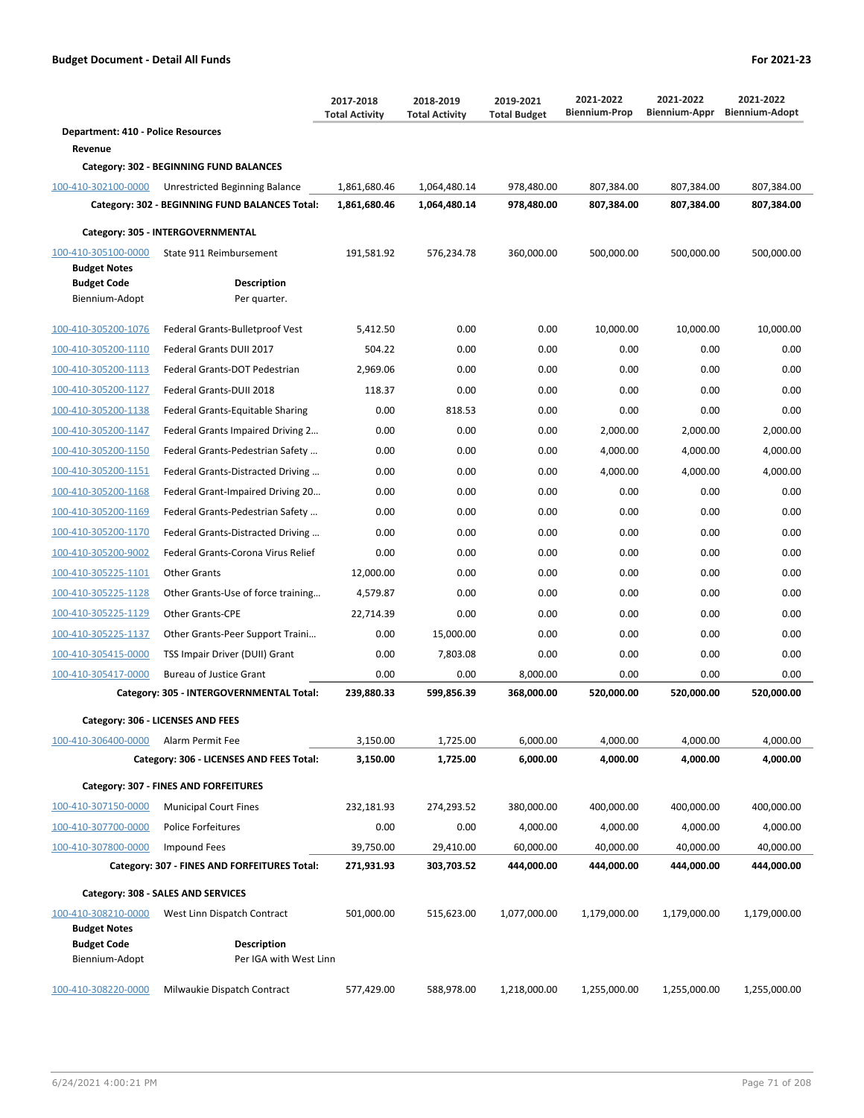|                                           |                                                | 2017-2018<br><b>Total Activity</b> | 2018-2019<br><b>Total Activity</b> | 2019-2021<br><b>Total Budget</b> | 2021-2022<br><b>Biennium-Prop</b> | 2021-2022<br>Biennium-Appr | 2021-2022<br><b>Biennium-Adopt</b> |
|-------------------------------------------|------------------------------------------------|------------------------------------|------------------------------------|----------------------------------|-----------------------------------|----------------------------|------------------------------------|
| Department: 410 - Police Resources        |                                                |                                    |                                    |                                  |                                   |                            |                                    |
| Revenue                                   |                                                |                                    |                                    |                                  |                                   |                            |                                    |
|                                           | Category: 302 - BEGINNING FUND BALANCES        |                                    |                                    |                                  |                                   |                            |                                    |
| 100-410-302100-0000                       | Unrestricted Beginning Balance                 | 1,861,680.46                       | 1,064,480.14                       | 978,480.00                       | 807,384.00                        | 807,384.00                 | 807,384.00                         |
|                                           | Category: 302 - BEGINNING FUND BALANCES Total: | 1,861,680.46                       | 1,064,480.14                       | 978,480.00                       | 807,384.00                        | 807,384.00                 | 807,384.00                         |
|                                           | Category: 305 - INTERGOVERNMENTAL              |                                    |                                    |                                  |                                   |                            |                                    |
| 100-410-305100-0000                       | State 911 Reimbursement                        | 191,581.92                         | 576,234.78                         | 360,000.00                       | 500,000.00                        | 500,000.00                 | 500,000.00                         |
| <b>Budget Notes</b>                       |                                                |                                    |                                    |                                  |                                   |                            |                                    |
| <b>Budget Code</b><br>Biennium-Adopt      | <b>Description</b><br>Per quarter.             |                                    |                                    |                                  |                                   |                            |                                    |
|                                           |                                                |                                    |                                    |                                  |                                   |                            |                                    |
| 100-410-305200-1076                       | Federal Grants-Bulletproof Vest                | 5,412.50                           | 0.00                               | 0.00                             | 10,000.00                         | 10,000.00                  | 10,000.00                          |
| 100-410-305200-1110                       | Federal Grants DUII 2017                       | 504.22                             | 0.00                               | 0.00                             | 0.00                              | 0.00                       | 0.00                               |
| 100-410-305200-1113                       | Federal Grants-DOT Pedestrian                  | 2,969.06                           | 0.00                               | 0.00                             | 0.00                              | 0.00                       | 0.00                               |
| 100-410-305200-1127                       | Federal Grants-DUII 2018                       | 118.37                             | 0.00                               | 0.00                             | 0.00                              | 0.00                       | 0.00                               |
| 100-410-305200-1138                       | Federal Grants-Equitable Sharing               | 0.00                               | 818.53                             | 0.00                             | 0.00                              | 0.00                       | 0.00                               |
| 100-410-305200-1147                       | Federal Grants Impaired Driving 2              | 0.00                               | 0.00                               | 0.00                             | 2,000.00                          | 2,000.00                   | 2,000.00                           |
| 100-410-305200-1150                       | Federal Grants-Pedestrian Safety               | 0.00                               | 0.00                               | 0.00                             | 4,000.00                          | 4,000.00                   | 4,000.00                           |
| 100-410-305200-1151                       | Federal Grants-Distracted Driving              | 0.00                               | 0.00                               | 0.00                             | 4,000.00                          | 4,000.00                   | 4,000.00                           |
| 100-410-305200-1168                       | Federal Grant-Impaired Driving 20              | 0.00                               | 0.00                               | 0.00                             | 0.00                              | 0.00                       | 0.00                               |
| 100-410-305200-1169                       | Federal Grants-Pedestrian Safety               | 0.00                               | 0.00                               | 0.00                             | 0.00                              | 0.00                       | 0.00                               |
| 100-410-305200-1170                       | Federal Grants-Distracted Driving              | 0.00                               | 0.00                               | 0.00                             | 0.00                              | 0.00                       | 0.00                               |
| 100-410-305200-9002                       | Federal Grants-Corona Virus Relief             | 0.00                               | 0.00                               | 0.00                             | 0.00                              | 0.00                       | 0.00                               |
| 100-410-305225-1101                       | <b>Other Grants</b>                            | 12,000.00                          | 0.00                               | 0.00                             | 0.00                              | 0.00                       | 0.00                               |
| 100-410-305225-1128                       | Other Grants-Use of force training             | 4,579.87                           | 0.00                               | 0.00                             | 0.00                              | 0.00                       | 0.00                               |
| 100-410-305225-1129                       | <b>Other Grants-CPE</b>                        | 22,714.39                          | 0.00                               | 0.00                             | 0.00                              | 0.00                       | 0.00                               |
| 100-410-305225-1137                       | Other Grants-Peer Support Traini               | 0.00                               | 15,000.00                          | 0.00                             | 0.00                              | 0.00                       | 0.00                               |
| 100-410-305415-0000                       | TSS Impair Driver (DUII) Grant                 | 0.00                               | 7,803.08                           | 0.00                             | 0.00                              | 0.00                       | 0.00                               |
| 100-410-305417-0000                       | <b>Bureau of Justice Grant</b>                 | 0.00                               | 0.00                               | 8,000.00                         | 0.00                              | 0.00                       | 0.00                               |
|                                           | Category: 305 - INTERGOVERNMENTAL Total:       | 239,880.33                         | 599,856.39                         | 368,000.00                       | 520.000.00                        | 520.000.00                 | 520,000.00                         |
|                                           | Category: 306 - LICENSES AND FEES              |                                    |                                    |                                  |                                   |                            |                                    |
| 100-410-306400-0000                       | Alarm Permit Fee                               | 3,150.00                           | 1,725.00                           | 6,000.00                         | 4,000.00                          | 4,000.00                   | 4,000.00                           |
|                                           | Category: 306 - LICENSES AND FEES Total:       | 3,150.00                           | 1,725.00                           | 6,000.00                         | 4,000.00                          | 4,000.00                   | 4,000.00                           |
|                                           |                                                |                                    |                                    |                                  |                                   |                            |                                    |
|                                           | Category: 307 - FINES AND FORFEITURES          |                                    |                                    |                                  |                                   |                            |                                    |
| 100-410-307150-0000                       | <b>Municipal Court Fines</b>                   | 232,181.93                         | 274,293.52                         | 380,000.00                       | 400,000.00                        | 400,000.00                 | 400,000.00                         |
| 100-410-307700-0000                       | Police Forfeitures                             | 0.00                               | 0.00                               | 4,000.00                         | 4,000.00                          | 4,000.00                   | 4,000.00                           |
| 100-410-307800-0000                       | <b>Impound Fees</b>                            | 39,750.00                          | 29,410.00                          | 60,000.00                        | 40,000.00                         | 40,000.00                  | 40,000.00                          |
|                                           | Category: 307 - FINES AND FORFEITURES Total:   | 271,931.93                         | 303,703.52                         | 444,000.00                       | 444,000.00                        | 444,000.00                 | 444,000.00                         |
|                                           | Category: 308 - SALES AND SERVICES             |                                    |                                    |                                  |                                   |                            |                                    |
| 100-410-308210-0000                       | West Linn Dispatch Contract                    | 501,000.00                         | 515,623.00                         | 1,077,000.00                     | 1,179,000.00                      | 1,179,000.00               | 1,179,000.00                       |
| <b>Budget Notes</b><br><b>Budget Code</b> | <b>Description</b>                             |                                    |                                    |                                  |                                   |                            |                                    |
| Biennium-Adopt                            | Per IGA with West Linn                         |                                    |                                    |                                  |                                   |                            |                                    |
| 100-410-308220-0000                       | Milwaukie Dispatch Contract                    | 577,429.00                         | 588,978.00                         | 1,218,000.00                     | 1,255,000.00                      | 1,255,000.00               | 1,255,000.00                       |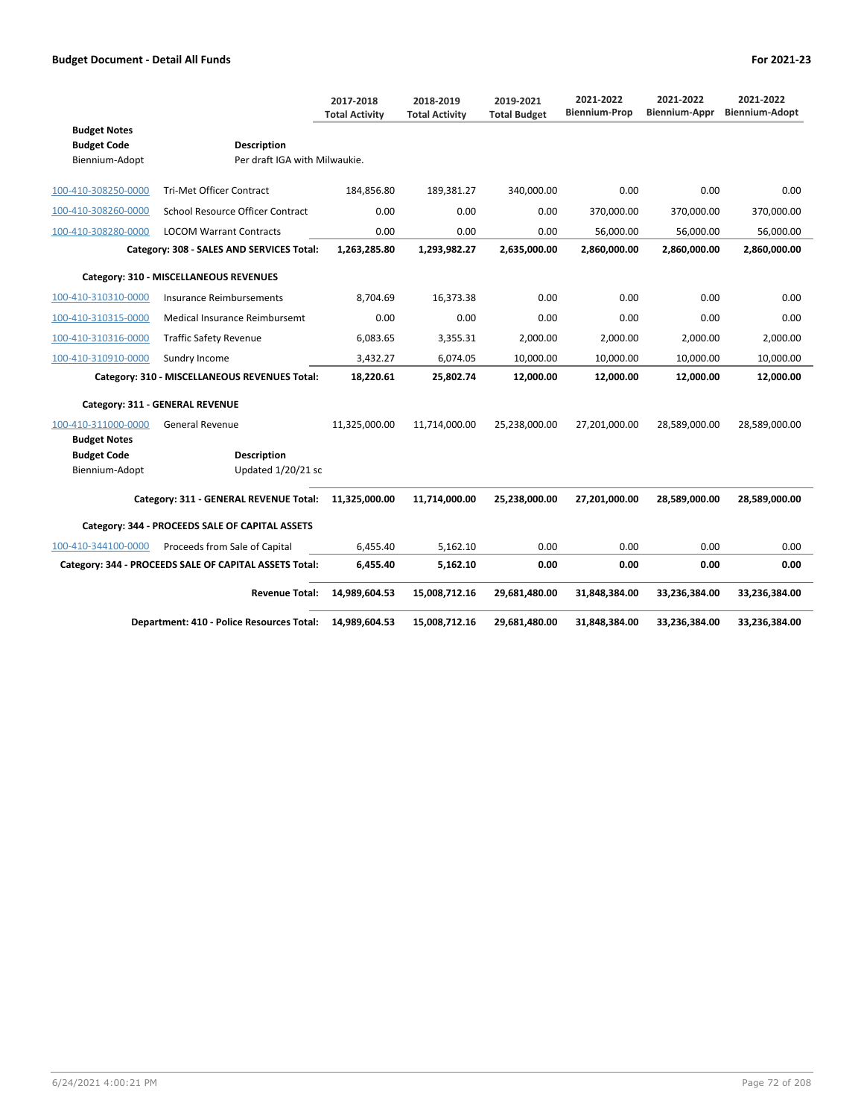|                                                             |                                                     | 2017-2018<br><b>Total Activity</b> | 2018-2019<br><b>Total Activity</b> | 2019-2021<br><b>Total Budget</b> | 2021-2022<br><b>Biennium-Prop</b> | 2021-2022<br>Biennium-Appr | 2021-2022<br><b>Biennium-Adopt</b> |
|-------------------------------------------------------------|-----------------------------------------------------|------------------------------------|------------------------------------|----------------------------------|-----------------------------------|----------------------------|------------------------------------|
| <b>Budget Notes</b><br><b>Budget Code</b><br>Biennium-Adopt | <b>Description</b><br>Per draft IGA with Milwaukie. |                                    |                                    |                                  |                                   |                            |                                    |
| 100-410-308250-0000                                         | <b>Tri-Met Officer Contract</b>                     | 184,856.80                         | 189,381.27                         | 340,000.00                       | 0.00                              | 0.00                       | 0.00                               |
| 100-410-308260-0000                                         | School Resource Officer Contract                    | 0.00                               | 0.00                               | 0.00                             | 370,000.00                        | 370,000.00                 | 370,000.00                         |
| 100-410-308280-0000                                         | <b>LOCOM Warrant Contracts</b>                      | 0.00                               | 0.00                               | 0.00                             | 56,000.00                         | 56,000.00                  | 56,000.00                          |
|                                                             | Category: 308 - SALES AND SERVICES Total:           | 1,263,285.80                       | 1,293,982.27                       | 2,635,000.00                     | 2,860,000.00                      | 2,860,000.00               | 2,860,000.00                       |
|                                                             | Category: 310 - MISCELLANEOUS REVENUES              |                                    |                                    |                                  |                                   |                            |                                    |
| 100-410-310310-0000                                         | Insurance Reimbursements                            | 8.704.69                           | 16.373.38                          | 0.00                             | 0.00                              | 0.00                       | 0.00                               |
| 100-410-310315-0000                                         | Medical Insurance Reimbursemt                       | 0.00                               | 0.00                               | 0.00                             | 0.00                              | 0.00                       | 0.00                               |
| 100-410-310316-0000                                         | <b>Traffic Safety Revenue</b>                       | 6.083.65                           | 3,355.31                           | 2.000.00                         | 2.000.00                          | 2.000.00                   | 2.000.00                           |
| 100-410-310910-0000                                         | Sundry Income                                       | 3,432.27                           | 6,074.05                           | 10,000.00                        | 10,000.00                         | 10,000.00                  | 10,000.00                          |
| Category: 310 - MISCELLANEOUS REVENUES Total:               |                                                     | 18,220.61                          | 25,802.74                          | 12,000.00                        | 12,000.00                         | 12,000.00                  | 12,000.00                          |
| Category: 311 - GENERAL REVENUE                             |                                                     |                                    |                                    |                                  |                                   |                            |                                    |
| 100-410-311000-0000<br><b>Budget Notes</b>                  | <b>General Revenue</b>                              | 11,325,000.00                      | 11,714,000.00                      | 25,238,000.00                    | 27,201,000.00                     | 28,589,000.00              | 28,589,000.00                      |
| <b>Budget Code</b><br>Biennium-Adopt                        | <b>Description</b><br>Updated 1/20/21 sc            |                                    |                                    |                                  |                                   |                            |                                    |
| Category: 311 - GENERAL REVENUE Total:                      |                                                     | 11,325,000.00                      | 11,714,000.00                      | 25,238,000.00                    | 27,201,000.00                     | 28,589,000.00              | 28,589,000.00                      |
| Category: 344 - PROCEEDS SALE OF CAPITAL ASSETS             |                                                     |                                    |                                    |                                  |                                   |                            |                                    |
| 100-410-344100-0000                                         | Proceeds from Sale of Capital                       | 6,455.40                           | 5,162.10                           | 0.00                             | 0.00                              | 0.00                       | 0.00                               |
| Category: 344 - PROCEEDS SALE OF CAPITAL ASSETS Total:      |                                                     | 6,455.40                           | 5,162.10                           | 0.00                             | 0.00                              | 0.00                       | 0.00                               |
|                                                             | <b>Revenue Total:</b>                               | 14,989,604.53                      | 15,008,712.16                      | 29,681,480.00                    | 31,848,384.00                     | 33,236,384.00              | 33,236,384.00                      |
|                                                             | Department: 410 - Police Resources Total:           | 14,989,604.53                      | 15,008,712.16                      | 29,681,480.00                    | 31,848,384.00                     | 33,236,384.00              | 33,236,384.00                      |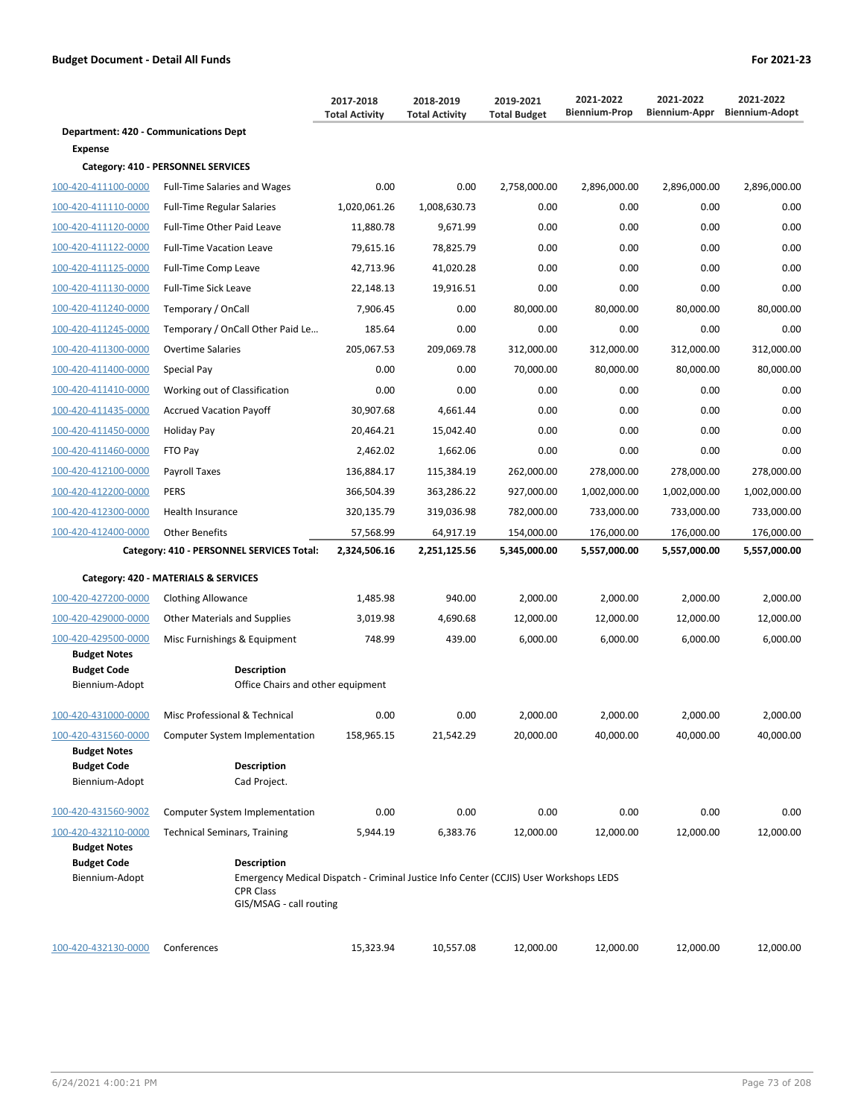|                                              |                                     | 2017-2018<br><b>Total Activity</b> | 2018-2019<br><b>Total Activity</b> | 2019-2021<br><b>Total Budget</b> | 2021-2022<br><b>Biennium-Prop</b> | 2021-2022<br>Biennium-Appr | 2021-2022<br><b>Biennium-Adopt</b> |
|----------------------------------------------|-------------------------------------|------------------------------------|------------------------------------|----------------------------------|-----------------------------------|----------------------------|------------------------------------|
| <b>Department: 420 - Communications Dept</b> |                                     |                                    |                                    |                                  |                                   |                            |                                    |
| <b>Expense</b>                               |                                     |                                    |                                    |                                  |                                   |                            |                                    |
|                                              | Category: 410 - PERSONNEL SERVICES  |                                    |                                    |                                  |                                   |                            |                                    |
| 100-420-411100-0000                          | <b>Full-Time Salaries and Wages</b> | 0.00                               | 0.00                               | 2,758,000.00                     | 2,896,000.00                      | 2,896,000.00               | 2,896,000.00                       |
| 100-420-411110-0000                          | <b>Full-Time Regular Salaries</b>   | 1,020,061.26                       | 1,008,630.73                       | 0.00                             | 0.00                              | 0.00                       | 0.00                               |
| 100-420-411120-0000                          | <b>Full-Time Other Paid Leave</b>   | 11,880.78                          | 9,671.99                           | 0.00                             | 0.00                              | 0.00                       | 0.00                               |
| 100-420-411122-0000                          | <b>Full-Time Vacation Leave</b>     | 79,615.16                          | 78,825.79                          | 0.00                             | 0.00                              | 0.00                       | 0.00                               |
| 100-420-411125-0000                          | <b>Full-Time Comp Leave</b>         | 42,713.96                          | 41,020.28                          | 0.00                             | 0.00                              | 0.00                       | 0.00                               |
| 100-420-411130-0000                          | <b>Full-Time Sick Leave</b>         | 22,148.13                          | 19,916.51                          | 0.00                             | 0.00                              | 0.00                       | 0.00                               |
| 100-420-411240-0000                          | Temporary / OnCall                  | 7,906.45                           | 0.00                               | 80,000.00                        | 80,000.00                         | 80,000.00                  | 80,000.00                          |
| 100-420-411245-0000                          | Temporary / OnCall Other Paid Le    | 185.64                             | 0.00                               | 0.00                             | 0.00                              | 0.00                       | 0.00                               |
| 100-420-411300-0000                          | <b>Overtime Salaries</b>            | 205,067.53                         | 209,069.78                         | 312,000.00                       | 312.000.00                        | 312,000.00                 | 312,000.00                         |
| 100-420-411400-0000                          | Special Pay                         | 0.00                               | 0.00                               | 70,000.00                        | 80,000.00                         | 80,000.00                  | 80,000.00                          |
| 100-420-411410-0000                          | Working out of Classification       | 0.00                               | 0.00                               | 0.00                             | 0.00                              | 0.00                       | 0.00                               |
| 100-420-411435-0000                          | <b>Accrued Vacation Payoff</b>      | 30,907.68                          | 4,661.44                           | 0.00                             | 0.00                              | 0.00                       | 0.00                               |

| 100-420-412200-0000 | <b>PERS</b>                               | 366,504.39   | 363,286.22   | 927,000.00   | 1,002,000.00 | 1,002,000.00 | 1,002,000.00 |  |  |
|---------------------|-------------------------------------------|--------------|--------------|--------------|--------------|--------------|--------------|--|--|
| 100-420-412300-0000 | <b>Health Insurance</b>                   | 320,135.79   | 319,036.98   | 782,000.00   | 733,000.00   | 733,000.00   | 733,000.00   |  |  |
| 100-420-412400-0000 | <b>Other Benefits</b>                     | 57,568.99    | 64,917.19    | 154,000.00   | 176,000.00   | 176,000.00   | 176,000.00   |  |  |
|                     | Category: 410 - PERSONNEL SERVICES Total: | 2,324,506.16 | 2,251,125.56 | 5,345,000.00 | 5,557,000.00 | 5,557,000.00 | 5,557,000.00 |  |  |
|                     | Category: 420 - MATERIALS & SERVICES      |              |              |              |              |              |              |  |  |
| 100-420-427200-0000 | <b>Clothing Allowance</b>                 | 1,485.98     | 940.00       | 2,000.00     | 2,000.00     | 2,000.00     | 2,000.00     |  |  |
| 100-420-429000-0000 | Other Materials and Supplies              | 3,019.98     | 4,690.68     | 12,000.00    | 12,000.00    | 12,000.00    | 12,000.00    |  |  |
| 100-420-429500-0000 | Misc Furnishings & Equipment              | 748.99       | 439.00       | 6,000.00     | 6,000.00     | 6,000.00     | 6,000.00     |  |  |
| <b>Budget Notes</b> |                                           |              |              |              |              |              |              |  |  |
| <b>Budget Code</b>  | <b>Description</b>                        |              |              |              |              |              |              |  |  |
| Biennium-Adopt      | Office Chairs and other equipment         |              |              |              |              |              |              |  |  |
| 100-420-431000-0000 | Misc Professional & Technical             | 0.00         | 0.00         | 2,000.00     | 2,000.00     | 2,000.00     | 2,000.00     |  |  |
| 100-420-431560-0000 | <b>Computer System Implementation</b>     | 158,965.15   | 21,542.29    | 20,000.00    | 40,000.00    | 40,000.00    | 40,000.00    |  |  |
| <b>Budget Notes</b> |                                           |              |              |              |              |              |              |  |  |
| <b>Budget Code</b>  | <b>Description</b>                        |              |              |              |              |              |              |  |  |
| Biennium-Adopt      | Cad Project.                              |              |              |              |              |              |              |  |  |
| 100-420-431560-9002 | <b>Computer System Implementation</b>     | 0.00         | 0.00         | 0.00         | 0.00         | 0.00         | 0.00         |  |  |
| 100-420-432110-0000 | <b>Technical Seminars, Training</b>       | 5,944.19     | 6,383.76     | 12,000.00    | 12,000.00    | 12,000.00    | 12,000.00    |  |  |
| <b>Budget Notes</b> |                                           |              |              |              |              |              |              |  |  |

100-420-411450-0000 Holiday Pay 20,464.21 15,042.40 0.00 0.00 0.00 0.00 100-420-411460-0000 FTO Pay 2,462.02 1,662.06 0.00 0.00 0.00 0.00 100-420-412100-0000 Payroll Taxes 136,884.17 115,384.19 262,000.00 278,000.00 278,000.00 278,000.00

**Budget Code Description** 

Biennium-Adopt Emergency Medical Dispatch - Criminal Justice Info Center (CCJIS) User Workshops LEDS CPR Class GIS/MSAG - call routing

| 100-420-432130-0000<br>12.000.00<br>12.000.00<br>10.557.08<br>15.323.94<br>12.000.00<br>Conferences | 12.000.00 |
|-----------------------------------------------------------------------------------------------------|-----------|
|-----------------------------------------------------------------------------------------------------|-----------|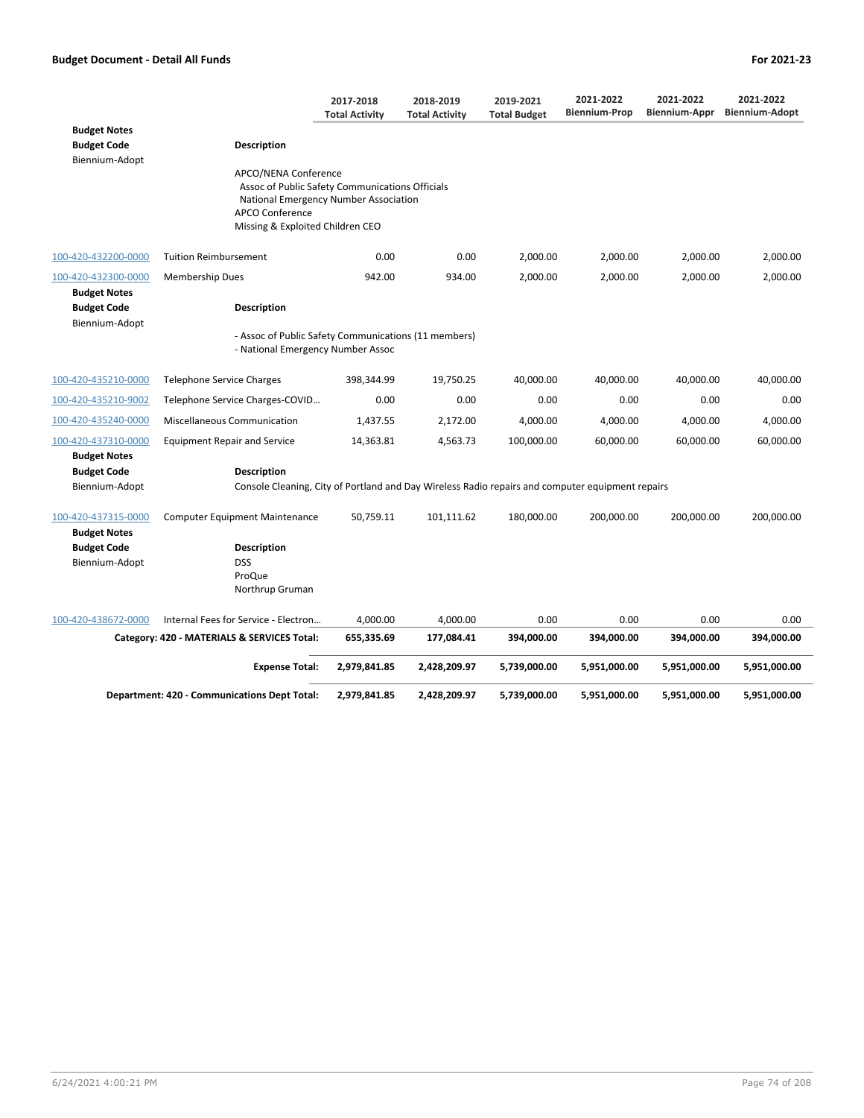|                                                             |                                                                                                                                                                                | 2017-2018<br><b>Total Activity</b> | 2018-2019<br><b>Total Activity</b> | 2019-2021<br><b>Total Budget</b> | 2021-2022<br><b>Biennium-Prop</b> | 2021-2022<br>Biennium-Appr | 2021-2022<br><b>Biennium-Adopt</b> |
|-------------------------------------------------------------|--------------------------------------------------------------------------------------------------------------------------------------------------------------------------------|------------------------------------|------------------------------------|----------------------------------|-----------------------------------|----------------------------|------------------------------------|
| <b>Budget Notes</b><br><b>Budget Code</b><br>Biennium-Adopt | Description                                                                                                                                                                    |                                    |                                    |                                  |                                   |                            |                                    |
|                                                             | APCO/NENA Conference<br>Assoc of Public Safety Communications Officials<br>National Emergency Number Association<br><b>APCO Conference</b><br>Missing & Exploited Children CEO |                                    |                                    |                                  |                                   |                            |                                    |
| 100-420-432200-0000                                         | <b>Tuition Reimbursement</b>                                                                                                                                                   | 0.00                               | 0.00                               | 2,000.00                         | 2,000.00                          | 2,000.00                   | 2,000.00                           |
| 100-420-432300-0000                                         | <b>Membership Dues</b>                                                                                                                                                         | 942.00                             | 934.00                             | 2,000.00                         | 2,000.00                          | 2,000.00                   | 2,000.00                           |
| <b>Budget Notes</b><br><b>Budget Code</b><br>Biennium-Adopt | Description                                                                                                                                                                    |                                    |                                    |                                  |                                   |                            |                                    |
|                                                             | - Assoc of Public Safety Communications (11 members)<br>- National Emergency Number Assoc                                                                                      |                                    |                                    |                                  |                                   |                            |                                    |
| 100-420-435210-0000                                         | Telephone Service Charges                                                                                                                                                      | 398,344.99                         | 19,750.25                          | 40,000.00                        | 40,000.00                         | 40,000.00                  | 40,000.00                          |
| 100-420-435210-9002                                         | Telephone Service Charges-COVID                                                                                                                                                | 0.00                               | 0.00                               | 0.00                             | 0.00                              | 0.00                       | 0.00                               |
| 100-420-435240-0000                                         | Miscellaneous Communication                                                                                                                                                    | 1,437.55                           | 2,172.00                           | 4,000.00                         | 4,000.00                          | 4,000.00                   | 4,000.00                           |
| 100-420-437310-0000                                         | <b>Equipment Repair and Service</b>                                                                                                                                            | 14,363.81                          | 4,563.73                           | 100,000.00                       | 60,000.00                         | 60,000.00                  | 60,000.00                          |
| <b>Budget Notes</b>                                         |                                                                                                                                                                                |                                    |                                    |                                  |                                   |                            |                                    |
| <b>Budget Code</b><br>Biennium-Adopt                        | Description<br>Console Cleaning, City of Portland and Day Wireless Radio repairs and computer equipment repairs                                                                |                                    |                                    |                                  |                                   |                            |                                    |
| 100-420-437315-0000<br><b>Budget Notes</b>                  | <b>Computer Equipment Maintenance</b>                                                                                                                                          | 50,759.11                          | 101,111.62                         | 180,000.00                       | 200,000.00                        | 200,000.00                 | 200,000.00                         |
| <b>Budget Code</b><br>Biennium-Adopt                        | <b>Description</b><br><b>DSS</b><br>ProQue<br>Northrup Gruman                                                                                                                  |                                    |                                    |                                  |                                   |                            |                                    |
| 100-420-438672-0000                                         | Internal Fees for Service - Electron                                                                                                                                           | 4,000.00                           | 4,000.00                           | 0.00                             | 0.00                              | 0.00                       | 0.00                               |
|                                                             | Category: 420 - MATERIALS & SERVICES Total:                                                                                                                                    | 655,335.69                         | 177,084.41                         | 394,000.00                       | 394,000.00                        | 394,000.00                 | 394,000.00                         |
|                                                             | <b>Expense Total:</b>                                                                                                                                                          | 2,979,841.85                       | 2,428,209.97                       | 5,739,000.00                     | 5,951,000.00                      | 5,951,000.00               | 5,951,000.00                       |
|                                                             | <b>Department: 420 - Communications Dept Total:</b>                                                                                                                            | 2,979,841.85                       | 2,428,209.97                       | 5,739,000.00                     | 5,951,000.00                      | 5,951,000.00               | 5,951,000.00                       |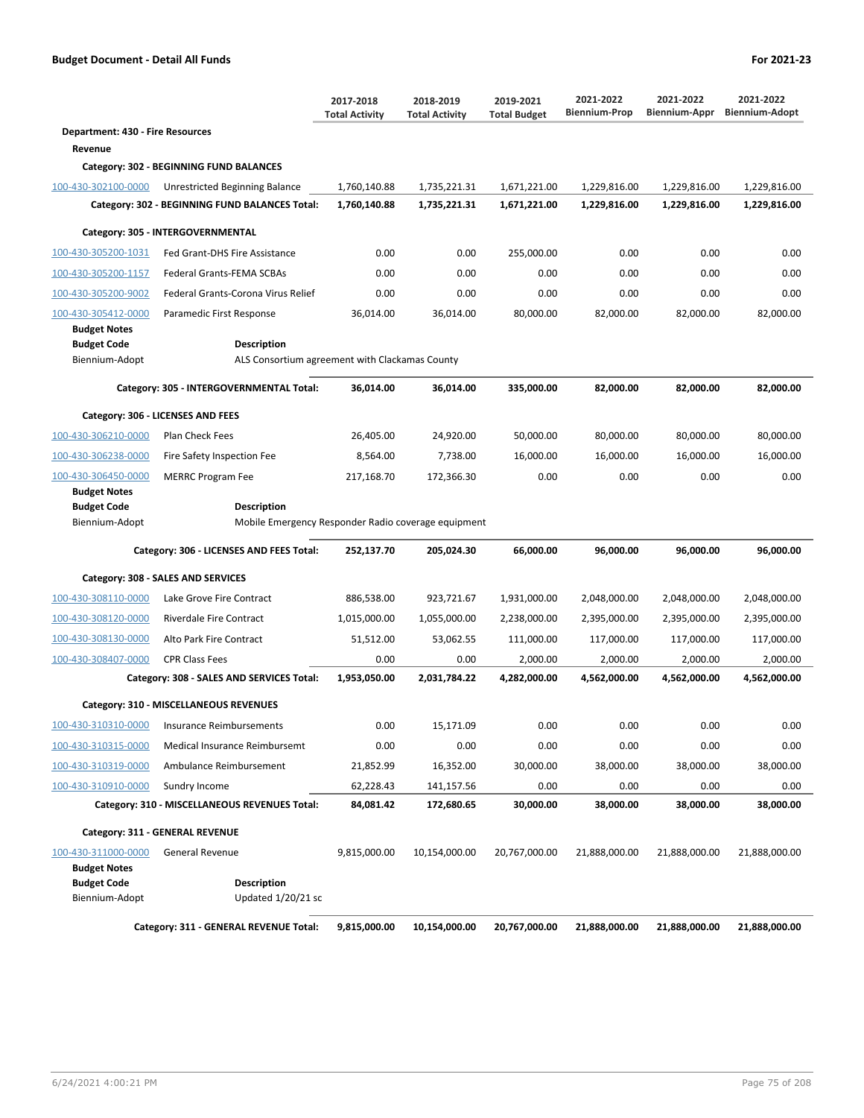|                                            |                                                                    | 2017-2018<br><b>Total Activity</b> | 2018-2019<br><b>Total Activity</b> | 2019-2021<br><b>Total Budget</b> | 2021-2022<br><b>Biennium-Prop</b> | 2021-2022<br>Biennium-Appr | 2021-2022<br><b>Biennium-Adopt</b> |  |  |  |  |
|--------------------------------------------|--------------------------------------------------------------------|------------------------------------|------------------------------------|----------------------------------|-----------------------------------|----------------------------|------------------------------------|--|--|--|--|
| <b>Department: 430 - Fire Resources</b>    |                                                                    |                                    |                                    |                                  |                                   |                            |                                    |  |  |  |  |
| Revenue                                    |                                                                    |                                    |                                    |                                  |                                   |                            |                                    |  |  |  |  |
|                                            | Category: 302 - BEGINNING FUND BALANCES                            |                                    |                                    |                                  |                                   |                            |                                    |  |  |  |  |
| 100-430-302100-0000                        | Unrestricted Beginning Balance                                     | 1,760,140.88                       | 1.735.221.31                       | 1,671,221.00                     | 1,229,816.00                      | 1,229,816.00               | 1.229.816.00                       |  |  |  |  |
|                                            | Category: 302 - BEGINNING FUND BALANCES Total:                     | 1,760,140.88                       | 1,735,221.31                       | 1,671,221.00                     | 1,229,816.00                      | 1,229,816.00               | 1,229,816.00                       |  |  |  |  |
|                                            | Category: 305 - INTERGOVERNMENTAL                                  |                                    |                                    |                                  |                                   |                            |                                    |  |  |  |  |
| 100-430-305200-1031                        | Fed Grant-DHS Fire Assistance                                      | 0.00                               | 0.00                               | 255,000.00                       | 0.00                              | 0.00                       | 0.00                               |  |  |  |  |
| 100-430-305200-1157                        | Federal Grants-FEMA SCBAs                                          | 0.00                               | 0.00                               | 0.00                             | 0.00                              | 0.00                       | 0.00                               |  |  |  |  |
| 100-430-305200-9002                        | Federal Grants-Corona Virus Relief                                 | 0.00                               | 0.00                               | 0.00                             | 0.00                              | 0.00                       | 0.00                               |  |  |  |  |
| 100-430-305412-0000<br><b>Budget Notes</b> | Paramedic First Response                                           | 36,014.00                          | 36,014.00                          | 80,000.00                        | 82,000.00                         | 82,000.00                  | 82,000.00                          |  |  |  |  |
| <b>Budget Code</b>                         | <b>Description</b>                                                 |                                    |                                    |                                  |                                   |                            |                                    |  |  |  |  |
| Biennium-Adopt                             | ALS Consortium agreement with Clackamas County                     |                                    |                                    |                                  |                                   |                            |                                    |  |  |  |  |
|                                            | Category: 305 - INTERGOVERNMENTAL Total:                           | 36,014.00                          | 36,014.00                          | 335,000.00                       | 82.000.00                         | 82,000.00                  | 82,000.00                          |  |  |  |  |
|                                            | Category: 306 - LICENSES AND FEES                                  |                                    |                                    |                                  |                                   |                            |                                    |  |  |  |  |
| 100-430-306210-0000                        | Plan Check Fees                                                    | 26,405.00                          | 24,920.00                          | 50.000.00                        | 80,000.00                         | 80,000.00                  | 80.000.00                          |  |  |  |  |
| 100-430-306238-0000                        | Fire Safety Inspection Fee                                         | 8,564.00                           | 7,738.00                           | 16,000.00                        | 16,000.00                         | 16.000.00                  | 16,000.00                          |  |  |  |  |
| 100-430-306450-0000                        | <b>MERRC Program Fee</b>                                           | 217,168.70                         | 172,366.30                         | 0.00                             | 0.00                              | 0.00                       | 0.00                               |  |  |  |  |
| <b>Budget Notes</b>                        |                                                                    |                                    |                                    |                                  |                                   |                            |                                    |  |  |  |  |
| <b>Budget Code</b><br>Biennium-Adopt       | Description<br>Mobile Emergency Responder Radio coverage equipment |                                    |                                    |                                  |                                   |                            |                                    |  |  |  |  |
|                                            |                                                                    |                                    |                                    |                                  |                                   |                            |                                    |  |  |  |  |
|                                            | Category: 306 - LICENSES AND FEES Total:                           | 252,137.70                         | 205,024.30                         | 66,000.00                        | 96,000.00                         | 96,000.00                  | 96,000.00                          |  |  |  |  |
|                                            | Category: 308 - SALES AND SERVICES                                 |                                    |                                    |                                  |                                   |                            |                                    |  |  |  |  |
| 100-430-308110-0000                        | Lake Grove Fire Contract                                           | 886,538.00                         | 923,721.67                         | 1,931,000.00                     | 2,048,000.00                      | 2,048,000.00               | 2,048,000.00                       |  |  |  |  |
| 100-430-308120-0000                        | Riverdale Fire Contract                                            | 1,015,000.00                       | 1,055,000.00                       | 2,238,000.00                     | 2,395,000.00                      | 2,395,000.00               | 2,395,000.00                       |  |  |  |  |
| 100-430-308130-0000                        | Alto Park Fire Contract                                            | 51,512.00                          | 53,062.55                          | 111,000.00                       | 117,000.00                        | 117,000.00                 | 117,000.00                         |  |  |  |  |
| 100-430-308407-0000                        | <b>CPR Class Fees</b>                                              | 0.00                               | 0.00                               | 2,000.00                         | 2,000.00                          | 2,000.00                   | 2,000.00                           |  |  |  |  |
|                                            | Category: 308 - SALES AND SERVICES Total:                          | 1,953,050.00                       | 2,031,784.22                       | 4,282,000.00                     | 4,562,000.00                      | 4,562,000.00               | 4,562,000.00                       |  |  |  |  |
|                                            | Category: 310 - MISCELLANEOUS REVENUES                             |                                    |                                    |                                  |                                   |                            |                                    |  |  |  |  |
| 100-430-310310-0000                        | <b>Insurance Reimbursements</b>                                    | 0.00                               | 15,171.09                          | 0.00                             | 0.00                              | 0.00                       | 0.00                               |  |  |  |  |
| 100-430-310315-0000                        | Medical Insurance Reimbursemt                                      | 0.00                               | 0.00                               | 0.00                             | 0.00                              | 0.00                       | 0.00                               |  |  |  |  |
| 100-430-310319-0000                        | Ambulance Reimbursement                                            | 21,852.99                          | 16,352.00                          | 30,000.00                        | 38,000.00                         | 38,000.00                  | 38,000.00                          |  |  |  |  |
| 100-430-310910-0000                        | Sundry Income                                                      | 62,228.43                          | 141,157.56                         | 0.00                             | 0.00                              | 0.00                       | 0.00                               |  |  |  |  |
|                                            | Category: 310 - MISCELLANEOUS REVENUES Total:                      | 84,081.42                          | 172,680.65                         | 30,000.00                        | 38,000.00                         | 38,000.00                  | 38,000.00                          |  |  |  |  |
|                                            | Category: 311 - GENERAL REVENUE                                    |                                    |                                    |                                  |                                   |                            |                                    |  |  |  |  |
| 100-430-311000-0000                        | <b>General Revenue</b>                                             | 9,815,000.00                       | 10,154,000.00                      | 20,767,000.00                    | 21,888,000.00                     | 21,888,000.00              | 21,888,000.00                      |  |  |  |  |
| <b>Budget Notes</b>                        |                                                                    |                                    |                                    |                                  |                                   |                            |                                    |  |  |  |  |
| <b>Budget Code</b><br>Biennium-Adopt       | Description<br>Updated 1/20/21 sc                                  |                                    |                                    |                                  |                                   |                            |                                    |  |  |  |  |
|                                            |                                                                    |                                    |                                    |                                  |                                   |                            |                                    |  |  |  |  |
|                                            | Category: 311 - GENERAL REVENUE Total:                             | 9,815,000.00                       | 10,154,000.00                      | 20,767,000.00                    | 21,888,000.00                     | 21,888,000.00              | 21,888,000.00                      |  |  |  |  |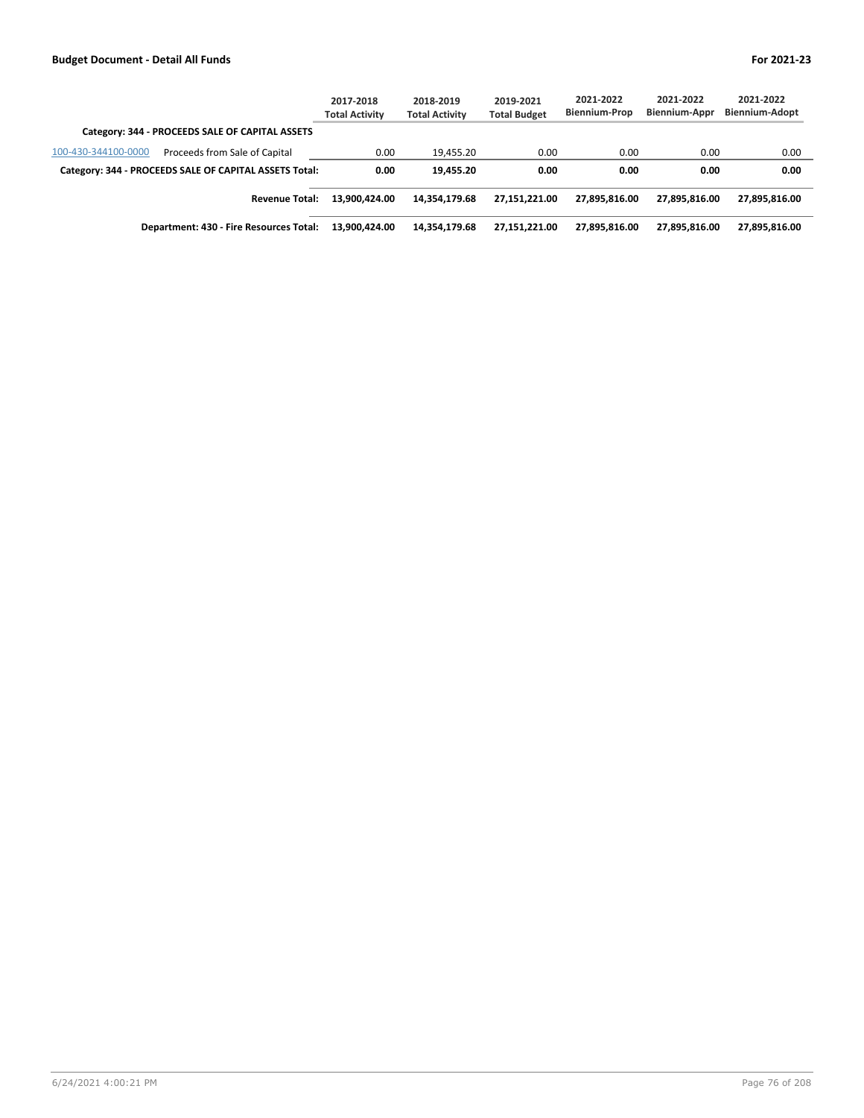|                                                        | 2017-2018<br><b>Total Activity</b> | 2018-2019<br><b>Total Activity</b> | 2019-2021<br><b>Total Budget</b> | 2021-2022<br><b>Biennium-Prop</b> | 2021-2022<br>Biennium-Appr | 2021-2022<br><b>Biennium-Adopt</b> |
|--------------------------------------------------------|------------------------------------|------------------------------------|----------------------------------|-----------------------------------|----------------------------|------------------------------------|
| Category: 344 - PROCEEDS SALE OF CAPITAL ASSETS        |                                    |                                    |                                  |                                   |                            |                                    |
| Proceeds from Sale of Capital<br>100-430-344100-0000   | 0.00                               | 19.455.20                          | 0.00                             | 0.00                              | 0.00                       | 0.00                               |
| Category: 344 - PROCEEDS SALE OF CAPITAL ASSETS Total: | 0.00                               | 19.455.20                          | 0.00                             | 0.00                              | 0.00                       | 0.00                               |
| <b>Revenue Total:</b>                                  | 13.900.424.00                      | 14.354.179.68                      | 27.151.221.00                    | 27.895.816.00                     | 27.895.816.00              | 27,895,816.00                      |
| Department: 430 - Fire Resources Total:                | 13.900.424.00                      | 14,354,179.68                      | 27,151,221.00                    | 27.895.816.00                     | 27.895.816.00              | 27,895,816.00                      |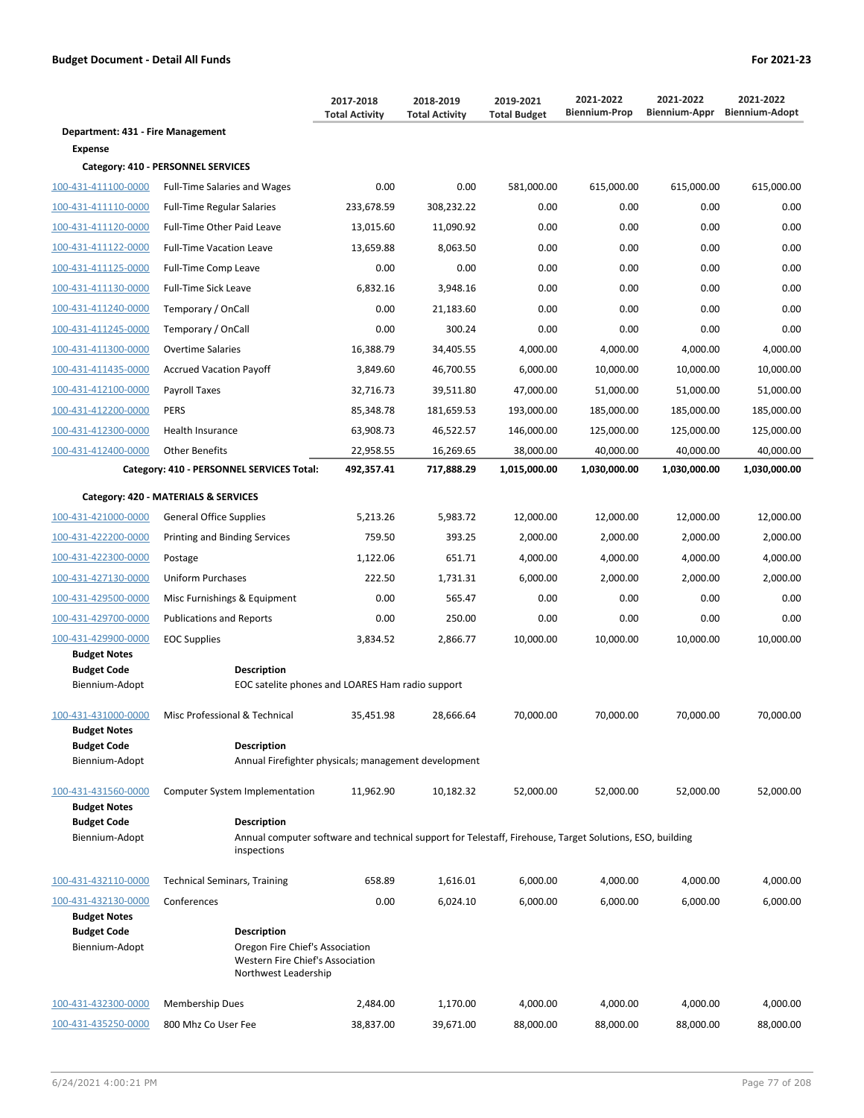| Department: 431 - Fire Management<br>Expense<br>Category: 410 - PERSONNEL SERVICES<br>100-431-411100-0000<br>0.00<br>0.00<br>581,000.00<br>615,000.00<br>615,000.00<br>615,000.00<br><b>Full-Time Salaries and Wages</b><br>233,678.59<br>100-431-411110-0000<br>308,232.22<br>0.00<br>0.00<br>0.00<br>0.00<br><b>Full-Time Regular Salaries</b><br>11,090.92<br>0.00<br>0.00<br>0.00<br>100-431-411120-0000<br>Full-Time Other Paid Leave<br>13,015.60<br>100-431-411122-0000<br>8,063.50<br>0.00<br>0.00<br>0.00<br>0.00<br><b>Full-Time Vacation Leave</b><br>13,659.88<br>0.00<br>0.00<br>0.00<br>0.00<br>0.00<br>0.00<br>100-431-411125-0000<br>Full-Time Comp Leave<br>100-431-411130-0000<br>6,832.16<br>3,948.16<br>0.00<br>0.00<br>0.00<br>Full-Time Sick Leave<br>100-431-411240-0000<br>Temporary / OnCall<br>0.00<br>21,183.60<br>0.00<br>0.00<br>0.00<br>0.00<br>300.24<br>0.00<br>0.00<br>0.00<br>100-431-411245-0000<br>Temporary / OnCall<br>100-431-411300-0000<br>16,388.79<br>34,405.55<br>4,000.00<br>4,000.00<br>4,000.00<br>4,000.00<br>Overtime Salaries<br>3,849.60<br>10,000.00<br>100-431-411435-0000<br><b>Accrued Vacation Payoff</b><br>46,700.55<br>6,000.00<br>10,000.00<br>100-431-412100-0000<br>32,716.73<br>39,511.80<br>47,000.00<br>51,000.00<br>51,000.00<br>Payroll Taxes<br>100-431-412200-0000<br><b>PERS</b><br>85,348.78<br>181,659.53<br>193,000.00<br>185,000.00<br>185,000.00<br>185,000.00<br>63,908.73<br>46,522.57<br>100-431-412300-0000<br>Health Insurance<br>146,000.00<br>125,000.00<br>125,000.00<br>100-431-412400-0000<br>22,958.55<br>16,269.65<br>38,000.00<br>40,000.00<br>40,000.00<br><b>Other Benefits</b><br>Category: 410 - PERSONNEL SERVICES Total:<br>492,357.41<br>717,888.29<br>1,015,000.00<br>1,030,000.00<br>1,030,000.00<br>Category: 420 - MATERIALS & SERVICES<br>100-431-421000-0000<br>5,213.26<br>5,983.72<br>12,000.00<br>12,000.00<br>12,000.00<br>General Office Supplies<br>393.25<br>100-431-422200-0000<br>759.50<br>2,000.00<br>2,000.00<br>2,000.00<br>2,000.00<br>Printing and Binding Services |  | 2017-2018<br><b>Total Activity</b> | 2018-2019<br><b>Total Activity</b> | 2019-2021<br><b>Total Budget</b> | 2021-2022<br><b>Biennium-Prop</b> | 2021-2022<br>Biennium-Appr | 2021-2022<br><b>Biennium-Adopt</b> |
|-----------------------------------------------------------------------------------------------------------------------------------------------------------------------------------------------------------------------------------------------------------------------------------------------------------------------------------------------------------------------------------------------------------------------------------------------------------------------------------------------------------------------------------------------------------------------------------------------------------------------------------------------------------------------------------------------------------------------------------------------------------------------------------------------------------------------------------------------------------------------------------------------------------------------------------------------------------------------------------------------------------------------------------------------------------------------------------------------------------------------------------------------------------------------------------------------------------------------------------------------------------------------------------------------------------------------------------------------------------------------------------------------------------------------------------------------------------------------------------------------------------------------------------------------------------------------------------------------------------------------------------------------------------------------------------------------------------------------------------------------------------------------------------------------------------------------------------------------------------------------------------------------------------------------------------------------------------------------------------------------------------------------------------------------------------------------------------------|--|------------------------------------|------------------------------------|----------------------------------|-----------------------------------|----------------------------|------------------------------------|
|                                                                                                                                                                                                                                                                                                                                                                                                                                                                                                                                                                                                                                                                                                                                                                                                                                                                                                                                                                                                                                                                                                                                                                                                                                                                                                                                                                                                                                                                                                                                                                                                                                                                                                                                                                                                                                                                                                                                                                                                                                                                                         |  |                                    |                                    |                                  |                                   |                            |                                    |
|                                                                                                                                                                                                                                                                                                                                                                                                                                                                                                                                                                                                                                                                                                                                                                                                                                                                                                                                                                                                                                                                                                                                                                                                                                                                                                                                                                                                                                                                                                                                                                                                                                                                                                                                                                                                                                                                                                                                                                                                                                                                                         |  |                                    |                                    |                                  |                                   |                            |                                    |
|                                                                                                                                                                                                                                                                                                                                                                                                                                                                                                                                                                                                                                                                                                                                                                                                                                                                                                                                                                                                                                                                                                                                                                                                                                                                                                                                                                                                                                                                                                                                                                                                                                                                                                                                                                                                                                                                                                                                                                                                                                                                                         |  |                                    |                                    |                                  |                                   |                            |                                    |
|                                                                                                                                                                                                                                                                                                                                                                                                                                                                                                                                                                                                                                                                                                                                                                                                                                                                                                                                                                                                                                                                                                                                                                                                                                                                                                                                                                                                                                                                                                                                                                                                                                                                                                                                                                                                                                                                                                                                                                                                                                                                                         |  |                                    |                                    |                                  |                                   |                            |                                    |
|                                                                                                                                                                                                                                                                                                                                                                                                                                                                                                                                                                                                                                                                                                                                                                                                                                                                                                                                                                                                                                                                                                                                                                                                                                                                                                                                                                                                                                                                                                                                                                                                                                                                                                                                                                                                                                                                                                                                                                                                                                                                                         |  |                                    |                                    |                                  |                                   |                            |                                    |
|                                                                                                                                                                                                                                                                                                                                                                                                                                                                                                                                                                                                                                                                                                                                                                                                                                                                                                                                                                                                                                                                                                                                                                                                                                                                                                                                                                                                                                                                                                                                                                                                                                                                                                                                                                                                                                                                                                                                                                                                                                                                                         |  |                                    |                                    |                                  |                                   |                            | 0.00                               |
|                                                                                                                                                                                                                                                                                                                                                                                                                                                                                                                                                                                                                                                                                                                                                                                                                                                                                                                                                                                                                                                                                                                                                                                                                                                                                                                                                                                                                                                                                                                                                                                                                                                                                                                                                                                                                                                                                                                                                                                                                                                                                         |  |                                    |                                    |                                  |                                   |                            |                                    |
|                                                                                                                                                                                                                                                                                                                                                                                                                                                                                                                                                                                                                                                                                                                                                                                                                                                                                                                                                                                                                                                                                                                                                                                                                                                                                                                                                                                                                                                                                                                                                                                                                                                                                                                                                                                                                                                                                                                                                                                                                                                                                         |  |                                    |                                    |                                  |                                   |                            |                                    |
|                                                                                                                                                                                                                                                                                                                                                                                                                                                                                                                                                                                                                                                                                                                                                                                                                                                                                                                                                                                                                                                                                                                                                                                                                                                                                                                                                                                                                                                                                                                                                                                                                                                                                                                                                                                                                                                                                                                                                                                                                                                                                         |  |                                    |                                    |                                  |                                   |                            | 0.00                               |
|                                                                                                                                                                                                                                                                                                                                                                                                                                                                                                                                                                                                                                                                                                                                                                                                                                                                                                                                                                                                                                                                                                                                                                                                                                                                                                                                                                                                                                                                                                                                                                                                                                                                                                                                                                                                                                                                                                                                                                                                                                                                                         |  |                                    |                                    |                                  |                                   |                            | 0.00                               |
|                                                                                                                                                                                                                                                                                                                                                                                                                                                                                                                                                                                                                                                                                                                                                                                                                                                                                                                                                                                                                                                                                                                                                                                                                                                                                                                                                                                                                                                                                                                                                                                                                                                                                                                                                                                                                                                                                                                                                                                                                                                                                         |  |                                    |                                    |                                  |                                   |                            | 0.00                               |
|                                                                                                                                                                                                                                                                                                                                                                                                                                                                                                                                                                                                                                                                                                                                                                                                                                                                                                                                                                                                                                                                                                                                                                                                                                                                                                                                                                                                                                                                                                                                                                                                                                                                                                                                                                                                                                                                                                                                                                                                                                                                                         |  |                                    |                                    |                                  |                                   |                            |                                    |
|                                                                                                                                                                                                                                                                                                                                                                                                                                                                                                                                                                                                                                                                                                                                                                                                                                                                                                                                                                                                                                                                                                                                                                                                                                                                                                                                                                                                                                                                                                                                                                                                                                                                                                                                                                                                                                                                                                                                                                                                                                                                                         |  |                                    |                                    |                                  |                                   |                            | 10,000.00                          |
|                                                                                                                                                                                                                                                                                                                                                                                                                                                                                                                                                                                                                                                                                                                                                                                                                                                                                                                                                                                                                                                                                                                                                                                                                                                                                                                                                                                                                                                                                                                                                                                                                                                                                                                                                                                                                                                                                                                                                                                                                                                                                         |  |                                    |                                    |                                  |                                   |                            | 51,000.00                          |
|                                                                                                                                                                                                                                                                                                                                                                                                                                                                                                                                                                                                                                                                                                                                                                                                                                                                                                                                                                                                                                                                                                                                                                                                                                                                                                                                                                                                                                                                                                                                                                                                                                                                                                                                                                                                                                                                                                                                                                                                                                                                                         |  |                                    |                                    |                                  |                                   |                            |                                    |
|                                                                                                                                                                                                                                                                                                                                                                                                                                                                                                                                                                                                                                                                                                                                                                                                                                                                                                                                                                                                                                                                                                                                                                                                                                                                                                                                                                                                                                                                                                                                                                                                                                                                                                                                                                                                                                                                                                                                                                                                                                                                                         |  |                                    |                                    |                                  |                                   |                            | 125,000.00                         |
|                                                                                                                                                                                                                                                                                                                                                                                                                                                                                                                                                                                                                                                                                                                                                                                                                                                                                                                                                                                                                                                                                                                                                                                                                                                                                                                                                                                                                                                                                                                                                                                                                                                                                                                                                                                                                                                                                                                                                                                                                                                                                         |  |                                    |                                    |                                  |                                   |                            | 40,000.00                          |
|                                                                                                                                                                                                                                                                                                                                                                                                                                                                                                                                                                                                                                                                                                                                                                                                                                                                                                                                                                                                                                                                                                                                                                                                                                                                                                                                                                                                                                                                                                                                                                                                                                                                                                                                                                                                                                                                                                                                                                                                                                                                                         |  |                                    |                                    |                                  |                                   |                            | 1,030,000.00                       |
|                                                                                                                                                                                                                                                                                                                                                                                                                                                                                                                                                                                                                                                                                                                                                                                                                                                                                                                                                                                                                                                                                                                                                                                                                                                                                                                                                                                                                                                                                                                                                                                                                                                                                                                                                                                                                                                                                                                                                                                                                                                                                         |  |                                    |                                    |                                  |                                   |                            |                                    |
|                                                                                                                                                                                                                                                                                                                                                                                                                                                                                                                                                                                                                                                                                                                                                                                                                                                                                                                                                                                                                                                                                                                                                                                                                                                                                                                                                                                                                                                                                                                                                                                                                                                                                                                                                                                                                                                                                                                                                                                                                                                                                         |  |                                    |                                    |                                  |                                   |                            | 12,000.00                          |
|                                                                                                                                                                                                                                                                                                                                                                                                                                                                                                                                                                                                                                                                                                                                                                                                                                                                                                                                                                                                                                                                                                                                                                                                                                                                                                                                                                                                                                                                                                                                                                                                                                                                                                                                                                                                                                                                                                                                                                                                                                                                                         |  |                                    |                                    |                                  |                                   |                            |                                    |
| 1,122.06<br>651.71<br>4,000.00<br>4,000.00<br>4,000.00<br>100-431-422300-0000<br>Postage                                                                                                                                                                                                                                                                                                                                                                                                                                                                                                                                                                                                                                                                                                                                                                                                                                                                                                                                                                                                                                                                                                                                                                                                                                                                                                                                                                                                                                                                                                                                                                                                                                                                                                                                                                                                                                                                                                                                                                                                |  |                                    |                                    |                                  |                                   |                            | 4,000.00                           |
| 100-431-427130-0000<br>222.50<br>1,731.31<br>6,000.00<br>2,000.00<br>2,000.00<br>2,000.00<br>Uniform Purchases                                                                                                                                                                                                                                                                                                                                                                                                                                                                                                                                                                                                                                                                                                                                                                                                                                                                                                                                                                                                                                                                                                                                                                                                                                                                                                                                                                                                                                                                                                                                                                                                                                                                                                                                                                                                                                                                                                                                                                          |  |                                    |                                    |                                  |                                   |                            |                                    |
| Misc Furnishings & Equipment<br>0.00<br>565.47<br>0.00<br>0.00<br>0.00<br>100-431-429500-0000                                                                                                                                                                                                                                                                                                                                                                                                                                                                                                                                                                                                                                                                                                                                                                                                                                                                                                                                                                                                                                                                                                                                                                                                                                                                                                                                                                                                                                                                                                                                                                                                                                                                                                                                                                                                                                                                                                                                                                                           |  |                                    |                                    |                                  |                                   |                            | 0.00                               |
| 100-431-429700-0000<br>0.00<br>250.00<br>0.00<br>0.00<br>0.00<br><b>Publications and Reports</b>                                                                                                                                                                                                                                                                                                                                                                                                                                                                                                                                                                                                                                                                                                                                                                                                                                                                                                                                                                                                                                                                                                                                                                                                                                                                                                                                                                                                                                                                                                                                                                                                                                                                                                                                                                                                                                                                                                                                                                                        |  |                                    |                                    |                                  |                                   |                            | 0.00                               |
| 100-431-429900-0000<br>3,834.52<br>2,866.77<br>10,000.00<br>10,000.00<br>10,000.00<br><b>EOC Supplies</b>                                                                                                                                                                                                                                                                                                                                                                                                                                                                                                                                                                                                                                                                                                                                                                                                                                                                                                                                                                                                                                                                                                                                                                                                                                                                                                                                                                                                                                                                                                                                                                                                                                                                                                                                                                                                                                                                                                                                                                               |  |                                    |                                    |                                  |                                   |                            | 10,000.00                          |
| <b>Budget Notes</b><br><b>Budget Code</b><br>Description                                                                                                                                                                                                                                                                                                                                                                                                                                                                                                                                                                                                                                                                                                                                                                                                                                                                                                                                                                                                                                                                                                                                                                                                                                                                                                                                                                                                                                                                                                                                                                                                                                                                                                                                                                                                                                                                                                                                                                                                                                |  |                                    |                                    |                                  |                                   |                            |                                    |
| Biennium-Adopt<br>EOC satelite phones and LOARES Ham radio support                                                                                                                                                                                                                                                                                                                                                                                                                                                                                                                                                                                                                                                                                                                                                                                                                                                                                                                                                                                                                                                                                                                                                                                                                                                                                                                                                                                                                                                                                                                                                                                                                                                                                                                                                                                                                                                                                                                                                                                                                      |  |                                    |                                    |                                  |                                   |                            |                                    |
| 70,000.00<br>100-431-431000-0000<br>Misc Professional & Technical<br>35,451.98                                                                                                                                                                                                                                                                                                                                                                                                                                                                                                                                                                                                                                                                                                                                                                                                                                                                                                                                                                                                                                                                                                                                                                                                                                                                                                                                                                                                                                                                                                                                                                                                                                                                                                                                                                                                                                                                                                                                                                                                          |  |                                    |                                    |                                  |                                   |                            |                                    |
| 70,000.00<br>70,000.00<br>70,000.00<br>28,666.64<br><b>Budget Notes</b>                                                                                                                                                                                                                                                                                                                                                                                                                                                                                                                                                                                                                                                                                                                                                                                                                                                                                                                                                                                                                                                                                                                                                                                                                                                                                                                                                                                                                                                                                                                                                                                                                                                                                                                                                                                                                                                                                                                                                                                                                 |  |                                    |                                    |                                  |                                   |                            |                                    |
| <b>Budget Code</b><br><b>Description</b>                                                                                                                                                                                                                                                                                                                                                                                                                                                                                                                                                                                                                                                                                                                                                                                                                                                                                                                                                                                                                                                                                                                                                                                                                                                                                                                                                                                                                                                                                                                                                                                                                                                                                                                                                                                                                                                                                                                                                                                                                                                |  |                                    |                                    |                                  |                                   |                            |                                    |
| Biennium-Adopt<br>Annual Firefighter physicals; management development                                                                                                                                                                                                                                                                                                                                                                                                                                                                                                                                                                                                                                                                                                                                                                                                                                                                                                                                                                                                                                                                                                                                                                                                                                                                                                                                                                                                                                                                                                                                                                                                                                                                                                                                                                                                                                                                                                                                                                                                                  |  |                                    |                                    |                                  |                                   |                            |                                    |
| 52,000.00<br>52,000.00<br>52,000.00<br>100-431-431560-0000<br><b>Computer System Implementation</b><br>11,962.90<br>10,182.32                                                                                                                                                                                                                                                                                                                                                                                                                                                                                                                                                                                                                                                                                                                                                                                                                                                                                                                                                                                                                                                                                                                                                                                                                                                                                                                                                                                                                                                                                                                                                                                                                                                                                                                                                                                                                                                                                                                                                           |  |                                    |                                    |                                  |                                   |                            | 52,000.00                          |
| <b>Budget Notes</b>                                                                                                                                                                                                                                                                                                                                                                                                                                                                                                                                                                                                                                                                                                                                                                                                                                                                                                                                                                                                                                                                                                                                                                                                                                                                                                                                                                                                                                                                                                                                                                                                                                                                                                                                                                                                                                                                                                                                                                                                                                                                     |  |                                    |                                    |                                  |                                   |                            |                                    |
| <b>Budget Code</b><br><b>Description</b><br>Biennium-Adopt<br>Annual computer software and technical support for Telestaff, Firehouse, Target Solutions, ESO, building                                                                                                                                                                                                                                                                                                                                                                                                                                                                                                                                                                                                                                                                                                                                                                                                                                                                                                                                                                                                                                                                                                                                                                                                                                                                                                                                                                                                                                                                                                                                                                                                                                                                                                                                                                                                                                                                                                                  |  |                                    |                                    |                                  |                                   |                            |                                    |
| inspections                                                                                                                                                                                                                                                                                                                                                                                                                                                                                                                                                                                                                                                                                                                                                                                                                                                                                                                                                                                                                                                                                                                                                                                                                                                                                                                                                                                                                                                                                                                                                                                                                                                                                                                                                                                                                                                                                                                                                                                                                                                                             |  |                                    |                                    |                                  |                                   |                            |                                    |
| <b>Technical Seminars, Training</b><br>658.89<br>1,616.01<br>6,000.00<br>4,000.00<br>4,000.00<br>100-431-432110-0000                                                                                                                                                                                                                                                                                                                                                                                                                                                                                                                                                                                                                                                                                                                                                                                                                                                                                                                                                                                                                                                                                                                                                                                                                                                                                                                                                                                                                                                                                                                                                                                                                                                                                                                                                                                                                                                                                                                                                                    |  |                                    |                                    |                                  |                                   |                            | 4,000.00                           |
| 100-431-432130-0000<br>Conferences<br>0.00<br>6,024.10<br>6,000.00<br>6,000.00<br>6,000.00                                                                                                                                                                                                                                                                                                                                                                                                                                                                                                                                                                                                                                                                                                                                                                                                                                                                                                                                                                                                                                                                                                                                                                                                                                                                                                                                                                                                                                                                                                                                                                                                                                                                                                                                                                                                                                                                                                                                                                                              |  |                                    |                                    |                                  |                                   |                            | 6,000.00                           |
| <b>Budget Notes</b>                                                                                                                                                                                                                                                                                                                                                                                                                                                                                                                                                                                                                                                                                                                                                                                                                                                                                                                                                                                                                                                                                                                                                                                                                                                                                                                                                                                                                                                                                                                                                                                                                                                                                                                                                                                                                                                                                                                                                                                                                                                                     |  |                                    |                                    |                                  |                                   |                            |                                    |
| <b>Budget Code</b><br><b>Description</b>                                                                                                                                                                                                                                                                                                                                                                                                                                                                                                                                                                                                                                                                                                                                                                                                                                                                                                                                                                                                                                                                                                                                                                                                                                                                                                                                                                                                                                                                                                                                                                                                                                                                                                                                                                                                                                                                                                                                                                                                                                                |  |                                    |                                    |                                  |                                   |                            |                                    |
| Biennium-Adopt<br>Oregon Fire Chief's Association<br>Western Fire Chief's Association<br>Northwest Leadership                                                                                                                                                                                                                                                                                                                                                                                                                                                                                                                                                                                                                                                                                                                                                                                                                                                                                                                                                                                                                                                                                                                                                                                                                                                                                                                                                                                                                                                                                                                                                                                                                                                                                                                                                                                                                                                                                                                                                                           |  |                                    |                                    |                                  |                                   |                            |                                    |
| Membership Dues<br>2,484.00<br>1,170.00<br>4,000.00<br>4,000.00<br>4,000.00<br>100-431-432300-0000                                                                                                                                                                                                                                                                                                                                                                                                                                                                                                                                                                                                                                                                                                                                                                                                                                                                                                                                                                                                                                                                                                                                                                                                                                                                                                                                                                                                                                                                                                                                                                                                                                                                                                                                                                                                                                                                                                                                                                                      |  |                                    |                                    |                                  |                                   |                            | 4,000.00                           |
| 100-431-435250-0000<br>800 Mhz Co User Fee<br>38,837.00<br>39,671.00<br>88,000.00<br>88,000.00<br>88,000.00                                                                                                                                                                                                                                                                                                                                                                                                                                                                                                                                                                                                                                                                                                                                                                                                                                                                                                                                                                                                                                                                                                                                                                                                                                                                                                                                                                                                                                                                                                                                                                                                                                                                                                                                                                                                                                                                                                                                                                             |  |                                    |                                    |                                  |                                   |                            | 88,000.00                          |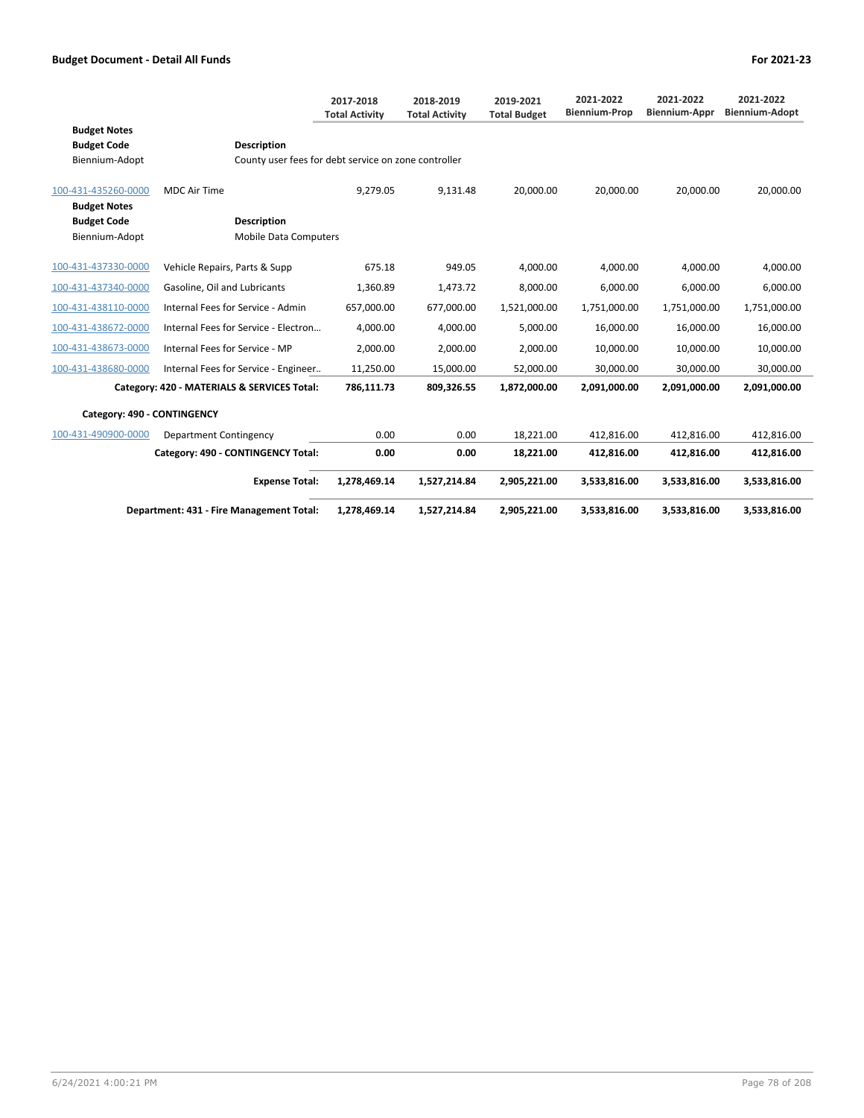|                                                             |                                                                            | 2017-2018<br><b>Total Activity</b> | 2018-2019<br><b>Total Activity</b> | 2019-2021<br><b>Total Budget</b> | 2021-2022<br><b>Biennium-Prop</b> | 2021-2022<br><b>Biennium-Appr</b> | 2021-2022<br><b>Biennium-Adopt</b> |
|-------------------------------------------------------------|----------------------------------------------------------------------------|------------------------------------|------------------------------------|----------------------------------|-----------------------------------|-----------------------------------|------------------------------------|
| <b>Budget Notes</b><br><b>Budget Code</b><br>Biennium-Adopt | <b>Description</b><br>County user fees for debt service on zone controller |                                    |                                    |                                  |                                   |                                   |                                    |
| 100-431-435260-0000<br><b>Budget Notes</b>                  | MDC Air Time                                                               | 9,279.05                           | 9.131.48                           | 20.000.00                        | 20.000.00                         | 20.000.00                         | 20,000.00                          |
| <b>Budget Code</b>                                          | <b>Description</b>                                                         |                                    |                                    |                                  |                                   |                                   |                                    |
| Biennium-Adopt                                              | <b>Mobile Data Computers</b>                                               |                                    |                                    |                                  |                                   |                                   |                                    |
| 100-431-437330-0000                                         | Vehicle Repairs, Parts & Supp                                              | 675.18                             | 949.05                             | 4,000.00                         | 4,000.00                          | 4,000.00                          | 4,000.00                           |
| 100-431-437340-0000                                         | Gasoline, Oil and Lubricants                                               | 1,360.89                           | 1,473.72                           | 8,000.00                         | 6,000.00                          | 6,000.00                          | 6,000.00                           |
| 100-431-438110-0000                                         | Internal Fees for Service - Admin                                          | 657,000.00                         | 677,000.00                         | 1,521,000.00                     | 1,751,000.00                      | 1,751,000.00                      | 1,751,000.00                       |
| 100-431-438672-0000                                         | Internal Fees for Service - Electron                                       | 4,000.00                           | 4,000.00                           | 5,000.00                         | 16,000.00                         | 16,000.00                         | 16,000.00                          |
| 100-431-438673-0000                                         | Internal Fees for Service - MP                                             | 2,000.00                           | 2,000.00                           | 2,000.00                         | 10,000.00                         | 10,000.00                         | 10,000.00                          |
| 100-431-438680-0000                                         | Internal Fees for Service - Engineer                                       | 11,250.00                          | 15,000.00                          | 52,000.00                        | 30,000.00                         | 30,000.00                         | 30,000.00                          |
|                                                             | Category: 420 - MATERIALS & SERVICES Total:                                | 786,111.73                         | 809,326.55                         | 1,872,000.00                     | 2,091,000.00                      | 2,091,000.00                      | 2,091,000.00                       |
| Category: 490 - CONTINGENCY                                 |                                                                            |                                    |                                    |                                  |                                   |                                   |                                    |
| 100-431-490900-0000                                         | Department Contingency                                                     | 0.00                               | 0.00                               | 18,221.00                        | 412,816.00                        | 412,816.00                        | 412,816.00                         |
|                                                             | Category: 490 - CONTINGENCY Total:                                         | 0.00                               | 0.00                               | 18,221.00                        | 412,816.00                        | 412,816.00                        | 412,816.00                         |
|                                                             | <b>Expense Total:</b>                                                      | 1,278,469.14                       | 1,527,214.84                       | 2,905,221.00                     | 3,533,816.00                      | 3,533,816.00                      | 3,533,816.00                       |
|                                                             | Department: 431 - Fire Management Total:                                   | 1,278,469.14                       | 1,527,214.84                       | 2,905,221.00                     | 3,533,816.00                      | 3,533,816.00                      | 3,533,816.00                       |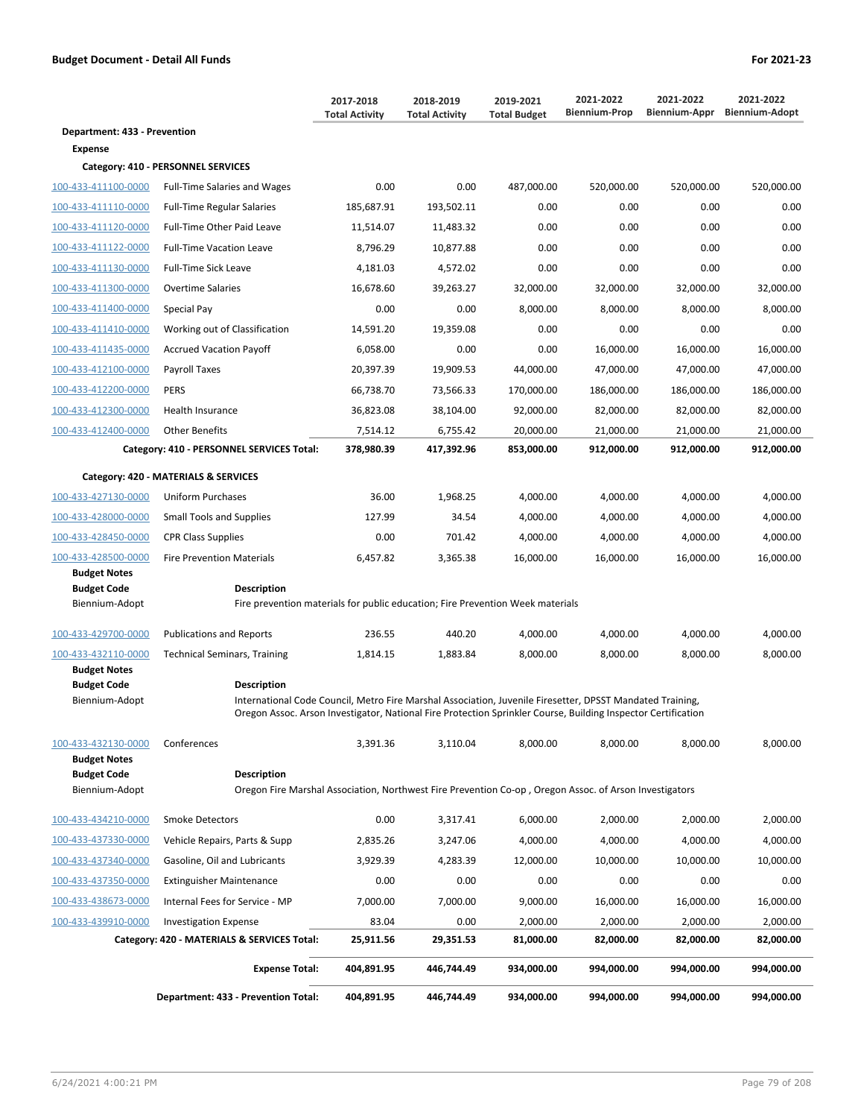|                                            |                                                                                                                                                                                                                                                  | 2017-2018<br><b>Total Activity</b> | 2018-2019<br><b>Total Activity</b> | 2019-2021<br><b>Total Budget</b> | 2021-2022<br><b>Biennium-Prop</b> | 2021-2022<br>Biennium-Appr | 2021-2022<br><b>Biennium-Adopt</b> |
|--------------------------------------------|--------------------------------------------------------------------------------------------------------------------------------------------------------------------------------------------------------------------------------------------------|------------------------------------|------------------------------------|----------------------------------|-----------------------------------|----------------------------|------------------------------------|
| Department: 433 - Prevention               |                                                                                                                                                                                                                                                  |                                    |                                    |                                  |                                   |                            |                                    |
| <b>Expense</b>                             |                                                                                                                                                                                                                                                  |                                    |                                    |                                  |                                   |                            |                                    |
|                                            | Category: 410 - PERSONNEL SERVICES                                                                                                                                                                                                               |                                    |                                    |                                  |                                   |                            |                                    |
| 100-433-411100-0000                        | <b>Full-Time Salaries and Wages</b>                                                                                                                                                                                                              | 0.00                               | 0.00                               | 487,000.00                       | 520,000.00                        | 520,000.00                 | 520,000.00                         |
| 100-433-411110-0000                        | <b>Full-Time Regular Salaries</b>                                                                                                                                                                                                                | 185,687.91                         | 193,502.11                         | 0.00                             | 0.00                              | 0.00                       | 0.00                               |
| 100-433-411120-0000                        | Full-Time Other Paid Leave                                                                                                                                                                                                                       | 11,514.07                          | 11,483.32                          | 0.00                             | 0.00                              | 0.00                       | 0.00                               |
| 100-433-411122-0000                        | <b>Full-Time Vacation Leave</b>                                                                                                                                                                                                                  | 8,796.29                           | 10,877.88                          | 0.00                             | 0.00                              | 0.00                       | 0.00                               |
| 100-433-411130-0000                        | <b>Full-Time Sick Leave</b>                                                                                                                                                                                                                      | 4,181.03                           | 4,572.02                           | 0.00                             | 0.00                              | 0.00                       | 0.00                               |
| 100-433-411300-0000                        | <b>Overtime Salaries</b>                                                                                                                                                                                                                         | 16,678.60                          | 39,263.27                          | 32,000.00                        | 32,000.00                         | 32,000.00                  | 32,000.00                          |
| 100-433-411400-0000                        | Special Pay                                                                                                                                                                                                                                      | 0.00                               | 0.00                               | 8,000.00                         | 8,000.00                          | 8,000.00                   | 8,000.00                           |
| 100-433-411410-0000                        | Working out of Classification                                                                                                                                                                                                                    | 14,591.20                          | 19,359.08                          | 0.00                             | 0.00                              | 0.00                       | 0.00                               |
| 100-433-411435-0000                        | <b>Accrued Vacation Payoff</b>                                                                                                                                                                                                                   | 6,058.00                           | 0.00                               | 0.00                             | 16,000.00                         | 16,000.00                  | 16,000.00                          |
| 100-433-412100-0000                        | Payroll Taxes                                                                                                                                                                                                                                    | 20,397.39                          | 19,909.53                          | 44,000.00                        | 47,000.00                         | 47,000.00                  | 47,000.00                          |
| 100-433-412200-0000                        | <b>PERS</b>                                                                                                                                                                                                                                      | 66,738.70                          | 73,566.33                          | 170,000.00                       | 186,000.00                        | 186,000.00                 | 186,000.00                         |
| 100-433-412300-0000                        | Health Insurance                                                                                                                                                                                                                                 | 36,823.08                          | 38,104.00                          | 92,000.00                        | 82,000.00                         | 82,000.00                  | 82,000.00                          |
| 100-433-412400-0000                        | <b>Other Benefits</b>                                                                                                                                                                                                                            | 7,514.12                           | 6,755.42                           | 20,000.00                        | 21,000.00                         | 21,000.00                  | 21,000.00                          |
|                                            | Category: 410 - PERSONNEL SERVICES Total:                                                                                                                                                                                                        | 378,980.39                         | 417,392.96                         | 853,000.00                       | 912,000.00                        | 912,000.00                 | 912,000.00                         |
|                                            | Category: 420 - MATERIALS & SERVICES                                                                                                                                                                                                             |                                    |                                    |                                  |                                   |                            |                                    |
| 100-433-427130-0000                        | <b>Uniform Purchases</b>                                                                                                                                                                                                                         | 36.00                              | 1,968.25                           | 4,000.00                         | 4,000.00                          | 4,000.00                   | 4,000.00                           |
| 100-433-428000-0000                        | <b>Small Tools and Supplies</b>                                                                                                                                                                                                                  | 127.99                             | 34.54                              | 4,000.00                         | 4,000.00                          | 4,000.00                   | 4,000.00                           |
| 100-433-428450-0000                        | <b>CPR Class Supplies</b>                                                                                                                                                                                                                        | 0.00                               | 701.42                             | 4,000.00                         | 4,000.00                          | 4,000.00                   | 4,000.00                           |
| 100-433-428500-0000<br><b>Budget Notes</b> | <b>Fire Prevention Materials</b>                                                                                                                                                                                                                 | 6,457.82                           | 3,365.38                           | 16,000.00                        | 16,000.00                         | 16,000.00                  | 16,000.00                          |
| <b>Budget Code</b>                         | <b>Description</b>                                                                                                                                                                                                                               |                                    |                                    |                                  |                                   |                            |                                    |
| Biennium-Adopt                             | Fire prevention materials for public education; Fire Prevention Week materials                                                                                                                                                                   |                                    |                                    |                                  |                                   |                            |                                    |
| 100-433-429700-0000                        | <b>Publications and Reports</b>                                                                                                                                                                                                                  | 236.55                             | 440.20                             | 4,000.00                         | 4,000.00                          | 4,000.00                   | 4,000.00                           |
| 100-433-432110-0000                        | <b>Technical Seminars, Training</b>                                                                                                                                                                                                              | 1,814.15                           | 1,883.84                           | 8,000.00                         | 8,000.00                          | 8,000.00                   | 8,000.00                           |
| <b>Budget Notes</b>                        |                                                                                                                                                                                                                                                  |                                    |                                    |                                  |                                   |                            |                                    |
| <b>Budget Code</b><br>Biennium-Adopt       | <b>Description</b><br>International Code Council, Metro Fire Marshal Association, Juvenile Firesetter, DPSST Mandated Training,<br>Oregon Assoc. Arson Investigator, National Fire Protection Sprinkler Course, Building Inspector Certification |                                    |                                    |                                  |                                   |                            |                                    |
| 100-433-432130-0000<br><b>Budget Notes</b> | Conferences                                                                                                                                                                                                                                      | 3,391.36                           | 3,110.04                           | 8,000.00                         | 8,000.00                          | 8.000.00                   | 8,000.00                           |
| <b>Budget Code</b>                         | <b>Description</b>                                                                                                                                                                                                                               |                                    |                                    |                                  |                                   |                            |                                    |
| Biennium-Adopt                             | Oregon Fire Marshal Association, Northwest Fire Prevention Co-op, Oregon Assoc. of Arson Investigators                                                                                                                                           |                                    |                                    |                                  |                                   |                            |                                    |
| 100-433-434210-0000                        | <b>Smoke Detectors</b>                                                                                                                                                                                                                           | 0.00                               | 3,317.41                           | 6,000.00                         | 2,000.00                          | 2,000.00                   | 2.000.00                           |
| 100-433-437330-0000                        | Vehicle Repairs, Parts & Supp                                                                                                                                                                                                                    | 2,835.26                           | 3,247.06                           | 4,000.00                         | 4,000.00                          | 4,000.00                   | 4,000.00                           |
| 100-433-437340-0000                        | Gasoline, Oil and Lubricants                                                                                                                                                                                                                     | 3,929.39                           | 4,283.39                           | 12,000.00                        | 10,000.00                         | 10,000.00                  | 10,000.00                          |
| 100-433-437350-0000                        | <b>Extinguisher Maintenance</b>                                                                                                                                                                                                                  | 0.00                               | 0.00                               | 0.00                             | 0.00                              | 0.00                       | 0.00                               |
| 100-433-438673-0000                        | Internal Fees for Service - MP                                                                                                                                                                                                                   | 7,000.00                           | 7,000.00                           | 9,000.00                         | 16,000.00                         | 16,000.00                  | 16,000.00                          |
| 100-433-439910-0000                        | <b>Investigation Expense</b>                                                                                                                                                                                                                     | 83.04                              | 0.00                               | 2,000.00                         | 2,000.00                          | 2,000.00                   | 2,000.00                           |
|                                            | Category: 420 - MATERIALS & SERVICES Total:                                                                                                                                                                                                      | 25,911.56                          | 29,351.53                          | 81,000.00                        | 82,000.00                         | 82,000.00                  | 82,000.00                          |
|                                            | <b>Expense Total:</b>                                                                                                                                                                                                                            | 404,891.95                         | 446,744.49                         | 934,000.00                       | 994,000.00                        | 994,000.00                 | 994,000.00                         |
|                                            | Department: 433 - Prevention Total:                                                                                                                                                                                                              | 404,891.95                         | 446,744.49                         | 934,000.00                       | 994,000.00                        | 994,000.00                 | 994,000.00                         |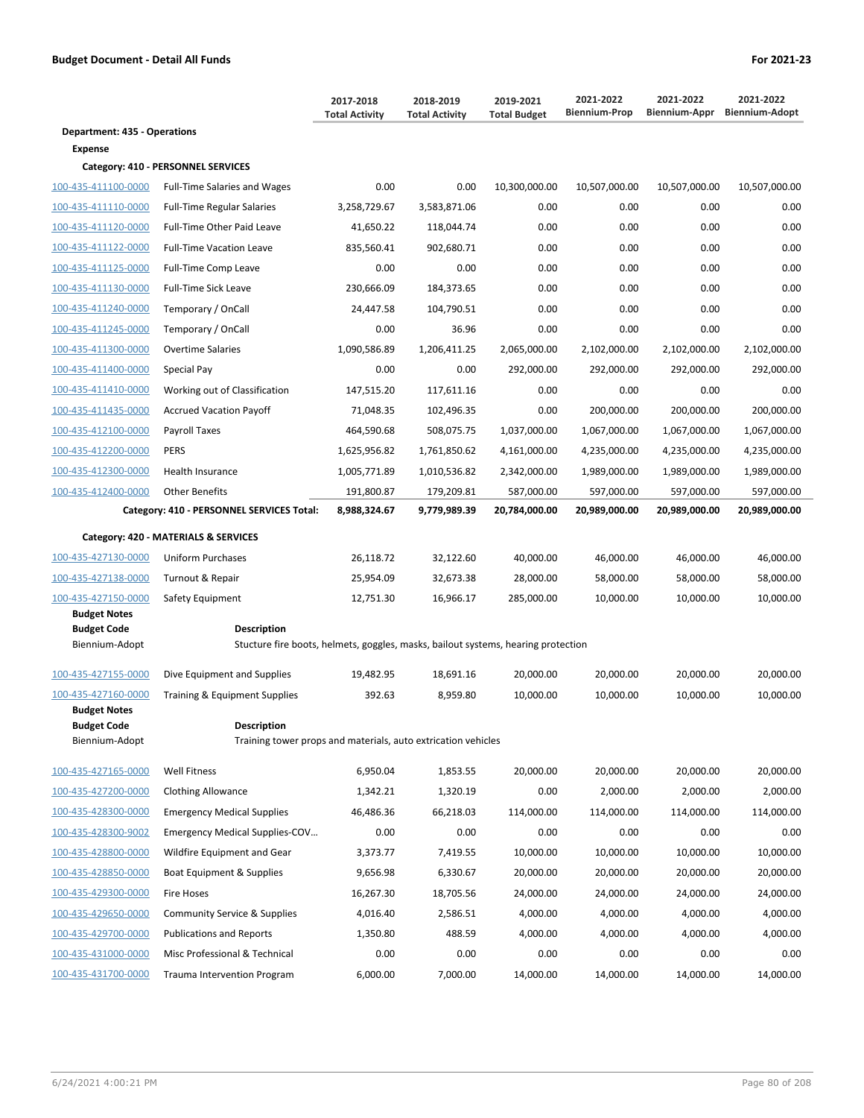|                                      |                                                                                   | 2017-2018<br><b>Total Activity</b> | 2018-2019<br><b>Total Activity</b> | 2019-2021<br><b>Total Budget</b> | 2021-2022<br><b>Biennium-Prop</b> | 2021-2022<br>Biennium-Appr | 2021-2022<br><b>Biennium-Adopt</b> |
|--------------------------------------|-----------------------------------------------------------------------------------|------------------------------------|------------------------------------|----------------------------------|-----------------------------------|----------------------------|------------------------------------|
| <b>Department: 435 - Operations</b>  |                                                                                   |                                    |                                    |                                  |                                   |                            |                                    |
| <b>Expense</b>                       |                                                                                   |                                    |                                    |                                  |                                   |                            |                                    |
|                                      | Category: 410 - PERSONNEL SERVICES                                                |                                    |                                    |                                  |                                   |                            |                                    |
| 100-435-411100-0000                  | <b>Full-Time Salaries and Wages</b>                                               | 0.00                               | 0.00                               | 10,300,000.00                    | 10,507,000.00                     | 10,507,000.00              | 10,507,000.00                      |
| 100-435-411110-0000                  | <b>Full-Time Regular Salaries</b>                                                 | 3,258,729.67                       | 3,583,871.06                       | 0.00                             | 0.00                              | 0.00                       | 0.00                               |
| 100-435-411120-0000                  | <b>Full-Time Other Paid Leave</b>                                                 | 41,650.22                          | 118,044.74                         | 0.00                             | 0.00                              | 0.00                       | 0.00                               |
| 100-435-411122-0000                  | <b>Full-Time Vacation Leave</b>                                                   | 835.560.41                         | 902,680.71                         | 0.00                             | 0.00                              | 0.00                       | 0.00                               |
| 100-435-411125-0000                  | Full-Time Comp Leave                                                              | 0.00                               | 0.00                               | 0.00                             | 0.00                              | 0.00                       | 0.00                               |
| 100-435-411130-0000                  | <b>Full-Time Sick Leave</b>                                                       | 230,666.09                         | 184,373.65                         | 0.00                             | 0.00                              | 0.00                       | 0.00                               |
| 100-435-411240-0000                  | Temporary / OnCall                                                                | 24,447.58                          | 104,790.51                         | 0.00                             | 0.00                              | 0.00                       | 0.00                               |
| 100-435-411245-0000                  | Temporary / OnCall                                                                | 0.00                               | 36.96                              | 0.00                             | 0.00                              | 0.00                       | 0.00                               |
| 100-435-411300-0000                  | <b>Overtime Salaries</b>                                                          | 1,090,586.89                       | 1,206,411.25                       | 2,065,000.00                     | 2,102,000.00                      | 2,102,000.00               | 2,102,000.00                       |
| 100-435-411400-0000                  | Special Pay                                                                       | 0.00                               | 0.00                               | 292,000.00                       | 292,000.00                        | 292,000.00                 | 292,000.00                         |
| 100-435-411410-0000                  | Working out of Classification                                                     | 147,515.20                         | 117,611.16                         | 0.00                             | 0.00                              | 0.00                       | 0.00                               |
| 100-435-411435-0000                  | <b>Accrued Vacation Payoff</b>                                                    | 71,048.35                          | 102,496.35                         | 0.00                             | 200,000.00                        | 200,000.00                 | 200,000.00                         |
| 100-435-412100-0000                  | Payroll Taxes                                                                     | 464,590.68                         | 508,075.75                         | 1,037,000.00                     | 1,067,000.00                      | 1,067,000.00               | 1,067,000.00                       |
| 100-435-412200-0000                  | <b>PERS</b>                                                                       | 1,625,956.82                       | 1,761,850.62                       | 4,161,000.00                     | 4,235,000.00                      | 4,235,000.00               | 4,235,000.00                       |
| 100-435-412300-0000                  | Health Insurance                                                                  | 1,005,771.89                       | 1,010,536.82                       | 2,342,000.00                     | 1,989,000.00                      | 1,989,000.00               | 1,989,000.00                       |
| 100-435-412400-0000                  | <b>Other Benefits</b>                                                             | 191,800.87                         | 179,209.81                         | 587,000.00                       | 597,000.00                        | 597,000.00                 | 597,000.00                         |
|                                      | Category: 410 - PERSONNEL SERVICES Total:                                         | 8,988,324.67                       | 9,779,989.39                       | 20,784,000.00                    | 20,989,000.00                     | 20,989,000.00              | 20,989,000.00                      |
|                                      | Category: 420 - MATERIALS & SERVICES                                              |                                    |                                    |                                  |                                   |                            |                                    |
| 100-435-427130-0000                  | <b>Uniform Purchases</b>                                                          | 26,118.72                          | 32,122.60                          | 40,000.00                        | 46,000.00                         | 46,000.00                  | 46,000.00                          |
| 100-435-427138-0000                  | Turnout & Repair                                                                  | 25,954.09                          | 32,673.38                          | 28,000.00                        | 58,000.00                         | 58,000.00                  | 58,000.00                          |
| 100-435-427150-0000                  | Safety Equipment                                                                  | 12,751.30                          | 16,966.17                          | 285,000.00                       | 10,000.00                         | 10,000.00                  | 10,000.00                          |
| <b>Budget Notes</b>                  |                                                                                   |                                    |                                    |                                  |                                   |                            |                                    |
| <b>Budget Code</b>                   | <b>Description</b>                                                                |                                    |                                    |                                  |                                   |                            |                                    |
| Biennium-Adopt                       | Stucture fire boots, helmets, goggles, masks, bailout systems, hearing protection |                                    |                                    |                                  |                                   |                            |                                    |
| 100-435-427155-0000                  | Dive Equipment and Supplies                                                       | 19,482.95                          | 18,691.16                          | 20,000.00                        | 20,000.00                         | 20,000.00                  | 20,000.00                          |
| 100-435-427160-0000                  | Training & Equipment Supplies                                                     | 392.63                             | 8.959.80                           | 10,000.00                        | 10,000.00                         | 10,000.00                  | 10,000.00                          |
| <b>Budget Notes</b>                  |                                                                                   |                                    |                                    |                                  |                                   |                            |                                    |
| <b>Budget Code</b><br>Biennium-Adopt | Description<br>Training tower props and materials, auto extrication vehicles      |                                    |                                    |                                  |                                   |                            |                                    |
|                                      |                                                                                   |                                    |                                    |                                  |                                   |                            |                                    |
| 100-435-427165-0000                  | <b>Well Fitness</b>                                                               | 6,950.04                           | 1,853.55                           | 20,000.00                        | 20,000.00                         | 20,000.00                  | 20,000.00                          |
| 100-435-427200-0000                  | <b>Clothing Allowance</b>                                                         | 1,342.21                           | 1,320.19                           | 0.00                             | 2,000.00                          | 2,000.00                   | 2,000.00                           |
| 100-435-428300-0000                  | <b>Emergency Medical Supplies</b>                                                 | 46,486.36                          | 66,218.03                          | 114,000.00                       | 114,000.00                        | 114,000.00                 | 114,000.00                         |
| 100-435-428300-9002                  | Emergency Medical Supplies-COV                                                    | 0.00                               | 0.00                               | 0.00                             | 0.00                              | 0.00                       | 0.00                               |
| 100-435-428800-0000                  | Wildfire Equipment and Gear                                                       | 3,373.77                           | 7,419.55                           | 10,000.00                        | 10,000.00                         | 10,000.00                  | 10,000.00                          |
| 100-435-428850-0000                  | Boat Equipment & Supplies                                                         | 9,656.98                           | 6,330.67                           | 20,000.00                        | 20,000.00                         | 20,000.00                  | 20,000.00                          |
| 100-435-429300-0000                  | <b>Fire Hoses</b>                                                                 | 16,267.30                          | 18,705.56                          | 24,000.00                        | 24,000.00                         | 24,000.00                  | 24,000.00                          |
| 100-435-429650-0000                  | Community Service & Supplies                                                      | 4,016.40                           | 2,586.51                           | 4,000.00                         | 4,000.00                          | 4,000.00                   | 4,000.00                           |
| 100-435-429700-0000                  | <b>Publications and Reports</b>                                                   | 1,350.80                           | 488.59                             | 4,000.00                         | 4,000.00                          | 4,000.00                   | 4,000.00                           |
| 100-435-431000-0000                  | Misc Professional & Technical                                                     | 0.00                               | 0.00                               | 0.00                             | 0.00                              | 0.00                       | 0.00                               |
| 100-435-431700-0000                  | <b>Trauma Intervention Program</b>                                                | 6,000.00                           | 7,000.00                           | 14,000.00                        | 14,000.00                         | 14,000.00                  | 14,000.00                          |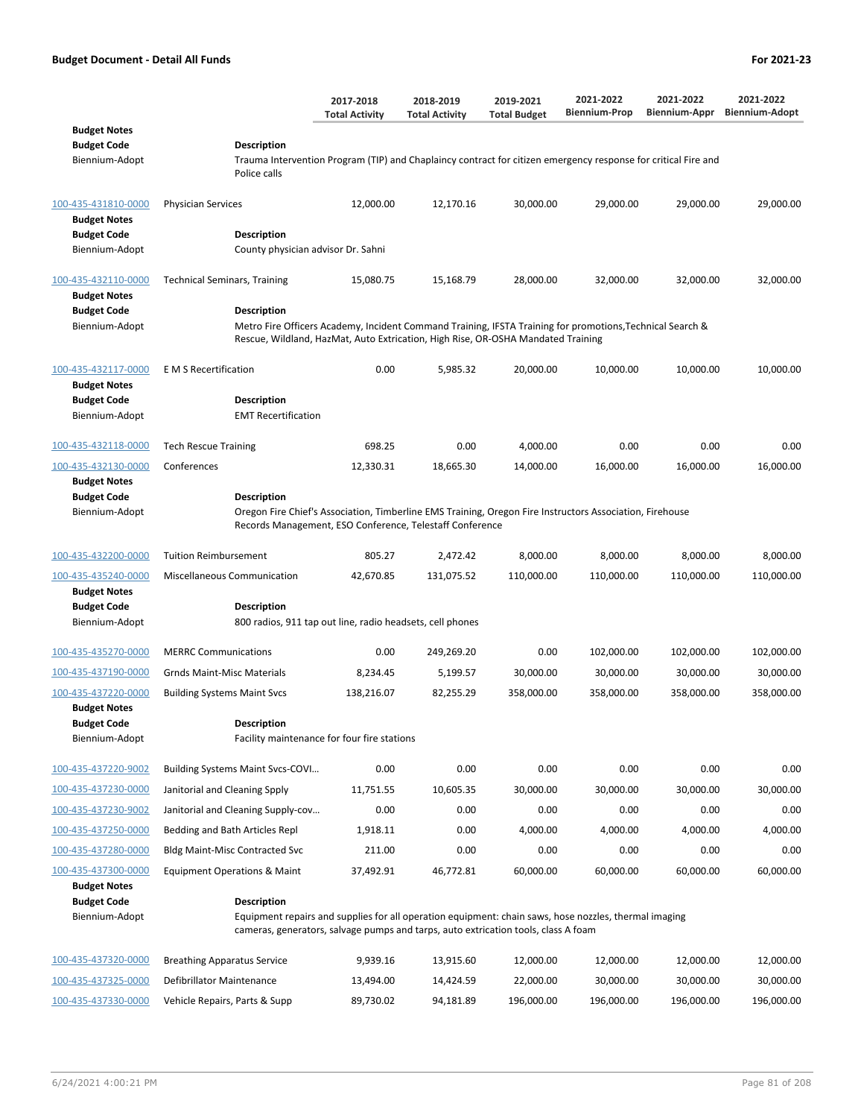| 2021-2022<br>2017-2018<br>2018-2019<br>2019-2021<br><b>Biennium-Prop</b><br><b>Total Activity</b><br><b>Total Budget</b><br><b>Total Activity</b>                                                                                                                                                                                                                                                      | 2021-2022<br>Biennium-Appr | 2021-2022<br><b>Biennium-Adopt</b> |
|--------------------------------------------------------------------------------------------------------------------------------------------------------------------------------------------------------------------------------------------------------------------------------------------------------------------------------------------------------------------------------------------------------|----------------------------|------------------------------------|
| <b>Budget Notes</b><br><b>Budget Code</b><br><b>Description</b><br>Biennium-Adopt<br>Trauma Intervention Program (TIP) and Chaplaincy contract for citizen emergency response for critical Fire and<br>Police calls                                                                                                                                                                                    |                            |                                    |
| 100-435-431810-0000<br><b>Physician Services</b><br>12,000.00<br>12,170.16<br>30,000.00<br>29,000.00<br><b>Budget Notes</b><br><b>Budget Code</b><br><b>Description</b>                                                                                                                                                                                                                                | 29,000.00                  | 29,000.00                          |
| Biennium-Adopt<br>County physician advisor Dr. Sahni                                                                                                                                                                                                                                                                                                                                                   |                            |                                    |
| 100-435-432110-0000<br>15,080.75<br>28,000.00<br>32,000.00<br><b>Technical Seminars, Training</b><br>15,168.79<br><b>Budget Notes</b><br><b>Budget Code</b><br><b>Description</b><br>Metro Fire Officers Academy, Incident Command Training, IFSTA Training for promotions, Technical Search &<br>Biennium-Adopt                                                                                       | 32,000.00                  | 32,000.00                          |
| Rescue, Wildland, HazMat, Auto Extrication, High Rise, OR-OSHA Mandated Training<br>100-435-432117-0000<br><b>E</b> M S Recertification<br>0.00<br>5,985.32<br>20,000.00<br>10,000.00<br><b>Budget Notes</b><br><b>Budget Code</b><br><b>Description</b><br>Biennium-Adopt<br><b>EMT Recertification</b>                                                                                               | 10,000.00                  | 10,000.00                          |
| 698.25<br>0.00<br>0.00<br>100-435-432118-0000<br><b>Tech Rescue Training</b><br>4,000.00                                                                                                                                                                                                                                                                                                               | 0.00                       | 0.00                               |
| 100-435-432130-0000<br>Conferences<br>12,330.31<br>18,665.30<br>14,000.00<br>16,000.00<br><b>Budget Notes</b><br><b>Budget Code</b><br><b>Description</b><br>Biennium-Adopt<br>Oregon Fire Chief's Association, Timberline EMS Training, Oregon Fire Instructors Association, Firehouse<br>Records Management, ESO Conference, Telestaff Conference                                                    | 16,000.00                  | 16,000.00                          |
| 100-435-432200-0000<br><b>Tuition Reimbursement</b><br>805.27<br>2,472.42<br>8,000.00<br>8,000.00                                                                                                                                                                                                                                                                                                      | 8,000.00                   | 8,000.00                           |
| 100-435-435240-0000<br>Miscellaneous Communication<br>110,000.00<br>110,000.00<br>42,670.85<br>131,075.52<br><b>Budget Notes</b><br><b>Budget Code</b><br><b>Description</b><br>Biennium-Adopt<br>800 radios, 911 tap out line, radio headsets, cell phones                                                                                                                                            | 110,000.00                 | 110,000.00                         |
|                                                                                                                                                                                                                                                                                                                                                                                                        |                            |                                    |
| 0.00<br>0.00<br>102,000.00<br>100-435-435270-0000<br><b>MERRC Communications</b><br>249,269.20<br>100-435-437190-0000<br><b>Grnds Maint-Misc Materials</b><br>8,234.45<br>5,199.57<br>30,000.00<br>30,000.00                                                                                                                                                                                           | 102,000.00<br>30,000.00    | 102,000.00<br>30,000.00            |
| 100-435-437220-0000<br>82,255.29<br>358,000.00<br><b>Building Systems Maint Svcs</b><br>138,216.07<br>358,000.00<br><b>Budget Notes</b><br><b>Budget Code</b><br><b>Description</b><br>Biennium-Adopt<br>Facility maintenance for four fire stations                                                                                                                                                   | 358,000.00                 | 358,000.00                         |
| 0.00<br>100-435-437220-9002<br>0.00                                                                                                                                                                                                                                                                                                                                                                    | 0.00                       |                                    |
| Building Systems Maint Svcs-COVI<br>0.00<br>0.00<br>30,000.00<br>Janitorial and Cleaning Spply<br>11,751.55<br>10,605.35<br>30,000.00<br>100-435-437230-0000                                                                                                                                                                                                                                           | 30,000.00                  | 0.00<br>30,000.00                  |
| 100-435-437230-9002<br>Janitorial and Cleaning Supply-cov<br>0.00<br>0.00<br>0.00<br>0.00                                                                                                                                                                                                                                                                                                              | 0.00                       | 0.00                               |
| 1,918.11<br>0.00<br>4,000.00<br>4,000.00<br>100-435-437250-0000<br>Bedding and Bath Articles Repl                                                                                                                                                                                                                                                                                                      | 4,000.00                   | 4,000.00                           |
| 211.00<br>0.00<br>0.00<br>0.00<br>100-435-437280-0000<br><b>Bldg Maint-Misc Contracted Svc</b>                                                                                                                                                                                                                                                                                                         | 0.00                       | 0.00                               |
| 100-435-437300-0000<br><b>Equipment Operations &amp; Maint</b><br>37,492.91<br>46,772.81<br>60,000.00<br>60,000.00<br><b>Budget Notes</b><br><b>Budget Code</b><br><b>Description</b><br>Biennium-Adopt<br>Equipment repairs and supplies for all operation equipment: chain saws, hose nozzles, thermal imaging<br>cameras, generators, salvage pumps and tarps, auto extrication tools, class A foam | 60,000.00                  | 60,000.00                          |
|                                                                                                                                                                                                                                                                                                                                                                                                        |                            |                                    |
| 100-435-437320-0000<br>9,939.16<br>13,915.60<br>12,000.00<br><b>Breathing Apparatus Service</b><br>12,000.00<br>Defibrillator Maintenance<br>13,494.00<br>14,424.59<br>22,000.00<br>30,000.00<br>100-435-437325-0000                                                                                                                                                                                   | 12,000.00<br>30,000.00     | 12,000.00<br>30,000.00             |

100-435-437330-0000 Vehicle Repairs, Parts & Supp 89,730.02 94,181.89 196,000.00 196,000.00 196,000.00 196,000.00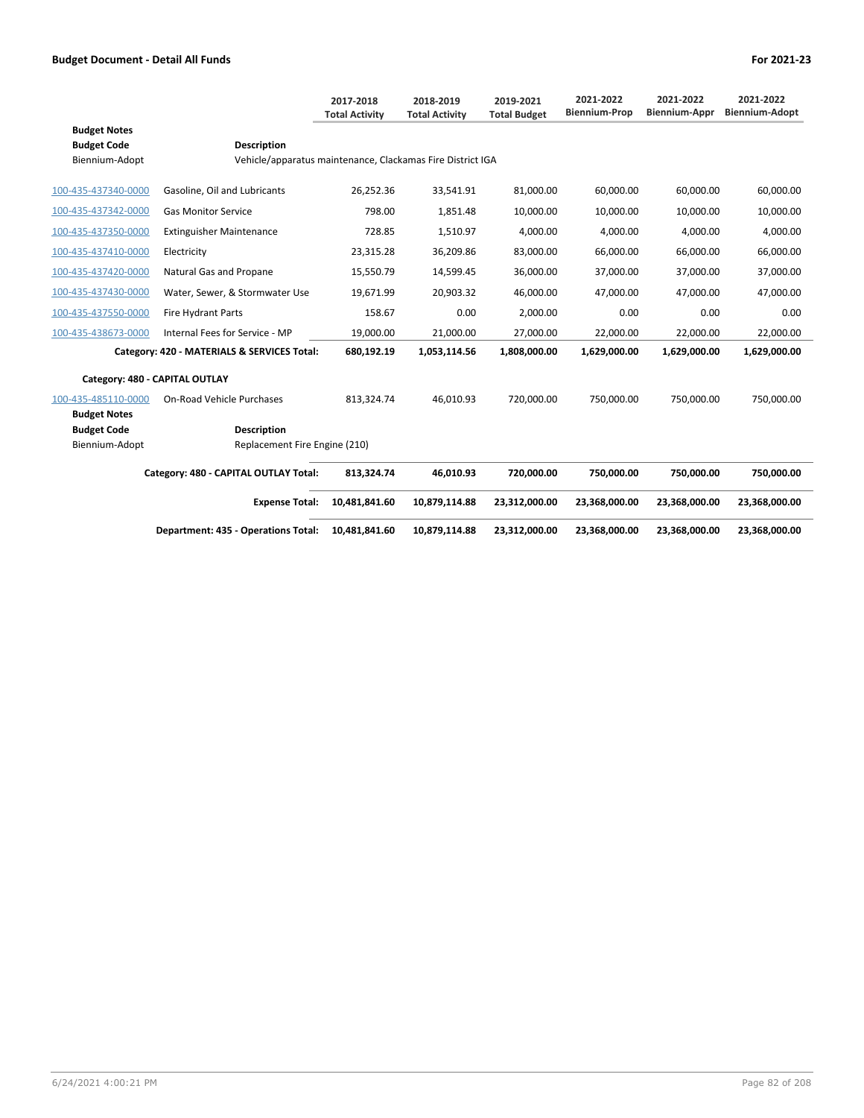|                                             |                                                            | 2017-2018<br><b>Total Activity</b> | 2018-2019<br><b>Total Activity</b> | 2019-2021<br><b>Total Budget</b> | 2021-2022<br><b>Biennium-Prop</b> | 2021-2022<br><b>Biennium-Appr</b> | 2021-2022<br><b>Biennium-Adopt</b> |
|---------------------------------------------|------------------------------------------------------------|------------------------------------|------------------------------------|----------------------------------|-----------------------------------|-----------------------------------|------------------------------------|
| <b>Budget Notes</b>                         |                                                            |                                    |                                    |                                  |                                   |                                   |                                    |
| <b>Budget Code</b>                          | <b>Description</b>                                         |                                    |                                    |                                  |                                   |                                   |                                    |
| Biennium-Adopt                              | Vehicle/apparatus maintenance, Clackamas Fire District IGA |                                    |                                    |                                  |                                   |                                   |                                    |
| 100-435-437340-0000                         | Gasoline, Oil and Lubricants                               | 26,252.36                          | 33,541.91                          | 81,000.00                        | 60,000.00                         | 60,000.00                         | 60,000.00                          |
| 100-435-437342-0000                         | <b>Gas Monitor Service</b>                                 | 798.00                             | 1,851.48                           | 10,000.00                        | 10,000.00                         | 10,000.00                         | 10,000.00                          |
| 100-435-437350-0000                         | <b>Extinguisher Maintenance</b>                            | 728.85                             | 1,510.97                           | 4,000.00                         | 4,000.00                          | 4,000.00                          | 4,000.00                           |
| 100-435-437410-0000                         | Electricity                                                | 23,315.28                          | 36,209.86                          | 83,000.00                        | 66,000.00                         | 66.000.00                         | 66,000.00                          |
| 100-435-437420-0000                         | Natural Gas and Propane                                    | 15,550.79                          | 14,599.45                          | 36,000.00                        | 37,000.00                         | 37,000.00                         | 37,000.00                          |
| 100-435-437430-0000                         | Water, Sewer, & Stormwater Use                             | 19,671.99                          | 20,903.32                          | 46,000.00                        | 47,000.00                         | 47,000.00                         | 47,000.00                          |
| 100-435-437550-0000                         | <b>Fire Hydrant Parts</b>                                  | 158.67                             | 0.00                               | 2,000.00                         | 0.00                              | 0.00                              | 0.00                               |
| 100-435-438673-0000                         | Internal Fees for Service - MP                             | 19,000.00                          | 21,000.00                          | 27,000.00                        | 22,000.00                         | 22,000.00                         | 22,000.00                          |
| Category: 420 - MATERIALS & SERVICES Total: |                                                            | 680,192.19                         | 1,053,114.56                       | 1,808,000.00                     | 1,629,000.00                      | 1,629,000.00                      | 1,629,000.00                       |
| Category: 480 - CAPITAL OUTLAY              |                                                            |                                    |                                    |                                  |                                   |                                   |                                    |
| 100-435-485110-0000<br><b>Budget Notes</b>  | <b>On-Road Vehicle Purchases</b>                           | 813,324.74                         | 46,010.93                          | 720,000.00                       | 750,000.00                        | 750,000.00                        | 750,000.00                         |
| <b>Budget Code</b>                          | <b>Description</b>                                         |                                    |                                    |                                  |                                   |                                   |                                    |
| Biennium-Adopt                              | Replacement Fire Engine (210)                              |                                    |                                    |                                  |                                   |                                   |                                    |
|                                             |                                                            |                                    |                                    |                                  |                                   |                                   |                                    |
|                                             | Category: 480 - CAPITAL OUTLAY Total:                      | 813,324.74                         | 46,010.93                          | 720,000.00                       | 750,000.00                        | 750,000.00                        | 750,000.00                         |
|                                             | <b>Expense Total:</b>                                      | 10,481,841.60                      | 10,879,114.88                      | 23,312,000.00                    | 23,368,000.00                     | 23,368,000.00                     | 23,368,000.00                      |
|                                             | <b>Department: 435 - Operations Total:</b>                 | 10,481,841.60                      | 10,879,114.88                      | 23,312,000.00                    | 23,368,000.00                     | 23,368,000.00                     | 23,368,000.00                      |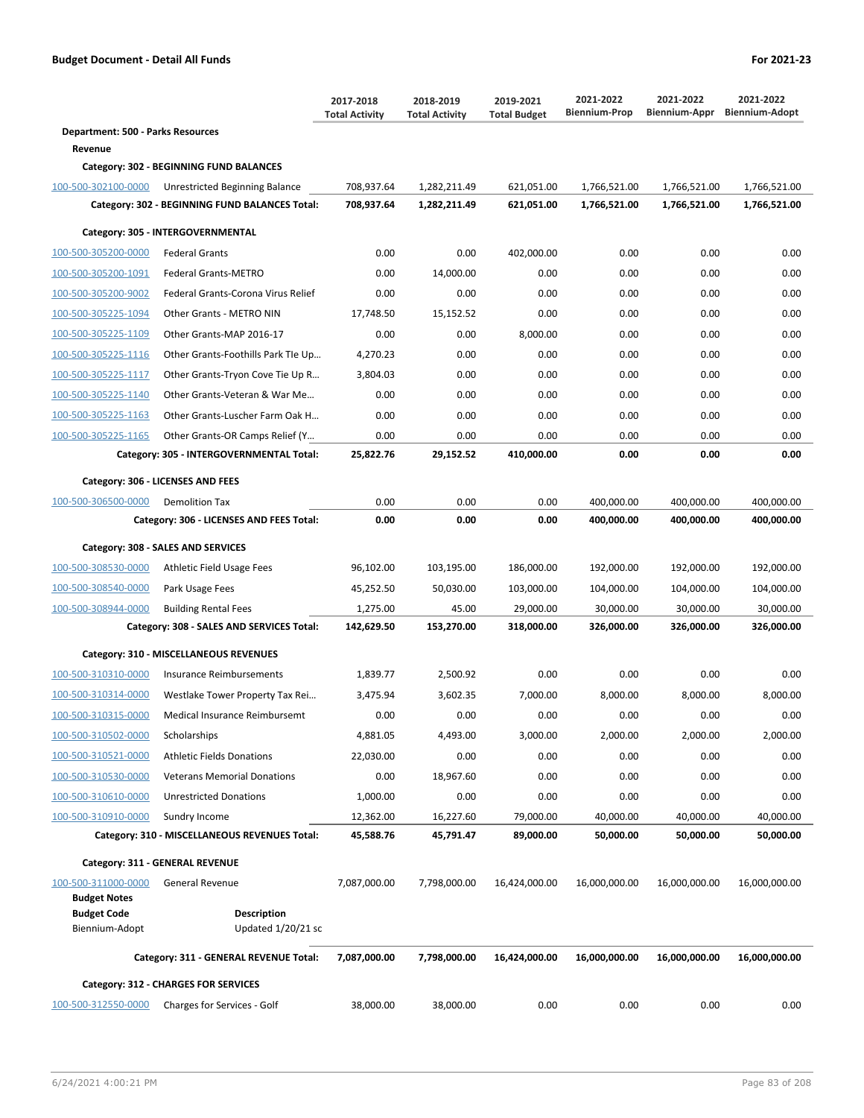|                                          |                                                | 2017-2018<br><b>Total Activity</b> | 2018-2019<br><b>Total Activity</b> | 2019-2021<br><b>Total Budget</b> | 2021-2022<br><b>Biennium-Prop</b> | 2021-2022<br>Biennium-Appr | 2021-2022<br><b>Biennium-Adopt</b> |
|------------------------------------------|------------------------------------------------|------------------------------------|------------------------------------|----------------------------------|-----------------------------------|----------------------------|------------------------------------|
| <b>Department: 500 - Parks Resources</b> |                                                |                                    |                                    |                                  |                                   |                            |                                    |
| Revenue                                  |                                                |                                    |                                    |                                  |                                   |                            |                                    |
|                                          | Category: 302 - BEGINNING FUND BALANCES        |                                    |                                    |                                  |                                   |                            |                                    |
| 100-500-302100-0000                      | Unrestricted Beginning Balance                 | 708,937.64                         | 1,282,211.49                       | 621,051.00                       | 1,766,521.00                      | 1,766,521.00               | 1,766,521.00                       |
|                                          | Category: 302 - BEGINNING FUND BALANCES Total: | 708,937.64                         | 1,282,211.49                       | 621,051.00                       | 1,766,521.00                      | 1,766,521.00               | 1,766,521.00                       |
|                                          | Category: 305 - INTERGOVERNMENTAL              |                                    |                                    |                                  |                                   |                            |                                    |
| 100-500-305200-0000                      | <b>Federal Grants</b>                          | 0.00                               | 0.00                               | 402,000.00                       | 0.00                              | 0.00                       | 0.00                               |
| 100-500-305200-1091                      | <b>Federal Grants-METRO</b>                    | 0.00                               | 14,000.00                          | 0.00                             | 0.00                              | 0.00                       | 0.00                               |
| 100-500-305200-9002                      | Federal Grants-Corona Virus Relief             | 0.00                               | 0.00                               | 0.00                             | 0.00                              | 0.00                       | 0.00                               |
| 100-500-305225-1094                      | Other Grants - METRO NIN                       | 17,748.50                          | 15,152.52                          | 0.00                             | 0.00                              | 0.00                       | 0.00                               |
| 100-500-305225-1109                      | Other Grants-MAP 2016-17                       | 0.00                               | 0.00                               | 8,000.00                         | 0.00                              | 0.00                       | 0.00                               |
| 100-500-305225-1116                      | Other Grants-Foothills Park Tle Up             | 4,270.23                           | 0.00                               | 0.00                             | 0.00                              | 0.00                       | 0.00                               |
| 100-500-305225-1117                      | Other Grants-Tryon Cove Tie Up R               | 3,804.03                           | 0.00                               | 0.00                             | 0.00                              | 0.00                       | 0.00                               |
| 100-500-305225-1140                      | Other Grants-Veteran & War Me                  | 0.00                               | 0.00                               | 0.00                             | 0.00                              | 0.00                       | 0.00                               |
| 100-500-305225-1163                      | Other Grants-Luscher Farm Oak H                | 0.00                               | 0.00                               | 0.00                             | 0.00                              | 0.00                       | 0.00                               |
| 100-500-305225-1165                      | Other Grants-OR Camps Relief (Y                | 0.00                               | 0.00                               | 0.00                             | 0.00                              | 0.00                       | 0.00                               |
|                                          | Category: 305 - INTERGOVERNMENTAL Total:       | 25,822.76                          | 29,152.52                          | 410,000.00                       | 0.00                              | 0.00                       | 0.00                               |
|                                          | Category: 306 - LICENSES AND FEES              |                                    |                                    |                                  |                                   |                            |                                    |
| 100-500-306500-0000                      | <b>Demolition Tax</b>                          | 0.00                               | 0.00                               | 0.00                             | 400,000.00                        | 400,000.00                 | 400,000.00                         |
|                                          | Category: 306 - LICENSES AND FEES Total:       | 0.00                               | 0.00                               | 0.00                             | 400,000.00                        | 400,000.00                 | 400,000.00                         |
|                                          | Category: 308 - SALES AND SERVICES             |                                    |                                    |                                  |                                   |                            |                                    |
| 100-500-308530-0000                      | Athletic Field Usage Fees                      | 96,102.00                          | 103,195.00                         | 186,000.00                       | 192,000.00                        | 192,000.00                 | 192,000.00                         |
| 100-500-308540-0000                      | Park Usage Fees                                | 45,252.50                          | 50,030.00                          | 103,000.00                       | 104,000.00                        | 104,000.00                 | 104,000.00                         |
| 100-500-308944-0000                      | <b>Building Rental Fees</b>                    | 1,275.00                           | 45.00                              | 29,000.00                        | 30,000.00                         | 30,000.00                  | 30,000.00                          |
|                                          | Category: 308 - SALES AND SERVICES Total:      | 142,629.50                         | 153,270.00                         | 318,000.00                       | 326,000.00                        | 326,000.00                 | 326,000.00                         |
|                                          | Category: 310 - MISCELLANEOUS REVENUES         |                                    |                                    |                                  |                                   |                            |                                    |
| 100-500-310310-0000                      | Insurance Reimbursements                       | 1,839.77                           | 2,500.92                           | 0.00                             | 0.00                              | 0.00                       | 0.00                               |
| 100-500-310314-0000                      | Westlake Tower Property Tax Rei                | 3,475.94                           | 3,602.35                           | 7,000.00                         | 8,000.00                          | 8,000.00                   | 8,000.00                           |
| 100-500-310315-0000                      | Medical Insurance Reimbursemt                  | 0.00                               | 0.00                               | 0.00                             | 0.00                              | 0.00                       | 0.00                               |
| 100-500-310502-0000                      | Scholarships                                   | 4,881.05                           | 4,493.00                           | 3,000.00                         | 2,000.00                          | 2,000.00                   | 2,000.00                           |
| 100-500-310521-0000                      | <b>Athletic Fields Donations</b>               | 22,030.00                          | 0.00                               | 0.00                             | 0.00                              | 0.00                       | 0.00                               |
| 100-500-310530-0000                      | <b>Veterans Memorial Donations</b>             | 0.00                               | 18,967.60                          | 0.00                             | 0.00                              | 0.00                       | 0.00                               |
| 100-500-310610-0000                      | <b>Unrestricted Donations</b>                  | 1,000.00                           | 0.00                               | 0.00                             | 0.00                              | 0.00                       | 0.00                               |
| 100-500-310910-0000                      | Sundry Income                                  | 12,362.00                          | 16,227.60                          | 79,000.00                        | 40,000.00                         | 40,000.00                  | 40,000.00                          |
|                                          | Category: 310 - MISCELLANEOUS REVENUES Total:  | 45,588.76                          | 45,791.47                          | 89,000.00                        | 50,000.00                         | 50,000.00                  | 50,000.00                          |
|                                          | Category: 311 - GENERAL REVENUE                |                                    |                                    |                                  |                                   |                            |                                    |
| 100-500-311000-0000                      | <b>General Revenue</b>                         | 7,087,000.00                       | 7,798,000.00                       | 16,424,000.00                    | 16,000,000.00                     | 16,000,000.00              | 16,000,000.00                      |
| <b>Budget Notes</b>                      |                                                |                                    |                                    |                                  |                                   |                            |                                    |
| <b>Budget Code</b>                       | <b>Description</b>                             |                                    |                                    |                                  |                                   |                            |                                    |
| Biennium-Adopt                           | Updated $1/20/21$ sc                           |                                    |                                    |                                  |                                   |                            |                                    |
|                                          | Category: 311 - GENERAL REVENUE Total:         | 7,087,000.00                       | 7,798,000.00                       | 16,424,000.00                    | 16,000,000.00                     | 16,000,000.00              | 16,000,000.00                      |
|                                          | Category: 312 - CHARGES FOR SERVICES           |                                    |                                    |                                  |                                   |                            |                                    |
| 100-500-312550-0000                      | Charges for Services - Golf                    | 38,000.00                          | 38,000.00                          | 0.00                             | 0.00                              | 0.00                       | 0.00                               |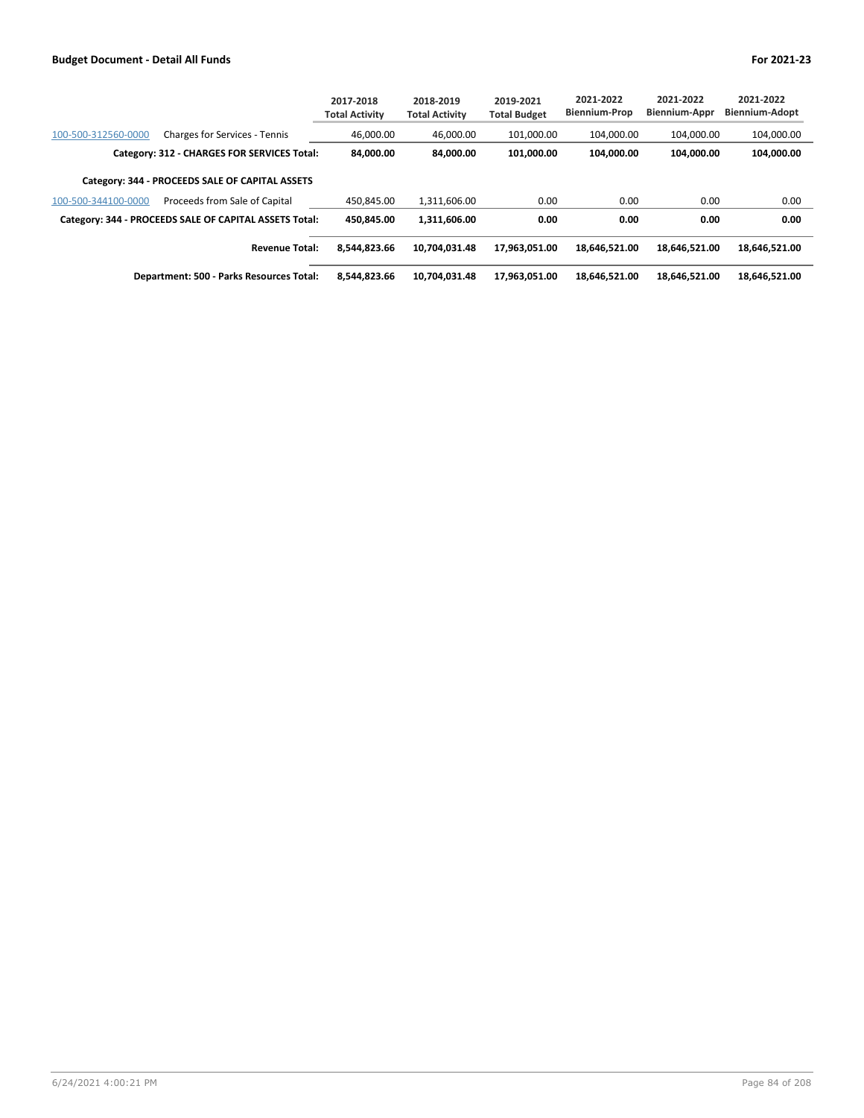|                     |                                                        | 2017-2018<br><b>Total Activity</b> | 2018-2019<br><b>Total Activity</b> | 2019-2021<br><b>Total Budget</b> | 2021-2022<br>Biennium-Prop | 2021-2022<br><b>Biennium-Appr</b> | 2021-2022<br><b>Biennium-Adopt</b> |
|---------------------|--------------------------------------------------------|------------------------------------|------------------------------------|----------------------------------|----------------------------|-----------------------------------|------------------------------------|
| 100-500-312560-0000 | <b>Charges for Services - Tennis</b>                   | 46.000.00                          | 46.000.00                          | 101.000.00                       | 104.000.00                 | 104.000.00                        | 104,000.00                         |
|                     | Category: 312 - CHARGES FOR SERVICES Total:            | 84.000.00                          | 84.000.00                          | 101.000.00                       | 104.000.00                 | 104.000.00                        | 104,000.00                         |
|                     | Category: 344 - PROCEEDS SALE OF CAPITAL ASSETS        |                                    |                                    |                                  |                            |                                   |                                    |
| 100-500-344100-0000 | Proceeds from Sale of Capital                          | 450.845.00                         | 1,311,606.00                       | 0.00                             | 0.00                       | 0.00                              | 0.00                               |
|                     | Category: 344 - PROCEEDS SALE OF CAPITAL ASSETS Total: | 450.845.00                         | 1.311.606.00                       | 0.00                             | 0.00                       | 0.00                              | 0.00                               |
|                     | <b>Revenue Total:</b>                                  | 8.544.823.66                       | 10.704.031.48                      | 17.963.051.00                    | 18.646.521.00              | 18,646,521.00                     | 18.646.521.00                      |
|                     | <b>Department: 500 - Parks Resources Total:</b>        | 8.544.823.66                       | 10,704,031.48                      | 17,963,051.00                    | 18,646,521.00              | 18,646,521.00                     | 18,646,521.00                      |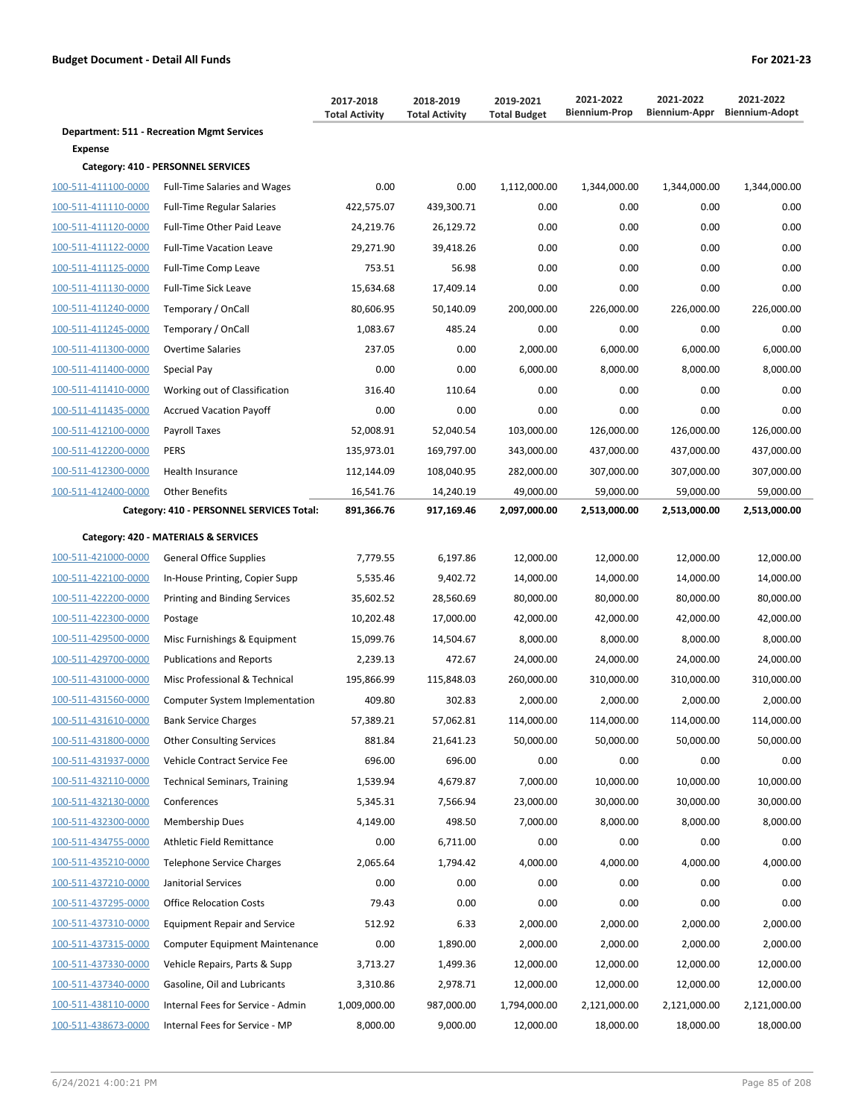|                     |                                                   | 2017-2018<br><b>Total Activity</b> | 2018-2019<br><b>Total Activity</b> | 2019-2021<br><b>Total Budget</b> | 2021-2022<br><b>Biennium-Prop</b> | 2021-2022<br>Biennium-Appr | 2021-2022<br><b>Biennium-Adopt</b> |
|---------------------|---------------------------------------------------|------------------------------------|------------------------------------|----------------------------------|-----------------------------------|----------------------------|------------------------------------|
|                     | <b>Department: 511 - Recreation Mgmt Services</b> |                                    |                                    |                                  |                                   |                            |                                    |
| Expense             |                                                   |                                    |                                    |                                  |                                   |                            |                                    |
|                     | Category: 410 - PERSONNEL SERVICES                |                                    |                                    |                                  |                                   |                            |                                    |
| 100-511-411100-0000 | <b>Full-Time Salaries and Wages</b>               | 0.00                               | 0.00                               | 1,112,000.00                     | 1,344,000.00                      | 1,344,000.00               | 1,344,000.00                       |
| 100-511-411110-0000 | <b>Full-Time Regular Salaries</b>                 | 422,575.07                         | 439,300.71                         | 0.00                             | 0.00                              | 0.00                       | 0.00                               |
| 100-511-411120-0000 | Full-Time Other Paid Leave                        | 24,219.76                          | 26,129.72                          | 0.00                             | 0.00                              | 0.00                       | 0.00                               |
| 100-511-411122-0000 | <b>Full-Time Vacation Leave</b>                   | 29,271.90                          | 39,418.26                          | 0.00                             | 0.00                              | 0.00                       | 0.00                               |
| 100-511-411125-0000 | Full-Time Comp Leave                              | 753.51                             | 56.98                              | 0.00                             | 0.00                              | 0.00                       | 0.00                               |
| 100-511-411130-0000 | <b>Full-Time Sick Leave</b>                       | 15,634.68                          | 17,409.14                          | 0.00                             | 0.00                              | 0.00                       | 0.00                               |
| 100-511-411240-0000 | Temporary / OnCall                                | 80,606.95                          | 50,140.09                          | 200,000.00                       | 226,000.00                        | 226,000.00                 | 226,000.00                         |
| 100-511-411245-0000 | Temporary / OnCall                                | 1,083.67                           | 485.24                             | 0.00                             | 0.00                              | 0.00                       | 0.00                               |
| 100-511-411300-0000 | <b>Overtime Salaries</b>                          | 237.05                             | 0.00                               | 2,000.00                         | 6,000.00                          | 6,000.00                   | 6,000.00                           |
| 100-511-411400-0000 | Special Pay                                       | 0.00                               | 0.00                               | 6,000.00                         | 8,000.00                          | 8,000.00                   | 8,000.00                           |
| 100-511-411410-0000 | Working out of Classification                     | 316.40                             | 110.64                             | 0.00                             | 0.00                              | 0.00                       | 0.00                               |
| 100-511-411435-0000 | <b>Accrued Vacation Payoff</b>                    | 0.00                               | 0.00                               | 0.00                             | 0.00                              | 0.00                       | 0.00                               |
| 100-511-412100-0000 | Payroll Taxes                                     | 52,008.91                          | 52,040.54                          | 103,000.00                       | 126,000.00                        | 126,000.00                 | 126,000.00                         |
| 100-511-412200-0000 | <b>PERS</b>                                       | 135,973.01                         | 169,797.00                         | 343,000.00                       | 437,000.00                        | 437,000.00                 | 437,000.00                         |
| 100-511-412300-0000 | Health Insurance                                  | 112,144.09                         | 108,040.95                         | 282,000.00                       | 307,000.00                        | 307,000.00                 | 307,000.00                         |
| 100-511-412400-0000 | <b>Other Benefits</b>                             | 16,541.76                          | 14,240.19                          | 49,000.00                        | 59,000.00                         | 59,000.00                  | 59,000.00                          |
|                     | Category: 410 - PERSONNEL SERVICES Total:         | 891,366.76                         | 917,169.46                         | 2,097,000.00                     | 2,513,000.00                      | 2,513,000.00               | 2,513,000.00                       |
|                     | Category: 420 - MATERIALS & SERVICES              |                                    |                                    |                                  |                                   |                            |                                    |
| 100-511-421000-0000 | <b>General Office Supplies</b>                    | 7,779.55                           | 6,197.86                           | 12,000.00                        | 12,000.00                         | 12,000.00                  | 12,000.00                          |
| 100-511-422100-0000 | In-House Printing, Copier Supp                    | 5,535.46                           | 9,402.72                           | 14,000.00                        | 14,000.00                         | 14,000.00                  | 14,000.00                          |
| 100-511-422200-0000 | Printing and Binding Services                     | 35,602.52                          | 28,560.69                          | 80,000.00                        | 80,000.00                         | 80,000.00                  | 80,000.00                          |
| 100-511-422300-0000 | Postage                                           | 10,202.48                          | 17,000.00                          | 42,000.00                        | 42,000.00                         | 42,000.00                  | 42,000.00                          |
| 100-511-429500-0000 | Misc Furnishings & Equipment                      | 15,099.76                          | 14,504.67                          | 8,000.00                         | 8,000.00                          | 8,000.00                   | 8,000.00                           |
| 100-511-429700-0000 | <b>Publications and Reports</b>                   | 2,239.13                           | 472.67                             | 24,000.00                        | 24,000.00                         | 24,000.00                  | 24,000.00                          |
| 100-511-431000-0000 | Misc Professional & Technical                     | 195,866.99                         | 115,848.03                         | 260,000.00                       | 310,000.00                        | 310,000.00                 | 310,000.00                         |
| 100-511-431560-0000 | Computer System Implementation                    | 409.80                             | 302.83                             | 2,000.00                         | 2,000.00                          | 2,000.00                   | 2,000.00                           |
| 100-511-431610-0000 | <b>Bank Service Charges</b>                       | 57,389.21                          | 57,062.81                          | 114,000.00                       | 114,000.00                        | 114,000.00                 | 114,000.00                         |
| 100-511-431800-0000 | <b>Other Consulting Services</b>                  | 881.84                             | 21,641.23                          | 50,000.00                        | 50,000.00                         | 50,000.00                  | 50,000.00                          |
| 100-511-431937-0000 | Vehicle Contract Service Fee                      | 696.00                             | 696.00                             | 0.00                             | 0.00                              | 0.00                       | 0.00                               |
| 100-511-432110-0000 | <b>Technical Seminars, Training</b>               | 1,539.94                           | 4,679.87                           | 7,000.00                         | 10,000.00                         | 10,000.00                  | 10,000.00                          |
| 100-511-432130-0000 | Conferences                                       | 5,345.31                           | 7,566.94                           | 23,000.00                        | 30,000.00                         | 30,000.00                  | 30,000.00                          |
| 100-511-432300-0000 | <b>Membership Dues</b>                            | 4,149.00                           | 498.50                             | 7,000.00                         | 8,000.00                          | 8,000.00                   | 8,000.00                           |
| 100-511-434755-0000 | Athletic Field Remittance                         | 0.00                               | 6,711.00                           | 0.00                             | 0.00                              | 0.00                       | 0.00                               |
| 100-511-435210-0000 | Telephone Service Charges                         | 2,065.64                           | 1,794.42                           | 4,000.00                         | 4,000.00                          | 4,000.00                   | 4,000.00                           |
| 100-511-437210-0000 | Janitorial Services                               | 0.00                               | 0.00                               | 0.00                             | 0.00                              | 0.00                       | 0.00                               |
| 100-511-437295-0000 | <b>Office Relocation Costs</b>                    | 79.43                              | 0.00                               | 0.00                             | 0.00                              | 0.00                       | 0.00                               |
| 100-511-437310-0000 | <b>Equipment Repair and Service</b>               | 512.92                             | 6.33                               | 2,000.00                         | 2,000.00                          | 2,000.00                   | 2,000.00                           |
| 100-511-437315-0000 | <b>Computer Equipment Maintenance</b>             | 0.00                               | 1,890.00                           | 2,000.00                         | 2,000.00                          | 2,000.00                   | 2,000.00                           |
| 100-511-437330-0000 | Vehicle Repairs, Parts & Supp                     | 3,713.27                           | 1,499.36                           | 12,000.00                        | 12,000.00                         | 12,000.00                  | 12,000.00                          |
| 100-511-437340-0000 | Gasoline, Oil and Lubricants                      | 3,310.86                           | 2,978.71                           | 12,000.00                        | 12,000.00                         | 12,000.00                  | 12,000.00                          |
| 100-511-438110-0000 | Internal Fees for Service - Admin                 | 1,009,000.00                       | 987,000.00                         | 1,794,000.00                     | 2,121,000.00                      | 2,121,000.00               | 2,121,000.00                       |
| 100-511-438673-0000 | Internal Fees for Service - MP                    | 8,000.00                           | 9,000.00                           | 12,000.00                        | 18,000.00                         | 18,000.00                  | 18,000.00                          |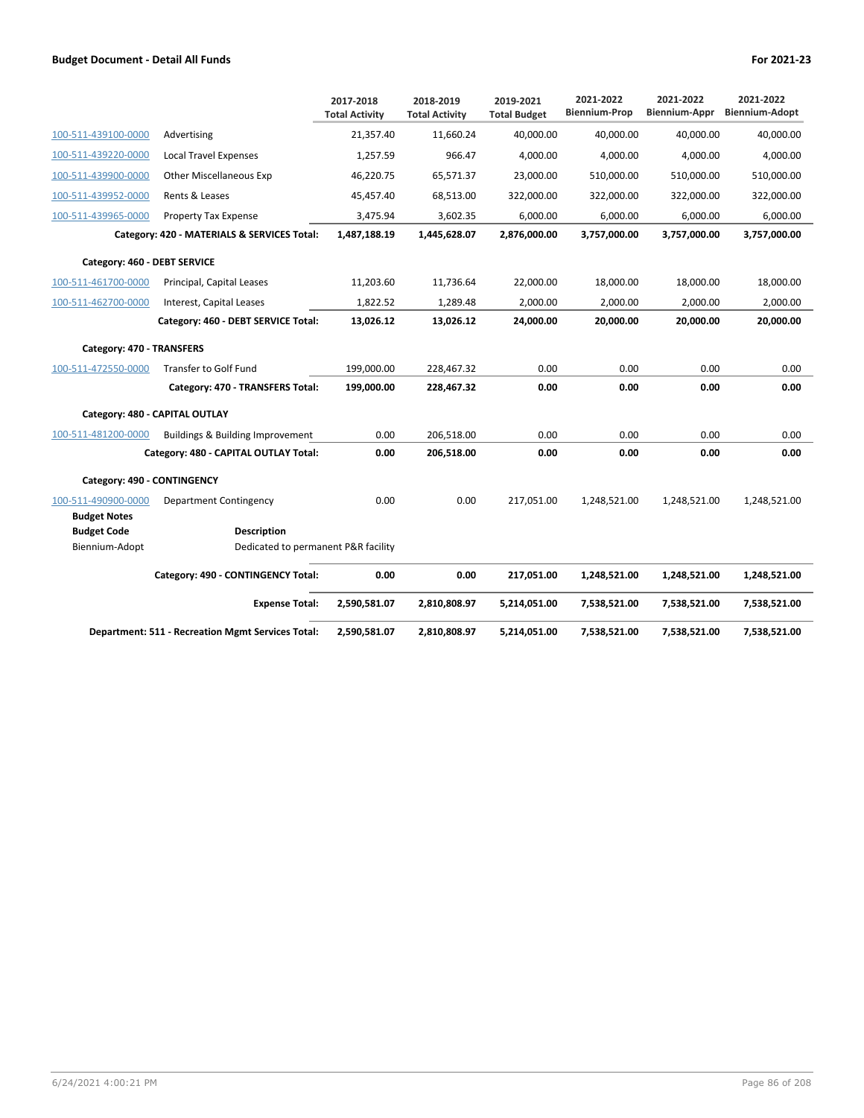|                                           |                                                          | 2017-2018<br><b>Total Activity</b> | 2018-2019<br><b>Total Activity</b> | 2019-2021<br><b>Total Budget</b> | 2021-2022<br><b>Biennium-Prop</b> | 2021-2022<br>Biennium-Appr | 2021-2022<br><b>Biennium-Adopt</b> |
|-------------------------------------------|----------------------------------------------------------|------------------------------------|------------------------------------|----------------------------------|-----------------------------------|----------------------------|------------------------------------|
| 100-511-439100-0000                       | Advertising                                              | 21,357.40                          | 11,660.24                          | 40,000.00                        | 40,000.00                         | 40,000.00                  | 40,000.00                          |
| 100-511-439220-0000                       | <b>Local Travel Expenses</b>                             | 1,257.59                           | 966.47                             | 4,000.00                         | 4,000.00                          | 4,000.00                   | 4,000.00                           |
| 100-511-439900-0000                       | <b>Other Miscellaneous Exp</b>                           | 46,220.75                          | 65,571.37                          | 23,000.00                        | 510,000.00                        | 510,000.00                 | 510,000.00                         |
| 100-511-439952-0000                       | Rents & Leases                                           | 45,457.40                          | 68,513.00                          | 322,000.00                       | 322,000.00                        | 322,000.00                 | 322,000.00                         |
| 100-511-439965-0000                       | <b>Property Tax Expense</b>                              | 3,475.94                           | 3,602.35                           | 6,000.00                         | 6,000.00                          | 6,000.00                   | 6,000.00                           |
|                                           | Category: 420 - MATERIALS & SERVICES Total:              | 1,487,188.19                       | 1,445,628.07                       | 2,876,000.00                     | 3,757,000.00                      | 3,757,000.00               | 3,757,000.00                       |
| Category: 460 - DEBT SERVICE              |                                                          |                                    |                                    |                                  |                                   |                            |                                    |
| 100-511-461700-0000                       | Principal, Capital Leases                                | 11,203.60                          | 11,736.64                          | 22,000.00                        | 18,000.00                         | 18,000.00                  | 18,000.00                          |
| 100-511-462700-0000                       | Interest, Capital Leases                                 | 1,822.52                           | 1,289.48                           | 2,000.00                         | 2,000.00                          | 2,000.00                   | 2,000.00                           |
|                                           | Category: 460 - DEBT SERVICE Total:                      | 13,026.12                          | 13,026.12                          | 24,000.00                        | 20,000.00                         | 20,000.00                  | 20,000.00                          |
| Category: 470 - TRANSFERS                 |                                                          |                                    |                                    |                                  |                                   |                            |                                    |
| 100-511-472550-0000                       | <b>Transfer to Golf Fund</b>                             | 199,000.00                         | 228,467.32                         | 0.00                             | 0.00                              | 0.00                       | 0.00                               |
|                                           | Category: 470 - TRANSFERS Total:                         | 199,000.00                         | 228,467.32                         | 0.00                             | 0.00                              | 0.00                       | 0.00                               |
|                                           | Category: 480 - CAPITAL OUTLAY                           |                                    |                                    |                                  |                                   |                            |                                    |
| 100-511-481200-0000                       | Buildings & Building Improvement                         | 0.00                               | 206,518.00                         | 0.00                             | 0.00                              | 0.00                       | 0.00                               |
|                                           | Category: 480 - CAPITAL OUTLAY Total:                    | 0.00                               | 206,518.00                         | 0.00                             | 0.00                              | 0.00                       | 0.00                               |
| Category: 490 - CONTINGENCY               |                                                          |                                    |                                    |                                  |                                   |                            |                                    |
| 100-511-490900-0000                       | <b>Department Contingency</b>                            | 0.00                               | 0.00                               | 217,051.00                       | 1,248,521.00                      | 1,248,521.00               | 1,248,521.00                       |
| <b>Budget Notes</b><br><b>Budget Code</b> | <b>Description</b>                                       |                                    |                                    |                                  |                                   |                            |                                    |
| Biennium-Adopt                            | Dedicated to permanent P&R facility                      |                                    |                                    |                                  |                                   |                            |                                    |
|                                           | Category: 490 - CONTINGENCY Total:                       | 0.00                               | 0.00                               | 217,051.00                       | 1,248,521.00                      | 1,248,521.00               | 1,248,521.00                       |
|                                           | <b>Expense Total:</b>                                    | 2,590,581.07                       | 2,810,808.97                       | 5,214,051.00                     | 7,538,521.00                      | 7,538,521.00               | 7,538,521.00                       |
|                                           | <b>Department: 511 - Recreation Mgmt Services Total:</b> | 2,590,581.07                       | 2,810,808.97                       | 5,214,051.00                     | 7,538,521.00                      | 7,538,521.00               | 7,538,521.00                       |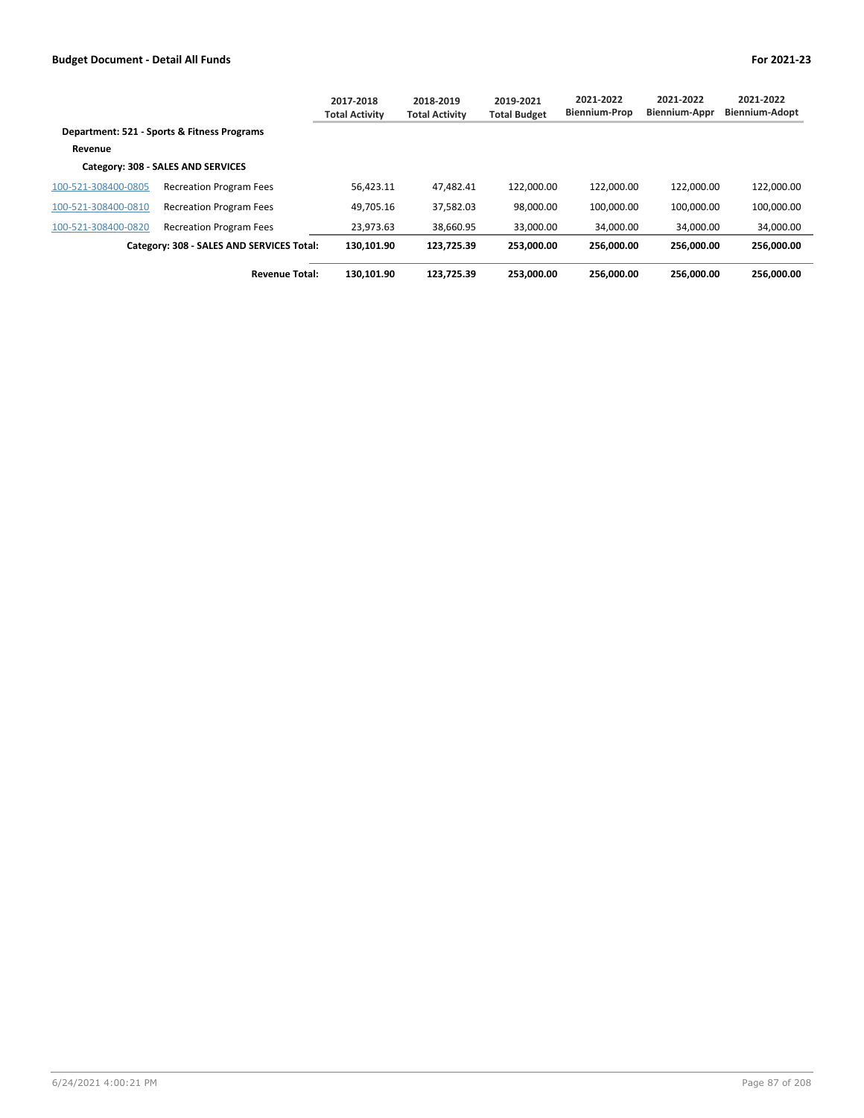|                     |                                             | 2017-2018<br><b>Total Activity</b> | 2018-2019<br><b>Total Activity</b> | 2019-2021<br><b>Total Budget</b> | 2021-2022<br><b>Biennium-Prop</b> | 2021-2022<br><b>Biennium-Appr</b> | 2021-2022<br><b>Biennium-Adopt</b> |
|---------------------|---------------------------------------------|------------------------------------|------------------------------------|----------------------------------|-----------------------------------|-----------------------------------|------------------------------------|
|                     | Department: 521 - Sports & Fitness Programs |                                    |                                    |                                  |                                   |                                   |                                    |
| Revenue             |                                             |                                    |                                    |                                  |                                   |                                   |                                    |
|                     | Category: 308 - SALES AND SERVICES          |                                    |                                    |                                  |                                   |                                   |                                    |
| 100-521-308400-0805 | <b>Recreation Program Fees</b>              | 56.423.11                          | 47.482.41                          | 122.000.00                       | 122.000.00                        | 122.000.00                        | 122,000.00                         |
| 100-521-308400-0810 | <b>Recreation Program Fees</b>              | 49.705.16                          | 37,582.03                          | 98.000.00                        | 100.000.00                        | 100.000.00                        | 100,000.00                         |
| 100-521-308400-0820 | <b>Recreation Program Fees</b>              | 23.973.63                          | 38.660.95                          | 33,000.00                        | 34.000.00                         | 34.000.00                         | 34.000.00                          |
|                     | Category: 308 - SALES AND SERVICES Total:   | 130.101.90                         | 123.725.39                         | 253.000.00                       | 256.000.00                        | 256.000.00                        | 256.000.00                         |
|                     | <b>Revenue Total:</b>                       | 130.101.90                         | 123.725.39                         | 253.000.00                       | 256.000.00                        | 256.000.00                        | 256.000.00                         |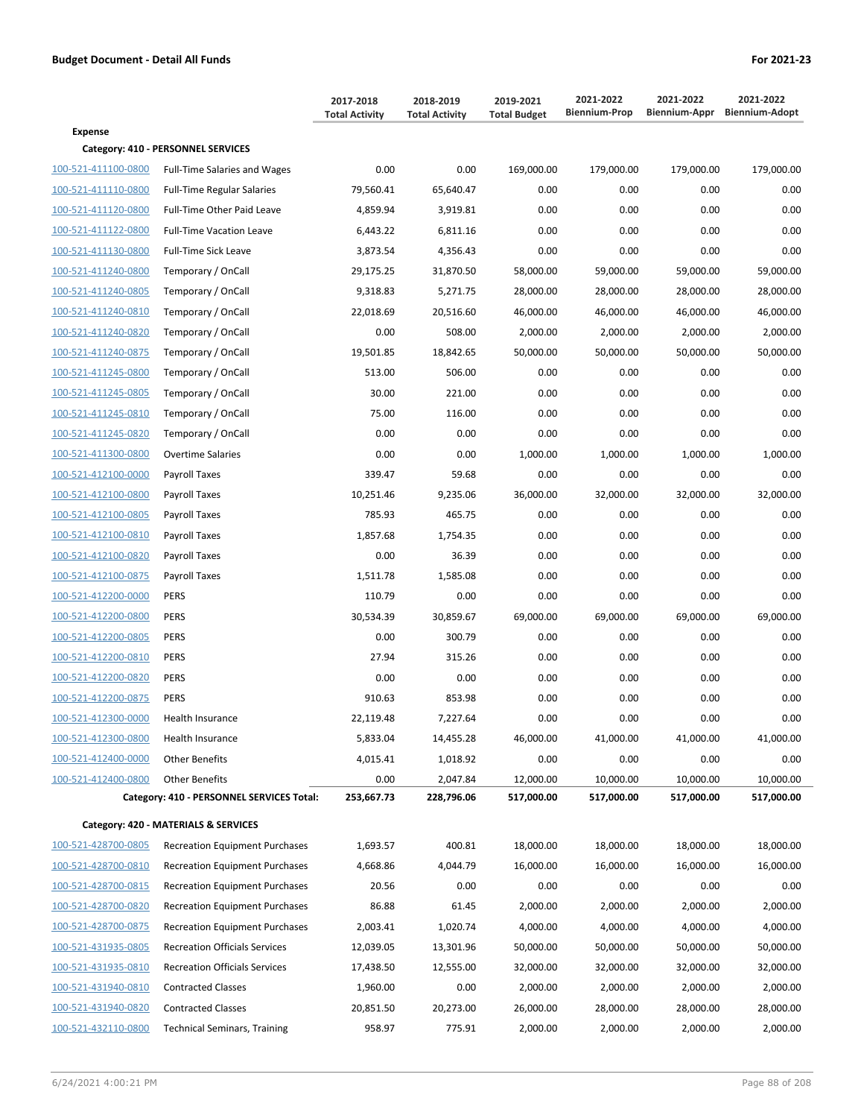|                     |                                           | 2017-2018<br><b>Total Activity</b> | 2018-2019<br><b>Total Activity</b> | 2019-2021<br><b>Total Budget</b> | 2021-2022<br><b>Biennium-Prop</b> | 2021-2022<br>Biennium-Appr | 2021-2022<br><b>Biennium-Adopt</b> |
|---------------------|-------------------------------------------|------------------------------------|------------------------------------|----------------------------------|-----------------------------------|----------------------------|------------------------------------|
| <b>Expense</b>      |                                           |                                    |                                    |                                  |                                   |                            |                                    |
|                     | Category: 410 - PERSONNEL SERVICES        |                                    |                                    |                                  |                                   |                            |                                    |
| 100-521-411100-0800 | <b>Full-Time Salaries and Wages</b>       | 0.00                               | 0.00                               | 169,000.00                       | 179,000.00                        | 179,000.00                 | 179,000.00                         |
| 100-521-411110-0800 | <b>Full-Time Regular Salaries</b>         | 79,560.41                          | 65,640.47                          | 0.00                             | 0.00                              | 0.00                       | 0.00                               |
| 100-521-411120-0800 | Full-Time Other Paid Leave                | 4,859.94                           | 3,919.81                           | 0.00                             | 0.00                              | 0.00                       | 0.00                               |
| 100-521-411122-0800 | <b>Full-Time Vacation Leave</b>           | 6,443.22                           | 6,811.16                           | 0.00                             | 0.00                              | 0.00                       | 0.00                               |
| 100-521-411130-0800 | <b>Full-Time Sick Leave</b>               | 3,873.54                           | 4,356.43                           | 0.00                             | 0.00                              | 0.00                       | 0.00                               |
| 100-521-411240-0800 | Temporary / OnCall                        | 29,175.25                          | 31,870.50                          | 58,000.00                        | 59,000.00                         | 59,000.00                  | 59,000.00                          |
| 100-521-411240-0805 | Temporary / OnCall                        | 9,318.83                           | 5,271.75                           | 28,000.00                        | 28,000.00                         | 28,000.00                  | 28,000.00                          |
| 100-521-411240-0810 | Temporary / OnCall                        | 22,018.69                          | 20,516.60                          | 46,000.00                        | 46,000.00                         | 46,000.00                  | 46,000.00                          |
| 100-521-411240-0820 | Temporary / OnCall                        | 0.00                               | 508.00                             | 2,000.00                         | 2,000.00                          | 2,000.00                   | 2,000.00                           |
| 100-521-411240-0875 | Temporary / OnCall                        | 19,501.85                          | 18,842.65                          | 50,000.00                        | 50,000.00                         | 50,000.00                  | 50,000.00                          |
| 100-521-411245-0800 | Temporary / OnCall                        | 513.00                             | 506.00                             | 0.00                             | 0.00                              | 0.00                       | 0.00                               |
| 100-521-411245-0805 | Temporary / OnCall                        | 30.00                              | 221.00                             | 0.00                             | 0.00                              | 0.00                       | 0.00                               |
| 100-521-411245-0810 | Temporary / OnCall                        | 75.00                              | 116.00                             | 0.00                             | 0.00                              | 0.00                       | 0.00                               |
| 100-521-411245-0820 | Temporary / OnCall                        | 0.00                               | 0.00                               | 0.00                             | 0.00                              | 0.00                       | 0.00                               |
| 100-521-411300-0800 | <b>Overtime Salaries</b>                  | 0.00                               | 0.00                               | 1,000.00                         | 1,000.00                          | 1,000.00                   | 1,000.00                           |
| 100-521-412100-0000 | Payroll Taxes                             | 339.47                             | 59.68                              | 0.00                             | 0.00                              | 0.00                       | 0.00                               |
| 100-521-412100-0800 | Payroll Taxes                             | 10,251.46                          | 9,235.06                           | 36,000.00                        | 32,000.00                         | 32,000.00                  | 32,000.00                          |
| 100-521-412100-0805 | Payroll Taxes                             | 785.93                             | 465.75                             | 0.00                             | 0.00                              | 0.00                       | 0.00                               |
| 100-521-412100-0810 | Payroll Taxes                             | 1,857.68                           | 1,754.35                           | 0.00                             | 0.00                              | 0.00                       | 0.00                               |
| 100-521-412100-0820 | Payroll Taxes                             | 0.00                               | 36.39                              | 0.00                             | 0.00                              | 0.00                       | 0.00                               |
| 100-521-412100-0875 | Payroll Taxes                             | 1,511.78                           | 1,585.08                           | 0.00                             | 0.00                              | 0.00                       | 0.00                               |
| 100-521-412200-0000 | <b>PERS</b>                               | 110.79                             | 0.00                               | 0.00                             | 0.00                              | 0.00                       | 0.00                               |
| 100-521-412200-0800 | <b>PERS</b>                               | 30,534.39                          | 30,859.67                          | 69,000.00                        | 69,000.00                         | 69,000.00                  | 69,000.00                          |
| 100-521-412200-0805 | <b>PERS</b>                               | 0.00                               | 300.79                             | 0.00                             | 0.00                              | 0.00                       | 0.00                               |
| 100-521-412200-0810 | <b>PERS</b>                               | 27.94                              | 315.26                             | 0.00                             | 0.00                              | 0.00                       | 0.00                               |
| 100-521-412200-0820 | <b>PERS</b>                               | 0.00                               | 0.00                               | 0.00                             | 0.00                              | 0.00                       | 0.00                               |
| 100-521-412200-0875 | <b>PERS</b>                               | 910.63                             | 853.98                             | 0.00                             | 0.00                              | 0.00                       | 0.00                               |
| 100-521-412300-0000 | Health Insurance                          | 22,119.48                          | 7,227.64                           | 0.00                             | 0.00                              | 0.00                       | 0.00                               |
| 100-521-412300-0800 | Health Insurance                          | 5,833.04                           | 14,455.28                          | 46,000.00                        | 41,000.00                         | 41,000.00                  | 41,000.00                          |
| 100-521-412400-0000 | <b>Other Benefits</b>                     | 4,015.41                           | 1,018.92                           | 0.00                             | 0.00                              | 0.00                       | 0.00                               |
| 100-521-412400-0800 | <b>Other Benefits</b>                     | 0.00                               | 2,047.84                           | 12,000.00                        | 10,000.00                         | 10,000.00                  | 10,000.00                          |
|                     | Category: 410 - PERSONNEL SERVICES Total: | 253,667.73                         | 228,796.06                         | 517,000.00                       | 517,000.00                        | 517,000.00                 | 517,000.00                         |
|                     | Category: 420 - MATERIALS & SERVICES      |                                    |                                    |                                  |                                   |                            |                                    |
| 100-521-428700-0805 | <b>Recreation Equipment Purchases</b>     | 1,693.57                           | 400.81                             | 18,000.00                        | 18,000.00                         | 18,000.00                  | 18,000.00                          |
| 100-521-428700-0810 | <b>Recreation Equipment Purchases</b>     | 4,668.86                           | 4,044.79                           | 16,000.00                        | 16,000.00                         | 16,000.00                  | 16,000.00                          |
| 100-521-428700-0815 | <b>Recreation Equipment Purchases</b>     | 20.56                              | 0.00                               | 0.00                             | 0.00                              | 0.00                       | 0.00                               |
| 100-521-428700-0820 | <b>Recreation Equipment Purchases</b>     | 86.88                              | 61.45                              | 2,000.00                         | 2,000.00                          | 2,000.00                   | 2,000.00                           |
| 100-521-428700-0875 | <b>Recreation Equipment Purchases</b>     | 2,003.41                           | 1,020.74                           | 4,000.00                         | 4,000.00                          | 4,000.00                   | 4,000.00                           |
| 100-521-431935-0805 | <b>Recreation Officials Services</b>      | 12,039.05                          | 13,301.96                          | 50,000.00                        | 50,000.00                         | 50,000.00                  | 50,000.00                          |
| 100-521-431935-0810 | <b>Recreation Officials Services</b>      | 17,438.50                          | 12,555.00                          | 32,000.00                        | 32,000.00                         | 32,000.00                  | 32,000.00                          |
| 100-521-431940-0810 | <b>Contracted Classes</b>                 | 1,960.00                           | 0.00                               | 2,000.00                         | 2,000.00                          | 2,000.00                   | 2,000.00                           |
| 100-521-431940-0820 | <b>Contracted Classes</b>                 | 20,851.50                          | 20,273.00                          | 26,000.00                        | 28,000.00                         | 28,000.00                  | 28,000.00                          |
| 100-521-432110-0800 | <b>Technical Seminars, Training</b>       | 958.97                             | 775.91                             | 2,000.00                         | 2,000.00                          | 2,000.00                   | 2,000.00                           |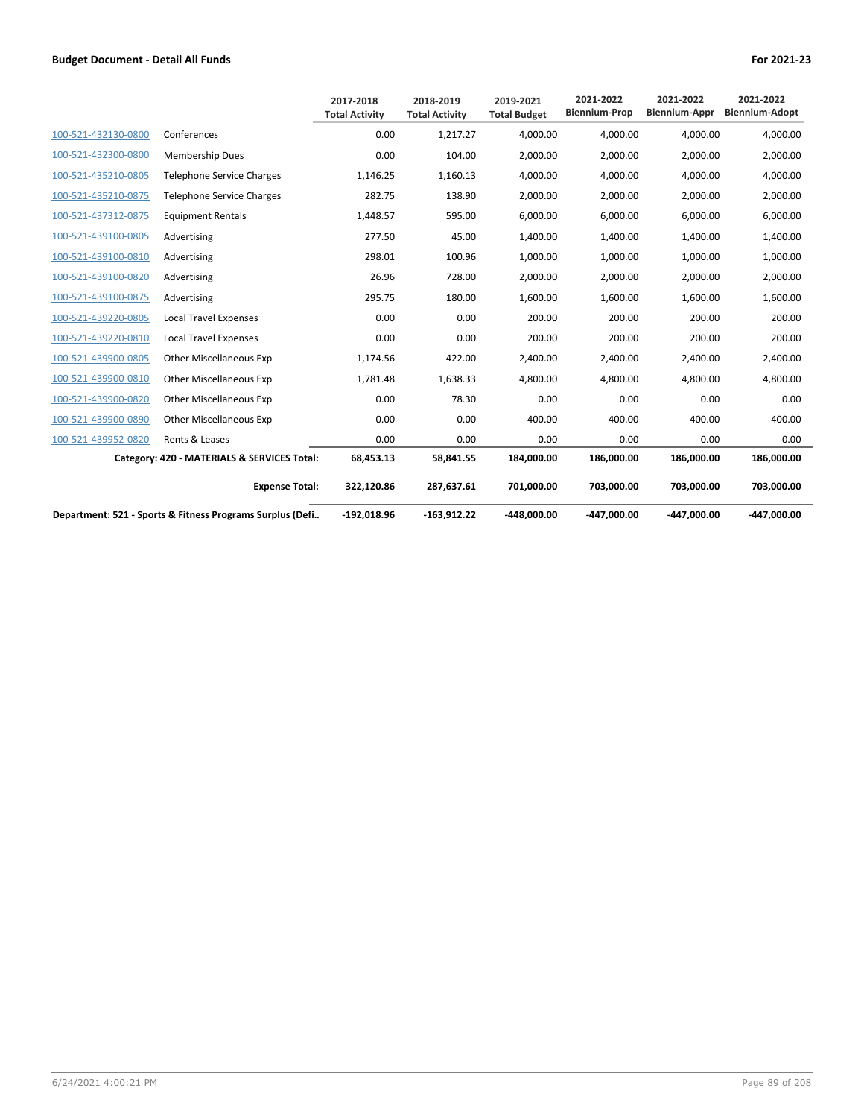|                     |                                                           | 2017-2018<br><b>Total Activity</b> | 2018-2019<br><b>Total Activity</b> | 2019-2021<br><b>Total Budget</b> | 2021-2022<br><b>Biennium-Prop</b> | 2021-2022<br><b>Biennium-Appr</b> | 2021-2022<br><b>Biennium-Adopt</b> |
|---------------------|-----------------------------------------------------------|------------------------------------|------------------------------------|----------------------------------|-----------------------------------|-----------------------------------|------------------------------------|
| 100-521-432130-0800 | Conferences                                               | 0.00                               | 1.217.27                           | 4.000.00                         | 4.000.00                          | 4.000.00                          | 4,000.00                           |
| 100-521-432300-0800 | <b>Membership Dues</b>                                    | 0.00                               | 104.00                             | 2.000.00                         | 2,000.00                          | 2,000.00                          | 2,000.00                           |
| 100-521-435210-0805 | <b>Telephone Service Charges</b>                          | 1,146.25                           | 1,160.13                           | 4.000.00                         | 4.000.00                          | 4.000.00                          | 4,000.00                           |
| 100-521-435210-0875 | <b>Telephone Service Charges</b>                          | 282.75                             | 138.90                             | 2,000.00                         | 2,000.00                          | 2,000.00                          | 2,000.00                           |
| 100-521-437312-0875 | <b>Equipment Rentals</b>                                  | 1,448.57                           | 595.00                             | 6,000.00                         | 6,000.00                          | 6,000.00                          | 6,000.00                           |
| 100-521-439100-0805 | Advertising                                               | 277.50                             | 45.00                              | 1,400.00                         | 1,400.00                          | 1,400.00                          | 1,400.00                           |
| 100-521-439100-0810 | Advertising                                               | 298.01                             | 100.96                             | 1,000.00                         | 1,000.00                          | 1,000.00                          | 1,000.00                           |
| 100-521-439100-0820 | Advertising                                               | 26.96                              | 728.00                             | 2,000.00                         | 2,000.00                          | 2,000.00                          | 2,000.00                           |
| 100-521-439100-0875 | Advertising                                               | 295.75                             | 180.00                             | 1,600.00                         | 1,600.00                          | 1,600.00                          | 1,600.00                           |
| 100-521-439220-0805 | <b>Local Travel Expenses</b>                              | 0.00                               | 0.00                               | 200.00                           | 200.00                            | 200.00                            | 200.00                             |
| 100-521-439220-0810 | <b>Local Travel Expenses</b>                              | 0.00                               | 0.00                               | 200.00                           | 200.00                            | 200.00                            | 200.00                             |
| 100-521-439900-0805 | <b>Other Miscellaneous Exp</b>                            | 1,174.56                           | 422.00                             | 2,400.00                         | 2.400.00                          | 2.400.00                          | 2,400.00                           |
| 100-521-439900-0810 | <b>Other Miscellaneous Exp</b>                            | 1,781.48                           | 1,638.33                           | 4,800.00                         | 4,800.00                          | 4,800.00                          | 4,800.00                           |
| 100-521-439900-0820 | <b>Other Miscellaneous Exp</b>                            | 0.00                               | 78.30                              | 0.00                             | 0.00                              | 0.00                              | 0.00                               |
| 100-521-439900-0890 | <b>Other Miscellaneous Exp</b>                            | 0.00                               | 0.00                               | 400.00                           | 400.00                            | 400.00                            | 400.00                             |
| 100-521-439952-0820 | Rents & Leases                                            | 0.00                               | 0.00                               | 0.00                             | 0.00                              | 0.00                              | 0.00                               |
|                     | Category: 420 - MATERIALS & SERVICES Total:               | 68,453.13                          | 58,841.55                          | 184,000.00                       | 186,000.00                        | 186,000.00                        | 186,000.00                         |
|                     | <b>Expense Total:</b>                                     | 322,120.86                         | 287,637.61                         | 701,000.00                       | 703,000.00                        | 703,000.00                        | 703,000.00                         |
|                     | Department: 521 - Sports & Fitness Programs Surplus (Defi | $-192.018.96$                      | $-163.912.22$                      | $-448,000,00$                    | -447.000.00                       | -447.000.00                       | -447.000.00                        |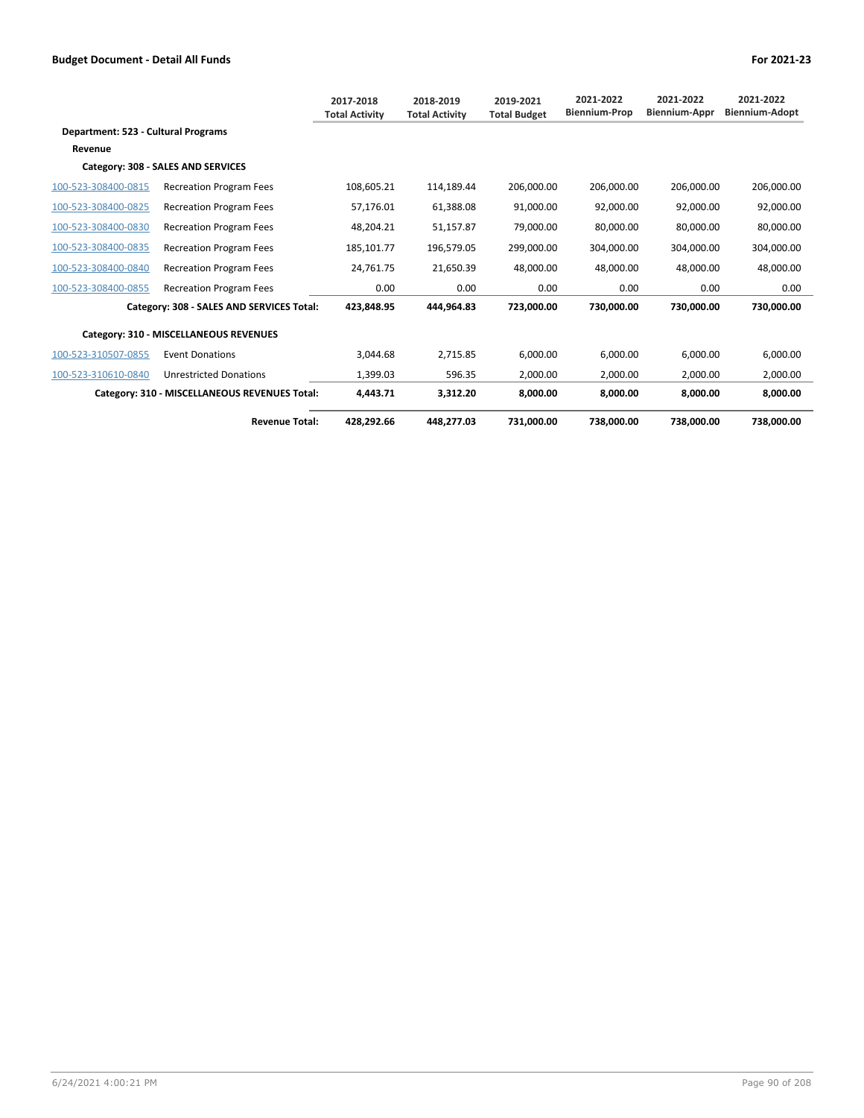|                                     |                                               | 2017-2018<br><b>Total Activity</b> | 2018-2019<br><b>Total Activity</b> | 2019-2021<br><b>Total Budget</b> | 2021-2022<br><b>Biennium-Prop</b> | 2021-2022<br><b>Biennium-Appr</b> | 2021-2022<br><b>Biennium-Adopt</b> |
|-------------------------------------|-----------------------------------------------|------------------------------------|------------------------------------|----------------------------------|-----------------------------------|-----------------------------------|------------------------------------|
| Department: 523 - Cultural Programs |                                               |                                    |                                    |                                  |                                   |                                   |                                    |
| Revenue                             |                                               |                                    |                                    |                                  |                                   |                                   |                                    |
|                                     | Category: 308 - SALES AND SERVICES            |                                    |                                    |                                  |                                   |                                   |                                    |
| 100-523-308400-0815                 | <b>Recreation Program Fees</b>                | 108.605.21                         | 114.189.44                         | 206.000.00                       | 206.000.00                        | 206.000.00                        | 206,000.00                         |
| 100-523-308400-0825                 | <b>Recreation Program Fees</b>                | 57.176.01                          | 61,388.08                          | 91,000.00                        | 92.000.00                         | 92.000.00                         | 92.000.00                          |
| 100-523-308400-0830                 | <b>Recreation Program Fees</b>                | 48,204.21                          | 51,157.87                          | 79,000.00                        | 80,000.00                         | 80,000.00                         | 80,000.00                          |
| 100-523-308400-0835                 | <b>Recreation Program Fees</b>                | 185,101.77                         | 196,579.05                         | 299,000.00                       | 304,000.00                        | 304,000.00                        | 304,000.00                         |
| 100-523-308400-0840                 | <b>Recreation Program Fees</b>                | 24,761.75                          | 21,650.39                          | 48,000.00                        | 48,000.00                         | 48,000.00                         | 48,000.00                          |
| 100-523-308400-0855                 | <b>Recreation Program Fees</b>                | 0.00                               | 0.00                               | 0.00                             | 0.00                              | 0.00                              | 0.00                               |
|                                     | Category: 308 - SALES AND SERVICES Total:     | 423.848.95                         | 444.964.83                         | 723.000.00                       | 730.000.00                        | 730.000.00                        | 730.000.00                         |
|                                     | Category: 310 - MISCELLANEOUS REVENUES        |                                    |                                    |                                  |                                   |                                   |                                    |
| 100-523-310507-0855                 | <b>Event Donations</b>                        | 3,044.68                           | 2,715.85                           | 6,000.00                         | 6.000.00                          | 6.000.00                          | 6,000.00                           |
| 100-523-310610-0840                 | <b>Unrestricted Donations</b>                 | 1,399.03                           | 596.35                             | 2,000.00                         | 2,000.00                          | 2,000.00                          | 2,000.00                           |
|                                     | Category: 310 - MISCELLANEOUS REVENUES Total: | 4.443.71                           | 3.312.20                           | 8.000.00                         | 8.000.00                          | 8.000.00                          | 8.000.00                           |
|                                     | <b>Revenue Total:</b>                         | 428.292.66                         | 448.277.03                         | 731.000.00                       | 738.000.00                        | 738.000.00                        | 738.000.00                         |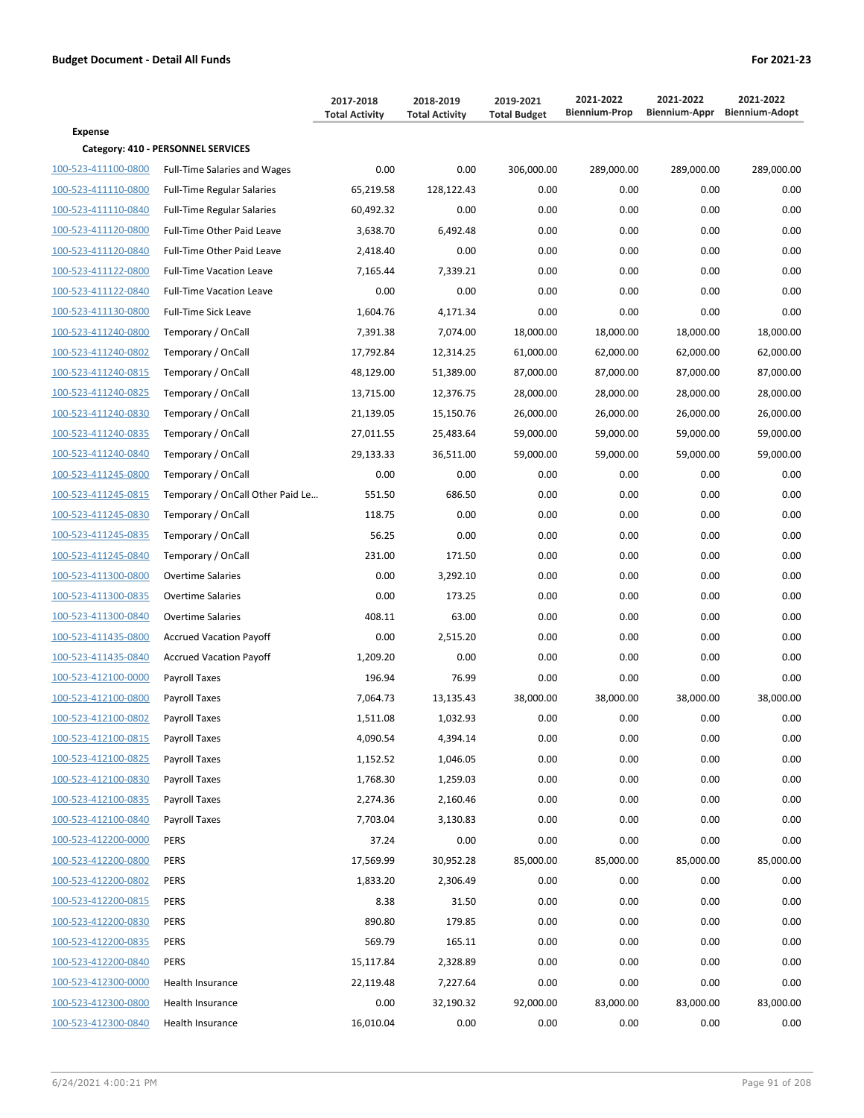|                     |                                     | 2017-2018<br><b>Total Activity</b> | 2018-2019<br><b>Total Activity</b> | 2019-2021<br><b>Total Budget</b> | 2021-2022<br><b>Biennium-Prop</b> | 2021-2022  | 2021-2022<br>Biennium-Appr Biennium-Adopt |
|---------------------|-------------------------------------|------------------------------------|------------------------------------|----------------------------------|-----------------------------------|------------|-------------------------------------------|
| <b>Expense</b>      |                                     |                                    |                                    |                                  |                                   |            |                                           |
|                     | Category: 410 - PERSONNEL SERVICES  |                                    |                                    |                                  |                                   |            |                                           |
| 100-523-411100-0800 | <b>Full-Time Salaries and Wages</b> | 0.00                               | 0.00                               | 306,000.00                       | 289,000.00                        | 289,000.00 | 289,000.00                                |
| 100-523-411110-0800 | <b>Full-Time Regular Salaries</b>   | 65,219.58                          | 128,122.43                         | 0.00                             | 0.00                              | 0.00       | 0.00                                      |
| 100-523-411110-0840 | <b>Full-Time Regular Salaries</b>   | 60,492.32                          | 0.00                               | 0.00                             | 0.00                              | 0.00       | 0.00                                      |
| 100-523-411120-0800 | Full-Time Other Paid Leave          | 3,638.70                           | 6,492.48                           | 0.00                             | 0.00                              | 0.00       | 0.00                                      |
| 100-523-411120-0840 | <b>Full-Time Other Paid Leave</b>   | 2,418.40                           | 0.00                               | 0.00                             | 0.00                              | 0.00       | 0.00                                      |
| 100-523-411122-0800 | <b>Full-Time Vacation Leave</b>     | 7,165.44                           | 7,339.21                           | 0.00                             | 0.00                              | 0.00       | 0.00                                      |
| 100-523-411122-0840 | <b>Full-Time Vacation Leave</b>     | 0.00                               | 0.00                               | 0.00                             | 0.00                              | 0.00       | 0.00                                      |
| 100-523-411130-0800 | <b>Full-Time Sick Leave</b>         | 1,604.76                           | 4,171.34                           | 0.00                             | 0.00                              | 0.00       | 0.00                                      |
| 100-523-411240-0800 | Temporary / OnCall                  | 7,391.38                           | 7,074.00                           | 18,000.00                        | 18,000.00                         | 18,000.00  | 18,000.00                                 |
| 100-523-411240-0802 | Temporary / OnCall                  | 17,792.84                          | 12,314.25                          | 61,000.00                        | 62,000.00                         | 62,000.00  | 62,000.00                                 |
| 100-523-411240-0815 | Temporary / OnCall                  | 48,129.00                          | 51,389.00                          | 87,000.00                        | 87,000.00                         | 87,000.00  | 87,000.00                                 |
| 100-523-411240-0825 | Temporary / OnCall                  | 13,715.00                          | 12,376.75                          | 28,000.00                        | 28,000.00                         | 28,000.00  | 28,000.00                                 |
| 100-523-411240-0830 | Temporary / OnCall                  | 21,139.05                          | 15,150.76                          | 26,000.00                        | 26,000.00                         | 26,000.00  | 26,000.00                                 |
| 100-523-411240-0835 | Temporary / OnCall                  | 27,011.55                          | 25,483.64                          | 59,000.00                        | 59,000.00                         | 59,000.00  | 59,000.00                                 |
| 100-523-411240-0840 | Temporary / OnCall                  | 29,133.33                          | 36,511.00                          | 59,000.00                        | 59,000.00                         | 59,000.00  | 59,000.00                                 |
| 100-523-411245-0800 | Temporary / OnCall                  | 0.00                               | 0.00                               | 0.00                             | 0.00                              | 0.00       | 0.00                                      |
| 100-523-411245-0815 | Temporary / OnCall Other Paid Le    | 551.50                             | 686.50                             | 0.00                             | 0.00                              | 0.00       | 0.00                                      |
| 100-523-411245-0830 | Temporary / OnCall                  | 118.75                             | 0.00                               | 0.00                             | 0.00                              | 0.00       | 0.00                                      |
| 100-523-411245-0835 | Temporary / OnCall                  | 56.25                              | 0.00                               | 0.00                             | 0.00                              | 0.00       | 0.00                                      |
| 100-523-411245-0840 | Temporary / OnCall                  | 231.00                             | 171.50                             | 0.00                             | 0.00                              | 0.00       | 0.00                                      |
| 100-523-411300-0800 | <b>Overtime Salaries</b>            | 0.00                               | 3,292.10                           | 0.00                             | 0.00                              | 0.00       | 0.00                                      |
| 100-523-411300-0835 | <b>Overtime Salaries</b>            | 0.00                               | 173.25                             | 0.00                             | 0.00                              | 0.00       | 0.00                                      |
| 100-523-411300-0840 | <b>Overtime Salaries</b>            | 408.11                             | 63.00                              | 0.00                             | 0.00                              | 0.00       | 0.00                                      |
| 100-523-411435-0800 | <b>Accrued Vacation Payoff</b>      | 0.00                               | 2,515.20                           | 0.00                             | 0.00                              | 0.00       | 0.00                                      |
| 100-523-411435-0840 | <b>Accrued Vacation Payoff</b>      | 1,209.20                           | 0.00                               | 0.00                             | 0.00                              | 0.00       | 0.00                                      |
| 100-523-412100-0000 | Payroll Taxes                       | 196.94                             | 76.99                              | 0.00                             | 0.00                              | 0.00       | 0.00                                      |
| 100-523-412100-0800 | Payroll Taxes                       | 7,064.73                           | 13,135.43                          | 38.000.00                        | 38,000.00                         | 38,000.00  | 38,000.00                                 |
| 100-523-412100-0802 | <b>Payroll Taxes</b>                | 1,511.08                           | 1,032.93                           | 0.00                             | 0.00                              | 0.00       | 0.00                                      |
| 100-523-412100-0815 | Payroll Taxes                       | 4,090.54                           | 4,394.14                           | 0.00                             | 0.00                              | 0.00       | 0.00                                      |
| 100-523-412100-0825 | Payroll Taxes                       | 1,152.52                           | 1,046.05                           | 0.00                             | 0.00                              | 0.00       | 0.00                                      |
| 100-523-412100-0830 | Payroll Taxes                       | 1,768.30                           | 1,259.03                           | 0.00                             | 0.00                              | 0.00       | 0.00                                      |
| 100-523-412100-0835 | Payroll Taxes                       | 2,274.36                           | 2,160.46                           | 0.00                             | 0.00                              | 0.00       | 0.00                                      |
| 100-523-412100-0840 | Payroll Taxes                       | 7,703.04                           | 3,130.83                           | 0.00                             | 0.00                              | 0.00       | 0.00                                      |
| 100-523-412200-0000 | <b>PERS</b>                         | 37.24                              | 0.00                               | 0.00                             | 0.00                              | 0.00       | 0.00                                      |
| 100-523-412200-0800 | PERS                                | 17,569.99                          | 30,952.28                          | 85,000.00                        | 85,000.00                         | 85,000.00  | 85,000.00                                 |
| 100-523-412200-0802 | PERS                                | 1,833.20                           | 2,306.49                           | 0.00                             | 0.00                              | 0.00       | 0.00                                      |
| 100-523-412200-0815 | <b>PERS</b>                         | 8.38                               | 31.50                              | 0.00                             | 0.00                              | 0.00       | 0.00                                      |
| 100-523-412200-0830 | <b>PERS</b>                         | 890.80                             | 179.85                             | 0.00                             | 0.00                              | 0.00       | 0.00                                      |
| 100-523-412200-0835 | PERS                                | 569.79                             | 165.11                             | 0.00                             | 0.00                              | 0.00       | 0.00                                      |
| 100-523-412200-0840 | PERS                                | 15,117.84                          | 2,328.89                           | 0.00                             | 0.00                              | 0.00       | 0.00                                      |
| 100-523-412300-0000 | Health Insurance                    | 22,119.48                          | 7,227.64                           | 0.00                             | 0.00                              | 0.00       | 0.00                                      |
| 100-523-412300-0800 | Health Insurance                    | 0.00                               | 32,190.32                          | 92,000.00                        | 83,000.00                         | 83,000.00  | 83,000.00                                 |
| 100-523-412300-0840 | Health Insurance                    | 16,010.04                          | 0.00                               | 0.00                             | 0.00                              | 0.00       | 0.00                                      |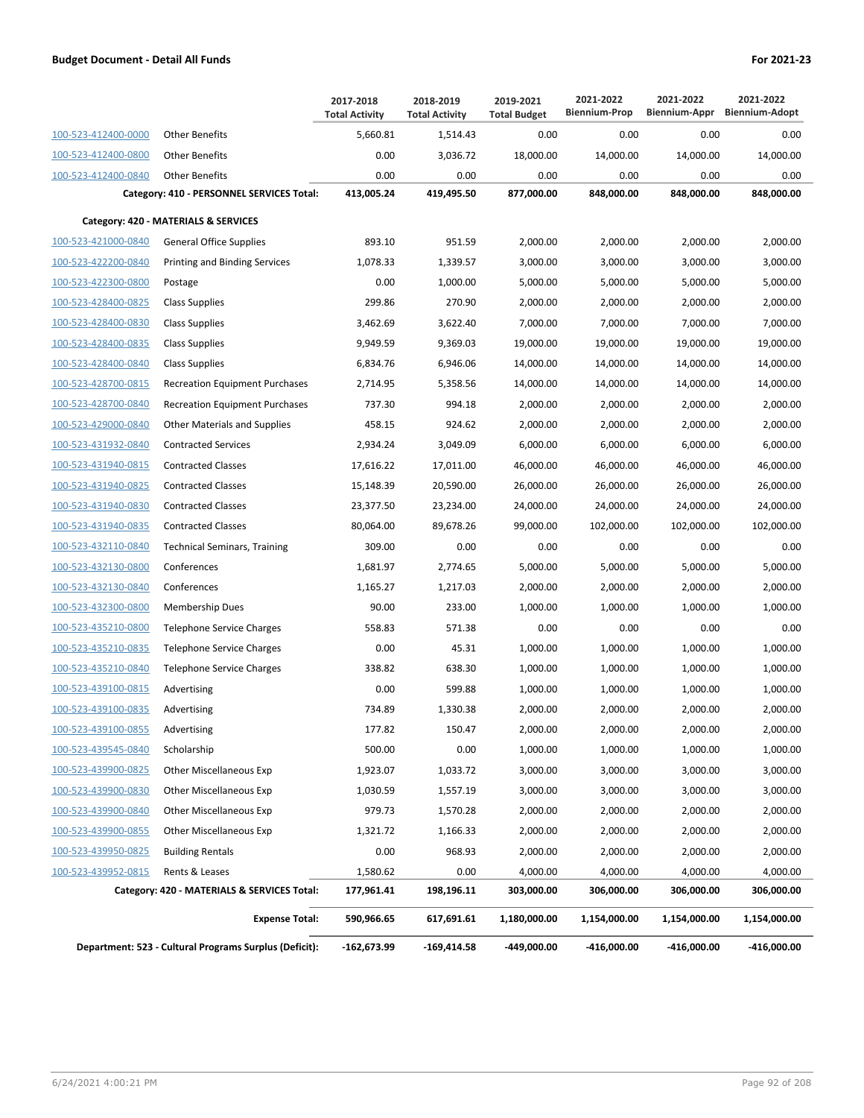|                     |                                                        | 2017-2018<br><b>Total Activity</b> | 2018-2019<br><b>Total Activity</b> | 2019-2021<br><b>Total Budget</b> | 2021-2022<br><b>Biennium-Prop</b> | 2021-2022    | 2021-2022<br>Biennium-Appr Biennium-Adopt |
|---------------------|--------------------------------------------------------|------------------------------------|------------------------------------|----------------------------------|-----------------------------------|--------------|-------------------------------------------|
| 100-523-412400-0000 | <b>Other Benefits</b>                                  | 5,660.81                           | 1,514.43                           | 0.00                             | 0.00                              | 0.00         | 0.00                                      |
| 100-523-412400-0800 | <b>Other Benefits</b>                                  | 0.00                               | 3,036.72                           | 18,000.00                        | 14,000.00                         | 14,000.00    | 14,000.00                                 |
| 100-523-412400-0840 | <b>Other Benefits</b>                                  | 0.00                               | 0.00                               | 0.00                             | 0.00                              | 0.00         | 0.00                                      |
|                     | Category: 410 - PERSONNEL SERVICES Total:              | 413,005.24                         | 419,495.50                         | 877,000.00                       | 848,000.00                        | 848,000.00   | 848,000.00                                |
|                     | Category: 420 - MATERIALS & SERVICES                   |                                    |                                    |                                  |                                   |              |                                           |
| 100-523-421000-0840 | <b>General Office Supplies</b>                         | 893.10                             | 951.59                             | 2,000.00                         | 2,000.00                          | 2,000.00     | 2,000.00                                  |
| 100-523-422200-0840 | <b>Printing and Binding Services</b>                   | 1,078.33                           | 1,339.57                           | 3,000.00                         | 3.000.00                          | 3,000.00     | 3,000.00                                  |
| 100-523-422300-0800 | Postage                                                | 0.00                               | 1,000.00                           | 5,000.00                         | 5,000.00                          | 5,000.00     | 5,000.00                                  |
| 100-523-428400-0825 | <b>Class Supplies</b>                                  | 299.86                             | 270.90                             | 2,000.00                         | 2,000.00                          | 2,000.00     | 2,000.00                                  |
| 100-523-428400-0830 | <b>Class Supplies</b>                                  | 3,462.69                           | 3,622.40                           | 7,000.00                         | 7,000.00                          | 7,000.00     | 7,000.00                                  |
| 100-523-428400-0835 | <b>Class Supplies</b>                                  | 9,949.59                           | 9,369.03                           | 19,000.00                        | 19,000.00                         | 19,000.00    | 19,000.00                                 |
| 100-523-428400-0840 | <b>Class Supplies</b>                                  | 6,834.76                           | 6,946.06                           | 14,000.00                        | 14,000.00                         | 14.000.00    | 14,000.00                                 |
| 100-523-428700-0815 | <b>Recreation Equipment Purchases</b>                  | 2,714.95                           | 5,358.56                           | 14,000.00                        | 14,000.00                         | 14,000.00    | 14,000.00                                 |
| 100-523-428700-0840 | <b>Recreation Equipment Purchases</b>                  | 737.30                             | 994.18                             | 2,000.00                         | 2,000.00                          | 2,000.00     | 2,000.00                                  |
| 100-523-429000-0840 | <b>Other Materials and Supplies</b>                    | 458.15                             | 924.62                             | 2,000.00                         | 2,000.00                          | 2,000.00     | 2,000.00                                  |
| 100-523-431932-0840 | <b>Contracted Services</b>                             | 2,934.24                           | 3,049.09                           | 6,000.00                         | 6,000.00                          | 6,000.00     | 6,000.00                                  |
| 100-523-431940-0815 | <b>Contracted Classes</b>                              | 17,616.22                          | 17,011.00                          | 46.000.00                        | 46,000.00                         | 46,000.00    | 46,000.00                                 |
| 100-523-431940-0825 | <b>Contracted Classes</b>                              | 15,148.39                          | 20,590.00                          | 26,000.00                        | 26,000.00                         | 26,000.00    | 26,000.00                                 |
| 100-523-431940-0830 | <b>Contracted Classes</b>                              | 23,377.50                          | 23,234.00                          | 24,000.00                        | 24,000.00                         | 24,000.00    | 24,000.00                                 |
| 100-523-431940-0835 | <b>Contracted Classes</b>                              | 80,064.00                          | 89,678.26                          | 99,000.00                        | 102,000.00                        | 102,000.00   | 102,000.00                                |
| 100-523-432110-0840 | <b>Technical Seminars, Training</b>                    | 309.00                             | 0.00                               | 0.00                             | 0.00                              | 0.00         | 0.00                                      |
| 100-523-432130-0800 | Conferences                                            | 1,681.97                           | 2,774.65                           | 5,000.00                         | 5,000.00                          | 5,000.00     | 5,000.00                                  |
| 100-523-432130-0840 | Conferences                                            | 1,165.27                           | 1,217.03                           | 2,000.00                         | 2,000.00                          | 2,000.00     | 2,000.00                                  |
| 100-523-432300-0800 | Membership Dues                                        | 90.00                              | 233.00                             | 1,000.00                         | 1,000.00                          | 1,000.00     | 1,000.00                                  |
| 100-523-435210-0800 | Telephone Service Charges                              | 558.83                             | 571.38                             | 0.00                             | 0.00                              | 0.00         | 0.00                                      |
| 100-523-435210-0835 | <b>Telephone Service Charges</b>                       | 0.00                               | 45.31                              | 1,000.00                         | 1,000.00                          | 1,000.00     | 1,000.00                                  |
| 100-523-435210-0840 | Telephone Service Charges                              | 338.82                             | 638.30                             | 1,000.00                         | 1,000.00                          | 1,000.00     | 1,000.00                                  |
| 100-523-439100-0815 | Advertising                                            | 0.00                               | 599.88                             | 1,000.00                         | 1,000.00                          | 1,000.00     | 1,000.00                                  |
| 100-523-439100-0835 | Advertising                                            | 734.89                             | 1,330.38                           | 2,000.00                         | 2,000.00                          | 2.000.00     | 2,000.00                                  |
| 100-523-439100-0855 | Advertising                                            | 177.82                             | 150.47                             | 2,000.00                         | 2,000.00                          | 2,000.00     | 2,000.00                                  |
| 100-523-439545-0840 | Scholarship                                            | 500.00                             | 0.00                               | 1,000.00                         | 1,000.00                          | 1,000.00     | 1,000.00                                  |
| 100-523-439900-0825 | Other Miscellaneous Exp                                | 1,923.07                           | 1,033.72                           | 3,000.00                         | 3,000.00                          | 3,000.00     | 3,000.00                                  |
| 100-523-439900-0830 | Other Miscellaneous Exp                                | 1,030.59                           | 1,557.19                           | 3,000.00                         | 3,000.00                          | 3,000.00     | 3,000.00                                  |
| 100-523-439900-0840 | Other Miscellaneous Exp                                | 979.73                             | 1,570.28                           | 2,000.00                         | 2,000.00                          | 2,000.00     | 2,000.00                                  |
| 100-523-439900-0855 | <b>Other Miscellaneous Exp</b>                         | 1,321.72                           | 1,166.33                           | 2,000.00                         | 2,000.00                          | 2,000.00     | 2,000.00                                  |
| 100-523-439950-0825 | <b>Building Rentals</b>                                | 0.00                               | 968.93                             | 2,000.00                         | 2,000.00                          | 2,000.00     | 2,000.00                                  |
| 100-523-439952-0815 | Rents & Leases                                         | 1,580.62                           | 0.00                               | 4,000.00                         | 4,000.00                          | 4,000.00     | 4,000.00                                  |
|                     | Category: 420 - MATERIALS & SERVICES Total:            | 177,961.41                         | 198,196.11                         | 303,000.00                       | 306,000.00                        | 306,000.00   | 306,000.00                                |
|                     | <b>Expense Total:</b>                                  | 590,966.65                         | 617,691.61                         | 1,180,000.00                     | 1,154,000.00                      | 1,154,000.00 | 1,154,000.00                              |
|                     | Department: 523 - Cultural Programs Surplus (Deficit): | -162,673.99                        | $-169,414.58$                      | -449,000.00                      | -416,000.00                       | -416,000.00  | -416,000.00                               |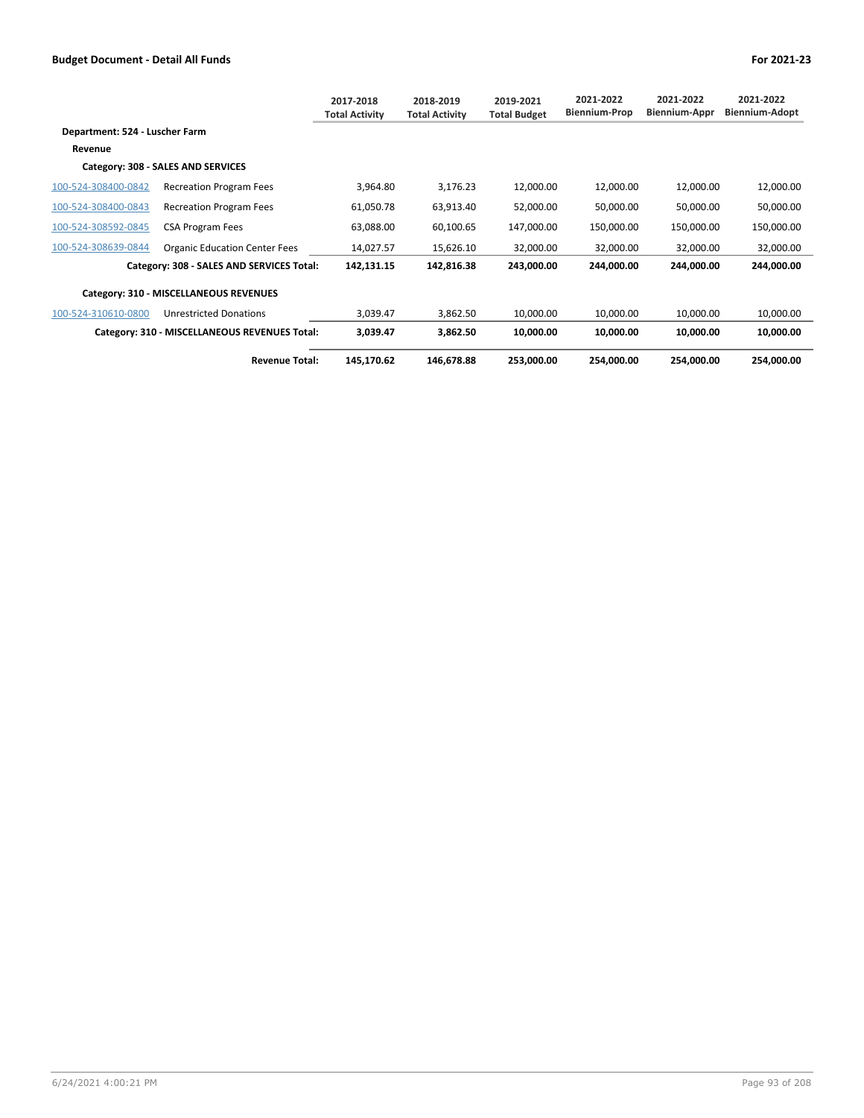|                                |                                               | 2017-2018<br><b>Total Activity</b> | 2018-2019<br><b>Total Activity</b> | 2019-2021<br><b>Total Budget</b> | 2021-2022<br><b>Biennium-Prop</b> | 2021-2022<br><b>Biennium-Appr</b> | 2021-2022<br>Biennium-Adopt |
|--------------------------------|-----------------------------------------------|------------------------------------|------------------------------------|----------------------------------|-----------------------------------|-----------------------------------|-----------------------------|
| Department: 524 - Luscher Farm |                                               |                                    |                                    |                                  |                                   |                                   |                             |
| Revenue                        |                                               |                                    |                                    |                                  |                                   |                                   |                             |
|                                | Category: 308 - SALES AND SERVICES            |                                    |                                    |                                  |                                   |                                   |                             |
| 100-524-308400-0842            | <b>Recreation Program Fees</b>                | 3,964.80                           | 3,176.23                           | 12,000.00                        | 12,000.00                         | 12,000.00                         | 12,000.00                   |
| 100-524-308400-0843            | <b>Recreation Program Fees</b>                | 61,050.78                          | 63,913.40                          | 52,000.00                        | 50,000.00                         | 50,000.00                         | 50,000.00                   |
| 100-524-308592-0845            | <b>CSA Program Fees</b>                       | 63,088.00                          | 60,100.65                          | 147,000.00                       | 150,000.00                        | 150,000.00                        | 150,000.00                  |
| 100-524-308639-0844            | <b>Organic Education Center Fees</b>          | 14,027.57                          | 15,626.10                          | 32,000.00                        | 32,000.00                         | 32,000.00                         | 32,000.00                   |
|                                | Category: 308 - SALES AND SERVICES Total:     | 142,131.15                         | 142,816.38                         | 243,000.00                       | 244,000.00                        | 244,000.00                        | 244,000.00                  |
|                                | Category: 310 - MISCELLANEOUS REVENUES        |                                    |                                    |                                  |                                   |                                   |                             |
| 100-524-310610-0800            | <b>Unrestricted Donations</b>                 | 3,039.47                           | 3,862.50                           | 10,000.00                        | 10,000.00                         | 10,000.00                         | 10,000.00                   |
|                                | Category: 310 - MISCELLANEOUS REVENUES Total: | 3,039.47                           | 3,862.50                           | 10,000.00                        | 10,000.00                         | 10,000.00                         | 10,000.00                   |
|                                | <b>Revenue Total:</b>                         | 145,170.62                         | 146,678.88                         | 253,000.00                       | 254,000.00                        | 254,000.00                        | 254,000.00                  |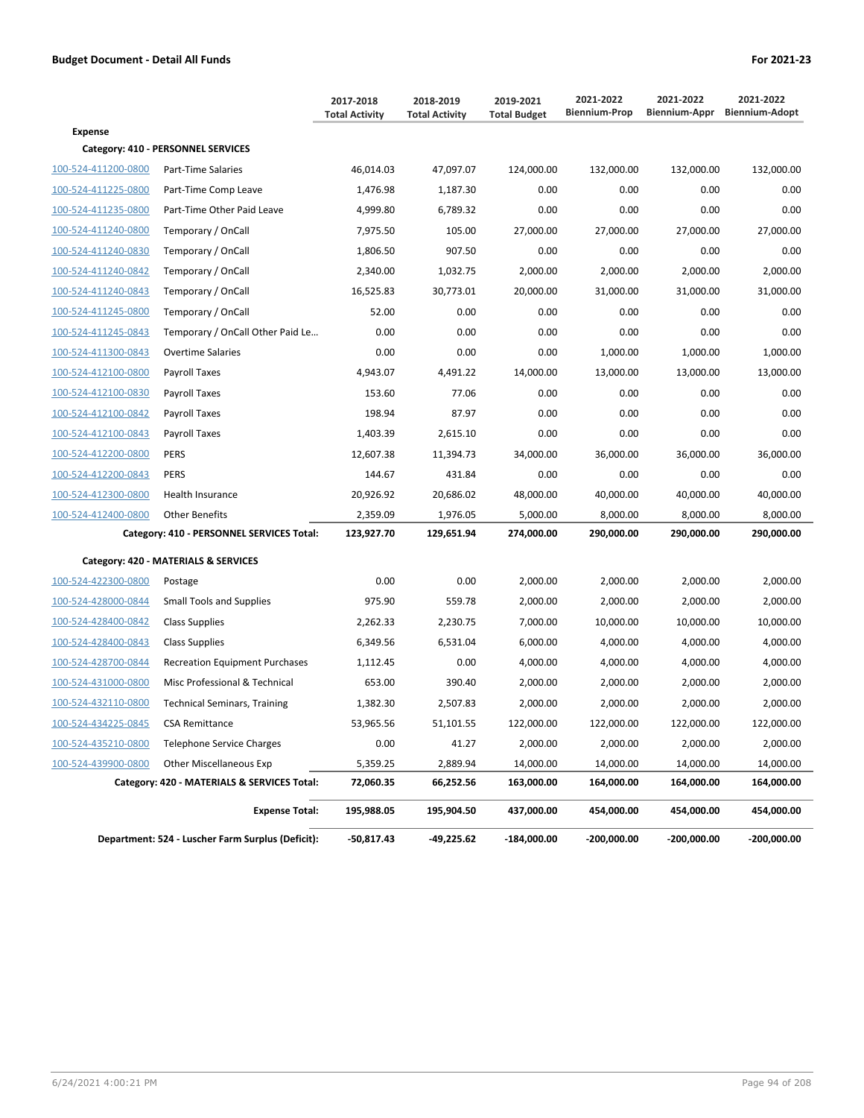|                     |                                                   | 2017-2018<br><b>Total Activity</b> | 2018-2019<br><b>Total Activity</b> | 2019-2021<br><b>Total Budget</b> | 2021-2022<br><b>Biennium-Prop</b> | 2021-2022   | 2021-2022<br>Biennium-Appr Biennium-Adopt |
|---------------------|---------------------------------------------------|------------------------------------|------------------------------------|----------------------------------|-----------------------------------|-------------|-------------------------------------------|
| <b>Expense</b>      |                                                   |                                    |                                    |                                  |                                   |             |                                           |
|                     | Category: 410 - PERSONNEL SERVICES                |                                    |                                    |                                  |                                   |             |                                           |
| 100-524-411200-0800 | Part-Time Salaries                                | 46,014.03                          | 47,097.07                          | 124,000.00                       | 132,000.00                        | 132,000.00  | 132,000.00                                |
| 100-524-411225-0800 | Part-Time Comp Leave                              | 1,476.98                           | 1,187.30                           | 0.00                             | 0.00                              | 0.00        | 0.00                                      |
| 100-524-411235-0800 | Part-Time Other Paid Leave                        | 4,999.80                           | 6,789.32                           | 0.00                             | 0.00                              | 0.00        | 0.00                                      |
| 100-524-411240-0800 | Temporary / OnCall                                | 7,975.50                           | 105.00                             | 27,000.00                        | 27,000.00                         | 27,000.00   | 27,000.00                                 |
| 100-524-411240-0830 | Temporary / OnCall                                | 1,806.50                           | 907.50                             | 0.00                             | 0.00                              | 0.00        | 0.00                                      |
| 100-524-411240-0842 | Temporary / OnCall                                | 2,340.00                           | 1,032.75                           | 2,000.00                         | 2,000.00                          | 2,000.00    | 2,000.00                                  |
| 100-524-411240-0843 | Temporary / OnCall                                | 16,525.83                          | 30,773.01                          | 20,000.00                        | 31,000.00                         | 31,000.00   | 31,000.00                                 |
| 100-524-411245-0800 | Temporary / OnCall                                | 52.00                              | 0.00                               | 0.00                             | 0.00                              | 0.00        | 0.00                                      |
| 100-524-411245-0843 | Temporary / OnCall Other Paid Le                  | 0.00                               | 0.00                               | 0.00                             | 0.00                              | 0.00        | 0.00                                      |
| 100-524-411300-0843 | <b>Overtime Salaries</b>                          | 0.00                               | 0.00                               | 0.00                             | 1,000.00                          | 1,000.00    | 1,000.00                                  |
| 100-524-412100-0800 | Payroll Taxes                                     | 4,943.07                           | 4,491.22                           | 14,000.00                        | 13,000.00                         | 13,000.00   | 13,000.00                                 |
| 100-524-412100-0830 | Payroll Taxes                                     | 153.60                             | 77.06                              | 0.00                             | 0.00                              | 0.00        | 0.00                                      |
| 100-524-412100-0842 | Payroll Taxes                                     | 198.94                             | 87.97                              | 0.00                             | 0.00                              | 0.00        | 0.00                                      |
| 100-524-412100-0843 | <b>Payroll Taxes</b>                              | 1,403.39                           | 2,615.10                           | 0.00                             | 0.00                              | 0.00        | 0.00                                      |
| 100-524-412200-0800 | <b>PERS</b>                                       | 12.607.38                          | 11,394.73                          | 34,000.00                        | 36,000.00                         | 36,000.00   | 36,000.00                                 |
| 100-524-412200-0843 | <b>PERS</b>                                       | 144.67                             | 431.84                             | 0.00                             | 0.00                              | 0.00        | 0.00                                      |
| 100-524-412300-0800 | Health Insurance                                  | 20,926.92                          | 20,686.02                          | 48,000.00                        | 40,000.00                         | 40,000.00   | 40,000.00                                 |
| 100-524-412400-0800 | <b>Other Benefits</b>                             | 2,359.09                           | 1,976.05                           | 5,000.00                         | 8,000.00                          | 8,000.00    | 8,000.00                                  |
|                     | Category: 410 - PERSONNEL SERVICES Total:         | 123,927.70                         | 129,651.94                         | 274,000.00                       | 290,000.00                        | 290,000.00  | 290,000.00                                |
|                     | Category: 420 - MATERIALS & SERVICES              |                                    |                                    |                                  |                                   |             |                                           |
| 100-524-422300-0800 | Postage                                           | 0.00                               | 0.00                               | 2,000.00                         | 2,000.00                          | 2,000.00    | 2,000.00                                  |
| 100-524-428000-0844 | <b>Small Tools and Supplies</b>                   | 975.90                             | 559.78                             | 2,000.00                         | 2,000.00                          | 2,000.00    | 2,000.00                                  |
| 100-524-428400-0842 | <b>Class Supplies</b>                             | 2,262.33                           | 2,230.75                           | 7,000.00                         | 10,000.00                         | 10,000.00   | 10,000.00                                 |
| 100-524-428400-0843 | <b>Class Supplies</b>                             | 6,349.56                           | 6,531.04                           | 6,000.00                         | 4,000.00                          | 4,000.00    | 4,000.00                                  |
| 100-524-428700-0844 | <b>Recreation Equipment Purchases</b>             | 1,112.45                           | 0.00                               | 4,000.00                         | 4,000.00                          | 4,000.00    | 4,000.00                                  |
| 100-524-431000-0800 | Misc Professional & Technical                     | 653.00                             | 390.40                             | 2,000.00                         | 2,000.00                          | 2,000.00    | 2,000.00                                  |
| 100-524-432110-0800 | <b>Technical Seminars, Training</b>               | 1,382.30                           | 2,507.83                           | 2,000.00                         | 2,000.00                          | 2,000.00    | 2,000.00                                  |
| 100-524-434225-0845 | <b>CSA Remittance</b>                             | 53,965.56                          | 51,101.55                          | 122,000.00                       | 122,000.00                        | 122,000.00  | 122,000.00                                |
| 100-524-435210-0800 | <b>Telephone Service Charges</b>                  | 0.00                               | 41.27                              | 2,000.00                         | 2,000.00                          | 2,000.00    | 2,000.00                                  |
| 100-524-439900-0800 | <b>Other Miscellaneous Exp</b>                    | 5,359.25                           | 2,889.94                           | 14,000.00                        | 14,000.00                         | 14,000.00   | 14,000.00                                 |
|                     | Category: 420 - MATERIALS & SERVICES Total:       | 72,060.35                          | 66,252.56                          | 163,000.00                       | 164,000.00                        | 164,000.00  | 164,000.00                                |
|                     | <b>Expense Total:</b>                             | 195,988.05                         | 195,904.50                         | 437,000.00                       | 454,000.00                        | 454,000.00  | 454,000.00                                |
|                     | Department: 524 - Luscher Farm Surplus (Deficit): | -50,817.43                         | -49,225.62                         | $-184,000.00$                    | -200,000.00                       | -200,000.00 | -200,000.00                               |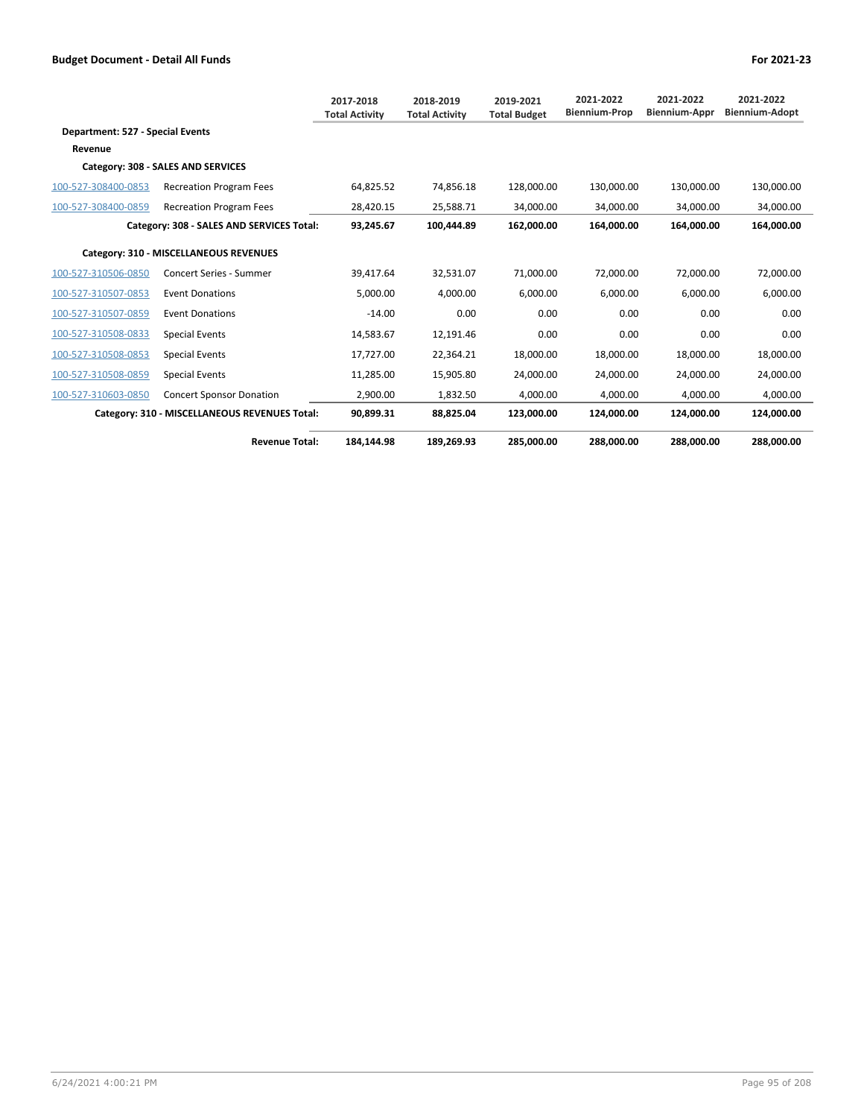|                                  |                                               | 2017-2018<br><b>Total Activity</b> | 2018-2019<br><b>Total Activity</b> | 2019-2021<br><b>Total Budget</b> | 2021-2022<br><b>Biennium-Prop</b> | 2021-2022<br><b>Biennium-Appr</b> | 2021-2022<br><b>Biennium-Adopt</b> |
|----------------------------------|-----------------------------------------------|------------------------------------|------------------------------------|----------------------------------|-----------------------------------|-----------------------------------|------------------------------------|
| Department: 527 - Special Events |                                               |                                    |                                    |                                  |                                   |                                   |                                    |
| Revenue                          |                                               |                                    |                                    |                                  |                                   |                                   |                                    |
|                                  | Category: 308 - SALES AND SERVICES            |                                    |                                    |                                  |                                   |                                   |                                    |
| 100-527-308400-0853              | <b>Recreation Program Fees</b>                | 64,825.52                          | 74,856.18                          | 128,000.00                       | 130,000.00                        | 130,000.00                        | 130,000.00                         |
| 100-527-308400-0859              | <b>Recreation Program Fees</b>                | 28,420.15                          | 25,588.71                          | 34,000.00                        | 34,000.00                         | 34,000.00                         | 34,000.00                          |
|                                  | Category: 308 - SALES AND SERVICES Total:     | 93.245.67                          | 100.444.89                         | 162.000.00                       | 164.000.00                        | 164.000.00                        | 164.000.00                         |
|                                  | Category: 310 - MISCELLANEOUS REVENUES        |                                    |                                    |                                  |                                   |                                   |                                    |
| 100-527-310506-0850              | <b>Concert Series - Summer</b>                | 39.417.64                          | 32.531.07                          | 71.000.00                        | 72.000.00                         | 72.000.00                         | 72,000.00                          |
| 100-527-310507-0853              | <b>Event Donations</b>                        | 5.000.00                           | 4.000.00                           | 6.000.00                         | 6.000.00                          | 6.000.00                          | 6,000.00                           |
| 100-527-310507-0859              | <b>Event Donations</b>                        | $-14.00$                           | 0.00                               | 0.00                             | 0.00                              | 0.00                              | 0.00                               |
| 100-527-310508-0833              | <b>Special Events</b>                         | 14,583.67                          | 12,191.46                          | 0.00                             | 0.00                              | 0.00                              | 0.00                               |
| 100-527-310508-0853              | <b>Special Events</b>                         | 17,727.00                          | 22,364.21                          | 18,000.00                        | 18,000.00                         | 18,000.00                         | 18,000.00                          |
| 100-527-310508-0859              | <b>Special Events</b>                         | 11,285.00                          | 15,905.80                          | 24,000.00                        | 24.000.00                         | 24.000.00                         | 24,000.00                          |
| 100-527-310603-0850              | <b>Concert Sponsor Donation</b>               | 2,900.00                           | 1,832.50                           | 4.000.00                         | 4.000.00                          | 4.000.00                          | 4.000.00                           |
|                                  | Category: 310 - MISCELLANEOUS REVENUES Total: | 90,899.31                          | 88,825.04                          | 123,000.00                       | 124,000.00                        | 124,000.00                        | 124,000.00                         |
|                                  | <b>Revenue Total:</b>                         | 184,144.98                         | 189,269.93                         | 285,000.00                       | 288,000.00                        | 288,000.00                        | 288,000.00                         |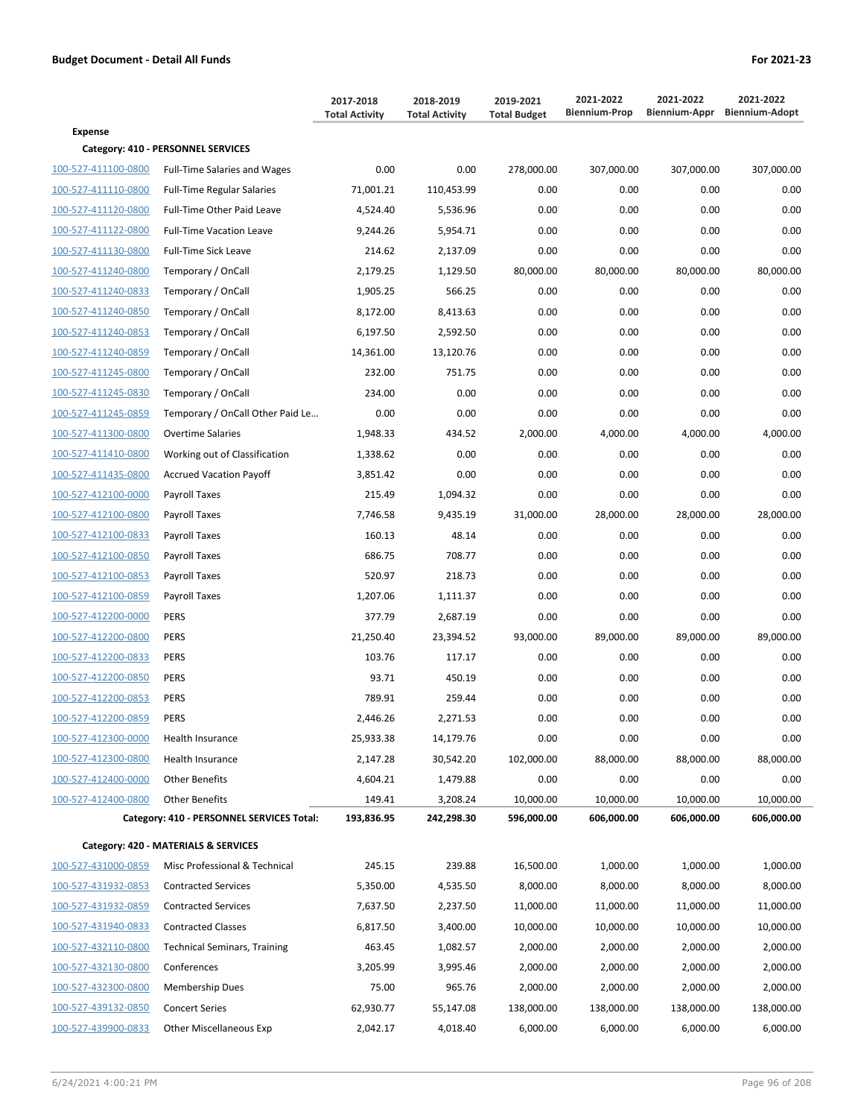|                     |                                           | 2017-2018             | 2018-2019             | 2019-2021<br><b>Total Budget</b> | 2021-2022<br><b>Biennium-Prop</b> | 2021-2022  | 2021-2022<br>Biennium-Appr Biennium-Adopt |
|---------------------|-------------------------------------------|-----------------------|-----------------------|----------------------------------|-----------------------------------|------------|-------------------------------------------|
| <b>Expense</b>      |                                           | <b>Total Activity</b> | <b>Total Activity</b> |                                  |                                   |            |                                           |
|                     | Category: 410 - PERSONNEL SERVICES        |                       |                       |                                  |                                   |            |                                           |
| 100-527-411100-0800 | <b>Full-Time Salaries and Wages</b>       | 0.00                  | 0.00                  | 278,000.00                       | 307,000.00                        | 307,000.00 | 307,000.00                                |
| 100-527-411110-0800 | <b>Full-Time Regular Salaries</b>         | 71.001.21             | 110,453.99            | 0.00                             | 0.00                              | 0.00       | 0.00                                      |
| 100-527-411120-0800 | Full-Time Other Paid Leave                | 4,524.40              | 5,536.96              | 0.00                             | 0.00                              | 0.00       | 0.00                                      |
| 100-527-411122-0800 | <b>Full-Time Vacation Leave</b>           | 9,244.26              | 5,954.71              | 0.00                             | 0.00                              | 0.00       | 0.00                                      |
| 100-527-411130-0800 | <b>Full-Time Sick Leave</b>               | 214.62                | 2,137.09              | 0.00                             | 0.00                              | 0.00       | 0.00                                      |
| 100-527-411240-0800 | Temporary / OnCall                        | 2,179.25              | 1,129.50              | 80,000.00                        | 80,000.00                         | 80,000.00  | 80,000.00                                 |
| 100-527-411240-0833 | Temporary / OnCall                        | 1,905.25              | 566.25                | 0.00                             | 0.00                              | 0.00       | 0.00                                      |
| 100-527-411240-0850 | Temporary / OnCall                        | 8,172.00              | 8,413.63              | 0.00                             | 0.00                              | 0.00       | 0.00                                      |
| 100-527-411240-0853 | Temporary / OnCall                        | 6,197.50              | 2,592.50              | 0.00                             | 0.00                              | 0.00       | 0.00                                      |
| 100-527-411240-0859 | Temporary / OnCall                        | 14,361.00             | 13,120.76             | 0.00                             | 0.00                              | 0.00       | 0.00                                      |
| 100-527-411245-0800 | Temporary / OnCall                        | 232.00                | 751.75                | 0.00                             | 0.00                              | 0.00       | 0.00                                      |
| 100-527-411245-0830 | Temporary / OnCall                        | 234.00                | 0.00                  | 0.00                             | 0.00                              | 0.00       | 0.00                                      |
| 100-527-411245-0859 | Temporary / OnCall Other Paid Le          | 0.00                  | 0.00                  | 0.00                             | 0.00                              | 0.00       | 0.00                                      |
| 100-527-411300-0800 | <b>Overtime Salaries</b>                  | 1,948.33              | 434.52                | 2,000.00                         | 4,000.00                          | 4,000.00   | 4,000.00                                  |
| 100-527-411410-0800 | Working out of Classification             | 1,338.62              | 0.00                  | 0.00                             | 0.00                              | 0.00       | 0.00                                      |
| 100-527-411435-0800 | <b>Accrued Vacation Payoff</b>            | 3,851.42              | 0.00                  | 0.00                             | 0.00                              | 0.00       | 0.00                                      |
| 100-527-412100-0000 | <b>Payroll Taxes</b>                      | 215.49                | 1,094.32              | 0.00                             | 0.00                              | 0.00       | 0.00                                      |
| 100-527-412100-0800 | Payroll Taxes                             | 7,746.58              | 9,435.19              | 31,000.00                        | 28,000.00                         | 28,000.00  | 28,000.00                                 |
| 100-527-412100-0833 | Payroll Taxes                             | 160.13                | 48.14                 | 0.00                             | 0.00                              | 0.00       | 0.00                                      |
| 100-527-412100-0850 | <b>Payroll Taxes</b>                      | 686.75                | 708.77                | 0.00                             | 0.00                              | 0.00       | 0.00                                      |
| 100-527-412100-0853 | Payroll Taxes                             | 520.97                | 218.73                | 0.00                             | 0.00                              | 0.00       | 0.00                                      |
| 100-527-412100-0859 | Payroll Taxes                             | 1,207.06              | 1,111.37              | 0.00                             | 0.00                              | 0.00       | 0.00                                      |
| 100-527-412200-0000 | <b>PERS</b>                               | 377.79                | 2,687.19              | 0.00                             | 0.00                              | 0.00       | 0.00                                      |
| 100-527-412200-0800 | <b>PERS</b>                               | 21,250.40             | 23,394.52             | 93,000.00                        | 89,000.00                         | 89,000.00  | 89,000.00                                 |
| 100-527-412200-0833 | <b>PERS</b>                               | 103.76                | 117.17                | 0.00                             | 0.00                              | 0.00       | 0.00                                      |
| 100-527-412200-0850 | <b>PERS</b>                               | 93.71                 | 450.19                | 0.00                             | 0.00                              | 0.00       | 0.00                                      |
| 100-527-412200-0853 | <b>PERS</b>                               | 789.91                | 259.44                | 0.00                             | 0.00                              | 0.00       | 0.00                                      |
| 100-527-412200-0859 | <b>PERS</b>                               | 2.446.26              | 2.271.53              | 0.00                             | 0.00                              | 0.00       | 0.00                                      |
| 100-527-412300-0000 | Health Insurance                          | 25,933.38             | 14,179.76             | 0.00                             | 0.00                              | 0.00       | 0.00                                      |
| 100-527-412300-0800 | <b>Health Insurance</b>                   | 2,147.28              | 30,542.20             | 102,000.00                       | 88,000.00                         | 88,000.00  | 88,000.00                                 |
| 100-527-412400-0000 | <b>Other Benefits</b>                     | 4,604.21              | 1,479.88              | 0.00                             | 0.00                              | 0.00       | 0.00                                      |
| 100-527-412400-0800 | <b>Other Benefits</b>                     | 149.41                | 3,208.24              | 10,000.00                        | 10,000.00                         | 10,000.00  | 10,000.00                                 |
|                     | Category: 410 - PERSONNEL SERVICES Total: | 193,836.95            | 242,298.30            | 596,000.00                       | 606,000.00                        | 606,000.00 | 606,000.00                                |
|                     | Category: 420 - MATERIALS & SERVICES      |                       |                       |                                  |                                   |            |                                           |
| 100-527-431000-0859 | Misc Professional & Technical             | 245.15                | 239.88                | 16,500.00                        | 1,000.00                          | 1,000.00   | 1,000.00                                  |
| 100-527-431932-0853 | <b>Contracted Services</b>                | 5,350.00              | 4,535.50              | 8,000.00                         | 8,000.00                          | 8,000.00   | 8,000.00                                  |
| 100-527-431932-0859 | <b>Contracted Services</b>                | 7,637.50              | 2,237.50              | 11,000.00                        | 11,000.00                         | 11,000.00  | 11,000.00                                 |
| 100-527-431940-0833 | <b>Contracted Classes</b>                 | 6,817.50              | 3,400.00              | 10,000.00                        | 10,000.00                         | 10,000.00  | 10,000.00                                 |
| 100-527-432110-0800 | <b>Technical Seminars, Training</b>       | 463.45                | 1,082.57              | 2,000.00                         | 2,000.00                          | 2,000.00   | 2,000.00                                  |
| 100-527-432130-0800 | Conferences                               | 3,205.99              | 3,995.46              | 2,000.00                         | 2,000.00                          | 2,000.00   | 2,000.00                                  |
| 100-527-432300-0800 | <b>Membership Dues</b>                    | 75.00                 | 965.76                | 2,000.00                         | 2,000.00                          | 2,000.00   | 2,000.00                                  |
| 100-527-439132-0850 | <b>Concert Series</b>                     | 62,930.77             | 55,147.08             | 138,000.00                       | 138,000.00                        | 138,000.00 | 138,000.00                                |
| 100-527-439900-0833 | <b>Other Miscellaneous Exp</b>            | 2,042.17              | 4,018.40              | 6,000.00                         | 6,000.00                          | 6,000.00   | 6,000.00                                  |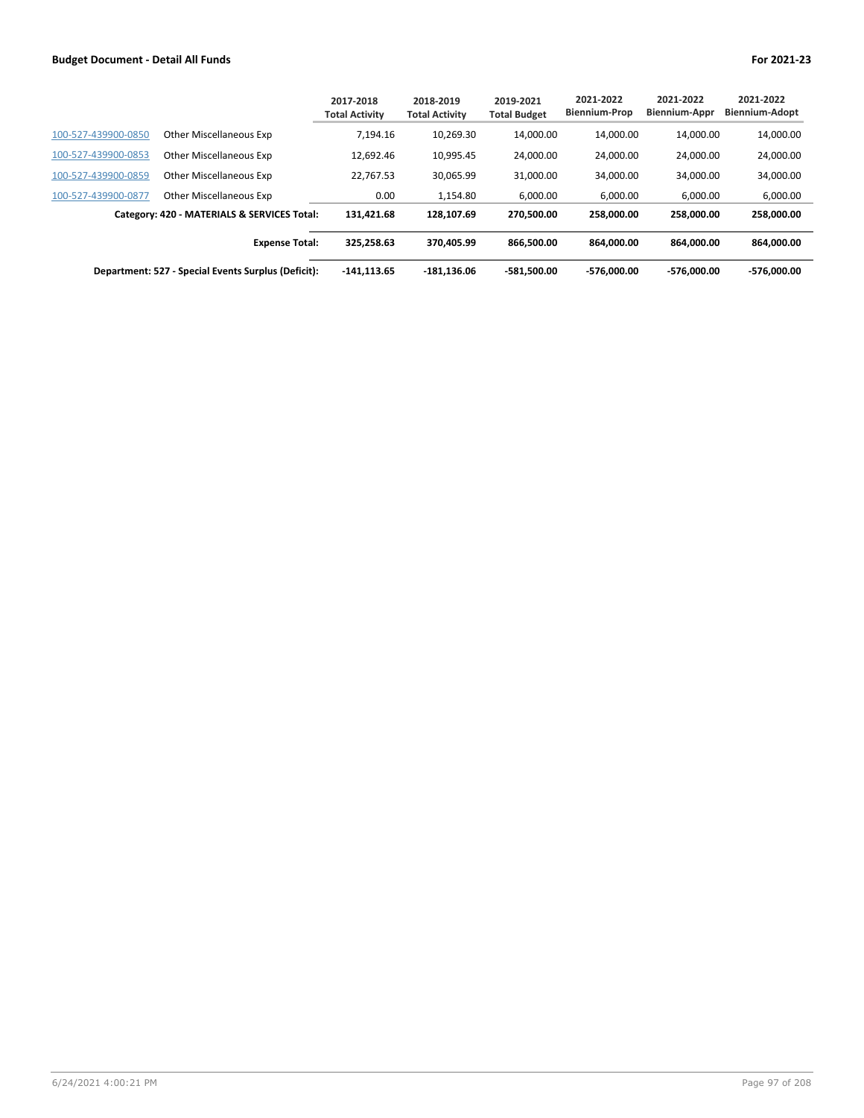|                     |                                                     | 2017-2018<br><b>Total Activity</b> | 2018-2019<br><b>Total Activity</b> | 2019-2021<br><b>Total Budget</b> | 2021-2022<br><b>Biennium-Prop</b> | 2021-2022<br><b>Biennium-Appr</b> | 2021-2022<br><b>Biennium-Adopt</b> |
|---------------------|-----------------------------------------------------|------------------------------------|------------------------------------|----------------------------------|-----------------------------------|-----------------------------------|------------------------------------|
| 100-527-439900-0850 | <b>Other Miscellaneous Exp</b>                      | 7,194.16                           | 10,269.30                          | 14.000.00                        | 14.000.00                         | 14.000.00                         | 14,000.00                          |
| 100-527-439900-0853 | <b>Other Miscellaneous Exp</b>                      | 12.692.46                          | 10.995.45                          | 24.000.00                        | 24.000.00                         | 24.000.00                         | 24,000.00                          |
| 100-527-439900-0859 | <b>Other Miscellaneous Exp</b>                      | 22.767.53                          | 30.065.99                          | 31.000.00                        | 34.000.00                         | 34.000.00                         | 34,000.00                          |
| 100-527-439900-0877 | <b>Other Miscellaneous Exp</b>                      | 0.00                               | 1.154.80                           | 6.000.00                         | 6.000.00                          | 6.000.00                          | 6,000.00                           |
|                     | Category: 420 - MATERIALS & SERVICES Total:         | 131.421.68                         | 128.107.69                         | 270.500.00                       | 258.000.00                        | 258.000.00                        | 258.000.00                         |
|                     | <b>Expense Total:</b>                               | 325.258.63                         | 370.405.99                         | 866.500.00                       | 864.000.00                        | 864.000.00                        | 864.000.00                         |
|                     | Department: 527 - Special Events Surplus (Deficit): | $-141.113.65$                      | $-181,136.06$                      | -581.500.00                      | -576.000.00                       | -576.000.00                       | $-576.000.00$                      |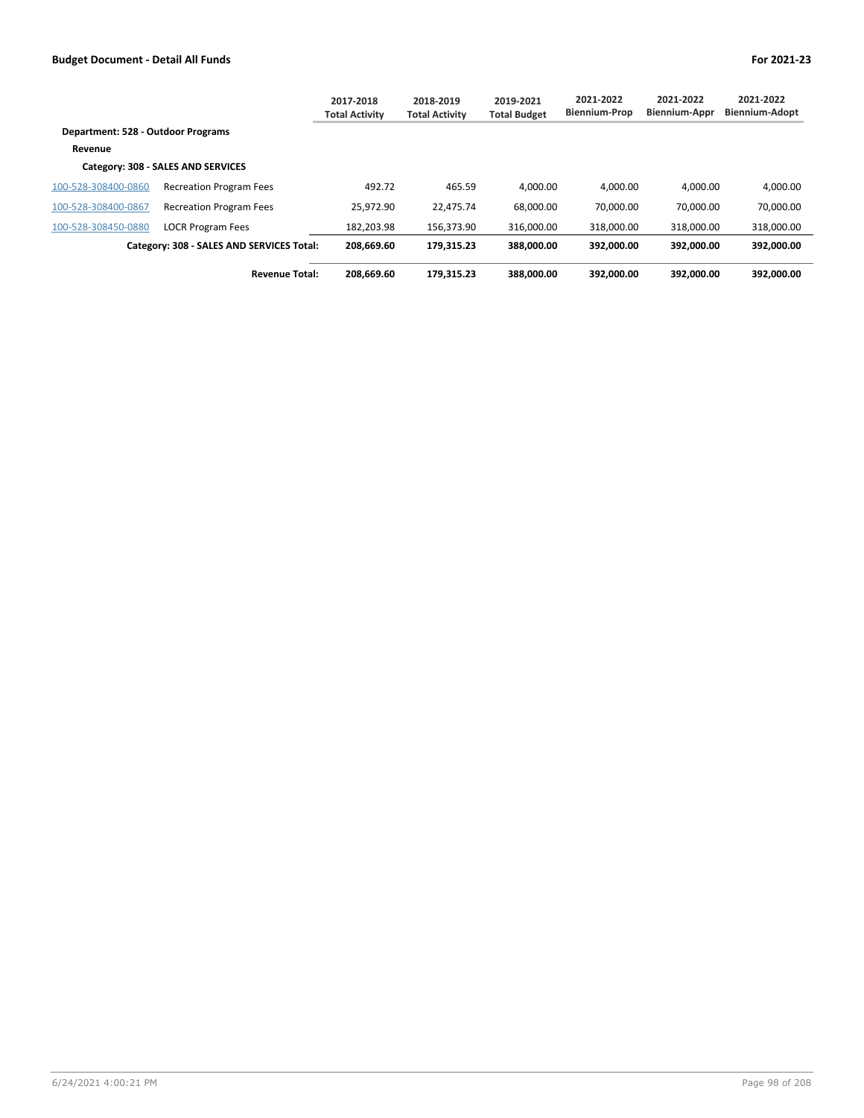|                                    |                                           | 2017-2018<br><b>Total Activity</b> | 2018-2019<br><b>Total Activity</b> | 2019-2021<br><b>Total Budget</b> | 2021-2022<br><b>Biennium-Prop</b> | 2021-2022<br><b>Biennium-Appr</b> | 2021-2022<br><b>Biennium-Adopt</b> |
|------------------------------------|-------------------------------------------|------------------------------------|------------------------------------|----------------------------------|-----------------------------------|-----------------------------------|------------------------------------|
| Department: 528 - Outdoor Programs |                                           |                                    |                                    |                                  |                                   |                                   |                                    |
| Revenue                            |                                           |                                    |                                    |                                  |                                   |                                   |                                    |
|                                    | Category: 308 - SALES AND SERVICES        |                                    |                                    |                                  |                                   |                                   |                                    |
| 100-528-308400-0860                | <b>Recreation Program Fees</b>            | 492.72                             | 465.59                             | 4.000.00                         | 4.000.00                          | 4.000.00                          | 4,000.00                           |
| 100-528-308400-0867                | <b>Recreation Program Fees</b>            | 25.972.90                          | 22.475.74                          | 68.000.00                        | 70.000.00                         | 70.000.00                         | 70,000.00                          |
| 100-528-308450-0880                | <b>LOCR Program Fees</b>                  | 182.203.98                         | 156.373.90                         | 316.000.00                       | 318.000.00                        | 318.000.00                        | 318,000.00                         |
|                                    | Category: 308 - SALES AND SERVICES Total: | 208,669.60                         | 179.315.23                         | 388.000.00                       | 392.000.00                        | 392.000.00                        | 392.000.00                         |
|                                    | <b>Revenue Total:</b>                     | 208.669.60                         | 179.315.23                         | 388.000.00                       | 392.000.00                        | 392.000.00                        | 392.000.00                         |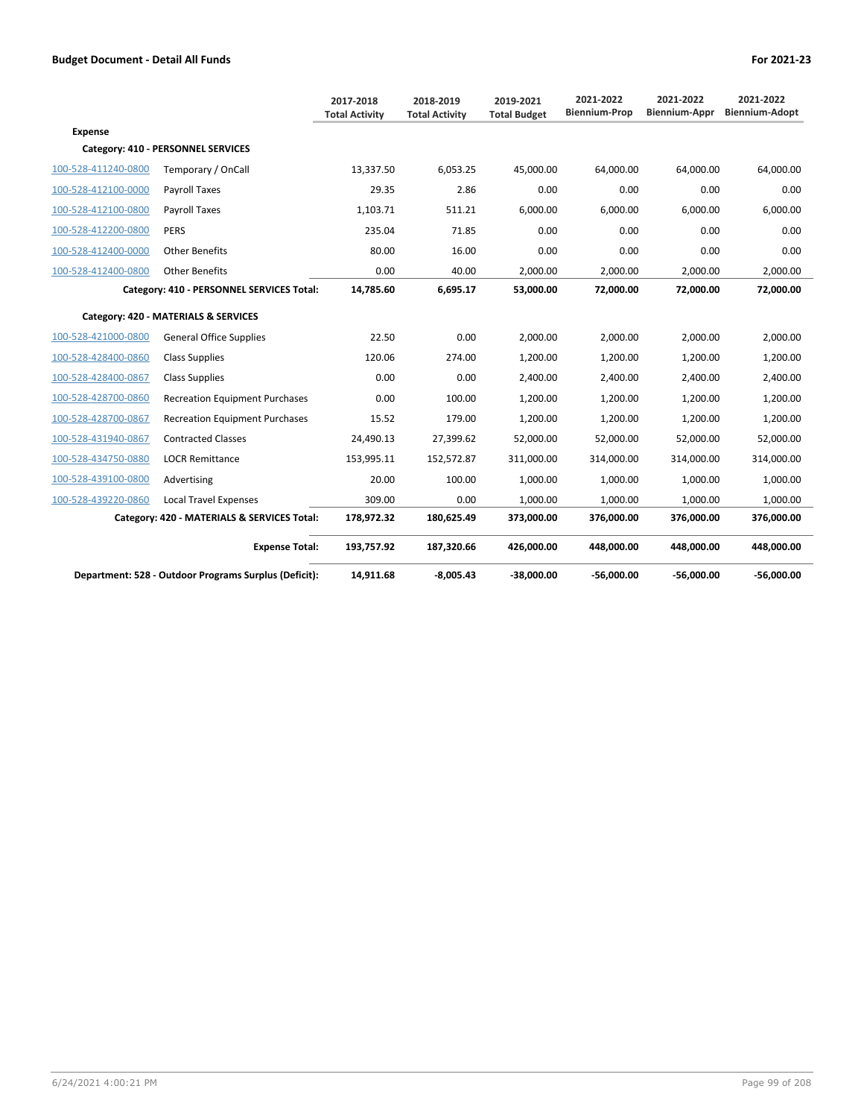|                     |                                                       | 2017-2018<br><b>Total Activity</b> | 2018-2019<br><b>Total Activity</b> | 2019-2021<br><b>Total Budget</b> | 2021-2022<br><b>Biennium-Prop</b> | 2021-2022<br>Biennium-Appr | 2021-2022<br><b>Biennium-Adopt</b> |
|---------------------|-------------------------------------------------------|------------------------------------|------------------------------------|----------------------------------|-----------------------------------|----------------------------|------------------------------------|
| <b>Expense</b>      |                                                       |                                    |                                    |                                  |                                   |                            |                                    |
|                     | Category: 410 - PERSONNEL SERVICES                    |                                    |                                    |                                  |                                   |                            |                                    |
| 100-528-411240-0800 | Temporary / OnCall                                    | 13,337.50                          | 6,053.25                           | 45,000.00                        | 64,000.00                         | 64,000.00                  | 64,000.00                          |
| 100-528-412100-0000 | Payroll Taxes                                         | 29.35                              | 2.86                               | 0.00                             | 0.00                              | 0.00                       | 0.00                               |
| 100-528-412100-0800 | Payroll Taxes                                         | 1,103.71                           | 511.21                             | 6,000.00                         | 6,000.00                          | 6,000.00                   | 6,000.00                           |
| 100-528-412200-0800 | <b>PERS</b>                                           | 235.04                             | 71.85                              | 0.00                             | 0.00                              | 0.00                       | 0.00                               |
| 100-528-412400-0000 | <b>Other Benefits</b>                                 | 80.00                              | 16.00                              | 0.00                             | 0.00                              | 0.00                       | 0.00                               |
| 100-528-412400-0800 | <b>Other Benefits</b>                                 | 0.00                               | 40.00                              | 2,000.00                         | 2,000.00                          | 2,000.00                   | 2,000.00                           |
|                     | Category: 410 - PERSONNEL SERVICES Total:             | 14,785.60                          | 6,695.17                           | 53,000.00                        | 72,000.00                         | 72,000.00                  | 72,000.00                          |
|                     | Category: 420 - MATERIALS & SERVICES                  |                                    |                                    |                                  |                                   |                            |                                    |
| 100-528-421000-0800 | <b>General Office Supplies</b>                        | 22.50                              | 0.00                               | 2,000.00                         | 2,000.00                          | 2,000.00                   | 2,000.00                           |
| 100-528-428400-0860 | <b>Class Supplies</b>                                 | 120.06                             | 274.00                             | 1,200.00                         | 1,200.00                          | 1,200.00                   | 1,200.00                           |
| 100-528-428400-0867 | <b>Class Supplies</b>                                 | 0.00                               | 0.00                               | 2,400.00                         | 2,400.00                          | 2,400.00                   | 2,400.00                           |
| 100-528-428700-0860 | <b>Recreation Equipment Purchases</b>                 | 0.00                               | 100.00                             | 1,200.00                         | 1,200.00                          | 1,200.00                   | 1,200.00                           |
| 100-528-428700-0867 | <b>Recreation Equipment Purchases</b>                 | 15.52                              | 179.00                             | 1,200.00                         | 1,200.00                          | 1,200.00                   | 1,200.00                           |
| 100-528-431940-0867 | <b>Contracted Classes</b>                             | 24,490.13                          | 27,399.62                          | 52,000.00                        | 52,000.00                         | 52,000.00                  | 52,000.00                          |
| 100-528-434750-0880 | <b>LOCR Remittance</b>                                | 153,995.11                         | 152,572.87                         | 311,000.00                       | 314,000.00                        | 314,000.00                 | 314,000.00                         |
| 100-528-439100-0800 | Advertising                                           | 20.00                              | 100.00                             | 1,000.00                         | 1,000.00                          | 1,000.00                   | 1,000.00                           |
| 100-528-439220-0860 | <b>Local Travel Expenses</b>                          | 309.00                             | 0.00                               | 1,000.00                         | 1,000.00                          | 1,000.00                   | 1,000.00                           |
|                     | Category: 420 - MATERIALS & SERVICES Total:           | 178,972.32                         | 180,625.49                         | 373,000.00                       | 376,000.00                        | 376,000.00                 | 376,000.00                         |
|                     | <b>Expense Total:</b>                                 | 193,757.92                         | 187,320.66                         | 426,000.00                       | 448,000.00                        | 448,000.00                 | 448,000.00                         |
|                     | Department: 528 - Outdoor Programs Surplus (Deficit): | 14,911.68                          | $-8,005.43$                        | $-38,000.00$                     | $-56.000.00$                      | $-56,000.00$               | $-56,000.00$                       |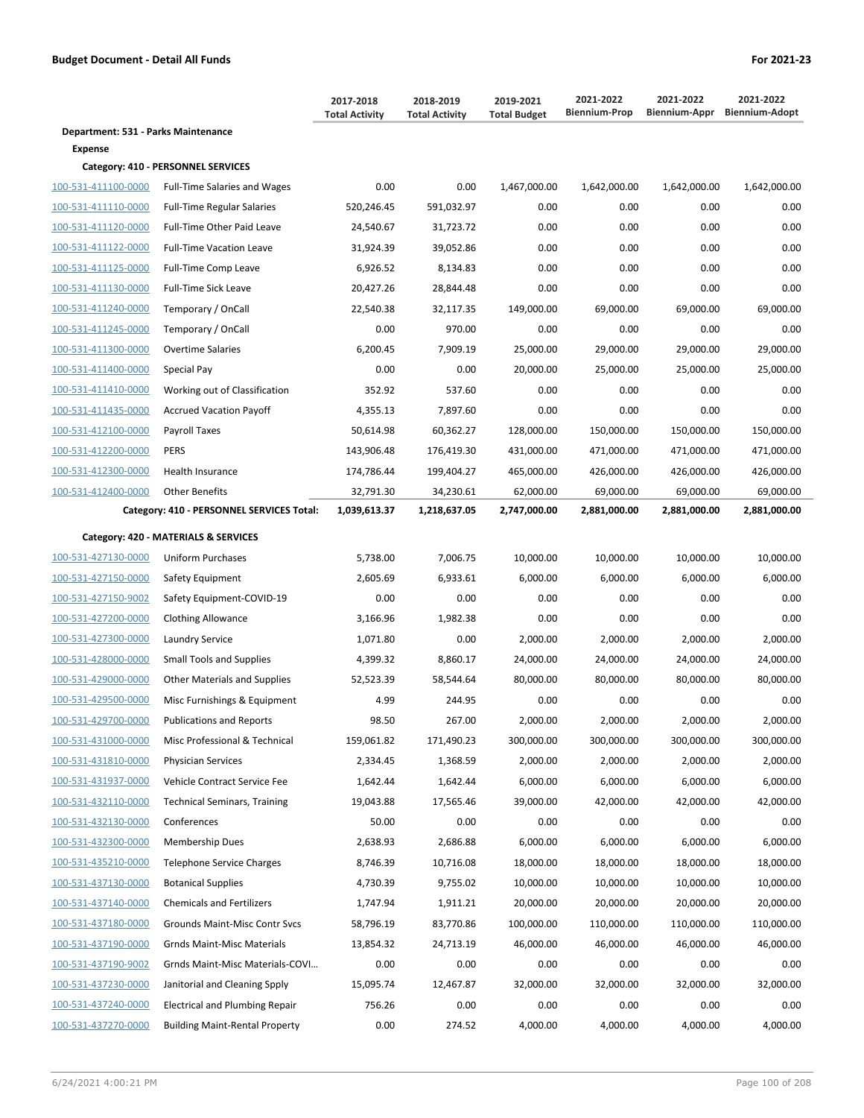|                                     |                                           | 2017-2018<br><b>Total Activity</b> | 2018-2019<br><b>Total Activity</b> | 2019-2021<br><b>Total Budget</b> | 2021-2022<br><b>Biennium-Prop</b> | 2021-2022<br>Biennium-Appr | 2021-2022<br><b>Biennium-Adopt</b> |
|-------------------------------------|-------------------------------------------|------------------------------------|------------------------------------|----------------------------------|-----------------------------------|----------------------------|------------------------------------|
| Department: 531 - Parks Maintenance |                                           |                                    |                                    |                                  |                                   |                            |                                    |
| <b>Expense</b>                      |                                           |                                    |                                    |                                  |                                   |                            |                                    |
|                                     | Category: 410 - PERSONNEL SERVICES        |                                    |                                    |                                  |                                   |                            |                                    |
| 100-531-411100-0000                 | <b>Full-Time Salaries and Wages</b>       | 0.00                               | 0.00                               | 1,467,000.00                     | 1,642,000.00                      | 1,642,000.00               | 1,642,000.00                       |
| 100-531-411110-0000                 | <b>Full-Time Regular Salaries</b>         | 520,246.45                         | 591,032.97                         | 0.00                             | 0.00                              | 0.00                       | 0.00                               |
| 100-531-411120-0000                 | Full-Time Other Paid Leave                | 24,540.67                          | 31,723.72                          | 0.00                             | 0.00                              | 0.00                       | 0.00                               |
| 100-531-411122-0000                 | <b>Full-Time Vacation Leave</b>           | 31,924.39                          | 39,052.86                          | 0.00                             | 0.00                              | 0.00                       | 0.00                               |
| 100-531-411125-0000                 | Full-Time Comp Leave                      | 6,926.52                           | 8,134.83                           | 0.00                             | 0.00                              | 0.00                       | 0.00                               |
| 100-531-411130-0000                 | Full-Time Sick Leave                      | 20,427.26                          | 28,844.48                          | 0.00                             | 0.00                              | 0.00                       | 0.00                               |
| 100-531-411240-0000                 | Temporary / OnCall                        | 22,540.38                          | 32,117.35                          | 149,000.00                       | 69,000.00                         | 69,000.00                  | 69,000.00                          |
| 100-531-411245-0000                 | Temporary / OnCall                        | 0.00                               | 970.00                             | 0.00                             | 0.00                              | 0.00                       | 0.00                               |
| 100-531-411300-0000                 | Overtime Salaries                         | 6,200.45                           | 7,909.19                           | 25,000.00                        | 29,000.00                         | 29,000.00                  | 29,000.00                          |
| 100-531-411400-0000                 | Special Pay                               | 0.00                               | 0.00                               | 20,000.00                        | 25,000.00                         | 25,000.00                  | 25,000.00                          |
| 100-531-411410-0000                 | Working out of Classification             | 352.92                             | 537.60                             | 0.00                             | 0.00                              | 0.00                       | 0.00                               |
| 100-531-411435-0000                 | <b>Accrued Vacation Payoff</b>            | 4,355.13                           | 7,897.60                           | 0.00                             | 0.00                              | 0.00                       | 0.00                               |
| 100-531-412100-0000                 | Payroll Taxes                             | 50,614.98                          | 60,362.27                          | 128,000.00                       | 150,000.00                        | 150,000.00                 | 150,000.00                         |
| 100-531-412200-0000                 | <b>PERS</b>                               | 143,906.48                         | 176,419.30                         | 431,000.00                       | 471,000.00                        | 471,000.00                 | 471,000.00                         |
| 100-531-412300-0000                 | Health Insurance                          | 174,786.44                         | 199,404.27                         | 465,000.00                       | 426,000.00                        | 426,000.00                 | 426,000.00                         |
| 100-531-412400-0000                 | <b>Other Benefits</b>                     | 32,791.30                          | 34,230.61                          | 62,000.00                        | 69,000.00                         | 69,000.00                  | 69,000.00                          |
|                                     | Category: 410 - PERSONNEL SERVICES Total: | 1,039,613.37                       | 1,218,637.05                       | 2,747,000.00                     | 2,881,000.00                      | 2,881,000.00               | 2,881,000.00                       |
|                                     | Category: 420 - MATERIALS & SERVICES      |                                    |                                    |                                  |                                   |                            |                                    |
| 100-531-427130-0000                 | <b>Uniform Purchases</b>                  | 5,738.00                           | 7,006.75                           | 10,000.00                        | 10,000.00                         | 10,000.00                  | 10,000.00                          |
| 100-531-427150-0000                 | Safety Equipment                          | 2,605.69                           | 6,933.61                           | 6,000.00                         | 6,000.00                          | 6,000.00                   | 6,000.00                           |
| 100-531-427150-9002                 | Safety Equipment-COVID-19                 | 0.00                               | 0.00                               | 0.00                             | 0.00                              | 0.00                       | 0.00                               |
| 100-531-427200-0000                 | <b>Clothing Allowance</b>                 | 3,166.96                           | 1,982.38                           | 0.00                             | 0.00                              | 0.00                       | 0.00                               |
| 100-531-427300-0000                 | Laundry Service                           | 1,071.80                           | 0.00                               | 2,000.00                         | 2,000.00                          | 2,000.00                   | 2,000.00                           |
| 100-531-428000-0000                 | <b>Small Tools and Supplies</b>           | 4,399.32                           | 8,860.17                           | 24,000.00                        | 24,000.00                         | 24,000.00                  | 24,000.00                          |
| 100-531-429000-0000                 | <b>Other Materials and Supplies</b>       | 52,523.39                          | 58,544.64                          | 80,000.00                        | 80,000.00                         | 80,000.00                  | 80,000.00                          |
| 100-531-429500-0000                 | Misc Furnishings & Equipment              | 4.99                               | 244.95                             | 0.00                             | 0.00                              | 0.00                       | 0.00                               |
| 100-531-429700-0000                 | <b>Publications and Reports</b>           | 98.50                              | 267.00                             | 2,000.00                         | 2,000.00                          | 2,000.00                   | 2,000.00                           |
| 100-531-431000-0000                 | Misc Professional & Technical             | 159,061.82                         | 171,490.23                         | 300,000.00                       | 300,000.00                        | 300,000.00                 | 300,000.00                         |
| 100-531-431810-0000                 | <b>Physician Services</b>                 | 2,334.45                           | 1,368.59                           | 2,000.00                         | 2,000.00                          | 2,000.00                   | 2,000.00                           |
| 100-531-431937-0000                 | Vehicle Contract Service Fee              | 1,642.44                           | 1,642.44                           | 6,000.00                         | 6,000.00                          | 6,000.00                   | 6,000.00                           |
| 100-531-432110-0000                 | <b>Technical Seminars, Training</b>       | 19,043.88                          | 17,565.46                          | 39,000.00                        | 42,000.00                         | 42,000.00                  | 42,000.00                          |
| 100-531-432130-0000                 | Conferences                               | 50.00                              | 0.00                               | 0.00                             | 0.00                              | 0.00                       | 0.00                               |
| 100-531-432300-0000                 | <b>Membership Dues</b>                    | 2,638.93                           | 2,686.88                           | 6,000.00                         | 6,000.00                          | 6,000.00                   | 6,000.00                           |
| 100-531-435210-0000                 | <b>Telephone Service Charges</b>          | 8,746.39                           | 10,716.08                          | 18,000.00                        | 18,000.00                         | 18,000.00                  | 18,000.00                          |
| 100-531-437130-0000                 | <b>Botanical Supplies</b>                 | 4,730.39                           | 9,755.02                           | 10,000.00                        | 10,000.00                         | 10,000.00                  | 10,000.00                          |
| 100-531-437140-0000                 | <b>Chemicals and Fertilizers</b>          | 1,747.94                           | 1,911.21                           | 20,000.00                        | 20,000.00                         | 20,000.00                  | 20,000.00                          |
| 100-531-437180-0000                 | Grounds Maint-Misc Contr Svcs             | 58,796.19                          | 83,770.86                          | 100,000.00                       | 110,000.00                        | 110,000.00                 | 110,000.00                         |
| 100-531-437190-0000                 | Grnds Maint-Misc Materials                | 13,854.32                          | 24,713.19                          | 46,000.00                        | 46,000.00                         | 46,000.00                  | 46,000.00                          |
| 100-531-437190-9002                 | Grnds Maint-Misc Materials-COVI           | 0.00                               | 0.00                               | 0.00                             | 0.00                              | 0.00                       | 0.00                               |
| 100-531-437230-0000                 | Janitorial and Cleaning Spply             | 15,095.74                          | 12,467.87                          | 32,000.00                        | 32,000.00                         | 32,000.00                  | 32,000.00                          |
| 100-531-437240-0000                 | <b>Electrical and Plumbing Repair</b>     | 756.26                             | 0.00                               | 0.00                             | 0.00                              | 0.00                       | 0.00                               |
| 100-531-437270-0000                 | <b>Building Maint-Rental Property</b>     | 0.00                               | 274.52                             | 4,000.00                         | 4,000.00                          | 4,000.00                   | 4,000.00                           |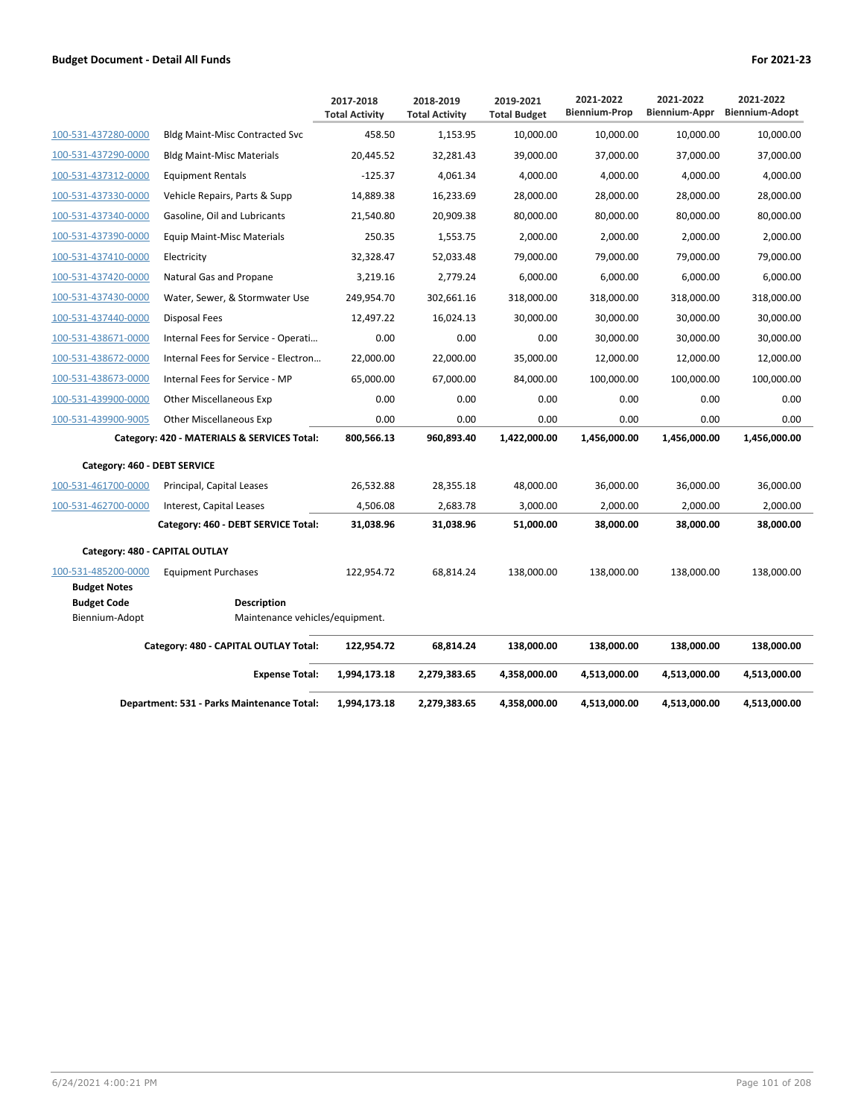|                                            |                                             | 2017-2018<br><b>Total Activity</b> | 2018-2019<br><b>Total Activity</b> | 2019-2021<br><b>Total Budget</b> | 2021-2022<br><b>Biennium-Prop</b> | 2021-2022<br>Biennium-Appr | 2021-2022<br><b>Biennium-Adopt</b> |
|--------------------------------------------|---------------------------------------------|------------------------------------|------------------------------------|----------------------------------|-----------------------------------|----------------------------|------------------------------------|
| 100-531-437280-0000                        | <b>Bldg Maint-Misc Contracted Svc</b>       | 458.50                             | 1,153.95                           | 10,000.00                        | 10,000.00                         | 10,000.00                  | 10,000.00                          |
| 100-531-437290-0000                        | <b>Bldg Maint-Misc Materials</b>            | 20,445.52                          | 32,281.43                          | 39,000.00                        | 37,000.00                         | 37,000.00                  | 37,000.00                          |
| 100-531-437312-0000                        | <b>Equipment Rentals</b>                    | $-125.37$                          | 4,061.34                           | 4,000.00                         | 4,000.00                          | 4,000.00                   | 4,000.00                           |
| 100-531-437330-0000                        | Vehicle Repairs, Parts & Supp               | 14,889.38                          | 16,233.69                          | 28,000.00                        | 28,000.00                         | 28,000.00                  | 28,000.00                          |
| 100-531-437340-0000                        | Gasoline, Oil and Lubricants                | 21,540.80                          | 20,909.38                          | 80,000.00                        | 80,000.00                         | 80,000.00                  | 80,000.00                          |
| 100-531-437390-0000                        | <b>Equip Maint-Misc Materials</b>           | 250.35                             | 1,553.75                           | 2,000.00                         | 2,000.00                          | 2,000.00                   | 2,000.00                           |
| 100-531-437410-0000                        | Electricity                                 | 32,328.47                          | 52,033.48                          | 79,000.00                        | 79,000.00                         | 79,000.00                  | 79,000.00                          |
| 100-531-437420-0000                        | Natural Gas and Propane                     | 3,219.16                           | 2,779.24                           | 6,000.00                         | 6,000.00                          | 6,000.00                   | 6,000.00                           |
| 100-531-437430-0000                        | Water, Sewer, & Stormwater Use              | 249,954.70                         | 302,661.16                         | 318,000.00                       | 318,000.00                        | 318,000.00                 | 318,000.00                         |
| 100-531-437440-0000                        | Disposal Fees                               | 12,497.22                          | 16,024.13                          | 30,000.00                        | 30,000.00                         | 30,000.00                  | 30,000.00                          |
| 100-531-438671-0000                        | Internal Fees for Service - Operati         | 0.00                               | 0.00                               | 0.00                             | 30,000.00                         | 30,000.00                  | 30,000.00                          |
| 100-531-438672-0000                        | Internal Fees for Service - Electron        | 22,000.00                          | 22,000.00                          | 35,000.00                        | 12,000.00                         | 12,000.00                  | 12,000.00                          |
| 100-531-438673-0000                        | Internal Fees for Service - MP              | 65,000.00                          | 67,000.00                          | 84,000.00                        | 100,000.00                        | 100,000.00                 | 100,000.00                         |
| 100-531-439900-0000                        | <b>Other Miscellaneous Exp</b>              | 0.00                               | 0.00                               | 0.00                             | 0.00                              | 0.00                       | 0.00                               |
| 100-531-439900-9005                        | <b>Other Miscellaneous Exp</b>              | 0.00                               | 0.00                               | 0.00                             | 0.00                              | 0.00                       | 0.00                               |
|                                            | Category: 420 - MATERIALS & SERVICES Total: | 800,566.13                         | 960,893.40                         | 1,422,000.00                     | 1,456,000.00                      | 1,456,000.00               | 1,456,000.00                       |
| Category: 460 - DEBT SERVICE               |                                             |                                    |                                    |                                  |                                   |                            |                                    |
| 100-531-461700-0000                        | Principal, Capital Leases                   | 26,532.88                          | 28,355.18                          | 48,000.00                        | 36,000.00                         | 36,000.00                  | 36,000.00                          |
| 100-531-462700-0000                        | Interest, Capital Leases                    | 4,506.08                           | 2,683.78                           | 3,000.00                         | 2,000.00                          | 2,000.00                   | 2,000.00                           |
|                                            | Category: 460 - DEBT SERVICE Total:         | 31,038.96                          | 31,038.96                          | 51,000.00                        | 38,000.00                         | 38,000.00                  | 38,000.00                          |
|                                            | Category: 480 - CAPITAL OUTLAY              |                                    |                                    |                                  |                                   |                            |                                    |
| 100-531-485200-0000<br><b>Budget Notes</b> | <b>Equipment Purchases</b>                  | 122,954.72                         | 68,814.24                          | 138,000.00                       | 138,000.00                        | 138,000.00                 | 138,000.00                         |
| <b>Budget Code</b>                         | <b>Description</b>                          |                                    |                                    |                                  |                                   |                            |                                    |
| Biennium-Adopt                             | Maintenance vehicles/equipment.             |                                    |                                    |                                  |                                   |                            |                                    |
|                                            | Category: 480 - CAPITAL OUTLAY Total:       | 122,954.72                         | 68,814.24                          | 138,000.00                       | 138,000.00                        | 138,000.00                 | 138,000.00                         |
|                                            | <b>Expense Total:</b>                       | 1,994,173.18                       | 2,279,383.65                       | 4,358,000.00                     | 4,513,000.00                      | 4,513,000.00               | 4,513,000.00                       |
|                                            | Department: 531 - Parks Maintenance Total:  | 1,994,173.18                       | 2,279,383.65                       | 4,358,000.00                     | 4,513,000.00                      | 4,513,000.00               | 4,513,000.00                       |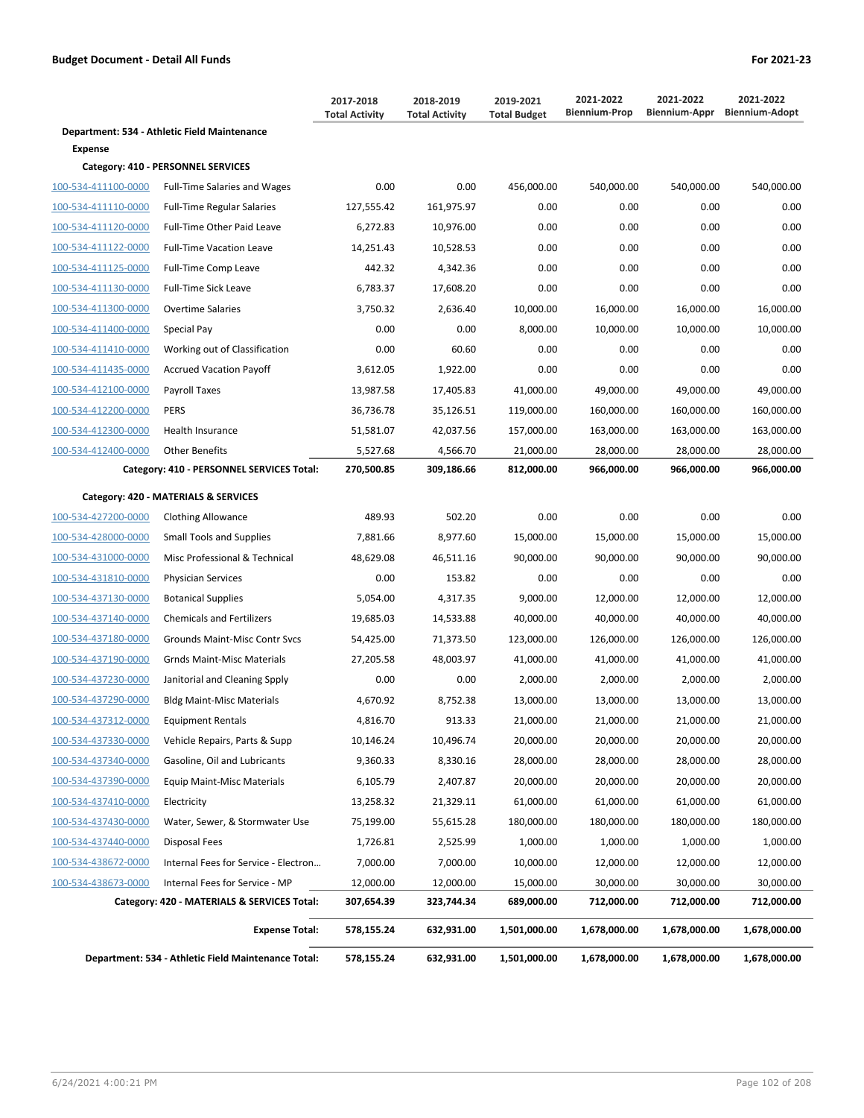|                     |                                                     | 2017-2018<br><b>Total Activity</b> | 2018-2019<br><b>Total Activity</b> | 2019-2021<br><b>Total Budget</b> | 2021-2022<br><b>Biennium-Prop</b> | 2021-2022<br>Biennium-Appr | 2021-2022<br><b>Biennium-Adopt</b> |
|---------------------|-----------------------------------------------------|------------------------------------|------------------------------------|----------------------------------|-----------------------------------|----------------------------|------------------------------------|
|                     | Department: 534 - Athletic Field Maintenance        |                                    |                                    |                                  |                                   |                            |                                    |
| Expense             |                                                     |                                    |                                    |                                  |                                   |                            |                                    |
|                     | Category: 410 - PERSONNEL SERVICES                  |                                    |                                    |                                  |                                   |                            |                                    |
| 100-534-411100-0000 | <b>Full-Time Salaries and Wages</b>                 | 0.00                               | 0.00                               | 456,000.00                       | 540,000.00                        | 540,000.00                 | 540,000.00                         |
| 100-534-411110-0000 | <b>Full-Time Regular Salaries</b>                   | 127,555.42                         | 161,975.97                         | 0.00                             | 0.00                              | 0.00                       | 0.00                               |
| 100-534-411120-0000 | Full-Time Other Paid Leave                          | 6,272.83                           | 10,976.00                          | 0.00                             | 0.00                              | 0.00                       | 0.00                               |
| 100-534-411122-0000 | <b>Full-Time Vacation Leave</b>                     | 14,251.43                          | 10,528.53                          | 0.00                             | 0.00                              | 0.00                       | 0.00                               |
| 100-534-411125-0000 | Full-Time Comp Leave                                | 442.32                             | 4,342.36                           | 0.00                             | 0.00                              | 0.00                       | 0.00                               |
| 100-534-411130-0000 | Full-Time Sick Leave                                | 6,783.37                           | 17,608.20                          | 0.00                             | 0.00                              | 0.00                       | 0.00                               |
| 100-534-411300-0000 | Overtime Salaries                                   | 3,750.32                           | 2,636.40                           | 10,000.00                        | 16,000.00                         | 16,000.00                  | 16,000.00                          |
| 100-534-411400-0000 | Special Pay                                         | 0.00                               | 0.00                               | 8,000.00                         | 10,000.00                         | 10,000.00                  | 10,000.00                          |
| 100-534-411410-0000 | Working out of Classification                       | 0.00                               | 60.60                              | 0.00                             | 0.00                              | 0.00                       | 0.00                               |
| 100-534-411435-0000 | <b>Accrued Vacation Payoff</b>                      | 3,612.05                           | 1,922.00                           | 0.00                             | 0.00                              | 0.00                       | 0.00                               |
| 100-534-412100-0000 | Payroll Taxes                                       | 13,987.58                          | 17,405.83                          | 41,000.00                        | 49,000.00                         | 49,000.00                  | 49,000.00                          |
| 100-534-412200-0000 | <b>PERS</b>                                         | 36,736.78                          | 35,126.51                          | 119,000.00                       | 160,000.00                        | 160,000.00                 | 160,000.00                         |
| 100-534-412300-0000 | <b>Health Insurance</b>                             | 51,581.07                          | 42,037.56                          | 157,000.00                       | 163,000.00                        | 163,000.00                 | 163,000.00                         |
| 100-534-412400-0000 | <b>Other Benefits</b>                               | 5,527.68                           | 4,566.70                           | 21,000.00                        | 28,000.00                         | 28,000.00                  | 28,000.00                          |
|                     | Category: 410 - PERSONNEL SERVICES Total:           | 270,500.85                         | 309,186.66                         | 812,000.00                       | 966,000.00                        | 966,000.00                 | 966,000.00                         |
|                     | Category: 420 - MATERIALS & SERVICES                |                                    |                                    |                                  |                                   |                            |                                    |
| 100-534-427200-0000 | <b>Clothing Allowance</b>                           | 489.93                             | 502.20                             | 0.00                             | 0.00                              | 0.00                       | 0.00                               |
| 100-534-428000-0000 | <b>Small Tools and Supplies</b>                     | 7,881.66                           | 8,977.60                           | 15,000.00                        | 15,000.00                         | 15,000.00                  | 15,000.00                          |
| 100-534-431000-0000 | Misc Professional & Technical                       | 48,629.08                          | 46,511.16                          | 90,000.00                        | 90,000.00                         | 90,000.00                  | 90,000.00                          |
| 100-534-431810-0000 | <b>Physician Services</b>                           | 0.00                               | 153.82                             | 0.00                             | 0.00                              | 0.00                       | 0.00                               |
| 100-534-437130-0000 | <b>Botanical Supplies</b>                           | 5,054.00                           | 4,317.35                           | 9,000.00                         | 12,000.00                         | 12,000.00                  | 12,000.00                          |
| 100-534-437140-0000 | <b>Chemicals and Fertilizers</b>                    | 19,685.03                          | 14,533.88                          | 40,000.00                        | 40,000.00                         | 40,000.00                  | 40,000.00                          |
| 100-534-437180-0000 | Grounds Maint-Misc Contr Svcs                       | 54,425.00                          | 71,373.50                          | 123,000.00                       | 126,000.00                        | 126,000.00                 | 126,000.00                         |
| 100-534-437190-0000 | <b>Grnds Maint-Misc Materials</b>                   | 27,205.58                          | 48,003.97                          | 41,000.00                        | 41,000.00                         | 41,000.00                  | 41,000.00                          |
| 100-534-437230-0000 | Janitorial and Cleaning Spply                       | 0.00                               | 0.00                               | 2,000.00                         | 2,000.00                          | 2,000.00                   | 2,000.00                           |
| 100-534-437290-0000 | <b>Bldg Maint-Misc Materials</b>                    | 4,670.92                           | 8,752.38                           | 13,000.00                        | 13,000.00                         | 13,000.00                  | 13,000.00                          |
| 100-534-437312-0000 | Equipment Rentals                                   | 4,816.70                           | 913.33                             | 21,000.00                        | 21,000.00                         | 21,000.00                  | 21,000.00                          |
| 100-534-437330-0000 | Vehicle Repairs, Parts & Supp                       | 10,146.24                          | 10,496.74                          | 20,000.00                        | 20,000.00                         | 20,000.00                  | 20,000.00                          |
| 100-534-437340-0000 | Gasoline, Oil and Lubricants                        | 9,360.33                           | 8,330.16                           | 28,000.00                        | 28,000.00                         | 28,000.00                  | 28,000.00                          |
| 100-534-437390-0000 | <b>Equip Maint-Misc Materials</b>                   | 6,105.79                           | 2,407.87                           | 20,000.00                        | 20,000.00                         | 20,000.00                  | 20,000.00                          |
| 100-534-437410-0000 | Electricity                                         | 13,258.32                          | 21,329.11                          | 61,000.00                        | 61,000.00                         | 61,000.00                  | 61,000.00                          |
| 100-534-437430-0000 | Water, Sewer, & Stormwater Use                      | 75,199.00                          | 55,615.28                          | 180,000.00                       | 180,000.00                        | 180,000.00                 | 180,000.00                         |
| 100-534-437440-0000 | Disposal Fees                                       | 1,726.81                           | 2,525.99                           | 1,000.00                         | 1,000.00                          | 1,000.00                   | 1,000.00                           |
| 100-534-438672-0000 | Internal Fees for Service - Electron                | 7,000.00                           | 7,000.00                           | 10,000.00                        | 12,000.00                         | 12,000.00                  | 12,000.00                          |
| 100-534-438673-0000 | Internal Fees for Service - MP                      | 12,000.00                          | 12,000.00                          | 15,000.00                        | 30,000.00                         | 30,000.00                  | 30,000.00                          |
|                     | Category: 420 - MATERIALS & SERVICES Total:         | 307,654.39                         | 323,744.34                         | 689,000.00                       | 712,000.00                        | 712,000.00                 | 712,000.00                         |
|                     | <b>Expense Total:</b>                               | 578,155.24                         | 632,931.00                         | 1,501,000.00                     | 1,678,000.00                      | 1,678,000.00               | 1,678,000.00                       |
|                     | Department: 534 - Athletic Field Maintenance Total: | 578,155.24                         | 632,931.00                         | 1,501,000.00                     | 1,678,000.00                      | 1,678,000.00               | 1,678,000.00                       |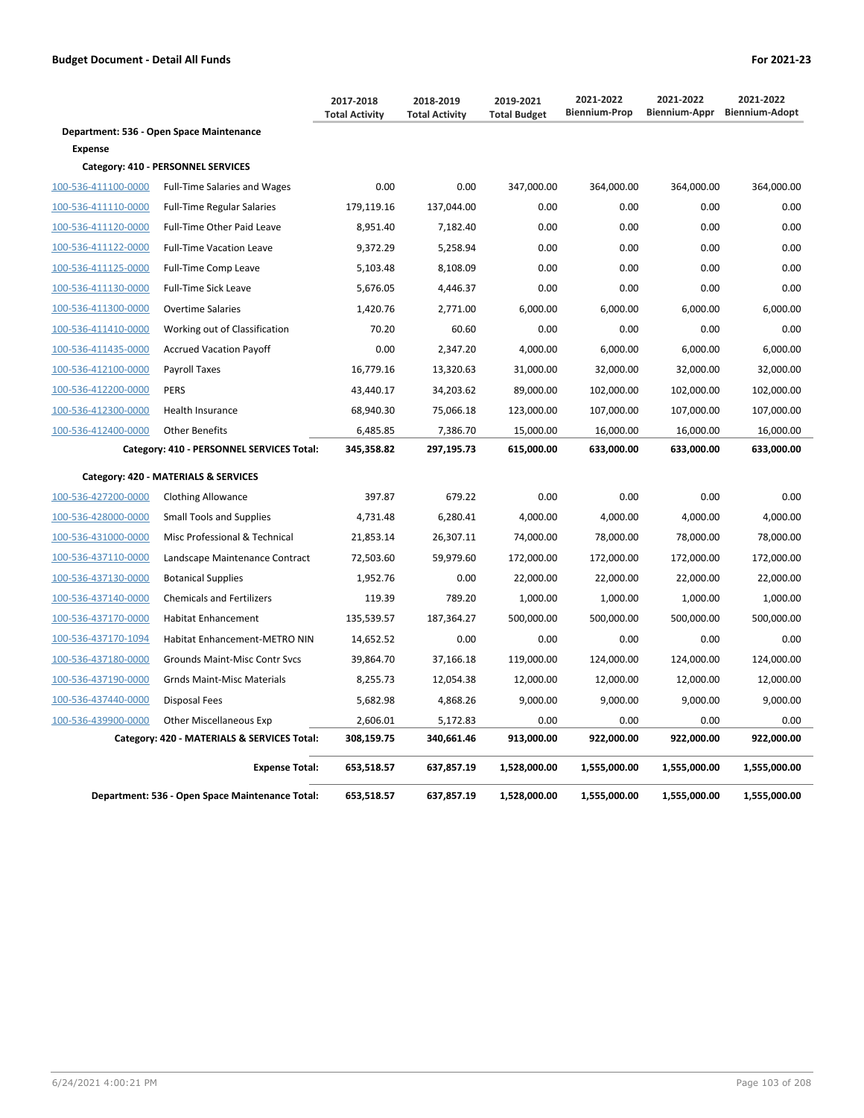|                     |                                                 | 2017-2018<br><b>Total Activity</b> | 2018-2019<br><b>Total Activity</b> | 2019-2021<br><b>Total Budget</b> | 2021-2022<br><b>Biennium-Prop</b> | 2021-2022<br>Biennium-Appr | 2021-2022<br><b>Biennium-Adopt</b> |
|---------------------|-------------------------------------------------|------------------------------------|------------------------------------|----------------------------------|-----------------------------------|----------------------------|------------------------------------|
|                     | Department: 536 - Open Space Maintenance        |                                    |                                    |                                  |                                   |                            |                                    |
| <b>Expense</b>      |                                                 |                                    |                                    |                                  |                                   |                            |                                    |
|                     | Category: 410 - PERSONNEL SERVICES              |                                    |                                    |                                  |                                   |                            |                                    |
| 100-536-411100-0000 | <b>Full-Time Salaries and Wages</b>             | 0.00                               | 0.00                               | 347,000.00                       | 364,000.00                        | 364,000.00                 | 364,000.00                         |
| 100-536-411110-0000 | <b>Full-Time Regular Salaries</b>               | 179,119.16                         | 137,044.00                         | 0.00                             | 0.00                              | 0.00                       | 0.00                               |
| 100-536-411120-0000 | Full-Time Other Paid Leave                      | 8,951.40                           | 7,182.40                           | 0.00                             | 0.00                              | 0.00                       | 0.00                               |
| 100-536-411122-0000 | <b>Full-Time Vacation Leave</b>                 | 9,372.29                           | 5,258.94                           | 0.00                             | 0.00                              | 0.00                       | 0.00                               |
| 100-536-411125-0000 | Full-Time Comp Leave                            | 5,103.48                           | 8,108.09                           | 0.00                             | 0.00                              | 0.00                       | 0.00                               |
| 100-536-411130-0000 | <b>Full-Time Sick Leave</b>                     | 5,676.05                           | 4,446.37                           | 0.00                             | 0.00                              | 0.00                       | 0.00                               |
| 100-536-411300-0000 | <b>Overtime Salaries</b>                        | 1,420.76                           | 2,771.00                           | 6,000.00                         | 6,000.00                          | 6,000.00                   | 6,000.00                           |
| 100-536-411410-0000 | Working out of Classification                   | 70.20                              | 60.60                              | 0.00                             | 0.00                              | 0.00                       | 0.00                               |
| 100-536-411435-0000 | <b>Accrued Vacation Payoff</b>                  | 0.00                               | 2,347.20                           | 4,000.00                         | 6,000.00                          | 6,000.00                   | 6,000.00                           |
| 100-536-412100-0000 | Payroll Taxes                                   | 16,779.16                          | 13,320.63                          | 31,000.00                        | 32,000.00                         | 32,000.00                  | 32,000.00                          |
| 100-536-412200-0000 | <b>PERS</b>                                     | 43,440.17                          | 34,203.62                          | 89,000.00                        | 102,000.00                        | 102,000.00                 | 102,000.00                         |
| 100-536-412300-0000 | Health Insurance                                | 68,940.30                          | 75,066.18                          | 123,000.00                       | 107,000.00                        | 107,000.00                 | 107,000.00                         |
| 100-536-412400-0000 | <b>Other Benefits</b>                           | 6,485.85                           | 7,386.70                           | 15,000.00                        | 16,000.00                         | 16,000.00                  | 16,000.00                          |
|                     | Category: 410 - PERSONNEL SERVICES Total:       | 345,358.82                         | 297,195.73                         | 615,000.00                       | 633,000.00                        | 633,000.00                 | 633,000.00                         |
|                     | Category: 420 - MATERIALS & SERVICES            |                                    |                                    |                                  |                                   |                            |                                    |
| 100-536-427200-0000 | <b>Clothing Allowance</b>                       | 397.87                             | 679.22                             | 0.00                             | 0.00                              | 0.00                       | 0.00                               |
| 100-536-428000-0000 | <b>Small Tools and Supplies</b>                 | 4,731.48                           | 6,280.41                           | 4,000.00                         | 4,000.00                          | 4,000.00                   | 4,000.00                           |
| 100-536-431000-0000 | Misc Professional & Technical                   | 21,853.14                          | 26,307.11                          | 74,000.00                        | 78,000.00                         | 78,000.00                  | 78,000.00                          |
| 100-536-437110-0000 | Landscape Maintenance Contract                  | 72,503.60                          | 59,979.60                          | 172,000.00                       | 172,000.00                        | 172,000.00                 | 172,000.00                         |
| 100-536-437130-0000 | <b>Botanical Supplies</b>                       | 1,952.76                           | 0.00                               | 22,000.00                        | 22,000.00                         | 22,000.00                  | 22,000.00                          |
| 100-536-437140-0000 | <b>Chemicals and Fertilizers</b>                | 119.39                             | 789.20                             | 1,000.00                         | 1,000.00                          | 1,000.00                   | 1,000.00                           |
| 100-536-437170-0000 | <b>Habitat Enhancement</b>                      | 135,539.57                         | 187,364.27                         | 500,000.00                       | 500,000.00                        | 500,000.00                 | 500,000.00                         |
| 100-536-437170-1094 | Habitat Enhancement-METRO NIN                   | 14,652.52                          | 0.00                               | 0.00                             | 0.00                              | 0.00                       | 0.00                               |
| 100-536-437180-0000 | Grounds Maint-Misc Contr Svcs                   | 39,864.70                          | 37,166.18                          | 119,000.00                       | 124,000.00                        | 124,000.00                 | 124,000.00                         |
| 100-536-437190-0000 | <b>Grnds Maint-Misc Materials</b>               | 8,255.73                           | 12,054.38                          | 12,000.00                        | 12,000.00                         | 12,000.00                  | 12,000.00                          |
| 100-536-437440-0000 | Disposal Fees                                   | 5,682.98                           | 4,868.26                           | 9,000.00                         | 9,000.00                          | 9,000.00                   | 9,000.00                           |
| 100-536-439900-0000 | <b>Other Miscellaneous Exp</b>                  | 2,606.01                           | 5,172.83                           | 0.00                             | 0.00                              | 0.00                       | 0.00                               |
|                     | Category: 420 - MATERIALS & SERVICES Total:     | 308,159.75                         | 340,661.46                         | 913,000.00                       | 922,000.00                        | 922,000.00                 | 922,000.00                         |
|                     | <b>Expense Total:</b>                           | 653,518.57                         | 637,857.19                         | 1,528,000.00                     | 1,555,000.00                      | 1,555,000.00               | 1,555,000.00                       |
|                     | Department: 536 - Open Space Maintenance Total: | 653,518.57                         | 637,857.19                         | 1,528,000.00                     | 1,555,000.00                      | 1,555,000.00               | 1,555,000.00                       |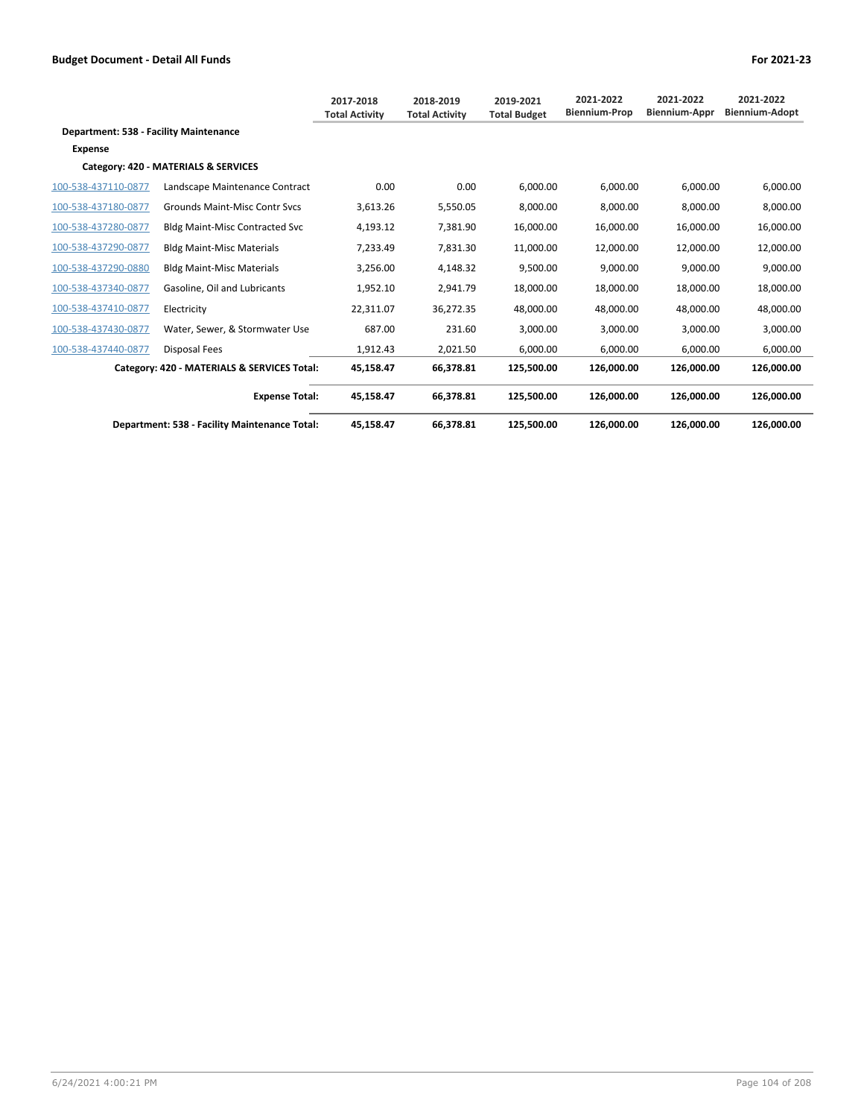|                                        |                                               | 2017-2018<br><b>Total Activity</b> | 2018-2019<br><b>Total Activity</b> | 2019-2021<br><b>Total Budget</b> | 2021-2022<br><b>Biennium-Prop</b> | 2021-2022<br><b>Biennium-Appr</b> | 2021-2022<br>Biennium-Adopt |
|----------------------------------------|-----------------------------------------------|------------------------------------|------------------------------------|----------------------------------|-----------------------------------|-----------------------------------|-----------------------------|
| Department: 538 - Facility Maintenance |                                               |                                    |                                    |                                  |                                   |                                   |                             |
| <b>Expense</b>                         |                                               |                                    |                                    |                                  |                                   |                                   |                             |
|                                        | Category: 420 - MATERIALS & SERVICES          |                                    |                                    |                                  |                                   |                                   |                             |
| 100-538-437110-0877                    | Landscape Maintenance Contract                | 0.00                               | 0.00                               | 6,000.00                         | 6,000.00                          | 6,000.00                          | 6,000.00                    |
| 100-538-437180-0877                    | <b>Grounds Maint-Misc Contr Sycs</b>          | 3,613.26                           | 5,550.05                           | 8,000.00                         | 8,000.00                          | 8,000.00                          | 8,000.00                    |
| 100-538-437280-0877                    | Bldg Maint-Misc Contracted Svc                | 4,193.12                           | 7,381.90                           | 16,000.00                        | 16,000.00                         | 16,000.00                         | 16,000.00                   |
| 100-538-437290-0877                    | <b>Bldg Maint-Misc Materials</b>              | 7,233.49                           | 7,831.30                           | 11,000.00                        | 12,000.00                         | 12,000.00                         | 12,000.00                   |
| 100-538-437290-0880                    | <b>Bldg Maint-Misc Materials</b>              | 3,256.00                           | 4,148.32                           | 9,500.00                         | 9,000.00                          | 9,000.00                          | 9,000.00                    |
| 100-538-437340-0877                    | Gasoline. Oil and Lubricants                  | 1,952.10                           | 2,941.79                           | 18,000.00                        | 18,000.00                         | 18,000.00                         | 18,000.00                   |
| 100-538-437410-0877                    | Electricity                                   | 22,311.07                          | 36,272.35                          | 48,000.00                        | 48,000.00                         | 48,000.00                         | 48,000.00                   |
| 100-538-437430-0877                    | Water, Sewer, & Stormwater Use                | 687.00                             | 231.60                             | 3,000.00                         | 3,000.00                          | 3,000.00                          | 3,000.00                    |
| 100-538-437440-0877                    | <b>Disposal Fees</b>                          | 1.912.43                           | 2.021.50                           | 6.000.00                         | 6.000.00                          | 6.000.00                          | 6.000.00                    |
|                                        | Category: 420 - MATERIALS & SERVICES Total:   | 45,158.47                          | 66,378.81                          | 125,500.00                       | 126,000.00                        | 126,000.00                        | 126,000.00                  |
|                                        | <b>Expense Total:</b>                         | 45,158.47                          | 66,378.81                          | 125.500.00                       | 126.000.00                        | 126.000.00                        | 126,000.00                  |
|                                        | Department: 538 - Facility Maintenance Total: | 45,158.47                          | 66,378.81                          | 125,500.00                       | 126,000.00                        | 126.000.00                        | 126,000.00                  |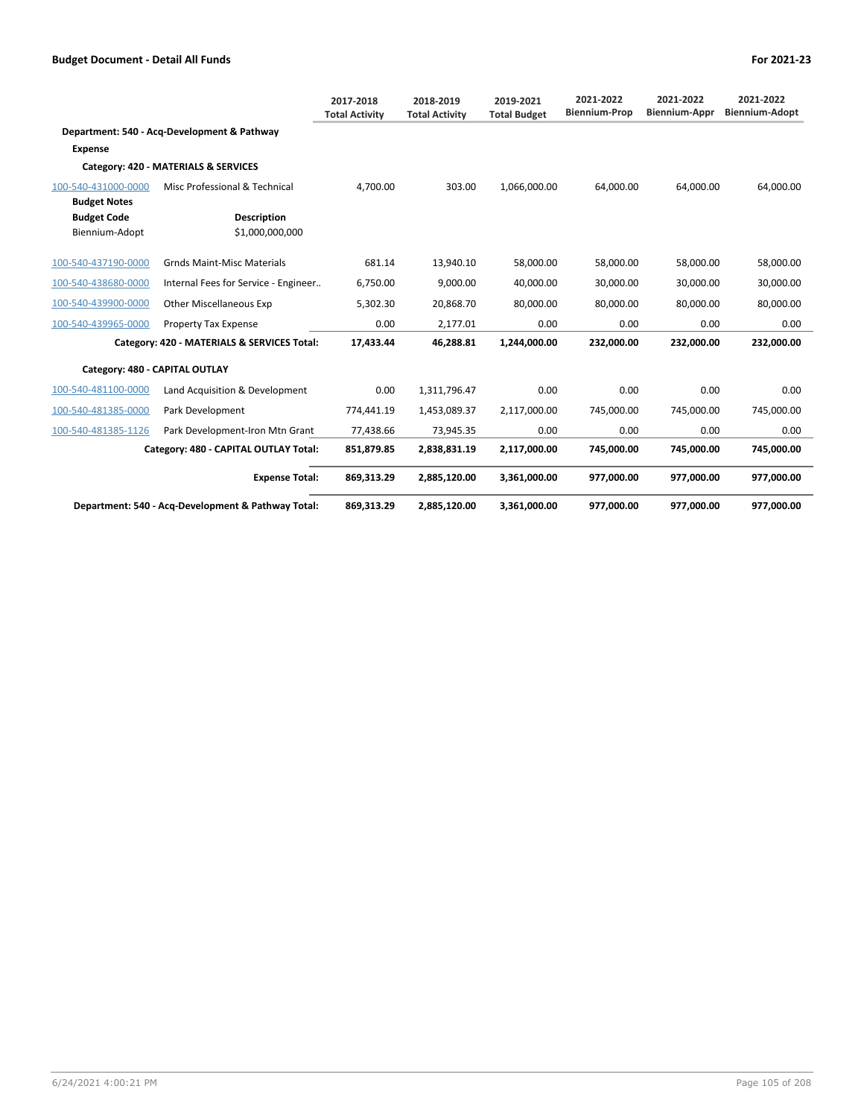|                                            |                                                    | 2017-2018<br><b>Total Activity</b> | 2018-2019<br><b>Total Activity</b> | 2019-2021<br><b>Total Budget</b> | 2021-2022<br><b>Biennium-Prop</b> | 2021-2022<br><b>Biennium-Appr</b> | 2021-2022<br><b>Biennium-Adopt</b> |
|--------------------------------------------|----------------------------------------------------|------------------------------------|------------------------------------|----------------------------------|-----------------------------------|-----------------------------------|------------------------------------|
|                                            | Department: 540 - Acq-Development & Pathway        |                                    |                                    |                                  |                                   |                                   |                                    |
| Expense                                    |                                                    |                                    |                                    |                                  |                                   |                                   |                                    |
|                                            | Category: 420 - MATERIALS & SERVICES               |                                    |                                    |                                  |                                   |                                   |                                    |
| 100-540-431000-0000<br><b>Budget Notes</b> | Misc Professional & Technical                      | 4,700.00                           | 303.00                             | 1,066,000.00                     | 64,000.00                         | 64,000.00                         | 64,000.00                          |
| <b>Budget Code</b><br>Biennium-Adopt       | <b>Description</b><br>\$1,000,000,000              |                                    |                                    |                                  |                                   |                                   |                                    |
| 100-540-437190-0000                        | <b>Grnds Maint-Misc Materials</b>                  | 681.14                             | 13,940.10                          | 58,000.00                        | 58,000.00                         | 58,000.00                         | 58,000.00                          |
| 100-540-438680-0000                        | Internal Fees for Service - Engineer               | 6,750.00                           | 9,000.00                           | 40,000.00                        | 30,000.00                         | 30,000.00                         | 30,000.00                          |
| 100-540-439900-0000                        | <b>Other Miscellaneous Exp</b>                     | 5,302.30                           | 20,868.70                          | 80,000.00                        | 80,000.00                         | 80,000.00                         | 80,000.00                          |
| 100-540-439965-0000                        | <b>Property Tax Expense</b>                        | 0.00                               | 2,177.01                           | 0.00                             | 0.00                              | 0.00                              | 0.00                               |
|                                            | Category: 420 - MATERIALS & SERVICES Total:        | 17,433.44                          | 46,288.81                          | 1,244,000.00                     | 232,000.00                        | 232,000.00                        | 232,000.00                         |
| Category: 480 - CAPITAL OUTLAY             |                                                    |                                    |                                    |                                  |                                   |                                   |                                    |
| 100-540-481100-0000                        | Land Acquisition & Development                     | 0.00                               | 1,311,796.47                       | 0.00                             | 0.00                              | 0.00                              | 0.00                               |
| 100-540-481385-0000                        | Park Development                                   | 774,441.19                         | 1,453,089.37                       | 2,117,000.00                     | 745,000.00                        | 745,000.00                        | 745,000.00                         |
| 100-540-481385-1126                        | Park Development-Iron Mtn Grant                    | 77,438.66                          | 73,945.35                          | 0.00                             | 0.00                              | 0.00                              | 0.00                               |
|                                            | Category: 480 - CAPITAL OUTLAY Total:              | 851,879.85                         | 2,838,831.19                       | 2,117,000.00                     | 745,000.00                        | 745,000.00                        | 745,000.00                         |
|                                            | <b>Expense Total:</b>                              | 869,313.29                         | 2,885,120.00                       | 3,361,000.00                     | 977.000.00                        | 977.000.00                        | 977,000.00                         |
|                                            | Department: 540 - Acq-Development & Pathway Total: | 869,313.29                         | 2,885,120.00                       | 3,361,000.00                     | 977.000.00                        | 977.000.00                        | 977.000.00                         |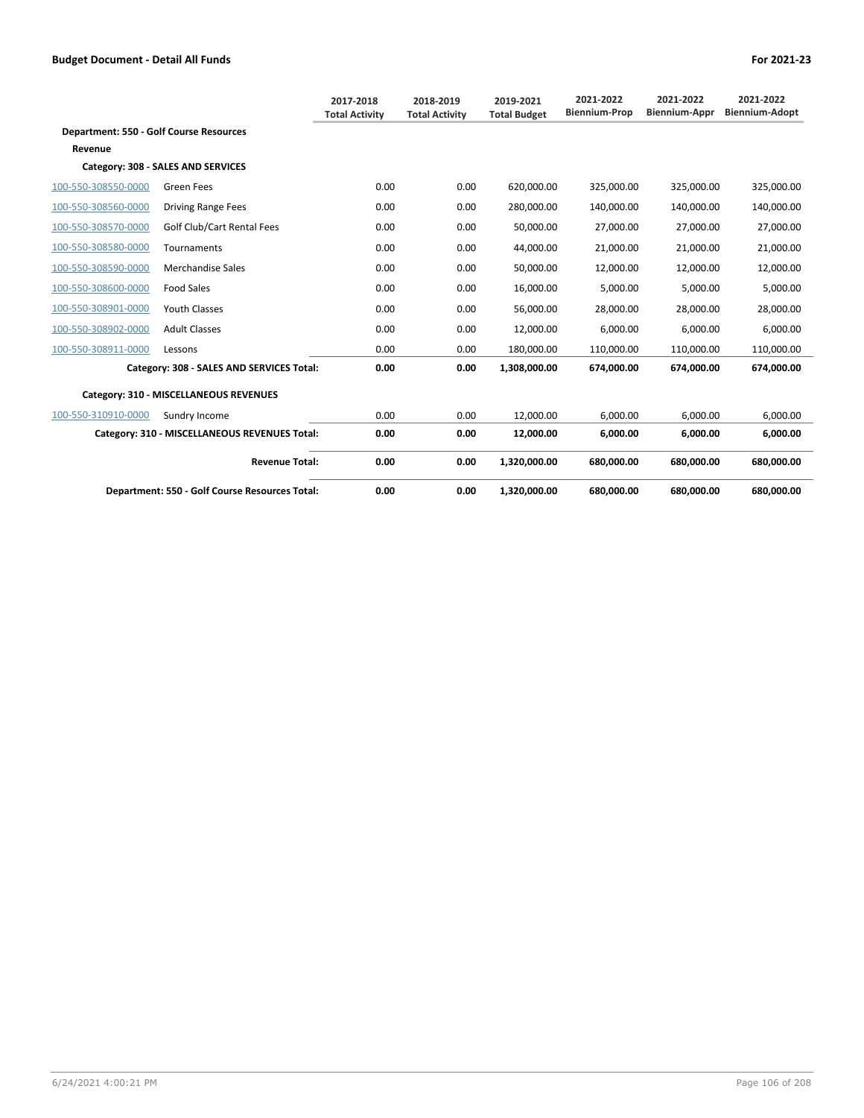|                                                |                                                | 2017-2018<br><b>Total Activity</b> | 2018-2019<br><b>Total Activity</b> | 2019-2021<br><b>Total Budget</b> | 2021-2022<br><b>Biennium-Prop</b> | 2021-2022<br><b>Biennium-Appr</b> | 2021-2022<br><b>Biennium-Adopt</b> |
|------------------------------------------------|------------------------------------------------|------------------------------------|------------------------------------|----------------------------------|-----------------------------------|-----------------------------------|------------------------------------|
| <b>Department: 550 - Golf Course Resources</b> |                                                |                                    |                                    |                                  |                                   |                                   |                                    |
| Revenue                                        |                                                |                                    |                                    |                                  |                                   |                                   |                                    |
|                                                | Category: 308 - SALES AND SERVICES             |                                    |                                    |                                  |                                   |                                   |                                    |
| 100-550-308550-0000                            | Green Fees                                     | 0.00                               | 0.00                               | 620.000.00                       | 325.000.00                        | 325.000.00                        | 325.000.00                         |
| 100-550-308560-0000                            | <b>Driving Range Fees</b>                      | 0.00                               | 0.00                               | 280,000.00                       | 140,000.00                        | 140,000.00                        | 140,000.00                         |
| 100-550-308570-0000                            | Golf Club/Cart Rental Fees                     | 0.00                               | 0.00                               | 50,000.00                        | 27,000.00                         | 27,000.00                         | 27,000.00                          |
| 100-550-308580-0000                            | Tournaments                                    | 0.00                               | 0.00                               | 44,000.00                        | 21,000.00                         | 21,000.00                         | 21,000.00                          |
| 100-550-308590-0000                            | <b>Merchandise Sales</b>                       | 0.00                               | 0.00                               | 50,000.00                        | 12,000.00                         | 12,000.00                         | 12,000.00                          |
| 100-550-308600-0000                            | <b>Food Sales</b>                              | 0.00                               | 0.00                               | 16,000.00                        | 5.000.00                          | 5.000.00                          | 5.000.00                           |
| 100-550-308901-0000                            | <b>Youth Classes</b>                           | 0.00                               | 0.00                               | 56.000.00                        | 28.000.00                         | 28.000.00                         | 28.000.00                          |
| 100-550-308902-0000                            | <b>Adult Classes</b>                           | 0.00                               | 0.00                               | 12,000.00                        | 6.000.00                          | 6.000.00                          | 6.000.00                           |
| 100-550-308911-0000                            | Lessons                                        | 0.00                               | 0.00                               | 180,000.00                       | 110,000.00                        | 110,000.00                        | 110,000.00                         |
|                                                | Category: 308 - SALES AND SERVICES Total:      | 0.00                               | 0.00                               | 1,308,000.00                     | 674.000.00                        | 674.000.00                        | 674.000.00                         |
|                                                | Category: 310 - MISCELLANEOUS REVENUES         |                                    |                                    |                                  |                                   |                                   |                                    |
| 100-550-310910-0000                            | Sundry Income                                  | 0.00                               | 0.00                               | 12,000.00                        | 6.000.00                          | 6.000.00                          | 6,000.00                           |
|                                                | Category: 310 - MISCELLANEOUS REVENUES Total:  | 0.00                               | 0.00                               | 12.000.00                        | 6.000.00                          | 6,000.00                          | 6.000.00                           |
|                                                | <b>Revenue Total:</b>                          | 0.00                               | 0.00                               | 1,320,000.00                     | 680.000.00                        | 680.000.00                        | 680.000.00                         |
|                                                | Department: 550 - Golf Course Resources Total: | 0.00                               | 0.00                               | 1,320,000.00                     | 680,000.00                        | 680,000.00                        | 680,000.00                         |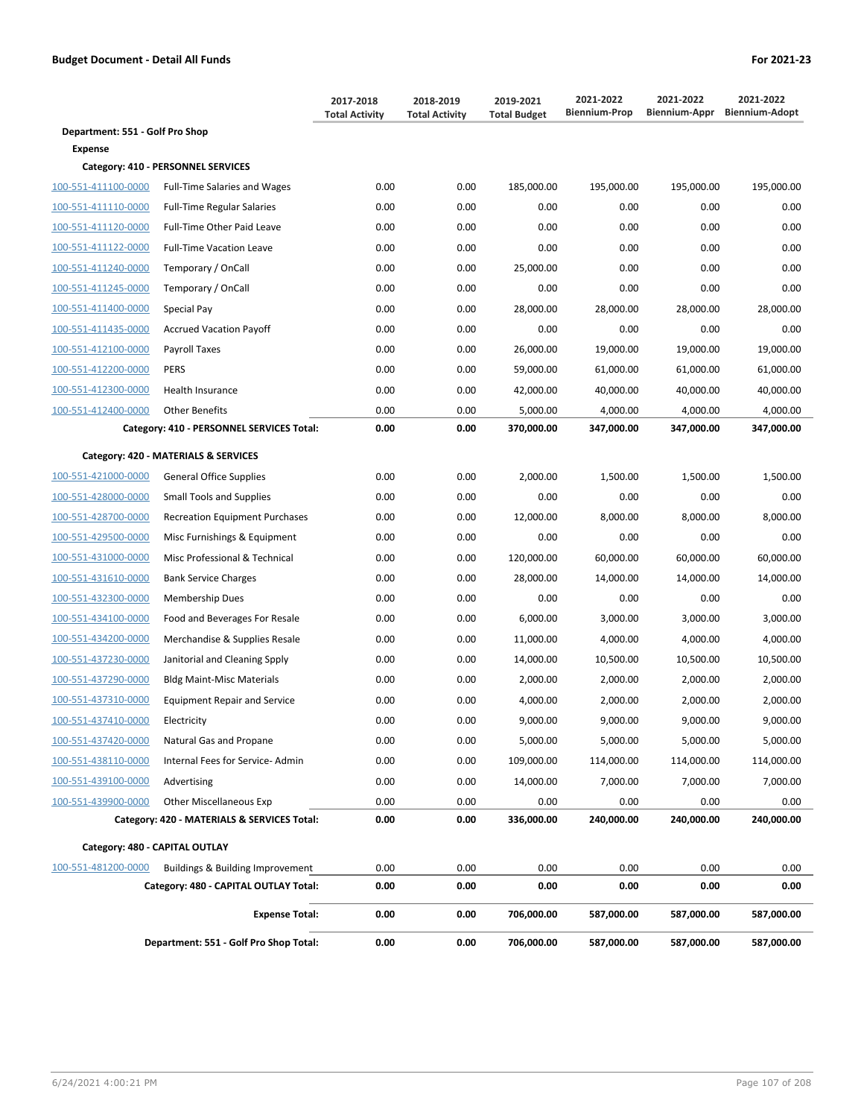|                                             |                                                                                                                                                                                                                                                   | 2017-2018<br><b>Total Activity</b> | 2018-2019<br><b>Total Activity</b> | 2019-2021<br><b>Total Budget</b> | 2021-2022<br><b>Biennium-Prop</b> | 2021-2022<br>Biennium-Appr | 2021-2022<br><b>Biennium-Adopt</b> |  |  |  |
|---------------------------------------------|---------------------------------------------------------------------------------------------------------------------------------------------------------------------------------------------------------------------------------------------------|------------------------------------|------------------------------------|----------------------------------|-----------------------------------|----------------------------|------------------------------------|--|--|--|
| Department: 551 - Golf Pro Shop             |                                                                                                                                                                                                                                                   |                                    |                                    |                                  |                                   |                            |                                    |  |  |  |
| <b>Expense</b>                              |                                                                                                                                                                                                                                                   |                                    |                                    |                                  |                                   |                            |                                    |  |  |  |
|                                             | Category: 410 - PERSONNEL SERVICES                                                                                                                                                                                                                |                                    |                                    |                                  |                                   |                            |                                    |  |  |  |
| 100-551-411100-0000                         | <b>Full-Time Salaries and Wages</b>                                                                                                                                                                                                               | 0.00                               | 0.00                               | 185,000.00                       | 195,000.00                        | 195,000.00                 | 195,000.00                         |  |  |  |
| 100-551-411110-0000                         | <b>Full-Time Regular Salaries</b>                                                                                                                                                                                                                 | 0.00                               | 0.00                               | 0.00                             | 0.00                              | 0.00                       | 0.00                               |  |  |  |
| 100-551-411120-0000                         | Full-Time Other Paid Leave                                                                                                                                                                                                                        | 0.00                               | 0.00                               | 0.00                             | 0.00                              | 0.00                       | 0.00                               |  |  |  |
| 100-551-411122-0000                         | <b>Full-Time Vacation Leave</b>                                                                                                                                                                                                                   | 0.00                               | 0.00                               | 0.00                             | 0.00                              | 0.00                       | 0.00                               |  |  |  |
| 100-551-411240-0000                         | Temporary / OnCall                                                                                                                                                                                                                                | 0.00                               | 0.00                               | 25,000.00                        | 0.00                              | 0.00                       | 0.00                               |  |  |  |
| 100-551-411245-0000                         | Temporary / OnCall                                                                                                                                                                                                                                | 0.00                               | 0.00                               | 0.00                             | 0.00                              | 0.00                       | 0.00                               |  |  |  |
| 100-551-411400-0000                         | Special Pay                                                                                                                                                                                                                                       | 0.00                               | 0.00                               | 28,000.00                        | 28,000.00                         | 28,000.00                  | 28,000.00                          |  |  |  |
| 100-551-411435-0000                         | <b>Accrued Vacation Payoff</b>                                                                                                                                                                                                                    | 0.00                               | 0.00                               | 0.00                             | 0.00                              | 0.00                       | 0.00                               |  |  |  |
| 100-551-412100-0000                         | Payroll Taxes                                                                                                                                                                                                                                     | 0.00                               | 0.00                               | 26,000.00                        | 19,000.00                         | 19,000.00                  | 19,000.00                          |  |  |  |
| 100-551-412200-0000                         | <b>PERS</b>                                                                                                                                                                                                                                       | 0.00                               | 0.00                               | 59,000.00                        | 61,000.00                         | 61,000.00                  | 61,000.00                          |  |  |  |
| 100-551-412300-0000                         | Health Insurance                                                                                                                                                                                                                                  | 0.00                               | 0.00                               | 42,000.00                        | 40,000.00                         | 40,000.00                  | 40,000.00                          |  |  |  |
| 100-551-412400-0000                         | <b>Other Benefits</b>                                                                                                                                                                                                                             | 0.00                               | 0.00                               | 5,000.00                         | 4,000.00                          | 4,000.00                   | 4,000.00                           |  |  |  |
|                                             | Category: 410 - PERSONNEL SERVICES Total:                                                                                                                                                                                                         | 0.00                               | 0.00                               | 370,000.00                       | 347,000.00                        | 347,000.00                 | 347,000.00                         |  |  |  |
|                                             | Category: 420 - MATERIALS & SERVICES                                                                                                                                                                                                              |                                    |                                    |                                  |                                   |                            |                                    |  |  |  |
| 100-551-421000-0000                         | <b>General Office Supplies</b>                                                                                                                                                                                                                    | 0.00                               | 0.00                               | 2,000.00                         | 1,500.00                          | 1,500.00                   | 1,500.00                           |  |  |  |
| 100-551-428000-0000                         | <b>Small Tools and Supplies</b>                                                                                                                                                                                                                   | 0.00                               | 0.00                               | 0.00                             | 0.00                              | 0.00                       | 0.00                               |  |  |  |
| 100-551-428700-0000                         | <b>Recreation Equipment Purchases</b>                                                                                                                                                                                                             | 0.00                               | 0.00                               | 12,000.00                        | 8,000.00                          | 8,000.00                   | 8,000.00                           |  |  |  |
| 100-551-429500-0000                         | Misc Furnishings & Equipment                                                                                                                                                                                                                      | 0.00                               | 0.00                               | 0.00                             | 0.00                              | 0.00                       | 0.00                               |  |  |  |
| 100-551-431000-0000                         | Misc Professional & Technical                                                                                                                                                                                                                     | 0.00                               | 0.00                               | 120,000.00                       | 60,000.00                         | 60,000.00                  | 60,000.00                          |  |  |  |
| 100-551-431610-0000                         | <b>Bank Service Charges</b>                                                                                                                                                                                                                       | 0.00                               | 0.00                               | 28,000.00                        | 14,000.00                         | 14,000.00                  | 14,000.00                          |  |  |  |
| 100-551-432300-0000                         | Membership Dues                                                                                                                                                                                                                                   | 0.00                               | 0.00                               | 0.00                             | 0.00                              | 0.00                       | 0.00                               |  |  |  |
| 100-551-434100-0000                         | Food and Beverages For Resale                                                                                                                                                                                                                     | 0.00                               | 0.00                               | 6,000.00                         | 3,000.00                          | 3,000.00                   | 3,000.00                           |  |  |  |
| 100-551-434200-0000                         | Merchandise & Supplies Resale                                                                                                                                                                                                                     | 0.00                               | 0.00                               | 11,000.00                        | 4,000.00                          | 4,000.00                   | 4,000.00                           |  |  |  |
| 100-551-437230-0000                         | Janitorial and Cleaning Spply                                                                                                                                                                                                                     | 0.00                               | 0.00                               | 14,000.00                        | 10,500.00                         | 10,500.00                  | 10,500.00                          |  |  |  |
| 100-551-437290-0000                         | <b>Bldg Maint-Misc Materials</b>                                                                                                                                                                                                                  | 0.00                               | 0.00                               | 2,000.00                         | 2,000.00                          | 2,000.00                   | 2,000.00                           |  |  |  |
| 100-551-437310-0000                         | <b>Equipment Repair and Service</b>                                                                                                                                                                                                               | 0.00                               | 0.00                               | 4,000.00                         | 2,000.00                          | 2,000.00                   | 2,000.00                           |  |  |  |
| 100-551-437410-0000                         | Electricity                                                                                                                                                                                                                                       | 0.00                               | 0.00                               | 9,000.00                         | 9,000.00                          |                            | 9,000.00                           |  |  |  |
| 100-551-437420-0000                         | Natural Gas and Propane                                                                                                                                                                                                                           | 0.00                               | 0.00                               | 5,000.00                         | 5,000.00                          |                            | 5,000.00                           |  |  |  |
| 100-551-438110-0000                         | Internal Fees for Service-Admin                                                                                                                                                                                                                   | 0.00                               | 0.00                               | 109,000.00                       | 114,000.00                        |                            | 114,000.00                         |  |  |  |
| 100-551-439100-0000                         | Advertising                                                                                                                                                                                                                                       | 0.00                               | 0.00                               | 14,000.00                        | 7,000.00                          | 7,000.00                   | 7,000.00                           |  |  |  |
| 100-551-439900-0000                         | <b>Other Miscellaneous Exp</b>                                                                                                                                                                                                                    | 0.00                               | 0.00                               | 0.00                             | 0.00                              | 0.00                       | 0.00                               |  |  |  |
| Category: 420 - MATERIALS & SERVICES Total: |                                                                                                                                                                                                                                                   | 0.00                               | 0.00                               | 336,000.00                       | 240,000.00                        | 240,000.00                 | 240,000.00                         |  |  |  |
|                                             | 9,000.00<br>5,000.00<br>114,000.00<br>Category: 480 - CAPITAL OUTLAY<br>0.00<br>Buildings & Building Improvement<br>0.00<br>0.00<br>0.00<br>0.00<br>0.00<br>Category: 480 - CAPITAL OUTLAY Total:<br>0.00<br>0.00<br>0.00<br>0.00<br>0.00<br>0.00 |                                    |                                    |                                  |                                   |                            |                                    |  |  |  |
| 100-551-481200-0000                         |                                                                                                                                                                                                                                                   |                                    |                                    |                                  |                                   |                            |                                    |  |  |  |
|                                             |                                                                                                                                                                                                                                                   |                                    |                                    |                                  |                                   |                            |                                    |  |  |  |
|                                             | <b>Expense Total:</b>                                                                                                                                                                                                                             | 0.00                               | 0.00                               | 706,000.00                       | 587,000.00                        | 587,000.00                 | 587,000.00                         |  |  |  |
|                                             | Department: 551 - Golf Pro Shop Total:                                                                                                                                                                                                            | 0.00                               | 0.00                               | 706,000.00                       | 587,000.00                        | 587,000.00                 | 587,000.00                         |  |  |  |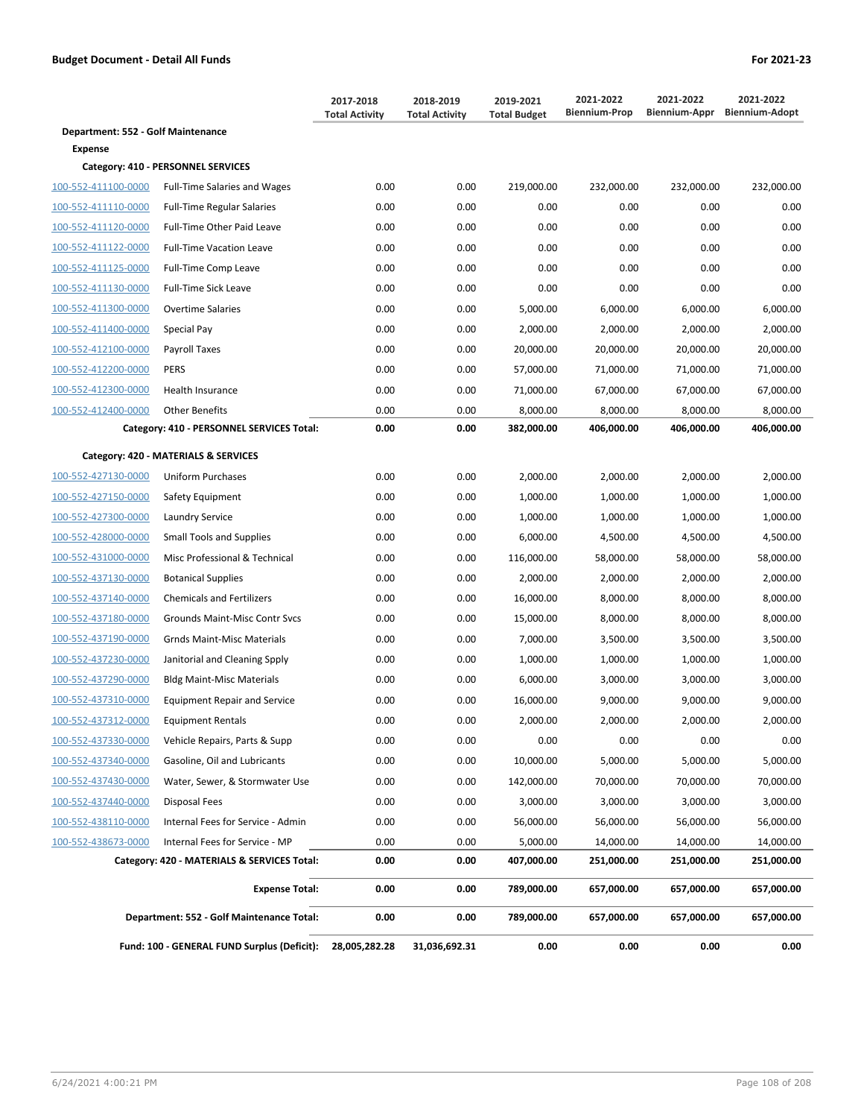|                                             |                                             | 2017-2018<br><b>Total Activity</b> | 2018-2019<br><b>Total Activity</b> | 2019-2021<br><b>Total Budget</b> | 2021-2022<br><b>Biennium-Prop</b> | 2021-2022<br>Biennium-Appr | 2021-2022<br><b>Biennium-Adopt</b> |
|---------------------------------------------|---------------------------------------------|------------------------------------|------------------------------------|----------------------------------|-----------------------------------|----------------------------|------------------------------------|
| Department: 552 - Golf Maintenance          |                                             |                                    |                                    |                                  |                                   |                            |                                    |
| <b>Expense</b>                              |                                             |                                    |                                    |                                  |                                   |                            |                                    |
|                                             | Category: 410 - PERSONNEL SERVICES          |                                    |                                    |                                  |                                   |                            |                                    |
| 100-552-411100-0000                         | <b>Full-Time Salaries and Wages</b>         | 0.00                               | 0.00                               | 219,000.00                       | 232,000.00                        | 232,000.00                 | 232,000.00                         |
| 100-552-411110-0000                         | <b>Full-Time Regular Salaries</b>           | 0.00                               | 0.00                               | 0.00                             | 0.00                              | 0.00                       | 0.00                               |
| 100-552-411120-0000                         | Full-Time Other Paid Leave                  | 0.00                               | 0.00                               | 0.00                             | 0.00                              | 0.00                       | 0.00                               |
| 100-552-411122-0000                         | <b>Full-Time Vacation Leave</b>             | 0.00                               | 0.00                               | 0.00                             | 0.00                              | 0.00                       | 0.00                               |
| 100-552-411125-0000                         | Full-Time Comp Leave                        | 0.00                               | 0.00                               | 0.00                             | 0.00                              | 0.00                       | 0.00                               |
| 100-552-411130-0000                         | <b>Full-Time Sick Leave</b>                 | 0.00                               | 0.00                               | 0.00                             | 0.00                              | 0.00                       | 0.00                               |
| 100-552-411300-0000                         | <b>Overtime Salaries</b>                    | 0.00                               | 0.00                               | 5,000.00                         | 6,000.00                          | 6,000.00                   | 6,000.00                           |
| 100-552-411400-0000                         | Special Pay                                 | 0.00                               | 0.00                               | 2,000.00                         | 2,000.00                          | 2,000.00                   | 2,000.00                           |
| 100-552-412100-0000                         | Payroll Taxes                               | 0.00                               | 0.00                               | 20,000.00                        | 20,000.00                         | 20,000.00                  | 20,000.00                          |
| 100-552-412200-0000                         | <b>PERS</b>                                 | 0.00                               | 0.00                               | 57,000.00                        | 71,000.00                         | 71,000.00                  | 71,000.00                          |
| 100-552-412300-0000                         | Health Insurance                            | 0.00                               | 0.00                               | 71,000.00                        | 67,000.00                         | 67,000.00                  | 67,000.00                          |
| 100-552-412400-0000                         | <b>Other Benefits</b>                       | 0.00                               | 0.00                               | 8,000.00                         | 8,000.00                          | 8,000.00                   | 8,000.00                           |
|                                             | Category: 410 - PERSONNEL SERVICES Total:   | 0.00                               | 0.00                               | 382,000.00                       | 406,000.00                        | 406,000.00                 | 406,000.00                         |
|                                             | Category: 420 - MATERIALS & SERVICES        |                                    |                                    |                                  |                                   |                            |                                    |
| 100-552-427130-0000                         | Uniform Purchases                           | 0.00                               | 0.00                               | 2,000.00                         | 2,000.00                          | 2,000.00                   | 2,000.00                           |
| 100-552-427150-0000                         | Safety Equipment                            | 0.00                               | 0.00                               | 1,000.00                         | 1,000.00                          | 1,000.00                   | 1,000.00                           |
| 100-552-427300-0000                         | Laundry Service                             | 0.00                               | 0.00                               | 1,000.00                         | 1,000.00                          | 1,000.00                   | 1,000.00                           |
| 100-552-428000-0000                         | <b>Small Tools and Supplies</b>             | 0.00                               | 0.00                               | 6,000.00                         | 4,500.00                          | 4,500.00                   | 4,500.00                           |
| 100-552-431000-0000                         | Misc Professional & Technical               | 0.00                               | 0.00                               | 116,000.00                       | 58,000.00                         | 58,000.00                  | 58,000.00                          |
| 100-552-437130-0000                         | <b>Botanical Supplies</b>                   | 0.00                               | 0.00                               | 2,000.00                         | 2,000.00                          | 2,000.00                   | 2,000.00                           |
| 100-552-437140-0000                         | <b>Chemicals and Fertilizers</b>            | 0.00                               | 0.00                               | 16,000.00                        | 8,000.00                          | 8,000.00                   | 8,000.00                           |
| 100-552-437180-0000                         | Grounds Maint-Misc Contr Svcs               | 0.00                               | 0.00                               | 15,000.00                        | 8,000.00                          | 8,000.00                   | 8,000.00                           |
| 100-552-437190-0000                         | <b>Grnds Maint-Misc Materials</b>           | 0.00                               | 0.00                               | 7,000.00                         | 3,500.00                          | 3,500.00                   | 3,500.00                           |
| 100-552-437230-0000                         | Janitorial and Cleaning Spply               | 0.00                               | 0.00                               | 1,000.00                         | 1,000.00                          | 1,000.00                   | 1,000.00                           |
| 100-552-437290-0000                         | <b>Bldg Maint-Misc Materials</b>            | 0.00                               | 0.00                               | 6,000.00                         | 3,000.00                          | 3,000.00                   | 3,000.00                           |
| 100-552-437310-0000                         | <b>Equipment Repair and Service</b>         | 0.00                               | 0.00                               | 16,000.00                        | 9,000.00                          | 9,000.00                   | 9,000.00                           |
|                                             |                                             |                                    |                                    |                                  |                                   |                            |                                    |
| 100-552-437312-0000                         | <b>Equipment Rentals</b>                    | 0.00                               | 0.00                               | 2,000.00                         | 2,000.00                          | 2,000.00                   | 2,000.00                           |
| 100-552-437330-0000<br>100-552-437340-0000  | Vehicle Repairs, Parts & Supp               | 0.00                               | 0.00                               | 0.00                             | 0.00                              | 0.00<br>5,000.00           | 0.00                               |
|                                             | Gasoline, Oil and Lubricants                | 0.00                               | 0.00                               | 10,000.00                        | 5,000.00                          |                            | 5,000.00                           |
| 100-552-437430-0000                         | Water, Sewer, & Stormwater Use              | 0.00                               | 0.00                               | 142,000.00                       | 70,000.00                         | 70,000.00                  | 70,000.00                          |
| 100-552-437440-0000                         | Disposal Fees                               | 0.00                               | 0.00                               | 3,000.00                         | 3,000.00                          | 3,000.00                   | 3,000.00                           |
| 100-552-438110-0000                         | Internal Fees for Service - Admin           | 0.00                               | 0.00                               | 56,000.00                        | 56,000.00                         | 56,000.00                  | 56,000.00                          |
| 100-552-438673-0000                         | Internal Fees for Service - MP              | 0.00                               | 0.00                               | 5,000.00                         | 14,000.00                         | 14,000.00                  | 14,000.00                          |
|                                             | Category: 420 - MATERIALS & SERVICES Total: | 0.00                               | 0.00                               | 407,000.00                       | 251,000.00                        | 251,000.00                 | 251,000.00                         |
|                                             | <b>Expense Total:</b>                       | 0.00                               | 0.00                               | 789,000.00                       | 657,000.00                        | 657,000.00                 | 657,000.00                         |
|                                             | Department: 552 - Golf Maintenance Total:   | 0.00                               | 0.00                               | 789,000.00                       | 657,000.00                        | 657,000.00                 | 657,000.00                         |
| Fund: 100 - GENERAL FUND Surplus (Deficit): |                                             | 28,005,282.28                      | 31,036,692.31                      | 0.00                             | 0.00                              | 0.00                       | 0.00                               |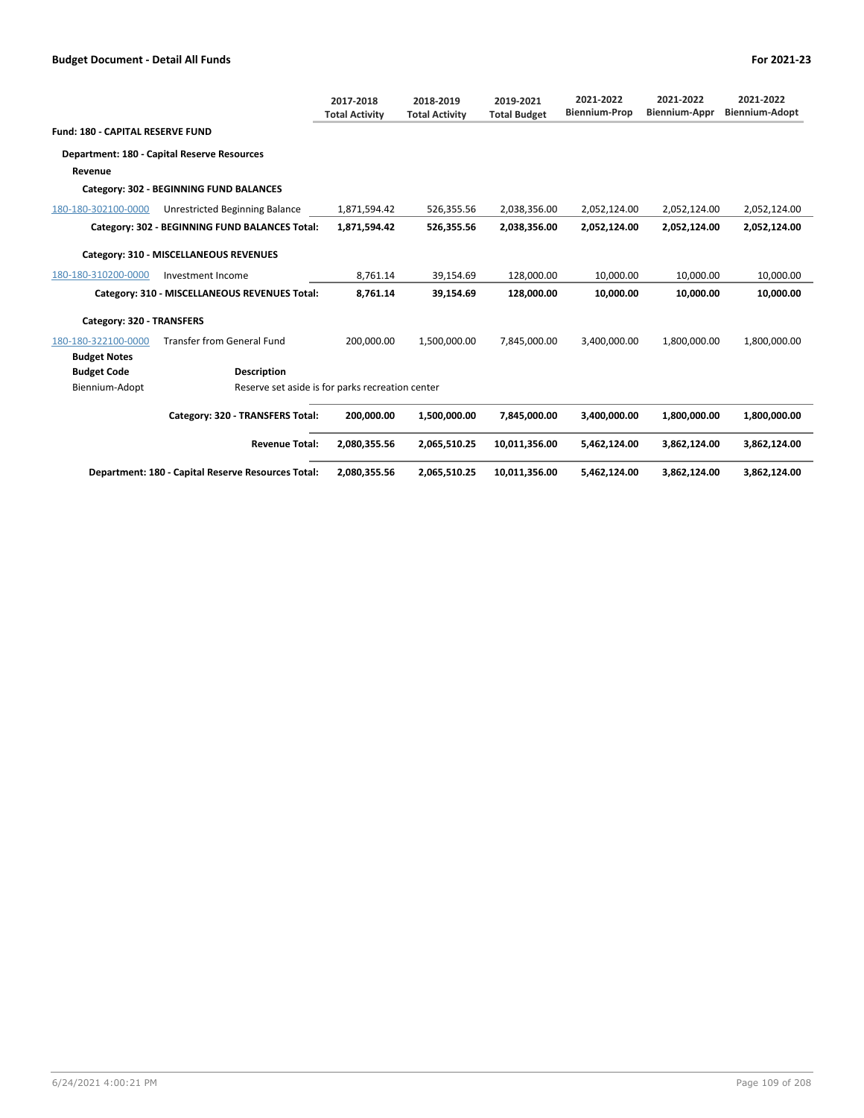|                                         |                                                    | 2017-2018<br><b>Total Activity</b> | 2018-2019<br><b>Total Activity</b> | 2019-2021<br><b>Total Budget</b> | 2021-2022<br><b>Biennium-Prop</b> | 2021-2022<br><b>Biennium-Appr</b> | 2021-2022<br><b>Biennium-Adopt</b> |
|-----------------------------------------|----------------------------------------------------|------------------------------------|------------------------------------|----------------------------------|-----------------------------------|-----------------------------------|------------------------------------|
| <b>Fund: 180 - CAPITAL RESERVE FUND</b> |                                                    |                                    |                                    |                                  |                                   |                                   |                                    |
|                                         | <b>Department: 180 - Capital Reserve Resources</b> |                                    |                                    |                                  |                                   |                                   |                                    |
| Revenue                                 |                                                    |                                    |                                    |                                  |                                   |                                   |                                    |
|                                         | Category: 302 - BEGINNING FUND BALANCES            |                                    |                                    |                                  |                                   |                                   |                                    |
| 180-180-302100-0000                     | Unrestricted Beginning Balance                     | 1,871,594.42                       | 526,355.56                         | 2,038,356.00                     | 2,052,124.00                      | 2,052,124.00                      | 2,052,124.00                       |
|                                         | Category: 302 - BEGINNING FUND BALANCES Total:     | 1,871,594.42                       | 526,355.56                         | 2,038,356.00                     | 2,052,124.00                      | 2,052,124.00                      | 2,052,124.00                       |
|                                         | Category: 310 - MISCELLANEOUS REVENUES             |                                    |                                    |                                  |                                   |                                   |                                    |
| 180-180-310200-0000                     | Investment Income                                  | 8,761.14                           | 39,154.69                          | 128,000.00                       | 10,000.00                         | 10,000.00                         | 10,000.00                          |
|                                         | Category: 310 - MISCELLANEOUS REVENUES Total:      | 8,761.14                           | 39,154.69                          | 128,000.00                       | 10,000.00                         | 10,000.00                         | 10,000.00                          |
| Category: 320 - TRANSFERS               |                                                    |                                    |                                    |                                  |                                   |                                   |                                    |
| 180-180-322100-0000                     | <b>Transfer from General Fund</b>                  | 200.000.00                         | 1,500,000.00                       | 7,845,000.00                     | 3,400,000.00                      | 1,800,000.00                      | 1,800,000.00                       |
| <b>Budget Notes</b>                     |                                                    |                                    |                                    |                                  |                                   |                                   |                                    |
| <b>Budget Code</b>                      | <b>Description</b>                                 |                                    |                                    |                                  |                                   |                                   |                                    |
| Biennium-Adopt                          | Reserve set aside is for parks recreation center   |                                    |                                    |                                  |                                   |                                   |                                    |
|                                         | Category: 320 - TRANSFERS Total:                   | 200,000.00                         | 1,500,000.00                       | 7,845,000.00                     | 3,400,000.00                      | 1,800,000.00                      | 1,800,000.00                       |
|                                         | <b>Revenue Total:</b>                              | 2,080,355.56                       | 2,065,510.25                       | 10,011,356.00                    | 5,462,124.00                      | 3,862,124.00                      | 3,862,124.00                       |
|                                         | Department: 180 - Capital Reserve Resources Total: | 2,080,355.56                       | 2,065,510.25                       | 10,011,356.00                    | 5,462,124.00                      | 3,862,124.00                      | 3,862,124.00                       |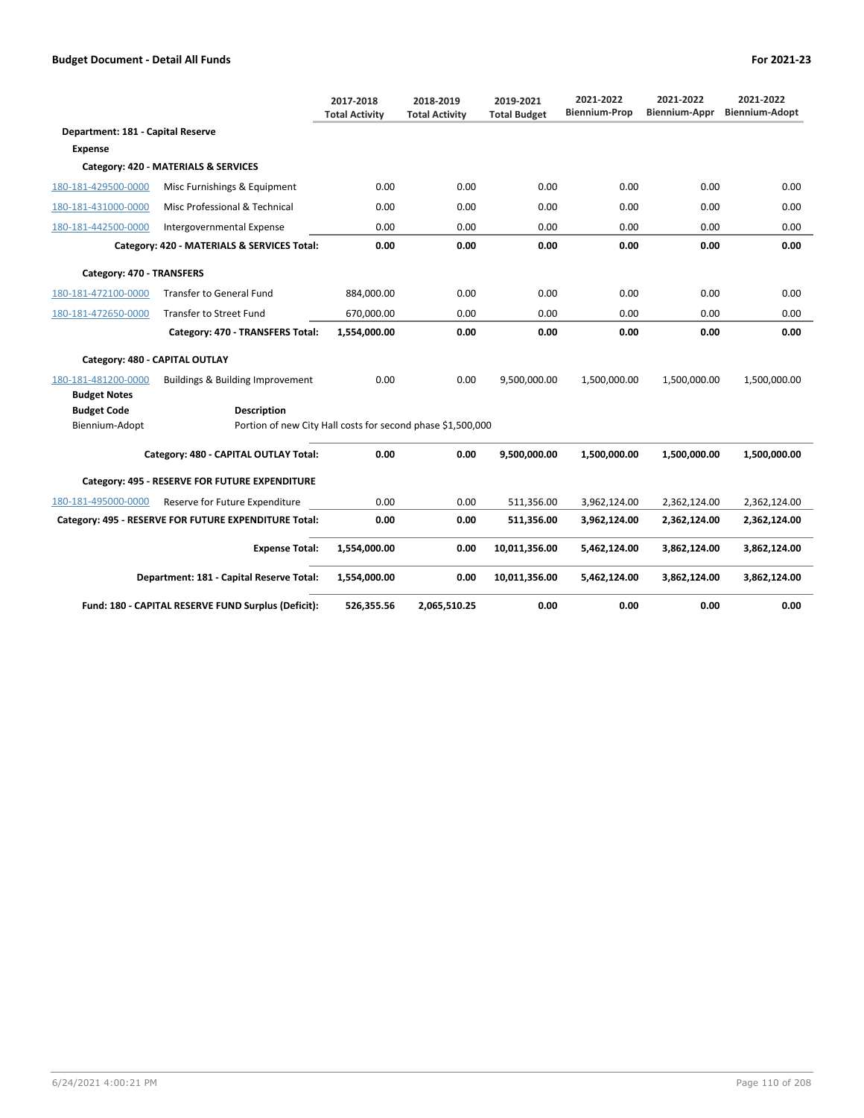|                                   |                                                             | 2017-2018<br><b>Total Activity</b> | 2018-2019<br><b>Total Activity</b> | 2019-2021<br><b>Total Budget</b> | 2021-2022<br><b>Biennium-Prop</b> | 2021-2022<br><b>Biennium-Appr</b> | 2021-2022<br><b>Biennium-Adopt</b> |
|-----------------------------------|-------------------------------------------------------------|------------------------------------|------------------------------------|----------------------------------|-----------------------------------|-----------------------------------|------------------------------------|
| Department: 181 - Capital Reserve |                                                             |                                    |                                    |                                  |                                   |                                   |                                    |
| <b>Expense</b>                    |                                                             |                                    |                                    |                                  |                                   |                                   |                                    |
|                                   | Category: 420 - MATERIALS & SERVICES                        |                                    |                                    |                                  |                                   |                                   |                                    |
| 180-181-429500-0000               | Misc Furnishings & Equipment                                | 0.00                               | 0.00                               | 0.00                             | 0.00                              | 0.00                              | 0.00                               |
| 180-181-431000-0000               | Misc Professional & Technical                               | 0.00                               | 0.00                               | 0.00                             | 0.00                              | 0.00                              | 0.00                               |
| 180-181-442500-0000               | Intergovernmental Expense                                   | 0.00                               | 0.00                               | 0.00                             | 0.00                              | 0.00                              | 0.00                               |
|                                   | Category: 420 - MATERIALS & SERVICES Total:                 | 0.00                               | 0.00                               | 0.00                             | 0.00                              | 0.00                              | 0.00                               |
| Category: 470 - TRANSFERS         |                                                             |                                    |                                    |                                  |                                   |                                   |                                    |
| 180-181-472100-0000               | <b>Transfer to General Fund</b>                             | 884,000.00                         | 0.00                               | 0.00                             | 0.00                              | 0.00                              | 0.00                               |
| 180-181-472650-0000               | <b>Transfer to Street Fund</b>                              | 670,000.00                         | 0.00                               | 0.00                             | 0.00                              | 0.00                              | 0.00                               |
|                                   | Category: 470 - TRANSFERS Total:                            | 1,554,000.00                       | 0.00                               | 0.00                             | 0.00                              | 0.00                              | 0.00                               |
| Category: 480 - CAPITAL OUTLAY    |                                                             |                                    |                                    |                                  |                                   |                                   |                                    |
| 180-181-481200-0000               | Buildings & Building Improvement                            | 0.00                               | 0.00                               | 9,500,000.00                     | 1,500,000.00                      | 1,500,000.00                      | 1,500,000.00                       |
| <b>Budget Notes</b>               |                                                             |                                    |                                    |                                  |                                   |                                   |                                    |
| <b>Budget Code</b>                | <b>Description</b>                                          |                                    |                                    |                                  |                                   |                                   |                                    |
| Biennium-Adopt                    | Portion of new City Hall costs for second phase \$1,500,000 |                                    |                                    |                                  |                                   |                                   |                                    |
|                                   | Category: 480 - CAPITAL OUTLAY Total:                       | 0.00                               | 0.00                               | 9,500,000.00                     | 1,500,000.00                      | 1,500,000.00                      | 1,500,000.00                       |
|                                   | Category: 495 - RESERVE FOR FUTURE EXPENDITURE              |                                    |                                    |                                  |                                   |                                   |                                    |
| 180-181-495000-0000               | Reserve for Future Expenditure                              | 0.00                               | 0.00                               | 511,356.00                       | 3,962,124.00                      | 2,362,124.00                      | 2,362,124.00                       |
|                                   | Category: 495 - RESERVE FOR FUTURE EXPENDITURE Total:       | 0.00                               | 0.00                               | 511,356.00                       | 3,962,124.00                      | 2,362,124.00                      | 2,362,124.00                       |
|                                   | <b>Expense Total:</b>                                       | 1,554,000.00                       | 0.00                               | 10,011,356.00                    | 5,462,124.00                      | 3,862,124.00                      | 3,862,124.00                       |
|                                   | Department: 181 - Capital Reserve Total:                    | 1,554,000.00                       | 0.00                               | 10,011,356.00                    | 5,462,124.00                      | 3,862,124.00                      | 3,862,124.00                       |
|                                   | Fund: 180 - CAPITAL RESERVE FUND Surplus (Deficit):         | 526,355.56                         | 2,065,510.25                       | 0.00                             | 0.00                              | 0.00                              | 0.00                               |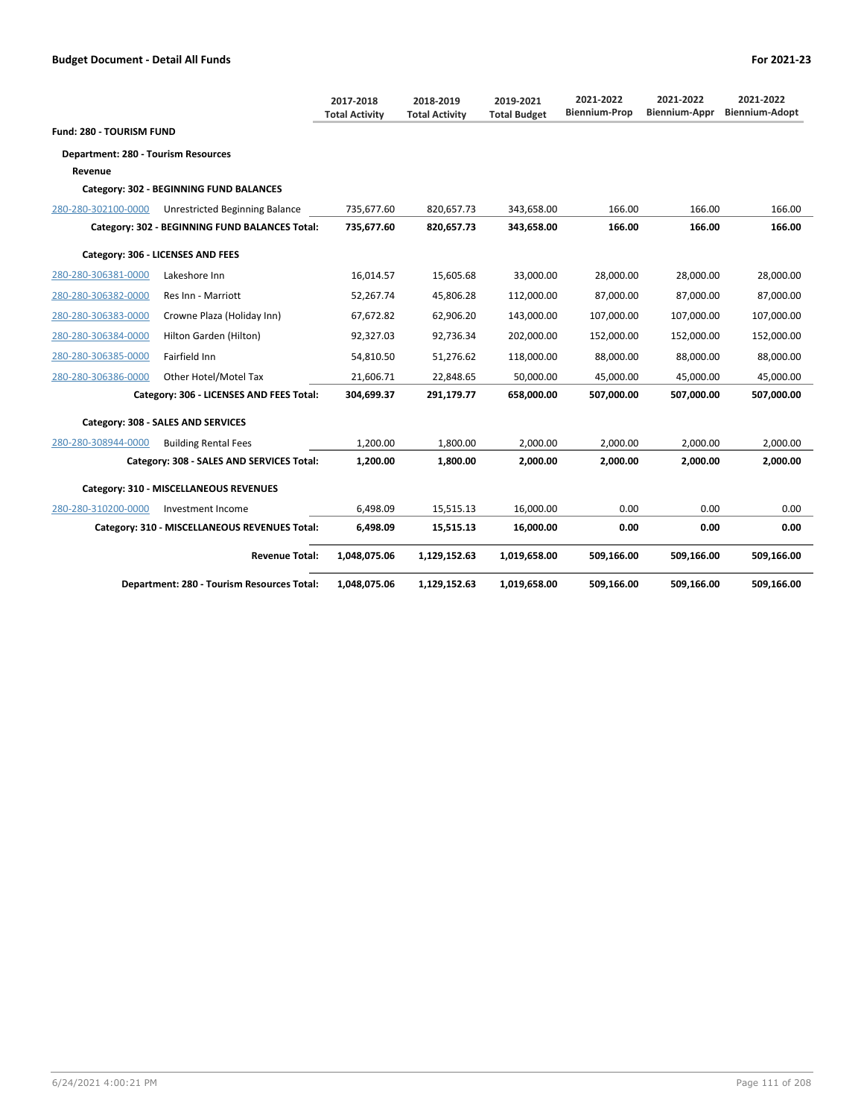|                                     |                                                | 2017-2018<br><b>Total Activity</b> | 2018-2019<br><b>Total Activity</b> | 2019-2021<br><b>Total Budget</b> | 2021-2022<br><b>Biennium-Prop</b> | 2021-2022<br>Biennium-Appr | 2021-2022<br><b>Biennium-Adopt</b> |
|-------------------------------------|------------------------------------------------|------------------------------------|------------------------------------|----------------------------------|-----------------------------------|----------------------------|------------------------------------|
| Fund: 280 - TOURISM FUND            |                                                |                                    |                                    |                                  |                                   |                            |                                    |
| Department: 280 - Tourism Resources |                                                |                                    |                                    |                                  |                                   |                            |                                    |
| Revenue                             |                                                |                                    |                                    |                                  |                                   |                            |                                    |
|                                     | Category: 302 - BEGINNING FUND BALANCES        |                                    |                                    |                                  |                                   |                            |                                    |
| 280-280-302100-0000                 | Unrestricted Beginning Balance                 | 735,677.60                         | 820,657.73                         | 343,658.00                       | 166.00                            | 166.00                     | 166.00                             |
|                                     | Category: 302 - BEGINNING FUND BALANCES Total: | 735,677.60                         | 820,657.73                         | 343,658.00                       | 166.00                            | 166.00                     | 166.00                             |
|                                     | Category: 306 - LICENSES AND FEES              |                                    |                                    |                                  |                                   |                            |                                    |
| 280-280-306381-0000                 | Lakeshore Inn                                  | 16,014.57                          | 15,605.68                          | 33,000.00                        | 28,000.00                         | 28,000.00                  | 28,000.00                          |
| 280-280-306382-0000                 | Res Inn - Marriott                             | 52,267.74                          | 45,806.28                          | 112,000.00                       | 87.000.00                         | 87.000.00                  | 87.000.00                          |
| 280-280-306383-0000                 | Crowne Plaza (Holiday Inn)                     | 67,672.82                          | 62,906.20                          | 143,000.00                       | 107,000.00                        | 107,000.00                 | 107,000.00                         |
| 280-280-306384-0000                 | Hilton Garden (Hilton)                         | 92,327.03                          | 92,736.34                          | 202,000.00                       | 152,000.00                        | 152,000.00                 | 152,000.00                         |
| 280-280-306385-0000                 | Fairfield Inn                                  | 54,810.50                          | 51,276.62                          | 118,000.00                       | 88,000.00                         | 88,000.00                  | 88,000.00                          |
| 280-280-306386-0000                 | Other Hotel/Motel Tax                          | 21,606.71                          | 22,848.65                          | 50.000.00                        | 45,000.00                         | 45,000.00                  | 45,000.00                          |
|                                     | Category: 306 - LICENSES AND FEES Total:       | 304,699.37                         | 291,179.77                         | 658,000.00                       | 507,000.00                        | 507,000.00                 | 507,000.00                         |
|                                     | Category: 308 - SALES AND SERVICES             |                                    |                                    |                                  |                                   |                            |                                    |
| 280-280-308944-0000                 | <b>Building Rental Fees</b>                    | 1,200.00                           | 1,800.00                           | 2,000.00                         | 2,000.00                          | 2,000.00                   | 2,000.00                           |
|                                     | Category: 308 - SALES AND SERVICES Total:      | 1,200.00                           | 1,800.00                           | 2.000.00                         | 2,000.00                          | 2.000.00                   | 2,000.00                           |
|                                     | Category: 310 - MISCELLANEOUS REVENUES         |                                    |                                    |                                  |                                   |                            |                                    |
| 280-280-310200-0000                 | Investment Income                              | 6,498.09                           | 15,515.13                          | 16,000.00                        | 0.00                              | 0.00                       | 0.00                               |

| Category: 310 - MISCELLANEOUS REVENUES Total: | 6.498.09     | 15.515.13    | 16.000.00    | 0.00       | 0.00       | 0.00       |
|-----------------------------------------------|--------------|--------------|--------------|------------|------------|------------|
| <b>Revenue Total:</b>                         | 1.048.075.06 | 1.129.152.63 | 1.019.658.00 | 509.166.00 | 509.166.00 | 509,166.00 |
| Department: 280 - Tourism Resources Total:    | 1,048,075.06 | 1,129,152.63 | 1,019,658.00 | 509.166.00 | 509.166.00 | 509,166.00 |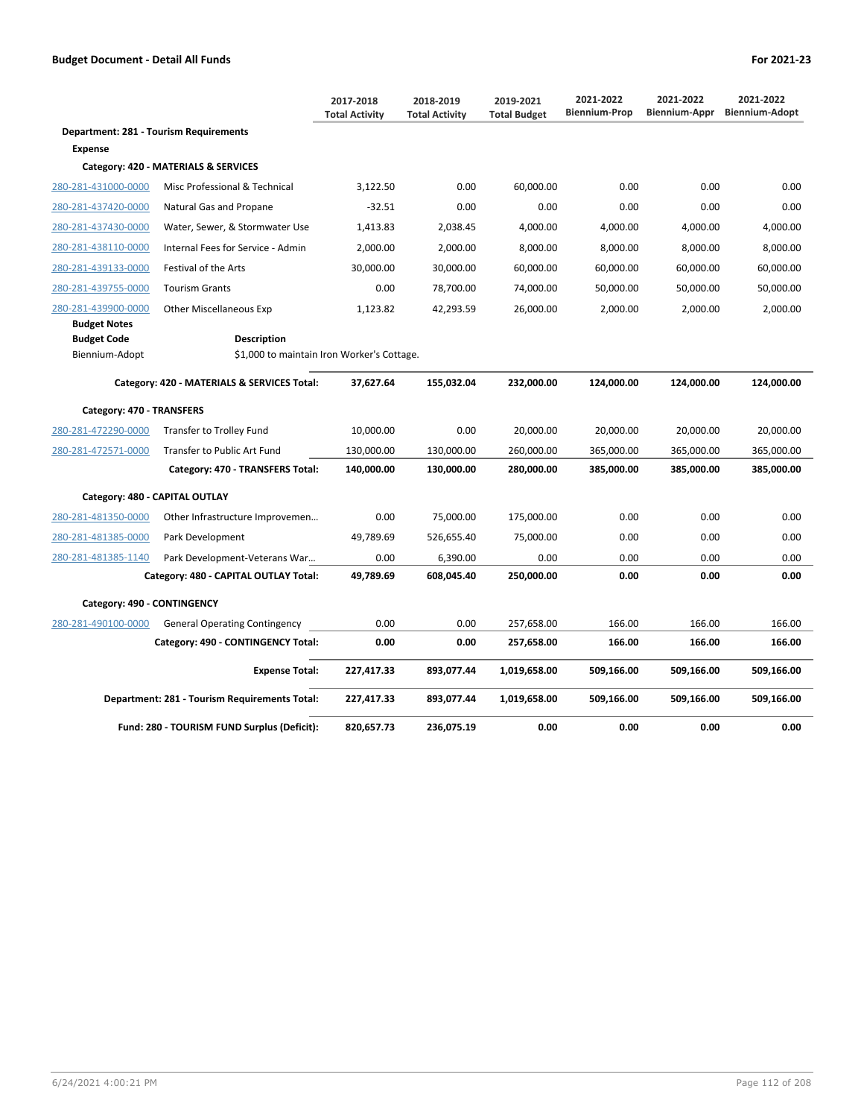|                                                             |                                                                  | 2017-2018<br><b>Total Activity</b> | 2018-2019<br><b>Total Activity</b> | 2019-2021<br><b>Total Budget</b> | 2021-2022<br><b>Biennium-Prop</b> | 2021-2022<br>Biennium-Appr | 2021-2022<br><b>Biennium-Adopt</b> |
|-------------------------------------------------------------|------------------------------------------------------------------|------------------------------------|------------------------------------|----------------------------------|-----------------------------------|----------------------------|------------------------------------|
| Department: 281 - Tourism Requirements                      |                                                                  |                                    |                                    |                                  |                                   |                            |                                    |
| <b>Expense</b>                                              |                                                                  |                                    |                                    |                                  |                                   |                            |                                    |
|                                                             | Category: 420 - MATERIALS & SERVICES                             |                                    |                                    |                                  |                                   |                            |                                    |
| 280-281-431000-0000                                         | Misc Professional & Technical                                    | 3,122.50                           | 0.00                               | 60,000.00                        | 0.00                              | 0.00                       | 0.00                               |
| 280-281-437420-0000                                         | Natural Gas and Propane                                          | $-32.51$                           | 0.00                               | 0.00                             | 0.00                              | 0.00                       | 0.00                               |
| 280-281-437430-0000                                         | Water, Sewer, & Stormwater Use                                   | 1,413.83                           | 2,038.45                           | 4,000.00                         | 4,000.00                          | 4,000.00                   | 4,000.00                           |
| 280-281-438110-0000                                         | Internal Fees for Service - Admin                                | 2,000.00                           | 2,000.00                           | 8,000.00                         | 8,000.00                          | 8,000.00                   | 8,000.00                           |
| 280-281-439133-0000                                         | Festival of the Arts                                             | 30,000.00                          | 30,000.00                          | 60,000.00                        | 60,000.00                         | 60,000.00                  | 60,000.00                          |
| 280-281-439755-0000                                         | <b>Tourism Grants</b>                                            | 0.00                               | 78,700.00                          | 74,000.00                        | 50,000.00                         | 50,000.00                  | 50,000.00                          |
| 280-281-439900-0000                                         | <b>Other Miscellaneous Exp</b>                                   | 1,123.82                           | 42,293.59                          | 26,000.00                        | 2,000.00                          | 2,000.00                   | 2,000.00                           |
| <b>Budget Notes</b><br><b>Budget Code</b><br>Biennium-Adopt | <b>Description</b><br>\$1,000 to maintain Iron Worker's Cottage. |                                    |                                    |                                  |                                   |                            |                                    |
|                                                             | Category: 420 - MATERIALS & SERVICES Total:                      | 37,627.64                          | 155,032.04                         | 232,000.00                       | 124,000.00                        | 124,000.00                 | 124,000.00                         |
| Category: 470 - TRANSFERS                                   |                                                                  |                                    |                                    |                                  |                                   |                            |                                    |
| 280-281-472290-0000                                         | Transfer to Trolley Fund                                         | 10,000.00                          | 0.00                               | 20,000.00                        | 20,000.00                         | 20,000.00                  | 20,000.00                          |
| 280-281-472571-0000                                         | Transfer to Public Art Fund                                      | 130,000.00                         | 130,000.00                         | 260,000.00                       | 365,000.00                        | 365,000.00                 | 365,000.00                         |
|                                                             | Category: 470 - TRANSFERS Total:                                 | 140,000.00                         | 130,000.00                         | 280,000.00                       | 385,000.00                        | 385,000.00                 | 385,000.00                         |
| Category: 480 - CAPITAL OUTLAY                              |                                                                  |                                    |                                    |                                  |                                   |                            |                                    |
| 280-281-481350-0000                                         | Other Infrastructure Improvemen                                  | 0.00                               | 75,000.00                          | 175,000.00                       | 0.00                              | 0.00                       | 0.00                               |
| 280-281-481385-0000                                         | Park Development                                                 | 49,789.69                          | 526,655.40                         | 75,000.00                        | 0.00                              | 0.00                       | 0.00                               |
| 280-281-481385-1140                                         | Park Development-Veterans War                                    | 0.00                               | 6,390.00                           | 0.00                             | 0.00                              | 0.00                       | 0.00                               |
|                                                             | Category: 480 - CAPITAL OUTLAY Total:                            | 49,789.69                          | 608,045.40                         | 250,000.00                       | 0.00                              | 0.00                       | 0.00                               |
| Category: 490 - CONTINGENCY                                 |                                                                  |                                    |                                    |                                  |                                   |                            |                                    |
| 280-281-490100-0000                                         | <b>General Operating Contingency</b>                             | 0.00                               | 0.00                               | 257,658.00                       | 166.00                            | 166.00                     | 166.00                             |
|                                                             | Category: 490 - CONTINGENCY Total:                               | 0.00                               | 0.00                               | 257,658.00                       | 166.00                            | 166.00                     | 166.00                             |
|                                                             | <b>Expense Total:</b>                                            | 227,417.33                         | 893,077.44                         | 1,019,658.00                     | 509,166.00                        | 509,166.00                 | 509,166.00                         |
|                                                             | Department: 281 - Tourism Requirements Total:                    | 227,417.33                         | 893,077.44                         | 1,019,658.00                     | 509,166.00                        | 509,166.00                 | 509,166.00                         |
|                                                             | Fund: 280 - TOURISM FUND Surplus (Deficit):                      | 820,657.73                         | 236,075.19                         | 0.00                             | 0.00                              | 0.00                       | 0.00                               |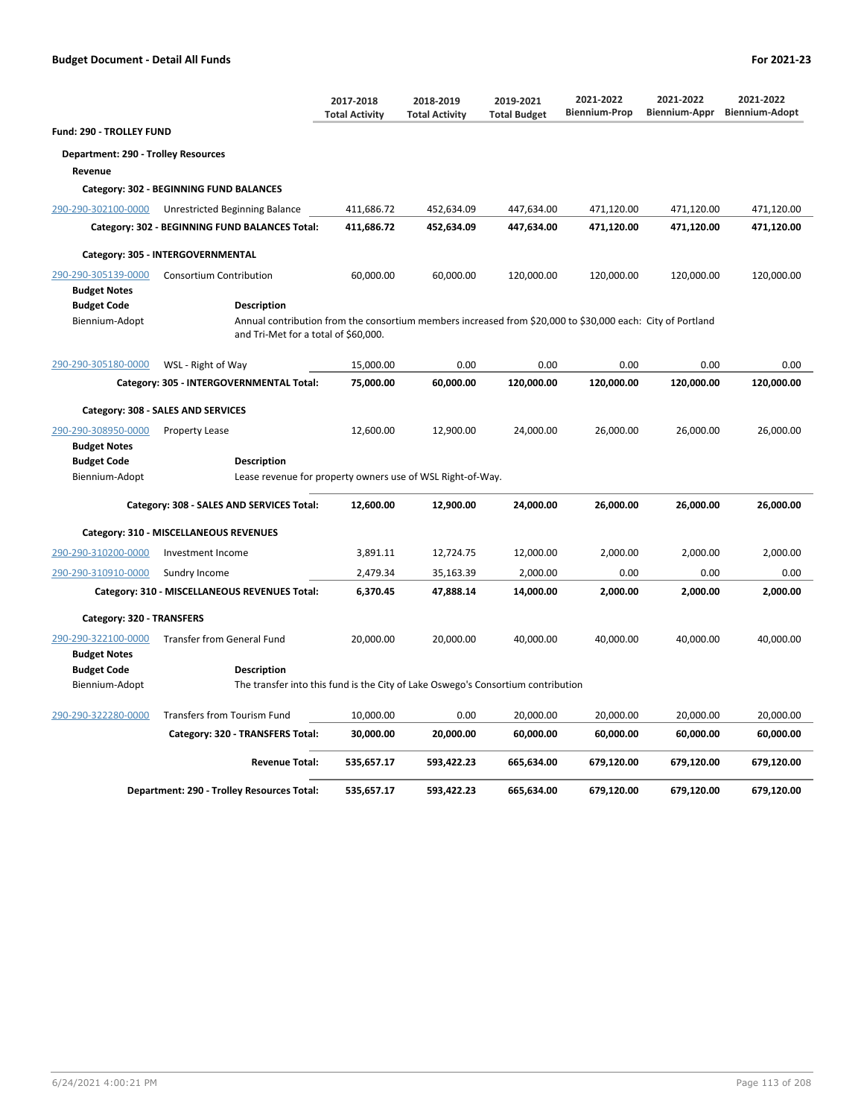|                                            |                                                                                                                                                                          | 2017-2018<br><b>Total Activity</b> | 2018-2019<br><b>Total Activity</b> | 2019-2021<br><b>Total Budget</b> | 2021-2022<br><b>Biennium-Prop</b> | 2021-2022<br>Biennium-Appr | 2021-2022<br><b>Biennium-Adopt</b> |
|--------------------------------------------|--------------------------------------------------------------------------------------------------------------------------------------------------------------------------|------------------------------------|------------------------------------|----------------------------------|-----------------------------------|----------------------------|------------------------------------|
| Fund: 290 - TROLLEY FUND                   |                                                                                                                                                                          |                                    |                                    |                                  |                                   |                            |                                    |
| Department: 290 - Trolley Resources        |                                                                                                                                                                          |                                    |                                    |                                  |                                   |                            |                                    |
| Revenue                                    |                                                                                                                                                                          |                                    |                                    |                                  |                                   |                            |                                    |
|                                            | Category: 302 - BEGINNING FUND BALANCES                                                                                                                                  |                                    |                                    |                                  |                                   |                            |                                    |
| 290-290-302100-0000                        | Unrestricted Beginning Balance                                                                                                                                           | 411,686.72                         | 452,634.09                         | 447,634.00                       | 471,120.00                        | 471,120.00                 | 471,120.00                         |
|                                            | Category: 302 - BEGINNING FUND BALANCES Total:                                                                                                                           | 411,686.72                         | 452,634.09                         | 447,634.00                       | 471,120.00                        | 471,120.00                 | 471,120.00                         |
|                                            | Category: 305 - INTERGOVERNMENTAL                                                                                                                                        |                                    |                                    |                                  |                                   |                            |                                    |
| 290-290-305139-0000                        | <b>Consortium Contribution</b>                                                                                                                                           | 60,000.00                          | 60,000.00                          | 120,000.00                       | 120,000.00                        | 120,000.00                 | 120,000.00                         |
| <b>Budget Notes</b>                        |                                                                                                                                                                          |                                    |                                    |                                  |                                   |                            |                                    |
| <b>Budget Code</b><br>Biennium-Adopt       | <b>Description</b><br>Annual contribution from the consortium members increased from \$20,000 to \$30,000 each: City of Portland<br>and Tri-Met for a total of \$60,000. |                                    |                                    |                                  |                                   |                            |                                    |
| 290-290-305180-0000                        | WSL - Right of Way                                                                                                                                                       | 15,000.00                          | 0.00                               | 0.00                             | 0.00                              | 0.00                       | 0.00                               |
|                                            | Category: 305 - INTERGOVERNMENTAL Total:                                                                                                                                 | 75,000.00                          | 60,000.00                          | 120,000.00                       | 120,000.00                        | 120,000.00                 | 120,000.00                         |
|                                            | Category: 308 - SALES AND SERVICES                                                                                                                                       |                                    |                                    |                                  |                                   |                            |                                    |
| 290-290-308950-0000<br><b>Budget Notes</b> | <b>Property Lease</b>                                                                                                                                                    | 12,600.00                          | 12,900.00                          | 24,000.00                        | 26,000.00                         | 26,000.00                  | 26,000.00                          |
| <b>Budget Code</b>                         | <b>Description</b>                                                                                                                                                       |                                    |                                    |                                  |                                   |                            |                                    |
| Biennium-Adopt                             | Lease revenue for property owners use of WSL Right-of-Way.                                                                                                               |                                    |                                    |                                  |                                   |                            |                                    |
|                                            | Category: 308 - SALES AND SERVICES Total:                                                                                                                                | 12,600.00                          | 12,900.00                          | 24,000.00                        | 26,000.00                         | 26,000.00                  | 26,000.00                          |
|                                            | Category: 310 - MISCELLANEOUS REVENUES                                                                                                                                   |                                    |                                    |                                  |                                   |                            |                                    |
| 290-290-310200-0000                        | Investment Income                                                                                                                                                        | 3,891.11                           | 12,724.75                          | 12,000.00                        | 2,000.00                          | 2,000.00                   | 2,000.00                           |
| 290-290-310910-0000                        | Sundry Income                                                                                                                                                            | 2,479.34                           | 35,163.39                          | 2,000.00                         | 0.00                              | 0.00                       | 0.00                               |
|                                            | Category: 310 - MISCELLANEOUS REVENUES Total:                                                                                                                            | 6,370.45                           | 47,888.14                          | 14,000.00                        | 2,000.00                          | 2,000.00                   | 2,000.00                           |
| Category: 320 - TRANSFERS                  |                                                                                                                                                                          |                                    |                                    |                                  |                                   |                            |                                    |
| 290-290-322100-0000<br><b>Budget Notes</b> | <b>Transfer from General Fund</b>                                                                                                                                        | 20,000.00                          | 20,000.00                          | 40,000.00                        | 40,000.00                         | 40,000.00                  | 40,000.00                          |
| <b>Budget Code</b>                         | Description                                                                                                                                                              |                                    |                                    |                                  |                                   |                            |                                    |
| Biennium-Adopt                             | The transfer into this fund is the City of Lake Oswego's Consortium contribution                                                                                         |                                    |                                    |                                  |                                   |                            |                                    |
| 290-290-322280-0000                        | <b>Transfers from Tourism Fund</b>                                                                                                                                       | 10,000.00                          | 0.00                               | 20,000.00                        | 20,000.00                         | 20,000.00                  | 20,000.00                          |
|                                            | Category: 320 - TRANSFERS Total:                                                                                                                                         | 30,000.00                          | 20,000.00                          | 60,000.00                        | 60,000.00                         | 60,000.00                  | 60,000.00                          |
|                                            | <b>Revenue Total:</b>                                                                                                                                                    | 535,657.17                         | 593,422.23                         | 665,634.00                       | 679,120.00                        | 679,120.00                 | 679,120.00                         |
|                                            | Department: 290 - Trolley Resources Total:                                                                                                                               | 535,657.17                         | 593.422.23                         | 665,634.00                       | 679,120.00                        | 679,120.00                 | 679.120.00                         |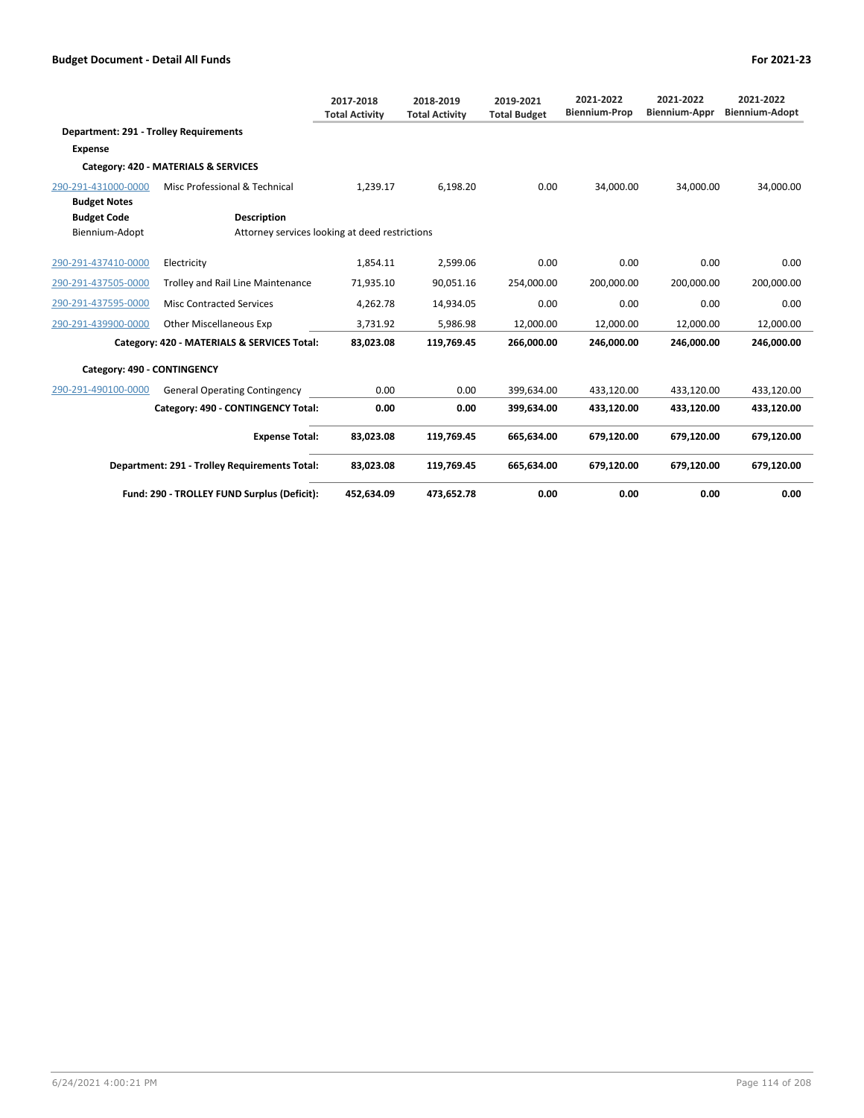|                                               |                                                | 2017-2018<br><b>Total Activity</b> | 2018-2019<br><b>Total Activity</b> | 2019-2021<br><b>Total Budget</b> | 2021-2022<br><b>Biennium-Prop</b> | 2021-2022<br><b>Biennium-Appr</b> | 2021-2022<br><b>Biennium-Adopt</b> |
|-----------------------------------------------|------------------------------------------------|------------------------------------|------------------------------------|----------------------------------|-----------------------------------|-----------------------------------|------------------------------------|
| <b>Department: 291 - Trolley Requirements</b> |                                                |                                    |                                    |                                  |                                   |                                   |                                    |
| <b>Expense</b>                                |                                                |                                    |                                    |                                  |                                   |                                   |                                    |
|                                               | Category: 420 - MATERIALS & SERVICES           |                                    |                                    |                                  |                                   |                                   |                                    |
| 290-291-431000-0000                           | Misc Professional & Technical                  | 1,239.17                           | 6,198.20                           | 0.00                             | 34,000.00                         | 34,000.00                         | 34,000.00                          |
| <b>Budget Notes</b>                           |                                                |                                    |                                    |                                  |                                   |                                   |                                    |
| <b>Budget Code</b>                            | <b>Description</b>                             |                                    |                                    |                                  |                                   |                                   |                                    |
| Biennium-Adopt                                | Attorney services looking at deed restrictions |                                    |                                    |                                  |                                   |                                   |                                    |
| 290-291-437410-0000                           | Electricity                                    | 1,854.11                           | 2,599.06                           | 0.00                             | 0.00                              | 0.00                              | 0.00                               |
| 290-291-437505-0000                           | Trolley and Rail Line Maintenance              | 71,935.10                          | 90,051.16                          | 254,000.00                       | 200,000.00                        | 200,000.00                        | 200,000.00                         |
| 290-291-437595-0000                           | <b>Misc Contracted Services</b>                | 4,262.78                           | 14,934.05                          | 0.00                             | 0.00                              | 0.00                              | 0.00                               |
| 290-291-439900-0000                           | <b>Other Miscellaneous Exp</b>                 | 3,731.92                           | 5,986.98                           | 12,000.00                        | 12,000.00                         | 12,000.00                         | 12,000.00                          |
|                                               | Category: 420 - MATERIALS & SERVICES Total:    | 83,023.08                          | 119,769.45                         | 266,000.00                       | 246,000.00                        | 246,000.00                        | 246,000.00                         |
| Category: 490 - CONTINGENCY                   |                                                |                                    |                                    |                                  |                                   |                                   |                                    |
| 290-291-490100-0000                           | <b>General Operating Contingency</b>           | 0.00                               | 0.00                               | 399.634.00                       | 433.120.00                        | 433.120.00                        | 433,120.00                         |
|                                               | Category: 490 - CONTINGENCY Total:             | 0.00                               | 0.00                               | 399,634.00                       | 433,120.00                        | 433,120.00                        | 433,120.00                         |
|                                               | <b>Expense Total:</b>                          | 83,023.08                          | 119,769.45                         | 665.634.00                       | 679.120.00                        | 679.120.00                        | 679.120.00                         |
|                                               | Department: 291 - Trolley Requirements Total:  | 83,023.08                          | 119,769.45                         | 665,634.00                       | 679,120.00                        | 679,120.00                        | 679,120.00                         |
|                                               | Fund: 290 - TROLLEY FUND Surplus (Deficit):    | 452,634.09                         | 473,652.78                         | 0.00                             | 0.00                              | 0.00                              | 0.00                               |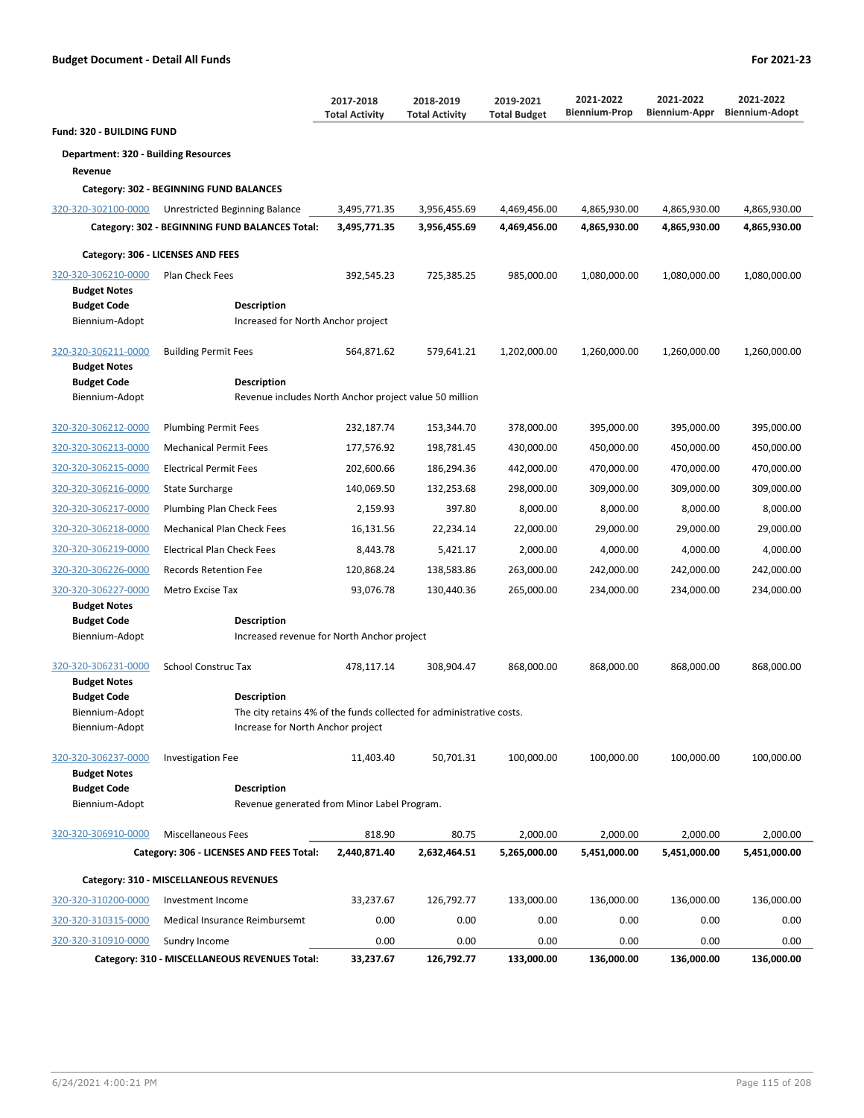|                                             |                                                                              | 2017-2018<br><b>Total Activity</b> | 2018-2019<br><b>Total Activity</b> | 2019-2021<br><b>Total Budget</b> | 2021-2022<br><b>Biennium-Prop</b> | 2021-2022<br>Biennium-Appr | 2021-2022<br><b>Biennium-Adopt</b> |
|---------------------------------------------|------------------------------------------------------------------------------|------------------------------------|------------------------------------|----------------------------------|-----------------------------------|----------------------------|------------------------------------|
| <b>Fund: 320 - BUILDING FUND</b>            |                                                                              |                                    |                                    |                                  |                                   |                            |                                    |
| <b>Department: 320 - Building Resources</b> |                                                                              |                                    |                                    |                                  |                                   |                            |                                    |
| Revenue                                     |                                                                              |                                    |                                    |                                  |                                   |                            |                                    |
|                                             | Category: 302 - BEGINNING FUND BALANCES                                      |                                    |                                    |                                  |                                   |                            |                                    |
| 320-320-302100-0000                         | Unrestricted Beginning Balance                                               | 3,495,771.35                       | 3,956,455.69                       | 4,469,456.00                     | 4,865,930.00                      | 4,865,930.00               | 4,865,930.00                       |
|                                             | Category: 302 - BEGINNING FUND BALANCES Total:                               | 3,495,771.35                       | 3,956,455.69                       | 4,469,456.00                     | 4,865,930.00                      | 4,865,930.00               | 4,865,930.00                       |
|                                             | Category: 306 - LICENSES AND FEES                                            |                                    |                                    |                                  |                                   |                            |                                    |
| 320-320-306210-0000                         | <b>Plan Check Fees</b>                                                       | 392,545.23                         | 725,385.25                         | 985,000.00                       | 1,080,000.00                      | 1,080,000.00               | 1,080,000.00                       |
| <b>Budget Notes</b>                         |                                                                              |                                    |                                    |                                  |                                   |                            |                                    |
| <b>Budget Code</b><br>Biennium-Adopt        | Description<br>Increased for North Anchor project                            |                                    |                                    |                                  |                                   |                            |                                    |
|                                             |                                                                              |                                    |                                    |                                  |                                   |                            |                                    |
| 320-320-306211-0000                         | <b>Building Permit Fees</b>                                                  | 564,871.62                         | 579,641.21                         | 1,202,000.00                     | 1,260,000.00                      | 1,260,000.00               | 1,260,000.00                       |
| <b>Budget Notes</b>                         |                                                                              |                                    |                                    |                                  |                                   |                            |                                    |
| <b>Budget Code</b><br>Biennium-Adopt        | <b>Description</b><br>Revenue includes North Anchor project value 50 million |                                    |                                    |                                  |                                   |                            |                                    |
|                                             |                                                                              |                                    |                                    |                                  |                                   |                            |                                    |
| 320-320-306212-0000                         | <b>Plumbing Permit Fees</b>                                                  | 232,187.74                         | 153,344.70                         | 378,000.00                       | 395,000.00                        | 395,000.00                 | 395,000.00                         |
| 320-320-306213-0000                         | <b>Mechanical Permit Fees</b>                                                | 177,576.92                         | 198,781.45                         | 430,000.00                       | 450,000.00                        | 450,000.00                 | 450,000.00                         |
| 320-320-306215-0000                         | <b>Electrical Permit Fees</b>                                                | 202,600.66                         | 186,294.36                         | 442,000.00                       | 470,000.00                        | 470,000.00                 | 470,000.00                         |
| 320-320-306216-0000                         | State Surcharge                                                              | 140,069.50                         | 132,253.68                         | 298,000.00                       | 309,000.00                        | 309,000.00                 | 309,000.00                         |
| 320-320-306217-0000                         | Plumbing Plan Check Fees                                                     | 2,159.93                           | 397.80                             | 8,000.00                         | 8,000.00                          | 8,000.00                   | 8,000.00                           |
| 320-320-306218-0000                         | <b>Mechanical Plan Check Fees</b>                                            | 16,131.56                          | 22,234.14                          | 22,000.00                        | 29,000.00                         | 29,000.00                  | 29,000.00                          |
| 320-320-306219-0000                         | <b>Electrical Plan Check Fees</b>                                            | 8,443.78                           | 5,421.17                           | 2,000.00                         | 4,000.00                          | 4,000.00                   | 4,000.00                           |
| 320-320-306226-0000                         | <b>Records Retention Fee</b>                                                 | 120,868.24                         | 138,583.86                         | 263,000.00                       | 242,000.00                        | 242,000.00                 | 242,000.00                         |
| 320-320-306227-0000                         | Metro Excise Tax                                                             | 93,076.78                          | 130,440.36                         | 265,000.00                       | 234,000.00                        | 234,000.00                 | 234,000.00                         |
| <b>Budget Notes</b>                         |                                                                              |                                    |                                    |                                  |                                   |                            |                                    |
| <b>Budget Code</b><br>Biennium-Adopt        | <b>Description</b><br>Increased revenue for North Anchor project             |                                    |                                    |                                  |                                   |                            |                                    |
|                                             |                                                                              |                                    |                                    |                                  |                                   |                            |                                    |
| 320-320-306231-0000                         | <b>School Construc Tax</b>                                                   | 478,117.14                         | 308,904.47                         | 868,000.00                       | 868,000.00                        | 868,000.00                 | 868,000.00                         |
| <b>Budget Notes</b><br><b>Budget Code</b>   | <b>Description</b>                                                           |                                    |                                    |                                  |                                   |                            |                                    |
| Biennium-Adopt                              | The city retains 4% of the funds collected for administrative costs.         |                                    |                                    |                                  |                                   |                            |                                    |
| Biennium-Adopt                              | Increase for North Anchor project                                            |                                    |                                    |                                  |                                   |                            |                                    |
| 320-320-306237-0000                         | <b>Investigation Fee</b>                                                     | 11,403.40                          | 50,701.31                          | 100,000.00                       | 100,000.00                        | 100,000.00                 | 100,000.00                         |
| <b>Budget Notes</b>                         |                                                                              |                                    |                                    |                                  |                                   |                            |                                    |
| <b>Budget Code</b>                          | <b>Description</b>                                                           |                                    |                                    |                                  |                                   |                            |                                    |
| Biennium-Adopt                              | Revenue generated from Minor Label Program.                                  |                                    |                                    |                                  |                                   |                            |                                    |
| 320-320-306910-0000                         | <b>Miscellaneous Fees</b>                                                    | 818.90                             | 80.75                              | 2,000.00                         | 2,000.00                          | 2,000.00                   | 2,000.00                           |
|                                             | Category: 306 - LICENSES AND FEES Total:                                     | 2,440,871.40                       | 2,632,464.51                       | 5,265,000.00                     | 5,451,000.00                      | 5,451,000.00               | 5,451,000.00                       |
|                                             |                                                                              |                                    |                                    |                                  |                                   |                            |                                    |
| 320-320-310200-0000                         | Category: 310 - MISCELLANEOUS REVENUES<br>Investment Income                  | 33,237.67                          | 126,792.77                         | 133,000.00                       | 136,000.00                        | 136,000.00                 | 136,000.00                         |
| 320-320-310315-0000                         | Medical Insurance Reimbursemt                                                | 0.00                               | 0.00                               | 0.00                             | 0.00                              | 0.00                       | 0.00                               |
| 320-320-310910-0000                         | Sundry Income                                                                | 0.00                               | 0.00                               | 0.00                             | 0.00                              | 0.00                       | 0.00                               |
|                                             | Category: 310 - MISCELLANEOUS REVENUES Total:                                | 33,237.67                          | 126,792.77                         | 133,000.00                       | 136,000.00                        | 136,000.00                 | 136,000.00                         |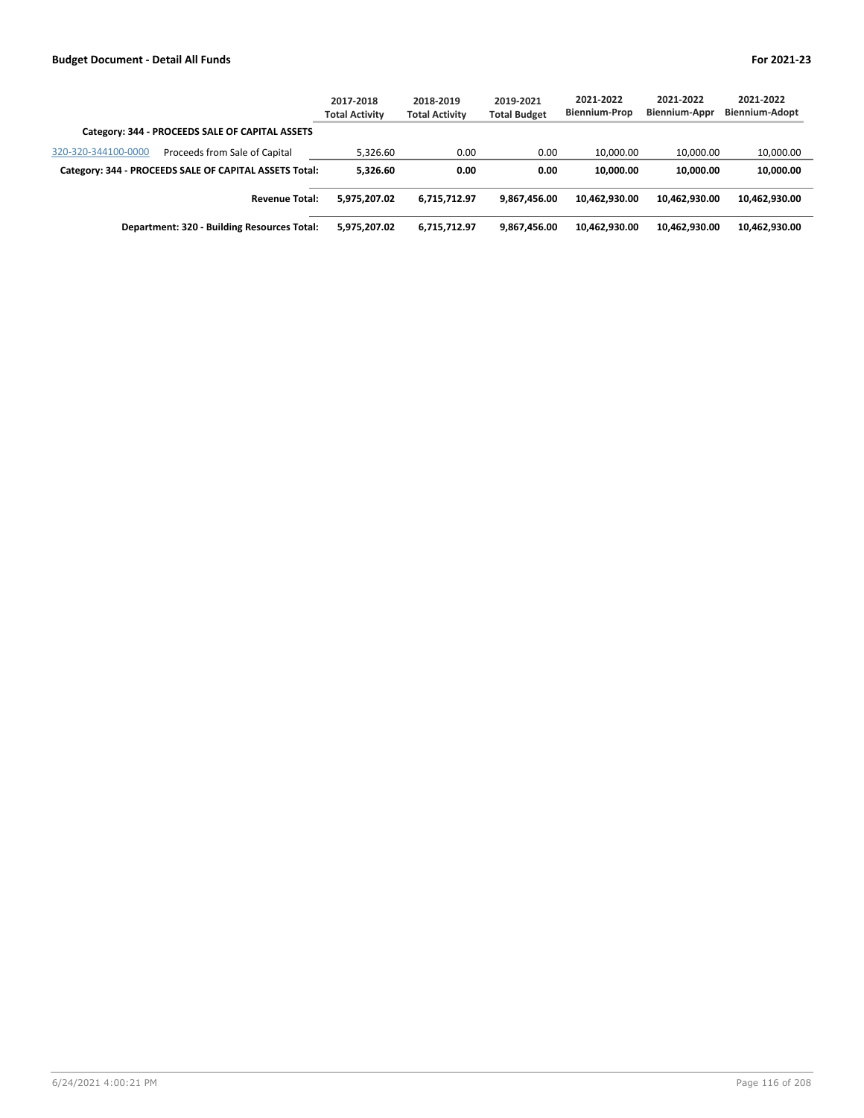|                                                        | 2017-2018<br><b>Total Activity</b> | 2018-2019<br><b>Total Activity</b> | 2019-2021<br><b>Total Budget</b> | 2021-2022<br><b>Biennium-Prop</b> | 2021-2022<br><b>Biennium-Appr</b> | 2021-2022<br><b>Biennium-Adopt</b> |
|--------------------------------------------------------|------------------------------------|------------------------------------|----------------------------------|-----------------------------------|-----------------------------------|------------------------------------|
| Category: 344 - PROCEEDS SALE OF CAPITAL ASSETS        |                                    |                                    |                                  |                                   |                                   |                                    |
| 320-320-344100-0000<br>Proceeds from Sale of Capital   | 5,326.60                           | 0.00                               | 0.00                             | 10.000.00                         | 10.000.00                         | 10,000.00                          |
| Category: 344 - PROCEEDS SALE OF CAPITAL ASSETS Total: | 5.326.60                           | 0.00                               | 0.00                             | 10,000,00                         | 10.000.00                         | 10,000.00                          |
| <b>Revenue Total:</b>                                  | 5.975.207.02                       | 6,715,712.97                       | 9,867,456.00                     | 10,462,930.00                     | 10.462.930.00                     | 10,462,930.00                      |
| Department: 320 - Building Resources Total:            | 5.975.207.02                       | 6,715,712.97                       | 9,867,456.00                     | 10.462.930.00                     | 10.462.930.00                     | 10,462,930.00                      |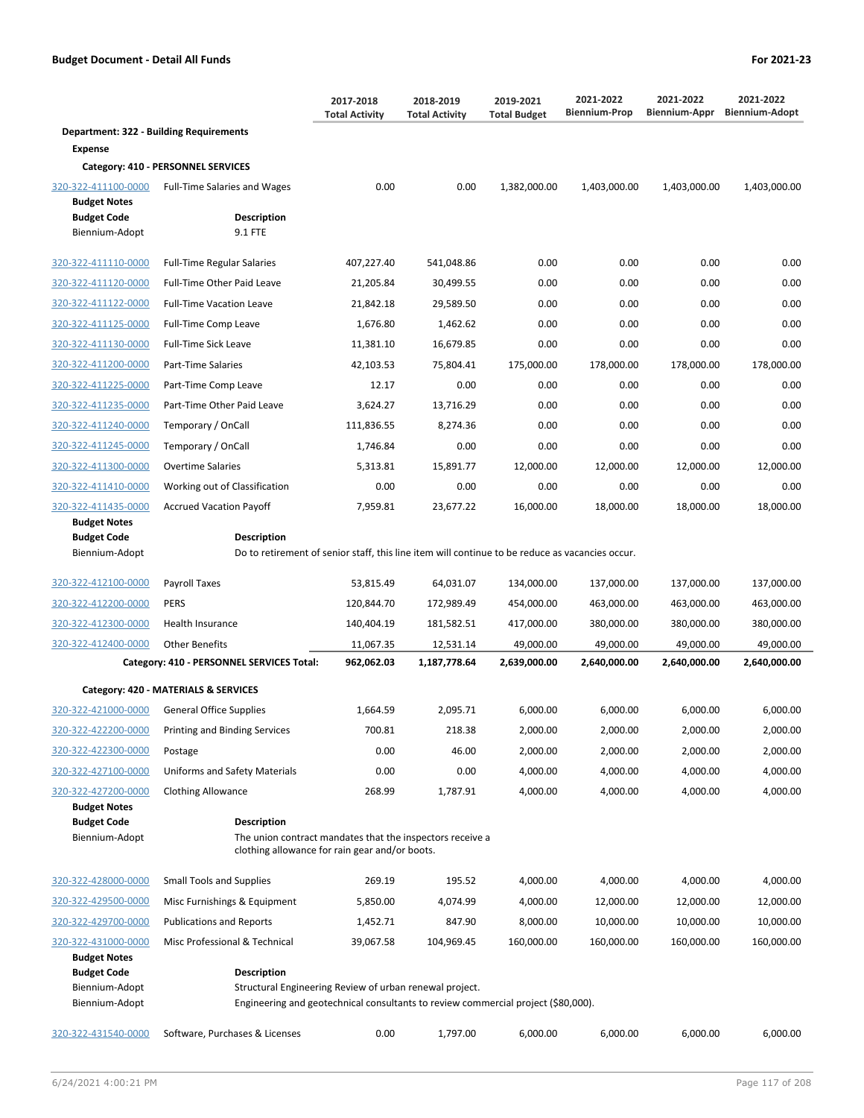**Department: 322 - Building Requirements**

**Category: 410 - PERSONNEL SERVICES**  $320-322-411100-0000$  Full-Time Salaries and Wages

320-322-411110-0000 Full-Time Regular Salaries

**Budget Code Description** Biennium-Adopt 9.1 FTE

**Expense**

**Budget Notes**

| 2017-2018<br><b>Total Activity</b> | 2018-2019<br><b>Total Activity</b> | 2019-2021<br><b>Total Budget</b> | 2021-2022<br><b>Biennium-Prop</b> | 2021-2022<br>Biennium-Appr | 2021-2022<br><b>Biennium-Adopt</b> |
|------------------------------------|------------------------------------|----------------------------------|-----------------------------------|----------------------------|------------------------------------|
| 0.00                               | 0.00                               | 1,382,000.00                     | 1,403,000.00                      | 1,403,000.00               | 1,403,000.00                       |
| 407,227.40                         | 541,048.86                         | 0.00                             | 0.00                              | 0.00                       | 0.00                               |
| 21,205.84                          | 30,499.55                          | 0.00                             | 0.00                              | 0.00                       | 0.00                               |
| 21,842.18                          | 29,589.50                          | 0.00                             | 0.00                              | 0.00                       | 0.00                               |

| 320-322-411120-0000 | <b>Full-Time Other Paid Leave</b> | 21,205.84  | 30,499.55 | 0.00       | 0.00       | 0.00       | 0.00       |
|---------------------|-----------------------------------|------------|-----------|------------|------------|------------|------------|
| 320-322-411122-0000 | <b>Full-Time Vacation Leave</b>   | 21,842.18  | 29,589.50 | 0.00       | 0.00       | 0.00       | 0.00       |
| 320-322-411125-0000 | Full-Time Comp Leave              | 1,676.80   | 1,462.62  | 0.00       | 0.00       | 0.00       | 0.00       |
| 320-322-411130-0000 | <b>Full-Time Sick Leave</b>       | 11,381.10  | 16,679.85 | 0.00       | 0.00       | 0.00       | 0.00       |
| 320-322-411200-0000 | Part-Time Salaries                | 42,103.53  | 75,804.41 | 175,000.00 | 178,000.00 | 178,000.00 | 178,000.00 |
| 320-322-411225-0000 | Part-Time Comp Leave              | 12.17      | 0.00      | 0.00       | 0.00       | 0.00       | 0.00       |
| 320-322-411235-0000 | Part-Time Other Paid Leave        | 3,624.27   | 13,716.29 | 0.00       | 0.00       | 0.00       | 0.00       |
| 320-322-411240-0000 | Temporary / OnCall                | 111,836.55 | 8,274.36  | 0.00       | 0.00       | 0.00       | 0.00       |
| 320-322-411245-0000 | Temporary / OnCall                | 1,746.84   | 0.00      | 0.00       | 0.00       | 0.00       | 0.00       |
| 320-322-411300-0000 | <b>Overtime Salaries</b>          | 5,313.81   | 15,891.77 | 12,000.00  | 12,000.00  | 12,000.00  | 12,000.00  |
| 320-322-411410-0000 | Working out of Classification     | 0.00       | 0.00      | 0.00       | 0.00       | 0.00       | 0.00       |
| 320-322-411435-0000 | <b>Accrued Vacation Payoff</b>    | 7,959.81   | 23.677.22 | 16,000.00  | 18,000.00  | 18,000.00  | 18,000.00  |

```
Budget Notes
Budget Code Description
```
Biennium-Adopt Do to retirement of senior staff, this line item will continue to be reduce as vacancies occur.

| 320-322-412100-0000 | <b>Pavroll Taxes</b>                      | 53,815.49  | 64.031.07    | 134.000.00   | 137.000.00   | 137.000.00   | 137,000.00   |
|---------------------|-------------------------------------------|------------|--------------|--------------|--------------|--------------|--------------|
| 320-322-412200-0000 | <b>PERS</b>                               | 120.844.70 | 172.989.49   | 454.000.00   | 463.000.00   | 463.000.00   | 463,000.00   |
| 320-322-412300-0000 | <b>Health Insurance</b>                   | 140.404.19 | 181,582.51   | 417,000.00   | 380,000.00   | 380,000.00   | 380,000.00   |
| 320-322-412400-0000 | Other Benefits                            | 11,067.35  | 12,531.14    | 49,000.00    | 49,000.00    | 49.000.00    | 49,000.00    |
|                     |                                           |            |              |              |              |              |              |
|                     | Category: 410 - PERSONNEL SERVICES Total: | 962,062.03 | 1,187,778.64 | 2,639,000.00 | 2,640,000.00 | 2,640,000.00 | 2,640,000.00 |
|                     | Category: 420 - MATERIALS & SERVICES      |            |              |              |              |              |              |
| 320-322-421000-0000 | <b>General Office Supplies</b>            | 1.664.59   | 2.095.71     | 6.000.00     | 6,000.00     | 6.000.00     | 6,000.00     |
| 320-322-422200-0000 | Printing and Binding Services             | 700.81     | 218.38       | 2,000.00     | 2,000.00     | 2.000.00     | 2,000.00     |

| 320-322-427100-0000 | Uniforms and Safety Materials                             | 0.00   | 0.00     | 4.000.00 | 4.000.00 | 4.000.00 | 4.000.00 |
|---------------------|-----------------------------------------------------------|--------|----------|----------|----------|----------|----------|
| 320-322-427200-0000 | <b>Clothing Allowance</b>                                 | 268.99 | 1.787.91 | 4.000.00 | 4.000.00 | 4.000.00 | 4.000.00 |
| <b>Budget Notes</b> |                                                           |        |          |          |          |          |          |
| <b>Budget Code</b>  | <b>Description</b>                                        |        |          |          |          |          |          |
| Biennium-Adopt      | The union contract mandates that the inspectors receive a |        |          |          |          |          |          |

clothing allowance for rain gear and/or boots.

| 320-322-431000-0000 | Misc Professional & Technical   | 39.067.58 | 104.969.45 | 160.000.00 | 160.000.00 | 160.000.00 | 160,000.00 |
|---------------------|---------------------------------|-----------|------------|------------|------------|------------|------------|
|                     |                                 |           |            |            |            |            |            |
| 320-322-429700-0000 | <b>Publications and Reports</b> | 1.452.71  | 847.90     | 8.000.00   | 10.000.00  | 10.000.00  | 10,000.00  |
| 320-322-429500-0000 | Misc Furnishings & Equipment    | 5.850.00  | 4.074.99   | 4.000.00   | 12.000.00  | 12.000.00  | 12,000.00  |
| 320-322-428000-0000 | Small Tools and Supplies        | 269.19    | 195.52     | 4.000.00   | 4.000.00   | 4.000.00   | 4,000.00   |
|                     |                                 |           |            |            |            |            |            |

| <b>DUULEL NOTES</b> |                                                                                   |      |          |          |          |          |          |
|---------------------|-----------------------------------------------------------------------------------|------|----------|----------|----------|----------|----------|
| <b>Budget Code</b>  | <b>Description</b>                                                                |      |          |          |          |          |          |
| Biennium-Adopt      | Structural Engineering Review of urban renewal project.                           |      |          |          |          |          |          |
| Biennium-Adopt      | Engineering and geotechnical consultants to review commercial project (\$80,000). |      |          |          |          |          |          |
| 320-322-431540-0000 | Software, Purchases & Licenses                                                    | 0.00 | 1.797.00 | 6.000.00 | 6.000.00 | 6.000.00 | 6.000.00 |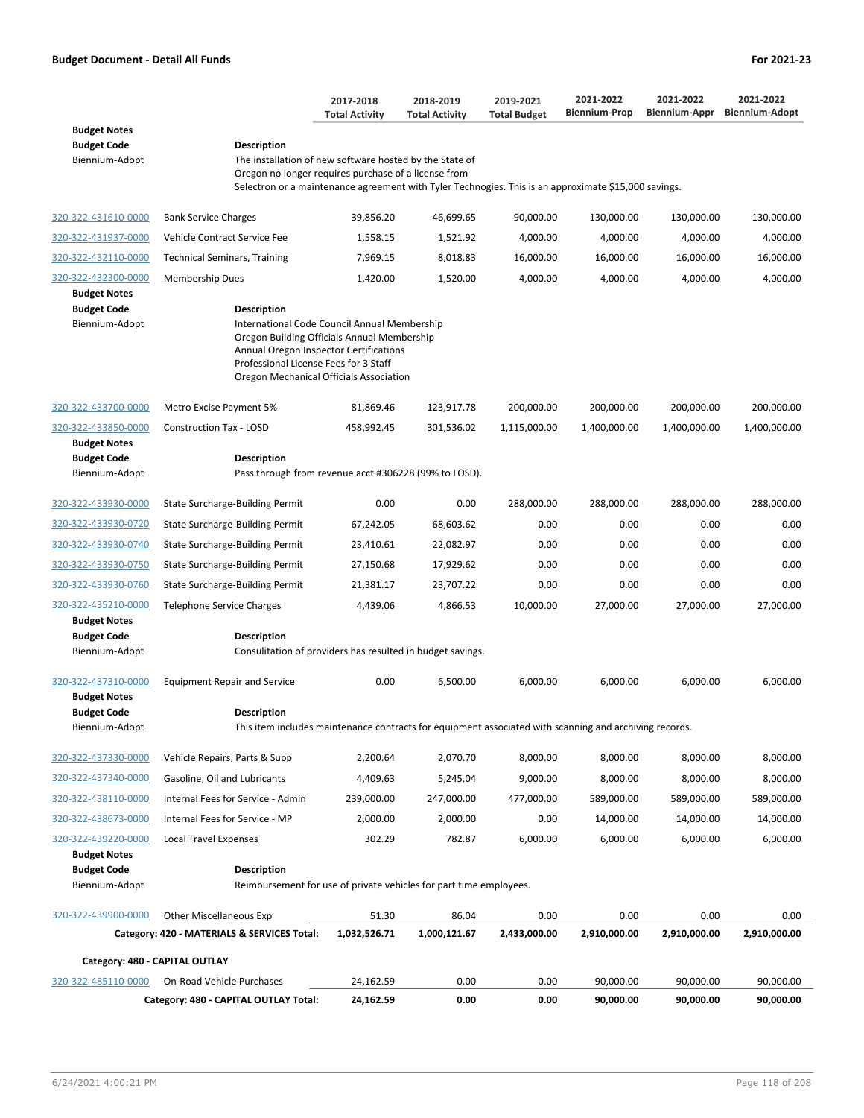|                                                             |                                                                                                                                                                                                                                          | 2017-2018<br><b>Total Activity</b> | 2018-2019<br><b>Total Activity</b> | 2019-2021<br><b>Total Budget</b> | 2021-2022<br><b>Biennium-Prop</b> | 2021-2022<br>Biennium-Appr | 2021-2022<br><b>Biennium-Adopt</b> |
|-------------------------------------------------------------|------------------------------------------------------------------------------------------------------------------------------------------------------------------------------------------------------------------------------------------|------------------------------------|------------------------------------|----------------------------------|-----------------------------------|----------------------------|------------------------------------|
| <b>Budget Notes</b><br><b>Budget Code</b><br>Biennium-Adopt | <b>Description</b><br>The installation of new software hosted by the State of                                                                                                                                                            |                                    |                                    |                                  |                                   |                            |                                    |
|                                                             | Oregon no longer requires purchase of a license from<br>Selectron or a maintenance agreement with Tyler Technogies. This is an approximate \$15,000 savings.                                                                             |                                    |                                    |                                  |                                   |                            |                                    |
| 320-322-431610-0000                                         | <b>Bank Service Charges</b>                                                                                                                                                                                                              | 39,856.20                          | 46,699.65                          | 90,000.00                        | 130,000.00                        | 130,000.00                 | 130,000.00                         |
| 320-322-431937-0000                                         | Vehicle Contract Service Fee                                                                                                                                                                                                             | 1,558.15                           | 1,521.92                           | 4,000.00                         | 4,000.00                          | 4,000.00                   | 4,000.00                           |
| 320-322-432110-0000                                         | <b>Technical Seminars, Training</b>                                                                                                                                                                                                      | 7,969.15                           | 8,018.83                           | 16,000.00                        | 16,000.00                         | 16,000.00                  | 16,000.00                          |
| 320-322-432300-0000<br><b>Budget Notes</b>                  | <b>Membership Dues</b>                                                                                                                                                                                                                   | 1,420.00                           | 1,520.00                           | 4,000.00                         | 4,000.00                          | 4,000.00                   | 4,000.00                           |
| <b>Budget Code</b><br>Biennium-Adopt                        | Description<br>International Code Council Annual Membership<br>Oregon Building Officials Annual Membership<br>Annual Oregon Inspector Certifications<br>Professional License Fees for 3 Staff<br>Oregon Mechanical Officials Association |                                    |                                    |                                  |                                   |                            |                                    |
| 320-322-433700-0000                                         | Metro Excise Payment 5%                                                                                                                                                                                                                  | 81.869.46                          | 123,917.78                         | 200,000.00                       | 200,000.00                        | 200,000.00                 | 200,000.00                         |
| 320-322-433850-0000<br><b>Budget Notes</b>                  | <b>Construction Tax - LOSD</b>                                                                                                                                                                                                           | 458,992.45                         | 301,536.02                         | 1,115,000.00                     | 1,400,000.00                      | 1,400,000.00               | 1,400,000.00                       |
| <b>Budget Code</b><br>Biennium-Adopt                        | <b>Description</b><br>Pass through from revenue acct #306228 (99% to LOSD).                                                                                                                                                              |                                    |                                    |                                  |                                   |                            |                                    |
| 320-322-433930-0000                                         | State Surcharge-Building Permit                                                                                                                                                                                                          | 0.00                               | 0.00                               | 288,000.00                       | 288,000.00                        | 288,000.00                 | 288,000.00                         |
| 320-322-433930-0720                                         | State Surcharge-Building Permit                                                                                                                                                                                                          | 67,242.05                          | 68,603.62                          | 0.00                             | 0.00                              | 0.00                       | 0.00                               |
| 320-322-433930-0740                                         | State Surcharge-Building Permit                                                                                                                                                                                                          | 23,410.61                          | 22,082.97                          | 0.00                             | 0.00                              | 0.00                       | 0.00                               |
| 320-322-433930-0750                                         | State Surcharge-Building Permit                                                                                                                                                                                                          | 27,150.68                          | 17,929.62                          | 0.00                             | 0.00                              | 0.00                       | 0.00                               |
| 320-322-433930-0760                                         | State Surcharge-Building Permit                                                                                                                                                                                                          | 21,381.17                          | 23,707.22                          | 0.00                             | 0.00                              | 0.00                       | 0.00                               |
| 320-322-435210-0000<br><b>Budget Notes</b>                  | Telephone Service Charges                                                                                                                                                                                                                | 4,439.06                           | 4,866.53                           | 10,000.00                        | 27,000.00                         | 27,000.00                  | 27,000.00                          |
| <b>Budget Code</b><br>Biennium-Adopt                        | <b>Description</b><br>Consulitation of providers has resulted in budget savings.                                                                                                                                                         |                                    |                                    |                                  |                                   |                            |                                    |
| 320-322-437310-0000<br><b>Budget Notes</b>                  | <b>Equipment Repair and Service</b>                                                                                                                                                                                                      | 0.00                               | 6,500.00                           | 6,000.00                         | 6,000.00                          | 6,000.00                   | 6,000.00                           |
| <b>Budget Code</b><br>Biennium-Adopt                        | <b>Description</b><br>This item includes maintenance contracts for equipment associated with scanning and archiving records.                                                                                                             |                                    |                                    |                                  |                                   |                            |                                    |
| 320-322-437330-0000                                         | Vehicle Repairs, Parts & Supp                                                                                                                                                                                                            | 2,200.64                           | 2,070.70                           | 8,000.00                         | 8,000.00                          | 8,000.00                   | 8,000.00                           |
| 320-322-437340-0000                                         | Gasoline, Oil and Lubricants                                                                                                                                                                                                             | 4,409.63                           | 5,245.04                           | 9,000.00                         | 8,000.00                          | 8,000.00                   | 8,000.00                           |
| 320-322-438110-0000                                         | Internal Fees for Service - Admin                                                                                                                                                                                                        | 239,000.00                         | 247,000.00                         | 477,000.00                       | 589,000.00                        | 589,000.00                 | 589,000.00                         |
| 320-322-438673-0000                                         | Internal Fees for Service - MP                                                                                                                                                                                                           | 2,000.00                           | 2,000.00                           | 0.00                             | 14,000.00                         | 14,000.00                  | 14,000.00                          |
| 320-322-439220-0000                                         | <b>Local Travel Expenses</b>                                                                                                                                                                                                             | 302.29                             | 782.87                             | 6,000.00                         | 6,000.00                          | 6,000.00                   | 6,000.00                           |
| <b>Budget Notes</b><br><b>Budget Code</b><br>Biennium-Adopt | <b>Description</b><br>Reimbursement for use of private vehicles for part time employees.                                                                                                                                                 |                                    |                                    |                                  |                                   |                            |                                    |
|                                                             |                                                                                                                                                                                                                                          |                                    |                                    |                                  |                                   |                            |                                    |
| 320-322-439900-0000                                         | <b>Other Miscellaneous Exp</b><br>Category: 420 - MATERIALS & SERVICES Total:                                                                                                                                                            | 51.30<br>1,032,526.71              | 86.04<br>1,000,121.67              | 0.00<br>2,433,000.00             | 0.00<br>2,910,000.00              | 0.00<br>2,910,000.00       | 0.00<br>2,910,000.00               |
|                                                             | Category: 480 - CAPITAL OUTLAY                                                                                                                                                                                                           |                                    |                                    |                                  |                                   |                            |                                    |
| 320-322-485110-0000                                         | On-Road Vehicle Purchases                                                                                                                                                                                                                | 24,162.59                          | 0.00                               | 0.00                             | 90,000.00                         | 90,000.00                  | 90,000.00                          |

**Category: 480 - CAPITAL OUTLAY Total: 24,162.59 0.00 0.00 90,000.00 90,000.00 90,000.00**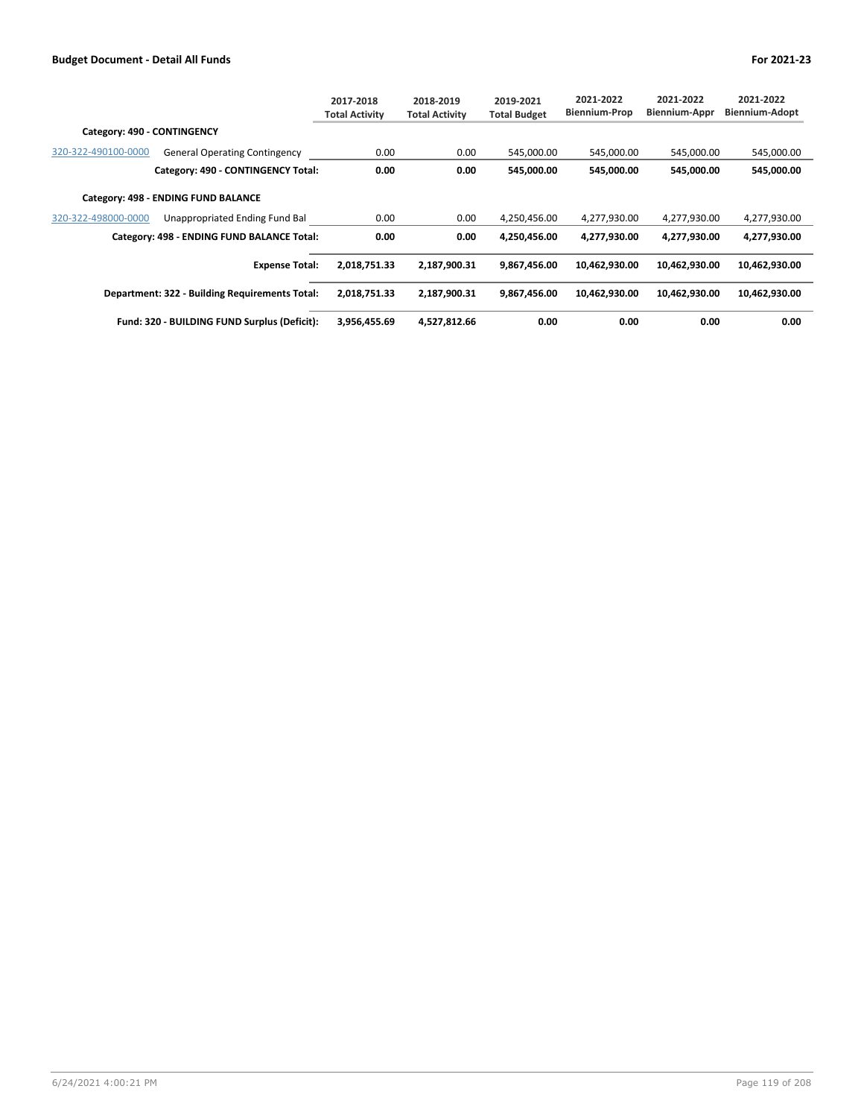|                             |                                                | 2017-2018<br><b>Total Activity</b> | 2018-2019<br><b>Total Activity</b> | 2019-2021<br><b>Total Budget</b> | 2021-2022<br><b>Biennium-Prop</b> | 2021-2022<br><b>Biennium-Appr</b> | 2021-2022<br><b>Biennium-Adopt</b> |
|-----------------------------|------------------------------------------------|------------------------------------|------------------------------------|----------------------------------|-----------------------------------|-----------------------------------|------------------------------------|
| Category: 490 - CONTINGENCY |                                                |                                    |                                    |                                  |                                   |                                   |                                    |
| 320-322-490100-0000         | <b>General Operating Contingency</b>           | 0.00                               | 0.00                               | 545,000.00                       | 545,000.00                        | 545,000.00                        | 545,000.00                         |
|                             | Category: 490 - CONTINGENCY Total:             | 0.00                               | 0.00                               | 545,000.00                       | 545,000.00                        | 545,000.00                        | 545,000.00                         |
|                             | Category: 498 - ENDING FUND BALANCE            |                                    |                                    |                                  |                                   |                                   |                                    |
| 320-322-498000-0000         | Unappropriated Ending Fund Bal                 | 0.00                               | 0.00                               | 4,250,456.00                     | 4,277,930.00                      | 4,277,930.00                      | 4,277,930.00                       |
|                             | Category: 498 - ENDING FUND BALANCE Total:     | 0.00                               | 0.00                               | 4,250,456.00                     | 4,277,930.00                      | 4,277,930.00                      | 4,277,930.00                       |
|                             | <b>Expense Total:</b>                          | 2,018,751.33                       | 2,187,900.31                       | 9,867,456.00                     | 10,462,930.00                     | 10,462,930.00                     | 10,462,930.00                      |
|                             | Department: 322 - Building Requirements Total: | 2,018,751.33                       | 2,187,900.31                       | 9,867,456.00                     | 10,462,930.00                     | 10,462,930.00                     | 10,462,930.00                      |
|                             | Fund: 320 - BUILDING FUND Surplus (Deficit):   | 3,956,455.69                       | 4,527,812.66                       | 0.00                             | 0.00                              | 0.00                              | 0.00                               |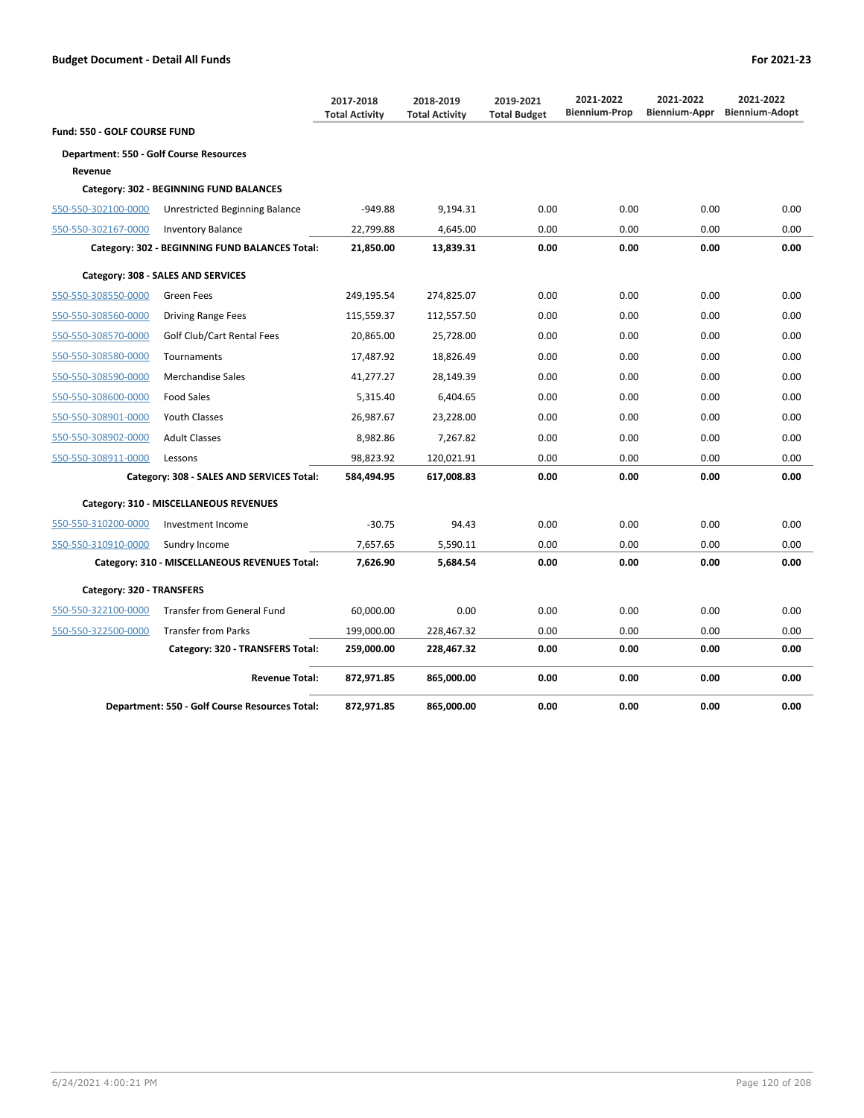|                                                |                                                | 2017-2018<br><b>Total Activity</b> | 2018-2019<br><b>Total Activity</b> | 2019-2021<br><b>Total Budget</b> | 2021-2022<br><b>Biennium-Prop</b> | 2021-2022<br>Biennium-Appr | 2021-2022<br><b>Biennium-Adopt</b> |
|------------------------------------------------|------------------------------------------------|------------------------------------|------------------------------------|----------------------------------|-----------------------------------|----------------------------|------------------------------------|
| Fund: 550 - GOLF COURSE FUND                   |                                                |                                    |                                    |                                  |                                   |                            |                                    |
| <b>Department: 550 - Golf Course Resources</b> |                                                |                                    |                                    |                                  |                                   |                            |                                    |
| Revenue                                        |                                                |                                    |                                    |                                  |                                   |                            |                                    |
|                                                | Category: 302 - BEGINNING FUND BALANCES        |                                    |                                    |                                  |                                   |                            |                                    |
| 550-550-302100-0000                            | Unrestricted Beginning Balance                 | $-949.88$                          | 9,194.31                           | 0.00                             | 0.00                              | 0.00                       | 0.00                               |
| 550-550-302167-0000                            | <b>Inventory Balance</b>                       | 22,799.88                          | 4,645.00                           | 0.00                             | 0.00                              | 0.00                       | 0.00                               |
|                                                | Category: 302 - BEGINNING FUND BALANCES Total: | 21,850.00                          | 13,839.31                          | 0.00                             | 0.00                              | 0.00                       | 0.00                               |
|                                                | Category: 308 - SALES AND SERVICES             |                                    |                                    |                                  |                                   |                            |                                    |
| 550-550-308550-0000                            | Green Fees                                     | 249,195.54                         | 274,825.07                         | 0.00                             | 0.00                              | 0.00                       | 0.00                               |
| 550-550-308560-0000                            | <b>Driving Range Fees</b>                      | 115,559.37                         | 112,557.50                         | 0.00                             | 0.00                              | 0.00                       | 0.00                               |
| 550-550-308570-0000                            | Golf Club/Cart Rental Fees                     | 20,865.00                          | 25,728.00                          | 0.00                             | 0.00                              | 0.00                       | 0.00                               |
| 550-550-308580-0000                            | Tournaments                                    | 17,487.92                          | 18,826.49                          | 0.00                             | 0.00                              | 0.00                       | 0.00                               |
| 550-550-308590-0000                            | <b>Merchandise Sales</b>                       | 41,277.27                          | 28,149.39                          | 0.00                             | 0.00                              | 0.00                       | 0.00                               |
| 550-550-308600-0000                            | <b>Food Sales</b>                              | 5,315.40                           | 6,404.65                           | 0.00                             | 0.00                              | 0.00                       | 0.00                               |
| 550-550-308901-0000                            | <b>Youth Classes</b>                           | 26,987.67                          | 23,228.00                          | 0.00                             | 0.00                              | 0.00                       | 0.00                               |
| 550-550-308902-0000                            | <b>Adult Classes</b>                           | 8,982.86                           | 7,267.82                           | 0.00                             | 0.00                              | 0.00                       | 0.00                               |
| 550-550-308911-0000                            | Lessons                                        | 98.823.92                          | 120,021.91                         | 0.00                             | 0.00                              | 0.00                       | 0.00                               |
|                                                | Category: 308 - SALES AND SERVICES Total:      | 584,494.95                         | 617,008.83                         | 0.00                             | 0.00                              | 0.00                       | 0.00                               |
|                                                | Category: 310 - MISCELLANEOUS REVENUES         |                                    |                                    |                                  |                                   |                            |                                    |
| 550-550-310200-0000                            | Investment Income                              | $-30.75$                           | 94.43                              | 0.00                             | 0.00                              | 0.00                       | 0.00                               |
| 550-550-310910-0000                            | Sundry Income                                  | 7,657.65                           | 5,590.11                           | 0.00                             | 0.00                              | 0.00                       | 0.00                               |
|                                                | Category: 310 - MISCELLANEOUS REVENUES Total:  | 7,626.90                           | 5.684.54                           | 0.00                             | 0.00                              | 0.00                       | 0.00                               |
| Category: 320 - TRANSFERS                      |                                                |                                    |                                    |                                  |                                   |                            |                                    |
| 550-550-322100-0000                            | <b>Transfer from General Fund</b>              | 60,000.00                          | 0.00                               | 0.00                             | 0.00                              | 0.00                       | 0.00                               |
| 550-550-322500-0000                            | <b>Transfer from Parks</b>                     | 199,000.00                         | 228,467.32                         | 0.00                             | 0.00                              | 0.00                       | 0.00                               |
|                                                | Category: 320 - TRANSFERS Total:               | 259,000.00                         | 228,467.32                         | 0.00                             | 0.00                              | 0.00                       | 0.00                               |
|                                                | <b>Revenue Total:</b>                          | 872,971.85                         | 865,000.00                         | 0.00                             | 0.00                              | 0.00                       | 0.00                               |
|                                                | Department: 550 - Golf Course Resources Total: | 872,971.85                         | 865,000.00                         | 0.00                             | 0.00                              | 0.00                       | 0.00                               |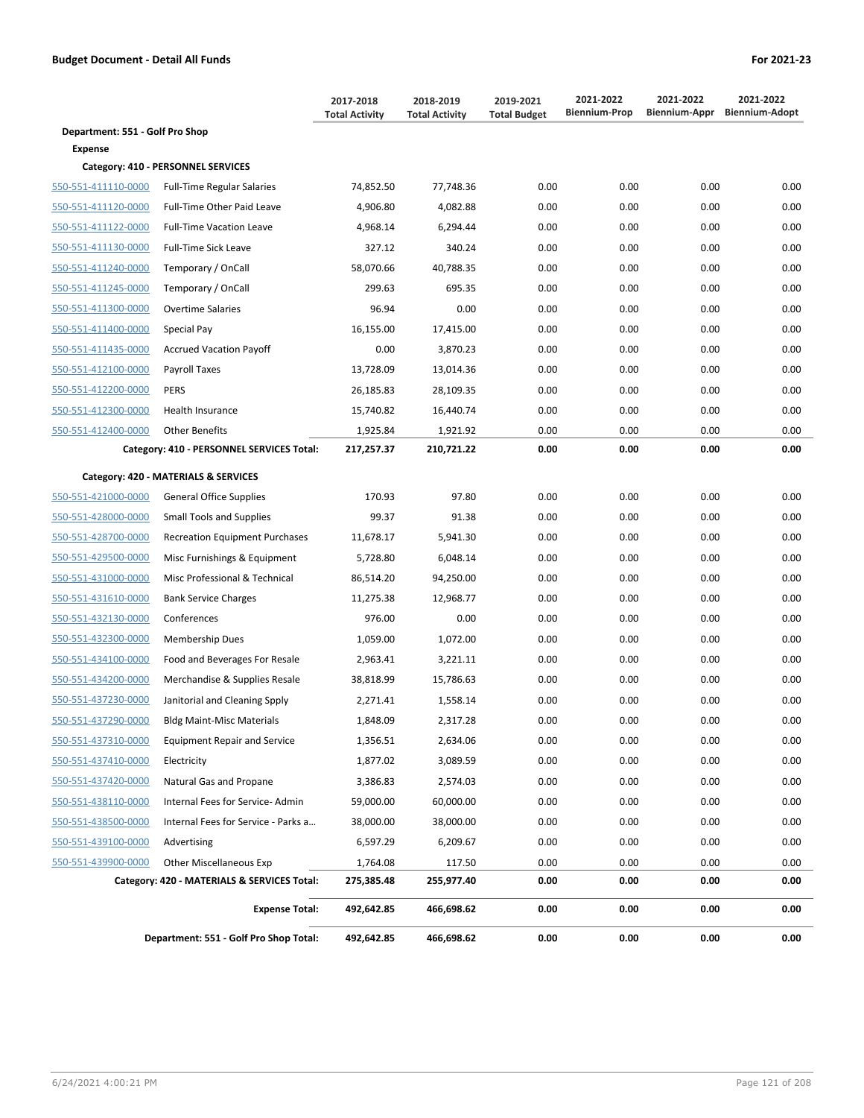|                                 |                                             | 2017-2018<br><b>Total Activity</b> | 2018-2019<br><b>Total Activity</b> | 2019-2021<br><b>Total Budget</b> | 2021-2022<br><b>Biennium-Prop</b> | 2021-2022<br>Biennium-Appr | 2021-2022<br><b>Biennium-Adopt</b> |
|---------------------------------|---------------------------------------------|------------------------------------|------------------------------------|----------------------------------|-----------------------------------|----------------------------|------------------------------------|
| Department: 551 - Golf Pro Shop |                                             |                                    |                                    |                                  |                                   |                            |                                    |
| <b>Expense</b>                  |                                             |                                    |                                    |                                  |                                   |                            |                                    |
|                                 | Category: 410 - PERSONNEL SERVICES          |                                    |                                    |                                  |                                   |                            |                                    |
| 550-551-411110-0000             | <b>Full-Time Regular Salaries</b>           | 74,852.50                          | 77,748.36                          | 0.00                             | 0.00                              | 0.00                       | 0.00                               |
| 550-551-411120-0000             | Full-Time Other Paid Leave                  | 4,906.80                           | 4,082.88                           | 0.00                             | 0.00                              | 0.00                       | 0.00                               |
| 550-551-411122-0000             | <b>Full-Time Vacation Leave</b>             | 4,968.14                           | 6,294.44                           | 0.00                             | 0.00                              | 0.00                       | 0.00                               |
| 550-551-411130-0000             | <b>Full-Time Sick Leave</b>                 | 327.12                             | 340.24                             | 0.00                             | 0.00                              | 0.00                       | 0.00                               |
| 550-551-411240-0000             | Temporary / OnCall                          | 58,070.66                          | 40,788.35                          | 0.00                             | 0.00                              | 0.00                       | 0.00                               |
| 550-551-411245-0000             | Temporary / OnCall                          | 299.63                             | 695.35                             | 0.00                             | 0.00                              | 0.00                       | 0.00                               |
| 550-551-411300-0000             | <b>Overtime Salaries</b>                    | 96.94                              | 0.00                               | 0.00                             | 0.00                              | 0.00                       | 0.00                               |
| 550-551-411400-0000             | Special Pay                                 | 16,155.00                          | 17,415.00                          | 0.00                             | 0.00                              | 0.00                       | 0.00                               |
| 550-551-411435-0000             | <b>Accrued Vacation Payoff</b>              | 0.00                               | 3,870.23                           | 0.00                             | 0.00                              | 0.00                       | 0.00                               |
| 550-551-412100-0000             | Payroll Taxes                               | 13,728.09                          | 13,014.36                          | 0.00                             | 0.00                              | 0.00                       | 0.00                               |
| 550-551-412200-0000             | <b>PERS</b>                                 | 26,185.83                          | 28,109.35                          | 0.00                             | 0.00                              | 0.00                       | 0.00                               |
| 550-551-412300-0000             | Health Insurance                            | 15,740.82                          | 16,440.74                          | 0.00                             | 0.00                              | 0.00                       | 0.00                               |
| 550-551-412400-0000             | <b>Other Benefits</b>                       | 1,925.84                           | 1,921.92                           | 0.00                             | 0.00                              | 0.00                       | 0.00                               |
|                                 | Category: 410 - PERSONNEL SERVICES Total:   | 217,257.37                         | 210,721.22                         | 0.00                             | 0.00                              | 0.00                       | 0.00                               |
|                                 | Category: 420 - MATERIALS & SERVICES        |                                    |                                    |                                  |                                   |                            |                                    |
| 550-551-421000-0000             | <b>General Office Supplies</b>              | 170.93                             | 97.80                              | 0.00                             | 0.00                              | 0.00                       | 0.00                               |
| 550-551-428000-0000             | <b>Small Tools and Supplies</b>             | 99.37                              | 91.38                              | 0.00                             | 0.00                              | 0.00                       | 0.00                               |
| 550-551-428700-0000             | <b>Recreation Equipment Purchases</b>       | 11,678.17                          | 5,941.30                           | 0.00                             | 0.00                              | 0.00                       | 0.00                               |
| 550-551-429500-0000             | Misc Furnishings & Equipment                | 5,728.80                           | 6,048.14                           | 0.00                             | 0.00                              | 0.00                       | 0.00                               |
| 550-551-431000-0000             | Misc Professional & Technical               | 86,514.20                          | 94,250.00                          | 0.00                             | 0.00                              | 0.00                       | 0.00                               |
| 550-551-431610-0000             | <b>Bank Service Charges</b>                 | 11,275.38                          | 12,968.77                          | 0.00                             | 0.00                              | 0.00                       | 0.00                               |
| 550-551-432130-0000             | Conferences                                 | 976.00                             | 0.00                               | 0.00                             | 0.00                              | 0.00                       | 0.00                               |
| 550-551-432300-0000             | <b>Membership Dues</b>                      | 1,059.00                           | 1,072.00                           | 0.00                             | 0.00                              | 0.00                       | 0.00                               |
| 550-551-434100-0000             | Food and Beverages For Resale               | 2,963.41                           | 3,221.11                           | 0.00                             | 0.00                              | 0.00                       | 0.00                               |
| 550-551-434200-0000             | Merchandise & Supplies Resale               | 38,818.99                          | 15,786.63                          | 0.00                             | 0.00                              | 0.00                       | 0.00                               |
| 550-551-437230-0000             | Janitorial and Cleaning Spply               | 2,271.41                           | 1,558.14                           | 0.00                             | 0.00                              | 0.00                       | 0.00                               |
| 550-551-437290-0000             | <b>Bldg Maint-Misc Materials</b>            | 1,848.09                           | 2,317.28                           | 0.00                             | 0.00                              | 0.00                       | 0.00                               |
| 550-551-437310-0000             | <b>Equipment Repair and Service</b>         | 1,356.51                           | 2,634.06                           | 0.00                             | 0.00                              | 0.00                       | 0.00                               |
| 550-551-437410-0000             | Electricity                                 | 1,877.02                           | 3,089.59                           | 0.00                             | 0.00                              | 0.00                       | 0.00                               |
| 550-551-437420-0000             | Natural Gas and Propane                     | 3,386.83                           | 2,574.03                           | 0.00                             | 0.00                              | 0.00                       | 0.00                               |
| 550-551-438110-0000             | Internal Fees for Service-Admin             | 59,000.00                          | 60,000.00                          | 0.00                             | 0.00                              | 0.00                       | 0.00                               |
| 550-551-438500-0000             | Internal Fees for Service - Parks a         | 38,000.00                          | 38,000.00                          | 0.00                             | 0.00                              | 0.00                       | 0.00                               |
| 550-551-439100-0000             | Advertising                                 | 6,597.29                           | 6,209.67                           | 0.00                             | 0.00                              | 0.00                       | 0.00                               |
| 550-551-439900-0000             | <b>Other Miscellaneous Exp</b>              | 1,764.08                           | 117.50                             | 0.00                             | 0.00                              | 0.00                       | 0.00                               |
|                                 | Category: 420 - MATERIALS & SERVICES Total: | 275,385.48                         | 255,977.40                         | 0.00                             | 0.00                              | 0.00                       | 0.00                               |
|                                 | <b>Expense Total:</b>                       | 492,642.85                         | 466,698.62                         | 0.00                             | 0.00                              | 0.00                       | 0.00                               |
|                                 | Department: 551 - Golf Pro Shop Total:      | 492,642.85                         | 466,698.62                         | 0.00                             | 0.00                              | 0.00                       | 0.00                               |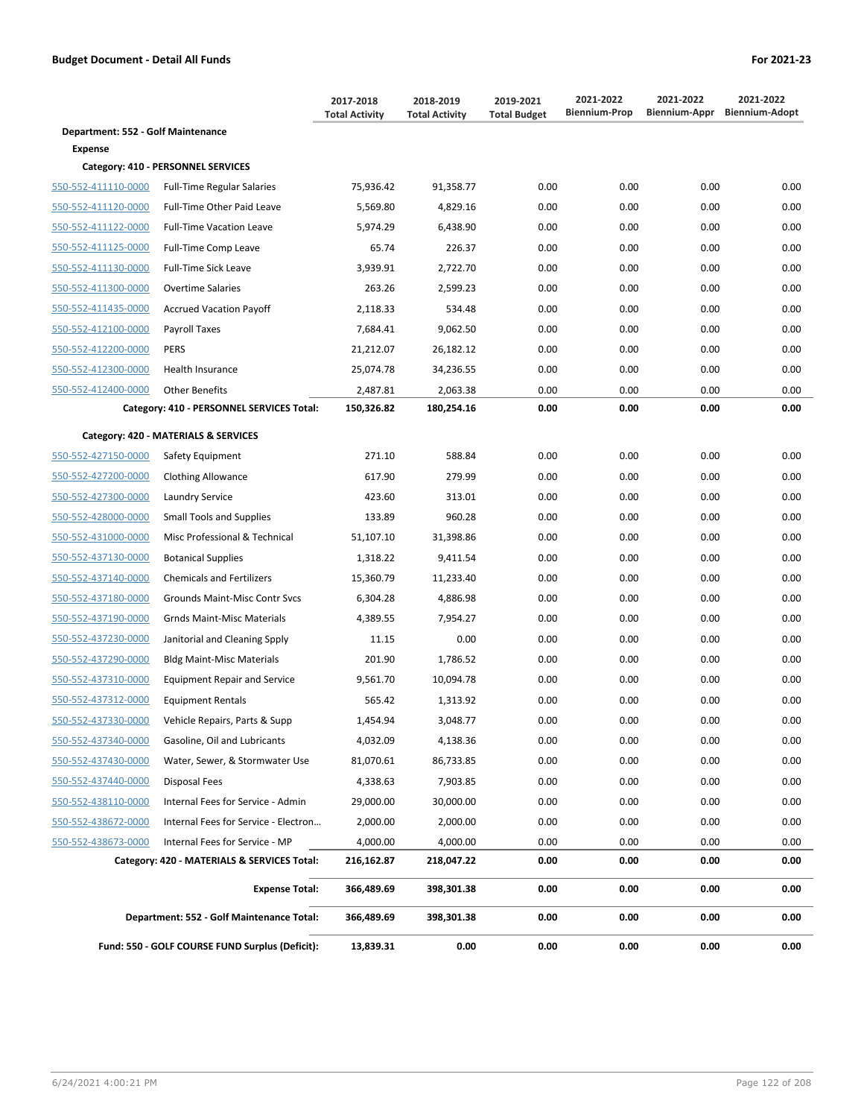|                                    |                                                 | 2017-2018<br><b>Total Activity</b> | 2018-2019<br><b>Total Activity</b> | 2019-2021<br><b>Total Budget</b> | 2021-2022<br><b>Biennium-Prop</b> | 2021-2022<br>Biennium-Appr | 2021-2022<br><b>Biennium-Adopt</b> |
|------------------------------------|-------------------------------------------------|------------------------------------|------------------------------------|----------------------------------|-----------------------------------|----------------------------|------------------------------------|
| Department: 552 - Golf Maintenance |                                                 |                                    |                                    |                                  |                                   |                            |                                    |
| Expense                            |                                                 |                                    |                                    |                                  |                                   |                            |                                    |
|                                    | Category: 410 - PERSONNEL SERVICES              |                                    |                                    |                                  |                                   |                            |                                    |
| 550-552-411110-0000                | <b>Full-Time Regular Salaries</b>               | 75,936.42                          | 91,358.77                          | 0.00                             | 0.00                              | 0.00                       | 0.00                               |
| 550-552-411120-0000                | Full-Time Other Paid Leave                      | 5,569.80                           | 4,829.16                           | 0.00                             | 0.00                              | 0.00                       | 0.00                               |
| 550-552-411122-0000                | <b>Full-Time Vacation Leave</b>                 | 5,974.29                           | 6,438.90                           | 0.00                             | 0.00                              | 0.00                       | 0.00                               |
| 550-552-411125-0000                | Full-Time Comp Leave                            | 65.74                              | 226.37                             | 0.00                             | 0.00                              | 0.00                       | 0.00                               |
| 550-552-411130-0000                | <b>Full-Time Sick Leave</b>                     | 3,939.91                           | 2,722.70                           | 0.00                             | 0.00                              | 0.00                       | 0.00                               |
| 550-552-411300-0000                | <b>Overtime Salaries</b>                        | 263.26                             | 2,599.23                           | 0.00                             | 0.00                              | 0.00                       | 0.00                               |
| 550-552-411435-0000                | <b>Accrued Vacation Payoff</b>                  | 2,118.33                           | 534.48                             | 0.00                             | 0.00                              | 0.00                       | 0.00                               |
| 550-552-412100-0000                | Payroll Taxes                                   | 7,684.41                           | 9,062.50                           | 0.00                             | 0.00                              | 0.00                       | 0.00                               |
| 550-552-412200-0000                | <b>PERS</b>                                     | 21,212.07                          | 26,182.12                          | 0.00                             | 0.00                              | 0.00                       | 0.00                               |
| 550-552-412300-0000                | Health Insurance                                | 25,074.78                          | 34,236.55                          | 0.00                             | 0.00                              | 0.00                       | 0.00                               |
| 550-552-412400-0000                | <b>Other Benefits</b>                           | 2,487.81                           | 2,063.38                           | 0.00                             | 0.00                              | 0.00                       | 0.00                               |
|                                    | Category: 410 - PERSONNEL SERVICES Total:       | 150,326.82                         | 180,254.16                         | 0.00                             | 0.00                              | 0.00                       | 0.00                               |
|                                    | Category: 420 - MATERIALS & SERVICES            |                                    |                                    |                                  |                                   |                            |                                    |
| 550-552-427150-0000                | Safety Equipment                                | 271.10                             | 588.84                             | 0.00                             | 0.00                              | 0.00                       | 0.00                               |
| 550-552-427200-0000                | <b>Clothing Allowance</b>                       | 617.90                             | 279.99                             | 0.00                             | 0.00                              | 0.00                       | 0.00                               |
| 550-552-427300-0000                | Laundry Service                                 | 423.60                             | 313.01                             | 0.00                             | 0.00                              | 0.00                       | 0.00                               |
| 550-552-428000-0000                | <b>Small Tools and Supplies</b>                 | 133.89                             | 960.28                             | 0.00                             | 0.00                              | 0.00                       | 0.00                               |
| 550-552-431000-0000                | Misc Professional & Technical                   | 51,107.10                          | 31,398.86                          | 0.00                             | 0.00                              | 0.00                       | 0.00                               |
| 550-552-437130-0000                | <b>Botanical Supplies</b>                       | 1,318.22                           | 9,411.54                           | 0.00                             | 0.00                              | 0.00                       | 0.00                               |
| 550-552-437140-0000                | <b>Chemicals and Fertilizers</b>                | 15,360.79                          | 11,233.40                          | 0.00                             | 0.00                              | 0.00                       | 0.00                               |
| 550-552-437180-0000                | <b>Grounds Maint-Misc Contr Svcs</b>            | 6,304.28                           | 4,886.98                           | 0.00                             | 0.00                              | 0.00                       | 0.00                               |
| 550-552-437190-0000                | <b>Grnds Maint-Misc Materials</b>               | 4,389.55                           | 7,954.27                           | 0.00                             | 0.00                              | 0.00                       | 0.00                               |
| 550-552-437230-0000                | Janitorial and Cleaning Spply                   | 11.15                              | 0.00                               | 0.00                             | 0.00                              | 0.00                       | 0.00                               |
| 550-552-437290-0000                | <b>Bldg Maint-Misc Materials</b>                | 201.90                             | 1,786.52                           | 0.00                             | 0.00                              | 0.00                       | 0.00                               |
| 550-552-437310-0000                | <b>Equipment Repair and Service</b>             | 9,561.70                           | 10,094.78                          | 0.00                             | 0.00                              | 0.00                       | 0.00                               |
| 550-552-437312-0000                | <b>Equipment Rentals</b>                        | 565.42                             | 1,313.92                           | 0.00                             | 0.00                              | 0.00                       | 0.00                               |
| 550-552-437330-0000                | Vehicle Repairs, Parts & Supp                   | 1,454.94                           | 3,048.77                           | 0.00                             | 0.00                              | 0.00                       | 0.00                               |
| 550-552-437340-0000                | Gasoline, Oil and Lubricants                    | 4,032.09                           | 4,138.36                           | 0.00                             | 0.00                              | 0.00                       | 0.00                               |
| 550-552-437430-0000                | Water, Sewer, & Stormwater Use                  | 81,070.61                          | 86,733.85                          | 0.00                             | 0.00                              | 0.00                       | 0.00                               |
| 550-552-437440-0000                | <b>Disposal Fees</b>                            | 4,338.63                           | 7,903.85                           | 0.00                             | 0.00                              | 0.00                       | 0.00                               |
| 550-552-438110-0000                | Internal Fees for Service - Admin               | 29,000.00                          | 30,000.00                          | 0.00                             | 0.00                              | 0.00                       | 0.00                               |
| 550-552-438672-0000                | Internal Fees for Service - Electron            | 2,000.00                           | 2,000.00                           | 0.00                             | 0.00                              | 0.00                       | 0.00                               |
| 550-552-438673-0000                | Internal Fees for Service - MP                  | 4,000.00                           | 4,000.00                           | 0.00                             | 0.00                              | 0.00                       | 0.00                               |
|                                    | Category: 420 - MATERIALS & SERVICES Total:     | 216,162.87                         | 218,047.22                         | 0.00                             | 0.00                              | 0.00                       | 0.00                               |
|                                    | <b>Expense Total:</b>                           | 366,489.69                         | 398,301.38                         | 0.00                             | 0.00                              | 0.00                       | 0.00                               |
|                                    | Department: 552 - Golf Maintenance Total:       | 366,489.69                         | 398,301.38                         | 0.00                             | 0.00                              | 0.00                       | 0.00                               |
|                                    | Fund: 550 - GOLF COURSE FUND Surplus (Deficit): | 13,839.31                          | 0.00                               | 0.00                             | 0.00                              | 0.00                       | 0.00                               |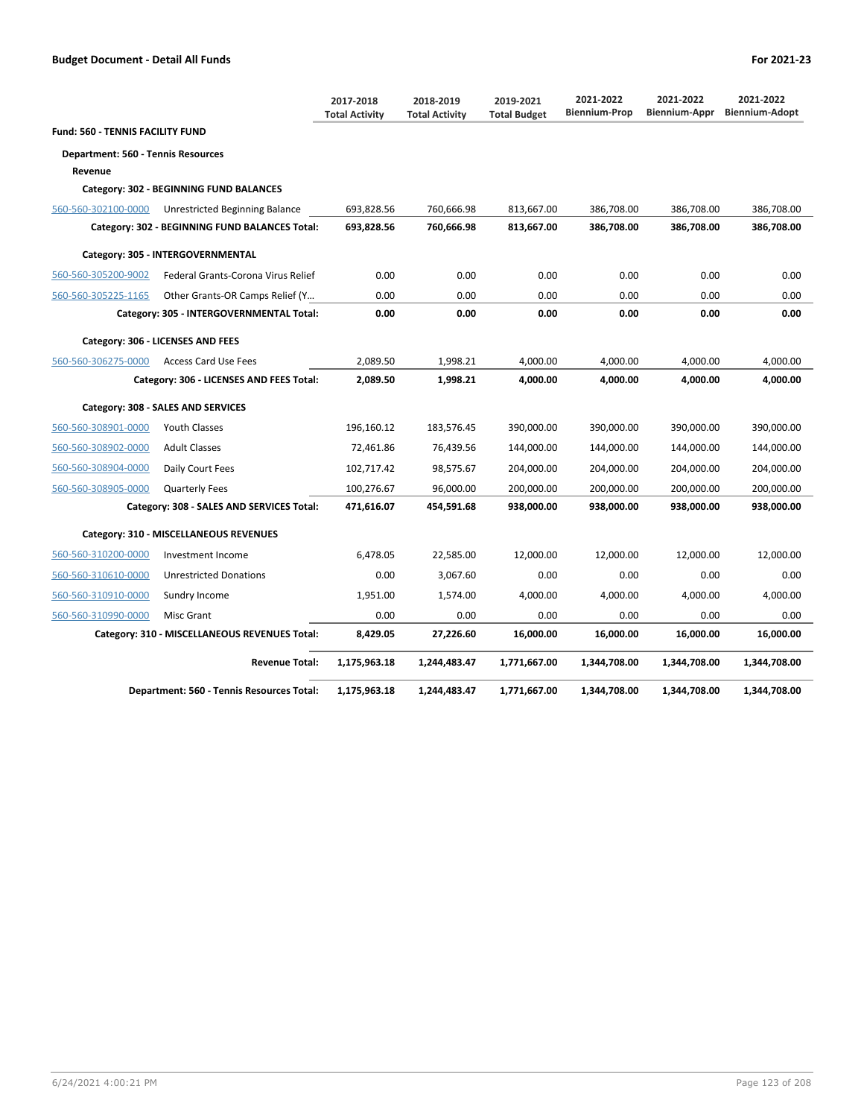|                                           |                                                | 2017-2018<br><b>Total Activity</b> | 2018-2019<br><b>Total Activity</b> | 2019-2021<br><b>Total Budget</b> | 2021-2022<br><b>Biennium-Prop</b> | 2021-2022<br>Biennium-Appr | 2021-2022<br><b>Biennium-Adopt</b> |
|-------------------------------------------|------------------------------------------------|------------------------------------|------------------------------------|----------------------------------|-----------------------------------|----------------------------|------------------------------------|
| <b>Fund: 560 - TENNIS FACILITY FUND</b>   |                                                |                                    |                                    |                                  |                                   |                            |                                    |
| <b>Department: 560 - Tennis Resources</b> |                                                |                                    |                                    |                                  |                                   |                            |                                    |
| Revenue                                   |                                                |                                    |                                    |                                  |                                   |                            |                                    |
|                                           | Category: 302 - BEGINNING FUND BALANCES        |                                    |                                    |                                  |                                   |                            |                                    |
| 560-560-302100-0000                       | Unrestricted Beginning Balance                 | 693,828.56                         | 760,666.98                         | 813,667.00                       | 386,708.00                        | 386,708.00                 | 386,708.00                         |
|                                           | Category: 302 - BEGINNING FUND BALANCES Total: | 693,828.56                         | 760,666.98                         | 813,667.00                       | 386,708.00                        | 386,708.00                 | 386,708.00                         |
|                                           | Category: 305 - INTERGOVERNMENTAL              |                                    |                                    |                                  |                                   |                            |                                    |
| 560-560-305200-9002                       | Federal Grants-Corona Virus Relief             | 0.00                               | 0.00                               | 0.00                             | 0.00                              | 0.00                       | 0.00                               |
| 560-560-305225-1165                       | Other Grants-OR Camps Relief (Y                | 0.00                               | 0.00                               | 0.00                             | 0.00                              | 0.00                       | 0.00                               |
|                                           | Category: 305 - INTERGOVERNMENTAL Total:       | 0.00                               | 0.00                               | 0.00                             | 0.00                              | 0.00                       | 0.00                               |
|                                           | Category: 306 - LICENSES AND FEES              |                                    |                                    |                                  |                                   |                            |                                    |
| 560-560-306275-0000                       | <b>Access Card Use Fees</b>                    | 2,089.50                           | 1,998.21                           | 4,000.00                         | 4,000.00                          | 4,000.00                   | 4,000.00                           |
|                                           | Category: 306 - LICENSES AND FEES Total:       | 2,089.50                           | 1,998.21                           | 4,000.00                         | 4,000.00                          | 4,000.00                   | 4,000.00                           |
|                                           | Category: 308 - SALES AND SERVICES             |                                    |                                    |                                  |                                   |                            |                                    |
| 560-560-308901-0000                       | <b>Youth Classes</b>                           | 196,160.12                         | 183,576.45                         | 390,000.00                       | 390,000.00                        | 390,000.00                 | 390,000.00                         |
| 560-560-308902-0000                       | <b>Adult Classes</b>                           | 72,461.86                          | 76,439.56                          | 144,000.00                       | 144,000.00                        | 144,000.00                 | 144,000.00                         |
| 560-560-308904-0000                       | Daily Court Fees                               | 102,717.42                         | 98,575.67                          | 204,000.00                       | 204,000.00                        | 204,000.00                 | 204,000.00                         |
| 560-560-308905-0000                       | <b>Quarterly Fees</b>                          | 100,276.67                         | 96,000.00                          | 200,000.00                       | 200,000.00                        | 200,000.00                 | 200,000.00                         |
|                                           | Category: 308 - SALES AND SERVICES Total:      | 471,616.07                         | 454,591.68                         | 938,000.00                       | 938,000.00                        | 938,000.00                 | 938,000.00                         |
|                                           | Category: 310 - MISCELLANEOUS REVENUES         |                                    |                                    |                                  |                                   |                            |                                    |
| 560-560-310200-0000                       | Investment Income                              | 6,478.05                           | 22,585.00                          | 12,000.00                        | 12,000.00                         | 12,000.00                  | 12,000.00                          |
| 560-560-310610-0000                       | <b>Unrestricted Donations</b>                  | 0.00                               | 3,067.60                           | 0.00                             | 0.00                              | 0.00                       | 0.00                               |
| 560-560-310910-0000                       | Sundry Income                                  | 1,951.00                           | 1,574.00                           | 4,000.00                         | 4,000.00                          | 4,000.00                   | 4,000.00                           |
| 560-560-310990-0000                       | Misc Grant                                     | 0.00                               | 0.00                               | 0.00                             | 0.00                              | 0.00                       | 0.00                               |
|                                           | Category: 310 - MISCELLANEOUS REVENUES Total:  | 8,429.05                           | 27,226.60                          | 16,000.00                        | 16,000.00                         | 16,000.00                  | 16,000.00                          |
|                                           | <b>Revenue Total:</b>                          | 1,175,963.18                       | 1,244,483.47                       | 1,771,667.00                     | 1,344,708.00                      | 1,344,708.00               | 1,344,708.00                       |
|                                           | Department: 560 - Tennis Resources Total:      | 1,175,963.18                       | 1,244,483.47                       | 1,771,667.00                     | 1,344,708.00                      | 1,344,708.00               | 1,344,708.00                       |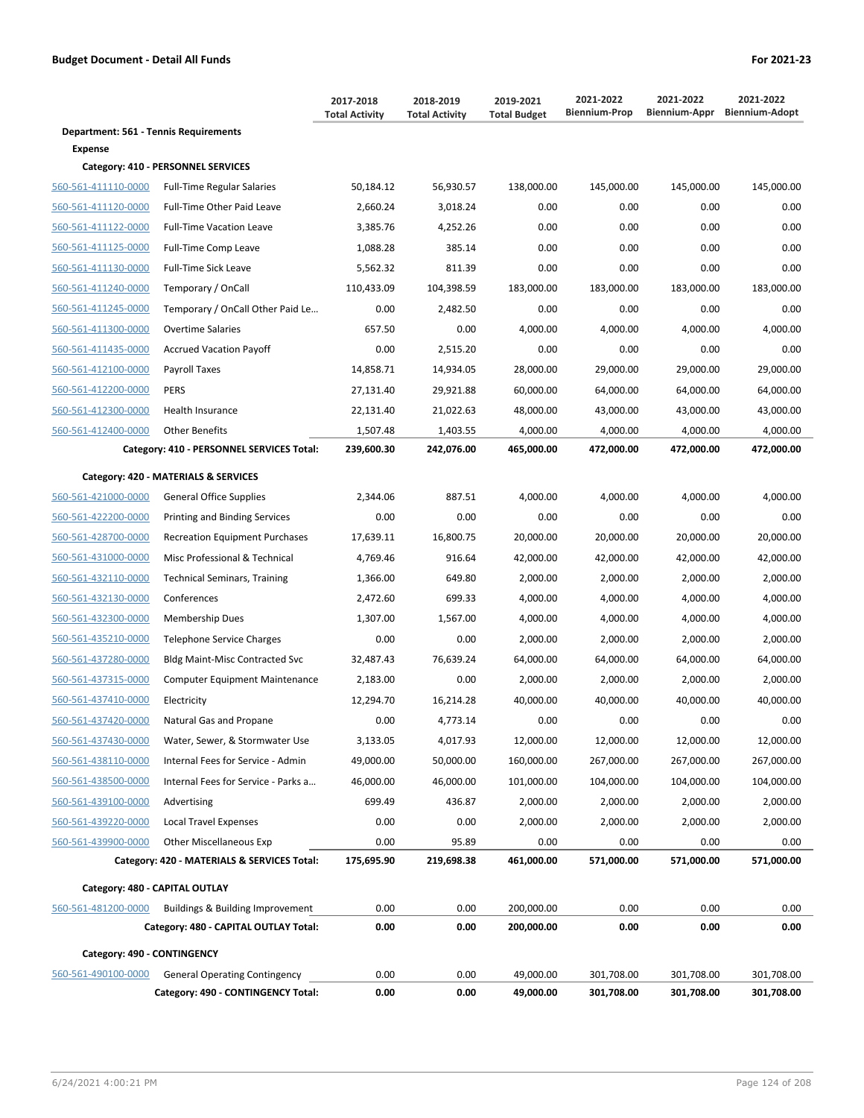|                                       |                                             | 2017-2018<br><b>Total Activity</b> | 2018-2019<br><b>Total Activity</b> | 2019-2021<br><b>Total Budget</b> | 2021-2022<br><b>Biennium-Prop</b> | 2021-2022<br>Biennium-Appr | 2021-2022<br><b>Biennium-Adopt</b> |
|---------------------------------------|---------------------------------------------|------------------------------------|------------------------------------|----------------------------------|-----------------------------------|----------------------------|------------------------------------|
| Department: 561 - Tennis Requirements |                                             |                                    |                                    |                                  |                                   |                            |                                    |
| Expense                               |                                             |                                    |                                    |                                  |                                   |                            |                                    |
|                                       | Category: 410 - PERSONNEL SERVICES          |                                    |                                    |                                  |                                   |                            |                                    |
| 560-561-411110-0000                   | <b>Full-Time Regular Salaries</b>           | 50,184.12                          | 56,930.57                          | 138,000.00                       | 145,000.00                        | 145,000.00                 | 145,000.00                         |
| 560-561-411120-0000                   | Full-Time Other Paid Leave                  | 2,660.24                           | 3,018.24                           | 0.00                             | 0.00                              | 0.00                       | 0.00                               |
| 560-561-411122-0000                   | <b>Full-Time Vacation Leave</b>             | 3,385.76                           | 4,252.26                           | 0.00                             | 0.00                              | 0.00                       | 0.00                               |
| 560-561-411125-0000                   | <b>Full-Time Comp Leave</b>                 | 1,088.28                           | 385.14                             | 0.00                             | 0.00                              | 0.00                       | 0.00                               |
| 560-561-411130-0000                   | Full-Time Sick Leave                        | 5,562.32                           | 811.39                             | 0.00                             | 0.00                              | 0.00                       | 0.00                               |
| 560-561-411240-0000                   | Temporary / OnCall                          | 110,433.09                         | 104,398.59                         | 183,000.00                       | 183,000.00                        | 183,000.00                 | 183,000.00                         |
| 560-561-411245-0000                   | Temporary / OnCall Other Paid Le            | 0.00                               | 2,482.50                           | 0.00                             | 0.00                              | 0.00                       | 0.00                               |
| 560-561-411300-0000                   | <b>Overtime Salaries</b>                    | 657.50                             | 0.00                               | 4,000.00                         | 4,000.00                          | 4,000.00                   | 4,000.00                           |
| 560-561-411435-0000                   | <b>Accrued Vacation Payoff</b>              | 0.00                               | 2,515.20                           | 0.00                             | 0.00                              | 0.00                       | 0.00                               |
| 560-561-412100-0000                   | Payroll Taxes                               | 14,858.71                          | 14,934.05                          | 28,000.00                        | 29,000.00                         | 29,000.00                  | 29,000.00                          |
| 560-561-412200-0000                   | <b>PERS</b>                                 | 27,131.40                          | 29,921.88                          | 60,000.00                        | 64,000.00                         | 64,000.00                  | 64,000.00                          |
| 560-561-412300-0000                   | <b>Health Insurance</b>                     | 22,131.40                          | 21,022.63                          | 48,000.00                        | 43,000.00                         | 43,000.00                  | 43,000.00                          |
| 560-561-412400-0000                   | <b>Other Benefits</b>                       | 1,507.48                           | 1,403.55                           | 4,000.00                         | 4,000.00                          | 4,000.00                   | 4,000.00                           |
|                                       | Category: 410 - PERSONNEL SERVICES Total:   | 239,600.30                         | 242,076.00                         | 465,000.00                       | 472,000.00                        | 472,000.00                 | 472,000.00                         |
|                                       | Category: 420 - MATERIALS & SERVICES        |                                    |                                    |                                  |                                   |                            |                                    |
| 560-561-421000-0000                   | <b>General Office Supplies</b>              | 2,344.06                           | 887.51                             | 4,000.00                         | 4,000.00                          | 4,000.00                   | 4,000.00                           |
| 560-561-422200-0000                   | <b>Printing and Binding Services</b>        | 0.00                               | 0.00                               | 0.00                             | 0.00                              | 0.00                       | 0.00                               |
| 560-561-428700-0000                   | <b>Recreation Equipment Purchases</b>       | 17,639.11                          | 16,800.75                          | 20,000.00                        | 20,000.00                         | 20,000.00                  | 20,000.00                          |
| 560-561-431000-0000                   | Misc Professional & Technical               | 4,769.46                           | 916.64                             | 42,000.00                        | 42,000.00                         | 42,000.00                  | 42,000.00                          |
| 560-561-432110-0000                   | <b>Technical Seminars, Training</b>         | 1,366.00                           | 649.80                             | 2,000.00                         | 2,000.00                          | 2,000.00                   | 2,000.00                           |
| 560-561-432130-0000                   | Conferences                                 | 2,472.60                           | 699.33                             | 4,000.00                         | 4,000.00                          | 4,000.00                   | 4,000.00                           |
| 560-561-432300-0000                   | <b>Membership Dues</b>                      | 1,307.00                           | 1,567.00                           | 4,000.00                         | 4,000.00                          | 4,000.00                   | 4,000.00                           |
| 560-561-435210-0000                   | <b>Telephone Service Charges</b>            | 0.00                               | 0.00                               | 2,000.00                         | 2,000.00                          | 2,000.00                   | 2.000.00                           |
| 560-561-437280-0000                   | <b>Bldg Maint-Misc Contracted Svc</b>       | 32,487.43                          | 76,639.24                          | 64,000.00                        | 64,000.00                         | 64,000.00                  | 64,000.00                          |
| 560-561-437315-0000                   | <b>Computer Equipment Maintenance</b>       | 2,183.00                           | 0.00                               | 2,000.00                         | 2,000.00                          | 2,000.00                   | 2,000.00                           |
| 560-561-437410-0000                   | Electricity                                 | 12,294.70                          | 16,214.28                          | 40,000.00                        | 40,000.00                         | 40,000.00                  | 40,000.00                          |
| 560-561-437420-0000                   | Natural Gas and Propane                     | 0.00                               | 4,773.14                           | 0.00                             | 0.00                              | 0.00                       | 0.00                               |
| 560-561-437430-0000                   | Water, Sewer, & Stormwater Use              | 3,133.05                           | 4,017.93                           | 12,000.00                        | 12,000.00                         | 12,000.00                  | 12,000.00                          |
| 560-561-438110-0000                   | Internal Fees for Service - Admin           | 49,000.00                          | 50,000.00                          | 160,000.00                       | 267,000.00                        | 267,000.00                 | 267,000.00                         |
| 560-561-438500-0000                   | Internal Fees for Service - Parks a         | 46,000.00                          | 46,000.00                          | 101,000.00                       | 104,000.00                        | 104,000.00                 | 104,000.00                         |
| 560-561-439100-0000                   | Advertising                                 | 699.49                             | 436.87                             | 2,000.00                         | 2,000.00                          | 2,000.00                   | 2,000.00                           |
| 560-561-439220-0000                   | <b>Local Travel Expenses</b>                | 0.00                               | 0.00                               | 2,000.00                         | 2,000.00                          | 2,000.00                   | 2,000.00                           |
| 560-561-439900-0000                   | <b>Other Miscellaneous Exp</b>              | 0.00                               | 95.89                              | 0.00                             | 0.00                              | 0.00                       | 0.00                               |
|                                       | Category: 420 - MATERIALS & SERVICES Total: | 175,695.90                         | 219,698.38                         | 461,000.00                       | 571,000.00                        | 571,000.00                 | 571,000.00                         |
| Category: 480 - CAPITAL OUTLAY        |                                             |                                    |                                    |                                  |                                   |                            |                                    |
| 560-561-481200-0000                   | Buildings & Building Improvement            | 0.00                               | 0.00                               | 200,000.00                       | 0.00                              | 0.00                       | 0.00                               |
|                                       | Category: 480 - CAPITAL OUTLAY Total:       | 0.00                               | 0.00                               | 200,000.00                       | 0.00                              | 0.00                       | 0.00                               |

|                             | Category: 490 - CONTINGENCY Total:   | 0.00 | 0.00 | 49.000.00 | 301.708.00 | 301.708.00 | 301.708.00 |
|-----------------------------|--------------------------------------|------|------|-----------|------------|------------|------------|
| 560-561-490100-0000         | <b>General Operating Contingency</b> | 0.00 | 0.00 | 49.000.00 | 301.708.00 | 301.708.00 | 301.708.00 |
| Category: 490 - CONTINGENCY |                                      |      |      |           |            |            |            |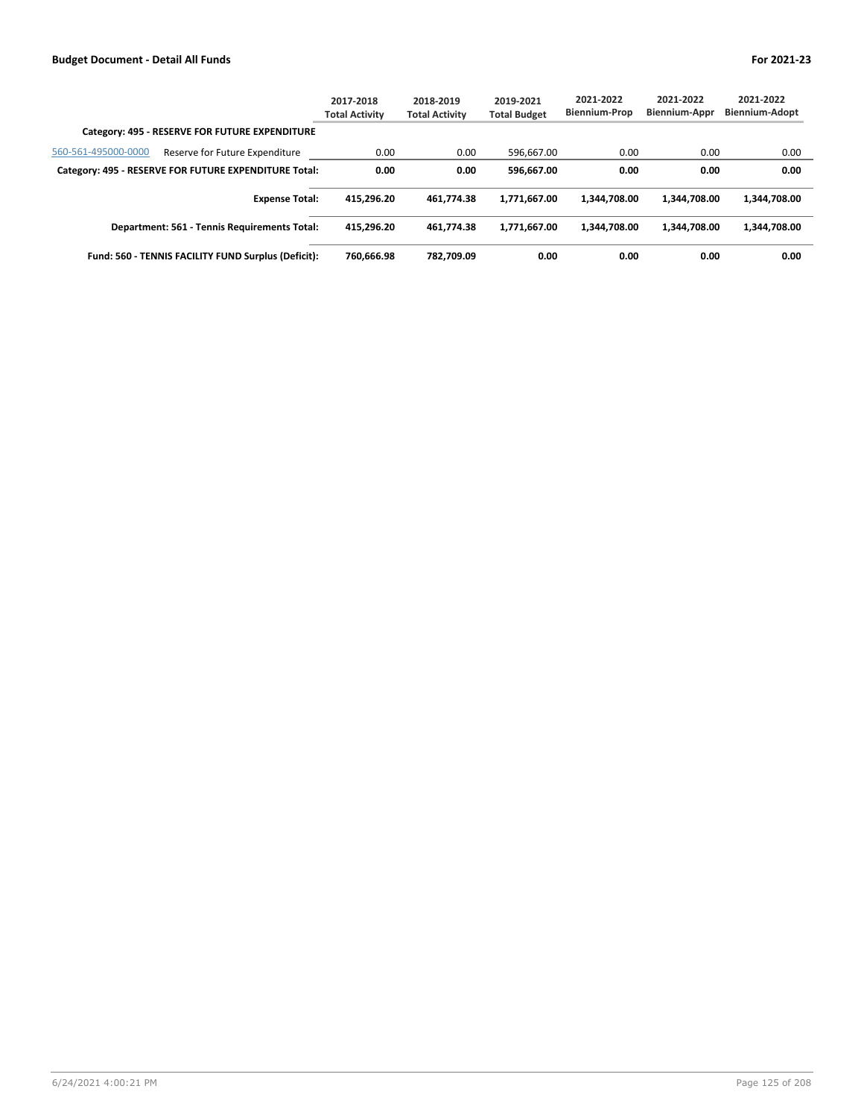|                                                |                                                       | 2017-2018<br><b>Total Activity</b> | 2018-2019<br><b>Total Activity</b> | 2019-2021<br><b>Total Budget</b> | 2021-2022<br><b>Biennium-Prop</b> | 2021-2022<br><b>Biennium-Appr</b> | 2021-2022<br><b>Biennium-Adopt</b> |
|------------------------------------------------|-------------------------------------------------------|------------------------------------|------------------------------------|----------------------------------|-----------------------------------|-----------------------------------|------------------------------------|
| Category: 495 - RESERVE FOR FUTURE EXPENDITURE |                                                       |                                    |                                    |                                  |                                   |                                   |                                    |
| 560-561-495000-0000                            | Reserve for Future Expenditure                        | 0.00                               | 0.00                               | 596.667.00                       | 0.00                              | 0.00                              | 0.00                               |
|                                                | Category: 495 - RESERVE FOR FUTURE EXPENDITURE Total: | 0.00                               | 0.00                               | 596.667.00                       | 0.00                              | 0.00                              | 0.00                               |
|                                                | <b>Expense Total:</b>                                 | 415.296.20                         | 461.774.38                         | 1,771,667.00                     | 1.344.708.00                      | 1.344.708.00                      | 1,344,708.00                       |
|                                                | Department: 561 - Tennis Requirements Total:          | 415.296.20                         | 461.774.38                         | 1,771,667.00                     | 1.344.708.00                      | 1.344.708.00                      | 1,344,708.00                       |
|                                                | Fund: 560 - TENNIS FACILITY FUND Surplus (Deficit):   | 760.666.98                         | 782.709.09                         | 0.00                             | 0.00                              | 0.00                              | 0.00                               |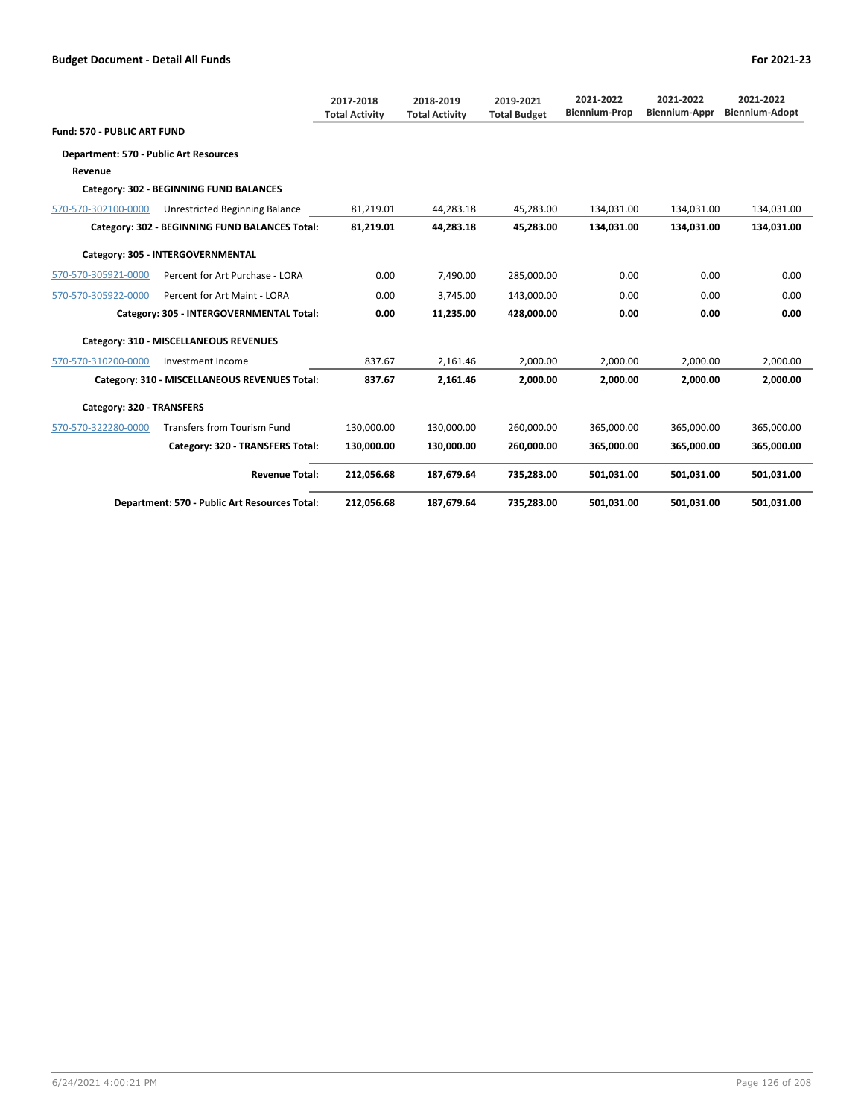|                                        |                                                | 2017-2018<br><b>Total Activity</b> | 2018-2019<br><b>Total Activity</b> | 2019-2021<br><b>Total Budget</b> | 2021-2022<br><b>Biennium-Prop</b> | 2021-2022<br><b>Biennium-Appr</b> | 2021-2022<br><b>Biennium-Adopt</b> |
|----------------------------------------|------------------------------------------------|------------------------------------|------------------------------------|----------------------------------|-----------------------------------|-----------------------------------|------------------------------------|
| Fund: 570 - PUBLIC ART FUND            |                                                |                                    |                                    |                                  |                                   |                                   |                                    |
| Department: 570 - Public Art Resources |                                                |                                    |                                    |                                  |                                   |                                   |                                    |
| Revenue                                |                                                |                                    |                                    |                                  |                                   |                                   |                                    |
|                                        | Category: 302 - BEGINNING FUND BALANCES        |                                    |                                    |                                  |                                   |                                   |                                    |
| 570-570-302100-0000                    | Unrestricted Beginning Balance                 | 81,219.01                          | 44,283.18                          | 45,283.00                        | 134,031.00                        | 134,031.00                        | 134,031.00                         |
|                                        | Category: 302 - BEGINNING FUND BALANCES Total: | 81,219.01                          | 44,283.18                          | 45,283.00                        | 134,031.00                        | 134,031.00                        | 134,031.00                         |
|                                        | Category: 305 - INTERGOVERNMENTAL              |                                    |                                    |                                  |                                   |                                   |                                    |
| 570-570-305921-0000                    | Percent for Art Purchase - LORA                | 0.00                               | 7,490.00                           | 285,000.00                       | 0.00                              | 0.00                              | 0.00                               |
| 570-570-305922-0000                    | Percent for Art Maint - LORA                   | 0.00                               | 3.745.00                           | 143.000.00                       | 0.00                              | 0.00                              | 0.00                               |
|                                        | Category: 305 - INTERGOVERNMENTAL Total:       | 0.00                               | 11,235.00                          | 428.000.00                       | 0.00                              | 0.00                              | 0.00                               |
|                                        | Category: 310 - MISCELLANEOUS REVENUES         |                                    |                                    |                                  |                                   |                                   |                                    |
| 570-570-310200-0000                    | Investment Income                              | 837.67                             | 2,161.46                           | 2,000.00                         | 2,000.00                          | 2,000.00                          | 2,000.00                           |
|                                        | Category: 310 - MISCELLANEOUS REVENUES Total:  | 837.67                             | 2,161.46                           | 2,000.00                         | 2.000.00                          | 2,000.00                          | 2,000.00                           |
| Category: 320 - TRANSFERS              |                                                |                                    |                                    |                                  |                                   |                                   |                                    |
| 570-570-322280-0000                    | <b>Transfers from Tourism Fund</b>             | 130,000.00                         | 130,000.00                         | 260,000.00                       | 365,000.00                        | 365,000.00                        | 365,000.00                         |
|                                        | Category: 320 - TRANSFERS Total:               | 130,000.00                         | 130,000.00                         | 260,000.00                       | 365,000.00                        | 365,000.00                        | 365,000.00                         |
|                                        | <b>Revenue Total:</b>                          | 212,056.68                         | 187,679.64                         | 735,283.00                       | 501.031.00                        | 501.031.00                        | 501,031.00                         |
|                                        | Department: 570 - Public Art Resources Total:  | 212,056.68                         | 187,679.64                         | 735,283.00                       | 501,031.00                        | 501,031.00                        | 501,031.00                         |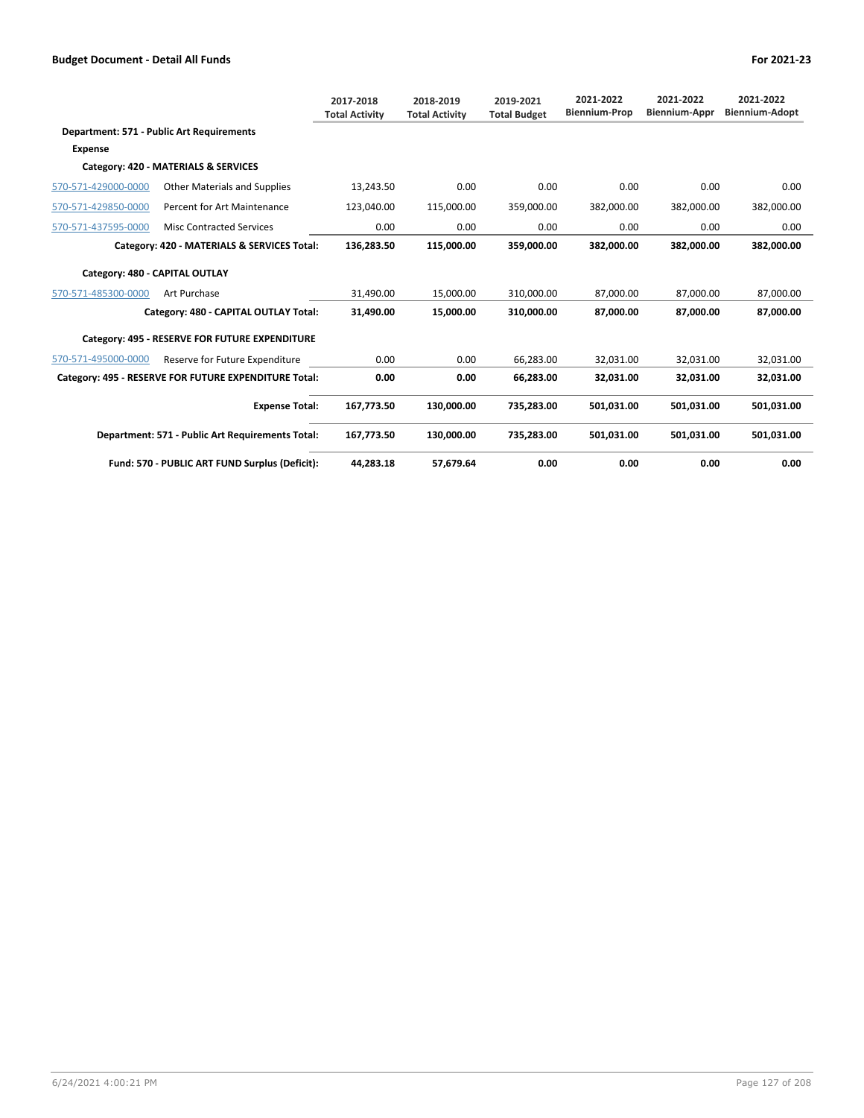|                                |                                                       | 2017-2018<br><b>Total Activity</b> | 2018-2019<br><b>Total Activity</b> | 2019-2021<br><b>Total Budget</b> | 2021-2022<br><b>Biennium-Prop</b> | 2021-2022<br><b>Biennium-Appr</b> | 2021-2022<br><b>Biennium-Adopt</b> |
|--------------------------------|-------------------------------------------------------|------------------------------------|------------------------------------|----------------------------------|-----------------------------------|-----------------------------------|------------------------------------|
|                                | Department: 571 - Public Art Requirements             |                                    |                                    |                                  |                                   |                                   |                                    |
| Expense                        |                                                       |                                    |                                    |                                  |                                   |                                   |                                    |
|                                | Category: 420 - MATERIALS & SERVICES                  |                                    |                                    |                                  |                                   |                                   |                                    |
| 570-571-429000-0000            | <b>Other Materials and Supplies</b>                   | 13,243.50                          | 0.00                               | 0.00                             | 0.00                              | 0.00                              | 0.00                               |
| 570-571-429850-0000            | Percent for Art Maintenance                           | 123,040.00                         | 115,000.00                         | 359,000.00                       | 382,000.00                        | 382,000.00                        | 382,000.00                         |
| 570-571-437595-0000            | <b>Misc Contracted Services</b>                       | 0.00                               | 0.00                               | 0.00                             | 0.00                              | 0.00                              | 0.00                               |
|                                | Category: 420 - MATERIALS & SERVICES Total:           | 136,283.50                         | 115.000.00                         | 359.000.00                       | 382.000.00                        | 382.000.00                        | 382.000.00                         |
| Category: 480 - CAPITAL OUTLAY |                                                       |                                    |                                    |                                  |                                   |                                   |                                    |
| 570-571-485300-0000            | Art Purchase                                          | 31,490.00                          | 15,000.00                          | 310.000.00                       | 87,000.00                         | 87,000.00                         | 87,000.00                          |
|                                | Category: 480 - CAPITAL OUTLAY Total:                 | 31,490.00                          | 15,000,00                          | 310.000.00                       | 87,000.00                         | 87,000.00                         | 87,000.00                          |
|                                | Category: 495 - RESERVE FOR FUTURE EXPENDITURE        |                                    |                                    |                                  |                                   |                                   |                                    |
| 570-571-495000-0000            | Reserve for Future Expenditure                        | 0.00                               | 0.00                               | 66,283.00                        | 32.031.00                         | 32,031.00                         | 32,031.00                          |
|                                | Category: 495 - RESERVE FOR FUTURE EXPENDITURE Total: | 0.00                               | 0.00                               | 66,283.00                        | 32,031.00                         | 32,031.00                         | 32,031.00                          |
|                                | <b>Expense Total:</b>                                 | 167,773.50                         | 130,000.00                         | 735,283.00                       | 501,031.00                        | 501,031.00                        | 501,031.00                         |
|                                | Department: 571 - Public Art Requirements Total:      | 167,773.50                         | 130,000.00                         | 735,283.00                       | 501,031.00                        | 501,031.00                        | 501,031.00                         |
|                                | Fund: 570 - PUBLIC ART FUND Surplus (Deficit):        | 44.283.18                          | 57.679.64                          | 0.00                             | 0.00                              | 0.00                              | 0.00                               |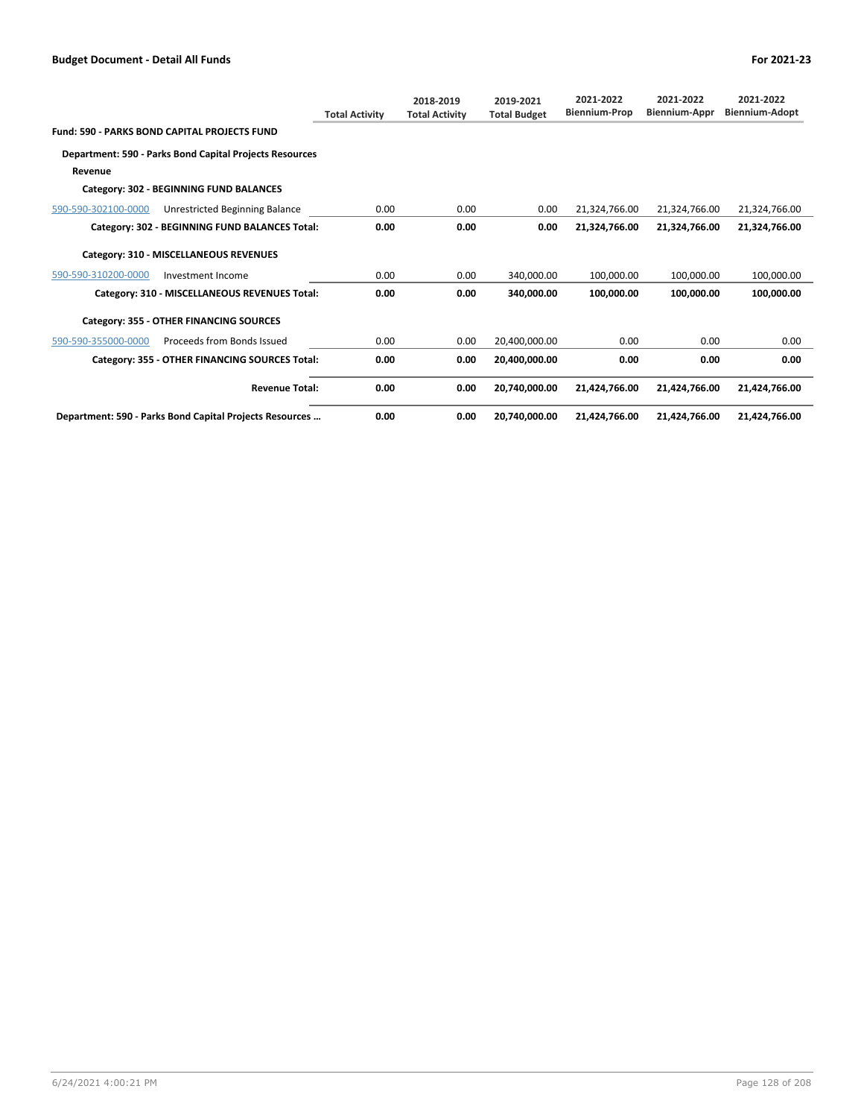|                     |                                                         | <b>Total Activity</b> | 2018-2019<br><b>Total Activity</b> | 2019-2021<br><b>Total Budget</b> | 2021-2022<br><b>Biennium-Prop</b> | 2021-2022<br>Biennium-Appr | 2021-2022<br><b>Biennium-Adopt</b> |
|---------------------|---------------------------------------------------------|-----------------------|------------------------------------|----------------------------------|-----------------------------------|----------------------------|------------------------------------|
|                     | <b>Fund: 590 - PARKS BOND CAPITAL PROJECTS FUND</b>     |                       |                                    |                                  |                                   |                            |                                    |
|                     | Department: 590 - Parks Bond Capital Projects Resources |                       |                                    |                                  |                                   |                            |                                    |
| Revenue             |                                                         |                       |                                    |                                  |                                   |                            |                                    |
|                     | Category: 302 - BEGINNING FUND BALANCES                 |                       |                                    |                                  |                                   |                            |                                    |
| 590-590-302100-0000 | Unrestricted Beginning Balance                          | 0.00                  | 0.00                               | 0.00                             | 21,324,766.00                     | 21,324,766.00              | 21,324,766.00                      |
|                     | Category: 302 - BEGINNING FUND BALANCES Total:          | 0.00                  | 0.00                               | 0.00                             | 21,324,766.00                     | 21,324,766.00              | 21,324,766.00                      |
|                     | Category: 310 - MISCELLANEOUS REVENUES                  |                       |                                    |                                  |                                   |                            |                                    |
| 590-590-310200-0000 | Investment Income                                       | 0.00                  | 0.00                               | 340.000.00                       | 100,000.00                        | 100,000.00                 | 100,000.00                         |
|                     | Category: 310 - MISCELLANEOUS REVENUES Total:           | 0.00                  | 0.00                               | 340.000.00                       | 100.000.00                        | 100.000.00                 | 100.000.00                         |
|                     | Category: 355 - OTHER FINANCING SOURCES                 |                       |                                    |                                  |                                   |                            |                                    |
| 590-590-355000-0000 | Proceeds from Bonds Issued                              | 0.00                  | 0.00                               | 20,400,000.00                    | 0.00                              | 0.00                       | 0.00                               |
|                     | Category: 355 - OTHER FINANCING SOURCES Total:          | 0.00                  | 0.00                               | 20,400,000.00                    | 0.00                              | 0.00                       | 0.00                               |
|                     | <b>Revenue Total:</b>                                   | 0.00                  | 0.00                               | 20,740,000.00                    | 21,424,766.00                     | 21,424,766.00              | 21,424,766.00                      |
|                     | Department: 590 - Parks Bond Capital Projects Resources | 0.00                  | 0.00                               | 20,740,000.00                    | 21.424.766.00                     | 21.424.766.00              | 21.424.766.00                      |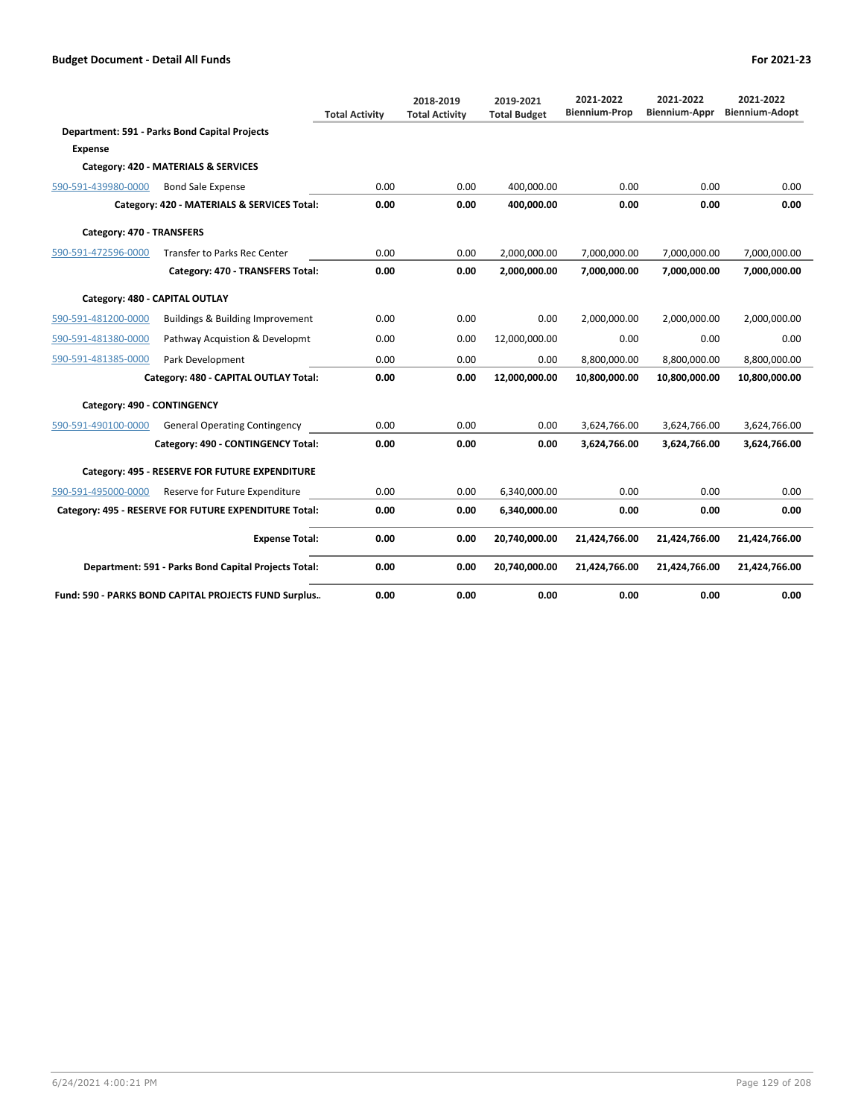|                             |                                                       | <b>Total Activity</b> | 2018-2019<br><b>Total Activity</b> | 2019-2021<br><b>Total Budget</b> | 2021-2022<br><b>Biennium-Prop</b> | 2021-2022<br>Biennium-Appr | 2021-2022<br><b>Biennium-Adopt</b> |
|-----------------------------|-------------------------------------------------------|-----------------------|------------------------------------|----------------------------------|-----------------------------------|----------------------------|------------------------------------|
|                             | Department: 591 - Parks Bond Capital Projects         |                       |                                    |                                  |                                   |                            |                                    |
| <b>Expense</b>              |                                                       |                       |                                    |                                  |                                   |                            |                                    |
|                             | Category: 420 - MATERIALS & SERVICES                  |                       |                                    |                                  |                                   |                            |                                    |
| 590-591-439980-0000         | <b>Bond Sale Expense</b>                              | 0.00                  | 0.00                               | 400.000.00                       | 0.00                              | 0.00                       | 0.00                               |
|                             | Category: 420 - MATERIALS & SERVICES Total:           | 0.00                  | 0.00                               | 400.000.00                       | 0.00                              | 0.00                       | 0.00                               |
| Category: 470 - TRANSFERS   |                                                       |                       |                                    |                                  |                                   |                            |                                    |
| 590-591-472596-0000         | Transfer to Parks Rec Center                          | 0.00                  | 0.00                               | 2,000,000.00                     | 7,000,000.00                      | 7,000,000.00               | 7,000,000.00                       |
|                             | Category: 470 - TRANSFERS Total:                      | 0.00                  | 0.00                               | 2,000,000.00                     | 7,000,000.00                      | 7,000,000.00               | 7,000,000.00                       |
|                             | Category: 480 - CAPITAL OUTLAY                        |                       |                                    |                                  |                                   |                            |                                    |
| 590-591-481200-0000         | Buildings & Building Improvement                      | 0.00                  | 0.00                               | 0.00                             | 2,000,000.00                      | 2,000,000.00               | 2,000,000.00                       |
| 590-591-481380-0000         | Pathway Acquistion & Developmt                        | 0.00                  | 0.00                               | 12,000,000.00                    | 0.00                              | 0.00                       | 0.00                               |
| 590-591-481385-0000         | Park Development                                      | 0.00                  | 0.00                               | 0.00                             | 8,800,000.00                      | 8,800,000.00               | 8,800,000.00                       |
|                             | Category: 480 - CAPITAL OUTLAY Total:                 | 0.00                  | 0.00                               | 12,000,000.00                    | 10,800,000.00                     | 10,800,000.00              | 10,800,000.00                      |
| Category: 490 - CONTINGENCY |                                                       |                       |                                    |                                  |                                   |                            |                                    |
| 590-591-490100-0000         | <b>General Operating Contingency</b>                  | 0.00                  | 0.00                               | 0.00                             | 3,624,766.00                      | 3,624,766.00               | 3,624,766.00                       |
|                             | Category: 490 - CONTINGENCY Total:                    | 0.00                  | 0.00                               | 0.00                             | 3,624,766.00                      | 3,624,766.00               | 3,624,766.00                       |
|                             | Category: 495 - RESERVE FOR FUTURE EXPENDITURE        |                       |                                    |                                  |                                   |                            |                                    |
| 590-591-495000-0000         | Reserve for Future Expenditure                        | 0.00                  | 0.00                               | 6,340,000.00                     | 0.00                              | 0.00                       | 0.00                               |
|                             | Category: 495 - RESERVE FOR FUTURE EXPENDITURE Total: | 0.00                  | 0.00                               | 6,340,000.00                     | 0.00                              | 0.00                       | 0.00                               |
|                             | <b>Expense Total:</b>                                 | 0.00                  | 0.00                               | 20,740,000.00                    | 21,424,766.00                     | 21,424,766.00              | 21,424,766.00                      |
|                             | Department: 591 - Parks Bond Capital Projects Total:  | 0.00                  | 0.00                               | 20,740,000.00                    | 21,424,766.00                     | 21,424,766.00              | 21,424,766.00                      |
|                             | Fund: 590 - PARKS BOND CAPITAL PROJECTS FUND Surplus  | 0.00                  | 0.00                               | 0.00                             | 0.00                              | 0.00                       | 0.00                               |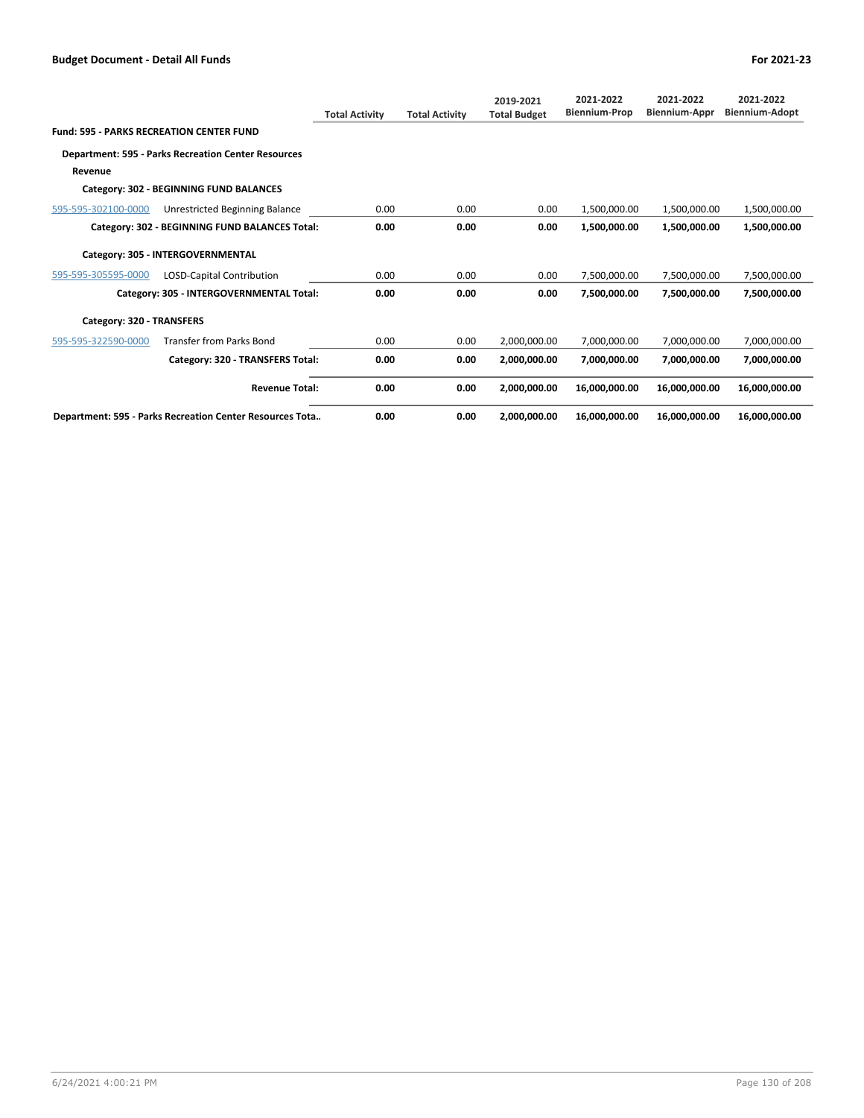|                                                 |                                                            | <b>Total Activity</b> | <b>Total Activity</b> | 2019-2021<br><b>Total Budget</b> | 2021-2022<br><b>Biennium-Prop</b> | 2021-2022<br><b>Biennium-Appr</b> | 2021-2022<br><b>Biennium-Adopt</b> |
|-------------------------------------------------|------------------------------------------------------------|-----------------------|-----------------------|----------------------------------|-----------------------------------|-----------------------------------|------------------------------------|
| <b>Fund: 595 - PARKS RECREATION CENTER FUND</b> |                                                            |                       |                       |                                  |                                   |                                   |                                    |
|                                                 | <b>Department: 595 - Parks Recreation Center Resources</b> |                       |                       |                                  |                                   |                                   |                                    |
| Revenue                                         |                                                            |                       |                       |                                  |                                   |                                   |                                    |
|                                                 | Category: 302 - BEGINNING FUND BALANCES                    |                       |                       |                                  |                                   |                                   |                                    |
| 595-595-302100-0000                             | Unrestricted Beginning Balance                             | 0.00                  | 0.00                  | 0.00                             | 1,500,000.00                      | 1,500,000.00                      | 1,500,000.00                       |
|                                                 | Category: 302 - BEGINNING FUND BALANCES Total:             | 0.00                  | 0.00                  | 0.00                             | 1,500,000.00                      | 1,500,000.00                      | 1,500,000.00                       |
|                                                 | Category: 305 - INTERGOVERNMENTAL                          |                       |                       |                                  |                                   |                                   |                                    |
| 595-595-305595-0000                             | LOSD-Capital Contribution                                  | 0.00                  | 0.00                  | 0.00                             | 7,500,000.00                      | 7,500,000.00                      | 7,500,000.00                       |
|                                                 | Category: 305 - INTERGOVERNMENTAL Total:                   | 0.00                  | 0.00                  | 0.00                             | 7,500,000.00                      | 7,500,000.00                      | 7,500,000.00                       |
| Category: 320 - TRANSFERS                       |                                                            |                       |                       |                                  |                                   |                                   |                                    |
| 595-595-322590-0000                             | <b>Transfer from Parks Bond</b>                            | 0.00                  | 0.00                  | 2,000,000.00                     | 7,000,000.00                      | 7,000,000.00                      | 7,000,000.00                       |
|                                                 | Category: 320 - TRANSFERS Total:                           | 0.00                  | 0.00                  | 2,000,000.00                     | 7,000,000.00                      | 7,000,000.00                      | 7,000,000.00                       |
|                                                 | <b>Revenue Total:</b>                                      | 0.00                  | 0.00                  | 2,000,000.00                     | 16,000,000.00                     | 16,000,000.00                     | 16,000,000.00                      |
|                                                 | Department: 595 - Parks Recreation Center Resources Tota   | 0.00                  | 0.00                  | 2,000,000.00                     | 16,000,000.00                     | 16,000,000.00                     | 16,000,000.00                      |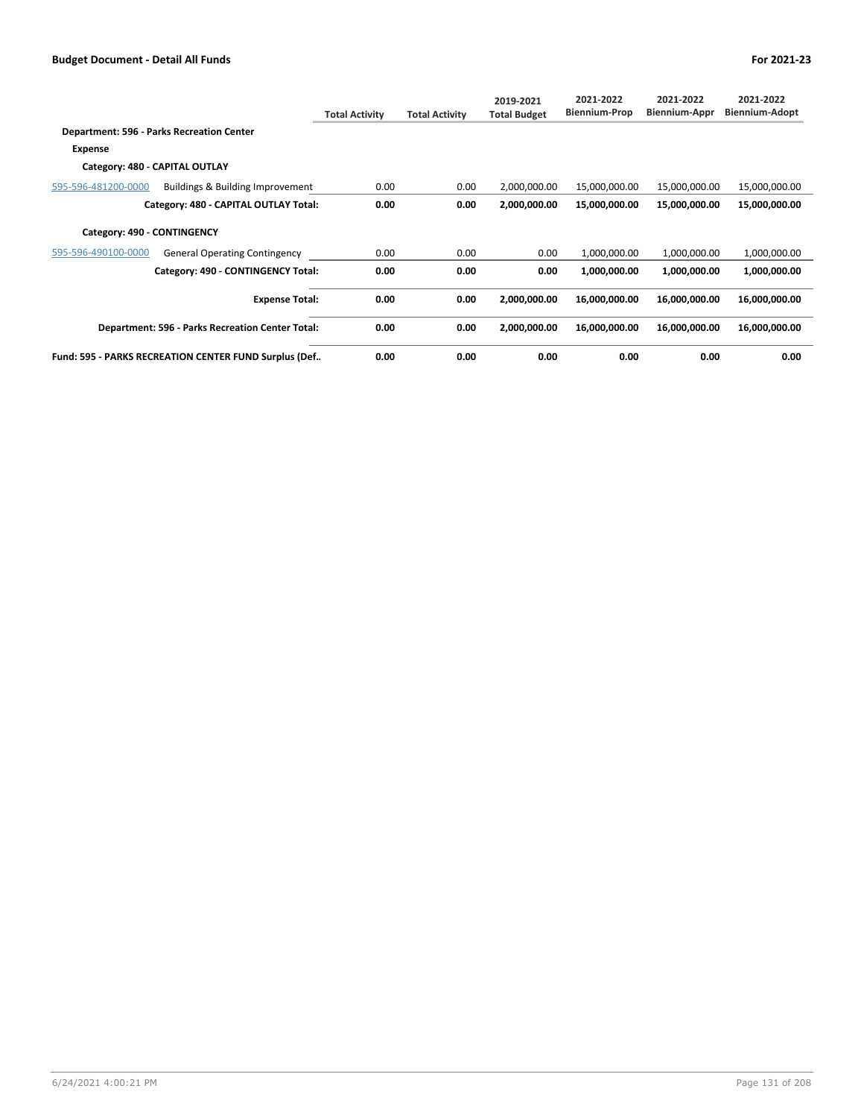|                             |                                                       | <b>Total Activity</b> | <b>Total Activity</b> | 2019-2021<br><b>Total Budget</b> | 2021-2022<br><b>Biennium-Prop</b> | 2021-2022<br><b>Biennium-Appr</b> | 2021-2022<br>Biennium-Adopt |
|-----------------------------|-------------------------------------------------------|-----------------------|-----------------------|----------------------------------|-----------------------------------|-----------------------------------|-----------------------------|
|                             | Department: 596 - Parks Recreation Center             |                       |                       |                                  |                                   |                                   |                             |
| Expense                     |                                                       |                       |                       |                                  |                                   |                                   |                             |
|                             | Category: 480 - CAPITAL OUTLAY                        |                       |                       |                                  |                                   |                                   |                             |
| 595-596-481200-0000         | Buildings & Building Improvement                      | 0.00                  | 0.00                  | 2,000,000.00                     | 15,000,000.00                     | 15,000,000.00                     | 15,000,000.00               |
|                             | Category: 480 - CAPITAL OUTLAY Total:                 | 0.00                  | 0.00                  | 2,000,000.00                     | 15,000,000.00                     | 15,000,000.00                     | 15,000,000.00               |
| Category: 490 - CONTINGENCY |                                                       |                       |                       |                                  |                                   |                                   |                             |
| 595-596-490100-0000         | <b>General Operating Contingency</b>                  | 0.00                  | 0.00                  | 0.00                             | 1,000,000.00                      | 1,000,000.00                      | 1,000,000.00                |
|                             | Category: 490 - CONTINGENCY Total:                    | 0.00                  | 0.00                  | 0.00                             | 1,000,000.00                      | 1,000,000.00                      | 1,000,000.00                |
|                             | <b>Expense Total:</b>                                 | 0.00                  | 0.00                  | 2,000,000.00                     | 16,000,000.00                     | 16,000,000.00                     | 16,000,000.00               |
|                             | Department: 596 - Parks Recreation Center Total:      | 0.00                  | 0.00                  | 2,000,000.00                     | 16,000,000.00                     | 16,000,000.00                     | 16,000,000.00               |
|                             | Fund: 595 - PARKS RECREATION CENTER FUND Surplus (Def | 0.00                  | 0.00                  | 0.00                             | 0.00                              | 0.00                              | 0.00                        |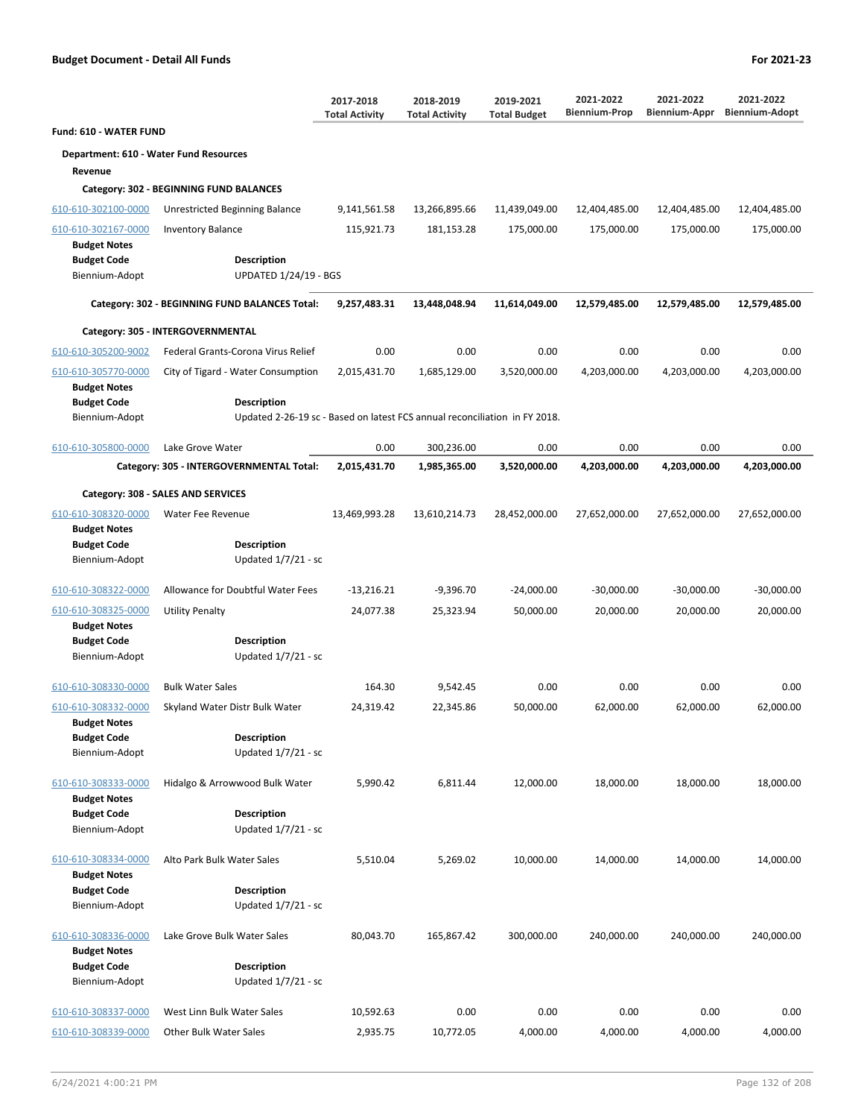|                                            |                                                                            | 2017-2018<br><b>Total Activity</b> | 2018-2019<br><b>Total Activity</b> | 2019-2021<br><b>Total Budget</b> | 2021-2022<br><b>Biennium-Prop</b> | 2021-2022<br>Biennium-Appr | 2021-2022<br><b>Biennium-Adopt</b> |
|--------------------------------------------|----------------------------------------------------------------------------|------------------------------------|------------------------------------|----------------------------------|-----------------------------------|----------------------------|------------------------------------|
| Fund: 610 - WATER FUND                     |                                                                            |                                    |                                    |                                  |                                   |                            |                                    |
| Department: 610 - Water Fund Resources     |                                                                            |                                    |                                    |                                  |                                   |                            |                                    |
| Revenue                                    |                                                                            |                                    |                                    |                                  |                                   |                            |                                    |
|                                            | Category: 302 - BEGINNING FUND BALANCES                                    |                                    |                                    |                                  |                                   |                            |                                    |
| 610-610-302100-0000                        | Unrestricted Beginning Balance                                             | 9,141,561.58                       | 13,266,895.66                      | 11,439,049.00                    | 12,404,485.00                     | 12,404,485.00              | 12,404,485.00                      |
| 610-610-302167-0000<br><b>Budget Notes</b> | <b>Inventory Balance</b>                                                   | 115,921.73                         | 181,153.28                         | 175,000.00                       | 175,000.00                        | 175,000.00                 | 175,000.00                         |
| <b>Budget Code</b><br>Biennium-Adopt       | Description<br><b>UPDATED 1/24/19 - BGS</b>                                |                                    |                                    |                                  |                                   |                            |                                    |
|                                            | Category: 302 - BEGINNING FUND BALANCES Total:                             | 9,257,483.31                       | 13,448,048.94                      | 11,614,049.00                    | 12,579,485.00                     | 12,579,485.00              | 12,579,485.00                      |
|                                            | Category: 305 - INTERGOVERNMENTAL                                          |                                    |                                    |                                  |                                   |                            |                                    |
| 610-610-305200-9002                        | Federal Grants-Corona Virus Relief                                         | 0.00                               | 0.00                               | 0.00                             | 0.00                              | 0.00                       | 0.00                               |
| 610-610-305770-0000<br><b>Budget Notes</b> | City of Tigard - Water Consumption                                         | 2,015,431.70                       | 1,685,129.00                       | 3,520,000.00                     | 4,203,000.00                      | 4,203,000.00               | 4,203,000.00                       |
| <b>Budget Code</b>                         | Description                                                                |                                    |                                    |                                  |                                   |                            |                                    |
| Biennium-Adopt                             | Updated 2-26-19 sc - Based on latest FCS annual reconciliation in FY 2018. |                                    |                                    |                                  |                                   |                            |                                    |
| 610-610-305800-0000                        | Lake Grove Water                                                           | 0.00                               | 300,236.00                         | 0.00                             | 0.00                              | 0.00                       | 0.00                               |
|                                            | Category: 305 - INTERGOVERNMENTAL Total:                                   | 2,015,431.70                       | 1,985,365.00                       | 3,520,000.00                     | 4,203,000.00                      | 4,203,000.00               | 4,203,000.00                       |
|                                            | Category: 308 - SALES AND SERVICES                                         |                                    |                                    |                                  |                                   |                            |                                    |
| 610-610-308320-0000<br><b>Budget Notes</b> | Water Fee Revenue                                                          | 13,469,993.28                      | 13,610,214.73                      | 28,452,000.00                    | 27,652,000.00                     | 27,652,000.00              | 27,652,000.00                      |
| <b>Budget Code</b><br>Biennium-Adopt       | Description<br>Updated $1/7/21$ - sc                                       |                                    |                                    |                                  |                                   |                            |                                    |
| 610-610-308322-0000                        | Allowance for Doubtful Water Fees                                          | $-13,216.21$                       | $-9,396.70$                        | $-24,000.00$                     | $-30,000.00$                      | $-30,000.00$               | $-30,000.00$                       |
| 610-610-308325-0000<br><b>Budget Notes</b> | <b>Utility Penalty</b>                                                     | 24,077.38                          | 25,323.94                          | 50,000.00                        | 20,000.00                         | 20,000.00                  | 20,000.00                          |
| <b>Budget Code</b><br>Biennium-Adopt       | Description<br>Updated 1/7/21 - sc                                         |                                    |                                    |                                  |                                   |                            |                                    |
| 610-610-308330-0000                        | <b>Bulk Water Sales</b>                                                    | 164.30                             | 9,542.45                           | 0.00                             | 0.00                              | 0.00                       | 0.00                               |
| 610-610-308332-0000<br><b>Budget Notes</b> | Skyland Water Distr Bulk Water                                             | 24,319.42                          | 22,345.86                          | 50,000.00                        | 62,000.00                         | 62,000.00                  | 62,000.00                          |
| <b>Budget Code</b><br>Biennium-Adopt       | <b>Description</b><br>Updated 1/7/21 - sc                                  |                                    |                                    |                                  |                                   |                            |                                    |
| 610-610-308333-0000<br><b>Budget Notes</b> | Hidalgo & Arrowwood Bulk Water                                             | 5,990.42                           | 6,811.44                           | 12,000.00                        | 18,000.00                         | 18,000.00                  | 18,000.00                          |
| <b>Budget Code</b><br>Biennium-Adopt       | <b>Description</b><br>Updated 1/7/21 - sc                                  |                                    |                                    |                                  |                                   |                            |                                    |
| 610-610-308334-0000<br><b>Budget Notes</b> | Alto Park Bulk Water Sales                                                 | 5,510.04                           | 5,269.02                           | 10,000.00                        | 14,000.00                         | 14,000.00                  | 14,000.00                          |
| <b>Budget Code</b><br>Biennium-Adopt       | Description<br>Updated 1/7/21 - sc                                         |                                    |                                    |                                  |                                   |                            |                                    |
| 610-610-308336-0000<br><b>Budget Notes</b> | Lake Grove Bulk Water Sales                                                | 80,043.70                          | 165,867.42                         | 300,000.00                       | 240,000.00                        | 240,000.00                 | 240,000.00                         |
| <b>Budget Code</b><br>Biennium-Adopt       | Description<br>Updated 1/7/21 - sc                                         |                                    |                                    |                                  |                                   |                            |                                    |
| 610-610-308337-0000                        | West Linn Bulk Water Sales                                                 | 10,592.63                          | 0.00                               | 0.00                             | 0.00                              | 0.00                       | 0.00                               |
| 610-610-308339-0000                        | Other Bulk Water Sales                                                     | 2,935.75                           | 10,772.05                          | 4,000.00                         | 4,000.00                          | 4,000.00                   | 4,000.00                           |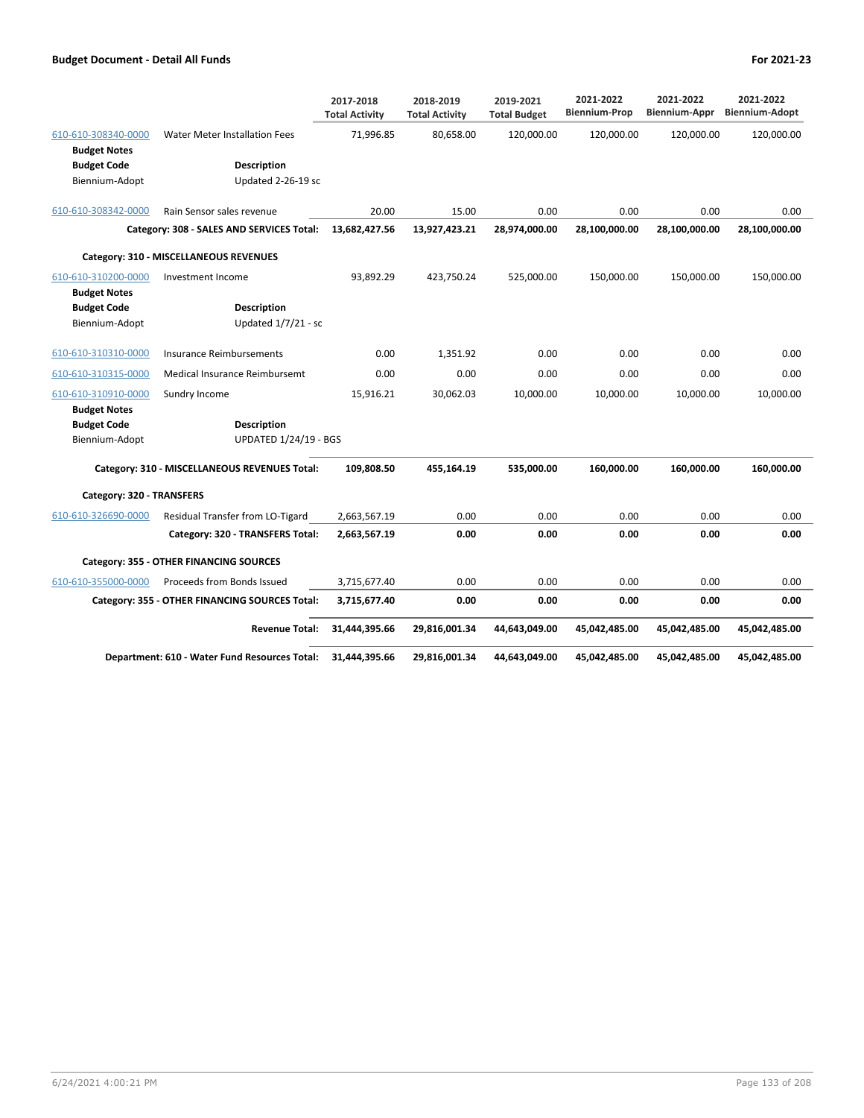|                           |                                                | 2017-2018<br><b>Total Activity</b> | 2018-2019<br><b>Total Activity</b> | 2019-2021<br><b>Total Budget</b> | 2021-2022<br><b>Biennium-Prop</b> | 2021-2022<br>Biennium-Appr | 2021-2022<br><b>Biennium-Adopt</b> |
|---------------------------|------------------------------------------------|------------------------------------|------------------------------------|----------------------------------|-----------------------------------|----------------------------|------------------------------------|
| 610-610-308340-0000       | <b>Water Meter Installation Fees</b>           | 71,996.85                          | 80,658.00                          | 120,000.00                       | 120,000.00                        | 120,000.00                 | 120,000.00                         |
| <b>Budget Notes</b>       |                                                |                                    |                                    |                                  |                                   |                            |                                    |
| <b>Budget Code</b>        | <b>Description</b>                             |                                    |                                    |                                  |                                   |                            |                                    |
| Biennium-Adopt            | Updated 2-26-19 sc                             |                                    |                                    |                                  |                                   |                            |                                    |
| 610-610-308342-0000       | Rain Sensor sales revenue                      | 20.00                              | 15.00                              | 0.00                             | 0.00                              | 0.00                       | 0.00                               |
|                           | Category: 308 - SALES AND SERVICES Total:      | 13,682,427.56                      | 13,927,423.21                      | 28,974,000.00                    | 28,100,000.00                     | 28,100,000.00              | 28,100,000.00                      |
|                           | Category: 310 - MISCELLANEOUS REVENUES         |                                    |                                    |                                  |                                   |                            |                                    |
| 610-610-310200-0000       | Investment Income                              | 93,892.29                          | 423,750.24                         | 525,000.00                       | 150,000.00                        | 150,000.00                 | 150,000.00                         |
| <b>Budget Notes</b>       |                                                |                                    |                                    |                                  |                                   |                            |                                    |
| <b>Budget Code</b>        | <b>Description</b>                             |                                    |                                    |                                  |                                   |                            |                                    |
| Biennium-Adopt            | Updated 1/7/21 - sc                            |                                    |                                    |                                  |                                   |                            |                                    |
| 610-610-310310-0000       | Insurance Reimbursements                       | 0.00                               | 1,351.92                           | 0.00                             | 0.00                              | 0.00                       | 0.00                               |
| 610-610-310315-0000       | Medical Insurance Reimbursemt                  | 0.00                               | 0.00                               | 0.00                             | 0.00                              | 0.00                       | 0.00                               |
| 610-610-310910-0000       | Sundry Income                                  | 15,916.21                          | 30,062.03                          | 10,000.00                        | 10,000.00                         | 10,000.00                  | 10,000.00                          |
| <b>Budget Notes</b>       |                                                |                                    |                                    |                                  |                                   |                            |                                    |
| <b>Budget Code</b>        | <b>Description</b>                             |                                    |                                    |                                  |                                   |                            |                                    |
| Biennium-Adopt            | <b>UPDATED 1/24/19 - BGS</b>                   |                                    |                                    |                                  |                                   |                            |                                    |
|                           | Category: 310 - MISCELLANEOUS REVENUES Total:  | 109,808.50                         | 455,164.19                         | 535,000.00                       | 160,000.00                        | 160,000.00                 | 160,000.00                         |
| Category: 320 - TRANSFERS |                                                |                                    |                                    |                                  |                                   |                            |                                    |
| 610-610-326690-0000       | Residual Transfer from LO-Tigard               | 2,663,567.19                       | 0.00                               | 0.00                             | 0.00                              | 0.00                       | 0.00                               |
|                           | Category: 320 - TRANSFERS Total:               | 2,663,567.19                       | 0.00                               | 0.00                             | 0.00                              | 0.00                       | 0.00                               |
|                           | Category: 355 - OTHER FINANCING SOURCES        |                                    |                                    |                                  |                                   |                            |                                    |
| 610-610-355000-0000       | Proceeds from Bonds Issued                     | 3,715,677.40                       | 0.00                               | 0.00                             | 0.00                              | 0.00                       | 0.00                               |
|                           | Category: 355 - OTHER FINANCING SOURCES Total: | 3,715,677.40                       | 0.00                               | 0.00                             | 0.00                              | 0.00                       | 0.00                               |
|                           | <b>Revenue Total:</b>                          | 31,444,395.66                      | 29,816,001.34                      | 44,643,049.00                    | 45,042,485.00                     | 45,042,485.00              | 45,042,485.00                      |
|                           | Department: 610 - Water Fund Resources Total:  | 31,444,395.66                      | 29,816,001.34                      | 44,643,049.00                    | 45,042,485.00                     | 45,042,485.00              | 45,042,485.00                      |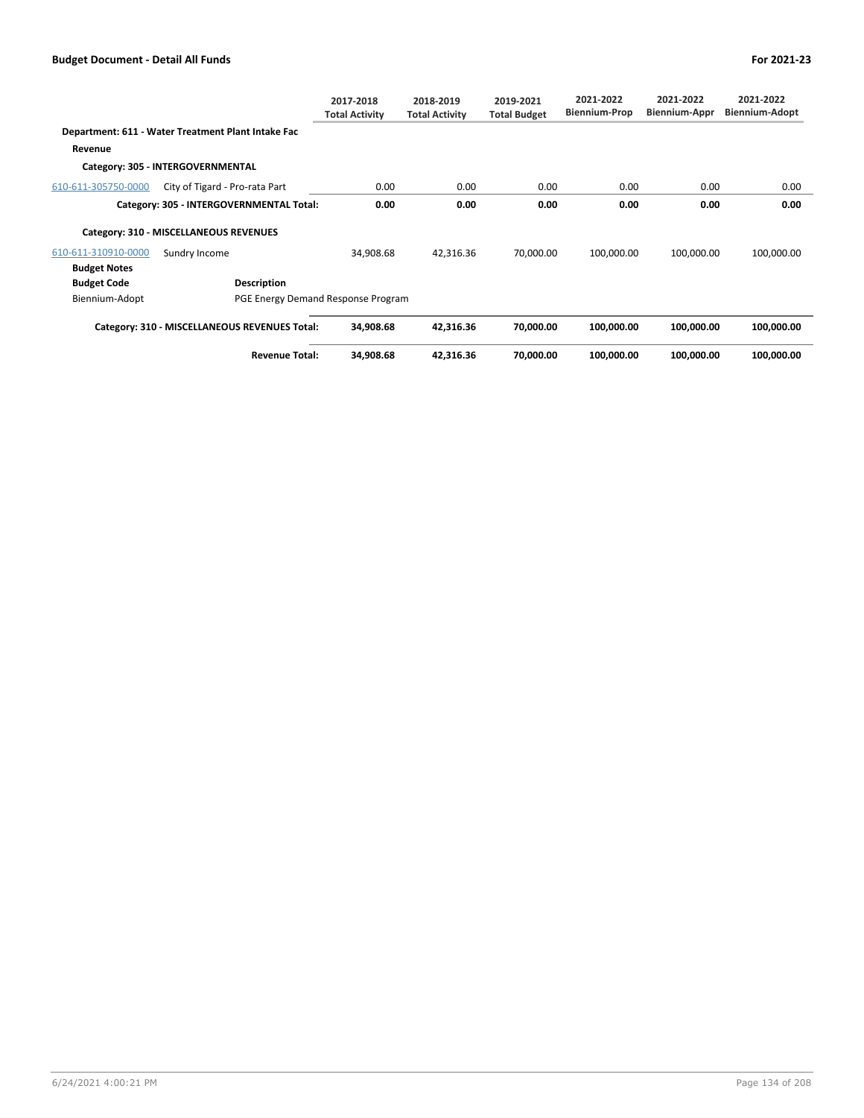|                     |                                                    | 2017-2018<br><b>Total Activity</b> | 2018-2019<br><b>Total Activity</b> | 2019-2021<br><b>Total Budget</b> | 2021-2022<br><b>Biennium-Prop</b> | 2021-2022<br>Biennium-Appr | 2021-2022<br><b>Biennium-Adopt</b> |
|---------------------|----------------------------------------------------|------------------------------------|------------------------------------|----------------------------------|-----------------------------------|----------------------------|------------------------------------|
|                     | Department: 611 - Water Treatment Plant Intake Fac |                                    |                                    |                                  |                                   |                            |                                    |
| Revenue             |                                                    |                                    |                                    |                                  |                                   |                            |                                    |
|                     | Category: 305 - INTERGOVERNMENTAL                  |                                    |                                    |                                  |                                   |                            |                                    |
| 610-611-305750-0000 | City of Tigard - Pro-rata Part                     | 0.00                               | 0.00                               | 0.00                             | 0.00                              | 0.00                       | 0.00                               |
|                     | Category: 305 - INTERGOVERNMENTAL Total:           | 0.00                               | 0.00                               | 0.00                             | 0.00                              | 0.00                       | 0.00                               |
|                     | Category: 310 - MISCELLANEOUS REVENUES             |                                    |                                    |                                  |                                   |                            |                                    |
| 610-611-310910-0000 | Sundry Income                                      | 34,908.68                          | 42,316.36                          | 70,000.00                        | 100,000.00                        | 100,000.00                 | 100,000.00                         |
| <b>Budget Notes</b> |                                                    |                                    |                                    |                                  |                                   |                            |                                    |
| <b>Budget Code</b>  | Description                                        |                                    |                                    |                                  |                                   |                            |                                    |
| Biennium-Adopt      | PGE Energy Demand Response Program                 |                                    |                                    |                                  |                                   |                            |                                    |
|                     | Category: 310 - MISCELLANEOUS REVENUES Total:      | 34,908.68                          | 42,316.36                          | 70,000.00                        | 100,000.00                        | 100,000.00                 | 100,000.00                         |
|                     | <b>Revenue Total:</b>                              | 34,908.68                          | 42,316.36                          | 70,000.00                        | 100,000.00                        | 100,000.00                 | 100,000.00                         |

6/24/2021 4:00:21 PM Page 134 of 208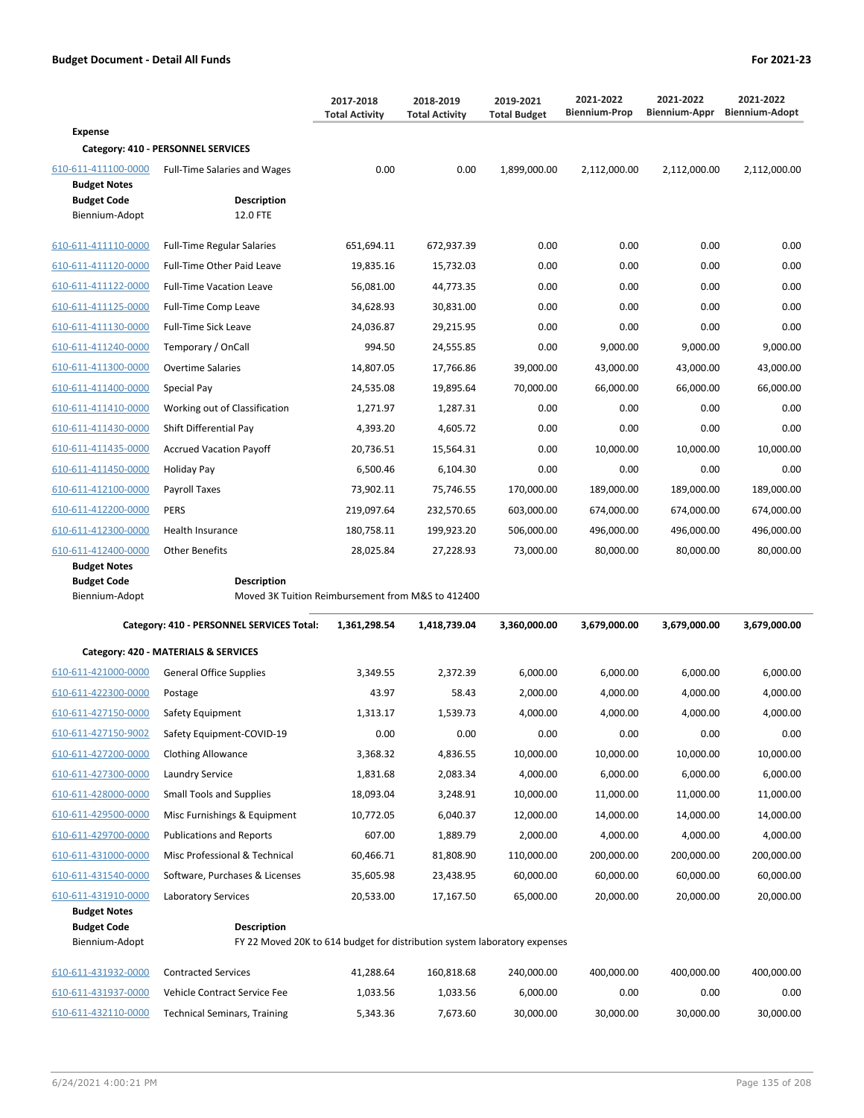|                                                                  |                                                                           | 2017-2018<br><b>Total Activity</b> | 2018-2019<br><b>Total Activity</b> | 2019-2021<br><b>Total Budget</b> | 2021-2022<br><b>Biennium-Prop</b> | 2021-2022<br>Biennium-Appr | 2021-2022<br><b>Biennium-Adopt</b> |
|------------------------------------------------------------------|---------------------------------------------------------------------------|------------------------------------|------------------------------------|----------------------------------|-----------------------------------|----------------------------|------------------------------------|
| <b>Expense</b>                                                   |                                                                           |                                    |                                    |                                  |                                   |                            |                                    |
|                                                                  | Category: 410 - PERSONNEL SERVICES                                        |                                    |                                    |                                  |                                   |                            |                                    |
| 610-611-411100-0000<br><b>Budget Notes</b><br><b>Budget Code</b> | <b>Full-Time Salaries and Wages</b><br><b>Description</b>                 | 0.00                               | 0.00                               | 1,899,000.00                     | 2,112,000.00                      | 2,112,000.00               | 2,112,000.00                       |
| Biennium-Adopt                                                   | 12.0 FTE                                                                  |                                    |                                    |                                  |                                   |                            |                                    |
| 610-611-411110-0000                                              | <b>Full-Time Regular Salaries</b>                                         | 651,694.11                         | 672,937.39                         | 0.00                             | 0.00                              | 0.00                       | 0.00                               |
| 610-611-411120-0000                                              | Full-Time Other Paid Leave                                                | 19,835.16                          | 15,732.03                          | 0.00                             | 0.00                              | 0.00                       | 0.00                               |
| 610-611-411122-0000                                              | <b>Full-Time Vacation Leave</b>                                           | 56,081.00                          | 44,773.35                          | 0.00                             | 0.00                              | 0.00                       | 0.00                               |
| 610-611-411125-0000                                              | Full-Time Comp Leave                                                      | 34,628.93                          | 30,831.00                          | 0.00                             | 0.00                              | 0.00                       | 0.00                               |
| 610-611-411130-0000                                              | Full-Time Sick Leave                                                      | 24,036.87                          | 29,215.95                          | 0.00                             | 0.00                              | 0.00                       | 0.00                               |
| 610-611-411240-0000                                              | Temporary / OnCall                                                        | 994.50                             | 24,555.85                          | 0.00                             | 9,000.00                          | 9,000.00                   | 9,000.00                           |
| 610-611-411300-0000                                              | <b>Overtime Salaries</b>                                                  | 14,807.05                          | 17,766.86                          | 39,000.00                        | 43,000.00                         | 43,000.00                  | 43,000.00                          |
| 610-611-411400-0000                                              | Special Pay                                                               | 24,535.08                          | 19,895.64                          | 70,000.00                        | 66,000.00                         | 66,000.00                  | 66,000.00                          |
| 610-611-411410-0000                                              | Working out of Classification                                             | 1,271.97                           | 1,287.31                           | 0.00                             | 0.00                              | 0.00                       | 0.00                               |
| 610-611-411430-0000                                              | Shift Differential Pay                                                    | 4,393.20                           | 4,605.72                           | 0.00                             | 0.00                              | 0.00                       | 0.00                               |
| 610-611-411435-0000                                              | <b>Accrued Vacation Payoff</b>                                            | 20,736.51                          | 15,564.31                          | 0.00                             | 10,000.00                         | 10,000.00                  | 10,000.00                          |
| 610-611-411450-0000                                              | Holiday Pay                                                               | 6,500.46                           | 6,104.30                           | 0.00                             | 0.00                              | 0.00                       | 0.00                               |
| 610-611-412100-0000                                              | Payroll Taxes                                                             | 73,902.11                          | 75,746.55                          | 170,000.00                       | 189,000.00                        | 189,000.00                 | 189,000.00                         |
| 610-611-412200-0000                                              | <b>PERS</b>                                                               | 219,097.64                         | 232,570.65                         | 603,000.00                       | 674,000.00                        | 674,000.00                 | 674,000.00                         |
| 610-611-412300-0000                                              | Health Insurance                                                          | 180,758.11                         | 199,923.20                         | 506,000.00                       | 496,000.00                        | 496,000.00                 | 496,000.00                         |
| 610-611-412400-0000                                              | <b>Other Benefits</b>                                                     | 28,025.84                          | 27,228.93                          | 73,000.00                        | 80,000.00                         | 80,000.00                  | 80,000.00                          |
| <b>Budget Notes</b><br><b>Budget Code</b>                        | <b>Description</b>                                                        |                                    |                                    |                                  |                                   |                            |                                    |
| Biennium-Adopt                                                   | Moved 3K Tuition Reimbursement from M&S to 412400                         |                                    |                                    |                                  |                                   |                            |                                    |
|                                                                  | Category: 410 - PERSONNEL SERVICES Total:                                 | 1,361,298.54                       | 1,418,739.04                       | 3,360,000.00                     | 3,679,000.00                      | 3,679,000.00               | 3,679,000.00                       |
|                                                                  | Category: 420 - MATERIALS & SERVICES                                      |                                    |                                    |                                  |                                   |                            |                                    |
| 610-611-421000-0000                                              | General Office Supplies                                                   | 3,349.55                           | 2,372.39                           | 6,000.00                         | 6,000.00                          | 6,000.00                   | 6,000.00                           |
| 610-611-422300-0000                                              | Postage                                                                   | 43.97                              | 58.43                              | 2,000.00                         | 4,000.00                          | 4,000.00                   | 4,000.00                           |
| 610-611-427150-0000                                              | Safety Equipment                                                          | 1,313.17                           | 1,539.73                           | 4,000.00                         | 4,000.00                          | 4,000.00                   | 4,000.00                           |
| 610-611-427150-9002                                              | Safety Equipment-COVID-19                                                 | 0.00                               | 0.00                               | 0.00                             | 0.00                              | 0.00                       | 0.00                               |
| 610-611-427200-0000                                              | <b>Clothing Allowance</b>                                                 | 3,368.32                           | 4,836.55                           | 10,000.00                        | 10,000.00                         | 10,000.00                  | 10,000.00                          |
| 610-611-427300-0000                                              | Laundry Service                                                           | 1,831.68                           | 2,083.34                           | 4,000.00                         | 6,000.00                          | 6,000.00                   | 6,000.00                           |
| 610-611-428000-0000                                              | <b>Small Tools and Supplies</b>                                           | 18,093.04                          | 3,248.91                           | 10,000.00                        | 11,000.00                         | 11,000.00                  | 11,000.00                          |
| 610-611-429500-0000                                              | Misc Furnishings & Equipment                                              | 10,772.05                          | 6,040.37                           | 12,000.00                        | 14,000.00                         | 14,000.00                  | 14,000.00                          |
| 610-611-429700-0000                                              | <b>Publications and Reports</b>                                           | 607.00                             | 1,889.79                           | 2,000.00                         | 4,000.00                          | 4,000.00                   | 4,000.00                           |
| 610-611-431000-0000                                              | Misc Professional & Technical                                             | 60,466.71                          | 81,808.90                          | 110,000.00                       | 200,000.00                        | 200,000.00                 | 200,000.00                         |
| 610-611-431540-0000                                              | Software, Purchases & Licenses                                            | 35,605.98                          | 23,438.95                          | 60,000.00                        | 60,000.00                         | 60,000.00                  | 60,000.00                          |
| 610-611-431910-0000                                              | Laboratory Services                                                       | 20,533.00                          | 17,167.50                          | 65,000.00                        | 20,000.00                         | 20,000.00                  | 20,000.00                          |
| <b>Budget Notes</b>                                              | <b>Description</b>                                                        |                                    |                                    |                                  |                                   |                            |                                    |
| <b>Budget Code</b><br>Biennium-Adopt                             | FY 22 Moved 20K to 614 budget for distribution system laboratory expenses |                                    |                                    |                                  |                                   |                            |                                    |
| 610-611-431932-0000                                              | <b>Contracted Services</b>                                                | 41,288.64                          | 160,818.68                         | 240,000.00                       | 400,000.00                        | 400,000.00                 | 400,000.00                         |
| 610-611-431937-0000                                              | Vehicle Contract Service Fee                                              | 1,033.56                           | 1,033.56                           | 6,000.00                         | 0.00                              | 0.00                       | 0.00                               |
| 610-611-432110-0000                                              | <b>Technical Seminars, Training</b>                                       | 5,343.36                           | 7,673.60                           | 30,000.00                        | 30,000.00                         | 30,000.00                  | 30,000.00                          |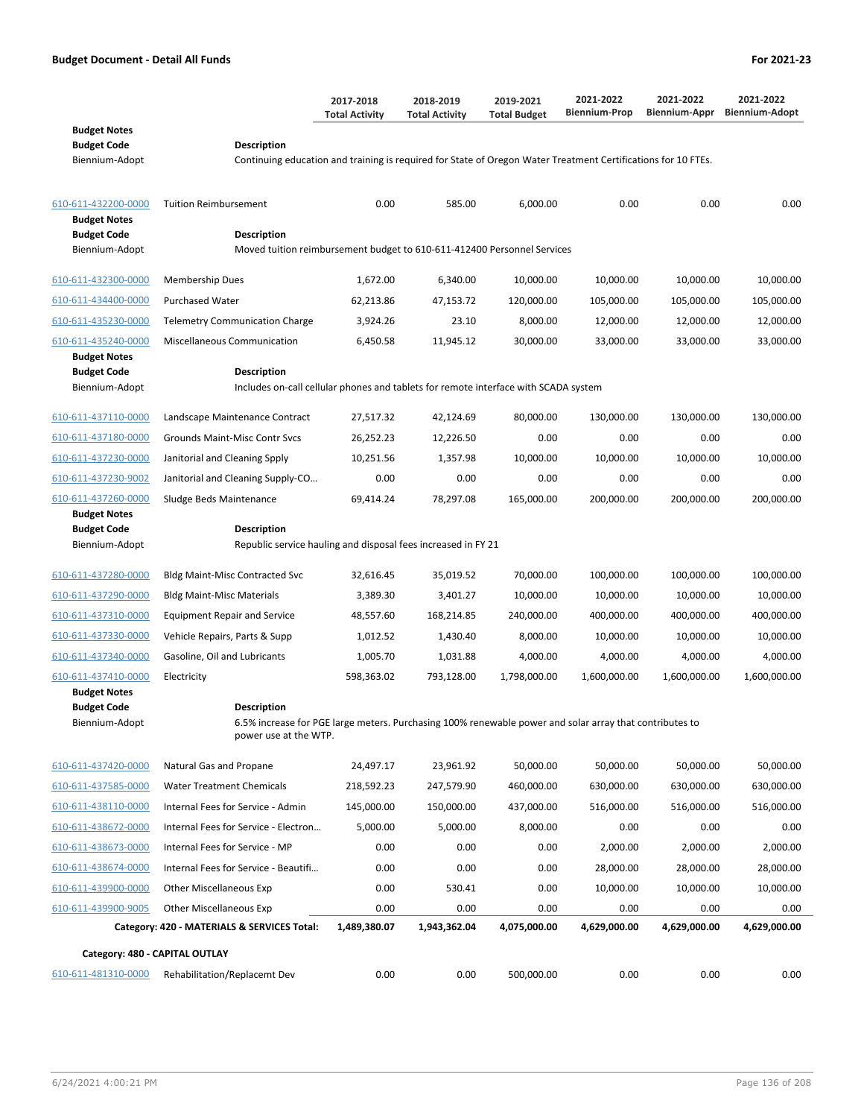|                                            |                                                                                                                                  | 2017-2018<br><b>Total Activity</b> | 2018-2019<br><b>Total Activity</b> | 2019-2021<br><b>Total Budget</b> | 2021-2022<br><b>Biennium-Prop</b> | 2021-2022<br><b>Biennium-Appr</b> | 2021-2022<br><b>Biennium-Adopt</b> |
|--------------------------------------------|----------------------------------------------------------------------------------------------------------------------------------|------------------------------------|------------------------------------|----------------------------------|-----------------------------------|-----------------------------------|------------------------------------|
| <b>Budget Notes</b>                        |                                                                                                                                  |                                    |                                    |                                  |                                   |                                   |                                    |
| <b>Budget Code</b><br>Biennium-Adopt       | Description<br>Continuing education and training is required for State of Oregon Water Treatment Certifications for 10 FTEs.     |                                    |                                    |                                  |                                   |                                   |                                    |
|                                            |                                                                                                                                  |                                    |                                    |                                  |                                   |                                   |                                    |
| 610-611-432200-0000<br><b>Budget Notes</b> | <b>Tuition Reimbursement</b>                                                                                                     | 0.00                               | 585.00                             | 6,000.00                         | 0.00                              | 0.00                              | 0.00                               |
| <b>Budget Code</b>                         | <b>Description</b>                                                                                                               |                                    |                                    |                                  |                                   |                                   |                                    |
| Biennium-Adopt                             | Moved tuition reimbursement budget to 610-611-412400 Personnel Services                                                          |                                    |                                    |                                  |                                   |                                   |                                    |
| 610-611-432300-0000                        | Membership Dues                                                                                                                  | 1,672.00                           | 6,340.00                           | 10,000.00                        | 10,000.00                         | 10,000.00                         | 10,000.00                          |
| 610-611-434400-0000                        | <b>Purchased Water</b>                                                                                                           | 62,213.86                          | 47,153.72                          | 120,000.00                       | 105,000.00                        | 105,000.00                        | 105,000.00                         |
| 610-611-435230-0000                        | <b>Telemetry Communication Charge</b>                                                                                            | 3,924.26                           | 23.10                              | 8,000.00                         | 12,000.00                         | 12,000.00                         | 12,000.00                          |
| 610-611-435240-0000                        | Miscellaneous Communication                                                                                                      | 6,450.58                           | 11,945.12                          | 30,000.00                        | 33,000.00                         | 33,000.00                         | 33,000.00                          |
| <b>Budget Notes</b><br><b>Budget Code</b>  | <b>Description</b>                                                                                                               |                                    |                                    |                                  |                                   |                                   |                                    |
| Biennium-Adopt                             | Includes on-call cellular phones and tablets for remote interface with SCADA system                                              |                                    |                                    |                                  |                                   |                                   |                                    |
| 610-611-437110-0000                        | Landscape Maintenance Contract                                                                                                   | 27,517.32                          | 42,124.69                          | 80,000.00                        | 130,000.00                        | 130,000.00                        | 130,000.00                         |
| 610-611-437180-0000                        | Grounds Maint-Misc Contr Svcs                                                                                                    | 26,252.23                          | 12,226.50                          | 0.00                             | 0.00                              | 0.00                              | 0.00                               |
| 610-611-437230-0000                        | Janitorial and Cleaning Spply                                                                                                    | 10,251.56                          | 1,357.98                           | 10,000.00                        | 10,000.00                         | 10,000.00                         | 10,000.00                          |
| 610-611-437230-9002                        | Janitorial and Cleaning Supply-CO                                                                                                | 0.00                               | 0.00                               | 0.00                             | 0.00                              | 0.00                              | 0.00                               |
| 610-611-437260-0000                        | Sludge Beds Maintenance                                                                                                          | 69,414.24                          | 78,297.08                          | 165,000.00                       | 200,000.00                        | 200,000.00                        | 200,000.00                         |
| <b>Budget Notes</b>                        |                                                                                                                                  |                                    |                                    |                                  |                                   |                                   |                                    |
| <b>Budget Code</b><br>Biennium-Adopt       | Description<br>Republic service hauling and disposal fees increased in FY 21                                                     |                                    |                                    |                                  |                                   |                                   |                                    |
|                                            |                                                                                                                                  |                                    |                                    |                                  |                                   |                                   |                                    |
| 610-611-437280-0000                        | <b>Bldg Maint-Misc Contracted Svc</b>                                                                                            | 32,616.45                          | 35,019.52                          | 70,000.00                        | 100,000.00                        | 100,000.00                        | 100,000.00                         |
| 610-611-437290-0000                        | <b>Bldg Maint-Misc Materials</b>                                                                                                 | 3,389.30                           | 3,401.27                           | 10,000.00                        | 10,000.00                         | 10,000.00                         | 10,000.00                          |
| 610-611-437310-0000                        | <b>Equipment Repair and Service</b>                                                                                              | 48,557.60                          | 168,214.85                         | 240,000.00                       | 400,000.00                        | 400,000.00                        | 400,000.00                         |
| 610-611-437330-0000                        | Vehicle Repairs, Parts & Supp                                                                                                    | 1,012.52                           | 1,430.40                           | 8,000.00                         | 10,000.00                         | 10,000.00                         | 10,000.00                          |
| 610-611-437340-0000                        | Gasoline, Oil and Lubricants                                                                                                     | 1,005.70                           | 1,031.88                           | 4,000.00                         | 4,000.00                          | 4,000.00                          | 4,000.00                           |
| 610-611-437410-0000<br><b>Budget Notes</b> | Electricity                                                                                                                      | 598,363.02                         | 793,128.00                         | 1,798,000.00                     | 1,600,000.00                      | 1,600,000.00                      | 1,600,000.00                       |
| <b>Budget Code</b>                         | <b>Description</b>                                                                                                               |                                    |                                    |                                  |                                   |                                   |                                    |
| Biennium-Adopt                             | 6.5% increase for PGE large meters. Purchasing 100% renewable power and solar array that contributes to<br>power use at the WTP. |                                    |                                    |                                  |                                   |                                   |                                    |
| 610-611-437420-0000                        | Natural Gas and Propane                                                                                                          | 24,497.17                          | 23,961.92                          | 50,000.00                        | 50,000.00                         | 50,000.00                         | 50,000.00                          |
| 610-611-437585-0000                        | <b>Water Treatment Chemicals</b>                                                                                                 | 218,592.23                         | 247,579.90                         | 460,000.00                       | 630,000.00                        | 630,000.00                        | 630,000.00                         |
| 610-611-438110-0000                        | Internal Fees for Service - Admin                                                                                                | 145,000.00                         | 150,000.00                         | 437,000.00                       | 516,000.00                        | 516,000.00                        | 516,000.00                         |
| 610-611-438672-0000                        | Internal Fees for Service - Electron                                                                                             | 5,000.00                           | 5,000.00                           | 8,000.00                         | 0.00                              | 0.00                              | 0.00                               |
| 610-611-438673-0000                        | Internal Fees for Service - MP                                                                                                   | 0.00                               | 0.00                               | 0.00                             | 2,000.00                          | 2,000.00                          | 2,000.00                           |
| 610-611-438674-0000                        | Internal Fees for Service - Beautifi                                                                                             | 0.00                               | 0.00                               | 0.00                             | 28,000.00                         | 28,000.00                         | 28,000.00                          |
| 610-611-439900-0000                        | <b>Other Miscellaneous Exp</b>                                                                                                   | 0.00                               | 530.41                             | 0.00                             | 10,000.00                         | 10,000.00                         | 10,000.00                          |
| 610-611-439900-9005                        | <b>Other Miscellaneous Exp</b>                                                                                                   | 0.00                               | 0.00                               | 0.00                             | 0.00                              | 0.00                              | 0.00                               |
|                                            | Category: 420 - MATERIALS & SERVICES Total:                                                                                      | 1,489,380.07                       | 1,943,362.04                       | 4,075,000.00                     | 4,629,000.00                      | 4,629,000.00                      | 4,629,000.00                       |
| Category: 480 - CAPITAL OUTLAY             |                                                                                                                                  |                                    |                                    |                                  |                                   |                                   |                                    |
| 610-611-481310-0000                        | Rehabilitation/Replacemt Dev                                                                                                     | 0.00                               | 0.00                               | 500,000.00                       | 0.00                              | 0.00                              | 0.00                               |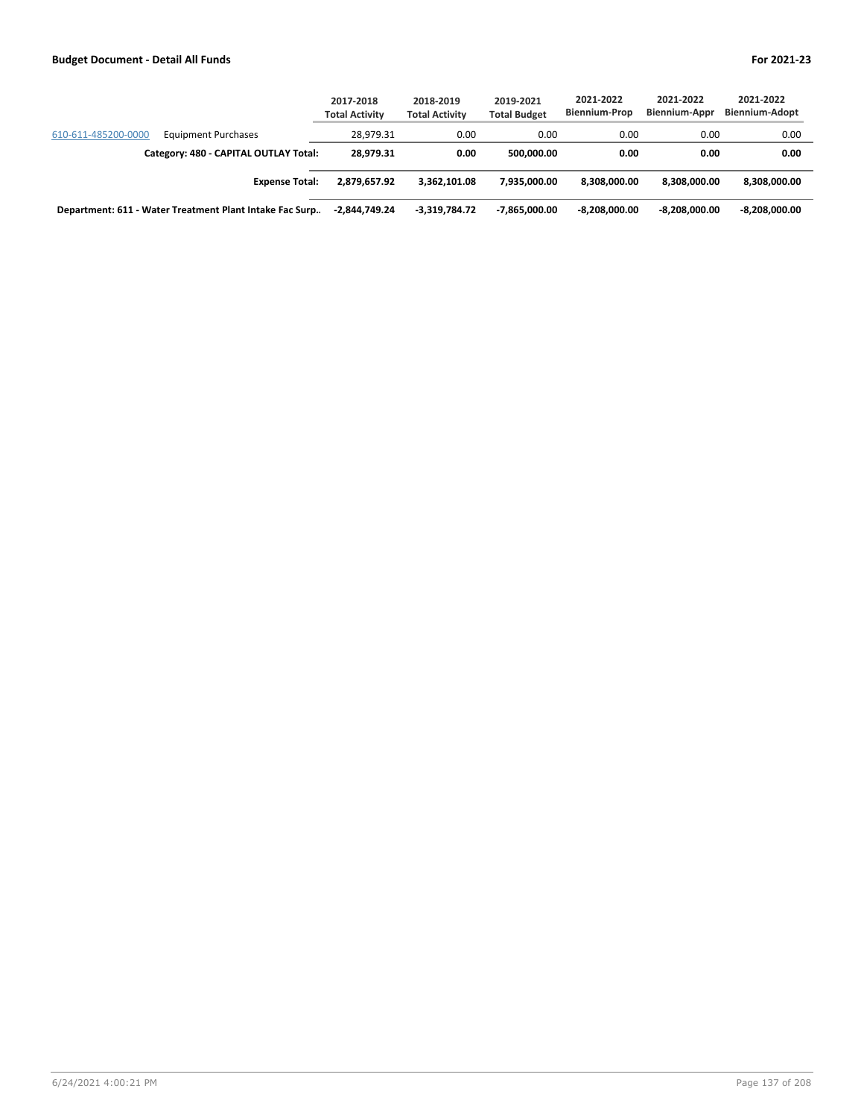|                                                         | 2017-2018<br><b>Total Activity</b> | 2018-2019<br><b>Total Activity</b> | 2019-2021<br><b>Total Budget</b> | 2021-2022<br><b>Biennium-Prop</b> | 2021-2022<br>Biennium-Appr | 2021-2022<br><b>Biennium-Adopt</b> |
|---------------------------------------------------------|------------------------------------|------------------------------------|----------------------------------|-----------------------------------|----------------------------|------------------------------------|
| 610-611-485200-0000<br><b>Equipment Purchases</b>       | 28.979.31                          | 0.00                               | 0.00                             | 0.00                              | 0.00                       | 0.00                               |
| Category: 480 - CAPITAL OUTLAY Total:                   | 28.979.31                          | 0.00                               | 500.000.00                       | 0.00                              | 0.00                       | 0.00                               |
| <b>Expense Total:</b>                                   | 2.879.657.92                       | 3.362.101.08                       | 7.935.000.00                     | 8.308.000.00                      | 8.308.000.00               | 8,308,000.00                       |
| Department: 611 - Water Treatment Plant Intake Fac Surp | -2,844,749.24                      | -3.319.784.72                      | $-7.865.000.00$                  | $-8.208.000.00$                   | $-8.208.000.00$            | -8,208,000.00                      |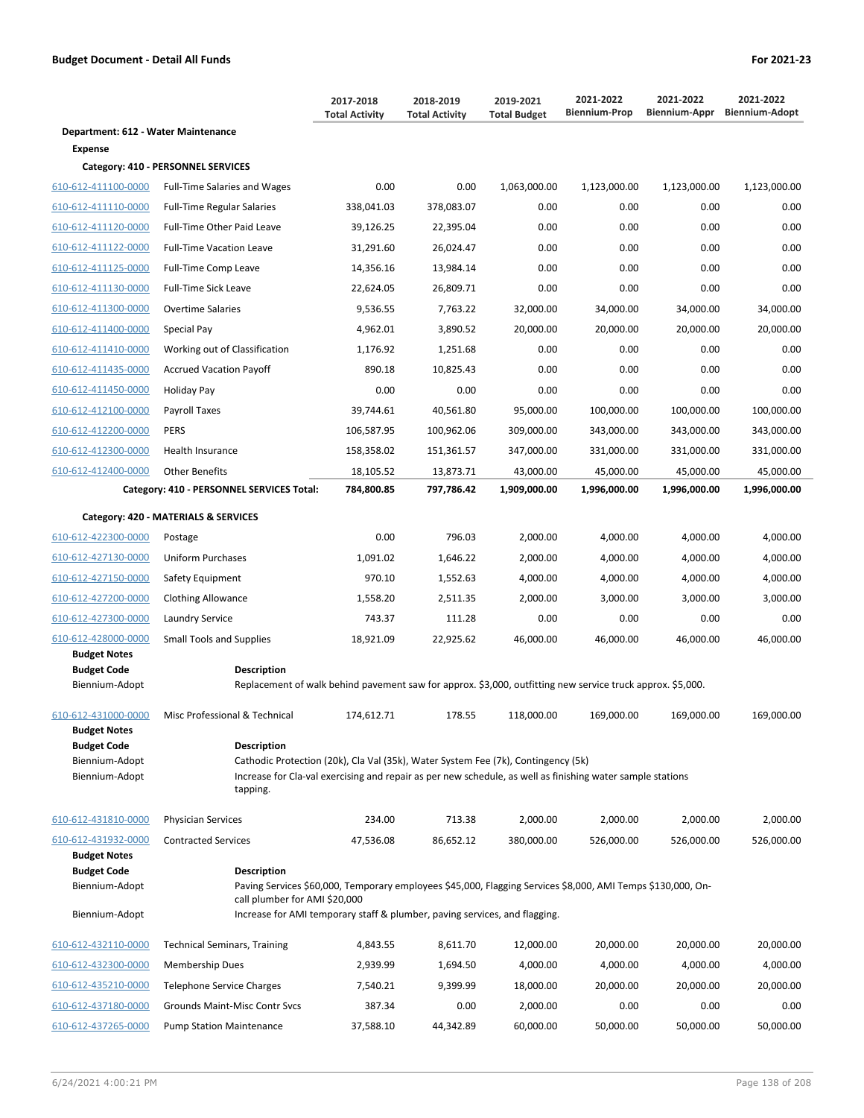|                                      |                                                                                                                                              | 2017-2018<br><b>Total Activity</b> | 2018-2019<br><b>Total Activity</b> | 2019-2021<br><b>Total Budget</b> | 2021-2022<br><b>Biennium-Prop</b> | 2021-2022<br>Biennium-Appr | 2021-2022<br><b>Biennium-Adopt</b> |
|--------------------------------------|----------------------------------------------------------------------------------------------------------------------------------------------|------------------------------------|------------------------------------|----------------------------------|-----------------------------------|----------------------------|------------------------------------|
| Department: 612 - Water Maintenance  |                                                                                                                                              |                                    |                                    |                                  |                                   |                            |                                    |
| Expense                              |                                                                                                                                              |                                    |                                    |                                  |                                   |                            |                                    |
|                                      | Category: 410 - PERSONNEL SERVICES                                                                                                           |                                    |                                    |                                  |                                   |                            |                                    |
| 610-612-411100-0000                  | <b>Full-Time Salaries and Wages</b>                                                                                                          | 0.00                               | 0.00                               | 1,063,000.00                     | 1,123,000.00                      | 1,123,000.00               | 1,123,000.00                       |
| 610-612-411110-0000                  | <b>Full-Time Regular Salaries</b>                                                                                                            | 338,041.03                         | 378,083.07                         | 0.00                             | 0.00                              | 0.00                       | 0.00                               |
| 610-612-411120-0000                  | Full-Time Other Paid Leave                                                                                                                   | 39,126.25                          | 22,395.04                          | 0.00                             | 0.00                              | 0.00                       | 0.00                               |
| 610-612-411122-0000                  | <b>Full-Time Vacation Leave</b>                                                                                                              | 31,291.60                          | 26,024.47                          | 0.00                             | 0.00                              | 0.00                       | 0.00                               |
| 610-612-411125-0000                  | Full-Time Comp Leave                                                                                                                         | 14,356.16                          | 13,984.14                          | 0.00                             | 0.00                              | 0.00                       | 0.00                               |
| 610-612-411130-0000                  | <b>Full-Time Sick Leave</b>                                                                                                                  | 22,624.05                          | 26,809.71                          | 0.00                             | 0.00                              | 0.00                       | 0.00                               |
| 610-612-411300-0000                  | <b>Overtime Salaries</b>                                                                                                                     | 9,536.55                           | 7,763.22                           | 32,000.00                        | 34,000.00                         | 34,000.00                  | 34,000.00                          |
| 610-612-411400-0000                  | Special Pay                                                                                                                                  | 4,962.01                           | 3,890.52                           | 20,000.00                        | 20,000.00                         | 20,000.00                  | 20,000.00                          |
| 610-612-411410-0000                  | Working out of Classification                                                                                                                | 1,176.92                           | 1,251.68                           | 0.00                             | 0.00                              | 0.00                       | 0.00                               |
| 610-612-411435-0000                  | <b>Accrued Vacation Payoff</b>                                                                                                               | 890.18                             | 10,825.43                          | 0.00                             | 0.00                              | 0.00                       | 0.00                               |
| 610-612-411450-0000                  | Holiday Pay                                                                                                                                  | 0.00                               | 0.00                               | 0.00                             | 0.00                              | 0.00                       | 0.00                               |
| 610-612-412100-0000                  | Payroll Taxes                                                                                                                                | 39,744.61                          | 40,561.80                          | 95,000.00                        | 100,000.00                        | 100,000.00                 | 100,000.00                         |
| 610-612-412200-0000                  | <b>PERS</b>                                                                                                                                  | 106,587.95                         | 100,962.06                         | 309,000.00                       | 343,000.00                        | 343,000.00                 | 343,000.00                         |
| 610-612-412300-0000                  | Health Insurance                                                                                                                             | 158,358.02                         | 151,361.57                         | 347,000.00                       | 331,000.00                        | 331,000.00                 | 331,000.00                         |
| 610-612-412400-0000                  | <b>Other Benefits</b>                                                                                                                        | 18,105.52                          | 13,873.71                          | 43,000.00                        | 45,000.00                         | 45,000.00                  | 45,000.00                          |
|                                      | Category: 410 - PERSONNEL SERVICES Total:                                                                                                    | 784,800.85                         | 797,786.42                         | 1,909,000.00                     | 1,996,000.00                      | 1,996,000.00               | 1,996,000.00                       |
|                                      | Category: 420 - MATERIALS & SERVICES                                                                                                         |                                    |                                    |                                  |                                   |                            |                                    |
| 610-612-422300-0000                  | Postage                                                                                                                                      | 0.00                               | 796.03                             | 2,000.00                         | 4,000.00                          | 4,000.00                   | 4,000.00                           |
| 610-612-427130-0000                  | <b>Uniform Purchases</b>                                                                                                                     | 1,091.02                           | 1,646.22                           | 2,000.00                         | 4,000.00                          | 4,000.00                   | 4,000.00                           |
| 610-612-427150-0000                  | Safety Equipment                                                                                                                             | 970.10                             | 1,552.63                           | 4,000.00                         | 4,000.00                          | 4,000.00                   | 4,000.00                           |
| 610-612-427200-0000                  | <b>Clothing Allowance</b>                                                                                                                    | 1,558.20                           | 2,511.35                           | 2,000.00                         | 3,000.00                          | 3,000.00                   | 3,000.00                           |
| 610-612-427300-0000                  | Laundry Service                                                                                                                              | 743.37                             | 111.28                             | 0.00                             | 0.00                              | 0.00                       | 0.00                               |
| 610-612-428000-0000                  | <b>Small Tools and Supplies</b>                                                                                                              | 18,921.09                          | 22,925.62                          | 46,000.00                        | 46,000.00                         | 46,000.00                  | 46,000.00                          |
| <b>Budget Notes</b>                  |                                                                                                                                              |                                    |                                    |                                  |                                   |                            |                                    |
| <b>Budget Code</b><br>Biennium-Adopt | <b>Description</b><br>Replacement of walk behind pavement saw for approx. \$3,000, outfitting new service truck approx. \$5,000.             |                                    |                                    |                                  |                                   |                            |                                    |
| 610-612-431000-0000                  | Misc Professional & Technical                                                                                                                | 174,612.71                         | 178.55                             | 118,000.00                       | 169,000.00                        | 169,000.00                 | 169,000.00                         |
| <b>Budget Notes</b>                  |                                                                                                                                              |                                    |                                    |                                  |                                   |                            |                                    |
| <b>Budget Code</b><br>Biennium-Adopt | <b>Description</b><br>Cathodic Protection (20k), Cla Val (35k), Water System Fee (7k), Contingency (5k)                                      |                                    |                                    |                                  |                                   |                            |                                    |
| Biennium-Adopt                       | Increase for Cla-val exercising and repair as per new schedule, as well as finishing water sample stations                                   |                                    |                                    |                                  |                                   |                            |                                    |
|                                      | tapping.                                                                                                                                     |                                    |                                    |                                  |                                   |                            |                                    |
| 610-612-431810-0000                  | <b>Physician Services</b>                                                                                                                    | 234.00                             | 713.38                             | 2,000.00                         | 2,000.00                          | 2,000.00                   | 2,000.00                           |
| 610-612-431932-0000                  | <b>Contracted Services</b>                                                                                                                   | 47,536.08                          | 86,652.12                          | 380,000.00                       | 526,000.00                        | 526,000.00                 | 526,000.00                         |
| <b>Budget Notes</b>                  |                                                                                                                                              |                                    |                                    |                                  |                                   |                            |                                    |
| <b>Budget Code</b>                   | <b>Description</b>                                                                                                                           |                                    |                                    |                                  |                                   |                            |                                    |
| Biennium-Adopt                       | -Paving Services \$60,000, Temporary employees \$45,000, Flagging Services \$8,000, AMI Temps \$130,000, On<br>call plumber for AMI \$20,000 |                                    |                                    |                                  |                                   |                            |                                    |
| Biennium-Adopt                       | Increase for AMI temporary staff & plumber, paving services, and flagging.                                                                   |                                    |                                    |                                  |                                   |                            |                                    |
| 610-612-432110-0000                  | <b>Technical Seminars, Training</b>                                                                                                          | 4,843.55                           | 8,611.70                           | 12,000.00                        | 20,000.00                         | 20,000.00                  | 20,000.00                          |
| 610-612-432300-0000                  | Membership Dues                                                                                                                              | 2,939.99                           | 1,694.50                           | 4,000.00                         | 4,000.00                          | 4,000.00                   | 4,000.00                           |
| 610-612-435210-0000                  | Telephone Service Charges                                                                                                                    | 7,540.21                           | 9,399.99                           | 18,000.00                        | 20,000.00                         | 20,000.00                  | 20,000.00                          |
| 610-612-437180-0000                  | Grounds Maint-Misc Contr Svcs                                                                                                                | 387.34                             | 0.00                               | 2,000.00                         | 0.00                              | 0.00                       | 0.00                               |
| 610-612-437265-0000                  | <b>Pump Station Maintenance</b>                                                                                                              | 37,588.10                          | 44,342.89                          | 60,000.00                        | 50,000.00                         | 50,000.00                  | 50,000.00                          |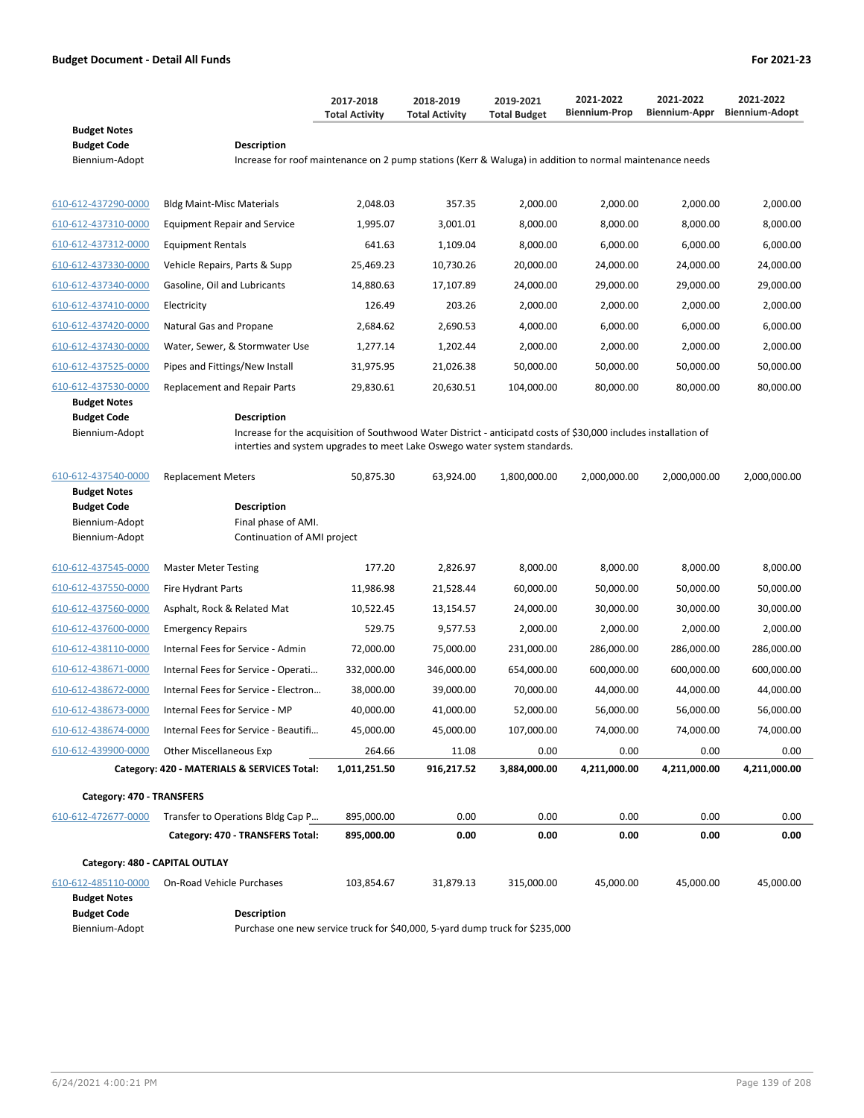|                                                                               |                                                                                                                                                                                                                     | 2017-2018<br><b>Total Activity</b> | 2018-2019<br><b>Total Activity</b> | 2019-2021<br><b>Total Budget</b> | 2021-2022<br><b>Biennium-Prop</b> | 2021-2022<br>Biennium-Appr | 2021-2022<br><b>Biennium-Adopt</b> |  |
|-------------------------------------------------------------------------------|---------------------------------------------------------------------------------------------------------------------------------------------------------------------------------------------------------------------|------------------------------------|------------------------------------|----------------------------------|-----------------------------------|----------------------------|------------------------------------|--|
| <b>Budget Notes</b><br><b>Budget Code</b><br>Biennium-Adopt                   | <b>Description</b><br>Increase for roof maintenance on 2 pump stations (Kerr & Waluga) in addition to normal maintenance needs                                                                                      |                                    |                                    |                                  |                                   |                            |                                    |  |
| 610-612-437290-0000                                                           | <b>Bldg Maint-Misc Materials</b>                                                                                                                                                                                    | 2,048.03                           | 357.35                             | 2,000.00                         | 2,000.00                          | 2,000.00                   | 2,000.00                           |  |
| 610-612-437310-0000                                                           | <b>Equipment Repair and Service</b>                                                                                                                                                                                 | 1,995.07                           | 3,001.01                           | 8,000.00                         | 8,000.00                          | 8,000.00                   | 8,000.00                           |  |
| 610-612-437312-0000                                                           | <b>Equipment Rentals</b>                                                                                                                                                                                            | 641.63                             | 1,109.04                           | 8,000.00                         | 6,000.00                          | 6,000.00                   | 6,000.00                           |  |
| 610-612-437330-0000                                                           | Vehicle Repairs, Parts & Supp                                                                                                                                                                                       | 25,469.23                          | 10,730.26                          | 20,000.00                        | 24,000.00                         | 24,000.00                  | 24,000.00                          |  |
| 610-612-437340-0000                                                           | Gasoline, Oil and Lubricants                                                                                                                                                                                        | 14,880.63                          | 17,107.89                          | 24,000.00                        | 29,000.00                         | 29,000.00                  | 29,000.00                          |  |
| 610-612-437410-0000                                                           | Electricity                                                                                                                                                                                                         | 126.49                             | 203.26                             | 2,000.00                         | 2,000.00                          | 2,000.00                   | 2,000.00                           |  |
| 610-612-437420-0000                                                           | Natural Gas and Propane                                                                                                                                                                                             | 2,684.62                           | 2,690.53                           | 4,000.00                         | 6,000.00                          | 6,000.00                   | 6,000.00                           |  |
| 610-612-437430-0000                                                           | Water, Sewer, & Stormwater Use                                                                                                                                                                                      | 1,277.14                           | 1,202.44                           | 2,000.00                         | 2,000.00                          | 2,000.00                   | 2,000.00                           |  |
| 610-612-437525-0000                                                           | Pipes and Fittings/New Install                                                                                                                                                                                      | 31,975.95                          | 21,026.38                          | 50,000.00                        | 50,000.00                         | 50,000.00                  | 50,000.00                          |  |
| 610-612-437530-0000                                                           | Replacement and Repair Parts                                                                                                                                                                                        | 29,830.61                          | 20,630.51                          | 104,000.00                       | 80,000.00                         | 80,000.00                  | 80,000.00                          |  |
| <b>Budget Notes</b><br><b>Budget Code</b><br>Biennium-Adopt                   | <b>Description</b><br>Increase for the acquisition of Southwood Water District - anticipatd costs of \$30,000 includes installation of<br>interties and system upgrades to meet Lake Oswego water system standards. |                                    |                                    |                                  |                                   |                            |                                    |  |
| 610-612-437540-0000                                                           | <b>Replacement Meters</b>                                                                                                                                                                                           | 50,875.30                          | 63,924.00                          | 1,800,000.00                     | 2,000,000.00                      | 2,000,000.00               | 2,000,000.00                       |  |
| <b>Budget Notes</b><br><b>Budget Code</b><br>Biennium-Adopt<br>Biennium-Adopt | <b>Description</b><br>Final phase of AMI.<br>Continuation of AMI project                                                                                                                                            |                                    |                                    |                                  |                                   |                            |                                    |  |
| 610-612-437545-0000                                                           | <b>Master Meter Testing</b>                                                                                                                                                                                         | 177.20                             | 2,826.97                           | 8,000.00                         | 8,000.00                          | 8,000.00                   | 8,000.00                           |  |
| 610-612-437550-0000                                                           | <b>Fire Hydrant Parts</b>                                                                                                                                                                                           | 11,986.98                          | 21,528.44                          | 60,000.00                        | 50,000.00                         | 50,000.00                  | 50,000.00                          |  |
| 610-612-437560-0000                                                           | Asphalt, Rock & Related Mat                                                                                                                                                                                         | 10,522.45                          | 13,154.57                          | 24,000.00                        | 30,000.00                         | 30,000.00                  | 30,000.00                          |  |
| 610-612-437600-0000                                                           | <b>Emergency Repairs</b>                                                                                                                                                                                            | 529.75                             | 9,577.53                           | 2,000.00                         | 2,000.00                          | 2,000.00                   | 2,000.00                           |  |
| 610-612-438110-0000                                                           | Internal Fees for Service - Admin                                                                                                                                                                                   | 72,000.00                          | 75,000.00                          | 231,000.00                       | 286,000.00                        | 286,000.00                 | 286,000.00                         |  |
| 610-612-438671-0000                                                           | Internal Fees for Service - Operati                                                                                                                                                                                 | 332,000.00                         | 346,000.00                         | 654,000.00                       | 600,000.00                        | 600,000.00                 | 600,000.00                         |  |
| 610-612-438672-0000                                                           | Internal Fees for Service - Electron                                                                                                                                                                                | 38,000.00                          | 39,000.00                          | 70,000.00                        | 44,000.00                         | 44,000.00                  | 44,000.00                          |  |
| 610-612-438673-0000                                                           | Internal Fees for Service - MP                                                                                                                                                                                      | 40,000.00                          | 41,000.00                          | 52,000.00                        | 56,000.00                         | 56,000.00                  | 56,000.00                          |  |
| 610-612-438674-0000                                                           | Internal Fees for Service - Beautifi                                                                                                                                                                                | 45,000.00                          | 45,000.00                          | 107,000.00                       | 74,000.00                         | 74,000.00                  | 74,000.00                          |  |
| 610-612-439900-0000                                                           | <b>Other Miscellaneous Exp</b>                                                                                                                                                                                      | 264.66                             | 11.08                              | 0.00                             | 0.00                              | 0.00                       | 0.00                               |  |
|                                                                               | Category: 420 - MATERIALS & SERVICES Total:                                                                                                                                                                         | 1,011,251.50                       | 916,217.52                         | 3,884,000.00                     | 4,211,000.00                      | 4,211,000.00               | 4,211,000.00                       |  |
| Category: 470 - TRANSFERS                                                     |                                                                                                                                                                                                                     |                                    |                                    |                                  |                                   |                            |                                    |  |
| 610-612-472677-0000                                                           | Transfer to Operations Bldg Cap P                                                                                                                                                                                   | 895,000.00                         | 0.00                               | 0.00                             | 0.00                              | 0.00                       | 0.00                               |  |
|                                                                               | Category: 470 - TRANSFERS Total:                                                                                                                                                                                    | 895,000.00                         | 0.00                               | 0.00                             | 0.00                              | 0.00                       | 0.00                               |  |
| Category: 480 - CAPITAL OUTLAY                                                |                                                                                                                                                                                                                     |                                    |                                    |                                  |                                   |                            |                                    |  |
| 610-612-485110-0000                                                           | On-Road Vehicle Purchases                                                                                                                                                                                           | 103,854.67                         | 31,879.13                          | 315,000.00                       | 45,000.00                         | 45,000.00                  | 45,000.00                          |  |
| <b>Budget Notes</b><br><b>Budget Code</b><br>Biennium-Adopt                   | <b>Description</b><br>Purchase one new service truck for \$40,000, 5-yard dump truck for \$235,000                                                                                                                  |                                    |                                    |                                  |                                   |                            |                                    |  |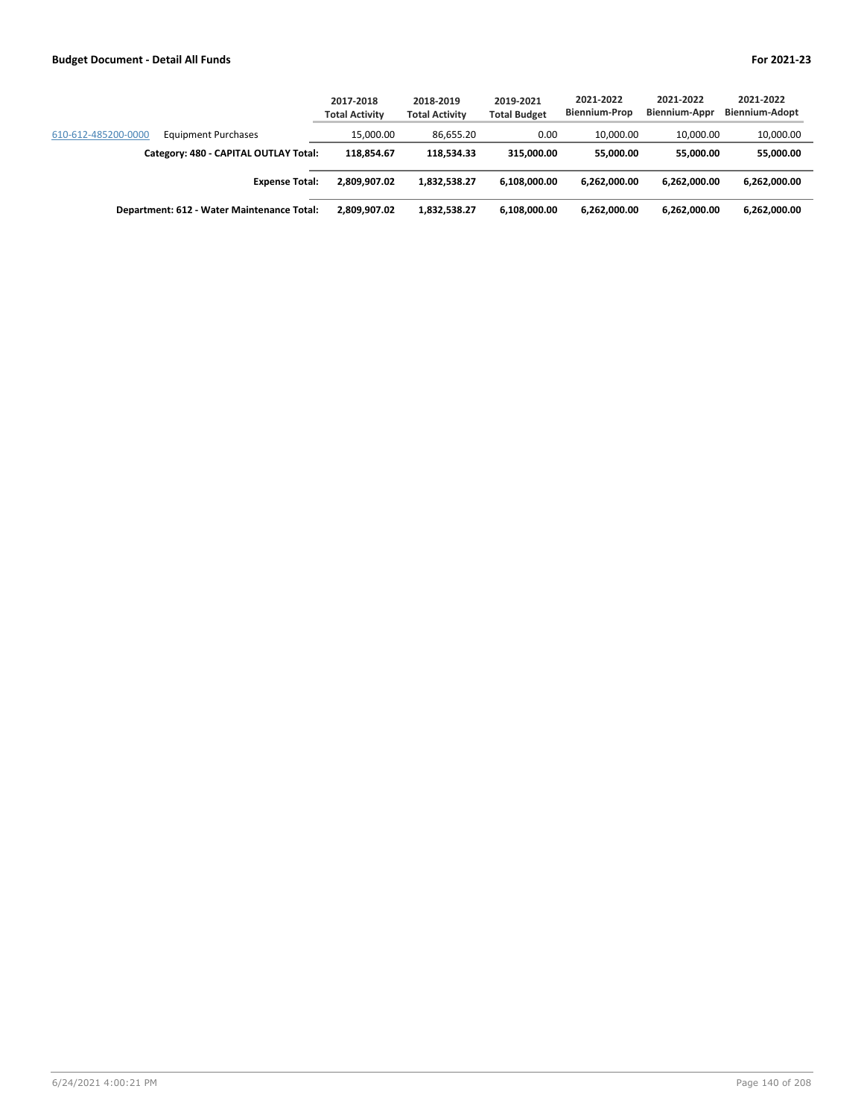|                                                   | 2017-2018<br><b>Total Activity</b> | 2018-2019<br><b>Total Activity</b> | 2019-2021<br><b>Total Budget</b> | 2021-2022<br><b>Biennium-Prop</b> | 2021-2022<br>Biennium-Appr | 2021-2022<br><b>Biennium-Adopt</b> |
|---------------------------------------------------|------------------------------------|------------------------------------|----------------------------------|-----------------------------------|----------------------------|------------------------------------|
| 610-612-485200-0000<br><b>Equipment Purchases</b> | 15.000.00                          | 86.655.20                          | 0.00                             | 10.000.00                         | 10.000.00                  | 10,000.00                          |
| Category: 480 - CAPITAL OUTLAY Total:             | 118.854.67                         | 118.534.33                         | 315,000,00                       | 55,000,00                         | 55.000.00                  | 55,000.00                          |
| <b>Expense Total:</b>                             | 2.809.907.02                       | 1.832.538.27                       | 6.108.000.00                     | 6.262.000.00                      | 6.262.000.00               | 6,262,000.00                       |
| Department: 612 - Water Maintenance Total:        | 2.809.907.02                       | 1,832,538.27                       | 6.108.000.00                     | 6.262.000.00                      | 6.262.000.00               | 6,262,000.00                       |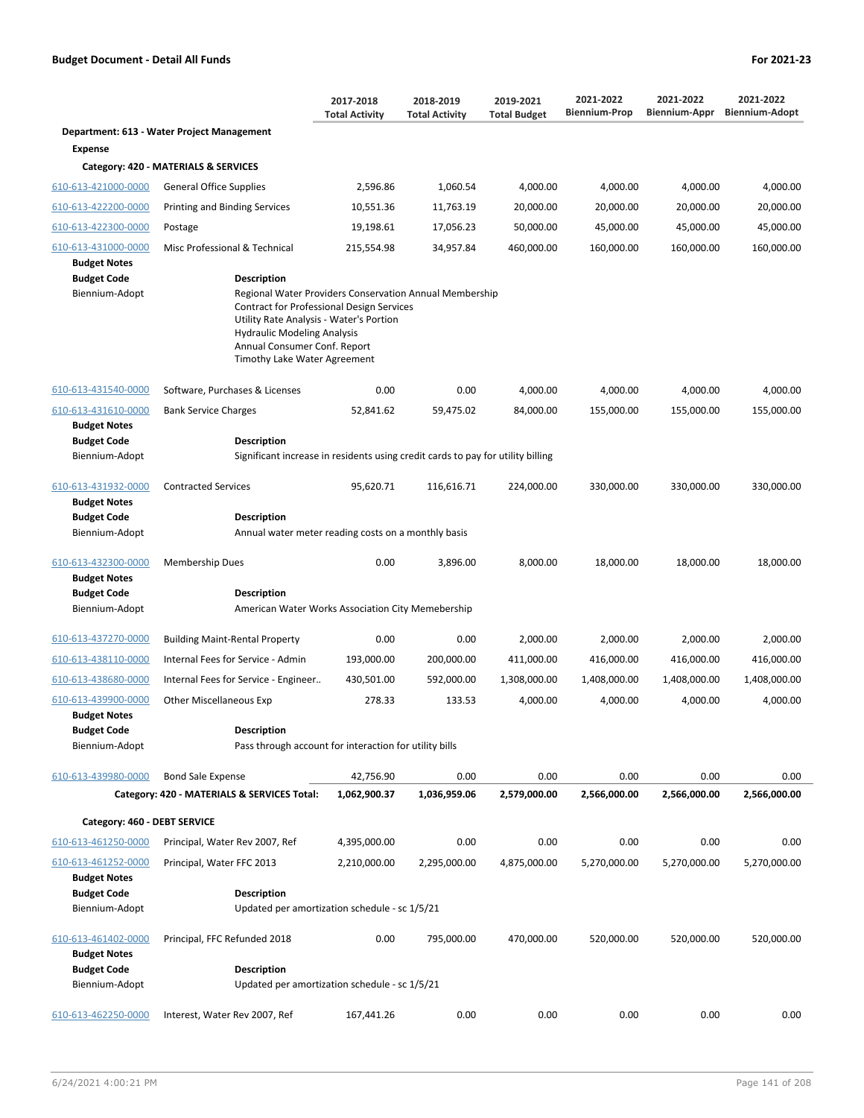|                                                                                    |                                                                                                                                                                                                                                                                                                                     | 2017-2018<br><b>Total Activity</b> | 2018-2019<br><b>Total Activity</b> | 2019-2021<br><b>Total Budget</b> | 2021-2022<br><b>Biennium-Prop</b> | 2021-2022<br>Biennium-Appr | 2021-2022<br><b>Biennium-Adopt</b> |
|------------------------------------------------------------------------------------|---------------------------------------------------------------------------------------------------------------------------------------------------------------------------------------------------------------------------------------------------------------------------------------------------------------------|------------------------------------|------------------------------------|----------------------------------|-----------------------------------|----------------------------|------------------------------------|
|                                                                                    | Department: 613 - Water Project Management                                                                                                                                                                                                                                                                          |                                    |                                    |                                  |                                   |                            |                                    |
| Expense                                                                            |                                                                                                                                                                                                                                                                                                                     |                                    |                                    |                                  |                                   |                            |                                    |
|                                                                                    | Category: 420 - MATERIALS & SERVICES                                                                                                                                                                                                                                                                                |                                    |                                    |                                  |                                   |                            |                                    |
| 610-613-421000-0000                                                                | General Office Supplies                                                                                                                                                                                                                                                                                             | 2,596.86                           | 1,060.54                           | 4,000.00                         | 4,000.00                          | 4,000.00                   | 4,000.00                           |
| 610-613-422200-0000                                                                | Printing and Binding Services                                                                                                                                                                                                                                                                                       | 10,551.36                          | 11,763.19                          | 20,000.00                        | 20,000.00                         | 20,000.00                  | 20,000.00                          |
| 610-613-422300-0000                                                                | Postage                                                                                                                                                                                                                                                                                                             | 19,198.61                          | 17,056.23                          | 50,000.00                        | 45,000.00                         | 45,000.00                  | 45,000.00                          |
| 610-613-431000-0000<br><b>Budget Notes</b><br><b>Budget Code</b><br>Biennium-Adopt | Misc Professional & Technical<br><b>Description</b><br>Regional Water Providers Conservation Annual Membership<br><b>Contract for Professional Design Services</b><br>Utility Rate Analysis - Water's Portion<br><b>Hydraulic Modeling Analysis</b><br>Annual Consumer Conf. Report<br>Timothy Lake Water Agreement | 215,554.98                         | 34,957.84                          | 460,000.00                       | 160,000.00                        | 160,000.00                 | 160,000.00                         |
| 610-613-431540-0000                                                                | Software, Purchases & Licenses                                                                                                                                                                                                                                                                                      | 0.00                               | 0.00                               | 4,000.00                         | 4,000.00                          | 4,000.00                   | 4,000.00                           |
| 610-613-431610-0000<br><b>Budget Notes</b><br><b>Budget Code</b>                   | <b>Bank Service Charges</b><br><b>Description</b>                                                                                                                                                                                                                                                                   | 52,841.62                          | 59,475.02                          | 84,000.00                        | 155,000.00                        | 155,000.00                 | 155,000.00                         |
| Biennium-Adopt                                                                     | Significant increase in residents using credit cards to pay for utility billing                                                                                                                                                                                                                                     |                                    |                                    |                                  |                                   |                            |                                    |
| 610-613-431932-0000<br><b>Budget Notes</b><br><b>Budget Code</b><br>Biennium-Adopt | <b>Contracted Services</b><br><b>Description</b><br>Annual water meter reading costs on a monthly basis                                                                                                                                                                                                             | 95,620.71                          | 116,616.71                         | 224,000.00                       | 330,000.00                        | 330,000.00                 | 330,000.00                         |
| 610-613-432300-0000<br><b>Budget Notes</b><br><b>Budget Code</b><br>Biennium-Adopt | Membership Dues<br><b>Description</b><br>American Water Works Association City Memebership                                                                                                                                                                                                                          | 0.00                               | 3,896.00                           | 8,000.00                         | 18,000.00                         | 18,000.00                  | 18,000.00                          |
|                                                                                    |                                                                                                                                                                                                                                                                                                                     |                                    |                                    |                                  |                                   |                            |                                    |
| 610-613-437270-0000                                                                | <b>Building Maint-Rental Property</b>                                                                                                                                                                                                                                                                               | 0.00                               | 0.00                               | 2,000.00                         | 2,000.00                          | 2,000.00                   | 2,000.00                           |
| 610-613-438110-0000                                                                | Internal Fees for Service - Admin                                                                                                                                                                                                                                                                                   | 193,000.00                         | 200,000.00                         | 411,000.00                       | 416,000.00                        | 416,000.00                 | 416,000.00                         |
| 610-613-438680-0000                                                                | Internal Fees for Service - Engineer                                                                                                                                                                                                                                                                                | 430,501.00                         | 592,000.00                         | 1,308,000.00                     | 1,408,000.00                      | 1,408,000.00               | 1,408,000.00                       |
| 610-613-439900-0000<br><b>Budget Notes</b><br><b>Budget Code</b><br>Biennium-Adopt | <b>Other Miscellaneous Exp</b><br><b>Description</b><br>Pass through account for interaction for utility bills                                                                                                                                                                                                      | 278.33                             | 133.53                             | 4,000.00                         | 4,000.00                          | 4,000.00                   | 4,000.00                           |
|                                                                                    |                                                                                                                                                                                                                                                                                                                     |                                    |                                    |                                  |                                   |                            |                                    |
| 610-613-439980-0000                                                                | <b>Bond Sale Expense</b>                                                                                                                                                                                                                                                                                            | 42,756.90                          | 0.00                               | 0.00                             | 0.00                              | 0.00                       | 0.00                               |
|                                                                                    | Category: 420 - MATERIALS & SERVICES Total:                                                                                                                                                                                                                                                                         | 1,062,900.37                       | 1,036,959.06                       | 2,579,000.00                     | 2,566,000.00                      | 2,566,000.00               | 2,566,000.00                       |
| Category: 460 - DEBT SERVICE                                                       |                                                                                                                                                                                                                                                                                                                     |                                    |                                    |                                  |                                   |                            |                                    |
| 610-613-461250-0000                                                                | Principal, Water Rev 2007, Ref                                                                                                                                                                                                                                                                                      | 4,395,000.00                       | 0.00                               | 0.00                             | 0.00                              | 0.00                       | 0.00                               |
| 610-613-461252-0000<br><b>Budget Notes</b><br><b>Budget Code</b><br>Biennium-Adopt | Principal, Water FFC 2013<br><b>Description</b><br>Updated per amortization schedule - sc 1/5/21                                                                                                                                                                                                                    | 2,210,000.00                       | 2,295,000.00                       | 4,875,000.00                     | 5,270,000.00                      | 5,270,000.00               | 5,270,000.00                       |
| 610-613-461402-0000<br><b>Budget Notes</b><br><b>Budget Code</b><br>Biennium-Adopt | Principal, FFC Refunded 2018<br><b>Description</b><br>Updated per amortization schedule - sc 1/5/21                                                                                                                                                                                                                 | 0.00                               | 795,000.00                         | 470,000.00                       | 520,000.00                        | 520,000.00                 | 520,000.00                         |
| 610-613-462250-0000                                                                | Interest, Water Rev 2007, Ref                                                                                                                                                                                                                                                                                       | 167,441.26                         | 0.00                               | 0.00                             | 0.00                              | 0.00                       | 0.00                               |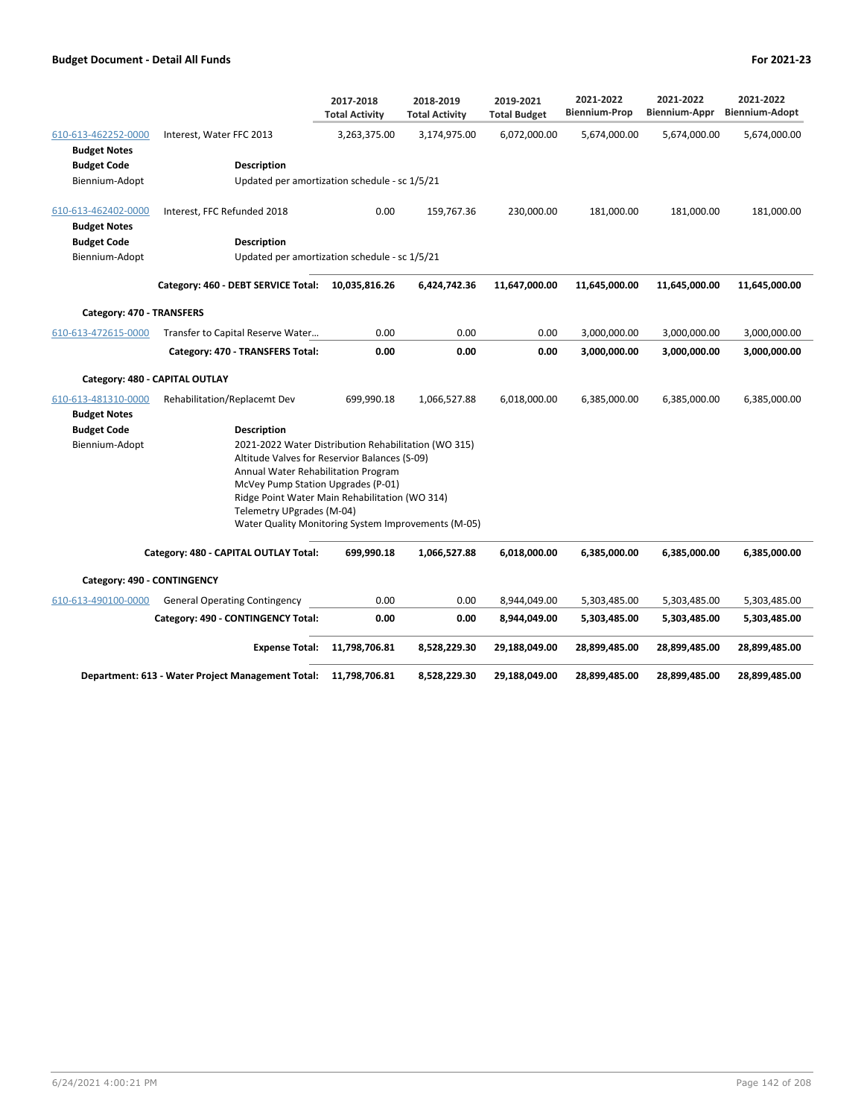|                                            |                                                                                                                                                                                                                                      | 2017-2018<br><b>Total Activity</b> | 2018-2019<br><b>Total Activity</b> | 2019-2021<br><b>Total Budget</b> | 2021-2022<br><b>Biennium-Prop</b> | 2021-2022<br>Biennium-Appr | 2021-2022<br><b>Biennium-Adopt</b> |
|--------------------------------------------|--------------------------------------------------------------------------------------------------------------------------------------------------------------------------------------------------------------------------------------|------------------------------------|------------------------------------|----------------------------------|-----------------------------------|----------------------------|------------------------------------|
| 610-613-462252-0000<br><b>Budget Notes</b> | Interest, Water FFC 2013                                                                                                                                                                                                             | 3,263,375.00                       | 3,174,975.00                       | 6,072,000.00                     | 5,674,000.00                      | 5,674,000.00               | 5,674,000.00                       |
| <b>Budget Code</b>                         | Description                                                                                                                                                                                                                          |                                    |                                    |                                  |                                   |                            |                                    |
| Biennium-Adopt                             | Updated per amortization schedule - sc 1/5/21                                                                                                                                                                                        |                                    |                                    |                                  |                                   |                            |                                    |
| 610-613-462402-0000<br><b>Budget Notes</b> | Interest, FFC Refunded 2018                                                                                                                                                                                                          | 0.00                               | 159,767.36                         | 230,000.00                       | 181,000.00                        | 181,000.00                 | 181,000.00                         |
| <b>Budget Code</b>                         | <b>Description</b>                                                                                                                                                                                                                   |                                    |                                    |                                  |                                   |                            |                                    |
| Biennium-Adopt                             | Updated per amortization schedule - sc 1/5/21                                                                                                                                                                                        |                                    |                                    |                                  |                                   |                            |                                    |
|                                            | Category: 460 - DEBT SERVICE Total:                                                                                                                                                                                                  | 10,035,816.26                      | 6,424,742.36                       | 11,647,000.00                    | 11,645,000.00                     | 11,645,000.00              | 11,645,000.00                      |
| Category: 470 - TRANSFERS                  |                                                                                                                                                                                                                                      |                                    |                                    |                                  |                                   |                            |                                    |
| 610-613-472615-0000                        | Transfer to Capital Reserve Water                                                                                                                                                                                                    | 0.00                               | 0.00                               | 0.00                             | 3,000,000.00                      | 3,000,000.00               | 3,000,000.00                       |
|                                            | Category: 470 - TRANSFERS Total:                                                                                                                                                                                                     | 0.00                               | 0.00                               | 0.00                             | 3,000,000.00                      | 3,000,000.00               | 3,000,000.00                       |
|                                            | Category: 480 - CAPITAL OUTLAY                                                                                                                                                                                                       |                                    |                                    |                                  |                                   |                            |                                    |
| 610-613-481310-0000<br><b>Budget Notes</b> | Rehabilitation/Replacemt Dev                                                                                                                                                                                                         | 699,990.18                         | 1,066,527.88                       | 6,018,000.00                     | 6,385,000.00                      | 6,385,000.00               | 6,385,000.00                       |
| <b>Budget Code</b>                         | Description                                                                                                                                                                                                                          |                                    |                                    |                                  |                                   |                            |                                    |
| Biennium-Adopt                             | 2021-2022 Water Distribution Rehabilitation (WO 315)<br>Altitude Valves for Reservior Balances (S-09)<br>Annual Water Rehabilitation Program<br>McVey Pump Station Upgrades (P-01)<br>Ridge Point Water Main Rehabilitation (WO 314) |                                    |                                    |                                  |                                   |                            |                                    |
|                                            | Telemetry UPgrades (M-04)<br>Water Quality Monitoring System Improvements (M-05)                                                                                                                                                     |                                    |                                    |                                  |                                   |                            |                                    |
|                                            | Category: 480 - CAPITAL OUTLAY Total:                                                                                                                                                                                                | 699,990.18                         | 1,066,527.88                       | 6,018,000.00                     | 6,385,000.00                      | 6,385,000.00               | 6,385,000.00                       |
| Category: 490 - CONTINGENCY                |                                                                                                                                                                                                                                      |                                    |                                    |                                  |                                   |                            |                                    |
| 610-613-490100-0000                        | <b>General Operating Contingency</b>                                                                                                                                                                                                 | 0.00                               | 0.00                               | 8,944,049.00                     | 5,303,485.00                      | 5,303,485.00               | 5,303,485.00                       |
|                                            | Category: 490 - CONTINGENCY Total:                                                                                                                                                                                                   | 0.00                               | 0.00                               | 8,944,049.00                     | 5,303,485.00                      | 5,303,485.00               | 5,303,485.00                       |
|                                            | <b>Expense Total:</b>                                                                                                                                                                                                                | 11,798,706.81                      | 8,528,229.30                       | 29,188,049.00                    | 28,899,485.00                     | 28,899,485.00              | 28,899,485.00                      |
|                                            | Department: 613 - Water Project Management Total:                                                                                                                                                                                    | 11,798,706.81                      | 8,528,229.30                       | 29,188,049.00                    | 28,899,485.00                     | 28,899,485.00              | 28,899,485.00                      |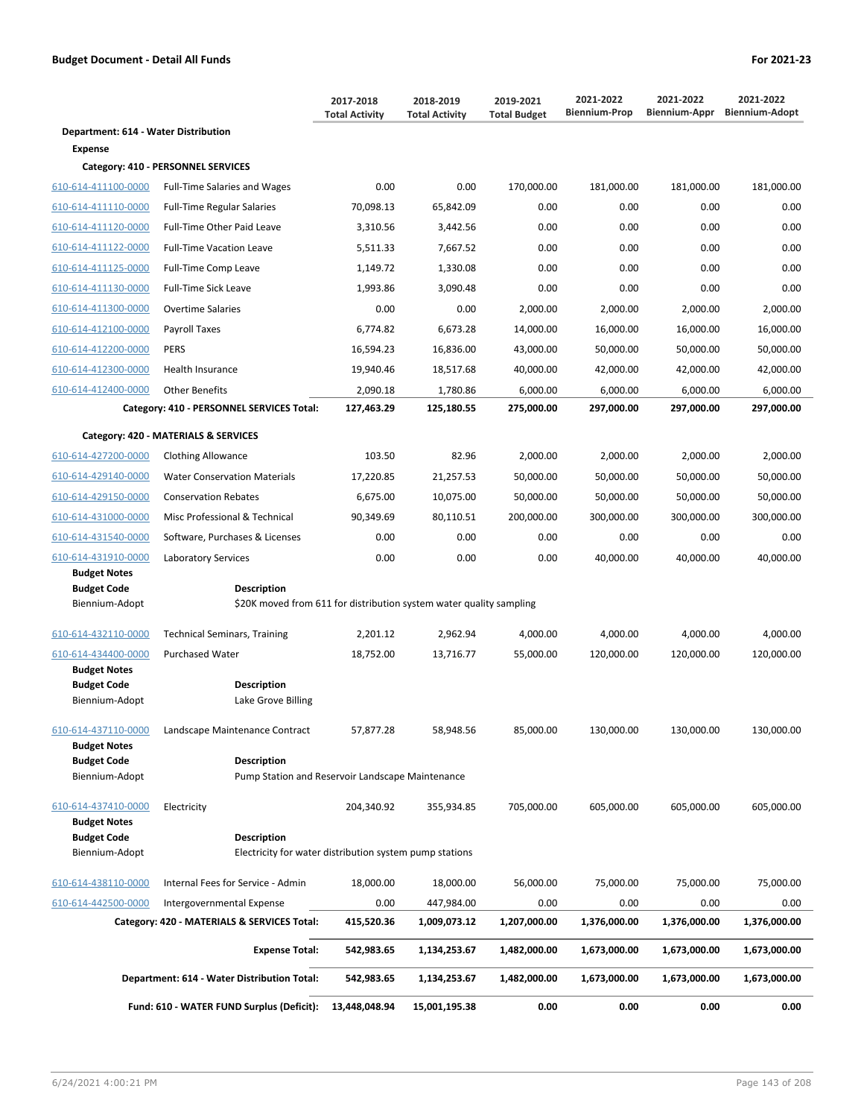|                                           |                                                                                           | 2017-2018<br><b>Total Activity</b> | 2018-2019<br><b>Total Activity</b> | 2019-2021<br><b>Total Budget</b> | 2021-2022<br><b>Biennium-Prop</b> | 2021-2022<br>Biennium-Appr | 2021-2022<br><b>Biennium-Adopt</b> |
|-------------------------------------------|-------------------------------------------------------------------------------------------|------------------------------------|------------------------------------|----------------------------------|-----------------------------------|----------------------------|------------------------------------|
| Department: 614 - Water Distribution      |                                                                                           |                                    |                                    |                                  |                                   |                            |                                    |
| <b>Expense</b>                            |                                                                                           |                                    |                                    |                                  |                                   |                            |                                    |
|                                           | Category: 410 - PERSONNEL SERVICES                                                        |                                    |                                    |                                  |                                   |                            |                                    |
| 610-614-411100-0000                       | <b>Full-Time Salaries and Wages</b>                                                       | 0.00                               | 0.00                               | 170,000.00                       | 181,000.00                        | 181,000.00                 | 181,000.00                         |
| 610-614-411110-0000                       | <b>Full-Time Regular Salaries</b>                                                         | 70,098.13                          | 65,842.09                          | 0.00                             | 0.00                              | 0.00                       | 0.00                               |
| 610-614-411120-0000                       | Full-Time Other Paid Leave                                                                | 3,310.56                           | 3,442.56                           | 0.00                             | 0.00                              | 0.00                       | 0.00                               |
| 610-614-411122-0000                       | <b>Full-Time Vacation Leave</b>                                                           | 5,511.33                           | 7,667.52                           | 0.00                             | 0.00                              | 0.00                       | 0.00                               |
| 610-614-411125-0000                       | Full-Time Comp Leave                                                                      | 1,149.72                           | 1,330.08                           | 0.00                             | 0.00                              | 0.00                       | 0.00                               |
| 610-614-411130-0000                       | <b>Full-Time Sick Leave</b>                                                               | 1.993.86                           | 3,090.48                           | 0.00                             | 0.00                              | 0.00                       | 0.00                               |
| 610-614-411300-0000                       | <b>Overtime Salaries</b>                                                                  | 0.00                               | 0.00                               | 2,000.00                         | 2,000.00                          | 2,000.00                   | 2,000.00                           |
| 610-614-412100-0000                       | Payroll Taxes                                                                             | 6,774.82                           | 6,673.28                           | 14,000.00                        | 16,000.00                         | 16,000.00                  | 16,000.00                          |
| 610-614-412200-0000                       | <b>PERS</b>                                                                               | 16,594.23                          | 16,836.00                          | 43,000.00                        | 50,000.00                         | 50,000.00                  | 50,000.00                          |
| 610-614-412300-0000                       | <b>Health Insurance</b>                                                                   | 19,940.46                          | 18,517.68                          | 40,000.00                        | 42,000.00                         | 42,000.00                  | 42,000.00                          |
| 610-614-412400-0000                       | <b>Other Benefits</b>                                                                     | 2,090.18                           | 1,780.86                           | 6,000.00                         | 6,000.00                          | 6,000.00                   | 6,000.00                           |
|                                           | Category: 410 - PERSONNEL SERVICES Total:                                                 | 127,463.29                         | 125,180.55                         | 275,000.00                       | 297,000.00                        | 297,000.00                 | 297,000.00                         |
|                                           | Category: 420 - MATERIALS & SERVICES                                                      |                                    |                                    |                                  |                                   |                            |                                    |
| 610-614-427200-0000                       | <b>Clothing Allowance</b>                                                                 | 103.50                             | 82.96                              | 2,000.00                         | 2,000.00                          | 2,000.00                   | 2,000.00                           |
| 610-614-429140-0000                       | <b>Water Conservation Materials</b>                                                       | 17,220.85                          | 21,257.53                          | 50,000.00                        | 50,000.00                         | 50,000.00                  | 50,000.00                          |
| 610-614-429150-0000                       | <b>Conservation Rebates</b>                                                               | 6,675.00                           | 10,075.00                          | 50,000.00                        | 50,000.00                         | 50,000.00                  | 50,000.00                          |
| 610-614-431000-0000                       | Misc Professional & Technical                                                             | 90,349.69                          | 80,110.51                          | 200,000.00                       | 300,000.00                        | 300,000.00                 | 300,000.00                         |
| 610-614-431540-0000                       | Software, Purchases & Licenses                                                            | 0.00                               | 0.00                               | 0.00                             | 0.00                              | 0.00                       | 0.00                               |
| 610-614-431910-0000                       | Laboratory Services                                                                       | 0.00                               | 0.00                               | 0.00                             | 40,000.00                         | 40,000.00                  | 40,000.00                          |
| <b>Budget Notes</b>                       |                                                                                           |                                    |                                    |                                  |                                   |                            |                                    |
| <b>Budget Code</b><br>Biennium-Adopt      | <b>Description</b><br>\$20K moved from 611 for distribution system water quality sampling |                                    |                                    |                                  |                                   |                            |                                    |
|                                           |                                                                                           |                                    |                                    |                                  |                                   |                            |                                    |
| 610-614-432110-0000                       | <b>Technical Seminars, Training</b>                                                       | 2,201.12                           | 2,962.94                           | 4,000.00                         | 4,000.00                          | 4,000.00                   | 4,000.00                           |
| 610-614-434400-0000                       | <b>Purchased Water</b>                                                                    | 18,752.00                          | 13,716.77                          | 55,000.00                        | 120,000.00                        | 120,000.00                 | 120,000.00                         |
| <b>Budget Notes</b><br><b>Budget Code</b> | <b>Description</b>                                                                        |                                    |                                    |                                  |                                   |                            |                                    |
| Biennium-Adopt                            | Lake Grove Billing                                                                        |                                    |                                    |                                  |                                   |                            |                                    |
|                                           |                                                                                           |                                    |                                    |                                  |                                   |                            |                                    |
| 610-614-437110-0000                       | Landscape Maintenance Contract                                                            | 57,877.28                          | 58,948.56                          | 85,000.00                        | 130,000.00                        | 130,000.00                 | 130,000.00                         |
| <b>Budget Notes</b><br><b>Budget Code</b> | <b>Description</b>                                                                        |                                    |                                    |                                  |                                   |                            |                                    |
| Biennium-Adopt                            | Pump Station and Reservoir Landscape Maintenance                                          |                                    |                                    |                                  |                                   |                            |                                    |
| 610-614-437410-0000                       | Electricity                                                                               | 204,340.92                         | 355,934.85                         | 705,000.00                       | 605,000.00                        | 605,000.00                 | 605,000.00                         |
| <b>Budget Notes</b>                       |                                                                                           |                                    |                                    |                                  |                                   |                            |                                    |
| <b>Budget Code</b><br>Biennium-Adopt      | <b>Description</b><br>Electricity for water distribution system pump stations             |                                    |                                    |                                  |                                   |                            |                                    |
|                                           |                                                                                           |                                    |                                    |                                  |                                   |                            |                                    |
| 610-614-438110-0000                       | Internal Fees for Service - Admin                                                         | 18,000.00                          | 18,000.00                          | 56,000.00                        | 75,000.00                         | 75,000.00                  | 75,000.00                          |
| 610-614-442500-0000                       | Intergovernmental Expense                                                                 | 0.00                               | 447,984.00                         | 0.00                             | 0.00                              | 0.00                       | 0.00                               |
|                                           | Category: 420 - MATERIALS & SERVICES Total:                                               | 415,520.36                         | 1,009,073.12                       | 1,207,000.00                     | 1,376,000.00                      | 1,376,000.00               | 1,376,000.00                       |
|                                           | <b>Expense Total:</b>                                                                     | 542,983.65                         | 1,134,253.67                       | 1,482,000.00                     | 1,673,000.00                      | 1,673,000.00               | 1,673,000.00                       |
|                                           | Department: 614 - Water Distribution Total:                                               | 542,983.65                         | 1,134,253.67                       | 1,482,000.00                     | 1,673,000.00                      | 1,673,000.00               | 1,673,000.00                       |
|                                           | Fund: 610 - WATER FUND Surplus (Deficit):                                                 | 13,448,048.94                      | 15,001,195.38                      | 0.00                             | 0.00                              | 0.00                       | 0.00                               |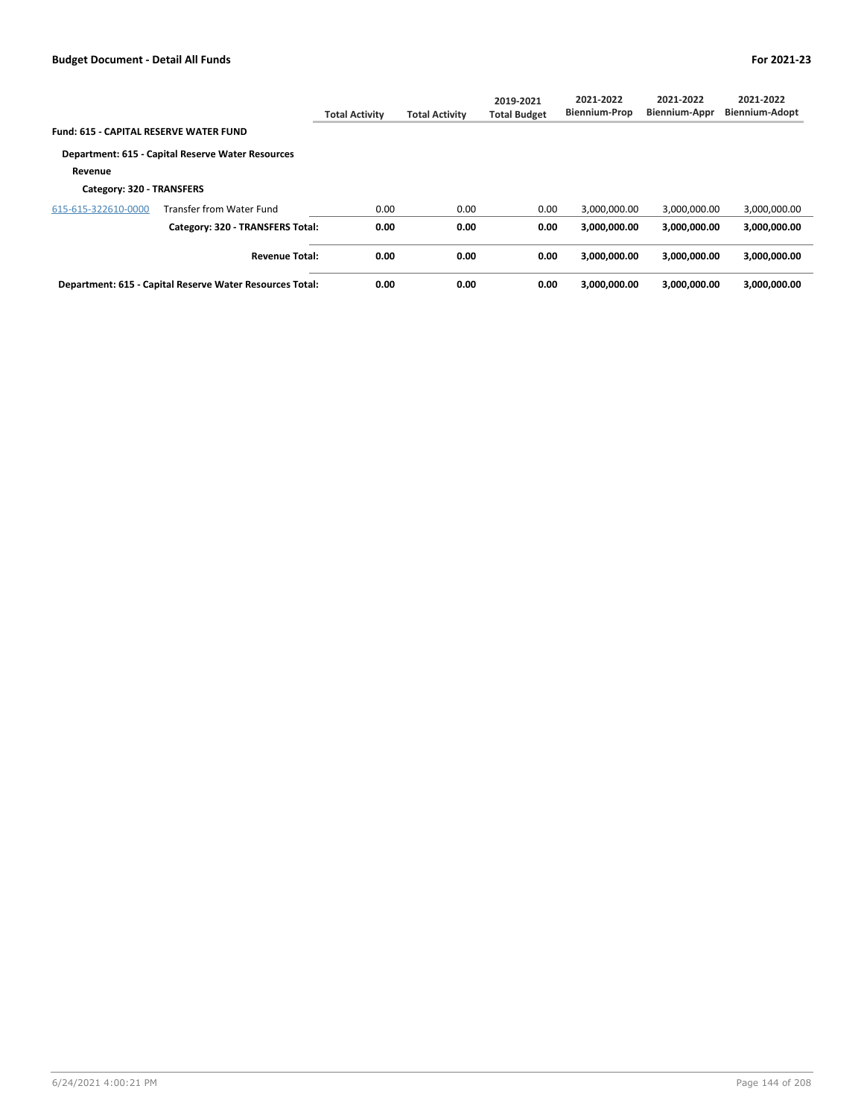|                                        |                                                          | <b>Total Activity</b> | <b>Total Activity</b> | 2019-2021<br><b>Total Budget</b> | 2021-2022<br><b>Biennium-Prop</b> | 2021-2022<br><b>Biennium-Appr</b> | 2021-2022<br><b>Biennium-Adopt</b> |
|----------------------------------------|----------------------------------------------------------|-----------------------|-----------------------|----------------------------------|-----------------------------------|-----------------------------------|------------------------------------|
| Fund: 615 - CAPITAL RESERVE WATER FUND |                                                          |                       |                       |                                  |                                   |                                   |                                    |
|                                        | Department: 615 - Capital Reserve Water Resources        |                       |                       |                                  |                                   |                                   |                                    |
| Revenue<br>Category: 320 - TRANSFERS   |                                                          |                       |                       |                                  |                                   |                                   |                                    |
| 615-615-322610-0000                    | Transfer from Water Fund                                 | 0.00                  | 0.00                  | 0.00                             | 3.000.000.00                      | 3,000,000.00                      | 3,000,000.00                       |
|                                        | Category: 320 - TRANSFERS Total:                         | 0.00                  | 0.00                  | 0.00                             | 3.000.000.00                      | 3.000.000.00                      | 3,000,000.00                       |
|                                        | <b>Revenue Total:</b>                                    | 0.00                  | 0.00                  | 0.00                             | 3.000.000.00                      | 3.000.000.00                      | 3,000,000.00                       |
|                                        | Department: 615 - Capital Reserve Water Resources Total: | 0.00                  | 0.00                  | 0.00                             | 3.000.000.00                      | 3.000.000.00                      | 3.000.000.00                       |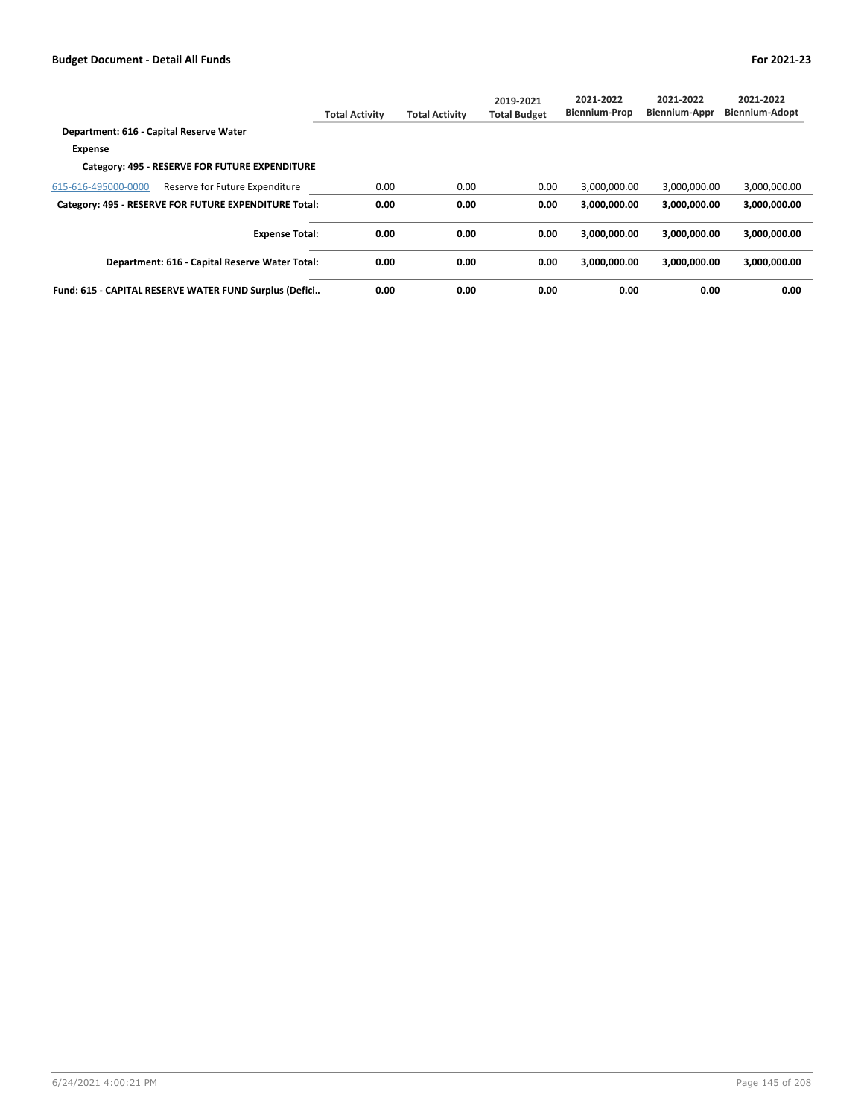|                                                        | <b>Total Activity</b> | <b>Total Activity</b> | 2019-2021<br><b>Total Budget</b> | 2021-2022<br><b>Biennium-Prop</b> | 2021-2022<br><b>Biennium-Appr</b> | 2021-2022<br>Biennium-Adopt |
|--------------------------------------------------------|-----------------------|-----------------------|----------------------------------|-----------------------------------|-----------------------------------|-----------------------------|
| Department: 616 - Capital Reserve Water                |                       |                       |                                  |                                   |                                   |                             |
| <b>Expense</b>                                         |                       |                       |                                  |                                   |                                   |                             |
| Category: 495 - RESERVE FOR FUTURE EXPENDITURE         |                       |                       |                                  |                                   |                                   |                             |
| 615-616-495000-0000<br>Reserve for Future Expenditure  | 0.00                  | 0.00                  | 0.00                             | 3,000,000.00                      | 3,000,000.00                      | 3,000,000.00                |
| Category: 495 - RESERVE FOR FUTURE EXPENDITURE Total:  | 0.00                  | 0.00                  | 0.00                             | 3.000.000.00                      | 3.000.000.00                      | 3,000,000.00                |
| <b>Expense Total:</b>                                  | 0.00                  | 0.00                  | 0.00                             | 3,000,000.00                      | 3.000.000.00                      | 3,000,000.00                |
| Department: 616 - Capital Reserve Water Total:         | 0.00                  | 0.00                  | 0.00                             | 3.000.000.00                      | 3.000.000.00                      | 3,000,000.00                |
| Fund: 615 - CAPITAL RESERVE WATER FUND Surplus (Defici | 0.00                  | 0.00                  | 0.00                             | 0.00                              | 0.00                              | 0.00                        |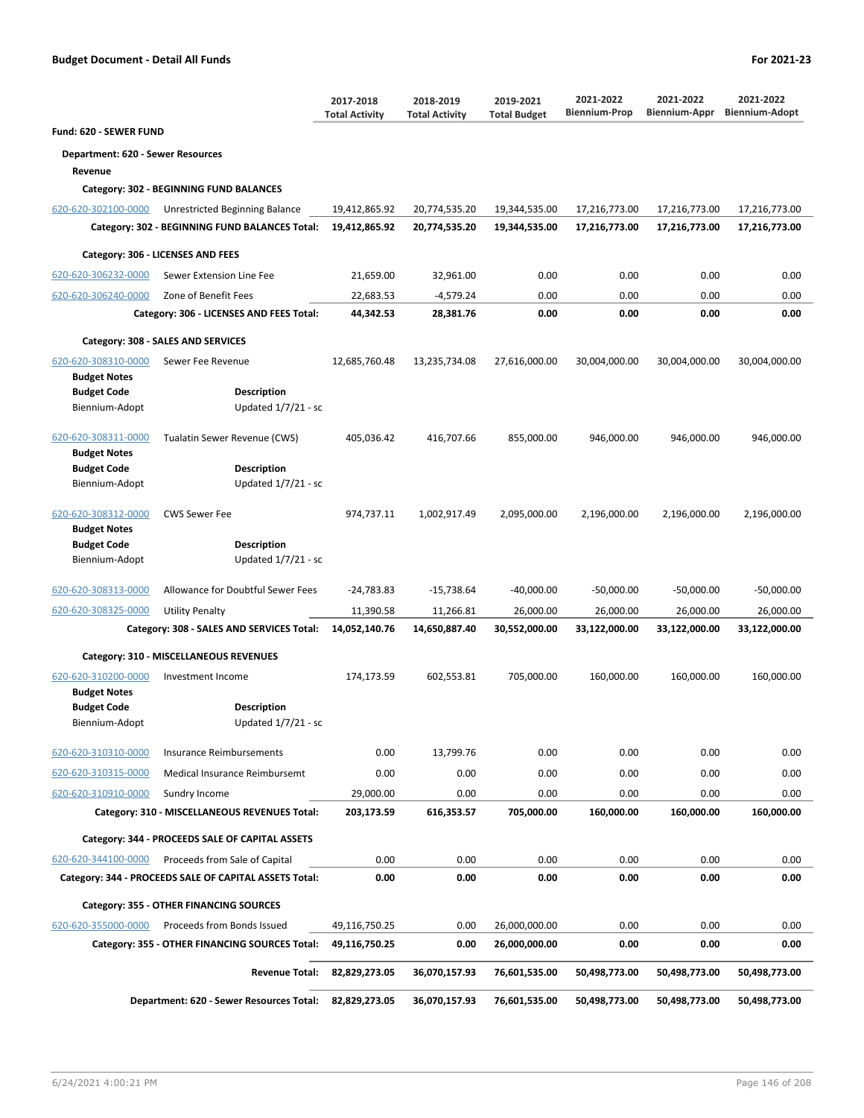|                                            |                                                        | 2017-2018<br><b>Total Activity</b> | 2018-2019<br><b>Total Activity</b> | 2019-2021<br><b>Total Budget</b> | 2021-2022<br><b>Biennium-Prop</b> | 2021-2022<br>Biennium-Appr | 2021-2022<br><b>Biennium-Adopt</b> |
|--------------------------------------------|--------------------------------------------------------|------------------------------------|------------------------------------|----------------------------------|-----------------------------------|----------------------------|------------------------------------|
| Fund: 620 - SEWER FUND                     |                                                        |                                    |                                    |                                  |                                   |                            |                                    |
| <b>Department: 620 - Sewer Resources</b>   |                                                        |                                    |                                    |                                  |                                   |                            |                                    |
| Revenue                                    |                                                        |                                    |                                    |                                  |                                   |                            |                                    |
|                                            | Category: 302 - BEGINNING FUND BALANCES                |                                    |                                    |                                  |                                   |                            |                                    |
| 620-620-302100-0000                        | Unrestricted Beginning Balance                         | 19,412,865.92                      | 20,774,535.20                      | 19,344,535.00                    | 17,216,773.00                     | 17,216,773.00              | 17,216,773.00                      |
|                                            | Category: 302 - BEGINNING FUND BALANCES Total:         | 19,412,865.92                      | 20,774,535.20                      | 19,344,535.00                    | 17,216,773.00                     | 17,216,773.00              | 17,216,773.00                      |
|                                            | Category: 306 - LICENSES AND FEES                      |                                    |                                    |                                  |                                   |                            |                                    |
| 620-620-306232-0000                        | Sewer Extension Line Fee                               | 21,659.00                          | 32,961.00                          | 0.00                             | 0.00                              | 0.00                       | 0.00                               |
| 620-620-306240-0000                        | Zone of Benefit Fees                                   | 22,683.53                          | $-4,579.24$                        | 0.00                             | 0.00                              | 0.00                       | 0.00                               |
|                                            | Category: 306 - LICENSES AND FEES Total:               | 44,342.53                          | 28,381.76                          | 0.00                             | 0.00                              | 0.00                       | 0.00                               |
|                                            |                                                        |                                    |                                    |                                  |                                   |                            |                                    |
|                                            | Category: 308 - SALES AND SERVICES                     |                                    |                                    |                                  |                                   |                            |                                    |
| 620-620-308310-0000<br><b>Budget Notes</b> | Sewer Fee Revenue                                      | 12,685,760.48                      | 13,235,734.08                      | 27,616,000.00                    | 30,004,000.00                     | 30,004,000.00              | 30,004,000.00                      |
| <b>Budget Code</b>                         | <b>Description</b>                                     |                                    |                                    |                                  |                                   |                            |                                    |
| Biennium-Adopt                             | Updated 1/7/21 - sc                                    |                                    |                                    |                                  |                                   |                            |                                    |
| 620-620-308311-0000<br><b>Budget Notes</b> | Tualatin Sewer Revenue (CWS)                           | 405.036.42                         | 416,707.66                         | 855,000.00                       | 946,000.00                        | 946,000.00                 | 946,000.00                         |
| <b>Budget Code</b>                         | <b>Description</b>                                     |                                    |                                    |                                  |                                   |                            |                                    |
| Biennium-Adopt                             | Updated $1/7/21$ - sc                                  |                                    |                                    |                                  |                                   |                            |                                    |
| 620-620-308312-0000<br><b>Budget Notes</b> | <b>CWS Sewer Fee</b>                                   | 974,737.11                         | 1,002,917.49                       | 2,095,000.00                     | 2,196,000.00                      | 2,196,000.00               | 2,196,000.00                       |
| <b>Budget Code</b>                         | <b>Description</b>                                     |                                    |                                    |                                  |                                   |                            |                                    |
| Biennium-Adopt                             | Updated 1/7/21 - sc                                    |                                    |                                    |                                  |                                   |                            |                                    |
| 620-620-308313-0000                        | Allowance for Doubtful Sewer Fees                      | $-24,783.83$                       | -15,738.64                         | $-40,000.00$                     | $-50,000.00$                      | $-50,000.00$               | $-50,000.00$                       |
| 620-620-308325-0000                        | <b>Utility Penalty</b>                                 | 11,390.58                          | 11,266.81                          | 26,000.00                        | 26,000.00                         | 26,000.00                  | 26,000.00                          |
|                                            | Category: 308 - SALES AND SERVICES Total:              | 14,052,140.76                      | 14,650,887.40                      | 30,552,000.00                    | 33,122,000.00                     | 33,122,000.00              | 33,122,000.00                      |
|                                            | Category: 310 - MISCELLANEOUS REVENUES                 |                                    |                                    |                                  |                                   |                            |                                    |
| 620-620-310200-0000<br><b>Budget Notes</b> | Investment Income                                      | 174,173.59                         | 602,553.81                         | 705,000.00                       | 160,000.00                        | 160,000.00                 | 160,000.00                         |
| <b>Budget Code</b>                         | <b>Description</b>                                     |                                    |                                    |                                  |                                   |                            |                                    |
| Biennium-Adopt                             | Updated 1/7/21 - sc                                    |                                    |                                    |                                  |                                   |                            |                                    |
| 620-620-310310-0000                        | <b>Insurance Reimbursements</b>                        | 0.00                               | 13,799.76                          | 0.00                             | 0.00                              | 0.00                       | 0.00                               |
| 620-620-310315-0000                        | Medical Insurance Reimbursemt                          | 0.00                               | 0.00                               | 0.00                             | 0.00                              | 0.00                       | 0.00                               |
| 620-620-310910-0000                        | Sundry Income                                          | 29,000.00                          | 0.00                               | 0.00                             | 0.00                              | 0.00                       | 0.00                               |
|                                            | Category: 310 - MISCELLANEOUS REVENUES Total:          | 203,173.59                         | 616,353.57                         | 705,000.00                       | 160,000.00                        | 160,000.00                 | 160,000.00                         |
|                                            | Category: 344 - PROCEEDS SALE OF CAPITAL ASSETS        |                                    |                                    |                                  |                                   |                            |                                    |
| 620-620-344100-0000                        | Proceeds from Sale of Capital                          | 0.00                               | 0.00                               | 0.00                             | 0.00                              | 0.00                       | 0.00                               |
|                                            | Category: 344 - PROCEEDS SALE OF CAPITAL ASSETS Total: | 0.00                               | 0.00                               | 0.00                             | 0.00                              | 0.00                       | 0.00                               |
|                                            |                                                        |                                    |                                    |                                  |                                   |                            |                                    |
|                                            | Category: 355 - OTHER FINANCING SOURCES                |                                    |                                    |                                  |                                   |                            |                                    |
| 620-620-355000-0000                        | Proceeds from Bonds Issued                             | 49,116,750.25                      | 0.00                               | 26,000,000.00                    | 0.00                              | 0.00                       | 0.00                               |
|                                            | Category: 355 - OTHER FINANCING SOURCES Total:         | 49,116,750.25                      | 0.00                               | 26,000,000.00                    | 0.00                              | 0.00                       | 0.00                               |
|                                            | <b>Revenue Total:</b>                                  | 82,829,273.05                      | 36,070,157.93                      | 76,601,535.00                    | 50,498,773.00                     | 50,498,773.00              | 50,498,773.00                      |
|                                            | Department: 620 - Sewer Resources Total:               | 82,829,273.05                      | 36,070,157.93                      | 76,601,535.00                    | 50,498,773.00                     | 50,498,773.00              | 50,498,773.00                      |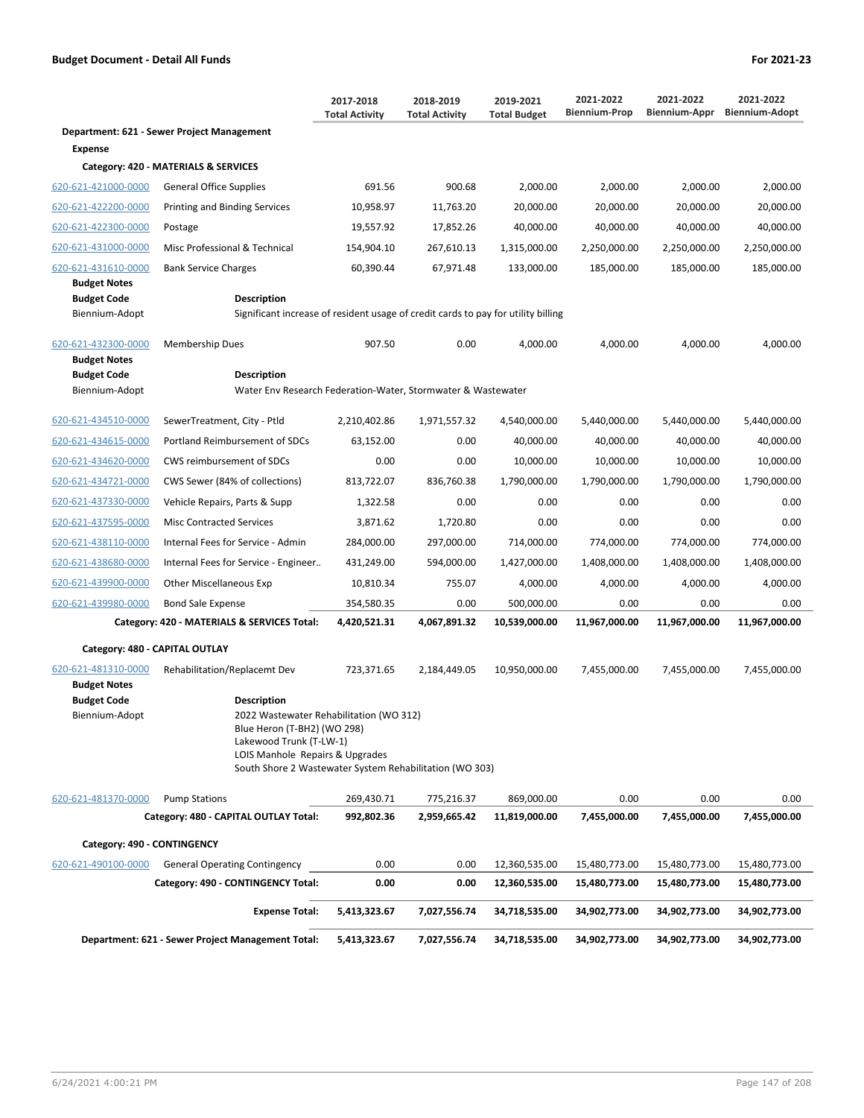|                                                                                    |                                                                                                                                                                                            | 2017-2018<br><b>Total Activity</b> | 2018-2019<br><b>Total Activity</b> | 2019-2021<br><b>Total Budget</b> | 2021-2022<br><b>Biennium-Prop</b> | 2021-2022<br>Biennium-Appr | 2021-2022<br><b>Biennium-Adopt</b> |
|------------------------------------------------------------------------------------|--------------------------------------------------------------------------------------------------------------------------------------------------------------------------------------------|------------------------------------|------------------------------------|----------------------------------|-----------------------------------|----------------------------|------------------------------------|
|                                                                                    | Department: 621 - Sewer Project Management                                                                                                                                                 |                                    |                                    |                                  |                                   |                            |                                    |
| <b>Expense</b>                                                                     |                                                                                                                                                                                            |                                    |                                    |                                  |                                   |                            |                                    |
|                                                                                    | Category: 420 - MATERIALS & SERVICES                                                                                                                                                       |                                    |                                    |                                  |                                   |                            |                                    |
| 620-621-421000-0000                                                                | General Office Supplies                                                                                                                                                                    | 691.56                             | 900.68                             | 2,000.00                         | 2,000.00                          | 2,000.00                   | 2,000.00                           |
| 620-621-422200-0000                                                                | <b>Printing and Binding Services</b>                                                                                                                                                       | 10,958.97                          | 11,763.20                          | 20,000.00                        | 20,000.00                         | 20,000.00                  | 20,000.00                          |
| 620-621-422300-0000                                                                | Postage                                                                                                                                                                                    | 19,557.92                          | 17,852.26                          | 40,000.00                        | 40,000.00                         | 40,000.00                  | 40,000.00                          |
| 620-621-431000-0000                                                                | Misc Professional & Technical                                                                                                                                                              | 154,904.10                         | 267,610.13                         | 1,315,000.00                     | 2,250,000.00                      | 2,250,000.00               | 2,250,000.00                       |
| 620-621-431610-0000<br><b>Budget Notes</b><br><b>Budget Code</b><br>Biennium-Adopt | <b>Bank Service Charges</b><br><b>Description</b><br>Significant increase of resident usage of credit cards to pay for utility billing                                                     | 60,390.44                          | 67,971.48                          | 133,000.00                       | 185,000.00                        | 185,000.00                 | 185,000.00                         |
| 620-621-432300-0000                                                                | <b>Membership Dues</b>                                                                                                                                                                     | 907.50                             | 0.00                               | 4,000.00                         | 4,000.00                          | 4,000.00                   | 4,000.00                           |
| <b>Budget Notes</b><br><b>Budget Code</b><br>Biennium-Adopt                        | <b>Description</b><br>Water Env Research Federation-Water, Stormwater & Wastewater                                                                                                         |                                    |                                    |                                  |                                   |                            |                                    |
| 620-621-434510-0000                                                                | SewerTreatment, City - Ptld                                                                                                                                                                | 2,210,402.86                       | 1,971,557.32                       | 4,540,000.00                     | 5,440,000.00                      | 5,440,000.00               | 5,440,000.00                       |
| 620-621-434615-0000                                                                | Portland Reimbursement of SDCs                                                                                                                                                             | 63,152.00                          | 0.00                               | 40,000.00                        | 40,000.00                         | 40,000.00                  | 40,000.00                          |
| 620-621-434620-0000                                                                | CWS reimbursement of SDCs                                                                                                                                                                  | 0.00                               | 0.00                               | 10,000.00                        | 10,000.00                         | 10,000.00                  | 10,000.00                          |
| 620-621-434721-0000                                                                | CWS Sewer (84% of collections)                                                                                                                                                             | 813,722.07                         | 836,760.38                         | 1,790,000.00                     | 1,790,000.00                      | 1,790,000.00               | 1,790,000.00                       |
| 620-621-437330-0000                                                                | Vehicle Repairs, Parts & Supp                                                                                                                                                              | 1,322.58                           | 0.00                               | 0.00                             | 0.00                              | 0.00                       | 0.00                               |
| 620-621-437595-0000                                                                | <b>Misc Contracted Services</b>                                                                                                                                                            | 3,871.62                           | 1,720.80                           | 0.00                             | 0.00                              | 0.00                       | 0.00                               |
| 620-621-438110-0000                                                                | Internal Fees for Service - Admin                                                                                                                                                          | 284,000.00                         | 297,000.00                         | 714,000.00                       | 774,000.00                        | 774,000.00                 | 774,000.00                         |
| 620-621-438680-0000                                                                | Internal Fees for Service - Engineer                                                                                                                                                       | 431,249.00                         | 594,000.00                         | 1,427,000.00                     | 1,408,000.00                      | 1,408,000.00               | 1,408,000.00                       |
| 620-621-439900-0000                                                                | <b>Other Miscellaneous Exp</b>                                                                                                                                                             | 10,810.34                          | 755.07                             | 4,000.00                         | 4,000.00                          | 4,000.00                   | 4,000.00                           |
| 620-621-439980-0000                                                                | <b>Bond Sale Expense</b>                                                                                                                                                                   | 354,580.35                         | 0.00                               | 500,000.00                       | 0.00                              | 0.00                       | 0.00                               |
|                                                                                    | Category: 420 - MATERIALS & SERVICES Total:                                                                                                                                                | 4,420,521.31                       | 4,067,891.32                       | 10,539,000.00                    | 11,967,000.00                     | 11,967,000.00              | 11,967,000.00                      |
| Category: 480 - CAPITAL OUTLAY                                                     |                                                                                                                                                                                            |                                    |                                    |                                  |                                   |                            |                                    |
| 620-621-481310-0000<br><b>Budget Notes</b><br><b>Budget Code</b><br>Biennium-Adopt | Rehabilitation/Replacemt Dev<br><b>Description</b><br>2022 Wastewater Rehabilitation (WO 312)<br>Blue Heron (T-BH2) (WO 298)<br>Lakewood Trunk (T-LW-1)<br>LOIS Manhole Repairs & Upgrades | 723,371.65                         | 2,184,449.05                       | 10,950,000.00                    | 7,455,000.00                      | 7,455,000.00               | 7,455,000.00                       |
|                                                                                    | South Shore 2 Wastewater System Rehabilitation (WO 303)                                                                                                                                    |                                    |                                    |                                  |                                   |                            |                                    |
| 620-621-481370-0000                                                                | <b>Pump Stations</b>                                                                                                                                                                       | 269,430.71                         | 775,216.37                         | 869,000.00                       | 0.00                              | 0.00                       | 0.00                               |
|                                                                                    | Category: 480 - CAPITAL OUTLAY Total:                                                                                                                                                      | 992,802.36                         | 2,959,665.42                       | 11,819,000.00                    | 7,455,000.00                      | 7,455,000.00               | 7,455,000.00                       |
| Category: 490 - CONTINGENCY                                                        |                                                                                                                                                                                            |                                    |                                    |                                  |                                   |                            |                                    |
| 620-621-490100-0000                                                                | <b>General Operating Contingency</b>                                                                                                                                                       | 0.00                               | 0.00                               | 12,360,535.00                    | 15,480,773.00                     | 15,480,773.00              | 15,480,773.00                      |
|                                                                                    | Category: 490 - CONTINGENCY Total:                                                                                                                                                         | 0.00                               | 0.00                               | 12,360,535.00                    | 15,480,773.00                     | 15,480,773.00              | 15,480,773.00                      |
|                                                                                    | <b>Expense Total:</b>                                                                                                                                                                      | 5,413,323.67                       | 7,027,556.74                       | 34,718,535.00                    | 34,902,773.00                     | 34,902,773.00              | 34,902,773.00                      |
|                                                                                    | Department: 621 - Sewer Project Management Total:                                                                                                                                          | 5,413,323.67                       | 7,027,556.74                       | 34,718,535.00                    | 34,902,773.00                     | 34,902,773.00              | 34,902,773.00                      |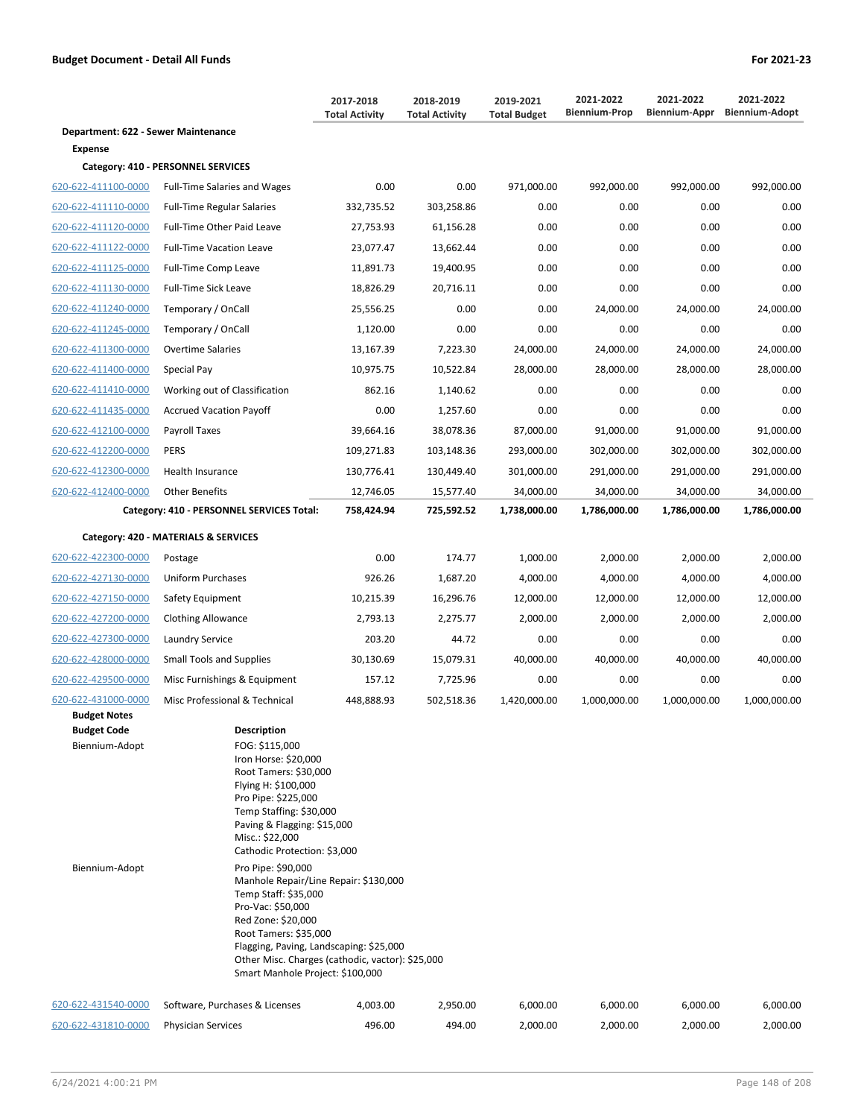|                                      |                                                                                                                                                                                                                                                  | 2017-2018<br><b>Total Activity</b> | 2018-2019<br><b>Total Activity</b> | 2019-2021<br><b>Total Budget</b> | 2021-2022<br><b>Biennium-Prop</b> | 2021-2022<br><b>Biennium-Appr</b> | 2021-2022<br><b>Biennium-Adopt</b> |
|--------------------------------------|--------------------------------------------------------------------------------------------------------------------------------------------------------------------------------------------------------------------------------------------------|------------------------------------|------------------------------------|----------------------------------|-----------------------------------|-----------------------------------|------------------------------------|
| Department: 622 - Sewer Maintenance  |                                                                                                                                                                                                                                                  |                                    |                                    |                                  |                                   |                                   |                                    |
| Expense                              |                                                                                                                                                                                                                                                  |                                    |                                    |                                  |                                   |                                   |                                    |
|                                      | Category: 410 - PERSONNEL SERVICES                                                                                                                                                                                                               |                                    |                                    |                                  |                                   |                                   |                                    |
| 620-622-411100-0000                  | <b>Full-Time Salaries and Wages</b>                                                                                                                                                                                                              | 0.00                               | 0.00                               | 971,000.00                       | 992,000.00                        | 992,000.00                        | 992,000.00                         |
| 620-622-411110-0000                  | <b>Full-Time Regular Salaries</b>                                                                                                                                                                                                                | 332,735.52                         | 303,258.86                         | 0.00                             | 0.00                              | 0.00                              | 0.00                               |
| 620-622-411120-0000                  | Full-Time Other Paid Leave                                                                                                                                                                                                                       | 27,753.93                          | 61,156.28                          | 0.00                             | 0.00                              | 0.00                              | 0.00                               |
| 620-622-411122-0000                  | <b>Full-Time Vacation Leave</b>                                                                                                                                                                                                                  | 23,077.47                          | 13,662.44                          | 0.00                             | 0.00                              | 0.00                              | 0.00                               |
| 620-622-411125-0000                  | Full-Time Comp Leave                                                                                                                                                                                                                             | 11,891.73                          | 19,400.95                          | 0.00                             | 0.00                              | 0.00                              | 0.00                               |
| 620-622-411130-0000                  | <b>Full-Time Sick Leave</b>                                                                                                                                                                                                                      | 18,826.29                          | 20,716.11                          | 0.00                             | 0.00                              | 0.00                              | 0.00                               |
| 620-622-411240-0000                  | Temporary / OnCall                                                                                                                                                                                                                               | 25,556.25                          | 0.00                               | 0.00                             | 24,000.00                         | 24,000.00                         | 24,000.00                          |
| 620-622-411245-0000                  | Temporary / OnCall                                                                                                                                                                                                                               | 1,120.00                           | 0.00                               | 0.00                             | 0.00                              | 0.00                              | 0.00                               |
| 620-622-411300-0000                  | <b>Overtime Salaries</b>                                                                                                                                                                                                                         | 13,167.39                          | 7,223.30                           | 24,000.00                        | 24,000.00                         | 24,000.00                         | 24,000.00                          |
| 620-622-411400-0000                  | Special Pay                                                                                                                                                                                                                                      | 10,975.75                          | 10,522.84                          | 28,000.00                        | 28,000.00                         | 28,000.00                         | 28,000.00                          |
| 620-622-411410-0000                  | Working out of Classification                                                                                                                                                                                                                    | 862.16                             | 1,140.62                           | 0.00                             | 0.00                              | 0.00                              | 0.00                               |
| 620-622-411435-0000                  | <b>Accrued Vacation Payoff</b>                                                                                                                                                                                                                   | 0.00                               | 1,257.60                           | 0.00                             | 0.00                              | 0.00                              | 0.00                               |
| 620-622-412100-0000                  | Payroll Taxes                                                                                                                                                                                                                                    | 39,664.16                          | 38,078.36                          | 87,000.00                        | 91,000.00                         | 91,000.00                         | 91,000.00                          |
| 620-622-412200-0000                  | <b>PERS</b>                                                                                                                                                                                                                                      | 109,271.83                         | 103,148.36                         | 293,000.00                       | 302,000.00                        | 302,000.00                        | 302,000.00                         |
| 620-622-412300-0000                  | Health Insurance                                                                                                                                                                                                                                 | 130,776.41                         | 130,449.40                         | 301,000.00                       | 291,000.00                        | 291,000.00                        | 291,000.00                         |
| 620-622-412400-0000                  | <b>Other Benefits</b>                                                                                                                                                                                                                            | 12,746.05                          | 15,577.40                          | 34,000.00                        | 34,000.00                         | 34,000.00                         | 34,000.00                          |
|                                      | Category: 410 - PERSONNEL SERVICES Total:                                                                                                                                                                                                        | 758,424.94                         | 725,592.52                         | 1,738,000.00                     | 1,786,000.00                      | 1,786,000.00                      | 1,786,000.00                       |
|                                      | Category: 420 - MATERIALS & SERVICES                                                                                                                                                                                                             |                                    |                                    |                                  |                                   |                                   |                                    |
| 620-622-422300-0000                  | Postage                                                                                                                                                                                                                                          | 0.00                               | 174.77                             | 1,000.00                         | 2,000.00                          | 2,000.00                          | 2,000.00                           |
| 620-622-427130-0000                  | Uniform Purchases                                                                                                                                                                                                                                | 926.26                             | 1,687.20                           | 4,000.00                         | 4,000.00                          | 4,000.00                          | 4,000.00                           |
| 620-622-427150-0000                  | Safety Equipment                                                                                                                                                                                                                                 | 10,215.39                          | 16,296.76                          | 12,000.00                        | 12,000.00                         | 12,000.00                         | 12,000.00                          |
| 620-622-427200-0000                  | <b>Clothing Allowance</b>                                                                                                                                                                                                                        | 2,793.13                           | 2,275.77                           | 2,000.00                         | 2,000.00                          | 2,000.00                          | 2,000.00                           |
| 620-622-427300-0000                  | <b>Laundry Service</b>                                                                                                                                                                                                                           | 203.20                             | 44.72                              | 0.00                             | 0.00                              | 0.00                              | 0.00                               |
| 620-622-428000-0000                  | <b>Small Tools and Supplies</b>                                                                                                                                                                                                                  | 30,130.69                          | 15,079.31                          | 40,000.00                        | 40,000.00                         | 40,000.00                         | 40,000.00                          |
| 620-622-429500-0000                  | Misc Furnishings & Equipment                                                                                                                                                                                                                     | 157.12                             | 7,725.96                           | 0.00                             | 0.00                              | 0.00                              | 0.00                               |
| 620-622-431000-0000                  | Misc Professional & Technical                                                                                                                                                                                                                    | 448,888.93                         | 502,518.36                         | 1,420,000.00                     | 1,000,000.00                      | 1,000,000.00                      | 1,000,000.00                       |
| <b>Budget Notes</b>                  |                                                                                                                                                                                                                                                  |                                    |                                    |                                  |                                   |                                   |                                    |
| <b>Budget Code</b><br>Biennium-Adopt | <b>Description</b><br>FOG: \$115,000<br>Iron Horse: \$20,000<br>Root Tamers: \$30,000<br>Flying H: \$100,000<br>Pro Pipe: \$225,000<br>Temp Staffing: \$30,000<br>Paving & Flagging: \$15,000<br>Misc.: \$22,000<br>Cathodic Protection: \$3,000 |                                    |                                    |                                  |                                   |                                   |                                    |
| Biennium-Adopt                       | Pro Pipe: \$90,000<br>Manhole Repair/Line Repair: \$130,000<br>Temp Staff: \$35,000<br>Pro-Vac: \$50,000                                                                                                                                         |                                    |                                    |                                  |                                   |                                   |                                    |

620-622-431540-0000 Software, Purchases & Licenses 4,003.00 2,950.00 6,000.00 6,000.00 6,000.00 6,000.00 620-622-431810-0000 Physician Services 496.00 494.00 2,000.00 2,000.00 2,000.00 2,000.00

Red Zone: \$20,000 Root Tamers: \$35,000

Flagging, Paving, Landscaping: \$25,000 Other Misc. Charges (cathodic, vactor): \$25,000

Smart Manhole Project: \$100,000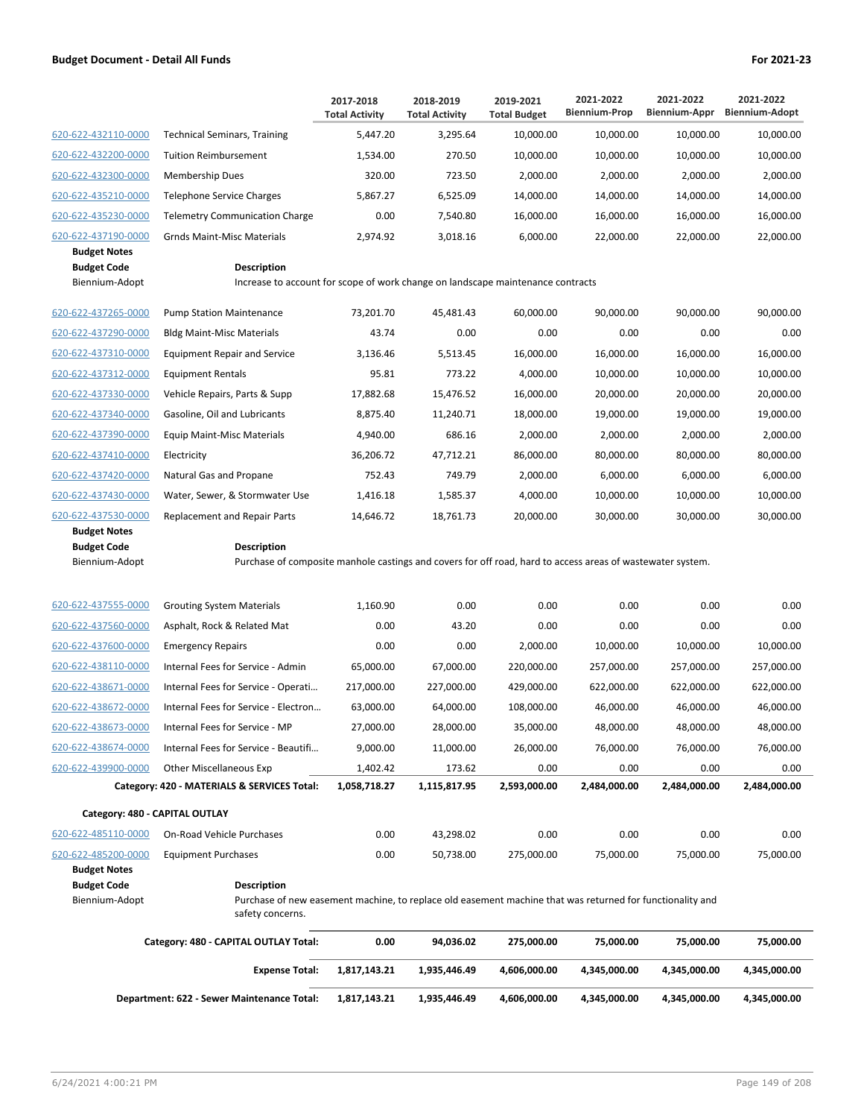|                                           |                                                                                                                                 | 2017-2018<br><b>Total Activity</b> | 2018-2019<br><b>Total Activity</b> | 2019-2021<br><b>Total Budget</b> | 2021-2022<br><b>Biennium-Prop</b> | 2021-2022<br>Biennium-Appr | 2021-2022<br><b>Biennium-Adopt</b> |
|-------------------------------------------|---------------------------------------------------------------------------------------------------------------------------------|------------------------------------|------------------------------------|----------------------------------|-----------------------------------|----------------------------|------------------------------------|
| 620-622-432110-0000                       | <b>Technical Seminars, Training</b>                                                                                             | 5,447.20                           | 3,295.64                           | 10,000.00                        | 10,000.00                         | 10,000.00                  | 10,000.00                          |
| 620-622-432200-0000                       | <b>Tuition Reimbursement</b>                                                                                                    | 1,534.00                           | 270.50                             | 10,000.00                        | 10,000.00                         | 10,000.00                  | 10,000.00                          |
| 620-622-432300-0000                       | Membership Dues                                                                                                                 | 320.00                             | 723.50                             | 2,000.00                         | 2,000.00                          | 2,000.00                   | 2,000.00                           |
| 620-622-435210-0000                       | Telephone Service Charges                                                                                                       | 5,867.27                           | 6,525.09                           | 14,000.00                        | 14,000.00                         | 14,000.00                  | 14,000.00                          |
| 620-622-435230-0000                       | <b>Telemetry Communication Charge</b>                                                                                           | 0.00                               | 7,540.80                           | 16,000.00                        | 16,000.00                         | 16,000.00                  | 16,000.00                          |
| 620-622-437190-0000                       | <b>Grnds Maint-Misc Materials</b>                                                                                               | 2,974.92                           | 3,018.16                           | 6,000.00                         | 22,000.00                         | 22,000.00                  | 22,000.00                          |
| <b>Budget Notes</b>                       |                                                                                                                                 |                                    |                                    |                                  |                                   |                            |                                    |
| <b>Budget Code</b><br>Biennium-Adopt      | <b>Description</b><br>Increase to account for scope of work change on landscape maintenance contracts                           |                                    |                                    |                                  |                                   |                            |                                    |
|                                           |                                                                                                                                 |                                    |                                    |                                  |                                   |                            |                                    |
| 620-622-437265-0000                       | <b>Pump Station Maintenance</b>                                                                                                 | 73,201.70                          | 45,481.43                          | 60,000.00                        | 90,000.00                         | 90,000.00                  | 90,000.00                          |
| 620-622-437290-0000                       | <b>Bldg Maint-Misc Materials</b>                                                                                                | 43.74                              | 0.00                               | 0.00                             | 0.00                              | 0.00                       | 0.00                               |
| 620-622-437310-0000                       | <b>Equipment Repair and Service</b>                                                                                             | 3,136.46                           | 5,513.45                           | 16,000.00                        | 16,000.00                         | 16,000.00                  | 16,000.00                          |
| 620-622-437312-0000                       | <b>Equipment Rentals</b>                                                                                                        | 95.81                              | 773.22                             | 4,000.00                         | 10,000.00                         | 10,000.00                  | 10,000.00                          |
| 620-622-437330-0000                       | Vehicle Repairs, Parts & Supp                                                                                                   | 17,882.68                          | 15,476.52                          | 16,000.00                        | 20,000.00                         | 20,000.00                  | 20,000.00                          |
| 620-622-437340-0000                       | Gasoline, Oil and Lubricants                                                                                                    | 8,875.40                           | 11,240.71                          | 18,000.00                        | 19,000.00                         | 19,000.00                  | 19,000.00                          |
| 620-622-437390-0000                       | <b>Equip Maint-Misc Materials</b>                                                                                               | 4,940.00                           | 686.16                             | 2,000.00                         | 2,000.00                          | 2,000.00                   | 2,000.00                           |
| 620-622-437410-0000                       | Electricity                                                                                                                     | 36,206.72                          | 47,712.21                          | 86,000.00                        | 80,000.00                         | 80,000.00                  | 80,000.00                          |
| 620-622-437420-0000                       | Natural Gas and Propane                                                                                                         | 752.43                             | 749.79                             | 2,000.00                         | 6,000.00                          | 6,000.00                   | 6,000.00                           |
| 620-622-437430-0000                       | Water, Sewer, & Stormwater Use                                                                                                  | 1,416.18                           | 1,585.37                           | 4,000.00                         | 10,000.00                         | 10,000.00                  | 10,000.00                          |
| 620-622-437530-0000                       | Replacement and Repair Parts                                                                                                    | 14,646.72                          | 18,761.73                          | 20,000.00                        | 30,000.00                         | 30,000.00                  | 30,000.00                          |
| <b>Budget Notes</b><br><b>Budget Code</b> | <b>Description</b>                                                                                                              |                                    |                                    |                                  |                                   |                            |                                    |
| Biennium-Adopt                            | Purchase of composite manhole castings and covers for off road, hard to access areas of wastewater system.                      |                                    |                                    |                                  |                                   |                            |                                    |
|                                           |                                                                                                                                 |                                    |                                    |                                  |                                   |                            |                                    |
| 620-622-437555-0000                       | <b>Grouting System Materials</b>                                                                                                | 1,160.90                           | 0.00                               | 0.00                             | 0.00                              | 0.00                       | 0.00                               |
| 620-622-437560-0000                       | Asphalt, Rock & Related Mat                                                                                                     | 0.00                               | 43.20                              | 0.00                             | 0.00                              | 0.00                       | 0.00                               |
| 620-622-437600-0000                       | <b>Emergency Repairs</b>                                                                                                        | 0.00                               | 0.00                               | 2,000.00                         | 10,000.00                         | 10,000.00                  | 10,000.00                          |
| 620-622-438110-0000                       | Internal Fees for Service - Admin                                                                                               | 65,000.00                          | 67,000.00                          | 220,000.00                       | 257,000.00                        | 257,000.00                 | 257,000.00                         |
| 620-622-438671-0000                       | Internal Fees for Service - Operati                                                                                             | 217,000.00                         | 227,000.00                         | 429,000.00                       | 622,000.00                        | 622,000.00                 | 622,000.00                         |
| 620-622-438672-0000                       | Internal Fees for Service - Electron                                                                                            | 63,000.00                          | 64,000.00                          | 108,000.00                       | 46,000.00                         | 46,000.00                  | 46,000.00                          |
| 620-622-438673-0000                       | Internal Fees for Service - MP                                                                                                  | 27,000.00                          | 28,000.00                          | 35,000.00                        | 48,000.00                         | 48,000.00                  | 48,000.00                          |
| 620-622-438674-0000                       | Internal Fees for Service - Beautifi                                                                                            | 9,000.00                           | 11,000.00                          | 26,000.00                        | 76,000.00                         | 76,000.00                  | 76,000.00                          |
| 620-622-439900-0000                       | Other Miscellaneous Exp                                                                                                         | 1,402.42                           | 173.62                             | 0.00                             | 0.00                              | 0.00                       | 0.00                               |
|                                           | Category: 420 - MATERIALS & SERVICES Total:                                                                                     | 1,058,718.27                       | 1,115,817.95                       | 2,593,000.00                     | 2,484,000.00                      | 2,484,000.00               | 2,484,000.00                       |
| Category: 480 - CAPITAL OUTLAY            |                                                                                                                                 |                                    |                                    |                                  |                                   |                            |                                    |
| 620-622-485110-0000                       | On-Road Vehicle Purchases                                                                                                       | 0.00                               | 43,298.02                          | 0.00                             | 0.00                              | 0.00                       | 0.00                               |
| 620-622-485200-0000                       | <b>Equipment Purchases</b>                                                                                                      | 0.00                               | 50,738.00                          | 275,000.00                       | 75,000.00                         | 75,000.00                  | 75,000.00                          |
| <b>Budget Notes</b>                       |                                                                                                                                 |                                    |                                    |                                  |                                   |                            |                                    |
| <b>Budget Code</b><br>Biennium-Adopt      | <b>Description</b><br>Purchase of new easement machine, to replace old easement machine that was returned for functionality and |                                    |                                    |                                  |                                   |                            |                                    |
|                                           | safety concerns.                                                                                                                |                                    |                                    |                                  |                                   |                            |                                    |
|                                           | Category: 480 - CAPITAL OUTLAY Total:                                                                                           | 0.00                               | 94,036.02                          | 275,000.00                       | 75,000.00                         | 75,000.00                  | 75,000.00                          |
|                                           | <b>Expense Total:</b>                                                                                                           | 1,817,143.21                       | 1,935,446.49                       | 4,606,000.00                     | 4,345,000.00                      | 4,345,000.00               | 4,345,000.00                       |
|                                           | Department: 622 - Sewer Maintenance Total:                                                                                      | 1,817,143.21                       | 1,935,446.49                       | 4,606,000.00                     | 4,345,000.00                      | 4,345,000.00               | 4,345,000.00                       |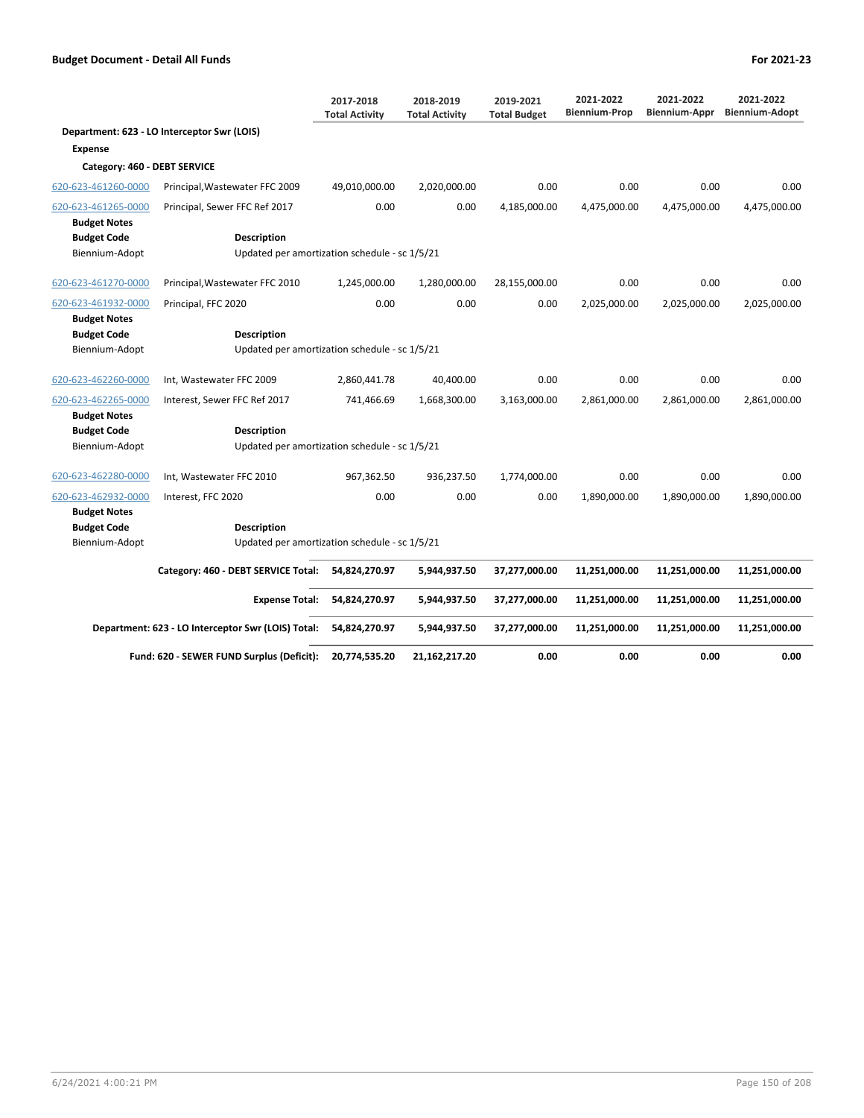|                              |                                                    | 2017-2018<br><b>Total Activity</b> | 2018-2019<br><b>Total Activity</b> | 2019-2021<br><b>Total Budget</b> | 2021-2022<br><b>Biennium-Prop</b> | 2021-2022<br>Biennium-Appr | 2021-2022<br><b>Biennium-Adopt</b> |
|------------------------------|----------------------------------------------------|------------------------------------|------------------------------------|----------------------------------|-----------------------------------|----------------------------|------------------------------------|
|                              | Department: 623 - LO Interceptor Swr (LOIS)        |                                    |                                    |                                  |                                   |                            |                                    |
| <b>Expense</b>               |                                                    |                                    |                                    |                                  |                                   |                            |                                    |
| Category: 460 - DEBT SERVICE |                                                    |                                    |                                    |                                  |                                   |                            |                                    |
| 620-623-461260-0000          | Principal, Wastewater FFC 2009                     | 49,010,000.00                      | 2,020,000.00                       | 0.00                             | 0.00                              | 0.00                       | 0.00                               |
| 620-623-461265-0000          | Principal, Sewer FFC Ref 2017                      | 0.00                               | 0.00                               | 4,185,000.00                     | 4,475,000.00                      | 4,475,000.00               | 4,475,000.00                       |
| <b>Budget Notes</b>          |                                                    |                                    |                                    |                                  |                                   |                            |                                    |
| <b>Budget Code</b>           | <b>Description</b>                                 |                                    |                                    |                                  |                                   |                            |                                    |
| Biennium-Adopt               | Updated per amortization schedule - sc 1/5/21      |                                    |                                    |                                  |                                   |                            |                                    |
| 620-623-461270-0000          | Principal, Wastewater FFC 2010                     | 1,245,000.00                       | 1,280,000.00                       | 28,155,000.00                    | 0.00                              | 0.00                       | 0.00                               |
| 620-623-461932-0000          | Principal, FFC 2020                                | 0.00                               | 0.00                               | 0.00                             | 2,025,000.00                      | 2,025,000.00               | 2,025,000.00                       |
| <b>Budget Notes</b>          |                                                    |                                    |                                    |                                  |                                   |                            |                                    |
| <b>Budget Code</b>           | <b>Description</b>                                 |                                    |                                    |                                  |                                   |                            |                                    |
| Biennium-Adopt               | Updated per amortization schedule - sc 1/5/21      |                                    |                                    |                                  |                                   |                            |                                    |
| 620-623-462260-0000          | Int, Wastewater FFC 2009                           | 2,860,441.78                       | 40,400.00                          | 0.00                             | 0.00                              | 0.00                       | 0.00                               |
| 620-623-462265-0000          | Interest, Sewer FFC Ref 2017                       | 741,466.69                         | 1,668,300.00                       | 3,163,000.00                     | 2,861,000.00                      | 2,861,000.00               | 2,861,000.00                       |
| <b>Budget Notes</b>          |                                                    |                                    |                                    |                                  |                                   |                            |                                    |
| <b>Budget Code</b>           | <b>Description</b>                                 |                                    |                                    |                                  |                                   |                            |                                    |
| Biennium-Adopt               | Updated per amortization schedule - sc 1/5/21      |                                    |                                    |                                  |                                   |                            |                                    |
| 620-623-462280-0000          | Int, Wastewater FFC 2010                           | 967,362.50                         | 936,237.50                         | 1,774,000.00                     | 0.00                              | 0.00                       | 0.00                               |
| 620-623-462932-0000          | Interest, FFC 2020                                 | 0.00                               | 0.00                               | 0.00                             | 1,890,000.00                      | 1,890,000.00               | 1,890,000.00                       |
| <b>Budget Notes</b>          |                                                    |                                    |                                    |                                  |                                   |                            |                                    |
| <b>Budget Code</b>           | <b>Description</b>                                 |                                    |                                    |                                  |                                   |                            |                                    |
| Biennium-Adopt               | Updated per amortization schedule - sc 1/5/21      |                                    |                                    |                                  |                                   |                            |                                    |
|                              | Category: 460 - DEBT SERVICE Total:                | 54,824,270.97                      | 5,944,937.50                       | 37,277,000.00                    | 11,251,000.00                     | 11,251,000.00              | 11,251,000.00                      |
|                              | <b>Expense Total:</b>                              | 54,824,270.97                      | 5,944,937.50                       | 37,277,000.00                    | 11,251,000.00                     | 11,251,000.00              | 11,251,000.00                      |
|                              | Department: 623 - LO Interceptor Swr (LOIS) Total: | 54,824,270.97                      | 5,944,937.50                       | 37,277,000.00                    | 11,251,000.00                     | 11,251,000.00              | 11,251,000.00                      |
|                              | Fund: 620 - SEWER FUND Surplus (Deficit):          | 20,774,535.20                      | 21,162,217.20                      | 0.00                             | 0.00                              | 0.00                       | 0.00                               |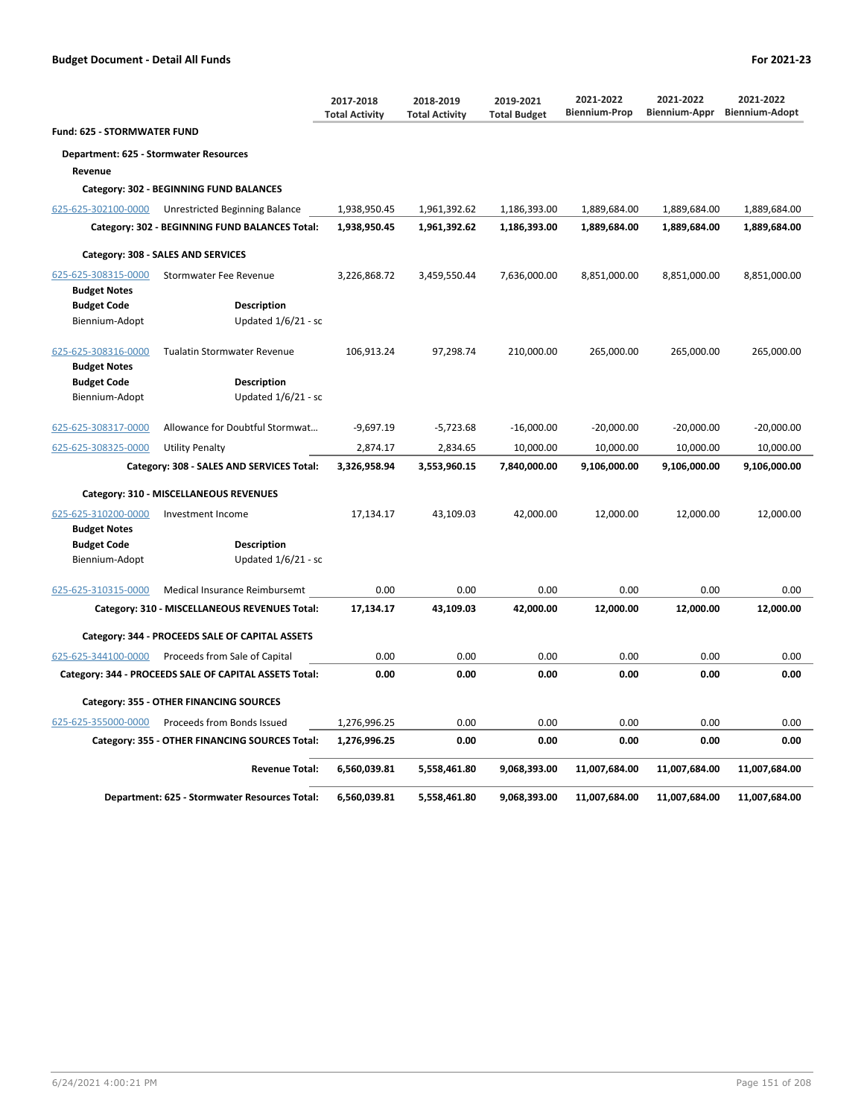**Fund: 625 - STORMWATER FUND**

# **Department: 625 - Stormwater Resources Revenue**

# **Category: 302 - BEGINNING FUND BALANCES**

| 625-625-302100-0000                        | Unrestricted Beginning Balance                         | 1,938,950.45 | 1,961,392.62 | 1,186,393.00 | 1,889,684.00  | 1,889,684.00  | 1,889,684.00  |
|--------------------------------------------|--------------------------------------------------------|--------------|--------------|--------------|---------------|---------------|---------------|
|                                            | Category: 302 - BEGINNING FUND BALANCES Total:         | 1,938,950.45 | 1,961,392.62 | 1,186,393.00 | 1,889,684.00  | 1,889,684.00  | 1,889,684.00  |
|                                            | Category: 308 - SALES AND SERVICES                     |              |              |              |               |               |               |
| 625-625-308315-0000                        | <b>Stormwater Fee Revenue</b>                          | 3,226,868.72 | 3,459,550.44 | 7,636,000.00 | 8,851,000.00  | 8,851,000.00  | 8,851,000.00  |
| <b>Budget Notes</b>                        |                                                        |              |              |              |               |               |               |
| <b>Budget Code</b>                         | <b>Description</b>                                     |              |              |              |               |               |               |
| Biennium-Adopt                             | Updated 1/6/21 - sc                                    |              |              |              |               |               |               |
| 625-625-308316-0000<br><b>Budget Notes</b> | <b>Tualatin Stormwater Revenue</b>                     | 106,913.24   | 97,298.74    | 210,000.00   | 265,000.00    | 265,000.00    | 265,000.00    |
| <b>Budget Code</b>                         | <b>Description</b>                                     |              |              |              |               |               |               |
| Biennium-Adopt                             | Updated 1/6/21 - sc                                    |              |              |              |               |               |               |
| 625-625-308317-0000                        | Allowance for Doubtful Stormwat                        | $-9,697.19$  | $-5,723.68$  | $-16,000.00$ | $-20,000.00$  | $-20,000.00$  | $-20,000.00$  |
| 625-625-308325-0000                        | <b>Utility Penalty</b>                                 | 2,874.17     | 2,834.65     | 10,000.00    | 10,000.00     | 10,000.00     | 10,000.00     |
|                                            | Category: 308 - SALES AND SERVICES Total:              | 3,326,958.94 | 3,553,960.15 | 7,840,000.00 | 9,106,000.00  | 9,106,000.00  | 9,106,000.00  |
|                                            | Category: 310 - MISCELLANEOUS REVENUES                 |              |              |              |               |               |               |
| 625-625-310200-0000                        | Investment Income                                      | 17,134.17    | 43,109.03    | 42,000.00    | 12,000.00     | 12,000.00     | 12,000.00     |
| <b>Budget Notes</b>                        |                                                        |              |              |              |               |               |               |
| <b>Budget Code</b>                         | <b>Description</b>                                     |              |              |              |               |               |               |
| Biennium-Adopt                             | Updated $1/6/21$ - sc                                  |              |              |              |               |               |               |
|                                            |                                                        | 0.00         | 0.00         | 0.00         | 0.00          | 0.00          | 0.00          |
| 625-625-310315-0000                        | Medical Insurance Reimbursemt                          |              |              |              |               |               |               |
|                                            | Category: 310 - MISCELLANEOUS REVENUES Total:          | 17,134.17    | 43,109.03    | 42,000.00    | 12,000.00     | 12,000.00     | 12,000.00     |
|                                            | Category: 344 - PROCEEDS SALE OF CAPITAL ASSETS        |              |              |              |               |               |               |
| 625-625-344100-0000                        | Proceeds from Sale of Capital                          | 0.00         | 0.00         | 0.00         | 0.00          | 0.00          | 0.00          |
|                                            | Category: 344 - PROCEEDS SALE OF CAPITAL ASSETS Total: | 0.00         | 0.00         | 0.00         | 0.00          | 0.00          | 0.00          |
|                                            | Category: 355 - OTHER FINANCING SOURCES                |              |              |              |               |               |               |
| 625-625-355000-0000                        | Proceeds from Bonds Issued                             | 1,276,996.25 | 0.00         | 0.00         | 0.00          | 0.00          | 0.00          |
|                                            | Category: 355 - OTHER FINANCING SOURCES Total:         | 1,276,996.25 | 0.00         | 0.00         | 0.00          | 0.00          | 0.00          |
|                                            | <b>Revenue Total:</b>                                  | 6,560,039.81 | 5,558,461.80 | 9,068,393.00 | 11,007,684.00 | 11,007,684.00 | 11,007,684.00 |
|                                            | Department: 625 - Stormwater Resources Total:          | 6,560,039.81 | 5,558,461.80 | 9,068,393.00 | 11,007,684.00 | 11,007,684.00 | 11,007,684.00 |

**2017-2018 Total Activity**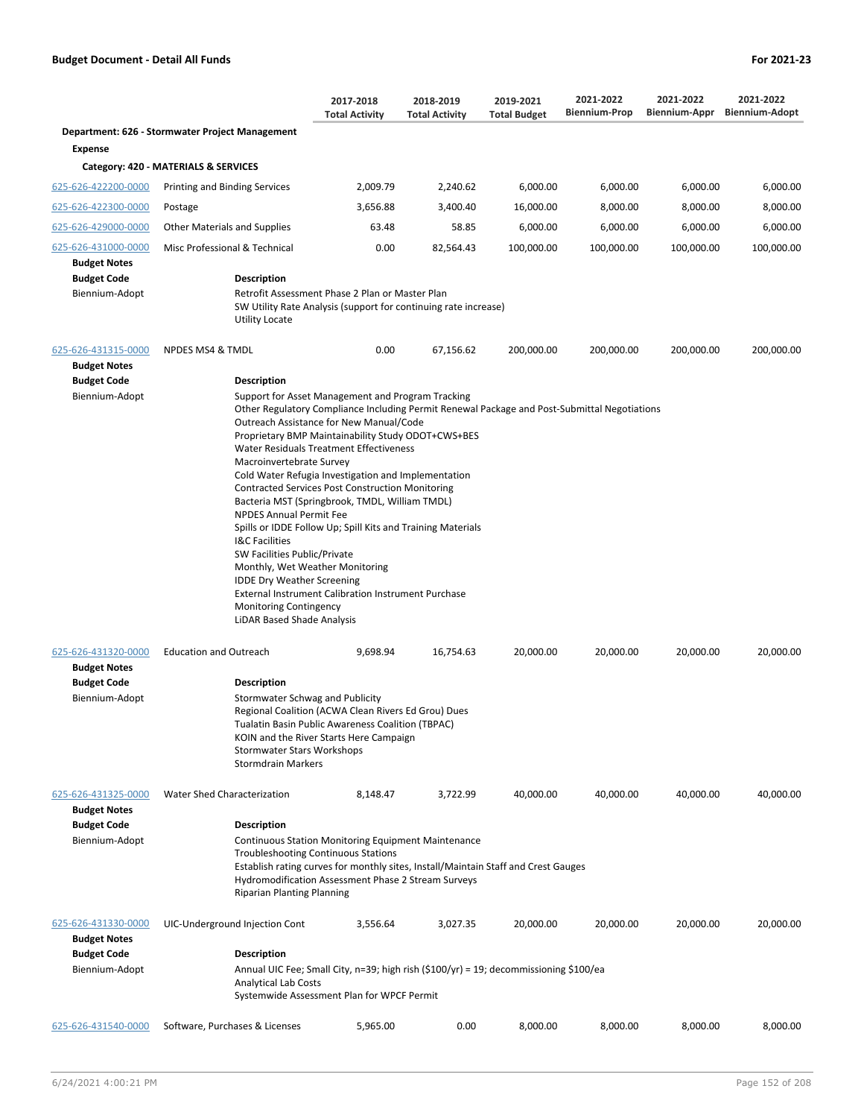|                                                                                    |                                                                                                                                                                                                                                                                | 2017-2018<br><b>Total Activity</b>                                                                                                                                                                                                                                                                                                                                                                                                                                                                                                 | 2018-2019<br><b>Total Activity</b> | 2019-2021<br><b>Total Budget</b> | 2021-2022<br><b>Biennium-Prop</b> | 2021-2022<br>Biennium-Appr | 2021-2022<br><b>Biennium-Adopt</b> |
|------------------------------------------------------------------------------------|----------------------------------------------------------------------------------------------------------------------------------------------------------------------------------------------------------------------------------------------------------------|------------------------------------------------------------------------------------------------------------------------------------------------------------------------------------------------------------------------------------------------------------------------------------------------------------------------------------------------------------------------------------------------------------------------------------------------------------------------------------------------------------------------------------|------------------------------------|----------------------------------|-----------------------------------|----------------------------|------------------------------------|
|                                                                                    | Department: 626 - Stormwater Project Management                                                                                                                                                                                                                |                                                                                                                                                                                                                                                                                                                                                                                                                                                                                                                                    |                                    |                                  |                                   |                            |                                    |
| <b>Expense</b>                                                                     |                                                                                                                                                                                                                                                                |                                                                                                                                                                                                                                                                                                                                                                                                                                                                                                                                    |                                    |                                  |                                   |                            |                                    |
|                                                                                    | Category: 420 - MATERIALS & SERVICES                                                                                                                                                                                                                           |                                                                                                                                                                                                                                                                                                                                                                                                                                                                                                                                    |                                    |                                  |                                   |                            |                                    |
| 625-626-422200-0000                                                                | Printing and Binding Services                                                                                                                                                                                                                                  | 2,009.79                                                                                                                                                                                                                                                                                                                                                                                                                                                                                                                           | 2,240.62                           | 6,000.00                         | 6,000.00                          | 6,000.00                   | 6,000.00                           |
| 625-626-422300-0000                                                                | Postage                                                                                                                                                                                                                                                        | 3,656.88                                                                                                                                                                                                                                                                                                                                                                                                                                                                                                                           | 3,400.40                           | 16,000.00                        | 8,000.00                          | 8,000.00                   | 8,000.00                           |
| 625-626-429000-0000                                                                | <b>Other Materials and Supplies</b>                                                                                                                                                                                                                            | 63.48                                                                                                                                                                                                                                                                                                                                                                                                                                                                                                                              | 58.85                              | 6,000.00                         | 6,000.00                          | 6,000.00                   | 6,000.00                           |
| 625-626-431000-0000                                                                | Misc Professional & Technical                                                                                                                                                                                                                                  | 0.00                                                                                                                                                                                                                                                                                                                                                                                                                                                                                                                               | 82,564.43                          | 100,000.00                       | 100,000.00                        | 100,000.00                 | 100,000.00                         |
| <b>Budget Notes</b><br><b>Budget Code</b><br>Biennium-Adopt                        | <b>Description</b><br>Utility Locate                                                                                                                                                                                                                           | Retrofit Assessment Phase 2 Plan or Master Plan<br>SW Utility Rate Analysis (support for continuing rate increase)                                                                                                                                                                                                                                                                                                                                                                                                                 |                                    |                                  |                                   |                            |                                    |
| 625-626-431315-0000<br><b>Budget Notes</b>                                         | NPDES MS4 & TMDL                                                                                                                                                                                                                                               | 0.00                                                                                                                                                                                                                                                                                                                                                                                                                                                                                                                               | 67,156.62                          | 200,000.00                       | 200,000.00                        | 200,000.00                 | 200,000.00                         |
| <b>Budget Code</b>                                                                 | <b>Description</b>                                                                                                                                                                                                                                             |                                                                                                                                                                                                                                                                                                                                                                                                                                                                                                                                    |                                    |                                  |                                   |                            |                                    |
|                                                                                    | Macroinvertebrate Survey<br><b>NPDES Annual Permit Fee</b><br><b>I&amp;C Facilities</b><br>SW Facilities Public/Private<br>Monthly, Wet Weather Monitoring<br><b>IDDE Dry Weather Screening</b><br><b>Monitoring Contingency</b><br>LiDAR Based Shade Analysis | Other Regulatory Compliance Including Permit Renewal Package and Post-Submittal Negotiations<br>Outreach Assistance for New Manual/Code<br>Proprietary BMP Maintainability Study ODOT+CWS+BES<br>Water Residuals Treatment Effectiveness<br>Cold Water Refugia Investigation and Implementation<br><b>Contracted Services Post Construction Monitoring</b><br>Bacteria MST (Springbrook, TMDL, William TMDL)<br>Spills or IDDE Follow Up; Spill Kits and Training Materials<br>External Instrument Calibration Instrument Purchase |                                    |                                  |                                   |                            |                                    |
| 625-626-431320-0000<br><b>Budget Notes</b><br><b>Budget Code</b><br>Biennium-Adopt | <b>Education and Outreach</b><br><b>Description</b><br>Stormwater Schwag and Publicity<br><b>Stormwater Stars Workshops</b><br><b>Stormdrain Markers</b>                                                                                                       | 9,698.94<br>Regional Coalition (ACWA Clean Rivers Ed Grou) Dues<br>Tualatin Basin Public Awareness Coalition (TBPAC)<br>KOIN and the River Starts Here Campaign                                                                                                                                                                                                                                                                                                                                                                    | 16,754.63                          | 20,000.00                        | 20,000.00                         | 20,000.00                  | 20,000.00                          |
| 625-626-431325-0000<br><b>Budget Notes</b><br><b>Budget Code</b><br>Biennium-Adopt | Water Shed Characterization<br><b>Description</b><br><b>Riparian Planting Planning</b>                                                                                                                                                                         | 8,148.47<br><b>Continuous Station Monitoring Equipment Maintenance</b><br><b>Troubleshooting Continuous Stations</b><br>Establish rating curves for monthly sites, Install/Maintain Staff and Crest Gauges<br>Hydromodification Assessment Phase 2 Stream Surveys                                                                                                                                                                                                                                                                  | 3,722.99                           | 40,000.00                        | 40,000.00                         | 40,000.00                  | 40,000.00                          |
| 625-626-431330-0000<br><b>Budget Notes</b><br><b>Budget Code</b><br>Biennium-Adopt | UIC-Underground Injection Cont<br>Description<br><b>Analytical Lab Costs</b>                                                                                                                                                                                   | 3,556.64<br>Annual UIC Fee; Small City, n=39; high rish $(\$100/yr) = 19$ ; decommissioning \$100/ea<br>Systemwide Assessment Plan for WPCF Permit                                                                                                                                                                                                                                                                                                                                                                                 | 3,027.35                           | 20,000.00                        | 20,000.00                         | 20,000.00                  | 20,000.00                          |
| 625-626-431540-0000                                                                | Software, Purchases & Licenses                                                                                                                                                                                                                                 | 5,965.00                                                                                                                                                                                                                                                                                                                                                                                                                                                                                                                           | 0.00                               | 8,000.00                         | 8,000.00                          | 8,000.00                   | 8,000.00                           |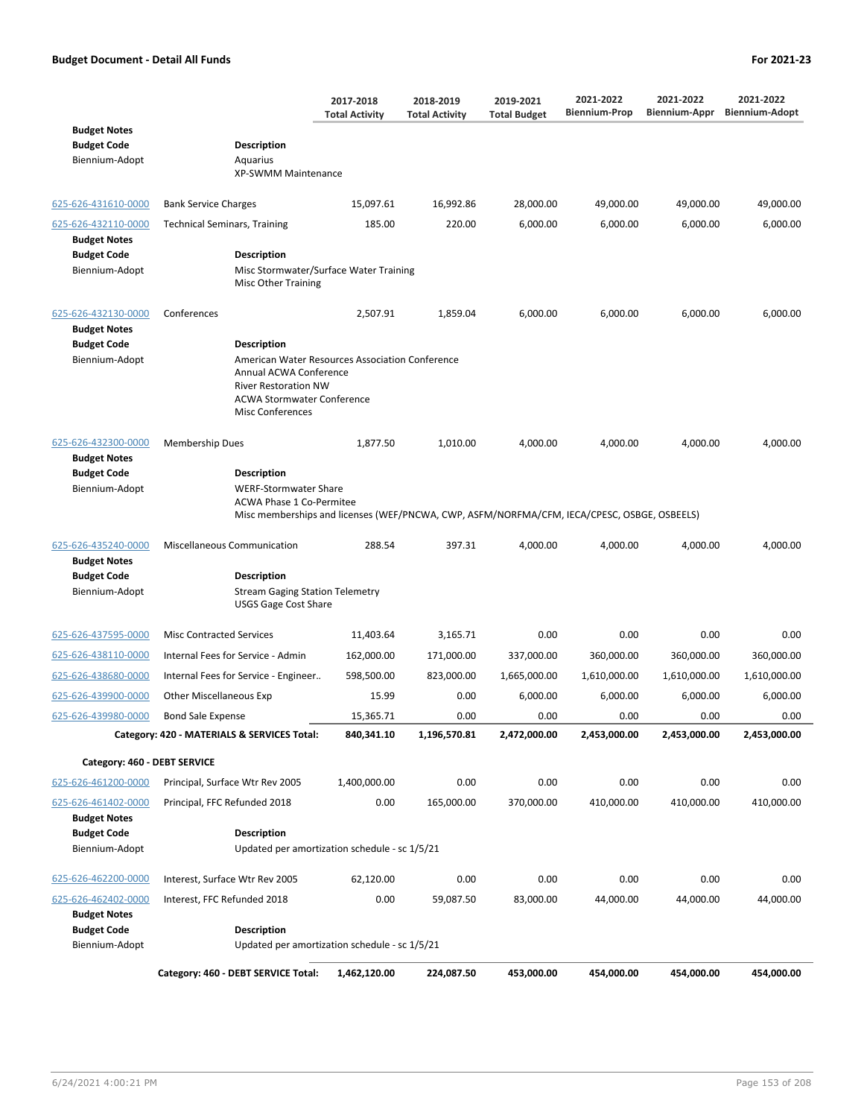|                                                             |                                                                                                                                                                                      | 2017-2018<br><b>Total Activity</b> | 2018-2019<br><b>Total Activity</b> | 2019-2021<br><b>Total Budget</b> | 2021-2022<br><b>Biennium-Prop</b> | 2021-2022<br>Biennium-Appr | 2021-2022<br><b>Biennium-Adopt</b> |
|-------------------------------------------------------------|--------------------------------------------------------------------------------------------------------------------------------------------------------------------------------------|------------------------------------|------------------------------------|----------------------------------|-----------------------------------|----------------------------|------------------------------------|
| <b>Budget Notes</b><br><b>Budget Code</b><br>Biennium-Adopt | <b>Description</b><br>Aquarius<br><b>XP-SWMM Maintenance</b>                                                                                                                         |                                    |                                    |                                  |                                   |                            |                                    |
| 625-626-431610-0000                                         | <b>Bank Service Charges</b>                                                                                                                                                          | 15,097.61                          | 16,992.86                          | 28,000.00                        | 49,000.00                         | 49,000.00                  | 49,000.00                          |
| 625-626-432110-0000<br><b>Budget Notes</b>                  | <b>Technical Seminars, Training</b>                                                                                                                                                  | 185.00                             | 220.00                             | 6,000.00                         | 6,000.00                          | 6,000.00                   | 6,000.00                           |
| <b>Budget Code</b><br>Biennium-Adopt                        | <b>Description</b><br>Misc Stormwater/Surface Water Training<br>Misc Other Training                                                                                                  |                                    |                                    |                                  |                                   |                            |                                    |
| 625-626-432130-0000<br><b>Budget Notes</b>                  | Conferences                                                                                                                                                                          | 2,507.91                           | 1,859.04                           | 6,000.00                         | 6,000.00                          | 6,000.00                   | 6,000.00                           |
| <b>Budget Code</b>                                          | <b>Description</b>                                                                                                                                                                   |                                    |                                    |                                  |                                   |                            |                                    |
| Biennium-Adopt                                              | American Water Resources Association Conference<br>Annual ACWA Conference<br><b>River Restoration NW</b><br><b>ACWA Stormwater Conference</b><br><b>Misc Conferences</b>             |                                    |                                    |                                  |                                   |                            |                                    |
| 625-626-432300-0000<br><b>Budget Notes</b>                  | <b>Membership Dues</b>                                                                                                                                                               | 1,877.50                           | 1,010.00                           | 4,000.00                         | 4,000.00                          | 4,000.00                   | 4,000.00                           |
| <b>Budget Code</b><br>Biennium-Adopt                        | <b>Description</b><br><b>WERF-Stormwater Share</b><br><b>ACWA Phase 1 Co-Permitee</b><br>Misc memberships and licenses (WEF/PNCWA, CWP, ASFM/NORFMA/CFM, IECA/CPESC, OSBGE, OSBEELS) |                                    |                                    |                                  |                                   |                            |                                    |
| 625-626-435240-0000                                         | <b>Miscellaneous Communication</b>                                                                                                                                                   | 288.54                             | 397.31                             | 4,000.00                         | 4,000.00                          | 4,000.00                   | 4,000.00                           |
| <b>Budget Notes</b>                                         |                                                                                                                                                                                      |                                    |                                    |                                  |                                   |                            |                                    |
| <b>Budget Code</b><br>Biennium-Adopt                        | <b>Description</b><br><b>Stream Gaging Station Telemetry</b><br><b>USGS Gage Cost Share</b>                                                                                          |                                    |                                    |                                  |                                   |                            |                                    |
| 625-626-437595-0000                                         | <b>Misc Contracted Services</b>                                                                                                                                                      | 11,403.64                          | 3,165.71                           | 0.00                             | 0.00                              | 0.00                       | 0.00                               |
| 625-626-438110-0000                                         | Internal Fees for Service - Admin                                                                                                                                                    | 162,000.00                         | 171,000.00                         | 337,000.00                       | 360,000.00                        | 360,000.00                 | 360,000.00                         |
| 625-626-438680-0000                                         | Internal Fees for Service - Engineer                                                                                                                                                 | 598,500.00                         | 823,000.00                         | 1,665,000.00                     | 1,610,000.00                      | 1,610,000.00               | 1,610,000.00                       |
| 625-626-439900-0000                                         | Other Miscellaneous Exp                                                                                                                                                              | 15.99                              | 0.00                               | 6,000.00                         | 6,000.00                          | 6,000.00                   | 6,000.00                           |
| 625-626-439980-0000                                         | <b>Bond Sale Expense</b>                                                                                                                                                             | 15,365.71                          | 0.00                               | 0.00                             | 0.00                              | 0.00                       | 0.00                               |
|                                                             | Category: 420 - MATERIALS & SERVICES Total:                                                                                                                                          | 840,341.10                         | 1,196,570.81                       | 2,472,000.00                     | 2,453,000.00                      | 2,453,000.00               | 2,453,000.00                       |
| Category: 460 - DEBT SERVICE                                |                                                                                                                                                                                      |                                    |                                    |                                  |                                   |                            |                                    |
| 625-626-461200-0000                                         | Principal, Surface Wtr Rev 2005                                                                                                                                                      | 1,400,000.00                       | 0.00                               | 0.00                             | 0.00                              | 0.00                       | 0.00                               |
| 625-626-461402-0000<br><b>Budget Notes</b>                  | Principal, FFC Refunded 2018                                                                                                                                                         | 0.00                               | 165,000.00                         | 370,000.00                       | 410,000.00                        | 410,000.00                 | 410,000.00                         |
| <b>Budget Code</b>                                          | <b>Description</b>                                                                                                                                                                   |                                    |                                    |                                  |                                   |                            |                                    |
| Biennium-Adopt                                              | Updated per amortization schedule - sc 1/5/21                                                                                                                                        |                                    |                                    |                                  |                                   |                            |                                    |
| 625-626-462200-0000                                         | Interest, Surface Wtr Rev 2005                                                                                                                                                       | 62,120.00                          | 0.00                               | 0.00                             | 0.00                              | 0.00                       | 0.00                               |
| 625-626-462402-0000                                         | Interest, FFC Refunded 2018                                                                                                                                                          | 0.00                               | 59,087.50                          | 83,000.00                        | 44,000.00                         | 44,000.00                  | 44,000.00                          |
| <b>Budget Notes</b><br><b>Budget Code</b><br>Biennium-Adopt | <b>Description</b><br>Updated per amortization schedule - sc 1/5/21                                                                                                                  |                                    |                                    |                                  |                                   |                            |                                    |
|                                                             |                                                                                                                                                                                      |                                    |                                    |                                  |                                   |                            |                                    |
|                                                             | Category: 460 - DEBT SERVICE Total:                                                                                                                                                  | 1,462,120.00                       | 224,087.50                         | 453,000.00                       | 454,000.00                        | 454,000.00                 | 454,000.00                         |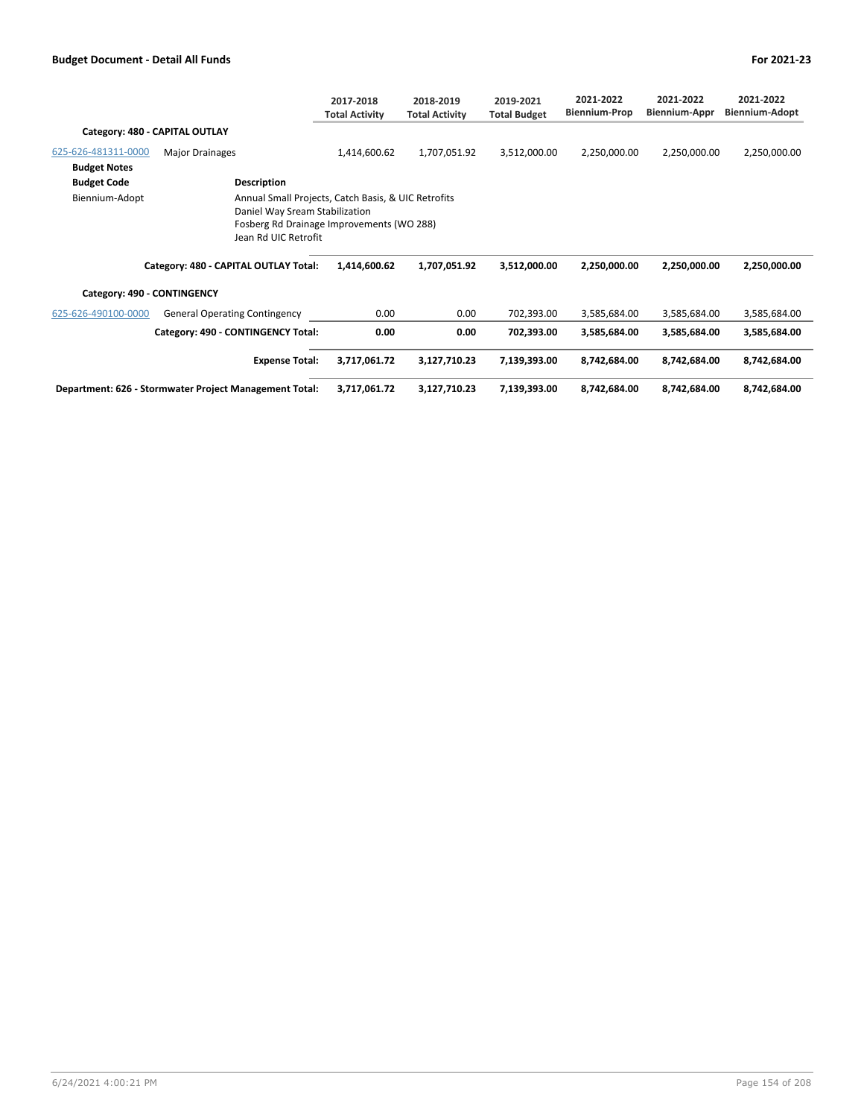|                                |                                                                                                                                                                                                     | 2017-2018<br><b>Total Activity</b> | 2018-2019<br><b>Total Activity</b> | 2019-2021<br><b>Total Budget</b> | 2021-2022<br><b>Biennium-Prop</b> | 2021-2022<br>Biennium-Appr | 2021-2022<br>Biennium-Adopt |
|--------------------------------|-----------------------------------------------------------------------------------------------------------------------------------------------------------------------------------------------------|------------------------------------|------------------------------------|----------------------------------|-----------------------------------|----------------------------|-----------------------------|
| Category: 480 - CAPITAL OUTLAY |                                                                                                                                                                                                     |                                    |                                    |                                  |                                   |                            |                             |
| 625-626-481311-0000            | <b>Major Drainages</b>                                                                                                                                                                              | 1,414,600.62                       | 1,707,051.92                       | 3,512,000.00                     | 2,250,000.00                      | 2,250,000.00               | 2,250,000.00                |
| <b>Budget Notes</b>            |                                                                                                                                                                                                     |                                    |                                    |                                  |                                   |                            |                             |
| <b>Budget Code</b>             | Description                                                                                                                                                                                         |                                    |                                    |                                  |                                   |                            |                             |
| Biennium-Adopt                 | Annual Small Projects, Catch Basis, & UIC Retrofits<br>Daniel Way Sream Stabilization<br>Fosberg Rd Drainage Improvements (WO 288)<br>Jean Rd UIC Retrofit<br>Category: 480 - CAPITAL OUTLAY Total: | 1,414,600.62                       | 1,707,051.92                       | 3,512,000.00                     | 2,250,000.00                      | 2,250,000.00               | 2,250,000.00                |
|                                |                                                                                                                                                                                                     |                                    |                                    |                                  |                                   |                            |                             |
| Category: 490 - CONTINGENCY    |                                                                                                                                                                                                     |                                    |                                    |                                  |                                   |                            |                             |
| 625-626-490100-0000            | <b>General Operating Contingency</b>                                                                                                                                                                | 0.00                               | 0.00                               | 702,393.00                       | 3,585,684.00                      | 3,585,684.00               | 3,585,684.00                |
|                                | Category: 490 - CONTINGENCY Total:                                                                                                                                                                  | 0.00                               | 0.00                               | 702,393.00                       | 3,585,684.00                      | 3,585,684.00               | 3,585,684.00                |
|                                | <b>Expense Total:</b>                                                                                                                                                                               | 3,717,061.72                       | 3,127,710.23                       | 7,139,393.00                     | 8,742,684.00                      | 8,742,684.00               | 8,742,684.00                |
|                                | Department: 626 - Stormwater Project Management Total:                                                                                                                                              | 3,717,061.72                       | 3,127,710.23                       | 7,139,393.00                     | 8,742,684.00                      | 8,742,684.00               | 8,742,684.00                |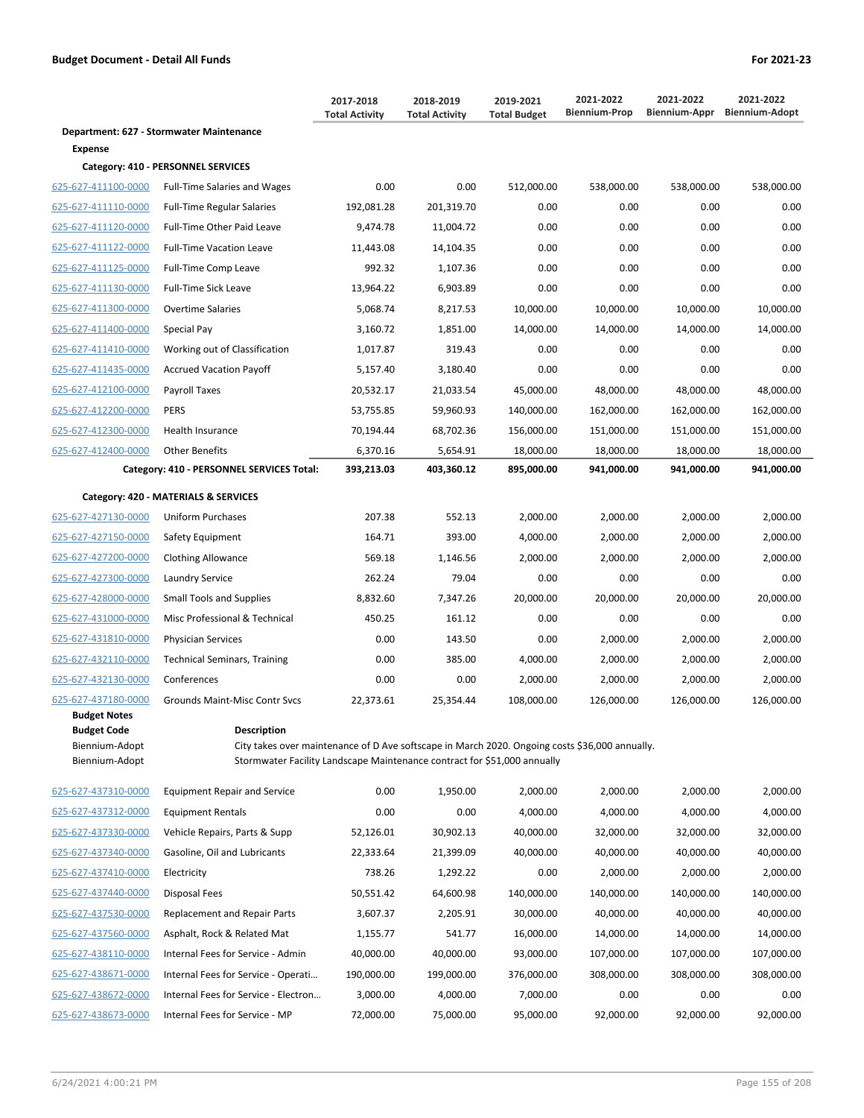|                                                                        |                                                                                                                                                                                                  | 2017-2018<br><b>Total Activity</b> | 2018-2019<br><b>Total Activity</b> | 2019-2021<br><b>Total Budget</b> | 2021-2022<br><b>Biennium-Prop</b> | 2021-2022<br><b>Biennium-Appr</b> | 2021-2022<br><b>Biennium-Adopt</b> |
|------------------------------------------------------------------------|--------------------------------------------------------------------------------------------------------------------------------------------------------------------------------------------------|------------------------------------|------------------------------------|----------------------------------|-----------------------------------|-----------------------------------|------------------------------------|
|                                                                        | Department: 627 - Stormwater Maintenance                                                                                                                                                         |                                    |                                    |                                  |                                   |                                   |                                    |
| Expense                                                                |                                                                                                                                                                                                  |                                    |                                    |                                  |                                   |                                   |                                    |
|                                                                        | Category: 410 - PERSONNEL SERVICES                                                                                                                                                               |                                    |                                    |                                  |                                   |                                   |                                    |
| 625-627-411100-0000                                                    | <b>Full-Time Salaries and Wages</b>                                                                                                                                                              | 0.00                               | 0.00                               | 512,000.00                       | 538,000.00                        | 538,000.00                        | 538,000.00                         |
| 625-627-411110-0000                                                    | <b>Full-Time Regular Salaries</b>                                                                                                                                                                | 192,081.28                         | 201,319.70                         | 0.00                             | 0.00                              | 0.00                              | 0.00                               |
| 625-627-411120-0000                                                    | Full-Time Other Paid Leave                                                                                                                                                                       | 9,474.78                           | 11,004.72                          | 0.00                             | 0.00                              | 0.00                              | 0.00                               |
| 625-627-411122-0000                                                    | <b>Full-Time Vacation Leave</b>                                                                                                                                                                  | 11,443.08                          | 14,104.35                          | 0.00                             | 0.00                              | 0.00                              | 0.00                               |
| 625-627-411125-0000                                                    | Full-Time Comp Leave                                                                                                                                                                             | 992.32                             | 1,107.36                           | 0.00                             | 0.00                              | 0.00                              | 0.00                               |
| 625-627-411130-0000                                                    | <b>Full-Time Sick Leave</b>                                                                                                                                                                      | 13,964.22                          | 6,903.89                           | 0.00                             | 0.00                              | 0.00                              | 0.00                               |
| 625-627-411300-0000                                                    | <b>Overtime Salaries</b>                                                                                                                                                                         | 5,068.74                           | 8,217.53                           | 10,000.00                        | 10,000.00                         | 10,000.00                         | 10,000.00                          |
| 625-627-411400-0000                                                    | Special Pay                                                                                                                                                                                      | 3,160.72                           | 1,851.00                           | 14,000.00                        | 14,000.00                         | 14,000.00                         | 14,000.00                          |
| 625-627-411410-0000                                                    | Working out of Classification                                                                                                                                                                    | 1,017.87                           | 319.43                             | 0.00                             | 0.00                              | 0.00                              | 0.00                               |
| 625-627-411435-0000                                                    | <b>Accrued Vacation Payoff</b>                                                                                                                                                                   | 5,157.40                           | 3,180.40                           | 0.00                             | 0.00                              | 0.00                              | 0.00                               |
| 625-627-412100-0000                                                    | Payroll Taxes                                                                                                                                                                                    | 20,532.17                          | 21,033.54                          | 45.000.00                        | 48,000.00                         | 48,000.00                         | 48,000.00                          |
| 625-627-412200-0000                                                    | <b>PERS</b>                                                                                                                                                                                      | 53,755.85                          | 59,960.93                          | 140,000.00                       | 162,000.00                        | 162,000.00                        | 162,000.00                         |
| 625-627-412300-0000                                                    | <b>Health Insurance</b>                                                                                                                                                                          | 70,194.44                          | 68,702.36                          | 156,000.00                       | 151,000.00                        | 151,000.00                        | 151,000.00                         |
| 625-627-412400-0000                                                    | <b>Other Benefits</b>                                                                                                                                                                            | 6,370.16                           | 5,654.91                           | 18,000.00                        | 18,000.00                         | 18,000.00                         | 18,000.00                          |
|                                                                        | Category: 410 - PERSONNEL SERVICES Total:                                                                                                                                                        | 393,213.03                         | 403,360.12                         | 895,000.00                       | 941,000.00                        | 941,000.00                        | 941,000.00                         |
|                                                                        | Category: 420 - MATERIALS & SERVICES                                                                                                                                                             |                                    |                                    |                                  |                                   |                                   |                                    |
| 625-627-427130-0000                                                    | <b>Uniform Purchases</b>                                                                                                                                                                         | 207.38                             | 552.13                             | 2,000.00                         | 2,000.00                          | 2,000.00                          | 2,000.00                           |
| 625-627-427150-0000                                                    | Safety Equipment                                                                                                                                                                                 | 164.71                             | 393.00                             | 4,000.00                         | 2,000.00                          | 2,000.00                          | 2,000.00                           |
| 625-627-427200-0000                                                    | <b>Clothing Allowance</b>                                                                                                                                                                        | 569.18                             | 1,146.56                           | 2,000.00                         | 2,000.00                          | 2,000.00                          | 2,000.00                           |
| 625-627-427300-0000                                                    | Laundry Service                                                                                                                                                                                  | 262.24                             | 79.04                              | 0.00                             | 0.00                              | 0.00                              | 0.00                               |
| 625-627-428000-0000                                                    | <b>Small Tools and Supplies</b>                                                                                                                                                                  | 8,832.60                           | 7,347.26                           | 20,000.00                        | 20,000.00                         | 20,000.00                         | 20,000.00                          |
| 625-627-431000-0000                                                    | Misc Professional & Technical                                                                                                                                                                    | 450.25                             | 161.12                             | 0.00                             | 0.00                              | 0.00                              | 0.00                               |
| 625-627-431810-0000                                                    | <b>Physician Services</b>                                                                                                                                                                        | 0.00                               | 143.50                             | 0.00                             | 2,000.00                          | 2,000.00                          | 2,000.00                           |
| 625-627-432110-0000                                                    | <b>Technical Seminars, Training</b>                                                                                                                                                              | 0.00                               | 385.00                             | 4,000.00                         | 2,000.00                          | 2,000.00                          | 2,000.00                           |
| 625-627-432130-0000                                                    | Conferences                                                                                                                                                                                      | 0.00                               | 0.00                               | 2,000.00                         | 2,000.00                          | 2,000.00                          | 2,000.00                           |
| 625-627-437180-0000                                                    | <b>Grounds Maint-Misc Contr Svcs</b>                                                                                                                                                             | 22,373.61                          | 25,354.44                          | 108,000.00                       | 126,000.00                        | 126,000.00                        | 126,000.00                         |
| Budget Notes<br><b>Budget Code</b><br>Biennium-Adopt<br>Biennium-Adopt | <b>Description</b><br>City takes over maintenance of D Ave softscape in March 2020. Ongoing costs \$36,000 annually.<br>Stormwater Facility Landscape Maintenance contract for \$51,000 annually |                                    |                                    |                                  |                                   |                                   |                                    |
| 625-627-437310-0000                                                    | <b>Equipment Repair and Service</b>                                                                                                                                                              | 0.00                               | 1,950.00                           | 2,000.00                         | 2,000.00                          | 2,000.00                          | 2,000.00                           |
| 625-627-437312-0000                                                    | <b>Equipment Rentals</b>                                                                                                                                                                         | 0.00                               | 0.00                               | 4,000.00                         | 4,000.00                          | 4,000.00                          | 4,000.00                           |
| 625-627-437330-0000                                                    | Vehicle Repairs, Parts & Supp                                                                                                                                                                    | 52,126.01                          | 30,902.13                          | 40,000.00                        | 32,000.00                         | 32,000.00                         | 32,000.00                          |

| $- - - - - -$       |
|---------------------|
| 625-627-437330-0000 |
| 625-627-437340-0000 |
| 625-627-437410-0000 |
| 625-627-437440-0000 |
| 625-627-437530-0000 |
| 625-627-437560-0000 |
| 625-627-438110-0000 |
| 625-627-438671-0000 |
| 625-627-438672-0000 |
| 625-627-438673-0000 |
|                     |

| Biennium-Adopt      | Stormwater Facility Landscape Maintenance contract for \$51,000 annually |            |            |            |            |            |            |
|---------------------|--------------------------------------------------------------------------|------------|------------|------------|------------|------------|------------|
| 625-627-437310-0000 | <b>Equipment Repair and Service</b>                                      | 0.00       | 1,950.00   | 2,000.00   | 2,000.00   | 2,000.00   | 2,000.00   |
| 625-627-437312-0000 | Equipment Rentals                                                        | 0.00       | 0.00       | 4,000.00   | 4,000.00   | 4,000.00   | 4,000.00   |
| 625-627-437330-0000 | Vehicle Repairs, Parts & Supp                                            | 52,126.01  | 30,902.13  | 40,000.00  | 32,000.00  | 32,000.00  | 32,000.00  |
| 625-627-437340-0000 | Gasoline, Oil and Lubricants                                             | 22,333.64  | 21,399.09  | 40,000.00  | 40,000.00  | 40,000.00  | 40,000.00  |
| 625-627-437410-0000 | Electricity                                                              | 738.26     | 1,292.22   | 0.00       | 2,000.00   | 2,000.00   | 2,000.00   |
| 625-627-437440-0000 | Disposal Fees                                                            | 50,551.42  | 64,600.98  | 140,000.00 | 140,000.00 | 140,000.00 | 140,000.00 |
| 625-627-437530-0000 | Replacement and Repair Parts                                             | 3,607.37   | 2,205.91   | 30,000.00  | 40,000.00  | 40,000.00  | 40,000.00  |
| 625-627-437560-0000 | Asphalt, Rock & Related Mat                                              | 1,155.77   | 541.77     | 16,000.00  | 14,000.00  | 14,000.00  | 14,000.00  |
| 625-627-438110-0000 | Internal Fees for Service - Admin                                        | 40,000.00  | 40,000.00  | 93,000.00  | 107,000.00 | 107,000.00 | 107,000.00 |
| 625-627-438671-0000 | Internal Fees for Service - Operati                                      | 190,000.00 | 199,000.00 | 376,000.00 | 308,000.00 | 308,000.00 | 308,000.00 |
| 625-627-438672-0000 | Internal Fees for Service - Electron                                     | 3,000.00   | 4,000.00   | 7,000.00   | 0.00       | 0.00       | 0.00       |
| 625-627-438673-0000 | Internal Fees for Service - MP                                           | 72,000.00  | 75,000.00  | 95,000.00  | 92,000.00  | 92,000.00  | 92,000.00  |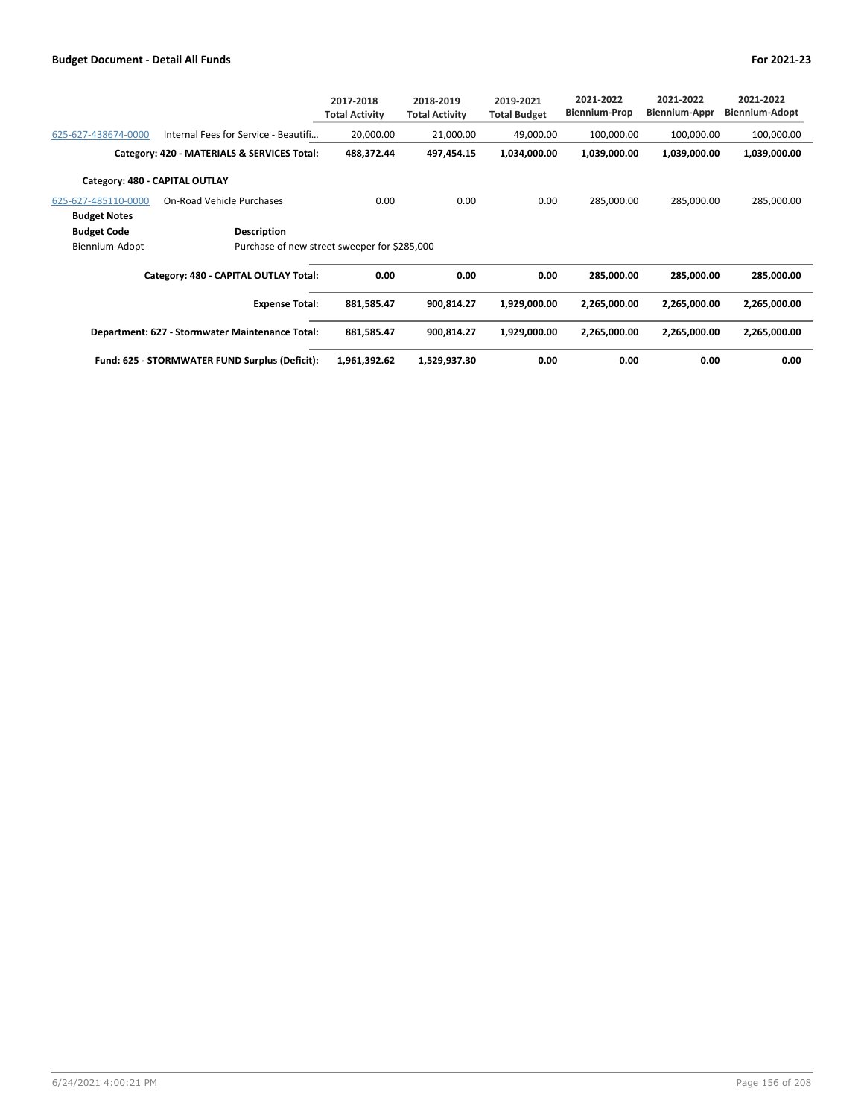|                                |                                                 | 2017-2018<br><b>Total Activity</b> | 2018-2019<br><b>Total Activity</b> | 2019-2021<br><b>Total Budget</b> | 2021-2022<br><b>Biennium-Prop</b> | 2021-2022<br><b>Biennium-Appr</b> | 2021-2022<br>Biennium-Adopt |
|--------------------------------|-------------------------------------------------|------------------------------------|------------------------------------|----------------------------------|-----------------------------------|-----------------------------------|-----------------------------|
| 625-627-438674-0000            | Internal Fees for Service - Beautifi            | 20,000.00                          | 21,000.00                          | 49,000.00                        | 100,000.00                        | 100,000.00                        | 100,000.00                  |
|                                | Category: 420 - MATERIALS & SERVICES Total:     | 488,372.44                         | 497,454.15                         | 1,034,000.00                     | 1,039,000.00                      | 1,039,000.00                      | 1,039,000.00                |
| Category: 480 - CAPITAL OUTLAY |                                                 |                                    |                                    |                                  |                                   |                                   |                             |
| 625-627-485110-0000            | On-Road Vehicle Purchases                       | 0.00                               | 0.00                               | 0.00                             | 285.000.00                        | 285,000.00                        | 285,000.00                  |
| <b>Budget Notes</b>            |                                                 |                                    |                                    |                                  |                                   |                                   |                             |
| <b>Budget Code</b>             | <b>Description</b>                              |                                    |                                    |                                  |                                   |                                   |                             |
| Biennium-Adopt                 | Purchase of new street sweeper for \$285,000    |                                    |                                    |                                  |                                   |                                   |                             |
|                                | Category: 480 - CAPITAL OUTLAY Total:           | 0.00                               | 0.00                               | 0.00                             | 285,000.00                        | 285,000.00                        | 285,000.00                  |
|                                | <b>Expense Total:</b>                           | 881,585.47                         | 900,814.27                         | 1,929,000.00                     | 2,265,000.00                      | 2,265,000.00                      | 2,265,000.00                |
|                                | Department: 627 - Stormwater Maintenance Total: | 881,585.47                         | 900,814.27                         | 1,929,000.00                     | 2,265,000.00                      | 2,265,000.00                      | 2,265,000.00                |
|                                | Fund: 625 - STORMWATER FUND Surplus (Deficit):  | 1,961,392.62                       | 1,529,937.30                       | 0.00                             | 0.00                              | 0.00                              | 0.00                        |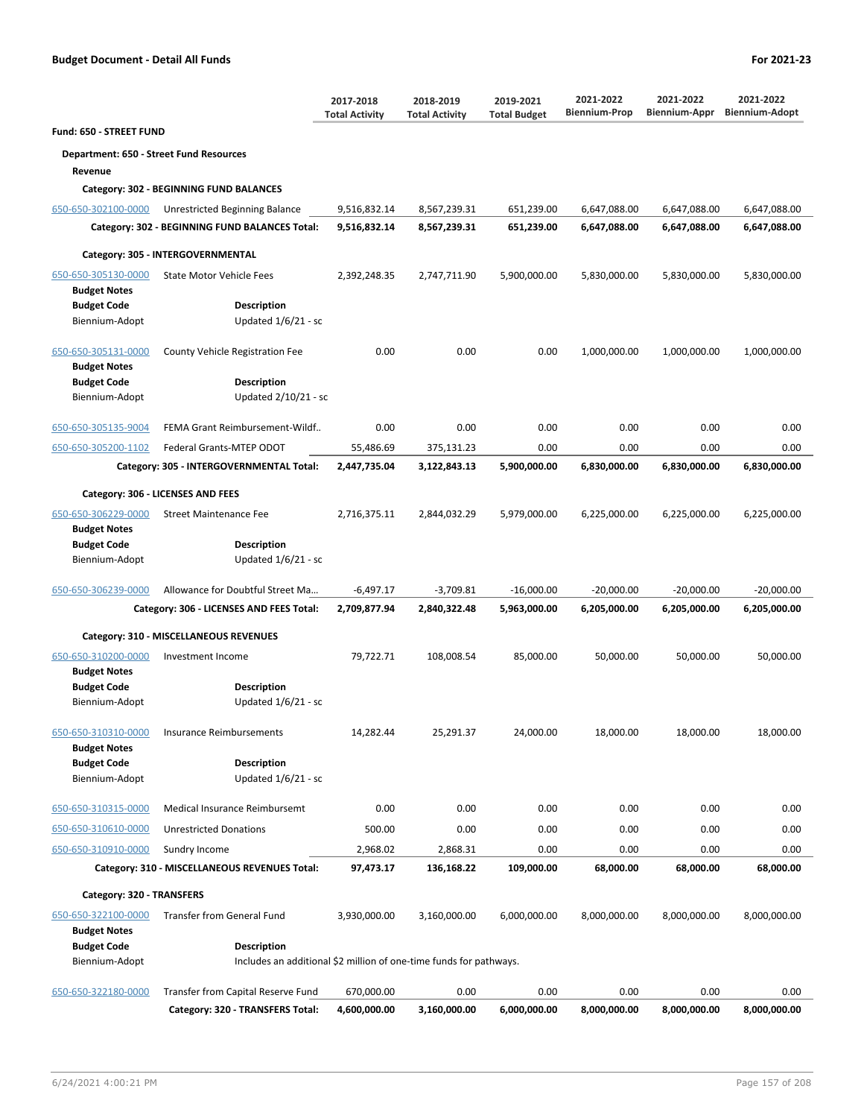|                                          |                                                                    | 2017-2018<br><b>Total Activity</b> | 2018-2019<br><b>Total Activity</b> | 2019-2021<br><b>Total Budget</b> | 2021-2022<br><b>Biennium-Prop</b> | 2021-2022<br><b>Biennium-Appr</b> | 2021-2022<br><b>Biennium-Adopt</b> |
|------------------------------------------|--------------------------------------------------------------------|------------------------------------|------------------------------------|----------------------------------|-----------------------------------|-----------------------------------|------------------------------------|
| Fund: 650 - STREET FUND                  |                                                                    |                                    |                                    |                                  |                                   |                                   |                                    |
| Department: 650 - Street Fund Resources  |                                                                    |                                    |                                    |                                  |                                   |                                   |                                    |
| Revenue                                  |                                                                    |                                    |                                    |                                  |                                   |                                   |                                    |
|                                          | Category: 302 - BEGINNING FUND BALANCES                            |                                    |                                    |                                  |                                   |                                   |                                    |
| 650-650-302100-0000                      | Unrestricted Beginning Balance                                     | 9,516,832.14                       | 8,567,239.31                       | 651,239.00                       | 6,647,088.00                      | 6,647,088.00                      | 6,647,088.00                       |
|                                          | Category: 302 - BEGINNING FUND BALANCES Total:                     | 9,516,832.14                       | 8,567,239.31                       | 651,239.00                       | 6,647,088.00                      | 6,647,088.00                      | 6,647,088.00                       |
|                                          | Category: 305 - INTERGOVERNMENTAL                                  |                                    |                                    |                                  |                                   |                                   |                                    |
| 650-650-305130-0000                      | <b>State Motor Vehicle Fees</b>                                    | 2,392,248.35                       | 2,747,711.90                       | 5,900,000.00                     | 5,830,000.00                      | 5,830,000.00                      | 5,830,000.00                       |
| <b>Budget Notes</b>                      |                                                                    |                                    |                                    |                                  |                                   |                                   |                                    |
| <b>Budget Code</b>                       | <b>Description</b>                                                 |                                    |                                    |                                  |                                   |                                   |                                    |
| Biennium-Adopt                           | Updated 1/6/21 - sc                                                |                                    |                                    |                                  |                                   |                                   |                                    |
| 650-650-305131-0000                      | County Vehicle Registration Fee                                    | 0.00                               | 0.00                               | 0.00                             | 1,000,000.00                      | 1,000,000.00                      | 1,000,000.00                       |
| <b>Budget Notes</b>                      |                                                                    |                                    |                                    |                                  |                                   |                                   |                                    |
| <b>Budget Code</b>                       | <b>Description</b>                                                 |                                    |                                    |                                  |                                   |                                   |                                    |
| Biennium-Adopt                           | Updated 2/10/21 - sc                                               |                                    |                                    |                                  |                                   |                                   |                                    |
| 650-650-305135-9004                      | FEMA Grant Reimbursement-Wildf                                     | 0.00                               | 0.00                               | 0.00                             | 0.00                              | 0.00                              | 0.00                               |
| 650-650-305200-1102                      | Federal Grants-MTEP ODOT                                           | 55,486.69                          | 375,131.23                         | 0.00                             | 0.00                              | 0.00                              | 0.00                               |
|                                          | Category: 305 - INTERGOVERNMENTAL Total:                           | 2,447,735.04                       | 3,122,843.13                       | 5,900,000.00                     | 6,830,000.00                      | 6,830,000.00                      | 6,830,000.00                       |
|                                          | Category: 306 - LICENSES AND FEES                                  |                                    |                                    |                                  |                                   |                                   |                                    |
| 650-650-306229-0000                      | <b>Street Maintenance Fee</b>                                      | 2,716,375.11                       | 2,844,032.29                       | 5,979,000.00                     | 6,225,000.00                      | 6,225,000.00                      | 6,225,000.00                       |
| <b>Budget Notes</b>                      |                                                                    |                                    |                                    |                                  |                                   |                                   |                                    |
| <b>Budget Code</b>                       | <b>Description</b>                                                 |                                    |                                    |                                  |                                   |                                   |                                    |
| Biennium-Adopt                           | Updated $1/6/21$ - sc                                              |                                    |                                    |                                  |                                   |                                   |                                    |
| 650-650-306239-0000                      | Allowance for Doubtful Street Ma                                   | $-6,497.17$                        | $-3,709.81$                        | $-16,000.00$                     | $-20,000.00$                      | $-20,000.00$                      | $-20,000.00$                       |
| Category: 306 - LICENSES AND FEES Total: |                                                                    | 2,709,877.94                       | 2,840,322.48                       | 5,963,000.00                     | 6,205,000.00                      | 6,205,000.00                      | 6,205,000.00                       |
|                                          | Category: 310 - MISCELLANEOUS REVENUES                             |                                    |                                    |                                  |                                   |                                   |                                    |
| 650-650-310200-0000                      | Investment Income                                                  | 79,722.71                          | 108,008.54                         | 85,000.00                        | 50,000.00                         | 50,000.00                         | 50,000.00                          |
| <b>Budget Notes</b>                      |                                                                    |                                    |                                    |                                  |                                   |                                   |                                    |
| <b>Budget Code</b><br>Biennium-Adopt     | <b>Description</b><br>Updated $1/6/21$ - sc                        |                                    |                                    |                                  |                                   |                                   |                                    |
|                                          |                                                                    |                                    |                                    |                                  |                                   |                                   |                                    |
| 650-650-310310-0000                      | <b>Insurance Reimbursements</b>                                    | 14,282.44                          | 25,291.37                          | 24,000.00                        | 18,000.00                         | 18,000.00                         | 18,000.00                          |
| <b>Budget Notes</b>                      |                                                                    |                                    |                                    |                                  |                                   |                                   |                                    |
| <b>Budget Code</b>                       | <b>Description</b>                                                 |                                    |                                    |                                  |                                   |                                   |                                    |
| Biennium-Adopt                           | Updated $1/6/21$ - sc                                              |                                    |                                    |                                  |                                   |                                   |                                    |
| 650-650-310315-0000                      | <b>Medical Insurance Reimbursemt</b>                               | 0.00                               | 0.00                               | 0.00                             | 0.00                              | 0.00                              | 0.00                               |
| 650-650-310610-0000                      | <b>Unrestricted Donations</b>                                      | 500.00                             | 0.00                               | 0.00                             | 0.00                              | 0.00                              | 0.00                               |
| 650-650-310910-0000                      | Sundry Income                                                      | 2,968.02                           | 2,868.31                           | 0.00                             | 0.00                              | 0.00                              | 0.00                               |
|                                          | Category: 310 - MISCELLANEOUS REVENUES Total:                      | 97,473.17                          | 136,168.22                         | 109,000.00                       | 68,000.00                         | 68,000.00                         | 68,000.00                          |
| Category: 320 - TRANSFERS                |                                                                    |                                    |                                    |                                  |                                   |                                   |                                    |
| 650-650-322100-0000                      | <b>Transfer from General Fund</b>                                  | 3,930,000.00                       | 3,160,000.00                       | 6,000,000.00                     | 8,000,000.00                      | 8,000,000.00                      | 8,000,000.00                       |
| <b>Budget Notes</b>                      |                                                                    |                                    |                                    |                                  |                                   |                                   |                                    |
| <b>Budget Code</b>                       | Description                                                        |                                    |                                    |                                  |                                   |                                   |                                    |
| Biennium-Adopt                           | Includes an additional \$2 million of one-time funds for pathways. |                                    |                                    |                                  |                                   |                                   |                                    |
| 650-650-322180-0000                      | Transfer from Capital Reserve Fund                                 | 670,000.00                         | 0.00                               | 0.00                             | 0.00                              | 0.00                              | 0.00                               |
|                                          | Category: 320 - TRANSFERS Total:                                   | 4,600,000.00                       | 3,160,000.00                       | 6,000,000.00                     | 8,000,000.00                      | 8,000,000.00                      | 8,000,000.00                       |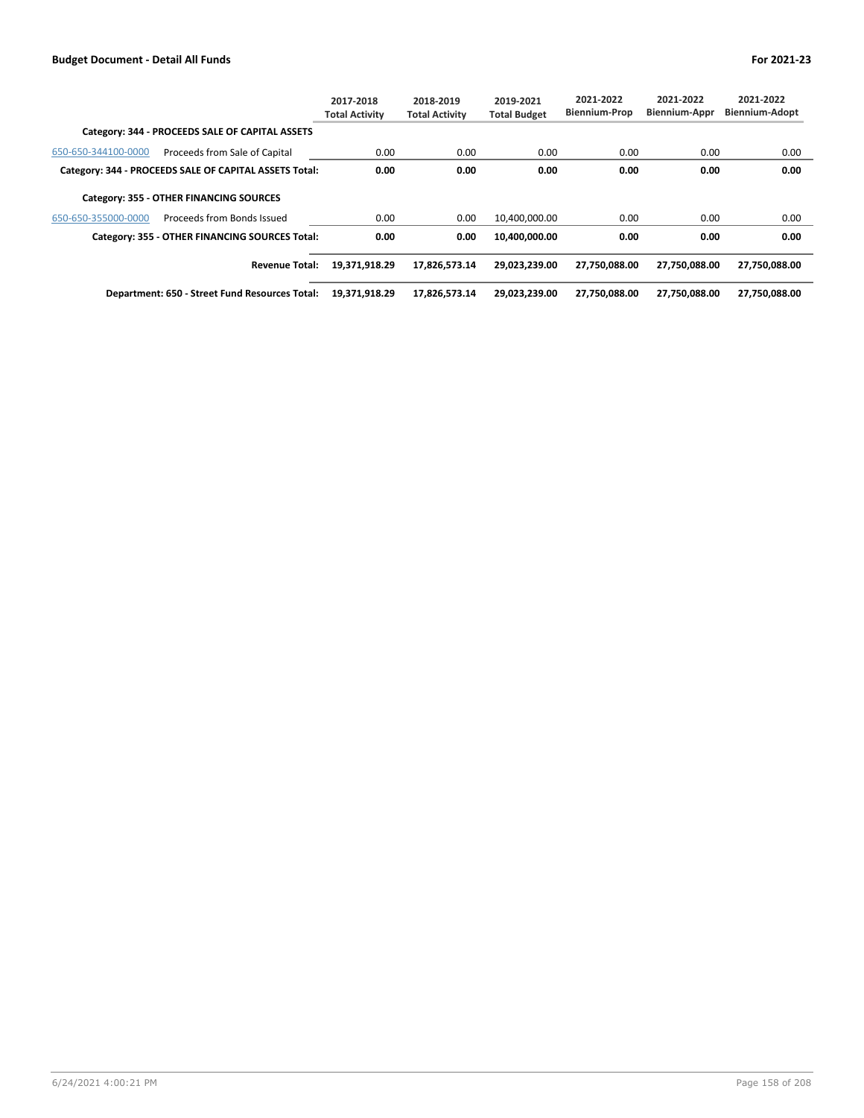|                     |                                                        | 2017-2018<br><b>Total Activity</b> | 2018-2019<br><b>Total Activity</b> | 2019-2021<br><b>Total Budget</b> | 2021-2022<br><b>Biennium-Prop</b> | 2021-2022<br>Biennium-Appr | 2021-2022<br><b>Biennium-Adopt</b> |
|---------------------|--------------------------------------------------------|------------------------------------|------------------------------------|----------------------------------|-----------------------------------|----------------------------|------------------------------------|
|                     | Category: 344 - PROCEEDS SALE OF CAPITAL ASSETS        |                                    |                                    |                                  |                                   |                            |                                    |
| 650-650-344100-0000 | Proceeds from Sale of Capital                          | 0.00                               | 0.00                               | 0.00                             | 0.00                              | 0.00                       | 0.00                               |
|                     | Category: 344 - PROCEEDS SALE OF CAPITAL ASSETS Total: | 0.00                               | 0.00                               | 0.00                             | 0.00                              | 0.00                       | 0.00                               |
|                     | Category: 355 - OTHER FINANCING SOURCES                |                                    |                                    |                                  |                                   |                            |                                    |
| 650-650-355000-0000 | Proceeds from Bonds Issued                             | 0.00                               | 0.00                               | 10,400,000.00                    | 0.00                              | 0.00                       | 0.00                               |
|                     | Category: 355 - OTHER FINANCING SOURCES Total:         | 0.00                               | 0.00                               | 10,400,000.00                    | 0.00                              | 0.00                       | 0.00                               |
|                     | <b>Revenue Total:</b>                                  | 19,371,918.29                      | 17,826,573.14                      | 29,023,239.00                    | 27,750,088.00                     | 27,750,088.00              | 27,750,088.00                      |
|                     | Department: 650 - Street Fund Resources Total:         | 19,371,918.29                      | 17.826.573.14                      | 29.023.239.00                    | 27.750.088.00                     | 27.750.088.00              | 27.750.088.00                      |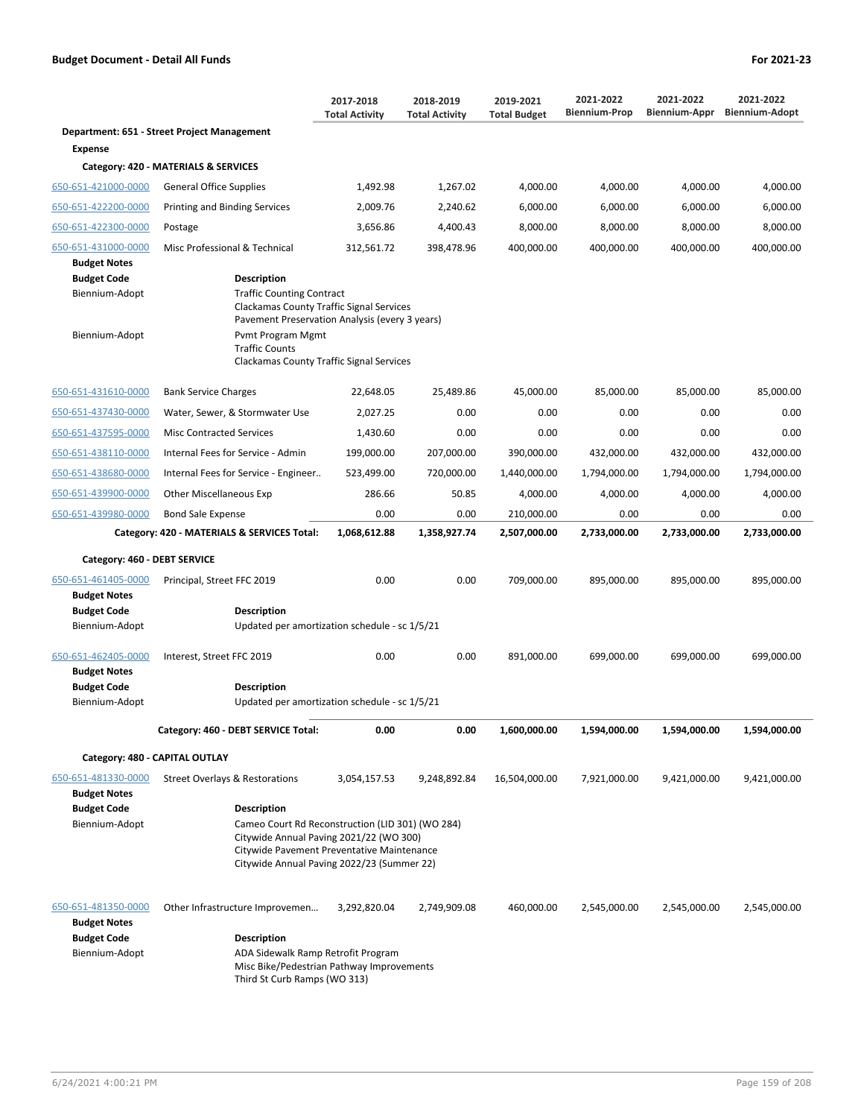|                                                             |                                                                                                                                                                                                           | 2017-2018<br><b>Total Activity</b>                                                                                                                                                      | 2018-2019<br><b>Total Activity</b> | 2019-2021<br><b>Total Budget</b> | 2021-2022<br><b>Biennium-Prop</b> | 2021-2022<br><b>Biennium-Appr</b> | 2021-2022<br><b>Biennium-Adopt</b> |  |
|-------------------------------------------------------------|-----------------------------------------------------------------------------------------------------------------------------------------------------------------------------------------------------------|-----------------------------------------------------------------------------------------------------------------------------------------------------------------------------------------|------------------------------------|----------------------------------|-----------------------------------|-----------------------------------|------------------------------------|--|
|                                                             | Department: 651 - Street Project Management                                                                                                                                                               |                                                                                                                                                                                         |                                    |                                  |                                   |                                   |                                    |  |
| <b>Expense</b>                                              |                                                                                                                                                                                                           |                                                                                                                                                                                         |                                    |                                  |                                   |                                   |                                    |  |
|                                                             | Category: 420 - MATERIALS & SERVICES                                                                                                                                                                      |                                                                                                                                                                                         |                                    |                                  |                                   |                                   |                                    |  |
| 650-651-421000-0000                                         | General Office Supplies                                                                                                                                                                                   | 1,492.98                                                                                                                                                                                | 1,267.02                           | 4,000.00                         | 4,000.00                          | 4,000.00                          | 4,000.00                           |  |
| 650-651-422200-0000                                         | <b>Printing and Binding Services</b>                                                                                                                                                                      | 2,009.76                                                                                                                                                                                | 2,240.62                           | 6,000.00                         | 6,000.00                          | 6,000.00                          | 6,000.00                           |  |
| 650-651-422300-0000                                         | Postage                                                                                                                                                                                                   | 3.656.86                                                                                                                                                                                | 4,400.43                           | 8,000.00                         | 8,000.00                          | 8,000.00                          | 8,000.00                           |  |
| 650-651-431000-0000                                         | Misc Professional & Technical                                                                                                                                                                             | 312,561.72                                                                                                                                                                              | 398,478.96                         | 400,000.00                       | 400,000.00                        | 400,000.00                        | 400,000.00                         |  |
| <b>Budget Notes</b>                                         |                                                                                                                                                                                                           |                                                                                                                                                                                         |                                    |                                  |                                   |                                   |                                    |  |
| <b>Budget Code</b><br>Biennium-Adopt<br>Biennium-Adopt      | <b>Description</b><br><b>Traffic Counting Contract</b><br><b>Clackamas County Traffic Signal Services</b><br>Pavement Preservation Analysis (every 3 years)<br>Pvmt Program Mgmt<br><b>Traffic Counts</b> |                                                                                                                                                                                         |                                    |                                  |                                   |                                   |                                    |  |
|                                                             | Clackamas County Traffic Signal Services                                                                                                                                                                  |                                                                                                                                                                                         |                                    |                                  |                                   |                                   |                                    |  |
| 650-651-431610-0000                                         | <b>Bank Service Charges</b>                                                                                                                                                                               | 22,648.05                                                                                                                                                                               | 25,489.86                          | 45,000.00                        | 85,000.00                         | 85,000.00                         | 85,000.00                          |  |
| 650-651-437430-0000                                         | Water, Sewer, & Stormwater Use                                                                                                                                                                            | 2,027.25                                                                                                                                                                                | 0.00                               | 0.00                             | 0.00                              | 0.00                              | 0.00                               |  |
| 650-651-437595-0000                                         | <b>Misc Contracted Services</b>                                                                                                                                                                           | 1,430.60                                                                                                                                                                                | 0.00                               | 0.00                             | 0.00                              | 0.00                              | 0.00                               |  |
| 650-651-438110-0000                                         | Internal Fees for Service - Admin                                                                                                                                                                         | 199,000.00                                                                                                                                                                              | 207,000.00                         | 390,000.00                       | 432,000.00                        | 432,000.00                        | 432,000.00                         |  |
| 650-651-438680-0000                                         | Internal Fees for Service - Engineer                                                                                                                                                                      | 523,499.00                                                                                                                                                                              | 720,000.00                         | 1,440,000.00                     | 1,794,000.00                      | 1,794,000.00                      | 1,794,000.00                       |  |
| 650-651-439900-0000                                         | <b>Other Miscellaneous Exp</b>                                                                                                                                                                            | 286.66                                                                                                                                                                                  | 50.85                              | 4,000.00                         | 4,000.00                          | 4,000.00                          | 4,000.00                           |  |
| 650-651-439980-0000                                         | <b>Bond Sale Expense</b>                                                                                                                                                                                  | 0.00                                                                                                                                                                                    | 0.00                               | 210,000.00                       | 0.00                              | 0.00                              | 0.00                               |  |
|                                                             | Category: 420 - MATERIALS & SERVICES Total:                                                                                                                                                               | 1,068,612.88                                                                                                                                                                            | 1,358,927.74                       | 2,507,000.00                     | 2,733,000.00                      | 2,733,000.00                      | 2,733,000.00                       |  |
| Category: 460 - DEBT SERVICE                                |                                                                                                                                                                                                           |                                                                                                                                                                                         |                                    |                                  |                                   |                                   |                                    |  |
| 650-651-461405-0000<br><b>Budget Notes</b>                  | Principal, Street FFC 2019                                                                                                                                                                                | 0.00                                                                                                                                                                                    | 0.00                               | 709,000.00                       | 895,000.00                        | 895,000.00                        | 895,000.00                         |  |
| <b>Budget Code</b>                                          | <b>Description</b>                                                                                                                                                                                        |                                                                                                                                                                                         |                                    |                                  |                                   |                                   |                                    |  |
| Biennium-Adopt                                              | Updated per amortization schedule - sc 1/5/21                                                                                                                                                             |                                                                                                                                                                                         |                                    |                                  |                                   |                                   |                                    |  |
| 650-651-462405-0000<br><b>Budget Notes</b>                  | Interest, Street FFC 2019                                                                                                                                                                                 | 0.00                                                                                                                                                                                    | 0.00                               | 891,000.00                       | 699,000.00                        | 699,000.00                        | 699,000.00                         |  |
| <b>Budget Code</b>                                          | <b>Description</b>                                                                                                                                                                                        |                                                                                                                                                                                         |                                    |                                  |                                   |                                   |                                    |  |
| Biennium-Adopt                                              | Updated per amortization schedule - sc 1/5/21                                                                                                                                                             |                                                                                                                                                                                         |                                    |                                  |                                   |                                   |                                    |  |
|                                                             | Category: 460 - DEBT SERVICE Total:                                                                                                                                                                       | 0.00                                                                                                                                                                                    | 0.00                               | 1,600,000.00                     | 1,594,000.00                      | 1,594,000.00                      | 1,594,000.00                       |  |
| Category: 480 - CAPITAL OUTLAY                              |                                                                                                                                                                                                           |                                                                                                                                                                                         |                                    |                                  |                                   |                                   |                                    |  |
| 650-651-481330-0000<br><b>Budget Notes</b>                  | Street Overlays & Restorations                                                                                                                                                                            | 3,054,157.53                                                                                                                                                                            | 9,248,892.84                       | 16,504,000.00                    | 7,921,000.00                      | 9,421,000.00                      | 9,421,000.00                       |  |
| <b>Budget Code</b>                                          | <b>Description</b>                                                                                                                                                                                        |                                                                                                                                                                                         |                                    |                                  |                                   |                                   |                                    |  |
| Biennium-Adopt                                              |                                                                                                                                                                                                           | Cameo Court Rd Reconstruction (LID 301) (WO 284)<br>Citywide Annual Paving 2021/22 (WO 300)<br>Citywide Pavement Preventative Maintenance<br>Citywide Annual Paving 2022/23 (Summer 22) |                                    |                                  |                                   |                                   |                                    |  |
| 650-651-481350-0000                                         | Other Infrastructure Improvemen                                                                                                                                                                           | 3,292,820.04                                                                                                                                                                            | 2,749,909.08                       | 460,000.00                       | 2,545,000.00                      | 2,545,000.00                      | 2,545,000.00                       |  |
| <b>Budget Notes</b><br><b>Budget Code</b><br>Biennium-Adopt | <b>Description</b><br>ADA Sidewalk Ramp Retrofit Program<br>Misc Bike/Pedestrian Pathway Improvements<br>Third St Curb Ramps (WO 313)                                                                     |                                                                                                                                                                                         |                                    |                                  |                                   |                                   |                                    |  |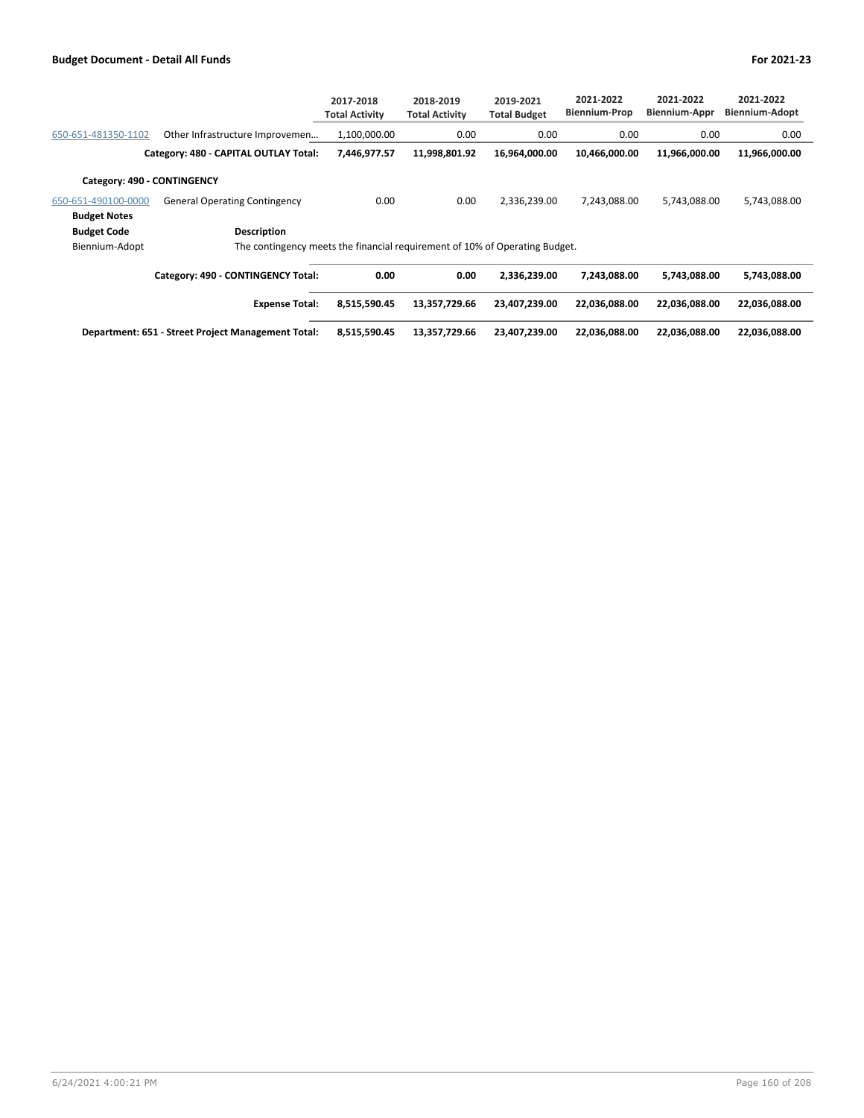|                             |                                                                             | 2017-2018<br><b>Total Activity</b> | 2018-2019<br><b>Total Activity</b> | 2019-2021<br><b>Total Budget</b> | 2021-2022<br><b>Biennium-Prop</b> | 2021-2022<br><b>Biennium-Appr</b> | 2021-2022<br><b>Biennium-Adopt</b> |
|-----------------------------|-----------------------------------------------------------------------------|------------------------------------|------------------------------------|----------------------------------|-----------------------------------|-----------------------------------|------------------------------------|
| 650-651-481350-1102         | Other Infrastructure Improvemen                                             | 1,100,000.00                       | 0.00                               | 0.00                             | 0.00                              | 0.00                              | 0.00                               |
|                             | Category: 480 - CAPITAL OUTLAY Total:                                       | 7,446,977.57                       | 11,998,801.92                      | 16,964,000.00                    | 10,466,000.00                     | 11,966,000.00                     | 11,966,000.00                      |
| Category: 490 - CONTINGENCY |                                                                             |                                    |                                    |                                  |                                   |                                   |                                    |
| 650-651-490100-0000         | <b>General Operating Contingency</b>                                        | 0.00                               | 0.00                               | 2,336,239.00                     | 7,243,088.00                      | 5,743,088.00                      | 5,743,088.00                       |
| <b>Budget Notes</b>         |                                                                             |                                    |                                    |                                  |                                   |                                   |                                    |
| <b>Budget Code</b>          | Description                                                                 |                                    |                                    |                                  |                                   |                                   |                                    |
| Biennium-Adopt              | The contingency meets the financial requirement of 10% of Operating Budget. |                                    |                                    |                                  |                                   |                                   |                                    |
|                             | Category: 490 - CONTINGENCY Total:                                          | 0.00                               | 0.00                               | 2,336,239.00                     | 7,243,088.00                      | 5,743,088.00                      | 5,743,088.00                       |
|                             | <b>Expense Total:</b>                                                       | 8,515,590.45                       | 13,357,729.66                      | 23,407,239.00                    | 22,036,088.00                     | 22,036,088.00                     | 22,036,088.00                      |
|                             | Department: 651 - Street Project Management Total:                          | 8,515,590.45                       | 13,357,729.66                      | 23,407,239.00                    | 22,036,088.00                     | 22,036,088.00                     | 22,036,088.00                      |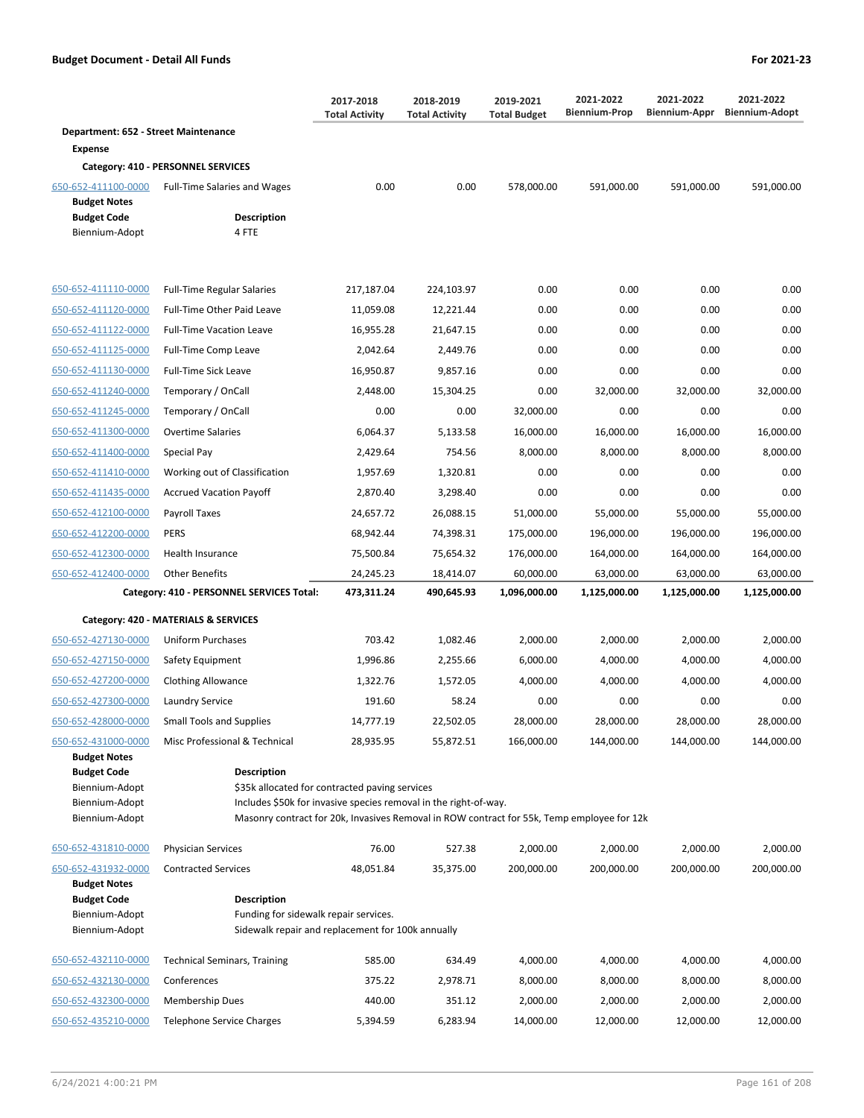|                                      |                                     | 2017-2018<br><b>Total Activity</b> | 2018-2019<br><b>Total Activity</b> | 2019-2021<br><b>Total Budget</b> | 2021-2022<br><b>Biennium-Prop</b> | 2021-2022<br><b>Biennium-Appr</b> | 2021-2022<br><b>Biennium-Adopt</b> |
|--------------------------------------|-------------------------------------|------------------------------------|------------------------------------|----------------------------------|-----------------------------------|-----------------------------------|------------------------------------|
| Department: 652 - Street Maintenance |                                     |                                    |                                    |                                  |                                   |                                   |                                    |
| <b>Expense</b>                       |                                     |                                    |                                    |                                  |                                   |                                   |                                    |
|                                      | Category: 410 - PERSONNEL SERVICES  |                                    |                                    |                                  |                                   |                                   |                                    |
| 650-652-411100-0000                  | <b>Full-Time Salaries and Wages</b> | 0.00                               | 0.00                               | 578,000.00                       | 591,000.00                        | 591,000.00                        | 591,000.00                         |
| <b>Budget Notes</b>                  |                                     |                                    |                                    |                                  |                                   |                                   |                                    |
| <b>Budget Code</b>                   | <b>Description</b>                  |                                    |                                    |                                  |                                   |                                   |                                    |
| Biennium-Adopt                       | 4 FTE                               |                                    |                                    |                                  |                                   |                                   |                                    |
|                                      |                                     |                                    |                                    |                                  |                                   |                                   |                                    |
| 650-652-411110-0000                  | <b>Full-Time Regular Salaries</b>   | 217,187.04                         | 224,103.97                         | 0.00                             | 0.00                              | 0.00                              | 0.00                               |
| 650-652-411120-0000                  | <b>Full-Time Other Paid Leave</b>   | 11,059.08                          | 12,221.44                          | 0.00                             | 0.00                              | 0.00                              | 0.00                               |
| 650-652-411122-0000                  | <b>Full-Time Vacation Leave</b>     | 16,955.28                          | 21,647.15                          | 0.00                             | 0.00                              | 0.00                              | 0.00                               |
| 650-652-411125-0000                  | Full-Time Comp Leave                | 2,042.64                           | 2,449.76                           | 0.00                             | 0.00                              | 0.00                              | 0.00                               |
| 650-652-411130-0000                  | <b>Full-Time Sick Leave</b>         | 16,950.87                          | 9,857.16                           | 0.00                             | 0.00                              | 0.00                              | 0.00                               |
| 650-652-411240-0000                  | Temporary / OnCall                  | 2,448.00                           | 15,304.25                          | 0.00                             | 32,000.00                         | 32,000.00                         | 32,000.00                          |
| 650-652-411245-0000                  | Temporary / OnCall                  | 0.00                               | 0.00                               | 32,000.00                        | 0.00                              | 0.00                              | 0.00                               |
| 650-652-411300-0000                  | <b>Overtime Salaries</b>            | 6,064.37                           | 5,133.58                           | 16,000.00                        | 16,000.00                         | 16,000.00                         | 16,000.00                          |
| 650-652-411400-0000                  | Special Pay                         | 2,429.64                           | 754.56                             | 8,000.00                         | 8,000.00                          | 8,000.00                          | 8,000.00                           |

| 650-652-412100-0000 | Payroll Taxes                             | 24,657.72  | 26,088.15  | 51,000.00    | 55,000.00    | 55,000.00    | 55,000.00    |
|---------------------|-------------------------------------------|------------|------------|--------------|--------------|--------------|--------------|
| 650-652-412200-0000 | <b>PERS</b>                               | 68,942.44  | 74,398.31  | 175,000.00   | 196,000.00   | 196,000.00   | 196,000.00   |
| 650-652-412300-0000 | Health Insurance                          | 75,500.84  | 75,654.32  | 176,000.00   | 164,000.00   | 164,000.00   | 164,000.00   |
| 650-652-412400-0000 | <b>Other Benefits</b>                     | 24,245.23  | 18,414.07  | 60,000.00    | 63,000.00    | 63,000.00    | 63,000.00    |
|                     | Category: 410 - PERSONNEL SERVICES Total: | 473,311.24 | 490,645.93 | 1,096,000.00 | 1,125,000.00 | 1,125,000.00 | 1,125,000.00 |
|                     | Category: 420 - MATERIALS & SERVICES      |            |            |              |              |              |              |
| 650-652-427130-0000 | <b>Uniform Purchases</b>                  | 703.42     | 1,082.46   | 2,000.00     | 2,000.00     | 2,000.00     | 2,000.00     |
| 650-652-427150-0000 | Safety Equipment                          | 1,996.86   | 2,255.66   | 6,000.00     | 4,000.00     | 4,000.00     | 4,000.00     |
| 650-652-427200-0000 | <b>Clothing Allowance</b>                 | 1,322.76   | 1,572.05   | 4,000.00     | 4,000.00     | 4,000.00     | 4,000.00     |
| 650-652-427300-0000 | Laundry Service                           | 191.60     | 58.24      | 0.00         | 0.00         | 0.00         | 0.00         |
| 650-652-428000-0000 | <b>Small Tools and Supplies</b>           | 14,777.19  | 22,502.05  | 28,000.00    | 28,000.00    | 28,000.00    | 28,000.00    |
| 650-652-431000-0000 | Misc Professional & Technical             | 28,935.95  | 55,872.51  | 166,000.00   | 144,000.00   | 144,000.00   | 144,000.00   |
| <b>Budget Notes</b> |                                           |            |            |              |              |              |              |

650-652-411410-0000 Working out of Classification 1,957.69 1,320.81 0.00 0.00 0.00 0.00 650-652-411435-0000 Accrued Vacation Payoff 2,870.40 3,298.40 0.00 0.00 0.00 0.00

**Budget Code Description** Biennium-Adopt \$35k allocated for contracted paving services Biennium-Adopt Includes \$50k for invasive species removal in the right-of-way.

**Description** 

Funding for sidewalk repair services.

Biennium-Adopt Masonry contract for 20k, Invasives Removal in ROW contract for 55k, Temp employee for 12k

| 650-652-431810-0000 | <b>Physician Services</b>  | 76.00     | 527.38    | 2.000.00   | 2.000.00   | 2.000.00   | 2,000.00   |
|---------------------|----------------------------|-----------|-----------|------------|------------|------------|------------|
| 650-652-431932-0000 | <b>Contracted Services</b> | 48.051.84 | 35.375.00 | 200.000.00 | 200.000.00 | 200.000.00 | 200.000.00 |
| <b>Budget Notes</b> |                            |           |           |            |            |            |            |

| <b>DUUGLITULES</b> |
|--------------------|
| <b>Budget Code</b> |
| Biennium-Adopt     |
| Biennium-Adopt     |

650-652-432130-0000 Conferences 375.22 2,978.71 8,000.00 8,000.00 8,000.00 8,000.00

650-652-432300-0000 Membership Dues 440.00 351.12 2,000.00 2,000.00 2,000.00 2,000.00 650-652-435210-0000 Telephone Service Charges 5,394.59 6,283.94 14,000.00 12,000.00 12,000.00 12,000.00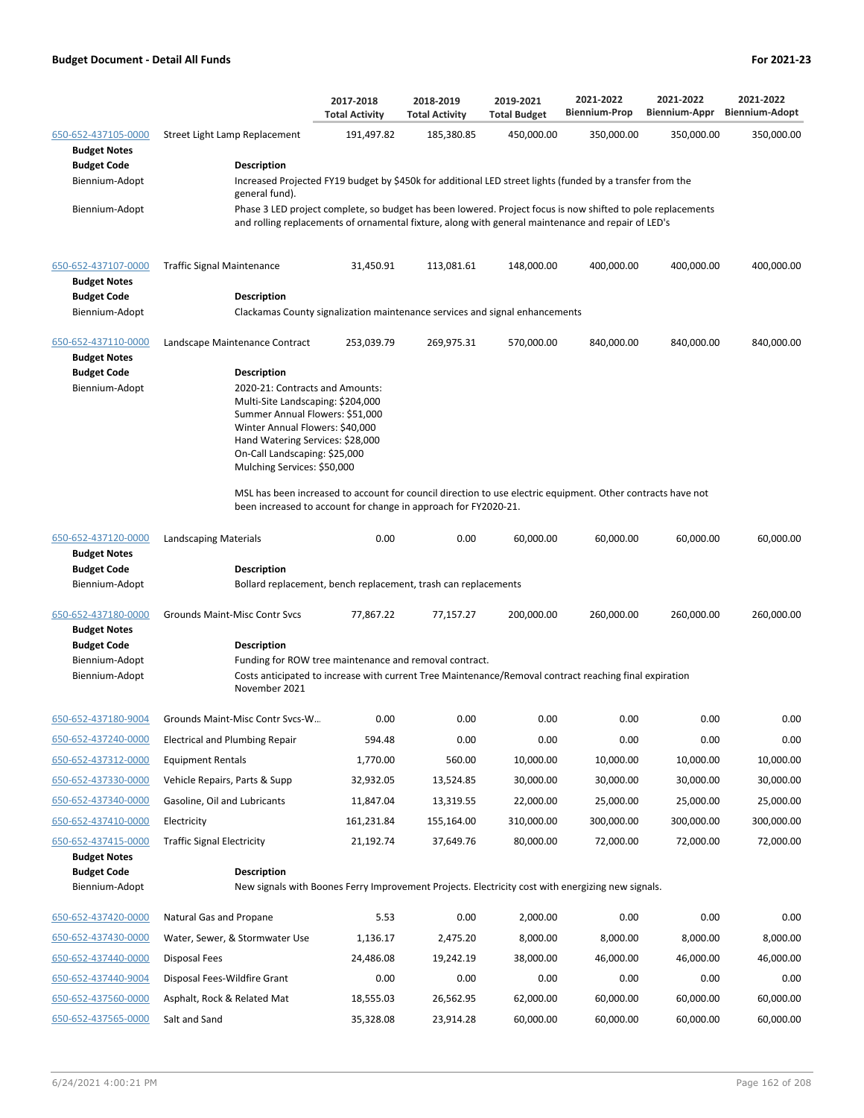|                                            |                                                                                                                                                                                                                                                                      | 2017-2018<br><b>Total Activity</b> | 2018-2019<br><b>Total Activity</b> | 2019-2021<br><b>Total Budget</b> | 2021-2022<br><b>Biennium-Prop</b> | 2021-2022<br><b>Biennium-Appr</b> | 2021-2022<br><b>Biennium-Adopt</b> |  |  |  |
|--------------------------------------------|----------------------------------------------------------------------------------------------------------------------------------------------------------------------------------------------------------------------------------------------------------------------|------------------------------------|------------------------------------|----------------------------------|-----------------------------------|-----------------------------------|------------------------------------|--|--|--|
| 650-652-437105-0000<br><b>Budget Notes</b> | Street Light Lamp Replacement                                                                                                                                                                                                                                        | 191,497.82                         | 185,380.85                         | 450,000.00                       | 350,000.00                        | 350,000.00                        | 350,000.00                         |  |  |  |
| <b>Budget Code</b>                         | <b>Description</b>                                                                                                                                                                                                                                                   |                                    |                                    |                                  |                                   |                                   |                                    |  |  |  |
| Biennium-Adopt                             | Increased Projected FY19 budget by \$450k for additional LED street lights (funded by a transfer from the<br>general fund).                                                                                                                                          |                                    |                                    |                                  |                                   |                                   |                                    |  |  |  |
| Biennium-Adopt                             | Phase 3 LED project complete, so budget has been lowered. Project focus is now shifted to pole replacements<br>and rolling replacements of ornamental fixture, along with general maintenance and repair of LED's                                                    |                                    |                                    |                                  |                                   |                                   |                                    |  |  |  |
| 650-652-437107-0000<br><b>Budget Notes</b> | <b>Traffic Signal Maintenance</b>                                                                                                                                                                                                                                    | 31,450.91                          | 113,081.61                         | 148,000.00                       | 400,000.00                        | 400,000.00                        | 400,000.00                         |  |  |  |
| <b>Budget Code</b>                         | Description                                                                                                                                                                                                                                                          |                                    |                                    |                                  |                                   |                                   |                                    |  |  |  |
| Biennium-Adopt                             | Clackamas County signalization maintenance services and signal enhancements                                                                                                                                                                                          |                                    |                                    |                                  |                                   |                                   |                                    |  |  |  |
| 650-652-437110-0000<br><b>Budget Notes</b> | Landscape Maintenance Contract                                                                                                                                                                                                                                       | 253,039.79                         | 269,975.31                         | 570,000.00                       | 840,000.00                        | 840,000.00                        | 840,000.00                         |  |  |  |
| <b>Budget Code</b><br>Biennium-Adopt       | <b>Description</b><br>2020-21: Contracts and Amounts:<br>Multi-Site Landscaping: \$204,000<br>Summer Annual Flowers: \$51,000<br>Winter Annual Flowers: \$40,000<br>Hand Watering Services: \$28,000<br>On-Call Landscaping: \$25,000<br>Mulching Services: \$50,000 |                                    |                                    |                                  |                                   |                                   |                                    |  |  |  |
|                                            | MSL has been increased to account for council direction to use electric equipment. Other contracts have not<br>been increased to account for change in approach for FY2020-21.                                                                                       |                                    |                                    |                                  |                                   |                                   |                                    |  |  |  |
| 650-652-437120-0000<br><b>Budget Notes</b> | Landscaping Materials                                                                                                                                                                                                                                                | 0.00                               | 0.00                               | 60,000.00                        | 60,000.00                         | 60,000.00                         | 60,000.00                          |  |  |  |
| <b>Budget Code</b>                         | <b>Description</b>                                                                                                                                                                                                                                                   |                                    |                                    |                                  |                                   |                                   |                                    |  |  |  |
| Biennium-Adopt                             | Bollard replacement, bench replacement, trash can replacements                                                                                                                                                                                                       |                                    |                                    |                                  |                                   |                                   |                                    |  |  |  |
| 650-652-437180-0000<br><b>Budget Notes</b> | Grounds Maint-Misc Contr Svcs                                                                                                                                                                                                                                        | 77,867.22                          | 77,157.27                          | 200,000.00                       | 260,000.00                        | 260,000.00                        | 260,000.00                         |  |  |  |
| <b>Budget Code</b>                         | <b>Description</b>                                                                                                                                                                                                                                                   |                                    |                                    |                                  |                                   |                                   |                                    |  |  |  |
| Biennium-Adopt<br>Biennium-Adopt           | Funding for ROW tree maintenance and removal contract.<br>Costs anticipated to increase with current Tree Maintenance/Removal contract reaching final expiration<br>November 2021                                                                                    |                                    |                                    |                                  |                                   |                                   |                                    |  |  |  |
|                                            | 650-652-437180-9004 Grounds Maint-Misc Contr Svcs-W                                                                                                                                                                                                                  | 0.00                               | 0.00                               | 0.00                             | 0.00                              | 0.00                              | 0.00                               |  |  |  |
| 650-652-437240-0000                        | <b>Electrical and Plumbing Repair</b>                                                                                                                                                                                                                                | 594.48                             | 0.00                               | 0.00                             | 0.00                              | 0.00                              | 0.00                               |  |  |  |
| 650-652-437312-0000                        | <b>Equipment Rentals</b>                                                                                                                                                                                                                                             | 1,770.00                           | 560.00                             | 10,000.00                        | 10,000.00                         | 10,000.00                         | 10,000.00                          |  |  |  |
| 650-652-437330-0000                        | Vehicle Repairs, Parts & Supp                                                                                                                                                                                                                                        | 32,932.05                          | 13,524.85                          | 30,000.00                        | 30,000.00                         | 30,000.00                         | 30,000.00                          |  |  |  |
| 650-652-437340-0000                        | Gasoline, Oil and Lubricants                                                                                                                                                                                                                                         | 11,847.04                          | 13,319.55                          | 22,000.00                        | 25,000.00                         | 25,000.00                         | 25,000.00                          |  |  |  |
| 650-652-437410-0000                        | Electricity                                                                                                                                                                                                                                                          | 161,231.84                         | 155,164.00                         | 310,000.00                       | 300,000.00                        | 300,000.00                        | 300,000.00                         |  |  |  |
| 650-652-437415-0000                        | <b>Traffic Signal Electricity</b>                                                                                                                                                                                                                                    | 21,192.74                          | 37,649.76                          | 80,000.00                        | 72,000.00                         | 72,000.00                         | 72,000.00                          |  |  |  |
| <b>Budget Notes</b>                        |                                                                                                                                                                                                                                                                      |                                    |                                    |                                  |                                   |                                   |                                    |  |  |  |
| <b>Budget Code</b>                         | Description                                                                                                                                                                                                                                                          |                                    |                                    |                                  |                                   |                                   |                                    |  |  |  |
| Biennium-Adopt                             | New signals with Boones Ferry Improvement Projects. Electricity cost with energizing new signals.                                                                                                                                                                    |                                    |                                    |                                  |                                   |                                   |                                    |  |  |  |
| 650-652-437420-0000                        | Natural Gas and Propane                                                                                                                                                                                                                                              | 5.53                               | 0.00                               | 2,000.00                         | 0.00                              | 0.00                              | 0.00                               |  |  |  |
| 650-652-437430-0000                        | Water, Sewer, & Stormwater Use                                                                                                                                                                                                                                       | 1,136.17                           | 2,475.20                           | 8,000.00                         | 8,000.00                          | 8,000.00                          | 8,000.00                           |  |  |  |
| 650-652-437440-0000                        | Disposal Fees                                                                                                                                                                                                                                                        | 24,486.08                          | 19,242.19                          | 38,000.00                        | 46,000.00                         | 46,000.00                         | 46,000.00                          |  |  |  |
| 650-652-437440-9004                        | Disposal Fees-Wildfire Grant                                                                                                                                                                                                                                         | 0.00                               | 0.00                               | 0.00                             | 0.00                              | 0.00                              | 0.00                               |  |  |  |
| 650-652-437560-0000                        | Asphalt, Rock & Related Mat                                                                                                                                                                                                                                          | 18,555.03                          | 26,562.95                          | 62,000.00                        | 60,000.00                         | 60,000.00                         | 60,000.00                          |  |  |  |
| 650-652-437565-0000                        | Salt and Sand                                                                                                                                                                                                                                                        | 35,328.08                          | 23,914.28                          | 60,000.00                        | 60,000.00                         | 60,000.00                         | 60,000.00                          |  |  |  |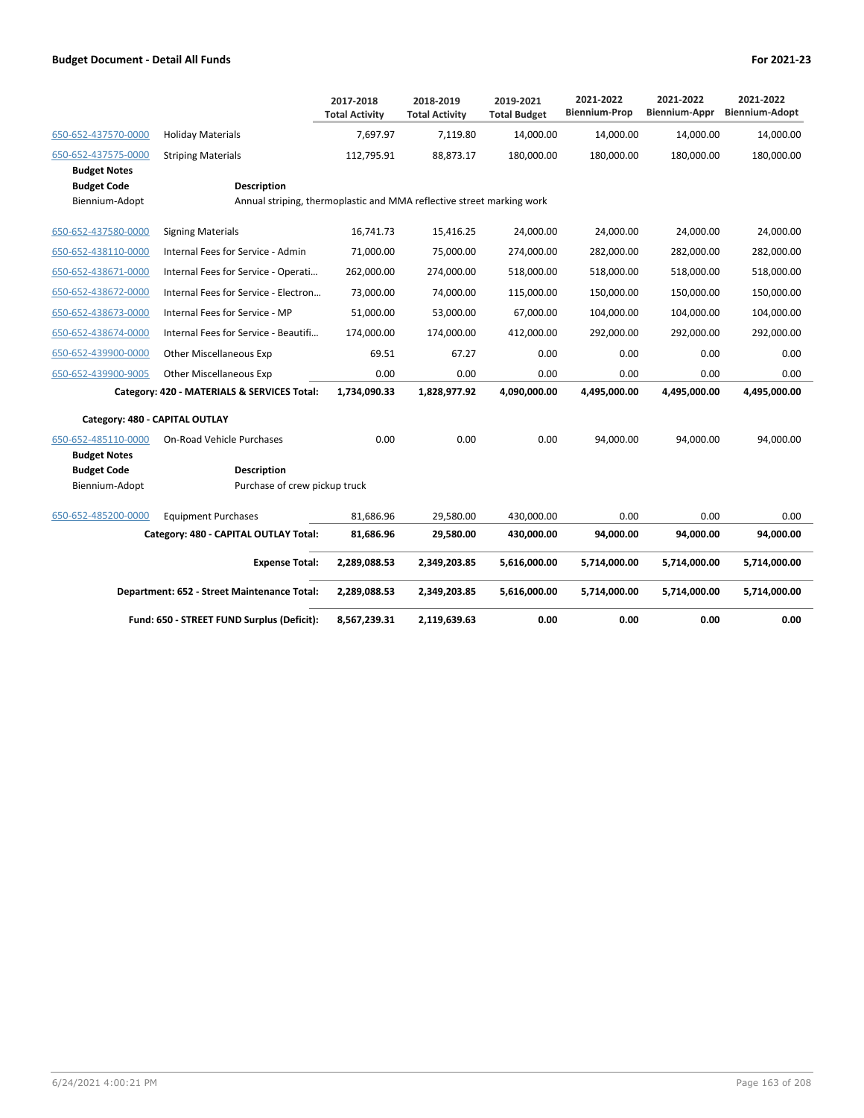|                                            |                                                                       | 2017-2018<br><b>Total Activity</b> | 2018-2019<br><b>Total Activity</b> | 2019-2021<br><b>Total Budget</b> | 2021-2022<br><b>Biennium-Prop</b> | 2021-2022<br>Biennium-Appr | 2021-2022<br><b>Biennium-Adopt</b> |
|--------------------------------------------|-----------------------------------------------------------------------|------------------------------------|------------------------------------|----------------------------------|-----------------------------------|----------------------------|------------------------------------|
| 650-652-437570-0000                        | <b>Holiday Materials</b>                                              | 7.697.97                           | 7.119.80                           | 14,000.00                        | 14,000.00                         | 14,000.00                  | 14,000.00                          |
| 650-652-437575-0000<br><b>Budget Notes</b> | <b>Striping Materials</b>                                             | 112,795.91                         | 88,873.17                          | 180,000.00                       | 180,000.00                        | 180,000.00                 | 180,000.00                         |
| <b>Budget Code</b>                         | <b>Description</b>                                                    |                                    |                                    |                                  |                                   |                            |                                    |
| Biennium-Adopt                             | Annual striping, thermoplastic and MMA reflective street marking work |                                    |                                    |                                  |                                   |                            |                                    |
| 650-652-437580-0000                        | <b>Signing Materials</b>                                              | 16,741.73                          | 15,416.25                          | 24,000.00                        | 24,000.00                         | 24,000.00                  | 24,000.00                          |
| 650-652-438110-0000                        | Internal Fees for Service - Admin                                     | 71,000.00                          | 75,000.00                          | 274,000.00                       | 282,000.00                        | 282,000.00                 | 282,000.00                         |
| 650-652-438671-0000                        | Internal Fees for Service - Operati                                   | 262,000.00                         | 274,000.00                         | 518,000.00                       | 518,000.00                        | 518,000.00                 | 518,000.00                         |
| 650-652-438672-0000                        | Internal Fees for Service - Electron                                  | 73,000.00                          | 74,000.00                          | 115,000.00                       | 150,000.00                        | 150,000.00                 | 150,000.00                         |
| 650-652-438673-0000                        | Internal Fees for Service - MP                                        | 51,000.00                          | 53,000.00                          | 67,000.00                        | 104,000.00                        | 104,000.00                 | 104,000.00                         |
| 650-652-438674-0000                        | Internal Fees for Service - Beautifi                                  | 174,000.00                         | 174,000.00                         | 412,000.00                       | 292,000.00                        | 292,000.00                 | 292,000.00                         |
| 650-652-439900-0000                        | Other Miscellaneous Exp                                               | 69.51                              | 67.27                              | 0.00                             | 0.00                              | 0.00                       | 0.00                               |
| 650-652-439900-9005                        | <b>Other Miscellaneous Exp</b>                                        | 0.00                               | 0.00                               | 0.00                             | 0.00                              | 0.00                       | 0.00                               |
|                                            | Category: 420 - MATERIALS & SERVICES Total:                           | 1,734,090.33                       | 1,828,977.92                       | 4,090,000.00                     | 4,495,000.00                      | 4,495,000.00               | 4,495,000.00                       |
| Category: 480 - CAPITAL OUTLAY             |                                                                       |                                    |                                    |                                  |                                   |                            |                                    |
| 650-652-485110-0000                        | <b>On-Road Vehicle Purchases</b>                                      | 0.00                               | 0.00                               | 0.00                             | 94,000.00                         | 94,000.00                  | 94,000.00                          |
| <b>Budget Notes</b>                        |                                                                       |                                    |                                    |                                  |                                   |                            |                                    |
| <b>Budget Code</b>                         | <b>Description</b>                                                    |                                    |                                    |                                  |                                   |                            |                                    |
| Biennium-Adopt                             | Purchase of crew pickup truck                                         |                                    |                                    |                                  |                                   |                            |                                    |
| 650-652-485200-0000                        | <b>Equipment Purchases</b>                                            | 81,686.96                          | 29,580.00                          | 430,000.00                       | 0.00                              | 0.00                       | 0.00                               |
|                                            | Category: 480 - CAPITAL OUTLAY Total:                                 | 81,686.96                          | 29,580.00                          | 430,000.00                       | 94,000.00                         | 94,000.00                  | 94,000.00                          |
|                                            | <b>Expense Total:</b>                                                 | 2,289,088.53                       | 2,349,203.85                       | 5,616,000.00                     | 5,714,000.00                      | 5,714,000.00               | 5,714,000.00                       |
|                                            | Department: 652 - Street Maintenance Total:                           | 2,289,088.53                       | 2,349,203.85                       | 5,616,000.00                     | 5,714,000.00                      | 5,714,000.00               | 5,714,000.00                       |
|                                            | Fund: 650 - STREET FUND Surplus (Deficit):                            | 8,567,239.31                       | 2,119,639.63                       | 0.00                             | 0.00                              | 0.00                       | 0.00                               |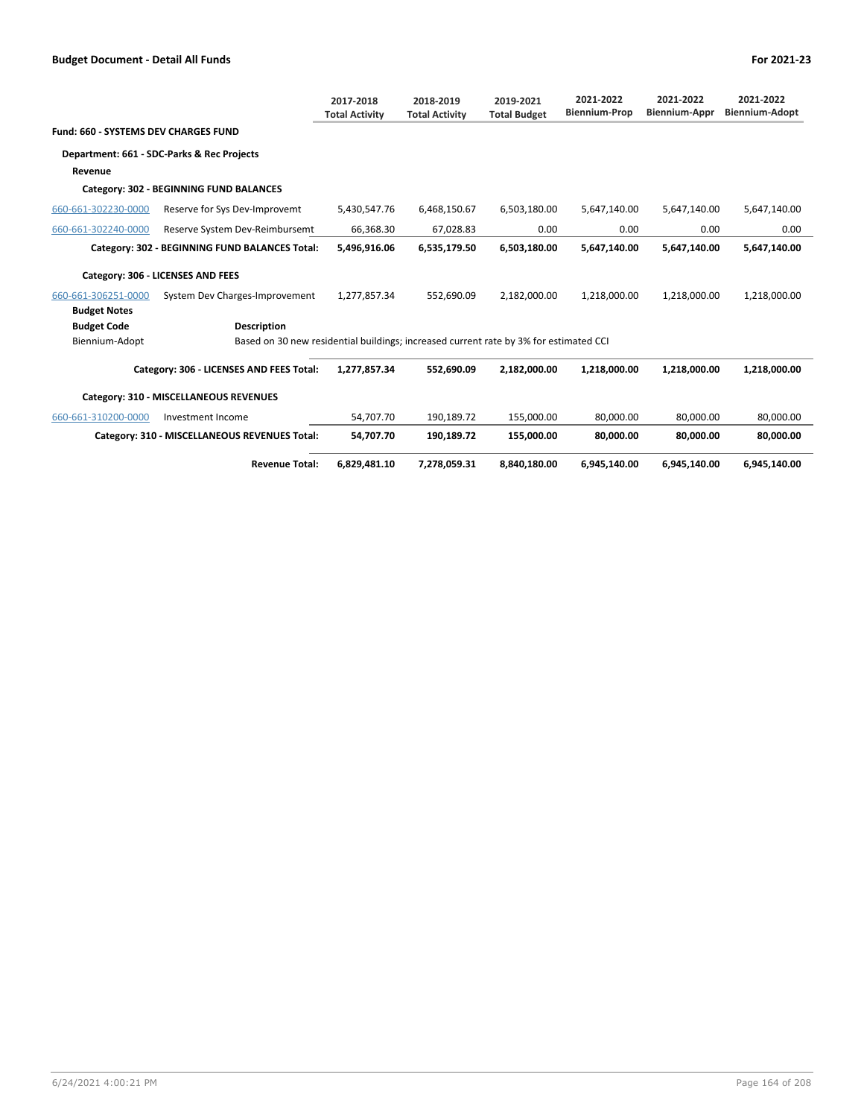|                                             |                                                                                       | 2017-2018<br><b>Total Activity</b> | 2018-2019<br><b>Total Activity</b> | 2019-2021<br><b>Total Budget</b> | 2021-2022<br><b>Biennium-Prop</b> | 2021-2022<br><b>Biennium-Appr</b> | 2021-2022<br><b>Biennium-Adopt</b> |
|---------------------------------------------|---------------------------------------------------------------------------------------|------------------------------------|------------------------------------|----------------------------------|-----------------------------------|-----------------------------------|------------------------------------|
| <b>Fund: 660 - SYSTEMS DEV CHARGES FUND</b> |                                                                                       |                                    |                                    |                                  |                                   |                                   |                                    |
|                                             | Department: 661 - SDC-Parks & Rec Projects                                            |                                    |                                    |                                  |                                   |                                   |                                    |
| Revenue                                     |                                                                                       |                                    |                                    |                                  |                                   |                                   |                                    |
|                                             | Category: 302 - BEGINNING FUND BALANCES                                               |                                    |                                    |                                  |                                   |                                   |                                    |
| 660-661-302230-0000                         | Reserve for Sys Dev-Improvemt                                                         | 5,430,547.76                       | 6,468,150.67                       | 6,503,180.00                     | 5,647,140.00                      | 5,647,140.00                      | 5,647,140.00                       |
| 660-661-302240-0000                         | Reserve System Dev-Reimbursemt                                                        | 66,368.30                          | 67,028.83                          | 0.00                             | 0.00                              | 0.00                              | 0.00                               |
|                                             | Category: 302 - BEGINNING FUND BALANCES Total:                                        | 5,496,916.06                       | 6,535,179.50                       | 6,503,180.00                     | 5,647,140.00                      | 5,647,140.00                      | 5,647,140.00                       |
|                                             | Category: 306 - LICENSES AND FEES                                                     |                                    |                                    |                                  |                                   |                                   |                                    |
| 660-661-306251-0000                         | System Dev Charges-Improvement                                                        | 1,277,857.34                       | 552.690.09                         | 2,182,000.00                     | 1,218,000.00                      | 1,218,000.00                      | 1,218,000.00                       |
| <b>Budget Notes</b>                         |                                                                                       |                                    |                                    |                                  |                                   |                                   |                                    |
| <b>Budget Code</b>                          | <b>Description</b>                                                                    |                                    |                                    |                                  |                                   |                                   |                                    |
| Biennium-Adopt                              | Based on 30 new residential buildings; increased current rate by 3% for estimated CCI |                                    |                                    |                                  |                                   |                                   |                                    |
|                                             | Category: 306 - LICENSES AND FEES Total:                                              | 1,277,857.34                       | 552,690.09                         | 2,182,000.00                     | 1,218,000.00                      | 1,218,000.00                      | 1,218,000.00                       |
|                                             | Category: 310 - MISCELLANEOUS REVENUES                                                |                                    |                                    |                                  |                                   |                                   |                                    |
| 660-661-310200-0000                         | Investment Income                                                                     | 54.707.70                          | 190.189.72                         | 155.000.00                       | 80.000.00                         | 80.000.00                         | 80.000.00                          |
|                                             | Category: 310 - MISCELLANEOUS REVENUES Total:                                         | 54,707.70                          | 190,189.72                         | 155,000.00                       | 80.000.00                         | 80.000.00                         | 80.000.00                          |
|                                             | <b>Revenue Total:</b>                                                                 | 6,829,481.10                       | 7,278,059.31                       | 8,840,180.00                     | 6,945,140.00                      | 6,945,140.00                      | 6,945,140.00                       |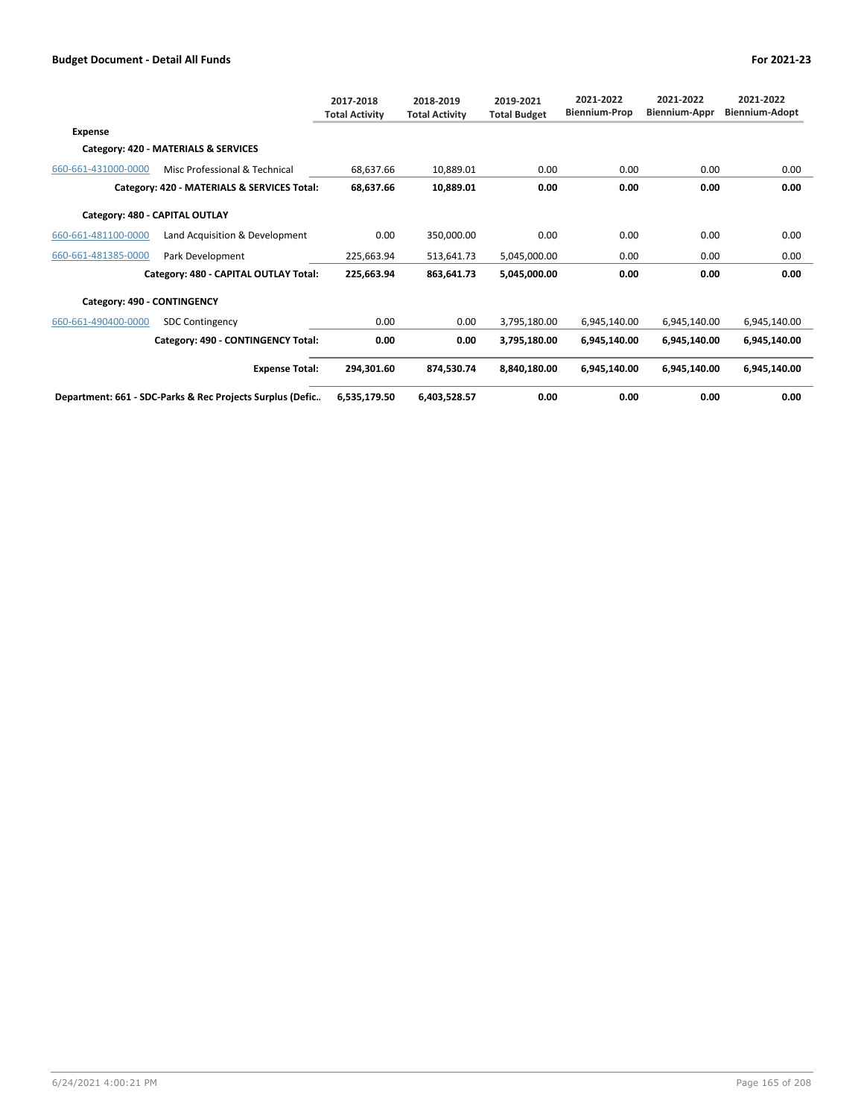|                             |                                                           | 2017-2018<br><b>Total Activity</b> | 2018-2019<br><b>Total Activity</b> | 2019-2021<br><b>Total Budget</b> | 2021-2022<br><b>Biennium-Prop</b> | 2021-2022<br><b>Biennium-Appr</b> | 2021-2022<br>Biennium-Adopt |
|-----------------------------|-----------------------------------------------------------|------------------------------------|------------------------------------|----------------------------------|-----------------------------------|-----------------------------------|-----------------------------|
| Expense                     |                                                           |                                    |                                    |                                  |                                   |                                   |                             |
|                             | Category: 420 - MATERIALS & SERVICES                      |                                    |                                    |                                  |                                   |                                   |                             |
| 660-661-431000-0000         | Misc Professional & Technical                             | 68,637.66                          | 10,889.01                          | 0.00                             | 0.00                              | 0.00                              | 0.00                        |
|                             | Category: 420 - MATERIALS & SERVICES Total:               | 68,637.66                          | 10,889.01                          | 0.00                             | 0.00                              | 0.00                              | 0.00                        |
|                             | Category: 480 - CAPITAL OUTLAY                            |                                    |                                    |                                  |                                   |                                   |                             |
| 660-661-481100-0000         | Land Acquisition & Development                            | 0.00                               | 350,000.00                         | 0.00                             | 0.00                              | 0.00                              | 0.00                        |
| 660-661-481385-0000         | Park Development                                          | 225,663.94                         | 513,641.73                         | 5,045,000.00                     | 0.00                              | 0.00                              | 0.00                        |
|                             | Category: 480 - CAPITAL OUTLAY Total:                     | 225,663.94                         | 863,641.73                         | 5,045,000.00                     | 0.00                              | 0.00                              | 0.00                        |
| Category: 490 - CONTINGENCY |                                                           |                                    |                                    |                                  |                                   |                                   |                             |
| 660-661-490400-0000         | <b>SDC Contingency</b>                                    | 0.00                               | 0.00                               | 3,795,180.00                     | 6,945,140.00                      | 6,945,140.00                      | 6,945,140.00                |
|                             | Category: 490 - CONTINGENCY Total:                        | 0.00                               | 0.00                               | 3,795,180.00                     | 6,945,140.00                      | 6,945,140.00                      | 6,945,140.00                |
|                             | <b>Expense Total:</b>                                     | 294,301.60                         | 874,530.74                         | 8,840,180.00                     | 6,945,140.00                      | 6,945,140.00                      | 6,945,140.00                |
|                             | Department: 661 - SDC-Parks & Rec Projects Surplus (Defic | 6,535,179.50                       | 6,403,528.57                       | 0.00                             | 0.00                              | 0.00                              | 0.00                        |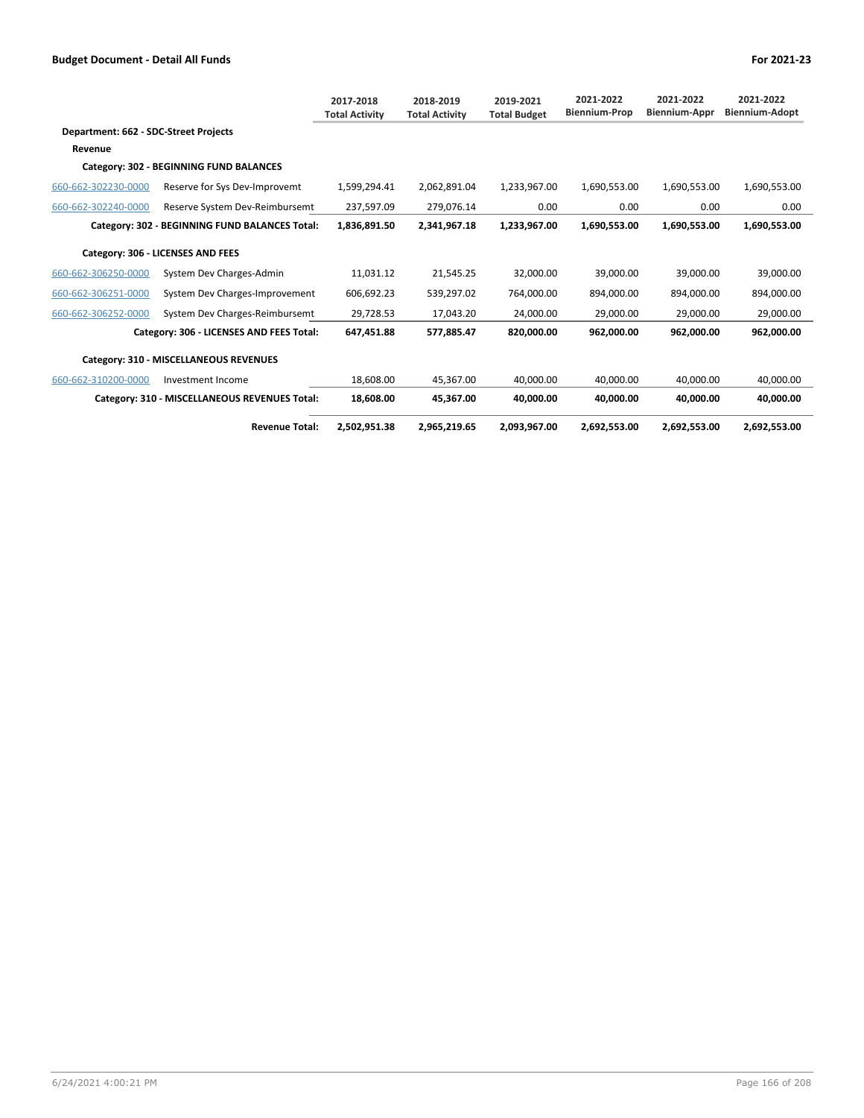|                                       |                                                | 2017-2018<br><b>Total Activity</b> | 2018-2019<br><b>Total Activity</b> | 2019-2021<br><b>Total Budget</b> | 2021-2022<br><b>Biennium-Prop</b> | 2021-2022<br><b>Biennium-Appr</b> | 2021-2022<br><b>Biennium-Adopt</b> |
|---------------------------------------|------------------------------------------------|------------------------------------|------------------------------------|----------------------------------|-----------------------------------|-----------------------------------|------------------------------------|
| Department: 662 - SDC-Street Projects |                                                |                                    |                                    |                                  |                                   |                                   |                                    |
| Revenue                               |                                                |                                    |                                    |                                  |                                   |                                   |                                    |
|                                       | Category: 302 - BEGINNING FUND BALANCES        |                                    |                                    |                                  |                                   |                                   |                                    |
| 660-662-302230-0000                   | Reserve for Sys Dev-Improvemt                  | 1,599,294.41                       | 2,062,891.04                       | 1,233,967.00                     | 1,690,553.00                      | 1,690,553.00                      | 1,690,553.00                       |
| 660-662-302240-0000                   | Reserve System Dev-Reimbursemt                 | 237,597.09                         | 279,076.14                         | 0.00                             | 0.00                              | 0.00                              | 0.00                               |
|                                       | Category: 302 - BEGINNING FUND BALANCES Total: | 1,836,891.50                       | 2,341,967.18                       | 1,233,967.00                     | 1,690,553.00                      | 1,690,553.00                      | 1,690,553.00                       |
|                                       | Category: 306 - LICENSES AND FEES              |                                    |                                    |                                  |                                   |                                   |                                    |
| 660-662-306250-0000                   | System Dev Charges-Admin                       | 11,031.12                          | 21,545.25                          | 32,000.00                        | 39,000.00                         | 39,000.00                         | 39,000.00                          |
| 660-662-306251-0000                   | System Dev Charges-Improvement                 | 606,692.23                         | 539,297.02                         | 764,000.00                       | 894,000.00                        | 894,000.00                        | 894,000.00                         |
| 660-662-306252-0000                   | System Dev Charges-Reimbursemt                 | 29,728.53                          | 17,043.20                          | 24,000.00                        | 29,000.00                         | 29,000.00                         | 29,000.00                          |
|                                       | Category: 306 - LICENSES AND FEES Total:       | 647,451.88                         | 577,885.47                         | 820,000.00                       | 962,000.00                        | 962,000.00                        | 962,000.00                         |
|                                       | Category: 310 - MISCELLANEOUS REVENUES         |                                    |                                    |                                  |                                   |                                   |                                    |
| 660-662-310200-0000                   | Investment Income                              | 18.608.00                          | 45,367.00                          | 40.000.00                        | 40.000.00                         | 40,000.00                         | 40,000.00                          |
|                                       | Category: 310 - MISCELLANEOUS REVENUES Total:  | 18,608.00                          | 45,367.00                          | 40,000.00                        | 40,000.00                         | 40,000.00                         | 40,000.00                          |
|                                       | <b>Revenue Total:</b>                          | 2,502,951.38                       | 2,965,219.65                       | 2,093,967.00                     | 2,692,553.00                      | 2,692,553.00                      | 2,692,553.00                       |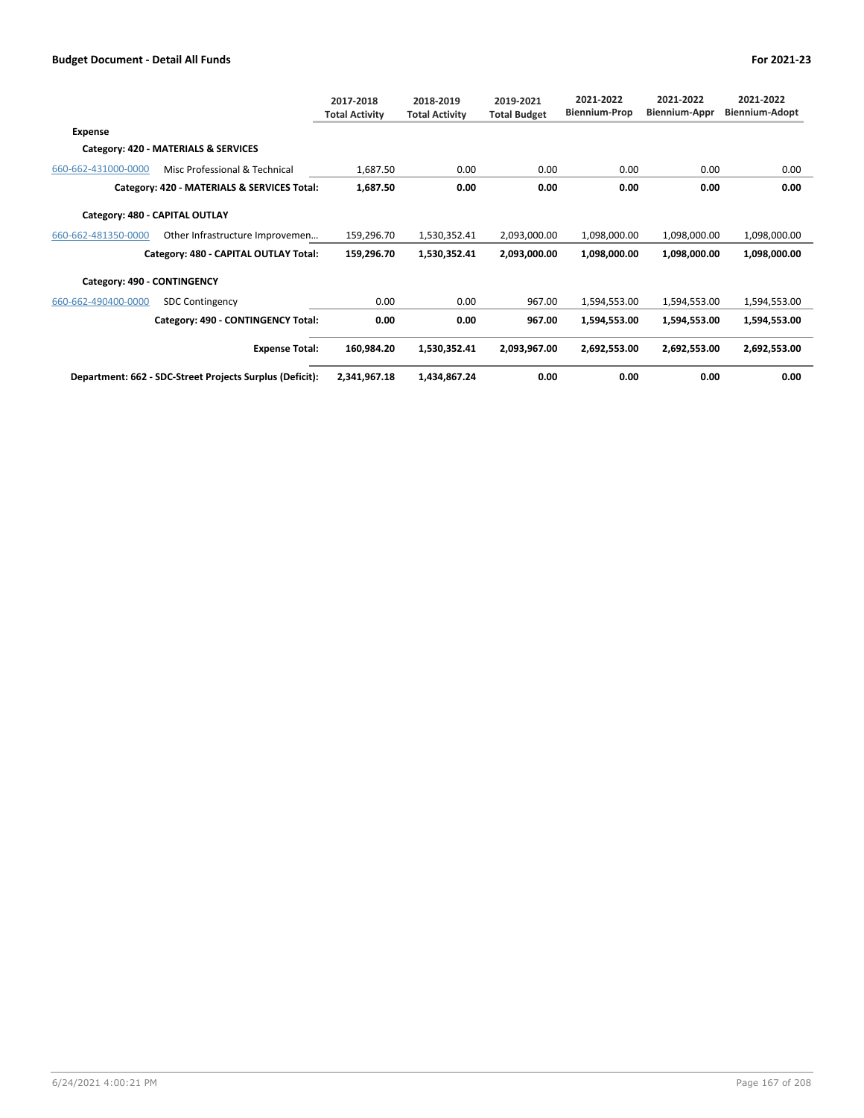|                                |                                                          | 2017-2018<br><b>Total Activity</b> | 2018-2019<br><b>Total Activity</b> | 2019-2021<br><b>Total Budget</b> | 2021-2022<br><b>Biennium-Prop</b> | 2021-2022<br><b>Biennium-Appr</b> | 2021-2022<br>Biennium-Adopt |
|--------------------------------|----------------------------------------------------------|------------------------------------|------------------------------------|----------------------------------|-----------------------------------|-----------------------------------|-----------------------------|
| Expense                        |                                                          |                                    |                                    |                                  |                                   |                                   |                             |
|                                | Category: 420 - MATERIALS & SERVICES                     |                                    |                                    |                                  |                                   |                                   |                             |
| 660-662-431000-0000            | Misc Professional & Technical                            | 1,687.50                           | 0.00                               | 0.00                             | 0.00                              | 0.00                              | 0.00                        |
|                                | Category: 420 - MATERIALS & SERVICES Total:              | 1,687.50                           | 0.00                               | 0.00                             | 0.00                              | 0.00                              | 0.00                        |
| Category: 480 - CAPITAL OUTLAY |                                                          |                                    |                                    |                                  |                                   |                                   |                             |
| 660-662-481350-0000            | Other Infrastructure Improvemen                          | 159,296.70                         | 1,530,352.41                       | 2,093,000.00                     | 1,098,000.00                      | 1,098,000.00                      | 1,098,000.00                |
|                                | Category: 480 - CAPITAL OUTLAY Total:                    | 159,296.70                         | 1,530,352.41                       | 2,093,000.00                     | 1,098,000.00                      | 1,098,000.00                      | 1,098,000.00                |
| Category: 490 - CONTINGENCY    |                                                          |                                    |                                    |                                  |                                   |                                   |                             |
| 660-662-490400-0000            | <b>SDC Contingency</b>                                   | 0.00                               | 0.00                               | 967.00                           | 1,594,553.00                      | 1,594,553.00                      | 1,594,553.00                |
|                                | Category: 490 - CONTINGENCY Total:                       | 0.00                               | 0.00                               | 967.00                           | 1,594,553.00                      | 1,594,553.00                      | 1,594,553.00                |
|                                | <b>Expense Total:</b>                                    | 160,984.20                         | 1,530,352.41                       | 2,093,967.00                     | 2,692,553.00                      | 2,692,553.00                      | 2,692,553.00                |
|                                | Department: 662 - SDC-Street Projects Surplus (Deficit): | 2,341,967.18                       | 1,434,867.24                       | 0.00                             | 0.00                              | 0.00                              | 0.00                        |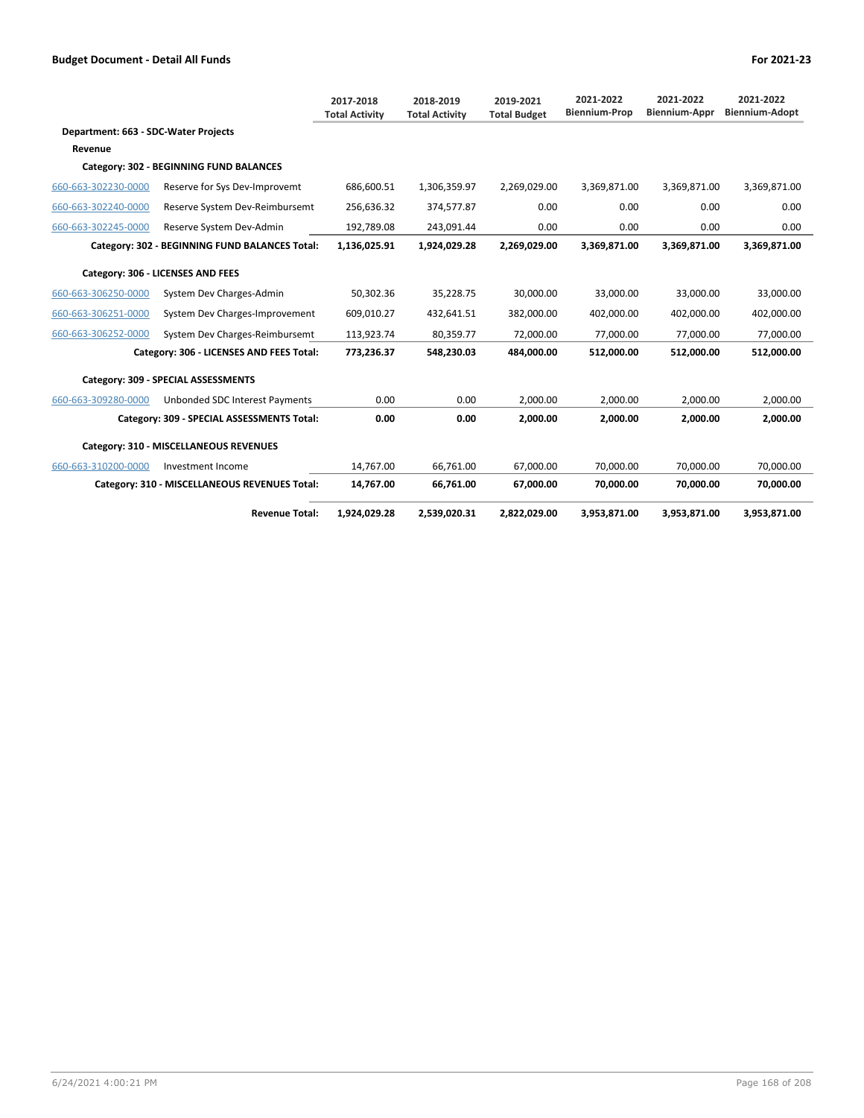|                                      |                                                | 2017-2018<br><b>Total Activity</b> | 2018-2019<br><b>Total Activity</b> | 2019-2021<br><b>Total Budget</b> | 2021-2022<br><b>Biennium-Prop</b> | 2021-2022<br><b>Biennium-Appr</b> | 2021-2022<br><b>Biennium-Adopt</b> |
|--------------------------------------|------------------------------------------------|------------------------------------|------------------------------------|----------------------------------|-----------------------------------|-----------------------------------|------------------------------------|
| Department: 663 - SDC-Water Projects |                                                |                                    |                                    |                                  |                                   |                                   |                                    |
| Revenue                              |                                                |                                    |                                    |                                  |                                   |                                   |                                    |
|                                      | Category: 302 - BEGINNING FUND BALANCES        |                                    |                                    |                                  |                                   |                                   |                                    |
| 660-663-302230-0000                  | Reserve for Sys Dev-Improvemt                  | 686.600.51                         | 1,306,359.97                       | 2,269,029.00                     | 3,369,871.00                      | 3,369,871.00                      | 3,369,871.00                       |
| 660-663-302240-0000                  | Reserve System Dev-Reimbursemt                 | 256,636.32                         | 374,577.87                         | 0.00                             | 0.00                              | 0.00                              | 0.00                               |
| 660-663-302245-0000                  | Reserve System Dev-Admin                       | 192,789.08                         | 243,091.44                         | 0.00                             | 0.00                              | 0.00                              | 0.00                               |
|                                      | Category: 302 - BEGINNING FUND BALANCES Total: | 1,136,025.91                       | 1,924,029.28                       | 2,269,029.00                     | 3,369,871.00                      | 3.369.871.00                      | 3.369.871.00                       |
|                                      | Category: 306 - LICENSES AND FEES              |                                    |                                    |                                  |                                   |                                   |                                    |
| 660-663-306250-0000                  | System Dev Charges-Admin                       | 50,302.36                          | 35,228.75                          | 30,000.00                        | 33,000.00                         | 33,000.00                         | 33,000.00                          |
| 660-663-306251-0000                  | System Dev Charges-Improvement                 | 609,010.27                         | 432,641.51                         | 382,000.00                       | 402,000.00                        | 402,000.00                        | 402,000.00                         |
| 660-663-306252-0000                  | System Dev Charges-Reimbursemt                 | 113,923.74                         | 80,359.77                          | 72,000.00                        | 77,000.00                         | 77,000.00                         | 77,000.00                          |
|                                      | Category: 306 - LICENSES AND FEES Total:       | 773,236.37                         | 548,230.03                         | 484.000.00                       | 512,000.00                        | 512,000.00                        | 512.000.00                         |
|                                      | Category: 309 - SPECIAL ASSESSMENTS            |                                    |                                    |                                  |                                   |                                   |                                    |
| 660-663-309280-0000                  | Unbonded SDC Interest Payments                 | 0.00                               | 0.00                               | 2,000.00                         | 2.000.00                          | 2.000.00                          | 2.000.00                           |
|                                      | Category: 309 - SPECIAL ASSESSMENTS Total:     | 0.00                               | 0.00                               | 2.000.00                         | 2.000.00                          | 2.000.00                          | 2,000.00                           |
|                                      | Category: 310 - MISCELLANEOUS REVENUES         |                                    |                                    |                                  |                                   |                                   |                                    |
| 660-663-310200-0000                  | Investment Income                              | 14.767.00                          | 66.761.00                          | 67.000.00                        | 70.000.00                         | 70.000.00                         | 70.000.00                          |
|                                      | Category: 310 - MISCELLANEOUS REVENUES Total:  | 14,767.00                          | 66,761.00                          | 67,000.00                        | 70,000.00                         | 70,000.00                         | 70,000.00                          |
|                                      | <b>Revenue Total:</b>                          | 1,924,029.28                       | 2.539.020.31                       | 2,822,029.00                     | 3,953,871.00                      | 3,953,871.00                      | 3,953,871.00                       |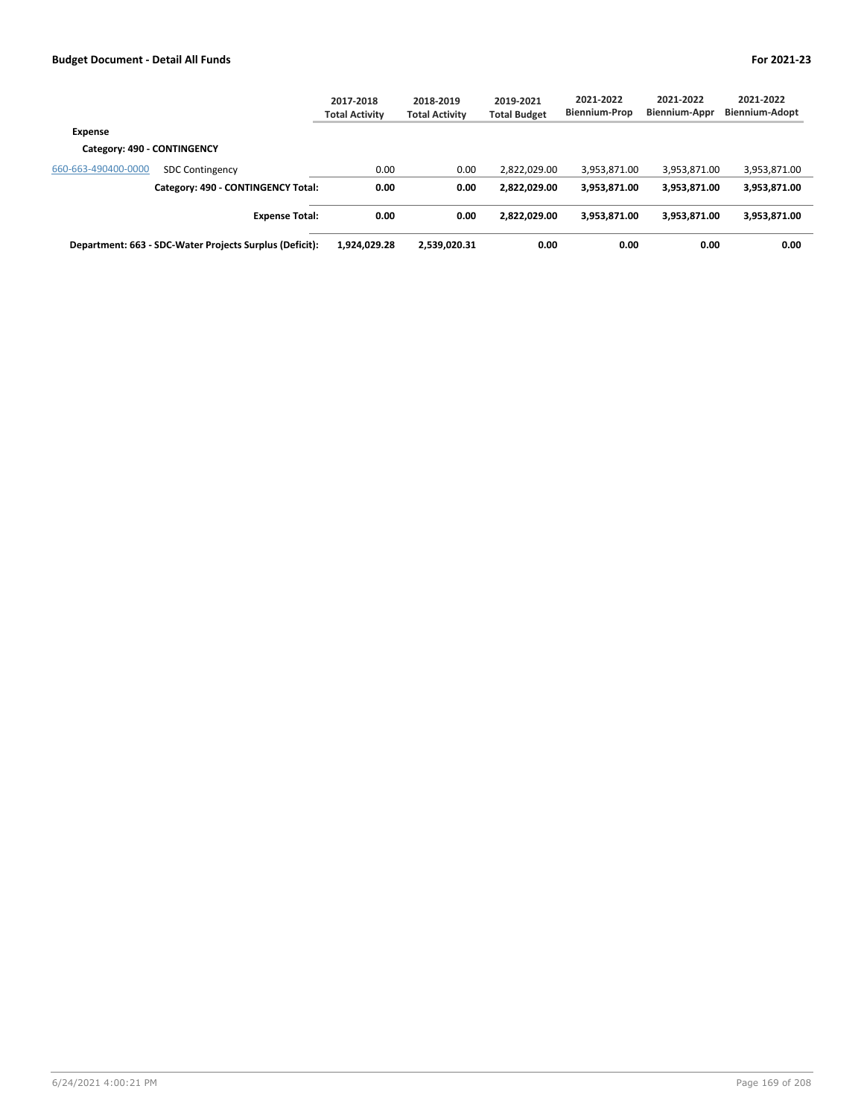|                             |                                                         | 2017-2018<br><b>Total Activity</b> | 2018-2019<br><b>Total Activity</b> | 2019-2021<br><b>Total Budget</b> | 2021-2022<br><b>Biennium-Prop</b> | 2021-2022<br><b>Biennium-Appr</b> | 2021-2022<br><b>Biennium-Adopt</b> |
|-----------------------------|---------------------------------------------------------|------------------------------------|------------------------------------|----------------------------------|-----------------------------------|-----------------------------------|------------------------------------|
| Expense                     |                                                         |                                    |                                    |                                  |                                   |                                   |                                    |
| Category: 490 - CONTINGENCY |                                                         |                                    |                                    |                                  |                                   |                                   |                                    |
| 660-663-490400-0000         | <b>SDC Contingency</b>                                  | 0.00                               | 0.00                               | 2,822,029.00                     | 3,953,871.00                      | 3,953,871.00                      | 3,953,871.00                       |
|                             | Category: 490 - CONTINGENCY Total:                      | 0.00                               | 0.00                               | 2,822,029.00                     | 3,953,871.00                      | 3,953,871.00                      | 3,953,871.00                       |
|                             | <b>Expense Total:</b>                                   | 0.00                               | 0.00                               | 2,822,029.00                     | 3,953,871.00                      | 3,953,871.00                      | 3,953,871.00                       |
|                             | Department: 663 - SDC-Water Projects Surplus (Deficit): | 1,924,029.28                       | 2.539.020.31                       | 0.00                             | 0.00                              | 0.00                              | 0.00                               |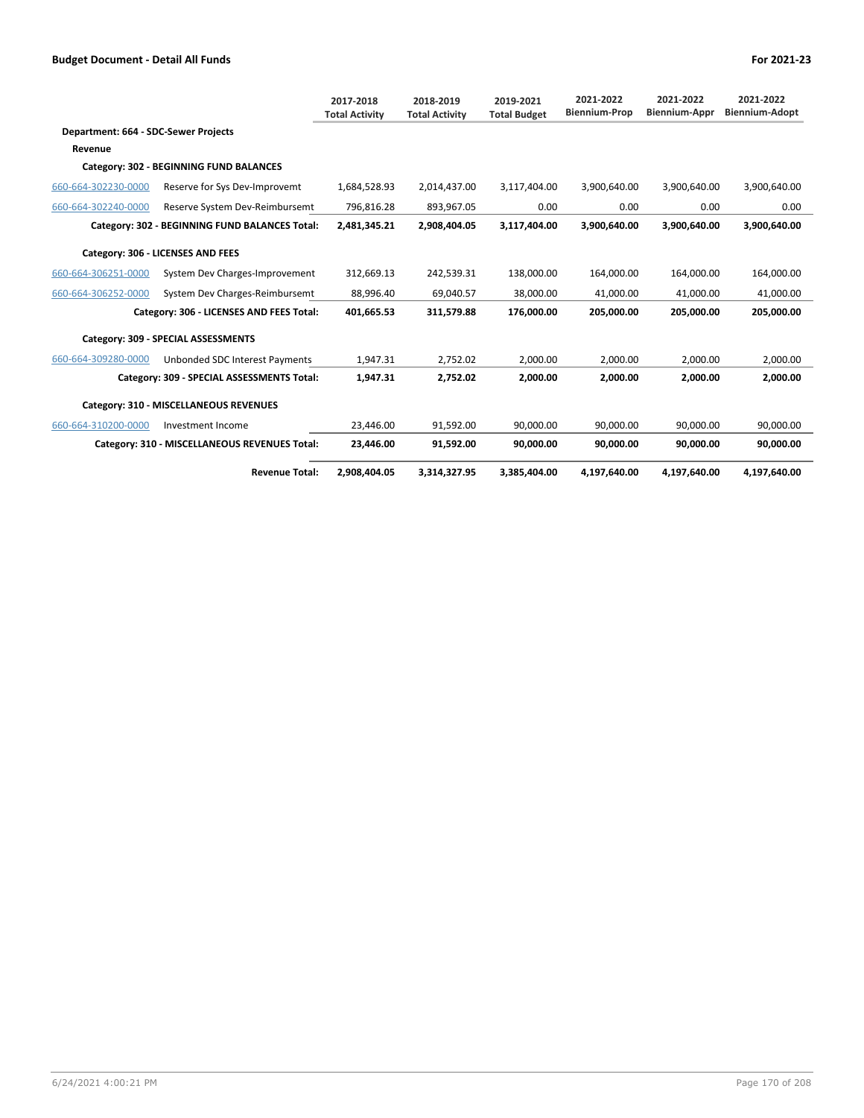|                                      |                                                | 2017-2018<br><b>Total Activity</b> | 2018-2019<br><b>Total Activity</b> | 2019-2021<br><b>Total Budget</b> | 2021-2022<br><b>Biennium-Prop</b> | 2021-2022<br><b>Biennium-Appr</b> | 2021-2022<br><b>Biennium-Adopt</b> |
|--------------------------------------|------------------------------------------------|------------------------------------|------------------------------------|----------------------------------|-----------------------------------|-----------------------------------|------------------------------------|
| Department: 664 - SDC-Sewer Projects |                                                |                                    |                                    |                                  |                                   |                                   |                                    |
| Revenue                              |                                                |                                    |                                    |                                  |                                   |                                   |                                    |
|                                      | Category: 302 - BEGINNING FUND BALANCES        |                                    |                                    |                                  |                                   |                                   |                                    |
| 660-664-302230-0000                  | Reserve for Sys Dev-Improvemt                  | 1,684,528.93                       | 2,014,437.00                       | 3,117,404.00                     | 3,900,640.00                      | 3,900,640.00                      | 3,900,640.00                       |
| 660-664-302240-0000                  | Reserve System Dev-Reimbursemt                 | 796.816.28                         | 893.967.05                         | 0.00                             | 0.00                              | 0.00                              | 0.00                               |
|                                      | Category: 302 - BEGINNING FUND BALANCES Total: | 2,481,345.21                       | 2,908,404.05                       | 3,117,404.00                     | 3,900,640.00                      | 3.900.640.00                      | 3.900.640.00                       |
|                                      | Category: 306 - LICENSES AND FEES              |                                    |                                    |                                  |                                   |                                   |                                    |
| 660-664-306251-0000                  | System Dev Charges-Improvement                 | 312.669.13                         | 242.539.31                         | 138.000.00                       | 164.000.00                        | 164.000.00                        | 164,000.00                         |
| 660-664-306252-0000                  | System Dev Charges-Reimbursemt                 | 88.996.40                          | 69,040.57                          | 38,000.00                        | 41,000.00                         | 41,000.00                         | 41,000.00                          |
|                                      | Category: 306 - LICENSES AND FEES Total:       | 401,665.53                         | 311,579.88                         | 176,000.00                       | 205,000.00                        | 205,000.00                        | 205,000.00                         |
|                                      | Category: 309 - SPECIAL ASSESSMENTS            |                                    |                                    |                                  |                                   |                                   |                                    |
| 660-664-309280-0000                  | Unbonded SDC Interest Payments                 | 1,947.31                           | 2,752.02                           | 2.000.00                         | 2.000.00                          | 2.000.00                          | 2,000.00                           |
|                                      | Category: 309 - SPECIAL ASSESSMENTS Total:     | 1,947.31                           | 2.752.02                           | 2.000.00                         | 2,000.00                          | 2.000.00                          | 2.000.00                           |
|                                      | Category: 310 - MISCELLANEOUS REVENUES         |                                    |                                    |                                  |                                   |                                   |                                    |
| 660-664-310200-0000                  | Investment Income                              | 23.446.00                          | 91.592.00                          | 90.000.00                        | 90.000.00                         | 90.000.00                         | 90.000.00                          |
|                                      | Category: 310 - MISCELLANEOUS REVENUES Total:  | 23,446.00                          | 91,592.00                          | 90,000.00                        | 90,000.00                         | 90,000.00                         | 90,000.00                          |
|                                      | <b>Revenue Total:</b>                          | 2,908,404.05                       | 3,314,327.95                       | 3,385,404.00                     | 4,197,640.00                      | 4,197,640.00                      | 4,197,640.00                       |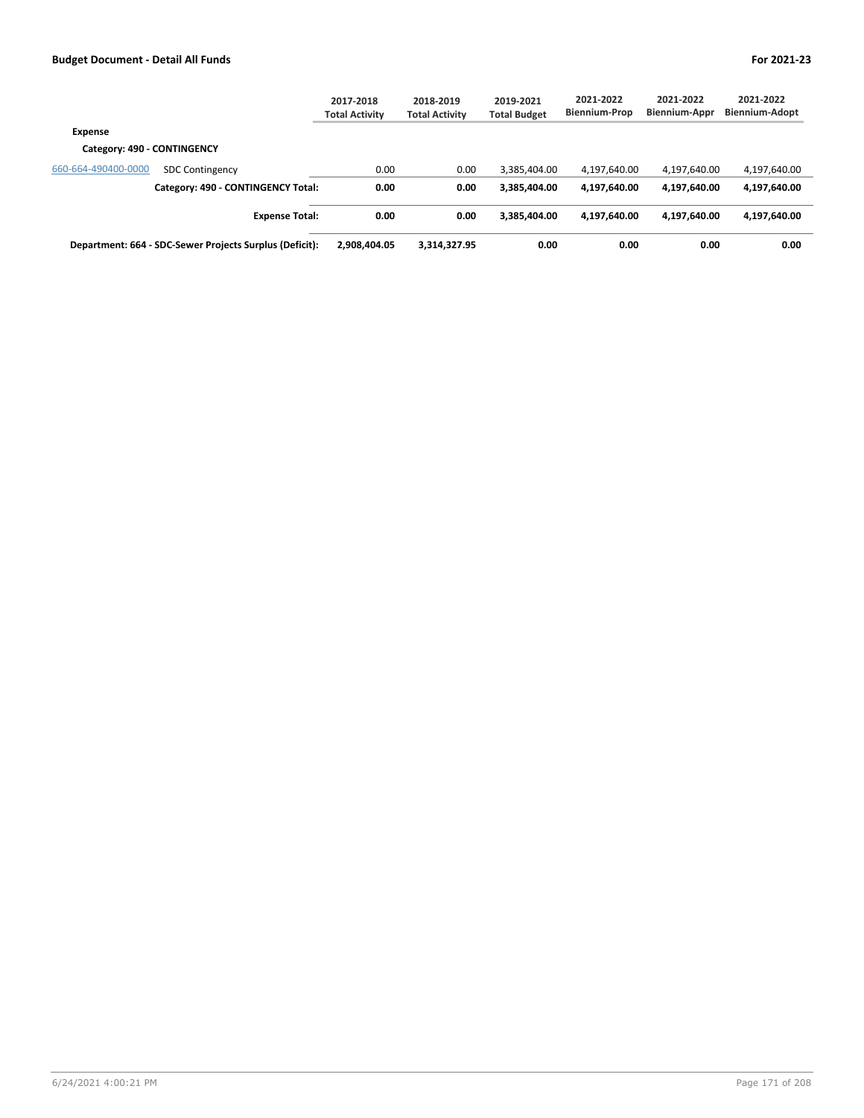|                             |                                                         | 2017-2018<br><b>Total Activity</b> | 2018-2019<br><b>Total Activity</b> | 2019-2021<br><b>Total Budget</b> | 2021-2022<br><b>Biennium-Prop</b> | 2021-2022<br><b>Biennium-Appr</b> | 2021-2022<br><b>Biennium-Adopt</b> |  |
|-----------------------------|---------------------------------------------------------|------------------------------------|------------------------------------|----------------------------------|-----------------------------------|-----------------------------------|------------------------------------|--|
| Expense                     |                                                         |                                    |                                    |                                  |                                   |                                   |                                    |  |
| Category: 490 - CONTINGENCY |                                                         |                                    |                                    |                                  |                                   |                                   |                                    |  |
| 660-664-490400-0000         | <b>SDC Contingency</b>                                  | 0.00                               | 0.00                               | 3.385.404.00                     | 4,197,640.00                      | 4,197,640.00                      | 4,197,640.00                       |  |
|                             | Category: 490 - CONTINGENCY Total:                      | 0.00                               | 0.00                               | 3.385.404.00                     | 4.197.640.00                      | 4,197,640.00                      | 4,197,640.00                       |  |
|                             | <b>Expense Total:</b>                                   | 0.00                               | 0.00                               | 3.385.404.00                     | 4,197,640.00                      | 4,197,640.00                      | 4,197,640.00                       |  |
|                             | Department: 664 - SDC-Sewer Projects Surplus (Deficit): | 2.908.404.05                       | 3,314,327.95                       | 0.00                             | 0.00                              | 0.00                              | 0.00                               |  |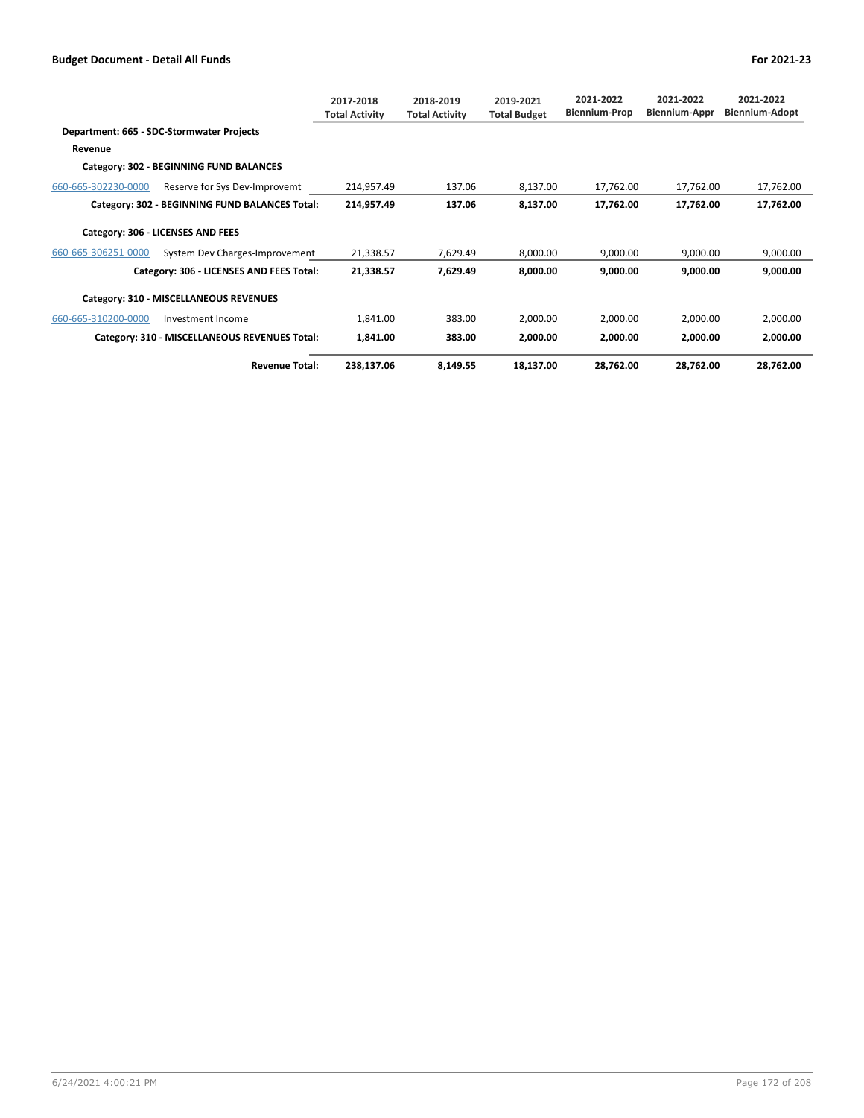|                     |                                                | 2017-2018<br><b>Total Activity</b> | 2018-2019<br><b>Total Activity</b> | 2019-2021<br><b>Total Budget</b> | 2021-2022<br><b>Biennium-Prop</b> | 2021-2022<br>Biennium-Appr | 2021-2022<br>Biennium-Adopt |
|---------------------|------------------------------------------------|------------------------------------|------------------------------------|----------------------------------|-----------------------------------|----------------------------|-----------------------------|
|                     | Department: 665 - SDC-Stormwater Projects      |                                    |                                    |                                  |                                   |                            |                             |
| Revenue             |                                                |                                    |                                    |                                  |                                   |                            |                             |
|                     | Category: 302 - BEGINNING FUND BALANCES        |                                    |                                    |                                  |                                   |                            |                             |
| 660-665-302230-0000 | Reserve for Sys Dev-Improvemt                  | 214,957.49                         | 137.06                             | 8,137.00                         | 17,762.00                         | 17,762.00                  | 17,762.00                   |
|                     | Category: 302 - BEGINNING FUND BALANCES Total: | 214,957.49                         | 137.06                             | 8,137.00                         | 17,762.00                         | 17,762.00                  | 17,762.00                   |
|                     | Category: 306 - LICENSES AND FEES              |                                    |                                    |                                  |                                   |                            |                             |
| 660-665-306251-0000 | System Dev Charges-Improvement                 | 21,338.57                          | 7,629.49                           | 8,000.00                         | 9,000.00                          | 9,000.00                   | 9,000.00                    |
|                     | Category: 306 - LICENSES AND FEES Total:       | 21,338.57                          | 7,629.49                           | 8,000.00                         | 9,000.00                          | 9,000.00                   | 9,000.00                    |
|                     | Category: 310 - MISCELLANEOUS REVENUES         |                                    |                                    |                                  |                                   |                            |                             |
| 660-665-310200-0000 | Investment Income                              | 1,841.00                           | 383.00                             | 2,000.00                         | 2,000.00                          | 2,000.00                   | 2,000.00                    |
|                     | Category: 310 - MISCELLANEOUS REVENUES Total:  | 1,841.00                           | 383.00                             | 2,000.00                         | 2,000.00                          | 2,000.00                   | 2,000.00                    |
|                     | <b>Revenue Total:</b>                          | 238,137.06                         | 8,149.55                           | 18,137.00                        | 28,762.00                         | 28,762.00                  | 28,762.00                   |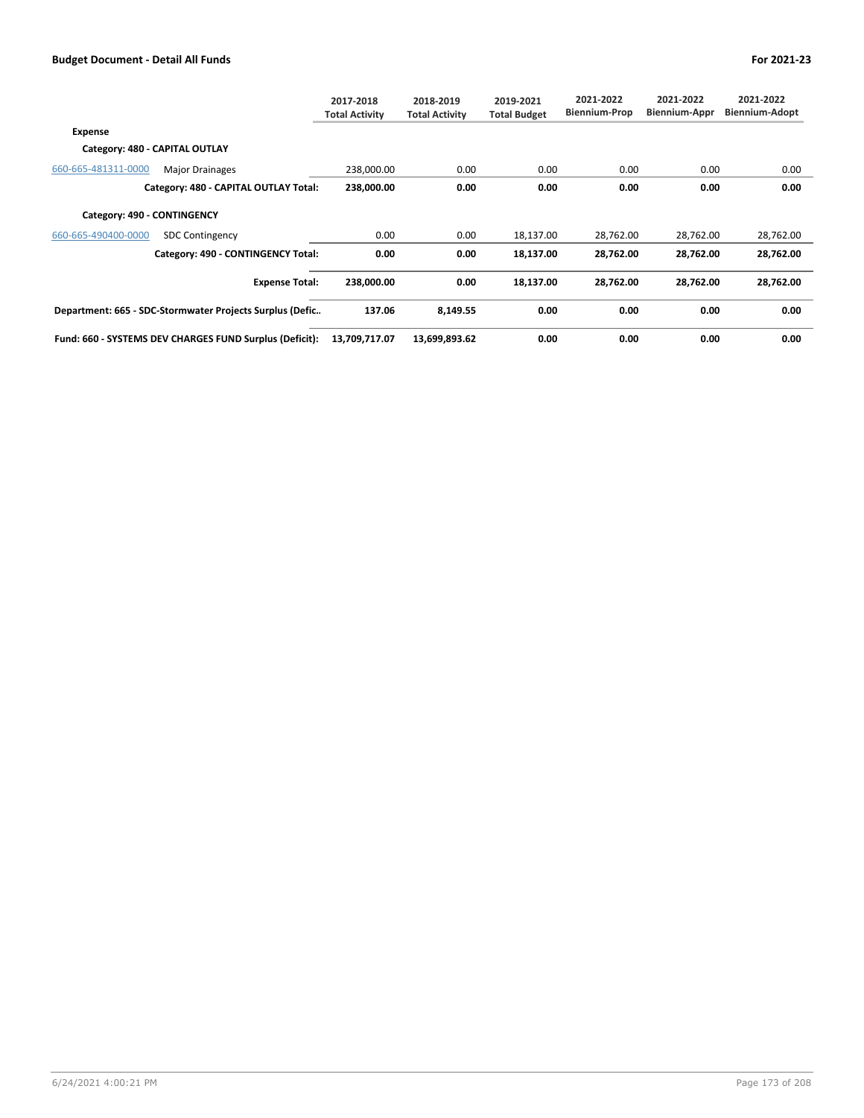|                                |                                                          | 2017-2018<br><b>Total Activity</b> | 2018-2019<br><b>Total Activity</b> | 2019-2021<br><b>Total Budget</b> | 2021-2022<br><b>Biennium-Prop</b> | 2021-2022<br>Biennium-Appr | 2021-2022<br><b>Biennium-Adopt</b> |
|--------------------------------|----------------------------------------------------------|------------------------------------|------------------------------------|----------------------------------|-----------------------------------|----------------------------|------------------------------------|
| <b>Expense</b>                 |                                                          |                                    |                                    |                                  |                                   |                            |                                    |
| Category: 480 - CAPITAL OUTLAY |                                                          |                                    |                                    |                                  |                                   |                            |                                    |
| 660-665-481311-0000            | <b>Major Drainages</b>                                   | 238,000.00                         | 0.00                               | 0.00                             | 0.00                              | 0.00                       | 0.00                               |
|                                | Category: 480 - CAPITAL OUTLAY Total:                    | 238,000.00                         | 0.00                               | 0.00                             | 0.00                              | 0.00                       | 0.00                               |
| Category: 490 - CONTINGENCY    |                                                          |                                    |                                    |                                  |                                   |                            |                                    |
| 660-665-490400-0000            | <b>SDC Contingency</b>                                   | 0.00                               | 0.00                               | 18,137.00                        | 28,762.00                         | 28,762.00                  | 28,762.00                          |
|                                | Category: 490 - CONTINGENCY Total:                       | 0.00                               | 0.00                               | 18,137.00                        | 28,762.00                         | 28,762.00                  | 28,762.00                          |
|                                | <b>Expense Total:</b>                                    | 238,000.00                         | 0.00                               | 18,137.00                        | 28,762.00                         | 28,762.00                  | 28,762.00                          |
|                                | Department: 665 - SDC-Stormwater Projects Surplus (Defic | 137.06                             | 8,149.55                           | 0.00                             | 0.00                              | 0.00                       | 0.00                               |
|                                | Fund: 660 - SYSTEMS DEV CHARGES FUND Surplus (Deficit):  | 13,709,717.07                      | 13,699,893.62                      | 0.00                             | 0.00                              | 0.00                       | 0.00                               |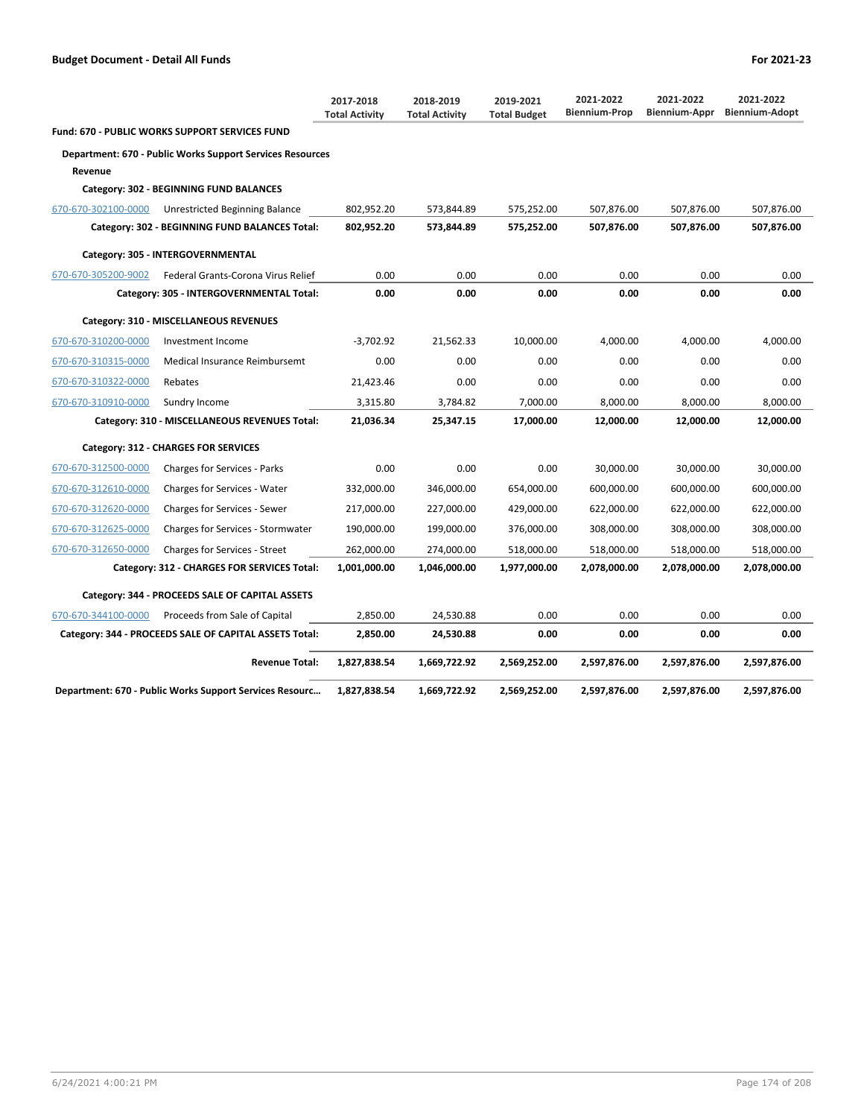|                     |                                                                  | 2017-2018<br><b>Total Activity</b> | 2018-2019<br><b>Total Activity</b> | 2019-2021<br><b>Total Budget</b> | 2021-2022<br><b>Biennium-Prop</b> | 2021-2022<br>Biennium-Appr | 2021-2022<br><b>Biennium-Adopt</b> |
|---------------------|------------------------------------------------------------------|------------------------------------|------------------------------------|----------------------------------|-----------------------------------|----------------------------|------------------------------------|
|                     | Fund: 670 - PUBLIC WORKS SUPPORT SERVICES FUND                   |                                    |                                    |                                  |                                   |                            |                                    |
|                     | <b>Department: 670 - Public Works Support Services Resources</b> |                                    |                                    |                                  |                                   |                            |                                    |
| Revenue             |                                                                  |                                    |                                    |                                  |                                   |                            |                                    |
|                     | Category: 302 - BEGINNING FUND BALANCES                          |                                    |                                    |                                  |                                   |                            |                                    |
| 670-670-302100-0000 | Unrestricted Beginning Balance                                   | 802,952.20                         | 573,844.89                         | 575,252.00                       | 507,876.00                        | 507,876.00                 | 507,876.00                         |
|                     | Category: 302 - BEGINNING FUND BALANCES Total:                   | 802,952.20                         | 573,844.89                         | 575,252.00                       | 507,876.00                        | 507,876.00                 | 507,876.00                         |
|                     | Category: 305 - INTERGOVERNMENTAL                                |                                    |                                    |                                  |                                   |                            |                                    |
| 670-670-305200-9002 | Federal Grants-Corona Virus Relief                               | 0.00                               | 0.00                               | 0.00                             | 0.00                              | 0.00                       | 0.00                               |
|                     | Category: 305 - INTERGOVERNMENTAL Total:                         | 0.00                               | 0.00                               | 0.00                             | 0.00                              | 0.00                       | 0.00                               |
|                     | Category: 310 - MISCELLANEOUS REVENUES                           |                                    |                                    |                                  |                                   |                            |                                    |
| 670-670-310200-0000 | Investment Income                                                | $-3,702.92$                        | 21,562.33                          | 10,000.00                        | 4,000.00                          | 4,000.00                   | 4,000.00                           |
| 670-670-310315-0000 | Medical Insurance Reimbursemt                                    | 0.00                               | 0.00                               | 0.00                             | 0.00                              | 0.00                       | 0.00                               |
| 670-670-310322-0000 | Rebates                                                          | 21,423.46                          | 0.00                               | 0.00                             | 0.00                              | 0.00                       | 0.00                               |
| 670-670-310910-0000 | Sundry Income                                                    | 3,315.80                           | 3,784.82                           | 7,000.00                         | 8,000.00                          | 8,000.00                   | 8,000.00                           |
|                     | Category: 310 - MISCELLANEOUS REVENUES Total:                    | 21,036.34                          | 25,347.15                          | 17,000.00                        | 12,000.00                         | 12,000.00                  | 12,000.00                          |
|                     | Category: 312 - CHARGES FOR SERVICES                             |                                    |                                    |                                  |                                   |                            |                                    |
| 670-670-312500-0000 | <b>Charges for Services - Parks</b>                              | 0.00                               | 0.00                               | 0.00                             | 30,000.00                         | 30,000.00                  | 30,000.00                          |
| 670-670-312610-0000 | Charges for Services - Water                                     | 332,000.00                         | 346,000.00                         | 654,000.00                       | 600,000.00                        | 600,000.00                 | 600,000.00                         |
| 670-670-312620-0000 | Charges for Services - Sewer                                     | 217,000.00                         | 227,000.00                         | 429,000.00                       | 622,000.00                        | 622,000.00                 | 622,000.00                         |
| 670-670-312625-0000 | Charges for Services - Stormwater                                | 190,000.00                         | 199,000.00                         | 376,000.00                       | 308,000.00                        | 308,000.00                 | 308,000.00                         |
| 670-670-312650-0000 | Charges for Services - Street                                    | 262,000.00                         | 274,000.00                         | 518,000.00                       | 518,000.00                        | 518,000.00                 | 518,000.00                         |
|                     | Category: 312 - CHARGES FOR SERVICES Total:                      | 1,001,000.00                       | 1,046,000.00                       | 1,977,000.00                     | 2,078,000.00                      | 2,078,000.00               | 2,078,000.00                       |
|                     | Category: 344 - PROCEEDS SALE OF CAPITAL ASSETS                  |                                    |                                    |                                  |                                   |                            |                                    |
| 670-670-344100-0000 | Proceeds from Sale of Capital                                    | 2,850.00                           | 24,530.88                          | 0.00                             | 0.00                              | 0.00                       | 0.00                               |
|                     | Category: 344 - PROCEEDS SALE OF CAPITAL ASSETS Total:           | 2,850.00                           | 24,530.88                          | 0.00                             | 0.00                              | 0.00                       | 0.00                               |
|                     | <b>Revenue Total:</b>                                            | 1,827,838.54                       | 1,669,722.92                       | 2,569,252.00                     | 2,597,876.00                      | 2,597,876.00               | 2,597,876.00                       |
|                     | Department: 670 - Public Works Support Services Resourc          | 1,827,838.54                       | 1,669,722.92                       | 2,569,252.00                     | 2,597,876.00                      | 2,597,876.00               | 2,597,876.00                       |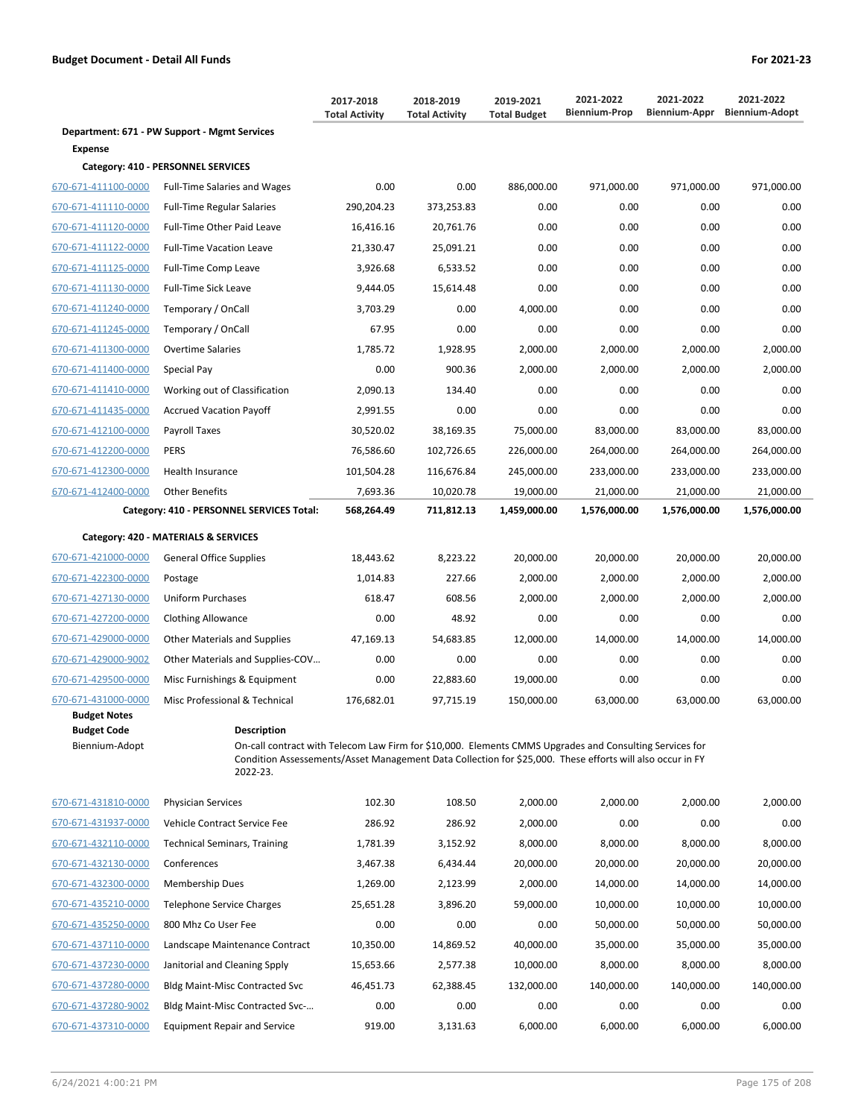|                                      |                                                                                                                                                                                                                                                        | 2017-2018<br><b>Total Activity</b> | 2018-2019<br><b>Total Activity</b> | 2019-2021<br><b>Total Budget</b> | 2021-2022<br><b>Biennium-Prop</b> | 2021-2022<br><b>Biennium-Appr</b> | 2021-2022<br><b>Biennium-Adopt</b> |
|--------------------------------------|--------------------------------------------------------------------------------------------------------------------------------------------------------------------------------------------------------------------------------------------------------|------------------------------------|------------------------------------|----------------------------------|-----------------------------------|-----------------------------------|------------------------------------|
| <b>Expense</b>                       | Department: 671 - PW Support - Mgmt Services                                                                                                                                                                                                           |                                    |                                    |                                  |                                   |                                   |                                    |
|                                      | Category: 410 - PERSONNEL SERVICES                                                                                                                                                                                                                     |                                    |                                    |                                  |                                   |                                   |                                    |
| 670-671-411100-0000                  | <b>Full-Time Salaries and Wages</b>                                                                                                                                                                                                                    | 0.00                               | 0.00                               | 886,000.00                       | 971,000.00                        | 971,000.00                        | 971,000.00                         |
| 670-671-411110-0000                  | <b>Full-Time Regular Salaries</b>                                                                                                                                                                                                                      | 290,204.23                         | 373,253.83                         | 0.00                             | 0.00                              | 0.00                              | 0.00                               |
| 670-671-411120-0000                  | Full-Time Other Paid Leave                                                                                                                                                                                                                             | 16,416.16                          | 20,761.76                          | 0.00                             | 0.00                              | 0.00                              | 0.00                               |
| 670-671-411122-0000                  | <b>Full-Time Vacation Leave</b>                                                                                                                                                                                                                        | 21,330.47                          | 25,091.21                          | 0.00                             | 0.00                              | 0.00                              | 0.00                               |
| 670-671-411125-0000                  | Full-Time Comp Leave                                                                                                                                                                                                                                   | 3,926.68                           | 6,533.52                           | 0.00                             | 0.00                              | 0.00                              | 0.00                               |
| 670-671-411130-0000                  | <b>Full-Time Sick Leave</b>                                                                                                                                                                                                                            | 9,444.05                           | 15,614.48                          | 0.00                             | 0.00                              | 0.00                              | 0.00                               |
| 670-671-411240-0000                  | Temporary / OnCall                                                                                                                                                                                                                                     | 3,703.29                           | 0.00                               | 4,000.00                         | 0.00                              | 0.00                              | 0.00                               |
| 670-671-411245-0000                  | Temporary / OnCall                                                                                                                                                                                                                                     | 67.95                              | 0.00                               | 0.00                             | 0.00                              | 0.00                              | 0.00                               |
| 670-671-411300-0000                  | <b>Overtime Salaries</b>                                                                                                                                                                                                                               | 1,785.72                           | 1,928.95                           | 2,000.00                         | 2,000.00                          | 2,000.00                          | 2,000.00                           |
| 670-671-411400-0000                  | Special Pay                                                                                                                                                                                                                                            | 0.00                               | 900.36                             | 2,000.00                         | 2,000.00                          | 2,000.00                          | 2,000.00                           |
| 670-671-411410-0000                  | Working out of Classification                                                                                                                                                                                                                          | 2,090.13                           | 134.40                             | 0.00                             | 0.00                              | 0.00                              | 0.00                               |
| 670-671-411435-0000                  | <b>Accrued Vacation Payoff</b>                                                                                                                                                                                                                         | 2,991.55                           | 0.00                               | 0.00                             | 0.00                              | 0.00                              | 0.00                               |
| 670-671-412100-0000                  | Payroll Taxes                                                                                                                                                                                                                                          | 30,520.02                          | 38,169.35                          | 75,000.00                        | 83,000.00                         | 83,000.00                         | 83,000.00                          |
| 670-671-412200-0000                  | <b>PERS</b>                                                                                                                                                                                                                                            | 76,586.60                          | 102,726.65                         | 226,000.00                       | 264,000.00                        | 264,000.00                        | 264,000.00                         |
| 670-671-412300-0000                  | <b>Health Insurance</b>                                                                                                                                                                                                                                | 101,504.28                         | 116,676.84                         | 245,000.00                       | 233,000.00                        | 233,000.00                        | 233,000.00                         |
| 670-671-412400-0000                  | <b>Other Benefits</b>                                                                                                                                                                                                                                  | 7,693.36                           | 10,020.78                          | 19,000.00                        | 21,000.00                         | 21,000.00                         | 21,000.00                          |
|                                      | Category: 410 - PERSONNEL SERVICES Total:                                                                                                                                                                                                              | 568,264.49                         | 711,812.13                         | 1,459,000.00                     | 1,576,000.00                      | 1,576,000.00                      | 1,576,000.00                       |
|                                      | Category: 420 - MATERIALS & SERVICES                                                                                                                                                                                                                   |                                    |                                    |                                  |                                   |                                   |                                    |
| 670-671-421000-0000                  | General Office Supplies                                                                                                                                                                                                                                | 18,443.62                          | 8,223.22                           | 20,000.00                        | 20,000.00                         | 20,000.00                         | 20,000.00                          |
| 670-671-422300-0000                  | Postage                                                                                                                                                                                                                                                | 1,014.83                           | 227.66                             | 2,000.00                         | 2,000.00                          | 2,000.00                          | 2,000.00                           |
| 670-671-427130-0000                  | Uniform Purchases                                                                                                                                                                                                                                      | 618.47                             | 608.56                             | 2,000.00                         | 2,000.00                          | 2,000.00                          | 2,000.00                           |
| 670-671-427200-0000                  | <b>Clothing Allowance</b>                                                                                                                                                                                                                              | 0.00                               | 48.92                              | 0.00                             | 0.00                              | 0.00                              | 0.00                               |
| 670-671-429000-0000                  | Other Materials and Supplies                                                                                                                                                                                                                           | 47,169.13                          | 54,683.85                          | 12,000.00                        | 14,000.00                         | 14,000.00                         | 14,000.00                          |
| 670-671-429000-9002                  | Other Materials and Supplies-COV                                                                                                                                                                                                                       | 0.00                               | 0.00                               | 0.00                             | 0.00                              | 0.00                              | 0.00                               |
| 670-671-429500-0000                  | Misc Furnishings & Equipment                                                                                                                                                                                                                           | 0.00                               | 22,883.60                          | 19,000.00                        | 0.00                              | 0.00                              | 0.00                               |
| <u>670-671-431000-0000</u>           | Misc Professional & Technical                                                                                                                                                                                                                          | 176,682.01                         | 97,715.19                          | 150,000.00                       | 63,000.00                         | 63,000.00                         | 63,000.00                          |
| <b>Budget Notes</b>                  |                                                                                                                                                                                                                                                        |                                    |                                    |                                  |                                   |                                   |                                    |
| <b>Budget Code</b><br>Biennium-Adopt | <b>Description</b><br>On-call contract with Telecom Law Firm for \$10,000. Elements CMMS Upgrades and Consulting Services for<br>Condition Assessements/Asset Management Data Collection for \$25,000. These efforts will also occur in FY<br>2022-23. |                                    |                                    |                                  |                                   |                                   |                                    |
| 670-671-431810-0000                  | <b>Physician Services</b>                                                                                                                                                                                                                              | 102.30                             | 108.50                             | 2,000.00                         | 2,000.00                          | 2,000.00                          | 2,000.00                           |
| 670-671-431937-0000                  | Vehicle Contract Service Fee                                                                                                                                                                                                                           | 286.92                             | 286.92                             | 2,000.00                         | 0.00                              | 0.00                              | 0.00                               |
| 670-671-432110-0000                  | <b>Technical Seminars, Training</b>                                                                                                                                                                                                                    | 1,781.39                           | 3,152.92                           | 8,000.00                         | 8,000.00                          | 8,000.00                          | 8,000.00                           |
| 670-671-432130-0000                  | Conferences                                                                                                                                                                                                                                            | 3,467.38                           | 6,434.44                           | 20,000.00                        | 20,000.00                         | 20,000.00                         | 20,000.00                          |
| 670-671-432300-0000                  | <b>Membership Dues</b>                                                                                                                                                                                                                                 | 1,269.00                           | 2,123.99                           | 2,000.00                         | 14,000.00                         | 14,000.00                         | 14,000.00                          |
| 670-671-435210-0000                  | Telephone Service Charges                                                                                                                                                                                                                              | 25,651.28                          | 3,896.20                           | 59,000.00                        | 10,000.00                         | 10,000.00                         | 10,000.00                          |
| 670-671-435250-0000                  | 800 Mhz Co User Fee                                                                                                                                                                                                                                    | 0.00                               | 0.00                               | 0.00                             | 50,000.00                         | 50,000.00                         | 50,000.00                          |
| 670-671-437110-0000                  | Landscape Maintenance Contract                                                                                                                                                                                                                         | 10,350.00                          | 14,869.52                          | 40,000.00                        | 35,000.00                         | 35,000.00                         | 35,000.00                          |

670-671-437230-0000 Janitorial and Cleaning Spply 15,653.66 2,577.38 10,000.00 8,000.00 8,000.00 8,000.00 670-671-437280-0000 Bldg Maint-Misc Contracted Svc 46,451.73 62,388.45 132,000.00 140,000.00 140,000.00 140,000.00 670-671-437280-9002 Bldg Maint-Misc Contracted Svc-… 0.00 0.00 0.00 0.00 0.00 0.00 670-671-437310-0000 Equipment Repair and Service 919.00 3,131.63 6,000.00 6,000.00 6,000.00 6,000.00

6/24/2021 4:00:21 PM Page 175 of 208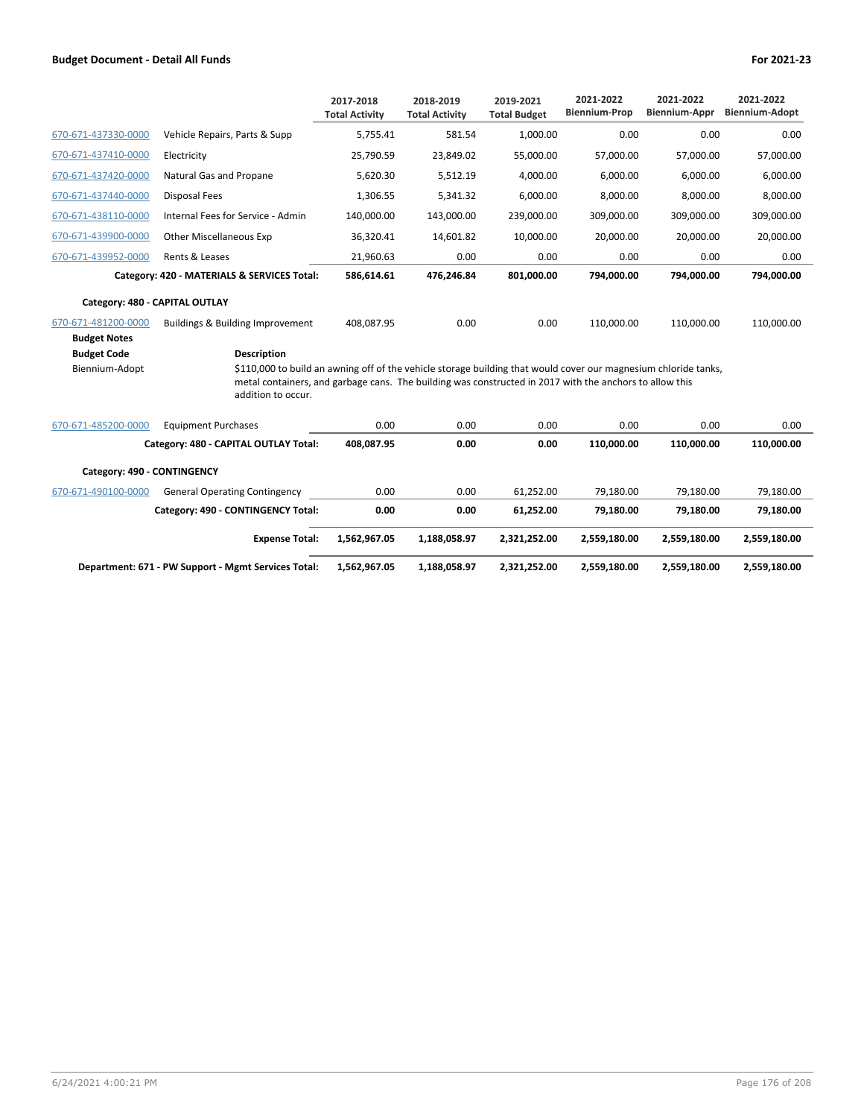|                                                             |                                                                                                                                                                                                                                                                        | 2017-2018<br><b>Total Activity</b> | 2018-2019<br><b>Total Activity</b> | 2019-2021<br><b>Total Budget</b> | 2021-2022<br><b>Biennium-Prop</b> | 2021-2022<br><b>Biennium-Appr</b> | 2021-2022<br><b>Biennium-Adopt</b> |  |
|-------------------------------------------------------------|------------------------------------------------------------------------------------------------------------------------------------------------------------------------------------------------------------------------------------------------------------------------|------------------------------------|------------------------------------|----------------------------------|-----------------------------------|-----------------------------------|------------------------------------|--|
| 670-671-437330-0000                                         | Vehicle Repairs, Parts & Supp                                                                                                                                                                                                                                          | 5,755.41                           | 581.54                             | 1,000.00                         | 0.00                              | 0.00                              | 0.00                               |  |
| 670-671-437410-0000                                         | Electricity                                                                                                                                                                                                                                                            | 25,790.59                          | 23,849.02                          | 55,000.00                        | 57,000.00                         | 57,000.00                         | 57,000.00                          |  |
| 670-671-437420-0000                                         | Natural Gas and Propane                                                                                                                                                                                                                                                | 5,620.30                           | 5,512.19                           | 4,000.00                         | 6,000.00                          | 6,000.00                          | 6,000.00                           |  |
| 670-671-437440-0000                                         | Disposal Fees                                                                                                                                                                                                                                                          | 1,306.55                           | 5,341.32                           | 6.000.00                         | 8.000.00                          | 8,000.00                          | 8,000.00                           |  |
| 670-671-438110-0000                                         | Internal Fees for Service - Admin                                                                                                                                                                                                                                      | 140,000.00                         | 143,000.00                         | 239,000.00                       | 309,000.00                        | 309,000.00                        | 309,000.00                         |  |
| 670-671-439900-0000                                         | <b>Other Miscellaneous Exp</b>                                                                                                                                                                                                                                         | 36,320.41                          | 14,601.82                          | 10,000.00                        | 20,000.00                         | 20,000.00                         | 20,000.00                          |  |
| 670-671-439952-0000                                         | Rents & Leases                                                                                                                                                                                                                                                         | 21,960.63                          | 0.00                               | 0.00                             | 0.00                              | 0.00                              | 0.00                               |  |
|                                                             | Category: 420 - MATERIALS & SERVICES Total:                                                                                                                                                                                                                            | 586,614.61                         | 476,246.84                         | 801,000.00                       | 794,000.00                        | 794,000.00                        | 794,000.00                         |  |
| Category: 480 - CAPITAL OUTLAY                              |                                                                                                                                                                                                                                                                        |                                    |                                    |                                  |                                   |                                   |                                    |  |
| 670-671-481200-0000                                         | Buildings & Building Improvement                                                                                                                                                                                                                                       | 408,087.95                         | 0.00                               | 0.00                             | 110,000.00                        | 110,000.00                        | 110,000.00                         |  |
| <b>Budget Notes</b><br><b>Budget Code</b><br>Biennium-Adopt | <b>Description</b><br>\$110,000 to build an awning off of the vehicle storage building that would cover our magnesium chloride tanks,<br>metal containers, and garbage cans. The building was constructed in 2017 with the anchors to allow this<br>addition to occur. |                                    |                                    |                                  |                                   |                                   |                                    |  |
| 670-671-485200-0000                                         | <b>Equipment Purchases</b>                                                                                                                                                                                                                                             | 0.00                               | 0.00                               | 0.00                             | 0.00                              | 0.00                              | 0.00                               |  |
|                                                             | Category: 480 - CAPITAL OUTLAY Total:                                                                                                                                                                                                                                  | 408,087.95                         | 0.00                               | 0.00                             | 110,000.00                        | 110,000.00                        | 110,000.00                         |  |
| Category: 490 - CONTINGENCY                                 |                                                                                                                                                                                                                                                                        |                                    |                                    |                                  |                                   |                                   |                                    |  |
| 670-671-490100-0000                                         | <b>General Operating Contingency</b>                                                                                                                                                                                                                                   | 0.00                               | 0.00                               | 61,252.00                        | 79,180.00                         | 79,180.00                         | 79,180.00                          |  |
|                                                             | Category: 490 - CONTINGENCY Total:                                                                                                                                                                                                                                     | 0.00                               | 0.00                               | 61,252.00                        | 79,180.00                         | 79,180.00                         | 79,180.00                          |  |
|                                                             | <b>Expense Total:</b>                                                                                                                                                                                                                                                  | 1,562,967.05                       | 1,188,058.97                       | 2,321,252.00                     | 2,559,180.00                      | 2,559,180.00                      | 2,559,180.00                       |  |
|                                                             | Department: 671 - PW Support - Mgmt Services Total:                                                                                                                                                                                                                    | 1,562,967.05                       | 1,188,058.97                       | 2,321,252.00                     | 2,559,180.00                      | 2,559,180.00                      | 2,559,180.00                       |  |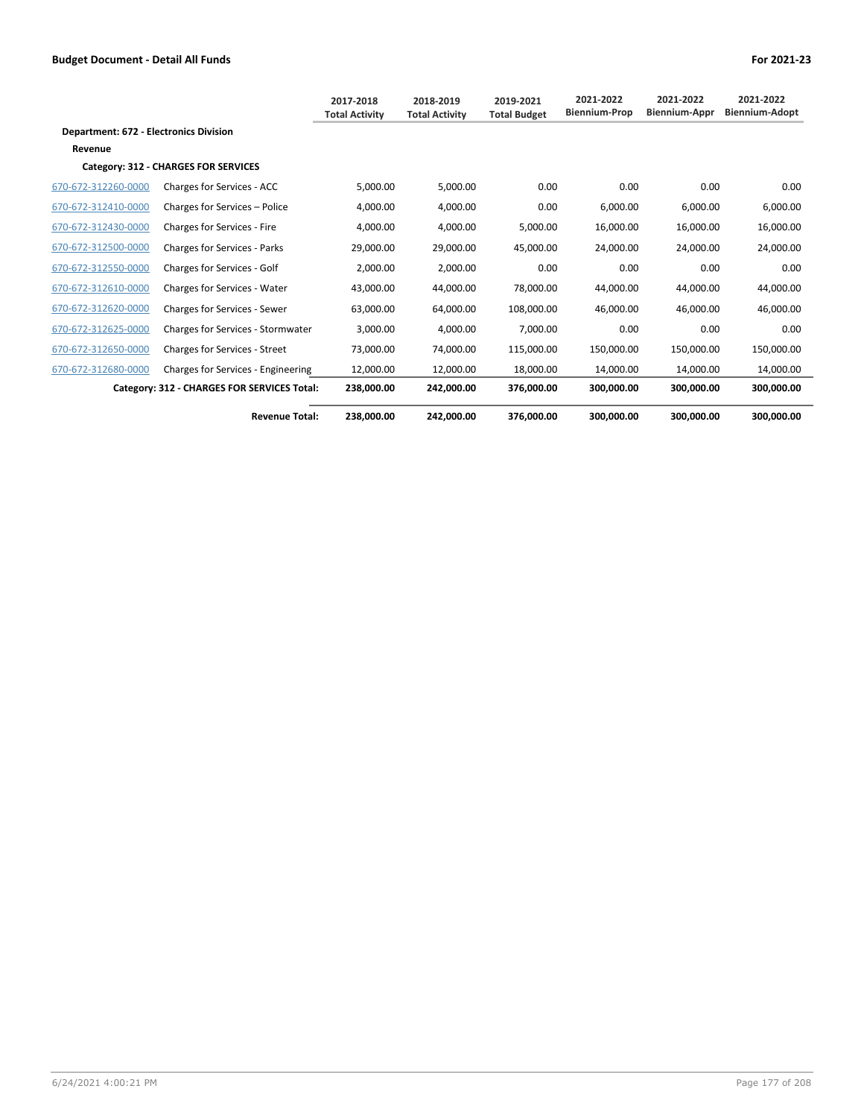|                                               |                                             | 2017-2018<br><b>Total Activity</b> | 2018-2019<br><b>Total Activity</b> | 2019-2021<br><b>Total Budget</b> | 2021-2022<br><b>Biennium-Prop</b> | 2021-2022<br><b>Biennium-Appr</b> | 2021-2022<br><b>Biennium-Adopt</b> |
|-----------------------------------------------|---------------------------------------------|------------------------------------|------------------------------------|----------------------------------|-----------------------------------|-----------------------------------|------------------------------------|
| <b>Department: 672 - Electronics Division</b> |                                             |                                    |                                    |                                  |                                   |                                   |                                    |
| Revenue                                       |                                             |                                    |                                    |                                  |                                   |                                   |                                    |
|                                               | Category: 312 - CHARGES FOR SERVICES        |                                    |                                    |                                  |                                   |                                   |                                    |
| 670-672-312260-0000                           | Charges for Services - ACC                  | 5,000.00                           | 5,000.00                           | 0.00                             | 0.00                              | 0.00                              | 0.00                               |
| 670-672-312410-0000                           | Charges for Services - Police               | 4,000.00                           | 4,000.00                           | 0.00                             | 6,000.00                          | 6,000.00                          | 6,000.00                           |
| 670-672-312430-0000                           | Charges for Services - Fire                 | 4,000.00                           | 4,000.00                           | 5,000.00                         | 16,000.00                         | 16,000.00                         | 16,000.00                          |
| 670-672-312500-0000                           | <b>Charges for Services - Parks</b>         | 29,000.00                          | 29,000.00                          | 45,000.00                        | 24,000.00                         | 24,000.00                         | 24,000.00                          |
| 670-672-312550-0000                           | Charges for Services - Golf                 | 2,000.00                           | 2,000.00                           | 0.00                             | 0.00                              | 0.00                              | 0.00                               |
| 670-672-312610-0000                           | <b>Charges for Services - Water</b>         | 43.000.00                          | 44,000.00                          | 78,000.00                        | 44.000.00                         | 44.000.00                         | 44,000.00                          |
| 670-672-312620-0000                           | Charges for Services - Sewer                | 63,000.00                          | 64,000.00                          | 108,000.00                       | 46,000.00                         | 46,000.00                         | 46,000.00                          |
| 670-672-312625-0000                           | Charges for Services - Stormwater           | 3,000.00                           | 4,000.00                           | 7,000.00                         | 0.00                              | 0.00                              | 0.00                               |
| 670-672-312650-0000                           | <b>Charges for Services - Street</b>        | 73,000.00                          | 74,000.00                          | 115,000.00                       | 150,000.00                        | 150,000.00                        | 150,000.00                         |
| 670-672-312680-0000                           | Charges for Services - Engineering          | 12,000.00                          | 12,000.00                          | 18,000.00                        | 14,000.00                         | 14,000.00                         | 14,000.00                          |
|                                               | Category: 312 - CHARGES FOR SERVICES Total: | 238,000.00                         | 242,000.00                         | 376,000.00                       | 300,000.00                        | 300,000.00                        | 300,000.00                         |
|                                               | <b>Revenue Total:</b>                       | 238.000.00                         | 242.000.00                         | 376.000.00                       | 300.000.00                        | 300.000.00                        | 300.000.00                         |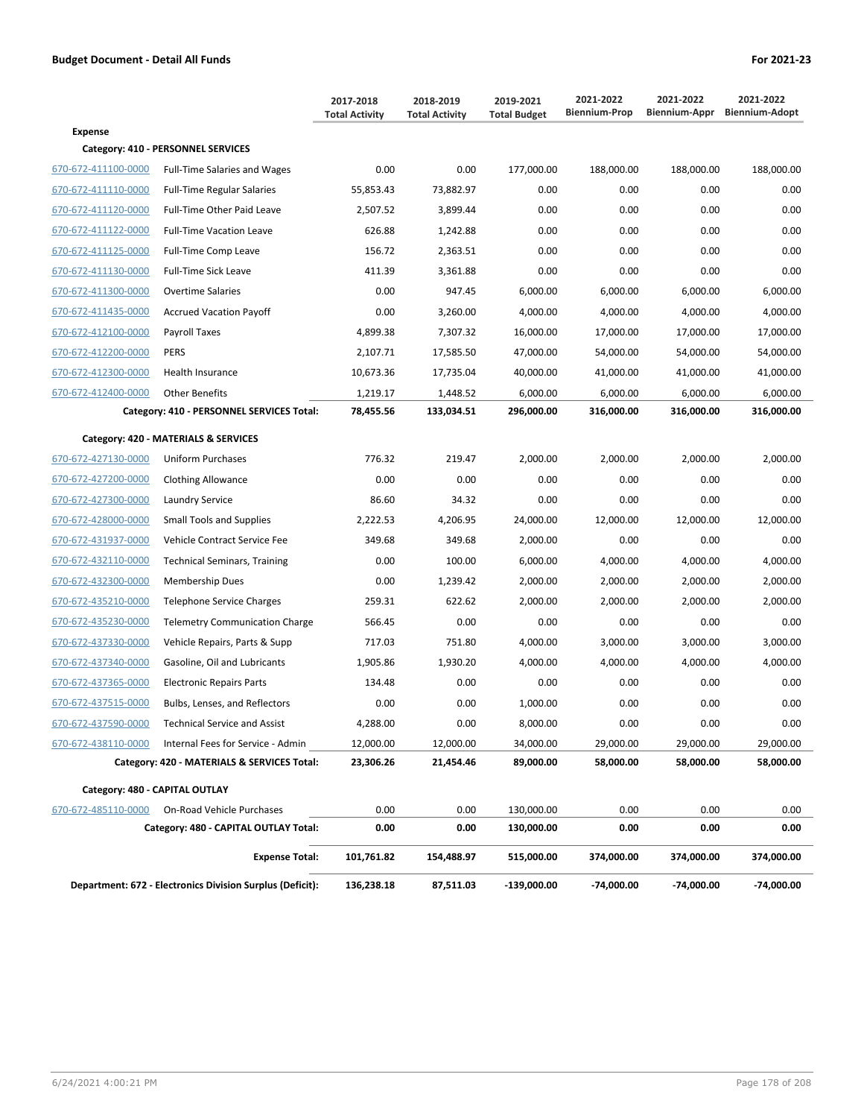|                                |                                                           | 2017-2018<br><b>Total Activity</b> | 2018-2019<br><b>Total Activity</b> | 2019-2021<br><b>Total Budget</b> | 2021-2022<br><b>Biennium-Prop</b> | 2021-2022<br>Biennium-Appr | 2021-2022<br><b>Biennium-Adopt</b> |
|--------------------------------|-----------------------------------------------------------|------------------------------------|------------------------------------|----------------------------------|-----------------------------------|----------------------------|------------------------------------|
| <b>Expense</b>                 |                                                           |                                    |                                    |                                  |                                   |                            |                                    |
|                                | Category: 410 - PERSONNEL SERVICES                        |                                    |                                    |                                  |                                   |                            |                                    |
| 670-672-411100-0000            | <b>Full-Time Salaries and Wages</b>                       | 0.00                               | 0.00                               | 177,000.00                       | 188,000.00                        | 188,000.00                 | 188,000.00                         |
| 670-672-411110-0000            | <b>Full-Time Regular Salaries</b>                         | 55,853.43                          | 73,882.97                          | 0.00                             | 0.00                              | 0.00                       | 0.00                               |
| 670-672-411120-0000            | Full-Time Other Paid Leave                                | 2,507.52                           | 3,899.44                           | 0.00                             | 0.00                              | 0.00                       | 0.00                               |
| 670-672-411122-0000            | <b>Full-Time Vacation Leave</b>                           | 626.88                             | 1,242.88                           | 0.00                             | 0.00                              | 0.00                       | 0.00                               |
| 670-672-411125-0000            | Full-Time Comp Leave                                      | 156.72                             | 2,363.51                           | 0.00                             | 0.00                              | 0.00                       | 0.00                               |
| 670-672-411130-0000            | Full-Time Sick Leave                                      | 411.39                             | 3,361.88                           | 0.00                             | 0.00                              | 0.00                       | 0.00                               |
| 670-672-411300-0000            | <b>Overtime Salaries</b>                                  | 0.00                               | 947.45                             | 6,000.00                         | 6,000.00                          | 6,000.00                   | 6,000.00                           |
| 670-672-411435-0000            | <b>Accrued Vacation Payoff</b>                            | 0.00                               | 3,260.00                           | 4,000.00                         | 4,000.00                          | 4,000.00                   | 4,000.00                           |
| 670-672-412100-0000            | Payroll Taxes                                             | 4,899.38                           | 7,307.32                           | 16,000.00                        | 17,000.00                         | 17,000.00                  | 17,000.00                          |
| 670-672-412200-0000            | PERS                                                      | 2,107.71                           | 17,585.50                          | 47,000.00                        | 54,000.00                         | 54,000.00                  | 54,000.00                          |
| 670-672-412300-0000            | Health Insurance                                          | 10,673.36                          | 17,735.04                          | 40,000.00                        | 41,000.00                         | 41,000.00                  | 41,000.00                          |
| 670-672-412400-0000            | <b>Other Benefits</b>                                     | 1,219.17                           | 1,448.52                           | 6,000.00                         | 6,000.00                          | 6,000.00                   | 6,000.00                           |
|                                | Category: 410 - PERSONNEL SERVICES Total:                 | 78,455.56                          | 133,034.51                         | 296.000.00                       | 316,000.00                        | 316,000.00                 | 316,000.00                         |
|                                | Category: 420 - MATERIALS & SERVICES                      |                                    |                                    |                                  |                                   |                            |                                    |
| 670-672-427130-0000            | Uniform Purchases                                         | 776.32                             | 219.47                             | 2,000.00                         | 2,000.00                          | 2,000.00                   | 2,000.00                           |
| 670-672-427200-0000            | <b>Clothing Allowance</b>                                 | 0.00                               | 0.00                               | 0.00                             | 0.00                              | 0.00                       | 0.00                               |
| 670-672-427300-0000            | Laundry Service                                           | 86.60                              | 34.32                              | 0.00                             | 0.00                              | 0.00                       | 0.00                               |
| 670-672-428000-0000            | <b>Small Tools and Supplies</b>                           | 2,222.53                           | 4,206.95                           | 24,000.00                        | 12,000.00                         | 12,000.00                  | 12,000.00                          |
| 670-672-431937-0000            | Vehicle Contract Service Fee                              | 349.68                             | 349.68                             | 2,000.00                         | 0.00                              | 0.00                       | 0.00                               |
| 670-672-432110-0000            | <b>Technical Seminars, Training</b>                       | 0.00                               | 100.00                             | 6,000.00                         | 4,000.00                          | 4,000.00                   | 4,000.00                           |
| 670-672-432300-0000            | Membership Dues                                           | 0.00                               | 1,239.42                           | 2,000.00                         | 2,000.00                          | 2,000.00                   | 2,000.00                           |
| 670-672-435210-0000            | Telephone Service Charges                                 | 259.31                             | 622.62                             | 2,000.00                         | 2,000.00                          | 2,000.00                   | 2,000.00                           |
| 670-672-435230-0000            | <b>Telemetry Communication Charge</b>                     | 566.45                             | 0.00                               | 0.00                             | 0.00                              | 0.00                       | 0.00                               |
| 670-672-437330-0000            | Vehicle Repairs, Parts & Supp                             | 717.03                             | 751.80                             | 4,000.00                         | 3,000.00                          | 3,000.00                   | 3.000.00                           |
| 670-672-437340-0000            | Gasoline, Oil and Lubricants                              | 1,905.86                           | 1,930.20                           | 4,000.00                         | 4,000.00                          | 4,000.00                   | 4,000.00                           |
| 670-672-437365-0000            | <b>Electronic Repairs Parts</b>                           | 134.48                             | 0.00                               | 0.00                             | 0.00                              | 0.00                       | 0.00                               |
| 670-672-437515-0000            | Bulbs, Lenses, and Reflectors                             | 0.00                               | 0.00                               | 1,000.00                         | 0.00                              | 0.00                       | 0.00                               |
| 670-672-437590-0000            | <b>Technical Service and Assist</b>                       | 4,288.00                           | 0.00                               | 8,000.00                         | 0.00                              | 0.00                       | 0.00                               |
| 670-672-438110-0000            | Internal Fees for Service - Admin                         | 12,000.00                          | 12,000.00                          | 34,000.00                        | 29,000.00                         | 29,000.00                  | 29,000.00                          |
|                                | Category: 420 - MATERIALS & SERVICES Total:               | 23,306.26                          | 21,454.46                          | 89,000.00                        | 58,000.00                         | 58,000.00                  | 58,000.00                          |
| Category: 480 - CAPITAL OUTLAY |                                                           |                                    |                                    |                                  |                                   |                            |                                    |
| 670-672-485110-0000            | On-Road Vehicle Purchases                                 | 0.00                               | 0.00                               |                                  | 0.00                              | 0.00                       | 0.00                               |
|                                | Category: 480 - CAPITAL OUTLAY Total:                     | 0.00                               | 0.00                               | 130,000.00<br>130,000.00         | 0.00                              | 0.00                       | 0.00                               |
|                                |                                                           |                                    |                                    |                                  |                                   |                            |                                    |
|                                | <b>Expense Total:</b>                                     | 101,761.82                         | 154,488.97                         | 515,000.00                       | 374,000.00                        | 374,000.00                 | 374,000.00                         |
|                                | Department: 672 - Electronics Division Surplus (Deficit): |                                    | 87,511.03                          | -139,000.00                      | -74,000.00                        | -74,000.00                 | -74,000.00                         |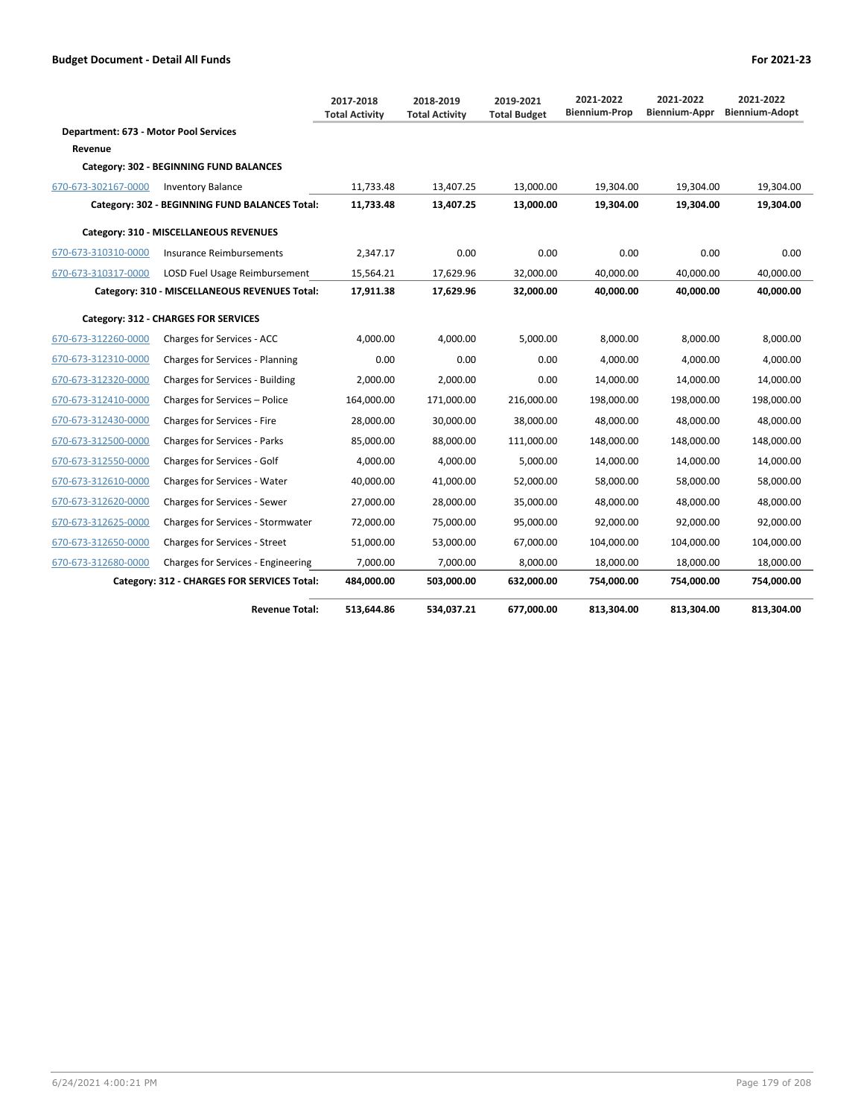|                                       |                                                | 2017-2018<br><b>Total Activity</b> | 2018-2019<br><b>Total Activity</b> | 2019-2021<br><b>Total Budget</b> | 2021-2022<br><b>Biennium-Prop</b> | 2021-2022<br>Biennium-Appr | 2021-2022<br><b>Biennium-Adopt</b> |
|---------------------------------------|------------------------------------------------|------------------------------------|------------------------------------|----------------------------------|-----------------------------------|----------------------------|------------------------------------|
| Department: 673 - Motor Pool Services |                                                |                                    |                                    |                                  |                                   |                            |                                    |
| Revenue                               |                                                |                                    |                                    |                                  |                                   |                            |                                    |
|                                       | Category: 302 - BEGINNING FUND BALANCES        |                                    |                                    |                                  |                                   |                            |                                    |
| 670-673-302167-0000                   | <b>Inventory Balance</b>                       | 11,733.48                          | 13,407.25                          | 13,000.00                        | 19,304.00                         | 19,304.00                  | 19,304.00                          |
|                                       | Category: 302 - BEGINNING FUND BALANCES Total: | 11,733.48                          | 13,407.25                          | 13,000.00                        | 19,304.00                         | 19,304.00                  | 19,304.00                          |
|                                       | Category: 310 - MISCELLANEOUS REVENUES         |                                    |                                    |                                  |                                   |                            |                                    |
| 670-673-310310-0000                   | Insurance Reimbursements                       | 2,347.17                           | 0.00                               | 0.00                             | 0.00                              | 0.00                       | 0.00                               |
| 670-673-310317-0000                   | <b>LOSD Fuel Usage Reimbursement</b>           | 15.564.21                          | 17,629.96                          | 32.000.00                        | 40.000.00                         | 40.000.00                  | 40.000.00                          |
|                                       | Category: 310 - MISCELLANEOUS REVENUES Total:  | 17,911.38                          | 17,629.96                          | 32,000.00                        | 40,000.00                         | 40,000.00                  | 40,000.00                          |
|                                       | Category: 312 - CHARGES FOR SERVICES           |                                    |                                    |                                  |                                   |                            |                                    |
| 670-673-312260-0000                   | Charges for Services - ACC                     | 4,000.00                           | 4,000.00                           | 5,000.00                         | 8,000.00                          | 8,000.00                   | 8,000.00                           |
| 670-673-312310-0000                   | Charges for Services - Planning                | 0.00                               | 0.00                               | 0.00                             | 4.000.00                          | 4.000.00                   | 4,000.00                           |
| 670-673-312320-0000                   | Charges for Services - Building                | 2,000.00                           | 2.000.00                           | 0.00                             | 14,000.00                         | 14.000.00                  | 14,000.00                          |
| 670-673-312410-0000                   | Charges for Services - Police                  | 164,000.00                         | 171,000.00                         | 216,000.00                       | 198,000.00                        | 198,000.00                 | 198,000.00                         |
| 670-673-312430-0000                   | Charges for Services - Fire                    | 28,000.00                          | 30,000.00                          | 38,000.00                        | 48,000.00                         | 48,000.00                  | 48,000.00                          |
| 670-673-312500-0000                   | Charges for Services - Parks                   | 85,000.00                          | 88,000.00                          | 111,000.00                       | 148,000.00                        | 148,000.00                 | 148,000.00                         |
| 670-673-312550-0000                   | Charges for Services - Golf                    | 4,000.00                           | 4,000.00                           | 5,000.00                         | 14,000.00                         | 14,000.00                  | 14,000.00                          |
| 670-673-312610-0000                   | Charges for Services - Water                   | 40,000.00                          | 41,000.00                          | 52,000.00                        | 58,000.00                         | 58,000.00                  | 58,000.00                          |
| 670-673-312620-0000                   | Charges for Services - Sewer                   | 27,000.00                          | 28,000.00                          | 35,000.00                        | 48,000.00                         | 48,000.00                  | 48,000.00                          |
| 670-673-312625-0000                   | Charges for Services - Stormwater              | 72,000.00                          | 75,000.00                          | 95,000.00                        | 92,000.00                         | 92,000.00                  | 92,000.00                          |
| 670-673-312650-0000                   | Charges for Services - Street                  | 51,000.00                          | 53,000.00                          | 67,000.00                        | 104,000.00                        | 104,000.00                 | 104,000.00                         |
| 670-673-312680-0000                   | Charges for Services - Engineering             | 7,000.00                           | 7,000.00                           | 8,000.00                         | 18,000.00                         | 18,000.00                  | 18,000.00                          |
|                                       | Category: 312 - CHARGES FOR SERVICES Total:    | 484,000.00                         | 503,000.00                         | 632,000.00                       | 754,000.00                        | 754,000.00                 | 754,000.00                         |
|                                       | <b>Revenue Total:</b>                          | 513.644.86                         | 534.037.21                         | 677.000.00                       | 813.304.00                        | 813.304.00                 | 813.304.00                         |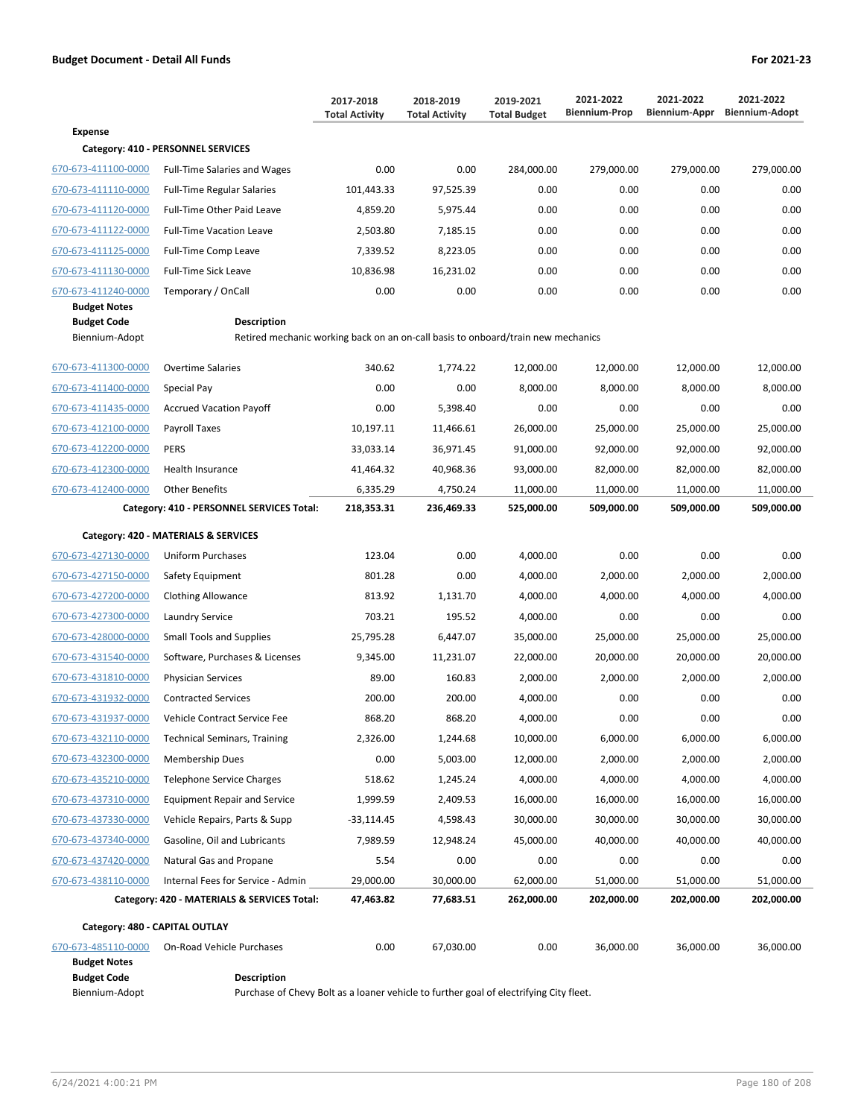|                                      |                                                                                                        | 2017-2018<br><b>Total Activity</b> | 2018-2019<br><b>Total Activity</b> | 2019-2021<br><b>Total Budget</b> | 2021-2022<br><b>Biennium-Prop</b> | 2021-2022<br>Biennium-Appr | 2021-2022<br><b>Biennium-Adopt</b> |  |  |
|--------------------------------------|--------------------------------------------------------------------------------------------------------|------------------------------------|------------------------------------|----------------------------------|-----------------------------------|----------------------------|------------------------------------|--|--|
| <b>Expense</b>                       |                                                                                                        |                                    |                                    |                                  |                                   |                            |                                    |  |  |
|                                      | Category: 410 - PERSONNEL SERVICES                                                                     |                                    |                                    |                                  |                                   |                            |                                    |  |  |
| 670-673-411100-0000                  | <b>Full-Time Salaries and Wages</b>                                                                    | 0.00                               | 0.00                               | 284,000.00                       | 279,000.00                        | 279,000.00                 | 279,000.00                         |  |  |
| 670-673-411110-0000                  | <b>Full-Time Regular Salaries</b>                                                                      | 101,443.33                         | 97,525.39                          | 0.00                             | 0.00                              | 0.00                       | 0.00                               |  |  |
| 670-673-411120-0000                  | Full-Time Other Paid Leave                                                                             | 4,859.20                           | 5,975.44                           | 0.00                             | 0.00                              | 0.00                       | 0.00                               |  |  |
| 670-673-411122-0000                  | <b>Full-Time Vacation Leave</b>                                                                        | 2,503.80                           | 7,185.15                           | 0.00                             | 0.00                              | 0.00                       | 0.00                               |  |  |
| 670-673-411125-0000                  | Full-Time Comp Leave                                                                                   | 7,339.52                           | 8,223.05                           | 0.00                             | 0.00                              | 0.00                       | 0.00                               |  |  |
| 670-673-411130-0000                  | <b>Full-Time Sick Leave</b>                                                                            | 10,836.98                          | 16,231.02                          | 0.00                             | 0.00                              | 0.00                       | 0.00                               |  |  |
| 670-673-411240-0000                  | Temporary / OnCall                                                                                     | 0.00                               | 0.00                               | 0.00                             | 0.00                              | 0.00                       | 0.00                               |  |  |
| <b>Budget Notes</b>                  |                                                                                                        |                                    |                                    |                                  |                                   |                            |                                    |  |  |
| <b>Budget Code</b><br>Biennium-Adopt | <b>Description</b><br>Retired mechanic working back on an on-call basis to onboard/train new mechanics |                                    |                                    |                                  |                                   |                            |                                    |  |  |
| 670-673-411300-0000                  | <b>Overtime Salaries</b>                                                                               | 340.62                             | 1,774.22                           | 12,000.00                        | 12,000.00                         | 12,000.00                  | 12,000.00                          |  |  |
| 670-673-411400-0000                  | Special Pay                                                                                            | 0.00                               | 0.00                               | 8,000.00                         | 8,000.00                          | 8,000.00                   | 8,000.00                           |  |  |
| 670-673-411435-0000                  | <b>Accrued Vacation Payoff</b>                                                                         | 0.00                               | 5,398.40                           | 0.00                             | 0.00                              | 0.00                       | 0.00                               |  |  |
| 670-673-412100-0000                  | Payroll Taxes                                                                                          | 10,197.11                          | 11,466.61                          | 26,000.00                        | 25,000.00                         | 25,000.00                  | 25,000.00                          |  |  |
| 670-673-412200-0000                  | <b>PERS</b>                                                                                            | 33,033.14                          | 36,971.45                          | 91,000.00                        | 92,000.00                         | 92,000.00                  | 92,000.00                          |  |  |
| 670-673-412300-0000                  | Health Insurance                                                                                       | 41,464.32                          | 40,968.36                          | 93,000.00                        | 82,000.00                         | 82,000.00                  | 82,000.00                          |  |  |
| 670-673-412400-0000                  | <b>Other Benefits</b>                                                                                  | 6,335.29                           | 4,750.24                           | 11,000.00                        | 11,000.00                         | 11,000.00                  | 11,000.00                          |  |  |
|                                      | Category: 410 - PERSONNEL SERVICES Total:                                                              | 218,353.31                         | 236,469.33                         | 525,000.00                       | 509,000.00                        | 509,000.00                 | 509,000.00                         |  |  |
|                                      | Category: 420 - MATERIALS & SERVICES                                                                   |                                    |                                    |                                  |                                   |                            |                                    |  |  |
| 670-673-427130-0000                  | <b>Uniform Purchases</b>                                                                               | 123.04                             | 0.00                               | 4,000.00                         | 0.00                              | 0.00                       | 0.00                               |  |  |
| 670-673-427150-0000                  | Safety Equipment                                                                                       | 801.28                             | 0.00                               | 4,000.00                         | 2,000.00                          | 2,000.00                   | 2,000.00                           |  |  |
| 670-673-427200-0000                  | <b>Clothing Allowance</b>                                                                              | 813.92                             | 1,131.70                           | 4,000.00                         | 4,000.00                          | 4,000.00                   | 4,000.00                           |  |  |
| 670-673-427300-0000                  | Laundry Service                                                                                        | 703.21                             | 195.52                             | 4,000.00                         | 0.00                              | 0.00                       | 0.00                               |  |  |
| 670-673-428000-0000                  | <b>Small Tools and Supplies</b>                                                                        | 25,795.28                          | 6,447.07                           | 35,000.00                        | 25,000.00                         | 25,000.00                  | 25,000.00                          |  |  |
| 670-673-431540-0000                  | Software, Purchases & Licenses                                                                         | 9,345.00                           | 11,231.07                          | 22,000.00                        | 20,000.00                         | 20,000.00                  | 20,000.00                          |  |  |
| 670-673-431810-0000                  | <b>Physician Services</b>                                                                              | 89.00                              | 160.83                             | 2,000.00                         | 2,000.00                          | 2,000.00                   | 2,000.00                           |  |  |
| 670-673-431932-0000                  | <b>Contracted Services</b>                                                                             | 200.00                             | 200.00                             | 4,000.00                         | 0.00                              | 0.00                       | 0.00                               |  |  |
| 670-673-431937-0000                  | Vehicle Contract Service Fee                                                                           | 868.20                             | 868.20                             | 4,000.00                         | 0.00                              | 0.00                       | 0.00                               |  |  |
| 670-673-432110-0000                  | <b>Technical Seminars, Training</b>                                                                    | 2,326.00                           | 1,244.68                           | 10,000.00                        | 6,000.00                          | 6,000.00                   | 6,000.00                           |  |  |
| 670-673-432300-0000                  | <b>Membership Dues</b>                                                                                 | 0.00                               | 5,003.00                           | 12,000.00                        | 2,000.00                          | 2,000.00                   | 2,000.00                           |  |  |
| 670-673-435210-0000                  | <b>Telephone Service Charges</b>                                                                       | 518.62                             | 1,245.24                           | 4,000.00                         | 4,000.00                          | 4,000.00                   | 4,000.00                           |  |  |
| 670-673-437310-0000                  | <b>Equipment Repair and Service</b>                                                                    | 1,999.59                           | 2,409.53                           | 16,000.00                        | 16,000.00                         | 16,000.00                  | 16,000.00                          |  |  |
| 670-673-437330-0000                  | Vehicle Repairs, Parts & Supp                                                                          | -33,114.45                         | 4,598.43                           | 30,000.00                        | 30,000.00                         | 30,000.00                  | 30,000.00                          |  |  |
| 670-673-437340-0000                  | Gasoline, Oil and Lubricants                                                                           | 7,989.59                           | 12,948.24                          | 45,000.00                        | 40,000.00                         | 40,000.00                  | 40,000.00                          |  |  |
| 670-673-437420-0000                  | Natural Gas and Propane                                                                                | 5.54                               | 0.00                               | 0.00                             | 0.00                              | 0.00                       | 0.00                               |  |  |
| 670-673-438110-0000                  | Internal Fees for Service - Admin                                                                      | 29,000.00                          | 30,000.00                          | 62,000.00                        | 51,000.00                         | 51,000.00                  | 51,000.00                          |  |  |
|                                      | Category: 420 - MATERIALS & SERVICES Total:                                                            | 47,463.82                          | 77,683.51                          | 262,000.00                       | 202,000.00                        | 202,000.00                 | 202,000.00                         |  |  |
| Category: 480 - CAPITAL OUTLAY       |                                                                                                        |                                    |                                    |                                  |                                   |                            |                                    |  |  |
| 670-673-485110-0000                  | On-Road Vehicle Purchases                                                                              | 0.00                               | 67,030.00                          | 0.00                             | 36,000.00                         | 36,000.00                  | 36,000.00                          |  |  |
| <b>Budget Notes</b>                  |                                                                                                        |                                    |                                    |                                  |                                   |                            |                                    |  |  |

Biennium-Adopt Purchase of Chevy Bolt as a loaner vehicle to further goal of electrifying City fleet.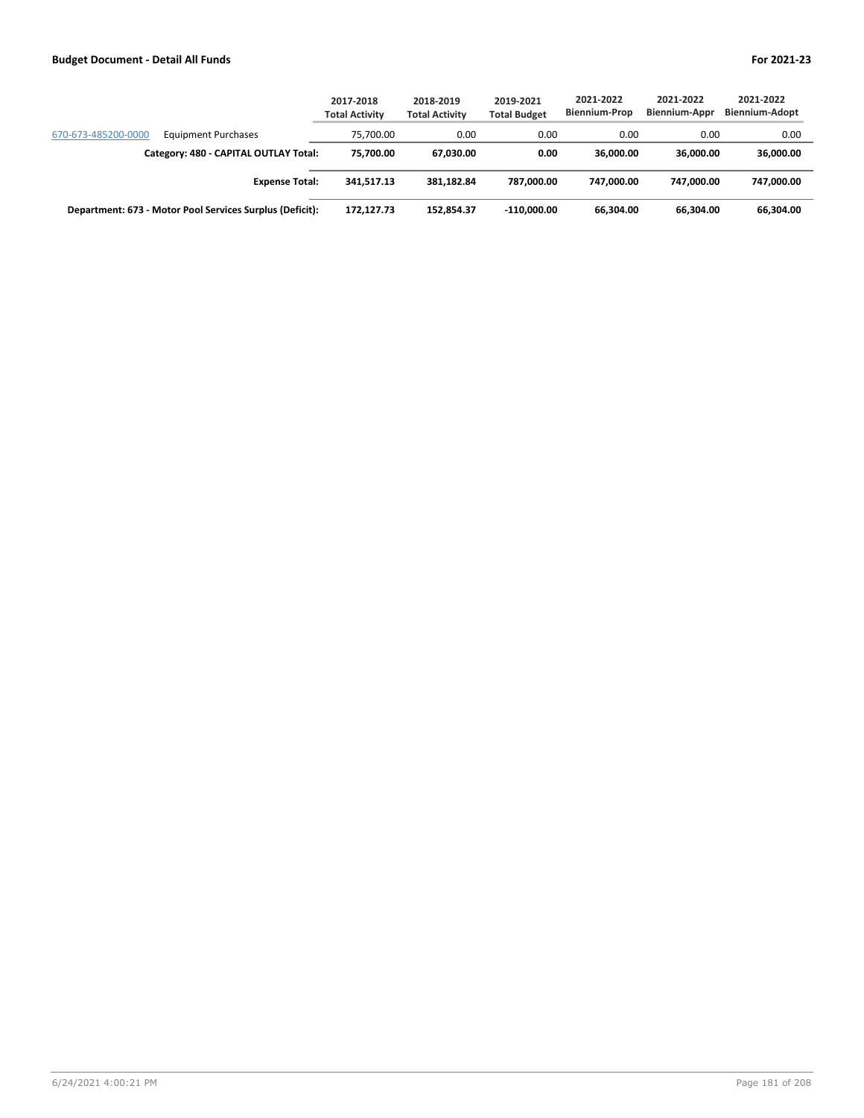|                                                          | 2017-2018<br><b>Total Activity</b> | 2018-2019<br><b>Total Activity</b> | 2019-2021<br><b>Total Budget</b> | 2021-2022<br><b>Biennium-Prop</b> | 2021-2022<br><b>Biennium-Appr</b> | 2021-2022<br><b>Biennium-Adopt</b> |
|----------------------------------------------------------|------------------------------------|------------------------------------|----------------------------------|-----------------------------------|-----------------------------------|------------------------------------|
| 670-673-485200-0000<br><b>Equipment Purchases</b>        | 75.700.00                          | 0.00                               | 0.00                             | 0.00                              | 0.00                              | 0.00                               |
| Category: 480 - CAPITAL OUTLAY Total:                    | 75.700.00                          | 67.030.00                          | 0.00                             | 36.000.00                         | 36.000.00                         | 36,000.00                          |
| <b>Expense Total:</b>                                    | 341.517.13                         | 381.182.84                         | 787.000.00                       | 747.000.00                        | 747.000.00                        | 747.000.00                         |
| Department: 673 - Motor Pool Services Surplus (Deficit): | 172.127.73                         | 152.854.37                         | $-110.000.00$                    | 66.304.00                         | 66.304.00                         | 66,304.00                          |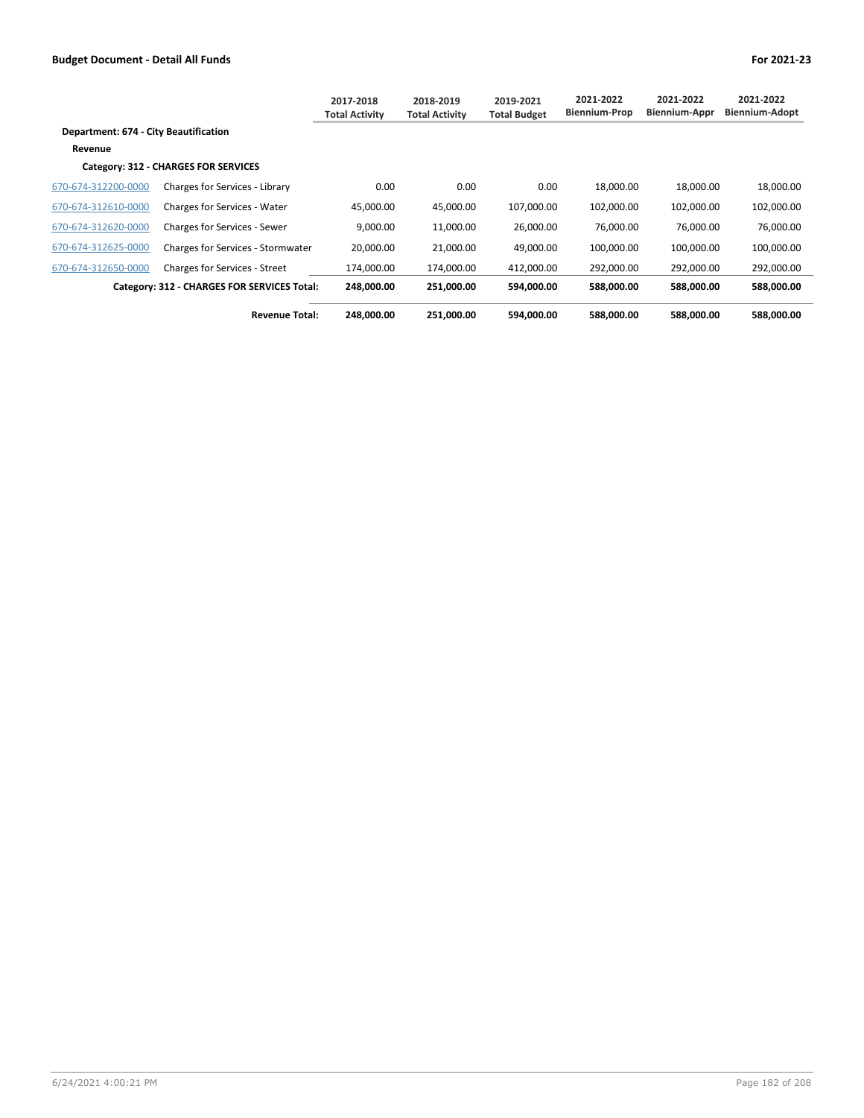|                                       |                                             | 2017-2018<br><b>Total Activity</b> | 2018-2019<br><b>Total Activity</b> | 2019-2021<br><b>Total Budget</b> | 2021-2022<br>Biennium-Prop | 2021-2022<br><b>Biennium-Appr</b> | 2021-2022<br>Biennium-Adopt |
|---------------------------------------|---------------------------------------------|------------------------------------|------------------------------------|----------------------------------|----------------------------|-----------------------------------|-----------------------------|
| Department: 674 - City Beautification |                                             |                                    |                                    |                                  |                            |                                   |                             |
| Revenue                               |                                             |                                    |                                    |                                  |                            |                                   |                             |
|                                       | Category: 312 - CHARGES FOR SERVICES        |                                    |                                    |                                  |                            |                                   |                             |
| 670-674-312200-0000                   | Charges for Services - Library              | 0.00                               | 0.00                               | 0.00                             | 18.000.00                  | 18,000.00                         | 18,000.00                   |
| 670-674-312610-0000                   | <b>Charges for Services - Water</b>         | 45,000.00                          | 45.000.00                          | 107,000.00                       | 102,000.00                 | 102,000.00                        | 102,000.00                  |
| 670-674-312620-0000                   | Charges for Services - Sewer                | 9,000.00                           | 11,000.00                          | 26,000.00                        | 76,000.00                  | 76,000.00                         | 76,000.00                   |
| 670-674-312625-0000                   | Charges for Services - Stormwater           | 20,000.00                          | 21,000.00                          | 49.000.00                        | 100,000.00                 | 100,000.00                        | 100,000.00                  |
| 670-674-312650-0000                   | <b>Charges for Services - Street</b>        | 174.000.00                         | 174,000.00                         | 412,000.00                       | 292,000.00                 | 292,000.00                        | 292,000.00                  |
|                                       | Category: 312 - CHARGES FOR SERVICES Total: | 248,000.00                         | 251,000.00                         | 594,000.00                       | 588,000.00                 | 588,000.00                        | 588.000.00                  |
|                                       | <b>Revenue Total:</b>                       | 248,000.00                         | 251,000.00                         | 594.000.00                       | 588.000.00                 | 588.000.00                        | 588.000.00                  |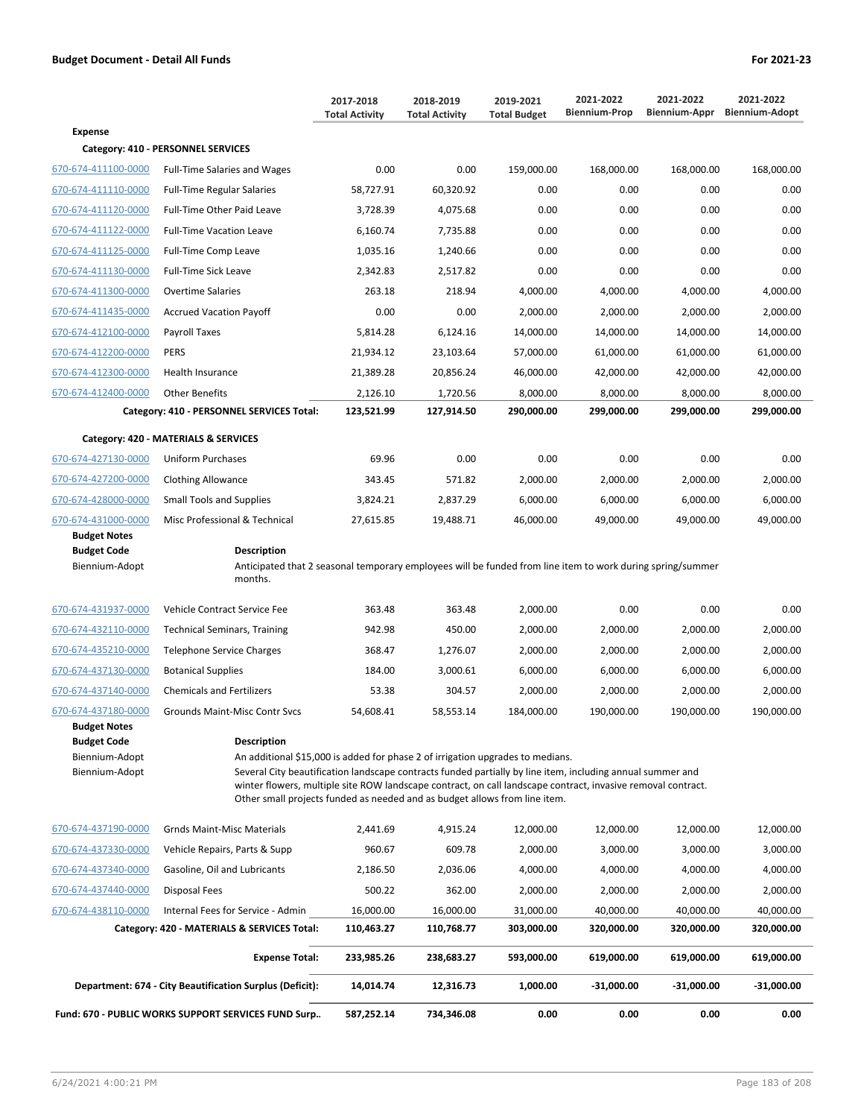|                                                                               |                                                                                                                                                                                                                                                                                                                                                                                                                  | 2017-2018<br><b>Total Activity</b> | 2018-2019<br><b>Total Activity</b> | 2019-2021<br><b>Total Budget</b> | 2021-2022<br><b>Biennium-Prop</b> | 2021-2022<br>Biennium-Appr | 2021-2022<br><b>Biennium-Adopt</b> |
|-------------------------------------------------------------------------------|------------------------------------------------------------------------------------------------------------------------------------------------------------------------------------------------------------------------------------------------------------------------------------------------------------------------------------------------------------------------------------------------------------------|------------------------------------|------------------------------------|----------------------------------|-----------------------------------|----------------------------|------------------------------------|
| <b>Expense</b>                                                                |                                                                                                                                                                                                                                                                                                                                                                                                                  |                                    |                                    |                                  |                                   |                            |                                    |
|                                                                               | Category: 410 - PERSONNEL SERVICES                                                                                                                                                                                                                                                                                                                                                                               |                                    |                                    |                                  |                                   |                            |                                    |
| 670-674-411100-0000                                                           | <b>Full-Time Salaries and Wages</b>                                                                                                                                                                                                                                                                                                                                                                              | 0.00                               | 0.00                               | 159,000.00                       | 168,000.00                        | 168,000.00                 | 168,000.00                         |
| 670-674-411110-0000                                                           | <b>Full-Time Regular Salaries</b>                                                                                                                                                                                                                                                                                                                                                                                | 58,727.91                          | 60,320.92                          | 0.00                             | 0.00                              | 0.00                       | 0.00                               |
| 670-674-411120-0000                                                           | Full-Time Other Paid Leave                                                                                                                                                                                                                                                                                                                                                                                       | 3,728.39                           | 4,075.68                           | 0.00                             | 0.00                              | 0.00                       | 0.00                               |
| 670-674-411122-0000                                                           | <b>Full-Time Vacation Leave</b>                                                                                                                                                                                                                                                                                                                                                                                  | 6,160.74                           | 7,735.88                           | 0.00                             | 0.00                              | 0.00                       | 0.00                               |
| 670-674-411125-0000                                                           | Full-Time Comp Leave                                                                                                                                                                                                                                                                                                                                                                                             | 1,035.16                           | 1,240.66                           | 0.00                             | 0.00                              | 0.00                       | 0.00                               |
| 670-674-411130-0000                                                           | <b>Full-Time Sick Leave</b>                                                                                                                                                                                                                                                                                                                                                                                      | 2,342.83                           | 2,517.82                           | 0.00                             | 0.00                              | 0.00                       | 0.00                               |
| 670-674-411300-0000                                                           | <b>Overtime Salaries</b>                                                                                                                                                                                                                                                                                                                                                                                         | 263.18                             | 218.94                             | 4,000.00                         | 4,000.00                          | 4,000.00                   | 4,000.00                           |
| 670-674-411435-0000                                                           | <b>Accrued Vacation Payoff</b>                                                                                                                                                                                                                                                                                                                                                                                   | 0.00                               | 0.00                               | 2,000.00                         | 2,000.00                          | 2,000.00                   | 2,000.00                           |
| 670-674-412100-0000                                                           | Payroll Taxes                                                                                                                                                                                                                                                                                                                                                                                                    | 5,814.28                           | 6,124.16                           | 14,000.00                        | 14,000.00                         | 14,000.00                  | 14,000.00                          |
| 670-674-412200-0000                                                           | <b>PERS</b>                                                                                                                                                                                                                                                                                                                                                                                                      | 21,934.12                          | 23,103.64                          | 57,000.00                        | 61,000.00                         | 61,000.00                  | 61,000.00                          |
| 670-674-412300-0000                                                           | Health Insurance                                                                                                                                                                                                                                                                                                                                                                                                 | 21,389.28                          | 20,856.24                          | 46,000.00                        | 42,000.00                         | 42,000.00                  | 42,000.00                          |
| 670-674-412400-0000                                                           | <b>Other Benefits</b>                                                                                                                                                                                                                                                                                                                                                                                            | 2,126.10                           | 1,720.56                           | 8,000.00                         | 8,000.00                          | 8,000.00                   | 8,000.00                           |
|                                                                               | Category: 410 - PERSONNEL SERVICES Total:                                                                                                                                                                                                                                                                                                                                                                        | 123,521.99                         | 127,914.50                         | 290,000.00                       | 299,000.00                        | 299,000.00                 | 299,000.00                         |
|                                                                               | Category: 420 - MATERIALS & SERVICES                                                                                                                                                                                                                                                                                                                                                                             |                                    |                                    |                                  |                                   |                            |                                    |
| 670-674-427130-0000                                                           | Uniform Purchases                                                                                                                                                                                                                                                                                                                                                                                                | 69.96                              | 0.00                               | 0.00                             | 0.00                              | 0.00                       | 0.00                               |
| 670-674-427200-0000                                                           | <b>Clothing Allowance</b>                                                                                                                                                                                                                                                                                                                                                                                        | 343.45                             | 571.82                             | 2,000.00                         | 2,000.00                          | 2,000.00                   | 2,000.00                           |
| 670-674-428000-0000                                                           | <b>Small Tools and Supplies</b>                                                                                                                                                                                                                                                                                                                                                                                  | 3,824.21                           | 2,837.29                           | 6,000.00                         | 6,000.00                          | 6,000.00                   | 6,000.00                           |
| 670-674-431000-0000                                                           | Misc Professional & Technical                                                                                                                                                                                                                                                                                                                                                                                    | 27,615.85                          | 19,488.71                          | 46,000.00                        | 49,000.00                         | 49,000.00                  | 49,000.00                          |
| <b>Budget Notes</b>                                                           |                                                                                                                                                                                                                                                                                                                                                                                                                  |                                    |                                    |                                  |                                   |                            |                                    |
| <b>Budget Code</b><br>Biennium-Adopt                                          | <b>Description</b><br>Anticipated that 2 seasonal temporary employees will be funded from line item to work during spring/summer<br>months.                                                                                                                                                                                                                                                                      |                                    |                                    |                                  |                                   |                            |                                    |
| 670-674-431937-0000                                                           | Vehicle Contract Service Fee                                                                                                                                                                                                                                                                                                                                                                                     | 363.48                             | 363.48                             | 2,000.00                         | 0.00                              | 0.00                       | 0.00                               |
| 670-674-432110-0000                                                           | <b>Technical Seminars, Training</b>                                                                                                                                                                                                                                                                                                                                                                              | 942.98                             | 450.00                             | 2,000.00                         | 2,000.00                          | 2,000.00                   | 2,000.00                           |
| 670-674-435210-0000                                                           | <b>Telephone Service Charges</b>                                                                                                                                                                                                                                                                                                                                                                                 | 368.47                             | 1,276.07                           | 2,000.00                         | 2,000.00                          | 2,000.00                   | 2,000.00                           |
| 670-674-437130-0000                                                           | <b>Botanical Supplies</b>                                                                                                                                                                                                                                                                                                                                                                                        | 184.00                             | 3,000.61                           | 6,000.00                         | 6,000.00                          | 6,000.00                   | 6,000.00                           |
| 670-674-437140-0000                                                           | <b>Chemicals and Fertilizers</b>                                                                                                                                                                                                                                                                                                                                                                                 | 53.38                              | 304.57                             | 2,000.00                         | 2,000.00                          | 2,000.00                   | 2,000.00                           |
| 670-674-437180-0000                                                           | <b>Grounds Maint-Misc Contr Sycs</b>                                                                                                                                                                                                                                                                                                                                                                             | 54,608.41                          | 58,553.14                          | 184,000.00                       | 190,000.00                        | 190,000.00                 | 190.000.00                         |
| <b>Budget Notes</b><br><b>Budget Code</b><br>Biennium-Adopt<br>Biennium-Adopt | <b>Description</b><br>An additional \$15,000 is added for phase 2 of irrigation upgrades to medians.<br>Several City beautification landscape contracts funded partially by line item, including annual summer and<br>winter flowers, multiple site ROW landscape contract, on call landscape contract, invasive removal contract.<br>Other small projects funded as needed and as budget allows from line item. |                                    |                                    |                                  |                                   |                            |                                    |
| 670-674-437190-0000                                                           | <b>Grnds Maint-Misc Materials</b>                                                                                                                                                                                                                                                                                                                                                                                | 2,441.69                           | 4,915.24                           | 12,000.00                        | 12,000.00                         | 12,000.00                  | 12,000.00                          |
| 670-674-437330-0000                                                           | Vahicla Ranaire, Darte & Sunn                                                                                                                                                                                                                                                                                                                                                                                    | 960.67                             | <b>600 78</b>                      | 2.000.00                         | 3 000 00                          | 3.000.00                   | 3.000.00                           |

|                     | <b>Fund: 670 - PUBLIC WORKS SUPPORT SERVICES FUND Surp</b> | 587.252.14 | 734.346.08 | 0.00       | 0.00         | 0.00         | 0.00         |
|---------------------|------------------------------------------------------------|------------|------------|------------|--------------|--------------|--------------|
|                     | Department: 674 - City Beautification Surplus (Deficit):   | 14.014.74  | 12.316.73  | 1.000.00   | $-31.000.00$ | $-31.000.00$ | $-31.000.00$ |
|                     | <b>Expense Total:</b>                                      | 233.985.26 | 238.683.27 | 593.000.00 | 619.000.00   | 619.000.00   | 619.000.00   |
|                     | Category: 420 - MATERIALS & SERVICES Total:                | 110,463.27 | 110.768.77 | 303.000.00 | 320.000.00   | 320.000.00   | 320,000.00   |
| 670-674-438110-0000 | Internal Fees for Service - Admin                          | 16.000.00  | 16.000.00  | 31.000.00  | 40.000.00    | 40.000.00    | 40,000.00    |
| 670-674-437440-0000 | Disposal Fees                                              | 500.22     | 362.00     | 2.000.00   | 2,000.00     | 2,000.00     | 2,000.00     |
| 670-674-437340-0000 | Gasoline, Oil and Lubricants                               | 2,186.50   | 2,036.06   | 4,000.00   | 4,000.00     | 4,000.00     | 4,000.00     |
| 670-674-437330-0000 | Vehicle Repairs, Parts & Supp                              | 960.67     | 609.78     | 2,000.00   | 3,000.00     | 3,000.00     | 3,000.00     |
| 670-674-437190-0000 | Grnds Maint-Misc Materials                                 | 2.441.69   | 4,915.24   | 12,000.00  | 12,000.00    | 12,000.00    | 12,000.00    |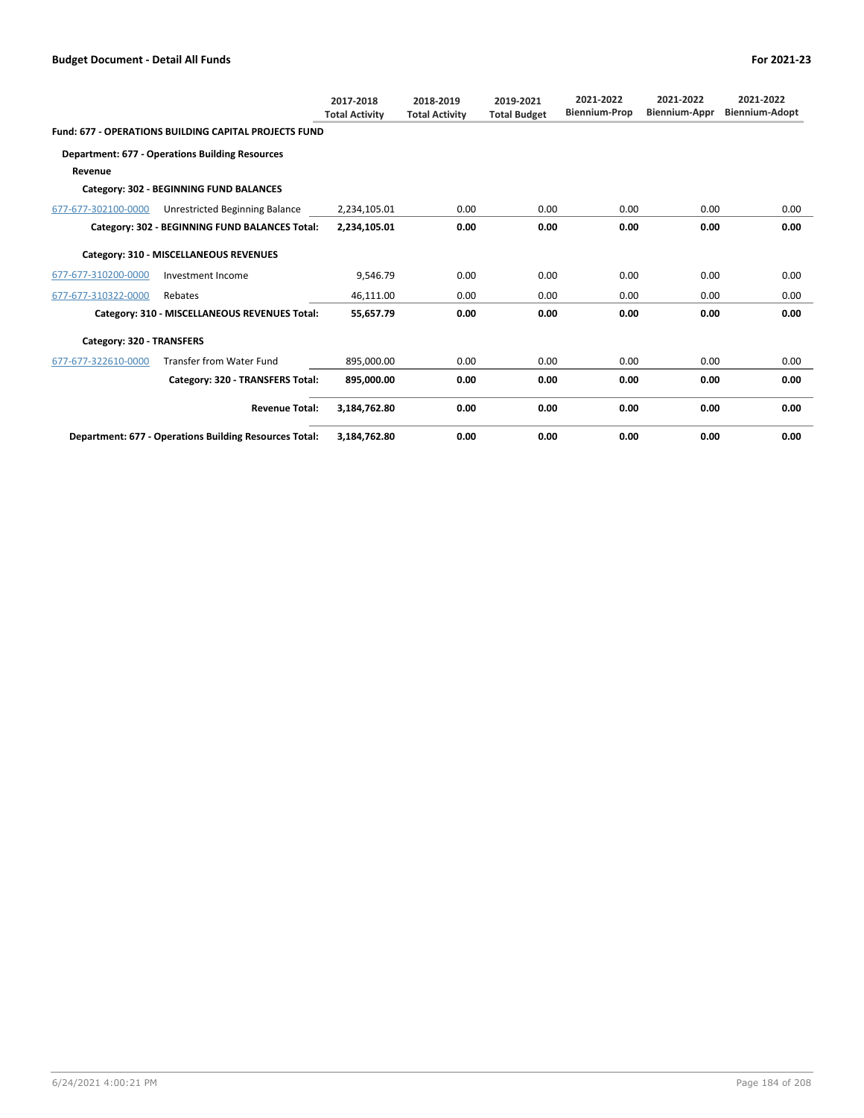|                           |                                                              | 2017-2018<br><b>Total Activity</b> | 2018-2019<br><b>Total Activity</b> | 2019-2021<br><b>Total Budget</b> | 2021-2022<br><b>Biennium-Prop</b> | 2021-2022<br><b>Biennium-Appr</b> | 2021-2022<br><b>Biennium-Adopt</b> |
|---------------------------|--------------------------------------------------------------|------------------------------------|------------------------------------|----------------------------------|-----------------------------------|-----------------------------------|------------------------------------|
|                           | <b>Fund: 677 - OPERATIONS BUILDING CAPITAL PROJECTS FUND</b> |                                    |                                    |                                  |                                   |                                   |                                    |
|                           | <b>Department: 677 - Operations Building Resources</b>       |                                    |                                    |                                  |                                   |                                   |                                    |
| Revenue                   |                                                              |                                    |                                    |                                  |                                   |                                   |                                    |
|                           | Category: 302 - BEGINNING FUND BALANCES                      |                                    |                                    |                                  |                                   |                                   |                                    |
| 677-677-302100-0000       | Unrestricted Beginning Balance                               | 2,234,105.01                       | 0.00                               | 0.00                             | 0.00                              | 0.00                              | 0.00                               |
|                           | Category: 302 - BEGINNING FUND BALANCES Total:               | 2,234,105.01                       | 0.00                               | 0.00                             | 0.00                              | 0.00                              | 0.00                               |
|                           | Category: 310 - MISCELLANEOUS REVENUES                       |                                    |                                    |                                  |                                   |                                   |                                    |
| 677-677-310200-0000       | Investment Income                                            | 9,546.79                           | 0.00                               | 0.00                             | 0.00                              | 0.00                              | 0.00                               |
| 677-677-310322-0000       | Rebates                                                      | 46,111.00                          | 0.00                               | 0.00                             | 0.00                              | 0.00                              | 0.00                               |
|                           | Category: 310 - MISCELLANEOUS REVENUES Total:                | 55,657.79                          | 0.00                               | 0.00                             | 0.00                              | 0.00                              | 0.00                               |
| Category: 320 - TRANSFERS |                                                              |                                    |                                    |                                  |                                   |                                   |                                    |
| 677-677-322610-0000       | <b>Transfer from Water Fund</b>                              | 895,000.00                         | 0.00                               | 0.00                             | 0.00                              | 0.00                              | 0.00                               |
|                           | Category: 320 - TRANSFERS Total:                             | 895,000.00                         | 0.00                               | 0.00                             | 0.00                              | 0.00                              | 0.00                               |
|                           | <b>Revenue Total:</b>                                        | 3,184,762.80                       | 0.00                               | 0.00                             | 0.00                              | 0.00                              | 0.00                               |
|                           | Department: 677 - Operations Building Resources Total:       | 3,184,762.80                       | 0.00                               | 0.00                             | 0.00                              | 0.00                              | 0.00                               |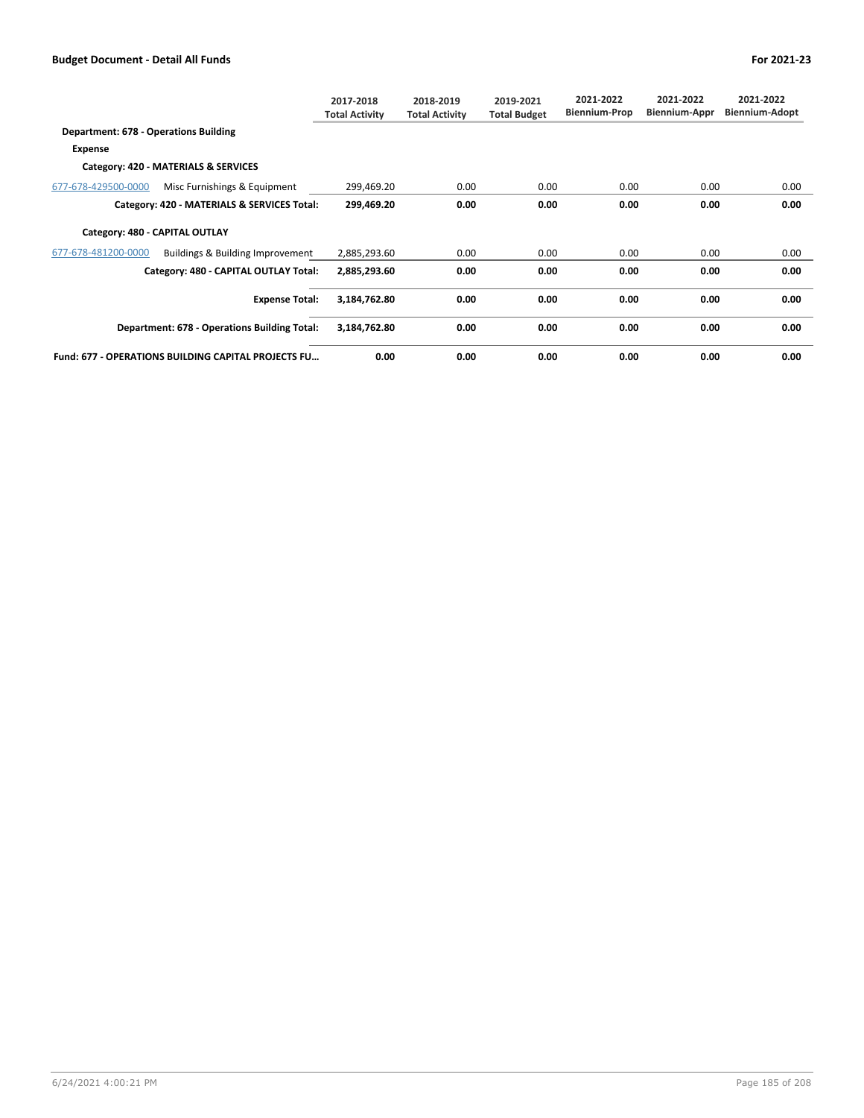|                                       |                                                     | 2017-2018<br><b>Total Activity</b> | 2018-2019<br><b>Total Activity</b> | 2019-2021<br><b>Total Budget</b> | 2021-2022<br><b>Biennium-Prop</b> | 2021-2022<br>Biennium-Appr | 2021-2022<br><b>Biennium-Adopt</b> |
|---------------------------------------|-----------------------------------------------------|------------------------------------|------------------------------------|----------------------------------|-----------------------------------|----------------------------|------------------------------------|
| Department: 678 - Operations Building |                                                     |                                    |                                    |                                  |                                   |                            |                                    |
| Expense                               |                                                     |                                    |                                    |                                  |                                   |                            |                                    |
|                                       | Category: 420 - MATERIALS & SERVICES                |                                    |                                    |                                  |                                   |                            |                                    |
| 677-678-429500-0000                   | Misc Furnishings & Equipment                        | 299,469.20                         | 0.00                               | 0.00                             | 0.00                              | 0.00                       | 0.00                               |
|                                       | Category: 420 - MATERIALS & SERVICES Total:         | 299,469.20                         | 0.00                               | 0.00                             | 0.00                              | 0.00                       | 0.00                               |
|                                       | Category: 480 - CAPITAL OUTLAY                      |                                    |                                    |                                  |                                   |                            |                                    |
| 677-678-481200-0000                   | Buildings & Building Improvement                    | 2,885,293.60                       | 0.00                               | 0.00                             | 0.00                              | 0.00                       | 0.00                               |
|                                       | Category: 480 - CAPITAL OUTLAY Total:               | 2,885,293.60                       | 0.00                               | 0.00                             | 0.00                              | 0.00                       | 0.00                               |
|                                       | <b>Expense Total:</b>                               | 3,184,762.80                       | 0.00                               | 0.00                             | 0.00                              | 0.00                       | 0.00                               |
|                                       | Department: 678 - Operations Building Total:        | 3,184,762.80                       | 0.00                               | 0.00                             | 0.00                              | 0.00                       | 0.00                               |
|                                       | Fund: 677 - OPERATIONS BUILDING CAPITAL PROJECTS FU | 0.00                               | 0.00                               | 0.00                             | 0.00                              | 0.00                       | 0.00                               |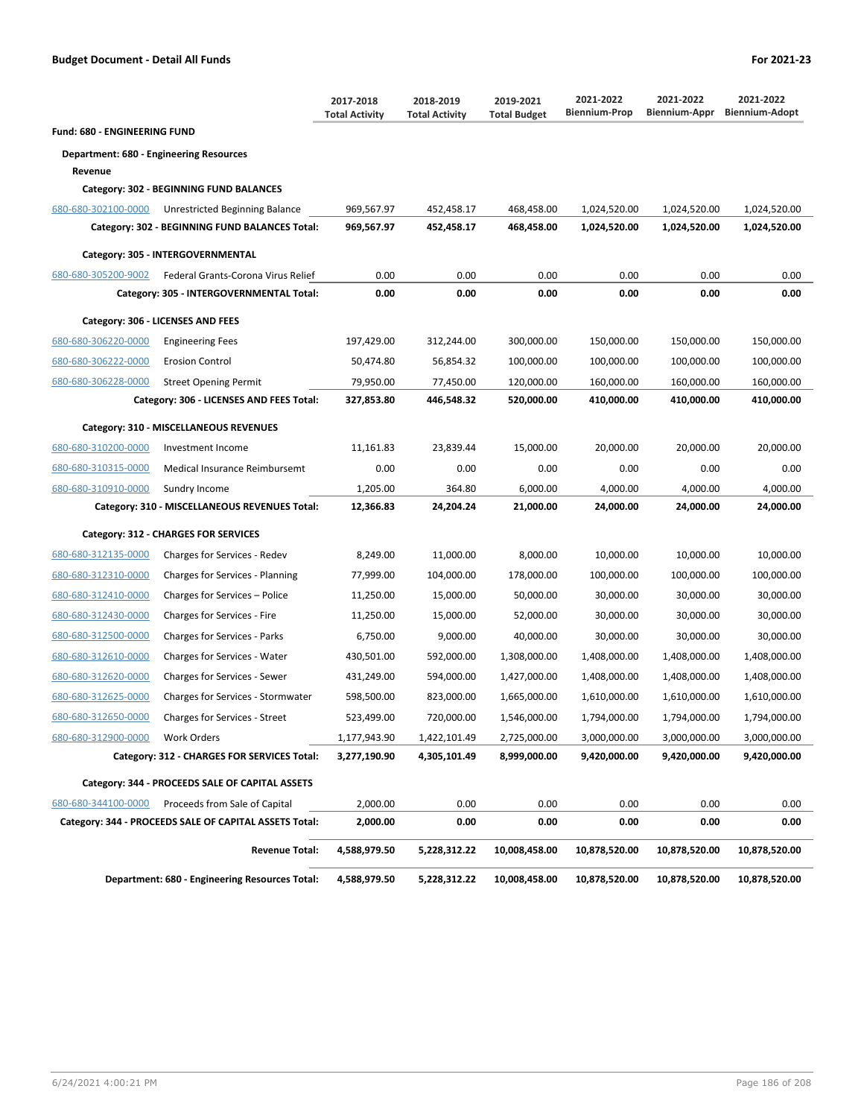|                                                |                                                        | 2017-2018<br><b>Total Activity</b> | 2018-2019<br><b>Total Activity</b> | 2019-2021<br><b>Total Budget</b> | 2021-2022<br><b>Biennium-Prop</b> | 2021-2022<br>Biennium-Appr | 2021-2022<br><b>Biennium-Adopt</b> |
|------------------------------------------------|--------------------------------------------------------|------------------------------------|------------------------------------|----------------------------------|-----------------------------------|----------------------------|------------------------------------|
| <b>Fund: 680 - ENGINEERING FUND</b>            |                                                        |                                    |                                    |                                  |                                   |                            |                                    |
| <b>Department: 680 - Engineering Resources</b> |                                                        |                                    |                                    |                                  |                                   |                            |                                    |
| Revenue                                        |                                                        |                                    |                                    |                                  |                                   |                            |                                    |
|                                                | Category: 302 - BEGINNING FUND BALANCES                |                                    |                                    |                                  |                                   |                            |                                    |
| 680-680-302100-0000                            | Unrestricted Beginning Balance                         | 969,567.97                         | 452,458.17                         | 468,458.00                       | 1,024,520.00                      | 1,024,520.00               | 1,024,520.00                       |
|                                                | Category: 302 - BEGINNING FUND BALANCES Total:         | 969,567.97                         | 452,458.17                         | 468,458.00                       | 1,024,520.00                      | 1,024,520.00               | 1,024,520.00                       |
|                                                | Category: 305 - INTERGOVERNMENTAL                      |                                    |                                    |                                  |                                   |                            |                                    |
| 680-680-305200-9002                            | Federal Grants-Corona Virus Relief                     | 0.00                               | 0.00                               | 0.00                             | 0.00                              | 0.00                       | 0.00                               |
|                                                | Category: 305 - INTERGOVERNMENTAL Total:               | 0.00                               | 0.00                               | 0.00                             | 0.00                              | 0.00                       | 0.00                               |
|                                                | Category: 306 - LICENSES AND FEES                      |                                    |                                    |                                  |                                   |                            |                                    |
| 680-680-306220-0000                            | <b>Engineering Fees</b>                                | 197,429.00                         | 312,244.00                         | 300,000.00                       | 150,000.00                        | 150,000.00                 | 150,000.00                         |
| 680-680-306222-0000                            | <b>Erosion Control</b>                                 | 50,474.80                          | 56,854.32                          | 100,000.00                       | 100,000.00                        | 100,000.00                 | 100,000.00                         |
| 680-680-306228-0000                            | <b>Street Opening Permit</b>                           | 79,950.00                          | 77,450.00                          | 120,000.00                       | 160,000.00                        | 160,000.00                 | 160,000.00                         |
|                                                | Category: 306 - LICENSES AND FEES Total:               | 327,853.80                         | 446,548.32                         | 520,000.00                       | 410,000.00                        | 410,000.00                 | 410,000.00                         |
|                                                | Category: 310 - MISCELLANEOUS REVENUES                 |                                    |                                    |                                  |                                   |                            |                                    |
| 680-680-310200-0000                            | Investment Income                                      | 11,161.83                          | 23,839.44                          | 15,000.00                        | 20,000.00                         | 20,000.00                  | 20,000.00                          |
| 680-680-310315-0000                            | Medical Insurance Reimbursemt                          | 0.00                               | 0.00                               | 0.00                             | 0.00                              | 0.00                       | 0.00                               |
| 680-680-310910-0000                            | Sundry Income                                          | 1,205.00                           | 364.80                             | 6,000.00                         | 4,000.00                          | 4,000.00                   | 4,000.00                           |
|                                                | Category: 310 - MISCELLANEOUS REVENUES Total:          | 12,366.83                          | 24,204.24                          | 21,000.00                        | 24,000.00                         | 24,000.00                  | 24,000.00                          |
|                                                | Category: 312 - CHARGES FOR SERVICES                   |                                    |                                    |                                  |                                   |                            |                                    |
| 680-680-312135-0000                            | Charges for Services - Redev                           | 8,249.00                           | 11,000.00                          | 8,000.00                         | 10,000.00                         | 10,000.00                  | 10,000.00                          |
| 680-680-312310-0000                            | Charges for Services - Planning                        | 77,999.00                          | 104,000.00                         | 178,000.00                       | 100,000.00                        | 100,000.00                 | 100,000.00                         |
| 680-680-312410-0000                            | Charges for Services - Police                          | 11,250.00                          | 15,000.00                          | 50,000.00                        | 30,000.00                         | 30,000.00                  | 30,000.00                          |
| 680-680-312430-0000                            | Charges for Services - Fire                            | 11,250.00                          | 15,000.00                          | 52,000.00                        | 30,000.00                         | 30,000.00                  | 30,000.00                          |
| 680-680-312500-0000                            | Charges for Services - Parks                           | 6,750.00                           | 9,000.00                           | 40,000.00                        | 30,000.00                         | 30,000.00                  | 30,000.00                          |
| 680-680-312610-0000                            | Charges for Services - Water                           | 430,501.00                         | 592,000.00                         | 1,308,000.00                     | 1,408,000.00                      | 1,408,000.00               | 1,408,000.00                       |
| 680-680-312620-0000                            | Charges for Services - Sewer                           | 431,249.00                         | 594,000.00                         | 1,427,000.00                     | 1,408,000.00                      | 1,408,000.00               | 1,408,000.00                       |
| 680-680-312625-0000                            | Charges for Services - Stormwater                      | 598,500.00                         | 823,000.00                         | 1,665,000.00                     | 1,610,000.00                      | 1,610,000.00               | 1,610,000.00                       |
| 680-680-312650-0000                            | Charges for Services - Street                          | 523,499.00                         | 720,000.00                         | 1,546,000.00                     | 1,794,000.00                      | 1,794,000.00               | 1,794,000.00                       |
| 680-680-312900-0000                            | <b>Work Orders</b>                                     | 1,177,943.90                       | 1,422,101.49                       | 2,725,000.00                     | 3,000,000.00                      | 3,000,000.00               | 3,000,000.00                       |
|                                                | Category: 312 - CHARGES FOR SERVICES Total:            | 3,277,190.90                       | 4,305,101.49                       | 8,999,000.00                     | 9,420,000.00                      | 9,420,000.00               | 9,420,000.00                       |
|                                                | Category: 344 - PROCEEDS SALE OF CAPITAL ASSETS        |                                    |                                    |                                  |                                   |                            |                                    |
| 680-680-344100-0000                            | Proceeds from Sale of Capital                          | 2,000.00                           | 0.00                               | 0.00                             | 0.00                              | 0.00                       | 0.00                               |
|                                                | Category: 344 - PROCEEDS SALE OF CAPITAL ASSETS Total: | 2,000.00                           | 0.00                               | 0.00                             | 0.00                              | 0.00                       | 0.00                               |
|                                                | <b>Revenue Total:</b>                                  | 4,588,979.50                       | 5,228,312.22                       | 10,008,458.00                    | 10,878,520.00                     | 10,878,520.00              | 10,878,520.00                      |
|                                                | Department: 680 - Engineering Resources Total:         | 4,588,979.50                       | 5,228,312.22                       | 10,008,458.00                    | 10,878,520.00                     | 10,878,520.00              | 10,878,520.00                      |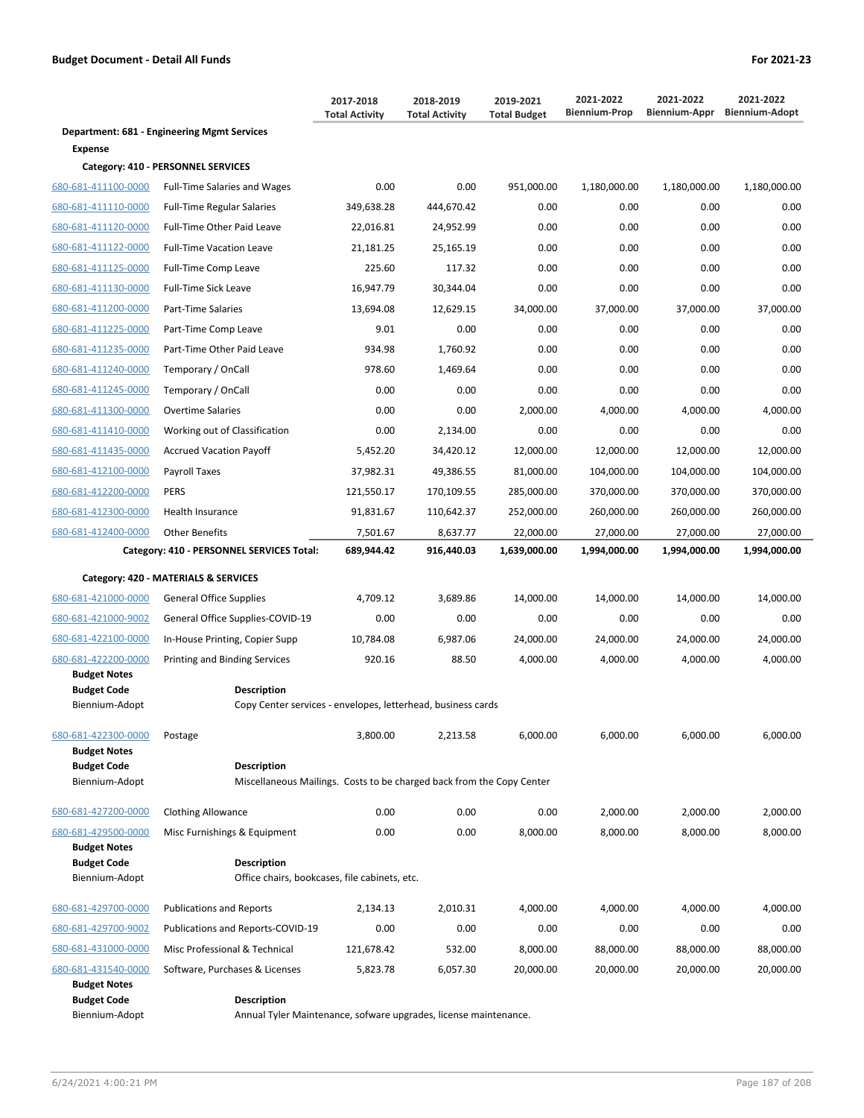|                                            |                                                                                    | 2017-2018<br><b>Total Activity</b> | 2018-2019<br><b>Total Activity</b> | 2019-2021<br><b>Total Budget</b> | 2021-2022<br><b>Biennium-Prop</b> | 2021-2022<br><b>Biennium-Appr</b> | 2021-2022<br><b>Biennium-Adopt</b> |
|--------------------------------------------|------------------------------------------------------------------------------------|------------------------------------|------------------------------------|----------------------------------|-----------------------------------|-----------------------------------|------------------------------------|
|                                            | Department: 681 - Engineering Mgmt Services                                        |                                    |                                    |                                  |                                   |                                   |                                    |
| <b>Expense</b>                             |                                                                                    |                                    |                                    |                                  |                                   |                                   |                                    |
|                                            | Category: 410 - PERSONNEL SERVICES                                                 |                                    |                                    |                                  |                                   |                                   |                                    |
| 680-681-411100-0000                        | <b>Full-Time Salaries and Wages</b>                                                | 0.00                               | 0.00                               | 951,000.00                       | 1,180,000.00                      | 1,180,000.00                      | 1,180,000.00                       |
| 680-681-411110-0000                        | <b>Full-Time Regular Salaries</b>                                                  | 349,638.28                         | 444,670.42                         | 0.00                             | 0.00                              | 0.00                              | 0.00                               |
| 680-681-411120-0000                        | Full-Time Other Paid Leave                                                         | 22,016.81                          | 24,952.99                          | 0.00                             | 0.00                              | 0.00                              | 0.00                               |
| 680-681-411122-0000                        | <b>Full-Time Vacation Leave</b>                                                    | 21,181.25                          | 25,165.19                          | 0.00                             | 0.00                              | 0.00                              | 0.00                               |
| 680-681-411125-0000                        | <b>Full-Time Comp Leave</b>                                                        | 225.60                             | 117.32                             | 0.00                             | 0.00                              | 0.00                              | 0.00                               |
| 680-681-411130-0000                        | <b>Full-Time Sick Leave</b>                                                        | 16,947.79                          | 30,344.04                          | 0.00                             | 0.00                              | 0.00                              | 0.00                               |
| 680-681-411200-0000                        | Part-Time Salaries                                                                 | 13,694.08                          | 12,629.15                          | 34,000.00                        | 37,000.00                         | 37,000.00                         | 37,000.00                          |
| 680-681-411225-0000                        | Part-Time Comp Leave                                                               | 9.01                               | 0.00                               | 0.00                             | 0.00                              | 0.00                              | 0.00                               |
| 680-681-411235-0000                        | Part-Time Other Paid Leave                                                         | 934.98                             | 1,760.92                           | 0.00                             | 0.00                              | 0.00                              | 0.00                               |
| 680-681-411240-0000                        | Temporary / OnCall                                                                 | 978.60                             | 1,469.64                           | 0.00                             | 0.00                              | 0.00                              | 0.00                               |
| 680-681-411245-0000                        | Temporary / OnCall                                                                 | 0.00                               | 0.00                               | 0.00                             | 0.00                              | 0.00                              | 0.00                               |
| 680-681-411300-0000                        | <b>Overtime Salaries</b>                                                           | 0.00                               | 0.00                               | 2,000.00                         | 4,000.00                          | 4,000.00                          | 4,000.00                           |
| 680-681-411410-0000                        | Working out of Classification                                                      | 0.00                               | 2,134.00                           | 0.00                             | 0.00                              | 0.00                              | 0.00                               |
| 680-681-411435-0000                        | <b>Accrued Vacation Payoff</b>                                                     | 5.452.20                           | 34,420.12                          | 12,000.00                        | 12,000.00                         | 12,000.00                         | 12,000.00                          |
| 680-681-412100-0000                        | Payroll Taxes                                                                      | 37,982.31                          | 49,386.55                          | 81,000.00                        | 104,000.00                        | 104,000.00                        | 104,000.00                         |
| 680-681-412200-0000                        | <b>PERS</b>                                                                        | 121,550.17                         | 170,109.55                         | 285,000.00                       | 370,000.00                        | 370,000.00                        | 370,000.00                         |
| 680-681-412300-0000                        | Health Insurance                                                                   | 91,831.67                          | 110,642.37                         | 252,000.00                       | 260,000.00                        | 260,000.00                        | 260,000.00                         |
| 680-681-412400-0000                        | <b>Other Benefits</b>                                                              | 7,501.67                           | 8,637.77                           | 22,000.00                        | 27,000.00                         | 27,000.00                         | 27,000.00                          |
|                                            | Category: 410 - PERSONNEL SERVICES Total:                                          | 689,944.42                         | 916,440.03                         | 1,639,000.00                     | 1,994,000.00                      | 1,994,000.00                      | 1,994,000.00                       |
|                                            | Category: 420 - MATERIALS & SERVICES                                               |                                    |                                    |                                  |                                   |                                   |                                    |
| 680-681-421000-0000                        | <b>General Office Supplies</b>                                                     | 4,709.12                           | 3,689.86                           | 14,000.00                        | 14,000.00                         | 14,000.00                         | 14,000.00                          |
| 680-681-421000-9002                        | General Office Supplies-COVID-19                                                   | 0.00                               | 0.00                               | 0.00                             | 0.00                              | 0.00                              | 0.00                               |
| 680-681-422100-0000                        | In-House Printing, Copier Supp                                                     | 10,784.08                          | 6,987.06                           | 24,000.00                        | 24,000.00                         | 24,000.00                         | 24,000.00                          |
| 680-681-422200-0000                        | Printing and Binding Services                                                      | 920.16                             | 88.50                              | 4,000.00                         | 4,000.00                          | 4,000.00                          | 4,000.00                           |
| <b>Budget Notes</b>                        |                                                                                    |                                    |                                    |                                  |                                   |                                   |                                    |
| <b>Budget Code</b><br>Biennium-Adopt       | <b>Description</b><br>Copy Center services - envelopes, letterhead, business cards |                                    |                                    |                                  |                                   |                                   |                                    |
|                                            |                                                                                    |                                    |                                    |                                  |                                   |                                   |                                    |
| 680-681-422300-0000<br><b>Budget Notes</b> | Postage                                                                            | 3,800.00                           | 2,213.58                           | 6,000.00                         | 6,000.00                          | 6,000.00                          | 6,000.00                           |
| <b>Budget Code</b>                         | <b>Description</b>                                                                 |                                    |                                    |                                  |                                   |                                   |                                    |
| Biennium-Adopt                             | Miscellaneous Mailings. Costs to be charged back from the Copy Center              |                                    |                                    |                                  |                                   |                                   |                                    |
| 680-681-427200-0000                        | <b>Clothing Allowance</b>                                                          | 0.00                               | 0.00                               | 0.00                             | 2,000.00                          | 2,000.00                          | 2,000.00                           |
| 680-681-429500-0000                        | Misc Furnishings & Equipment                                                       | 0.00                               | 0.00                               | 8,000.00                         | 8,000.00                          | 8,000.00                          | 8,000.00                           |
| <b>Budget Notes</b>                        |                                                                                    |                                    |                                    |                                  |                                   |                                   |                                    |
| <b>Budget Code</b>                         | <b>Description</b>                                                                 |                                    |                                    |                                  |                                   |                                   |                                    |
| Biennium-Adopt                             | Office chairs, bookcases, file cabinets, etc.                                      |                                    |                                    |                                  |                                   |                                   |                                    |
| 680-681-429700-0000                        | <b>Publications and Reports</b>                                                    | 2,134.13                           | 2,010.31                           | 4,000.00                         | 4,000.00                          | 4,000.00                          | 4,000.00                           |
| 680-681-429700-9002                        | Publications and Reports-COVID-19                                                  | 0.00                               | 0.00                               | 0.00                             | 0.00                              | 0.00                              | 0.00                               |
| 680-681-431000-0000                        | Misc Professional & Technical                                                      | 121,678.42                         | 532.00                             | 8,000.00                         | 88,000.00                         | 88,000.00                         | 88,000.00                          |
| 680-681-431540-0000<br><b>Budget Notes</b> | Software, Purchases & Licenses                                                     | 5,823.78                           | 6,057.30                           | 20,000.00                        | 20,000.00                         | 20,000.00                         | 20,000.00                          |
| <b>Budget Code</b>                         | <b>Description</b>                                                                 |                                    |                                    |                                  |                                   |                                   |                                    |
| Biennium-Adopt                             | Annual Tyler Maintenance, sofware upgrades, license maintenance.                   |                                    |                                    |                                  |                                   |                                   |                                    |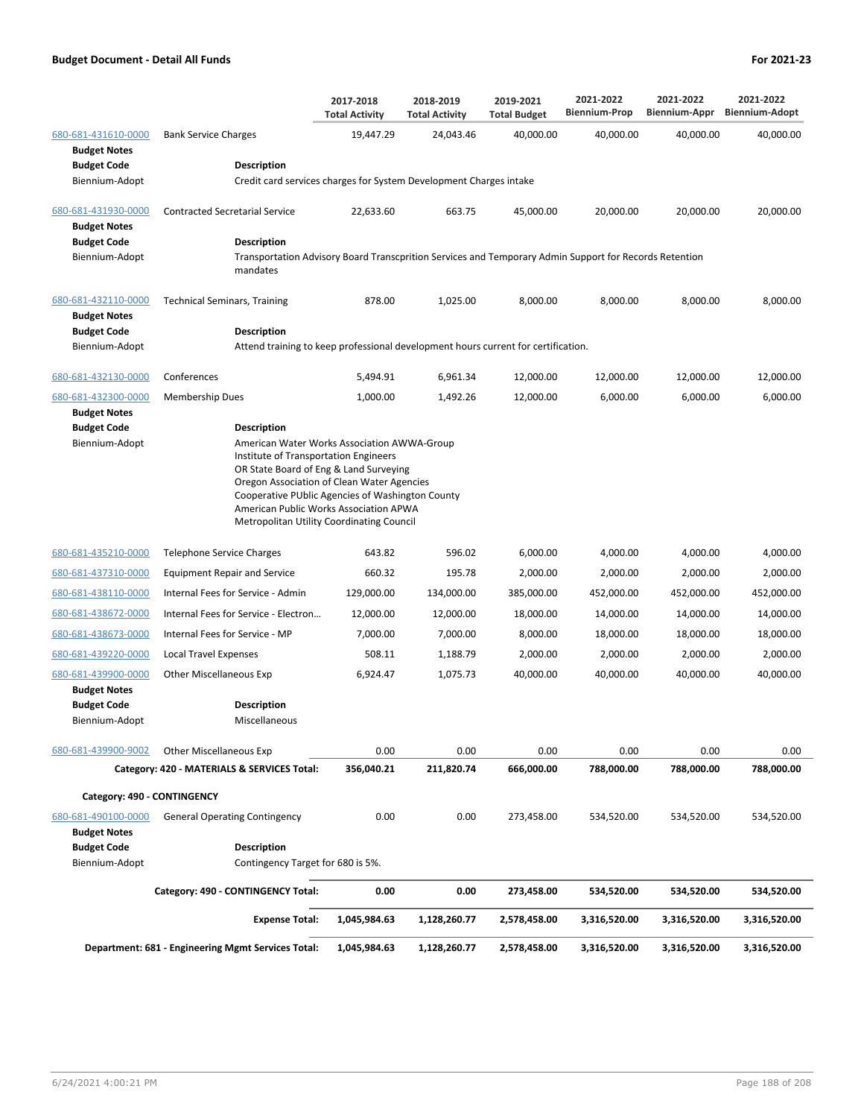|                                            |                                                                                                                    | 2017-2018<br><b>Total Activity</b>                                                                                                                                                                                                                                                                                      | 2018-2019<br><b>Total Activity</b> | 2019-2021<br><b>Total Budget</b> | 2021-2022<br><b>Biennium-Prop</b> | 2021-2022<br>Biennium-Appr | 2021-2022<br><b>Biennium-Adopt</b> |  |  |
|--------------------------------------------|--------------------------------------------------------------------------------------------------------------------|-------------------------------------------------------------------------------------------------------------------------------------------------------------------------------------------------------------------------------------------------------------------------------------------------------------------------|------------------------------------|----------------------------------|-----------------------------------|----------------------------|------------------------------------|--|--|
| 680-681-431610-0000<br><b>Budget Notes</b> | <b>Bank Service Charges</b>                                                                                        | 19,447.29                                                                                                                                                                                                                                                                                                               | 24,043.46                          | 40,000.00                        | 40,000.00                         | 40,000.00                  | 40,000.00                          |  |  |
| <b>Budget Code</b>                         | <b>Description</b>                                                                                                 |                                                                                                                                                                                                                                                                                                                         |                                    |                                  |                                   |                            |                                    |  |  |
| Biennium-Adopt                             | Credit card services charges for System Development Charges intake                                                 |                                                                                                                                                                                                                                                                                                                         |                                    |                                  |                                   |                            |                                    |  |  |
| 680-681-431930-0000<br><b>Budget Notes</b> | <b>Contracted Secretarial Service</b>                                                                              | 22,633.60                                                                                                                                                                                                                                                                                                               | 663.75                             | 45,000.00                        | 20,000.00                         | 20,000.00                  | 20,000.00                          |  |  |
| <b>Budget Code</b>                         | <b>Description</b>                                                                                                 |                                                                                                                                                                                                                                                                                                                         |                                    |                                  |                                   |                            |                                    |  |  |
| Biennium-Adopt                             | Transportation Advisory Board Transcprition Services and Temporary Admin Support for Records Retention<br>mandates |                                                                                                                                                                                                                                                                                                                         |                                    |                                  |                                   |                            |                                    |  |  |
| 680-681-432110-0000<br><b>Budget Notes</b> | <b>Technical Seminars, Training</b>                                                                                | 878.00                                                                                                                                                                                                                                                                                                                  | 1,025.00                           | 8,000.00                         | 8,000.00                          | 8,000.00                   | 8,000.00                           |  |  |
| <b>Budget Code</b>                         | Description                                                                                                        |                                                                                                                                                                                                                                                                                                                         |                                    |                                  |                                   |                            |                                    |  |  |
| Biennium-Adopt                             | Attend training to keep professional development hours current for certification.                                  |                                                                                                                                                                                                                                                                                                                         |                                    |                                  |                                   |                            |                                    |  |  |
| 680-681-432130-0000                        | Conferences                                                                                                        | 5,494.91                                                                                                                                                                                                                                                                                                                | 6,961.34                           | 12,000.00                        | 12,000.00                         | 12,000.00                  | 12,000.00                          |  |  |
| 680-681-432300-0000<br><b>Budget Notes</b> | <b>Membership Dues</b>                                                                                             | 1,000.00                                                                                                                                                                                                                                                                                                                | 1,492.26                           | 12,000.00                        | 6,000.00                          | 6,000.00                   | 6,000.00                           |  |  |
| <b>Budget Code</b><br>Biennium-Adopt       | <b>Description</b>                                                                                                 | American Water Works Association AWWA-Group<br>Institute of Transportation Engineers<br>OR State Board of Eng & Land Surveying<br>Oregon Association of Clean Water Agencies<br>Cooperative PUblic Agencies of Washington County<br>American Public Works Association APWA<br>Metropolitan Utility Coordinating Council |                                    |                                  |                                   |                            |                                    |  |  |
| 680-681-435210-0000                        | <b>Telephone Service Charges</b>                                                                                   | 643.82                                                                                                                                                                                                                                                                                                                  | 596.02                             | 6,000.00                         | 4,000.00                          | 4,000.00                   | 4,000.00                           |  |  |
| 680-681-437310-0000                        | <b>Equipment Repair and Service</b>                                                                                | 660.32                                                                                                                                                                                                                                                                                                                  | 195.78                             | 2,000.00                         | 2,000.00                          | 2,000.00                   | 2,000.00                           |  |  |
| 680-681-438110-0000                        | Internal Fees for Service - Admin                                                                                  | 129,000.00                                                                                                                                                                                                                                                                                                              | 134,000.00                         | 385,000.00                       | 452,000.00                        | 452,000.00                 | 452,000.00                         |  |  |
| 680-681-438672-0000                        | Internal Fees for Service - Electron                                                                               | 12,000.00                                                                                                                                                                                                                                                                                                               | 12,000.00                          | 18,000.00                        | 14,000.00                         | 14,000.00                  | 14,000.00                          |  |  |
| 680-681-438673-0000                        | Internal Fees for Service - MP                                                                                     | 7.000.00                                                                                                                                                                                                                                                                                                                | 7,000.00                           | 8,000.00                         | 18,000.00                         | 18,000.00                  | 18,000.00                          |  |  |
| 680-681-439220-0000                        | <b>Local Travel Expenses</b>                                                                                       | 508.11                                                                                                                                                                                                                                                                                                                  | 1,188.79                           | 2,000.00                         | 2,000.00                          | 2,000.00                   | 2,000.00                           |  |  |
| 680-681-439900-0000                        | <b>Other Miscellaneous Exp</b>                                                                                     | 6,924.47                                                                                                                                                                                                                                                                                                                | 1,075.73                           | 40,000.00                        | 40,000.00                         | 40,000.00                  | 40,000.00                          |  |  |
| <b>Budget Notes</b>                        |                                                                                                                    |                                                                                                                                                                                                                                                                                                                         |                                    |                                  |                                   |                            |                                    |  |  |
| <b>Budget Code</b><br>Biennium-Adopt       | <b>Description</b><br>Miscellaneous                                                                                |                                                                                                                                                                                                                                                                                                                         |                                    |                                  |                                   |                            |                                    |  |  |
| 680-681-439900-9002                        | <b>Other Miscellaneous Exp</b>                                                                                     | 0.00                                                                                                                                                                                                                                                                                                                    | 0.00                               | 0.00                             | 0.00                              | 0.00                       | 0.00                               |  |  |
|                                            | Category: 420 - MATERIALS & SERVICES Total:                                                                        | 356,040.21                                                                                                                                                                                                                                                                                                              | 211,820.74                         | 666,000.00                       | 788,000.00                        | 788,000.00                 | 788,000.00                         |  |  |
| Category: 490 - CONTINGENCY                |                                                                                                                    |                                                                                                                                                                                                                                                                                                                         |                                    |                                  |                                   |                            |                                    |  |  |
| 680-681-490100-0000<br><b>Budget Notes</b> | <b>General Operating Contingency</b>                                                                               | 0.00                                                                                                                                                                                                                                                                                                                    | 0.00                               | 273,458.00                       | 534,520.00                        | 534,520.00                 | 534,520.00                         |  |  |
| <b>Budget Code</b>                         | <b>Description</b>                                                                                                 |                                                                                                                                                                                                                                                                                                                         |                                    |                                  |                                   |                            |                                    |  |  |
| Biennium-Adopt                             | Contingency Target for 680 is 5%.                                                                                  |                                                                                                                                                                                                                                                                                                                         |                                    |                                  |                                   |                            |                                    |  |  |
|                                            | Category: 490 - CONTINGENCY Total:                                                                                 | 0.00                                                                                                                                                                                                                                                                                                                    | 0.00                               | 273,458.00                       | 534,520.00                        | 534,520.00                 | 534,520.00                         |  |  |
|                                            | <b>Expense Total:</b>                                                                                              | 1,045,984.63                                                                                                                                                                                                                                                                                                            | 1,128,260.77                       | 2,578,458.00                     | 3,316,520.00                      | 3,316,520.00               | 3,316,520.00                       |  |  |
|                                            | Department: 681 - Engineering Mgmt Services Total:                                                                 | 1,045,984.63                                                                                                                                                                                                                                                                                                            | 1,128,260.77                       | 2,578,458.00                     | 3,316,520.00                      | 3,316,520.00               | 3,316,520.00                       |  |  |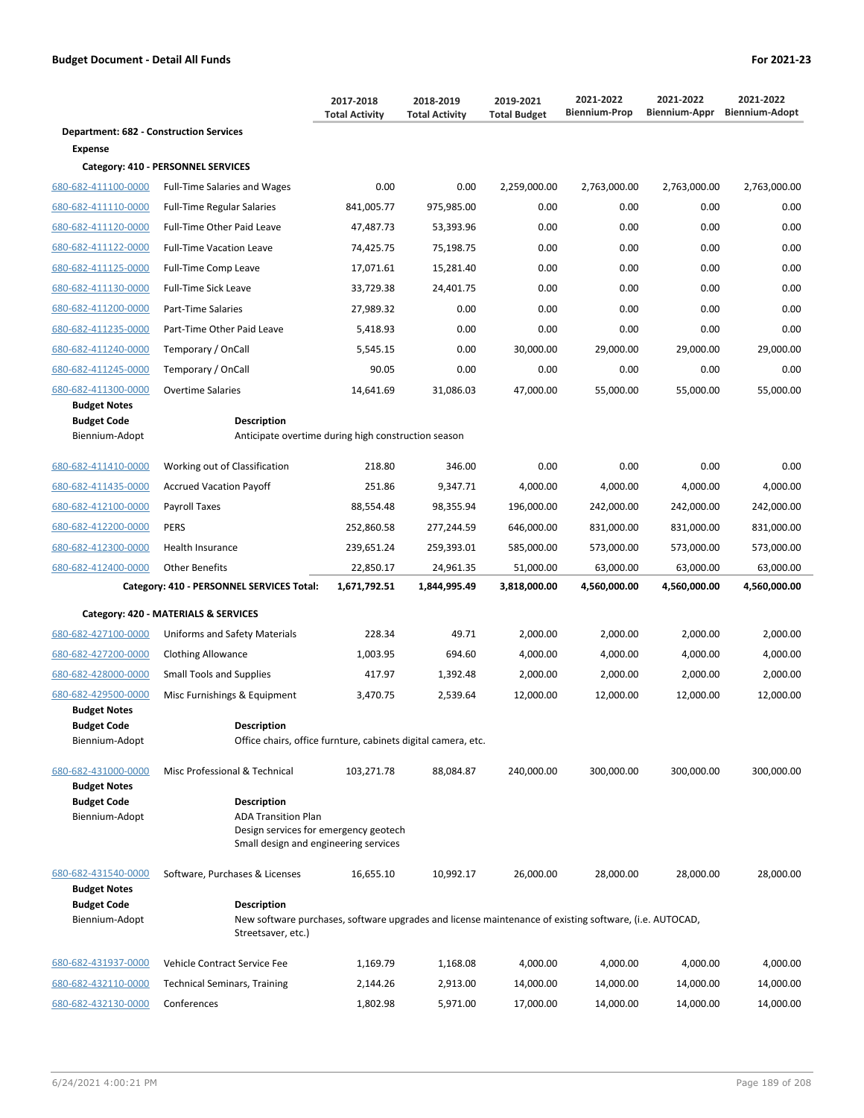|                                                             |                                                                                                                              | 2017-2018<br><b>Total Activity</b> | 2018-2019<br><b>Total Activity</b> | 2019-2021<br><b>Total Budget</b> | 2021-2022<br><b>Biennium-Prop</b> | 2021-2022<br>Biennium-Appr | 2021-2022<br><b>Biennium-Adopt</b> |
|-------------------------------------------------------------|------------------------------------------------------------------------------------------------------------------------------|------------------------------------|------------------------------------|----------------------------------|-----------------------------------|----------------------------|------------------------------------|
| <b>Department: 682 - Construction Services</b>              |                                                                                                                              |                                    |                                    |                                  |                                   |                            |                                    |
| Expense                                                     |                                                                                                                              |                                    |                                    |                                  |                                   |                            |                                    |
|                                                             | Category: 410 - PERSONNEL SERVICES                                                                                           |                                    |                                    |                                  |                                   |                            |                                    |
| 680-682-411100-0000                                         | <b>Full-Time Salaries and Wages</b>                                                                                          | 0.00                               | 0.00                               | 2,259,000.00                     | 2,763,000.00                      | 2,763,000.00               | 2,763,000.00                       |
| 680-682-411110-0000                                         | <b>Full-Time Regular Salaries</b>                                                                                            | 841,005.77                         | 975,985.00                         | 0.00                             | 0.00                              | 0.00                       | 0.00                               |
| 680-682-411120-0000                                         | Full-Time Other Paid Leave                                                                                                   | 47,487.73                          | 53,393.96                          | 0.00                             | 0.00                              | 0.00                       | 0.00                               |
| 680-682-411122-0000                                         | <b>Full-Time Vacation Leave</b>                                                                                              | 74,425.75                          | 75,198.75                          | 0.00                             | 0.00                              | 0.00                       | 0.00                               |
| 680-682-411125-0000                                         | <b>Full-Time Comp Leave</b>                                                                                                  | 17,071.61                          | 15,281.40                          | 0.00                             | 0.00                              | 0.00                       | 0.00                               |
| 680-682-411130-0000                                         | <b>Full-Time Sick Leave</b>                                                                                                  | 33,729.38                          | 24,401.75                          | 0.00                             | 0.00                              | 0.00                       | 0.00                               |
| 680-682-411200-0000                                         | Part-Time Salaries                                                                                                           | 27,989.32                          | 0.00                               | 0.00                             | 0.00                              | 0.00                       | 0.00                               |
| 680-682-411235-0000                                         | Part-Time Other Paid Leave                                                                                                   | 5,418.93                           | 0.00                               | 0.00                             | 0.00                              | 0.00                       | 0.00                               |
| 680-682-411240-0000                                         | Temporary / OnCall                                                                                                           | 5,545.15                           | 0.00                               | 30,000.00                        | 29,000.00                         | 29,000.00                  | 29,000.00                          |
| 680-682-411245-0000                                         | Temporary / OnCall                                                                                                           | 90.05                              | 0.00                               | 0.00                             | 0.00                              | 0.00                       | 0.00                               |
| 680-682-411300-0000                                         | <b>Overtime Salaries</b>                                                                                                     | 14,641.69                          | 31,086.03                          | 47,000.00                        | 55,000.00                         | 55,000.00                  | 55,000.00                          |
| <b>Budget Notes</b><br><b>Budget Code</b><br>Biennium-Adopt | <b>Description</b><br>Anticipate overtime during high construction season                                                    |                                    |                                    |                                  |                                   |                            |                                    |
|                                                             |                                                                                                                              |                                    |                                    |                                  |                                   |                            |                                    |
| 680-682-411410-0000                                         | Working out of Classification                                                                                                | 218.80                             | 346.00                             | 0.00                             | 0.00                              | 0.00                       | 0.00                               |
| 680-682-411435-0000                                         | <b>Accrued Vacation Payoff</b>                                                                                               | 251.86                             | 9,347.71                           | 4,000.00                         | 4,000.00                          | 4,000.00                   | 4,000.00                           |
| 680-682-412100-0000                                         | Payroll Taxes                                                                                                                | 88,554.48                          | 98,355.94                          | 196,000.00                       | 242,000.00                        | 242,000.00                 | 242,000.00                         |
| 680-682-412200-0000                                         | <b>PERS</b>                                                                                                                  | 252,860.58                         | 277,244.59                         | 646,000.00                       | 831,000.00                        | 831,000.00                 | 831,000.00                         |
| 680-682-412300-0000                                         | Health Insurance                                                                                                             | 239,651.24                         | 259,393.01                         | 585,000.00                       | 573,000.00                        | 573,000.00                 | 573,000.00                         |
| 680-682-412400-0000                                         | <b>Other Benefits</b>                                                                                                        | 22,850.17                          | 24,961.35                          | 51,000.00                        | 63,000.00                         | 63,000.00                  | 63,000.00                          |
|                                                             | Category: 410 - PERSONNEL SERVICES Total:                                                                                    | 1,671,792.51                       | 1,844,995.49                       | 3,818,000.00                     | 4,560,000.00                      | 4,560,000.00               | 4,560,000.00                       |
|                                                             | Category: 420 - MATERIALS & SERVICES                                                                                         |                                    |                                    |                                  |                                   |                            |                                    |
| 680-682-427100-0000                                         | Uniforms and Safety Materials                                                                                                | 228.34                             | 49.71                              | 2.000.00                         | 2,000.00                          | 2,000.00                   | 2,000.00                           |
| 680-682-427200-0000                                         | <b>Clothing Allowance</b>                                                                                                    | 1.003.95                           | 694.60                             | 4,000.00                         | 4,000.00                          | 4,000.00                   | 4,000.00                           |
| 680-682-428000-0000                                         | <b>Small Tools and Supplies</b>                                                                                              | 417.97                             | 1,392.48                           | 2,000.00                         | 2,000.00                          | 2,000.00                   | 2,000.00                           |
| 680-682-429500-0000                                         | Misc Furnishings & Equipment                                                                                                 | 3,470.75                           | 2,539.64                           | 12,000.00                        | 12,000.00                         | 12,000.00                  | 12,000.00                          |
| <b>Budget Notes</b>                                         |                                                                                                                              |                                    |                                    |                                  |                                   |                            |                                    |
| <b>Budget Code</b><br>Biennium-Adopt                        | <b>Description</b><br>Office chairs, office furnture, cabinets digital camera, etc.                                          |                                    |                                    |                                  |                                   |                            |                                    |
|                                                             |                                                                                                                              |                                    |                                    |                                  |                                   |                            |                                    |
| 680-682-431000-0000<br><b>Budget Notes</b>                  | Misc Professional & Technical                                                                                                | 103,271.78                         | 88,084.87                          | 240,000.00                       | 300,000.00                        | 300,000.00                 | 300,000.00                         |
| <b>Budget Code</b><br>Biennium-Adopt                        | <b>Description</b><br><b>ADA Transition Plan</b>                                                                             |                                    |                                    |                                  |                                   |                            |                                    |
|                                                             | Design services for emergency geotech<br>Small design and engineering services                                               |                                    |                                    |                                  |                                   |                            |                                    |
| 680-682-431540-0000<br><b>Budget Notes</b>                  | Software, Purchases & Licenses                                                                                               | 16,655.10                          | 10,992.17                          | 26,000.00                        | 28,000.00                         | 28,000.00                  | 28,000.00                          |
| <b>Budget Code</b>                                          | <b>Description</b>                                                                                                           |                                    |                                    |                                  |                                   |                            |                                    |
| Biennium-Adopt                                              | New software purchases, software upgrades and license maintenance of existing software, (i.e. AUTOCAD,<br>Streetsaver, etc.) |                                    |                                    |                                  |                                   |                            |                                    |
| 680-682-431937-0000                                         | Vehicle Contract Service Fee                                                                                                 | 1,169.79                           | 1,168.08                           | 4,000.00                         | 4,000.00                          | 4,000.00                   | 4,000.00                           |
| 680-682-432110-0000                                         | <b>Technical Seminars, Training</b>                                                                                          | 2,144.26                           | 2,913.00                           | 14,000.00                        | 14,000.00                         | 14,000.00                  | 14,000.00                          |
| 680-682-432130-0000                                         | Conferences                                                                                                                  | 1,802.98                           | 5,971.00                           | 17,000.00                        | 14,000.00                         | 14,000.00                  | 14,000.00                          |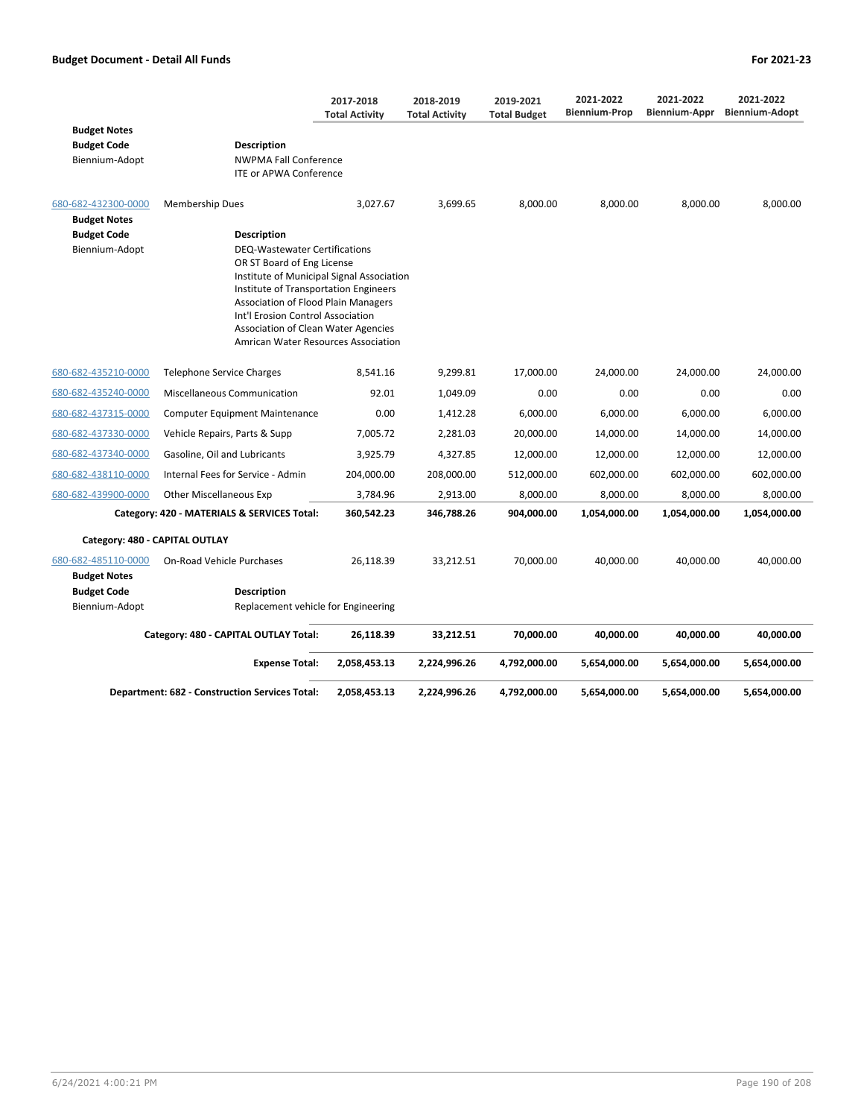|                     |                                                                                 | 2017-2018<br><b>Total Activity</b> | 2018-2019<br><b>Total Activity</b> | 2019-2021<br><b>Total Budget</b> | 2021-2022<br><b>Biennium-Prop</b> | 2021-2022<br>Biennium-Appr | 2021-2022<br><b>Biennium-Adopt</b> |
|---------------------|---------------------------------------------------------------------------------|------------------------------------|------------------------------------|----------------------------------|-----------------------------------|----------------------------|------------------------------------|
| <b>Budget Notes</b> |                                                                                 |                                    |                                    |                                  |                                   |                            |                                    |
| <b>Budget Code</b>  | <b>Description</b>                                                              |                                    |                                    |                                  |                                   |                            |                                    |
| Biennium-Adopt      | <b>NWPMA Fall Conference</b><br><b>ITE or APWA Conference</b>                   |                                    |                                    |                                  |                                   |                            |                                    |
|                     |                                                                                 |                                    |                                    |                                  |                                   |                            |                                    |
| 680-682-432300-0000 | <b>Membership Dues</b>                                                          | 3,027.67                           | 3,699.65                           | 8,000.00                         | 8,000.00                          | 8,000.00                   | 8,000.00                           |
| <b>Budget Notes</b> |                                                                                 |                                    |                                    |                                  |                                   |                            |                                    |
| <b>Budget Code</b>  | <b>Description</b>                                                              |                                    |                                    |                                  |                                   |                            |                                    |
| Biennium-Adopt      | <b>DEQ-Wastewater Certifications</b><br>OR ST Board of Eng License              |                                    |                                    |                                  |                                   |                            |                                    |
|                     | Institute of Municipal Signal Association                                       |                                    |                                    |                                  |                                   |                            |                                    |
|                     | Institute of Transportation Engineers                                           |                                    |                                    |                                  |                                   |                            |                                    |
|                     | <b>Association of Flood Plain Managers</b><br>Int'l Erosion Control Association |                                    |                                    |                                  |                                   |                            |                                    |
|                     | Association of Clean Water Agencies                                             |                                    |                                    |                                  |                                   |                            |                                    |
|                     | Amrican Water Resources Association                                             |                                    |                                    |                                  |                                   |                            |                                    |
| 680-682-435210-0000 | <b>Telephone Service Charges</b>                                                | 8,541.16                           | 9,299.81                           | 17,000.00                        | 24,000.00                         | 24,000.00                  | 24,000.00                          |
| 680-682-435240-0000 | <b>Miscellaneous Communication</b>                                              | 92.01                              | 1,049.09                           | 0.00                             | 0.00                              | 0.00                       | 0.00                               |
| 680-682-437315-0000 | <b>Computer Equipment Maintenance</b>                                           | 0.00                               | 1,412.28                           | 6,000.00                         | 6,000.00                          | 6,000.00                   | 6,000.00                           |
| 680-682-437330-0000 | Vehicle Repairs, Parts & Supp                                                   | 7,005.72                           | 2,281.03                           | 20,000.00                        | 14,000.00                         | 14,000.00                  | 14,000.00                          |
| 680-682-437340-0000 | Gasoline, Oil and Lubricants                                                    | 3,925.79                           | 4,327.85                           | 12,000.00                        | 12,000.00                         | 12,000.00                  | 12,000.00                          |
| 680-682-438110-0000 | Internal Fees for Service - Admin                                               | 204,000.00                         | 208,000.00                         | 512,000.00                       | 602,000.00                        | 602,000.00                 | 602,000.00                         |
| 680-682-439900-0000 | <b>Other Miscellaneous Exp</b>                                                  | 3,784.96                           | 2,913.00                           | 8,000.00                         | 8,000.00                          | 8,000.00                   | 8,000.00                           |
|                     | Category: 420 - MATERIALS & SERVICES Total:                                     | 360,542.23                         | 346,788.26                         | 904,000.00                       | 1,054,000.00                      | 1,054,000.00               | 1,054,000.00                       |
|                     | Category: 480 - CAPITAL OUTLAY                                                  |                                    |                                    |                                  |                                   |                            |                                    |
| 680-682-485110-0000 | On-Road Vehicle Purchases                                                       | 26,118.39                          | 33,212.51                          | 70,000.00                        | 40,000.00                         | 40,000.00                  | 40,000.00                          |
| <b>Budget Notes</b> |                                                                                 |                                    |                                    |                                  |                                   |                            |                                    |
| <b>Budget Code</b>  | <b>Description</b>                                                              |                                    |                                    |                                  |                                   |                            |                                    |
| Biennium-Adopt      | Replacement vehicle for Engineering                                             |                                    |                                    |                                  |                                   |                            |                                    |
|                     | Category: 480 - CAPITAL OUTLAY Total:                                           | 26,118.39                          | 33,212.51                          | 70,000.00                        | 40,000.00                         | 40,000.00                  | 40,000.00                          |
|                     | <b>Expense Total:</b>                                                           | 2,058,453.13                       | 2,224,996.26                       | 4,792,000.00                     | 5,654,000.00                      | 5,654,000.00               | 5,654,000.00                       |
|                     | <b>Department: 682 - Construction Services Total:</b>                           | 2,058,453.13                       | 2,224,996.26                       | 4,792,000.00                     | 5,654,000.00                      | 5,654,000.00               | 5,654,000.00                       |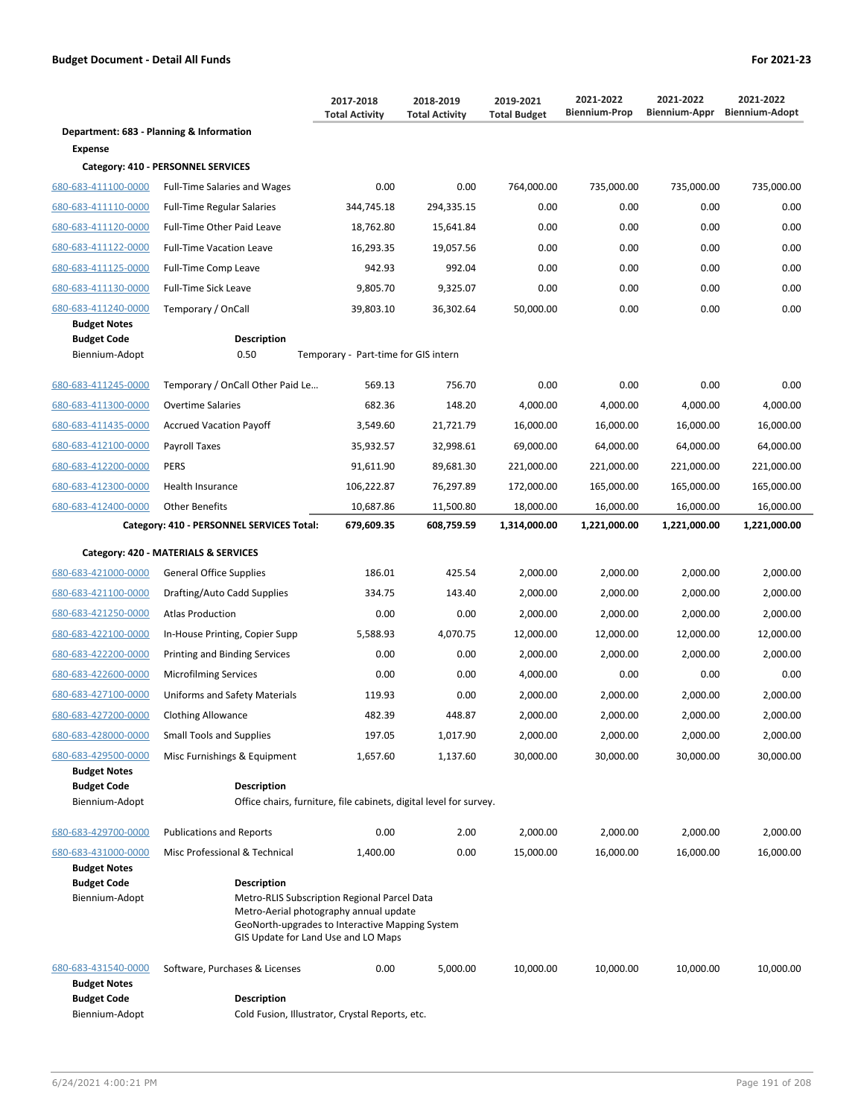|                                            |                                                                                          | 2017-2018<br><b>Total Activity</b>                                                                                                                                               | 2018-2019<br><b>Total Activity</b> | 2019-2021<br><b>Total Budget</b> | 2021-2022<br><b>Biennium-Prop</b> | 2021-2022<br>Biennium-Appr | 2021-2022<br><b>Biennium-Adopt</b> |  |
|--------------------------------------------|------------------------------------------------------------------------------------------|----------------------------------------------------------------------------------------------------------------------------------------------------------------------------------|------------------------------------|----------------------------------|-----------------------------------|----------------------------|------------------------------------|--|
| Department: 683 - Planning & Information   |                                                                                          |                                                                                                                                                                                  |                                    |                                  |                                   |                            |                                    |  |
| Expense                                    |                                                                                          |                                                                                                                                                                                  |                                    |                                  |                                   |                            |                                    |  |
|                                            | Category: 410 - PERSONNEL SERVICES                                                       |                                                                                                                                                                                  |                                    |                                  |                                   |                            |                                    |  |
| 680-683-411100-0000                        | <b>Full-Time Salaries and Wages</b>                                                      | 0.00                                                                                                                                                                             | 0.00                               | 764,000.00                       | 735,000.00                        | 735,000.00                 | 735,000.00                         |  |
| 680-683-411110-0000                        | <b>Full-Time Regular Salaries</b>                                                        | 344,745.18                                                                                                                                                                       | 294,335.15                         | 0.00                             | 0.00                              | 0.00                       | 0.00                               |  |
| 680-683-411120-0000                        | Full-Time Other Paid Leave                                                               | 18,762.80                                                                                                                                                                        | 15,641.84                          | 0.00                             | 0.00                              | 0.00                       | 0.00                               |  |
| 680-683-411122-0000                        | <b>Full-Time Vacation Leave</b>                                                          | 16,293.35                                                                                                                                                                        | 19,057.56                          | 0.00                             | 0.00                              | 0.00                       | 0.00                               |  |
| 680-683-411125-0000                        | Full-Time Comp Leave                                                                     | 942.93                                                                                                                                                                           | 992.04                             | 0.00                             | 0.00                              | 0.00                       | 0.00                               |  |
| 680-683-411130-0000                        | <b>Full-Time Sick Leave</b>                                                              | 9,805.70                                                                                                                                                                         | 9,325.07                           | 0.00                             | 0.00                              | 0.00                       | 0.00                               |  |
| 680-683-411240-0000                        | Temporary / OnCall                                                                       | 39,803.10                                                                                                                                                                        | 36,302.64                          | 50,000.00                        | 0.00                              | 0.00                       | 0.00                               |  |
| <b>Budget Notes</b><br><b>Budget Code</b>  | <b>Description</b>                                                                       |                                                                                                                                                                                  |                                    |                                  |                                   |                            |                                    |  |
| Biennium-Adopt                             | 0.50                                                                                     | Temporary - Part-time for GIS intern                                                                                                                                             |                                    |                                  |                                   |                            |                                    |  |
| 680-683-411245-0000                        | Temporary / OnCall Other Paid Le                                                         | 569.13                                                                                                                                                                           | 756.70                             | 0.00                             | 0.00                              | 0.00                       | 0.00                               |  |
| 680-683-411300-0000                        | <b>Overtime Salaries</b>                                                                 | 682.36                                                                                                                                                                           | 148.20                             | 4,000.00                         | 4,000.00                          | 4,000.00                   | 4,000.00                           |  |
| 680-683-411435-0000                        | <b>Accrued Vacation Payoff</b>                                                           | 3,549.60                                                                                                                                                                         | 21,721.79                          | 16,000.00                        | 16,000.00                         | 16,000.00                  | 16,000.00                          |  |
| 680-683-412100-0000                        | Payroll Taxes                                                                            | 35,932.57                                                                                                                                                                        | 32,998.61                          | 69,000.00                        | 64,000.00                         | 64,000.00                  | 64,000.00                          |  |
| 680-683-412200-0000                        | PERS                                                                                     | 91,611.90                                                                                                                                                                        | 89,681.30                          | 221,000.00                       | 221,000.00                        | 221,000.00                 | 221,000.00                         |  |
| 680-683-412300-0000                        | Health Insurance                                                                         | 106,222.87                                                                                                                                                                       | 76,297.89                          | 172,000.00                       | 165,000.00                        | 165,000.00                 | 165,000.00                         |  |
| 680-683-412400-0000                        | <b>Other Benefits</b>                                                                    | 10,687.86                                                                                                                                                                        | 11,500.80                          | 18,000.00                        | 16,000.00                         | 16,000.00                  | 16,000.00                          |  |
|                                            | Category: 410 - PERSONNEL SERVICES Total:                                                | 679,609.35                                                                                                                                                                       | 608,759.59                         | 1,314,000.00                     | 1,221,000.00                      | 1,221,000.00               | 1,221,000.00                       |  |
|                                            | Category: 420 - MATERIALS & SERVICES                                                     |                                                                                                                                                                                  |                                    |                                  |                                   |                            |                                    |  |
| 680-683-421000-0000                        | <b>General Office Supplies</b>                                                           | 186.01                                                                                                                                                                           | 425.54                             | 2,000.00                         | 2,000.00                          | 2,000.00                   | 2,000.00                           |  |
| 680-683-421100-0000                        | Drafting/Auto Cadd Supplies                                                              | 334.75                                                                                                                                                                           | 143.40                             | 2,000.00                         | 2,000.00                          | 2,000.00                   | 2,000.00                           |  |
| 680-683-421250-0000                        | <b>Atlas Production</b>                                                                  | 0.00                                                                                                                                                                             | 0.00                               | 2,000.00                         | 2,000.00                          | 2,000.00                   | 2,000.00                           |  |
| 680-683-422100-0000                        | In-House Printing, Copier Supp                                                           | 5,588.93                                                                                                                                                                         | 4,070.75                           | 12,000.00                        | 12,000.00                         | 12,000.00                  | 12,000.00                          |  |
| 680-683-422200-0000                        | Printing and Binding Services                                                            | 0.00                                                                                                                                                                             | 0.00                               | 2,000.00                         | 2,000.00                          | 2,000.00                   | 2,000.00                           |  |
| 680-683-422600-0000                        | <b>Microfilming Services</b>                                                             | 0.00                                                                                                                                                                             | 0.00                               | 4,000.00                         | 0.00                              | 0.00                       | 0.00                               |  |
| 680-683-427100-0000                        | Uniforms and Safety Materials                                                            | 119.93                                                                                                                                                                           | 0.00                               | 2,000.00                         | 2,000.00                          | 2,000.00                   | 2,000.00                           |  |
| 680-683-427200-0000                        | Clothing Allowance                                                                       | 482.39                                                                                                                                                                           | 448.87                             | 2,000.00                         | 2,000.00                          | 2,000.00                   | 2,000.00                           |  |
| 680-683-428000-0000                        | <b>Small Tools and Supplies</b>                                                          | 197.05                                                                                                                                                                           | 1,017.90                           | 2,000.00                         | 2,000.00                          | 2,000.00                   | 2,000.00                           |  |
| 680-683-429500-0000                        | Misc Furnishings & Equipment                                                             | 1,657.60                                                                                                                                                                         | 1,137.60                           | 30,000.00                        | 30,000.00                         | 30,000.00                  | 30,000.00                          |  |
| <b>Budget Notes</b>                        |                                                                                          |                                                                                                                                                                                  |                                    |                                  |                                   |                            |                                    |  |
| <b>Budget Code</b><br>Biennium-Adopt       | <b>Description</b><br>Office chairs, furniture, file cabinets, digital level for survey. |                                                                                                                                                                                  |                                    |                                  |                                   |                            |                                    |  |
|                                            |                                                                                          |                                                                                                                                                                                  |                                    |                                  |                                   |                            |                                    |  |
| 680-683-429700-0000                        | <b>Publications and Reports</b>                                                          | 0.00                                                                                                                                                                             | 2.00                               | 2,000.00                         | 2,000.00                          | 2,000.00                   | 2,000.00                           |  |
| 680-683-431000-0000<br><b>Budget Notes</b> | Misc Professional & Technical                                                            | 1,400.00                                                                                                                                                                         | 0.00                               | 15,000.00                        | 16,000.00                         | 16,000.00                  | 16,000.00                          |  |
| <b>Budget Code</b>                         | <b>Description</b>                                                                       |                                                                                                                                                                                  |                                    |                                  |                                   |                            |                                    |  |
| Biennium-Adopt                             |                                                                                          | Metro-RLIS Subscription Regional Parcel Data<br>Metro-Aerial photography annual update<br>GeoNorth-upgrades to Interactive Mapping System<br>GIS Update for Land Use and LO Maps |                                    |                                  |                                   |                            |                                    |  |
| 680-683-431540-0000<br><b>Budget Notes</b> | Software, Purchases & Licenses                                                           | 0.00                                                                                                                                                                             | 5,000.00                           | 10,000.00                        | 10,000.00                         | 10,000.00                  | 10,000.00                          |  |
| <b>Budget Code</b><br>Biennium-Adopt       | <b>Description</b><br>Cold Fusion, Illustrator, Crystal Reports, etc.                    |                                                                                                                                                                                  |                                    |                                  |                                   |                            |                                    |  |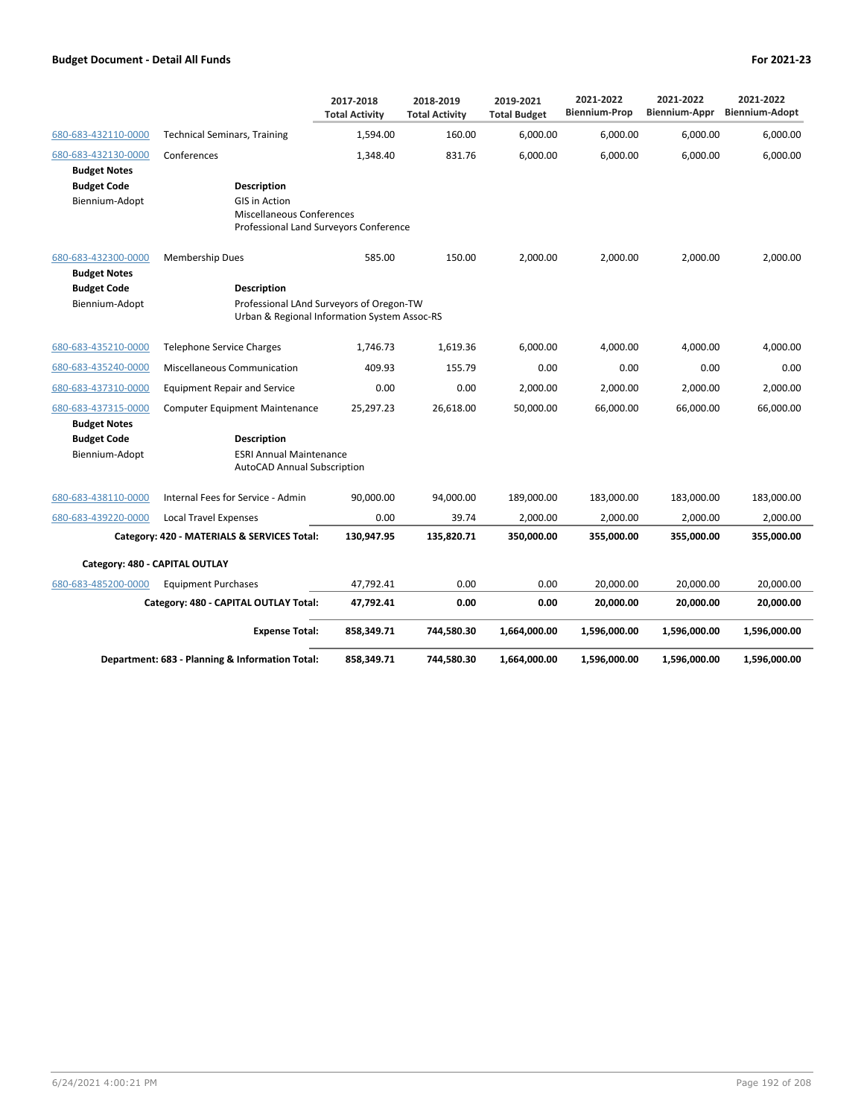|                                            |                                                                      | 2017-2018<br><b>Total Activity</b>                                                       | 2018-2019<br><b>Total Activity</b> | 2019-2021<br><b>Total Budget</b> | 2021-2022<br><b>Biennium-Prop</b> | 2021-2022<br>Biennium-Appr | 2021-2022<br><b>Biennium-Adopt</b> |
|--------------------------------------------|----------------------------------------------------------------------|------------------------------------------------------------------------------------------|------------------------------------|----------------------------------|-----------------------------------|----------------------------|------------------------------------|
| 680-683-432110-0000                        | <b>Technical Seminars, Training</b>                                  | 1,594.00                                                                                 | 160.00                             | 6,000.00                         | 6,000.00                          | 6,000.00                   | 6,000.00                           |
| 680-683-432130-0000                        | Conferences                                                          | 1.348.40                                                                                 | 831.76                             | 6.000.00                         | 6,000.00                          | 6.000.00                   | 6,000.00                           |
| <b>Budget Notes</b>                        |                                                                      |                                                                                          |                                    |                                  |                                   |                            |                                    |
| <b>Budget Code</b>                         | <b>Description</b>                                                   |                                                                                          |                                    |                                  |                                   |                            |                                    |
| Biennium-Adopt                             | <b>GIS in Action</b>                                                 |                                                                                          |                                    |                                  |                                   |                            |                                    |
|                                            | <b>Miscellaneous Conferences</b>                                     | Professional Land Surveyors Conference                                                   |                                    |                                  |                                   |                            |                                    |
|                                            |                                                                      |                                                                                          |                                    |                                  |                                   |                            |                                    |
| 680-683-432300-0000<br><b>Budget Notes</b> | <b>Membership Dues</b>                                               | 585.00                                                                                   | 150.00                             | 2,000.00                         | 2,000.00                          | 2,000.00                   | 2,000.00                           |
| <b>Budget Code</b><br>Biennium-Adopt       | <b>Description</b>                                                   | Professional LAnd Surveyors of Oregon-TW<br>Urban & Regional Information System Assoc-RS |                                    |                                  |                                   |                            |                                    |
| 680-683-435210-0000                        | <b>Telephone Service Charges</b>                                     | 1,746.73                                                                                 | 1,619.36                           | 6,000.00                         | 4,000.00                          | 4,000.00                   | 4,000.00                           |
| 680-683-435240-0000                        | <b>Miscellaneous Communication</b>                                   | 409.93                                                                                   | 155.79                             | 0.00                             | 0.00                              | 0.00                       | 0.00                               |
| 680-683-437310-0000                        | <b>Equipment Repair and Service</b>                                  | 0.00                                                                                     | 0.00                               | 2,000.00                         | 2,000.00                          | 2,000.00                   | 2,000.00                           |
| 680-683-437315-0000                        | <b>Computer Equipment Maintenance</b>                                | 25,297.23                                                                                | 26,618.00                          | 50,000.00                        | 66,000.00                         | 66,000.00                  | 66,000.00                          |
| <b>Budget Notes</b>                        |                                                                      |                                                                                          |                                    |                                  |                                   |                            |                                    |
| <b>Budget Code</b>                         | <b>Description</b>                                                   |                                                                                          |                                    |                                  |                                   |                            |                                    |
| Biennium-Adopt                             | <b>ESRI Annual Maintenance</b><br><b>AutoCAD Annual Subscription</b> |                                                                                          |                                    |                                  |                                   |                            |                                    |
| 680-683-438110-0000                        | Internal Fees for Service - Admin                                    | 90.000.00                                                                                | 94,000.00                          | 189,000.00                       | 183,000.00                        | 183,000.00                 | 183,000.00                         |
| 680-683-439220-0000                        | <b>Local Travel Expenses</b>                                         | 0.00                                                                                     | 39.74                              | 2,000.00                         | 2,000.00                          | 2,000.00                   | 2,000.00                           |
|                                            | Category: 420 - MATERIALS & SERVICES Total:                          | 130,947.95                                                                               | 135,820.71                         | 350,000.00                       | 355,000.00                        | 355,000.00                 | 355,000.00                         |
| Category: 480 - CAPITAL OUTLAY             |                                                                      |                                                                                          |                                    |                                  |                                   |                            |                                    |
| 680-683-485200-0000                        | <b>Equipment Purchases</b>                                           | 47,792.41                                                                                | 0.00                               | 0.00                             | 20,000.00                         | 20,000.00                  | 20,000.00                          |
|                                            | Category: 480 - CAPITAL OUTLAY Total:                                | 47,792.41                                                                                | 0.00                               | 0.00                             | 20,000.00                         | 20,000.00                  | 20,000.00                          |
|                                            | <b>Expense Total:</b>                                                | 858,349.71                                                                               | 744,580.30                         | 1,664,000.00                     | 1,596,000.00                      | 1,596,000.00               | 1,596,000.00                       |
|                                            | Department: 683 - Planning & Information Total:                      | 858,349.71                                                                               | 744,580.30                         | 1,664,000.00                     | 1,596,000.00                      | 1,596,000.00               | 1,596,000.00                       |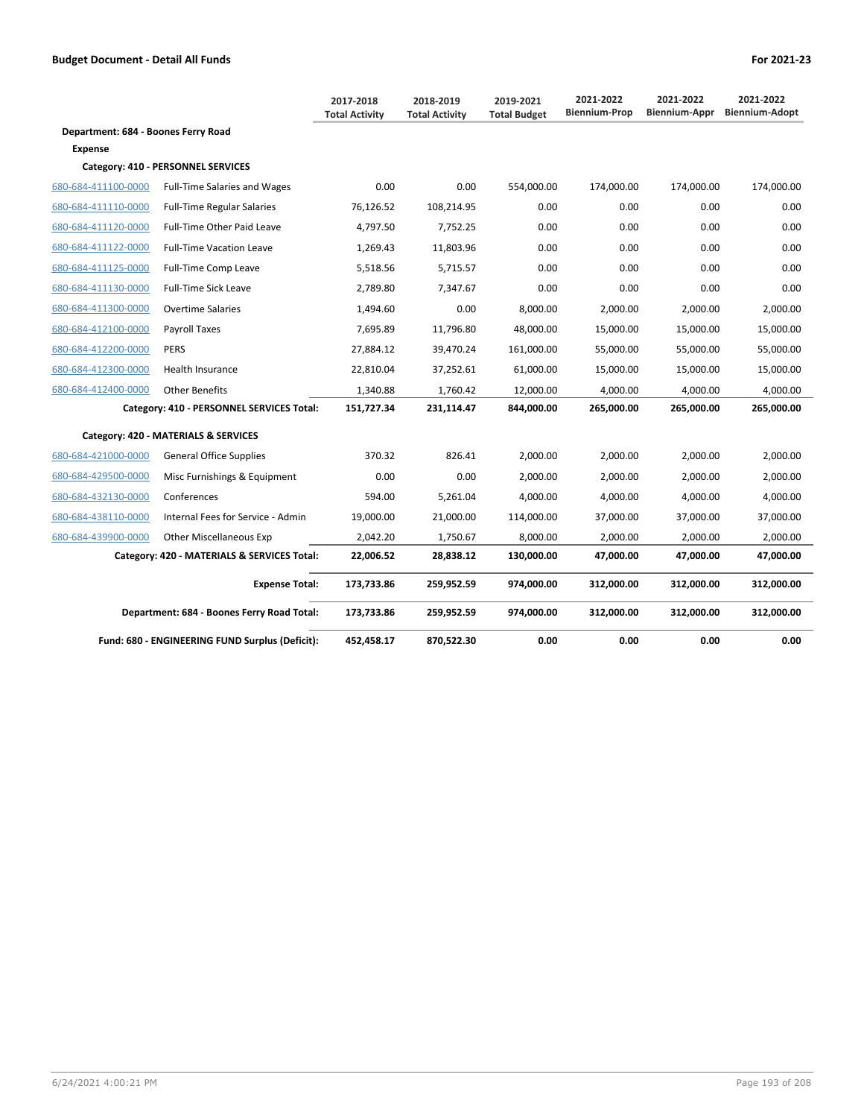|                                     |                                                 | 2017-2018<br><b>Total Activity</b> | 2018-2019<br><b>Total Activity</b> | 2019-2021<br><b>Total Budget</b> | 2021-2022<br><b>Biennium-Prop</b> | 2021-2022<br><b>Biennium-Appr</b> | 2021-2022<br><b>Biennium-Adopt</b> |
|-------------------------------------|-------------------------------------------------|------------------------------------|------------------------------------|----------------------------------|-----------------------------------|-----------------------------------|------------------------------------|
| Department: 684 - Boones Ferry Road |                                                 |                                    |                                    |                                  |                                   |                                   |                                    |
| <b>Expense</b>                      |                                                 |                                    |                                    |                                  |                                   |                                   |                                    |
|                                     | Category: 410 - PERSONNEL SERVICES              |                                    |                                    |                                  |                                   |                                   |                                    |
| 680-684-411100-0000                 | <b>Full-Time Salaries and Wages</b>             | 0.00                               | 0.00                               | 554,000.00                       | 174,000.00                        | 174,000.00                        | 174,000.00                         |
| 680-684-411110-0000                 | <b>Full-Time Regular Salaries</b>               | 76,126.52                          | 108,214.95                         | 0.00                             | 0.00                              | 0.00                              | 0.00                               |
| 680-684-411120-0000                 | <b>Full-Time Other Paid Leave</b>               | 4,797.50                           | 7,752.25                           | 0.00                             | 0.00                              | 0.00                              | 0.00                               |
| 680-684-411122-0000                 | <b>Full-Time Vacation Leave</b>                 | 1,269.43                           | 11,803.96                          | 0.00                             | 0.00                              | 0.00                              | 0.00                               |
| 680-684-411125-0000                 | Full-Time Comp Leave                            | 5,518.56                           | 5,715.57                           | 0.00                             | 0.00                              | 0.00                              | 0.00                               |
| 680-684-411130-0000                 | <b>Full-Time Sick Leave</b>                     | 2,789.80                           | 7,347.67                           | 0.00                             | 0.00                              | 0.00                              | 0.00                               |
| 680-684-411300-0000                 | <b>Overtime Salaries</b>                        | 1,494.60                           | 0.00                               | 8,000.00                         | 2.000.00                          | 2.000.00                          | 2.000.00                           |
| 680-684-412100-0000                 | Payroll Taxes                                   | 7,695.89                           | 11,796.80                          | 48,000.00                        | 15,000.00                         | 15,000.00                         | 15,000.00                          |
| 680-684-412200-0000                 | <b>PERS</b>                                     | 27,884.12                          | 39,470.24                          | 161,000.00                       | 55,000.00                         | 55,000.00                         | 55,000.00                          |
| 680-684-412300-0000                 | <b>Health Insurance</b>                         | 22,810.04                          | 37,252.61                          | 61,000.00                        | 15,000.00                         | 15,000.00                         | 15,000.00                          |
| 680-684-412400-0000                 | <b>Other Benefits</b>                           | 1,340.88                           | 1.760.42                           | 12,000.00                        | 4,000.00                          | 4,000.00                          | 4,000.00                           |
|                                     | Category: 410 - PERSONNEL SERVICES Total:       | 151,727.34                         | 231,114.47                         | 844,000.00                       | 265,000.00                        | 265,000.00                        | 265,000.00                         |
|                                     | Category: 420 - MATERIALS & SERVICES            |                                    |                                    |                                  |                                   |                                   |                                    |
| 680-684-421000-0000                 | <b>General Office Supplies</b>                  | 370.32                             | 826.41                             | 2,000.00                         | 2,000.00                          | 2,000.00                          | 2,000.00                           |
| 680-684-429500-0000                 | Misc Furnishings & Equipment                    | 0.00                               | 0.00                               | 2,000.00                         | 2,000.00                          | 2,000.00                          | 2,000.00                           |
| 680-684-432130-0000                 | Conferences                                     | 594.00                             | 5,261.04                           | 4.000.00                         | 4.000.00                          | 4.000.00                          | 4,000.00                           |
| 680-684-438110-0000                 | Internal Fees for Service - Admin               | 19,000.00                          | 21,000.00                          | 114,000.00                       | 37,000.00                         | 37,000.00                         | 37,000.00                          |
| 680-684-439900-0000                 | Other Miscellaneous Exp                         | 2,042.20                           | 1,750.67                           | 8,000.00                         | 2,000.00                          | 2,000.00                          | 2,000.00                           |
|                                     | Category: 420 - MATERIALS & SERVICES Total:     | 22,006.52                          | 28,838.12                          | 130,000.00                       | 47,000.00                         | 47,000.00                         | 47,000.00                          |
|                                     | <b>Expense Total:</b>                           | 173,733.86                         | 259,952.59                         | 974,000.00                       | 312,000.00                        | 312,000.00                        | 312,000.00                         |
|                                     | Department: 684 - Boones Ferry Road Total:      | 173,733.86                         | 259,952.59                         | 974,000.00                       | 312,000.00                        | 312,000.00                        | 312,000.00                         |
|                                     | Fund: 680 - ENGINEERING FUND Surplus (Deficit): | 452,458.17                         | 870,522.30                         | 0.00                             | 0.00                              | 0.00                              | 0.00                               |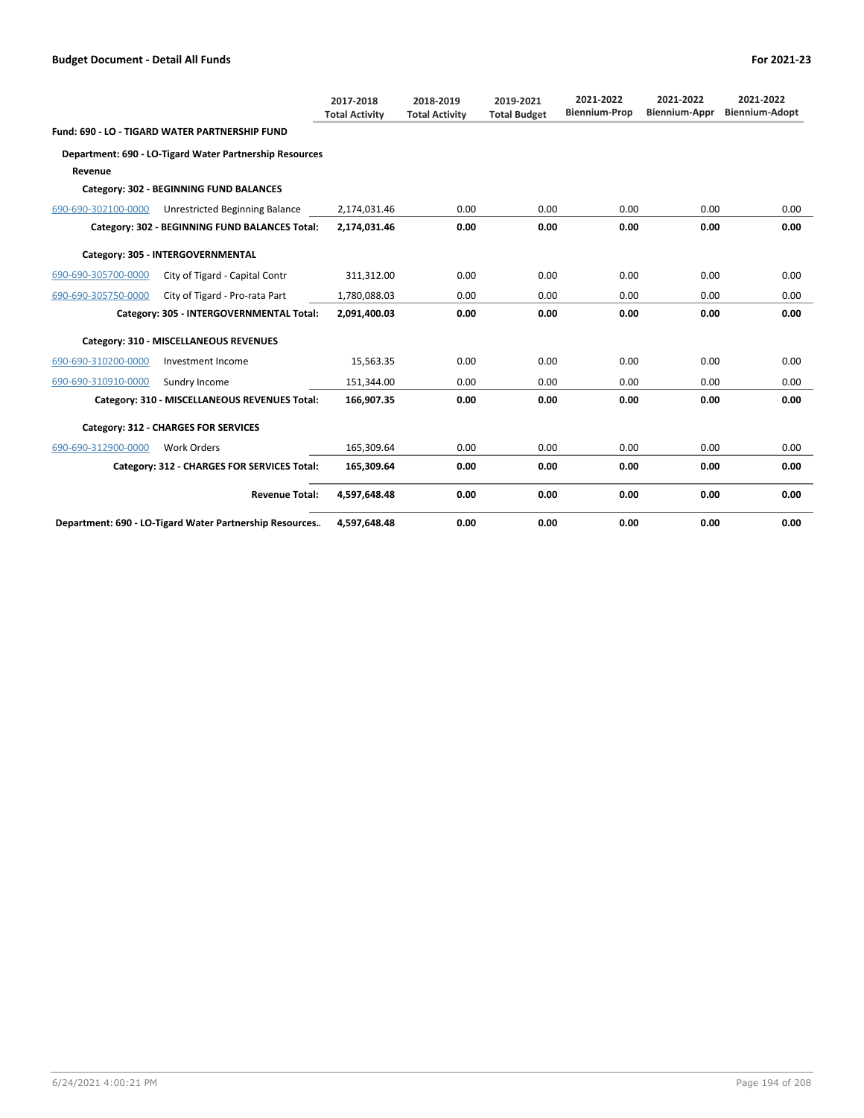|                     |                                                         | 2017-2018<br><b>Total Activity</b> | 2018-2019<br><b>Total Activity</b> | 2019-2021<br><b>Total Budget</b> | 2021-2022<br><b>Biennium-Prop</b> | 2021-2022<br><b>Biennium-Appr</b> | 2021-2022<br><b>Biennium-Adopt</b> |
|---------------------|---------------------------------------------------------|------------------------------------|------------------------------------|----------------------------------|-----------------------------------|-----------------------------------|------------------------------------|
|                     | Fund: 690 - LO - TIGARD WATER PARTNERSHIP FUND          |                                    |                                    |                                  |                                   |                                   |                                    |
|                     | Department: 690 - LO-Tigard Water Partnership Resources |                                    |                                    |                                  |                                   |                                   |                                    |
| Revenue             |                                                         |                                    |                                    |                                  |                                   |                                   |                                    |
|                     | Category: 302 - BEGINNING FUND BALANCES                 |                                    |                                    |                                  |                                   |                                   |                                    |
| 690-690-302100-0000 | Unrestricted Beginning Balance                          | 2,174,031.46                       | 0.00                               | 0.00                             | 0.00                              | 0.00                              | 0.00                               |
|                     | Category: 302 - BEGINNING FUND BALANCES Total:          | 2,174,031.46                       | 0.00                               | 0.00                             | 0.00                              | 0.00                              | 0.00                               |
|                     | Category: 305 - INTERGOVERNMENTAL                       |                                    |                                    |                                  |                                   |                                   |                                    |
| 690-690-305700-0000 | City of Tigard - Capital Contr                          | 311,312.00                         | 0.00                               | 0.00                             | 0.00                              | 0.00                              | 0.00                               |
| 690-690-305750-0000 | City of Tigard - Pro-rata Part                          | 1,780,088.03                       | 0.00                               | 0.00                             | 0.00                              | 0.00                              | 0.00                               |
|                     | Category: 305 - INTERGOVERNMENTAL Total:                | 2,091,400.03                       | 0.00                               | 0.00                             | 0.00                              | 0.00                              | 0.00                               |
|                     | Category: 310 - MISCELLANEOUS REVENUES                  |                                    |                                    |                                  |                                   |                                   |                                    |
| 690-690-310200-0000 | Investment Income                                       | 15,563.35                          | 0.00                               | 0.00                             | 0.00                              | 0.00                              | 0.00                               |
| 690-690-310910-0000 | Sundry Income                                           | 151,344.00                         | 0.00                               | 0.00                             | 0.00                              | 0.00                              | 0.00                               |
|                     | Category: 310 - MISCELLANEOUS REVENUES Total:           | 166,907.35                         | 0.00                               | 0.00                             | 0.00                              | 0.00                              | 0.00                               |
|                     | <b>Category: 312 - CHARGES FOR SERVICES</b>             |                                    |                                    |                                  |                                   |                                   |                                    |
| 690-690-312900-0000 | <b>Work Orders</b>                                      | 165.309.64                         | 0.00                               | 0.00                             | 0.00                              | 0.00                              | 0.00                               |
|                     | Category: 312 - CHARGES FOR SERVICES Total:             | 165,309.64                         | 0.00                               | 0.00                             | 0.00                              | 0.00                              | 0.00                               |
|                     | <b>Revenue Total:</b>                                   | 4,597,648.48                       | 0.00                               | 0.00                             | 0.00                              | 0.00                              | 0.00                               |
|                     | Department: 690 - LO-Tigard Water Partnership Resources | 4,597,648.48                       | 0.00                               | 0.00                             | 0.00                              | 0.00                              | 0.00                               |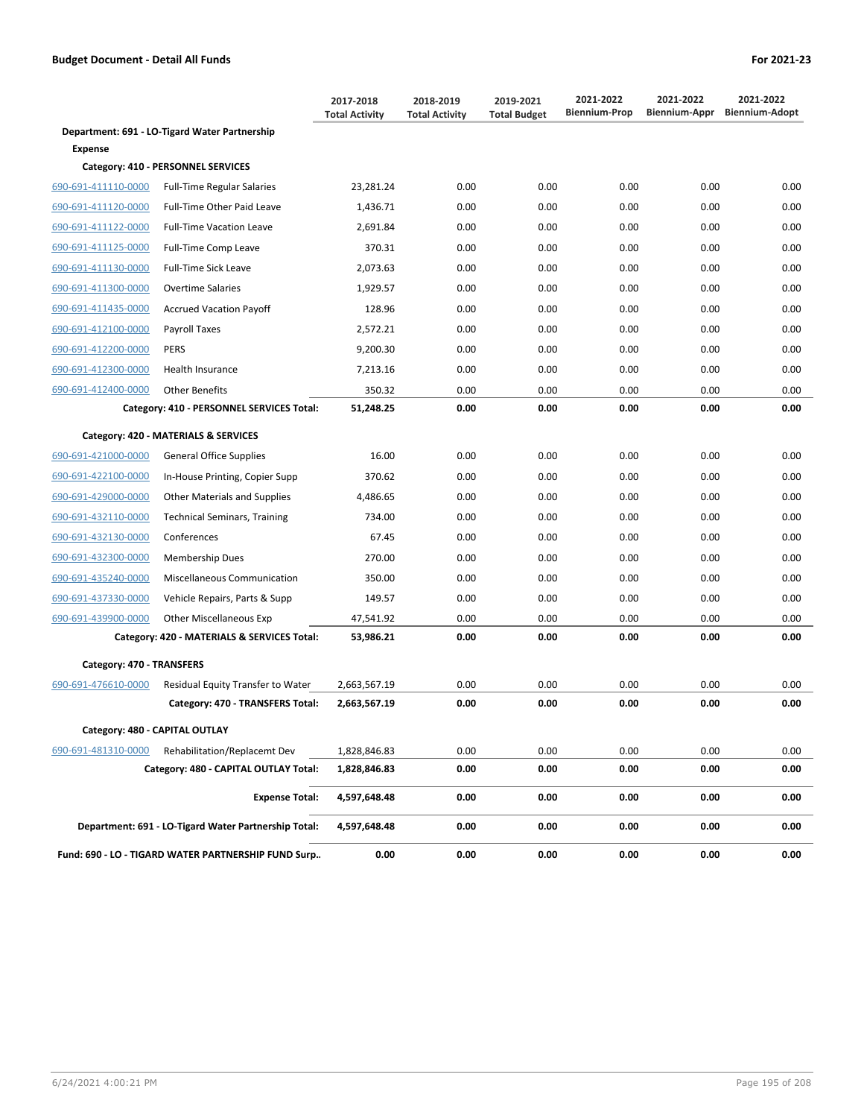|                                |                                                      | 2017-2018<br><b>Total Activity</b> | 2018-2019<br><b>Total Activity</b> | 2019-2021<br><b>Total Budget</b> | 2021-2022<br><b>Biennium-Prop</b> | 2021-2022<br>Biennium-Appr | 2021-2022<br><b>Biennium-Adopt</b> |
|--------------------------------|------------------------------------------------------|------------------------------------|------------------------------------|----------------------------------|-----------------------------------|----------------------------|------------------------------------|
|                                | Department: 691 - LO-Tigard Water Partnership        |                                    |                                    |                                  |                                   |                            |                                    |
| <b>Expense</b>                 |                                                      |                                    |                                    |                                  |                                   |                            |                                    |
|                                | Category: 410 - PERSONNEL SERVICES                   |                                    |                                    |                                  |                                   |                            |                                    |
| 690-691-411110-0000            | <b>Full-Time Regular Salaries</b>                    | 23,281.24                          | 0.00                               | 0.00                             | 0.00                              | 0.00                       | 0.00                               |
| 690-691-411120-0000            | Full-Time Other Paid Leave                           | 1,436.71                           | 0.00                               | 0.00                             | 0.00                              | 0.00                       | 0.00                               |
| 690-691-411122-0000            | <b>Full-Time Vacation Leave</b>                      | 2,691.84                           | 0.00                               | 0.00                             | 0.00                              | 0.00                       | 0.00                               |
| 690-691-411125-0000            | Full-Time Comp Leave                                 | 370.31                             | 0.00                               | 0.00                             | 0.00                              | 0.00                       | 0.00                               |
| 690-691-411130-0000            | <b>Full-Time Sick Leave</b>                          | 2,073.63                           | 0.00                               | 0.00                             | 0.00                              | 0.00                       | 0.00                               |
| 690-691-411300-0000            | <b>Overtime Salaries</b>                             | 1,929.57                           | 0.00                               | 0.00                             | 0.00                              | 0.00                       | 0.00                               |
| 690-691-411435-0000            | <b>Accrued Vacation Payoff</b>                       | 128.96                             | 0.00                               | 0.00                             | 0.00                              | 0.00                       | 0.00                               |
| 690-691-412100-0000            | Payroll Taxes                                        | 2,572.21                           | 0.00                               | 0.00                             | 0.00                              | 0.00                       | 0.00                               |
| 690-691-412200-0000            | <b>PERS</b>                                          | 9,200.30                           | 0.00                               | 0.00                             | 0.00                              | 0.00                       | 0.00                               |
| 690-691-412300-0000            | Health Insurance                                     | 7,213.16                           | 0.00                               | 0.00                             | 0.00                              | 0.00                       | 0.00                               |
| 690-691-412400-0000            | <b>Other Benefits</b>                                | 350.32                             | 0.00                               | 0.00                             | 0.00                              | 0.00                       | 0.00                               |
|                                | Category: 410 - PERSONNEL SERVICES Total:            | 51,248.25                          | 0.00                               | 0.00                             | 0.00                              | 0.00                       | 0.00                               |
|                                | Category: 420 - MATERIALS & SERVICES                 |                                    |                                    |                                  |                                   |                            |                                    |
| 690-691-421000-0000            | <b>General Office Supplies</b>                       | 16.00                              | 0.00                               | 0.00                             | 0.00                              | 0.00                       | 0.00                               |
| 690-691-422100-0000            | In-House Printing, Copier Supp                       | 370.62                             | 0.00                               | 0.00                             | 0.00                              | 0.00                       | 0.00                               |
| 690-691-429000-0000            | <b>Other Materials and Supplies</b>                  | 4,486.65                           | 0.00                               | 0.00                             | 0.00                              | 0.00                       | 0.00                               |
| 690-691-432110-0000            | <b>Technical Seminars, Training</b>                  | 734.00                             | 0.00                               | 0.00                             | 0.00                              | 0.00                       | 0.00                               |
| 690-691-432130-0000            | Conferences                                          | 67.45                              | 0.00                               | 0.00                             | 0.00                              | 0.00                       | 0.00                               |
| 690-691-432300-0000            | Membership Dues                                      | 270.00                             | 0.00                               | 0.00                             | 0.00                              | 0.00                       | 0.00                               |
| 690-691-435240-0000            | Miscellaneous Communication                          | 350.00                             | 0.00                               | 0.00                             | 0.00                              | 0.00                       | 0.00                               |
| 690-691-437330-0000            | Vehicle Repairs, Parts & Supp                        | 149.57                             | 0.00                               | 0.00                             | 0.00                              | 0.00                       | 0.00                               |
| 690-691-439900-0000            | <b>Other Miscellaneous Exp</b>                       | 47,541.92                          | 0.00                               | 0.00                             | 0.00                              | 0.00                       | 0.00                               |
|                                | Category: 420 - MATERIALS & SERVICES Total:          | 53,986.21                          | 0.00                               | 0.00                             | 0.00                              | 0.00                       | 0.00                               |
| Category: 470 - TRANSFERS      |                                                      |                                    |                                    |                                  |                                   |                            |                                    |
| 690-691-476610-0000            | Residual Equity Transfer to Water                    | 2,663,567.19                       | 0.00                               | 0.00                             | 0.00                              | 0.00                       | 0.00                               |
|                                | Category: 470 - TRANSFERS Total:                     | 2,663,567.19                       | 0.00                               | 0.00                             | 0.00                              | 0.00                       | 0.00                               |
| Category: 480 - CAPITAL OUTLAY |                                                      |                                    |                                    |                                  |                                   |                            |                                    |
| 690-691-481310-0000            | Rehabilitation/Replacemt Dev                         | 1,828,846.83                       | 0.00                               | 0.00                             | 0.00                              | 0.00                       | 0.00                               |
|                                | Category: 480 - CAPITAL OUTLAY Total:                | 1,828,846.83                       | 0.00                               | 0.00                             | 0.00                              | 0.00                       | 0.00                               |
|                                | <b>Expense Total:</b>                                | 4,597,648.48                       | 0.00                               | 0.00                             | 0.00                              | 0.00                       | 0.00                               |
|                                | Department: 691 - LO-Tigard Water Partnership Total: | 4,597,648.48                       | 0.00                               | 0.00                             | 0.00                              | 0.00                       | 0.00                               |
|                                | Fund: 690 - LO - TIGARD WATER PARTNERSHIP FUND Surp  | 0.00                               | 0.00                               | 0.00                             | 0.00                              | 0.00                       | 0.00                               |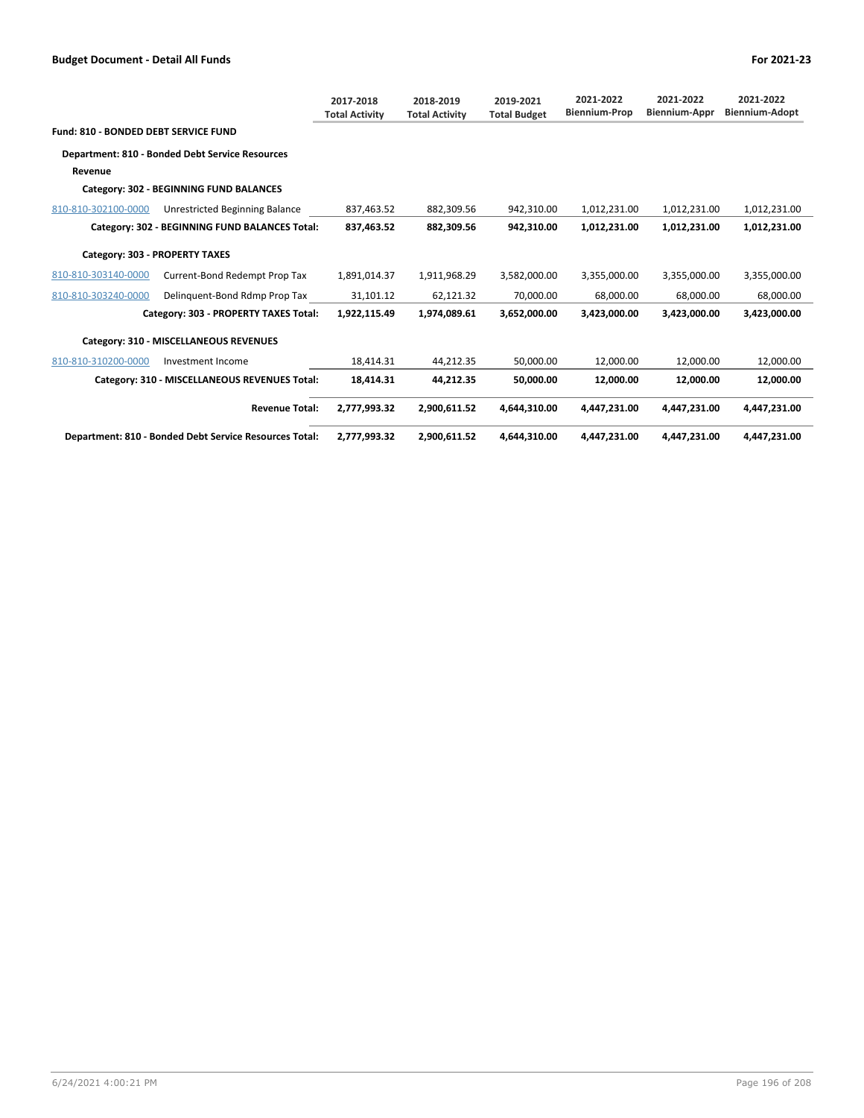|                                             |                                                        | 2017-2018<br><b>Total Activity</b> | 2018-2019<br><b>Total Activity</b> | 2019-2021<br><b>Total Budget</b> | 2021-2022<br><b>Biennium-Prop</b> | 2021-2022<br>Biennium-Appr | 2021-2022<br><b>Biennium-Adopt</b> |
|---------------------------------------------|--------------------------------------------------------|------------------------------------|------------------------------------|----------------------------------|-----------------------------------|----------------------------|------------------------------------|
| <b>Fund: 810 - BONDED DEBT SERVICE FUND</b> |                                                        |                                    |                                    |                                  |                                   |                            |                                    |
|                                             | <b>Department: 810 - Bonded Debt Service Resources</b> |                                    |                                    |                                  |                                   |                            |                                    |
| Revenue                                     |                                                        |                                    |                                    |                                  |                                   |                            |                                    |
|                                             | Category: 302 - BEGINNING FUND BALANCES                |                                    |                                    |                                  |                                   |                            |                                    |
| 810-810-302100-0000                         | Unrestricted Beginning Balance                         | 837,463.52                         | 882,309.56                         | 942,310.00                       | 1,012,231.00                      | 1,012,231.00               | 1,012,231.00                       |
|                                             | Category: 302 - BEGINNING FUND BALANCES Total:         | 837,463.52                         | 882,309.56                         | 942,310.00                       | 1,012,231.00                      | 1,012,231.00               | 1,012,231.00                       |
| Category: 303 - PROPERTY TAXES              |                                                        |                                    |                                    |                                  |                                   |                            |                                    |
| 810-810-303140-0000                         | Current-Bond Redempt Prop Tax                          | 1,891,014.37                       | 1,911,968.29                       | 3,582,000.00                     | 3,355,000.00                      | 3,355,000.00               | 3,355,000.00                       |
| 810-810-303240-0000                         | Delinguent-Bond Rdmp Prop Tax                          | 31,101.12                          | 62,121.32                          | 70,000.00                        | 68,000.00                         | 68,000.00                  | 68,000.00                          |
|                                             | Category: 303 - PROPERTY TAXES Total:                  | 1,922,115.49                       | 1,974,089.61                       | 3,652,000.00                     | 3,423,000.00                      | 3,423,000.00               | 3,423,000.00                       |
|                                             | Category: 310 - MISCELLANEOUS REVENUES                 |                                    |                                    |                                  |                                   |                            |                                    |
| 810-810-310200-0000                         | Investment Income                                      | 18,414.31                          | 44,212.35                          | 50,000.00                        | 12,000.00                         | 12,000.00                  | 12,000.00                          |
|                                             | Category: 310 - MISCELLANEOUS REVENUES Total:          | 18,414.31                          | 44,212.35                          | 50,000.00                        | 12,000.00                         | 12,000.00                  | 12,000.00                          |
|                                             | <b>Revenue Total:</b>                                  | 2,777,993.32                       | 2,900,611.52                       | 4,644,310.00                     | 4,447,231.00                      | 4,447,231.00               | 4,447,231.00                       |
|                                             | Department: 810 - Bonded Debt Service Resources Total: | 2,777,993.32                       | 2,900,611.52                       | 4,644,310.00                     | 4,447,231.00                      | 4,447,231.00               | 4,447,231.00                       |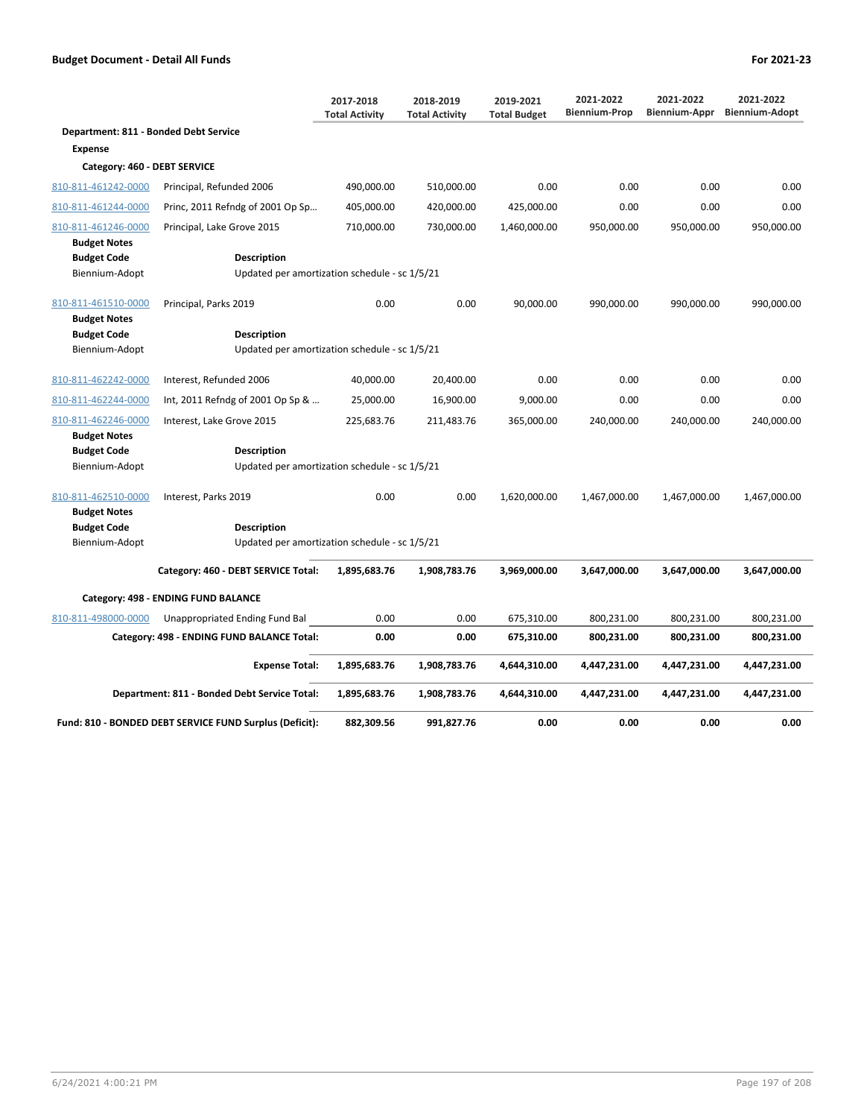|                                            |                                                         | 2017-2018<br><b>Total Activity</b> | 2018-2019<br><b>Total Activity</b> | 2019-2021<br><b>Total Budget</b> | 2021-2022<br><b>Biennium-Prop</b> | 2021-2022<br><b>Biennium-Appr</b> | 2021-2022<br><b>Biennium-Adopt</b> |
|--------------------------------------------|---------------------------------------------------------|------------------------------------|------------------------------------|----------------------------------|-----------------------------------|-----------------------------------|------------------------------------|
| Department: 811 - Bonded Debt Service      |                                                         |                                    |                                    |                                  |                                   |                                   |                                    |
| <b>Expense</b>                             |                                                         |                                    |                                    |                                  |                                   |                                   |                                    |
| Category: 460 - DEBT SERVICE               |                                                         |                                    |                                    |                                  |                                   |                                   |                                    |
| 810-811-461242-0000                        | Principal, Refunded 2006                                | 490,000.00                         | 510,000.00                         | 0.00                             | 0.00                              | 0.00                              | 0.00                               |
| 810-811-461244-0000                        | Princ, 2011 Refndg of 2001 Op Sp                        | 405,000.00                         | 420,000.00                         | 425,000.00                       | 0.00                              | 0.00                              | 0.00                               |
| 810-811-461246-0000                        | Principal, Lake Grove 2015                              | 710,000.00                         | 730,000.00                         | 1,460,000.00                     | 950,000.00                        | 950,000.00                        | 950,000.00                         |
| <b>Budget Notes</b>                        |                                                         |                                    |                                    |                                  |                                   |                                   |                                    |
| <b>Budget Code</b>                         | <b>Description</b>                                      |                                    |                                    |                                  |                                   |                                   |                                    |
| Biennium-Adopt                             | Updated per amortization schedule - sc 1/5/21           |                                    |                                    |                                  |                                   |                                   |                                    |
| 810-811-461510-0000<br><b>Budget Notes</b> | Principal, Parks 2019                                   | 0.00                               | 0.00                               | 90,000.00                        | 990,000.00                        | 990,000.00                        | 990,000.00                         |
| <b>Budget Code</b>                         | <b>Description</b>                                      |                                    |                                    |                                  |                                   |                                   |                                    |
| Biennium-Adopt                             | Updated per amortization schedule - sc 1/5/21           |                                    |                                    |                                  |                                   |                                   |                                    |
| 810-811-462242-0000                        | Interest, Refunded 2006                                 | 40,000.00                          | 20,400.00                          | 0.00                             | 0.00                              | 0.00                              | 0.00                               |
| 810-811-462244-0000                        | Int, 2011 Refndg of 2001 Op Sp &                        | 25,000.00                          | 16,900.00                          | 9,000.00                         | 0.00                              | 0.00                              | 0.00                               |
| 810-811-462246-0000                        | Interest, Lake Grove 2015                               | 225,683.76                         | 211,483.76                         | 365,000.00                       | 240,000.00                        | 240,000.00                        | 240,000.00                         |
| <b>Budget Notes</b>                        |                                                         |                                    |                                    |                                  |                                   |                                   |                                    |
| <b>Budget Code</b>                         | Description                                             |                                    |                                    |                                  |                                   |                                   |                                    |
| Biennium-Adopt                             | Updated per amortization schedule - sc 1/5/21           |                                    |                                    |                                  |                                   |                                   |                                    |
| 810-811-462510-0000                        | Interest, Parks 2019                                    | 0.00                               | 0.00                               | 1,620,000.00                     | 1,467,000.00                      | 1,467,000.00                      | 1,467,000.00                       |
| <b>Budget Notes</b>                        |                                                         |                                    |                                    |                                  |                                   |                                   |                                    |
| <b>Budget Code</b>                         | <b>Description</b>                                      |                                    |                                    |                                  |                                   |                                   |                                    |
| Biennium-Adopt                             | Updated per amortization schedule - sc 1/5/21           |                                    |                                    |                                  |                                   |                                   |                                    |
|                                            | Category: 460 - DEBT SERVICE Total:                     | 1,895,683.76                       | 1,908,783.76                       | 3,969,000.00                     | 3,647,000.00                      | 3,647,000.00                      | 3,647,000.00                       |
|                                            | Category: 498 - ENDING FUND BALANCE                     |                                    |                                    |                                  |                                   |                                   |                                    |
| 810-811-498000-0000                        | Unappropriated Ending Fund Bal                          | 0.00                               | 0.00                               | 675,310.00                       | 800,231.00                        | 800,231.00                        | 800,231.00                         |
|                                            | Category: 498 - ENDING FUND BALANCE Total:              | 0.00                               | 0.00                               | 675,310.00                       | 800,231.00                        | 800,231.00                        | 800,231.00                         |
|                                            |                                                         |                                    |                                    |                                  |                                   |                                   |                                    |
|                                            | <b>Expense Total:</b>                                   | 1,895,683.76                       | 1,908,783.76                       | 4,644,310.00                     | 4,447,231.00                      | 4,447,231.00                      | 4,447,231.00                       |
|                                            | Department: 811 - Bonded Debt Service Total:            | 1,895,683.76                       | 1,908,783.76                       | 4,644,310.00                     | 4,447,231.00                      | 4,447,231.00                      | 4,447,231.00                       |
|                                            | Fund: 810 - BONDED DEBT SERVICE FUND Surplus (Deficit): | 882,309.56                         | 991,827.76                         | 0.00                             | 0.00                              | 0.00                              | 0.00                               |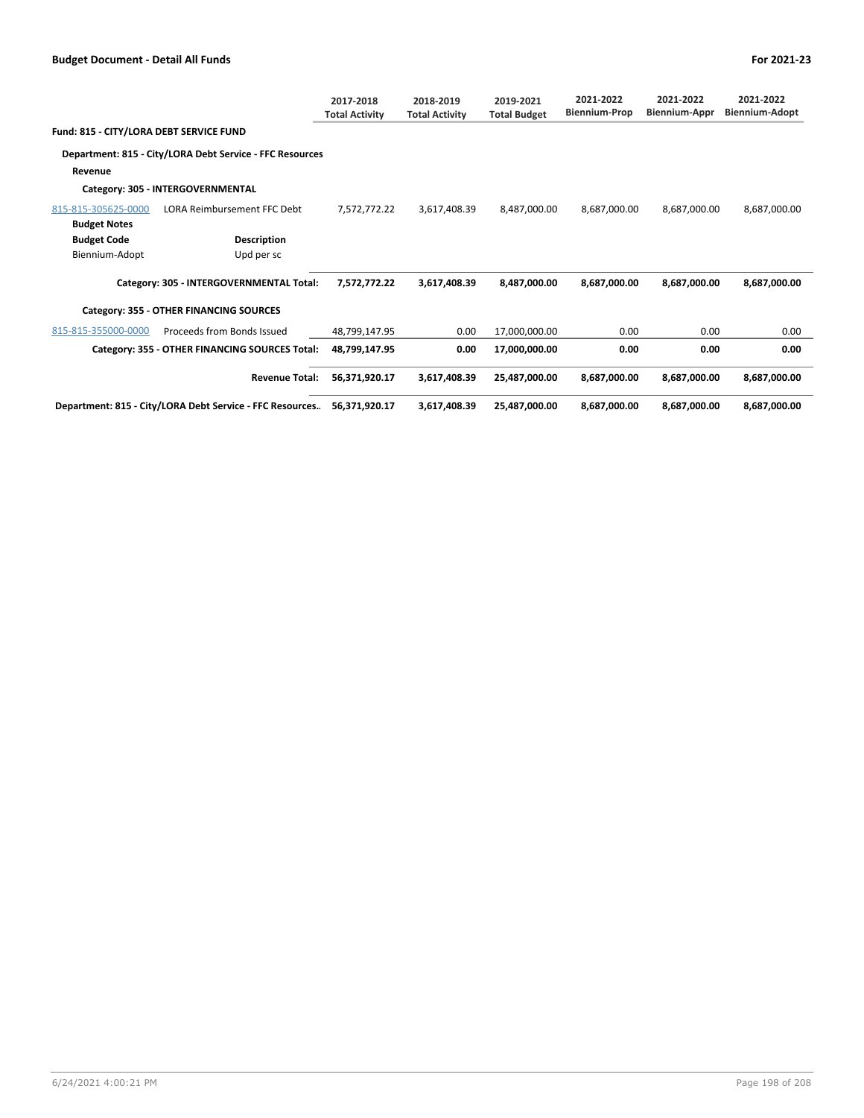|                                         |                                                           | 2017-2018<br><b>Total Activity</b> | 2018-2019<br><b>Total Activity</b> | 2019-2021<br><b>Total Budget</b> | 2021-2022<br><b>Biennium-Prop</b> | 2021-2022<br>Biennium-Appr | 2021-2022<br><b>Biennium-Adopt</b> |
|-----------------------------------------|-----------------------------------------------------------|------------------------------------|------------------------------------|----------------------------------|-----------------------------------|----------------------------|------------------------------------|
| Fund: 815 - CITY/LORA DEBT SERVICE FUND |                                                           |                                    |                                    |                                  |                                   |                            |                                    |
|                                         | Department: 815 - City/LORA Debt Service - FFC Resources  |                                    |                                    |                                  |                                   |                            |                                    |
| Revenue                                 |                                                           |                                    |                                    |                                  |                                   |                            |                                    |
|                                         | Category: 305 - INTERGOVERNMENTAL                         |                                    |                                    |                                  |                                   |                            |                                    |
| 815-815-305625-0000                     | <b>LORA Reimbursement FFC Debt</b>                        | 7,572,772.22                       | 3,617,408.39                       | 8,487,000.00                     | 8,687,000.00                      | 8,687,000.00               | 8,687,000.00                       |
| <b>Budget Notes</b>                     |                                                           |                                    |                                    |                                  |                                   |                            |                                    |
| <b>Budget Code</b>                      | Description                                               |                                    |                                    |                                  |                                   |                            |                                    |
| Biennium-Adopt                          | Upd per sc                                                |                                    |                                    |                                  |                                   |                            |                                    |
|                                         | Category: 305 - INTERGOVERNMENTAL Total:                  | 7,572,772.22                       | 3,617,408.39                       | 8,487,000.00                     | 8,687,000.00                      | 8,687,000.00               | 8,687,000.00                       |
|                                         | Category: 355 - OTHER FINANCING SOURCES                   |                                    |                                    |                                  |                                   |                            |                                    |
| 815-815-355000-0000                     | Proceeds from Bonds Issued                                | 48,799,147.95                      | 0.00                               | 17,000,000.00                    | 0.00                              | 0.00                       | 0.00                               |
|                                         | Category: 355 - OTHER FINANCING SOURCES Total:            | 48,799,147.95                      | 0.00                               | 17,000,000.00                    | 0.00                              | 0.00                       | 0.00                               |
|                                         | <b>Revenue Total:</b>                                     | 56,371,920.17                      | 3,617,408.39                       | 25,487,000.00                    | 8,687,000.00                      | 8,687,000.00               | 8,687,000.00                       |
|                                         | Department: 815 - City/LORA Debt Service - FFC Resources. | 56.371.920.17                      | 3,617,408.39                       | 25,487,000.00                    | 8,687,000.00                      | 8,687,000.00               | 8,687,000.00                       |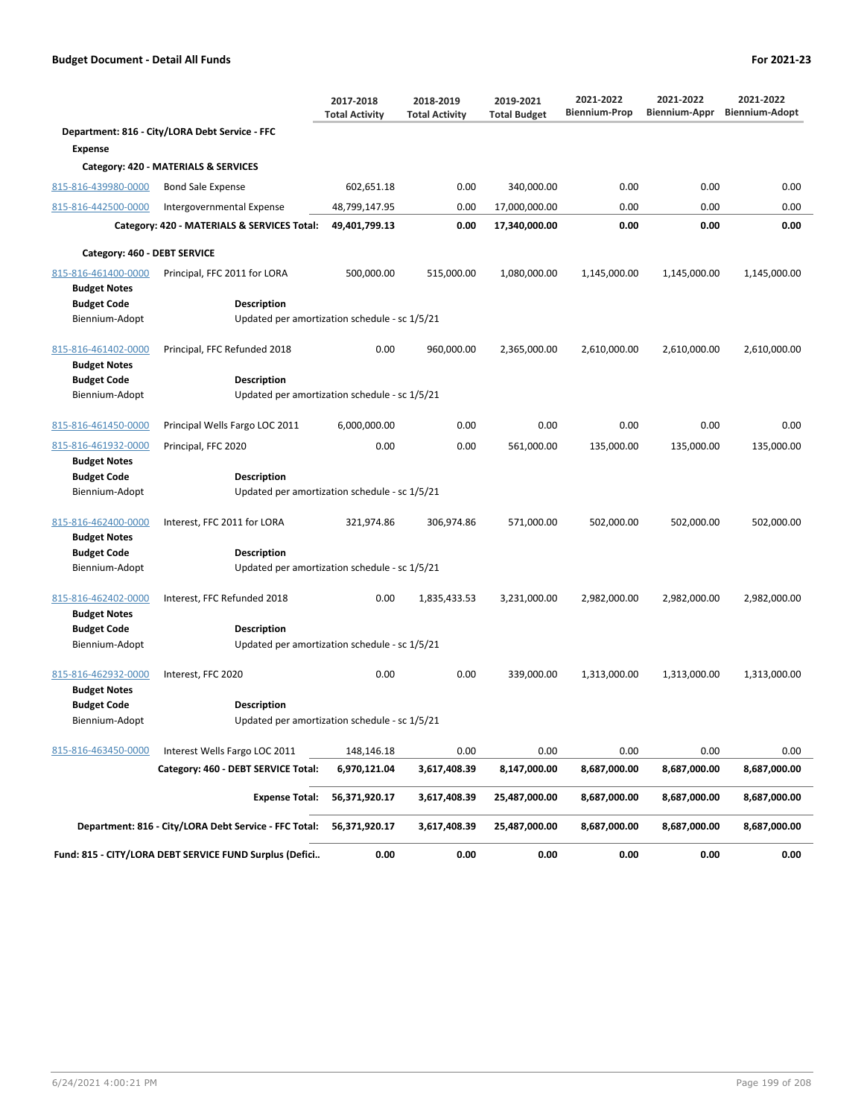|                                            |                                                         | 2017-2018<br><b>Total Activity</b> | 2018-2019<br><b>Total Activity</b> | 2019-2021<br><b>Total Budget</b> | 2021-2022<br><b>Biennium-Prop</b> | 2021-2022<br>Biennium-Appr | 2021-2022<br><b>Biennium-Adopt</b> |
|--------------------------------------------|---------------------------------------------------------|------------------------------------|------------------------------------|----------------------------------|-----------------------------------|----------------------------|------------------------------------|
|                                            | Department: 816 - City/LORA Debt Service - FFC          |                                    |                                    |                                  |                                   |                            |                                    |
| <b>Expense</b>                             |                                                         |                                    |                                    |                                  |                                   |                            |                                    |
|                                            | Category: 420 - MATERIALS & SERVICES                    |                                    |                                    |                                  |                                   |                            |                                    |
| 815-816-439980-0000                        | <b>Bond Sale Expense</b>                                | 602,651.18                         | 0.00                               | 340,000.00                       | 0.00                              | 0.00                       | 0.00                               |
| 815-816-442500-0000                        | Intergovernmental Expense                               | 48,799,147.95                      | 0.00                               | 17,000,000.00                    | 0.00                              | 0.00                       | 0.00                               |
|                                            | Category: 420 - MATERIALS & SERVICES Total:             | 49,401,799.13                      | 0.00                               | 17,340,000.00                    | 0.00                              | 0.00                       | 0.00                               |
| Category: 460 - DEBT SERVICE               |                                                         |                                    |                                    |                                  |                                   |                            |                                    |
| 815-816-461400-0000                        | Principal, FFC 2011 for LORA                            | 500,000.00                         | 515,000.00                         | 1,080,000.00                     | 1,145,000.00                      | 1,145,000.00               | 1,145,000.00                       |
| <b>Budget Notes</b>                        |                                                         |                                    |                                    |                                  |                                   |                            |                                    |
| <b>Budget Code</b>                         | <b>Description</b>                                      |                                    |                                    |                                  |                                   |                            |                                    |
| Biennium-Adopt                             | Updated per amortization schedule - sc 1/5/21           |                                    |                                    |                                  |                                   |                            |                                    |
| 815-816-461402-0000<br><b>Budget Notes</b> | Principal, FFC Refunded 2018                            | 0.00                               | 960,000.00                         | 2,365,000.00                     | 2,610,000.00                      | 2,610,000.00               | 2,610,000.00                       |
| <b>Budget Code</b>                         | <b>Description</b>                                      |                                    |                                    |                                  |                                   |                            |                                    |
| Biennium-Adopt                             | Updated per amortization schedule - sc 1/5/21           |                                    |                                    |                                  |                                   |                            |                                    |
| 815-816-461450-0000                        | Principal Wells Fargo LOC 2011                          | 6,000,000.00                       | 0.00                               | 0.00                             | 0.00                              | 0.00                       | 0.00                               |
| 815-816-461932-0000                        | Principal, FFC 2020                                     | 0.00                               | 0.00                               | 561,000.00                       | 135,000.00                        | 135,000.00                 | 135,000.00                         |
| <b>Budget Notes</b>                        |                                                         |                                    |                                    |                                  |                                   |                            |                                    |
| <b>Budget Code</b>                         | <b>Description</b>                                      |                                    |                                    |                                  |                                   |                            |                                    |
| Biennium-Adopt                             | Updated per amortization schedule - sc 1/5/21           |                                    |                                    |                                  |                                   |                            |                                    |
| 815-816-462400-0000<br><b>Budget Notes</b> | Interest, FFC 2011 for LORA                             | 321,974.86                         | 306,974.86                         | 571,000.00                       | 502,000.00                        | 502,000.00                 | 502,000.00                         |
| <b>Budget Code</b>                         | <b>Description</b>                                      |                                    |                                    |                                  |                                   |                            |                                    |
| Biennium-Adopt                             | Updated per amortization schedule - sc 1/5/21           |                                    |                                    |                                  |                                   |                            |                                    |
| 815-816-462402-0000<br><b>Budget Notes</b> | Interest, FFC Refunded 2018                             | 0.00                               | 1,835,433.53                       | 3,231,000.00                     | 2,982,000.00                      | 2,982,000.00               | 2,982,000.00                       |
| <b>Budget Code</b>                         | <b>Description</b>                                      |                                    |                                    |                                  |                                   |                            |                                    |
| Biennium-Adopt                             | Updated per amortization schedule - sc 1/5/21           |                                    |                                    |                                  |                                   |                            |                                    |
| 815-816-462932-0000<br><b>Budget Notes</b> | Interest, FFC 2020                                      | 0.00                               | 0.00                               | 339,000.00                       | 1,313,000.00                      | 1,313,000.00               | 1,313,000.00                       |
| <b>Budget Code</b>                         | Description                                             |                                    |                                    |                                  |                                   |                            |                                    |
| Biennium-Adopt                             | Updated per amortization schedule - sc 1/5/21           |                                    |                                    |                                  |                                   |                            |                                    |
| 815-816-463450-0000                        | Interest Wells Fargo LOC 2011                           | 148,146.18                         | 0.00                               | 0.00                             | 0.00                              | 0.00                       | 0.00                               |
|                                            | Category: 460 - DEBT SERVICE Total:                     | 6,970,121.04                       | 3,617,408.39                       | 8,147,000.00                     | 8,687,000.00                      | 8,687,000.00               | 8,687,000.00                       |
|                                            | <b>Expense Total:</b>                                   | 56,371,920.17                      | 3,617,408.39                       | 25,487,000.00                    | 8,687,000.00                      | 8,687,000.00               | 8,687,000.00                       |
|                                            | Department: 816 - City/LORA Debt Service - FFC Total:   | 56,371,920.17                      | 3,617,408.39                       | 25,487,000.00                    | 8,687,000.00                      | 8,687,000.00               | 8,687,000.00                       |
|                                            | Fund: 815 - CITY/LORA DEBT SERVICE FUND Surplus (Defici | 0.00                               | 0.00                               | 0.00                             | 0.00                              | 0.00                       | 0.00                               |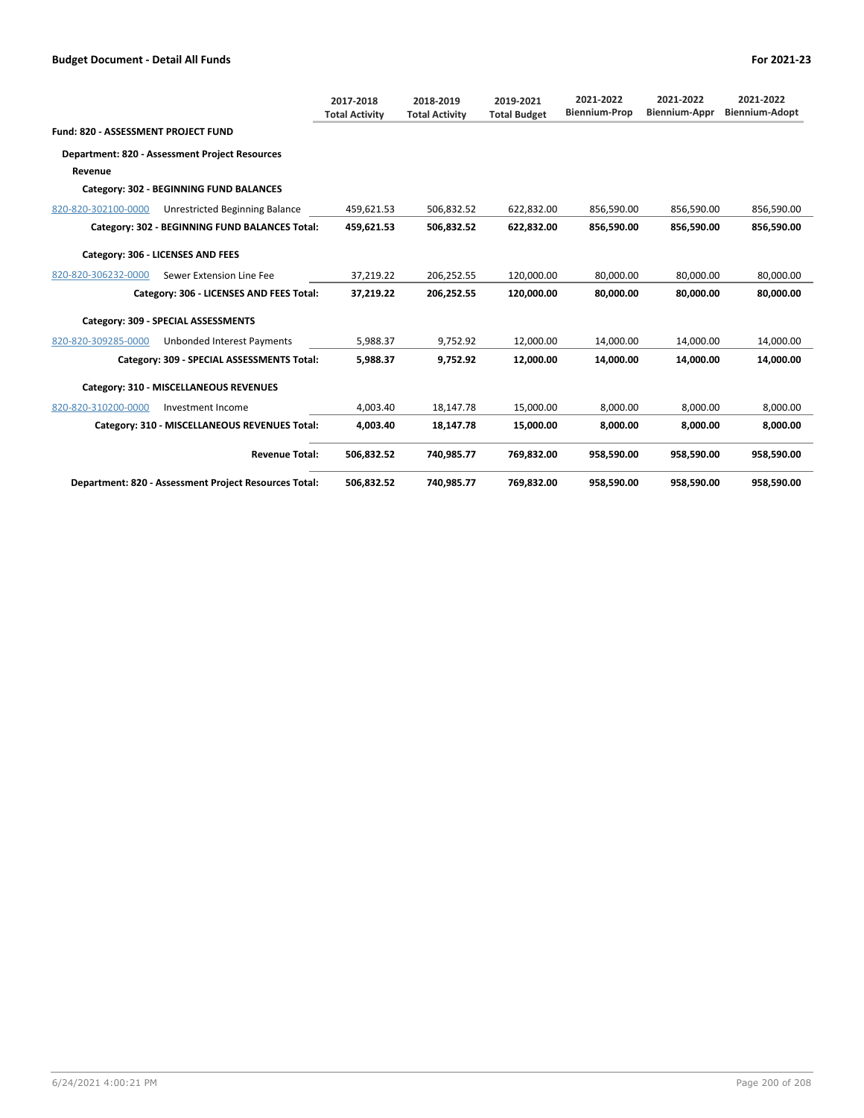**Fund: 820 - ASSESSMENT PROJECT FUND**

## **Department: 820 - Assessment Project Resources Revenue**

## **Category: 302 - BEGINNING FUND BALANCES**

| 820-820-302100-0000 | Unrestricted Beginning Balance                        | 459,621.53 | 506,832.52 | 622,832.00 | 856,590.00 | 856,590.00 | 856,590.00 |
|---------------------|-------------------------------------------------------|------------|------------|------------|------------|------------|------------|
|                     | Category: 302 - BEGINNING FUND BALANCES Total:        | 459,621.53 | 506,832.52 | 622,832.00 | 856,590.00 | 856,590.00 | 856,590.00 |
|                     | Category: 306 - LICENSES AND FEES                     |            |            |            |            |            |            |
| 820-820-306232-0000 | Sewer Extension Line Fee                              | 37,219.22  | 206,252.55 | 120,000.00 | 80,000.00  | 80,000.00  | 80,000.00  |
|                     | Category: 306 - LICENSES AND FEES Total:              | 37,219.22  | 206,252.55 | 120,000.00 | 80,000.00  | 80,000.00  | 80,000.00  |
|                     | Category: 309 - SPECIAL ASSESSMENTS                   |            |            |            |            |            |            |
| 820-820-309285-0000 | Unbonded Interest Payments                            | 5,988.37   | 9,752.92   | 12,000.00  | 14,000.00  | 14,000.00  | 14,000.00  |
|                     | Category: 309 - SPECIAL ASSESSMENTS Total:            | 5,988.37   | 9,752.92   | 12,000.00  | 14,000.00  | 14,000.00  | 14,000.00  |
|                     | Category: 310 - MISCELLANEOUS REVENUES                |            |            |            |            |            |            |
| 820-820-310200-0000 | Investment Income                                     | 4,003.40   | 18,147.78  | 15,000.00  | 8,000.00   | 8,000.00   | 8,000.00   |
|                     | Category: 310 - MISCELLANEOUS REVENUES Total:         | 4,003.40   | 18,147.78  | 15,000.00  | 8,000.00   | 8,000.00   | 8,000.00   |
|                     | <b>Revenue Total:</b>                                 | 506,832.52 | 740,985.77 | 769,832.00 | 958,590.00 | 958,590.00 | 958,590.00 |
|                     | Department: 820 - Assessment Project Resources Total: | 506,832.52 | 740,985.77 | 769,832.00 | 958,590.00 | 958,590.00 | 958,590.00 |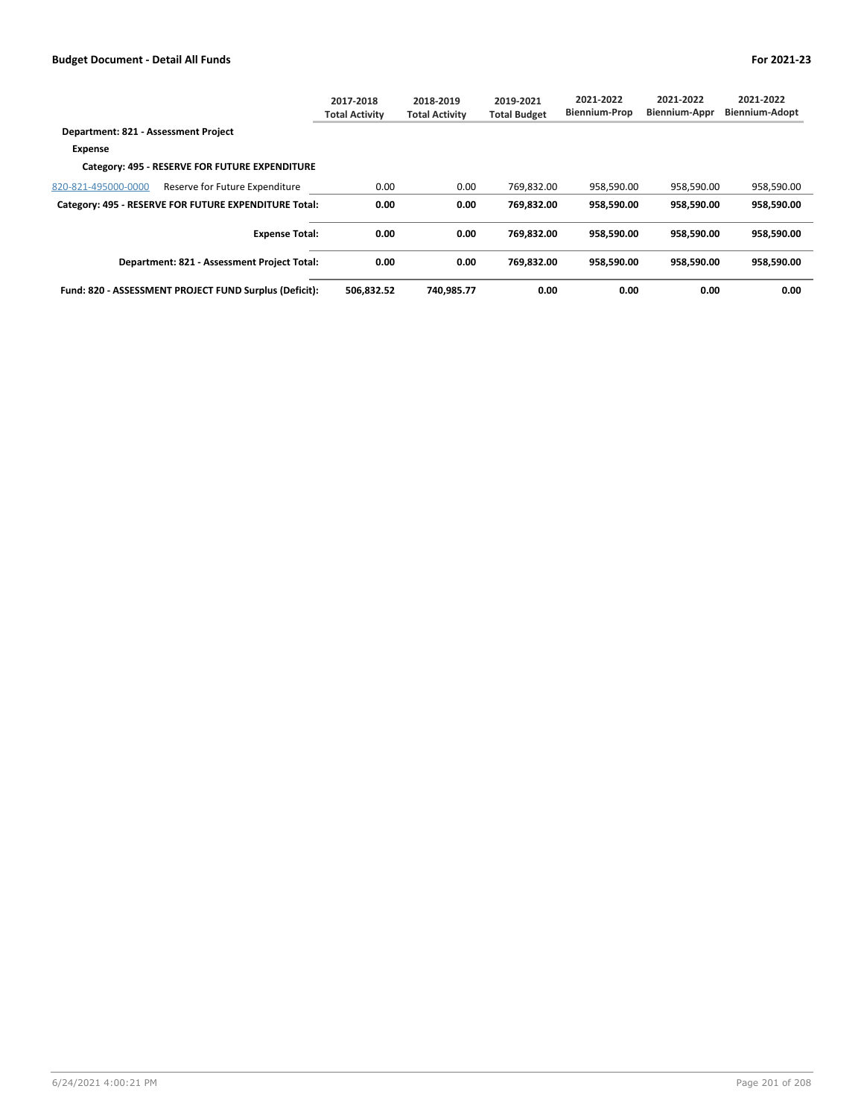|                                                        | 2017-2018<br>Total Activitv | 2018-2019<br><b>Total Activity</b> | 2019-2021<br><b>Total Budget</b> | 2021-2022<br><b>Biennium-Prop</b> | 2021-2022<br><b>Biennium-Appr</b> | 2021-2022<br><b>Biennium-Adopt</b> |
|--------------------------------------------------------|-----------------------------|------------------------------------|----------------------------------|-----------------------------------|-----------------------------------|------------------------------------|
| Department: 821 - Assessment Project                   |                             |                                    |                                  |                                   |                                   |                                    |
| <b>Expense</b>                                         |                             |                                    |                                  |                                   |                                   |                                    |
| Category: 495 - RESERVE FOR FUTURE EXPENDITURE         |                             |                                    |                                  |                                   |                                   |                                    |
| 820-821-495000-0000<br>Reserve for Future Expenditure  | 0.00                        | 0.00                               | 769,832.00                       | 958,590.00                        | 958,590.00                        | 958,590.00                         |
| Category: 495 - RESERVE FOR FUTURE EXPENDITURE Total:  | 0.00                        | 0.00                               | 769,832.00                       | 958,590.00                        | 958,590.00                        | 958,590.00                         |
| <b>Expense Total:</b>                                  | 0.00                        | 0.00                               | 769.832.00                       | 958.590.00                        | 958.590.00                        | 958.590.00                         |
| Department: 821 - Assessment Project Total:            | 0.00                        | 0.00                               | 769.832.00                       | 958.590.00                        | 958.590.00                        | 958.590.00                         |
| Fund: 820 - ASSESSMENT PROJECT FUND Surplus (Deficit): | 506.832.52                  | 740.985.77                         | 0.00                             | 0.00                              | 0.00                              | 0.00                               |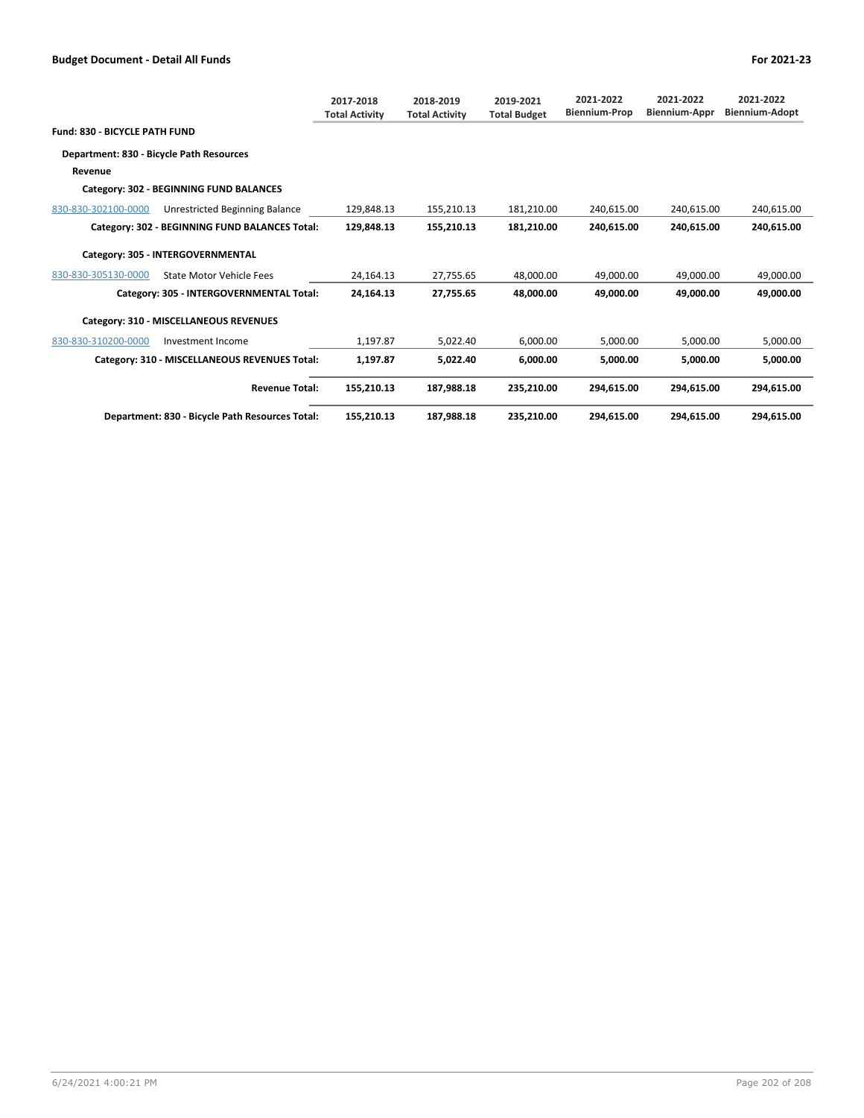|                                          |                                                 | 2017-2018<br><b>Total Activity</b> | 2018-2019<br><b>Total Activity</b> | 2019-2021<br><b>Total Budget</b> | 2021-2022<br><b>Biennium-Prop</b> | 2021-2022<br><b>Biennium-Appr</b> | 2021-2022<br>Biennium-Adopt |
|------------------------------------------|-------------------------------------------------|------------------------------------|------------------------------------|----------------------------------|-----------------------------------|-----------------------------------|-----------------------------|
| <b>Fund: 830 - BICYCLE PATH FUND</b>     |                                                 |                                    |                                    |                                  |                                   |                                   |                             |
| Department: 830 - Bicycle Path Resources |                                                 |                                    |                                    |                                  |                                   |                                   |                             |
| Revenue                                  |                                                 |                                    |                                    |                                  |                                   |                                   |                             |
|                                          | Category: 302 - BEGINNING FUND BALANCES         |                                    |                                    |                                  |                                   |                                   |                             |
| 830-830-302100-0000                      | Unrestricted Beginning Balance                  | 129,848.13                         | 155,210.13                         | 181,210.00                       | 240,615.00                        | 240,615.00                        | 240,615.00                  |
|                                          | Category: 302 - BEGINNING FUND BALANCES Total:  | 129.848.13                         | 155,210.13                         | 181,210.00                       | 240.615.00                        | 240.615.00                        | 240.615.00                  |
|                                          | Category: 305 - INTERGOVERNMENTAL               |                                    |                                    |                                  |                                   |                                   |                             |
| 830-830-305130-0000                      | <b>State Motor Vehicle Fees</b>                 | 24,164.13                          | 27,755.65                          | 48,000.00                        | 49,000.00                         | 49,000.00                         | 49,000.00                   |
|                                          | Category: 305 - INTERGOVERNMENTAL Total:        | 24.164.13                          | 27.755.65                          | 48.000.00                        | 49.000.00                         | 49.000.00                         | 49.000.00                   |
|                                          | Category: 310 - MISCELLANEOUS REVENUES          |                                    |                                    |                                  |                                   |                                   |                             |
| 830-830-310200-0000                      | Investment Income                               | 1,197.87                           | 5,022.40                           | 6,000.00                         | 5,000.00                          | 5,000.00                          | 5,000.00                    |
|                                          | Category: 310 - MISCELLANEOUS REVENUES Total:   | 1,197.87                           | 5,022.40                           | 6,000.00                         | 5,000.00                          | 5,000.00                          | 5,000.00                    |
|                                          | <b>Revenue Total:</b>                           | 155,210.13                         | 187,988.18                         | 235,210.00                       | 294.615.00                        | 294.615.00                        | 294,615.00                  |
|                                          | Department: 830 - Bicycle Path Resources Total: | 155,210.13                         | 187,988.18                         | 235,210.00                       | 294,615.00                        | 294,615.00                        | 294,615.00                  |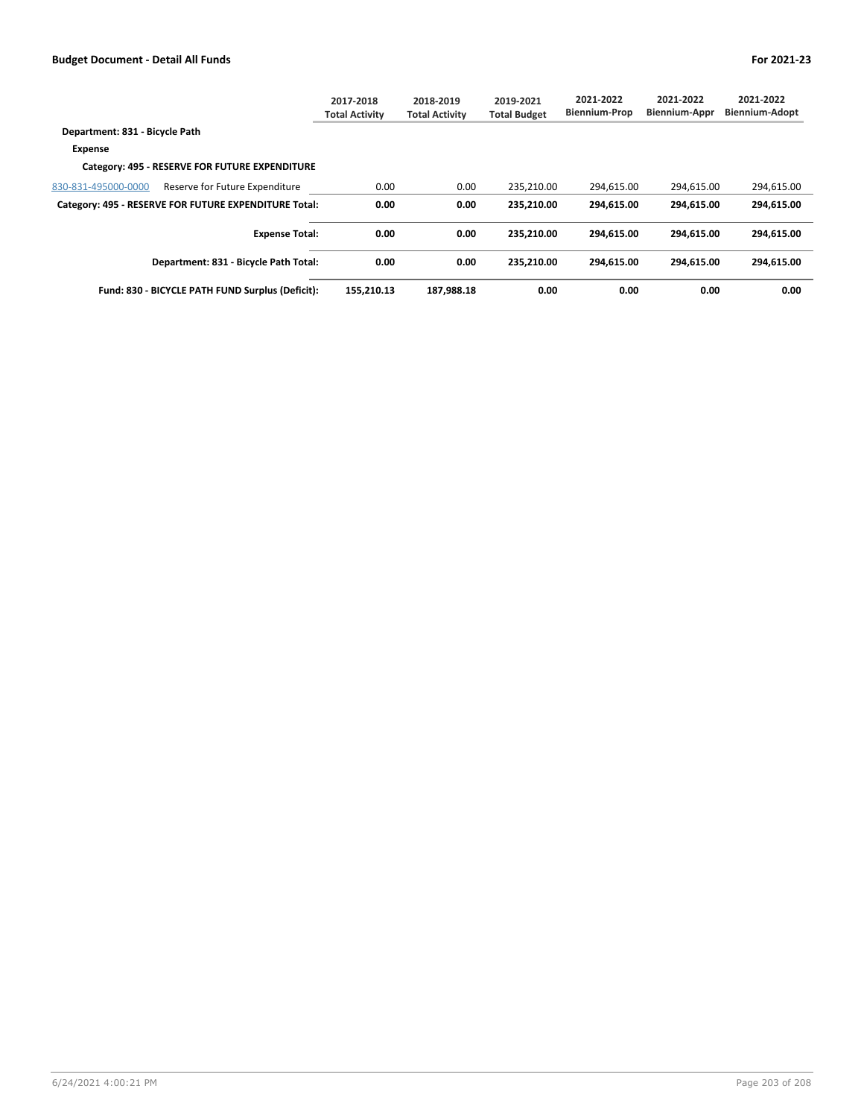|                                                       | 2017-2018<br><b>Total Activity</b> | 2018-2019<br><b>Total Activity</b> | 2019-2021<br><b>Total Budget</b> | 2021-2022<br><b>Biennium-Prop</b> | 2021-2022<br>Biennium-Appr | 2021-2022<br><b>Biennium-Adopt</b> |
|-------------------------------------------------------|------------------------------------|------------------------------------|----------------------------------|-----------------------------------|----------------------------|------------------------------------|
| Department: 831 - Bicycle Path                        |                                    |                                    |                                  |                                   |                            |                                    |
| <b>Expense</b>                                        |                                    |                                    |                                  |                                   |                            |                                    |
| Category: 495 - RESERVE FOR FUTURE EXPENDITURE        |                                    |                                    |                                  |                                   |                            |                                    |
| 830-831-495000-0000<br>Reserve for Future Expenditure | 0.00                               | 0.00                               | 235,210.00                       | 294,615.00                        | 294,615.00                 | 294,615.00                         |
| Category: 495 - RESERVE FOR FUTURE EXPENDITURE Total: | 0.00                               | 0.00                               | 235.210.00                       | 294.615.00                        | 294.615.00                 | 294.615.00                         |
| <b>Expense Total:</b>                                 | 0.00                               | 0.00                               | 235.210.00                       | 294.615.00                        | 294.615.00                 | 294.615.00                         |
| Department: 831 - Bicycle Path Total:                 | 0.00                               | 0.00                               | 235.210.00                       | 294.615.00                        | 294.615.00                 | 294.615.00                         |
| Fund: 830 - BICYCLE PATH FUND Surplus (Deficit):      | 155,210.13                         | 187,988.18                         | 0.00                             | 0.00                              | 0.00                       | 0.00                               |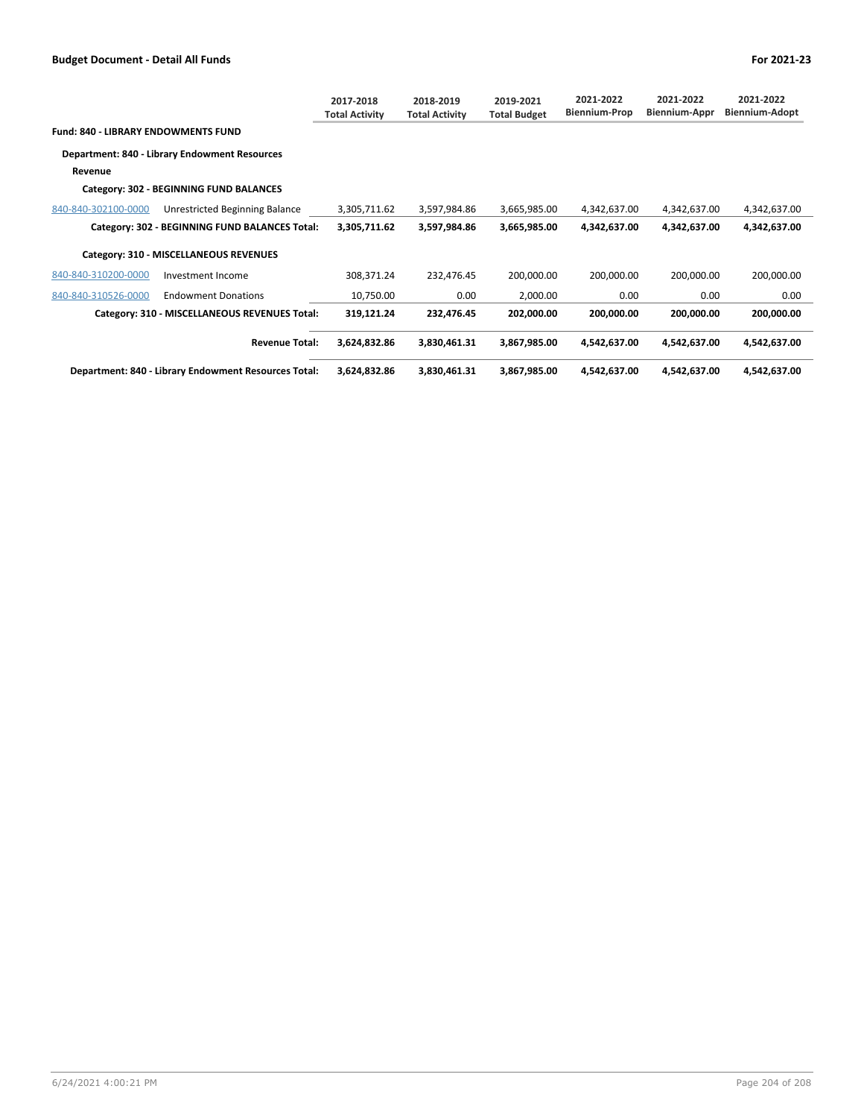|                                                      |                                                | 2017-2018<br><b>Total Activity</b> | 2018-2019<br><b>Total Activity</b> | 2019-2021<br><b>Total Budget</b> | 2021-2022<br><b>Biennium-Prop</b> | 2021-2022<br><b>Biennium-Appr</b> | 2021-2022<br><b>Biennium-Adopt</b> |
|------------------------------------------------------|------------------------------------------------|------------------------------------|------------------------------------|----------------------------------|-----------------------------------|-----------------------------------|------------------------------------|
| <b>Fund: 840 - LIBRARY ENDOWMENTS FUND</b>           |                                                |                                    |                                    |                                  |                                   |                                   |                                    |
|                                                      | Department: 840 - Library Endowment Resources  |                                    |                                    |                                  |                                   |                                   |                                    |
| Revenue                                              |                                                |                                    |                                    |                                  |                                   |                                   |                                    |
|                                                      | Category: 302 - BEGINNING FUND BALANCES        |                                    |                                    |                                  |                                   |                                   |                                    |
| 840-840-302100-0000                                  | Unrestricted Beginning Balance                 | 3,305,711.62                       | 3,597,984.86                       | 3,665,985.00                     | 4,342,637.00                      | 4,342,637.00                      | 4,342,637.00                       |
|                                                      | Category: 302 - BEGINNING FUND BALANCES Total: | 3,305,711.62                       | 3,597,984.86                       | 3,665,985.00                     | 4,342,637.00                      | 4,342,637.00                      | 4,342,637.00                       |
| Category: 310 - MISCELLANEOUS REVENUES               |                                                |                                    |                                    |                                  |                                   |                                   |                                    |
| 840-840-310200-0000                                  | Investment Income                              | 308,371.24                         | 232,476.45                         | 200,000.00                       | 200,000.00                        | 200,000.00                        | 200,000.00                         |
| 840-840-310526-0000                                  | <b>Endowment Donations</b>                     | 10,750.00                          | 0.00                               | 2,000.00                         | 0.00                              | 0.00                              | 0.00                               |
|                                                      | Category: 310 - MISCELLANEOUS REVENUES Total:  | 319,121.24                         | 232,476.45                         | 202,000.00                       | 200,000.00                        | 200,000.00                        | 200,000.00                         |
|                                                      | <b>Revenue Total:</b>                          | 3,624,832.86                       | 3,830,461.31                       | 3,867,985.00                     | 4,542,637.00                      | 4,542,637.00                      | 4,542,637.00                       |
| Department: 840 - Library Endowment Resources Total: |                                                | 3,624,832.86                       | 3,830,461.31                       | 3,867,985.00                     | 4,542,637.00                      | 4,542,637.00                      | 4,542,637.00                       |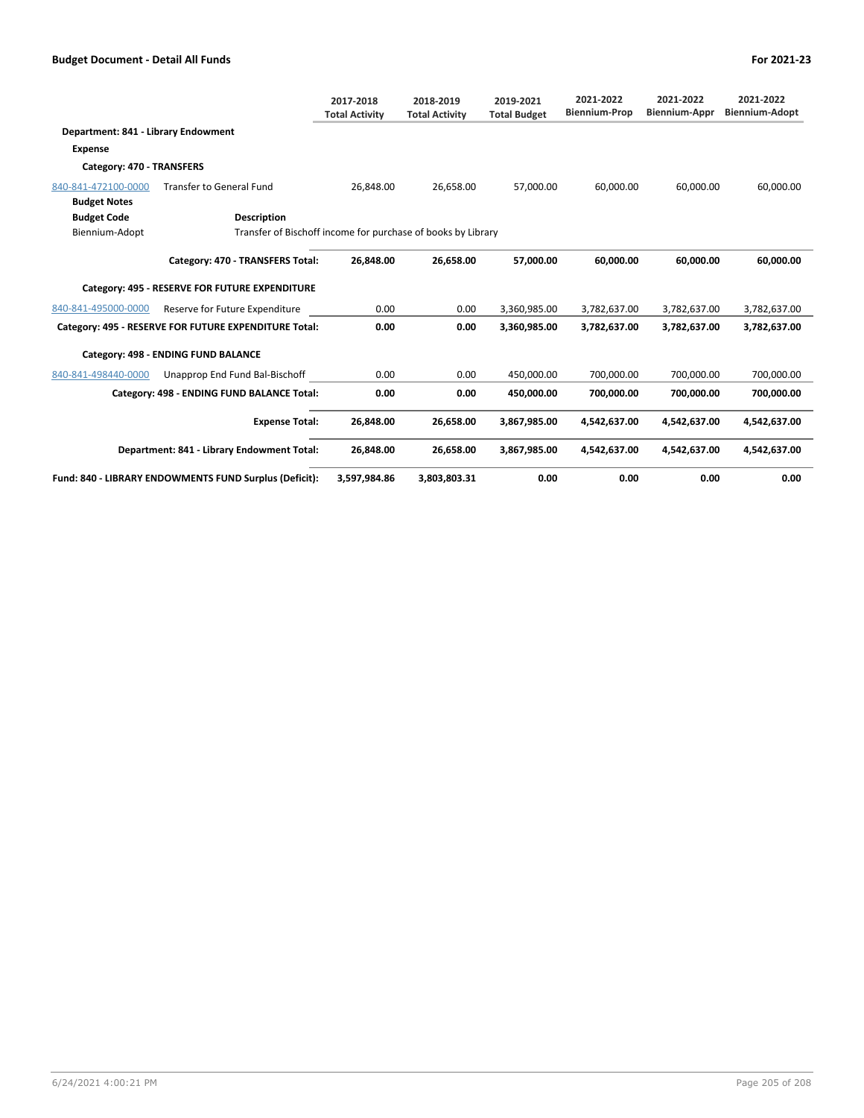|                                                        |                                                              | 2017-2018<br><b>Total Activity</b> | 2018-2019<br><b>Total Activity</b> | 2019-2021<br><b>Total Budget</b> | 2021-2022<br><b>Biennium-Prop</b> | 2021-2022<br>Biennium-Appr | 2021-2022<br><b>Biennium-Adopt</b> |  |
|--------------------------------------------------------|--------------------------------------------------------------|------------------------------------|------------------------------------|----------------------------------|-----------------------------------|----------------------------|------------------------------------|--|
| Department: 841 - Library Endowment                    |                                                              |                                    |                                    |                                  |                                   |                            |                                    |  |
| <b>Expense</b>                                         |                                                              |                                    |                                    |                                  |                                   |                            |                                    |  |
| Category: 470 - TRANSFERS                              |                                                              |                                    |                                    |                                  |                                   |                            |                                    |  |
| 840-841-472100-0000                                    | <b>Transfer to General Fund</b>                              | 26.848.00                          | 26,658.00                          | 57.000.00                        | 60,000.00                         | 60.000.00                  | 60,000.00                          |  |
| <b>Budget Notes</b>                                    |                                                              |                                    |                                    |                                  |                                   |                            |                                    |  |
| <b>Budget Code</b>                                     | <b>Description</b>                                           |                                    |                                    |                                  |                                   |                            |                                    |  |
| Biennium-Adopt                                         | Transfer of Bischoff income for purchase of books by Library |                                    |                                    |                                  |                                   |                            |                                    |  |
|                                                        | Category: 470 - TRANSFERS Total:                             | 26.848.00                          | 26.658.00                          | 57.000.00                        | 60.000.00                         | 60.000.00                  | 60,000.00                          |  |
|                                                        | Category: 495 - RESERVE FOR FUTURE EXPENDITURE               |                                    |                                    |                                  |                                   |                            |                                    |  |
| 840-841-495000-0000                                    | Reserve for Future Expenditure                               | 0.00                               | 0.00                               | 3,360,985.00                     | 3,782,637.00                      | 3,782,637.00               | 3,782,637.00                       |  |
|                                                        | Category: 495 - RESERVE FOR FUTURE EXPENDITURE Total:        | 0.00                               | 0.00                               | 3,360,985.00                     | 3,782,637.00                      | 3,782,637.00               | 3,782,637.00                       |  |
| Category: 498 - ENDING FUND BALANCE                    |                                                              |                                    |                                    |                                  |                                   |                            |                                    |  |
| 840-841-498440-0000                                    | Unapprop End Fund Bal-Bischoff                               | 0.00                               | 0.00                               | 450,000.00                       | 700,000.00                        | 700,000.00                 | 700,000.00                         |  |
|                                                        | Category: 498 - ENDING FUND BALANCE Total:                   | 0.00                               | 0.00                               | 450.000.00                       | 700.000.00                        | 700.000.00                 | 700.000.00                         |  |
|                                                        | <b>Expense Total:</b>                                        | 26,848.00                          | 26,658.00                          | 3,867,985.00                     | 4,542,637.00                      | 4,542,637.00               | 4,542,637.00                       |  |
| Department: 841 - Library Endowment Total:             |                                                              | 26,848.00                          | 26.658.00                          | 3,867,985.00                     | 4.542.637.00                      | 4.542.637.00               | 4.542.637.00                       |  |
| Fund: 840 - LIBRARY ENDOWMENTS FUND Surplus (Deficit): |                                                              | 3,597,984.86                       | 3,803,803.31                       | 0.00                             | 0.00                              | 0.00                       | 0.00                               |  |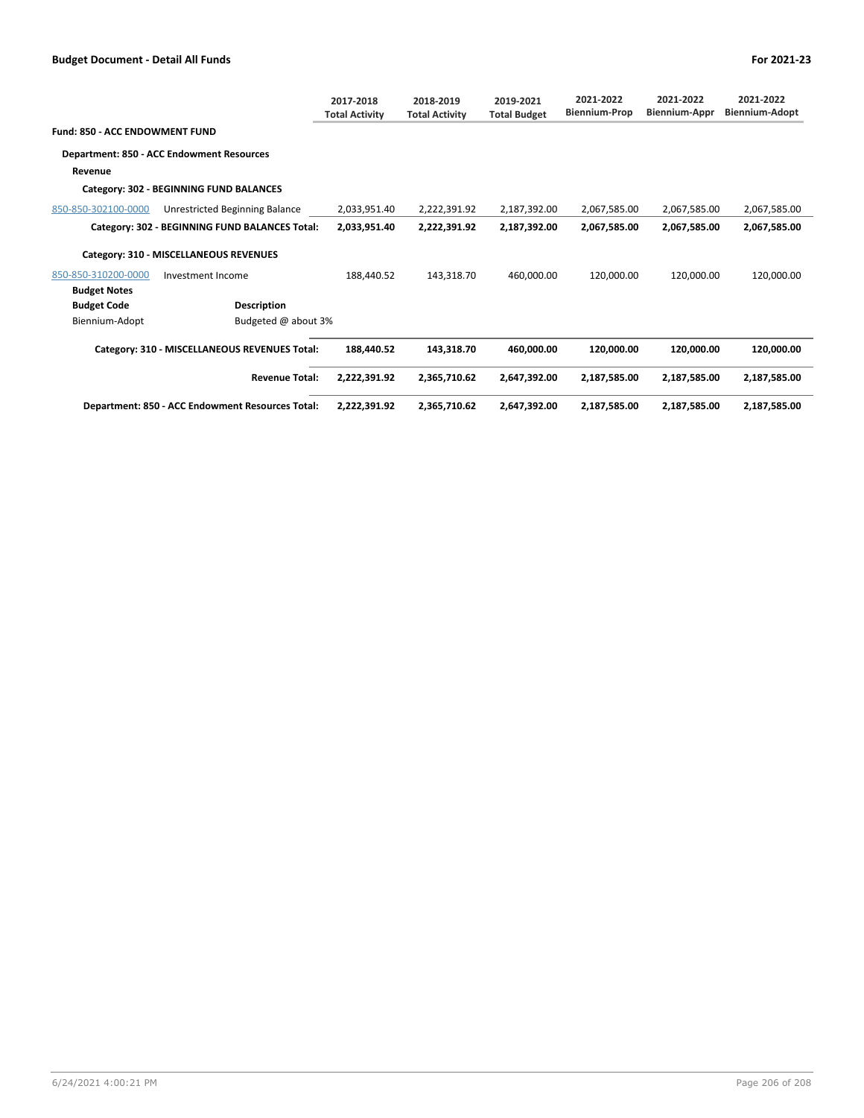|                                |                                                  | 2017-2018<br><b>Total Activity</b> | 2018-2019<br><b>Total Activity</b> | 2019-2021<br><b>Total Budget</b> | 2021-2022<br><b>Biennium-Prop</b> | 2021-2022<br>Biennium-Appr | 2021-2022<br><b>Biennium-Adopt</b> |
|--------------------------------|--------------------------------------------------|------------------------------------|------------------------------------|----------------------------------|-----------------------------------|----------------------------|------------------------------------|
| Fund: 850 - ACC ENDOWMENT FUND |                                                  |                                    |                                    |                                  |                                   |                            |                                    |
|                                | Department: 850 - ACC Endowment Resources        |                                    |                                    |                                  |                                   |                            |                                    |
| Revenue                        |                                                  |                                    |                                    |                                  |                                   |                            |                                    |
|                                | Category: 302 - BEGINNING FUND BALANCES          |                                    |                                    |                                  |                                   |                            |                                    |
| 850-850-302100-0000            | Unrestricted Beginning Balance                   | 2,033,951.40                       | 2,222,391.92                       | 2,187,392.00                     | 2,067,585.00                      | 2,067,585.00               | 2,067,585.00                       |
|                                | Category: 302 - BEGINNING FUND BALANCES Total:   | 2,033,951.40                       | 2,222,391.92                       | 2,187,392.00                     | 2,067,585.00                      | 2,067,585.00               | 2,067,585.00                       |
|                                | Category: 310 - MISCELLANEOUS REVENUES           |                                    |                                    |                                  |                                   |                            |                                    |
| 850-850-310200-0000            | Investment Income                                | 188.440.52                         | 143,318.70                         | 460,000.00                       | 120,000.00                        | 120,000.00                 | 120,000.00                         |
| <b>Budget Notes</b>            |                                                  |                                    |                                    |                                  |                                   |                            |                                    |
| <b>Budget Code</b>             | <b>Description</b>                               |                                    |                                    |                                  |                                   |                            |                                    |
| Biennium-Adopt                 | Budgeted @ about 3%                              |                                    |                                    |                                  |                                   |                            |                                    |
|                                | Category: 310 - MISCELLANEOUS REVENUES Total:    | 188.440.52                         | 143.318.70                         | 460.000.00                       | 120.000.00                        | 120.000.00                 | 120,000,00                         |
|                                | <b>Revenue Total:</b>                            | 2,222,391.92                       | 2,365,710.62                       | 2,647,392.00                     | 2,187,585.00                      | 2,187,585.00               | 2,187,585.00                       |
|                                | Department: 850 - ACC Endowment Resources Total: | 2,222,391.92                       | 2,365,710.62                       | 2,647,392.00                     | 2,187,585.00                      | 2,187,585.00               | 2,187,585.00                       |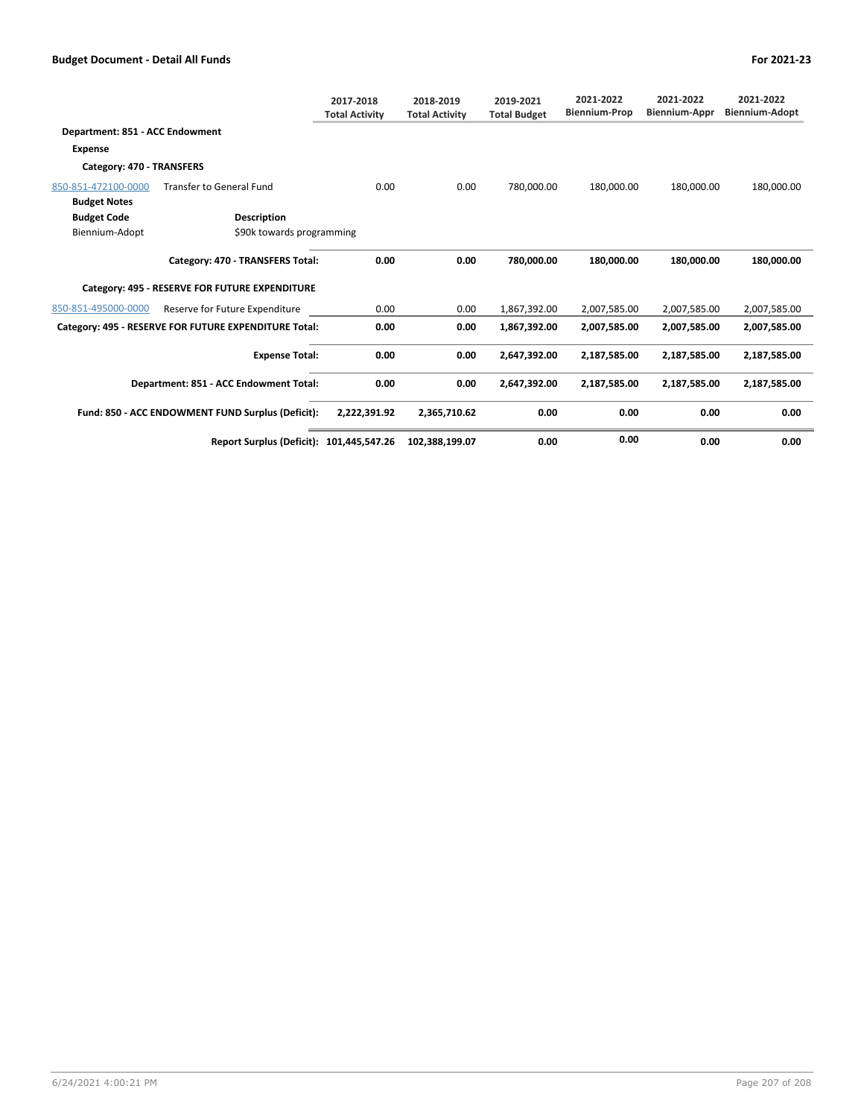|                                                   |                                                       | 2017-2018<br><b>Total Activity</b> | 2018-2019<br><b>Total Activity</b> | 2019-2021<br><b>Total Budget</b> | 2021-2022<br><b>Biennium-Prop</b> | 2021-2022<br><b>Biennium-Appr</b> | 2021-2022<br><b>Biennium-Adopt</b> |
|---------------------------------------------------|-------------------------------------------------------|------------------------------------|------------------------------------|----------------------------------|-----------------------------------|-----------------------------------|------------------------------------|
| Department: 851 - ACC Endowment                   |                                                       |                                    |                                    |                                  |                                   |                                   |                                    |
| <b>Expense</b>                                    |                                                       |                                    |                                    |                                  |                                   |                                   |                                    |
| Category: 470 - TRANSFERS                         |                                                       |                                    |                                    |                                  |                                   |                                   |                                    |
| 850-851-472100-0000                               | <b>Transfer to General Fund</b>                       | 0.00                               | 0.00                               | 780,000.00                       | 180,000.00                        | 180,000.00                        | 180,000.00                         |
| <b>Budget Notes</b>                               |                                                       |                                    |                                    |                                  |                                   |                                   |                                    |
| <b>Budget Code</b>                                | <b>Description</b>                                    |                                    |                                    |                                  |                                   |                                   |                                    |
| Biennium-Adopt                                    | \$90k towards programming                             |                                    |                                    |                                  |                                   |                                   |                                    |
|                                                   | Category: 470 - TRANSFERS Total:                      | 0.00                               | 0.00                               | 780,000.00                       | 180,000.00                        | 180,000.00                        | 180,000.00                         |
|                                                   | Category: 495 - RESERVE FOR FUTURE EXPENDITURE        |                                    |                                    |                                  |                                   |                                   |                                    |
| 850-851-495000-0000                               | Reserve for Future Expenditure                        | 0.00                               | 0.00                               | 1,867,392.00                     | 2,007,585.00                      | 2,007,585.00                      | 2,007,585.00                       |
|                                                   | Category: 495 - RESERVE FOR FUTURE EXPENDITURE Total: | 0.00                               | 0.00                               | 1,867,392.00                     | 2,007,585.00                      | 2,007,585.00                      | 2,007,585.00                       |
|                                                   | <b>Expense Total:</b>                                 | 0.00                               | 0.00                               | 2,647,392.00                     | 2,187,585.00                      | 2,187,585.00                      | 2,187,585.00                       |
| Department: 851 - ACC Endowment Total:            |                                                       | 0.00                               | 0.00                               | 2,647,392.00                     | 2,187,585.00                      | 2,187,585.00                      | 2,187,585.00                       |
| Fund: 850 - ACC ENDOWMENT FUND Surplus (Deficit): |                                                       | 2.222.391.92                       | 2,365,710.62                       | 0.00                             | 0.00                              | 0.00                              | 0.00                               |
|                                                   | Report Surplus (Deficit): 101,445,547.26              |                                    | 102,388,199.07                     | 0.00                             | 0.00                              | 0.00                              | 0.00                               |